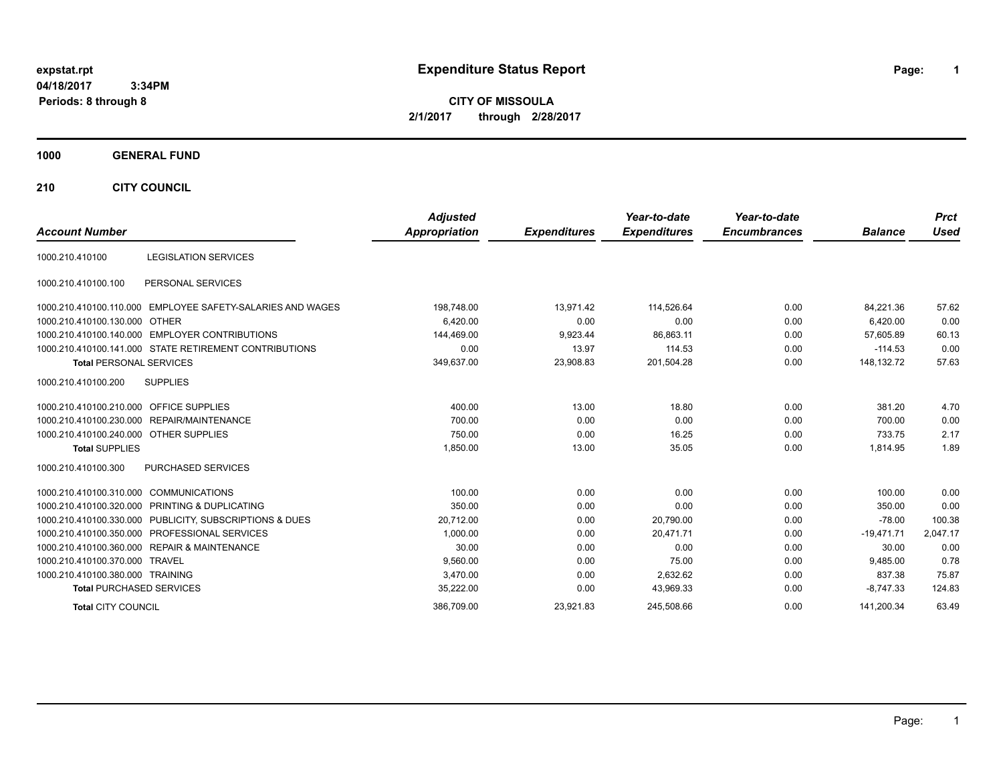# **expstat.rpt Expenditure Status Report Page:**

**1**

**CITY OF MISSOULA 2/1/2017 through 2/28/2017**

### **1000 GENERAL FUND**

**210 CITY COUNCIL**

| <b>Account Number</b>                  |                                                            | <b>Adjusted</b><br>Appropriation | <b>Expenditures</b> | Year-to-date<br><b>Expenditures</b> | Year-to-date<br><b>Encumbrances</b> | <b>Balance</b> | <b>Prct</b><br><b>Used</b> |
|----------------------------------------|------------------------------------------------------------|----------------------------------|---------------------|-------------------------------------|-------------------------------------|----------------|----------------------------|
|                                        |                                                            |                                  |                     |                                     |                                     |                |                            |
| 1000.210.410100                        | <b>LEGISLATION SERVICES</b>                                |                                  |                     |                                     |                                     |                |                            |
| 1000.210.410100.100                    | PERSONAL SERVICES                                          |                                  |                     |                                     |                                     |                |                            |
|                                        | 1000.210.410100.110.000 EMPLOYEE SAFETY-SALARIES AND WAGES | 198,748.00                       | 13,971.42           | 114,526.64                          | 0.00                                | 84,221.36      | 57.62                      |
| 1000.210.410100.130.000                | OTHER                                                      | 6,420.00                         | 0.00                | 0.00                                | 0.00                                | 6,420.00       | 0.00                       |
|                                        | 1000.210.410100.140.000 EMPLOYER CONTRIBUTIONS             | 144,469.00                       | 9,923.44            | 86.863.11                           | 0.00                                | 57.605.89      | 60.13                      |
|                                        | 1000.210.410100.141.000 STATE RETIREMENT CONTRIBUTIONS     | 0.00                             | 13.97               | 114.53                              | 0.00                                | $-114.53$      | 0.00                       |
| <b>Total PERSONAL SERVICES</b>         |                                                            | 349,637.00                       | 23,908.83           | 201,504.28                          | 0.00                                | 148,132.72     | 57.63                      |
| 1000.210.410100.200                    | <b>SUPPLIES</b>                                            |                                  |                     |                                     |                                     |                |                            |
| 1000.210.410100.210.000                | <b>OFFICE SUPPLIES</b>                                     | 400.00                           | 13.00               | 18.80                               | 0.00                                | 381.20         | 4.70                       |
|                                        | 1000.210.410100.230.000 REPAIR/MAINTENANCE                 | 700.00                           | 0.00                | 0.00                                | 0.00                                | 700.00         | 0.00                       |
| 1000.210.410100.240.000 OTHER SUPPLIES |                                                            | 750.00                           | 0.00                | 16.25                               | 0.00                                | 733.75         | 2.17                       |
| <b>Total SUPPLIES</b>                  |                                                            | 1,850.00                         | 13.00               | 35.05                               | 0.00                                | 1,814.95       | 1.89                       |
| 1000.210.410100.300                    | <b>PURCHASED SERVICES</b>                                  |                                  |                     |                                     |                                     |                |                            |
| 1000.210.410100.310.000 COMMUNICATIONS |                                                            | 100.00                           | 0.00                | 0.00                                | 0.00                                | 100.00         | 0.00                       |
|                                        | 1000.210.410100.320.000 PRINTING & DUPLICATING             | 350.00                           | 0.00                | 0.00                                | 0.00                                | 350.00         | 0.00                       |
|                                        | 1000.210.410100.330.000 PUBLICITY, SUBSCRIPTIONS & DUES    | 20.712.00                        | 0.00                | 20,790.00                           | 0.00                                | $-78.00$       | 100.38                     |
|                                        | 1000.210.410100.350.000 PROFESSIONAL SERVICES              | 1,000.00                         | 0.00                | 20.471.71                           | 0.00                                | $-19.471.71$   | 2,047.17                   |
|                                        | 1000.210.410100.360.000 REPAIR & MAINTENANCE               | 30.00                            | 0.00                | 0.00                                | 0.00                                | 30.00          | 0.00                       |
| 1000.210.410100.370.000 TRAVEL         |                                                            | 9.560.00                         | 0.00                | 75.00                               | 0.00                                | 9.485.00       | 0.78                       |
| 1000.210.410100.380.000 TRAINING       |                                                            | 3.470.00                         | 0.00                | 2,632.62                            | 0.00                                | 837.38         | 75.87                      |
| <b>Total PURCHASED SERVICES</b>        |                                                            | 35,222.00                        | 0.00                | 43,969.33                           | 0.00                                | $-8,747.33$    | 124.83                     |
| <b>Total CITY COUNCIL</b>              |                                                            | 386,709.00                       | 23,921.83           | 245,508.66                          | 0.00                                | 141,200.34     | 63.49                      |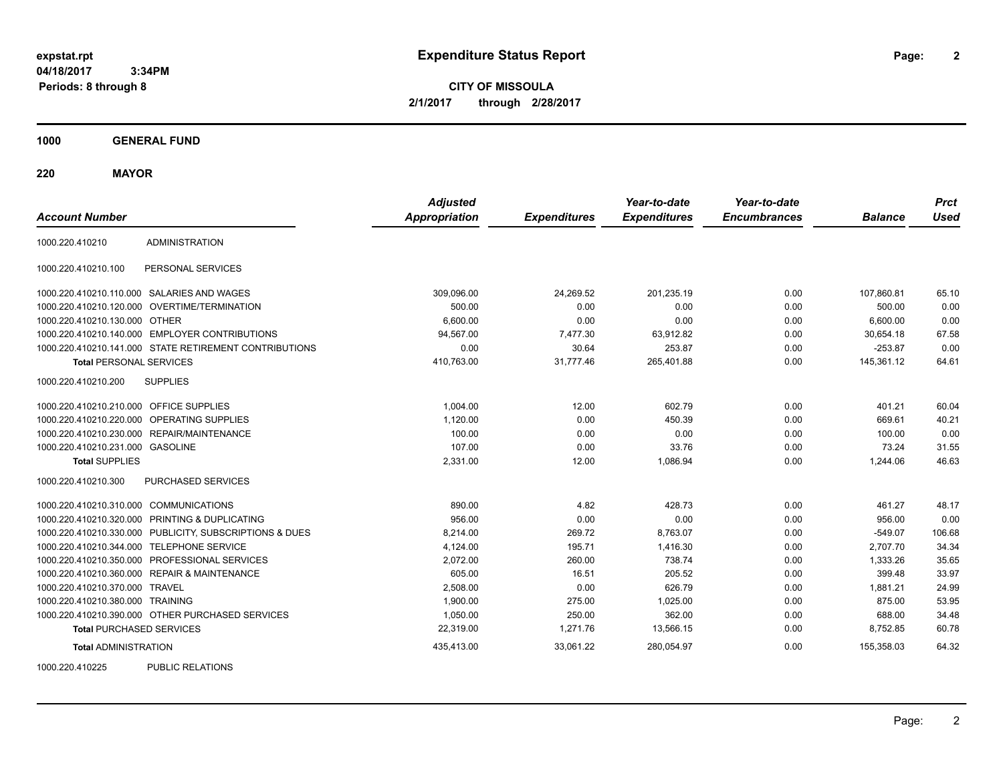**2**

**CITY OF MISSOULA 2/1/2017 through 2/28/2017**

**1000 GENERAL FUND**

**220 MAYOR**

| <b>Account Number</b>                   |                                                         | <b>Adjusted</b><br><b>Appropriation</b> | <b>Expenditures</b> | Year-to-date<br><b>Expenditures</b> | Year-to-date<br><b>Encumbrances</b> | <b>Balance</b> | <b>Prct</b><br><b>Used</b> |
|-----------------------------------------|---------------------------------------------------------|-----------------------------------------|---------------------|-------------------------------------|-------------------------------------|----------------|----------------------------|
| 1000.220.410210                         | <b>ADMINISTRATION</b>                                   |                                         |                     |                                     |                                     |                |                            |
| 1000.220.410210.100                     | PERSONAL SERVICES                                       |                                         |                     |                                     |                                     |                |                            |
|                                         | 1000.220.410210.110.000 SALARIES AND WAGES              | 309,096.00                              | 24,269.52           | 201,235.19                          | 0.00                                | 107.860.81     | 65.10                      |
|                                         | 1000.220.410210.120.000 OVERTIME/TERMINATION            | 500.00                                  | 0.00                | 0.00                                | 0.00                                | 500.00         | 0.00                       |
| 1000.220.410210.130.000 OTHER           |                                                         | 6,600.00                                | 0.00                | 0.00                                | 0.00                                | 6,600.00       | 0.00                       |
|                                         | 1000.220.410210.140.000 EMPLOYER CONTRIBUTIONS          | 94,567.00                               | 7,477.30            | 63,912.82                           | 0.00                                | 30,654.18      | 67.58                      |
|                                         | 1000.220.410210.141.000 STATE RETIREMENT CONTRIBUTIONS  | 0.00                                    | 30.64               | 253.87                              | 0.00                                | $-253.87$      | 0.00                       |
| <b>Total PERSONAL SERVICES</b>          |                                                         | 410,763.00                              | 31.777.46           | 265,401.88                          | 0.00                                | 145,361.12     | 64.61                      |
| 1000.220.410210.200                     | <b>SUPPLIES</b>                                         |                                         |                     |                                     |                                     |                |                            |
| 1000.220.410210.210.000 OFFICE SUPPLIES |                                                         | 1,004.00                                | 12.00               | 602.79                              | 0.00                                | 401.21         | 60.04                      |
|                                         | 1000.220.410210.220.000 OPERATING SUPPLIES              | 1,120.00                                | 0.00                | 450.39                              | 0.00                                | 669.61         | 40.21                      |
| 1000.220.410210.230.000                 | REPAIR/MAINTENANCE                                      | 100.00                                  | 0.00                | 0.00                                | 0.00                                | 100.00         | 0.00                       |
| 1000.220.410210.231.000 GASOLINE        |                                                         | 107.00                                  | 0.00                | 33.76                               | 0.00                                | 73.24          | 31.55                      |
| <b>Total SUPPLIES</b>                   |                                                         | 2,331.00                                | 12.00               | 1,086.94                            | 0.00                                | 1,244.06       | 46.63                      |
| 1000.220.410210.300                     | PURCHASED SERVICES                                      |                                         |                     |                                     |                                     |                |                            |
| 1000.220.410210.310.000 COMMUNICATIONS  |                                                         | 890.00                                  | 4.82                | 428.73                              | 0.00                                | 461.27         | 48.17                      |
| 1000.220.410210.320.000                 | PRINTING & DUPLICATING                                  | 956.00                                  | 0.00                | 0.00                                | 0.00                                | 956.00         | 0.00                       |
|                                         | 1000.220.410210.330.000 PUBLICITY, SUBSCRIPTIONS & DUES | 8,214.00                                | 269.72              | 8,763.07                            | 0.00                                | $-549.07$      | 106.68                     |
|                                         | 1000.220.410210.344.000 TELEPHONE SERVICE               | 4,124.00                                | 195.71              | 1,416.30                            | 0.00                                | 2,707.70       | 34.34                      |
|                                         | 1000.220.410210.350.000 PROFESSIONAL SERVICES           | 2,072.00                                | 260.00              | 738.74                              | 0.00                                | 1,333.26       | 35.65                      |
|                                         | 1000.220.410210.360.000 REPAIR & MAINTENANCE            | 605.00                                  | 16.51               | 205.52                              | 0.00                                | 399.48         | 33.97                      |
| 1000.220.410210.370.000 TRAVEL          |                                                         | 2.508.00                                | 0.00                | 626.79                              | 0.00                                | 1,881.21       | 24.99                      |
| 1000.220.410210.380.000 TRAINING        |                                                         | 1,900.00                                | 275.00              | 1,025.00                            | 0.00                                | 875.00         | 53.95                      |
|                                         | 1000.220.410210.390.000 OTHER PURCHASED SERVICES        | 1,050.00                                | 250.00              | 362.00                              | 0.00                                | 688.00         | 34.48                      |
| <b>Total PURCHASED SERVICES</b>         |                                                         | 22,319.00                               | 1,271.76            | 13,566.15                           | 0.00                                | 8,752.85       | 60.78                      |
| <b>Total ADMINISTRATION</b>             |                                                         | 435,413.00                              | 33,061.22           | 280,054.97                          | 0.00                                | 155,358.03     | 64.32                      |
| 1000000110000                           | BURLIO BEL ITIOHO                                       |                                         |                     |                                     |                                     |                |                            |

1000.220.410225 PUBLIC RELATIONS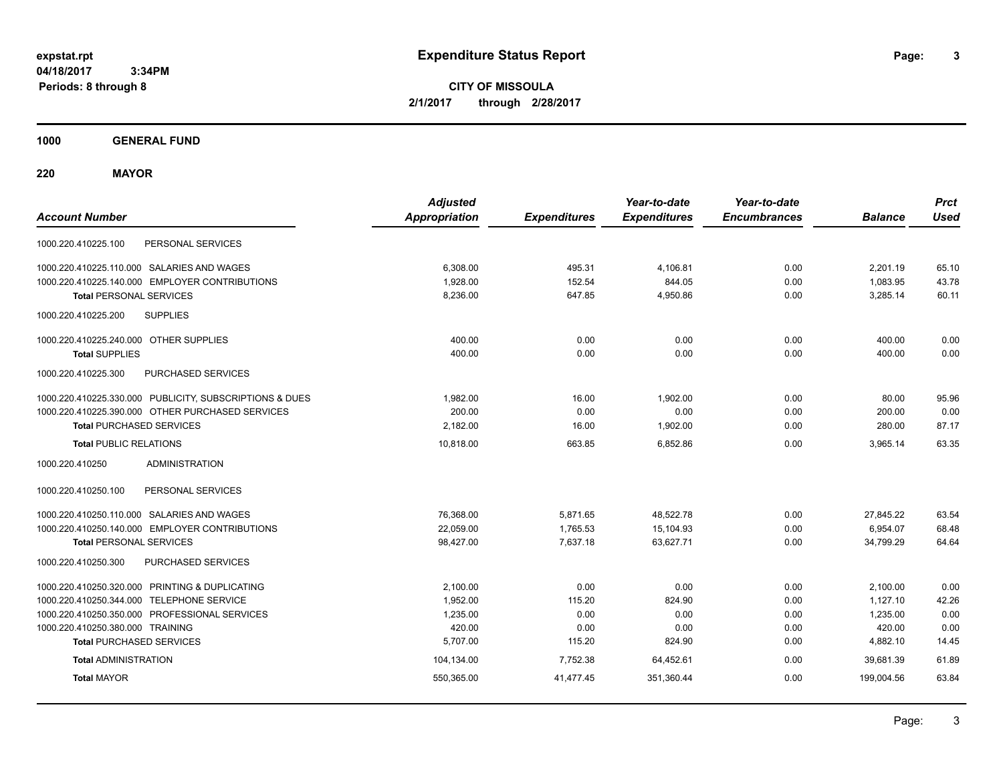**3**

**CITY OF MISSOULA 2/1/2017 through 2/28/2017**

**1000 GENERAL FUND**

**220 MAYOR**

| <b>Account Number</b>                                   | <b>Adjusted</b><br><b>Appropriation</b> | <b>Expenditures</b> | Year-to-date<br><b>Expenditures</b> | Year-to-date<br><b>Encumbrances</b> | <b>Balance</b> | <b>Prct</b><br><b>Used</b> |
|---------------------------------------------------------|-----------------------------------------|---------------------|-------------------------------------|-------------------------------------|----------------|----------------------------|
| PERSONAL SERVICES<br>1000.220.410225.100                |                                         |                     |                                     |                                     |                |                            |
| 1000.220.410225.110.000 SALARIES AND WAGES              | 6,308.00                                | 495.31              | 4.106.81                            | 0.00                                | 2.201.19       | 65.10                      |
| 1000.220.410225.140.000 EMPLOYER CONTRIBUTIONS          | 1,928.00                                | 152.54              | 844.05                              | 0.00                                | 1,083.95       | 43.78                      |
| <b>Total PERSONAL SERVICES</b>                          | 8,236.00                                | 647.85              | 4,950.86                            | 0.00                                | 3,285.14       | 60.11                      |
| 1000.220.410225.200<br><b>SUPPLIES</b>                  |                                         |                     |                                     |                                     |                |                            |
| 1000.220.410225.240.000 OTHER SUPPLIES                  | 400.00                                  | 0.00                | 0.00                                | 0.00                                | 400.00         | 0.00                       |
| <b>Total SUPPLIES</b>                                   | 400.00                                  | 0.00                | 0.00                                | 0.00                                | 400.00         | 0.00                       |
| PURCHASED SERVICES<br>1000.220.410225.300               |                                         |                     |                                     |                                     |                |                            |
| 1000.220.410225.330.000 PUBLICITY, SUBSCRIPTIONS & DUES | 1.982.00                                | 16.00               | 1,902.00                            | 0.00                                | 80.00          | 95.96                      |
| 1000.220.410225.390.000 OTHER PURCHASED SERVICES        | 200.00                                  | 0.00                | 0.00                                | 0.00                                | 200.00         | 0.00                       |
| <b>Total PURCHASED SERVICES</b>                         | 2,182.00                                | 16.00               | 1,902.00                            | 0.00                                | 280.00         | 87.17                      |
| <b>Total PUBLIC RELATIONS</b>                           | 10,818.00                               | 663.85              | 6.852.86                            | 0.00                                | 3,965.14       | 63.35                      |
| 1000.220.410250<br><b>ADMINISTRATION</b>                |                                         |                     |                                     |                                     |                |                            |
| 1000.220.410250.100<br>PERSONAL SERVICES                |                                         |                     |                                     |                                     |                |                            |
| 1000.220.410250.110.000 SALARIES AND WAGES              | 76,368.00                               | 5,871.65            | 48,522.78                           | 0.00                                | 27,845.22      | 63.54                      |
| 1000.220.410250.140.000 EMPLOYER CONTRIBUTIONS          | 22,059.00                               | 1,765.53            | 15,104.93                           | 0.00                                | 6,954.07       | 68.48                      |
| <b>Total PERSONAL SERVICES</b>                          | 98,427.00                               | 7,637.18            | 63,627.71                           | 0.00                                | 34,799.29      | 64.64                      |
| PURCHASED SERVICES<br>1000.220.410250.300               |                                         |                     |                                     |                                     |                |                            |
| 1000.220.410250.320.000 PRINTING & DUPLICATING          | 2,100.00                                | 0.00                | 0.00                                | 0.00                                | 2,100.00       | 0.00                       |
| 1000.220.410250.344.000 TELEPHONE SERVICE               | 1,952.00                                | 115.20              | 824.90                              | 0.00                                | 1,127.10       | 42.26                      |
| 1000.220.410250.350.000 PROFESSIONAL SERVICES           | 1,235.00                                | 0.00                | 0.00                                | 0.00                                | 1,235.00       | 0.00                       |
| 1000.220.410250.380.000 TRAINING                        | 420.00                                  | 0.00                | 0.00                                | 0.00                                | 420.00         | 0.00                       |
| <b>Total PURCHASED SERVICES</b>                         | 5,707.00                                | 115.20              | 824.90                              | 0.00                                | 4,882.10       | 14.45                      |
| <b>Total ADMINISTRATION</b>                             | 104,134.00                              | 7,752.38            | 64,452.61                           | 0.00                                | 39,681.39      | 61.89                      |
| <b>Total MAYOR</b>                                      | 550,365.00                              | 41,477.45           | 351,360.44                          | 0.00                                | 199.004.56     | 63.84                      |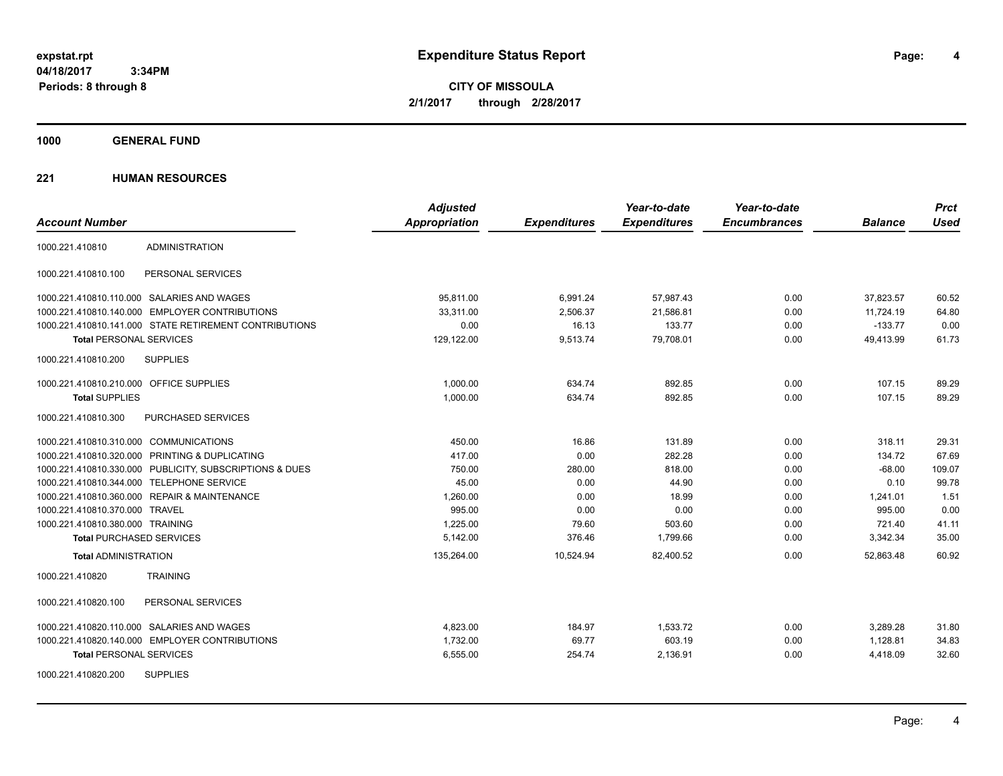**CITY OF MISSOULA 2/1/2017 through 2/28/2017**

**1000 GENERAL FUND**

|                                                         | <b>Adjusted</b>      |                     | Year-to-date        | Year-to-date        |                | <b>Prct</b> |
|---------------------------------------------------------|----------------------|---------------------|---------------------|---------------------|----------------|-------------|
| <b>Account Number</b>                                   | <b>Appropriation</b> | <b>Expenditures</b> | <b>Expenditures</b> | <b>Encumbrances</b> | <b>Balance</b> | <b>Used</b> |
| <b>ADMINISTRATION</b><br>1000.221.410810                |                      |                     |                     |                     |                |             |
| PERSONAL SERVICES<br>1000.221.410810.100                |                      |                     |                     |                     |                |             |
| 1000.221.410810.110.000 SALARIES AND WAGES              | 95,811.00            | 6,991.24            | 57,987.43           | 0.00                | 37,823.57      | 60.52       |
| 1000.221.410810.140.000 EMPLOYER CONTRIBUTIONS          | 33,311.00            | 2,506.37            | 21,586.81           | 0.00                | 11,724.19      | 64.80       |
| 1000.221.410810.141.000 STATE RETIREMENT CONTRIBUTIONS  | 0.00                 | 16.13               | 133.77              | 0.00                | $-133.77$      | 0.00        |
| <b>Total PERSONAL SERVICES</b>                          | 129,122.00           | 9,513.74            | 79,708.01           | 0.00                | 49,413.99      | 61.73       |
| 1000.221.410810.200<br><b>SUPPLIES</b>                  |                      |                     |                     |                     |                |             |
| 1000.221.410810.210.000 OFFICE SUPPLIES                 | 1.000.00             | 634.74              | 892.85              | 0.00                | 107.15         | 89.29       |
| <b>Total SUPPLIES</b>                                   | 1,000.00             | 634.74              | 892.85              | 0.00                | 107.15         | 89.29       |
| 1000.221.410810.300<br>PURCHASED SERVICES               |                      |                     |                     |                     |                |             |
| 1000.221.410810.310.000 COMMUNICATIONS                  | 450.00               | 16.86               | 131.89              | 0.00                | 318.11         | 29.31       |
| 1000.221.410810.320.000 PRINTING & DUPLICATING          | 417.00               | 0.00                | 282.28              | 0.00                | 134.72         | 67.69       |
| 1000.221.410810.330.000 PUBLICITY, SUBSCRIPTIONS & DUES | 750.00               | 280.00              | 818.00              | 0.00                | $-68.00$       | 109.07      |
| 1000.221.410810.344.000 TELEPHONE SERVICE               | 45.00                | 0.00                | 44.90               | 0.00                | 0.10           | 99.78       |
| 1000.221.410810.360.000 REPAIR & MAINTENANCE            | 1,260.00             | 0.00                | 18.99               | 0.00                | 1,241.01       | 1.51        |
| 1000.221.410810.370.000 TRAVEL                          | 995.00               | 0.00                | 0.00                | 0.00                | 995.00         | 0.00        |
| 1000.221.410810.380.000 TRAINING                        | 1,225.00             | 79.60               | 503.60              | 0.00                | 721.40         | 41.11       |
| <b>Total PURCHASED SERVICES</b>                         | 5,142.00             | 376.46              | 1,799.66            | 0.00                | 3,342.34       | 35.00       |
| <b>Total ADMINISTRATION</b>                             | 135,264.00           | 10,524.94           | 82,400.52           | 0.00                | 52.863.48      | 60.92       |
| 1000.221.410820<br><b>TRAINING</b>                      |                      |                     |                     |                     |                |             |
| 1000.221.410820.100<br>PERSONAL SERVICES                |                      |                     |                     |                     |                |             |
| 1000.221.410820.110.000 SALARIES AND WAGES              | 4,823.00             | 184.97              | 1,533.72            | 0.00                | 3,289.28       | 31.80       |
| 1000.221.410820.140.000 EMPLOYER CONTRIBUTIONS          | 1,732.00             | 69.77               | 603.19              | 0.00                | 1,128.81       | 34.83       |
| <b>Total PERSONAL SERVICES</b>                          | 6,555.00             | 254.74              | 2,136.91            | 0.00                | 4,418.09       | 32.60       |
| <b>SUPPLIES</b><br>1000.221.410820.200                  |                      |                     |                     |                     |                |             |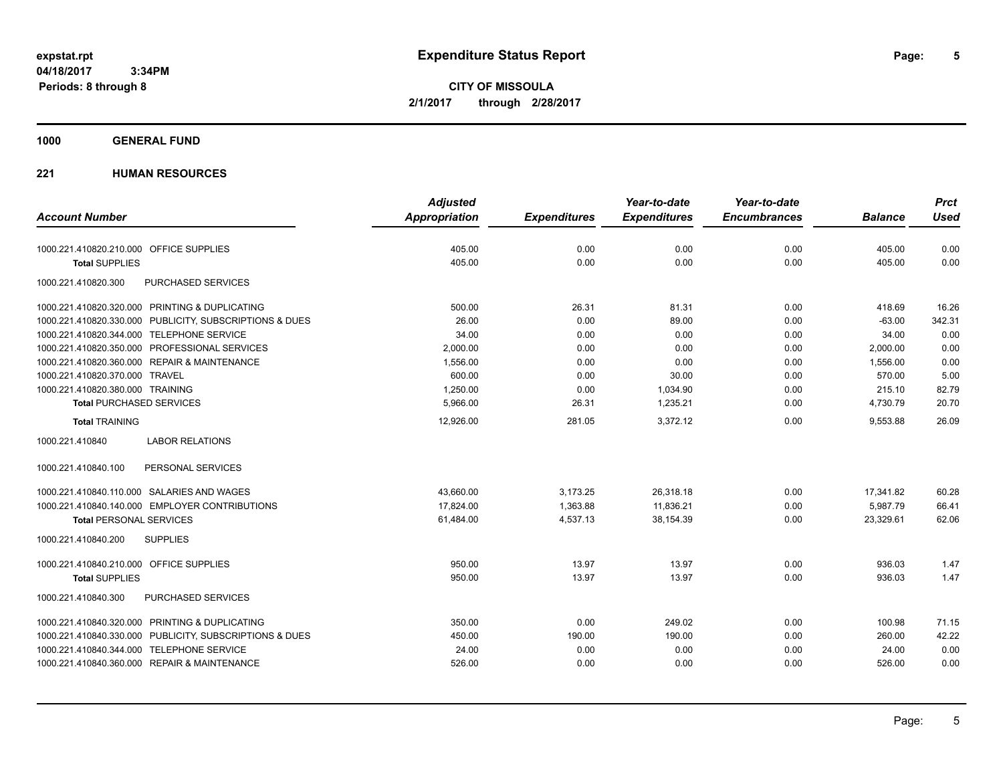**CITY OF MISSOULA 2/1/2017 through 2/28/2017**

### **1000 GENERAL FUND**

|                                                         | <b>Adjusted</b> |                     | Year-to-date        | Year-to-date        |                | <b>Prct</b> |
|---------------------------------------------------------|-----------------|---------------------|---------------------|---------------------|----------------|-------------|
| <b>Account Number</b>                                   | Appropriation   | <b>Expenditures</b> | <b>Expenditures</b> | <b>Encumbrances</b> | <b>Balance</b> | <b>Used</b> |
| 1000.221.410820.210.000 OFFICE SUPPLIES                 | 405.00          | 0.00                | 0.00                | 0.00                | 405.00         | 0.00        |
| <b>Total SUPPLIES</b>                                   | 405.00          | 0.00                | 0.00                | 0.00                | 405.00         | 0.00        |
| 1000.221.410820.300<br><b>PURCHASED SERVICES</b>        |                 |                     |                     |                     |                |             |
| 1000.221.410820.320.000 PRINTING & DUPLICATING          | 500.00          | 26.31               | 81.31               | 0.00                | 418.69         | 16.26       |
| 1000.221.410820.330.000 PUBLICITY, SUBSCRIPTIONS & DUES | 26.00           | 0.00                | 89.00               | 0.00                | $-63.00$       | 342.31      |
| 1000.221.410820.344.000 TELEPHONE SERVICE               | 34.00           | 0.00                | 0.00                | 0.00                | 34.00          | 0.00        |
| 1000.221.410820.350.000 PROFESSIONAL SERVICES           | 2,000.00        | 0.00                | 0.00                | 0.00                | 2,000.00       | 0.00        |
| 1000.221.410820.360.000 REPAIR & MAINTENANCE            | 1,556.00        | 0.00                | 0.00                | 0.00                | 1,556.00       | 0.00        |
| 1000.221.410820.370.000 TRAVEL                          | 600.00          | 0.00                | 30.00               | 0.00                | 570.00         | 5.00        |
| 1000.221.410820.380.000 TRAINING                        | 1,250.00        | 0.00                | 1,034.90            | 0.00                | 215.10         | 82.79       |
| <b>Total PURCHASED SERVICES</b>                         | 5,966.00        | 26.31               | 1,235.21            | 0.00                | 4,730.79       | 20.70       |
| <b>Total TRAINING</b>                                   | 12,926.00       | 281.05              | 3,372.12            | 0.00                | 9,553.88       | 26.09       |
| 1000.221.410840<br><b>LABOR RELATIONS</b>               |                 |                     |                     |                     |                |             |
| 1000.221.410840.100<br>PERSONAL SERVICES                |                 |                     |                     |                     |                |             |
| 1000.221.410840.110.000 SALARIES AND WAGES              | 43,660.00       | 3,173.25            | 26,318.18           | 0.00                | 17,341.82      | 60.28       |
| 1000.221.410840.140.000 EMPLOYER CONTRIBUTIONS          | 17.824.00       | 1.363.88            | 11.836.21           | 0.00                | 5.987.79       | 66.41       |
| <b>Total PERSONAL SERVICES</b>                          | 61,484.00       | 4,537.13            | 38,154.39           | 0.00                | 23,329.61      | 62.06       |
| <b>SUPPLIES</b><br>1000.221.410840.200                  |                 |                     |                     |                     |                |             |
| 1000.221.410840.210.000 OFFICE SUPPLIES                 | 950.00          | 13.97               | 13.97               | 0.00                | 936.03         | 1.47        |
| <b>Total SUPPLIES</b>                                   | 950.00          | 13.97               | 13.97               | 0.00                | 936.03         | 1.47        |
| PURCHASED SERVICES<br>1000.221.410840.300               |                 |                     |                     |                     |                |             |
| 1000.221.410840.320.000 PRINTING & DUPLICATING          | 350.00          | 0.00                | 249.02              | 0.00                | 100.98         | 71.15       |
| 1000.221.410840.330.000 PUBLICITY, SUBSCRIPTIONS & DUES | 450.00          | 190.00              | 190.00              | 0.00                | 260.00         | 42.22       |
| 1000.221.410840.344.000 TELEPHONE SERVICE               | 24.00           | 0.00                | 0.00                | 0.00                | 24.00          | 0.00        |
| 1000.221.410840.360.000 REPAIR & MAINTENANCE            | 526.00          | 0.00                | 0.00                | 0.00                | 526.00         | 0.00        |
|                                                         |                 |                     |                     |                     |                |             |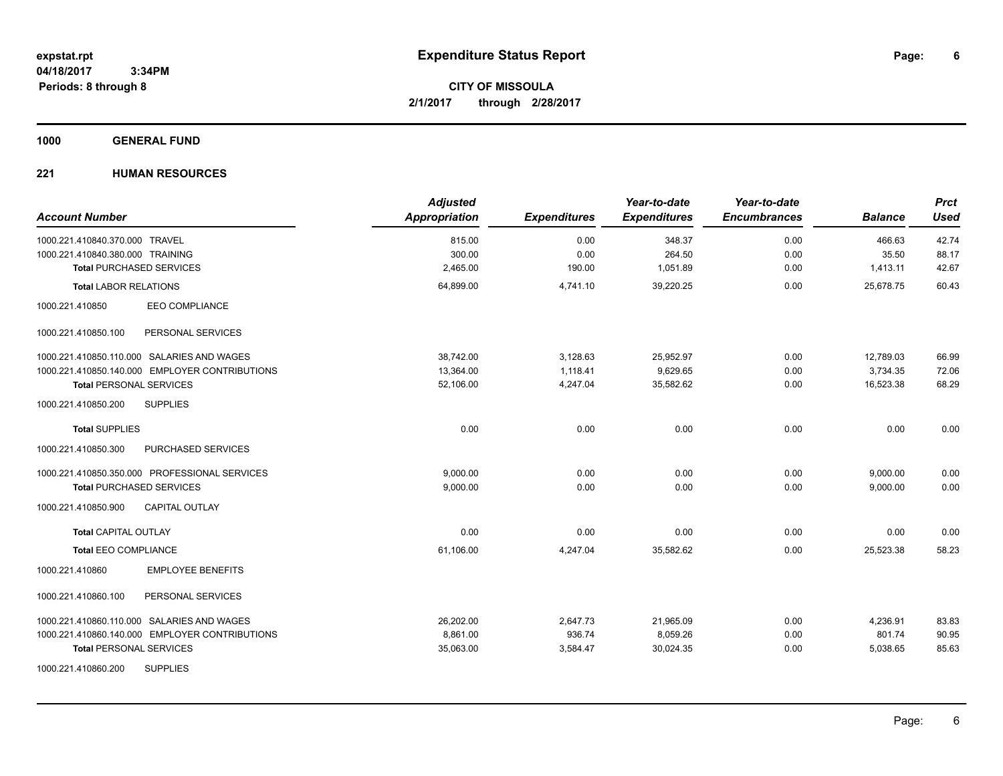**CITY OF MISSOULA 2/1/2017 through 2/28/2017**

**1000 GENERAL FUND**

| <b>Account Number</b>                          | <b>Adjusted</b><br>Appropriation | <b>Expenditures</b> | Year-to-date<br><b>Expenditures</b> | Year-to-date<br><b>Encumbrances</b> | <b>Balance</b> | <b>Prct</b><br><b>Used</b> |
|------------------------------------------------|----------------------------------|---------------------|-------------------------------------|-------------------------------------|----------------|----------------------------|
| 1000.221.410840.370.000 TRAVEL                 | 815.00                           | 0.00                | 348.37                              | 0.00                                | 466.63         | 42.74                      |
| 1000.221.410840.380.000 TRAINING               | 300.00                           | 0.00                | 264.50                              | 0.00                                | 35.50          | 88.17                      |
| <b>Total PURCHASED SERVICES</b>                | 2,465.00                         | 190.00              | 1,051.89                            | 0.00                                | 1,413.11       | 42.67                      |
| <b>Total LABOR RELATIONS</b>                   | 64,899.00                        | 4,741.10            | 39,220.25                           | 0.00                                | 25,678.75      | 60.43                      |
| <b>EEO COMPLIANCE</b><br>1000.221.410850       |                                  |                     |                                     |                                     |                |                            |
| PERSONAL SERVICES<br>1000.221.410850.100       |                                  |                     |                                     |                                     |                |                            |
| 1000.221.410850.110.000 SALARIES AND WAGES     | 38.742.00                        | 3,128.63            | 25,952.97                           | 0.00                                | 12,789.03      | 66.99                      |
| 1000.221.410850.140.000 EMPLOYER CONTRIBUTIONS | 13,364.00                        | 1,118.41            | 9,629.65                            | 0.00                                | 3,734.35       | 72.06                      |
| <b>Total PERSONAL SERVICES</b>                 | 52,106.00                        | 4,247.04            | 35,582.62                           | 0.00                                | 16,523.38      | 68.29                      |
| 1000.221.410850.200<br><b>SUPPLIES</b>         |                                  |                     |                                     |                                     |                |                            |
| <b>Total SUPPLIES</b>                          | 0.00                             | 0.00                | 0.00                                | 0.00                                | 0.00           | 0.00                       |
| 1000.221.410850.300<br>PURCHASED SERVICES      |                                  |                     |                                     |                                     |                |                            |
| 1000.221.410850.350.000 PROFESSIONAL SERVICES  | 9,000.00                         | 0.00                | 0.00                                | 0.00                                | 9,000.00       | 0.00                       |
| <b>Total PURCHASED SERVICES</b>                | 9,000.00                         | 0.00                | 0.00                                | 0.00                                | 9,000.00       | 0.00                       |
| 1000.221.410850.900<br><b>CAPITAL OUTLAY</b>   |                                  |                     |                                     |                                     |                |                            |
| <b>Total CAPITAL OUTLAY</b>                    | 0.00                             | 0.00                | 0.00                                | 0.00                                | 0.00           | 0.00                       |
| <b>Total EEO COMPLIANCE</b>                    | 61,106.00                        | 4,247.04            | 35,582.62                           | 0.00                                | 25,523.38      | 58.23                      |
| <b>EMPLOYEE BENEFITS</b><br>1000.221.410860    |                                  |                     |                                     |                                     |                |                            |
| 1000.221.410860.100<br>PERSONAL SERVICES       |                                  |                     |                                     |                                     |                |                            |
| 1000.221.410860.110.000 SALARIES AND WAGES     | 26,202.00                        | 2,647.73            | 21,965.09                           | 0.00                                | 4,236.91       | 83.83                      |
| 1000.221.410860.140.000 EMPLOYER CONTRIBUTIONS | 8,861.00                         | 936.74              | 8,059.26                            | 0.00                                | 801.74         | 90.95                      |
| <b>Total PERSONAL SERVICES</b>                 | 35,063.00                        | 3,584.47            | 30,024.35                           | 0.00                                | 5,038.65       | 85.63                      |
| <b>SUPPLIES</b><br>1000.221.410860.200         |                                  |                     |                                     |                                     |                |                            |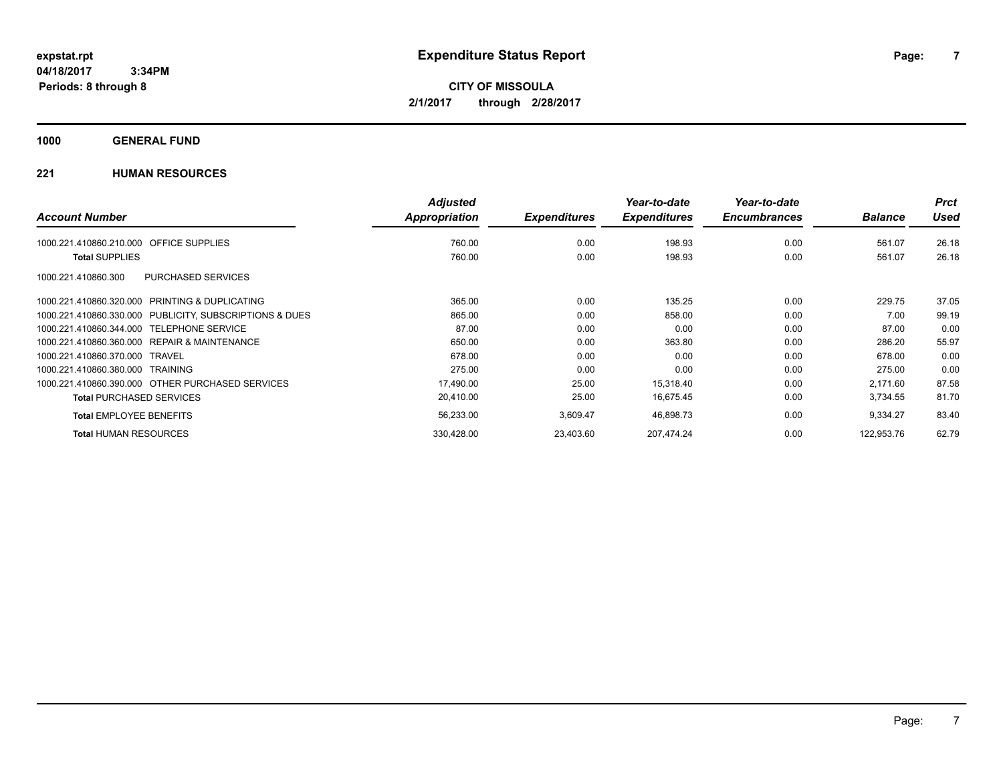**CITY OF MISSOULA 2/1/2017 through 2/28/2017**

### **1000 GENERAL FUND**

|                                                         | <b>Adjusted</b> |                     | Year-to-date        | Year-to-date        |                | <b>Prct</b> |
|---------------------------------------------------------|-----------------|---------------------|---------------------|---------------------|----------------|-------------|
| <b>Account Number</b>                                   | Appropriation   | <b>Expenditures</b> | <b>Expenditures</b> | <b>Encumbrances</b> | <b>Balance</b> | <b>Used</b> |
| <b>OFFICE SUPPLIES</b><br>1000.221.410860.210.000       | 760.00          | 0.00                | 198.93              | 0.00                | 561.07         | 26.18       |
| <b>Total SUPPLIES</b>                                   | 760.00          | 0.00                | 198.93              | 0.00                | 561.07         | 26.18       |
| <b>PURCHASED SERVICES</b><br>1000.221.410860.300        |                 |                     |                     |                     |                |             |
| 1000.221.410860.320.000 PRINTING & DUPLICATING          | 365.00          | 0.00                | 135.25              | 0.00                | 229.75         | 37.05       |
| 1000.221.410860.330.000 PUBLICITY, SUBSCRIPTIONS & DUES | 865.00          | 0.00                | 858.00              | 0.00                | 7.00           | 99.19       |
| 1000.221.410860.344.000 TELEPHONE SERVICE               | 87.00           | 0.00                | 0.00                | 0.00                | 87.00          | 0.00        |
| 1000.221.410860.360.000 REPAIR & MAINTENANCE            | 650.00          | 0.00                | 363.80              | 0.00                | 286.20         | 55.97       |
| 1000.221.410860.370.000 TRAVEL                          | 678.00          | 0.00                | 0.00                | 0.00                | 678.00         | 0.00        |
| 1000.221.410860.380.000 TRAINING                        | 275.00          | 0.00                | 0.00                | 0.00                | 275.00         | 0.00        |
| 1000.221.410860.390.000 OTHER PURCHASED SERVICES        | 17,490.00       | 25.00               | 15,318.40           | 0.00                | 2,171.60       | 87.58       |
| <b>Total PURCHASED SERVICES</b>                         | 20,410.00       | 25.00               | 16,675.45           | 0.00                | 3,734.55       | 81.70       |
| <b>Total EMPLOYEE BENEFITS</b>                          | 56,233.00       | 3,609.47            | 46,898.73           | 0.00                | 9,334.27       | 83.40       |
| <b>Total HUMAN RESOURCES</b>                            | 330,428.00      | 23,403.60           | 207.474.24          | 0.00                | 122.953.76     | 62.79       |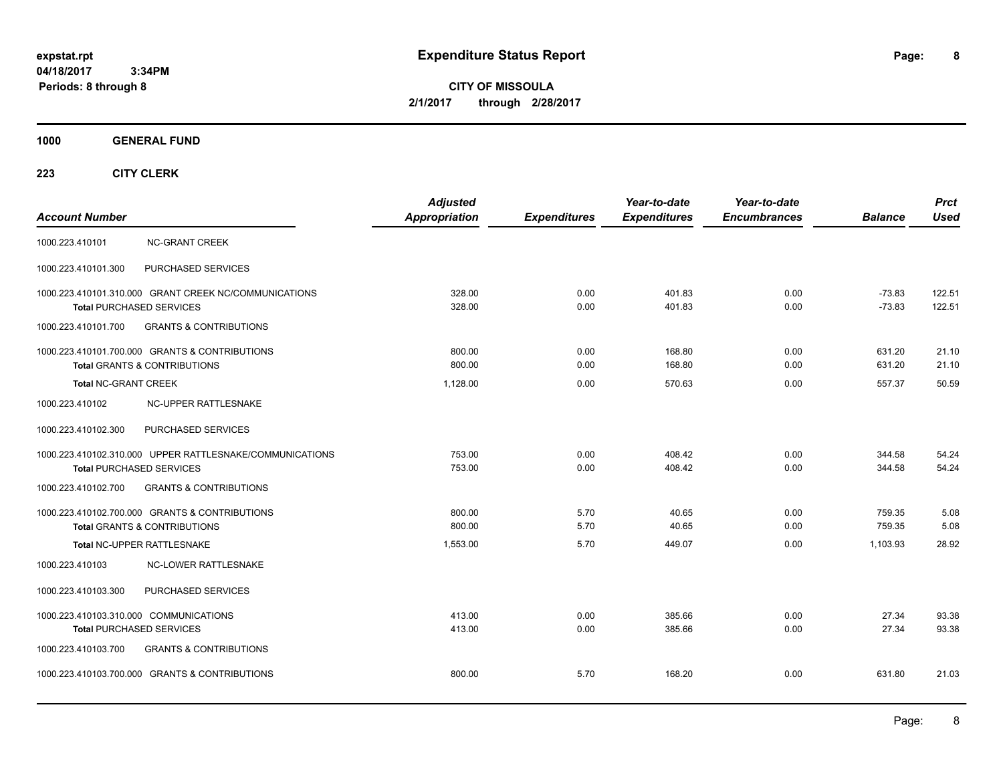**8**

**CITY OF MISSOULA 2/1/2017 through 2/28/2017**

**1000 GENERAL FUND**

| <b>Account Number</b>                                                     |                                                                                             | <b>Adjusted</b><br><b>Appropriation</b> | <b>Expenditures</b> | Year-to-date<br><b>Expenditures</b> | Year-to-date<br><b>Encumbrances</b> | <b>Balance</b>       | <b>Prct</b><br><b>Used</b> |
|---------------------------------------------------------------------------|---------------------------------------------------------------------------------------------|-----------------------------------------|---------------------|-------------------------------------|-------------------------------------|----------------------|----------------------------|
| 1000.223.410101                                                           | <b>NC-GRANT CREEK</b>                                                                       |                                         |                     |                                     |                                     |                      |                            |
| 1000.223.410101.300                                                       | PURCHASED SERVICES                                                                          |                                         |                     |                                     |                                     |                      |                            |
|                                                                           | 1000.223.410101.310.000 GRANT CREEK NC/COMMUNICATIONS<br><b>Total PURCHASED SERVICES</b>    | 328.00<br>328.00                        | 0.00<br>0.00        | 401.83<br>401.83                    | 0.00<br>0.00                        | $-73.83$<br>$-73.83$ | 122.51<br>122.51           |
| 1000.223.410101.700                                                       | <b>GRANTS &amp; CONTRIBUTIONS</b>                                                           |                                         |                     |                                     |                                     |                      |                            |
|                                                                           | 1000.223.410101.700.000 GRANTS & CONTRIBUTIONS<br><b>Total GRANTS &amp; CONTRIBUTIONS</b>   | 800.00<br>800.00                        | 0.00<br>0.00        | 168.80<br>168.80                    | 0.00<br>0.00                        | 631.20<br>631.20     | 21.10<br>21.10             |
| <b>Total NC-GRANT CREEK</b>                                               |                                                                                             | 1,128.00                                | 0.00                | 570.63                              | 0.00                                | 557.37               | 50.59                      |
| 1000.223.410102                                                           | NC-UPPER RATTLESNAKE                                                                        |                                         |                     |                                     |                                     |                      |                            |
| 1000.223.410102.300                                                       | PURCHASED SERVICES                                                                          |                                         |                     |                                     |                                     |                      |                            |
|                                                                           | 1000.223.410102.310.000 UPPER RATTLESNAKE/COMMUNICATIONS<br><b>Total PURCHASED SERVICES</b> | 753.00<br>753.00                        | 0.00<br>0.00        | 408.42<br>408.42                    | 0.00<br>0.00                        | 344.58<br>344.58     | 54.24<br>54.24             |
| 1000.223.410102.700                                                       | <b>GRANTS &amp; CONTRIBUTIONS</b>                                                           |                                         |                     |                                     |                                     |                      |                            |
|                                                                           | 1000.223.410102.700.000 GRANTS & CONTRIBUTIONS<br><b>Total GRANTS &amp; CONTRIBUTIONS</b>   | 800.00<br>800.00                        | 5.70<br>5.70        | 40.65<br>40.65                      | 0.00<br>0.00                        | 759.35<br>759.35     | 5.08<br>5.08               |
|                                                                           | Total NC-UPPER RATTLESNAKE                                                                  | 1.553.00                                | 5.70                | 449.07                              | 0.00                                | 1.103.93             | 28.92                      |
| 1000.223.410103                                                           | <b>NC-LOWER RATTLESNAKE</b>                                                                 |                                         |                     |                                     |                                     |                      |                            |
| 1000.223.410103.300                                                       | PURCHASED SERVICES                                                                          |                                         |                     |                                     |                                     |                      |                            |
| 1000.223.410103.310.000 COMMUNICATIONS<br><b>Total PURCHASED SERVICES</b> |                                                                                             | 413.00<br>413.00                        | 0.00<br>0.00        | 385.66<br>385.66                    | 0.00<br>0.00                        | 27.34<br>27.34       | 93.38<br>93.38             |
| 1000.223.410103.700                                                       | <b>GRANTS &amp; CONTRIBUTIONS</b>                                                           |                                         |                     |                                     |                                     |                      |                            |
|                                                                           | 1000.223.410103.700.000 GRANTS & CONTRIBUTIONS                                              | 800.00                                  | 5.70                | 168.20                              | 0.00                                | 631.80               | 21.03                      |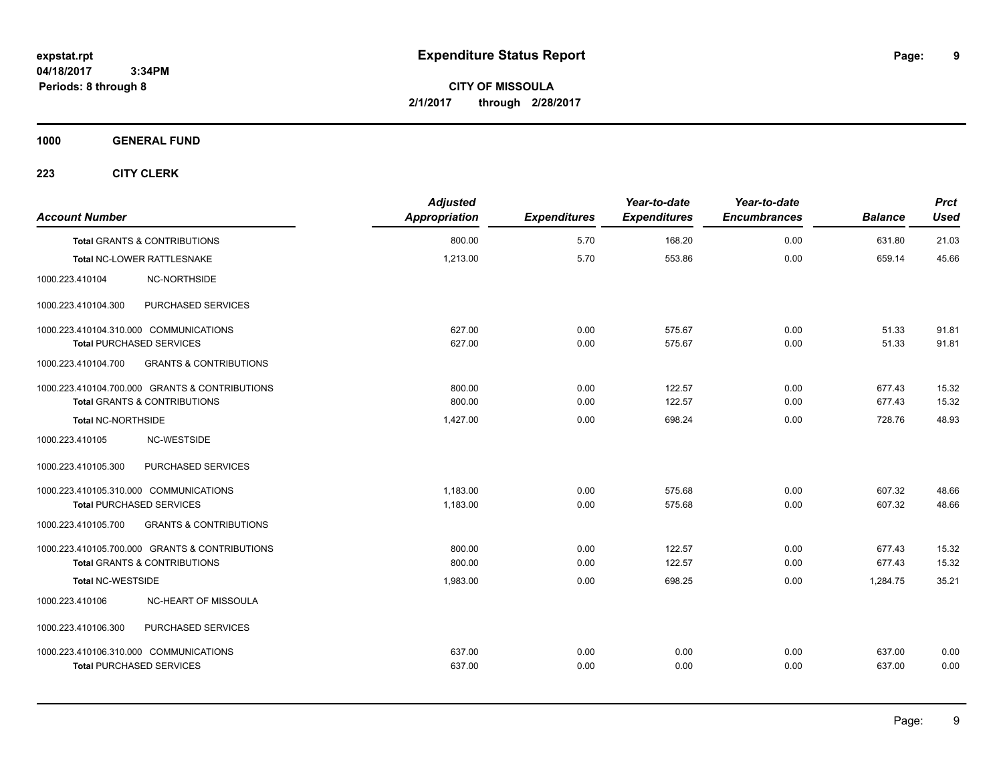**CITY OF MISSOULA 2/1/2017 through 2/28/2017**

**1000 GENERAL FUND**

| <b>Account Number</b>                  |                                                | <b>Adjusted</b><br>Appropriation | <b>Expenditures</b> | Year-to-date<br><b>Expenditures</b> | Year-to-date<br><b>Encumbrances</b> | <b>Balance</b> | <b>Prct</b><br><b>Used</b> |
|----------------------------------------|------------------------------------------------|----------------------------------|---------------------|-------------------------------------|-------------------------------------|----------------|----------------------------|
|                                        | <b>Total GRANTS &amp; CONTRIBUTIONS</b>        | 800.00                           | 5.70                | 168.20                              | 0.00                                | 631.80         | 21.03                      |
|                                        | Total NC-LOWER RATTLESNAKE                     | 1,213.00                         | 5.70                | 553.86                              | 0.00                                | 659.14         | 45.66                      |
| 1000.223.410104                        | <b>NC-NORTHSIDE</b>                            |                                  |                     |                                     |                                     |                |                            |
| 1000.223.410104.300                    | PURCHASED SERVICES                             |                                  |                     |                                     |                                     |                |                            |
| 1000.223.410104.310.000 COMMUNICATIONS |                                                | 627.00                           | 0.00                | 575.67                              | 0.00                                | 51.33          | 91.81                      |
| <b>Total PURCHASED SERVICES</b>        |                                                | 627.00                           | 0.00                | 575.67                              | 0.00                                | 51.33          | 91.81                      |
| 1000.223.410104.700                    | <b>GRANTS &amp; CONTRIBUTIONS</b>              |                                  |                     |                                     |                                     |                |                            |
|                                        | 1000.223.410104.700.000 GRANTS & CONTRIBUTIONS | 800.00                           | 0.00                | 122.57                              | 0.00                                | 677.43         | 15.32                      |
|                                        | <b>Total GRANTS &amp; CONTRIBUTIONS</b>        | 800.00                           | 0.00                | 122.57                              | 0.00                                | 677.43         | 15.32                      |
| Total NC-NORTHSIDE                     |                                                | 1,427.00                         | 0.00                | 698.24                              | 0.00                                | 728.76         | 48.93                      |
| 1000.223.410105                        | NC-WESTSIDE                                    |                                  |                     |                                     |                                     |                |                            |
| 1000.223.410105.300                    | PURCHASED SERVICES                             |                                  |                     |                                     |                                     |                |                            |
| 1000.223.410105.310.000 COMMUNICATIONS |                                                | 1,183.00                         | 0.00                | 575.68                              | 0.00                                | 607.32         | 48.66                      |
| <b>Total PURCHASED SERVICES</b>        |                                                | 1,183.00                         | 0.00                | 575.68                              | 0.00                                | 607.32         | 48.66                      |
| 1000.223.410105.700                    | <b>GRANTS &amp; CONTRIBUTIONS</b>              |                                  |                     |                                     |                                     |                |                            |
|                                        | 1000.223.410105.700.000 GRANTS & CONTRIBUTIONS | 800.00                           | 0.00                | 122.57                              | 0.00                                | 677.43         | 15.32                      |
|                                        | Total GRANTS & CONTRIBUTIONS                   | 800.00                           | 0.00                | 122.57                              | 0.00                                | 677.43         | 15.32                      |
| <b>Total NC-WESTSIDE</b>               |                                                | 1,983.00                         | 0.00                | 698.25                              | 0.00                                | 1,284.75       | 35.21                      |
| 1000.223.410106                        | NC-HEART OF MISSOULA                           |                                  |                     |                                     |                                     |                |                            |
| 1000.223.410106.300                    | PURCHASED SERVICES                             |                                  |                     |                                     |                                     |                |                            |
| 1000.223.410106.310.000 COMMUNICATIONS |                                                | 637.00                           | 0.00                | 0.00                                | 0.00                                | 637.00         | 0.00                       |
| <b>Total PURCHASED SERVICES</b>        |                                                | 637.00                           | 0.00                | 0.00                                | 0.00                                | 637.00         | 0.00                       |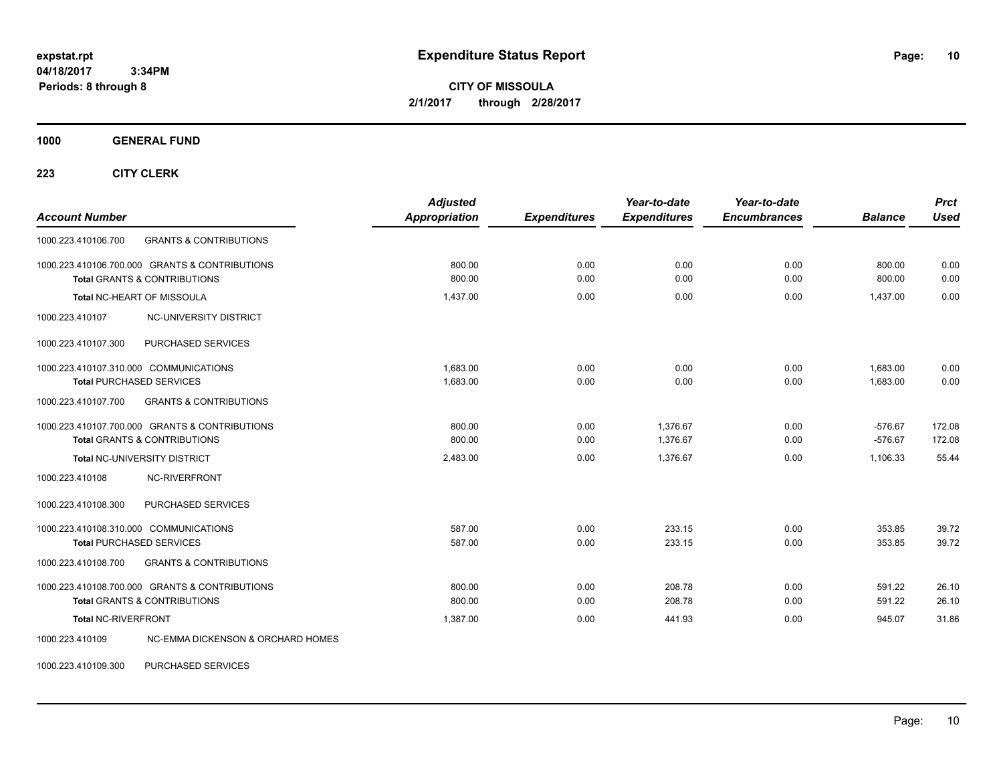**CITY OF MISSOULA 2/1/2017 through 2/28/2017**

**1000 GENERAL FUND**

**223 CITY CLERK**

| <b>Account Number</b>                                                                     | <b>Adjusted</b><br><b>Appropriation</b> | <b>Expenditures</b> | Year-to-date<br><b>Expenditures</b> | Year-to-date<br><b>Encumbrances</b> | <b>Balance</b>         | <b>Prct</b><br><b>Used</b> |
|-------------------------------------------------------------------------------------------|-----------------------------------------|---------------------|-------------------------------------|-------------------------------------|------------------------|----------------------------|
| 1000.223.410106.700<br><b>GRANTS &amp; CONTRIBUTIONS</b>                                  |                                         |                     |                                     |                                     |                        |                            |
| 1000.223.410106.700.000 GRANTS & CONTRIBUTIONS<br><b>Total GRANTS &amp; CONTRIBUTIONS</b> | 800.00<br>800.00                        | 0.00<br>0.00        | 0.00<br>0.00                        | 0.00<br>0.00                        | 800.00<br>800.00       | 0.00<br>0.00               |
| Total NC-HEART OF MISSOULA                                                                | 1,437.00                                | 0.00                | 0.00                                | 0.00                                | 1,437.00               | 0.00                       |
| 1000.223.410107<br>NC-UNIVERSITY DISTRICT                                                 |                                         |                     |                                     |                                     |                        |                            |
| PURCHASED SERVICES<br>1000.223.410107.300                                                 |                                         |                     |                                     |                                     |                        |                            |
| 1000.223.410107.310.000 COMMUNICATIONS<br><b>Total PURCHASED SERVICES</b>                 | 1.683.00<br>1,683.00                    | 0.00<br>0.00        | 0.00<br>0.00                        | 0.00<br>0.00                        | 1.683.00<br>1,683.00   | 0.00<br>0.00               |
| 1000.223.410107.700<br><b>GRANTS &amp; CONTRIBUTIONS</b>                                  |                                         |                     |                                     |                                     |                        |                            |
| 1000.223.410107.700.000 GRANTS & CONTRIBUTIONS<br><b>Total GRANTS &amp; CONTRIBUTIONS</b> | 800.00<br>800.00                        | 0.00<br>0.00        | 1.376.67<br>1,376.67                | 0.00<br>0.00                        | $-576.67$<br>$-576.67$ | 172.08<br>172.08           |
| Total NC-UNIVERSITY DISTRICT                                                              | 2,483.00                                | 0.00                | 1,376.67                            | 0.00                                | 1,106.33               | 55.44                      |
| NC-RIVERFRONT<br>1000.223.410108                                                          |                                         |                     |                                     |                                     |                        |                            |
| 1000.223.410108.300<br>PURCHASED SERVICES                                                 |                                         |                     |                                     |                                     |                        |                            |
| 1000.223.410108.310.000 COMMUNICATIONS<br><b>Total PURCHASED SERVICES</b>                 | 587.00<br>587.00                        | 0.00<br>0.00        | 233.15<br>233.15                    | 0.00<br>0.00                        | 353.85<br>353.85       | 39.72<br>39.72             |
| <b>GRANTS &amp; CONTRIBUTIONS</b><br>1000.223.410108.700                                  |                                         |                     |                                     |                                     |                        |                            |
| 1000.223.410108.700.000 GRANTS & CONTRIBUTIONS<br><b>Total GRANTS &amp; CONTRIBUTIONS</b> | 800.00<br>800.00                        | 0.00<br>0.00        | 208.78<br>208.78                    | 0.00<br>0.00                        | 591.22<br>591.22       | 26.10<br>26.10             |
| Total NC-RIVERFRONT                                                                       | 1.387.00                                | 0.00                | 441.93                              | 0.00                                | 945.07                 | 31.86                      |
| <b>NC-EMMA DICKENSON &amp; ORCHARD HOMES</b><br>1000.223.410109                           |                                         |                     |                                     |                                     |                        |                            |

1000.223.410109.300 PURCHASED SERVICES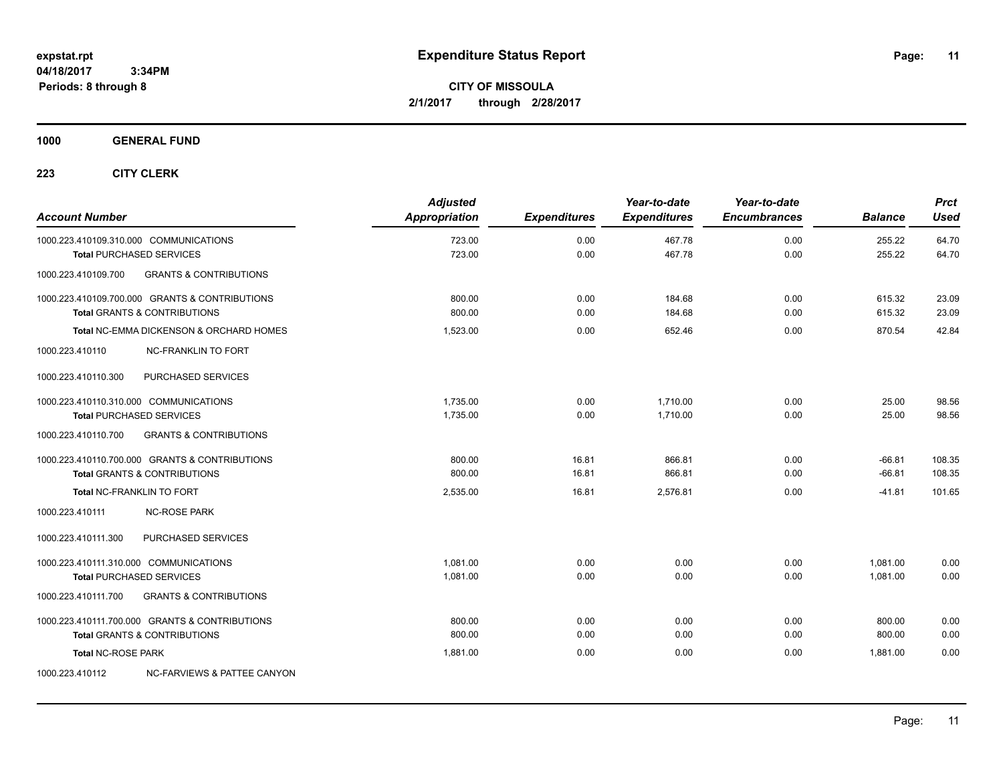**CITY OF MISSOULA 2/1/2017 through 2/28/2017**

### **1000 GENERAL FUND**

| <b>Account Number</b>                  |                                                                                           | <b>Adjusted</b><br><b>Appropriation</b> | <b>Expenditures</b> | Year-to-date<br><b>Expenditures</b> | Year-to-date<br><b>Encumbrances</b> | <b>Balance</b>       | <b>Prct</b><br><b>Used</b> |
|----------------------------------------|-------------------------------------------------------------------------------------------|-----------------------------------------|---------------------|-------------------------------------|-------------------------------------|----------------------|----------------------------|
| 1000.223.410109.310.000 COMMUNICATIONS | <b>Total PURCHASED SERVICES</b>                                                           | 723.00<br>723.00                        | 0.00<br>0.00        | 467.78<br>467.78                    | 0.00<br>0.00                        | 255.22<br>255.22     | 64.70<br>64.70             |
| 1000.223.410109.700                    | <b>GRANTS &amp; CONTRIBUTIONS</b>                                                         |                                         |                     |                                     |                                     |                      |                            |
|                                        | 1000.223.410109.700.000 GRANTS & CONTRIBUTIONS<br><b>Total GRANTS &amp; CONTRIBUTIONS</b> | 800.00<br>800.00                        | 0.00<br>0.00        | 184.68<br>184.68                    | 0.00<br>0.00                        | 615.32<br>615.32     | 23.09<br>23.09             |
|                                        | Total NC-EMMA DICKENSON & ORCHARD HOMES                                                   | 1,523.00                                | 0.00                | 652.46                              | 0.00                                | 870.54               | 42.84                      |
| 1000.223.410110                        | <b>NC-FRANKLIN TO FORT</b>                                                                |                                         |                     |                                     |                                     |                      |                            |
| 1000.223.410110.300                    | PURCHASED SERVICES                                                                        |                                         |                     |                                     |                                     |                      |                            |
| 1000.223.410110.310.000 COMMUNICATIONS | <b>Total PURCHASED SERVICES</b>                                                           | 1,735.00<br>1,735.00                    | 0.00<br>0.00        | 1,710.00<br>1.710.00                | 0.00<br>0.00                        | 25.00<br>25.00       | 98.56<br>98.56             |
| 1000.223.410110.700                    | <b>GRANTS &amp; CONTRIBUTIONS</b>                                                         |                                         |                     |                                     |                                     |                      |                            |
|                                        | 1000.223.410110.700.000 GRANTS & CONTRIBUTIONS<br><b>Total GRANTS &amp; CONTRIBUTIONS</b> | 800.00<br>800.00                        | 16.81<br>16.81      | 866.81<br>866.81                    | 0.00<br>0.00                        | $-66.81$<br>$-66.81$ | 108.35<br>108.35           |
|                                        | Total NC-FRANKLIN TO FORT                                                                 | 2,535.00                                | 16.81               | 2,576.81                            | 0.00                                | $-41.81$             | 101.65                     |
| 1000.223.410111                        | <b>NC-ROSE PARK</b>                                                                       |                                         |                     |                                     |                                     |                      |                            |
| 1000.223.410111.300                    | PURCHASED SERVICES                                                                        |                                         |                     |                                     |                                     |                      |                            |
| 1000.223.410111.310.000 COMMUNICATIONS | <b>Total PURCHASED SERVICES</b>                                                           | 1,081.00<br>1,081.00                    | 0.00<br>0.00        | 0.00<br>0.00                        | 0.00<br>0.00                        | 1,081.00<br>1.081.00 | 0.00<br>0.00               |
| 1000.223.410111.700                    | <b>GRANTS &amp; CONTRIBUTIONS</b>                                                         |                                         |                     |                                     |                                     |                      |                            |
|                                        | 1000.223.410111.700.000 GRANTS & CONTRIBUTIONS<br><b>Total GRANTS &amp; CONTRIBUTIONS</b> | 800.00<br>800.00                        | 0.00<br>0.00        | 0.00<br>0.00                        | 0.00<br>0.00                        | 800.00<br>800.00     | 0.00<br>0.00               |
| <b>Total NC-ROSE PARK</b>              |                                                                                           | 1,881.00                                | 0.00                | 0.00                                | 0.00                                | 1,881.00             | 0.00                       |
| 1000.223.410112                        | NC-FARVIEWS & PATTEE CANYON                                                               |                                         |                     |                                     |                                     |                      |                            |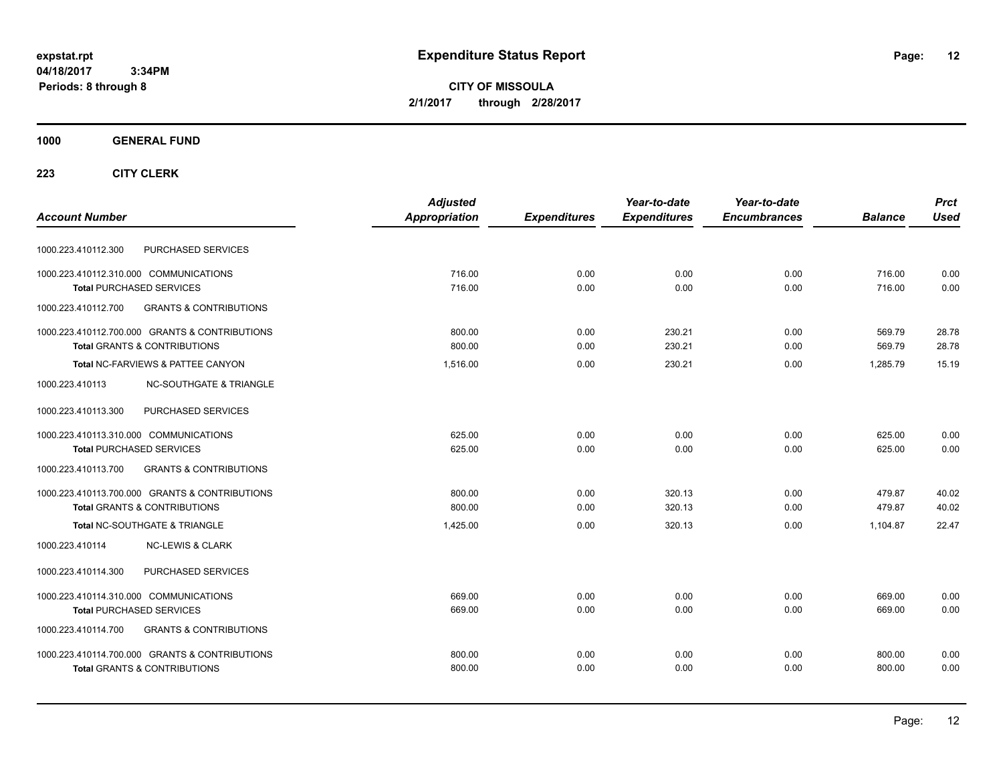**12**

**CITY OF MISSOULA 2/1/2017 through 2/28/2017**

### **1000 GENERAL FUND**

| <b>Adjusted</b>      |                     | Year-to-date        | Year-to-date        |                | <b>Prct</b> |
|----------------------|---------------------|---------------------|---------------------|----------------|-------------|
| <b>Appropriation</b> | <b>Expenditures</b> | <b>Expenditures</b> | <b>Encumbrances</b> | <b>Balance</b> | <b>Used</b> |
|                      |                     |                     |                     |                |             |
| 716.00               | 0.00                | 0.00                | 0.00                | 716.00         | 0.00        |
| 716.00               | 0.00                | 0.00                | 0.00                | 716.00         | 0.00        |
|                      |                     |                     |                     |                |             |
| 800.00               | 0.00                | 230.21              | 0.00                | 569.79         | 28.78       |
|                      |                     |                     |                     |                | 28.78       |
| 1,516.00             | 0.00                | 230.21              | 0.00                | 1.285.79       | 15.19       |
|                      |                     |                     |                     |                |             |
|                      |                     |                     |                     |                |             |
| 625.00               | 0.00                | 0.00                | 0.00                | 625.00         | 0.00        |
| 625.00               | 0.00                | 0.00                | 0.00                | 625.00         | 0.00        |
|                      |                     |                     |                     |                |             |
| 800.00               | 0.00                | 320.13              | 0.00                | 479.87         | 40.02       |
| 800.00               | 0.00                | 320.13              | 0.00                | 479.87         | 40.02       |
| 1,425.00             | 0.00                | 320.13              | 0.00                | 1,104.87       | 22.47       |
|                      |                     |                     |                     |                |             |
|                      |                     |                     |                     |                |             |
| 669.00               | 0.00                | 0.00                | 0.00                | 669.00         | 0.00        |
| 669.00               | 0.00                | 0.00                | 0.00                | 669.00         | 0.00        |
|                      |                     |                     |                     |                |             |
| 800.00               | 0.00                | 0.00                | 0.00                | 800.00         | 0.00        |
| 800.00               | 0.00                | 0.00                | 0.00                | 800.00         | 0.00        |
|                      | 800.00              | 0.00                | 230.21              | 0.00           | 569.79      |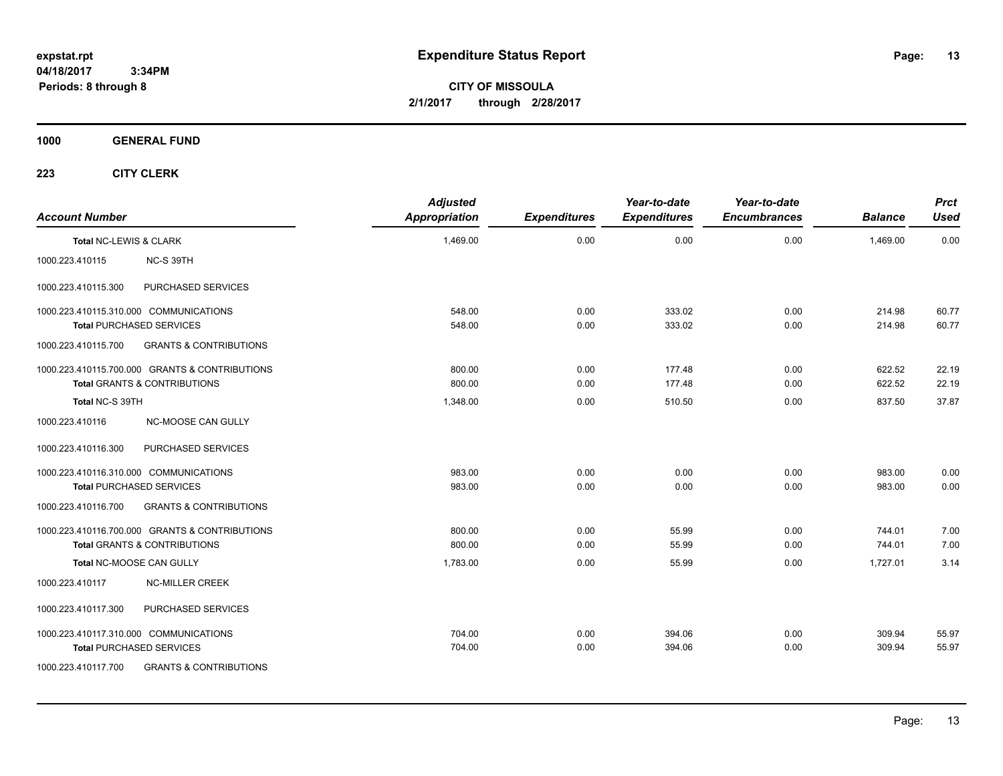**13**

**CITY OF MISSOULA 2/1/2017 through 2/28/2017**

**1000 GENERAL FUND**

| <b>Account Number</b>  |                                                | <b>Adjusted</b><br><b>Appropriation</b> | <b>Expenditures</b> | Year-to-date<br><b>Expenditures</b> | Year-to-date<br><b>Encumbrances</b> | <b>Balance</b> | <b>Prct</b><br><b>Used</b> |
|------------------------|------------------------------------------------|-----------------------------------------|---------------------|-------------------------------------|-------------------------------------|----------------|----------------------------|
| Total NC-LEWIS & CLARK |                                                | 1,469.00                                | 0.00                | 0.00                                | 0.00                                | 1,469.00       | 0.00                       |
| 1000.223.410115        | NC-S 39TH                                      |                                         |                     |                                     |                                     |                |                            |
| 1000.223.410115.300    | PURCHASED SERVICES                             |                                         |                     |                                     |                                     |                |                            |
|                        | 1000.223.410115.310.000 COMMUNICATIONS         | 548.00                                  | 0.00                | 333.02                              | 0.00                                | 214.98         | 60.77                      |
|                        | <b>Total PURCHASED SERVICES</b>                | 548.00                                  | 0.00                | 333.02                              | 0.00                                | 214.98         | 60.77                      |
| 1000.223.410115.700    | <b>GRANTS &amp; CONTRIBUTIONS</b>              |                                         |                     |                                     |                                     |                |                            |
|                        | 1000.223.410115.700.000 GRANTS & CONTRIBUTIONS | 800.00                                  | 0.00                | 177.48                              | 0.00                                | 622.52         | 22.19                      |
|                        | <b>Total GRANTS &amp; CONTRIBUTIONS</b>        | 800.00                                  | 0.00                | 177.48                              | 0.00                                | 622.52         | 22.19                      |
| Total NC-S 39TH        |                                                | 1,348.00                                | 0.00                | 510.50                              | 0.00                                | 837.50         | 37.87                      |
| 1000.223.410116        | NC-MOOSE CAN GULLY                             |                                         |                     |                                     |                                     |                |                            |
| 1000.223.410116.300    | PURCHASED SERVICES                             |                                         |                     |                                     |                                     |                |                            |
|                        | 1000.223.410116.310.000 COMMUNICATIONS         | 983.00                                  | 0.00                | 0.00                                | 0.00                                | 983.00         | 0.00                       |
|                        | <b>Total PURCHASED SERVICES</b>                | 983.00                                  | 0.00                | 0.00                                | 0.00                                | 983.00         | 0.00                       |
| 1000.223.410116.700    | <b>GRANTS &amp; CONTRIBUTIONS</b>              |                                         |                     |                                     |                                     |                |                            |
|                        | 1000.223.410116.700.000 GRANTS & CONTRIBUTIONS | 800.00                                  | 0.00                | 55.99                               | 0.00                                | 744.01         | 7.00                       |
|                        | <b>Total GRANTS &amp; CONTRIBUTIONS</b>        | 800.00                                  | 0.00                | 55.99                               | 0.00                                | 744.01         | 7.00                       |
|                        | Total NC-MOOSE CAN GULLY                       | 1,783.00                                | 0.00                | 55.99                               | 0.00                                | 1,727.01       | 3.14                       |
| 1000.223.410117        | <b>NC-MILLER CREEK</b>                         |                                         |                     |                                     |                                     |                |                            |
| 1000.223.410117.300    | PURCHASED SERVICES                             |                                         |                     |                                     |                                     |                |                            |
|                        | 1000.223.410117.310.000 COMMUNICATIONS         | 704.00                                  | 0.00                | 394.06                              | 0.00                                | 309.94         | 55.97                      |
|                        | <b>Total PURCHASED SERVICES</b>                | 704.00                                  | 0.00                | 394.06                              | 0.00                                | 309.94         | 55.97                      |
| 1000.223.410117.700    | <b>GRANTS &amp; CONTRIBUTIONS</b>              |                                         |                     |                                     |                                     |                |                            |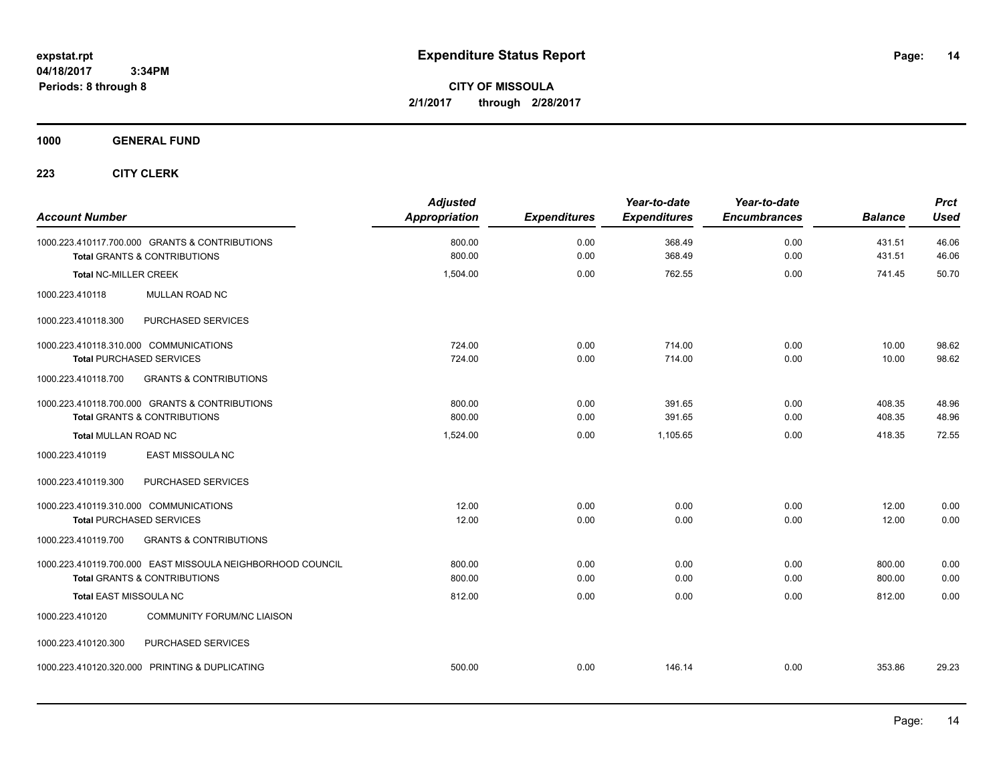**CITY OF MISSOULA 2/1/2017 through 2/28/2017**

**1000 GENERAL FUND**

| <b>Account Number</b>                                                                     | <b>Adjusted</b><br><b>Appropriation</b> | <b>Expenditures</b> | Year-to-date<br><b>Expenditures</b> | Year-to-date<br><b>Encumbrances</b> | <b>Balance</b>   | <b>Prct</b><br><b>Used</b> |
|-------------------------------------------------------------------------------------------|-----------------------------------------|---------------------|-------------------------------------|-------------------------------------|------------------|----------------------------|
| 1000.223.410117.700.000 GRANTS & CONTRIBUTIONS<br><b>Total GRANTS &amp; CONTRIBUTIONS</b> | 800.00<br>800.00                        | 0.00<br>0.00        | 368.49<br>368.49                    | 0.00<br>0.00                        | 431.51<br>431.51 | 46.06<br>46.06             |
|                                                                                           |                                         |                     |                                     |                                     |                  |                            |
| <b>Total NC-MILLER CREEK</b>                                                              | 1,504.00                                | 0.00                | 762.55                              | 0.00                                | 741.45           | 50.70                      |
| MULLAN ROAD NC<br>1000.223.410118                                                         |                                         |                     |                                     |                                     |                  |                            |
| PURCHASED SERVICES<br>1000.223.410118.300                                                 |                                         |                     |                                     |                                     |                  |                            |
| 1000.223.410118.310.000 COMMUNICATIONS                                                    | 724.00                                  | 0.00                | 714.00                              | 0.00                                | 10.00            | 98.62                      |
| <b>Total PURCHASED SERVICES</b>                                                           | 724.00                                  | 0.00                | 714.00                              | 0.00                                | 10.00            | 98.62                      |
| 1000.223.410118.700<br><b>GRANTS &amp; CONTRIBUTIONS</b>                                  |                                         |                     |                                     |                                     |                  |                            |
| 1000.223.410118.700.000 GRANTS & CONTRIBUTIONS                                            | 800.00                                  | 0.00                | 391.65                              | 0.00                                | 408.35           | 48.96                      |
| Total GRANTS & CONTRIBUTIONS                                                              | 800.00                                  | 0.00                | 391.65                              | 0.00                                | 408.35           | 48.96                      |
| <b>Total MULLAN ROAD NC</b>                                                               | 1,524.00                                | 0.00                | 1,105.65                            | 0.00                                | 418.35           | 72.55                      |
| 1000.223.410119<br>EAST MISSOULA NC                                                       |                                         |                     |                                     |                                     |                  |                            |
| 1000.223.410119.300<br>PURCHASED SERVICES                                                 |                                         |                     |                                     |                                     |                  |                            |
| 1000.223.410119.310.000 COMMUNICATIONS                                                    | 12.00                                   | 0.00                | 0.00                                | 0.00                                | 12.00            | 0.00                       |
| <b>Total PURCHASED SERVICES</b>                                                           | 12.00                                   | 0.00                | 0.00                                | 0.00                                | 12.00            | 0.00                       |
| <b>GRANTS &amp; CONTRIBUTIONS</b><br>1000.223.410119.700                                  |                                         |                     |                                     |                                     |                  |                            |
| 1000.223.410119.700.000 EAST MISSOULA NEIGHBORHOOD COUNCIL                                | 800.00                                  | 0.00                | 0.00                                | 0.00                                | 800.00           | 0.00                       |
| <b>Total GRANTS &amp; CONTRIBUTIONS</b>                                                   | 800.00                                  | 0.00                | 0.00                                | 0.00                                | 800.00           | 0.00                       |
| <b>Total EAST MISSOULA NC</b>                                                             | 812.00                                  | 0.00                | 0.00                                | 0.00                                | 812.00           | 0.00                       |
| 1000.223.410120<br><b>COMMUNITY FORUM/NC LIAISON</b>                                      |                                         |                     |                                     |                                     |                  |                            |
| PURCHASED SERVICES<br>1000.223.410120.300                                                 |                                         |                     |                                     |                                     |                  |                            |
| 1000.223.410120.320.000 PRINTING & DUPLICATING                                            | 500.00                                  | 0.00                | 146.14                              | 0.00                                | 353.86           | 29.23                      |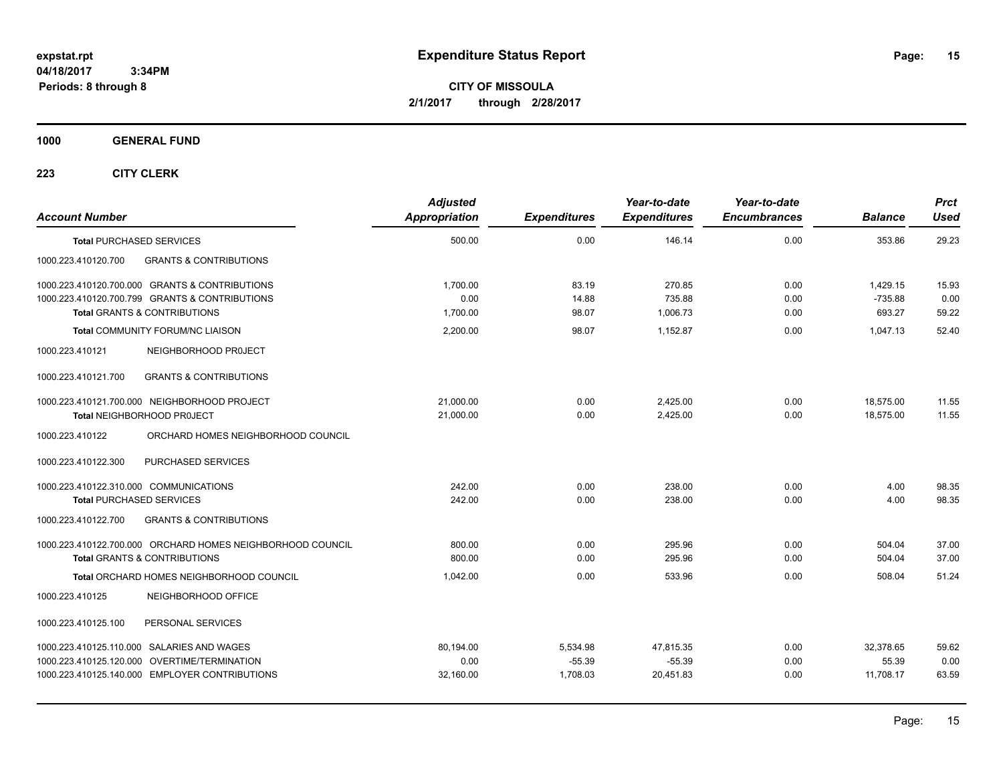**CITY OF MISSOULA 2/1/2017 through 2/28/2017**

**1000 GENERAL FUND**

| <b>Account Number</b>                                                     |                                                                                                                                                   | <b>Adjusted</b><br><b>Appropriation</b> | <b>Expenditures</b>              | Year-to-date<br><b>Expenditures</b> | Year-to-date<br><b>Encumbrances</b> | <b>Balance</b>                  | <b>Prct</b><br><b>Used</b> |
|---------------------------------------------------------------------------|---------------------------------------------------------------------------------------------------------------------------------------------------|-----------------------------------------|----------------------------------|-------------------------------------|-------------------------------------|---------------------------------|----------------------------|
| <b>Total PURCHASED SERVICES</b>                                           |                                                                                                                                                   | 500.00                                  | 0.00                             | 146.14                              | 0.00                                | 353.86                          | 29.23                      |
| 1000.223.410120.700                                                       | <b>GRANTS &amp; CONTRIBUTIONS</b>                                                                                                                 |                                         |                                  |                                     |                                     |                                 |                            |
|                                                                           | 1000.223.410120.700.000 GRANTS & CONTRIBUTIONS<br>1000.223.410120.700.799 GRANTS & CONTRIBUTIONS<br><b>Total GRANTS &amp; CONTRIBUTIONS</b>       | 1.700.00<br>0.00<br>1,700.00            | 83.19<br>14.88<br>98.07          | 270.85<br>735.88<br>1,006.73        | 0.00<br>0.00<br>0.00                | 1.429.15<br>$-735.88$<br>693.27 | 15.93<br>0.00<br>59.22     |
|                                                                           | <b>Total COMMUNITY FORUM/NC LIAISON</b>                                                                                                           | 2,200.00                                | 98.07                            | 1,152.87                            | 0.00                                | 1,047.13                        | 52.40                      |
| 1000.223.410121                                                           | NEIGHBORHOOD PROJECT                                                                                                                              |                                         |                                  |                                     |                                     |                                 |                            |
| 1000.223.410121.700                                                       | <b>GRANTS &amp; CONTRIBUTIONS</b>                                                                                                                 |                                         |                                  |                                     |                                     |                                 |                            |
|                                                                           | 1000.223.410121.700.000 NEIGHBORHOOD PROJECT<br>Total NEIGHBORHOOD PROJECT                                                                        | 21,000.00<br>21,000.00                  | 0.00<br>0.00                     | 2,425.00<br>2,425.00                | 0.00<br>0.00                        | 18,575.00<br>18,575.00          | 11.55<br>11.55             |
| 1000.223.410122                                                           | ORCHARD HOMES NEIGHBORHOOD COUNCIL                                                                                                                |                                         |                                  |                                     |                                     |                                 |                            |
| 1000.223.410122.300                                                       | PURCHASED SERVICES                                                                                                                                |                                         |                                  |                                     |                                     |                                 |                            |
| 1000.223.410122.310.000 COMMUNICATIONS<br><b>Total PURCHASED SERVICES</b> |                                                                                                                                                   | 242.00<br>242.00                        | 0.00<br>0.00                     | 238.00<br>238.00                    | 0.00<br>0.00                        | 4.00<br>4.00                    | 98.35<br>98.35             |
| 1000.223.410122.700                                                       | <b>GRANTS &amp; CONTRIBUTIONS</b>                                                                                                                 |                                         |                                  |                                     |                                     |                                 |                            |
|                                                                           | 1000.223.410122.700.000 ORCHARD HOMES NEIGHBORHOOD COUNCIL<br><b>Total GRANTS &amp; CONTRIBUTIONS</b><br>Total ORCHARD HOMES NEIGHBORHOOD COUNCIL | 800.00<br>800.00<br>1,042.00            | 0.00<br>0.00<br>0.00             | 295.96<br>295.96<br>533.96          | 0.00<br>0.00<br>0.00                | 504.04<br>504.04<br>508.04      | 37.00<br>37.00<br>51.24    |
| 1000.223.410125                                                           | NEIGHBORHOOD OFFICE                                                                                                                               |                                         |                                  |                                     |                                     |                                 |                            |
| 1000.223.410125.100                                                       | PERSONAL SERVICES                                                                                                                                 |                                         |                                  |                                     |                                     |                                 |                            |
|                                                                           | 1000.223.410125.110.000 SALARIES AND WAGES<br>1000.223.410125.120.000 OVERTIME/TERMINATION<br>1000.223.410125.140.000 EMPLOYER CONTRIBUTIONS      | 80,194.00<br>0.00<br>32,160.00          | 5,534.98<br>$-55.39$<br>1,708.03 | 47,815.35<br>$-55.39$<br>20,451.83  | 0.00<br>0.00<br>0.00                | 32,378.65<br>55.39<br>11,708.17 | 59.62<br>0.00<br>63.59     |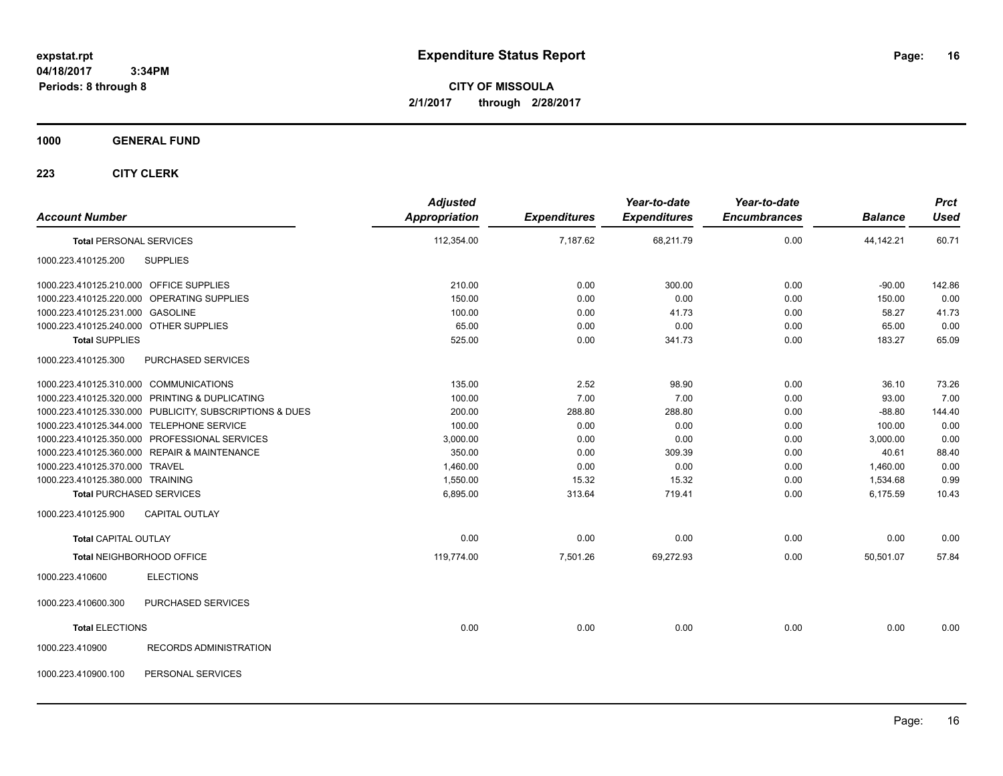**CITY OF MISSOULA 2/1/2017 through 2/28/2017**

### **1000 GENERAL FUND**

| <b>Account Number</b>                   |                                                         | <b>Adjusted</b><br><b>Appropriation</b> | <b>Expenditures</b> | Year-to-date<br><b>Expenditures</b> | Year-to-date<br><b>Encumbrances</b> | <b>Balance</b> | <b>Prct</b><br><b>Used</b> |
|-----------------------------------------|---------------------------------------------------------|-----------------------------------------|---------------------|-------------------------------------|-------------------------------------|----------------|----------------------------|
| <b>Total PERSONAL SERVICES</b>          |                                                         | 112,354.00                              | 7,187.62            | 68,211.79                           | 0.00                                | 44,142.21      | 60.71                      |
| 1000.223.410125.200                     | <b>SUPPLIES</b>                                         |                                         |                     |                                     |                                     |                |                            |
| 1000.223.410125.210.000 OFFICE SUPPLIES |                                                         | 210.00                                  | 0.00                | 300.00                              | 0.00                                | $-90.00$       | 142.86                     |
|                                         | 1000.223.410125.220.000 OPERATING SUPPLIES              | 150.00                                  | 0.00                | 0.00                                | 0.00                                | 150.00         | 0.00                       |
| 1000.223.410125.231.000 GASOLINE        |                                                         | 100.00                                  | 0.00                | 41.73                               | 0.00                                | 58.27          | 41.73                      |
| 1000.223.410125.240.000 OTHER SUPPLIES  |                                                         | 65.00                                   | 0.00                | 0.00                                | 0.00                                | 65.00          | 0.00                       |
| <b>Total SUPPLIES</b>                   |                                                         | 525.00                                  | 0.00                | 341.73                              | 0.00                                | 183.27         | 65.09                      |
| 1000.223.410125.300                     | PURCHASED SERVICES                                      |                                         |                     |                                     |                                     |                |                            |
| 1000.223.410125.310.000 COMMUNICATIONS  |                                                         | 135.00                                  | 2.52                | 98.90                               | 0.00                                | 36.10          | 73.26                      |
|                                         | 1000.223.410125.320.000 PRINTING & DUPLICATING          | 100.00                                  | 7.00                | 7.00                                | 0.00                                | 93.00          | 7.00                       |
|                                         | 1000.223.410125.330.000 PUBLICITY, SUBSCRIPTIONS & DUES | 200.00                                  | 288.80              | 288.80                              | 0.00                                | $-88.80$       | 144.40                     |
|                                         | 1000.223.410125.344.000 TELEPHONE SERVICE               | 100.00                                  | 0.00                | 0.00                                | 0.00                                | 100.00         | 0.00                       |
|                                         | 1000.223.410125.350.000 PROFESSIONAL SERVICES           | 3,000.00                                | 0.00                | 0.00                                | 0.00                                | 3,000.00       | 0.00                       |
|                                         | 1000.223.410125.360.000 REPAIR & MAINTENANCE            | 350.00                                  | 0.00                | 309.39                              | 0.00                                | 40.61          | 88.40                      |
| 1000.223.410125.370.000 TRAVEL          |                                                         | 1,460.00                                | 0.00                | 0.00                                | 0.00                                | 1,460.00       | 0.00                       |
| 1000.223.410125.380.000 TRAINING        |                                                         | 1,550.00                                | 15.32               | 15.32                               | 0.00                                | 1,534.68       | 0.99                       |
|                                         | <b>Total PURCHASED SERVICES</b>                         | 6,895.00                                | 313.64              | 719.41                              | 0.00                                | 6,175.59       | 10.43                      |
| 1000.223.410125.900                     | <b>CAPITAL OUTLAY</b>                                   |                                         |                     |                                     |                                     |                |                            |
| <b>Total CAPITAL OUTLAY</b>             |                                                         | 0.00                                    | 0.00                | 0.00                                | 0.00                                | 0.00           | 0.00                       |
|                                         | Total NEIGHBORHOOD OFFICE                               | 119,774.00                              | 7,501.26            | 69,272.93                           | 0.00                                | 50,501.07      | 57.84                      |
| 1000.223.410600                         | <b>ELECTIONS</b>                                        |                                         |                     |                                     |                                     |                |                            |
| 1000.223.410600.300                     | PURCHASED SERVICES                                      |                                         |                     |                                     |                                     |                |                            |
| <b>Total ELECTIONS</b>                  |                                                         | 0.00                                    | 0.00                | 0.00                                | 0.00                                | 0.00           | 0.00                       |
| 1000.223.410900                         | <b>RECORDS ADMINISTRATION</b>                           |                                         |                     |                                     |                                     |                |                            |
| 1000.223.410900.100                     | PERSONAL SERVICES                                       |                                         |                     |                                     |                                     |                |                            |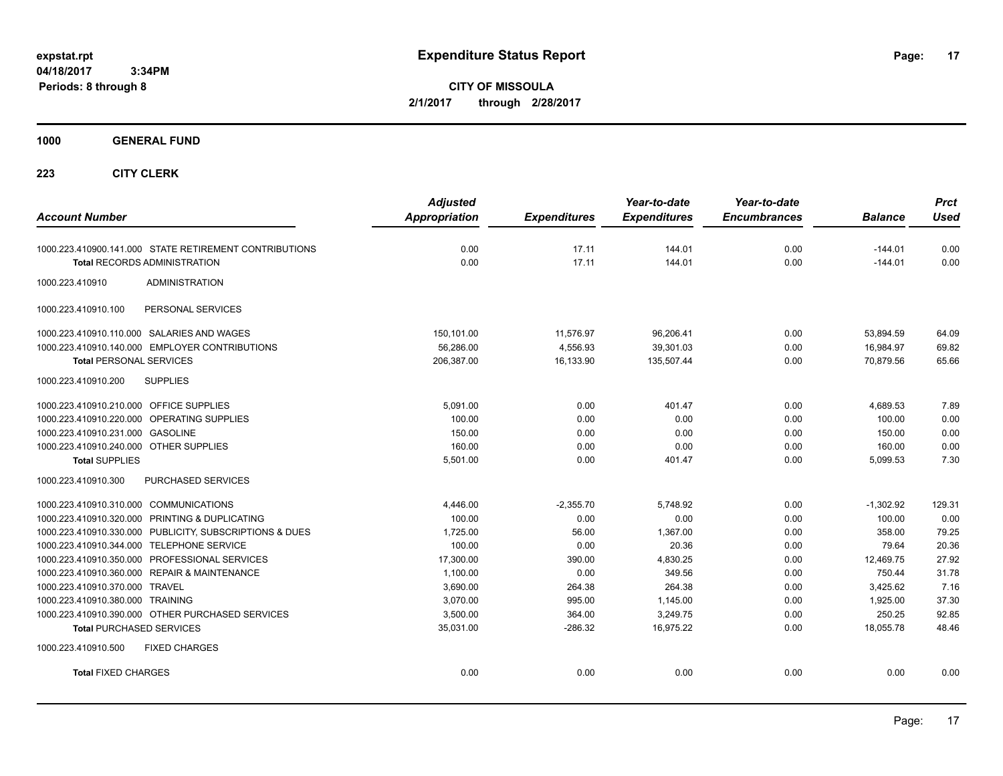**CITY OF MISSOULA 2/1/2017 through 2/28/2017**

**1000 GENERAL FUND**

| <b>Account Number</b>                                   | <b>Adjusted</b><br><b>Appropriation</b> | <b>Expenditures</b> | Year-to-date<br><b>Expenditures</b> | Year-to-date<br><b>Encumbrances</b> | <b>Balance</b> | <b>Prct</b><br><b>Used</b> |
|---------------------------------------------------------|-----------------------------------------|---------------------|-------------------------------------|-------------------------------------|----------------|----------------------------|
|                                                         |                                         |                     |                                     |                                     |                |                            |
| 1000.223.410900.141.000 STATE RETIREMENT CONTRIBUTIONS  | 0.00                                    | 17.11               | 144.01                              | 0.00                                | $-144.01$      | 0.00                       |
| <b>Total RECORDS ADMINISTRATION</b>                     | 0.00                                    | 17.11               | 144.01                              | 0.00                                | $-144.01$      | 0.00                       |
| 1000.223.410910<br><b>ADMINISTRATION</b>                |                                         |                     |                                     |                                     |                |                            |
| PERSONAL SERVICES<br>1000.223.410910.100                |                                         |                     |                                     |                                     |                |                            |
| 1000.223.410910.110.000 SALARIES AND WAGES              | 150,101.00                              | 11,576.97           | 96,206.41                           | 0.00                                | 53,894.59      | 64.09                      |
| 1000.223.410910.140.000 EMPLOYER CONTRIBUTIONS          | 56,286.00                               | 4,556.93            | 39,301.03                           | 0.00                                | 16,984.97      | 69.82                      |
| <b>Total PERSONAL SERVICES</b>                          | 206,387.00                              | 16,133.90           | 135,507.44                          | 0.00                                | 70.879.56      | 65.66                      |
| 1000.223.410910.200<br><b>SUPPLIES</b>                  |                                         |                     |                                     |                                     |                |                            |
| 1000.223.410910.210.000 OFFICE SUPPLIES                 | 5,091.00                                | 0.00                | 401.47                              | 0.00                                | 4,689.53       | 7.89                       |
| 1000.223.410910.220.000 OPERATING SUPPLIES              | 100.00                                  | 0.00                | 0.00                                | 0.00                                | 100.00         | 0.00                       |
| 1000.223.410910.231.000 GASOLINE                        | 150.00                                  | 0.00                | 0.00                                | 0.00                                | 150.00         | 0.00                       |
| 1000.223.410910.240.000 OTHER SUPPLIES                  | 160.00                                  | 0.00                | 0.00                                | 0.00                                | 160.00         | 0.00                       |
| <b>Total SUPPLIES</b>                                   | 5,501.00                                | 0.00                | 401.47                              | 0.00                                | 5,099.53       | 7.30                       |
| 1000.223.410910.300<br>PURCHASED SERVICES               |                                         |                     |                                     |                                     |                |                            |
| 1000.223.410910.310.000 COMMUNICATIONS                  | 4,446.00                                | $-2,355.70$         | 5,748.92                            | 0.00                                | $-1,302.92$    | 129.31                     |
| 1000.223.410910.320.000 PRINTING & DUPLICATING          | 100.00                                  | 0.00                | 0.00                                | 0.00                                | 100.00         | 0.00                       |
| 1000.223.410910.330.000 PUBLICITY, SUBSCRIPTIONS & DUES | 1,725.00                                | 56.00               | 1,367.00                            | 0.00                                | 358.00         | 79.25                      |
| 1000.223.410910.344.000 TELEPHONE SERVICE               | 100.00                                  | 0.00                | 20.36                               | 0.00                                | 79.64          | 20.36                      |
| 1000.223.410910.350.000 PROFESSIONAL SERVICES           | 17,300.00                               | 390.00              | 4,830.25                            | 0.00                                | 12,469.75      | 27.92                      |
| 1000.223.410910.360.000 REPAIR & MAINTENANCE            | 1,100.00                                | 0.00                | 349.56                              | 0.00                                | 750.44         | 31.78                      |
| 1000.223.410910.370.000 TRAVEL                          | 3.690.00                                | 264.38              | 264.38                              | 0.00                                | 3.425.62       | 7.16                       |
| 1000.223.410910.380.000 TRAINING                        | 3.070.00                                | 995.00              | 1,145.00                            | 0.00                                | 1,925.00       | 37.30                      |
| 1000.223.410910.390.000 OTHER PURCHASED SERVICES        | 3,500.00                                | 364.00              | 3,249.75                            | 0.00                                | 250.25         | 92.85                      |
| <b>Total PURCHASED SERVICES</b>                         | 35,031.00                               | $-286.32$           | 16.975.22                           | 0.00                                | 18.055.78      | 48.46                      |
| 1000.223.410910.500<br><b>FIXED CHARGES</b>             |                                         |                     |                                     |                                     |                |                            |
| <b>Total FIXED CHARGES</b>                              | 0.00                                    | 0.00                | 0.00                                | 0.00                                | 0.00           | 0.00                       |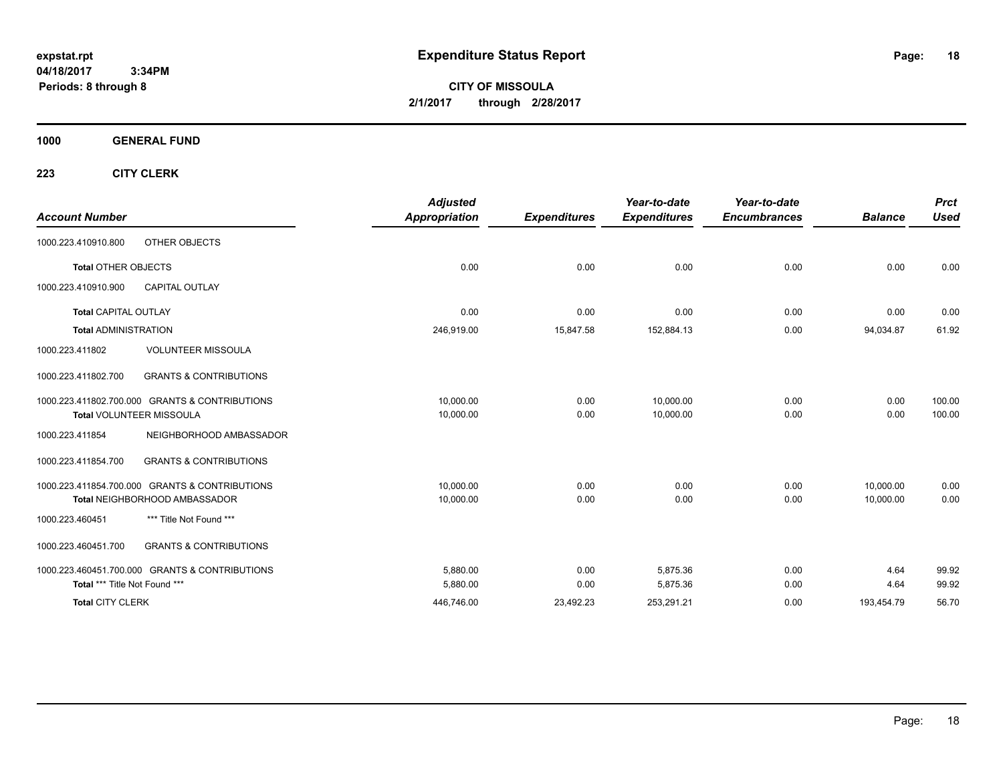**CITY OF MISSOULA 2/1/2017 through 2/28/2017**

**1000 GENERAL FUND**

| <b>Account Number</b>         |                                                | <b>Adjusted</b><br><b>Appropriation</b> | <b>Expenditures</b> | Year-to-date<br><b>Expenditures</b> | Year-to-date<br><b>Encumbrances</b> | <b>Balance</b> | <b>Prct</b><br><b>Used</b> |
|-------------------------------|------------------------------------------------|-----------------------------------------|---------------------|-------------------------------------|-------------------------------------|----------------|----------------------------|
| 1000.223.410910.800           | OTHER OBJECTS                                  |                                         |                     |                                     |                                     |                |                            |
| <b>Total OTHER OBJECTS</b>    |                                                | 0.00                                    | 0.00                | 0.00                                | 0.00                                | 0.00           | 0.00                       |
| 1000.223.410910.900           | CAPITAL OUTLAY                                 |                                         |                     |                                     |                                     |                |                            |
| <b>Total CAPITAL OUTLAY</b>   |                                                | 0.00                                    | 0.00                | 0.00                                | 0.00                                | 0.00           | 0.00                       |
| <b>Total ADMINISTRATION</b>   |                                                | 246,919.00                              | 15,847.58           | 152,884.13                          | 0.00                                | 94,034.87      | 61.92                      |
| 1000.223.411802               | <b>VOLUNTEER MISSOULA</b>                      |                                         |                     |                                     |                                     |                |                            |
| 1000.223.411802.700           | <b>GRANTS &amp; CONTRIBUTIONS</b>              |                                         |                     |                                     |                                     |                |                            |
|                               | 1000.223.411802.700.000 GRANTS & CONTRIBUTIONS | 10,000.00                               | 0.00                | 10,000.00                           | 0.00                                | 0.00           | 100.00                     |
|                               | <b>Total VOLUNTEER MISSOULA</b>                | 10,000.00                               | 0.00                | 10,000.00                           | 0.00                                | 0.00           | 100.00                     |
| 1000.223.411854               | NEIGHBORHOOD AMBASSADOR                        |                                         |                     |                                     |                                     |                |                            |
| 1000.223.411854.700           | <b>GRANTS &amp; CONTRIBUTIONS</b>              |                                         |                     |                                     |                                     |                |                            |
|                               | 1000.223.411854.700.000 GRANTS & CONTRIBUTIONS | 10.000.00                               | 0.00                | 0.00                                | 0.00                                | 10.000.00      | 0.00                       |
|                               | Total NEIGHBORHOOD AMBASSADOR                  | 10,000.00                               | 0.00                | 0.00                                | 0.00                                | 10,000.00      | 0.00                       |
| 1000.223.460451               | *** Title Not Found ***                        |                                         |                     |                                     |                                     |                |                            |
| 1000.223.460451.700           | <b>GRANTS &amp; CONTRIBUTIONS</b>              |                                         |                     |                                     |                                     |                |                            |
|                               | 1000.223.460451.700.000 GRANTS & CONTRIBUTIONS | 5,880.00                                | 0.00                | 5.875.36                            | 0.00                                | 4.64           | 99.92                      |
| Total *** Title Not Found *** |                                                | 5,880.00                                | 0.00                | 5,875.36                            | 0.00                                | 4.64           | 99.92                      |
| <b>Total CITY CLERK</b>       |                                                | 446,746.00                              | 23,492.23           | 253,291.21                          | 0.00                                | 193,454.79     | 56.70                      |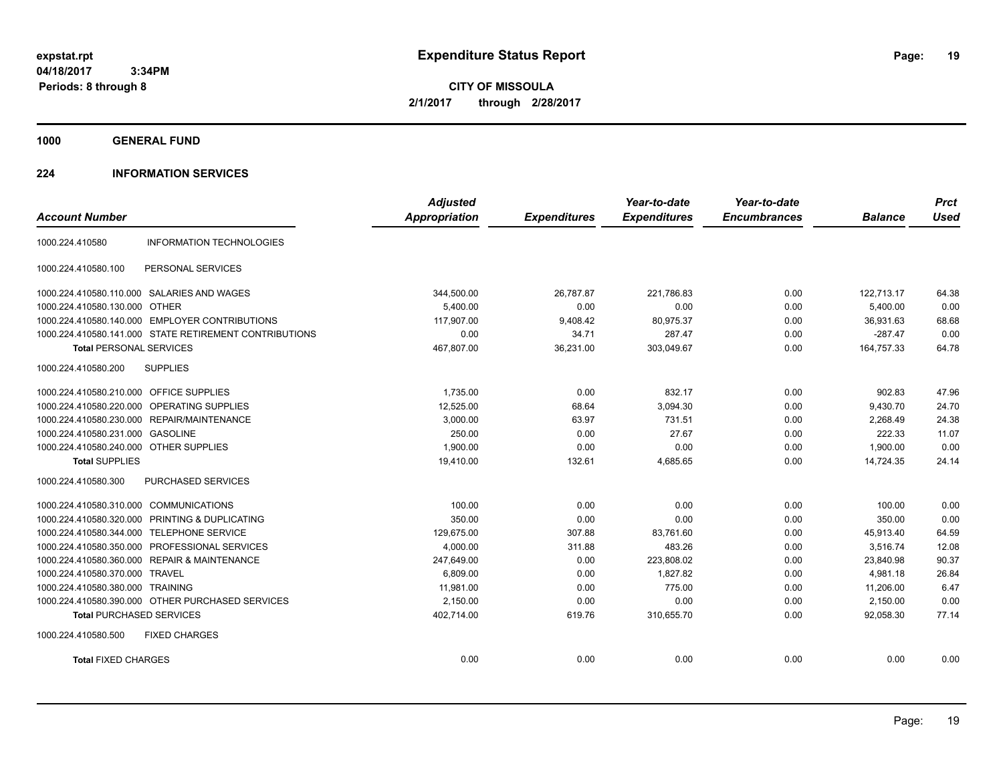**CITY OF MISSOULA 2/1/2017 through 2/28/2017**

**1000 GENERAL FUND**

### **224 INFORMATION SERVICES**

|                                         |                                                        | <b>Adjusted</b>      |                     | Year-to-date        | Year-to-date        |                | <b>Prct</b> |
|-----------------------------------------|--------------------------------------------------------|----------------------|---------------------|---------------------|---------------------|----------------|-------------|
| <b>Account Number</b>                   |                                                        | <b>Appropriation</b> | <b>Expenditures</b> | <b>Expenditures</b> | <b>Encumbrances</b> | <b>Balance</b> | <b>Used</b> |
| 1000.224.410580                         | <b>INFORMATION TECHNOLOGIES</b>                        |                      |                     |                     |                     |                |             |
| 1000.224.410580.100                     | PERSONAL SERVICES                                      |                      |                     |                     |                     |                |             |
|                                         | 1000.224.410580.110.000 SALARIES AND WAGES             | 344,500.00           | 26.787.87           | 221.786.83          | 0.00                | 122,713.17     | 64.38       |
| 1000.224.410580.130.000 OTHER           |                                                        | 5.400.00             | 0.00                | 0.00                | 0.00                | 5.400.00       | 0.00        |
|                                         | 1000.224.410580.140.000 EMPLOYER CONTRIBUTIONS         | 117,907.00           | 9,408.42            | 80,975.37           | 0.00                | 36,931.63      | 68.68       |
|                                         | 1000.224.410580.141.000 STATE RETIREMENT CONTRIBUTIONS | 0.00                 | 34.71               | 287.47              | 0.00                | $-287.47$      | 0.00        |
| <b>Total PERSONAL SERVICES</b>          |                                                        | 467,807.00           | 36,231.00           | 303,049.67          | 0.00                | 164,757.33     | 64.78       |
| 1000.224.410580.200                     | <b>SUPPLIES</b>                                        |                      |                     |                     |                     |                |             |
| 1000.224.410580.210.000 OFFICE SUPPLIES |                                                        | 1,735.00             | 0.00                | 832.17              | 0.00                | 902.83         | 47.96       |
| 1000.224.410580.220.000                 | OPERATING SUPPLIES                                     | 12,525.00            | 68.64               | 3,094.30            | 0.00                | 9,430.70       | 24.70       |
|                                         | 1000.224.410580.230.000 REPAIR/MAINTENANCE             | 3,000.00             | 63.97               | 731.51              | 0.00                | 2,268.49       | 24.38       |
| 1000.224.410580.231.000 GASOLINE        |                                                        | 250.00               | 0.00                | 27.67               | 0.00                | 222.33         | 11.07       |
| 1000.224.410580.240.000 OTHER SUPPLIES  |                                                        | 1,900.00             | 0.00                | 0.00                | 0.00                | 1.900.00       | 0.00        |
| <b>Total SUPPLIES</b>                   |                                                        | 19,410.00            | 132.61              | 4,685.65            | 0.00                | 14,724.35      | 24.14       |
| 1000.224.410580.300                     | PURCHASED SERVICES                                     |                      |                     |                     |                     |                |             |
| 1000.224.410580.310.000                 | <b>COMMUNICATIONS</b>                                  | 100.00               | 0.00                | 0.00                | 0.00                | 100.00         | 0.00        |
| 1000.224.410580.320.000                 | PRINTING & DUPLICATING                                 | 350.00               | 0.00                | 0.00                | 0.00                | 350.00         | 0.00        |
| 1000.224.410580.344.000                 | <b>TELEPHONE SERVICE</b>                               | 129,675.00           | 307.88              | 83,761.60           | 0.00                | 45,913.40      | 64.59       |
| 1000.224.410580.350.000                 | PROFESSIONAL SERVICES                                  | 4,000.00             | 311.88              | 483.26              | 0.00                | 3,516.74       | 12.08       |
|                                         | 1000.224.410580.360.000 REPAIR & MAINTENANCE           | 247,649.00           | 0.00                | 223,808.02          | 0.00                | 23,840.98      | 90.37       |
| 1000.224.410580.370.000 TRAVEL          |                                                        | 6,809.00             | 0.00                | 1.827.82            | 0.00                | 4.981.18       | 26.84       |
| 1000.224.410580.380.000 TRAINING        |                                                        | 11.981.00            | 0.00                | 775.00              | 0.00                | 11.206.00      | 6.47        |
|                                         | 1000.224.410580.390.000 OTHER PURCHASED SERVICES       | 2,150.00             | 0.00                | 0.00                | 0.00                | 2,150.00       | 0.00        |
| <b>Total PURCHASED SERVICES</b>         |                                                        | 402,714.00           | 619.76              | 310,655.70          | 0.00                | 92.058.30      | 77.14       |
| 1000.224.410580.500                     | <b>FIXED CHARGES</b>                                   |                      |                     |                     |                     |                |             |
| <b>Total FIXED CHARGES</b>              |                                                        | 0.00                 | 0.00                | 0.00                | 0.00                | 0.00           | 0.00        |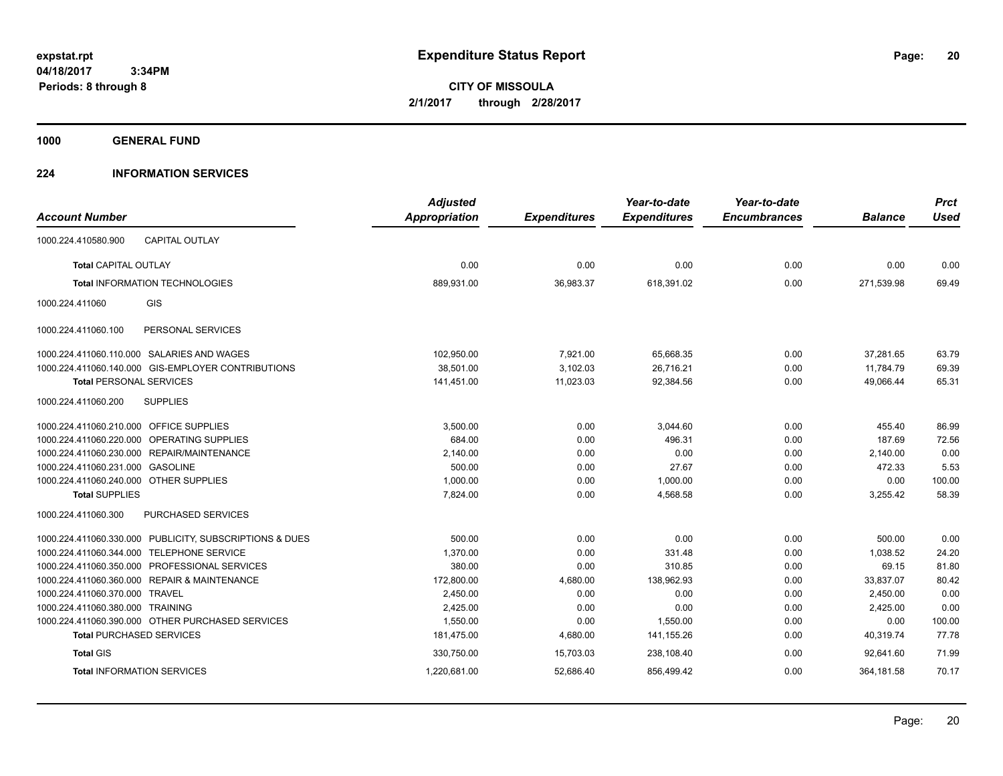**CITY OF MISSOULA 2/1/2017 through 2/28/2017**

**1000 GENERAL FUND**

### **224 INFORMATION SERVICES**

|                                         |                                                         | <b>Adjusted</b>      |                     | Year-to-date        | Year-to-date        |                | <b>Prct</b> |
|-----------------------------------------|---------------------------------------------------------|----------------------|---------------------|---------------------|---------------------|----------------|-------------|
| <b>Account Number</b>                   |                                                         | <b>Appropriation</b> | <b>Expenditures</b> | <b>Expenditures</b> | <b>Encumbrances</b> | <b>Balance</b> | <b>Used</b> |
| 1000.224.410580.900                     | <b>CAPITAL OUTLAY</b>                                   |                      |                     |                     |                     |                |             |
| <b>Total CAPITAL OUTLAY</b>             |                                                         | 0.00                 | 0.00                | 0.00                | 0.00                | 0.00           | 0.00        |
|                                         | <b>Total INFORMATION TECHNOLOGIES</b>                   | 889,931.00           | 36,983.37           | 618,391.02          | 0.00                | 271,539.98     | 69.49       |
| 1000.224.411060                         | GIS                                                     |                      |                     |                     |                     |                |             |
| 1000.224.411060.100                     | PERSONAL SERVICES                                       |                      |                     |                     |                     |                |             |
|                                         | 1000.224.411060.110.000 SALARIES AND WAGES              | 102,950.00           | 7,921.00            | 65,668.35           | 0.00                | 37,281.65      | 63.79       |
|                                         | 1000.224.411060.140.000 GIS-EMPLOYER CONTRIBUTIONS      | 38,501.00            | 3,102.03            | 26,716.21           | 0.00                | 11,784.79      | 69.39       |
| <b>Total PERSONAL SERVICES</b>          |                                                         | 141,451.00           | 11,023.03           | 92,384.56           | 0.00                | 49,066.44      | 65.31       |
| 1000.224.411060.200                     | <b>SUPPLIES</b>                                         |                      |                     |                     |                     |                |             |
| 1000.224.411060.210.000 OFFICE SUPPLIES |                                                         | 3,500.00             | 0.00                | 3,044.60            | 0.00                | 455.40         | 86.99       |
|                                         | 1000.224.411060.220.000 OPERATING SUPPLIES              | 684.00               | 0.00                | 496.31              | 0.00                | 187.69         | 72.56       |
|                                         | 1000.224.411060.230.000 REPAIR/MAINTENANCE              | 2,140.00             | 0.00                | 0.00                | 0.00                | 2,140.00       | 0.00        |
| 1000.224.411060.231.000 GASOLINE        |                                                         | 500.00               | 0.00                | 27.67               | 0.00                | 472.33         | 5.53        |
| 1000.224.411060.240.000 OTHER SUPPLIES  |                                                         | 1,000.00             | 0.00                | 1,000.00            | 0.00                | 0.00           | 100.00      |
| <b>Total SUPPLIES</b>                   |                                                         | 7,824.00             | 0.00                | 4,568.58            | 0.00                | 3,255.42       | 58.39       |
| 1000.224.411060.300                     | PURCHASED SERVICES                                      |                      |                     |                     |                     |                |             |
|                                         | 1000.224.411060.330.000 PUBLICITY, SUBSCRIPTIONS & DUES | 500.00               | 0.00                | 0.00                | 0.00                | 500.00         | 0.00        |
|                                         | 1000.224.411060.344.000 TELEPHONE SERVICE               | 1,370.00             | 0.00                | 331.48              | 0.00                | 1,038.52       | 24.20       |
|                                         | 1000.224.411060.350.000 PROFESSIONAL SERVICES           | 380.00               | 0.00                | 310.85              | 0.00                | 69.15          | 81.80       |
|                                         | 1000.224.411060.360.000 REPAIR & MAINTENANCE            | 172,800.00           | 4,680.00            | 138,962.93          | 0.00                | 33,837.07      | 80.42       |
| 1000.224.411060.370.000 TRAVEL          |                                                         | 2,450.00             | 0.00                | 0.00                | 0.00                | 2,450.00       | 0.00        |
| 1000.224.411060.380.000 TRAINING        |                                                         | 2,425.00             | 0.00                | 0.00                | 0.00                | 2,425.00       | 0.00        |
|                                         | 1000.224.411060.390.000 OTHER PURCHASED SERVICES        | 1,550.00             | 0.00                | 1,550.00            | 0.00                | 0.00           | 100.00      |
| <b>Total PURCHASED SERVICES</b>         |                                                         | 181,475.00           | 4,680.00            | 141,155.26          | 0.00                | 40,319.74      | 77.78       |
| <b>Total GIS</b>                        |                                                         | 330,750.00           | 15,703.03           | 238,108.40          | 0.00                | 92.641.60      | 71.99       |
|                                         | <b>Total INFORMATION SERVICES</b>                       | 1,220,681.00         | 52,686.40           | 856,499.42          | 0.00                | 364,181.58     | 70.17       |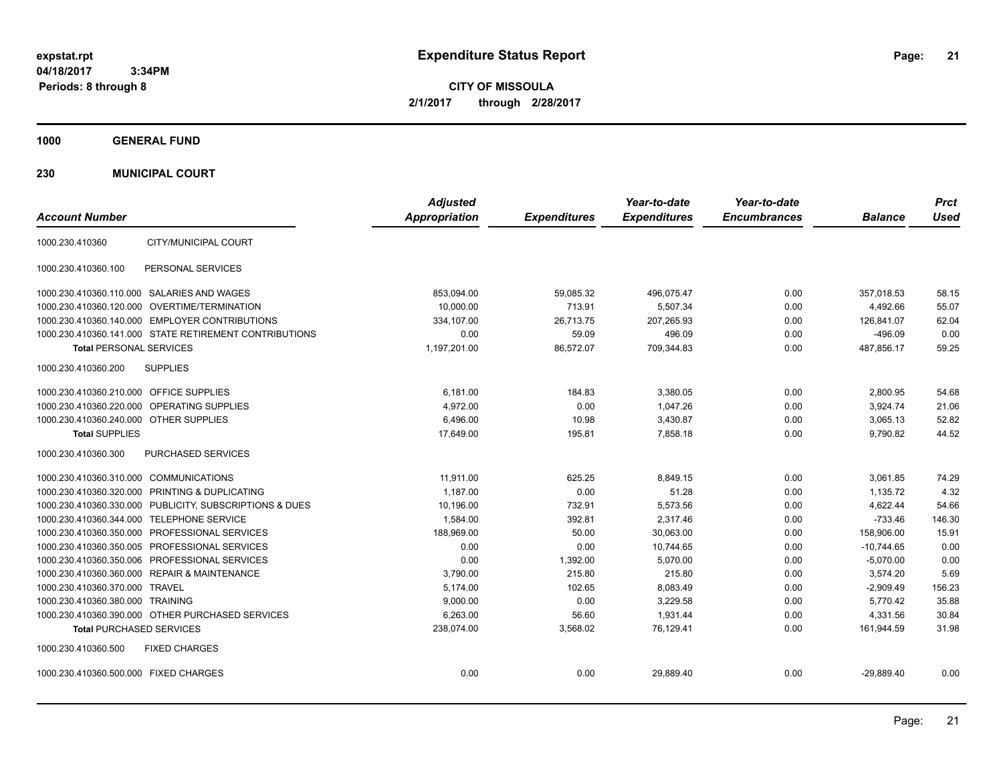**21**

**CITY OF MISSOULA 2/1/2017 through 2/28/2017**

**1000 GENERAL FUND**

**230 MUNICIPAL COURT**

| <b>Account Number</b>                                      | <b>Adjusted</b><br>Appropriation | <b>Expenditures</b> | Year-to-date<br><b>Expenditures</b> | Year-to-date<br><b>Encumbrances</b> | <b>Balance</b> | <b>Prct</b><br><b>Used</b> |
|------------------------------------------------------------|----------------------------------|---------------------|-------------------------------------|-------------------------------------|----------------|----------------------------|
|                                                            |                                  |                     |                                     |                                     |                |                            |
| CITY/MUNICIPAL COURT<br>1000.230.410360                    |                                  |                     |                                     |                                     |                |                            |
| 1000.230.410360.100<br>PERSONAL SERVICES                   |                                  |                     |                                     |                                     |                |                            |
| 1000.230.410360.110.000 SALARIES AND WAGES                 | 853,094.00                       | 59,085.32           | 496,075.47                          | 0.00                                | 357,018.53     | 58.15                      |
| OVERTIME/TERMINATION<br>1000.230.410360.120.000            | 10,000.00                        | 713.91              | 5,507.34                            | 0.00                                | 4,492.66       | 55.07                      |
| 1000.230.410360.140.000 EMPLOYER CONTRIBUTIONS             | 334,107.00                       | 26,713.75           | 207,265.93                          | 0.00                                | 126,841.07     | 62.04                      |
| 1000.230.410360.141.000 STATE RETIREMENT CONTRIBUTIONS     | 0.00                             | 59.09               | 496.09                              | 0.00                                | $-496.09$      | 0.00                       |
| <b>Total PERSONAL SERVICES</b>                             | 1,197,201.00                     | 86,572.07           | 709,344.83                          | 0.00                                | 487,856.17     | 59.25                      |
| 1000.230.410360.200<br><b>SUPPLIES</b>                     |                                  |                     |                                     |                                     |                |                            |
| 1000.230.410360.210.000 OFFICE SUPPLIES                    | 6,181.00                         | 184.83              | 3,380.05                            | 0.00                                | 2,800.95       | 54.68                      |
| <b>OPERATING SUPPLIES</b><br>1000.230.410360.220.000       | 4,972.00                         | 0.00                | 1,047.26                            | 0.00                                | 3,924.74       | 21.06                      |
| 1000.230.410360.240.000 OTHER SUPPLIES                     | 6,496.00                         | 10.98               | 3,430.87                            | 0.00                                | 3,065.13       | 52.82                      |
| <b>Total SUPPLIES</b>                                      | 17,649.00                        | 195.81              | 7,858.18                            | 0.00                                | 9,790.82       | 44.52                      |
| 1000.230.410360.300<br><b>PURCHASED SERVICES</b>           |                                  |                     |                                     |                                     |                |                            |
| 1000.230.410360.310.000 COMMUNICATIONS                     | 11.911.00                        | 625.25              | 8.849.15                            | 0.00                                | 3.061.85       | 74.29                      |
| 1000.230.410360.320.000 PRINTING & DUPLICATING             | 1,187.00                         | 0.00                | 51.28                               | 0.00                                | 1,135.72       | 4.32                       |
| 1000.230.410360.330.000 PUBLICITY, SUBSCRIPTIONS & DUES    | 10,196.00                        | 732.91              | 5.573.56                            | 0.00                                | 4,622.44       | 54.66                      |
| 1000.230.410360.344.000 TELEPHONE SERVICE                  | 1,584.00                         | 392.81              | 2,317.46                            | 0.00                                | $-733.46$      | 146.30                     |
| 1000.230.410360.350.000 PROFESSIONAL SERVICES              | 188.969.00                       | 50.00               | 30.063.00                           | 0.00                                | 158.906.00     | 15.91                      |
| 1000.230.410360.350.005 PROFESSIONAL SERVICES              | 0.00                             | 0.00                | 10,744.65                           | 0.00                                | $-10,744.65$   | 0.00                       |
| 1000.230.410360.350.006 PROFESSIONAL SERVICES              | 0.00                             | 1,392.00            | 5.070.00                            | 0.00                                | $-5,070.00$    | 0.00                       |
| <b>REPAIR &amp; MAINTENANCE</b><br>1000.230.410360.360.000 | 3,790.00                         | 215.80              | 215.80                              | 0.00                                | 3,574.20       | 5.69                       |
| 1000.230.410360.370.000 TRAVEL                             | 5,174.00                         | 102.65              | 8,083.49                            | 0.00                                | $-2,909.49$    | 156.23                     |
| 1000.230.410360.380.000 TRAINING                           | 9,000.00                         | 0.00                | 3,229.58                            | 0.00                                | 5,770.42       | 35.88                      |
| 1000.230.410360.390.000 OTHER PURCHASED SERVICES           | 6,263.00                         | 56.60               | 1,931.44                            | 0.00                                | 4,331.56       | 30.84                      |
| <b>Total PURCHASED SERVICES</b>                            | 238,074.00                       | 3,568.02            | 76,129.41                           | 0.00                                | 161,944.59     | 31.98                      |
| 1000.230.410360.500<br><b>FIXED CHARGES</b>                |                                  |                     |                                     |                                     |                |                            |
| 1000.230.410360.500.000 FIXED CHARGES                      | 0.00                             | 0.00                | 29,889.40                           | 0.00                                | $-29,889.40$   | 0.00                       |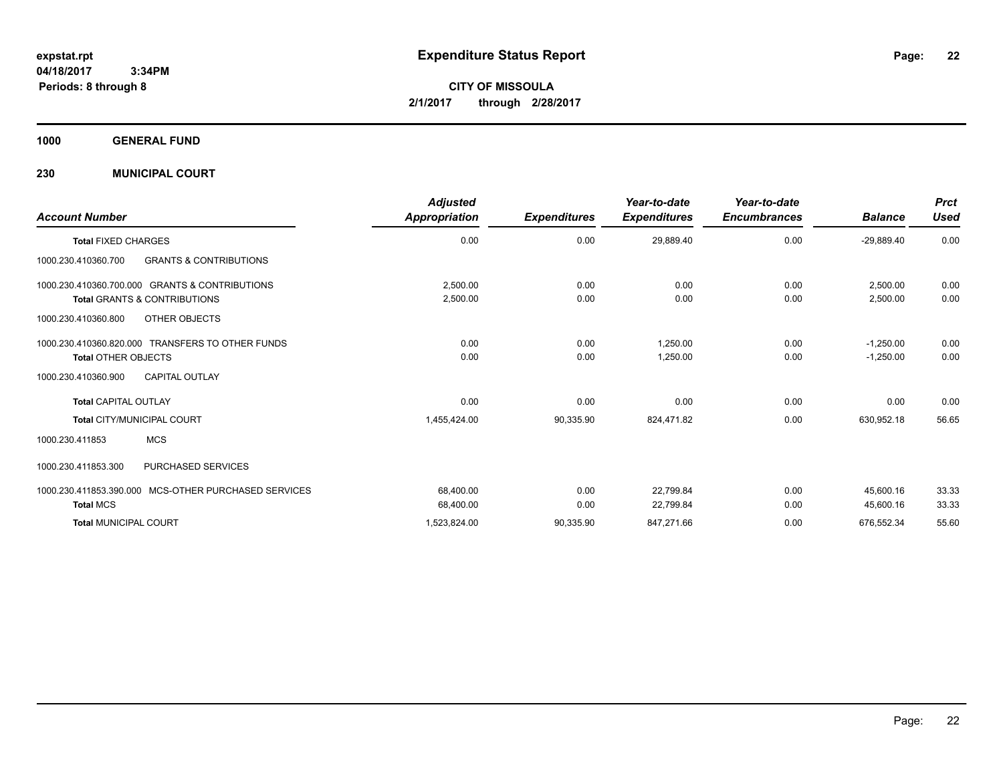**CITY OF MISSOULA 2/1/2017 through 2/28/2017**

**1000 GENERAL FUND**

**230 MUNICIPAL COURT**

| <b>Account Number</b>                                                                     | <b>Adjusted</b><br>Appropriation | <b>Expenditures</b> | Year-to-date<br><b>Expenditures</b> | Year-to-date<br><b>Encumbrances</b> | <b>Balance</b>             | <b>Prct</b><br><b>Used</b> |
|-------------------------------------------------------------------------------------------|----------------------------------|---------------------|-------------------------------------|-------------------------------------|----------------------------|----------------------------|
| <b>Total FIXED CHARGES</b>                                                                | 0.00                             | 0.00                | 29,889.40                           | 0.00                                | $-29,889.40$               | 0.00                       |
| <b>GRANTS &amp; CONTRIBUTIONS</b><br>1000.230.410360.700                                  |                                  |                     |                                     |                                     |                            |                            |
| 1000.230.410360.700.000 GRANTS & CONTRIBUTIONS<br><b>Total GRANTS &amp; CONTRIBUTIONS</b> | 2,500.00<br>2,500.00             | 0.00<br>0.00        | 0.00<br>0.00                        | 0.00<br>0.00                        | 2.500.00<br>2,500.00       | 0.00<br>0.00               |
| 1000.230.410360.800<br>OTHER OBJECTS                                                      |                                  |                     |                                     |                                     |                            |                            |
| 1000.230.410360.820.000 TRANSFERS TO OTHER FUNDS<br><b>Total OTHER OBJECTS</b>            | 0.00<br>0.00                     | 0.00<br>0.00        | 1,250.00<br>1,250.00                | 0.00<br>0.00                        | $-1,250.00$<br>$-1,250.00$ | 0.00<br>0.00               |
| 1000.230.410360.900<br><b>CAPITAL OUTLAY</b>                                              |                                  |                     |                                     |                                     |                            |                            |
| <b>Total CAPITAL OUTLAY</b>                                                               | 0.00                             | 0.00                | 0.00                                | 0.00                                | 0.00                       | 0.00                       |
| Total CITY/MUNICIPAL COURT                                                                | 1,455,424.00                     | 90,335.90           | 824,471.82                          | 0.00                                | 630,952.18                 | 56.65                      |
| <b>MCS</b><br>1000.230.411853                                                             |                                  |                     |                                     |                                     |                            |                            |
| <b>PURCHASED SERVICES</b><br>1000.230.411853.300                                          |                                  |                     |                                     |                                     |                            |                            |
| 1000.230.411853.390.000 MCS-OTHER PURCHASED SERVICES<br><b>Total MCS</b>                  | 68,400.00<br>68,400.00           | 0.00<br>0.00        | 22,799.84<br>22,799.84              | 0.00<br>0.00                        | 45.600.16<br>45,600.16     | 33.33<br>33.33             |
| <b>Total MUNICIPAL COURT</b>                                                              | 1,523,824.00                     | 90,335.90           | 847,271.66                          | 0.00                                | 676,552.34                 | 55.60                      |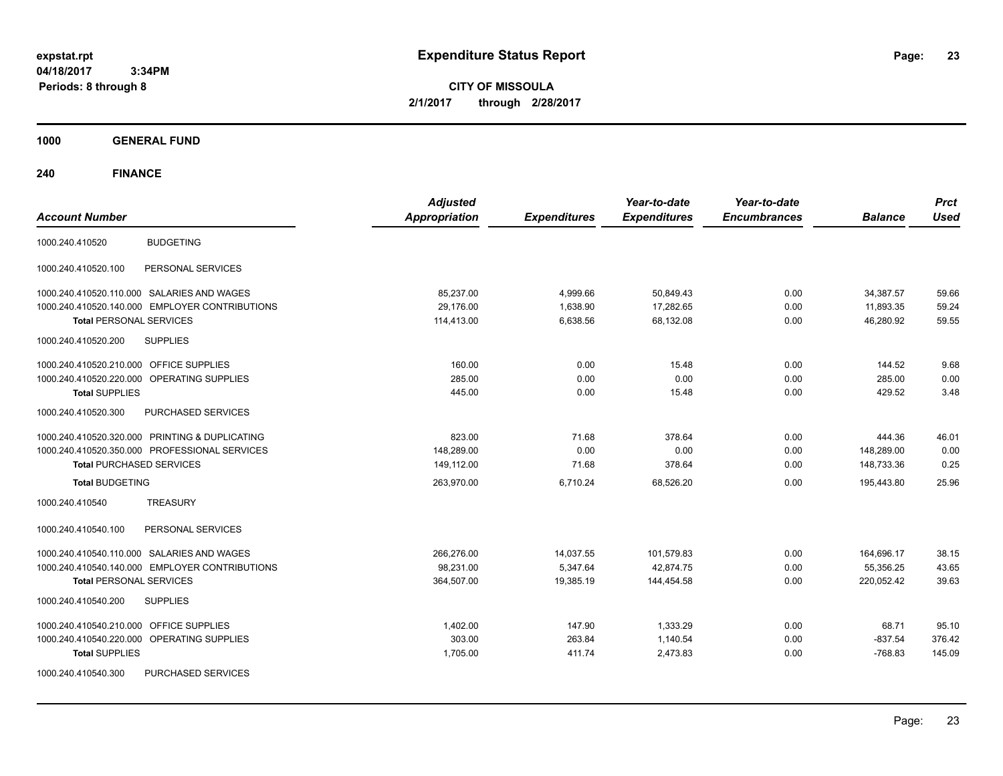**CITY OF MISSOULA 2/1/2017 through 2/28/2017**

**1000 GENERAL FUND**

| <b>Account Number</b>                                | <b>Adjusted</b><br><b>Appropriation</b> | <b>Expenditures</b> | Year-to-date<br><b>Expenditures</b> | Year-to-date<br><b>Encumbrances</b> | <b>Balance</b> | <b>Prct</b><br><b>Used</b> |
|------------------------------------------------------|-----------------------------------------|---------------------|-------------------------------------|-------------------------------------|----------------|----------------------------|
| <b>BUDGETING</b><br>1000.240.410520                  |                                         |                     |                                     |                                     |                |                            |
| PERSONAL SERVICES<br>1000.240.410520.100             |                                         |                     |                                     |                                     |                |                            |
| 1000.240.410520.110.000 SALARIES AND WAGES           | 85,237.00                               | 4,999.66            | 50,849.43                           | 0.00                                | 34,387.57      | 59.66                      |
| 1000.240.410520.140.000 EMPLOYER CONTRIBUTIONS       | 29.176.00                               | 1,638.90            | 17,282.65                           | 0.00                                | 11,893.35      | 59.24                      |
| <b>Total PERSONAL SERVICES</b>                       | 114,413.00                              | 6,638.56            | 68,132.08                           | 0.00                                | 46,280.92      | 59.55                      |
| 1000.240.410520.200<br><b>SUPPLIES</b>               |                                         |                     |                                     |                                     |                |                            |
| <b>OFFICE SUPPLIES</b><br>1000.240.410520.210.000    | 160.00                                  | 0.00                | 15.48                               | 0.00                                | 144.52         | 9.68                       |
| 1000.240.410520.220.000<br><b>OPERATING SUPPLIES</b> | 285.00                                  | 0.00                | 0.00                                | 0.00                                | 285.00         | 0.00                       |
| <b>Total SUPPLIES</b>                                | 445.00                                  | 0.00                | 15.48                               | 0.00                                | 429.52         | 3.48                       |
| PURCHASED SERVICES<br>1000.240.410520.300            |                                         |                     |                                     |                                     |                |                            |
| 1000.240.410520.320.000 PRINTING & DUPLICATING       | 823.00                                  | 71.68               | 378.64                              | 0.00                                | 444.36         | 46.01                      |
| 1000.240.410520.350.000 PROFESSIONAL SERVICES        | 148.289.00                              | 0.00                | 0.00                                | 0.00                                | 148.289.00     | 0.00                       |
| <b>Total PURCHASED SERVICES</b>                      | 149,112.00                              | 71.68               | 378.64                              | 0.00                                | 148,733.36     | 0.25                       |
| <b>Total BUDGETING</b>                               | 263,970.00                              | 6,710.24            | 68.526.20                           | 0.00                                | 195.443.80     | 25.96                      |
| <b>TREASURY</b><br>1000.240.410540                   |                                         |                     |                                     |                                     |                |                            |
| 1000.240.410540.100<br>PERSONAL SERVICES             |                                         |                     |                                     |                                     |                |                            |
| 1000.240.410540.110.000 SALARIES AND WAGES           | 266,276.00                              | 14,037.55           | 101,579.83                          | 0.00                                | 164,696.17     | 38.15                      |
| 1000.240.410540.140.000 EMPLOYER CONTRIBUTIONS       | 98,231.00                               | 5,347.64            | 42,874.75                           | 0.00                                | 55,356.25      | 43.65                      |
| <b>Total PERSONAL SERVICES</b>                       | 364.507.00                              | 19.385.19           | 144.454.58                          | 0.00                                | 220.052.42     | 39.63                      |
| <b>SUPPLIES</b><br>1000.240.410540.200               |                                         |                     |                                     |                                     |                |                            |
| <b>OFFICE SUPPLIES</b><br>1000.240.410540.210.000    | 1,402.00                                | 147.90              | 1,333.29                            | 0.00                                | 68.71          | 95.10                      |
| 1000.240.410540.220.000<br>OPERATING SUPPLIES        | 303.00                                  | 263.84              | 1.140.54                            | 0.00                                | $-837.54$      | 376.42                     |
| <b>Total SUPPLIES</b>                                | 1,705.00                                | 411.74              | 2,473.83                            | 0.00                                | $-768.83$      | 145.09                     |
| 1000.240.410540.300<br>PURCHASED SERVICES            |                                         |                     |                                     |                                     |                |                            |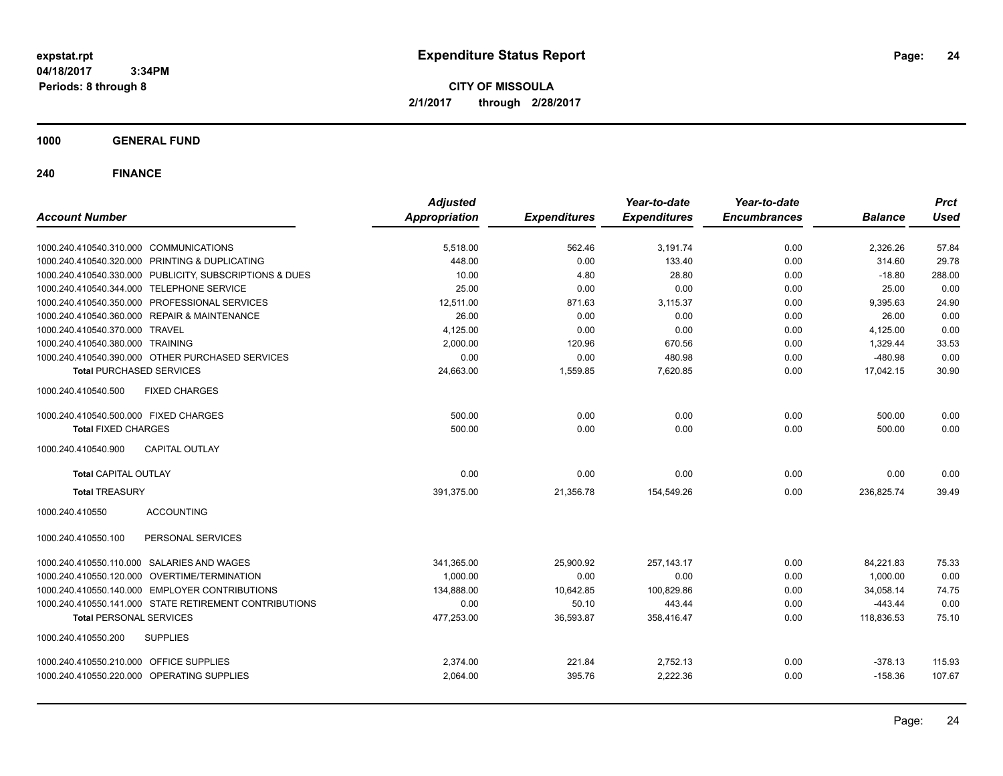**CITY OF MISSOULA 2/1/2017 through 2/28/2017**

**1000 GENERAL FUND**

| <b>Account Number</b>                                                                    | <b>Adjusted</b><br><b>Appropriation</b> | <b>Expenditures</b> | Year-to-date<br><b>Expenditures</b> | Year-to-date<br><b>Encumbrances</b> | <b>Balance</b>     | <b>Prct</b><br><b>Used</b> |
|------------------------------------------------------------------------------------------|-----------------------------------------|---------------------|-------------------------------------|-------------------------------------|--------------------|----------------------------|
|                                                                                          |                                         |                     |                                     | 0.00                                |                    |                            |
| 1000.240.410540.310.000 COMMUNICATIONS<br>1000.240.410540.320.000 PRINTING & DUPLICATING | 5,518.00<br>448.00                      | 562.46<br>0.00      | 3,191.74<br>133.40                  | 0.00                                | 2,326.26<br>314.60 | 57.84<br>29.78             |
| 1000.240.410540.330.000 PUBLICITY, SUBSCRIPTIONS & DUES                                  | 10.00                                   | 4.80                | 28.80                               | 0.00                                | $-18.80$           | 288.00                     |
| 1000.240.410540.344.000 TELEPHONE SERVICE                                                | 25.00                                   | 0.00                | 0.00                                | 0.00                                | 25.00              | 0.00                       |
| 1000.240.410540.350.000 PROFESSIONAL SERVICES                                            | 12,511.00                               | 871.63              | 3,115.37                            | 0.00                                | 9,395.63           | 24.90                      |
| 1000.240.410540.360.000 REPAIR & MAINTENANCE                                             | 26.00                                   | 0.00                | 0.00                                | 0.00                                | 26.00              | 0.00                       |
| 1000.240.410540.370.000 TRAVEL                                                           | 4,125.00                                | 0.00                | 0.00                                | 0.00                                | 4,125.00           | 0.00                       |
| 1000.240.410540.380.000 TRAINING                                                         | 2,000.00                                | 120.96              | 670.56                              | 0.00                                | 1,329.44           | 33.53                      |
| 1000.240.410540.390.000 OTHER PURCHASED SERVICES                                         | 0.00                                    | 0.00                | 480.98                              | 0.00                                | $-480.98$          | 0.00                       |
| <b>Total PURCHASED SERVICES</b>                                                          | 24,663.00                               | 1,559.85            | 7,620.85                            | 0.00                                | 17,042.15          | 30.90                      |
| <b>FIXED CHARGES</b><br>1000.240.410540.500                                              |                                         |                     |                                     |                                     |                    |                            |
| 1000.240.410540.500.000 FIXED CHARGES                                                    | 500.00                                  | 0.00                | 0.00                                | 0.00                                | 500.00             | 0.00                       |
| <b>Total FIXED CHARGES</b>                                                               | 500.00                                  | 0.00                | 0.00                                | 0.00                                | 500.00             | 0.00                       |
| 1000.240.410540.900<br><b>CAPITAL OUTLAY</b>                                             |                                         |                     |                                     |                                     |                    |                            |
| <b>Total CAPITAL OUTLAY</b>                                                              | 0.00                                    | 0.00                | 0.00                                | 0.00                                | 0.00               | 0.00                       |
| <b>Total TREASURY</b>                                                                    | 391,375.00                              | 21,356.78           | 154,549.26                          | 0.00                                | 236,825.74         | 39.49                      |
| 1000.240.410550<br><b>ACCOUNTING</b>                                                     |                                         |                     |                                     |                                     |                    |                            |
| 1000.240.410550.100<br>PERSONAL SERVICES                                                 |                                         |                     |                                     |                                     |                    |                            |
| 1000.240.410550.110.000 SALARIES AND WAGES                                               | 341,365.00                              | 25,900.92           | 257, 143. 17                        | 0.00                                | 84.221.83          | 75.33                      |
| 1000.240.410550.120.000 OVERTIME/TERMINATION                                             | 1,000.00                                | 0.00                | 0.00                                | 0.00                                | 1,000.00           | 0.00                       |
| 1000.240.410550.140.000 EMPLOYER CONTRIBUTIONS                                           | 134,888.00                              | 10,642.85           | 100,829.86                          | 0.00                                | 34,058.14          | 74.75                      |
| 1000.240.410550.141.000 STATE RETIREMENT CONTRIBUTIONS                                   | 0.00                                    | 50.10               | 443.44                              | 0.00                                | $-443.44$          | 0.00                       |
| <b>Total PERSONAL SERVICES</b>                                                           | 477,253.00                              | 36,593.87           | 358,416.47                          | 0.00                                | 118,836.53         | 75.10                      |
| 1000.240.410550.200<br><b>SUPPLIES</b>                                                   |                                         |                     |                                     |                                     |                    |                            |
| 1000.240.410550.210.000 OFFICE SUPPLIES                                                  | 2.374.00                                | 221.84              | 2,752.13                            | 0.00                                | $-378.13$          | 115.93                     |
| 1000.240.410550.220.000 OPERATING SUPPLIES                                               | 2,064.00                                | 395.76              | 2,222.36                            | 0.00                                | $-158.36$          | 107.67                     |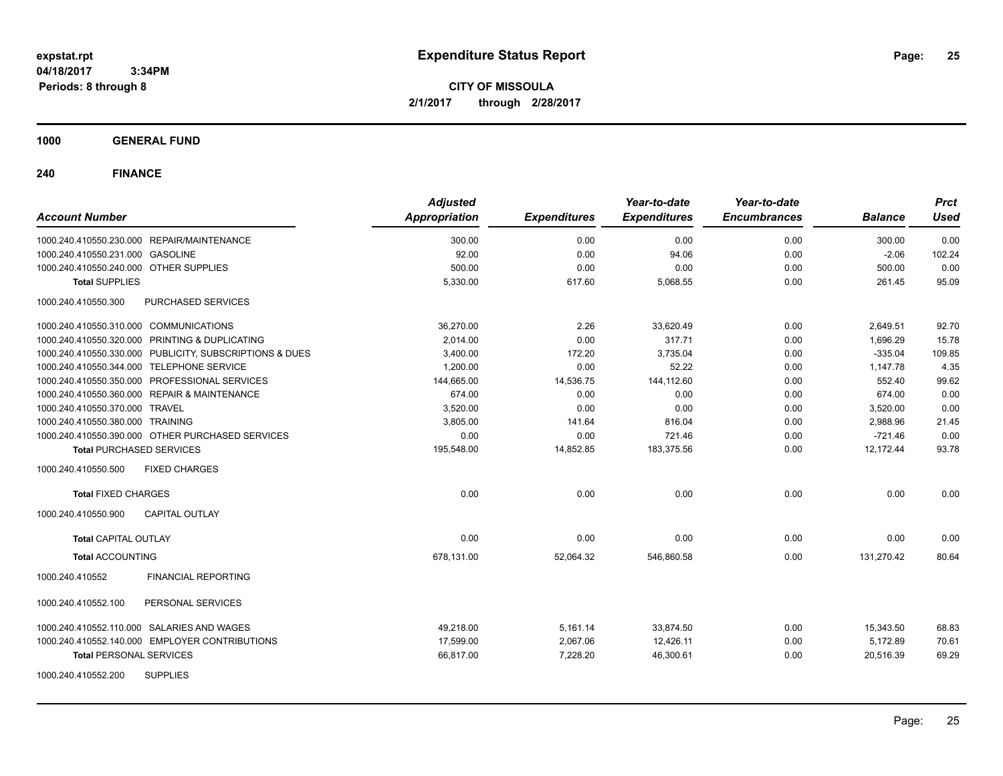**CITY OF MISSOULA 2/1/2017 through 2/28/2017**

### **1000 GENERAL FUND**

|                                                         | <b>Adjusted</b>      |                     | Year-to-date        | Year-to-date        |                | <b>Prct</b> |
|---------------------------------------------------------|----------------------|---------------------|---------------------|---------------------|----------------|-------------|
| <b>Account Number</b>                                   | <b>Appropriation</b> | <b>Expenditures</b> | <b>Expenditures</b> | <b>Encumbrances</b> | <b>Balance</b> | <b>Used</b> |
| 1000.240.410550.230.000 REPAIR/MAINTENANCE              | 300.00               | 0.00                | 0.00                | 0.00                | 300.00         | 0.00        |
| 1000.240.410550.231.000 GASOLINE                        | 92.00                | 0.00                | 94.06               | 0.00                | $-2.06$        | 102.24      |
| 1000.240.410550.240.000 OTHER SUPPLIES                  | 500.00               | 0.00                | 0.00                | 0.00                | 500.00         | 0.00        |
| <b>Total SUPPLIES</b>                                   | 5,330.00             | 617.60              | 5,068.55            | 0.00                | 261.45         | 95.09       |
| 1000.240.410550.300<br>PURCHASED SERVICES               |                      |                     |                     |                     |                |             |
| 1000.240.410550.310.000 COMMUNICATIONS                  | 36,270.00            | 2.26                | 33,620.49           | 0.00                | 2,649.51       | 92.70       |
| 1000.240.410550.320.000 PRINTING & DUPLICATING          | 2,014.00             | 0.00                | 317.71              | 0.00                | 1,696.29       | 15.78       |
| 1000.240.410550.330.000 PUBLICITY, SUBSCRIPTIONS & DUES | 3,400.00             | 172.20              | 3,735.04            | 0.00                | $-335.04$      | 109.85      |
| 1000.240.410550.344.000 TELEPHONE SERVICE               | 1,200.00             | 0.00                | 52.22               | 0.00                | 1.147.78       | 4.35        |
| 1000.240.410550.350.000 PROFESSIONAL SERVICES           | 144,665.00           | 14,536.75           | 144.112.60          | 0.00                | 552.40         | 99.62       |
| 1000.240.410550.360.000 REPAIR & MAINTENANCE            | 674.00               | 0.00                | 0.00                | 0.00                | 674.00         | 0.00        |
| 1000.240.410550.370.000 TRAVEL                          | 3,520.00             | 0.00                | 0.00                | 0.00                | 3,520.00       | 0.00        |
| 1000.240.410550.380.000 TRAINING                        | 3,805.00             | 141.64              | 816.04              | 0.00                | 2,988.96       | 21.45       |
| 1000.240.410550.390.000 OTHER PURCHASED SERVICES        | 0.00                 | 0.00                | 721.46              | 0.00                | $-721.46$      | 0.00        |
| <b>Total PURCHASED SERVICES</b>                         | 195,548.00           | 14,852.85           | 183,375.56          | 0.00                | 12,172.44      | 93.78       |
| 1000.240.410550.500<br><b>FIXED CHARGES</b>             |                      |                     |                     |                     |                |             |
| <b>Total FIXED CHARGES</b>                              | 0.00                 | 0.00                | 0.00                | 0.00                | 0.00           | 0.00        |
| 1000.240.410550.900<br><b>CAPITAL OUTLAY</b>            |                      |                     |                     |                     |                |             |
| <b>Total CAPITAL OUTLAY</b>                             | 0.00                 | 0.00                | 0.00                | 0.00                | 0.00           | 0.00        |
| <b>Total ACCOUNTING</b>                                 | 678,131.00           | 52,064.32           | 546,860.58          | 0.00                | 131,270.42     | 80.64       |
| <b>FINANCIAL REPORTING</b><br>1000.240.410552           |                      |                     |                     |                     |                |             |
| 1000.240.410552.100<br>PERSONAL SERVICES                |                      |                     |                     |                     |                |             |
| 1000.240.410552.110.000 SALARIES AND WAGES              | 49,218.00            | 5,161.14            | 33,874.50           | 0.00                | 15,343.50      | 68.83       |
| 1000.240.410552.140.000 EMPLOYER CONTRIBUTIONS          | 17,599.00            | 2,067.06            | 12,426.11           | 0.00                | 5,172.89       | 70.61       |
| <b>Total PERSONAL SERVICES</b>                          | 66,817.00            | 7,228.20            | 46,300.61           | 0.00                | 20,516.39      | 69.29       |
| <b>SUPPLIES</b><br>1000.240.410552.200                  |                      |                     |                     |                     |                |             |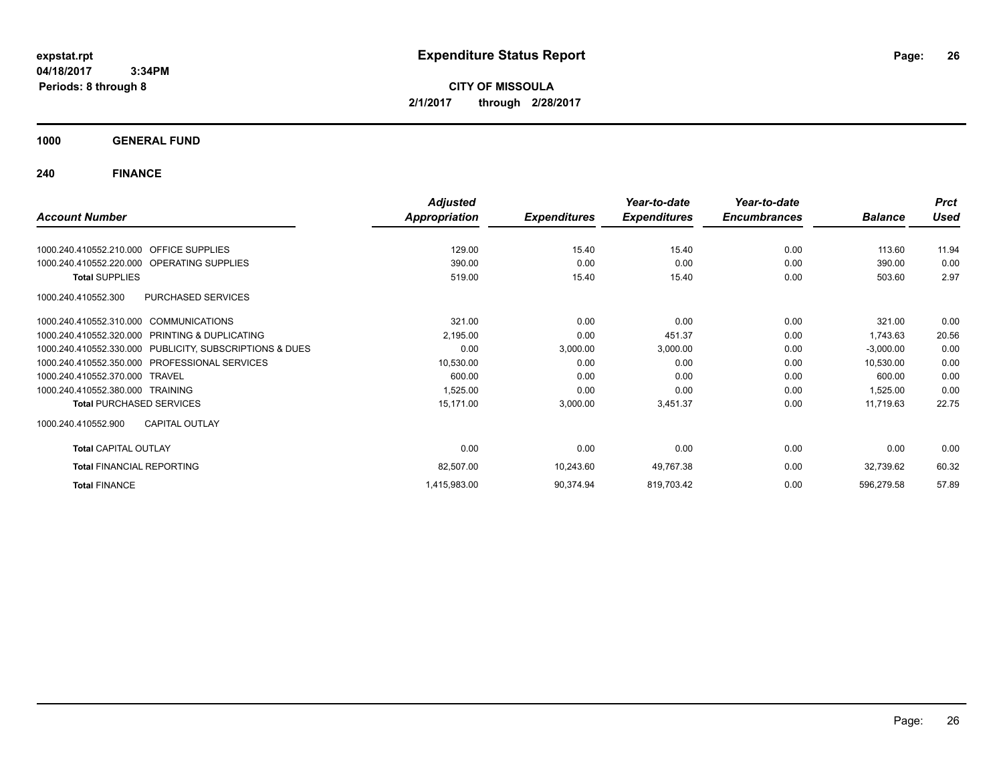**CITY OF MISSOULA 2/1/2017 through 2/28/2017**

**1000 GENERAL FUND**

|                                                         | <b>Adjusted</b>      |                     | Year-to-date        | Year-to-date        |                | <b>Prct</b> |
|---------------------------------------------------------|----------------------|---------------------|---------------------|---------------------|----------------|-------------|
| <b>Account Number</b>                                   | <b>Appropriation</b> | <b>Expenditures</b> | <b>Expenditures</b> | <b>Encumbrances</b> | <b>Balance</b> | <b>Used</b> |
|                                                         |                      |                     |                     |                     |                |             |
| 1000.240.410552.210.000 OFFICE SUPPLIES                 | 129.00               | 15.40               | 15.40               | 0.00                | 113.60         | 11.94       |
| 1000.240.410552.220.000 OPERATING SUPPLIES              | 390.00               | 0.00                | 0.00                | 0.00                | 390.00         | 0.00        |
| <b>Total SUPPLIES</b>                                   | 519.00               | 15.40               | 15.40               | 0.00                | 503.60         | 2.97        |
| <b>PURCHASED SERVICES</b><br>1000.240.410552.300        |                      |                     |                     |                     |                |             |
| 1000.240.410552.310.000 COMMUNICATIONS                  | 321.00               | 0.00                | 0.00                | 0.00                | 321.00         | 0.00        |
| 1000.240.410552.320.000 PRINTING & DUPLICATING          | 2,195.00             | 0.00                | 451.37              | 0.00                | 1,743.63       | 20.56       |
| 1000.240.410552.330.000 PUBLICITY, SUBSCRIPTIONS & DUES | 0.00                 | 3,000.00            | 3,000.00            | 0.00                | $-3,000.00$    | 0.00        |
| <b>PROFESSIONAL SERVICES</b><br>1000.240.410552.350.000 | 10,530.00            | 0.00                | 0.00                | 0.00                | 10,530.00      | 0.00        |
| 1000.240.410552.370.000 TRAVEL                          | 600.00               | 0.00                | 0.00                | 0.00                | 600.00         | 0.00        |
| 1000.240.410552.380.000 TRAINING                        | 1,525.00             | 0.00                | 0.00                | 0.00                | 1,525.00       | 0.00        |
| <b>Total PURCHASED SERVICES</b>                         | 15,171.00            | 3,000.00            | 3,451.37            | 0.00                | 11,719.63      | 22.75       |
| <b>CAPITAL OUTLAY</b><br>1000.240.410552.900            |                      |                     |                     |                     |                |             |
| <b>Total CAPITAL OUTLAY</b>                             | 0.00                 | 0.00                | 0.00                | 0.00                | 0.00           | 0.00        |
| <b>Total FINANCIAL REPORTING</b>                        | 82,507.00            | 10,243.60           | 49,767.38           | 0.00                | 32,739.62      | 60.32       |
| <b>Total FINANCE</b>                                    | 1,415,983.00         | 90,374.94           | 819,703.42          | 0.00                | 596,279.58     | 57.89       |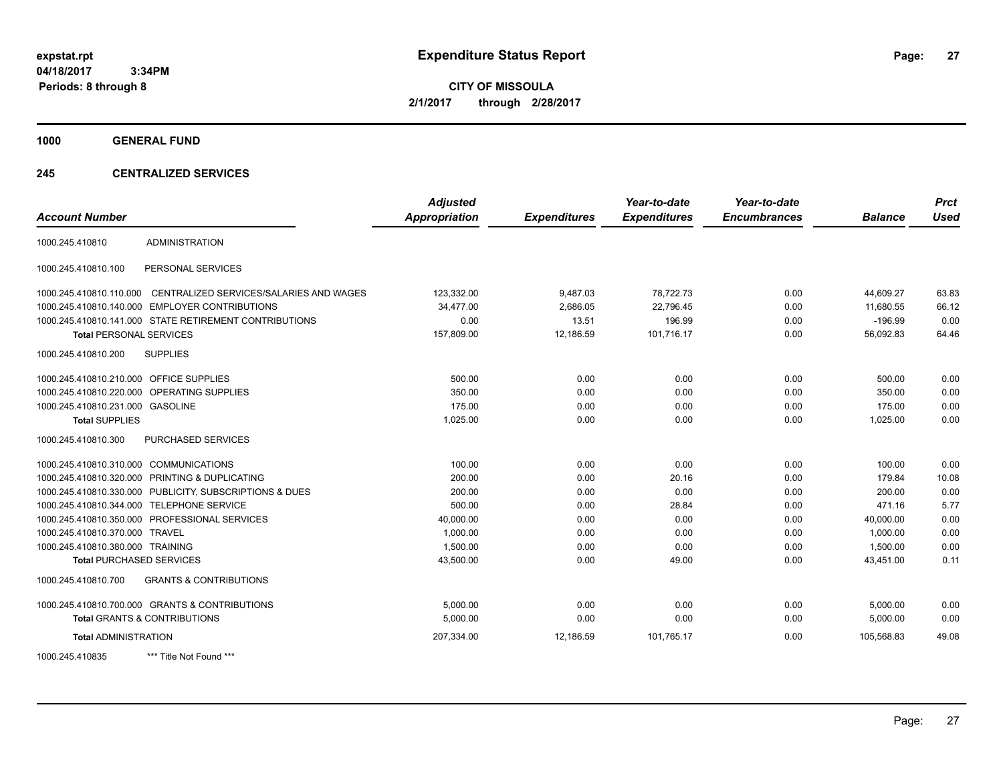**CITY OF MISSOULA 2/1/2017 through 2/28/2017**

**1000 GENERAL FUND**

### **245 CENTRALIZED SERVICES**

| <b>Account Number</b>                   |                                                         | <b>Adjusted</b><br><b>Appropriation</b> | <b>Expenditures</b> | Year-to-date<br><b>Expenditures</b> | Year-to-date<br><b>Encumbrances</b> | <b>Balance</b> | <b>Prct</b><br><b>Used</b> |
|-----------------------------------------|---------------------------------------------------------|-----------------------------------------|---------------------|-------------------------------------|-------------------------------------|----------------|----------------------------|
|                                         |                                                         |                                         |                     |                                     |                                     |                |                            |
| 1000.245.410810                         | <b>ADMINISTRATION</b>                                   |                                         |                     |                                     |                                     |                |                            |
| 1000.245.410810.100                     | PERSONAL SERVICES                                       |                                         |                     |                                     |                                     |                |                            |
| 1000.245.410810.110.000                 | CENTRALIZED SERVICES/SALARIES AND WAGES                 | 123,332.00                              | 9,487.03            | 78,722.73                           | 0.00                                | 44,609.27      | 63.83                      |
| 1000.245.410810.140.000                 | <b>EMPLOYER CONTRIBUTIONS</b>                           | 34,477.00                               | 2,686.05            | 22,796.45                           | 0.00                                | 11,680.55      | 66.12                      |
|                                         | 1000.245.410810.141.000 STATE RETIREMENT CONTRIBUTIONS  | 0.00                                    | 13.51               | 196.99                              | 0.00                                | $-196.99$      | 0.00                       |
| <b>Total PERSONAL SERVICES</b>          |                                                         | 157,809.00                              | 12,186.59           | 101,716.17                          | 0.00                                | 56,092.83      | 64.46                      |
| 1000.245.410810.200                     | <b>SUPPLIES</b>                                         |                                         |                     |                                     |                                     |                |                            |
| 1000.245.410810.210.000 OFFICE SUPPLIES |                                                         | 500.00                                  | 0.00                | 0.00                                | 0.00                                | 500.00         | 0.00                       |
|                                         | 1000.245.410810.220.000 OPERATING SUPPLIES              | 350.00                                  | 0.00                | 0.00                                | 0.00                                | 350.00         | 0.00                       |
| 1000.245.410810.231.000 GASOLINE        |                                                         | 175.00                                  | 0.00                | 0.00                                | 0.00                                | 175.00         | 0.00                       |
| <b>Total SUPPLIES</b>                   |                                                         | 1,025.00                                | 0.00                | 0.00                                | 0.00                                | 1,025.00       | 0.00                       |
| 1000.245.410810.300                     | <b>PURCHASED SERVICES</b>                               |                                         |                     |                                     |                                     |                |                            |
| 1000.245.410810.310.000 COMMUNICATIONS  |                                                         | 100.00                                  | 0.00                | 0.00                                | 0.00                                | 100.00         | 0.00                       |
|                                         | 1000.245.410810.320.000 PRINTING & DUPLICATING          | 200.00                                  | 0.00                | 20.16                               | 0.00                                | 179.84         | 10.08                      |
|                                         | 1000.245.410810.330.000 PUBLICITY, SUBSCRIPTIONS & DUES | 200.00                                  | 0.00                | 0.00                                | 0.00                                | 200.00         | 0.00                       |
|                                         | 1000.245.410810.344.000 TELEPHONE SERVICE               | 500.00                                  | 0.00                | 28.84                               | 0.00                                | 471.16         | 5.77                       |
|                                         | 1000.245.410810.350.000 PROFESSIONAL SERVICES           | 40,000.00                               | 0.00                | 0.00                                | 0.00                                | 40,000.00      | 0.00                       |
| 1000.245.410810.370.000 TRAVEL          |                                                         | 1,000.00                                | 0.00                | 0.00                                | 0.00                                | 1,000.00       | 0.00                       |
| 1000.245.410810.380.000 TRAINING        |                                                         | 1,500.00                                | 0.00                | 0.00                                | 0.00                                | 1,500.00       | 0.00                       |
| <b>Total PURCHASED SERVICES</b>         |                                                         | 43,500.00                               | 0.00                | 49.00                               | 0.00                                | 43,451.00      | 0.11                       |
| 1000.245.410810.700                     | <b>GRANTS &amp; CONTRIBUTIONS</b>                       |                                         |                     |                                     |                                     |                |                            |
|                                         | 1000.245.410810.700.000 GRANTS & CONTRIBUTIONS          | 5,000.00                                | 0.00                | 0.00                                | 0.00                                | 5,000.00       | 0.00                       |
|                                         | <b>Total GRANTS &amp; CONTRIBUTIONS</b>                 | 5,000.00                                | 0.00                | 0.00                                | 0.00                                | 5,000.00       | 0.00                       |
| <b>Total ADMINISTRATION</b>             |                                                         | 207,334.00                              | 12,186.59           | 101,765.17                          | 0.00                                | 105.568.83     | 49.08                      |
| 1000.245.410835                         | *** Title Not Found ***                                 |                                         |                     |                                     |                                     |                |                            |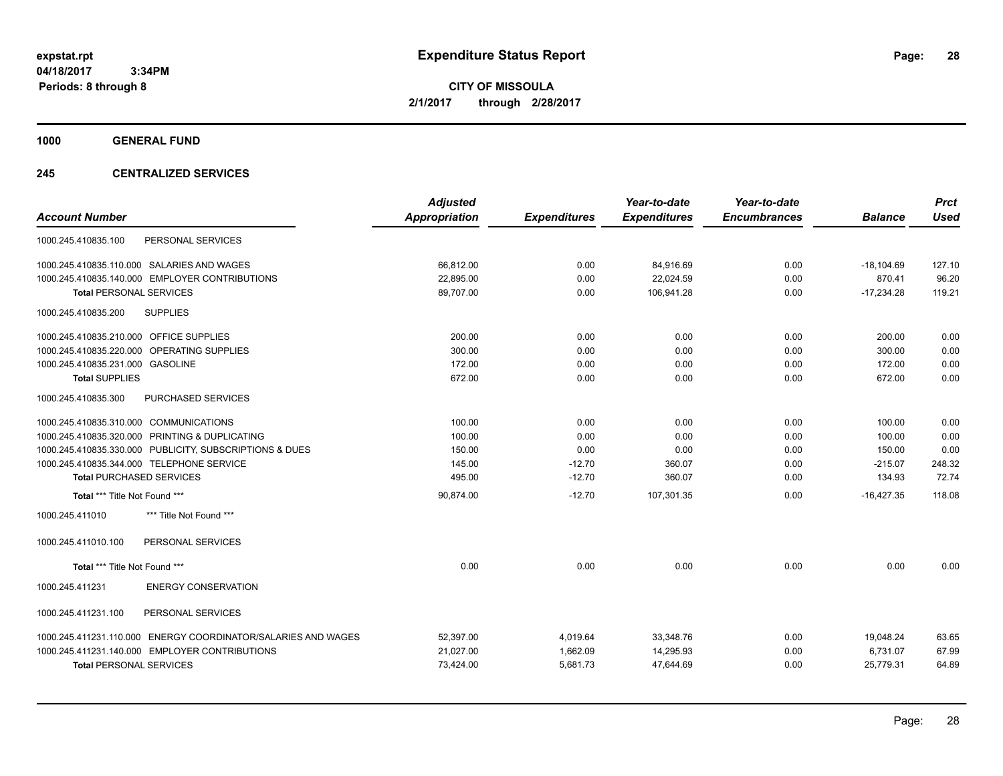**CITY OF MISSOULA 2/1/2017 through 2/28/2017**

**1000 GENERAL FUND**

### **245 CENTRALIZED SERVICES**

| <b>Account Number</b>                                            | <b>Adjusted</b><br>Appropriation | <b>Expenditures</b> | Year-to-date<br><b>Expenditures</b> | Year-to-date<br><b>Encumbrances</b> | <b>Balance</b> | <b>Prct</b><br><b>Used</b> |
|------------------------------------------------------------------|----------------------------------|---------------------|-------------------------------------|-------------------------------------|----------------|----------------------------|
| PERSONAL SERVICES<br>1000.245.410835.100                         |                                  |                     |                                     |                                     |                |                            |
|                                                                  |                                  |                     |                                     |                                     |                |                            |
| 1000.245.410835.110.000 SALARIES AND WAGES                       | 66,812.00                        | 0.00                | 84,916.69                           | 0.00                                | $-18,104.69$   | 127.10                     |
| 1000.245.410835.140.000 EMPLOYER CONTRIBUTIONS                   | 22.895.00                        | 0.00                | 22,024.59                           | 0.00                                | 870.41         | 96.20                      |
| <b>Total PERSONAL SERVICES</b>                                   | 89,707.00                        | 0.00                | 106,941.28                          | 0.00                                | $-17,234.28$   | 119.21                     |
| <b>SUPPLIES</b><br>1000.245.410835.200                           |                                  |                     |                                     |                                     |                |                            |
| 1000.245.410835.210.000 OFFICE SUPPLIES                          | 200.00                           | 0.00                | 0.00                                | 0.00                                | 200.00         | 0.00                       |
| <b>OPERATING SUPPLIES</b><br>1000.245.410835.220.000             | 300.00                           | 0.00                | 0.00                                | 0.00                                | 300.00         | 0.00                       |
| 1000.245.410835.231.000 GASOLINE                                 | 172.00                           | 0.00                | 0.00                                | 0.00                                | 172.00         | 0.00                       |
| <b>Total SUPPLIES</b>                                            | 672.00                           | 0.00                | 0.00                                | 0.00                                | 672.00         | 0.00                       |
| PURCHASED SERVICES<br>1000.245.410835.300                        |                                  |                     |                                     |                                     |                |                            |
| 1000.245.410835.310.000 COMMUNICATIONS                           | 100.00                           | 0.00                | 0.00                                | 0.00                                | 100.00         | 0.00                       |
| 1000.245.410835.320.000 PRINTING & DUPLICATING                   | 100.00                           | 0.00                | 0.00                                | 0.00                                | 100.00         | 0.00                       |
| 1000.245.410835.330.000 PUBLICITY, SUBSCRIPTIONS & DUES          | 150.00                           | 0.00                | 0.00                                | 0.00                                | 150.00         | 0.00                       |
| 1000.245.410835.344.000 TELEPHONE SERVICE                        | 145.00                           | $-12.70$            | 360.07                              | 0.00                                | $-215.07$      | 248.32                     |
| <b>Total PURCHASED SERVICES</b>                                  | 495.00                           | $-12.70$            | 360.07                              | 0.00                                | 134.93         | 72.74                      |
| Total *** Title Not Found ***                                    | 90,874.00                        | $-12.70$            | 107,301.35                          | 0.00                                | $-16,427.35$   | 118.08                     |
| *** Title Not Found ***<br>1000.245.411010                       |                                  |                     |                                     |                                     |                |                            |
| PERSONAL SERVICES<br>1000.245.411010.100                         |                                  |                     |                                     |                                     |                |                            |
| Total *** Title Not Found ***                                    | 0.00                             | 0.00                | 0.00                                | 0.00                                | 0.00           | 0.00                       |
| <b>ENERGY CONSERVATION</b><br>1000.245.411231                    |                                  |                     |                                     |                                     |                |                            |
| 1000.245.411231.100<br>PERSONAL SERVICES                         |                                  |                     |                                     |                                     |                |                            |
| ENERGY COORDINATOR/SALARIES AND WAGES<br>1000.245.411231.110.000 | 52,397.00                        | 4,019.64            | 33,348.76                           | 0.00                                | 19,048.24      | 63.65                      |
| 1000.245.411231.140.000 EMPLOYER CONTRIBUTIONS                   | 21,027.00                        | 1,662.09            | 14,295.93                           | 0.00                                | 6,731.07       | 67.99                      |
| <b>Total PERSONAL SERVICES</b>                                   | 73,424.00                        | 5,681.73            | 47,644.69                           | 0.00                                | 25,779.31      | 64.89                      |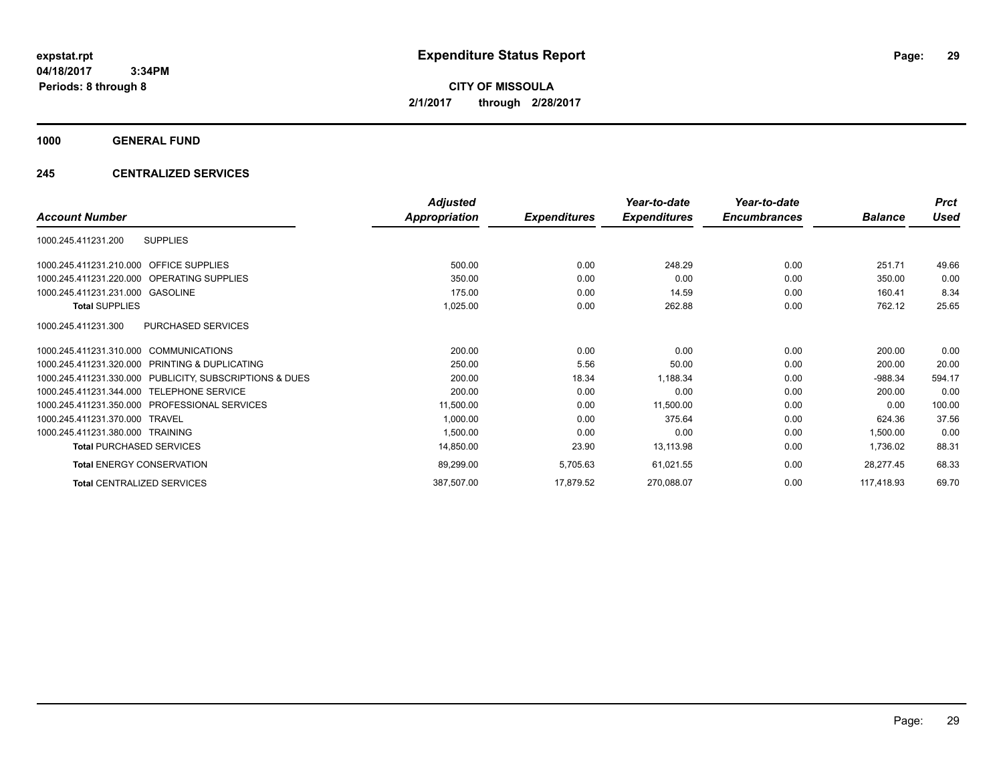**CITY OF MISSOULA 2/1/2017 through 2/28/2017**

**1000 GENERAL FUND**

### **245 CENTRALIZED SERVICES**

|                                                         | <b>Adjusted</b>      |                     | Year-to-date        | Year-to-date        |                | <b>Prct</b> |
|---------------------------------------------------------|----------------------|---------------------|---------------------|---------------------|----------------|-------------|
| <b>Account Number</b>                                   | <b>Appropriation</b> | <b>Expenditures</b> | <b>Expenditures</b> | <b>Encumbrances</b> | <b>Balance</b> | Used        |
| <b>SUPPLIES</b><br>1000.245.411231.200                  |                      |                     |                     |                     |                |             |
| 1000.245.411231.210.000 OFFICE SUPPLIES                 | 500.00               | 0.00                | 248.29              | 0.00                | 251.71         | 49.66       |
| 1000.245.411231.220.000 OPERATING SUPPLIES              | 350.00               | 0.00                | 0.00                | 0.00                | 350.00         | 0.00        |
| 1000.245.411231.231.000<br>GASOLINE                     | 175.00               | 0.00                | 14.59               | 0.00                | 160.41         | 8.34        |
| <b>Total SUPPLIES</b>                                   | 1,025.00             | 0.00                | 262.88              | 0.00                | 762.12         | 25.65       |
| PURCHASED SERVICES<br>1000.245.411231.300               |                      |                     |                     |                     |                |             |
| 1000.245.411231.310.000 COMMUNICATIONS                  | 200.00               | 0.00                | 0.00                | 0.00                | 200.00         | 0.00        |
| 1000.245.411231.320.000 PRINTING & DUPLICATING          | 250.00               | 5.56                | 50.00               | 0.00                | 200.00         | 20.00       |
| 1000.245.411231.330.000 PUBLICITY, SUBSCRIPTIONS & DUES | 200.00               | 18.34               | 1,188.34            | 0.00                | $-988.34$      | 594.17      |
| <b>TELEPHONE SERVICE</b><br>1000.245.411231.344.000     | 200.00               | 0.00                | 0.00                | 0.00                | 200.00         | 0.00        |
| 1000.245.411231.350.000 PROFESSIONAL SERVICES           | 11,500.00            | 0.00                | 11,500.00           | 0.00                | 0.00           | 100.00      |
| 1000.245.411231.370.000 TRAVEL                          | 1,000.00             | 0.00                | 375.64              | 0.00                | 624.36         | 37.56       |
| 1000.245.411231.380.000 TRAINING                        | 1,500.00             | 0.00                | 0.00                | 0.00                | 1,500.00       | 0.00        |
| <b>Total PURCHASED SERVICES</b>                         | 14,850.00            | 23.90               | 13,113.98           | 0.00                | 1,736.02       | 88.31       |
| <b>Total ENERGY CONSERVATION</b>                        | 89,299.00            | 5,705.63            | 61,021.55           | 0.00                | 28,277.45      | 68.33       |
| <b>Total CENTRALIZED SERVICES</b>                       | 387,507.00           | 17,879.52           | 270,088.07          | 0.00                | 117,418.93     | 69.70       |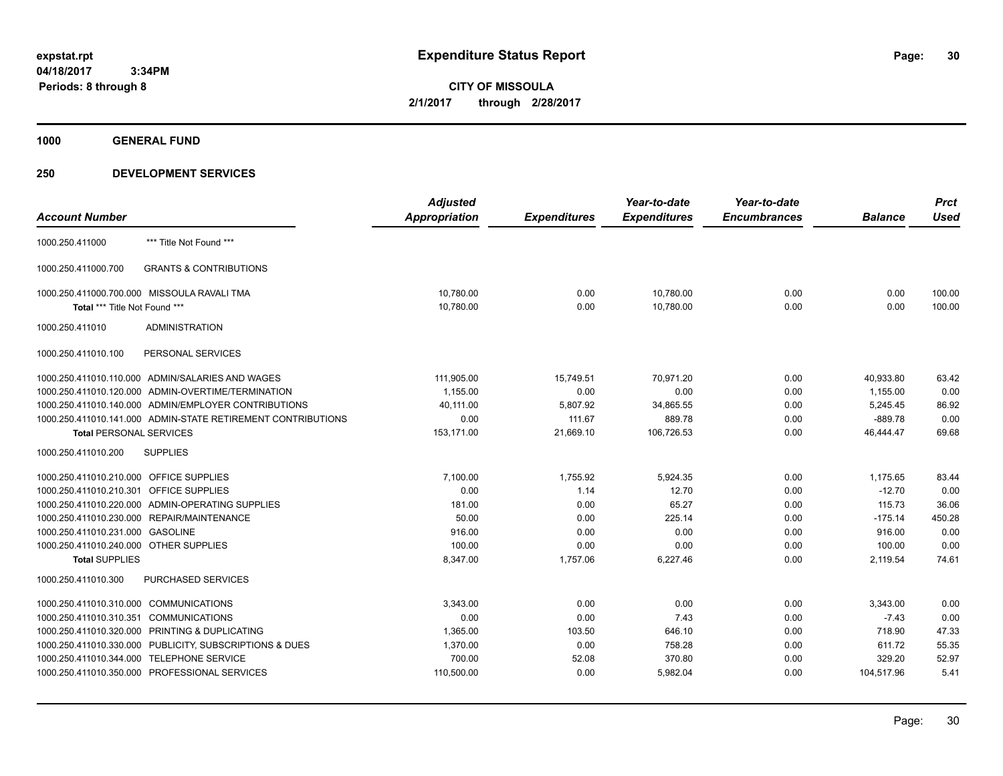**CITY OF MISSOULA 2/1/2017 through 2/28/2017**

**1000 GENERAL FUND**

|                                             |                                                              | <b>Adjusted</b> |                     | Year-to-date        | Year-to-date        |                | <b>Prct</b> |
|---------------------------------------------|--------------------------------------------------------------|-----------------|---------------------|---------------------|---------------------|----------------|-------------|
| <b>Account Number</b>                       |                                                              | Appropriation   | <b>Expenditures</b> | <b>Expenditures</b> | <b>Encumbrances</b> | <b>Balance</b> | <b>Used</b> |
| 1000.250.411000                             | *** Title Not Found ***                                      |                 |                     |                     |                     |                |             |
| 1000.250.411000.700                         | <b>GRANTS &amp; CONTRIBUTIONS</b>                            |                 |                     |                     |                     |                |             |
| 1000.250.411000.700.000 MISSOULA RAVALI TMA |                                                              | 10,780.00       | 0.00                | 10,780.00           | 0.00                | 0.00           | 100.00      |
| Total *** Title Not Found ***               |                                                              | 10,780.00       | 0.00                | 10,780.00           | 0.00                | 0.00           | 100.00      |
| 1000.250.411010                             | <b>ADMINISTRATION</b>                                        |                 |                     |                     |                     |                |             |
| 1000.250.411010.100                         | PERSONAL SERVICES                                            |                 |                     |                     |                     |                |             |
|                                             | 1000.250.411010.110.000 ADMIN/SALARIES AND WAGES             | 111,905.00      | 15,749.51           | 70,971.20           | 0.00                | 40,933.80      | 63.42       |
|                                             | 1000.250.411010.120.000 ADMIN-OVERTIME/TERMINATION           | 1,155.00        | 0.00                | 0.00                | 0.00                | 1,155.00       | 0.00        |
|                                             | 1000.250.411010.140.000 ADMIN/EMPLOYER CONTRIBUTIONS         | 40,111.00       | 5,807.92            | 34,865.55           | 0.00                | 5,245.45       | 86.92       |
|                                             | 1000.250.411010.141.000 ADMIN-STATE RETIREMENT CONTRIBUTIONS | 0.00            | 111.67              | 889.78              | 0.00                | $-889.78$      | 0.00        |
| <b>Total PERSONAL SERVICES</b>              |                                                              | 153,171.00      | 21,669.10           | 106,726.53          | 0.00                | 46,444.47      | 69.68       |
| 1000.250.411010.200                         | <b>SUPPLIES</b>                                              |                 |                     |                     |                     |                |             |
| 1000.250.411010.210.000 OFFICE SUPPLIES     |                                                              | 7,100.00        | 1,755.92            | 5,924.35            | 0.00                | 1,175.65       | 83.44       |
| 1000.250.411010.210.301 OFFICE SUPPLIES     |                                                              | 0.00            | 1.14                | 12.70               | 0.00                | $-12.70$       | 0.00        |
|                                             | 1000.250.411010.220.000 ADMIN-OPERATING SUPPLIES             | 181.00          | 0.00                | 65.27               | 0.00                | 115.73         | 36.06       |
| 1000.250.411010.230.000 REPAIR/MAINTENANCE  |                                                              | 50.00           | 0.00                | 225.14              | 0.00                | $-175.14$      | 450.28      |
| 1000.250.411010.231.000 GASOLINE            |                                                              | 916.00          | 0.00                | 0.00                | 0.00                | 916.00         | 0.00        |
| 1000.250.411010.240.000 OTHER SUPPLIES      |                                                              | 100.00          | 0.00                | 0.00                | 0.00                | 100.00         | 0.00        |
| <b>Total SUPPLIES</b>                       |                                                              | 8,347.00        | 1,757.06            | 6,227.46            | 0.00                | 2,119.54       | 74.61       |
| 1000.250.411010.300                         | <b>PURCHASED SERVICES</b>                                    |                 |                     |                     |                     |                |             |
| 1000.250.411010.310.000 COMMUNICATIONS      |                                                              | 3,343.00        | 0.00                | 0.00                | 0.00                | 3,343.00       | 0.00        |
| 1000.250.411010.310.351 COMMUNICATIONS      |                                                              | 0.00            | 0.00                | 7.43                | 0.00                | $-7.43$        | 0.00        |
|                                             | 1000.250.411010.320.000 PRINTING & DUPLICATING               | 1,365.00        | 103.50              | 646.10              | 0.00                | 718.90         | 47.33       |
|                                             | 1000.250.411010.330.000 PUBLICITY, SUBSCRIPTIONS & DUES      | 1,370.00        | 0.00                | 758.28              | 0.00                | 611.72         | 55.35       |
| 1000.250.411010.344.000 TELEPHONE SERVICE   |                                                              | 700.00          | 52.08               | 370.80              | 0.00                | 329.20         | 52.97       |
|                                             | 1000.250.411010.350.000 PROFESSIONAL SERVICES                | 110,500.00      | 0.00                | 5,982.04            | 0.00                | 104,517.96     | 5.41        |
|                                             |                                                              |                 |                     |                     |                     |                |             |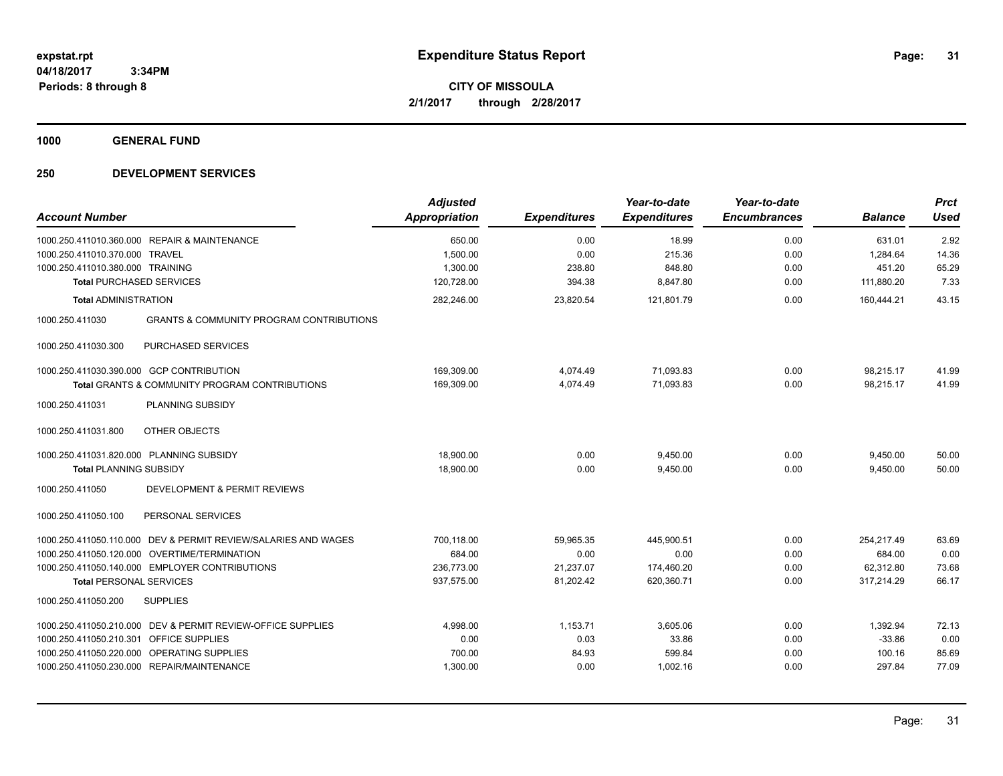**CITY OF MISSOULA 2/1/2017 through 2/28/2017**

**1000 GENERAL FUND**

| <b>Account Number</b>                                                                                                                                                                                                                        | <b>Adjusted</b><br>Appropriation                 | <b>Expenditures</b>                         | Year-to-date<br><b>Expenditures</b>            | Year-to-date<br><b>Encumbrances</b> | <b>Balance</b>                                  | <b>Prct</b><br><b>Used</b>      |
|----------------------------------------------------------------------------------------------------------------------------------------------------------------------------------------------------------------------------------------------|--------------------------------------------------|---------------------------------------------|------------------------------------------------|-------------------------------------|-------------------------------------------------|---------------------------------|
| 1000.250.411010.360.000 REPAIR & MAINTENANCE<br>1000.250.411010.370.000<br><b>TRAVEL</b><br>1000.250.411010.380.000 TRAINING<br><b>Total PURCHASED SERVICES</b>                                                                              | 650.00<br>1,500.00<br>1,300.00<br>120,728.00     | 0.00<br>0.00<br>238.80<br>394.38            | 18.99<br>215.36<br>848.80<br>8,847.80          | 0.00<br>0.00<br>0.00<br>0.00        | 631.01<br>1,284.64<br>451.20<br>111,880.20      | 2.92<br>14.36<br>65.29<br>7.33  |
| <b>Total ADMINISTRATION</b>                                                                                                                                                                                                                  | 282,246.00                                       | 23,820.54                                   | 121,801.79                                     | 0.00                                | 160,444.21                                      | 43.15                           |
| <b>GRANTS &amp; COMMUNITY PROGRAM CONTRIBUTIONS</b><br>1000.250.411030<br>PURCHASED SERVICES<br>1000.250.411030.300<br>1000.250.411030.390.000 GCP CONTRIBUTION                                                                              | 169,309.00                                       | 4,074.49                                    | 71,093.83                                      | 0.00                                | 98,215.17                                       | 41.99                           |
| <b>Total GRANTS &amp; COMMUNITY PROGRAM CONTRIBUTIONS</b>                                                                                                                                                                                    | 169,309.00                                       | 4,074.49                                    | 71,093.83                                      | 0.00                                | 98,215.17                                       | 41.99                           |
| 1000.250.411031<br>PLANNING SUBSIDY<br>OTHER OBJECTS<br>1000.250.411031.800<br>1000.250.411031.820.000 PLANNING SUBSIDY<br><b>Total PLANNING SUBSIDY</b><br>1000.250.411050<br>DEVELOPMENT & PERMIT REVIEWS                                  | 18,900.00<br>18,900.00                           | 0.00<br>0.00                                | 9,450.00<br>9,450.00                           | 0.00<br>0.00                        | 9,450.00<br>9,450.00                            | 50.00<br>50.00                  |
| 1000.250.411050.100<br>PERSONAL SERVICES                                                                                                                                                                                                     |                                                  |                                             |                                                |                                     |                                                 |                                 |
| 1000.250.411050.110.000 DEV & PERMIT REVIEW/SALARIES AND WAGES<br>1000.250.411050.120.000 OVERTIME/TERMINATION<br>1000.250.411050.140.000 EMPLOYER CONTRIBUTIONS<br><b>Total PERSONAL SERVICES</b><br>1000.250.411050.200<br><b>SUPPLIES</b> | 700.118.00<br>684.00<br>236,773.00<br>937,575.00 | 59.965.35<br>0.00<br>21,237.07<br>81,202.42 | 445.900.51<br>0.00<br>174,460.20<br>620,360.71 | 0.00<br>0.00<br>0.00<br>0.00        | 254.217.49<br>684.00<br>62,312.80<br>317,214.29 | 63.69<br>0.00<br>73.68<br>66.17 |
| 1000.250.411050.210.000 DEV & PERMIT REVIEW-OFFICE SUPPLIES<br>1000.250.411050.210.301 OFFICE SUPPLIES<br>1000.250.411050.220.000 OPERATING SUPPLIES<br>1000.250.411050.230.000 REPAIR/MAINTENANCE                                           | 4,998.00<br>0.00<br>700.00<br>1,300.00           | 1,153.71<br>0.03<br>84.93<br>0.00           | 3,605.06<br>33.86<br>599.84<br>1,002.16        | 0.00<br>0.00<br>0.00<br>0.00        | 1,392.94<br>$-33.86$<br>100.16<br>297.84        | 72.13<br>0.00<br>85.69<br>77.09 |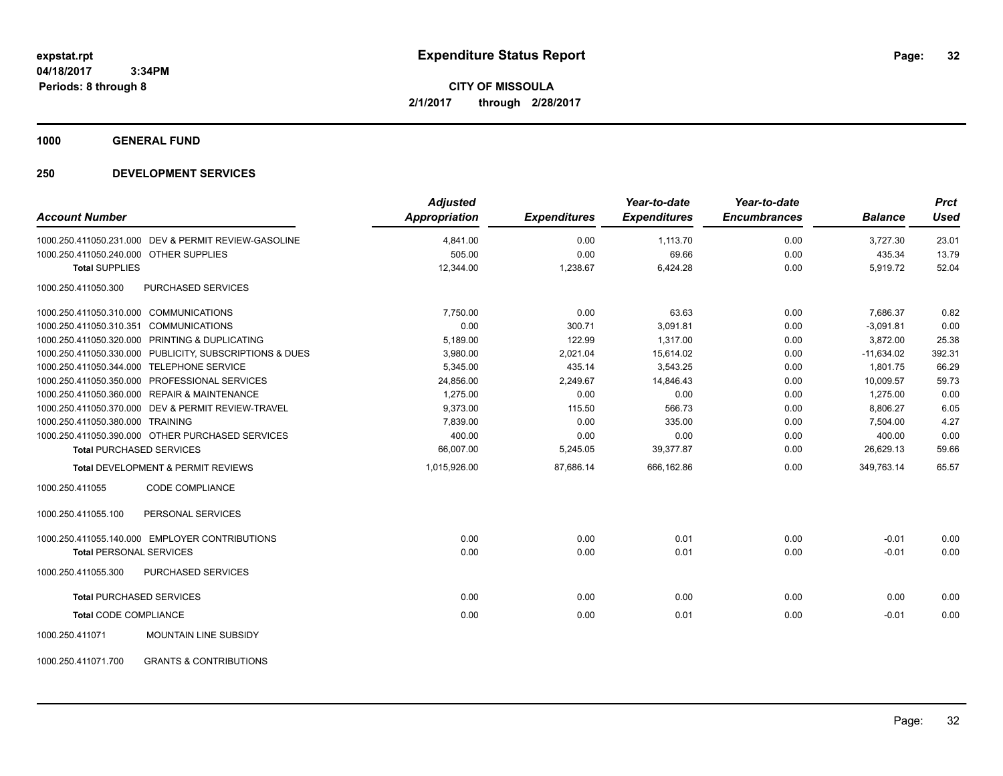**CITY OF MISSOULA 2/1/2017 through 2/28/2017**

**1000 GENERAL FUND**

| <b>Account Number</b>                          |                                                         | <b>Adjusted</b><br><b>Appropriation</b> | <b>Expenditures</b> | Year-to-date<br><b>Expenditures</b> | Year-to-date<br><b>Encumbrances</b> | <b>Balance</b> | <b>Prct</b><br><b>Used</b> |
|------------------------------------------------|---------------------------------------------------------|-----------------------------------------|---------------------|-------------------------------------|-------------------------------------|----------------|----------------------------|
|                                                | 1000.250.411050.231.000 DEV & PERMIT REVIEW-GASOLINE    | 4,841.00                                | 0.00                | 1,113.70                            | 0.00                                | 3,727.30       | 23.01                      |
| 1000.250.411050.240.000 OTHER SUPPLIES         |                                                         | 505.00                                  | 0.00                | 69.66                               | 0.00                                | 435.34         | 13.79                      |
| <b>Total SUPPLIES</b>                          |                                                         | 12,344.00                               | 1,238.67            | 6,424.28                            | 0.00                                | 5,919.72       | 52.04                      |
| 1000.250.411050.300                            | <b>PURCHASED SERVICES</b>                               |                                         |                     |                                     |                                     |                |                            |
| 1000.250.411050.310.000 COMMUNICATIONS         |                                                         | 7.750.00                                | 0.00                | 63.63                               | 0.00                                | 7,686.37       | 0.82                       |
| 1000.250.411050.310.351 COMMUNICATIONS         |                                                         | 0.00                                    | 300.71              | 3,091.81                            | 0.00                                | $-3,091.81$    | 0.00                       |
| 1000.250.411050.320.000 PRINTING & DUPLICATING |                                                         | 5,189.00                                | 122.99              | 1,317.00                            | 0.00                                | 3,872.00       | 25.38                      |
|                                                | 1000.250.411050.330.000 PUBLICITY, SUBSCRIPTIONS & DUES | 3,980.00                                | 2,021.04            | 15,614.02                           | 0.00                                | $-11,634.02$   | 392.31                     |
| 1000.250.411050.344.000 TELEPHONE SERVICE      |                                                         | 5,345.00                                | 435.14              | 3,543.25                            | 0.00                                | 1,801.75       | 66.29                      |
|                                                | 1000.250.411050.350.000 PROFESSIONAL SERVICES           | 24,856.00                               | 2,249.67            | 14,846.43                           | 0.00                                | 10,009.57      | 59.73                      |
| 1000.250.411050.360.000 REPAIR & MAINTENANCE   |                                                         | 1,275.00                                | 0.00                | 0.00                                | 0.00                                | 1,275.00       | 0.00                       |
|                                                | 1000.250.411050.370.000 DEV & PERMIT REVIEW-TRAVEL      | 9,373.00                                | 115.50              | 566.73                              | 0.00                                | 8,806.27       | 6.05                       |
| 1000.250.411050.380.000 TRAINING               |                                                         | 7,839.00                                | 0.00                | 335.00                              | 0.00                                | 7,504.00       | 4.27                       |
|                                                | 1000.250.411050.390.000 OTHER PURCHASED SERVICES        | 400.00                                  | 0.00                | 0.00                                | 0.00                                | 400.00         | 0.00                       |
| <b>Total PURCHASED SERVICES</b>                |                                                         | 66,007.00                               | 5,245.05            | 39,377.87                           | 0.00                                | 26,629.13      | 59.66                      |
|                                                | <b>Total DEVELOPMENT &amp; PERMIT REVIEWS</b>           | 1,015,926.00                            | 87,686.14           | 666,162.86                          | 0.00                                | 349,763.14     | 65.57                      |
| 1000.250.411055                                | <b>CODE COMPLIANCE</b>                                  |                                         |                     |                                     |                                     |                |                            |
| 1000.250.411055.100                            | PERSONAL SERVICES                                       |                                         |                     |                                     |                                     |                |                            |
|                                                | 1000.250.411055.140.000 EMPLOYER CONTRIBUTIONS          | 0.00                                    | 0.00                | 0.01                                | 0.00                                | $-0.01$        | 0.00                       |
| <b>Total PERSONAL SERVICES</b>                 |                                                         | 0.00                                    | 0.00                | 0.01                                | 0.00                                | $-0.01$        | 0.00                       |
| 1000.250.411055.300                            | PURCHASED SERVICES                                      |                                         |                     |                                     |                                     |                |                            |
| <b>Total PURCHASED SERVICES</b>                |                                                         | 0.00                                    | 0.00                | 0.00                                | 0.00                                | 0.00           | 0.00                       |
| <b>Total CODE COMPLIANCE</b>                   |                                                         | 0.00                                    | 0.00                | 0.01                                | 0.00                                | $-0.01$        | 0.00                       |
| 1000.250.411071                                | MOUNTAIN LINE SUBSIDY                                   |                                         |                     |                                     |                                     |                |                            |
| 1000.250.411071.700                            | <b>GRANTS &amp; CONTRIBUTIONS</b>                       |                                         |                     |                                     |                                     |                |                            |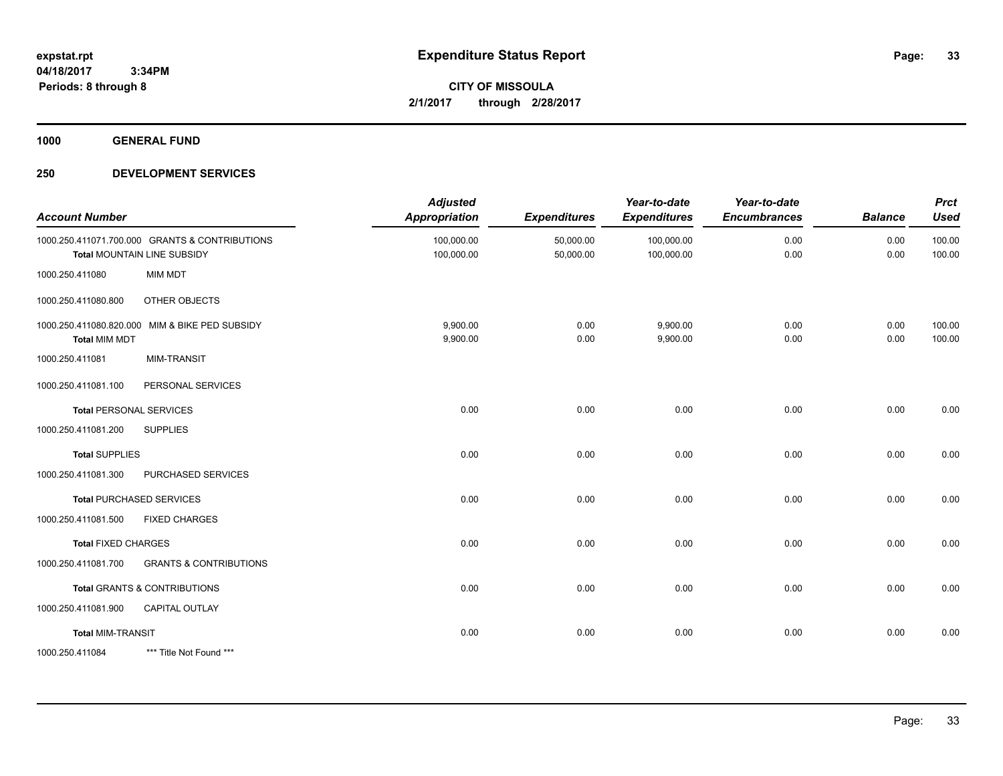**CITY OF MISSOULA 2/1/2017 through 2/28/2017**

**1000 GENERAL FUND**

| <b>Account Number</b>      |                                                                               | <b>Adjusted</b><br>Appropriation | <b>Expenditures</b>    | Year-to-date<br><b>Expenditures</b> | Year-to-date<br><b>Encumbrances</b> | <b>Balance</b> | <b>Prct</b><br><b>Used</b> |
|----------------------------|-------------------------------------------------------------------------------|----------------------------------|------------------------|-------------------------------------|-------------------------------------|----------------|----------------------------|
|                            | 1000.250.411071.700.000 GRANTS & CONTRIBUTIONS<br>Total MOUNTAIN LINE SUBSIDY | 100,000.00<br>100,000.00         | 50,000.00<br>50,000.00 | 100,000.00<br>100,000.00            | 0.00<br>0.00                        | 0.00<br>0.00   | 100.00<br>100.00           |
| 1000.250.411080            | <b>MIM MDT</b>                                                                |                                  |                        |                                     |                                     |                |                            |
| 1000.250.411080.800        | OTHER OBJECTS                                                                 |                                  |                        |                                     |                                     |                |                            |
| <b>Total MIM MDT</b>       | 1000.250.411080.820.000 MIM & BIKE PED SUBSIDY                                | 9,900.00<br>9,900.00             | 0.00<br>0.00           | 9,900.00<br>9,900.00                | 0.00<br>0.00                        | 0.00<br>0.00   | 100.00<br>100.00           |
| 1000.250.411081            | <b>MIM-TRANSIT</b>                                                            |                                  |                        |                                     |                                     |                |                            |
| 1000.250.411081.100        | PERSONAL SERVICES                                                             |                                  |                        |                                     |                                     |                |                            |
|                            | <b>Total PERSONAL SERVICES</b>                                                | 0.00                             | 0.00                   | 0.00                                | 0.00                                | 0.00           | 0.00                       |
| 1000.250.411081.200        | <b>SUPPLIES</b>                                                               |                                  |                        |                                     |                                     |                |                            |
| <b>Total SUPPLIES</b>      |                                                                               | 0.00                             | 0.00                   | 0.00                                | 0.00                                | 0.00           | 0.00                       |
| 1000.250.411081.300        | PURCHASED SERVICES                                                            |                                  |                        |                                     |                                     |                |                            |
|                            | <b>Total PURCHASED SERVICES</b>                                               | 0.00                             | 0.00                   | 0.00                                | 0.00                                | 0.00           | 0.00                       |
| 1000.250.411081.500        | <b>FIXED CHARGES</b>                                                          |                                  |                        |                                     |                                     |                |                            |
| <b>Total FIXED CHARGES</b> |                                                                               | 0.00                             | 0.00                   | 0.00                                | 0.00                                | 0.00           | 0.00                       |
| 1000.250.411081.700        | <b>GRANTS &amp; CONTRIBUTIONS</b>                                             |                                  |                        |                                     |                                     |                |                            |
|                            | Total GRANTS & CONTRIBUTIONS                                                  | 0.00                             | 0.00                   | 0.00                                | 0.00                                | 0.00           | 0.00                       |
| 1000.250.411081.900        | CAPITAL OUTLAY                                                                |                                  |                        |                                     |                                     |                |                            |
| <b>Total MIM-TRANSIT</b>   |                                                                               | 0.00                             | 0.00                   | 0.00                                | 0.00                                | 0.00           | 0.00                       |
| 1000.250.411084            | *** Title Not Found ***                                                       |                                  |                        |                                     |                                     |                |                            |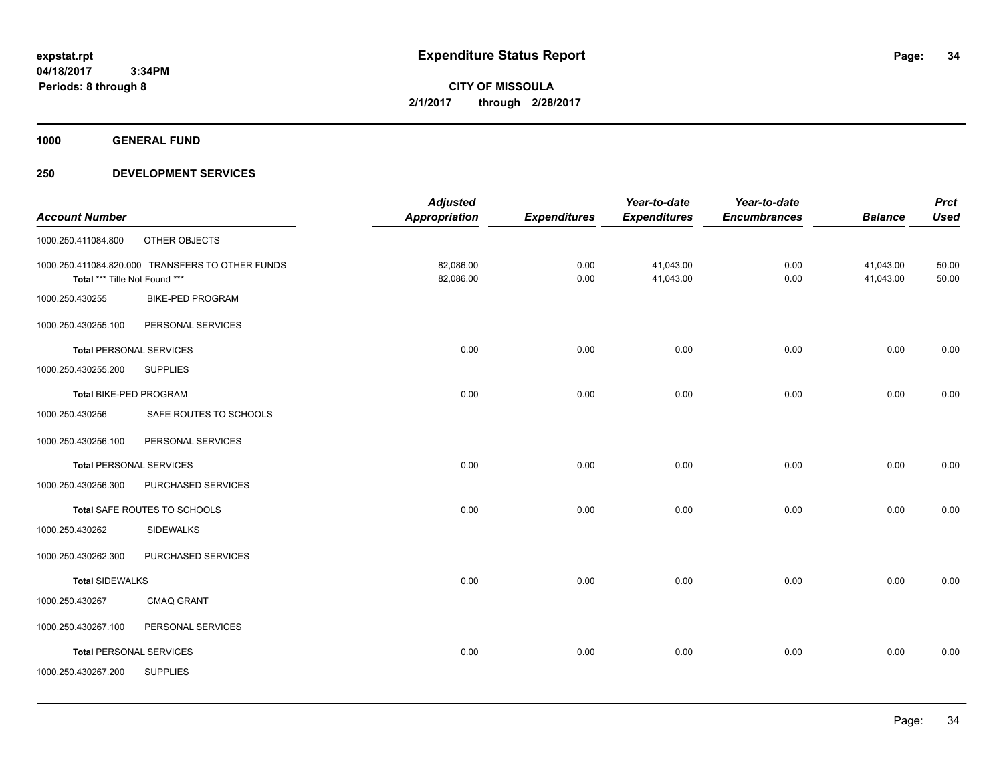**CITY OF MISSOULA 2/1/2017 through 2/28/2017**

**1000 GENERAL FUND**

|                                |                                                  | <b>Adjusted</b>      |                     | Year-to-date        | Year-to-date        |                | <b>Prct</b> |
|--------------------------------|--------------------------------------------------|----------------------|---------------------|---------------------|---------------------|----------------|-------------|
| <b>Account Number</b>          |                                                  | <b>Appropriation</b> | <b>Expenditures</b> | <b>Expenditures</b> | <b>Encumbrances</b> | <b>Balance</b> | <b>Used</b> |
| 1000.250.411084.800            | OTHER OBJECTS                                    |                      |                     |                     |                     |                |             |
|                                | 1000.250.411084.820.000 TRANSFERS TO OTHER FUNDS | 82,086.00            | 0.00                | 41,043.00           | 0.00                | 41,043.00      | 50.00       |
| Total *** Title Not Found ***  |                                                  | 82,086.00            | 0.00                | 41,043.00           | 0.00                | 41,043.00      | 50.00       |
| 1000.250.430255                | <b>BIKE-PED PROGRAM</b>                          |                      |                     |                     |                     |                |             |
| 1000.250.430255.100            | PERSONAL SERVICES                                |                      |                     |                     |                     |                |             |
| <b>Total PERSONAL SERVICES</b> |                                                  | 0.00                 | 0.00                | 0.00                | 0.00                | 0.00           | 0.00        |
| 1000.250.430255.200            | <b>SUPPLIES</b>                                  |                      |                     |                     |                     |                |             |
| Total BIKE-PED PROGRAM         |                                                  | 0.00                 | 0.00                | 0.00                | 0.00                | 0.00           | 0.00        |
| 1000.250.430256                | SAFE ROUTES TO SCHOOLS                           |                      |                     |                     |                     |                |             |
| 1000.250.430256.100            | PERSONAL SERVICES                                |                      |                     |                     |                     |                |             |
| <b>Total PERSONAL SERVICES</b> |                                                  | 0.00                 | 0.00                | 0.00                | 0.00                | 0.00           | 0.00        |
| 1000.250.430256.300            | PURCHASED SERVICES                               |                      |                     |                     |                     |                |             |
|                                | Total SAFE ROUTES TO SCHOOLS                     | 0.00                 | 0.00                | 0.00                | 0.00                | 0.00           | 0.00        |
| 1000.250.430262                | <b>SIDEWALKS</b>                                 |                      |                     |                     |                     |                |             |
| 1000.250.430262.300            | PURCHASED SERVICES                               |                      |                     |                     |                     |                |             |
| <b>Total SIDEWALKS</b>         |                                                  | 0.00                 | 0.00                | 0.00                | 0.00                | 0.00           | 0.00        |
| 1000.250.430267                | <b>CMAQ GRANT</b>                                |                      |                     |                     |                     |                |             |
| 1000.250.430267.100            | PERSONAL SERVICES                                |                      |                     |                     |                     |                |             |
| <b>Total PERSONAL SERVICES</b> |                                                  | 0.00                 | 0.00                | 0.00                | 0.00                | 0.00           | 0.00        |
| 1000.250.430267.200            | <b>SUPPLIES</b>                                  |                      |                     |                     |                     |                |             |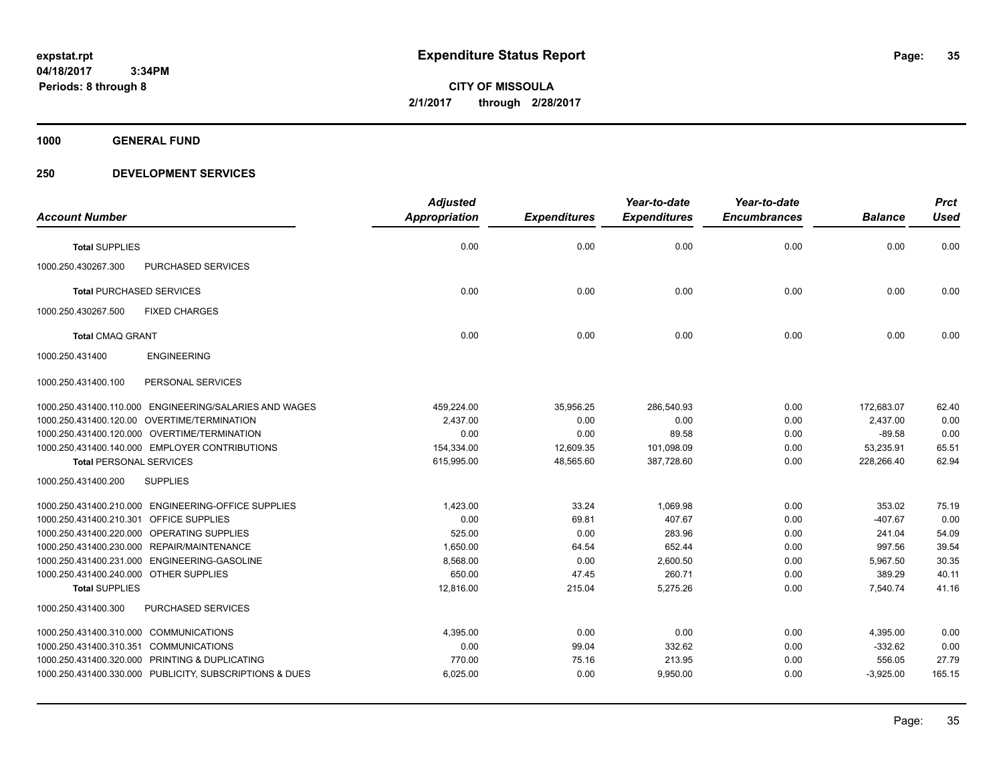**CITY OF MISSOULA 2/1/2017 through 2/28/2017**

**1000 GENERAL FUND**

|                                              |                                                         | <b>Adjusted</b> |                     | Year-to-date        | Year-to-date        |                | <b>Prct</b> |
|----------------------------------------------|---------------------------------------------------------|-----------------|---------------------|---------------------|---------------------|----------------|-------------|
| <b>Account Number</b>                        |                                                         | Appropriation   | <b>Expenditures</b> | <b>Expenditures</b> | <b>Encumbrances</b> | <b>Balance</b> | <b>Used</b> |
| <b>Total SUPPLIES</b>                        |                                                         | 0.00            | 0.00                | 0.00                | 0.00                | 0.00           | 0.00        |
| 1000.250.430267.300                          | <b>PURCHASED SERVICES</b>                               |                 |                     |                     |                     |                |             |
| <b>Total PURCHASED SERVICES</b>              |                                                         | 0.00            | 0.00                | 0.00                | 0.00                | 0.00           | 0.00        |
| 1000.250.430267.500                          | <b>FIXED CHARGES</b>                                    |                 |                     |                     |                     |                |             |
| <b>Total CMAQ GRANT</b>                      |                                                         | 0.00            | 0.00                | 0.00                | 0.00                | 0.00           | 0.00        |
| 1000.250.431400                              | <b>ENGINEERING</b>                                      |                 |                     |                     |                     |                |             |
| 1000.250.431400.100                          | PERSONAL SERVICES                                       |                 |                     |                     |                     |                |             |
|                                              | 1000.250.431400.110.000 ENGINEERING/SALARIES AND WAGES  | 459,224.00      | 35,956.25           | 286,540.93          | 0.00                | 172,683.07     | 62.40       |
| 1000.250.431400.120.00 OVERTIME/TERMINATION  |                                                         | 2,437.00        | 0.00                | 0.00                | 0.00                | 2,437.00       | 0.00        |
| 1000.250.431400.120.000 OVERTIME/TERMINATION |                                                         | 0.00            | 0.00                | 89.58               | 0.00                | $-89.58$       | 0.00        |
|                                              | 1000.250.431400.140.000 EMPLOYER CONTRIBUTIONS          | 154,334.00      | 12,609.35           | 101,098.09          | 0.00                | 53,235.91      | 65.51       |
| <b>Total PERSONAL SERVICES</b>               |                                                         | 615,995.00      | 48,565.60           | 387,728.60          | 0.00                | 228,266.40     | 62.94       |
| 1000.250.431400.200                          | <b>SUPPLIES</b>                                         |                 |                     |                     |                     |                |             |
|                                              | 1000.250.431400.210.000 ENGINEERING-OFFICE SUPPLIES     | 1,423.00        | 33.24               | 1,069.98            | 0.00                | 353.02         | 75.19       |
| 1000.250.431400.210.301 OFFICE SUPPLIES      |                                                         | 0.00            | 69.81               | 407.67              | 0.00                | $-407.67$      | 0.00        |
| 1000.250.431400.220.000 OPERATING SUPPLIES   |                                                         | 525.00          | 0.00                | 283.96              | 0.00                | 241.04         | 54.09       |
| 1000.250.431400.230.000 REPAIR/MAINTENANCE   |                                                         | 1,650.00        | 64.54               | 652.44              | 0.00                | 997.56         | 39.54       |
| 1000.250.431400.231.000 ENGINEERING-GASOLINE |                                                         | 8,568.00        | 0.00                | 2,600.50            | 0.00                | 5,967.50       | 30.35       |
| 1000.250.431400.240.000 OTHER SUPPLIES       |                                                         | 650.00          | 47.45               | 260.71              | 0.00                | 389.29         | 40.11       |
| <b>Total SUPPLIES</b>                        |                                                         | 12,816.00       | 215.04              | 5,275.26            | 0.00                | 7,540.74       | 41.16       |
| 1000.250.431400.300                          | PURCHASED SERVICES                                      |                 |                     |                     |                     |                |             |
| 1000.250.431400.310.000 COMMUNICATIONS       |                                                         | 4,395.00        | 0.00                | 0.00                | 0.00                | 4,395.00       | 0.00        |
| 1000.250.431400.310.351                      | <b>COMMUNICATIONS</b>                                   | 0.00            | 99.04               | 332.62              | 0.00                | $-332.62$      | 0.00        |
|                                              | 1000.250.431400.320.000 PRINTING & DUPLICATING          | 770.00          | 75.16               | 213.95              | 0.00                | 556.05         | 27.79       |
|                                              | 1000.250.431400.330.000 PUBLICITY, SUBSCRIPTIONS & DUES | 6,025.00        | 0.00                | 9,950.00            | 0.00                | $-3,925.00$    | 165.15      |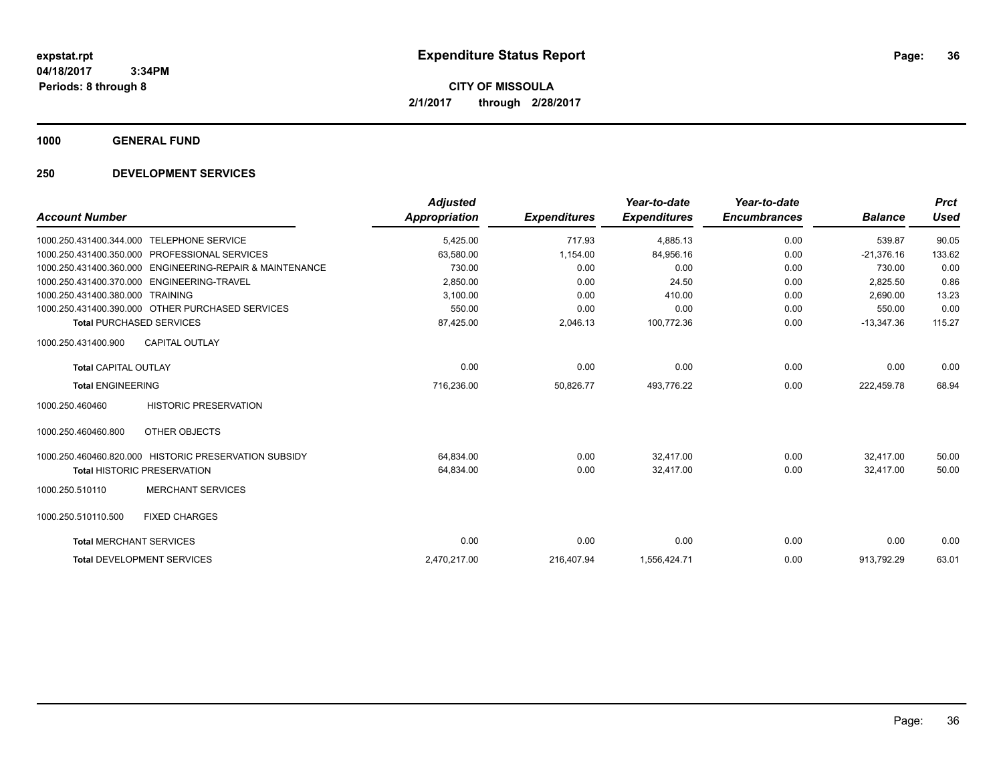**CITY OF MISSOULA 2/1/2017 through 2/28/2017**

**1000 GENERAL FUND**

|                                |                                                       | <b>Adjusted</b>      |                     | Year-to-date        | Year-to-date        |                | <b>Prct</b> |
|--------------------------------|-------------------------------------------------------|----------------------|---------------------|---------------------|---------------------|----------------|-------------|
| <b>Account Number</b>          |                                                       | <b>Appropriation</b> | <b>Expenditures</b> | <b>Expenditures</b> | <b>Encumbrances</b> | <b>Balance</b> | <b>Used</b> |
| 1000.250.431400.344.000        | <b>TELEPHONE SERVICE</b>                              | 5,425.00             | 717.93              | 4,885.13            | 0.00                | 539.87         | 90.05       |
| 1000.250.431400.350.000        | <b>PROFESSIONAL SERVICES</b>                          | 63,580.00            | 1,154.00            | 84,956.16           | 0.00                | $-21,376.16$   | 133.62      |
| 1000.250.431400.360.000        | <b>ENGINEERING-REPAIR &amp; MAINTENANCE</b>           | 730.00               | 0.00                | 0.00                | 0.00                | 730.00         | 0.00        |
| 1000.250.431400.370.000        | ENGINEERING-TRAVEL                                    | 2,850.00             | 0.00                | 24.50               | 0.00                | 2,825.50       | 0.86        |
| 1000.250.431400.380.000        | <b>TRAINING</b>                                       | 3,100.00             | 0.00                | 410.00              | 0.00                | 2.690.00       | 13.23       |
|                                | 1000.250.431400.390.000 OTHER PURCHASED SERVICES      | 550.00               | 0.00                | 0.00                | 0.00                | 550.00         | 0.00        |
|                                | <b>Total PURCHASED SERVICES</b>                       | 87,425.00            | 2,046.13            | 100,772.36          | 0.00                | $-13,347.36$   | 115.27      |
| 1000.250.431400.900            | <b>CAPITAL OUTLAY</b>                                 |                      |                     |                     |                     |                |             |
| <b>Total CAPITAL OUTLAY</b>    |                                                       | 0.00                 | 0.00                | 0.00                | 0.00                | 0.00           | 0.00        |
| <b>Total ENGINEERING</b>       |                                                       | 716,236.00           | 50,826.77           | 493,776.22          | 0.00                | 222,459.78     | 68.94       |
| 1000.250.460460                | <b>HISTORIC PRESERVATION</b>                          |                      |                     |                     |                     |                |             |
| 1000.250.460460.800            | OTHER OBJECTS                                         |                      |                     |                     |                     |                |             |
|                                | 1000.250.460460.820.000 HISTORIC PRESERVATION SUBSIDY | 64,834.00            | 0.00                | 32.417.00           | 0.00                | 32,417.00      | 50.00       |
|                                | <b>Total HISTORIC PRESERVATION</b>                    | 64,834.00            | 0.00                | 32,417.00           | 0.00                | 32,417.00      | 50.00       |
| 1000.250.510110                | <b>MERCHANT SERVICES</b>                              |                      |                     |                     |                     |                |             |
| 1000.250.510110.500            | <b>FIXED CHARGES</b>                                  |                      |                     |                     |                     |                |             |
| <b>Total MERCHANT SERVICES</b> |                                                       | 0.00                 | 0.00                | 0.00                | 0.00                | 0.00           | 0.00        |
|                                | <b>Total DEVELOPMENT SERVICES</b>                     | 2,470,217.00         | 216,407.94          | 1,556,424.71        | 0.00                | 913,792.29     | 63.01       |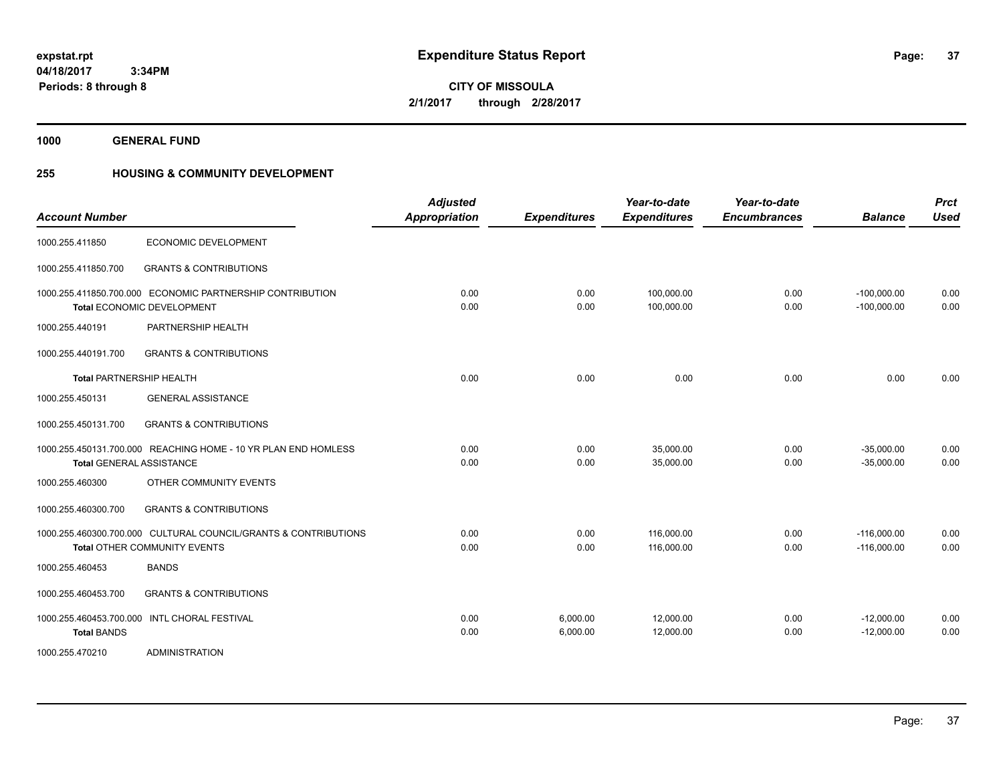**37**

**04/18/2017 3:34PM Periods: 8 through 8**

**CITY OF MISSOULA 2/1/2017 through 2/28/2017**

**1000 GENERAL FUND**

### **255 HOUSING & COMMUNITY DEVELOPMENT**

| <b>Account Number</b>                         |                                                                                                        | <b>Adjusted</b><br><b>Appropriation</b> | <b>Expenditures</b>  | Year-to-date<br><b>Expenditures</b> | Year-to-date<br><b>Encumbrances</b> | <b>Balance</b>                 | <b>Prct</b><br><b>Used</b> |
|-----------------------------------------------|--------------------------------------------------------------------------------------------------------|-----------------------------------------|----------------------|-------------------------------------|-------------------------------------|--------------------------------|----------------------------|
| 1000.255.411850                               | ECONOMIC DEVELOPMENT                                                                                   |                                         |                      |                                     |                                     |                                |                            |
| 1000.255.411850.700                           | <b>GRANTS &amp; CONTRIBUTIONS</b>                                                                      |                                         |                      |                                     |                                     |                                |                            |
|                                               | 1000.255.411850.700.000 ECONOMIC PARTNERSHIP CONTRIBUTION<br>Total ECONOMIC DEVELOPMENT                | 0.00<br>0.00                            | 0.00<br>0.00         | 100,000.00<br>100,000.00            | 0.00<br>0.00                        | $-100,000.00$<br>$-100,000.00$ | 0.00<br>0.00               |
| 1000.255.440191                               | PARTNERSHIP HEALTH                                                                                     |                                         |                      |                                     |                                     |                                |                            |
| 1000.255.440191.700                           | <b>GRANTS &amp; CONTRIBUTIONS</b>                                                                      |                                         |                      |                                     |                                     |                                |                            |
|                                               | <b>Total PARTNERSHIP HEALTH</b>                                                                        | 0.00                                    | 0.00                 | 0.00                                | 0.00                                | 0.00                           | 0.00                       |
| 1000.255.450131                               | <b>GENERAL ASSISTANCE</b>                                                                              |                                         |                      |                                     |                                     |                                |                            |
| 1000.255.450131.700                           | <b>GRANTS &amp; CONTRIBUTIONS</b>                                                                      |                                         |                      |                                     |                                     |                                |                            |
|                                               | 1000.255.450131.700.000 REACHING HOME - 10 YR PLAN END HOMLESS<br><b>Total GENERAL ASSISTANCE</b>      | 0.00<br>0.00                            | 0.00<br>0.00         | 35,000.00<br>35,000.00              | 0.00<br>0.00                        | $-35,000.00$<br>$-35,000.00$   | 0.00<br>0.00               |
| 1000.255.460300                               | OTHER COMMUNITY EVENTS                                                                                 |                                         |                      |                                     |                                     |                                |                            |
| 1000.255.460300.700                           | <b>GRANTS &amp; CONTRIBUTIONS</b>                                                                      |                                         |                      |                                     |                                     |                                |                            |
|                                               | 1000.255.460300.700.000 CULTURAL COUNCIL/GRANTS & CONTRIBUTIONS<br><b>Total OTHER COMMUNITY EVENTS</b> | 0.00<br>0.00                            | 0.00<br>0.00         | 116,000.00<br>116,000.00            | 0.00<br>0.00                        | $-116,000.00$<br>$-116,000.00$ | 0.00<br>0.00               |
| 1000.255.460453                               | <b>BANDS</b>                                                                                           |                                         |                      |                                     |                                     |                                |                            |
| 1000.255.460453.700                           | <b>GRANTS &amp; CONTRIBUTIONS</b>                                                                      |                                         |                      |                                     |                                     |                                |                            |
| 1000.255.460453.700.000<br><b>Total BANDS</b> | <b>INTL CHORAL FESTIVAL</b>                                                                            | 0.00<br>0.00                            | 6,000.00<br>6,000.00 | 12,000.00<br>12,000.00              | 0.00<br>0.00                        | $-12,000.00$<br>$-12,000.00$   | 0.00<br>0.00               |
| 1000.255.470210                               | <b>ADMINISTRATION</b>                                                                                  |                                         |                      |                                     |                                     |                                |                            |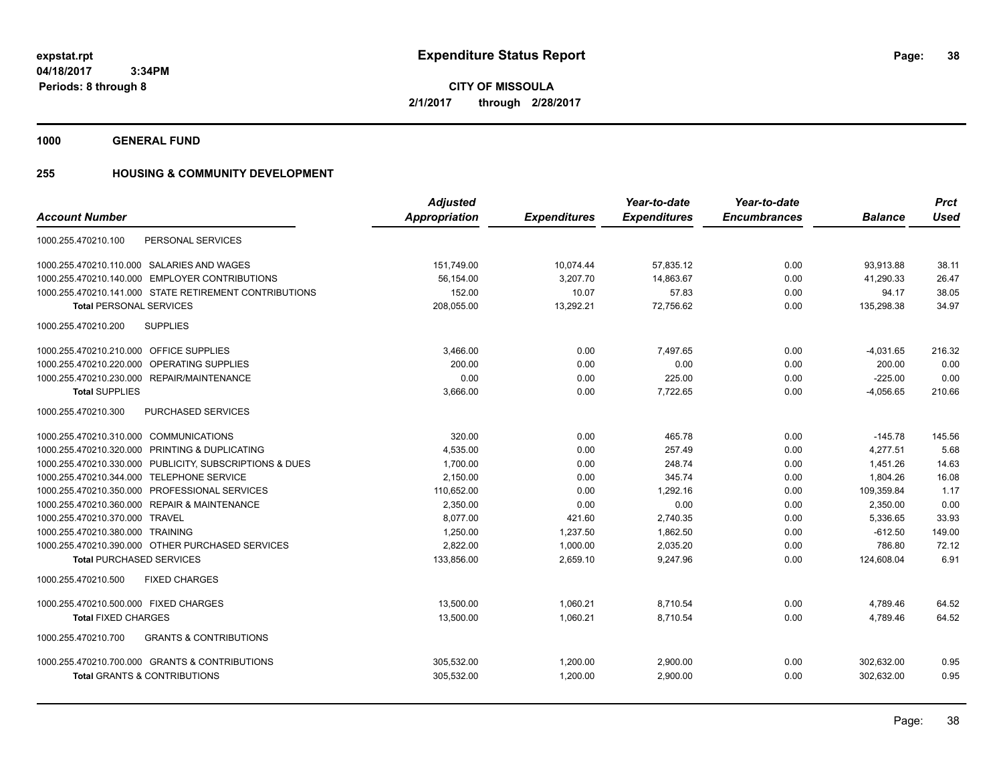**CITY OF MISSOULA 2/1/2017 through 2/28/2017**

**1000 GENERAL FUND**

### **255 HOUSING & COMMUNITY DEVELOPMENT**

|                                                          | <b>Adjusted</b>      |                     | Year-to-date        | Year-to-date        |                | <b>Prct</b> |
|----------------------------------------------------------|----------------------|---------------------|---------------------|---------------------|----------------|-------------|
| <b>Account Number</b>                                    | <b>Appropriation</b> | <b>Expenditures</b> | <b>Expenditures</b> | <b>Encumbrances</b> | <b>Balance</b> | <b>Used</b> |
| PERSONAL SERVICES<br>1000.255.470210.100                 |                      |                     |                     |                     |                |             |
| 1000.255.470210.110.000 SALARIES AND WAGES               | 151,749.00           | 10,074.44           | 57,835.12           | 0.00                | 93,913.88      | 38.11       |
| 1000.255.470210.140.000 EMPLOYER CONTRIBUTIONS           | 56,154.00            | 3,207.70            | 14,863.67           | 0.00                | 41,290.33      | 26.47       |
| 1000.255.470210.141.000 STATE RETIREMENT CONTRIBUTIONS   | 152.00               | 10.07               | 57.83               | 0.00                | 94.17          | 38.05       |
| <b>Total PERSONAL SERVICES</b>                           | 208,055.00           | 13,292.21           | 72,756.62           | 0.00                | 135,298.38     | 34.97       |
| <b>SUPPLIES</b><br>1000.255.470210.200                   |                      |                     |                     |                     |                |             |
| 1000.255.470210.210.000 OFFICE SUPPLIES                  | 3,466.00             | 0.00                | 7.497.65            | 0.00                | $-4,031.65$    | 216.32      |
| 1000.255.470210.220.000 OPERATING SUPPLIES               | 200.00               | 0.00                | 0.00                | 0.00                | 200.00         | 0.00        |
| 1000.255.470210.230.000 REPAIR/MAINTENANCE               | 0.00                 | 0.00                | 225.00              | 0.00                | $-225.00$      | 0.00        |
| <b>Total SUPPLIES</b>                                    | 3,666.00             | 0.00                | 7,722.65            | 0.00                | $-4,056.65$    | 210.66      |
| 1000.255.470210.300<br>PURCHASED SERVICES                |                      |                     |                     |                     |                |             |
| 1000.255.470210.310.000 COMMUNICATIONS                   | 320.00               | 0.00                | 465.78              | 0.00                | $-145.78$      | 145.56      |
| 1000.255.470210.320.000 PRINTING & DUPLICATING           | 4,535.00             | 0.00                | 257.49              | 0.00                | 4,277.51       | 5.68        |
| 1000.255.470210.330.000 PUBLICITY, SUBSCRIPTIONS & DUES  | 1,700.00             | 0.00                | 248.74              | 0.00                | 1,451.26       | 14.63       |
| 1000.255.470210.344.000 TELEPHONE SERVICE                | 2,150.00             | 0.00                | 345.74              | 0.00                | 1,804.26       | 16.08       |
| 1000.255.470210.350.000 PROFESSIONAL SERVICES            | 110,652.00           | 0.00                | 1.292.16            | 0.00                | 109,359.84     | 1.17        |
| 1000.255.470210.360.000 REPAIR & MAINTENANCE             | 2,350.00             | 0.00                | 0.00                | 0.00                | 2,350.00       | 0.00        |
| 1000.255.470210.370.000 TRAVEL                           | 8.077.00             | 421.60              | 2,740.35            | 0.00                | 5,336.65       | 33.93       |
| 1000.255.470210.380.000 TRAINING                         | 1,250.00             | 1,237.50            | 1,862.50            | 0.00                | $-612.50$      | 149.00      |
| 1000.255.470210.390.000 OTHER PURCHASED SERVICES         | 2,822.00             | 1,000.00            | 2,035.20            | 0.00                | 786.80         | 72.12       |
| <b>Total PURCHASED SERVICES</b>                          | 133,856.00           | 2,659.10            | 9,247.96            | 0.00                | 124,608.04     | 6.91        |
| 1000.255.470210.500<br><b>FIXED CHARGES</b>              |                      |                     |                     |                     |                |             |
| 1000.255.470210.500.000 FIXED CHARGES                    | 13,500.00            | 1,060.21            | 8,710.54            | 0.00                | 4,789.46       | 64.52       |
| <b>Total FIXED CHARGES</b>                               | 13,500.00            | 1,060.21            | 8,710.54            | 0.00                | 4,789.46       | 64.52       |
| <b>GRANTS &amp; CONTRIBUTIONS</b><br>1000.255.470210.700 |                      |                     |                     |                     |                |             |
| 1000.255.470210.700.000 GRANTS & CONTRIBUTIONS           | 305,532.00           | 1,200.00            | 2,900.00            | 0.00                | 302,632.00     | 0.95        |
| <b>Total GRANTS &amp; CONTRIBUTIONS</b>                  | 305,532.00           | 1.200.00            | 2.900.00            | 0.00                | 302.632.00     | 0.95        |
|                                                          |                      |                     |                     |                     |                |             |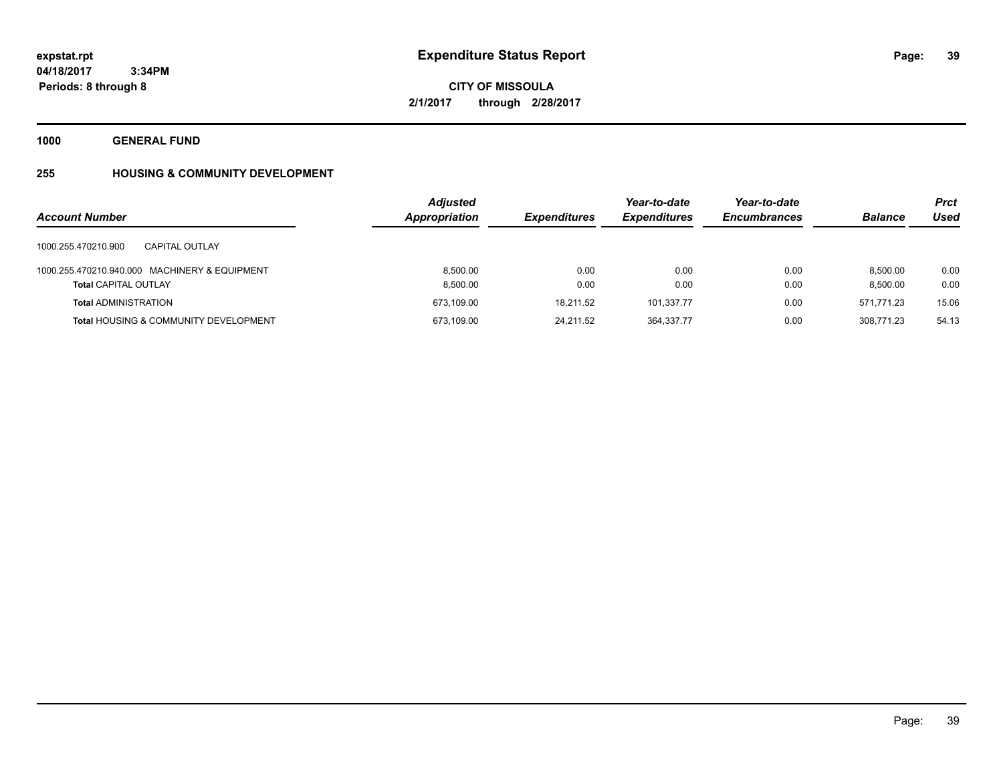# **CITY OF MISSOULA 2/1/2017 through 2/28/2017**

**1000 GENERAL FUND**

## **255 HOUSING & COMMUNITY DEVELOPMENT**

| <b>Account Number</b>                                                        | <b>Adjusted</b><br>Appropriation | <b>Expenditures</b> | Year-to-date<br><b>Expenditures</b> | Year-to-date<br><b>Encumbrances</b> | <b>Balance</b>       | <b>Prct</b><br>Used |
|------------------------------------------------------------------------------|----------------------------------|---------------------|-------------------------------------|-------------------------------------|----------------------|---------------------|
| 1000.255.470210.900<br>CAPITAL OUTLAY                                        |                                  |                     |                                     |                                     |                      |                     |
| 1000.255.470210.940.000 MACHINERY & EQUIPMENT<br><b>Total CAPITAL OUTLAY</b> | 8.500.00<br>8,500.00             | 0.00<br>0.00        | 0.00<br>0.00                        | 0.00<br>0.00                        | 8.500.00<br>8,500.00 | 0.00<br>0.00        |
| <b>Total ADMINISTRATION</b>                                                  | 673,109.00                       | 18.211.52           | 101,337.77                          | 0.00                                | 571.771.23           | 15.06               |
| <b>Total HOUSING &amp; COMMUNITY DEVELOPMENT</b>                             | 673,109.00                       | 24.211.52           | 364,337.77                          | 0.00                                | 308.771.23           | 54.13               |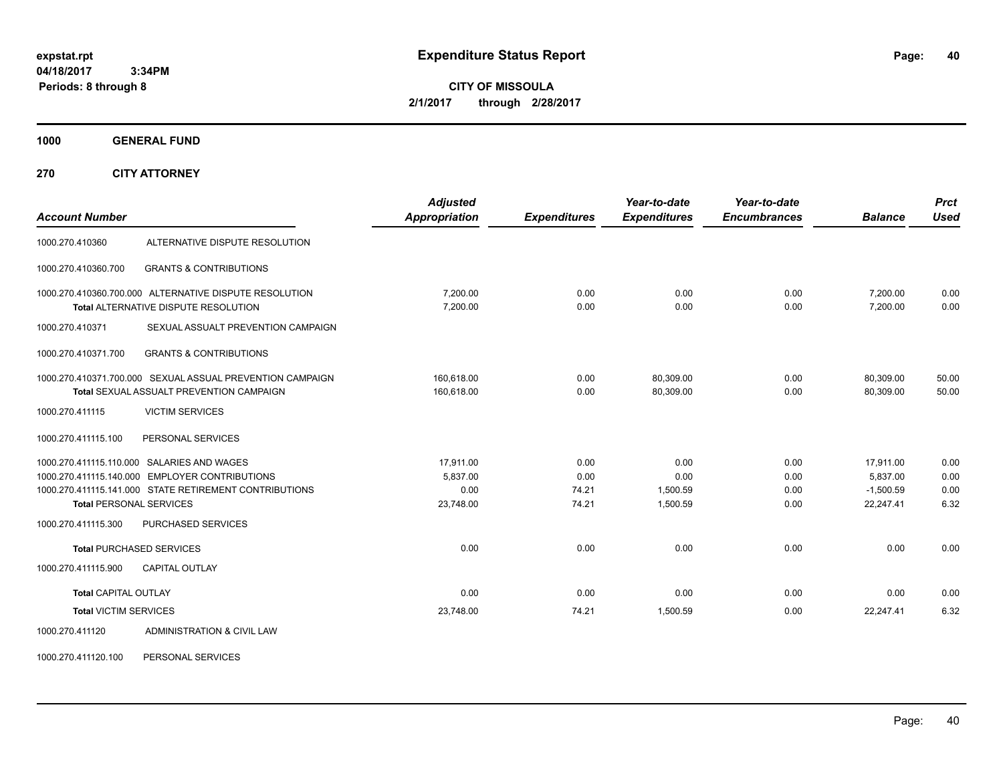**CITY OF MISSOULA 2/1/2017 through 2/28/2017**

**1000 GENERAL FUND**

**270 CITY ATTORNEY**

| <b>Account Number</b>          |                                                                                                                                                        | <b>Adjusted</b><br><b>Appropriation</b> | <b>Expenditures</b>   | Year-to-date<br><b>Expenditures</b> | Year-to-date<br><b>Encumbrances</b> | <b>Balance</b>                       | <b>Prct</b><br><b>Used</b> |
|--------------------------------|--------------------------------------------------------------------------------------------------------------------------------------------------------|-----------------------------------------|-----------------------|-------------------------------------|-------------------------------------|--------------------------------------|----------------------------|
| 1000.270.410360                | ALTERNATIVE DISPUTE RESOLUTION                                                                                                                         |                                         |                       |                                     |                                     |                                      |                            |
| 1000.270.410360.700            | <b>GRANTS &amp; CONTRIBUTIONS</b>                                                                                                                      |                                         |                       |                                     |                                     |                                      |                            |
|                                | 1000.270.410360.700.000 ALTERNATIVE DISPUTE RESOLUTION<br><b>Total ALTERNATIVE DISPUTE RESOLUTION</b>                                                  | 7,200.00<br>7,200.00                    | 0.00<br>0.00          | 0.00<br>0.00                        | 0.00<br>0.00                        | 7,200.00<br>7,200.00                 | 0.00<br>0.00               |
| 1000.270.410371                | SEXUAL ASSUALT PREVENTION CAMPAIGN                                                                                                                     |                                         |                       |                                     |                                     |                                      |                            |
| 1000.270.410371.700            | <b>GRANTS &amp; CONTRIBUTIONS</b>                                                                                                                      |                                         |                       |                                     |                                     |                                      |                            |
|                                | 1000.270.410371.700.000 SEXUAL ASSUAL PREVENTION CAMPAIGN<br>Total SEXUAL ASSUALT PREVENTION CAMPAIGN                                                  | 160.618.00<br>160.618.00                | 0.00<br>0.00          | 80,309.00<br>80.309.00              | 0.00<br>0.00                        | 80.309.00<br>80.309.00               | 50.00<br>50.00             |
| 1000.270.411115                | <b>VICTIM SERVICES</b>                                                                                                                                 |                                         |                       |                                     |                                     |                                      |                            |
| 1000.270.411115.100            | PERSONAL SERVICES                                                                                                                                      |                                         |                       |                                     |                                     |                                      |                            |
|                                | 1000.270.411115.110.000 SALARIES AND WAGES<br>1000.270.411115.140.000 EMPLOYER CONTRIBUTIONS<br>1000.270.411115.141.000 STATE RETIREMENT CONTRIBUTIONS | 17,911.00<br>5,837.00<br>0.00           | 0.00<br>0.00<br>74.21 | 0.00<br>0.00<br>1,500.59            | 0.00<br>0.00<br>0.00                | 17,911.00<br>5,837.00<br>$-1,500.59$ | 0.00<br>0.00<br>0.00       |
| <b>Total PERSONAL SERVICES</b> |                                                                                                                                                        | 23,748.00                               | 74.21                 | 1.500.59                            | 0.00                                | 22,247.41                            | 6.32                       |
| 1000.270.411115.300            | PURCHASED SERVICES                                                                                                                                     |                                         |                       |                                     |                                     |                                      |                            |
|                                | <b>Total PURCHASED SERVICES</b>                                                                                                                        | 0.00                                    | 0.00                  | 0.00                                | 0.00                                | 0.00                                 | 0.00                       |
| 1000.270.411115.900            | <b>CAPITAL OUTLAY</b>                                                                                                                                  |                                         |                       |                                     |                                     |                                      |                            |
| <b>Total CAPITAL OUTLAY</b>    |                                                                                                                                                        | 0.00                                    | 0.00                  | 0.00                                | 0.00                                | 0.00                                 | 0.00                       |
| <b>Total VICTIM SERVICES</b>   |                                                                                                                                                        | 23,748.00                               | 74.21                 | 1,500.59                            | 0.00                                | 22,247.41                            | 6.32                       |
| 1000.270.411120                | ADMINISTRATION & CIVIL LAW                                                                                                                             |                                         |                       |                                     |                                     |                                      |                            |

1000.270.411120.100 PERSONAL SERVICES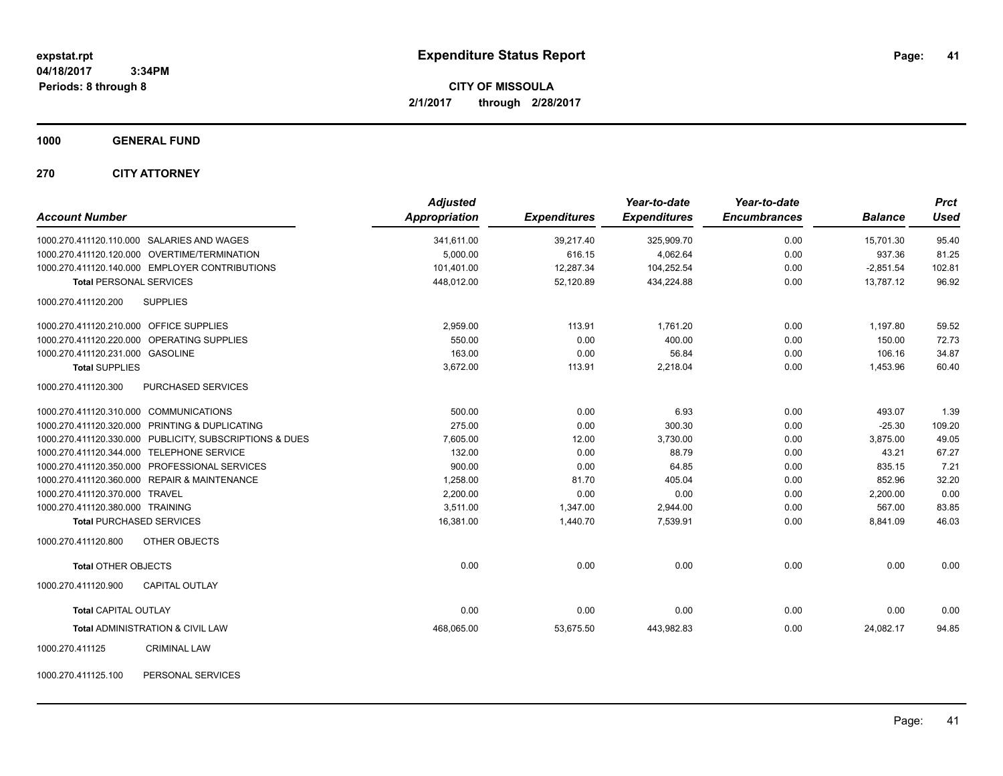**CITY OF MISSOULA 2/1/2017 through 2/28/2017**

**1000 GENERAL FUND**

**270 CITY ATTORNEY**

| <b>Account Number</b>                                   | <b>Adjusted</b><br><b>Appropriation</b> | <b>Expenditures</b> | Year-to-date<br><b>Expenditures</b> | Year-to-date<br><b>Encumbrances</b> | <b>Balance</b> | <b>Prct</b><br><b>Used</b> |
|---------------------------------------------------------|-----------------------------------------|---------------------|-------------------------------------|-------------------------------------|----------------|----------------------------|
| 1000.270.411120.110.000 SALARIES AND WAGES              | 341,611.00                              | 39,217.40           | 325,909.70                          | 0.00                                | 15,701.30      | 95.40                      |
| 1000.270.411120.120.000 OVERTIME/TERMINATION            | 5,000.00                                | 616.15              | 4,062.64                            | 0.00                                | 937.36         | 81.25                      |
| 1000.270.411120.140.000 EMPLOYER CONTRIBUTIONS          | 101,401.00                              | 12,287.34           | 104,252.54                          | 0.00                                | $-2,851.54$    | 102.81                     |
| <b>Total PERSONAL SERVICES</b>                          | 448,012.00                              | 52.120.89           | 434.224.88                          | 0.00                                | 13.787.12      | 96.92                      |
| 1000.270.411120.200<br><b>SUPPLIES</b>                  |                                         |                     |                                     |                                     |                |                            |
| 1000.270.411120.210.000 OFFICE SUPPLIES                 | 2,959.00                                | 113.91              | 1,761.20                            | 0.00                                | 1,197.80       | 59.52                      |
| 1000.270.411120.220.000 OPERATING SUPPLIES              | 550.00                                  | 0.00                | 400.00                              | 0.00                                | 150.00         | 72.73                      |
| 1000.270.411120.231.000 GASOLINE                        | 163.00                                  | 0.00                | 56.84                               | 0.00                                | 106.16         | 34.87                      |
| <b>Total SUPPLIES</b>                                   | 3,672.00                                | 113.91              | 2,218.04                            | 0.00                                | 1,453.96       | 60.40                      |
| 1000.270.411120.300<br><b>PURCHASED SERVICES</b>        |                                         |                     |                                     |                                     |                |                            |
| 1000.270.411120.310.000 COMMUNICATIONS                  | 500.00                                  | 0.00                | 6.93                                | 0.00                                | 493.07         | 1.39                       |
| 1000.270.411120.320.000 PRINTING & DUPLICATING          | 275.00                                  | 0.00                | 300.30                              | 0.00                                | $-25.30$       | 109.20                     |
| 1000.270.411120.330.000 PUBLICITY, SUBSCRIPTIONS & DUES | 7,605.00                                | 12.00               | 3,730.00                            | 0.00                                | 3,875.00       | 49.05                      |
| 1000.270.411120.344.000 TELEPHONE SERVICE               | 132.00                                  | 0.00                | 88.79                               | 0.00                                | 43.21          | 67.27                      |
| 1000.270.411120.350.000 PROFESSIONAL SERVICES           | 900.00                                  | 0.00                | 64.85                               | 0.00                                | 835.15         | 7.21                       |
| 1000.270.411120.360.000 REPAIR & MAINTENANCE            | 1,258.00                                | 81.70               | 405.04                              | 0.00                                | 852.96         | 32.20                      |
| 1000.270.411120.370.000 TRAVEL                          | 2,200.00                                | 0.00                | 0.00                                | 0.00                                | 2,200.00       | 0.00                       |
| 1000.270.411120.380.000 TRAINING                        | 3,511.00                                | 1,347.00            | 2,944.00                            | 0.00                                | 567.00         | 83.85                      |
| <b>Total PURCHASED SERVICES</b>                         | 16,381.00                               | 1,440.70            | 7,539.91                            | 0.00                                | 8,841.09       | 46.03                      |
| 1000.270.411120.800<br><b>OTHER OBJECTS</b>             |                                         |                     |                                     |                                     |                |                            |
| <b>Total OTHER OBJECTS</b>                              | 0.00                                    | 0.00                | 0.00                                | 0.00                                | 0.00           | 0.00                       |
| 1000.270.411120.900<br><b>CAPITAL OUTLAY</b>            |                                         |                     |                                     |                                     |                |                            |
| <b>Total CAPITAL OUTLAY</b>                             | 0.00                                    | 0.00                | 0.00                                | 0.00                                | 0.00           | 0.00                       |
| Total ADMINISTRATION & CIVIL LAW                        | 468,065.00                              | 53,675.50           | 443,982.83                          | 0.00                                | 24,082.17      | 94.85                      |
| 1000.270.411125<br><b>CRIMINAL LAW</b>                  |                                         |                     |                                     |                                     |                |                            |

1000.270.411125.100 PERSONAL SERVICES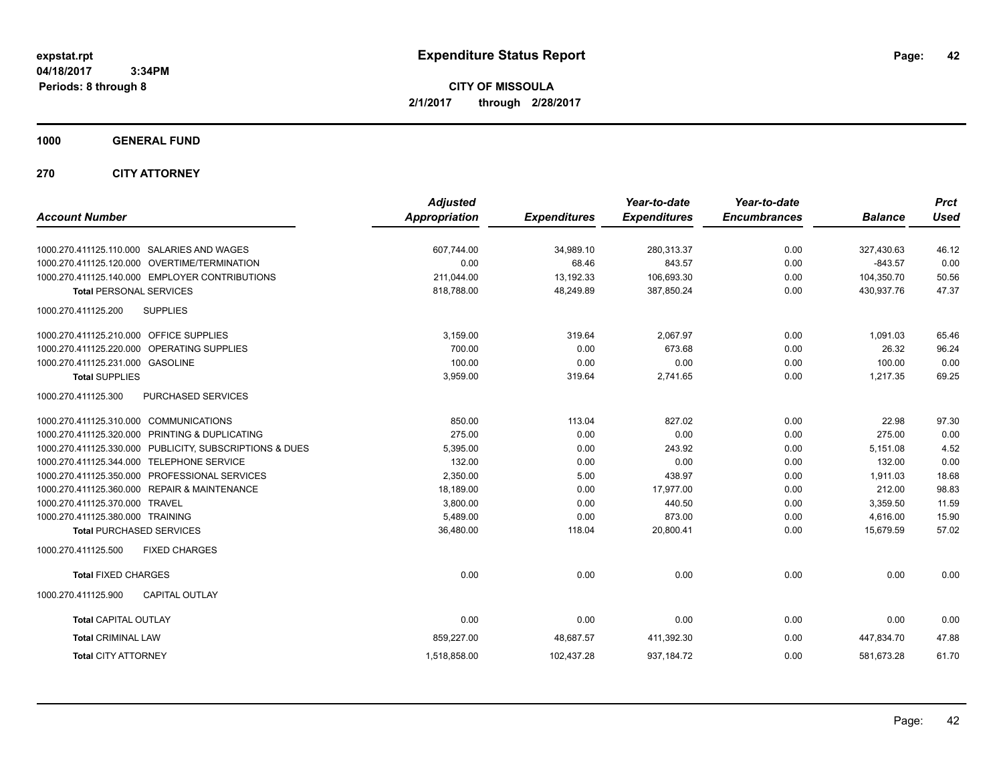**CITY OF MISSOULA 2/1/2017 through 2/28/2017**

**1000 GENERAL FUND**

**270 CITY ATTORNEY**

| <b>Account Number</b>                                      | <b>Adjusted</b><br><b>Appropriation</b> | <b>Expenditures</b> | Year-to-date<br><b>Expenditures</b> | Year-to-date<br><b>Encumbrances</b> | <b>Balance</b> | <b>Prct</b><br><b>Used</b> |
|------------------------------------------------------------|-----------------------------------------|---------------------|-------------------------------------|-------------------------------------|----------------|----------------------------|
| 1000.270.411125.110.000 SALARIES AND WAGES                 | 607,744.00                              | 34,989.10           | 280,313.37                          | 0.00                                | 327,430.63     | 46.12                      |
| 1000.270.411125.120.000 OVERTIME/TERMINATION               | 0.00                                    | 68.46               | 843.57                              | 0.00                                | $-843.57$      | 0.00                       |
| 1000.270.411125.140.000 EMPLOYER CONTRIBUTIONS             | 211,044.00                              | 13,192.33           | 106,693.30                          | 0.00                                | 104,350.70     | 50.56                      |
| <b>Total PERSONAL SERVICES</b>                             | 818.788.00                              | 48.249.89           | 387,850.24                          | 0.00                                | 430,937.76     | 47.37                      |
| 1000.270.411125.200<br><b>SUPPLIES</b>                     |                                         |                     |                                     |                                     |                |                            |
| 1000.270.411125.210.000 OFFICE SUPPLIES                    | 3,159.00                                | 319.64              | 2,067.97                            | 0.00                                | 1,091.03       | 65.46                      |
| 1000.270.411125.220.000 OPERATING SUPPLIES                 | 700.00                                  | 0.00                | 673.68                              | 0.00                                | 26.32          | 96.24                      |
| 1000.270.411125.231.000 GASOLINE                           | 100.00                                  | 0.00                | 0.00                                | 0.00                                | 100.00         | 0.00                       |
| <b>Total SUPPLIES</b>                                      | 3,959.00                                | 319.64              | 2,741.65                            | 0.00                                | 1,217.35       | 69.25                      |
| 1000.270.411125.300<br><b>PURCHASED SERVICES</b>           |                                         |                     |                                     |                                     |                |                            |
| 1000.270.411125.310.000 COMMUNICATIONS                     | 850.00                                  | 113.04              | 827.02                              | 0.00                                | 22.98          | 97.30                      |
| 1000.270.411125.320.000 PRINTING & DUPLICATING             | 275.00                                  | 0.00                | 0.00                                | 0.00                                | 275.00         | 0.00                       |
| 1000.270.411125.330.000 PUBLICITY, SUBSCRIPTIONS & DUES    | 5,395.00                                | 0.00                | 243.92                              | 0.00                                | 5,151.08       | 4.52                       |
| 1000.270.411125.344.000<br><b>TELEPHONE SERVICE</b>        | 132.00                                  | 0.00                | 0.00                                | 0.00                                | 132.00         | 0.00                       |
| 1000.270.411125.350.000 PROFESSIONAL SERVICES              | 2,350.00                                | 5.00                | 438.97                              | 0.00                                | 1.911.03       | 18.68                      |
| 1000.270.411125.360.000<br><b>REPAIR &amp; MAINTENANCE</b> | 18,189.00                               | 0.00                | 17,977.00                           | 0.00                                | 212.00         | 98.83                      |
| 1000.270.411125.370.000<br><b>TRAVEL</b>                   | 3,800.00                                | 0.00                | 440.50                              | 0.00                                | 3,359.50       | 11.59                      |
| 1000.270.411125.380.000 TRAINING                           | 5,489.00                                | 0.00                | 873.00                              | 0.00                                | 4,616.00       | 15.90                      |
| <b>Total PURCHASED SERVICES</b>                            | 36,480.00                               | 118.04              | 20,800.41                           | 0.00                                | 15,679.59      | 57.02                      |
| 1000.270.411125.500<br><b>FIXED CHARGES</b>                |                                         |                     |                                     |                                     |                |                            |
| <b>Total FIXED CHARGES</b>                                 | 0.00                                    | 0.00                | 0.00                                | 0.00                                | 0.00           | 0.00                       |
| 1000.270.411125.900<br><b>CAPITAL OUTLAY</b>               |                                         |                     |                                     |                                     |                |                            |
| <b>Total CAPITAL OUTLAY</b>                                | 0.00                                    | 0.00                | 0.00                                | 0.00                                | 0.00           | 0.00                       |
| <b>Total CRIMINAL LAW</b>                                  | 859,227.00                              | 48,687.57           | 411,392.30                          | 0.00                                | 447,834.70     | 47.88                      |
| <b>Total CITY ATTORNEY</b>                                 | 1,518,858.00                            | 102,437.28          | 937,184.72                          | 0.00                                | 581,673.28     | 61.70                      |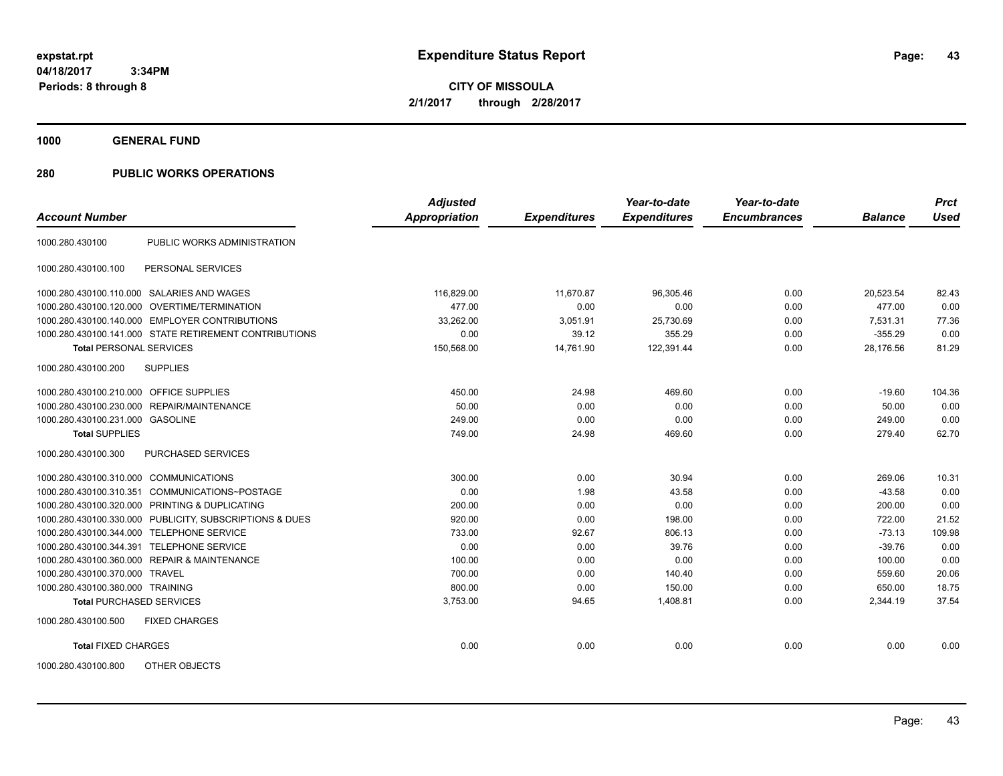**CITY OF MISSOULA 2/1/2017 through 2/28/2017**

**1000 GENERAL FUND**

| <b>Account Number</b>                   |                                                         | <b>Adjusted</b><br>Appropriation | <b>Expenditures</b> | Year-to-date<br><b>Expenditures</b> | Year-to-date<br><b>Encumbrances</b> | <b>Balance</b> | <b>Prct</b><br><b>Used</b> |
|-----------------------------------------|---------------------------------------------------------|----------------------------------|---------------------|-------------------------------------|-------------------------------------|----------------|----------------------------|
|                                         |                                                         |                                  |                     |                                     |                                     |                |                            |
| 1000.280.430100                         | PUBLIC WORKS ADMINISTRATION                             |                                  |                     |                                     |                                     |                |                            |
| 1000.280.430100.100                     | PERSONAL SERVICES                                       |                                  |                     |                                     |                                     |                |                            |
|                                         | 1000.280.430100.110.000 SALARIES AND WAGES              | 116,829.00                       | 11,670.87           | 96,305.46                           | 0.00                                | 20,523.54      | 82.43                      |
| 1000.280.430100.120.000                 | OVERTIME/TERMINATION                                    | 477.00                           | 0.00                | 0.00                                | 0.00                                | 477.00         | 0.00                       |
|                                         | 1000.280.430100.140.000 EMPLOYER CONTRIBUTIONS          | 33,262.00                        | 3,051.91            | 25,730.69                           | 0.00                                | 7.531.31       | 77.36                      |
|                                         | 1000.280.430100.141.000 STATE RETIREMENT CONTRIBUTIONS  | 0.00                             | 39.12               | 355.29                              | 0.00                                | $-355.29$      | 0.00                       |
| <b>Total PERSONAL SERVICES</b>          |                                                         | 150,568.00                       | 14,761.90           | 122,391.44                          | 0.00                                | 28,176.56      | 81.29                      |
| 1000.280.430100.200                     | <b>SUPPLIES</b>                                         |                                  |                     |                                     |                                     |                |                            |
| 1000.280.430100.210.000 OFFICE SUPPLIES |                                                         | 450.00                           | 24.98               | 469.60                              | 0.00                                | $-19.60$       | 104.36                     |
|                                         | 1000.280.430100.230.000 REPAIR/MAINTENANCE              | 50.00                            | 0.00                | 0.00                                | 0.00                                | 50.00          | 0.00                       |
| 1000.280.430100.231.000 GASOLINE        |                                                         | 249.00                           | 0.00                | 0.00                                | 0.00                                | 249.00         | 0.00                       |
| <b>Total SUPPLIES</b>                   |                                                         | 749.00                           | 24.98               | 469.60                              | 0.00                                | 279.40         | 62.70                      |
| 1000.280.430100.300                     | PURCHASED SERVICES                                      |                                  |                     |                                     |                                     |                |                            |
| 1000.280.430100.310.000                 | <b>COMMUNICATIONS</b>                                   | 300.00                           | 0.00                | 30.94                               | 0.00                                | 269.06         | 10.31                      |
| 1000.280.430100.310.351                 | COMMUNICATIONS~POSTAGE                                  | 0.00                             | 1.98                | 43.58                               | 0.00                                | $-43.58$       | 0.00                       |
| 1000.280.430100.320.000                 | PRINTING & DUPLICATING                                  | 200.00                           | 0.00                | 0.00                                | 0.00                                | 200.00         | 0.00                       |
|                                         | 1000.280.430100.330.000 PUBLICITY, SUBSCRIPTIONS & DUES | 920.00                           | 0.00                | 198.00                              | 0.00                                | 722.00         | 21.52                      |
| 1000.280.430100.344.000                 | <b>TELEPHONE SERVICE</b>                                | 733.00                           | 92.67               | 806.13                              | 0.00                                | $-73.13$       | 109.98                     |
| 1000.280.430100.344.391                 | <b>TELEPHONE SERVICE</b>                                | 0.00                             | 0.00                | 39.76                               | 0.00                                | $-39.76$       | 0.00                       |
|                                         | 1000.280.430100.360.000 REPAIR & MAINTENANCE            | 100.00                           | 0.00                | 0.00                                | 0.00                                | 100.00         | 0.00                       |
| 1000.280.430100.370.000 TRAVEL          |                                                         | 700.00                           | 0.00                | 140.40                              | 0.00                                | 559.60         | 20.06                      |
| 1000.280.430100.380.000 TRAINING        |                                                         | 800.00                           | 0.00                | 150.00                              | 0.00                                | 650.00         | 18.75                      |
| <b>Total PURCHASED SERVICES</b>         |                                                         | 3,753.00                         | 94.65               | 1,408.81                            | 0.00                                | 2,344.19       | 37.54                      |
| 1000.280.430100.500                     | <b>FIXED CHARGES</b>                                    |                                  |                     |                                     |                                     |                |                            |
| <b>Total FIXED CHARGES</b>              |                                                         | 0.00                             | 0.00                | 0.00                                | 0.00                                | 0.00           | 0.00                       |
| 1000.280.430100.800                     | OTHER OBJECTS                                           |                                  |                     |                                     |                                     |                |                            |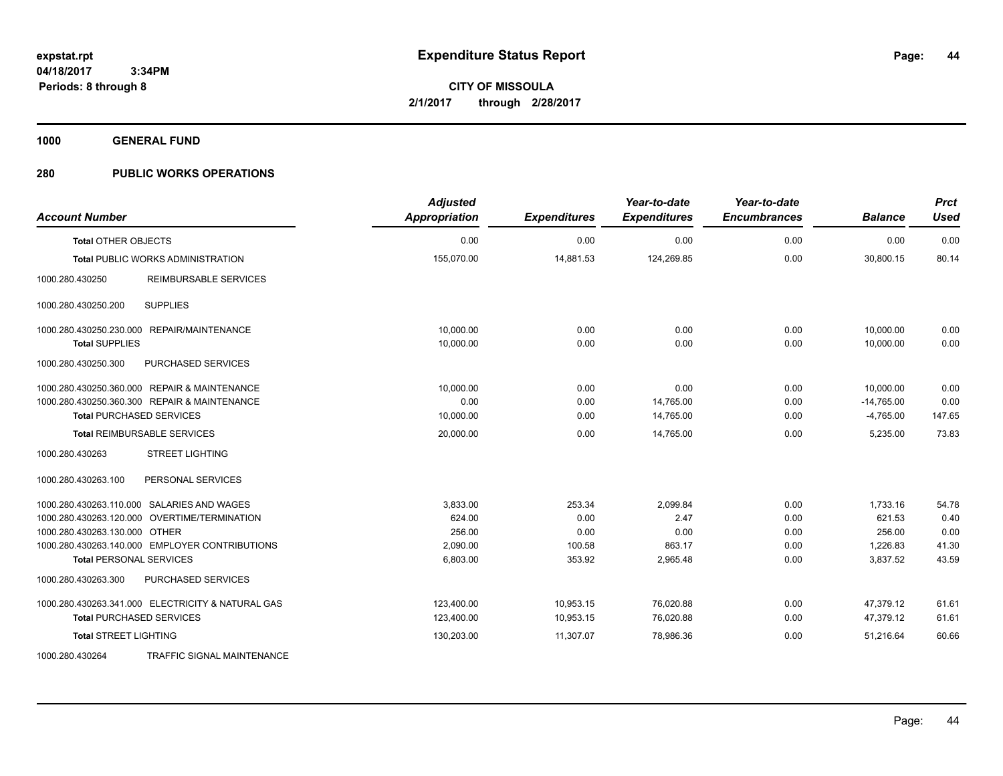**CITY OF MISSOULA 2/1/2017 through 2/28/2017**

**1000 GENERAL FUND**

| <b>Account Number</b>                             | <b>Adjusted</b><br>Appropriation | <b>Expenditures</b> | Year-to-date<br><b>Expenditures</b> | Year-to-date<br><b>Encumbrances</b> | <b>Balance</b> | <b>Prct</b><br><b>Used</b> |
|---------------------------------------------------|----------------------------------|---------------------|-------------------------------------|-------------------------------------|----------------|----------------------------|
| <b>Total OTHER OBJECTS</b>                        | 0.00                             | 0.00                | 0.00                                | 0.00                                | 0.00           | 0.00                       |
| <b>Total PUBLIC WORKS ADMINISTRATION</b>          | 155,070.00                       | 14,881.53           | 124,269.85                          | 0.00                                | 30,800.15      | 80.14                      |
| 1000.280.430250<br>REIMBURSABLE SERVICES          |                                  |                     |                                     |                                     |                |                            |
| <b>SUPPLIES</b><br>1000.280.430250.200            |                                  |                     |                                     |                                     |                |                            |
| 1000.280.430250.230.000 REPAIR/MAINTENANCE        | 10.000.00                        | 0.00                | 0.00                                | 0.00                                | 10,000.00      | 0.00                       |
| <b>Total SUPPLIES</b>                             | 10,000.00                        | 0.00                | 0.00                                | 0.00                                | 10,000.00      | 0.00                       |
| 1000.280.430250.300<br>PURCHASED SERVICES         |                                  |                     |                                     |                                     |                |                            |
| 1000.280.430250.360.000 REPAIR & MAINTENANCE      | 10,000.00                        | 0.00                | 0.00                                | 0.00                                | 10,000.00      | 0.00                       |
| 1000.280.430250.360.300 REPAIR & MAINTENANCE      | 0.00                             | 0.00                | 14,765.00                           | 0.00                                | $-14,765.00$   | 0.00                       |
| <b>Total PURCHASED SERVICES</b>                   | 10,000.00                        | 0.00                | 14,765.00                           | 0.00                                | $-4,765.00$    | 147.65                     |
| <b>Total REIMBURSABLE SERVICES</b>                | 20,000.00                        | 0.00                | 14,765.00                           | 0.00                                | 5,235.00       | 73.83                      |
| <b>STREET LIGHTING</b><br>1000.280.430263         |                                  |                     |                                     |                                     |                |                            |
| 1000.280.430263.100<br>PERSONAL SERVICES          |                                  |                     |                                     |                                     |                |                            |
| 1000.280.430263.110.000 SALARIES AND WAGES        | 3,833.00                         | 253.34              | 2,099.84                            | 0.00                                | 1,733.16       | 54.78                      |
| 1000.280.430263.120.000 OVERTIME/TERMINATION      | 624.00                           | 0.00                | 2.47                                | 0.00                                | 621.53         | 0.40                       |
| 1000.280.430263.130.000 OTHER                     | 256.00                           | 0.00                | 0.00                                | 0.00                                | 256.00         | 0.00                       |
| 1000.280.430263.140.000 EMPLOYER CONTRIBUTIONS    | 2,090.00                         | 100.58              | 863.17                              | 0.00                                | 1,226.83       | 41.30                      |
| <b>Total PERSONAL SERVICES</b>                    | 6,803.00                         | 353.92              | 2,965.48                            | 0.00                                | 3,837.52       | 43.59                      |
| 1000.280.430263.300<br>PURCHASED SERVICES         |                                  |                     |                                     |                                     |                |                            |
| 1000.280.430263.341.000 ELECTRICITY & NATURAL GAS | 123,400.00                       | 10,953.15           | 76,020.88                           | 0.00                                | 47,379.12      | 61.61                      |
| <b>Total PURCHASED SERVICES</b>                   | 123,400.00                       | 10,953.15           | 76,020.88                           | 0.00                                | 47,379.12      | 61.61                      |
| <b>Total STREET LIGHTING</b>                      | 130,203.00                       | 11,307.07           | 78,986.36                           | 0.00                                | 51,216.64      | 60.66                      |
| 1000.280.430264<br>TRAFFIC SIGNAL MAINTENANCE     |                                  |                     |                                     |                                     |                |                            |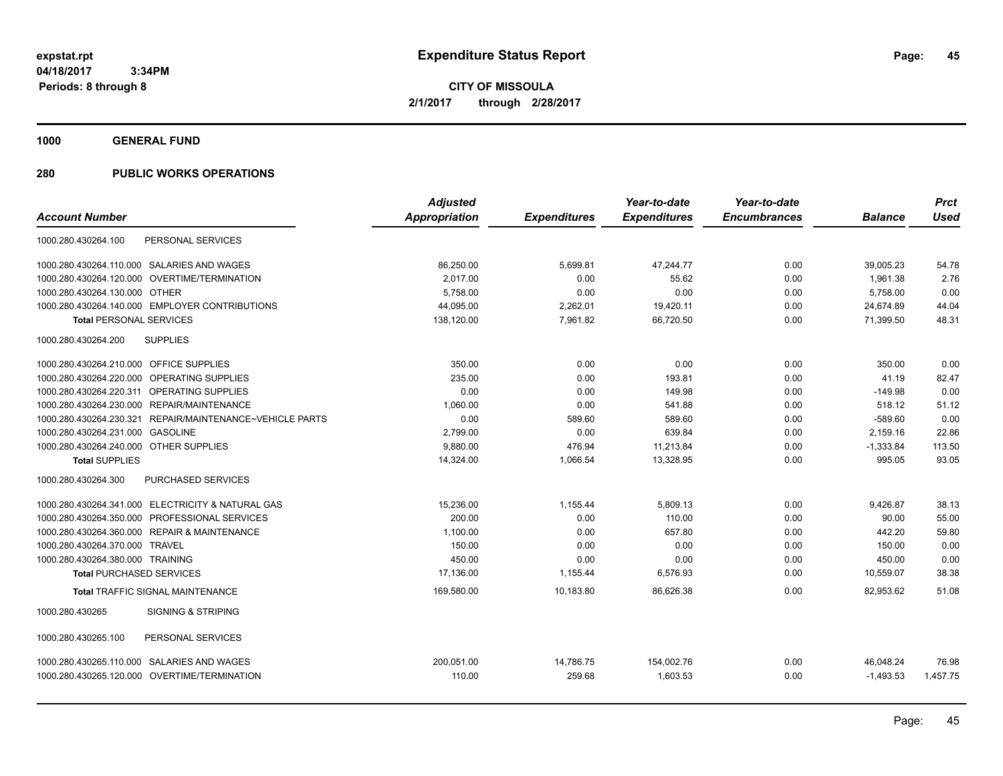**CITY OF MISSOULA 2/1/2017 through 2/28/2017**

**1000 GENERAL FUND**

|                                                             | <b>Adjusted</b>      |                     | Year-to-date        | Year-to-date        |                | <b>Prct</b> |
|-------------------------------------------------------------|----------------------|---------------------|---------------------|---------------------|----------------|-------------|
| <b>Account Number</b>                                       | <b>Appropriation</b> | <b>Expenditures</b> | <b>Expenditures</b> | <b>Encumbrances</b> | <b>Balance</b> | <b>Used</b> |
| PERSONAL SERVICES<br>1000.280.430264.100                    |                      |                     |                     |                     |                |             |
| 1000.280.430264.110.000 SALARIES AND WAGES                  | 86,250.00            | 5,699.81            | 47,244.77           | 0.00                | 39,005.23      | 54.78       |
| 1000.280.430264.120.000 OVERTIME/TERMINATION                | 2,017.00             | 0.00                | 55.62               | 0.00                | 1,961.38       | 2.76        |
| 1000.280.430264.130.000 OTHER                               | 5,758.00             | 0.00                | 0.00                | 0.00                | 5,758.00       | 0.00        |
| 1000.280.430264.140.000 EMPLOYER CONTRIBUTIONS              | 44,095.00            | 2,262.01            | 19,420.11           | 0.00                | 24,674.89      | 44.04       |
| <b>Total PERSONAL SERVICES</b>                              | 138,120.00           | 7,961.82            | 66,720.50           | 0.00                | 71,399.50      | 48.31       |
| <b>SUPPLIES</b><br>1000.280.430264.200                      |                      |                     |                     |                     |                |             |
| 1000.280.430264.210.000 OFFICE SUPPLIES                     | 350.00               | 0.00                | 0.00                | 0.00                | 350.00         | 0.00        |
| 1000.280.430264.220.000 OPERATING SUPPLIES                  | 235.00               | 0.00                | 193.81              | 0.00                | 41.19          | 82.47       |
| 1000.280.430264.220.311 OPERATING SUPPLIES                  | 0.00                 | 0.00                | 149.98              | 0.00                | $-149.98$      | 0.00        |
| 1000.280.430264.230.000 REPAIR/MAINTENANCE                  | 1,060.00             | 0.00                | 541.88              | 0.00                | 518.12         | 51.12       |
| 1000.280.430264.230.321<br>REPAIR/MAINTENANCE~VEHICLE PARTS | 0.00                 | 589.60              | 589.60              | 0.00                | $-589.60$      | 0.00        |
| <b>GASOLINE</b><br>1000.280.430264.231.000                  | 2,799.00             | 0.00                | 639.84              | 0.00                | 2,159.16       | 22.86       |
| 1000.280.430264.240.000 OTHER SUPPLIES                      | 9,880.00             | 476.94              | 11,213.84           | 0.00                | $-1,333.84$    | 113.50      |
| <b>Total SUPPLIES</b>                                       | 14,324.00            | 1,066.54            | 13,328.95           | 0.00                | 995.05         | 93.05       |
| PURCHASED SERVICES<br>1000.280.430264.300                   |                      |                     |                     |                     |                |             |
| 1000.280.430264.341.000 ELECTRICITY & NATURAL GAS           | 15,236.00            | 1,155.44            | 5,809.13            | 0.00                | 9,426.87       | 38.13       |
| 1000.280.430264.350.000 PROFESSIONAL SERVICES               | 200.00               | 0.00                | 110.00              | 0.00                | 90.00          | 55.00       |
| 1000.280.430264.360.000 REPAIR & MAINTENANCE                | 1,100.00             | 0.00                | 657.80              | 0.00                | 442.20         | 59.80       |
| 1000.280.430264.370.000 TRAVEL                              | 150.00               | 0.00                | 0.00                | 0.00                | 150.00         | 0.00        |
| 1000.280.430264.380.000 TRAINING                            | 450.00               | 0.00                | 0.00                | 0.00                | 450.00         | 0.00        |
| <b>Total PURCHASED SERVICES</b>                             | 17,136.00            | 1,155.44            | 6,576.93            | 0.00                | 10,559.07      | 38.38       |
| <b>Total TRAFFIC SIGNAL MAINTENANCE</b>                     | 169,580.00           | 10,183.80           | 86.626.38           | 0.00                | 82.953.62      | 51.08       |
| 1000.280.430265<br><b>SIGNING &amp; STRIPING</b>            |                      |                     |                     |                     |                |             |
| PERSONAL SERVICES<br>1000.280.430265.100                    |                      |                     |                     |                     |                |             |
| 1000.280.430265.110.000 SALARIES AND WAGES                  | 200,051.00           | 14,786.75           | 154,002.76          | 0.00                | 46,048.24      | 76.98       |
| 1000.280.430265.120.000 OVERTIME/TERMINATION                | 110.00               | 259.68              | 1,603.53            | 0.00                | $-1,493.53$    | 1,457.75    |
|                                                             |                      |                     |                     |                     |                |             |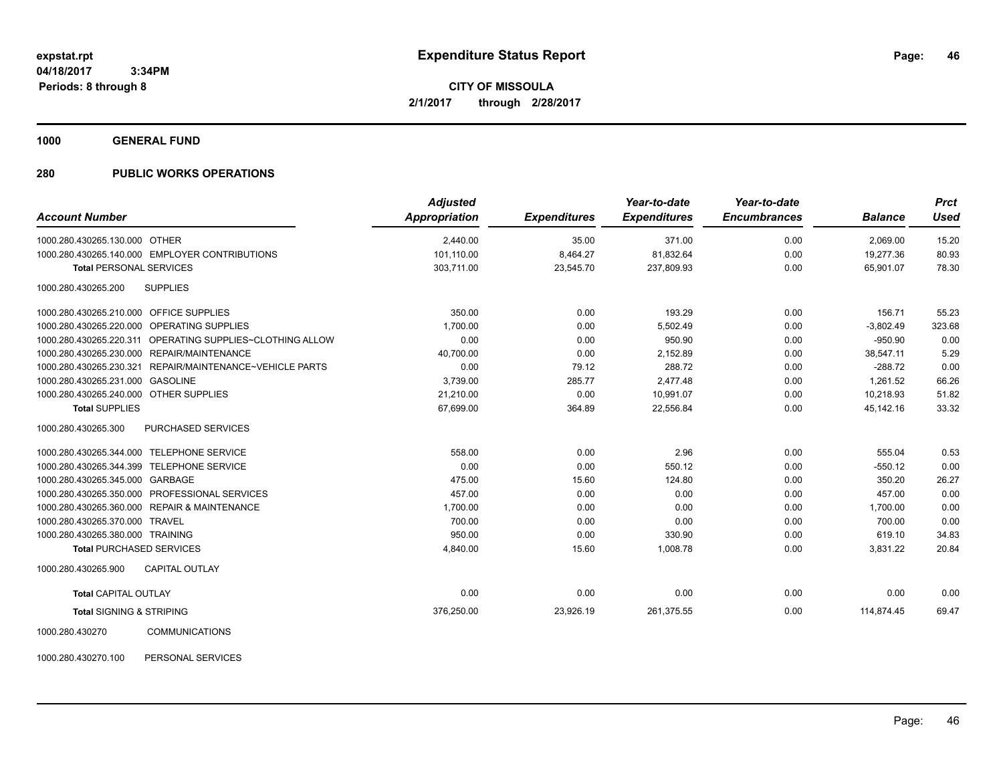**CITY OF MISSOULA 2/1/2017 through 2/28/2017**

**1000 GENERAL FUND**

### **280 PUBLIC WORKS OPERATIONS**

| <b>Account Number</b>                                     | <b>Adjusted</b><br><b>Appropriation</b> | <b>Expenditures</b> | Year-to-date<br><b>Expenditures</b> | Year-to-date<br><b>Encumbrances</b> | <b>Balance</b> | <b>Prct</b><br><b>Used</b> |
|-----------------------------------------------------------|-----------------------------------------|---------------------|-------------------------------------|-------------------------------------|----------------|----------------------------|
| 1000.280.430265.130.000 OTHER                             | 2,440.00                                | 35.00               | 371.00                              | 0.00                                | 2,069.00       | 15.20                      |
| 1000.280.430265.140.000 EMPLOYER CONTRIBUTIONS            | 101.110.00                              | 8,464.27            | 81,832.64                           | 0.00                                | 19,277.36      | 80.93                      |
| <b>Total PERSONAL SERVICES</b>                            | 303,711.00                              | 23,545.70           | 237,809.93                          | 0.00                                | 65,901.07      | 78.30                      |
| <b>SUPPLIES</b><br>1000.280.430265.200                    |                                         |                     |                                     |                                     |                |                            |
| 1000.280.430265.210.000 OFFICE SUPPLIES                   | 350.00                                  | 0.00                | 193.29                              | 0.00                                | 156.71         | 55.23                      |
| 1000.280.430265.220.000 OPERATING SUPPLIES                | 1,700.00                                | 0.00                | 5,502.49                            | 0.00                                | $-3,802.49$    | 323.68                     |
| 1000.280.430265.220.311 OPERATING SUPPLIES~CLOTHING ALLOW | 0.00                                    | 0.00                | 950.90                              | 0.00                                | $-950.90$      | 0.00                       |
| 1000.280.430265.230.000 REPAIR/MAINTENANCE                | 40,700.00                               | 0.00                | 2,152.89                            | 0.00                                | 38,547.11      | 5.29                       |
| 1000.280.430265.230.321 REPAIR/MAINTENANCE~VEHICLE PARTS  | 0.00                                    | 79.12               | 288.72                              | 0.00                                | $-288.72$      | 0.00                       |
| 1000.280.430265.231.000 GASOLINE                          | 3,739.00                                | 285.77              | 2,477.48                            | 0.00                                | 1,261.52       | 66.26                      |
| 1000.280.430265.240.000 OTHER SUPPLIES                    | 21,210.00                               | 0.00                | 10,991.07                           | 0.00                                | 10,218.93      | 51.82                      |
| <b>Total SUPPLIES</b>                                     | 67,699.00                               | 364.89              | 22,556.84                           | 0.00                                | 45,142.16      | 33.32                      |
| 1000.280.430265.300<br>PURCHASED SERVICES                 |                                         |                     |                                     |                                     |                |                            |
| 1000.280.430265.344.000 TELEPHONE SERVICE                 | 558.00                                  | 0.00                | 2.96                                | 0.00                                | 555.04         | 0.53                       |
| 1000.280.430265.344.399 TELEPHONE SERVICE                 | 0.00                                    | 0.00                | 550.12                              | 0.00                                | $-550.12$      | 0.00                       |
| 1000.280.430265.345.000 GARBAGE                           | 475.00                                  | 15.60               | 124.80                              | 0.00                                | 350.20         | 26.27                      |
| 1000.280.430265.350.000 PROFESSIONAL SERVICES             | 457.00                                  | 0.00                | 0.00                                | 0.00                                | 457.00         | 0.00                       |
| 1000.280.430265.360.000 REPAIR & MAINTENANCE              | 1,700.00                                | 0.00                | 0.00                                | 0.00                                | 1,700.00       | 0.00                       |
| 1000.280.430265.370.000 TRAVEL                            | 700.00                                  | 0.00                | 0.00                                | 0.00                                | 700.00         | 0.00                       |
| 1000.280.430265.380.000 TRAINING                          | 950.00                                  | 0.00                | 330.90                              | 0.00                                | 619.10         | 34.83                      |
| <b>Total PURCHASED SERVICES</b>                           | 4,840.00                                | 15.60               | 1,008.78                            | 0.00                                | 3,831.22       | 20.84                      |
| CAPITAL OUTLAY<br>1000.280.430265.900                     |                                         |                     |                                     |                                     |                |                            |
| <b>Total CAPITAL OUTLAY</b>                               | 0.00                                    | 0.00                | 0.00                                | 0.00                                | 0.00           | 0.00                       |
| <b>Total SIGNING &amp; STRIPING</b>                       | 376,250.00                              | 23,926.19           | 261,375.55                          | 0.00                                | 114,874.45     | 69.47                      |
| COMMITINICATIONS<br>1000 280 430270                       |                                         |                     |                                     |                                     |                |                            |

1000.280.430270 COMMUNICATIONS

1000.280.430270.100 PERSONAL SERVICES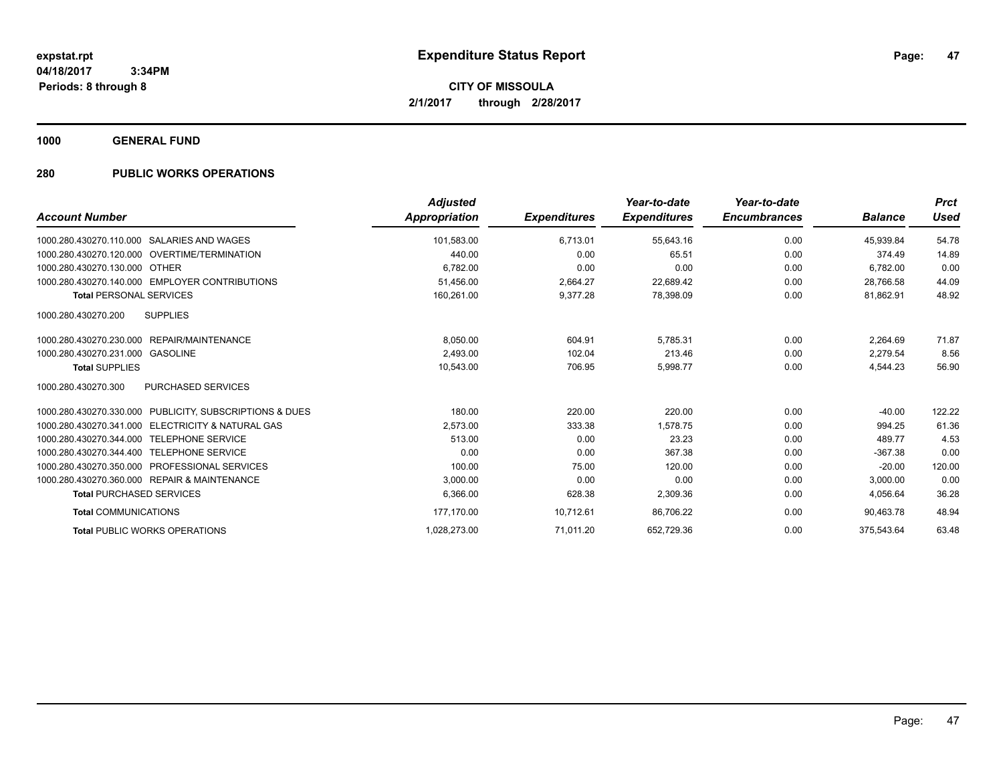**CITY OF MISSOULA 2/1/2017 through 2/28/2017**

**1000 GENERAL FUND**

| <b>Account Number</b>                                           | <b>Adjusted</b><br><b>Appropriation</b> | <b>Expenditures</b> | Year-to-date<br><b>Expenditures</b> | Year-to-date<br><b>Encumbrances</b> | <b>Balance</b> | <b>Prct</b><br><b>Used</b> |
|-----------------------------------------------------------------|-----------------------------------------|---------------------|-------------------------------------|-------------------------------------|----------------|----------------------------|
| 1000.280.430270.110.000 SALARIES AND WAGES                      | 101.583.00                              | 6,713.01            | 55,643.16                           | 0.00                                | 45.939.84      | 54.78                      |
| 1000.280.430270.120.000 OVERTIME/TERMINATION                    | 440.00                                  | 0.00                | 65.51                               | 0.00                                | 374.49         | 14.89                      |
| 1000.280.430270.130.000 OTHER                                   | 6,782.00                                | 0.00                | 0.00                                | 0.00                                | 6,782.00       | 0.00                       |
| 1000.280.430270.140.000 EMPLOYER CONTRIBUTIONS                  | 51,456.00                               | 2,664.27            | 22,689.42                           | 0.00                                | 28,766.58      | 44.09                      |
| <b>Total PERSONAL SERVICES</b>                                  | 160,261.00                              | 9.377.28            | 78,398.09                           | 0.00                                | 81.862.91      | 48.92                      |
| 1000.280.430270.200<br><b>SUPPLIES</b>                          |                                         |                     |                                     |                                     |                |                            |
| 1000.280.430270.230.000 REPAIR/MAINTENANCE                      | 8,050.00                                | 604.91              | 5,785.31                            | 0.00                                | 2,264.69       | 71.87                      |
| 1000.280.430270.231.000<br>GASOLINE                             | 2,493.00                                | 102.04              | 213.46                              | 0.00                                | 2.279.54       | 8.56                       |
| <b>Total SUPPLIES</b>                                           | 10,543.00                               | 706.95              | 5,998.77                            | 0.00                                | 4,544.23       | 56.90                      |
| 1000.280.430270.300<br><b>PURCHASED SERVICES</b>                |                                         |                     |                                     |                                     |                |                            |
| 1000.280.430270.330.000 PUBLICITY, SUBSCRIPTIONS & DUES         | 180.00                                  | 220.00              | 220.00                              | 0.00                                | $-40.00$       | 122.22                     |
| <b>ELECTRICITY &amp; NATURAL GAS</b><br>1000.280.430270.341.000 | 2,573.00                                | 333.38              | 1,578.75                            | 0.00                                | 994.25         | 61.36                      |
| <b>TELEPHONE SERVICE</b><br>1000.280.430270.344.000             | 513.00                                  | 0.00                | 23.23                               | 0.00                                | 489.77         | 4.53                       |
| 1000.280.430270.344.400<br><b>TELEPHONE SERVICE</b>             | 0.00                                    | 0.00                | 367.38                              | 0.00                                | $-367.38$      | 0.00                       |
| 1000.280.430270.350.000 PROFESSIONAL SERVICES                   | 100.00                                  | 75.00               | 120.00                              | 0.00                                | $-20.00$       | 120.00                     |
| 1000.280.430270.360.000 REPAIR & MAINTENANCE                    | 3,000.00                                | 0.00                | 0.00                                | 0.00                                | 3,000.00       | 0.00                       |
| <b>Total PURCHASED SERVICES</b>                                 | 6,366.00                                | 628.38              | 2,309.36                            | 0.00                                | 4,056.64       | 36.28                      |
| <b>Total COMMUNICATIONS</b>                                     | 177,170.00                              | 10,712.61           | 86,706.22                           | 0.00                                | 90,463.78      | 48.94                      |
| <b>Total PUBLIC WORKS OPERATIONS</b>                            | 1,028,273.00                            | 71.011.20           | 652,729.36                          | 0.00                                | 375.543.64     | 63.48                      |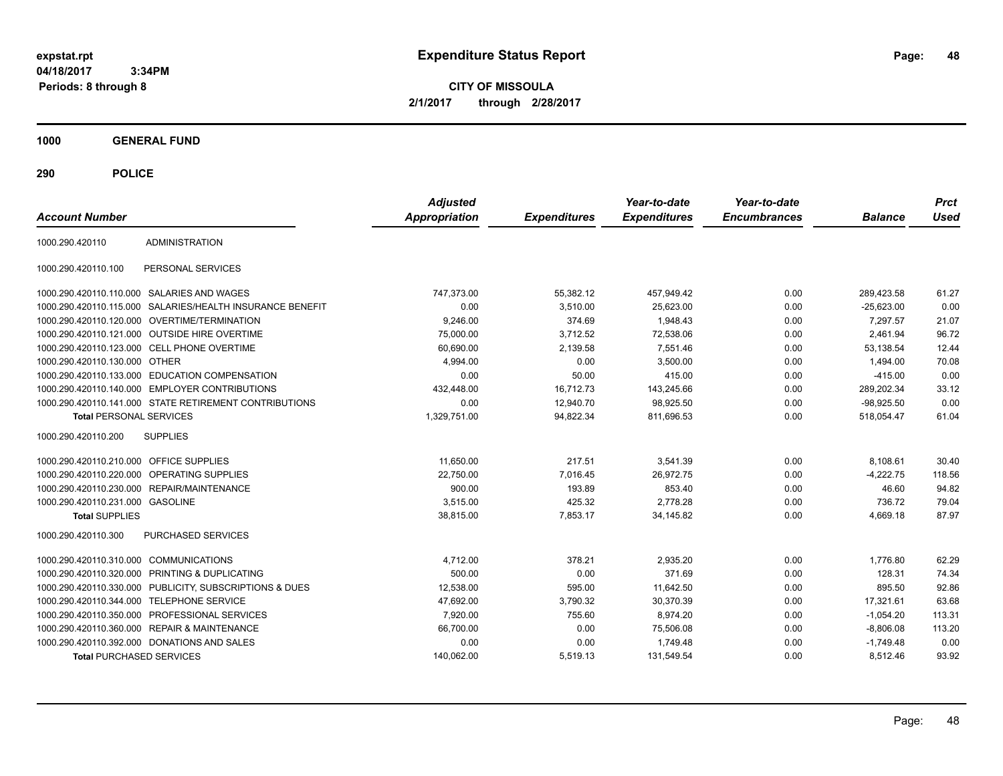**CITY OF MISSOULA 2/1/2017 through 2/28/2017**

**1000 GENERAL FUND**

| <b>Account Number</b>                   |                                                        | <b>Adjusted</b><br><b>Appropriation</b> | <b>Expenditures</b> | Year-to-date<br><b>Expenditures</b> | Year-to-date<br><b>Encumbrances</b> | <b>Balance</b> | <b>Prct</b><br>Used |
|-----------------------------------------|--------------------------------------------------------|-----------------------------------------|---------------------|-------------------------------------|-------------------------------------|----------------|---------------------|
| 1000.290.420110                         | <b>ADMINISTRATION</b>                                  |                                         |                     |                                     |                                     |                |                     |
| 1000.290.420110.100                     | PERSONAL SERVICES                                      |                                         |                     |                                     |                                     |                |                     |
|                                         | 1000.290.420110.110.000 SALARIES AND WAGES             | 747,373.00                              | 55,382.12           | 457,949.42                          | 0.00                                | 289,423.58     | 61.27               |
| 1000.290.420110.115.000                 | SALARIES/HEALTH INSURANCE BENEFIT                      | 0.00                                    | 3,510.00            | 25,623.00                           | 0.00                                | $-25,623.00$   | 0.00                |
|                                         | 1000.290.420110.120.000 OVERTIME/TERMINATION           | 9,246.00                                | 374.69              | 1,948.43                            | 0.00                                | 7.297.57       | 21.07               |
|                                         | 1000.290.420110.121.000 OUTSIDE HIRE OVERTIME          | 75,000.00                               | 3,712.52            | 72,538.06                           | 0.00                                | 2,461.94       | 96.72               |
|                                         | 1000.290.420110.123.000 CELL PHONE OVERTIME            | 60,690.00                               | 2,139.58            | 7,551.46                            | 0.00                                | 53,138.54      | 12.44               |
| 1000.290.420110.130.000 OTHER           |                                                        | 4,994.00                                | 0.00                | 3,500.00                            | 0.00                                | 1,494.00       | 70.08               |
|                                         | 1000.290.420110.133.000 EDUCATION COMPENSATION         | 0.00                                    | 50.00               | 415.00                              | 0.00                                | $-415.00$      | 0.00                |
| 1000.290.420110.140.000                 | <b>EMPLOYER CONTRIBUTIONS</b>                          | 432,448.00                              | 16,712.73           | 143,245.66                          | 0.00                                | 289,202.34     | 33.12               |
|                                         | 1000.290.420110.141.000 STATE RETIREMENT CONTRIBUTIONS | 0.00                                    | 12,940.70           | 98,925.50                           | 0.00                                | $-98,925.50$   | 0.00                |
| <b>Total PERSONAL SERVICES</b>          |                                                        | 1,329,751.00                            | 94,822.34           | 811,696.53                          | 0.00                                | 518,054.47     | 61.04               |
| 1000.290.420110.200                     | <b>SUPPLIES</b>                                        |                                         |                     |                                     |                                     |                |                     |
| 1000.290.420110.210.000 OFFICE SUPPLIES |                                                        | 11,650.00                               | 217.51              | 3,541.39                            | 0.00                                | 8,108.61       | 30.40               |
|                                         | 1000.290.420110.220.000 OPERATING SUPPLIES             | 22,750.00                               | 7,016.45            | 26,972.75                           | 0.00                                | $-4,222.75$    | 118.56              |
|                                         | 1000.290.420110.230.000 REPAIR/MAINTENANCE             | 900.00                                  | 193.89              | 853.40                              | 0.00                                | 46.60          | 94.82               |
| 1000.290.420110.231.000 GASOLINE        |                                                        | 3,515.00                                | 425.32              | 2,778.28                            | 0.00                                | 736.72         | 79.04               |
| <b>Total SUPPLIES</b>                   |                                                        | 38,815.00                               | 7,853.17            | 34,145.82                           | 0.00                                | 4,669.18       | 87.97               |
| 1000.290.420110.300                     | PURCHASED SERVICES                                     |                                         |                     |                                     |                                     |                |                     |
| 1000.290.420110.310.000 COMMUNICATIONS  |                                                        | 4,712.00                                | 378.21              | 2,935.20                            | 0.00                                | 1.776.80       | 62.29               |
| 1000.290.420110.320.000                 | PRINTING & DUPLICATING                                 | 500.00                                  | 0.00                | 371.69                              | 0.00                                | 128.31         | 74.34               |
| 1000.290.420110.330.000                 | PUBLICITY, SUBSCRIPTIONS & DUES                        | 12,538.00                               | 595.00              | 11,642.50                           | 0.00                                | 895.50         | 92.86               |
| 1000.290.420110.344.000                 | <b>TELEPHONE SERVICE</b>                               | 47,692.00                               | 3,790.32            | 30,370.39                           | 0.00                                | 17,321.61      | 63.68               |
|                                         | 1000.290.420110.350.000 PROFESSIONAL SERVICES          | 7,920.00                                | 755.60              | 8,974.20                            | 0.00                                | $-1,054.20$    | 113.31              |
| 1000.290.420110.360.000                 | <b>REPAIR &amp; MAINTENANCE</b>                        | 66,700.00                               | 0.00                | 75,506.08                           | 0.00                                | $-8,806.08$    | 113.20              |
|                                         | 1000.290.420110.392.000 DONATIONS AND SALES            | 0.00                                    | 0.00                | 1,749.48                            | 0.00                                | $-1,749.48$    | 0.00                |
| <b>Total PURCHASED SERVICES</b>         |                                                        | 140.062.00                              | 5.519.13            | 131.549.54                          | 0.00                                | 8.512.46       | 93.92               |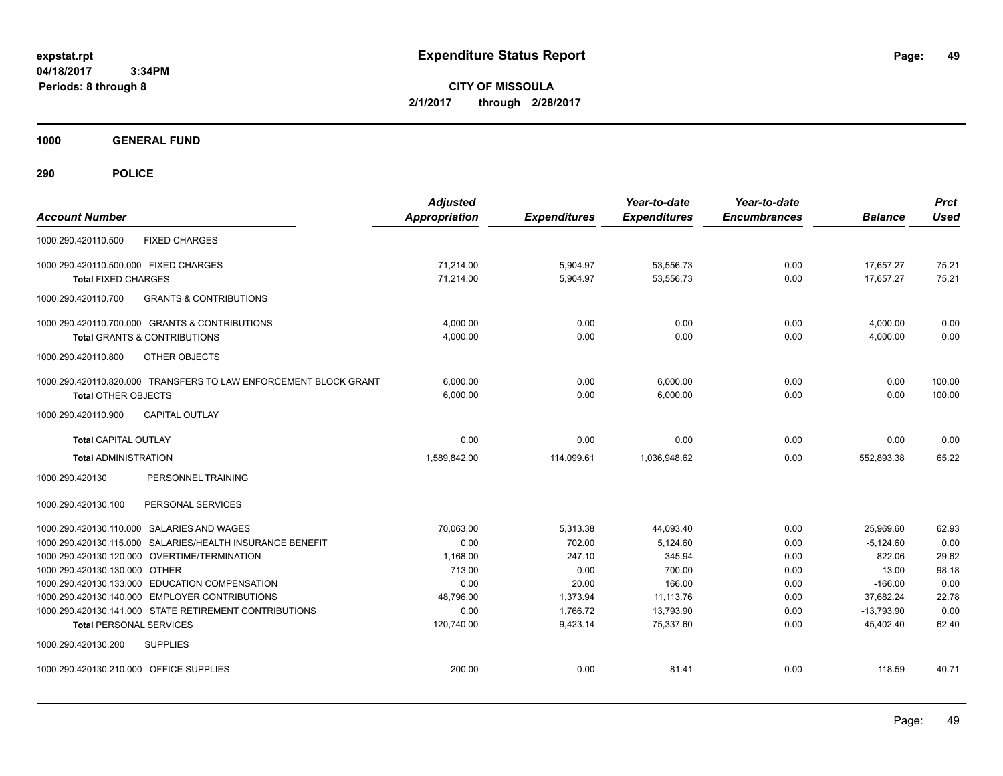**CITY OF MISSOULA 2/1/2017 through 2/28/2017**

**1000 GENERAL FUND**

| <b>Account Number</b>                                                                                    | <b>Adjusted</b><br><b>Appropriation</b> | <b>Expenditures</b>  | Year-to-date<br><b>Expenditures</b> | Year-to-date<br><b>Encumbrances</b> | <b>Balance</b>            | <b>Prct</b><br><b>Used</b> |
|----------------------------------------------------------------------------------------------------------|-----------------------------------------|----------------------|-------------------------------------|-------------------------------------|---------------------------|----------------------------|
| <b>FIXED CHARGES</b><br>1000.290.420110.500                                                              |                                         |                      |                                     |                                     |                           |                            |
| 1000.290.420110.500.000 FIXED CHARGES                                                                    | 71.214.00                               | 5,904.97             | 53,556.73                           | 0.00                                | 17.657.27                 | 75.21                      |
| <b>Total FIXED CHARGES</b>                                                                               | 71,214.00                               | 5,904.97             | 53,556.73                           | 0.00                                | 17,657.27                 | 75.21                      |
| 1000.290.420110.700<br><b>GRANTS &amp; CONTRIBUTIONS</b>                                                 |                                         |                      |                                     |                                     |                           |                            |
| 1000.290.420110.700.000 GRANTS & CONTRIBUTIONS                                                           | 4,000.00                                | 0.00                 | 0.00                                | 0.00                                | 4,000.00                  | 0.00                       |
| <b>Total GRANTS &amp; CONTRIBUTIONS</b>                                                                  | 4,000.00                                | 0.00                 | 0.00                                | 0.00                                | 4,000.00                  | 0.00                       |
| 1000.290.420110.800<br><b>OTHER OBJECTS</b>                                                              |                                         |                      |                                     |                                     |                           |                            |
| 1000.290.420110.820.000 TRANSFERS TO LAW ENFORCEMENT BLOCK GRANT                                         | 6,000.00                                | 0.00                 | 6,000.00                            | 0.00                                | 0.00                      | 100.00                     |
| <b>Total OTHER OBJECTS</b>                                                                               | 6,000.00                                | 0.00                 | 6,000.00                            | 0.00                                | 0.00                      | 100.00                     |
| <b>CAPITAL OUTLAY</b><br>1000.290.420110.900                                                             |                                         |                      |                                     |                                     |                           |                            |
| <b>Total CAPITAL OUTLAY</b>                                                                              | 0.00                                    | 0.00                 | 0.00                                | 0.00                                | 0.00                      | 0.00                       |
| <b>Total ADMINISTRATION</b>                                                                              | 1,589,842.00                            | 114,099.61           | 1,036,948.62                        | 0.00                                | 552,893.38                | 65.22                      |
| 1000.290.420130<br>PERSONNEL TRAINING                                                                    |                                         |                      |                                     |                                     |                           |                            |
| 1000.290.420130.100<br>PERSONAL SERVICES                                                                 |                                         |                      |                                     |                                     |                           |                            |
| 1000.290.420130.110.000 SALARIES AND WAGES                                                               | 70.063.00                               | 5,313.38             | 44,093.40                           | 0.00                                | 25.969.60                 | 62.93                      |
| 1000.290.420130.115.000 SALARIES/HEALTH INSURANCE BENEFIT                                                | 0.00                                    | 702.00               | 5,124.60                            | 0.00                                | $-5,124.60$               | 0.00                       |
| 1000.290.420130.120.000 OVERTIME/TERMINATION                                                             | 1,168.00                                | 247.10               | 345.94                              | 0.00                                | 822.06                    | 29.62                      |
| 1000.290.420130.130.000 OTHER                                                                            | 713.00                                  | 0.00                 | 700.00                              | 0.00                                | 13.00                     | 98.18                      |
| 1000.290.420130.133.000 EDUCATION COMPENSATION                                                           | 0.00                                    | 20.00                | 166.00                              | 0.00                                | $-166.00$                 | 0.00                       |
| 1000.290.420130.140.000 EMPLOYER CONTRIBUTIONS<br>1000.290.420130.141.000 STATE RETIREMENT CONTRIBUTIONS | 48,796.00<br>0.00                       | 1,373.94<br>1,766.72 | 11,113.76<br>13,793.90              | 0.00<br>0.00                        | 37,682.24<br>$-13,793.90$ | 22.78<br>0.00              |
| <b>Total PERSONAL SERVICES</b>                                                                           | 120,740.00                              | 9,423.14             | 75.337.60                           | 0.00                                | 45.402.40                 | 62.40                      |
| 1000.290.420130.200<br><b>SUPPLIES</b>                                                                   |                                         |                      |                                     |                                     |                           |                            |
| 1000.290.420130.210.000 OFFICE SUPPLIES                                                                  | 200.00                                  | 0.00                 | 81.41                               | 0.00                                | 118.59                    | 40.71                      |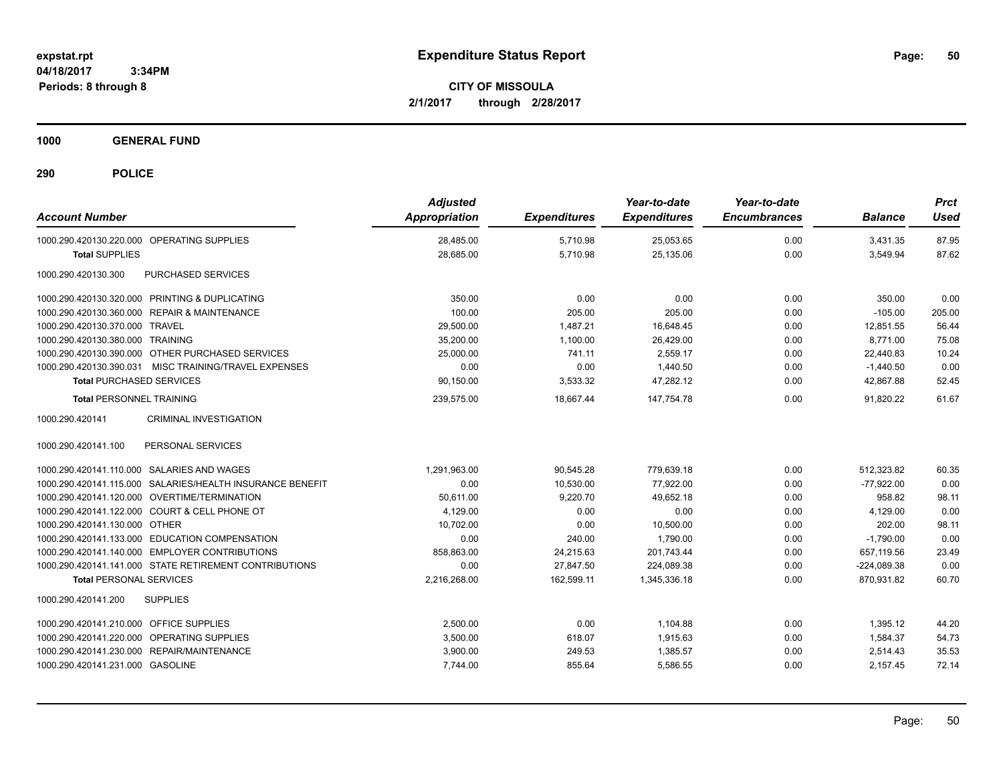**CITY OF MISSOULA 2/1/2017 through 2/28/2017**

**1000 GENERAL FUND**

| <b>Account Number</b>                                     | <b>Adjusted</b><br><b>Appropriation</b> | <b>Expenditures</b> | Year-to-date<br><b>Expenditures</b> | Year-to-date<br><b>Encumbrances</b> | <b>Balance</b> | <b>Prct</b><br><b>Used</b> |
|-----------------------------------------------------------|-----------------------------------------|---------------------|-------------------------------------|-------------------------------------|----------------|----------------------------|
| 1000.290.420130.220.000 OPERATING SUPPLIES                | 28,485.00                               | 5,710.98            | 25,053.65                           | 0.00                                | 3,431.35       | 87.95                      |
| <b>Total SUPPLIES</b>                                     | 28,685.00                               | 5,710.98            | 25,135.06                           | 0.00                                | 3,549.94       | 87.62                      |
| 1000.290.420130.300<br>PURCHASED SERVICES                 |                                         |                     |                                     |                                     |                |                            |
| 1000.290.420130.320.000 PRINTING & DUPLICATING            | 350.00                                  | 0.00                | 0.00                                | 0.00                                | 350.00         | 0.00                       |
| 1000.290.420130.360.000 REPAIR & MAINTENANCE              | 100.00                                  | 205.00              | 205.00                              | 0.00                                | $-105.00$      | 205.00                     |
| 1000.290.420130.370.000 TRAVEL                            | 29,500.00                               | 1.487.21            | 16.648.45                           | 0.00                                | 12.851.55      | 56.44                      |
| 1000.290.420130.380.000 TRAINING                          | 35,200.00                               | 1.100.00            | 26,429.00                           | 0.00                                | 8.771.00       | 75.08                      |
| 1000.290.420130.390.000 OTHER PURCHASED SERVICES          | 25,000.00                               | 741.11              | 2,559.17                            | 0.00                                | 22,440.83      | 10.24                      |
| 1000.290.420130.390.031 MISC TRAINING/TRAVEL EXPENSES     | 0.00                                    | 0.00                | 1,440.50                            | 0.00                                | $-1,440.50$    | 0.00                       |
| <b>Total PURCHASED SERVICES</b>                           | 90,150.00                               | 3,533.32            | 47,282.12                           | 0.00                                | 42,867.88      | 52.45                      |
| <b>Total PERSONNEL TRAINING</b>                           | 239,575.00                              | 18,667.44           | 147,754.78                          | 0.00                                | 91,820.22      | 61.67                      |
| <b>CRIMINAL INVESTIGATION</b><br>1000.290.420141          |                                         |                     |                                     |                                     |                |                            |
| 1000.290.420141.100<br>PERSONAL SERVICES                  |                                         |                     |                                     |                                     |                |                            |
| 1000.290.420141.110.000 SALARIES AND WAGES                | 1,291,963.00                            | 90.545.28           | 779.639.18                          | 0.00                                | 512.323.82     | 60.35                      |
| 1000.290.420141.115.000 SALARIES/HEALTH INSURANCE BENEFIT | 0.00                                    | 10,530.00           | 77,922.00                           | 0.00                                | $-77,922.00$   | 0.00                       |
| 1000.290.420141.120.000 OVERTIME/TERMINATION              | 50,611.00                               | 9,220.70            | 49,652.18                           | 0.00                                | 958.82         | 98.11                      |
| 1000.290.420141.122.000 COURT & CELL PHONE OT             | 4,129.00                                | 0.00                | 0.00                                | 0.00                                | 4,129.00       | 0.00                       |
| 1000.290.420141.130.000 OTHER                             | 10,702.00                               | 0.00                | 10,500.00                           | 0.00                                | 202.00         | 98.11                      |
| 1000.290.420141.133.000 EDUCATION COMPENSATION            | 0.00                                    | 240.00              | 1.790.00                            | 0.00                                | $-1.790.00$    | 0.00                       |
| 1000.290.420141.140.000 EMPLOYER CONTRIBUTIONS            | 858.863.00                              | 24,215.63           | 201,743.44                          | 0.00                                | 657.119.56     | 23.49                      |
| 1000.290.420141.141.000 STATE RETIREMENT CONTRIBUTIONS    | 0.00                                    | 27,847.50           | 224,089.38                          | 0.00                                | $-224,089.38$  | 0.00                       |
| <b>Total PERSONAL SERVICES</b>                            | 2,216,268.00                            | 162,599.11          | 1,345,336.18                        | 0.00                                | 870,931.82     | 60.70                      |
| 1000.290.420141.200<br><b>SUPPLIES</b>                    |                                         |                     |                                     |                                     |                |                            |
| 1000.290.420141.210.000 OFFICE SUPPLIES                   | 2,500.00                                | 0.00                | 1,104.88                            | 0.00                                | 1,395.12       | 44.20                      |
| 1000.290.420141.220.000 OPERATING SUPPLIES                | 3,500.00                                | 618.07              | 1,915.63                            | 0.00                                | 1,584.37       | 54.73                      |
| 1000.290.420141.230.000 REPAIR/MAINTENANCE                | 3,900.00                                | 249.53              | 1,385.57                            | 0.00                                | 2,514.43       | 35.53                      |
| 1000.290.420141.231.000 GASOLINE                          | 7,744.00                                | 855.64              | 5,586.55                            | 0.00                                | 2,157.45       | 72.14                      |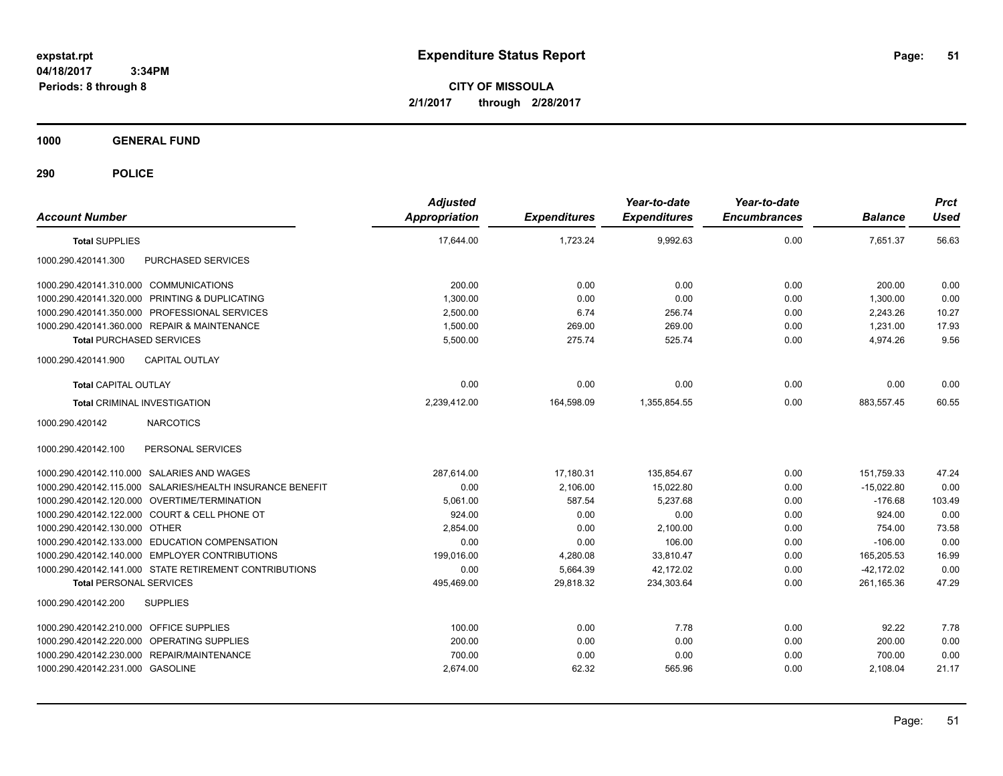**CITY OF MISSOULA 2/1/2017 through 2/28/2017**

**1000 GENERAL FUND**

| <b>Account Number</b>                                     | <b>Adjusted</b><br><b>Appropriation</b> | <b>Expenditures</b> | Year-to-date<br><b>Expenditures</b> | Year-to-date<br><b>Encumbrances</b> | <b>Balance</b> | <b>Prct</b><br><b>Used</b> |
|-----------------------------------------------------------|-----------------------------------------|---------------------|-------------------------------------|-------------------------------------|----------------|----------------------------|
| <b>Total SUPPLIES</b>                                     | 17,644.00                               | 1,723.24            | 9,992.63                            | 0.00                                | 7,651.37       | 56.63                      |
| PURCHASED SERVICES<br>1000.290.420141.300                 |                                         |                     |                                     |                                     |                |                            |
| 1000.290.420141.310.000 COMMUNICATIONS                    | 200.00                                  | 0.00                | 0.00                                | 0.00                                | 200.00         | 0.00                       |
| 1000.290.420141.320.000 PRINTING & DUPLICATING            | 1,300.00                                | 0.00                | 0.00                                | 0.00                                | 1,300.00       | 0.00                       |
| 1000.290.420141.350.000 PROFESSIONAL SERVICES             | 2,500.00                                | 6.74                | 256.74                              | 0.00                                | 2,243.26       | 10.27                      |
| 1000.290.420141.360.000 REPAIR & MAINTENANCE              | 1,500.00                                | 269.00              | 269.00                              | 0.00                                | 1.231.00       | 17.93                      |
| <b>Total PURCHASED SERVICES</b>                           | 5,500.00                                | 275.74              | 525.74                              | 0.00                                | 4,974.26       | 9.56                       |
| 1000.290.420141.900<br><b>CAPITAL OUTLAY</b>              |                                         |                     |                                     |                                     |                |                            |
| <b>Total CAPITAL OUTLAY</b>                               | 0.00                                    | 0.00                | 0.00                                | 0.00                                | 0.00           | 0.00                       |
| <b>Total CRIMINAL INVESTIGATION</b>                       | 2,239,412.00                            | 164,598.09          | 1.355.854.55                        | 0.00                                | 883,557.45     | 60.55                      |
| <b>NARCOTICS</b><br>1000.290.420142                       |                                         |                     |                                     |                                     |                |                            |
| PERSONAL SERVICES<br>1000.290.420142.100                  |                                         |                     |                                     |                                     |                |                            |
| 1000.290.420142.110.000 SALARIES AND WAGES                | 287.614.00                              | 17,180.31           | 135,854.67                          | 0.00                                | 151,759.33     | 47.24                      |
| 1000.290.420142.115.000 SALARIES/HEALTH INSURANCE BENEFIT | 0.00                                    | 2,106.00            | 15,022.80                           | 0.00                                | $-15,022.80$   | 0.00                       |
| 1000.290.420142.120.000 OVERTIME/TERMINATION              | 5,061.00                                | 587.54              | 5.237.68                            | 0.00                                | $-176.68$      | 103.49                     |
| 1000.290.420142.122.000 COURT & CELL PHONE OT             | 924.00                                  | 0.00                | 0.00                                | 0.00                                | 924.00         | 0.00                       |
| 1000.290.420142.130.000 OTHER                             | 2.854.00                                | 0.00                | 2.100.00                            | 0.00                                | 754.00         | 73.58                      |
| 1000.290.420142.133.000 EDUCATION COMPENSATION            | 0.00                                    | 0.00                | 106.00                              | 0.00                                | $-106.00$      | 0.00                       |
| 1000.290.420142.140.000 EMPLOYER CONTRIBUTIONS            | 199,016.00                              | 4,280.08            | 33,810.47                           | 0.00                                | 165,205.53     | 16.99                      |
| 1000.290.420142.141.000 STATE RETIREMENT CONTRIBUTIONS    | 0.00                                    | 5,664.39            | 42,172.02                           | 0.00                                | $-42,172.02$   | 0.00                       |
| <b>Total PERSONAL SERVICES</b>                            | 495,469.00                              | 29,818.32           | 234,303.64                          | 0.00                                | 261,165.36     | 47.29                      |
| 1000.290.420142.200<br><b>SUPPLIES</b>                    |                                         |                     |                                     |                                     |                |                            |
| 1000.290.420142.210.000 OFFICE SUPPLIES                   | 100.00                                  | 0.00                | 7.78                                | 0.00                                | 92.22          | 7.78                       |
| 1000.290.420142.220.000 OPERATING SUPPLIES                | 200.00                                  | 0.00                | 0.00                                | 0.00                                | 200.00         | 0.00                       |
| 1000.290.420142.230.000 REPAIR/MAINTENANCE                | 700.00                                  | 0.00                | 0.00                                | 0.00                                | 700.00         | 0.00                       |
| 1000.290.420142.231.000 GASOLINE                          | 2,674.00                                | 62.32               | 565.96                              | 0.00                                | 2,108.04       | 21.17                      |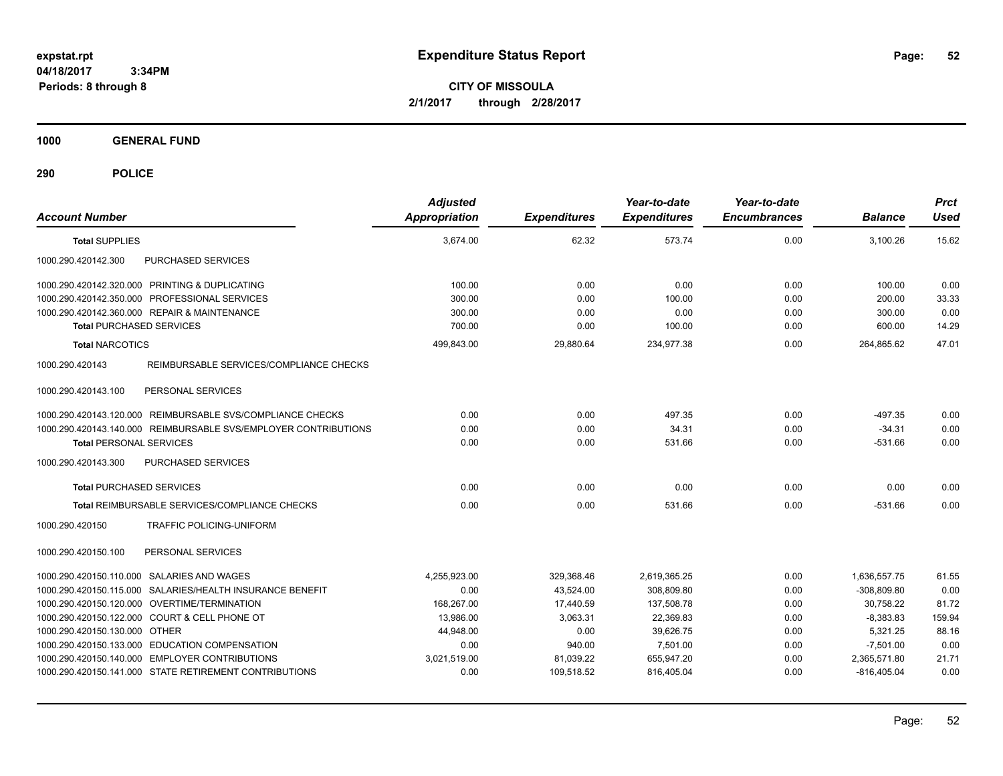**CITY OF MISSOULA 2/1/2017 through 2/28/2017**

**1000 GENERAL FUND**

| <b>Account Number</b>                                           | <b>Adjusted</b><br><b>Appropriation</b> | <b>Expenditures</b> | Year-to-date<br><b>Expenditures</b> | Year-to-date<br><b>Encumbrances</b> | <b>Balance</b> | <b>Prct</b><br><b>Used</b> |
|-----------------------------------------------------------------|-----------------------------------------|---------------------|-------------------------------------|-------------------------------------|----------------|----------------------------|
| <b>Total SUPPLIES</b>                                           | 3,674.00                                | 62.32               | 573.74                              | 0.00                                | 3,100.26       | 15.62                      |
| 1000.290.420142.300<br>PURCHASED SERVICES                       |                                         |                     |                                     |                                     |                |                            |
| 1000.290.420142.320.000 PRINTING & DUPLICATING                  | 100.00                                  | 0.00                | 0.00                                | 0.00                                | 100.00         | 0.00                       |
| 1000.290.420142.350.000 PROFESSIONAL SERVICES                   | 300.00                                  | 0.00                | 100.00                              | 0.00                                | 200.00         | 33.33                      |
| 1000.290.420142.360.000 REPAIR & MAINTENANCE                    | 300.00                                  | 0.00                | 0.00                                | 0.00                                | 300.00         | 0.00                       |
| <b>Total PURCHASED SERVICES</b>                                 | 700.00                                  | 0.00                | 100.00                              | 0.00                                | 600.00         | 14.29                      |
| <b>Total NARCOTICS</b>                                          | 499,843.00                              | 29,880.64           | 234,977.38                          | 0.00                                | 264,865.62     | 47.01                      |
| 1000.290.420143<br>REIMBURSABLE SERVICES/COMPLIANCE CHECKS      |                                         |                     |                                     |                                     |                |                            |
| 1000.290.420143.100<br>PERSONAL SERVICES                        |                                         |                     |                                     |                                     |                |                            |
| 1000.290.420143.120.000 REIMBURSABLE SVS/COMPLIANCE CHECKS      | 0.00                                    | 0.00                | 497.35                              | 0.00                                | $-497.35$      | 0.00                       |
| 1000.290.420143.140.000 REIMBURSABLE SVS/EMPLOYER CONTRIBUTIONS | 0.00                                    | 0.00                | 34.31                               | 0.00                                | $-34.31$       | 0.00                       |
| <b>Total PERSONAL SERVICES</b>                                  | 0.00                                    | 0.00                | 531.66                              | 0.00                                | $-531.66$      | 0.00                       |
| 1000.290.420143.300<br>PURCHASED SERVICES                       |                                         |                     |                                     |                                     |                |                            |
| <b>Total PURCHASED SERVICES</b>                                 | 0.00                                    | 0.00                | 0.00                                | 0.00                                | 0.00           | 0.00                       |
| Total REIMBURSABLE SERVICES/COMPLIANCE CHECKS                   | 0.00                                    | 0.00                | 531.66                              | 0.00                                | $-531.66$      | 0.00                       |
| 1000.290.420150<br>TRAFFIC POLICING-UNIFORM                     |                                         |                     |                                     |                                     |                |                            |
| 1000.290.420150.100<br>PERSONAL SERVICES                        |                                         |                     |                                     |                                     |                |                            |
| 1000.290.420150.110.000 SALARIES AND WAGES                      | 4,255,923.00                            | 329.368.46          | 2,619,365.25                        | 0.00                                | 1,636,557.75   | 61.55                      |
| 1000.290.420150.115.000 SALARIES/HEALTH INSURANCE BENEFIT       | 0.00                                    | 43,524.00           | 308,809.80                          | 0.00                                | $-308,809.80$  | 0.00                       |
| 1000.290.420150.120.000 OVERTIME/TERMINATION                    | 168.267.00                              | 17.440.59           | 137,508.78                          | 0.00                                | 30,758.22      | 81.72                      |
| 1000.290.420150.122.000 COURT & CELL PHONE OT                   | 13,986.00                               | 3,063.31            | 22,369.83                           | 0.00                                | $-8,383.83$    | 159.94                     |
| 1000.290.420150.130.000 OTHER                                   | 44.948.00                               | 0.00                | 39.626.75                           | 0.00                                | 5.321.25       | 88.16                      |
| 1000.290.420150.133.000 EDUCATION COMPENSATION                  | 0.00                                    | 940.00              | 7.501.00                            | 0.00                                | $-7,501.00$    | 0.00                       |
| 1000.290.420150.140.000 EMPLOYER CONTRIBUTIONS                  | 3,021,519.00                            | 81,039.22           | 655,947.20                          | 0.00                                | 2,365,571.80   | 21.71                      |
| 1000.290.420150.141.000 STATE RETIREMENT CONTRIBUTIONS          | 0.00                                    | 109,518.52          | 816,405.04                          | 0.00                                | $-816,405.04$  | 0.00                       |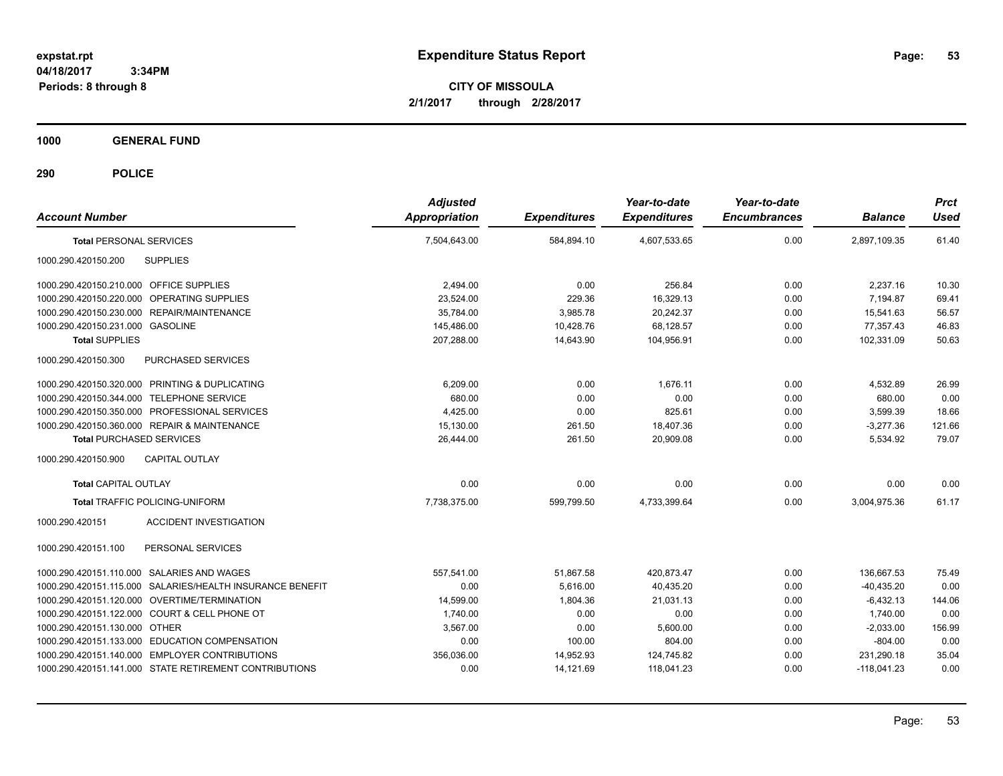**CITY OF MISSOULA 2/1/2017 through 2/28/2017**

**1000 GENERAL FUND**

| <b>Account Number</b>                                     | <b>Adjusted</b><br><b>Appropriation</b> | <b>Expenditures</b> | Year-to-date<br><b>Expenditures</b> | Year-to-date<br><b>Encumbrances</b> | <b>Balance</b> | <b>Prct</b><br><b>Used</b> |
|-----------------------------------------------------------|-----------------------------------------|---------------------|-------------------------------------|-------------------------------------|----------------|----------------------------|
| <b>Total PERSONAL SERVICES</b>                            | 7,504,643.00                            | 584.894.10          | 4,607,533.65                        | 0.00                                | 2,897,109.35   | 61.40                      |
| 1000.290.420150.200<br><b>SUPPLIES</b>                    |                                         |                     |                                     |                                     |                |                            |
| 1000.290.420150.210.000 OFFICE SUPPLIES                   | 2,494.00                                | 0.00                | 256.84                              | 0.00                                | 2,237.16       | 10.30                      |
| 1000.290.420150.220.000 OPERATING SUPPLIES                | 23,524.00                               | 229.36              | 16,329.13                           | 0.00                                | 7,194.87       | 69.41                      |
| 1000.290.420150.230.000 REPAIR/MAINTENANCE                | 35,784.00                               | 3,985.78            | 20,242.37                           | 0.00                                | 15,541.63      | 56.57                      |
| 1000.290.420150.231.000 GASOLINE                          | 145,486.00                              | 10,428.76           | 68.128.57                           | 0.00                                | 77,357.43      | 46.83                      |
| <b>Total SUPPLIES</b>                                     | 207,288.00                              | 14.643.90           | 104.956.91                          | 0.00                                | 102.331.09     | 50.63                      |
| 1000.290.420150.300<br>PURCHASED SERVICES                 |                                         |                     |                                     |                                     |                |                            |
| 1000.290.420150.320.000 PRINTING & DUPLICATING            | 6,209.00                                | 0.00                | 1.676.11                            | 0.00                                | 4,532.89       | 26.99                      |
| 1000.290.420150.344.000 TELEPHONE SERVICE                 | 680.00                                  | 0.00                | 0.00                                | 0.00                                | 680.00         | 0.00                       |
| 1000.290.420150.350.000 PROFESSIONAL SERVICES             | 4.425.00                                | 0.00                | 825.61                              | 0.00                                | 3,599.39       | 18.66                      |
| 1000.290.420150.360.000 REPAIR & MAINTENANCE              | 15,130.00                               | 261.50              | 18,407.36                           | 0.00                                | $-3,277.36$    | 121.66                     |
| <b>Total PURCHASED SERVICES</b>                           | 26.444.00                               | 261.50              | 20.909.08                           | 0.00                                | 5,534.92       | 79.07                      |
| CAPITAL OUTLAY<br>1000.290.420150.900                     |                                         |                     |                                     |                                     |                |                            |
| <b>Total CAPITAL OUTLAY</b>                               | 0.00                                    | 0.00                | 0.00                                | 0.00                                | 0.00           | 0.00                       |
| <b>Total TRAFFIC POLICING-UNIFORM</b>                     | 7,738,375.00                            | 599,799.50          | 4,733,399.64                        | 0.00                                | 3,004,975.36   | 61.17                      |
| <b>ACCIDENT INVESTIGATION</b><br>1000.290.420151          |                                         |                     |                                     |                                     |                |                            |
| 1000.290.420151.100<br>PERSONAL SERVICES                  |                                         |                     |                                     |                                     |                |                            |
| 1000.290.420151.110.000 SALARIES AND WAGES                | 557.541.00                              | 51.867.58           | 420.873.47                          | 0.00                                | 136,667.53     | 75.49                      |
| 1000.290.420151.115.000 SALARIES/HEALTH INSURANCE BENEFIT | 0.00                                    | 5.616.00            | 40.435.20                           | 0.00                                | $-40.435.20$   | 0.00                       |
| 1000.290.420151.120.000 OVERTIME/TERMINATION              | 14,599.00                               | 1,804.36            | 21,031.13                           | 0.00                                | $-6,432.13$    | 144.06                     |
| 1000.290.420151.122.000 COURT & CELL PHONE OT             | 1,740.00                                | 0.00                | 0.00                                | 0.00                                | 1,740.00       | 0.00                       |
| 1000.290.420151.130.000 OTHER                             | 3,567.00                                | 0.00                | 5,600.00                            | 0.00                                | $-2,033.00$    | 156.99                     |
| 1000.290.420151.133.000 EDUCATION COMPENSATION            | 0.00                                    | 100.00              | 804.00                              | 0.00                                | $-804.00$      | 0.00                       |
| 1000.290.420151.140.000 EMPLOYER CONTRIBUTIONS            | 356,036.00                              | 14,952.93           | 124,745.82                          | 0.00                                | 231,290.18     | 35.04                      |
| 1000.290.420151.141.000 STATE RETIREMENT CONTRIBUTIONS    | 0.00                                    | 14,121.69           | 118,041.23                          | 0.00                                | $-118,041.23$  | 0.00                       |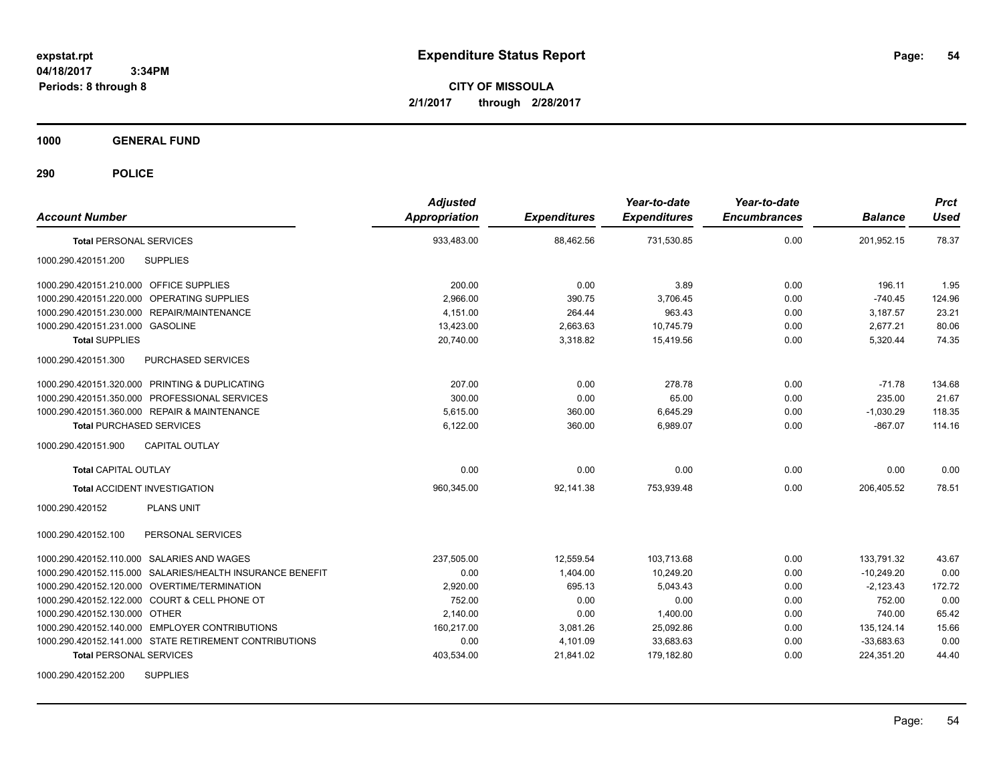**CITY OF MISSOULA 2/1/2017 through 2/28/2017**

**1000 GENERAL FUND**

| <b>Account Number</b>                                     | <b>Adjusted</b><br><b>Appropriation</b> | <b>Expenditures</b> | Year-to-date<br><b>Expenditures</b> | Year-to-date<br><b>Encumbrances</b> | <b>Balance</b> | <b>Prct</b><br><b>Used</b> |
|-----------------------------------------------------------|-----------------------------------------|---------------------|-------------------------------------|-------------------------------------|----------------|----------------------------|
| <b>Total PERSONAL SERVICES</b>                            | 933,483.00                              | 88,462.56           | 731,530.85                          | 0.00                                | 201,952.15     | 78.37                      |
| 1000.290.420151.200<br><b>SUPPLIES</b>                    |                                         |                     |                                     |                                     |                |                            |
| 1000.290.420151.210.000 OFFICE SUPPLIES                   | 200.00                                  | 0.00                | 3.89                                | 0.00                                | 196.11         | 1.95                       |
| 1000.290.420151.220.000 OPERATING SUPPLIES                | 2,966.00                                | 390.75              | 3,706.45                            | 0.00                                | $-740.45$      | 124.96                     |
| 1000.290.420151.230.000 REPAIR/MAINTENANCE                | 4.151.00                                | 264.44              | 963.43                              | 0.00                                | 3,187.57       | 23.21                      |
| 1000.290.420151.231.000 GASOLINE                          | 13,423.00                               | 2,663.63            | 10.745.79                           | 0.00                                | 2,677.21       | 80.06                      |
| <b>Total SUPPLIES</b>                                     | 20.740.00                               | 3,318.82            | 15.419.56                           | 0.00                                | 5,320.44       | 74.35                      |
| 1000.290.420151.300<br>PURCHASED SERVICES                 |                                         |                     |                                     |                                     |                |                            |
| 1000.290.420151.320.000 PRINTING & DUPLICATING            | 207.00                                  | 0.00                | 278.78                              | 0.00                                | $-71.78$       | 134.68                     |
| 1000.290.420151.350.000 PROFESSIONAL SERVICES             | 300.00                                  | 0.00                | 65.00                               | 0.00                                | 235.00         | 21.67                      |
| 1000.290.420151.360.000 REPAIR & MAINTENANCE              | 5.615.00                                | 360.00              | 6,645.29                            | 0.00                                | $-1,030.29$    | 118.35                     |
| <b>Total PURCHASED SERVICES</b>                           | 6,122.00                                | 360.00              | 6,989.07                            | 0.00                                | $-867.07$      | 114.16                     |
| 1000.290.420151.900<br><b>CAPITAL OUTLAY</b>              |                                         |                     |                                     |                                     |                |                            |
| <b>Total CAPITAL OUTLAY</b>                               | 0.00                                    | 0.00                | 0.00                                | 0.00                                | 0.00           | 0.00                       |
| <b>Total ACCIDENT INVESTIGATION</b>                       | 960,345.00                              | 92,141.38           | 753,939.48                          | 0.00                                | 206,405.52     | 78.51                      |
| <b>PLANS UNIT</b><br>1000.290.420152                      |                                         |                     |                                     |                                     |                |                            |
| PERSONAL SERVICES<br>1000.290.420152.100                  |                                         |                     |                                     |                                     |                |                            |
| 1000.290.420152.110.000 SALARIES AND WAGES                | 237,505.00                              | 12,559.54           | 103,713.68                          | 0.00                                | 133,791.32     | 43.67                      |
| 1000.290.420152.115.000 SALARIES/HEALTH INSURANCE BENEFIT | 0.00                                    | 1,404.00            | 10,249.20                           | 0.00                                | $-10,249.20$   | 0.00                       |
| 1000.290.420152.120.000 OVERTIME/TERMINATION              | 2,920.00                                | 695.13              | 5,043.43                            | 0.00                                | $-2,123.43$    | 172.72                     |
| 1000.290.420152.122.000 COURT & CELL PHONE OT             | 752.00                                  | 0.00                | 0.00                                | 0.00                                | 752.00         | 0.00                       |
| 1000.290.420152.130.000 OTHER                             | 2,140.00                                | 0.00                | 1,400.00                            | 0.00                                | 740.00         | 65.42                      |
| 1000.290.420152.140.000 EMPLOYER CONTRIBUTIONS            | 160,217.00                              | 3,081.26            | 25,092.86                           | 0.00                                | 135, 124. 14   | 15.66                      |
| 1000.290.420152.141.000 STATE RETIREMENT CONTRIBUTIONS    | 0.00                                    | 4,101.09            | 33,683.63                           | 0.00                                | $-33,683.63$   | 0.00                       |
| <b>Total PERSONAL SERVICES</b>                            | 403,534.00                              | 21,841.02           | 179,182.80                          | 0.00                                | 224,351.20     | 44.40                      |
| <b>SUPPLIES</b><br>1000.290.420152.200                    |                                         |                     |                                     |                                     |                |                            |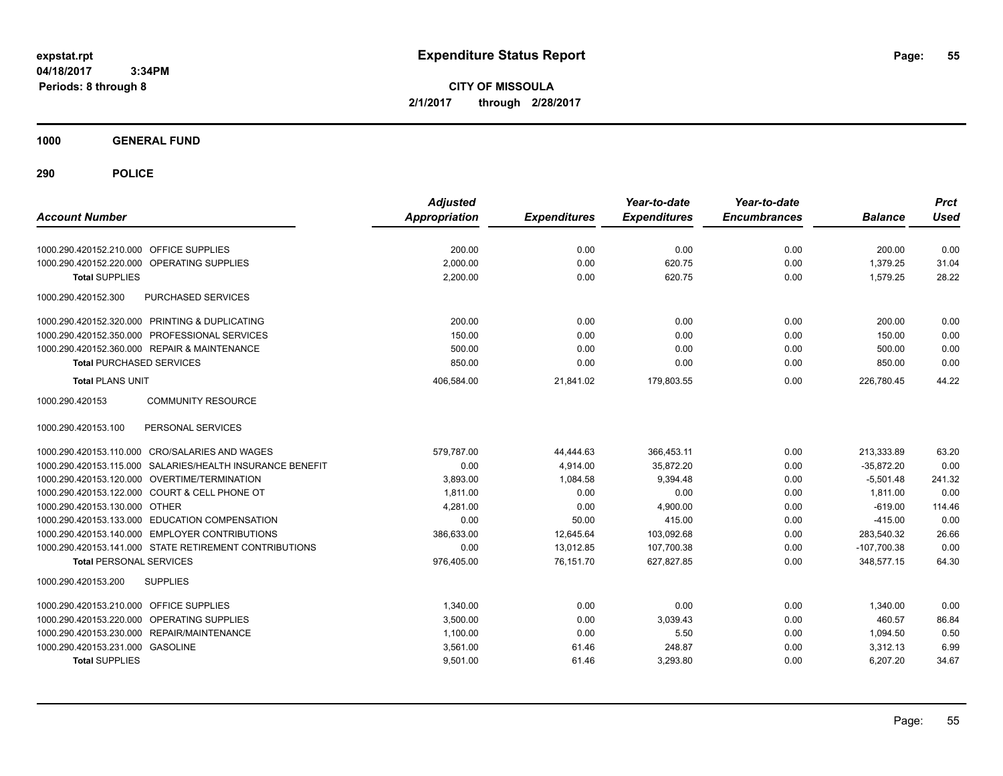**CITY OF MISSOULA 2/1/2017 through 2/28/2017**

**1000 GENERAL FUND**

| <b>Account Number</b>                                     | <b>Adjusted</b><br><b>Appropriation</b> | <b>Expenditures</b> | Year-to-date<br><b>Expenditures</b> | Year-to-date<br><b>Encumbrances</b> | <b>Balance</b> | <b>Prct</b><br><b>Used</b> |
|-----------------------------------------------------------|-----------------------------------------|---------------------|-------------------------------------|-------------------------------------|----------------|----------------------------|
| 1000.290.420152.210.000 OFFICE SUPPLIES                   | 200.00                                  | 0.00                | 0.00                                | 0.00                                | 200.00         | 0.00                       |
| OPERATING SUPPLIES<br>1000.290.420152.220.000             | 2,000.00                                | 0.00                | 620.75                              | 0.00                                | 1,379.25       | 31.04                      |
| <b>Total SUPPLIES</b>                                     | 2,200.00                                | 0.00                | 620.75                              | 0.00                                | 1,579.25       | 28.22                      |
| 1000.290.420152.300<br>PURCHASED SERVICES                 |                                         |                     |                                     |                                     |                |                            |
| 1000.290.420152.320.000 PRINTING & DUPLICATING            | 200.00                                  | 0.00                | 0.00                                | 0.00                                | 200.00         | 0.00                       |
| 1000.290.420152.350.000 PROFESSIONAL SERVICES             | 150.00                                  | 0.00                | 0.00                                | 0.00                                | 150.00         | 0.00                       |
| 1000.290.420152.360.000 REPAIR & MAINTENANCE              | 500.00                                  | 0.00                | 0.00                                | 0.00                                | 500.00         | 0.00                       |
| <b>Total PURCHASED SERVICES</b>                           | 850.00                                  | 0.00                | 0.00                                | 0.00                                | 850.00         | 0.00                       |
| <b>Total PLANS UNIT</b>                                   | 406,584.00                              | 21,841.02           | 179,803.55                          | 0.00                                | 226,780.45     | 44.22                      |
| 1000.290.420153<br><b>COMMUNITY RESOURCE</b>              |                                         |                     |                                     |                                     |                |                            |
| 1000.290.420153.100<br>PERSONAL SERVICES                  |                                         |                     |                                     |                                     |                |                            |
| 1000.290.420153.110.000 CRO/SALARIES AND WAGES            | 579.787.00                              | 44,444.63           | 366,453.11                          | 0.00                                | 213.333.89     | 63.20                      |
| 1000.290.420153.115.000 SALARIES/HEALTH INSURANCE BENEFIT | 0.00                                    | 4,914.00            | 35,872.20                           | 0.00                                | $-35,872.20$   | 0.00                       |
| 1000.290.420153.120.000 OVERTIME/TERMINATION              | 3.893.00                                | 1,084.58            | 9.394.48                            | 0.00                                | $-5.501.48$    | 241.32                     |
| 1000.290.420153.122.000 COURT & CELL PHONE OT             | 1,811.00                                | 0.00                | 0.00                                | 0.00                                | 1,811.00       | 0.00                       |
| 1000.290.420153.130.000 OTHER                             | 4,281.00                                | 0.00                | 4,900.00                            | 0.00                                | $-619.00$      | 114.46                     |
| 1000.290.420153.133.000 EDUCATION COMPENSATION            | 0.00                                    | 50.00               | 415.00                              | 0.00                                | $-415.00$      | 0.00                       |
| 1000.290.420153.140.000 EMPLOYER CONTRIBUTIONS            | 386.633.00                              | 12,645.64           | 103,092.68                          | 0.00                                | 283.540.32     | 26.66                      |
| 1000.290.420153.141.000 STATE RETIREMENT CONTRIBUTIONS    | 0.00                                    | 13,012.85           | 107,700.38                          | 0.00                                | $-107,700.38$  | 0.00                       |
| <b>Total PERSONAL SERVICES</b>                            | 976,405.00                              | 76,151.70           | 627,827.85                          | 0.00                                | 348,577.15     | 64.30                      |
| 1000.290.420153.200<br><b>SUPPLIES</b>                    |                                         |                     |                                     |                                     |                |                            |
| 1000.290.420153.210.000<br><b>OFFICE SUPPLIES</b>         | 1,340.00                                | 0.00                | 0.00                                | 0.00                                | 1,340.00       | 0.00                       |
| <b>OPERATING SUPPLIES</b><br>1000.290.420153.220.000      | 3,500.00                                | 0.00                | 3,039.43                            | 0.00                                | 460.57         | 86.84                      |
| 1000.290.420153.230.000 REPAIR/MAINTENANCE                | 1,100.00                                | 0.00                | 5.50                                | 0.00                                | 1,094.50       | 0.50                       |
| 1000.290.420153.231.000 GASOLINE                          | 3,561.00                                | 61.46               | 248.87                              | 0.00                                | 3,312.13       | 6.99                       |
| <b>Total SUPPLIES</b>                                     | 9,501.00                                | 61.46               | 3,293.80                            | 0.00                                | 6,207.20       | 34.67                      |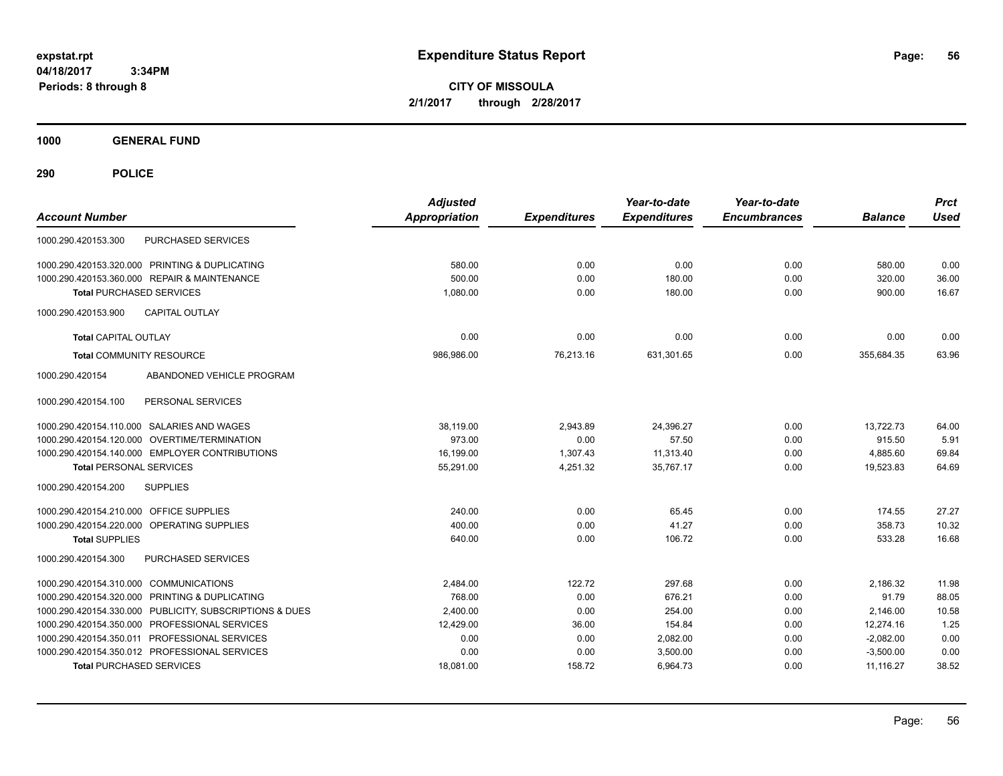**CITY OF MISSOULA 2/1/2017 through 2/28/2017**

**1000 GENERAL FUND**

| <b>Account Number</b>                          |                                 | <b>Adjusted</b><br><b>Appropriation</b> | <b>Expenditures</b> | Year-to-date<br><b>Expenditures</b> | Year-to-date<br><b>Encumbrances</b> | <b>Balance</b> | <b>Prct</b><br><b>Used</b> |
|------------------------------------------------|---------------------------------|-----------------------------------------|---------------------|-------------------------------------|-------------------------------------|----------------|----------------------------|
| 1000.290.420153.300                            | <b>PURCHASED SERVICES</b>       |                                         |                     |                                     |                                     |                |                            |
| 1000.290.420153.320.000 PRINTING & DUPLICATING |                                 | 580.00                                  | 0.00                | 0.00                                | 0.00                                | 580.00         | 0.00                       |
| 1000.290.420153.360.000 REPAIR & MAINTENANCE   |                                 | 500.00                                  | 0.00                | 180.00                              | 0.00                                | 320.00         | 36.00                      |
| <b>Total PURCHASED SERVICES</b>                |                                 | 1,080.00                                | 0.00                | 180.00                              | 0.00                                | 900.00         | 16.67                      |
| 1000.290.420153.900                            | <b>CAPITAL OUTLAY</b>           |                                         |                     |                                     |                                     |                |                            |
| <b>Total CAPITAL OUTLAY</b>                    |                                 | 0.00                                    | 0.00                | 0.00                                | 0.00                                | 0.00           | 0.00                       |
| <b>Total COMMUNITY RESOURCE</b>                |                                 | 986,986.00                              | 76,213.16           | 631,301.65                          | 0.00                                | 355.684.35     | 63.96                      |
| 1000.290.420154                                | ABANDONED VEHICLE PROGRAM       |                                         |                     |                                     |                                     |                |                            |
| 1000.290.420154.100                            | PERSONAL SERVICES               |                                         |                     |                                     |                                     |                |                            |
| 1000.290.420154.110.000 SALARIES AND WAGES     |                                 | 38,119.00                               | 2,943.89            | 24,396.27                           | 0.00                                | 13,722.73      | 64.00                      |
| 1000.290.420154.120.000                        | OVERTIME/TERMINATION            | 973.00                                  | 0.00                | 57.50                               | 0.00                                | 915.50         | 5.91                       |
| 1000.290.420154.140.000 EMPLOYER CONTRIBUTIONS |                                 | 16,199.00                               | 1,307.43            | 11,313.40                           | 0.00                                | 4,885.60       | 69.84                      |
| <b>Total PERSONAL SERVICES</b>                 |                                 | 55,291.00                               | 4,251.32            | 35,767.17                           | 0.00                                | 19,523.83      | 64.69                      |
| 1000.290.420154.200                            | <b>SUPPLIES</b>                 |                                         |                     |                                     |                                     |                |                            |
| 1000.290.420154.210.000 OFFICE SUPPLIES        |                                 | 240.00                                  | 0.00                | 65.45                               | 0.00                                | 174.55         | 27.27                      |
| 1000.290.420154.220.000 OPERATING SUPPLIES     |                                 | 400.00                                  | 0.00                | 41.27                               | 0.00                                | 358.73         | 10.32                      |
| <b>Total SUPPLIES</b>                          |                                 | 640.00                                  | 0.00                | 106.72                              | 0.00                                | 533.28         | 16.68                      |
| 1000.290.420154.300                            | PURCHASED SERVICES              |                                         |                     |                                     |                                     |                |                            |
| 1000.290.420154.310.000 COMMUNICATIONS         |                                 | 2,484.00                                | 122.72              | 297.68                              | 0.00                                | 2,186.32       | 11.98                      |
| 1000.290.420154.320.000                        | PRINTING & DUPLICATING          | 768.00                                  | 0.00                | 676.21                              | 0.00                                | 91.79          | 88.05                      |
| 1000.290.420154.330.000                        | PUBLICITY, SUBSCRIPTIONS & DUES | 2,400.00                                | 0.00                | 254.00                              | 0.00                                | 2,146.00       | 10.58                      |
| 1000.290.420154.350.000 PROFESSIONAL SERVICES  |                                 | 12,429.00                               | 36.00               | 154.84                              | 0.00                                | 12,274.16      | 1.25                       |
| 1000.290.420154.350.011 PROFESSIONAL SERVICES  |                                 | 0.00                                    | 0.00                | 2,082.00                            | 0.00                                | $-2,082.00$    | 0.00                       |
| 1000.290.420154.350.012 PROFESSIONAL SERVICES  |                                 | 0.00                                    | 0.00                | 3,500.00                            | 0.00                                | $-3,500.00$    | 0.00                       |
| <b>Total PURCHASED SERVICES</b>                |                                 | 18,081.00                               | 158.72              | 6,964.73                            | 0.00                                | 11,116.27      | 38.52                      |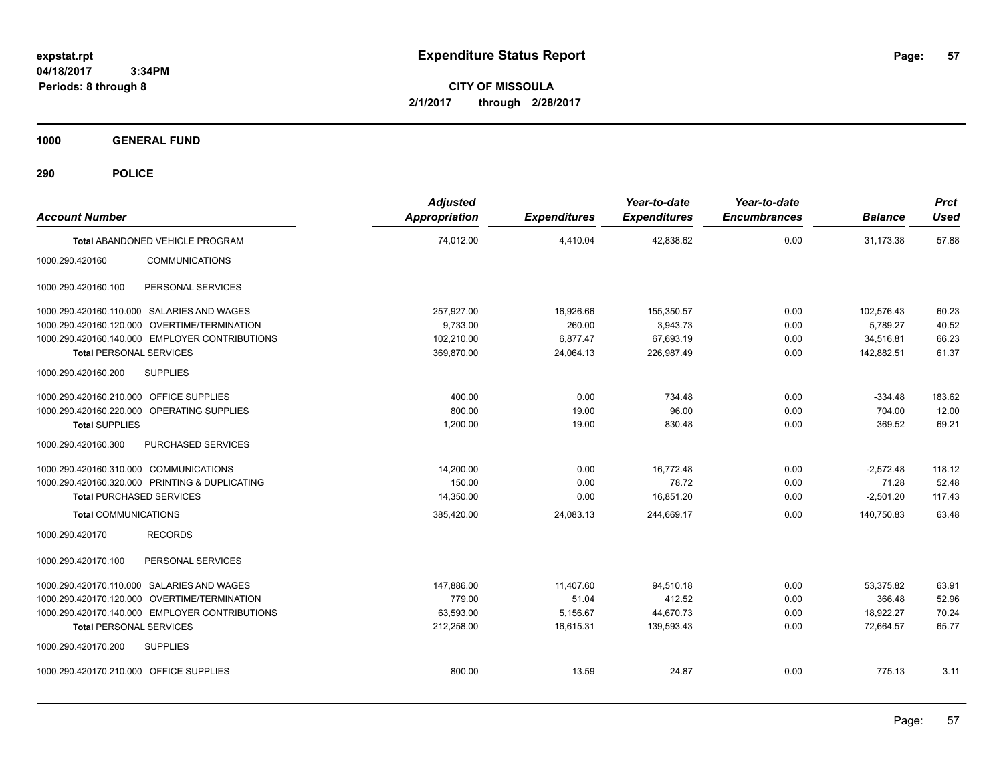**CITY OF MISSOULA 2/1/2017 through 2/28/2017**

**1000 GENERAL FUND**

| <b>Account Number</b>                          | <b>Adjusted</b><br>Appropriation | <b>Expenditures</b> | Year-to-date<br><b>Expenditures</b> | Year-to-date<br><b>Encumbrances</b> | <b>Balance</b> | <b>Prct</b><br><b>Used</b> |
|------------------------------------------------|----------------------------------|---------------------|-------------------------------------|-------------------------------------|----------------|----------------------------|
| Total ABANDONED VEHICLE PROGRAM                | 74,012.00                        | 4,410.04            | 42,838.62                           | 0.00                                | 31,173.38      | 57.88                      |
| 1000.290.420160<br><b>COMMUNICATIONS</b>       |                                  |                     |                                     |                                     |                |                            |
| PERSONAL SERVICES<br>1000.290.420160.100       |                                  |                     |                                     |                                     |                |                            |
| 1000.290.420160.110.000 SALARIES AND WAGES     | 257,927.00                       | 16,926.66           | 155,350.57                          | 0.00                                | 102,576.43     | 60.23                      |
| 1000.290.420160.120.000 OVERTIME/TERMINATION   | 9,733.00                         | 260.00              | 3,943.73                            | 0.00                                | 5,789.27       | 40.52                      |
| 1000.290.420160.140.000 EMPLOYER CONTRIBUTIONS | 102,210.00                       | 6,877.47            | 67,693.19                           | 0.00                                | 34.516.81      | 66.23                      |
| <b>Total PERSONAL SERVICES</b>                 | 369,870.00                       | 24,064.13           | 226,987.49                          | 0.00                                | 142,882.51     | 61.37                      |
| 1000.290.420160.200<br><b>SUPPLIES</b>         |                                  |                     |                                     |                                     |                |                            |
| 1000.290.420160.210.000 OFFICE SUPPLIES        | 400.00                           | 0.00                | 734.48                              | 0.00                                | $-334.48$      | 183.62                     |
| 1000.290.420160.220.000 OPERATING SUPPLIES     | 800.00                           | 19.00               | 96.00                               | 0.00                                | 704.00         | 12.00                      |
| <b>Total SUPPLIES</b>                          | 1,200.00                         | 19.00               | 830.48                              | 0.00                                | 369.52         | 69.21                      |
| 1000.290.420160.300<br>PURCHASED SERVICES      |                                  |                     |                                     |                                     |                |                            |
| 1000.290.420160.310.000 COMMUNICATIONS         | 14,200.00                        | 0.00                | 16,772.48                           | 0.00                                | $-2,572.48$    | 118.12                     |
| 1000.290.420160.320.000 PRINTING & DUPLICATING | 150.00                           | 0.00                | 78.72                               | 0.00                                | 71.28          | 52.48                      |
| <b>Total PURCHASED SERVICES</b>                | 14,350.00                        | 0.00                | 16,851.20                           | 0.00                                | $-2,501.20$    | 117.43                     |
| <b>Total COMMUNICATIONS</b>                    | 385,420.00                       | 24,083.13           | 244,669.17                          | 0.00                                | 140,750.83     | 63.48                      |
| 1000.290.420170<br><b>RECORDS</b>              |                                  |                     |                                     |                                     |                |                            |
| PERSONAL SERVICES<br>1000.290.420170.100       |                                  |                     |                                     |                                     |                |                            |
| 1000.290.420170.110.000 SALARIES AND WAGES     | 147,886.00                       | 11,407.60           | 94,510.18                           | 0.00                                | 53.375.82      | 63.91                      |
| 1000.290.420170.120.000 OVERTIME/TERMINATION   | 779.00                           | 51.04               | 412.52                              | 0.00                                | 366.48         | 52.96                      |
| 1000.290.420170.140.000 EMPLOYER CONTRIBUTIONS | 63,593.00                        | 5,156.67            | 44,670.73                           | 0.00                                | 18.922.27      | 70.24                      |
| <b>Total PERSONAL SERVICES</b>                 | 212,258.00                       | 16,615.31           | 139,593.43                          | 0.00                                | 72,664.57      | 65.77                      |
| <b>SUPPLIES</b><br>1000.290.420170.200         |                                  |                     |                                     |                                     |                |                            |
| 1000.290.420170.210.000 OFFICE SUPPLIES        | 800.00                           | 13.59               | 24.87                               | 0.00                                | 775.13         | 3.11                       |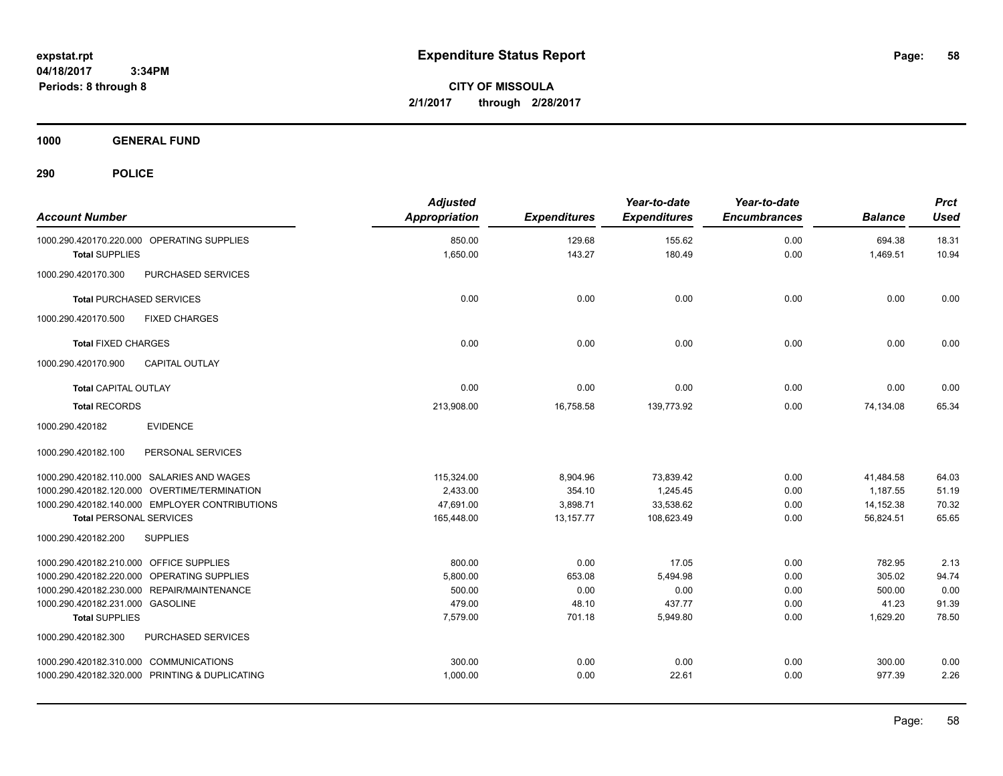**CITY OF MISSOULA 2/1/2017 through 2/28/2017**

**1000 GENERAL FUND**

| <b>Account Number</b>                          | <b>Adjusted</b><br><b>Appropriation</b> | <b>Expenditures</b> | Year-to-date<br><b>Expenditures</b> | Year-to-date<br><b>Encumbrances</b> | <b>Balance</b> | <b>Prct</b><br><b>Used</b> |
|------------------------------------------------|-----------------------------------------|---------------------|-------------------------------------|-------------------------------------|----------------|----------------------------|
| 1000.290.420170.220.000 OPERATING SUPPLIES     | 850.00                                  | 129.68              | 155.62                              | 0.00                                | 694.38         | 18.31                      |
| <b>Total SUPPLIES</b>                          | 1,650.00                                | 143.27              | 180.49                              | 0.00                                | 1,469.51       | 10.94                      |
| PURCHASED SERVICES<br>1000.290.420170.300      |                                         |                     |                                     |                                     |                |                            |
| <b>Total PURCHASED SERVICES</b>                | 0.00                                    | 0.00                | 0.00                                | 0.00                                | 0.00           | 0.00                       |
| 1000.290.420170.500<br><b>FIXED CHARGES</b>    |                                         |                     |                                     |                                     |                |                            |
| <b>Total FIXED CHARGES</b>                     | 0.00                                    | 0.00                | 0.00                                | 0.00                                | 0.00           | 0.00                       |
| <b>CAPITAL OUTLAY</b><br>1000.290.420170.900   |                                         |                     |                                     |                                     |                |                            |
| <b>Total CAPITAL OUTLAY</b>                    | 0.00                                    | 0.00                | 0.00                                | 0.00                                | 0.00           | 0.00                       |
| <b>Total RECORDS</b>                           | 213,908.00                              | 16,758.58           | 139,773.92                          | 0.00                                | 74,134.08      | 65.34                      |
| 1000.290.420182<br><b>EVIDENCE</b>             |                                         |                     |                                     |                                     |                |                            |
| 1000.290.420182.100<br>PERSONAL SERVICES       |                                         |                     |                                     |                                     |                |                            |
| 1000.290.420182.110.000 SALARIES AND WAGES     | 115,324.00                              | 8,904.96            | 73,839.42                           | 0.00                                | 41,484.58      | 64.03                      |
| 1000.290.420182.120.000 OVERTIME/TERMINATION   | 2,433.00                                | 354.10              | 1.245.45                            | 0.00                                | 1,187.55       | 51.19                      |
| 1000.290.420182.140.000 EMPLOYER CONTRIBUTIONS | 47,691.00                               | 3,898.71            | 33,538.62                           | 0.00                                | 14,152.38      | 70.32                      |
| <b>Total PERSONAL SERVICES</b>                 | 165,448.00                              | 13,157.77           | 108,623.49                          | 0.00                                | 56,824.51      | 65.65                      |
| 1000.290.420182.200<br><b>SUPPLIES</b>         |                                         |                     |                                     |                                     |                |                            |
| 1000.290.420182.210.000 OFFICE SUPPLIES        | 800.00                                  | 0.00                | 17.05                               | 0.00                                | 782.95         | 2.13                       |
| 1000.290.420182.220.000 OPERATING SUPPLIES     | 5,800.00                                | 653.08              | 5,494.98                            | 0.00                                | 305.02         | 94.74                      |
| 1000.290.420182.230.000 REPAIR/MAINTENANCE     | 500.00                                  | 0.00                | 0.00                                | 0.00                                | 500.00         | 0.00                       |
| 1000.290.420182.231.000 GASOLINE               | 479.00                                  | 48.10               | 437.77                              | 0.00                                | 41.23          | 91.39                      |
| <b>Total SUPPLIES</b>                          | 7,579.00                                | 701.18              | 5,949.80                            | 0.00                                | 1,629.20       | 78.50                      |
| 1000.290.420182.300<br>PURCHASED SERVICES      |                                         |                     |                                     |                                     |                |                            |
| 1000.290.420182.310.000 COMMUNICATIONS         | 300.00                                  | 0.00                | 0.00                                | 0.00                                | 300.00         | 0.00                       |
| 1000.290.420182.320.000 PRINTING & DUPLICATING | 1,000.00                                | 0.00                | 22.61                               | 0.00                                | 977.39         | 2.26                       |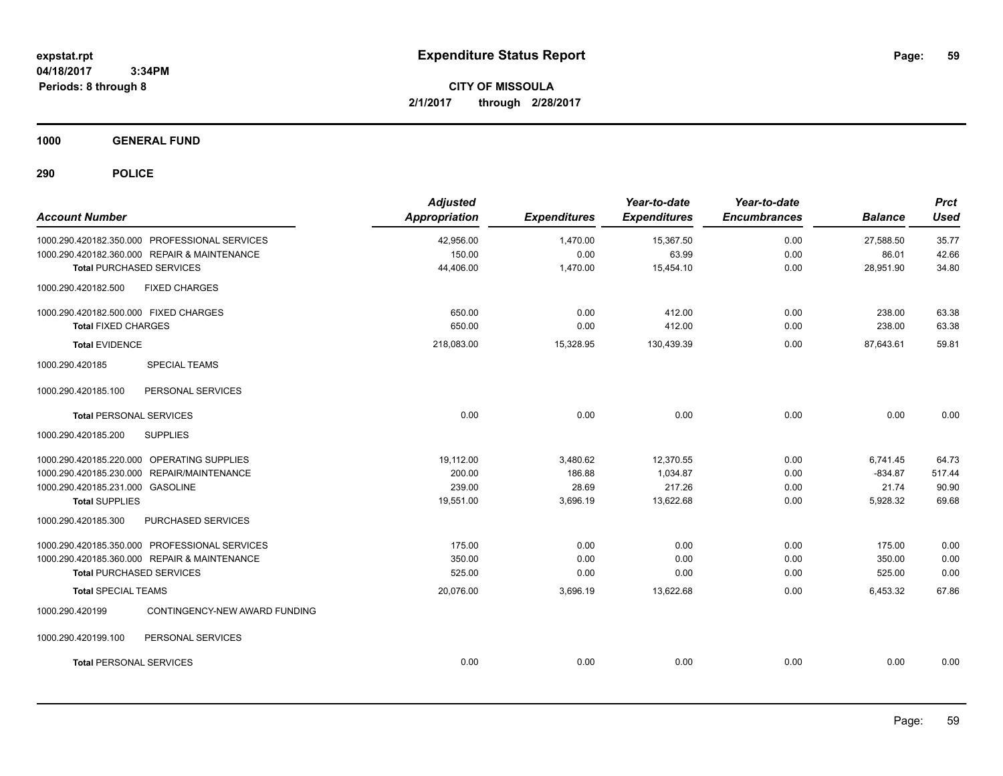**CITY OF MISSOULA 2/1/2017 through 2/28/2017**

**1000 GENERAL FUND**

| <b>Account Number</b>                            | <b>Adjusted</b><br>Appropriation | <b>Expenditures</b> | Year-to-date<br><b>Expenditures</b> | Year-to-date<br><b>Encumbrances</b> | <b>Balance</b> | <b>Prct</b><br><b>Used</b> |
|--------------------------------------------------|----------------------------------|---------------------|-------------------------------------|-------------------------------------|----------------|----------------------------|
| 1000.290.420182.350.000 PROFESSIONAL SERVICES    | 42,956.00                        | 1,470.00            | 15,367.50                           | 0.00                                | 27,588.50      | 35.77                      |
| 1000.290.420182.360.000 REPAIR & MAINTENANCE     | 150.00                           | 0.00                | 63.99                               | 0.00                                | 86.01          | 42.66                      |
| <b>Total PURCHASED SERVICES</b>                  | 44,406.00                        | 1,470.00            | 15,454.10                           | 0.00                                | 28,951.90      | 34.80                      |
| <b>FIXED CHARGES</b><br>1000.290.420182.500      |                                  |                     |                                     |                                     |                |                            |
| 1000.290.420182.500.000 FIXED CHARGES            | 650.00                           | 0.00                | 412.00                              | 0.00                                | 238.00         | 63.38                      |
| <b>Total FIXED CHARGES</b>                       | 650.00                           | 0.00                | 412.00                              | 0.00                                | 238.00         | 63.38                      |
| <b>Total EVIDENCE</b>                            | 218,083.00                       | 15,328.95           | 130,439.39                          | 0.00                                | 87,643.61      | 59.81                      |
| <b>SPECIAL TEAMS</b><br>1000.290.420185          |                                  |                     |                                     |                                     |                |                            |
| 1000.290.420185.100<br>PERSONAL SERVICES         |                                  |                     |                                     |                                     |                |                            |
| <b>Total PERSONAL SERVICES</b>                   | 0.00                             | 0.00                | 0.00                                | 0.00                                | 0.00           | 0.00                       |
| 1000.290.420185.200<br><b>SUPPLIES</b>           |                                  |                     |                                     |                                     |                |                            |
| 1000.290.420185.220.000 OPERATING SUPPLIES       | 19,112.00                        | 3,480.62            | 12,370.55                           | 0.00                                | 6,741.45       | 64.73                      |
| 1000.290.420185.230.000 REPAIR/MAINTENANCE       | 200.00                           | 186.88              | 1,034.87                            | 0.00                                | $-834.87$      | 517.44                     |
| 1000.290.420185.231.000 GASOLINE                 | 239.00                           | 28.69               | 217.26                              | 0.00                                | 21.74          | 90.90                      |
| <b>Total SUPPLIES</b>                            | 19,551.00                        | 3,696.19            | 13,622.68                           | 0.00                                | 5,928.32       | 69.68                      |
| PURCHASED SERVICES<br>1000.290.420185.300        |                                  |                     |                                     |                                     |                |                            |
| 1000.290.420185.350.000 PROFESSIONAL SERVICES    | 175.00                           | 0.00                | 0.00                                | 0.00                                | 175.00         | 0.00                       |
| 1000.290.420185.360.000 REPAIR & MAINTENANCE     | 350.00                           | 0.00                | 0.00                                | 0.00                                | 350.00         | 0.00                       |
| <b>Total PURCHASED SERVICES</b>                  | 525.00                           | 0.00                | 0.00                                | 0.00                                | 525.00         | 0.00                       |
| <b>Total SPECIAL TEAMS</b>                       | 20,076.00                        | 3,696.19            | 13,622.68                           | 0.00                                | 6,453.32       | 67.86                      |
| 1000.290.420199<br>CONTINGENCY-NEW AWARD FUNDING |                                  |                     |                                     |                                     |                |                            |
| 1000.290.420199.100<br>PERSONAL SERVICES         |                                  |                     |                                     |                                     |                |                            |
| <b>Total PERSONAL SERVICES</b>                   | 0.00                             | 0.00                | 0.00                                | 0.00                                | 0.00           | 0.00                       |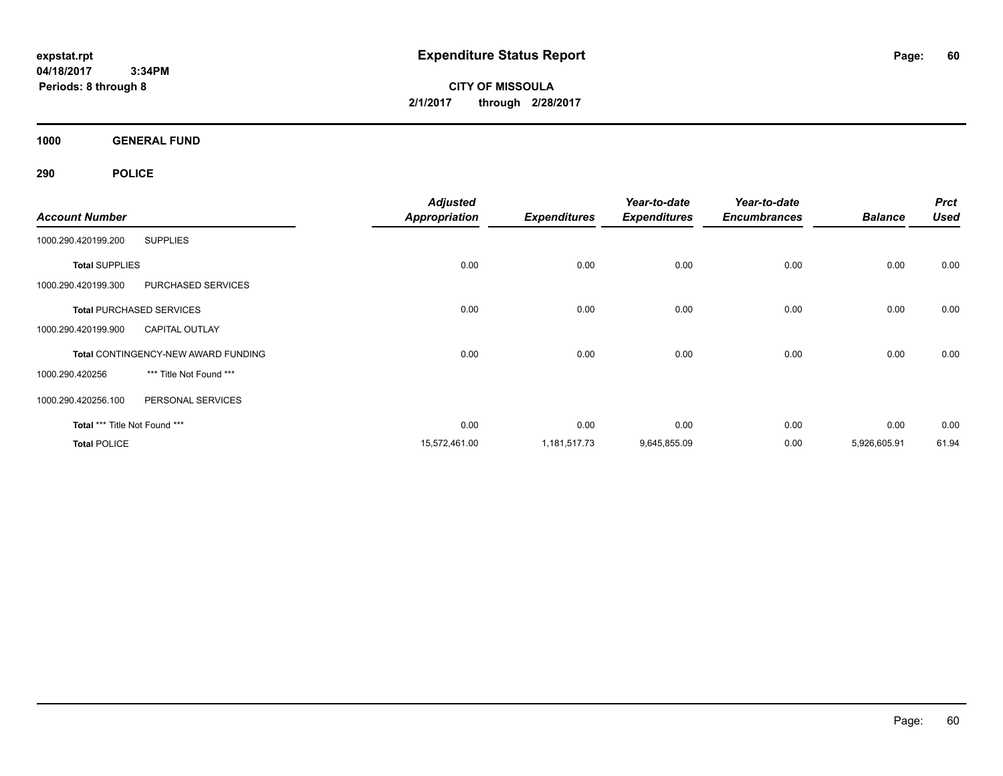**CITY OF MISSOULA 2/1/2017 through 2/28/2017**

**1000 GENERAL FUND**

|                               |                                            | <b>Adjusted</b>      |                     | Year-to-date        | Year-to-date        |                | <b>Prct</b> |
|-------------------------------|--------------------------------------------|----------------------|---------------------|---------------------|---------------------|----------------|-------------|
| <b>Account Number</b>         |                                            | <b>Appropriation</b> | <b>Expenditures</b> | <b>Expenditures</b> | <b>Encumbrances</b> | <b>Balance</b> | <b>Used</b> |
| 1000.290.420199.200           | <b>SUPPLIES</b>                            |                      |                     |                     |                     |                |             |
| <b>Total SUPPLIES</b>         |                                            | 0.00                 | 0.00                | 0.00                | 0.00                | 0.00           | 0.00        |
| 1000.290.420199.300           | PURCHASED SERVICES                         |                      |                     |                     |                     |                |             |
|                               | <b>Total PURCHASED SERVICES</b>            | 0.00                 | 0.00                | 0.00                | 0.00                | 0.00           | 0.00        |
| 1000.290.420199.900           | <b>CAPITAL OUTLAY</b>                      |                      |                     |                     |                     |                |             |
|                               | <b>Total CONTINGENCY-NEW AWARD FUNDING</b> | 0.00                 | 0.00                | 0.00                | 0.00                | 0.00           | 0.00        |
| 1000.290.420256               | *** Title Not Found ***                    |                      |                     |                     |                     |                |             |
| 1000.290.420256.100           | PERSONAL SERVICES                          |                      |                     |                     |                     |                |             |
| Total *** Title Not Found *** |                                            | 0.00                 | 0.00                | 0.00                | 0.00                | 0.00           | 0.00        |
| <b>Total POLICE</b>           |                                            | 15,572,461.00        | 1,181,517.73        | 9,645,855.09        | 0.00                | 5,926,605.91   | 61.94       |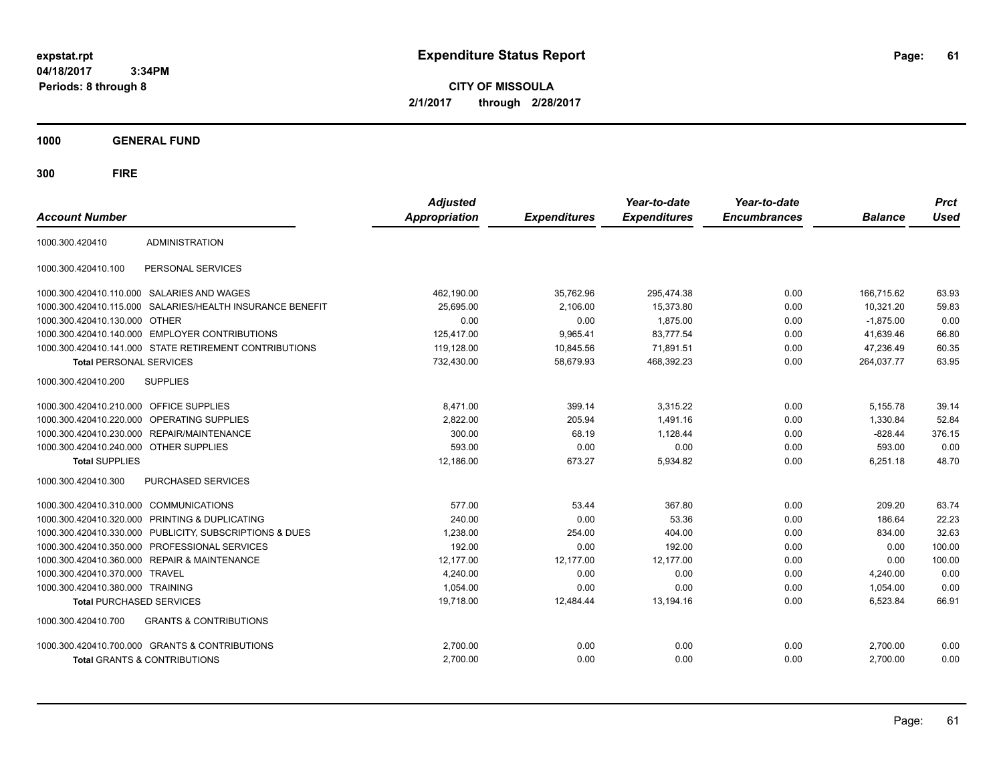**CITY OF MISSOULA 2/1/2017 through 2/28/2017**

**1000 GENERAL FUND**

|                                         |                                                        | <b>Adjusted</b>      |                     | Year-to-date        | Year-to-date        |                | <b>Prct</b> |
|-----------------------------------------|--------------------------------------------------------|----------------------|---------------------|---------------------|---------------------|----------------|-------------|
| <b>Account Number</b>                   |                                                        | <b>Appropriation</b> | <b>Expenditures</b> | <b>Expenditures</b> | <b>Encumbrances</b> | <b>Balance</b> | <b>Used</b> |
| 1000.300.420410                         | <b>ADMINISTRATION</b>                                  |                      |                     |                     |                     |                |             |
| 1000.300.420410.100                     | PERSONAL SERVICES                                      |                      |                     |                     |                     |                |             |
|                                         | 1000.300.420410.110.000 SALARIES AND WAGES             | 462,190.00           | 35,762.96           | 295,474.38          | 0.00                | 166,715.62     | 63.93       |
| 1000.300.420410.115.000                 | SALARIES/HEALTH INSURANCE BENEFIT                      | 25,695.00            | 2,106.00            | 15,373.80           | 0.00                | 10,321.20      | 59.83       |
| 1000.300.420410.130.000                 | <b>OTHER</b>                                           | 0.00                 | 0.00                | 1,875.00            | 0.00                | $-1,875.00$    | 0.00        |
| 1000.300.420410.140.000                 | <b>EMPLOYER CONTRIBUTIONS</b>                          | 125,417.00           | 9,965.41            | 83,777.54           | 0.00                | 41,639.46      | 66.80       |
|                                         | 1000.300.420410.141.000 STATE RETIREMENT CONTRIBUTIONS | 119,128.00           | 10,845.56           | 71,891.51           | 0.00                | 47,236.49      | 60.35       |
| <b>Total PERSONAL SERVICES</b>          |                                                        | 732,430.00           | 58,679.93           | 468,392.23          | 0.00                | 264,037.77     | 63.95       |
| 1000.300.420410.200                     | <b>SUPPLIES</b>                                        |                      |                     |                     |                     |                |             |
| 1000.300.420410.210.000 OFFICE SUPPLIES |                                                        | 8,471.00             | 399.14              | 3.315.22            | 0.00                | 5,155.78       | 39.14       |
| 1000.300.420410.220.000                 | OPERATING SUPPLIES                                     | 2.822.00             | 205.94              | 1.491.16            | 0.00                | 1.330.84       | 52.84       |
| 1000.300.420410.230.000                 | <b>REPAIR/MAINTENANCE</b>                              | 300.00               | 68.19               | 1,128.44            | 0.00                | $-828.44$      | 376.15      |
| 1000.300.420410.240.000 OTHER SUPPLIES  |                                                        | 593.00               | 0.00                | 0.00                | 0.00                | 593.00         | 0.00        |
| <b>Total SUPPLIES</b>                   |                                                        | 12,186.00            | 673.27              | 5,934.82            | 0.00                | 6,251.18       | 48.70       |
| 1000.300.420410.300                     | PURCHASED SERVICES                                     |                      |                     |                     |                     |                |             |
| 1000.300.420410.310.000                 | COMMUNICATIONS                                         | 577.00               | 53.44               | 367.80              | 0.00                | 209.20         | 63.74       |
| 1000.300.420410.320.000                 | PRINTING & DUPLICATING                                 | 240.00               | 0.00                | 53.36               | 0.00                | 186.64         | 22.23       |
| 1000.300.420410.330.000                 | PUBLICITY, SUBSCRIPTIONS & DUES                        | 1,238.00             | 254.00              | 404.00              | 0.00                | 834.00         | 32.63       |
| 1000.300.420410.350.000                 | PROFESSIONAL SERVICES                                  | 192.00               | 0.00                | 192.00              | 0.00                | 0.00           | 100.00      |
| 1000.300.420410.360.000                 | <b>REPAIR &amp; MAINTENANCE</b>                        | 12,177.00            | 12,177.00           | 12,177.00           | 0.00                | 0.00           | 100.00      |
| 1000.300.420410.370.000                 | <b>TRAVEL</b>                                          | 4,240.00             | 0.00                | 0.00                | 0.00                | 4,240.00       | 0.00        |
| 1000.300.420410.380.000 TRAINING        |                                                        | 1,054.00             | 0.00                | 0.00                | 0.00                | 1,054.00       | 0.00        |
| <b>Total PURCHASED SERVICES</b>         |                                                        | 19,718.00            | 12,484.44           | 13,194.16           | 0.00                | 6,523.84       | 66.91       |
| 1000.300.420410.700                     | <b>GRANTS &amp; CONTRIBUTIONS</b>                      |                      |                     |                     |                     |                |             |
|                                         | 1000.300.420410.700.000 GRANTS & CONTRIBUTIONS         | 2,700.00             | 0.00                | 0.00                | 0.00                | 2,700.00       | 0.00        |
|                                         | <b>Total GRANTS &amp; CONTRIBUTIONS</b>                | 2,700.00             | 0.00                | 0.00                | 0.00                | 2,700.00       | 0.00        |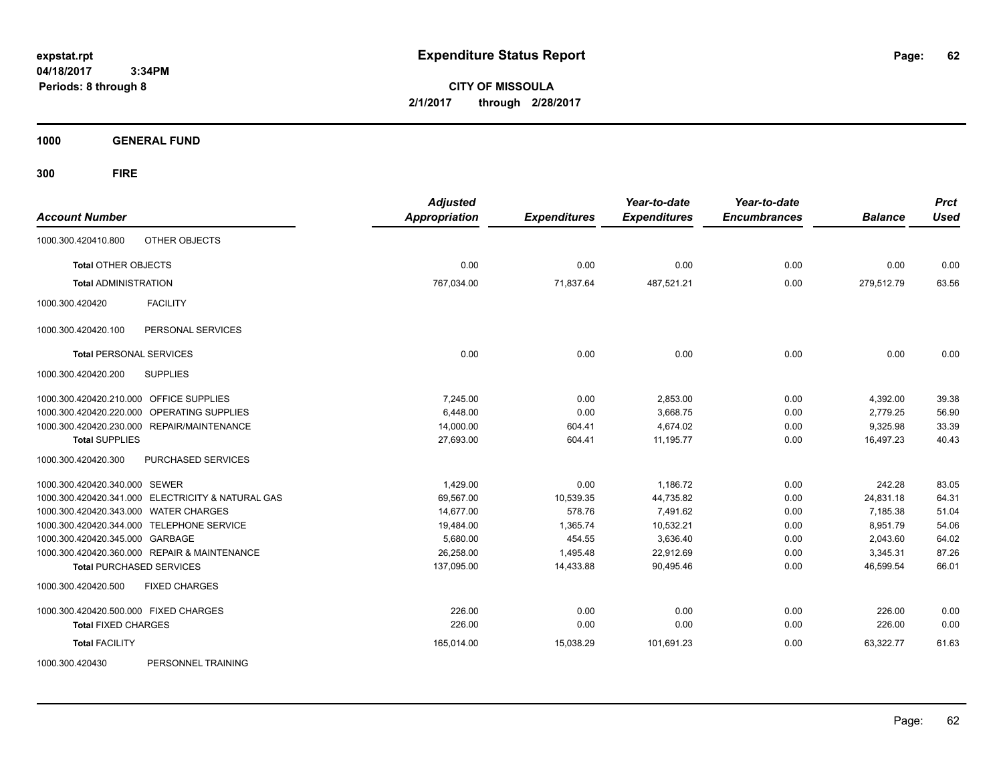**CITY OF MISSOULA 2/1/2017 through 2/28/2017**

**1000 GENERAL FUND**

**300 FIRE**

| <b>Account Number</b>                             | <b>Adjusted</b><br><b>Appropriation</b> | <b>Expenditures</b> | Year-to-date<br><b>Expenditures</b> | Year-to-date<br><b>Encumbrances</b> | <b>Balance</b> | <b>Prct</b><br><b>Used</b> |
|---------------------------------------------------|-----------------------------------------|---------------------|-------------------------------------|-------------------------------------|----------------|----------------------------|
| OTHER OBJECTS<br>1000.300.420410.800              |                                         |                     |                                     |                                     |                |                            |
| <b>Total OTHER OBJECTS</b>                        | 0.00                                    | 0.00                | 0.00                                | 0.00                                | 0.00           | 0.00                       |
| <b>Total ADMINISTRATION</b>                       | 767,034.00                              | 71,837.64           | 487,521.21                          | 0.00                                | 279,512.79     | 63.56                      |
| 1000.300.420420<br><b>FACILITY</b>                |                                         |                     |                                     |                                     |                |                            |
| PERSONAL SERVICES<br>1000.300.420420.100          |                                         |                     |                                     |                                     |                |                            |
| <b>Total PERSONAL SERVICES</b>                    | 0.00                                    | 0.00                | 0.00                                | 0.00                                | 0.00           | 0.00                       |
| <b>SUPPLIES</b><br>1000.300.420420.200            |                                         |                     |                                     |                                     |                |                            |
| 1000.300.420420.210.000 OFFICE SUPPLIES           | 7,245.00                                | 0.00                | 2,853.00                            | 0.00                                | 4,392.00       | 39.38                      |
| 1000.300.420420.220.000 OPERATING SUPPLIES        | 6,448.00                                | 0.00                | 3,668.75                            | 0.00                                | 2,779.25       | 56.90                      |
| 1000.300.420420.230.000 REPAIR/MAINTENANCE        | 14,000.00                               | 604.41              | 4,674.02                            | 0.00                                | 9,325.98       | 33.39                      |
| <b>Total SUPPLIES</b>                             | 27,693.00                               | 604.41              | 11,195.77                           | 0.00                                | 16,497.23      | 40.43                      |
| 1000.300.420420.300<br>PURCHASED SERVICES         |                                         |                     |                                     |                                     |                |                            |
| 1000.300.420420.340.000 SEWER                     | 1,429.00                                | 0.00                | 1,186.72                            | 0.00                                | 242.28         | 83.05                      |
| 1000.300.420420.341.000 ELECTRICITY & NATURAL GAS | 69,567.00                               | 10,539.35           | 44,735.82                           | 0.00                                | 24,831.18      | 64.31                      |
| 1000.300.420420.343.000 WATER CHARGES             | 14,677.00                               | 578.76              | 7,491.62                            | 0.00                                | 7,185.38       | 51.04                      |
| 1000.300.420420.344.000 TELEPHONE SERVICE         | 19,484.00                               | 1,365.74            | 10,532.21                           | 0.00                                | 8,951.79       | 54.06                      |
| 1000.300.420420.345.000 GARBAGE                   | 5,680.00                                | 454.55              | 3,636.40                            | 0.00                                | 2,043.60       | 64.02                      |
| 1000.300.420420.360.000 REPAIR & MAINTENANCE      | 26,258.00                               | 1,495.48            | 22,912.69                           | 0.00                                | 3,345.31       | 87.26                      |
| <b>Total PURCHASED SERVICES</b>                   | 137,095.00                              | 14,433.88           | 90,495.46                           | 0.00                                | 46,599.54      | 66.01                      |
| 1000.300.420420.500<br><b>FIXED CHARGES</b>       |                                         |                     |                                     |                                     |                |                            |
| 1000.300.420420.500.000 FIXED CHARGES             | 226.00                                  | 0.00                | 0.00                                | 0.00                                | 226.00         | 0.00                       |
| <b>Total FIXED CHARGES</b>                        | 226.00                                  | 0.00                | 0.00                                | 0.00                                | 226.00         | 0.00                       |
| <b>Total FACILITY</b>                             | 165,014.00                              | 15,038.29           | 101,691.23                          | 0.00                                | 63,322.77      | 61.63                      |
| PERSONNEL TRAINING<br>1000.300.420430             |                                         |                     |                                     |                                     |                |                            |

Page: 62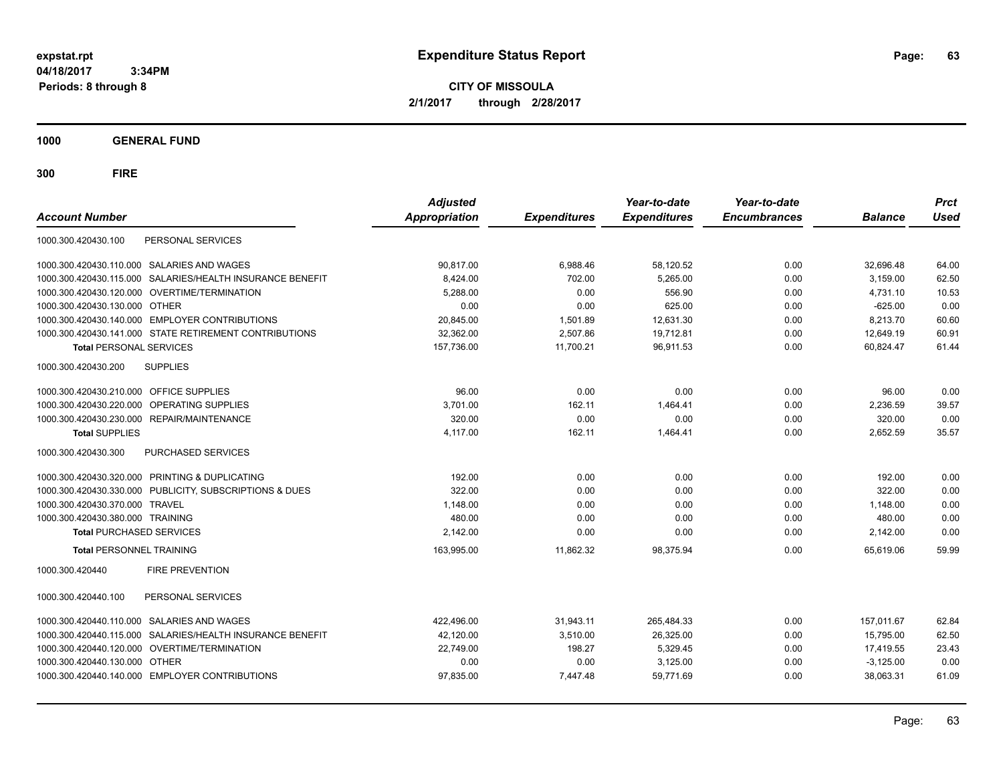**CITY OF MISSOULA 2/1/2017 through 2/28/2017**

**1000 GENERAL FUND**

| <b>Account Number</b>                                        | <b>Adjusted</b><br>Appropriation | <b>Expenditures</b> | Year-to-date<br><b>Expenditures</b> | Year-to-date<br><b>Encumbrances</b> | <b>Balance</b> | <b>Prct</b><br><b>Used</b> |
|--------------------------------------------------------------|----------------------------------|---------------------|-------------------------------------|-------------------------------------|----------------|----------------------------|
| 1000.300.420430.100<br>PERSONAL SERVICES                     |                                  |                     |                                     |                                     |                |                            |
| <b>SALARIES AND WAGES</b><br>1000.300.420430.110.000         | 90,817.00                        | 6,988.46            | 58,120.52                           | 0.00                                | 32,696.48      | 64.00                      |
| SALARIES/HEALTH INSURANCE BENEFIT<br>1000.300.420430.115.000 | 8,424.00                         | 702.00              | 5,265.00                            | 0.00                                | 3,159.00       | 62.50                      |
| 1000.300.420430.120.000 OVERTIME/TERMINATION                 | 5,288.00                         | 0.00                | 556.90                              | 0.00                                | 4,731.10       | 10.53                      |
| 1000.300.420430.130.000 OTHER                                | 0.00                             | 0.00                | 625.00                              | 0.00                                | $-625.00$      | 0.00                       |
| 1000.300.420430.140.000 EMPLOYER CONTRIBUTIONS               | 20,845.00                        | 1,501.89            | 12,631.30                           | 0.00                                | 8,213.70       | 60.60                      |
| 1000.300.420430.141.000 STATE RETIREMENT CONTRIBUTIONS       | 32,362.00                        | 2,507.86            | 19,712.81                           | 0.00                                | 12,649.19      | 60.91                      |
| <b>Total PERSONAL SERVICES</b>                               | 157,736.00                       | 11,700.21           | 96,911.53                           | 0.00                                | 60,824.47      | 61.44                      |
| <b>SUPPLIES</b><br>1000.300.420430.200                       |                                  |                     |                                     |                                     |                |                            |
| 1000.300.420430.210.000 OFFICE SUPPLIES                      | 96.00                            | 0.00                | 0.00                                | 0.00                                | 96.00          | 0.00                       |
| 1000.300.420430.220.000<br>OPERATING SUPPLIES                | 3,701.00                         | 162.11              | 1,464.41                            | 0.00                                | 2,236.59       | 39.57                      |
| 1000.300.420430.230.000 REPAIR/MAINTENANCE                   | 320.00                           | 0.00                | 0.00                                | 0.00                                | 320.00         | 0.00                       |
| <b>Total SUPPLIES</b>                                        | 4,117.00                         | 162.11              | 1,464.41                            | 0.00                                | 2,652.59       | 35.57                      |
| <b>PURCHASED SERVICES</b><br>1000.300.420430.300             |                                  |                     |                                     |                                     |                |                            |
| 1000.300.420430.320.000 PRINTING & DUPLICATING               | 192.00                           | 0.00                | 0.00                                | 0.00                                | 192.00         | 0.00                       |
| 1000.300.420430.330.000 PUBLICITY, SUBSCRIPTIONS & DUES      | 322.00                           | 0.00                | 0.00                                | 0.00                                | 322.00         | 0.00                       |
| 1000.300.420430.370.000 TRAVEL                               | 1,148.00                         | 0.00                | 0.00                                | 0.00                                | 1,148.00       | 0.00                       |
| 1000.300.420430.380.000 TRAINING                             | 480.00                           | 0.00                | 0.00                                | 0.00                                | 480.00         | 0.00                       |
| <b>Total PURCHASED SERVICES</b>                              | 2,142.00                         | 0.00                | 0.00                                | 0.00                                | 2,142.00       | 0.00                       |
| <b>Total PERSONNEL TRAINING</b>                              | 163,995.00                       | 11.862.32           | 98,375.94                           | 0.00                                | 65.619.06      | 59.99                      |
| 1000.300.420440<br><b>FIRE PREVENTION</b>                    |                                  |                     |                                     |                                     |                |                            |
| PERSONAL SERVICES<br>1000.300.420440.100                     |                                  |                     |                                     |                                     |                |                            |
| <b>SALARIES AND WAGES</b><br>1000.300.420440.110.000         | 422,496.00                       | 31,943.11           | 265,484.33                          | 0.00                                | 157,011.67     | 62.84                      |
| SALARIES/HEALTH INSURANCE BENEFIT<br>1000.300.420440.115.000 | 42,120.00                        | 3,510.00            | 26,325.00                           | 0.00                                | 15,795.00      | 62.50                      |
| OVERTIME/TERMINATION<br>1000.300.420440.120.000              | 22,749.00                        | 198.27              | 5,329.45                            | 0.00                                | 17,419.55      | 23.43                      |
| <b>OTHER</b><br>1000.300.420440.130.000                      | 0.00                             | 0.00                | 3,125.00                            | 0.00                                | $-3,125.00$    | 0.00                       |
| 1000.300.420440.140.000 EMPLOYER CONTRIBUTIONS               | 97,835.00                        | 7,447.48            | 59,771.69                           | 0.00                                | 38,063.31      | 61.09                      |
|                                                              |                                  |                     |                                     |                                     |                |                            |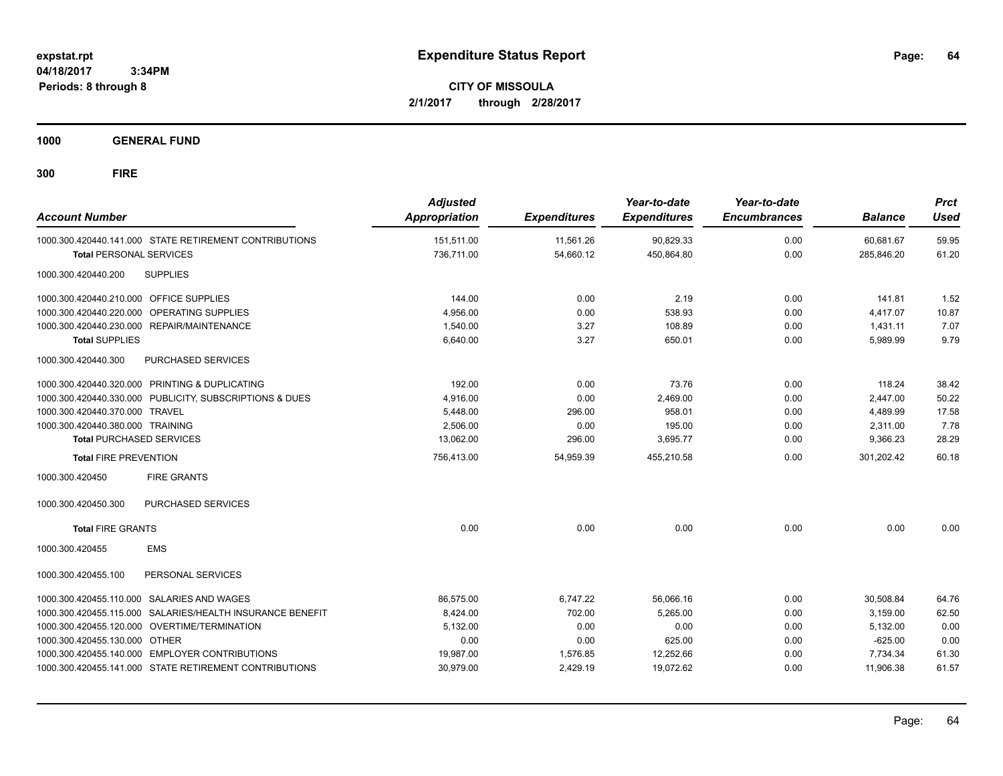**CITY OF MISSOULA 2/1/2017 through 2/28/2017**

**1000 GENERAL FUND**

| <b>Account Number</b>                   |                                                         | <b>Adjusted</b><br><b>Appropriation</b> | <b>Expenditures</b> | Year-to-date<br><b>Expenditures</b> | Year-to-date<br><b>Encumbrances</b> | <b>Balance</b> | <b>Prct</b><br><b>Used</b> |
|-----------------------------------------|---------------------------------------------------------|-----------------------------------------|---------------------|-------------------------------------|-------------------------------------|----------------|----------------------------|
|                                         | 1000.300.420440.141.000 STATE RETIREMENT CONTRIBUTIONS  | 151,511.00                              | 11,561.26           | 90,829.33                           | 0.00                                | 60,681.67      | 59.95                      |
| <b>Total PERSONAL SERVICES</b>          |                                                         | 736,711.00                              | 54,660.12           | 450,864.80                          | 0.00                                | 285,846.20     | 61.20                      |
| 1000.300.420440.200                     | <b>SUPPLIES</b>                                         |                                         |                     |                                     |                                     |                |                            |
| 1000.300.420440.210.000 OFFICE SUPPLIES |                                                         | 144.00                                  | 0.00                | 2.19                                | 0.00                                | 141.81         | 1.52                       |
| 1000.300.420440.220.000                 | OPERATING SUPPLIES                                      | 4,956.00                                | 0.00                | 538.93                              | 0.00                                | 4,417.07       | 10.87                      |
|                                         | 1000.300.420440.230.000 REPAIR/MAINTENANCE              | 1,540.00                                | 3.27                | 108.89                              | 0.00                                | 1,431.11       | 7.07                       |
| <b>Total SUPPLIES</b>                   |                                                         | 6,640.00                                | 3.27                | 650.01                              | 0.00                                | 5,989.99       | 9.79                       |
| 1000.300.420440.300                     | PURCHASED SERVICES                                      |                                         |                     |                                     |                                     |                |                            |
|                                         | 1000.300.420440.320.000 PRINTING & DUPLICATING          | 192.00                                  | 0.00                | 73.76                               | 0.00                                | 118.24         | 38.42                      |
|                                         | 1000.300.420440.330.000 PUBLICITY, SUBSCRIPTIONS & DUES | 4,916.00                                | 0.00                | 2,469.00                            | 0.00                                | 2,447.00       | 50.22                      |
| 1000.300.420440.370.000 TRAVEL          |                                                         | 5,448.00                                | 296.00              | 958.01                              | 0.00                                | 4,489.99       | 17.58                      |
| 1000.300.420440.380.000 TRAINING        |                                                         | 2.506.00                                | 0.00                | 195.00                              | 0.00                                | 2,311.00       | 7.78                       |
| <b>Total PURCHASED SERVICES</b>         |                                                         | 13.062.00                               | 296.00              | 3,695.77                            | 0.00                                | 9.366.23       | 28.29                      |
| <b>Total FIRE PREVENTION</b>            |                                                         | 756,413.00                              | 54,959.39           | 455,210.58                          | 0.00                                | 301,202.42     | 60.18                      |
| 1000.300.420450                         | <b>FIRE GRANTS</b>                                      |                                         |                     |                                     |                                     |                |                            |
| 1000.300.420450.300                     | PURCHASED SERVICES                                      |                                         |                     |                                     |                                     |                |                            |
| <b>Total FIRE GRANTS</b>                |                                                         | 0.00                                    | 0.00                | 0.00                                | 0.00                                | 0.00           | 0.00                       |
| 1000.300.420455                         | <b>EMS</b>                                              |                                         |                     |                                     |                                     |                |                            |
| 1000.300.420455.100                     | PERSONAL SERVICES                                       |                                         |                     |                                     |                                     |                |                            |
| 1000.300.420455.110.000                 | SALARIES AND WAGES                                      | 86,575.00                               | 6,747.22            | 56,066.16                           | 0.00                                | 30,508.84      | 64.76                      |
| 1000.300.420455.115.000                 | SALARIES/HEALTH INSURANCE BENEFIT                       | 8,424.00                                | 702.00              | 5,265.00                            | 0.00                                | 3.159.00       | 62.50                      |
|                                         | 1000.300.420455.120.000 OVERTIME/TERMINATION            | 5,132.00                                | 0.00                | 0.00                                | 0.00                                | 5,132.00       | 0.00                       |
| 1000.300.420455.130.000 OTHER           |                                                         | 0.00                                    | 0.00                | 625.00                              | 0.00                                | $-625.00$      | 0.00                       |
|                                         | 1000.300.420455.140.000 EMPLOYER CONTRIBUTIONS          | 19,987.00                               | 1,576.85            | 12,252.66                           | 0.00                                | 7,734.34       | 61.30                      |
|                                         | 1000.300.420455.141.000 STATE RETIREMENT CONTRIBUTIONS  | 30,979.00                               | 2,429.19            | 19.072.62                           | 0.00                                | 11.906.38      | 61.57                      |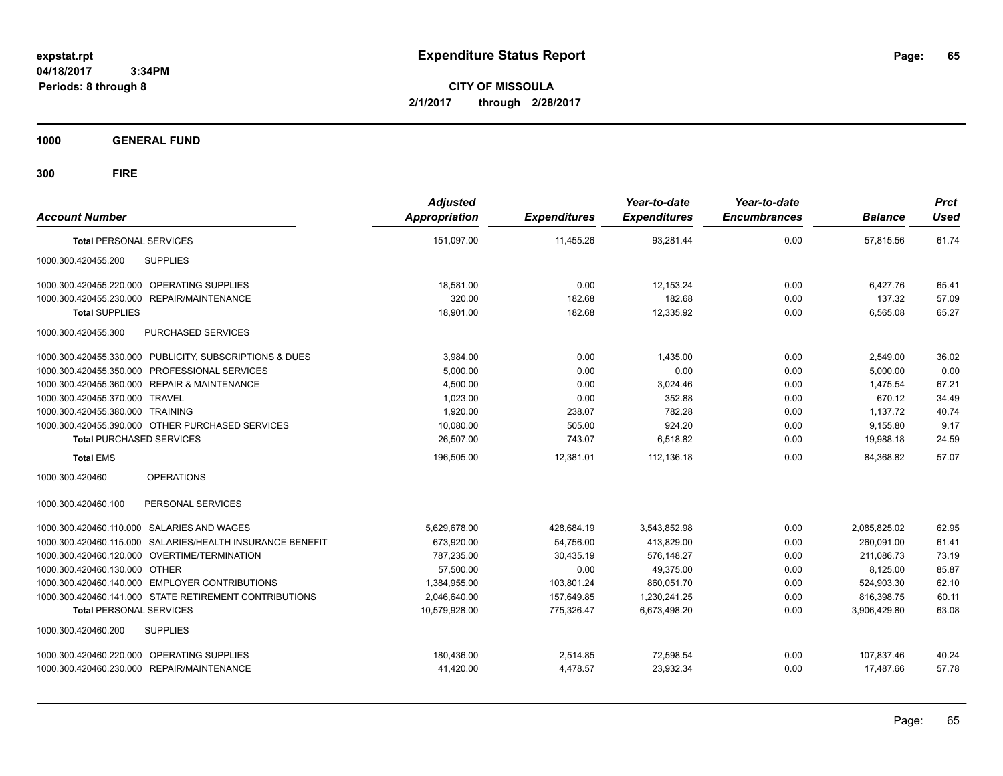**CITY OF MISSOULA 2/1/2017 through 2/28/2017**

**1000 GENERAL FUND**

| <b>Account Number</b>                                     | <b>Adjusted</b><br>Appropriation | <b>Expenditures</b> | Year-to-date<br><b>Expenditures</b> | Year-to-date<br><b>Encumbrances</b> | <b>Balance</b> | <b>Prct</b><br><b>Used</b> |
|-----------------------------------------------------------|----------------------------------|---------------------|-------------------------------------|-------------------------------------|----------------|----------------------------|
| <b>Total PERSONAL SERVICES</b>                            | 151,097.00                       | 11,455.26           | 93,281.44                           | 0.00                                | 57,815.56      | 61.74                      |
| 1000.300.420455.200<br><b>SUPPLIES</b>                    |                                  |                     |                                     |                                     |                |                            |
| 1000.300.420455.220.000 OPERATING SUPPLIES                | 18.581.00                        | 0.00                | 12.153.24                           | 0.00                                | 6.427.76       | 65.41                      |
| 1000.300.420455.230.000<br>REPAIR/MAINTENANCE             | 320.00                           | 182.68              | 182.68                              | 0.00                                | 137.32         | 57.09                      |
| <b>Total SUPPLIES</b>                                     | 18,901.00                        | 182.68              | 12,335.92                           | 0.00                                | 6,565.08       | 65.27                      |
| PURCHASED SERVICES<br>1000.300.420455.300                 |                                  |                     |                                     |                                     |                |                            |
| 1000.300.420455.330.000 PUBLICITY, SUBSCRIPTIONS & DUES   | 3,984.00                         | 0.00                | 1.435.00                            | 0.00                                | 2,549.00       | 36.02                      |
| 1000.300.420455.350.000 PROFESSIONAL SERVICES             | 5,000.00                         | 0.00                | 0.00                                | 0.00                                | 5,000.00       | 0.00                       |
| 1000.300.420455.360.000 REPAIR & MAINTENANCE              | 4,500.00                         | 0.00                | 3,024.46                            | 0.00                                | 1,475.54       | 67.21                      |
| 1000.300.420455.370.000 TRAVEL                            | 1,023.00                         | 0.00                | 352.88                              | 0.00                                | 670.12         | 34.49                      |
| 1000.300.420455.380.000 TRAINING                          | 1,920.00                         | 238.07              | 782.28                              | 0.00                                | 1,137.72       | 40.74                      |
| 1000.300.420455.390.000 OTHER PURCHASED SERVICES          | 10,080.00                        | 505.00              | 924.20                              | 0.00                                | 9,155.80       | 9.17                       |
| <b>Total PURCHASED SERVICES</b>                           | 26,507.00                        | 743.07              | 6,518.82                            | 0.00                                | 19,988.18      | 24.59                      |
| <b>Total EMS</b>                                          | 196.505.00                       | 12,381.01           | 112.136.18                          | 0.00                                | 84.368.82      | 57.07                      |
| 1000.300.420460<br><b>OPERATIONS</b>                      |                                  |                     |                                     |                                     |                |                            |
| PERSONAL SERVICES<br>1000.300.420460.100                  |                                  |                     |                                     |                                     |                |                            |
| 1000.300.420460.110.000 SALARIES AND WAGES                | 5,629,678.00                     | 428,684.19          | 3,543,852.98                        | 0.00                                | 2,085,825.02   | 62.95                      |
| 1000.300.420460.115.000 SALARIES/HEALTH INSURANCE BENEFIT | 673,920.00                       | 54,756.00           | 413,829.00                          | 0.00                                | 260,091.00     | 61.41                      |
| 1000.300.420460.120.000 OVERTIME/TERMINATION              | 787,235.00                       | 30.435.19           | 576.148.27                          | 0.00                                | 211.086.73     | 73.19                      |
| 1000.300.420460.130.000 OTHER                             | 57,500.00                        | 0.00                | 49,375.00                           | 0.00                                | 8,125.00       | 85.87                      |
| 1000.300.420460.140.000 EMPLOYER CONTRIBUTIONS            | 1,384,955.00                     | 103,801.24          | 860.051.70                          | 0.00                                | 524,903.30     | 62.10                      |
| 1000.300.420460.141.000 STATE RETIREMENT CONTRIBUTIONS    | 2,046,640.00                     | 157,649.85          | 1,230,241.25                        | 0.00                                | 816,398.75     | 60.11                      |
| <b>Total PERSONAL SERVICES</b>                            | 10,579,928.00                    | 775.326.47          | 6,673,498.20                        | 0.00                                | 3,906,429.80   | 63.08                      |
| 1000.300.420460.200<br><b>SUPPLIES</b>                    |                                  |                     |                                     |                                     |                |                            |
| 1000.300.420460.220.000 OPERATING SUPPLIES                | 180,436.00                       | 2,514.85            | 72,598.54                           | 0.00                                | 107,837.46     | 40.24                      |
| 1000.300.420460.230.000 REPAIR/MAINTENANCE                | 41,420.00                        | 4,478.57            | 23,932.34                           | 0.00                                | 17,487.66      | 57.78                      |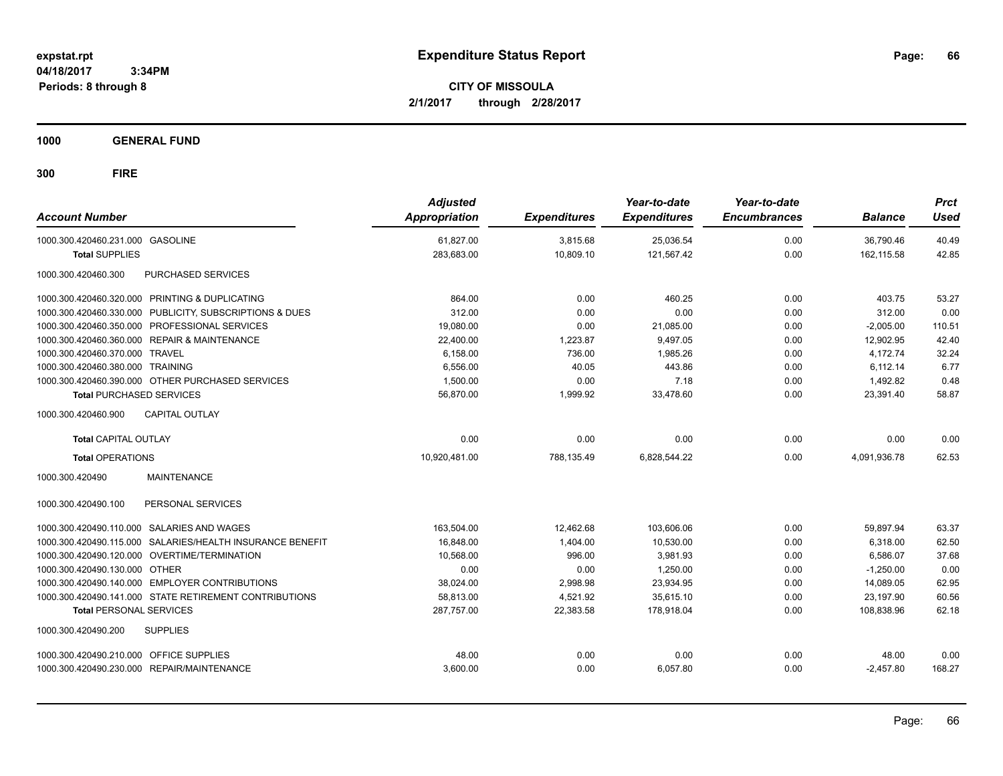**CITY OF MISSOULA 2/1/2017 through 2/28/2017**

**1000 GENERAL FUND**

| <b>Account Number</b>                                     | <b>Adjusted</b><br><b>Appropriation</b> | <b>Expenditures</b> | Year-to-date<br><b>Expenditures</b> | Year-to-date<br><b>Encumbrances</b> | <b>Balance</b> | <b>Prct</b><br><b>Used</b> |
|-----------------------------------------------------------|-----------------------------------------|---------------------|-------------------------------------|-------------------------------------|----------------|----------------------------|
| 1000.300.420460.231.000 GASOLINE                          | 61,827.00                               | 3,815.68            | 25,036.54                           | 0.00                                | 36,790.46      | 40.49                      |
| <b>Total SUPPLIES</b>                                     | 283,683.00                              | 10,809.10           | 121,567.42                          | 0.00                                | 162,115.58     | 42.85                      |
| 1000.300.420460.300<br><b>PURCHASED SERVICES</b>          |                                         |                     |                                     |                                     |                |                            |
| 1000.300.420460.320.000 PRINTING & DUPLICATING            | 864.00                                  | 0.00                | 460.25                              | 0.00                                | 403.75         | 53.27                      |
| 1000.300.420460.330.000 PUBLICITY, SUBSCRIPTIONS & DUES   | 312.00                                  | 0.00                | 0.00                                | 0.00                                | 312.00         | 0.00                       |
| 1000.300.420460.350.000 PROFESSIONAL SERVICES             | 19,080.00                               | 0.00                | 21,085.00                           | 0.00                                | $-2,005.00$    | 110.51                     |
| 1000.300.420460.360.000 REPAIR & MAINTENANCE              | 22,400.00                               | 1,223.87            | 9,497.05                            | 0.00                                | 12,902.95      | 42.40                      |
| 1000.300.420460.370.000 TRAVEL                            | 6,158.00                                | 736.00              | 1,985.26                            | 0.00                                | 4.172.74       | 32.24                      |
| 1000.300.420460.380.000 TRAINING                          | 6.556.00                                | 40.05               | 443.86                              | 0.00                                | 6.112.14       | 6.77                       |
| 1000.300.420460.390.000 OTHER PURCHASED SERVICES          | 1.500.00                                | 0.00                | 7.18                                | 0.00                                | 1.492.82       | 0.48                       |
| <b>Total PURCHASED SERVICES</b>                           | 56,870.00                               | 1,999.92            | 33,478.60                           | 0.00                                | 23,391.40      | 58.87                      |
| <b>CAPITAL OUTLAY</b><br>1000.300.420460.900              |                                         |                     |                                     |                                     |                |                            |
| <b>Total CAPITAL OUTLAY</b>                               | 0.00                                    | 0.00                | 0.00                                | 0.00                                | 0.00           | 0.00                       |
| <b>Total OPERATIONS</b>                                   | 10,920,481.00                           | 788,135.49          | 6,828,544.22                        | 0.00                                | 4,091,936.78   | 62.53                      |
| 1000.300.420490<br><b>MAINTENANCE</b>                     |                                         |                     |                                     |                                     |                |                            |
| PERSONAL SERVICES<br>1000.300.420490.100                  |                                         |                     |                                     |                                     |                |                            |
| 1000.300.420490.110.000 SALARIES AND WAGES                | 163,504.00                              | 12,462.68           | 103,606.06                          | 0.00                                | 59,897.94      | 63.37                      |
| 1000.300.420490.115.000 SALARIES/HEALTH INSURANCE BENEFIT | 16,848.00                               | 1,404.00            | 10,530.00                           | 0.00                                | 6,318.00       | 62.50                      |
| 1000.300.420490.120.000 OVERTIME/TERMINATION              | 10.568.00                               | 996.00              | 3,981.93                            | 0.00                                | 6.586.07       | 37.68                      |
| 1000.300.420490.130.000 OTHER                             | 0.00                                    | 0.00                | 1,250.00                            | 0.00                                | $-1,250.00$    | 0.00                       |
| 1000.300.420490.140.000 EMPLOYER CONTRIBUTIONS            | 38,024.00                               | 2,998.98            | 23,934.95                           | 0.00                                | 14,089.05      | 62.95                      |
| 1000.300.420490.141.000 STATE RETIREMENT CONTRIBUTIONS    | 58,813.00                               | 4,521.92            | 35,615.10                           | 0.00                                | 23,197.90      | 60.56                      |
| <b>Total PERSONAL SERVICES</b>                            | 287.757.00                              | 22.383.58           | 178.918.04                          | 0.00                                | 108.838.96     | 62.18                      |
| 1000.300.420490.200<br><b>SUPPLIES</b>                    |                                         |                     |                                     |                                     |                |                            |
| 1000.300.420490.210.000 OFFICE SUPPLIES                   | 48.00                                   | 0.00                | 0.00                                | 0.00                                | 48.00          | 0.00                       |
| 1000.300.420490.230.000 REPAIR/MAINTENANCE                | 3,600.00                                | 0.00                | 6,057.80                            | 0.00                                | $-2,457.80$    | 168.27                     |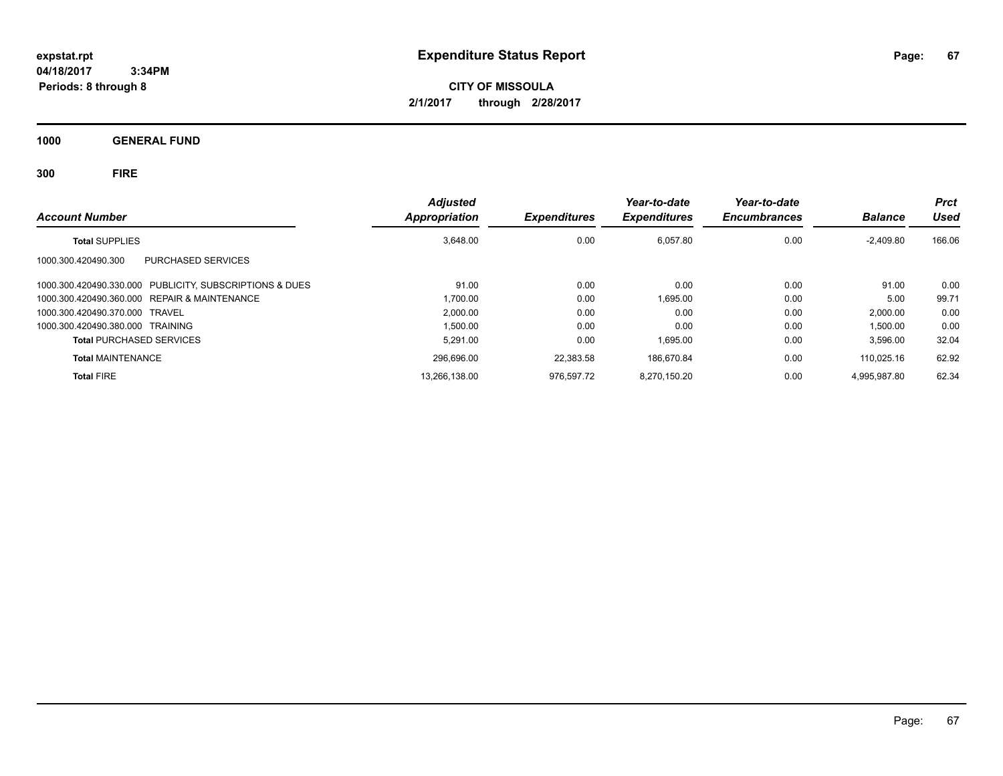**CITY OF MISSOULA 2/1/2017 through 2/28/2017**

**1000 GENERAL FUND**

| <b>Account Number</b>                                   | <b>Adjusted</b><br><b>Appropriation</b> | <b>Expenditures</b> | Year-to-date<br><b>Expenditures</b> | Year-to-date<br><b>Encumbrances</b> | <b>Balance</b> | <b>Prct</b><br>Used |
|---------------------------------------------------------|-----------------------------------------|---------------------|-------------------------------------|-------------------------------------|----------------|---------------------|
| <b>Total SUPPLIES</b>                                   | 3.648.00                                | 0.00                | 6.057.80                            | 0.00                                | $-2,409.80$    | 166.06              |
| PURCHASED SERVICES<br>1000.300.420490.300               |                                         |                     |                                     |                                     |                |                     |
| 1000.300.420490.330.000 PUBLICITY, SUBSCRIPTIONS & DUES | 91.00                                   | 0.00                | 0.00                                | 0.00                                | 91.00          | 0.00                |
| 1000.300.420490.360.000 REPAIR & MAINTENANCE            | 1,700.00                                | 0.00                | 1.695.00                            | 0.00                                | 5.00           | 99.71               |
| 1000.300.420490.370.000 TRAVEL                          | 2.000.00                                | 0.00                | 0.00                                | 0.00                                | 2.000.00       | 0.00                |
| 1000.300.420490.380.000 TRAINING                        | 1.500.00                                | 0.00                | 0.00                                | 0.00                                | 1,500.00       | 0.00                |
| <b>Total PURCHASED SERVICES</b>                         | 5.291.00                                | 0.00                | 1.695.00                            | 0.00                                | 3.596.00       | 32.04               |
| <b>Total MAINTENANCE</b>                                | 296.696.00                              | 22.383.58           | 186.670.84                          | 0.00                                | 110.025.16     | 62.92               |
| <b>Total FIRE</b>                                       | 13,266,138.00                           | 976.597.72          | 8.270.150.20                        | 0.00                                | 4.995.987.80   | 62.34               |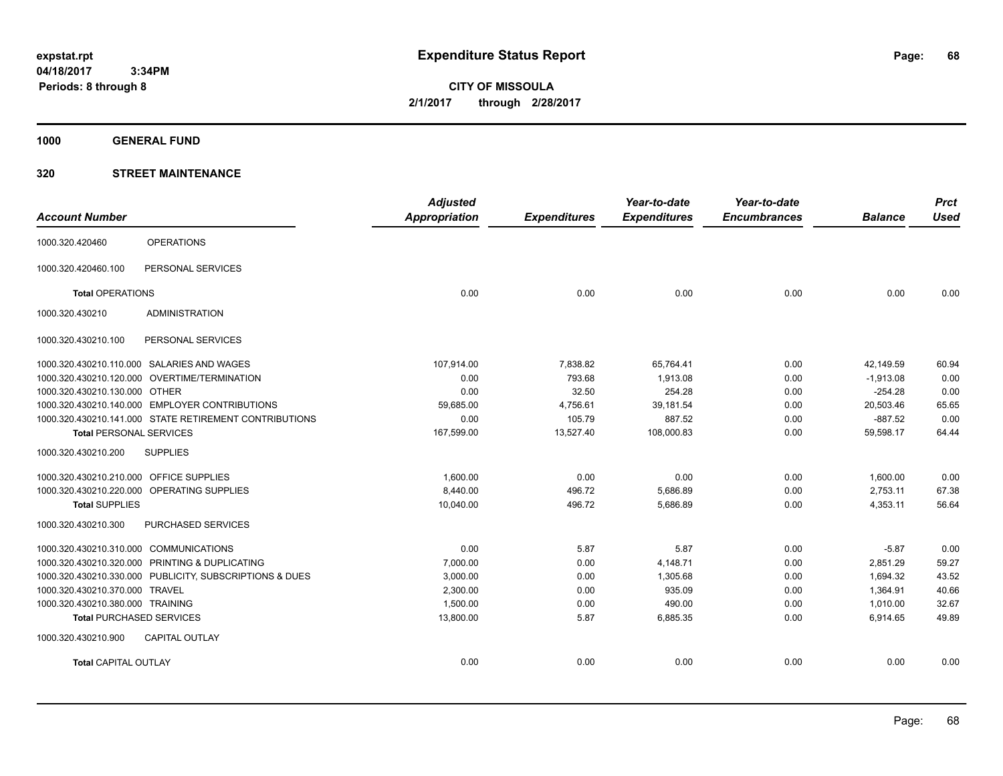**CITY OF MISSOULA 2/1/2017 through 2/28/2017**

**1000 GENERAL FUND**

### **320 STREET MAINTENANCE**

| <b>Account Number</b>                                   | <b>Adjusted</b><br><b>Appropriation</b> | <b>Expenditures</b> | Year-to-date<br><b>Expenditures</b> | Year-to-date<br><b>Encumbrances</b> | <b>Balance</b> | <b>Prct</b><br><b>Used</b> |
|---------------------------------------------------------|-----------------------------------------|---------------------|-------------------------------------|-------------------------------------|----------------|----------------------------|
|                                                         |                                         |                     |                                     |                                     |                |                            |
| <b>OPERATIONS</b><br>1000.320.420460                    |                                         |                     |                                     |                                     |                |                            |
| PERSONAL SERVICES<br>1000.320.420460.100                |                                         |                     |                                     |                                     |                |                            |
| <b>Total OPERATIONS</b>                                 | 0.00                                    | 0.00                | 0.00                                | 0.00                                | 0.00           | 0.00                       |
| 1000.320.430210<br><b>ADMINISTRATION</b>                |                                         |                     |                                     |                                     |                |                            |
| PERSONAL SERVICES<br>1000.320.430210.100                |                                         |                     |                                     |                                     |                |                            |
| 1000.320.430210.110.000 SALARIES AND WAGES              | 107,914.00                              | 7,838.82            | 65,764.41                           | 0.00                                | 42,149.59      | 60.94                      |
| 1000.320.430210.120.000 OVERTIME/TERMINATION            | 0.00                                    | 793.68              | 1,913.08                            | 0.00                                | $-1,913.08$    | 0.00                       |
| 1000.320.430210.130.000 OTHER                           | 0.00                                    | 32.50               | 254.28                              | 0.00                                | $-254.28$      | 0.00                       |
| 1000.320.430210.140.000 EMPLOYER CONTRIBUTIONS          | 59.685.00                               | 4,756.61            | 39,181.54                           | 0.00                                | 20.503.46      | 65.65                      |
| 1000.320.430210.141.000 STATE RETIREMENT CONTRIBUTIONS  | 0.00                                    | 105.79              | 887.52                              | 0.00                                | $-887.52$      | 0.00                       |
| <b>Total PERSONAL SERVICES</b>                          | 167,599.00                              | 13,527.40           | 108,000.83                          | 0.00                                | 59,598.17      | 64.44                      |
| 1000.320.430210.200<br><b>SUPPLIES</b>                  |                                         |                     |                                     |                                     |                |                            |
| 1000.320.430210.210.000 OFFICE SUPPLIES                 | 1.600.00                                | 0.00                | 0.00                                | 0.00                                | 1,600.00       | 0.00                       |
| 1000.320.430210.220.000 OPERATING SUPPLIES              | 8,440.00                                | 496.72              | 5,686.89                            | 0.00                                | 2,753.11       | 67.38                      |
| <b>Total SUPPLIES</b>                                   | 10,040.00                               | 496.72              | 5,686.89                            | 0.00                                | 4,353.11       | 56.64                      |
| PURCHASED SERVICES<br>1000.320.430210.300               |                                         |                     |                                     |                                     |                |                            |
| 1000.320.430210.310.000 COMMUNICATIONS                  | 0.00                                    | 5.87                | 5.87                                | 0.00                                | $-5.87$        | 0.00                       |
| 1000.320.430210.320.000 PRINTING & DUPLICATING          | 7,000.00                                | 0.00                | 4,148.71                            | 0.00                                | 2,851.29       | 59.27                      |
| 1000.320.430210.330.000 PUBLICITY, SUBSCRIPTIONS & DUES | 3,000.00                                | 0.00                | 1,305.68                            | 0.00                                | 1,694.32       | 43.52                      |
| 1000.320.430210.370.000 TRAVEL                          | 2,300.00                                | 0.00                | 935.09                              | 0.00                                | 1,364.91       | 40.66                      |
| 1000.320.430210.380.000 TRAINING                        | 1,500.00                                | 0.00                | 490.00                              | 0.00                                | 1,010.00       | 32.67                      |
| <b>Total PURCHASED SERVICES</b>                         | 13,800.00                               | 5.87                | 6,885.35                            | 0.00                                | 6,914.65       | 49.89                      |
| CAPITAL OUTLAY<br>1000.320.430210.900                   |                                         |                     |                                     |                                     |                |                            |
| <b>Total CAPITAL OUTLAY</b>                             | 0.00                                    | 0.00                | 0.00                                | 0.00                                | 0.00           | 0.00                       |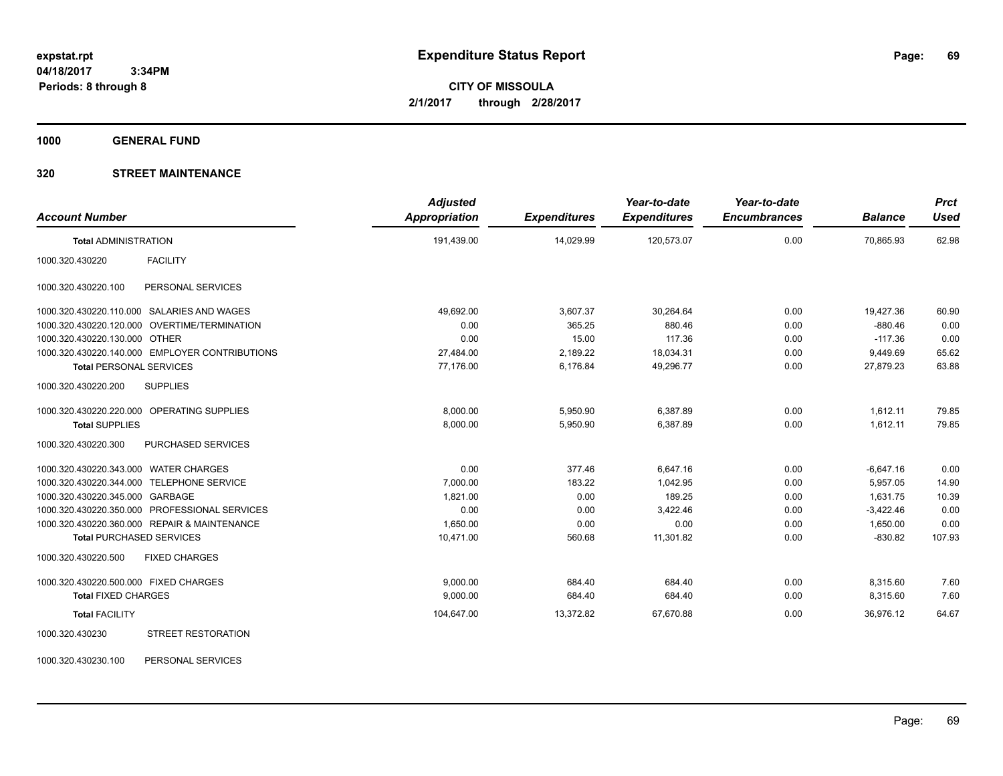**CITY OF MISSOULA 2/1/2017 through 2/28/2017**

**1000 GENERAL FUND**

### **320 STREET MAINTENANCE**

| <b>Account Number</b>                         |                                                | <b>Adjusted</b><br>Appropriation | <b>Expenditures</b> | Year-to-date<br><b>Expenditures</b> | Year-to-date<br><b>Encumbrances</b> | <b>Balance</b> | <b>Prct</b><br><b>Used</b> |
|-----------------------------------------------|------------------------------------------------|----------------------------------|---------------------|-------------------------------------|-------------------------------------|----------------|----------------------------|
| <b>Total ADMINISTRATION</b>                   |                                                | 191,439.00                       | 14,029.99           | 120,573.07                          | 0.00                                | 70,865.93      | 62.98                      |
| 1000.320.430220                               | <b>FACILITY</b>                                |                                  |                     |                                     |                                     |                |                            |
| 1000.320.430220.100                           | PERSONAL SERVICES                              |                                  |                     |                                     |                                     |                |                            |
| 1000.320.430220.110.000 SALARIES AND WAGES    |                                                | 49,692.00                        | 3,607.37            | 30,264.64                           | 0.00                                | 19,427.36      | 60.90                      |
| 1000.320.430220.120.000 OVERTIME/TERMINATION  |                                                | 0.00                             | 365.25              | 880.46                              | 0.00                                | $-880.46$      | 0.00                       |
| 1000.320.430220.130.000 OTHER                 |                                                | 0.00                             | 15.00               | 117.36                              | 0.00                                | $-117.36$      | 0.00                       |
|                                               | 1000.320.430220.140.000 EMPLOYER CONTRIBUTIONS | 27,484.00                        | 2,189.22            | 18,034.31                           | 0.00                                | 9,449.69       | 65.62                      |
| <b>Total PERSONAL SERVICES</b>                |                                                | 77,176.00                        | 6,176.84            | 49,296.77                           | 0.00                                | 27,879.23      | 63.88                      |
| 1000.320.430220.200                           | <b>SUPPLIES</b>                                |                                  |                     |                                     |                                     |                |                            |
| 1000.320.430220.220.000 OPERATING SUPPLIES    |                                                | 8,000.00                         | 5,950.90            | 6,387.89                            | 0.00                                | 1,612.11       | 79.85                      |
| <b>Total SUPPLIES</b>                         |                                                | 8.000.00                         | 5,950.90            | 6.387.89                            | 0.00                                | 1.612.11       | 79.85                      |
| 1000.320.430220.300                           | PURCHASED SERVICES                             |                                  |                     |                                     |                                     |                |                            |
| 1000.320.430220.343.000 WATER CHARGES         |                                                | 0.00                             | 377.46              | 6.647.16                            | 0.00                                | $-6.647.16$    | 0.00                       |
| 1000.320.430220.344.000 TELEPHONE SERVICE     |                                                | 7,000.00                         | 183.22              | 1,042.95                            | 0.00                                | 5,957.05       | 14.90                      |
| 1000.320.430220.345.000 GARBAGE               |                                                | 1,821.00                         | 0.00                | 189.25                              | 0.00                                | 1,631.75       | 10.39                      |
| 1000.320.430220.350.000 PROFESSIONAL SERVICES |                                                | 0.00                             | 0.00                | 3,422.46                            | 0.00                                | $-3,422.46$    | 0.00                       |
| 1000.320.430220.360.000 REPAIR & MAINTENANCE  |                                                | 1,650.00                         | 0.00                | 0.00                                | 0.00                                | 1,650.00       | 0.00                       |
| <b>Total PURCHASED SERVICES</b>               |                                                | 10,471.00                        | 560.68              | 11,301.82                           | 0.00                                | $-830.82$      | 107.93                     |
| 1000.320.430220.500                           | <b>FIXED CHARGES</b>                           |                                  |                     |                                     |                                     |                |                            |
| 1000.320.430220.500.000 FIXED CHARGES         |                                                | 9.000.00                         | 684.40              | 684.40                              | 0.00                                | 8,315.60       | 7.60                       |
| <b>Total FIXED CHARGES</b>                    |                                                | 9,000.00                         | 684.40              | 684.40                              | 0.00                                | 8,315.60       | 7.60                       |
| <b>Total FACILITY</b>                         |                                                | 104,647.00                       | 13,372.82           | 67,670.88                           | 0.00                                | 36,976.12      | 64.67                      |
| 1000.320.430230                               | <b>STREET RESTORATION</b>                      |                                  |                     |                                     |                                     |                |                            |

1000.320.430230.100 PERSONAL SERVICES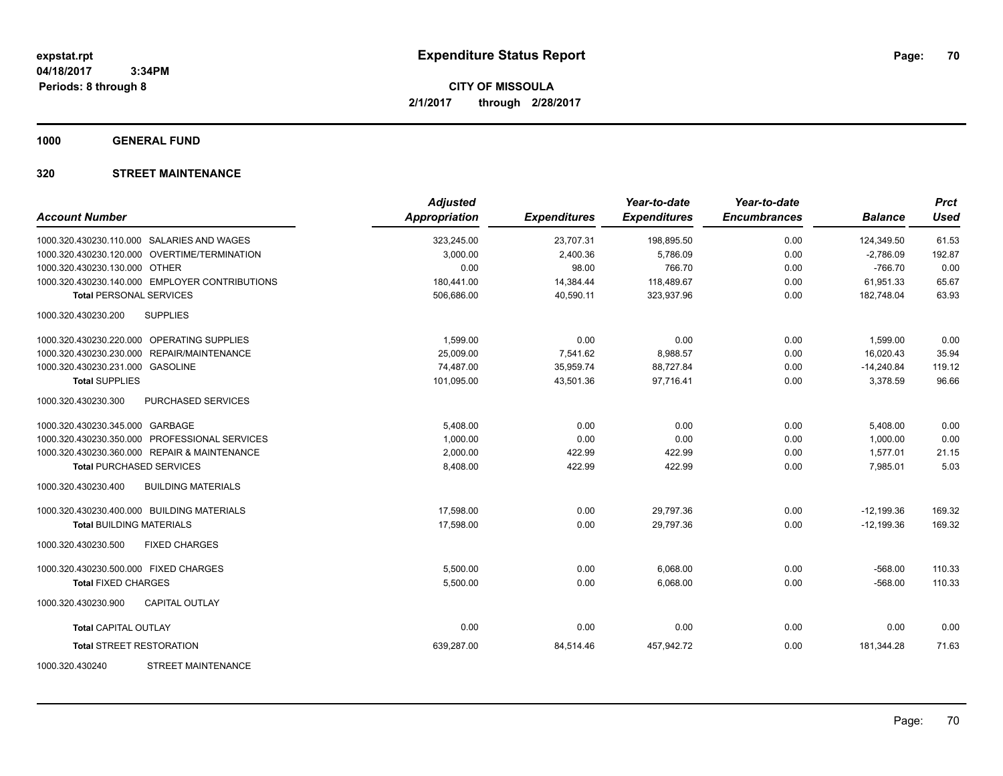**CITY OF MISSOULA 2/1/2017 through 2/28/2017**

**1000 GENERAL FUND**

### **320 STREET MAINTENANCE**

| <b>Account Number</b>                            | <b>Adjusted</b><br><b>Appropriation</b> | <b>Expenditures</b> | Year-to-date<br><b>Expenditures</b> | Year-to-date<br><b>Encumbrances</b> | <b>Balance</b> | <b>Prct</b><br><b>Used</b> |
|--------------------------------------------------|-----------------------------------------|---------------------|-------------------------------------|-------------------------------------|----------------|----------------------------|
| 1000.320.430230.110.000 SALARIES AND WAGES       | 323,245.00                              | 23,707.31           | 198,895.50                          | 0.00                                | 124,349.50     | 61.53                      |
| 1000.320.430230.120.000 OVERTIME/TERMINATION     | 3,000.00                                | 2,400.36            | 5,786.09                            | 0.00                                | $-2,786.09$    | 192.87                     |
| 1000.320.430230.130.000 OTHER                    | 0.00                                    | 98.00               | 766.70                              | 0.00                                | $-766.70$      | 0.00                       |
| 1000.320.430230.140.000 EMPLOYER CONTRIBUTIONS   | 180,441.00                              | 14,384.44           | 118,489.67                          | 0.00                                | 61,951.33      | 65.67                      |
| <b>Total PERSONAL SERVICES</b>                   | 506,686.00                              | 40,590.11           | 323,937.96                          | 0.00                                | 182,748.04     | 63.93                      |
| 1000.320.430230.200<br><b>SUPPLIES</b>           |                                         |                     |                                     |                                     |                |                            |
| 1000.320.430230.220.000 OPERATING SUPPLIES       | 1,599.00                                | 0.00                | 0.00                                | 0.00                                | 1,599.00       | 0.00                       |
| 1000.320.430230.230.000 REPAIR/MAINTENANCE       | 25,009.00                               | 7,541.62            | 8,988.57                            | 0.00                                | 16,020.43      | 35.94                      |
| 1000.320.430230.231.000 GASOLINE                 | 74,487.00                               | 35,959.74           | 88,727.84                           | 0.00                                | $-14,240.84$   | 119.12                     |
| <b>Total SUPPLIES</b>                            | 101,095.00                              | 43,501.36           | 97,716.41                           | 0.00                                | 3,378.59       | 96.66                      |
| 1000.320.430230.300<br>PURCHASED SERVICES        |                                         |                     |                                     |                                     |                |                            |
| 1000.320.430230.345.000 GARBAGE                  | 5,408.00                                | 0.00                | 0.00                                | 0.00                                | 5,408.00       | 0.00                       |
| 1000.320.430230.350.000 PROFESSIONAL SERVICES    | 1,000.00                                | 0.00                | 0.00                                | 0.00                                | 1,000.00       | 0.00                       |
| 1000.320.430230.360.000 REPAIR & MAINTENANCE     | 2,000.00                                | 422.99              | 422.99                              | 0.00                                | 1,577.01       | 21.15                      |
| <b>Total PURCHASED SERVICES</b>                  | 8,408.00                                | 422.99              | 422.99                              | 0.00                                | 7,985.01       | 5.03                       |
| <b>BUILDING MATERIALS</b><br>1000.320.430230.400 |                                         |                     |                                     |                                     |                |                            |
| 1000.320.430230.400.000 BUILDING MATERIALS       | 17.598.00                               | 0.00                | 29,797.36                           | 0.00                                | $-12,199.36$   | 169.32                     |
| <b>Total BUILDING MATERIALS</b>                  | 17.598.00                               | 0.00                | 29.797.36                           | 0.00                                | $-12.199.36$   | 169.32                     |
| 1000.320.430230.500<br><b>FIXED CHARGES</b>      |                                         |                     |                                     |                                     |                |                            |
| 1000.320.430230.500.000 FIXED CHARGES            | 5,500.00                                | 0.00                | 6,068.00                            | 0.00                                | $-568.00$      | 110.33                     |
| <b>Total FIXED CHARGES</b>                       | 5,500.00                                | 0.00                | 6,068.00                            | 0.00                                | $-568.00$      | 110.33                     |
| <b>CAPITAL OUTLAY</b><br>1000.320.430230.900     |                                         |                     |                                     |                                     |                |                            |
| <b>Total CAPITAL OUTLAY</b>                      | 0.00                                    | 0.00                | 0.00                                | 0.00                                | 0.00           | 0.00                       |
| <b>Total STREET RESTORATION</b>                  | 639,287.00                              | 84,514.46           | 457,942.72                          | 0.00                                | 181,344.28     | 71.63                      |
| <b>STREET MAINTENANCE</b><br>1000.320.430240     |                                         |                     |                                     |                                     |                |                            |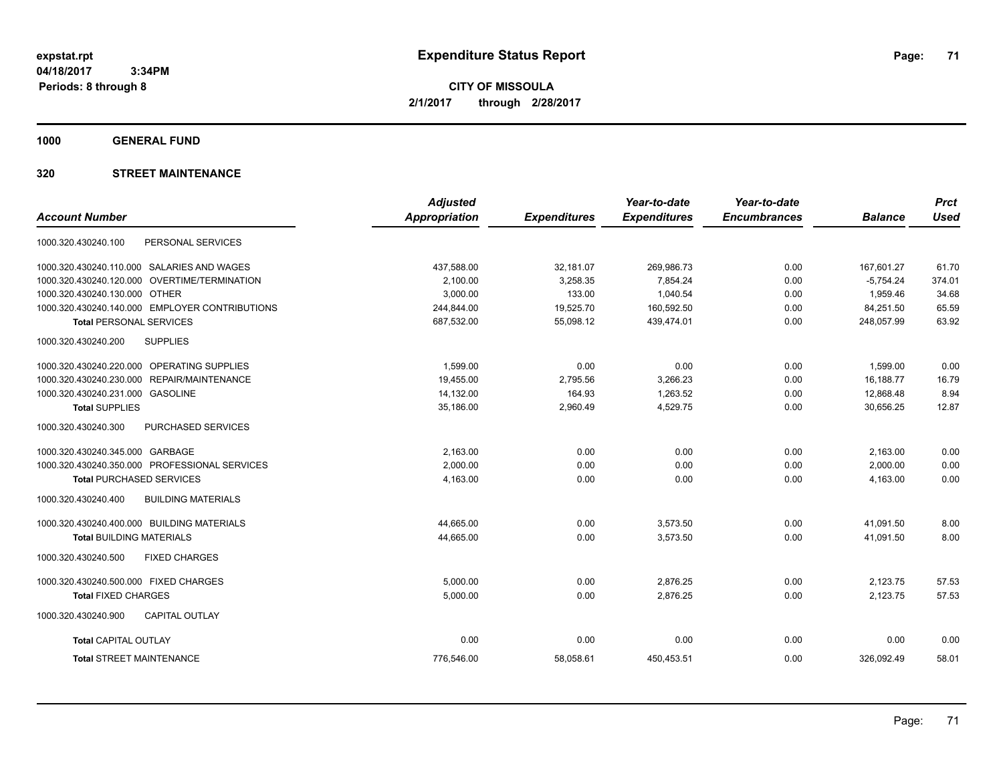**CITY OF MISSOULA 2/1/2017 through 2/28/2017**

**1000 GENERAL FUND**

### **320 STREET MAINTENANCE**

|                                                  | <b>Adjusted</b>      |                     | Year-to-date        | Year-to-date        |                | <b>Prct</b> |
|--------------------------------------------------|----------------------|---------------------|---------------------|---------------------|----------------|-------------|
| <b>Account Number</b>                            | <b>Appropriation</b> | <b>Expenditures</b> | <b>Expenditures</b> | <b>Encumbrances</b> | <b>Balance</b> | <b>Used</b> |
| PERSONAL SERVICES<br>1000.320.430240.100         |                      |                     |                     |                     |                |             |
| 1000.320.430240.110.000 SALARIES AND WAGES       | 437,588.00           | 32,181.07           | 269,986.73          | 0.00                | 167,601.27     | 61.70       |
| 1000.320.430240.120.000 OVERTIME/TERMINATION     | 2.100.00             | 3,258.35            | 7,854.24            | 0.00                | $-5.754.24$    | 374.01      |
| 1000.320.430240.130.000 OTHER                    | 3,000.00             | 133.00              | 1,040.54            | 0.00                | 1.959.46       | 34.68       |
| 1000.320.430240.140.000 EMPLOYER CONTRIBUTIONS   | 244,844.00           | 19,525.70           | 160,592.50          | 0.00                | 84,251.50      | 65.59       |
| <b>Total PERSONAL SERVICES</b>                   | 687,532.00           | 55,098.12           | 439,474.01          | 0.00                | 248,057.99     | 63.92       |
| <b>SUPPLIES</b><br>1000.320.430240.200           |                      |                     |                     |                     |                |             |
| 1000.320.430240.220.000 OPERATING SUPPLIES       | 1,599.00             | 0.00                | 0.00                | 0.00                | 1,599.00       | 0.00        |
| 1000.320.430240.230.000 REPAIR/MAINTENANCE       | 19,455.00            | 2,795.56            | 3,266.23            | 0.00                | 16.188.77      | 16.79       |
| 1000.320.430240.231.000 GASOLINE                 | 14,132.00            | 164.93              | 1,263.52            | 0.00                | 12,868.48      | 8.94        |
| <b>Total SUPPLIES</b>                            | 35,186.00            | 2,960.49            | 4,529.75            | 0.00                | 30,656.25      | 12.87       |
| 1000.320.430240.300<br>PURCHASED SERVICES        |                      |                     |                     |                     |                |             |
| 1000.320.430240.345.000 GARBAGE                  | 2,163.00             | 0.00                | 0.00                | 0.00                | 2,163.00       | 0.00        |
| 1000.320.430240.350.000 PROFESSIONAL SERVICES    | 2,000.00             | 0.00                | 0.00                | 0.00                | 2,000.00       | 0.00        |
| <b>Total PURCHASED SERVICES</b>                  | 4,163.00             | 0.00                | 0.00                | 0.00                | 4,163.00       | 0.00        |
| 1000.320.430240.400<br><b>BUILDING MATERIALS</b> |                      |                     |                     |                     |                |             |
| 1000.320.430240.400.000 BUILDING MATERIALS       | 44,665.00            | 0.00                | 3,573.50            | 0.00                | 41,091.50      | 8.00        |
| <b>Total BUILDING MATERIALS</b>                  | 44,665.00            | 0.00                | 3,573.50            | 0.00                | 41,091.50      | 8.00        |
| 1000.320.430240.500<br><b>FIXED CHARGES</b>      |                      |                     |                     |                     |                |             |
| 1000.320.430240.500.000 FIXED CHARGES            | 5,000.00             | 0.00                | 2.876.25            | 0.00                | 2,123.75       | 57.53       |
| <b>Total FIXED CHARGES</b>                       | 5,000.00             | 0.00                | 2,876.25            | 0.00                | 2,123.75       | 57.53       |
| 1000.320.430240.900<br><b>CAPITAL OUTLAY</b>     |                      |                     |                     |                     |                |             |
| <b>Total CAPITAL OUTLAY</b>                      | 0.00                 | 0.00                | 0.00                | 0.00                | 0.00           | 0.00        |
| <b>Total STREET MAINTENANCE</b>                  | 776,546.00           | 58,058.61           | 450,453.51          | 0.00                | 326,092.49     | 58.01       |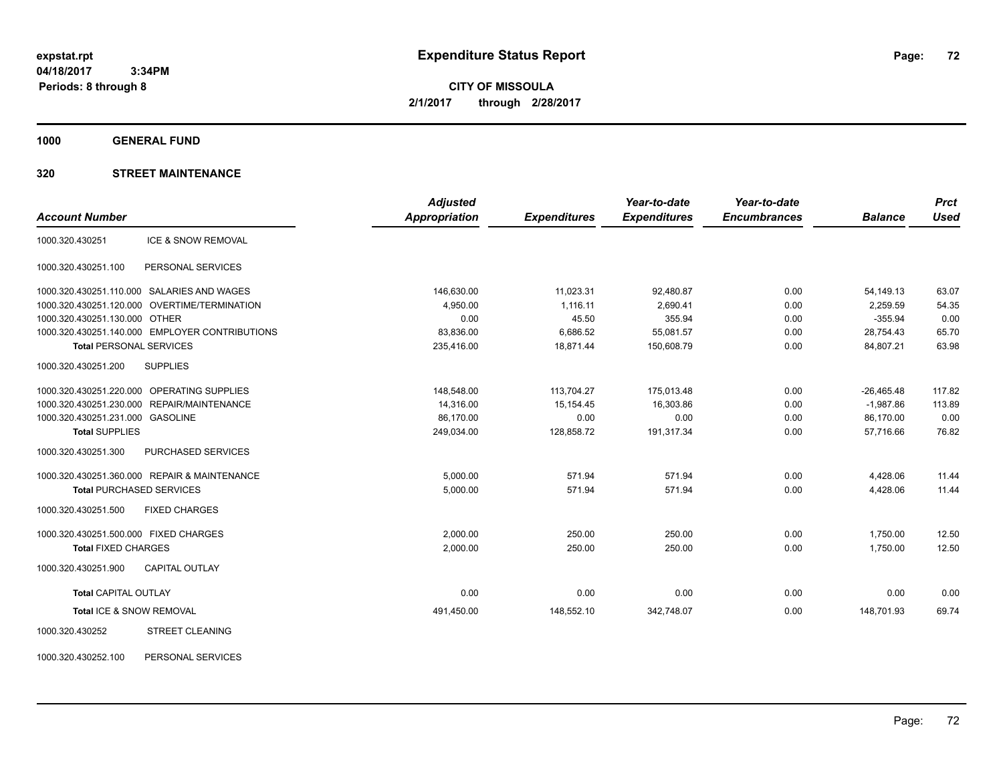**CITY OF MISSOULA 2/1/2017 through 2/28/2017**

**1000 GENERAL FUND**

### **320 STREET MAINTENANCE**

|                                                | <b>Adjusted</b>      |                     | Year-to-date        | Year-to-date        |                | <b>Prct</b> |
|------------------------------------------------|----------------------|---------------------|---------------------|---------------------|----------------|-------------|
| <b>Account Number</b>                          | <b>Appropriation</b> | <b>Expenditures</b> | <b>Expenditures</b> | <b>Encumbrances</b> | <b>Balance</b> | <b>Used</b> |
| ICE & SNOW REMOVAL<br>1000.320.430251          |                      |                     |                     |                     |                |             |
| PERSONAL SERVICES<br>1000.320.430251.100       |                      |                     |                     |                     |                |             |
| 1000.320.430251.110.000 SALARIES AND WAGES     | 146,630.00           | 11,023.31           | 92,480.87           | 0.00                | 54,149.13      | 63.07       |
| 1000.320.430251.120.000 OVERTIME/TERMINATION   | 4,950.00             | 1,116.11            | 2,690.41            | 0.00                | 2,259.59       | 54.35       |
| 1000.320.430251.130.000 OTHER                  | 0.00                 | 45.50               | 355.94              | 0.00                | $-355.94$      | 0.00        |
| 1000.320.430251.140.000 EMPLOYER CONTRIBUTIONS | 83,836.00            | 6,686.52            | 55,081.57           | 0.00                | 28,754.43      | 65.70       |
| <b>Total PERSONAL SERVICES</b>                 | 235,416.00           | 18,871.44           | 150,608.79          | 0.00                | 84,807.21      | 63.98       |
| 1000.320.430251.200<br><b>SUPPLIES</b>         |                      |                     |                     |                     |                |             |
| 1000.320.430251.220.000 OPERATING SUPPLIES     | 148,548.00           | 113,704.27          | 175,013.48          | 0.00                | $-26,465.48$   | 117.82      |
| 1000.320.430251.230.000<br>REPAIR/MAINTENANCE  | 14,316.00            | 15, 154. 45         | 16,303.86           | 0.00                | $-1.987.86$    | 113.89      |
| 1000.320.430251.231.000 GASOLINE               | 86,170.00            | 0.00                | 0.00                | 0.00                | 86,170.00      | 0.00        |
| <b>Total SUPPLIES</b>                          | 249,034.00           | 128,858.72          | 191,317.34          | 0.00                | 57,716.66      | 76.82       |
| 1000.320.430251.300<br>PURCHASED SERVICES      |                      |                     |                     |                     |                |             |
| 1000.320.430251.360.000 REPAIR & MAINTENANCE   | 5,000.00             | 571.94              | 571.94              | 0.00                | 4,428.06       | 11.44       |
| <b>Total PURCHASED SERVICES</b>                | 5,000.00             | 571.94              | 571.94              | 0.00                | 4,428.06       | 11.44       |
| 1000.320.430251.500<br><b>FIXED CHARGES</b>    |                      |                     |                     |                     |                |             |
| 1000.320.430251.500.000 FIXED CHARGES          | 2.000.00             | 250.00              | 250.00              | 0.00                | 1,750.00       | 12.50       |
| <b>Total FIXED CHARGES</b>                     | 2,000.00             | 250.00              | 250.00              | 0.00                | 1,750.00       | 12.50       |
| 1000.320.430251.900<br><b>CAPITAL OUTLAY</b>   |                      |                     |                     |                     |                |             |
| <b>Total CAPITAL OUTLAY</b>                    | 0.00                 | 0.00                | 0.00                | 0.00                | 0.00           | 0.00        |
| Total ICE & SNOW REMOVAL                       | 491,450.00           | 148,552.10          | 342,748.07          | 0.00                | 148,701.93     | 69.74       |
| <b>STREET CLEANING</b><br>1000.320.430252      |                      |                     |                     |                     |                |             |
|                                                |                      |                     |                     |                     |                |             |

1000.320.430252.100 PERSONAL SERVICES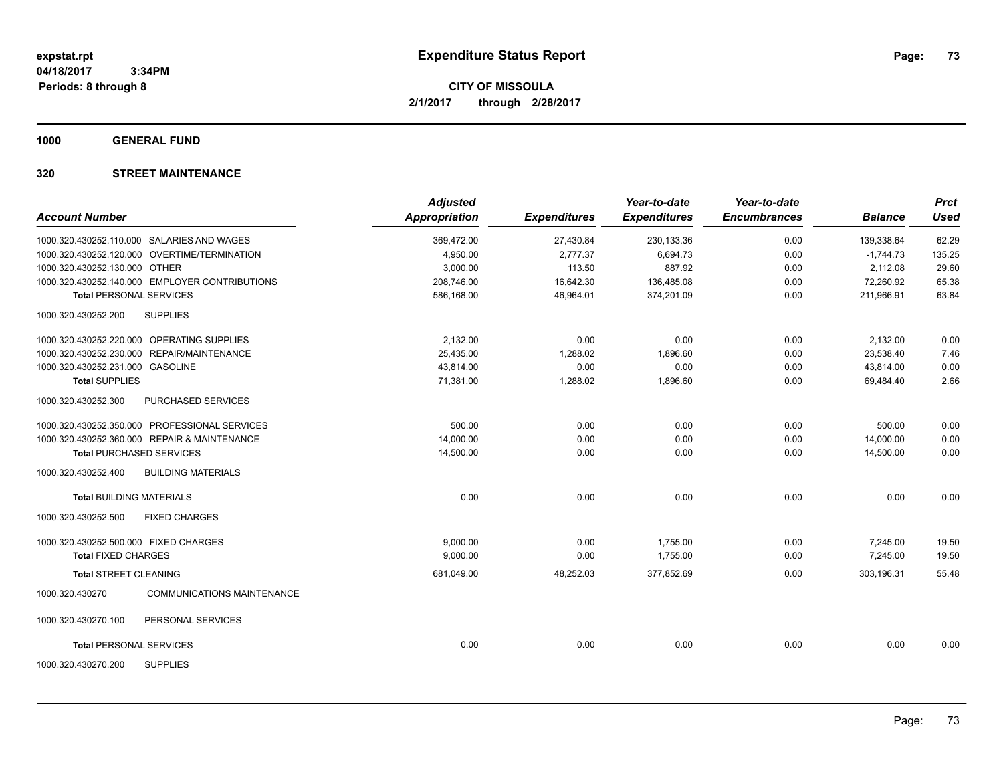**1000 GENERAL FUND**

## **320 STREET MAINTENANCE**

| <b>Account Number</b>                 |                                                | <b>Adjusted</b><br>Appropriation | <b>Expenditures</b> | Year-to-date<br><b>Expenditures</b> | Year-to-date<br><b>Encumbrances</b> | <b>Balance</b> | <b>Prct</b><br><b>Used</b> |
|---------------------------------------|------------------------------------------------|----------------------------------|---------------------|-------------------------------------|-------------------------------------|----------------|----------------------------|
|                                       | 1000.320.430252.110.000 SALARIES AND WAGES     | 369,472.00                       | 27,430.84           | 230,133.36                          | 0.00                                | 139,338.64     | 62.29                      |
|                                       | 1000.320.430252.120.000 OVERTIME/TERMINATION   | 4,950.00                         | 2,777.37            | 6,694.73                            | 0.00                                | $-1,744.73$    | 135.25                     |
| 1000.320.430252.130.000 OTHER         |                                                | 3,000.00                         | 113.50              | 887.92                              | 0.00                                | 2,112.08       | 29.60                      |
|                                       | 1000.320.430252.140.000 EMPLOYER CONTRIBUTIONS | 208,746.00                       | 16,642.30           | 136,485.08                          | 0.00                                | 72,260.92      | 65.38                      |
| <b>Total PERSONAL SERVICES</b>        |                                                | 586,168.00                       | 46,964.01           | 374,201.09                          | 0.00                                | 211.966.91     | 63.84                      |
| 1000.320.430252.200                   | <b>SUPPLIES</b>                                |                                  |                     |                                     |                                     |                |                            |
|                                       | 1000.320.430252.220.000 OPERATING SUPPLIES     | 2,132.00                         | 0.00                | 0.00                                | 0.00                                | 2,132.00       | 0.00                       |
|                                       | 1000.320.430252.230.000 REPAIR/MAINTENANCE     | 25,435.00                        | 1,288.02            | 1,896.60                            | 0.00                                | 23,538.40      | 7.46                       |
| 1000.320.430252.231.000 GASOLINE      |                                                | 43,814.00                        | 0.00                | 0.00                                | 0.00                                | 43,814.00      | 0.00                       |
| <b>Total SUPPLIES</b>                 |                                                | 71,381.00                        | 1,288.02            | 1,896.60                            | 0.00                                | 69,484.40      | 2.66                       |
| 1000.320.430252.300                   | PURCHASED SERVICES                             |                                  |                     |                                     |                                     |                |                            |
|                                       | 1000.320.430252.350.000 PROFESSIONAL SERVICES  | 500.00                           | 0.00                | 0.00                                | 0.00                                | 500.00         | 0.00                       |
|                                       | 1000.320.430252.360.000 REPAIR & MAINTENANCE   | 14,000.00                        | 0.00                | 0.00                                | 0.00                                | 14,000.00      | 0.00                       |
|                                       | <b>Total PURCHASED SERVICES</b>                | 14,500.00                        | 0.00                | 0.00                                | 0.00                                | 14,500.00      | 0.00                       |
| 1000.320.430252.400                   | <b>BUILDING MATERIALS</b>                      |                                  |                     |                                     |                                     |                |                            |
| <b>Total BUILDING MATERIALS</b>       |                                                | 0.00                             | 0.00                | 0.00                                | 0.00                                | 0.00           | 0.00                       |
| 1000.320.430252.500                   | <b>FIXED CHARGES</b>                           |                                  |                     |                                     |                                     |                |                            |
| 1000.320.430252.500.000 FIXED CHARGES |                                                | 9.000.00                         | 0.00                | 1.755.00                            | 0.00                                | 7,245.00       | 19.50                      |
| <b>Total FIXED CHARGES</b>            |                                                | 9,000.00                         | 0.00                | 1,755.00                            | 0.00                                | 7,245.00       | 19.50                      |
| <b>Total STREET CLEANING</b>          |                                                | 681.049.00                       | 48,252.03           | 377.852.69                          | 0.00                                | 303.196.31     | 55.48                      |
| 1000.320.430270                       | <b>COMMUNICATIONS MAINTENANCE</b>              |                                  |                     |                                     |                                     |                |                            |
| 1000.320.430270.100                   | PERSONAL SERVICES                              |                                  |                     |                                     |                                     |                |                            |
| <b>Total PERSONAL SERVICES</b>        |                                                | 0.00                             | 0.00                | 0.00                                | 0.00                                | 0.00           | 0.00                       |
| 1000.320.430270.200                   | <b>SUPPLIES</b>                                |                                  |                     |                                     |                                     |                |                            |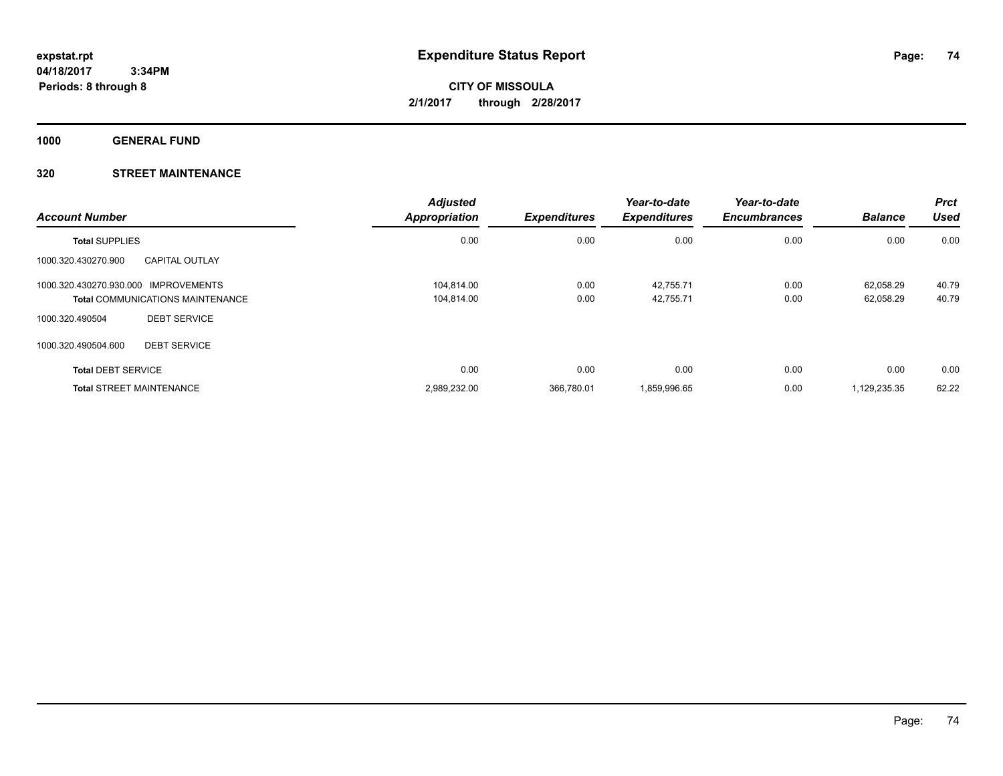**1000 GENERAL FUND**

## **320 STREET MAINTENANCE**

| <b>Account Number</b>                   |                       | <b>Adjusted</b><br><b>Appropriation</b> | <b>Expenditures</b> | Year-to-date<br><b>Expenditures</b> | Year-to-date<br><b>Encumbrances</b> | <b>Balance</b> | <b>Prct</b><br>Used |
|-----------------------------------------|-----------------------|-----------------------------------------|---------------------|-------------------------------------|-------------------------------------|----------------|---------------------|
| <b>Total SUPPLIES</b>                   |                       | 0.00                                    | 0.00                | 0.00                                | 0.00                                | 0.00           | 0.00                |
| 1000.320.430270.900                     | <b>CAPITAL OUTLAY</b> |                                         |                     |                                     |                                     |                |                     |
| 1000.320.430270.930.000 IMPROVEMENTS    |                       | 104.814.00                              | 0.00                | 42,755.71                           | 0.00                                | 62.058.29      | 40.79               |
| <b>Total COMMUNICATIONS MAINTENANCE</b> |                       | 104.814.00                              | 0.00                | 42,755.71                           | 0.00                                | 62,058.29      | 40.79               |
| 1000.320.490504                         | <b>DEBT SERVICE</b>   |                                         |                     |                                     |                                     |                |                     |
| 1000.320.490504.600                     | <b>DEBT SERVICE</b>   |                                         |                     |                                     |                                     |                |                     |
| <b>Total DEBT SERVICE</b>               |                       | 0.00                                    | 0.00                | 0.00                                | 0.00                                | 0.00           | 0.00                |
| <b>Total STREET MAINTENANCE</b>         |                       | 2,989,232.00                            | 366,780.01          | 1,859,996.65                        | 0.00                                | 1,129,235.35   | 62.22               |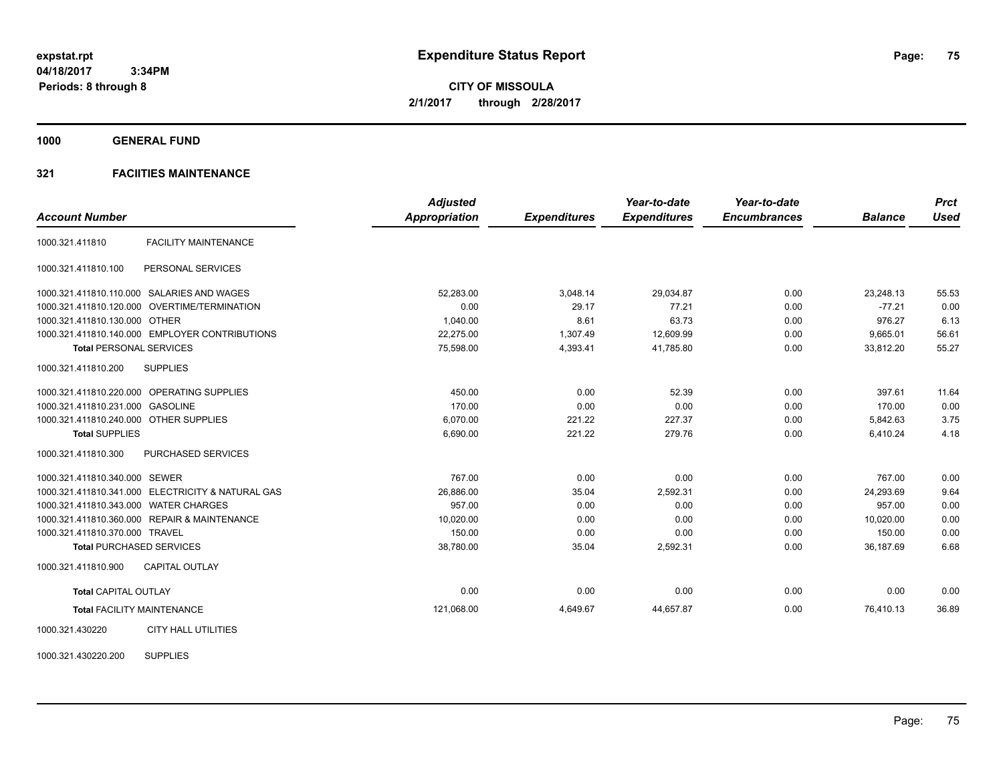**CITY OF MISSOULA 2/1/2017 through 2/28/2017**

**1000 GENERAL FUND**

## **321 FACIITIES MAINTENANCE**

| <b>Account Number</b>                  |                                                   | <b>Adjusted</b><br><b>Appropriation</b> | <b>Expenditures</b> | Year-to-date<br><b>Expenditures</b> | Year-to-date<br><b>Encumbrances</b> | <b>Balance</b> | <b>Prct</b><br><b>Used</b> |
|----------------------------------------|---------------------------------------------------|-----------------------------------------|---------------------|-------------------------------------|-------------------------------------|----------------|----------------------------|
|                                        |                                                   |                                         |                     |                                     |                                     |                |                            |
| 1000.321.411810                        | <b>FACILITY MAINTENANCE</b>                       |                                         |                     |                                     |                                     |                |                            |
| 1000.321.411810.100                    | PERSONAL SERVICES                                 |                                         |                     |                                     |                                     |                |                            |
|                                        | 1000.321.411810.110.000 SALARIES AND WAGES        | 52,283.00                               | 3,048.14            | 29,034.87                           | 0.00                                | 23,248.13      | 55.53                      |
|                                        | 1000.321.411810.120.000 OVERTIME/TERMINATION      | 0.00                                    | 29.17               | 77.21                               | 0.00                                | $-77.21$       | 0.00                       |
| 1000.321.411810.130.000 OTHER          |                                                   | 1,040.00                                | 8.61                | 63.73                               | 0.00                                | 976.27         | 6.13                       |
|                                        | 1000.321.411810.140.000 EMPLOYER CONTRIBUTIONS    | 22,275.00                               | 1,307.49            | 12,609.99                           | 0.00                                | 9,665.01       | 56.61                      |
| <b>Total PERSONAL SERVICES</b>         |                                                   | 75,598.00                               | 4,393.41            | 41,785.80                           | 0.00                                | 33,812.20      | 55.27                      |
| 1000.321.411810.200                    | <b>SUPPLIES</b>                                   |                                         |                     |                                     |                                     |                |                            |
|                                        | 1000.321.411810.220.000 OPERATING SUPPLIES        | 450.00                                  | 0.00                | 52.39                               | 0.00                                | 397.61         | 11.64                      |
| 1000.321.411810.231.000 GASOLINE       |                                                   | 170.00                                  | 0.00                | 0.00                                | 0.00                                | 170.00         | 0.00                       |
| 1000.321.411810.240.000 OTHER SUPPLIES |                                                   | 6,070.00                                | 221.22              | 227.37                              | 0.00                                | 5,842.63       | 3.75                       |
| <b>Total SUPPLIES</b>                  |                                                   | 6,690.00                                | 221.22              | 279.76                              | 0.00                                | 6,410.24       | 4.18                       |
| 1000.321.411810.300                    | PURCHASED SERVICES                                |                                         |                     |                                     |                                     |                |                            |
| 1000.321.411810.340.000 SEWER          |                                                   | 767.00                                  | 0.00                | 0.00                                | 0.00                                | 767.00         | 0.00                       |
|                                        | 1000.321.411810.341.000 ELECTRICITY & NATURAL GAS | 26,886.00                               | 35.04               | 2,592.31                            | 0.00                                | 24.293.69      | 9.64                       |
| 1000.321.411810.343.000 WATER CHARGES  |                                                   | 957.00                                  | 0.00                | 0.00                                | 0.00                                | 957.00         | 0.00                       |
|                                        | 1000.321.411810.360.000 REPAIR & MAINTENANCE      | 10,020.00                               | 0.00                | 0.00                                | 0.00                                | 10,020.00      | 0.00                       |
| 1000.321.411810.370.000 TRAVEL         |                                                   | 150.00                                  | 0.00                | 0.00                                | 0.00                                | 150.00         | 0.00                       |
| <b>Total PURCHASED SERVICES</b>        |                                                   | 38,780.00                               | 35.04               | 2,592.31                            | 0.00                                | 36,187.69      | 6.68                       |
| 1000.321.411810.900                    | <b>CAPITAL OUTLAY</b>                             |                                         |                     |                                     |                                     |                |                            |
| <b>Total CAPITAL OUTLAY</b>            |                                                   | 0.00                                    | 0.00                | 0.00                                | 0.00                                | 0.00           | 0.00                       |
| <b>Total FACILITY MAINTENANCE</b>      |                                                   | 121,068.00                              | 4,649.67            | 44,657.87                           | 0.00                                | 76,410.13      | 36.89                      |
| 1000.321.430220                        | <b>CITY HALL UTILITIES</b>                        |                                         |                     |                                     |                                     |                |                            |

1000.321.430220.200 SUPPLIES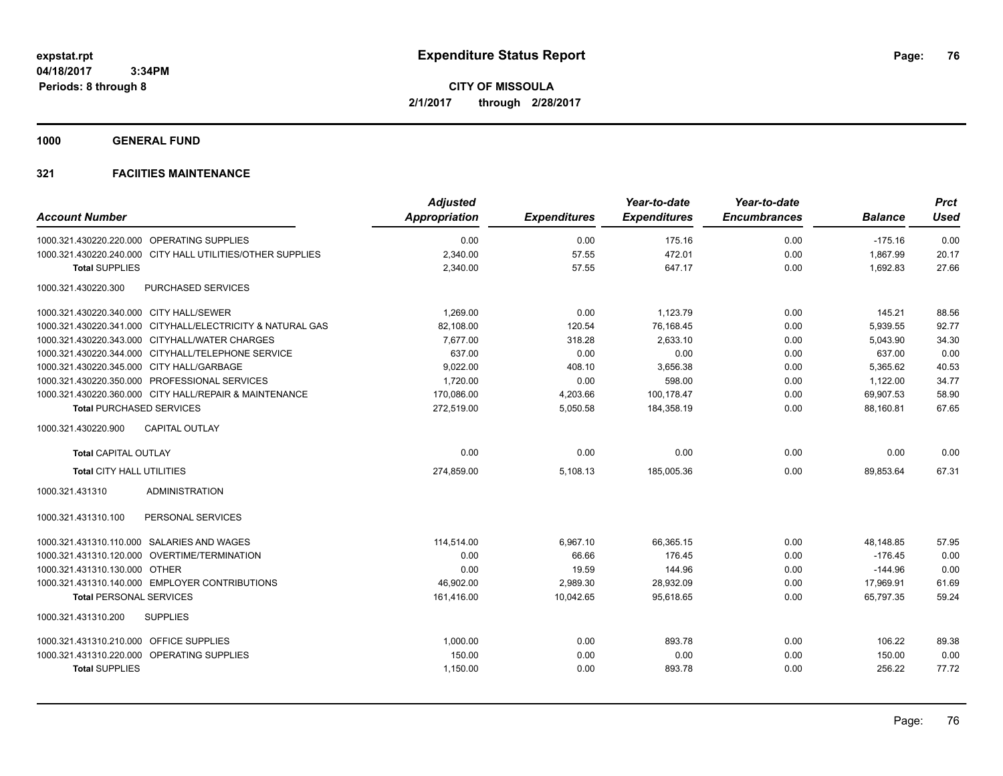**1000 GENERAL FUND**

|                                                            | <b>Adjusted</b>      |                     | Year-to-date        | Year-to-date        |                | <b>Prct</b> |
|------------------------------------------------------------|----------------------|---------------------|---------------------|---------------------|----------------|-------------|
| <b>Account Number</b>                                      | <b>Appropriation</b> | <b>Expenditures</b> | <b>Expenditures</b> | <b>Encumbrances</b> | <b>Balance</b> | <b>Used</b> |
| 1000.321.430220.220.000 OPERATING SUPPLIES                 | 0.00                 | 0.00                | 175.16              | 0.00                | $-175.16$      | 0.00        |
| 1000.321.430220.240.000 CITY HALL UTILITIES/OTHER SUPPLIES | 2,340.00             | 57.55               | 472.01              | 0.00                | 1,867.99       | 20.17       |
| <b>Total SUPPLIES</b>                                      | 2,340.00             | 57.55               | 647.17              | 0.00                | 1,692.83       | 27.66       |
| 1000.321.430220.300<br>PURCHASED SERVICES                  |                      |                     |                     |                     |                |             |
| 1000.321.430220.340.000 CITY HALL/SEWER                    | 1,269.00             | 0.00                | 1,123.79            | 0.00                | 145.21         | 88.56       |
| 1000.321.430220.341.000 CITYHALL/ELECTRICITY & NATURAL GAS | 82,108.00            | 120.54              | 76,168.45           | 0.00                | 5,939.55       | 92.77       |
| 1000.321.430220.343.000 CITYHALL/WATER CHARGES             | 7,677.00             | 318.28              | 2,633.10            | 0.00                | 5,043.90       | 34.30       |
| 1000.321.430220.344.000 CITYHALL/TELEPHONE SERVICE         | 637.00               | 0.00                | 0.00                | 0.00                | 637.00         | 0.00        |
| 1000.321.430220.345.000 CITY HALL/GARBAGE                  | 9,022.00             | 408.10              | 3,656.38            | 0.00                | 5,365.62       | 40.53       |
| 1000.321.430220.350.000 PROFESSIONAL SERVICES              | 1,720.00             | 0.00                | 598.00              | 0.00                | 1,122.00       | 34.77       |
| 1000.321.430220.360.000 CITY HALL/REPAIR & MAINTENANCE     | 170,086.00           | 4,203.66            | 100,178.47          | 0.00                | 69,907.53      | 58.90       |
| <b>Total PURCHASED SERVICES</b>                            | 272,519.00           | 5,050.58            | 184,358.19          | 0.00                | 88,160.81      | 67.65       |
| 1000.321.430220.900<br><b>CAPITAL OUTLAY</b>               |                      |                     |                     |                     |                |             |
| <b>Total CAPITAL OUTLAY</b>                                | 0.00                 | 0.00                | 0.00                | 0.00                | 0.00           | 0.00        |
| <b>Total CITY HALL UTILITIES</b>                           | 274,859.00           | 5,108.13            | 185,005.36          | 0.00                | 89,853.64      | 67.31       |
| <b>ADMINISTRATION</b><br>1000.321.431310                   |                      |                     |                     |                     |                |             |
| 1000.321.431310.100<br>PERSONAL SERVICES                   |                      |                     |                     |                     |                |             |
| 1000.321.431310.110.000 SALARIES AND WAGES                 | 114.514.00           | 6.967.10            | 66.365.15           | 0.00                | 48.148.85      | 57.95       |
| 1000.321.431310.120.000 OVERTIME/TERMINATION               | 0.00                 | 66.66               | 176.45              | 0.00                | $-176.45$      | 0.00        |
| 1000.321.431310.130.000 OTHER                              | 0.00                 | 19.59               | 144.96              | 0.00                | $-144.96$      | 0.00        |
| 1000.321.431310.140.000 EMPLOYER CONTRIBUTIONS             | 46,902.00            | 2,989.30            | 28,932.09           | 0.00                | 17,969.91      | 61.69       |
| <b>Total PERSONAL SERVICES</b>                             | 161,416.00           | 10,042.65           | 95.618.65           | 0.00                | 65.797.35      | 59.24       |
| <b>SUPPLIES</b><br>1000.321.431310.200                     |                      |                     |                     |                     |                |             |
| 1000.321.431310.210.000 OFFICE SUPPLIES                    | 1,000.00             | 0.00                | 893.78              | 0.00                | 106.22         | 89.38       |
| 1000.321.431310.220.000 OPERATING SUPPLIES                 | 150.00               | 0.00                | 0.00                | 0.00                | 150.00         | 0.00        |
| <b>Total SUPPLIES</b>                                      | 1,150.00             | 0.00                | 893.78              | 0.00                | 256.22         | 77.72       |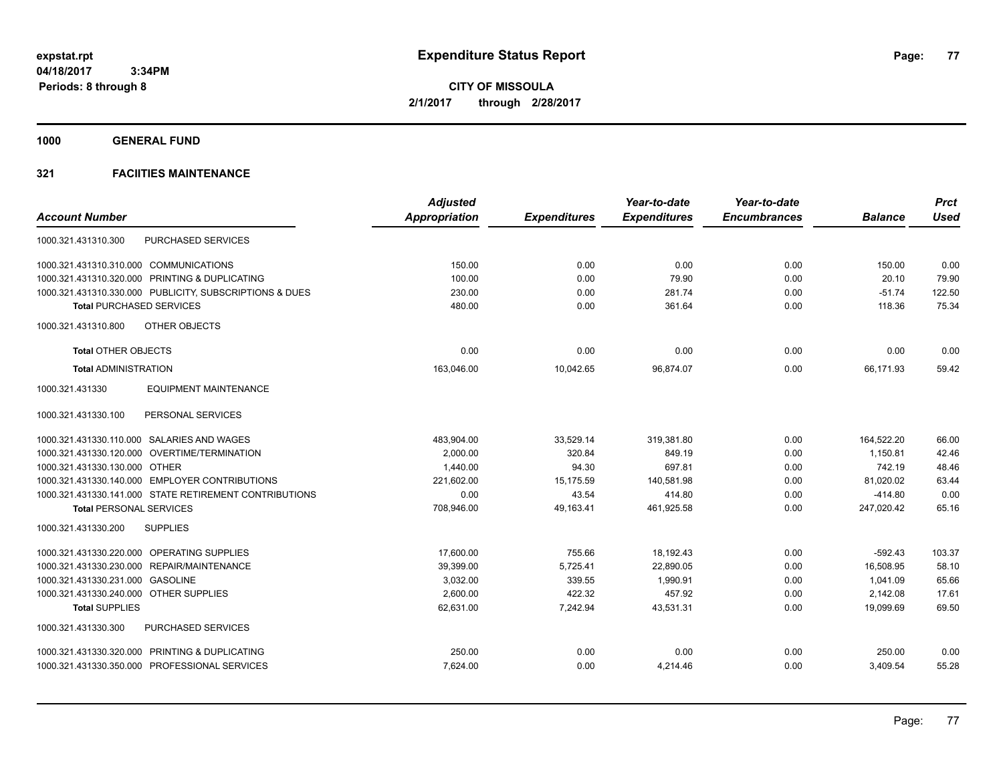**1000 GENERAL FUND**

|                                                         | <b>Adjusted</b> |                     | Year-to-date        | Year-to-date        |                | <b>Prct</b> |
|---------------------------------------------------------|-----------------|---------------------|---------------------|---------------------|----------------|-------------|
| <b>Account Number</b>                                   | Appropriation   | <b>Expenditures</b> | <b>Expenditures</b> | <b>Encumbrances</b> | <b>Balance</b> | <b>Used</b> |
| <b>PURCHASED SERVICES</b><br>1000.321.431310.300        |                 |                     |                     |                     |                |             |
| 1000.321.431310.310.000 COMMUNICATIONS                  | 150.00          | 0.00                | 0.00                | 0.00                | 150.00         | 0.00        |
| 1000.321.431310.320.000 PRINTING & DUPLICATING          | 100.00          | 0.00                | 79.90               | 0.00                | 20.10          | 79.90       |
| 1000.321.431310.330.000 PUBLICITY, SUBSCRIPTIONS & DUES | 230.00          | 0.00                | 281.74              | 0.00                | $-51.74$       | 122.50      |
| <b>Total PURCHASED SERVICES</b>                         | 480.00          | 0.00                | 361.64              | 0.00                | 118.36         | 75.34       |
| OTHER OBJECTS<br>1000.321.431310.800                    |                 |                     |                     |                     |                |             |
| <b>Total OTHER OBJECTS</b>                              | 0.00            | 0.00                | 0.00                | 0.00                | 0.00           | 0.00        |
| <b>Total ADMINISTRATION</b>                             | 163,046.00      | 10,042.65           | 96,874.07           | 0.00                | 66,171.93      | 59.42       |
| 1000.321.431330<br><b>EQUIPMENT MAINTENANCE</b>         |                 |                     |                     |                     |                |             |
| PERSONAL SERVICES<br>1000.321.431330.100                |                 |                     |                     |                     |                |             |
| 1000.321.431330.110.000 SALARIES AND WAGES              | 483,904.00      | 33,529.14           | 319,381.80          | 0.00                | 164,522.20     | 66.00       |
| 1000.321.431330.120.000 OVERTIME/TERMINATION            | 2,000.00        | 320.84              | 849.19              | 0.00                | 1,150.81       | 42.46       |
| 1000.321.431330.130.000 OTHER                           | 1,440.00        | 94.30               | 697.81              | 0.00                | 742.19         | 48.46       |
| 1000.321.431330.140.000 EMPLOYER CONTRIBUTIONS          | 221,602.00      | 15,175.59           | 140,581.98          | 0.00                | 81,020.02      | 63.44       |
| 1000.321.431330.141.000 STATE RETIREMENT CONTRIBUTIONS  | 0.00            | 43.54               | 414.80              | 0.00                | $-414.80$      | 0.00        |
| <b>Total PERSONAL SERVICES</b>                          | 708,946.00      | 49,163.41           | 461,925.58          | 0.00                | 247,020.42     | 65.16       |
| 1000.321.431330.200<br><b>SUPPLIES</b>                  |                 |                     |                     |                     |                |             |
| 1000.321.431330.220.000 OPERATING SUPPLIES              | 17.600.00       | 755.66              | 18.192.43           | 0.00                | $-592.43$      | 103.37      |
| 1000.321.431330.230.000 REPAIR/MAINTENANCE              | 39,399.00       | 5,725.41            | 22,890.05           | 0.00                | 16,508.95      | 58.10       |
| 1000.321.431330.231.000<br><b>GASOLINE</b>              | 3,032.00        | 339.55              | 1,990.91            | 0.00                | 1,041.09       | 65.66       |
| 1000.321.431330.240.000 OTHER SUPPLIES                  | 2,600.00        | 422.32              | 457.92              | 0.00                | 2,142.08       | 17.61       |
| <b>Total SUPPLIES</b>                                   | 62,631.00       | 7,242.94            | 43,531.31           | 0.00                | 19,099.69      | 69.50       |
| PURCHASED SERVICES<br>1000.321.431330.300               |                 |                     |                     |                     |                |             |
| 1000.321.431330.320.000 PRINTING & DUPLICATING          | 250.00          | 0.00                | 0.00                | 0.00                | 250.00         | 0.00        |
| 1000.321.431330.350.000 PROFESSIONAL SERVICES           | 7,624.00        | 0.00                | 4,214.46            | 0.00                | 3,409.54       | 55.28       |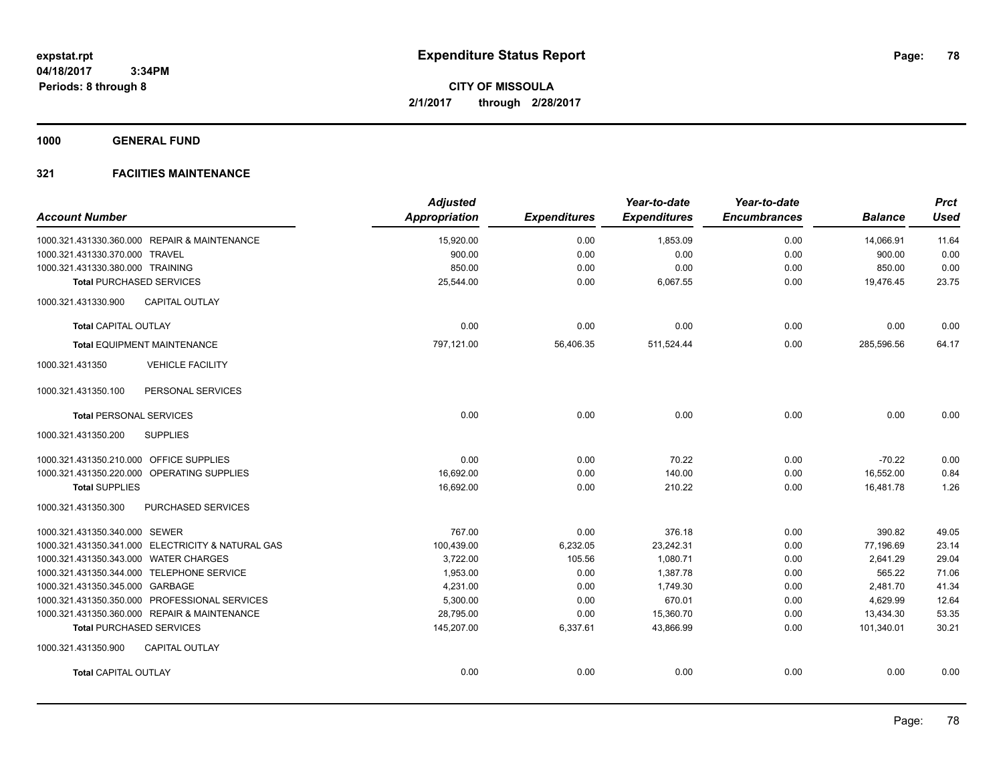**1000 GENERAL FUND**

| <b>Account Number</b>                   |                                                   | <b>Adjusted</b><br><b>Appropriation</b> | <b>Expenditures</b> | Year-to-date<br><b>Expenditures</b> | Year-to-date<br><b>Encumbrances</b> | <b>Balance</b> | <b>Prct</b><br><b>Used</b> |
|-----------------------------------------|---------------------------------------------------|-----------------------------------------|---------------------|-------------------------------------|-------------------------------------|----------------|----------------------------|
|                                         | 1000.321.431330.360.000 REPAIR & MAINTENANCE      | 15,920.00                               | 0.00                | 1,853.09                            | 0.00                                | 14,066.91      | 11.64                      |
| 1000.321.431330.370.000 TRAVEL          |                                                   | 900.00                                  | 0.00                | 0.00                                | 0.00                                | 900.00         | 0.00                       |
| 1000.321.431330.380.000 TRAINING        |                                                   | 850.00                                  | 0.00                | 0.00                                | 0.00                                | 850.00         | 0.00                       |
|                                         | <b>Total PURCHASED SERVICES</b>                   | 25,544.00                               | 0.00                | 6,067.55                            | 0.00                                | 19,476.45      | 23.75                      |
| 1000.321.431330.900                     | <b>CAPITAL OUTLAY</b>                             |                                         |                     |                                     |                                     |                |                            |
| <b>Total CAPITAL OUTLAY</b>             |                                                   | 0.00                                    | 0.00                | 0.00                                | 0.00                                | 0.00           | 0.00                       |
|                                         | <b>Total EQUIPMENT MAINTENANCE</b>                | 797,121.00                              | 56,406.35           | 511,524.44                          | 0.00                                | 285,596.56     | 64.17                      |
| 1000.321.431350                         | <b>VEHICLE FACILITY</b>                           |                                         |                     |                                     |                                     |                |                            |
| 1000.321.431350.100                     | PERSONAL SERVICES                                 |                                         |                     |                                     |                                     |                |                            |
| <b>Total PERSONAL SERVICES</b>          |                                                   | 0.00                                    | 0.00                | 0.00                                | 0.00                                | 0.00           | 0.00                       |
| 1000.321.431350.200                     | <b>SUPPLIES</b>                                   |                                         |                     |                                     |                                     |                |                            |
| 1000.321.431350.210.000 OFFICE SUPPLIES |                                                   | 0.00                                    | 0.00                | 70.22                               | 0.00                                | $-70.22$       | 0.00                       |
|                                         | 1000.321.431350.220.000 OPERATING SUPPLIES        | 16,692.00                               | 0.00                | 140.00                              | 0.00                                | 16,552.00      | 0.84                       |
| <b>Total SUPPLIES</b>                   |                                                   | 16,692.00                               | 0.00                | 210.22                              | 0.00                                | 16,481.78      | 1.26                       |
| 1000.321.431350.300                     | PURCHASED SERVICES                                |                                         |                     |                                     |                                     |                |                            |
| 1000.321.431350.340.000 SEWER           |                                                   | 767.00                                  | 0.00                | 376.18                              | 0.00                                | 390.82         | 49.05                      |
|                                         | 1000.321.431350.341.000 ELECTRICITY & NATURAL GAS | 100,439.00                              | 6,232.05            | 23,242.31                           | 0.00                                | 77,196.69      | 23.14                      |
| 1000.321.431350.343.000 WATER CHARGES   |                                                   | 3,722.00                                | 105.56              | 1,080.71                            | 0.00                                | 2,641.29       | 29.04                      |
|                                         | 1000.321.431350.344.000 TELEPHONE SERVICE         | 1,953.00                                | 0.00                | 1,387.78                            | 0.00                                | 565.22         | 71.06                      |
| 1000.321.431350.345.000 GARBAGE         |                                                   | 4,231.00                                | 0.00                | 1,749.30                            | 0.00                                | 2.481.70       | 41.34                      |
|                                         | 1000.321.431350.350.000 PROFESSIONAL SERVICES     | 5,300.00                                | 0.00                | 670.01                              | 0.00                                | 4,629.99       | 12.64                      |
|                                         | 1000.321.431350.360.000 REPAIR & MAINTENANCE      | 28,795.00                               | 0.00                | 15,360.70                           | 0.00                                | 13,434.30      | 53.35                      |
|                                         | <b>Total PURCHASED SERVICES</b>                   | 145,207.00                              | 6,337.61            | 43,866.99                           | 0.00                                | 101,340.01     | 30.21                      |
| 1000.321.431350.900                     | CAPITAL OUTLAY                                    |                                         |                     |                                     |                                     |                |                            |
| <b>Total CAPITAL OUTLAY</b>             |                                                   | 0.00                                    | 0.00                | 0.00                                | 0.00                                | 0.00           | 0.00                       |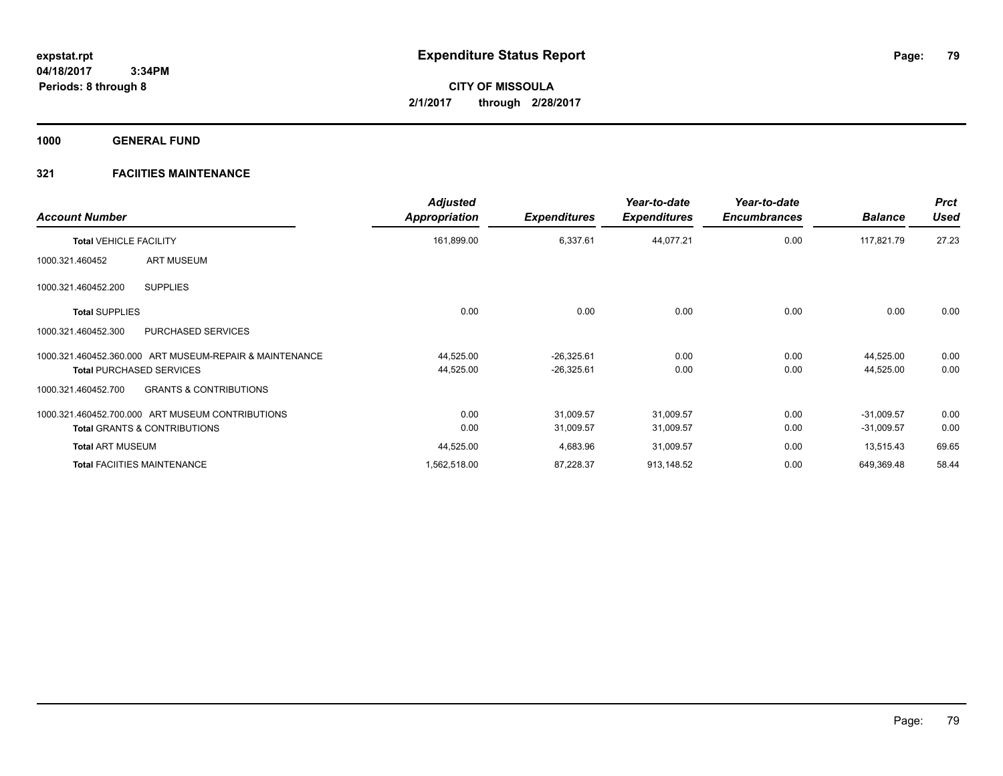**1000 GENERAL FUND**

| <b>Account Number</b>                                    | <b>Adjusted</b><br>Appropriation | <b>Expenditures</b> | Year-to-date<br><b>Expenditures</b> | Year-to-date<br><b>Encumbrances</b> | <b>Balance</b> | <b>Prct</b><br><b>Used</b> |
|----------------------------------------------------------|----------------------------------|---------------------|-------------------------------------|-------------------------------------|----------------|----------------------------|
| <b>Total VEHICLE FACILITY</b>                            | 161,899.00                       | 6,337.61            | 44,077.21                           | 0.00                                | 117,821.79     | 27.23                      |
| <b>ART MUSEUM</b><br>1000.321.460452                     |                                  |                     |                                     |                                     |                |                            |
| <b>SUPPLIES</b><br>1000.321.460452.200                   |                                  |                     |                                     |                                     |                |                            |
| <b>Total SUPPLIES</b>                                    | 0.00                             | 0.00                | 0.00                                | 0.00                                | 0.00           | 0.00                       |
| <b>PURCHASED SERVICES</b><br>1000.321.460452.300         |                                  |                     |                                     |                                     |                |                            |
| 1000.321.460452.360.000 ART MUSEUM-REPAIR & MAINTENANCE  | 44,525.00                        | $-26,325.61$        | 0.00                                | 0.00                                | 44,525.00      | 0.00                       |
| <b>Total PURCHASED SERVICES</b>                          | 44,525.00                        | $-26,325.61$        | 0.00                                | 0.00                                | 44,525.00      | 0.00                       |
| <b>GRANTS &amp; CONTRIBUTIONS</b><br>1000.321.460452.700 |                                  |                     |                                     |                                     |                |                            |
| 1000.321.460452.700.000 ART MUSEUM CONTRIBUTIONS         | 0.00                             | 31,009.57           | 31,009.57                           | 0.00                                | $-31,009.57$   | 0.00                       |
| <b>Total GRANTS &amp; CONTRIBUTIONS</b>                  | 0.00                             | 31,009.57           | 31,009.57                           | 0.00                                | $-31,009.57$   | 0.00                       |
| <b>Total ART MUSEUM</b>                                  | 44,525.00                        | 4,683.96            | 31,009.57                           | 0.00                                | 13,515.43      | 69.65                      |
| <b>Total FACIITIES MAINTENANCE</b>                       | 1,562,518.00                     | 87,228.37           | 913,148.52                          | 0.00                                | 649,369.48     | 58.44                      |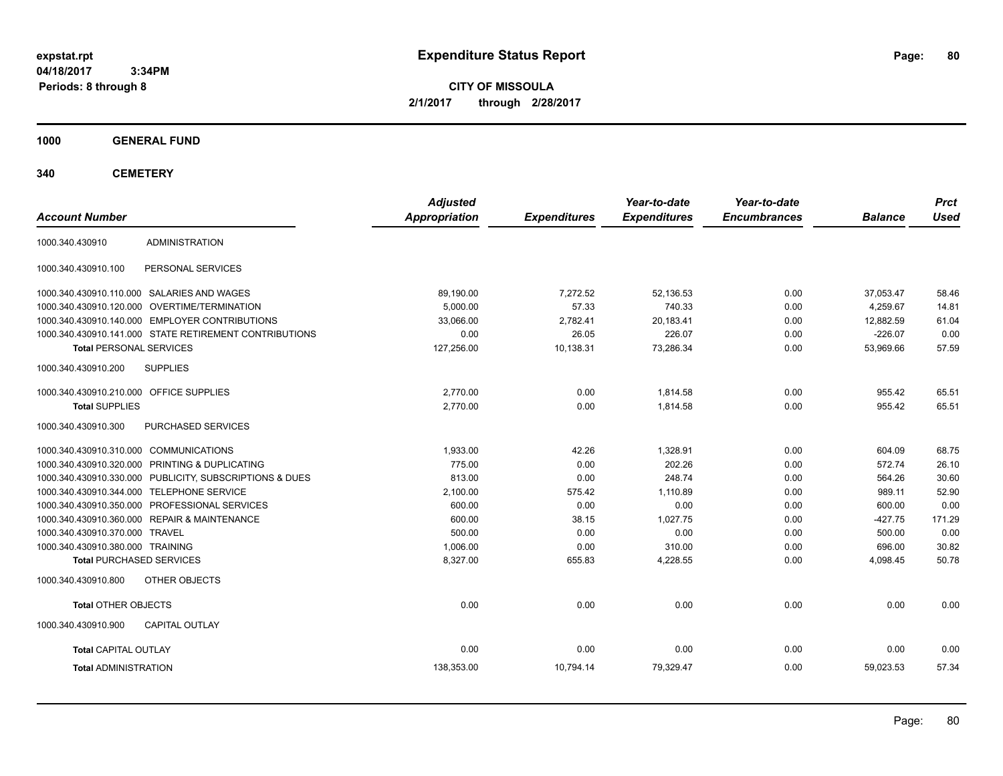**80**

**CITY OF MISSOULA 2/1/2017 through 2/28/2017**

**1000 GENERAL FUND**

**340 CEMETERY**

| <b>Account Number</b>                   |                                                         | <b>Adjusted</b><br><b>Appropriation</b> | <b>Expenditures</b> | Year-to-date<br><b>Expenditures</b> | Year-to-date<br><b>Encumbrances</b> | <b>Balance</b> | <b>Prct</b><br><b>Used</b> |
|-----------------------------------------|---------------------------------------------------------|-----------------------------------------|---------------------|-------------------------------------|-------------------------------------|----------------|----------------------------|
| 1000.340.430910                         | <b>ADMINISTRATION</b>                                   |                                         |                     |                                     |                                     |                |                            |
| 1000.340.430910.100                     | PERSONAL SERVICES                                       |                                         |                     |                                     |                                     |                |                            |
|                                         | 1000.340.430910.110.000 SALARIES AND WAGES              | 89,190.00                               | 7,272.52            | 52,136.53                           | 0.00                                | 37,053.47      | 58.46                      |
|                                         | 1000.340.430910.120.000 OVERTIME/TERMINATION            | 5,000.00                                | 57.33               | 740.33                              | 0.00                                | 4,259.67       | 14.81                      |
|                                         | 1000.340.430910.140.000 EMPLOYER CONTRIBUTIONS          | 33.066.00                               | 2,782.41            | 20,183.41                           | 0.00                                | 12,882.59      | 61.04                      |
|                                         | 1000.340.430910.141.000 STATE RETIREMENT CONTRIBUTIONS  | 0.00                                    | 26.05               | 226.07                              | 0.00                                | $-226.07$      | 0.00                       |
| <b>Total PERSONAL SERVICES</b>          |                                                         | 127,256.00                              | 10,138.31           | 73,286.34                           | 0.00                                | 53,969.66      | 57.59                      |
| 1000.340.430910.200                     | <b>SUPPLIES</b>                                         |                                         |                     |                                     |                                     |                |                            |
| 1000.340.430910.210.000 OFFICE SUPPLIES |                                                         | 2,770.00                                | 0.00                | 1,814.58                            | 0.00                                | 955.42         | 65.51                      |
| <b>Total SUPPLIES</b>                   |                                                         | 2,770.00                                | 0.00                | 1,814.58                            | 0.00                                | 955.42         | 65.51                      |
| 1000.340.430910.300                     | PURCHASED SERVICES                                      |                                         |                     |                                     |                                     |                |                            |
| 1000.340.430910.310.000 COMMUNICATIONS  |                                                         | 1,933.00                                | 42.26               | 1,328.91                            | 0.00                                | 604.09         | 68.75                      |
|                                         | 1000.340.430910.320.000 PRINTING & DUPLICATING          | 775.00                                  | 0.00                | 202.26                              | 0.00                                | 572.74         | 26.10                      |
|                                         | 1000.340.430910.330.000 PUBLICITY, SUBSCRIPTIONS & DUES | 813.00                                  | 0.00                | 248.74                              | 0.00                                | 564.26         | 30.60                      |
|                                         | 1000.340.430910.344.000 TELEPHONE SERVICE               | 2,100.00                                | 575.42              | 1,110.89                            | 0.00                                | 989.11         | 52.90                      |
|                                         | 1000.340.430910.350.000 PROFESSIONAL SERVICES           | 600.00                                  | 0.00                | 0.00                                | 0.00                                | 600.00         | 0.00                       |
|                                         | 1000.340.430910.360.000 REPAIR & MAINTENANCE            | 600.00                                  | 38.15               | 1,027.75                            | 0.00                                | $-427.75$      | 171.29                     |
| 1000.340.430910.370.000 TRAVEL          |                                                         | 500.00                                  | 0.00                | 0.00                                | 0.00                                | 500.00         | 0.00                       |
| 1000.340.430910.380.000 TRAINING        |                                                         | 1,006.00                                | 0.00                | 310.00                              | 0.00                                | 696.00         | 30.82                      |
| <b>Total PURCHASED SERVICES</b>         |                                                         | 8,327.00                                | 655.83              | 4,228.55                            | 0.00                                | 4,098.45       | 50.78                      |
| 1000.340.430910.800                     | OTHER OBJECTS                                           |                                         |                     |                                     |                                     |                |                            |
| <b>Total OTHER OBJECTS</b>              |                                                         | 0.00                                    | 0.00                | 0.00                                | 0.00                                | 0.00           | 0.00                       |
| 1000.340.430910.900                     | <b>CAPITAL OUTLAY</b>                                   |                                         |                     |                                     |                                     |                |                            |
| <b>Total CAPITAL OUTLAY</b>             |                                                         | 0.00                                    | 0.00                | 0.00                                | 0.00                                | 0.00           | 0.00                       |
| <b>Total ADMINISTRATION</b>             |                                                         | 138,353.00                              | 10,794.14           | 79,329.47                           | 0.00                                | 59,023.53      | 57.34                      |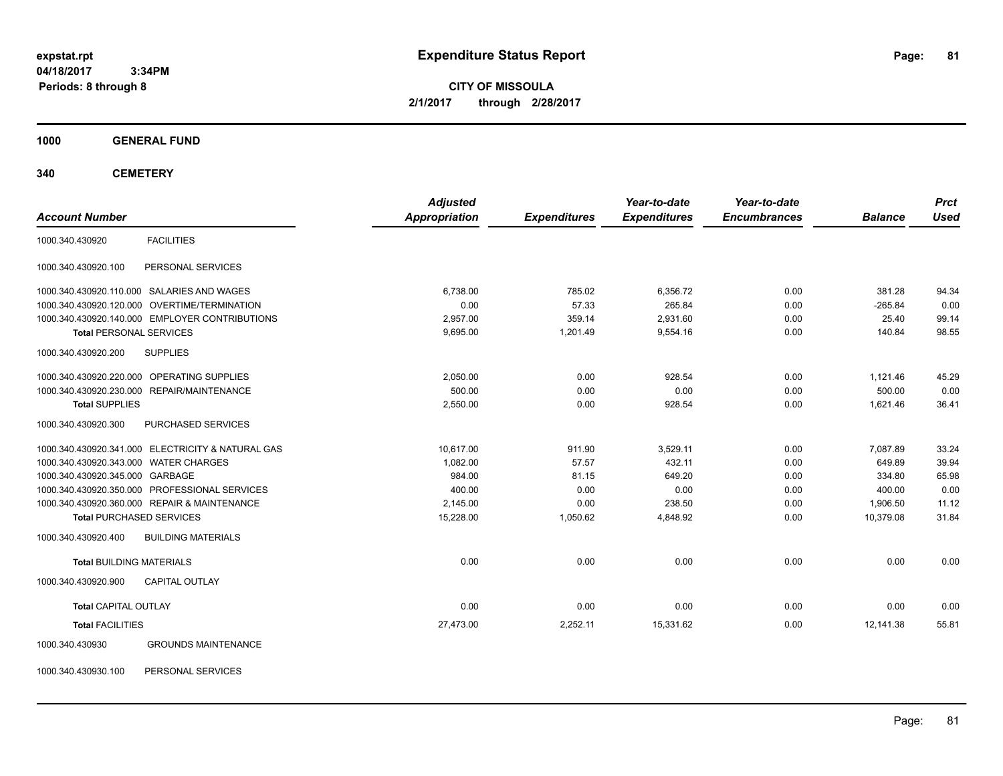**CITY OF MISSOULA 2/1/2017 through 2/28/2017**

**1000 GENERAL FUND**

**340 CEMETERY**

| <b>Account Number</b>                 |                                                   | <b>Adjusted</b><br><b>Appropriation</b> | <b>Expenditures</b> | Year-to-date<br><b>Expenditures</b> | Year-to-date<br><b>Encumbrances</b> | <b>Balance</b> | <b>Prct</b><br><b>Used</b> |
|---------------------------------------|---------------------------------------------------|-----------------------------------------|---------------------|-------------------------------------|-------------------------------------|----------------|----------------------------|
|                                       |                                                   |                                         |                     |                                     |                                     |                |                            |
| 1000.340.430920                       | <b>FACILITIES</b>                                 |                                         |                     |                                     |                                     |                |                            |
| 1000.340.430920.100                   | PERSONAL SERVICES                                 |                                         |                     |                                     |                                     |                |                            |
|                                       | 1000.340.430920.110.000 SALARIES AND WAGES        | 6.738.00                                | 785.02              | 6,356.72                            | 0.00                                | 381.28         | 94.34                      |
|                                       | 1000.340.430920.120.000 OVERTIME/TERMINATION      | 0.00                                    | 57.33               | 265.84                              | 0.00                                | $-265.84$      | 0.00                       |
|                                       | 1000.340.430920.140.000 EMPLOYER CONTRIBUTIONS    | 2.957.00                                | 359.14              | 2,931.60                            | 0.00                                | 25.40          | 99.14                      |
| <b>Total PERSONAL SERVICES</b>        |                                                   | 9,695.00                                | 1,201.49            | 9,554.16                            | 0.00                                | 140.84         | 98.55                      |
| 1000.340.430920.200                   | <b>SUPPLIES</b>                                   |                                         |                     |                                     |                                     |                |                            |
|                                       | 1000.340.430920.220.000 OPERATING SUPPLIES        | 2,050.00                                | 0.00                | 928.54                              | 0.00                                | 1,121.46       | 45.29                      |
|                                       | 1000.340.430920.230.000 REPAIR/MAINTENANCE        | 500.00                                  | 0.00                | 0.00                                | 0.00                                | 500.00         | 0.00                       |
| <b>Total SUPPLIES</b>                 |                                                   | 2,550.00                                | 0.00                | 928.54                              | 0.00                                | 1,621.46       | 36.41                      |
| 1000.340.430920.300                   | <b>PURCHASED SERVICES</b>                         |                                         |                     |                                     |                                     |                |                            |
|                                       | 1000.340.430920.341.000 ELECTRICITY & NATURAL GAS | 10,617.00                               | 911.90              | 3,529.11                            | 0.00                                | 7,087.89       | 33.24                      |
| 1000.340.430920.343.000 WATER CHARGES |                                                   | 1,082.00                                | 57.57               | 432.11                              | 0.00                                | 649.89         | 39.94                      |
| 1000.340.430920.345.000 GARBAGE       |                                                   | 984.00                                  | 81.15               | 649.20                              | 0.00                                | 334.80         | 65.98                      |
|                                       | 1000.340.430920.350.000 PROFESSIONAL SERVICES     | 400.00                                  | 0.00                | 0.00                                | 0.00                                | 400.00         | 0.00                       |
|                                       | 1000.340.430920.360.000 REPAIR & MAINTENANCE      | 2,145.00                                | 0.00                | 238.50                              | 0.00                                | 1,906.50       | 11.12                      |
| <b>Total PURCHASED SERVICES</b>       |                                                   | 15,228.00                               | 1,050.62            | 4,848.92                            | 0.00                                | 10,379.08      | 31.84                      |
| 1000.340.430920.400                   | <b>BUILDING MATERIALS</b>                         |                                         |                     |                                     |                                     |                |                            |
| <b>Total BUILDING MATERIALS</b>       |                                                   | 0.00                                    | 0.00                | 0.00                                | 0.00                                | 0.00           | 0.00                       |
| 1000.340.430920.900                   | <b>CAPITAL OUTLAY</b>                             |                                         |                     |                                     |                                     |                |                            |
| <b>Total CAPITAL OUTLAY</b>           |                                                   | 0.00                                    | 0.00                | 0.00                                | 0.00                                | 0.00           | 0.00                       |
| <b>Total FACILITIES</b>               |                                                   | 27,473.00                               | 2,252.11            | 15,331.62                           | 0.00                                | 12,141.38      | 55.81                      |
| 1000.340.430930                       | <b>GROUNDS MAINTENANCE</b>                        |                                         |                     |                                     |                                     |                |                            |

1000.340.430930.100 PERSONAL SERVICES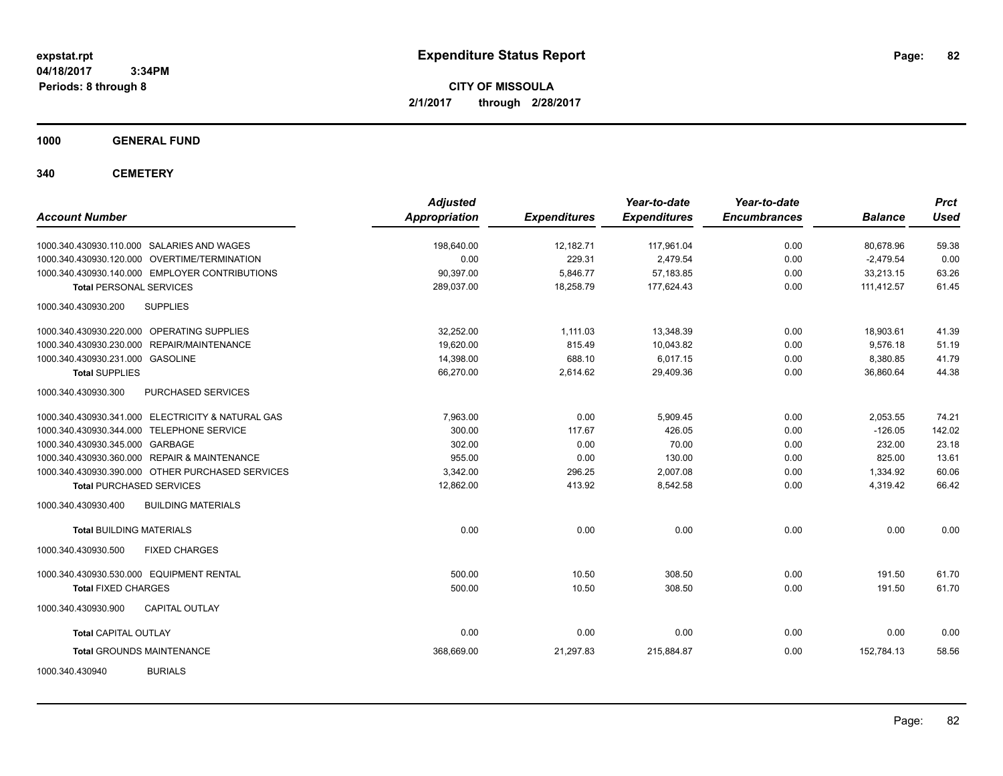**CITY OF MISSOULA 2/1/2017 through 2/28/2017**

**1000 GENERAL FUND**

**340 CEMETERY**

| <b>Account Number</b>                             | <b>Adjusted</b><br><b>Appropriation</b> | <b>Expenditures</b> | Year-to-date<br><b>Expenditures</b> | Year-to-date<br><b>Encumbrances</b> | <b>Balance</b> | <b>Prct</b><br><b>Used</b> |
|---------------------------------------------------|-----------------------------------------|---------------------|-------------------------------------|-------------------------------------|----------------|----------------------------|
| 1000.340.430930.110.000 SALARIES AND WAGES        | 198,640.00                              | 12,182.71           | 117,961.04                          | 0.00                                | 80,678.96      | 59.38                      |
| 1000.340.430930.120.000 OVERTIME/TERMINATION      | 0.00                                    | 229.31              | 2,479.54                            | 0.00                                | $-2,479.54$    | 0.00                       |
| 1000.340.430930.140.000 EMPLOYER CONTRIBUTIONS    | 90,397.00                               | 5,846.77            | 57,183.85                           | 0.00                                | 33,213.15      | 63.26                      |
| <b>Total PERSONAL SERVICES</b>                    | 289,037.00                              | 18,258.79           | 177,624.43                          | 0.00                                | 111,412.57     | 61.45                      |
| 1000.340.430930.200<br><b>SUPPLIES</b>            |                                         |                     |                                     |                                     |                |                            |
| 1000.340.430930.220.000 OPERATING SUPPLIES        | 32.252.00                               | 1.111.03            | 13,348.39                           | 0.00                                | 18,903.61      | 41.39                      |
| 1000.340.430930.230.000 REPAIR/MAINTENANCE        | 19,620.00                               | 815.49              | 10,043.82                           | 0.00                                | 9,576.18       | 51.19                      |
| 1000.340.430930.231.000 GASOLINE                  | 14,398.00                               | 688.10              | 6,017.15                            | 0.00                                | 8,380.85       | 41.79                      |
| <b>Total SUPPLIES</b>                             | 66,270.00                               | 2,614.62            | 29,409.36                           | 0.00                                | 36,860.64      | 44.38                      |
| PURCHASED SERVICES<br>1000.340.430930.300         |                                         |                     |                                     |                                     |                |                            |
| 1000.340.430930.341.000 ELECTRICITY & NATURAL GAS | 7.963.00                                | 0.00                | 5.909.45                            | 0.00                                | 2,053.55       | 74.21                      |
| 1000.340.430930.344.000 TELEPHONE SERVICE         | 300.00                                  | 117.67              | 426.05                              | 0.00                                | $-126.05$      | 142.02                     |
| 1000.340.430930.345.000 GARBAGE                   | 302.00                                  | 0.00                | 70.00                               | 0.00                                | 232.00         | 23.18                      |
| 1000.340.430930.360.000 REPAIR & MAINTENANCE      | 955.00                                  | 0.00                | 130.00                              | 0.00                                | 825.00         | 13.61                      |
| 1000.340.430930.390.000 OTHER PURCHASED SERVICES  | 3.342.00                                | 296.25              | 2,007.08                            | 0.00                                | 1,334.92       | 60.06                      |
| <b>Total PURCHASED SERVICES</b>                   | 12,862.00                               | 413.92              | 8,542.58                            | 0.00                                | 4,319.42       | 66.42                      |
| <b>BUILDING MATERIALS</b><br>1000.340.430930.400  |                                         |                     |                                     |                                     |                |                            |
| <b>Total BUILDING MATERIALS</b>                   | 0.00                                    | 0.00                | 0.00                                | 0.00                                | 0.00           | 0.00                       |
| 1000.340.430930.500<br><b>FIXED CHARGES</b>       |                                         |                     |                                     |                                     |                |                            |
| 1000.340.430930.530.000 EQUIPMENT RENTAL          | 500.00                                  | 10.50               | 308.50                              | 0.00                                | 191.50         | 61.70                      |
| <b>Total FIXED CHARGES</b>                        | 500.00                                  | 10.50               | 308.50                              | 0.00                                | 191.50         | 61.70                      |
| <b>CAPITAL OUTLAY</b><br>1000.340.430930.900      |                                         |                     |                                     |                                     |                |                            |
| <b>Total CAPITAL OUTLAY</b>                       | 0.00                                    | 0.00                | 0.00                                | 0.00                                | 0.00           | 0.00                       |
| <b>Total GROUNDS MAINTENANCE</b>                  | 368,669.00                              | 21,297.83           | 215,884.87                          | 0.00                                | 152,784.13     | 58.56                      |
| <b>BURIALS</b><br>1000.340.430940                 |                                         |                     |                                     |                                     |                |                            |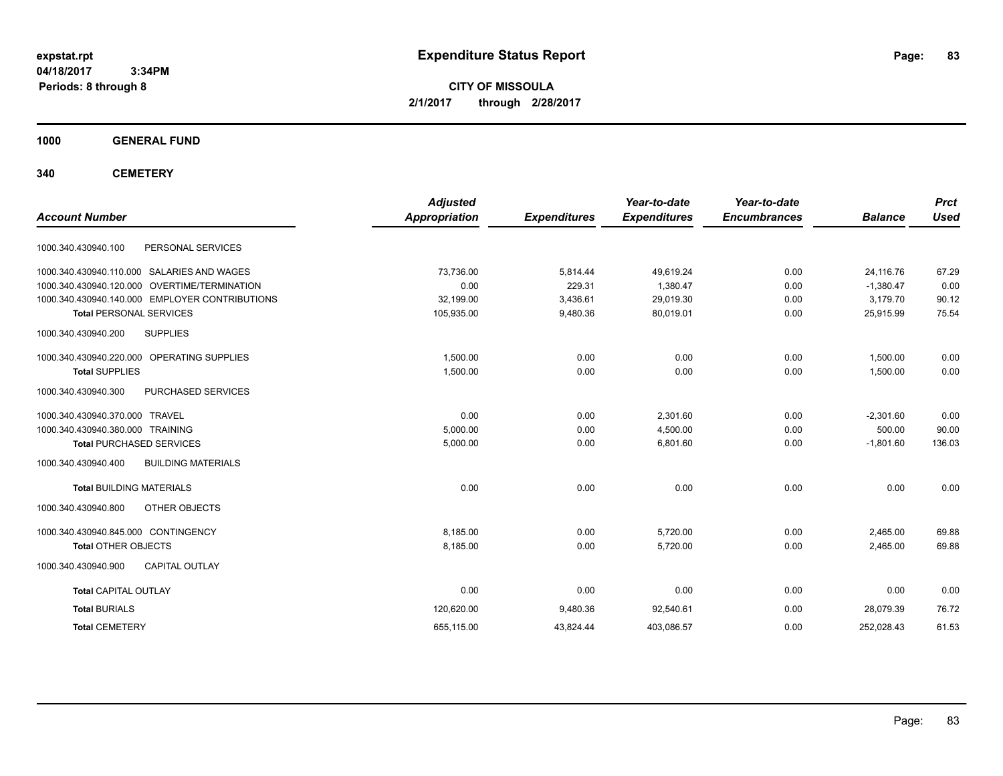**CITY OF MISSOULA 2/1/2017 through 2/28/2017**

**1000 GENERAL FUND**

**340 CEMETERY**

| <b>Account Number</b>                            | <b>Adjusted</b><br><b>Appropriation</b> | <b>Expenditures</b> | Year-to-date<br><b>Expenditures</b> | Year-to-date<br><b>Encumbrances</b> | <b>Balance</b> | <b>Prct</b><br><b>Used</b> |
|--------------------------------------------------|-----------------------------------------|---------------------|-------------------------------------|-------------------------------------|----------------|----------------------------|
|                                                  |                                         |                     |                                     |                                     |                |                            |
| 1000.340.430940.100<br>PERSONAL SERVICES         |                                         |                     |                                     |                                     |                |                            |
| 1000.340.430940.110.000 SALARIES AND WAGES       | 73,736.00                               | 5,814.44            | 49,619.24                           | 0.00                                | 24,116.76      | 67.29                      |
| 1000.340.430940.120.000 OVERTIME/TERMINATION     | 0.00                                    | 229.31              | 1,380.47                            | 0.00                                | $-1,380.47$    | 0.00                       |
| 1000.340.430940.140.000 EMPLOYER CONTRIBUTIONS   | 32,199.00                               | 3,436.61            | 29,019.30                           | 0.00                                | 3,179.70       | 90.12                      |
| <b>Total PERSONAL SERVICES</b>                   | 105,935.00                              | 9,480.36            | 80,019.01                           | 0.00                                | 25,915.99      | 75.54                      |
| <b>SUPPLIES</b><br>1000.340.430940.200           |                                         |                     |                                     |                                     |                |                            |
| 1000.340.430940.220.000 OPERATING SUPPLIES       | 1.500.00                                | 0.00                | 0.00                                | 0.00                                | 1.500.00       | 0.00                       |
| <b>Total SUPPLIES</b>                            | 1,500.00                                | 0.00                | 0.00                                | 0.00                                | 1,500.00       | 0.00                       |
| 1000.340.430940.300<br>PURCHASED SERVICES        |                                         |                     |                                     |                                     |                |                            |
| 1000.340.430940.370.000 TRAVEL                   | 0.00                                    | 0.00                | 2.301.60                            | 0.00                                | $-2,301.60$    | 0.00                       |
| 1000.340.430940.380.000 TRAINING                 | 5,000.00                                | 0.00                | 4,500.00                            | 0.00                                | 500.00         | 90.00                      |
| <b>Total PURCHASED SERVICES</b>                  | 5,000.00                                | 0.00                | 6,801.60                            | 0.00                                | $-1,801.60$    | 136.03                     |
| 1000.340.430940.400<br><b>BUILDING MATERIALS</b> |                                         |                     |                                     |                                     |                |                            |
| <b>Total BUILDING MATERIALS</b>                  | 0.00                                    | 0.00                | 0.00                                | 0.00                                | 0.00           | 0.00                       |
| 1000.340.430940.800<br>OTHER OBJECTS             |                                         |                     |                                     |                                     |                |                            |
| 1000.340.430940.845.000 CONTINGENCY              | 8.185.00                                | 0.00                | 5.720.00                            | 0.00                                | 2,465.00       | 69.88                      |
| <b>Total OTHER OBJECTS</b>                       | 8,185.00                                | 0.00                | 5,720.00                            | 0.00                                | 2,465.00       | 69.88                      |
| CAPITAL OUTLAY<br>1000.340.430940.900            |                                         |                     |                                     |                                     |                |                            |
| <b>Total CAPITAL OUTLAY</b>                      | 0.00                                    | 0.00                | 0.00                                | 0.00                                | 0.00           | 0.00                       |
| <b>Total BURIALS</b>                             | 120,620.00                              | 9,480.36            | 92,540.61                           | 0.00                                | 28.079.39      | 76.72                      |
| <b>Total CEMETERY</b>                            | 655,115.00                              | 43,824.44           | 403,086.57                          | 0.00                                | 252,028.43     | 61.53                      |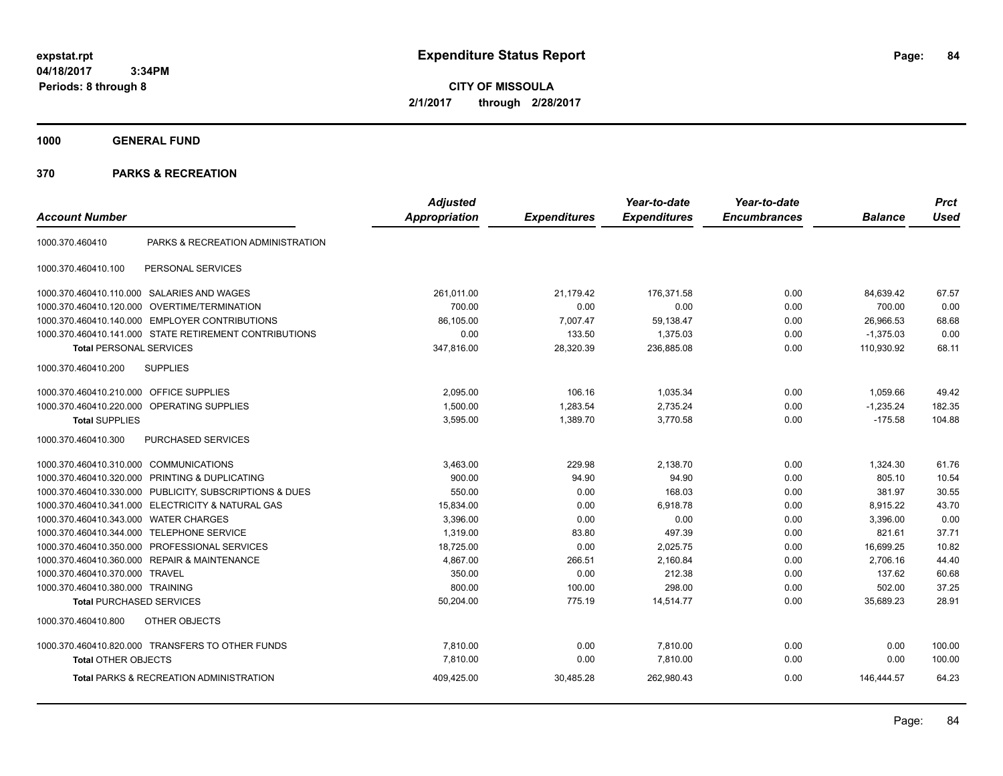**CITY OF MISSOULA 2/1/2017 through 2/28/2017**

**1000 GENERAL FUND**

|                                         |                                                         | <b>Adjusted</b>      |                     | Year-to-date        | Year-to-date        |                | <b>Prct</b> |
|-----------------------------------------|---------------------------------------------------------|----------------------|---------------------|---------------------|---------------------|----------------|-------------|
| <b>Account Number</b>                   |                                                         | <b>Appropriation</b> | <b>Expenditures</b> | <b>Expenditures</b> | <b>Encumbrances</b> | <b>Balance</b> | <b>Used</b> |
| 1000.370.460410                         | PARKS & RECREATION ADMINISTRATION                       |                      |                     |                     |                     |                |             |
| 1000.370.460410.100                     | PERSONAL SERVICES                                       |                      |                     |                     |                     |                |             |
|                                         | 1000.370.460410.110.000 SALARIES AND WAGES              | 261,011.00           | 21,179.42           | 176,371.58          | 0.00                | 84,639.42      | 67.57       |
| 1000.370.460410.120.000                 | <b>OVERTIME/TERMINATION</b>                             | 700.00               | 0.00                | 0.00                | 0.00                | 700.00         | 0.00        |
|                                         | 1000.370.460410.140.000 EMPLOYER CONTRIBUTIONS          | 86,105.00            | 7,007.47            | 59,138.47           | 0.00                | 26,966.53      | 68.68       |
|                                         | 1000.370.460410.141.000 STATE RETIREMENT CONTRIBUTIONS  | 0.00                 | 133.50              | 1,375.03            | 0.00                | $-1,375.03$    | 0.00        |
| <b>Total PERSONAL SERVICES</b>          |                                                         | 347,816.00           | 28,320.39           | 236,885.08          | 0.00                | 110,930.92     | 68.11       |
| 1000.370.460410.200                     | <b>SUPPLIES</b>                                         |                      |                     |                     |                     |                |             |
| 1000.370.460410.210.000 OFFICE SUPPLIES |                                                         | 2,095.00             | 106.16              | 1,035.34            | 0.00                | 1,059.66       | 49.42       |
|                                         | 1000.370.460410.220.000 OPERATING SUPPLIES              | 1,500.00             | 1,283.54            | 2,735.24            | 0.00                | $-1,235.24$    | 182.35      |
| <b>Total SUPPLIES</b>                   |                                                         | 3,595.00             | 1,389.70            | 3,770.58            | 0.00                | $-175.58$      | 104.88      |
| 1000.370.460410.300                     | PURCHASED SERVICES                                      |                      |                     |                     |                     |                |             |
| 1000.370.460410.310.000 COMMUNICATIONS  |                                                         | 3,463.00             | 229.98              | 2,138.70            | 0.00                | 1,324.30       | 61.76       |
| 1000.370.460410.320.000                 | PRINTING & DUPLICATING                                  | 900.00               | 94.90               | 94.90               | 0.00                | 805.10         | 10.54       |
|                                         | 1000.370.460410.330.000 PUBLICITY, SUBSCRIPTIONS & DUES | 550.00               | 0.00                | 168.03              | 0.00                | 381.97         | 30.55       |
|                                         | 1000.370.460410.341.000 ELECTRICITY & NATURAL GAS       | 15,834.00            | 0.00                | 6,918.78            | 0.00                | 8,915.22       | 43.70       |
| 1000.370.460410.343.000                 | <b>WATER CHARGES</b>                                    | 3,396.00             | 0.00                | 0.00                | 0.00                | 3,396.00       | 0.00        |
| 1000.370.460410.344.000                 | <b>TELEPHONE SERVICE</b>                                | 1,319.00             | 83.80               | 497.39              | 0.00                | 821.61         | 37.71       |
| 1000.370.460410.350.000                 | PROFESSIONAL SERVICES                                   | 18,725.00            | 0.00                | 2,025.75            | 0.00                | 16,699.25      | 10.82       |
|                                         | 1000.370.460410.360.000 REPAIR & MAINTENANCE            | 4,867.00             | 266.51              | 2,160.84            | 0.00                | 2,706.16       | 44.40       |
| 1000.370.460410.370.000 TRAVEL          |                                                         | 350.00               | 0.00                | 212.38              | 0.00                | 137.62         | 60.68       |
| 1000.370.460410.380.000 TRAINING        |                                                         | 800.00               | 100.00              | 298.00              | 0.00                | 502.00         | 37.25       |
| <b>Total PURCHASED SERVICES</b>         |                                                         | 50,204.00            | 775.19              | 14,514.77           | 0.00                | 35,689.23      | 28.91       |
| 1000.370.460410.800                     | OTHER OBJECTS                                           |                      |                     |                     |                     |                |             |
|                                         | 1000.370.460410.820.000 TRANSFERS TO OTHER FUNDS        | 7,810.00             | 0.00                | 7,810.00            | 0.00                | 0.00           | 100.00      |
| <b>Total OTHER OBJECTS</b>              |                                                         | 7,810.00             | 0.00                | 7,810.00            | 0.00                | 0.00           | 100.00      |
|                                         | <b>Total PARKS &amp; RECREATION ADMINISTRATION</b>      | 409,425.00           | 30,485.28           | 262,980.43          | 0.00                | 146,444.57     | 64.23       |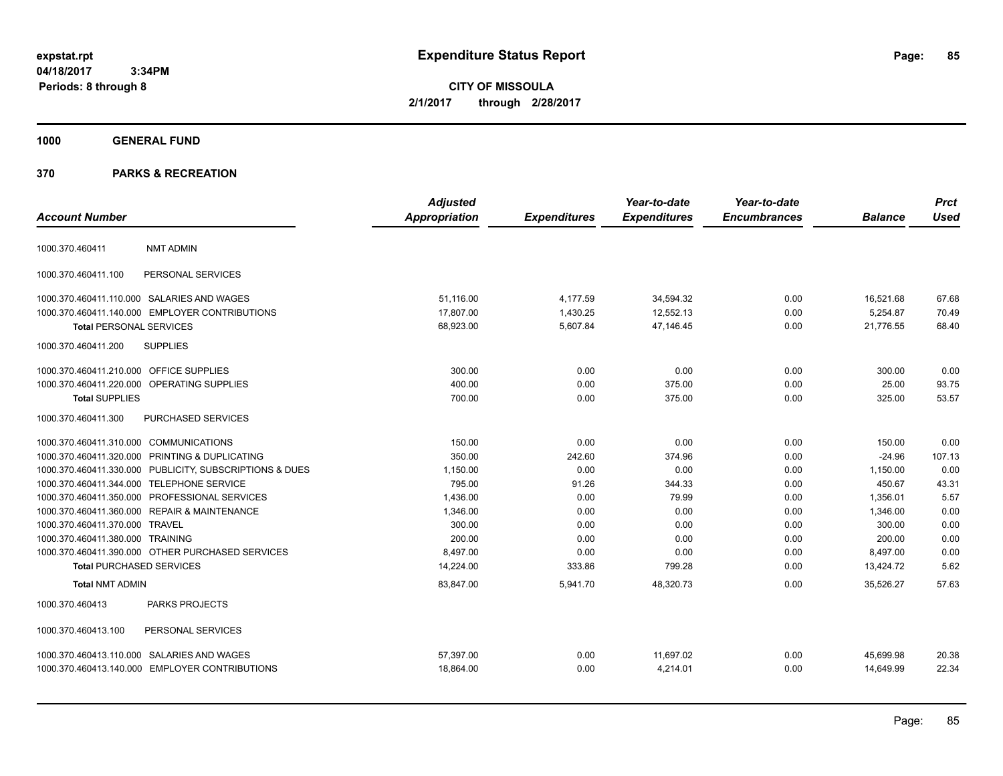**CITY OF MISSOULA 2/1/2017 through 2/28/2017**

# **1000 GENERAL FUND**

|                                         |                                                         | <b>Adjusted</b>      |                     | Year-to-date        | Year-to-date        |                | <b>Prct</b> |
|-----------------------------------------|---------------------------------------------------------|----------------------|---------------------|---------------------|---------------------|----------------|-------------|
| <b>Account Number</b>                   |                                                         | <b>Appropriation</b> | <b>Expenditures</b> | <b>Expenditures</b> | <b>Encumbrances</b> | <b>Balance</b> | <b>Used</b> |
| 1000.370.460411                         | <b>NMT ADMIN</b>                                        |                      |                     |                     |                     |                |             |
| 1000.370.460411.100                     | PERSONAL SERVICES                                       |                      |                     |                     |                     |                |             |
|                                         | 1000.370.460411.110.000 SALARIES AND WAGES              | 51.116.00            | 4,177.59            | 34,594.32           | 0.00                | 16,521.68      | 67.68       |
|                                         | 1000.370.460411.140.000 EMPLOYER CONTRIBUTIONS          | 17,807.00            | 1,430.25            | 12,552.13           | 0.00                | 5,254.87       | 70.49       |
| <b>Total PERSONAL SERVICES</b>          |                                                         | 68,923.00            | 5,607.84            | 47,146.45           | 0.00                | 21,776.55      | 68.40       |
| 1000.370.460411.200                     | <b>SUPPLIES</b>                                         |                      |                     |                     |                     |                |             |
| 1000.370.460411.210.000 OFFICE SUPPLIES |                                                         | 300.00               | 0.00                | 0.00                | 0.00                | 300.00         | 0.00        |
|                                         | 1000.370.460411.220.000 OPERATING SUPPLIES              | 400.00               | 0.00                | 375.00              | 0.00                | 25.00          | 93.75       |
| <b>Total SUPPLIES</b>                   |                                                         | 700.00               | 0.00                | 375.00              | 0.00                | 325.00         | 53.57       |
| 1000.370.460411.300                     | PURCHASED SERVICES                                      |                      |                     |                     |                     |                |             |
| 1000.370.460411.310.000 COMMUNICATIONS  |                                                         | 150.00               | 0.00                | 0.00                | 0.00                | 150.00         | 0.00        |
|                                         | 1000.370.460411.320.000 PRINTING & DUPLICATING          | 350.00               | 242.60              | 374.96              | 0.00                | $-24.96$       | 107.13      |
|                                         | 1000.370.460411.330.000 PUBLICITY, SUBSCRIPTIONS & DUES | 1,150.00             | 0.00                | 0.00                | 0.00                | 1,150.00       | 0.00        |
|                                         | 1000.370.460411.344.000 TELEPHONE SERVICE               | 795.00               | 91.26               | 344.33              | 0.00                | 450.67         | 43.31       |
|                                         | 1000.370.460411.350.000 PROFESSIONAL SERVICES           | 1,436.00             | 0.00                | 79.99               | 0.00                | 1,356.01       | 5.57        |
|                                         | 1000.370.460411.360.000 REPAIR & MAINTENANCE            | 1,346.00             | 0.00                | 0.00                | 0.00                | 1.346.00       | 0.00        |
| 1000.370.460411.370.000 TRAVEL          |                                                         | 300.00               | 0.00                | 0.00                | 0.00                | 300.00         | 0.00        |
| 1000.370.460411.380.000 TRAINING        |                                                         | 200.00               | 0.00                | 0.00                | 0.00                | 200.00         | 0.00        |
|                                         | 1000.370.460411.390.000 OTHER PURCHASED SERVICES        | 8.497.00             | 0.00                | 0.00                | 0.00                | 8,497.00       | 0.00        |
| <b>Total PURCHASED SERVICES</b>         |                                                         | 14,224.00            | 333.86              | 799.28              | 0.00                | 13,424.72      | 5.62        |
| <b>Total NMT ADMIN</b>                  |                                                         | 83,847.00            | 5,941.70            | 48,320.73           | 0.00                | 35.526.27      | 57.63       |
| 1000.370.460413                         | PARKS PROJECTS                                          |                      |                     |                     |                     |                |             |
| 1000.370.460413.100                     | PERSONAL SERVICES                                       |                      |                     |                     |                     |                |             |
|                                         | 1000.370.460413.110.000 SALARIES AND WAGES              | 57,397.00            | 0.00                | 11,697.02           | 0.00                | 45,699.98      | 20.38       |
|                                         | 1000.370.460413.140.000 EMPLOYER CONTRIBUTIONS          | 18,864.00            | 0.00                | 4,214.01            | 0.00                | 14,649.99      | 22.34       |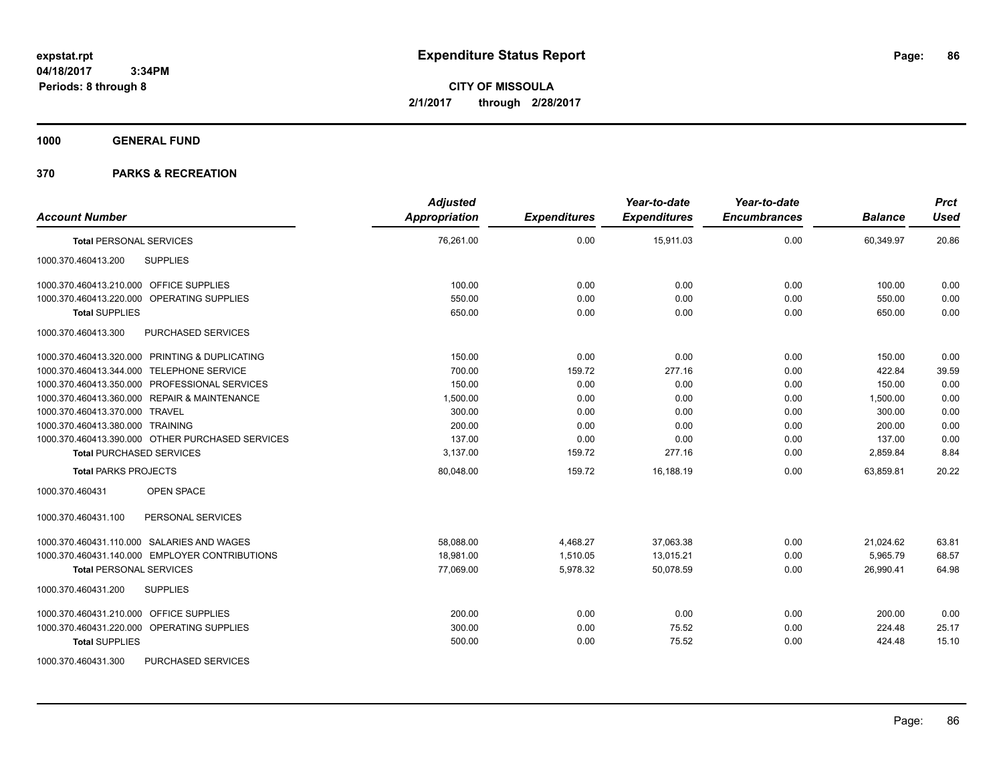**CITY OF MISSOULA 2/1/2017 through 2/28/2017**

**1000 GENERAL FUND**

| <b>Account Number</b>                            | <b>Adjusted</b><br>Appropriation | <b>Expenditures</b> | Year-to-date<br><b>Expenditures</b> | Year-to-date<br><b>Encumbrances</b> | <b>Balance</b> | <b>Prct</b><br><b>Used</b> |
|--------------------------------------------------|----------------------------------|---------------------|-------------------------------------|-------------------------------------|----------------|----------------------------|
| <b>Total PERSONAL SERVICES</b>                   | 76,261.00                        | 0.00                | 15,911.03                           | 0.00                                | 60,349.97      | 20.86                      |
| <b>SUPPLIES</b><br>1000.370.460413.200           |                                  |                     |                                     |                                     |                |                            |
| 1000.370.460413.210.000 OFFICE SUPPLIES          | 100.00                           | 0.00                | 0.00                                | 0.00                                | 100.00         | 0.00                       |
| 1000.370.460413.220.000 OPERATING SUPPLIES       | 550.00                           | 0.00                | 0.00                                | 0.00                                | 550.00         | 0.00                       |
| <b>Total SUPPLIES</b>                            | 650.00                           | 0.00                | 0.00                                | 0.00                                | 650.00         | 0.00                       |
| 1000.370.460413.300<br>PURCHASED SERVICES        |                                  |                     |                                     |                                     |                |                            |
| 1000.370.460413.320.000 PRINTING & DUPLICATING   | 150.00                           | 0.00                | 0.00                                | 0.00                                | 150.00         | 0.00                       |
| 1000.370.460413.344.000 TELEPHONE SERVICE        | 700.00                           | 159.72              | 277.16                              | 0.00                                | 422.84         | 39.59                      |
| 1000.370.460413.350.000 PROFESSIONAL SERVICES    | 150.00                           | 0.00                | 0.00                                | 0.00                                | 150.00         | 0.00                       |
| 1000.370.460413.360.000 REPAIR & MAINTENANCE     | 1,500.00                         | 0.00                | 0.00                                | 0.00                                | 1,500.00       | 0.00                       |
| 1000.370.460413.370.000 TRAVEL                   | 300.00                           | 0.00                | 0.00                                | 0.00                                | 300.00         | 0.00                       |
| 1000.370.460413.380.000 TRAINING                 | 200.00                           | 0.00                | 0.00                                | 0.00                                | 200.00         | 0.00                       |
| 1000.370.460413.390.000 OTHER PURCHASED SERVICES | 137.00                           | 0.00                | 0.00                                | 0.00                                | 137.00         | 0.00                       |
| <b>Total PURCHASED SERVICES</b>                  | 3,137.00                         | 159.72              | 277.16                              | 0.00                                | 2,859.84       | 8.84                       |
| <b>Total PARKS PROJECTS</b>                      | 80,048.00                        | 159.72              | 16.188.19                           | 0.00                                | 63.859.81      | 20.22                      |
| 1000.370.460431<br><b>OPEN SPACE</b>             |                                  |                     |                                     |                                     |                |                            |
| 1000.370.460431.100<br>PERSONAL SERVICES         |                                  |                     |                                     |                                     |                |                            |
| 1000.370.460431.110.000 SALARIES AND WAGES       | 58,088.00                        | 4,468.27            | 37,063.38                           | 0.00                                | 21,024.62      | 63.81                      |
| 1000.370.460431.140.000 EMPLOYER CONTRIBUTIONS   | 18,981.00                        | 1,510.05            | 13,015.21                           | 0.00                                | 5,965.79       | 68.57                      |
| <b>Total PERSONAL SERVICES</b>                   | 77,069.00                        | 5,978.32            | 50,078.59                           | 0.00                                | 26,990.41      | 64.98                      |
| 1000.370.460431.200<br><b>SUPPLIES</b>           |                                  |                     |                                     |                                     |                |                            |
| 1000.370.460431.210.000 OFFICE SUPPLIES          | 200.00                           | 0.00                | 0.00                                | 0.00                                | 200.00         | 0.00                       |
| 1000.370.460431.220.000 OPERATING SUPPLIES       | 300.00                           | 0.00                | 75.52                               | 0.00                                | 224.48         | 25.17                      |
| <b>Total SUPPLIES</b>                            | 500.00                           | 0.00                | 75.52                               | 0.00                                | 424.48         | 15.10                      |
| 1000.370.460431.300<br><b>PURCHASED SERVICES</b> |                                  |                     |                                     |                                     |                |                            |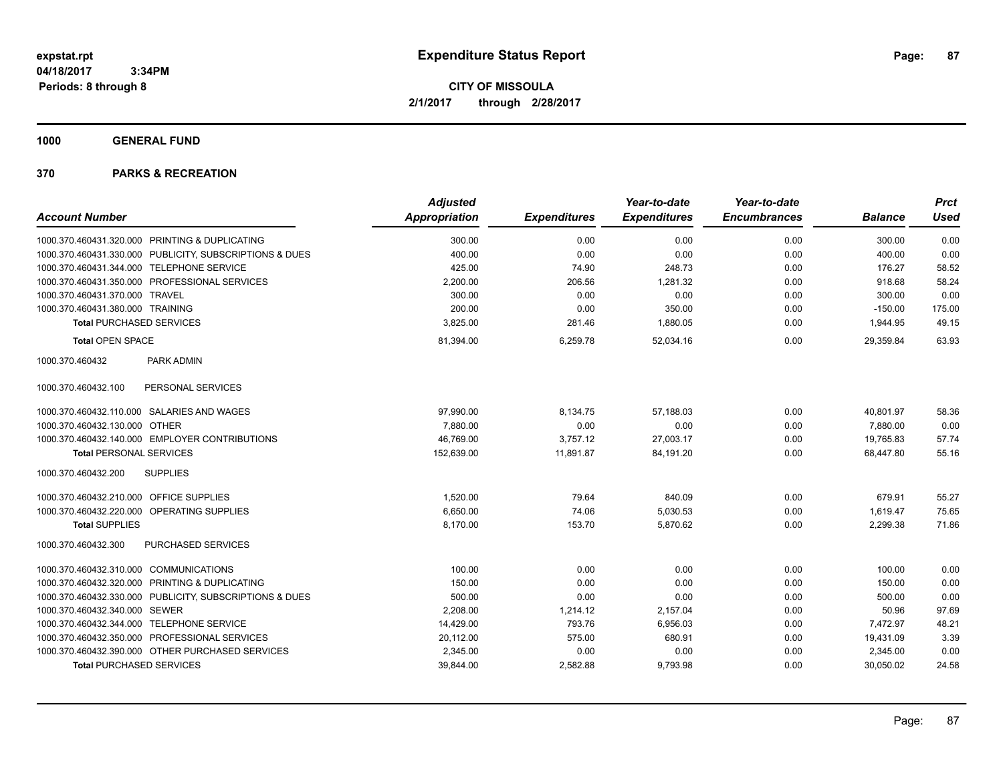**CITY OF MISSOULA 2/1/2017 through 2/28/2017**

**1000 GENERAL FUND**

|                                                         | <b>Adjusted</b> |                     | Year-to-date        | Year-to-date        |                | <b>Prct</b> |
|---------------------------------------------------------|-----------------|---------------------|---------------------|---------------------|----------------|-------------|
| <b>Account Number</b>                                   | Appropriation   | <b>Expenditures</b> | <b>Expenditures</b> | <b>Encumbrances</b> | <b>Balance</b> | <b>Used</b> |
| 1000.370.460431.320.000 PRINTING & DUPLICATING          | 300.00          | 0.00                | 0.00                | 0.00                | 300.00         | 0.00        |
| 1000.370.460431.330.000 PUBLICITY, SUBSCRIPTIONS & DUES | 400.00          | 0.00                | 0.00                | 0.00                | 400.00         | 0.00        |
| 1000.370.460431.344.000 TELEPHONE SERVICE               | 425.00          | 74.90               | 248.73              | 0.00                | 176.27         | 58.52       |
| 1000.370.460431.350.000 PROFESSIONAL SERVICES           | 2,200.00        | 206.56              | 1,281.32            | 0.00                | 918.68         | 58.24       |
| 1000.370.460431.370.000 TRAVEL                          | 300.00          | 0.00                | 0.00                | 0.00                | 300.00         | 0.00        |
| 1000.370.460431.380.000 TRAINING                        | 200.00          | 0.00                | 350.00              | 0.00                | $-150.00$      | 175.00      |
| <b>Total PURCHASED SERVICES</b>                         | 3,825.00        | 281.46              | 1,880.05            | 0.00                | 1,944.95       | 49.15       |
| <b>Total OPEN SPACE</b>                                 | 81,394.00       | 6,259.78            | 52,034.16           | 0.00                | 29.359.84      | 63.93       |
| 1000.370.460432<br>PARK ADMIN                           |                 |                     |                     |                     |                |             |
| PERSONAL SERVICES<br>1000.370.460432.100                |                 |                     |                     |                     |                |             |
| 1000.370.460432.110.000 SALARIES AND WAGES              | 97,990.00       | 8,134.75            | 57,188.03           | 0.00                | 40,801.97      | 58.36       |
| <b>OTHER</b><br>1000.370.460432.130.000                 | 7,880.00        | 0.00                | 0.00                | 0.00                | 7,880.00       | 0.00        |
| 1000.370.460432.140.000 EMPLOYER CONTRIBUTIONS          | 46,769.00       | 3,757.12            | 27,003.17           | 0.00                | 19,765.83      | 57.74       |
| <b>Total PERSONAL SERVICES</b>                          | 152,639.00      | 11,891.87           | 84,191.20           | 0.00                | 68,447.80      | 55.16       |
| 1000.370.460432.200<br><b>SUPPLIES</b>                  |                 |                     |                     |                     |                |             |
| 1000.370.460432.210.000 OFFICE SUPPLIES                 | 1,520.00        | 79.64               | 840.09              | 0.00                | 679.91         | 55.27       |
| 1000.370.460432.220.000 OPERATING SUPPLIES              | 6,650.00        | 74.06               | 5,030.53            | 0.00                | 1,619.47       | 75.65       |
| <b>Total SUPPLIES</b>                                   | 8,170.00        | 153.70              | 5,870.62            | 0.00                | 2,299.38       | 71.86       |
| PURCHASED SERVICES<br>1000.370.460432.300               |                 |                     |                     |                     |                |             |
| 1000.370.460432.310.000 COMMUNICATIONS                  | 100.00          | 0.00                | 0.00                | 0.00                | 100.00         | 0.00        |
| 1000.370.460432.320.000 PRINTING & DUPLICATING          | 150.00          | 0.00                | 0.00                | 0.00                | 150.00         | 0.00        |
| 1000.370.460432.330.000 PUBLICITY, SUBSCRIPTIONS & DUES | 500.00          | 0.00                | 0.00                | 0.00                | 500.00         | 0.00        |
| 1000.370.460432.340.000 SEWER                           | 2,208.00        | 1,214.12            | 2,157.04            | 0.00                | 50.96          | 97.69       |
| 1000.370.460432.344.000 TELEPHONE SERVICE               | 14,429.00       | 793.76              | 6,956.03            | 0.00                | 7.472.97       | 48.21       |
| 1000.370.460432.350.000 PROFESSIONAL SERVICES           | 20,112.00       | 575.00              | 680.91              | 0.00                | 19,431.09      | 3.39        |
| 1000.370.460432.390.000 OTHER PURCHASED SERVICES        | 2,345.00        | 0.00                | 0.00                | 0.00                | 2,345.00       | 0.00        |
| <b>Total PURCHASED SERVICES</b>                         | 39,844.00       | 2,582.88            | 9,793.98            | 0.00                | 30,050.02      | 24.58       |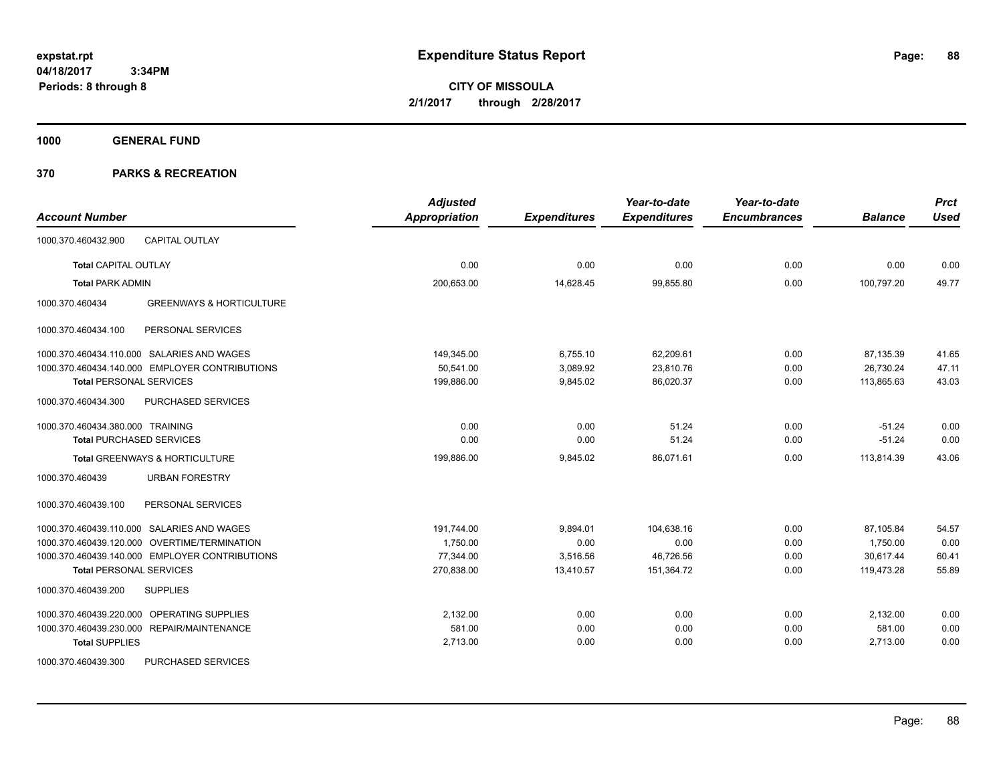**CITY OF MISSOULA 2/1/2017 through 2/28/2017**

**1000 GENERAL FUND**

|                                                        | <b>Adjusted</b>      |                     | Year-to-date        | Year-to-date        |                | <b>Prct</b> |
|--------------------------------------------------------|----------------------|---------------------|---------------------|---------------------|----------------|-------------|
| <b>Account Number</b>                                  | <b>Appropriation</b> | <b>Expenditures</b> | <b>Expenditures</b> | <b>Encumbrances</b> | <b>Balance</b> | <b>Used</b> |
| <b>CAPITAL OUTLAY</b><br>1000.370.460432.900           |                      |                     |                     |                     |                |             |
| <b>Total CAPITAL OUTLAY</b>                            | 0.00                 | 0.00                | 0.00                | 0.00                | 0.00           | 0.00        |
| <b>Total PARK ADMIN</b>                                | 200,653.00           | 14,628.45           | 99,855.80           | 0.00                | 100,797.20     | 49.77       |
| 1000.370.460434<br><b>GREENWAYS &amp; HORTICULTURE</b> |                      |                     |                     |                     |                |             |
| PERSONAL SERVICES<br>1000.370.460434.100               |                      |                     |                     |                     |                |             |
| 1000.370.460434.110.000 SALARIES AND WAGES             | 149.345.00           | 6,755.10            | 62,209.61           | 0.00                | 87,135.39      | 41.65       |
| 1000.370.460434.140.000 EMPLOYER CONTRIBUTIONS         | 50.541.00            | 3,089.92            | 23,810.76           | 0.00                | 26,730.24      | 47.11       |
| <b>Total PERSONAL SERVICES</b>                         | 199,886.00           | 9,845.02            | 86,020.37           | 0.00                | 113,865.63     | 43.03       |
| 1000.370.460434.300<br>PURCHASED SERVICES              |                      |                     |                     |                     |                |             |
| 1000.370.460434.380.000 TRAINING                       | 0.00                 | 0.00                | 51.24               | 0.00                | $-51.24$       | 0.00        |
| <b>Total PURCHASED SERVICES</b>                        | 0.00                 | 0.00                | 51.24               | 0.00                | $-51.24$       | 0.00        |
| Total GREENWAYS & HORTICULTURE                         | 199,886.00           | 9,845.02            | 86,071.61           | 0.00                | 113,814.39     | 43.06       |
| <b>URBAN FORESTRY</b><br>1000.370.460439               |                      |                     |                     |                     |                |             |
| PERSONAL SERVICES<br>1000.370.460439.100               |                      |                     |                     |                     |                |             |
| 1000.370.460439.110.000 SALARIES AND WAGES             | 191.744.00           | 9,894.01            | 104,638.16          | 0.00                | 87,105.84      | 54.57       |
| 1000.370.460439.120.000 OVERTIME/TERMINATION           | 1,750.00             | 0.00                | 0.00                | 0.00                | 1,750.00       | 0.00        |
| 1000.370.460439.140.000 EMPLOYER CONTRIBUTIONS         | 77.344.00            | 3,516.56            | 46,726.56           | 0.00                | 30.617.44      | 60.41       |
| <b>Total PERSONAL SERVICES</b>                         | 270,838.00           | 13,410.57           | 151,364.72          | 0.00                | 119.473.28     | 55.89       |
| <b>SUPPLIES</b><br>1000.370.460439.200                 |                      |                     |                     |                     |                |             |
| <b>OPERATING SUPPLIES</b><br>1000.370.460439.220.000   | 2,132.00             | 0.00                | 0.00                | 0.00                | 2,132.00       | 0.00        |
| 1000.370.460439.230.000 REPAIR/MAINTENANCE             | 581.00               | 0.00                | 0.00                | 0.00                | 581.00         | 0.00        |
| <b>Total SUPPLIES</b>                                  | 2,713.00             | 0.00                | 0.00                | 0.00                | 2,713.00       | 0.00        |
| PURCHASED SERVICES<br>1000.370.460439.300              |                      |                     |                     |                     |                |             |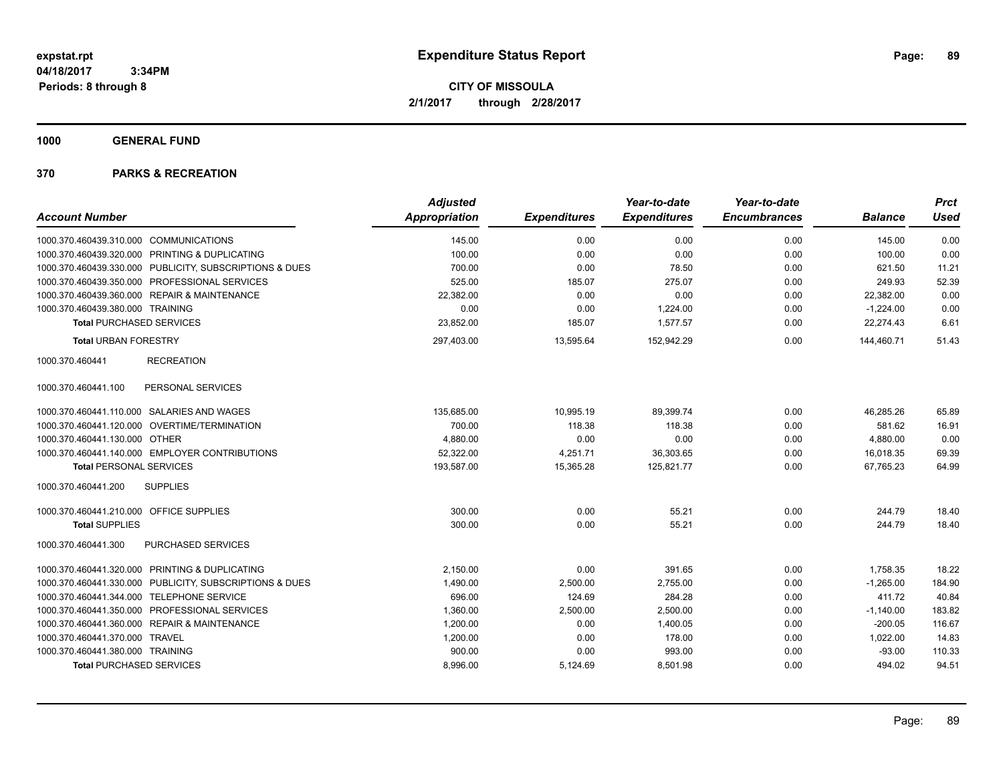**CITY OF MISSOULA 2/1/2017 through 2/28/2017**

**1000 GENERAL FUND**

|                                                         | <b>Adjusted</b> |                     | Year-to-date        | Year-to-date        |                | <b>Prct</b> |
|---------------------------------------------------------|-----------------|---------------------|---------------------|---------------------|----------------|-------------|
| <b>Account Number</b>                                   | Appropriation   | <b>Expenditures</b> | <b>Expenditures</b> | <b>Encumbrances</b> | <b>Balance</b> | <b>Used</b> |
| 1000.370.460439.310.000<br><b>COMMUNICATIONS</b>        | 145.00          | 0.00                | 0.00                | 0.00                | 145.00         | 0.00        |
| 1000.370.460439.320.000 PRINTING & DUPLICATING          | 100.00          | 0.00                | 0.00                | 0.00                | 100.00         | 0.00        |
| 1000.370.460439.330.000 PUBLICITY, SUBSCRIPTIONS & DUES | 700.00          | 0.00                | 78.50               | 0.00                | 621.50         | 11.21       |
| 1000.370.460439.350.000 PROFESSIONAL SERVICES           | 525.00          | 185.07              | 275.07              | 0.00                | 249.93         | 52.39       |
| 1000.370.460439.360.000 REPAIR & MAINTENANCE            | 22,382.00       | 0.00                | 0.00                | 0.00                | 22,382.00      | 0.00        |
| 1000.370.460439.380.000 TRAINING                        | 0.00            | 0.00                | 1,224.00            | 0.00                | $-1,224.00$    | 0.00        |
| <b>Total PURCHASED SERVICES</b>                         | 23,852.00       | 185.07              | 1,577.57            | 0.00                | 22,274.43      | 6.61        |
| <b>Total URBAN FORESTRY</b>                             | 297,403.00      | 13,595.64           | 152,942.29          | 0.00                | 144,460.71     | 51.43       |
| <b>RECREATION</b><br>1000.370.460441                    |                 |                     |                     |                     |                |             |
| PERSONAL SERVICES<br>1000.370.460441.100                |                 |                     |                     |                     |                |             |
| 1000.370.460441.110.000 SALARIES AND WAGES              | 135,685.00      | 10,995.19           | 89,399.74           | 0.00                | 46,285.26      | 65.89       |
| 1000.370.460441.120.000 OVERTIME/TERMINATION            | 700.00          | 118.38              | 118.38              | 0.00                | 581.62         | 16.91       |
| 1000.370.460441.130.000 OTHER                           | 4,880.00        | 0.00                | 0.00                | 0.00                | 4,880.00       | 0.00        |
| 1000.370.460441.140.000 EMPLOYER CONTRIBUTIONS          | 52,322.00       | 4,251.71            | 36,303.65           | 0.00                | 16,018.35      | 69.39       |
| <b>Total PERSONAL SERVICES</b>                          | 193,587.00      | 15,365.28           | 125,821.77          | 0.00                | 67,765.23      | 64.99       |
| 1000.370.460441.200<br><b>SUPPLIES</b>                  |                 |                     |                     |                     |                |             |
| 1000.370.460441.210.000 OFFICE SUPPLIES                 | 300.00          | 0.00                | 55.21               | 0.00                | 244.79         | 18.40       |
| <b>Total SUPPLIES</b>                                   | 300.00          | 0.00                | 55.21               | 0.00                | 244.79         | 18.40       |
| PURCHASED SERVICES<br>1000.370.460441.300               |                 |                     |                     |                     |                |             |
| 1000.370.460441.320.000 PRINTING & DUPLICATING          | 2,150.00        | 0.00                | 391.65              | 0.00                | 1,758.35       | 18.22       |
| 1000.370.460441.330.000 PUBLICITY, SUBSCRIPTIONS & DUES | 1,490.00        | 2,500.00            | 2,755.00            | 0.00                | $-1,265.00$    | 184.90      |
| <b>TELEPHONE SERVICE</b><br>1000.370.460441.344.000     | 696.00          | 124.69              | 284.28              | 0.00                | 411.72         | 40.84       |
| 1000.370.460441.350.000 PROFESSIONAL SERVICES           | 1,360.00        | 2,500.00            | 2,500.00            | 0.00                | $-1,140.00$    | 183.82      |
| 1000.370.460441.360.000 REPAIR & MAINTENANCE            | 1,200.00        | 0.00                | 1,400.05            | 0.00                | $-200.05$      | 116.67      |
| 1000.370.460441.370.000 TRAVEL                          | 1,200.00        | 0.00                | 178.00              | 0.00                | 1,022.00       | 14.83       |
| 1000.370.460441.380.000 TRAINING                        | 900.00          | 0.00                | 993.00              | 0.00                | $-93.00$       | 110.33      |
| <b>Total PURCHASED SERVICES</b>                         | 8,996.00        | 5,124.69            | 8,501.98            | 0.00                | 494.02         | 94.51       |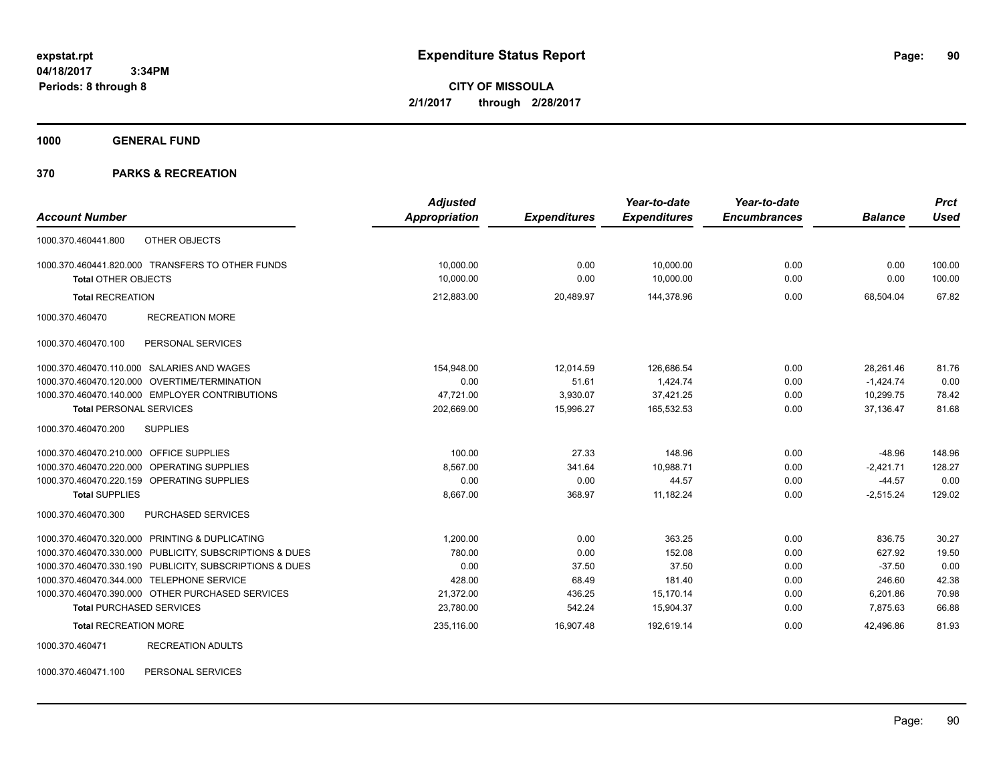**CITY OF MISSOULA 2/1/2017 through 2/28/2017**

**1000 GENERAL FUND**

## **370 PARKS & RECREATION**

| <b>Account Number</b>                                   | <b>Adjusted</b><br><b>Appropriation</b> | <b>Expenditures</b> | Year-to-date<br><b>Expenditures</b> | Year-to-date<br><b>Encumbrances</b> | <b>Balance</b> | <b>Prct</b><br><b>Used</b> |
|---------------------------------------------------------|-----------------------------------------|---------------------|-------------------------------------|-------------------------------------|----------------|----------------------------|
|                                                         |                                         |                     |                                     |                                     |                |                            |
| OTHER OBJECTS<br>1000.370.460441.800                    |                                         |                     |                                     |                                     |                |                            |
| 1000.370.460441.820.000 TRANSFERS TO OTHER FUNDS        | 10,000.00                               | 0.00                | 10,000.00                           | 0.00                                | 0.00           | 100.00                     |
| <b>Total OTHER OBJECTS</b>                              | 10,000.00                               | 0.00                | 10,000.00                           | 0.00                                | 0.00           | 100.00                     |
| <b>Total RECREATION</b>                                 | 212,883.00                              | 20,489.97           | 144,378.96                          | 0.00                                | 68,504.04      | 67.82                      |
| <b>RECREATION MORE</b><br>1000.370.460470               |                                         |                     |                                     |                                     |                |                            |
| PERSONAL SERVICES<br>1000.370.460470.100                |                                         |                     |                                     |                                     |                |                            |
| 1000.370.460470.110.000 SALARIES AND WAGES              | 154,948.00                              | 12.014.59           | 126.686.54                          | 0.00                                | 28.261.46      | 81.76                      |
| 1000.370.460470.120.000<br><b>OVERTIME/TERMINATION</b>  | 0.00                                    | 51.61               | 1,424.74                            | 0.00                                | $-1,424.74$    | 0.00                       |
| 1000.370.460470.140.000 EMPLOYER CONTRIBUTIONS          | 47.721.00                               | 3,930.07            | 37,421.25                           | 0.00                                | 10.299.75      | 78.42                      |
| <b>Total PERSONAL SERVICES</b>                          | 202,669.00                              | 15,996.27           | 165,532.53                          | 0.00                                | 37,136.47      | 81.68                      |
| 1000.370.460470.200<br><b>SUPPLIES</b>                  |                                         |                     |                                     |                                     |                |                            |
| 1000.370.460470.210.000 OFFICE SUPPLIES                 | 100.00                                  | 27.33               | 148.96                              | 0.00                                | $-48.96$       | 148.96                     |
| OPERATING SUPPLIES<br>1000.370.460470.220.000           | 8.567.00                                | 341.64              | 10,988.71                           | 0.00                                | $-2,421.71$    | 128.27                     |
| 1000.370.460470.220.159 OPERATING SUPPLIES              | 0.00                                    | 0.00                | 44.57                               | 0.00                                | $-44.57$       | 0.00                       |
| <b>Total SUPPLIES</b>                                   | 8,667.00                                | 368.97              | 11,182.24                           | 0.00                                | $-2,515.24$    | 129.02                     |
| 1000.370.460470.300<br><b>PURCHASED SERVICES</b>        |                                         |                     |                                     |                                     |                |                            |
| 1000.370.460470.320.000 PRINTING & DUPLICATING          | 1.200.00                                | 0.00                | 363.25                              | 0.00                                | 836.75         | 30.27                      |
| 1000.370.460470.330.000 PUBLICITY, SUBSCRIPTIONS & DUES | 780.00                                  | 0.00                | 152.08                              | 0.00                                | 627.92         | 19.50                      |
| 1000.370.460470.330.190 PUBLICITY, SUBSCRIPTIONS & DUES | 0.00                                    | 37.50               | 37.50                               | 0.00                                | $-37.50$       | 0.00                       |
| 1000.370.460470.344.000 TELEPHONE SERVICE               | 428.00                                  | 68.49               | 181.40                              | 0.00                                | 246.60         | 42.38                      |
| 1000.370.460470.390.000 OTHER PURCHASED SERVICES        | 21,372.00                               | 436.25              | 15,170.14                           | 0.00                                | 6,201.86       | 70.98                      |
| <b>Total PURCHASED SERVICES</b>                         | 23,780.00                               | 542.24              | 15,904.37                           | 0.00                                | 7,875.63       | 66.88                      |
| <b>Total RECREATION MORE</b>                            | 235.116.00                              | 16,907.48           | 192,619.14                          | 0.00                                | 42.496.86      | 81.93                      |
| <b>RECREATION ADULTS</b><br>1000.370.460471             |                                         |                     |                                     |                                     |                |                            |

1000.370.460471.100 PERSONAL SERVICES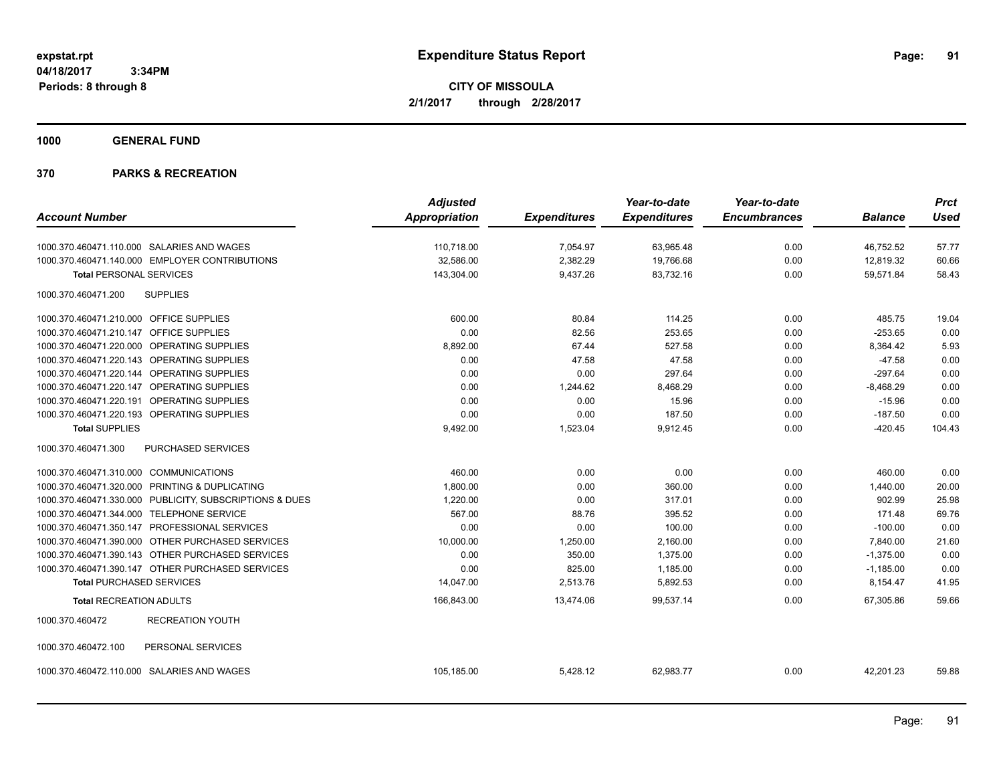**CITY OF MISSOULA 2/1/2017 through 2/28/2017**

**1000 GENERAL FUND**

|                                                            | <b>Adjusted</b>      |                     | Year-to-date        | Year-to-date        |                | <b>Prct</b> |
|------------------------------------------------------------|----------------------|---------------------|---------------------|---------------------|----------------|-------------|
| <b>Account Number</b>                                      | <b>Appropriation</b> | <b>Expenditures</b> | <b>Expenditures</b> | <b>Encumbrances</b> | <b>Balance</b> | <b>Used</b> |
| 1000.370.460471.110.000 SALARIES AND WAGES                 | 110,718.00           | 7,054.97            | 63,965.48           | 0.00                | 46,752.52      | 57.77       |
| 1000.370.460471.140.000 EMPLOYER CONTRIBUTIONS             | 32.586.00            | 2,382.29            | 19,766.68           | 0.00                | 12,819.32      | 60.66       |
| <b>Total PERSONAL SERVICES</b>                             | 143,304.00           | 9,437.26            | 83,732.16           | 0.00                | 59,571.84      | 58.43       |
| <b>SUPPLIES</b><br>1000.370.460471.200                     |                      |                     |                     |                     |                |             |
| 1000.370.460471.210.000 OFFICE SUPPLIES                    | 600.00               | 80.84               | 114.25              | 0.00                | 485.75         | 19.04       |
| 1000.370.460471.210.147<br>OFFICE SUPPLIES                 | 0.00                 | 82.56               | 253.65              | 0.00                | $-253.65$      | 0.00        |
| OPERATING SUPPLIES<br>1000.370.460471.220.000              | 8,892.00             | 67.44               | 527.58              | 0.00                | 8,364.42       | 5.93        |
| 1000.370.460471.220.143 OPERATING SUPPLIES                 | 0.00                 | 47.58               | 47.58               | 0.00                | $-47.58$       | 0.00        |
| 1000.370.460471.220.144 OPERATING SUPPLIES                 | 0.00                 | 0.00                | 297.64              | 0.00                | $-297.64$      | 0.00        |
| <b>OPERATING SUPPLIES</b><br>1000.370.460471.220.147       | 0.00                 | 1,244.62            | 8,468.29            | 0.00                | $-8,468.29$    | 0.00        |
| OPERATING SUPPLIES<br>1000.370.460471.220.191              | 0.00                 | 0.00                | 15.96               | 0.00                | $-15.96$       | 0.00        |
| OPERATING SUPPLIES<br>1000.370.460471.220.193              | 0.00                 | 0.00                | 187.50              | 0.00                | $-187.50$      | 0.00        |
| <b>Total SUPPLIES</b>                                      | 9,492.00             | 1,523.04            | 9,912.45            | 0.00                | $-420.45$      | 104.43      |
| 1000.370.460471.300<br><b>PURCHASED SERVICES</b>           |                      |                     |                     |                     |                |             |
| 1000.370.460471.310.000 COMMUNICATIONS                     | 460.00               | 0.00                | 0.00                | 0.00                | 460.00         | 0.00        |
| PRINTING & DUPLICATING<br>1000.370.460471.320.000          | 1,800.00             | 0.00                | 360.00              | 0.00                | 1,440.00       | 20.00       |
| 1000.370.460471.330.000<br>PUBLICITY, SUBSCRIPTIONS & DUES | 1.220.00             | 0.00                | 317.01              | 0.00                | 902.99         | 25.98       |
| 1000.370.460471.344.000 TELEPHONE SERVICE                  | 567.00               | 88.76               | 395.52              | 0.00                | 171.48         | 69.76       |
| 1000.370.460471.350.147 PROFESSIONAL SERVICES              | 0.00                 | 0.00                | 100.00              | 0.00                | $-100.00$      | 0.00        |
| 1000.370.460471.390.000 OTHER PURCHASED SERVICES           | 10,000.00            | 1,250.00            | 2,160.00            | 0.00                | 7,840.00       | 21.60       |
| 1000.370.460471.390.143 OTHER PURCHASED SERVICES           | 0.00                 | 350.00              | 1,375.00            | 0.00                | $-1,375.00$    | 0.00        |
| 1000.370.460471.390.147 OTHER PURCHASED SERVICES           | 0.00                 | 825.00              | 1,185.00            | 0.00                | $-1,185.00$    | 0.00        |
| <b>Total PURCHASED SERVICES</b>                            | 14.047.00            | 2,513.76            | 5,892.53            | 0.00                | 8,154.47       | 41.95       |
| <b>Total RECREATION ADULTS</b>                             | 166,843.00           | 13,474.06           | 99,537.14           | 0.00                | 67,305.86      | 59.66       |
| <b>RECREATION YOUTH</b><br>1000.370.460472                 |                      |                     |                     |                     |                |             |
| PERSONAL SERVICES<br>1000.370.460472.100                   |                      |                     |                     |                     |                |             |
| 1000.370.460472.110.000 SALARIES AND WAGES                 | 105,185.00           | 5,428.12            | 62,983.77           | 0.00                | 42,201.23      | 59.88       |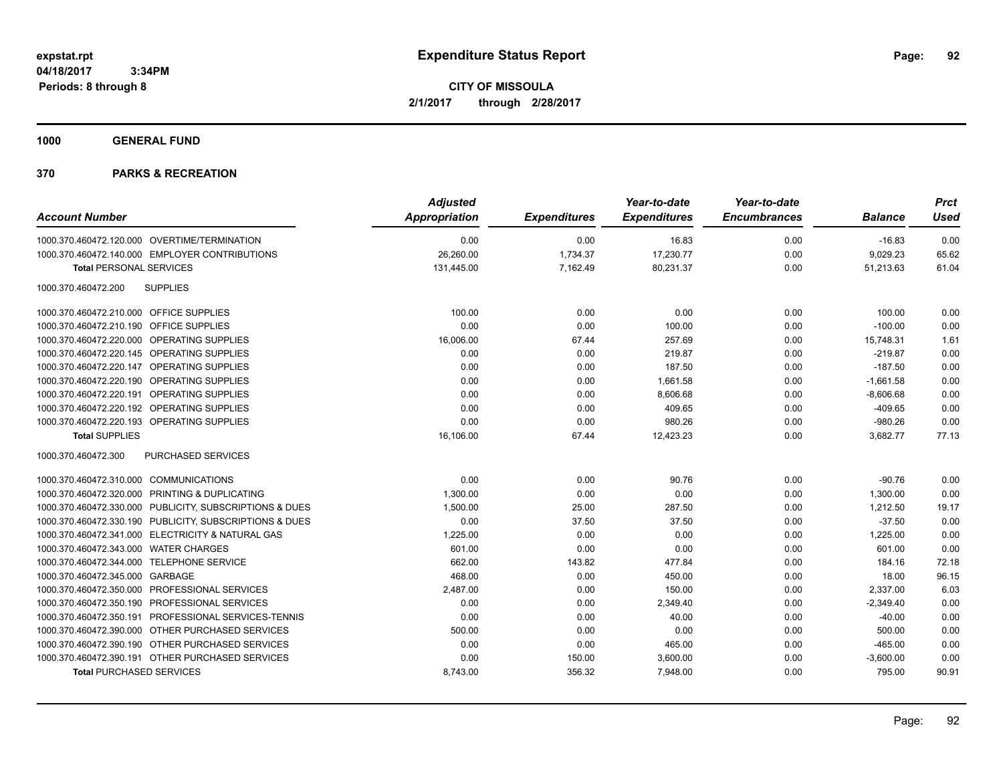**CITY OF MISSOULA 2/1/2017 through 2/28/2017**

**1000 GENERAL FUND**

| <b>Account Number</b>                                   | <b>Adjusted</b><br><b>Appropriation</b> | <b>Expenditures</b> | Year-to-date<br><b>Expenditures</b> | Year-to-date<br><b>Encumbrances</b> | <b>Balance</b> | <b>Prct</b><br><b>Used</b> |
|---------------------------------------------------------|-----------------------------------------|---------------------|-------------------------------------|-------------------------------------|----------------|----------------------------|
| 1000.370.460472.120.000 OVERTIME/TERMINATION            | 0.00                                    | 0.00                | 16.83                               | 0.00                                | $-16.83$       | 0.00                       |
| 1000.370.460472.140.000 EMPLOYER CONTRIBUTIONS          | 26,260.00                               | 1,734.37            | 17,230.77                           | 0.00                                | 9,029.23       | 65.62                      |
| <b>Total PERSONAL SERVICES</b>                          | 131,445.00                              | 7,162.49            | 80,231.37                           | 0.00                                | 51,213.63      | 61.04                      |
| 1000.370.460472.200<br><b>SUPPLIES</b>                  |                                         |                     |                                     |                                     |                |                            |
| <b>OFFICE SUPPLIES</b><br>1000.370.460472.210.000       | 100.00                                  | 0.00                | 0.00                                | 0.00                                | 100.00         | 0.00                       |
| <b>OFFICE SUPPLIES</b><br>1000.370.460472.210.190       | 0.00                                    | 0.00                | 100.00                              | 0.00                                | $-100.00$      | 0.00                       |
| 1000.370.460472.220.000 OPERATING SUPPLIES              | 16,006.00                               | 67.44               | 257.69                              | 0.00                                | 15,748.31      | 1.61                       |
| 1000.370.460472.220.145 OPERATING SUPPLIES              | 0.00                                    | 0.00                | 219.87                              | 0.00                                | $-219.87$      | 0.00                       |
| OPERATING SUPPLIES<br>1000.370.460472.220.147           | 0.00                                    | 0.00                | 187.50                              | 0.00                                | $-187.50$      | 0.00                       |
| OPERATING SUPPLIES<br>1000.370.460472.220.190           | 0.00                                    | 0.00                | 1,661.58                            | 0.00                                | $-1,661.58$    | 0.00                       |
| 1000.370.460472.220.191<br>OPERATING SUPPLIES           | 0.00                                    | 0.00                | 8,606.68                            | 0.00                                | $-8,606.68$    | 0.00                       |
| 1000.370.460472.220.192 OPERATING SUPPLIES              | 0.00                                    | 0.00                | 409.65                              | 0.00                                | $-409.65$      | 0.00                       |
| 1000.370.460472.220.193 OPERATING SUPPLIES              | 0.00                                    | 0.00                | 980.26                              | 0.00                                | $-980.26$      | 0.00                       |
| <b>Total SUPPLIES</b>                                   | 16,106.00                               | 67.44               | 12,423.23                           | 0.00                                | 3,682.77       | 77.13                      |
| 1000.370.460472.300<br>PURCHASED SERVICES               |                                         |                     |                                     |                                     |                |                            |
| 1000.370.460472.310.000 COMMUNICATIONS                  | 0.00                                    | 0.00                | 90.76                               | 0.00                                | $-90.76$       | 0.00                       |
| 1000.370.460472.320.000 PRINTING & DUPLICATING          | 1,300.00                                | 0.00                | 0.00                                | 0.00                                | 1,300.00       | 0.00                       |
| 1000.370.460472.330.000 PUBLICITY, SUBSCRIPTIONS & DUES | 1,500.00                                | 25.00               | 287.50                              | 0.00                                | 1,212.50       | 19.17                      |
| 1000.370.460472.330.190 PUBLICITY, SUBSCRIPTIONS & DUES | 0.00                                    | 37.50               | 37.50                               | 0.00                                | $-37.50$       | 0.00                       |
| 1000.370.460472.341.000 ELECTRICITY & NATURAL GAS       | 1,225.00                                | 0.00                | 0.00                                | 0.00                                | 1,225.00       | 0.00                       |
| 1000.370.460472.343.000 WATER CHARGES                   | 601.00                                  | 0.00                | 0.00                                | 0.00                                | 601.00         | 0.00                       |
| 1000.370.460472.344.000 TELEPHONE SERVICE               | 662.00                                  | 143.82              | 477.84                              | 0.00                                | 184.16         | 72.18                      |
| 1000.370.460472.345.000<br>GARBAGE                      | 468.00                                  | 0.00                | 450.00                              | 0.00                                | 18.00          | 96.15                      |
| 1000.370.460472.350.000 PROFESSIONAL SERVICES           | 2,487.00                                | 0.00                | 150.00                              | 0.00                                | 2,337.00       | 6.03                       |
| 1000.370.460472.350.190 PROFESSIONAL SERVICES           | 0.00                                    | 0.00                | 2,349.40                            | 0.00                                | $-2,349.40$    | 0.00                       |
| PROFESSIONAL SERVICES-TENNIS<br>1000.370.460472.350.191 | 0.00                                    | 0.00                | 40.00                               | 0.00                                | $-40.00$       | 0.00                       |
| 1000.370.460472.390.000 OTHER PURCHASED SERVICES        | 500.00                                  | 0.00                | 0.00                                | 0.00                                | 500.00         | 0.00                       |
| 1000.370.460472.390.190 OTHER PURCHASED SERVICES        | 0.00                                    | 0.00                | 465.00                              | 0.00                                | $-465.00$      | 0.00                       |
| 1000.370.460472.390.191 OTHER PURCHASED SERVICES        | 0.00                                    | 150.00              | 3,600.00                            | 0.00                                | $-3,600.00$    | 0.00                       |
| <b>Total PURCHASED SERVICES</b>                         | 8.743.00                                | 356.32              | 7.948.00                            | 0.00                                | 795.00         | 90.91                      |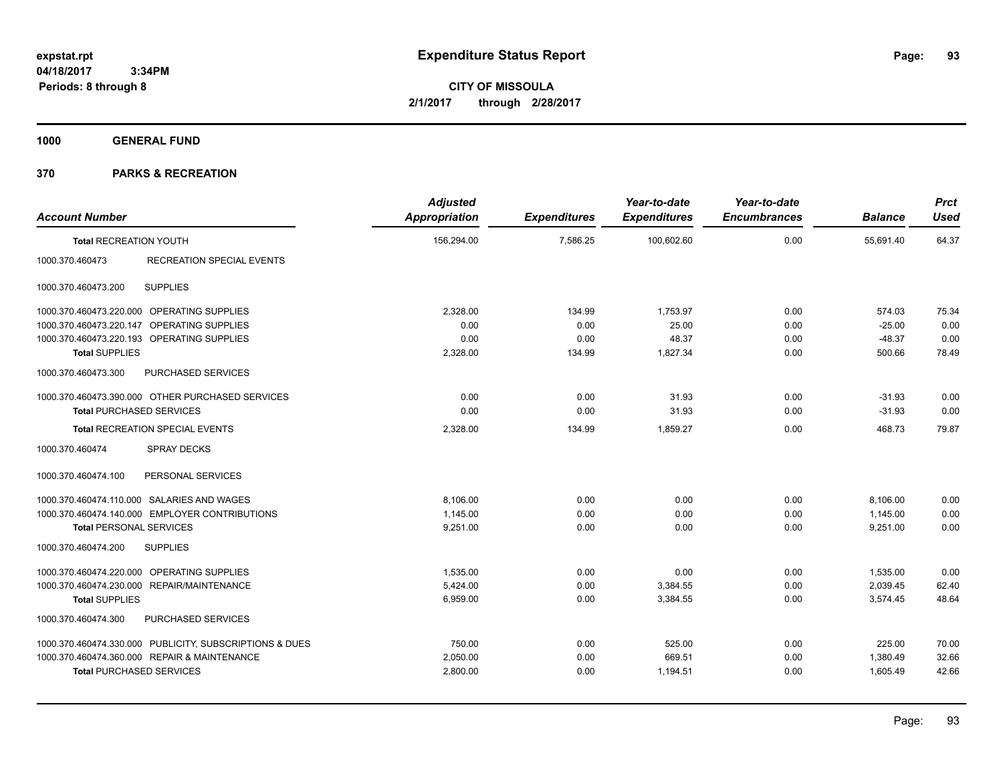**CITY OF MISSOULA 2/1/2017 through 2/28/2017**

**1000 GENERAL FUND**

| <b>Account Number</b>                            |                                                         | <b>Adjusted</b><br><b>Appropriation</b> | <b>Expenditures</b> | Year-to-date<br><b>Expenditures</b> | Year-to-date<br><b>Encumbrances</b> | <b>Balance</b> | <b>Prct</b><br><b>Used</b> |
|--------------------------------------------------|---------------------------------------------------------|-----------------------------------------|---------------------|-------------------------------------|-------------------------------------|----------------|----------------------------|
| <b>Total RECREATION YOUTH</b>                    |                                                         | 156,294.00                              | 7,586.25            | 100,602.60                          | 0.00                                | 55,691.40      | 64.37                      |
| 1000.370.460473                                  | <b>RECREATION SPECIAL EVENTS</b>                        |                                         |                     |                                     |                                     |                |                            |
| <b>SUPPLIES</b><br>1000.370.460473.200           |                                                         |                                         |                     |                                     |                                     |                |                            |
| 1000.370.460473.220.000 OPERATING SUPPLIES       |                                                         | 2,328.00                                | 134.99              | 1,753.97                            | 0.00                                | 574.03         | 75.34                      |
| 1000.370.460473.220.147 OPERATING SUPPLIES       |                                                         | 0.00                                    | 0.00                | 25.00                               | 0.00                                | $-25.00$       | 0.00                       |
| 1000.370.460473.220.193 OPERATING SUPPLIES       |                                                         | 0.00                                    | 0.00                | 48.37                               | 0.00                                | $-48.37$       | 0.00                       |
| <b>Total SUPPLIES</b>                            |                                                         | 2,328.00                                | 134.99              | 1,827.34                            | 0.00                                | 500.66         | 78.49                      |
| 1000.370.460473.300                              | PURCHASED SERVICES                                      |                                         |                     |                                     |                                     |                |                            |
| 1000.370.460473.390.000 OTHER PURCHASED SERVICES |                                                         | 0.00                                    | 0.00                | 31.93                               | 0.00                                | $-31.93$       | 0.00                       |
| <b>Total PURCHASED SERVICES</b>                  |                                                         | 0.00                                    | 0.00                | 31.93                               | 0.00                                | $-31.93$       | 0.00                       |
| <b>Total RECREATION SPECIAL EVENTS</b>           |                                                         | 2,328.00                                | 134.99              | 1,859.27                            | 0.00                                | 468.73         | 79.87                      |
| 1000.370.460474                                  | <b>SPRAY DECKS</b>                                      |                                         |                     |                                     |                                     |                |                            |
| 1000.370.460474.100                              | PERSONAL SERVICES                                       |                                         |                     |                                     |                                     |                |                            |
| 1000.370.460474.110.000 SALARIES AND WAGES       |                                                         | 8.106.00                                | 0.00                | 0.00                                | 0.00                                | 8,106.00       | 0.00                       |
| 1000.370.460474.140.000 EMPLOYER CONTRIBUTIONS   |                                                         | 1,145.00                                | 0.00                | 0.00                                | 0.00                                | 1,145.00       | 0.00                       |
| <b>Total PERSONAL SERVICES</b>                   |                                                         | 9,251.00                                | 0.00                | 0.00                                | 0.00                                | 9,251.00       | 0.00                       |
| <b>SUPPLIES</b><br>1000.370.460474.200           |                                                         |                                         |                     |                                     |                                     |                |                            |
| 1000.370.460474.220.000 OPERATING SUPPLIES       |                                                         | 1,535.00                                | 0.00                | 0.00                                | 0.00                                | 1,535.00       | 0.00                       |
| 1000.370.460474.230.000 REPAIR/MAINTENANCE       |                                                         | 5,424.00                                | 0.00                | 3,384.55                            | 0.00                                | 2,039.45       | 62.40                      |
| <b>Total SUPPLIES</b>                            |                                                         | 6,959.00                                | 0.00                | 3,384.55                            | 0.00                                | 3,574.45       | 48.64                      |
| 1000.370.460474.300                              | PURCHASED SERVICES                                      |                                         |                     |                                     |                                     |                |                            |
|                                                  | 1000.370.460474.330.000 PUBLICITY, SUBSCRIPTIONS & DUES | 750.00                                  | 0.00                | 525.00                              | 0.00                                | 225.00         | 70.00                      |
| 1000.370.460474.360.000 REPAIR & MAINTENANCE     |                                                         | 2,050.00                                | 0.00                | 669.51                              | 0.00                                | 1,380.49       | 32.66                      |
| <b>Total PURCHASED SERVICES</b>                  |                                                         | 2,800.00                                | 0.00                | 1,194.51                            | 0.00                                | 1,605.49       | 42.66                      |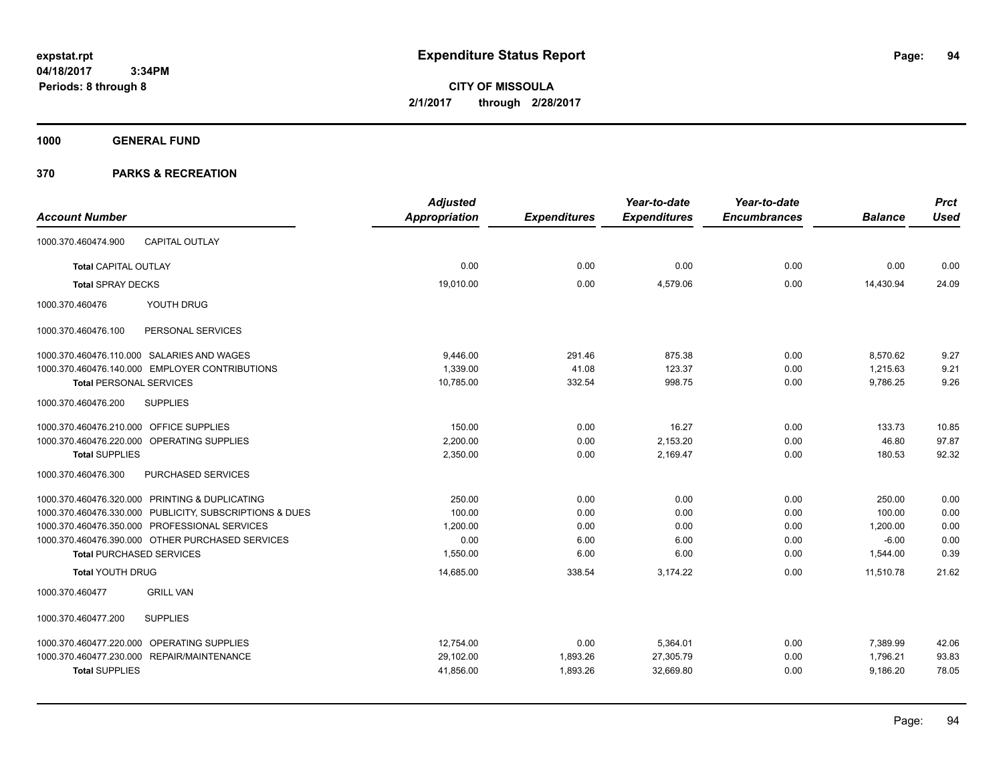**CITY OF MISSOULA 2/1/2017 through 2/28/2017**

**1000 GENERAL FUND**

| <b>Adjusted</b> |                     | Year-to-date        | Year-to-date        |                | <b>Prct</b> |
|-----------------|---------------------|---------------------|---------------------|----------------|-------------|
| Appropriation   | <b>Expenditures</b> | <b>Expenditures</b> | <b>Encumbrances</b> | <b>Balance</b> | <b>Used</b> |
|                 |                     |                     |                     |                |             |
| 0.00            | 0.00                | 0.00                | 0.00                | 0.00           | 0.00        |
| 19,010.00       | 0.00                | 4,579.06            | 0.00                | 14,430.94      | 24.09       |
|                 |                     |                     |                     |                |             |
|                 |                     |                     |                     |                |             |
| 9,446.00        | 291.46              | 875.38              | 0.00                | 8,570.62       | 9.27        |
| 1,339.00        | 41.08               | 123.37              | 0.00                | 1,215.63       | 9.21        |
| 10,785.00       | 332.54              | 998.75              | 0.00                | 9,786.25       | 9.26        |
|                 |                     |                     |                     |                |             |
| 150.00          | 0.00                | 16.27               | 0.00                | 133.73         | 10.85       |
| 2.200.00        | 0.00                | 2,153.20            | 0.00                | 46.80          | 97.87       |
| 2,350.00        | 0.00                | 2,169.47            | 0.00                | 180.53         | 92.32       |
|                 |                     |                     |                     |                |             |
| 250.00          | 0.00                | 0.00                | 0.00                | 250.00         | 0.00        |
| 100.00          | 0.00                | 0.00                | 0.00                | 100.00         | 0.00        |
| 1,200.00        | 0.00                | 0.00                | 0.00                | 1,200.00       | 0.00        |
| 0.00            | 6.00                | 6.00                | 0.00                | $-6.00$        | 0.00        |
| 1,550.00        | 6.00                | 6.00                | 0.00                | 1,544.00       | 0.39        |
| 14,685.00       | 338.54              | 3,174.22            | 0.00                | 11,510.78      | 21.62       |
|                 |                     |                     |                     |                |             |
|                 |                     |                     |                     |                |             |
| 12,754.00       | 0.00                | 5,364.01            | 0.00                | 7,389.99       | 42.06       |
| 29,102.00       | 1,893.26            | 27,305.79           | 0.00                | 1,796.21       | 93.83       |
| 41,856.00       | 1,893.26            | 32,669.80           | 0.00                | 9,186.20       | 78.05       |
|                 |                     |                     |                     |                |             |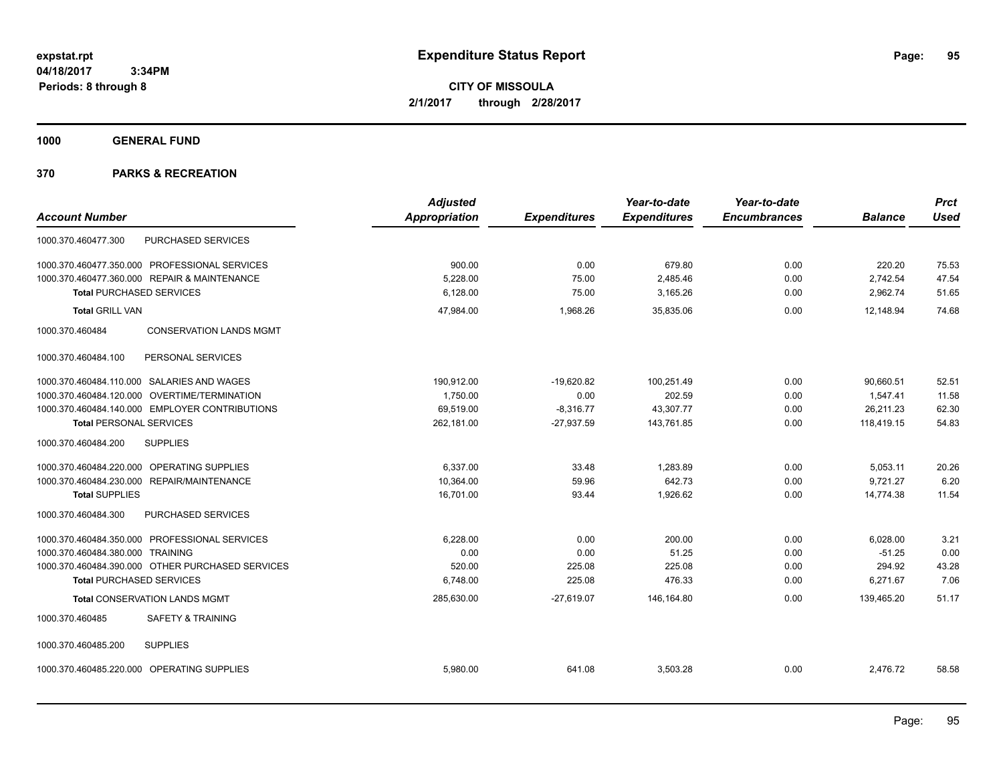**CITY OF MISSOULA 2/1/2017 through 2/28/2017**

**1000 GENERAL FUND**

| <b>Account Number</b>                             | <b>Adjusted</b><br><b>Appropriation</b> | <b>Expenditures</b> | Year-to-date<br><b>Expenditures</b> | Year-to-date<br><b>Encumbrances</b> | <b>Balance</b> | <b>Prct</b><br><b>Used</b> |
|---------------------------------------------------|-----------------------------------------|---------------------|-------------------------------------|-------------------------------------|----------------|----------------------------|
| <b>PURCHASED SERVICES</b><br>1000.370.460477.300  |                                         |                     |                                     |                                     |                |                            |
| 1000.370.460477.350.000 PROFESSIONAL SERVICES     | 900.00                                  | 0.00                | 679.80                              | 0.00                                | 220.20         | 75.53                      |
| 1000.370.460477.360.000 REPAIR & MAINTENANCE      | 5.228.00                                | 75.00               | 2,485.46                            | 0.00                                | 2,742.54       | 47.54                      |
| <b>Total PURCHASED SERVICES</b>                   | 6,128.00                                | 75.00               | 3,165.26                            | 0.00                                | 2,962.74       | 51.65                      |
| <b>Total GRILL VAN</b>                            | 47,984.00                               | 1,968.26            | 35,835.06                           | 0.00                                | 12,148.94      | 74.68                      |
| 1000.370.460484<br><b>CONSERVATION LANDS MGMT</b> |                                         |                     |                                     |                                     |                |                            |
| 1000.370.460484.100<br>PERSONAL SERVICES          |                                         |                     |                                     |                                     |                |                            |
| 1000.370.460484.110.000 SALARIES AND WAGES        | 190,912.00                              | $-19,620.82$        | 100.251.49                          | 0.00                                | 90.660.51      | 52.51                      |
| 1000.370.460484.120.000 OVERTIME/TERMINATION      | 1,750.00                                | 0.00                | 202.59                              | 0.00                                | 1,547.41       | 11.58                      |
| 1000.370.460484.140.000 EMPLOYER CONTRIBUTIONS    | 69,519.00                               | $-8,316.77$         | 43,307.77                           | 0.00                                | 26,211.23      | 62.30                      |
| <b>Total PERSONAL SERVICES</b>                    | 262,181.00                              | $-27,937.59$        | 143,761.85                          | 0.00                                | 118,419.15     | 54.83                      |
| 1000.370.460484.200<br><b>SUPPLIES</b>            |                                         |                     |                                     |                                     |                |                            |
| 1000.370.460484.220.000 OPERATING SUPPLIES        | 6.337.00                                | 33.48               | 1.283.89                            | 0.00                                | 5,053.11       | 20.26                      |
| 1000.370.460484.230.000 REPAIR/MAINTENANCE        | 10,364.00                               | 59.96               | 642.73                              | 0.00                                | 9.721.27       | 6.20                       |
| <b>Total SUPPLIES</b>                             | 16,701.00                               | 93.44               | 1,926.62                            | 0.00                                | 14,774.38      | 11.54                      |
| PURCHASED SERVICES<br>1000.370.460484.300         |                                         |                     |                                     |                                     |                |                            |
| 1000.370.460484.350.000 PROFESSIONAL SERVICES     | 6,228.00                                | 0.00                | 200.00                              | 0.00                                | 6,028.00       | 3.21                       |
| 1000.370.460484.380.000 TRAINING                  | 0.00                                    | 0.00                | 51.25                               | 0.00                                | $-51.25$       | 0.00                       |
| 1000.370.460484.390.000 OTHER PURCHASED SERVICES  | 520.00                                  | 225.08              | 225.08                              | 0.00                                | 294.92         | 43.28                      |
| <b>Total PURCHASED SERVICES</b>                   | 6,748.00                                | 225.08              | 476.33                              | 0.00                                | 6,271.67       | 7.06                       |
| <b>Total CONSERVATION LANDS MGMT</b>              | 285,630.00                              | $-27,619.07$        | 146,164.80                          | 0.00                                | 139,465.20     | 51.17                      |
| <b>SAFETY &amp; TRAINING</b><br>1000.370.460485   |                                         |                     |                                     |                                     |                |                            |
| <b>SUPPLIES</b><br>1000.370.460485.200            |                                         |                     |                                     |                                     |                |                            |
| 1000.370.460485.220.000 OPERATING SUPPLIES        | 5,980.00                                | 641.08              | 3,503.28                            | 0.00                                | 2,476.72       | 58.58                      |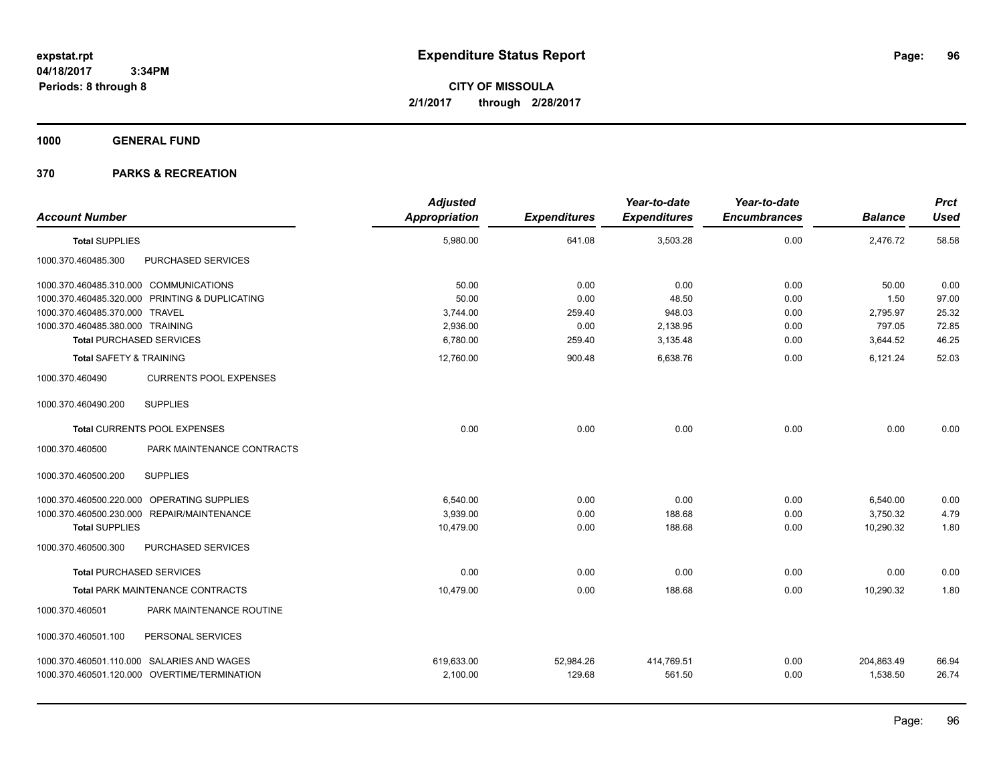**CITY OF MISSOULA 2/1/2017 through 2/28/2017**

**1000 GENERAL FUND**

| <b>Account Number</b>                            |                            | <b>Adjusted</b><br>Appropriation | <b>Expenditures</b> | Year-to-date<br><b>Expenditures</b> | Year-to-date<br><b>Encumbrances</b> | <b>Balance</b> | <b>Prct</b><br><b>Used</b> |
|--------------------------------------------------|----------------------------|----------------------------------|---------------------|-------------------------------------|-------------------------------------|----------------|----------------------------|
| <b>Total SUPPLIES</b>                            |                            | 5,980.00                         | 641.08              | 3,503.28                            | 0.00                                | 2,476.72       | 58.58                      |
| PURCHASED SERVICES<br>1000.370.460485.300        |                            |                                  |                     |                                     |                                     |                |                            |
| 1000.370.460485.310.000 COMMUNICATIONS           |                            | 50.00                            | 0.00                | 0.00                                | 0.00                                | 50.00          | 0.00                       |
| 1000.370.460485.320.000 PRINTING & DUPLICATING   |                            | 50.00                            | 0.00                | 48.50                               | 0.00                                | 1.50           | 97.00                      |
| 1000.370.460485.370.000 TRAVEL                   |                            | 3,744.00                         | 259.40              | 948.03                              | 0.00                                | 2,795.97       | 25.32                      |
| 1000.370.460485.380.000 TRAINING                 |                            | 2,936.00                         | 0.00                | 2,138.95                            | 0.00                                | 797.05         | 72.85                      |
| <b>Total PURCHASED SERVICES</b>                  |                            | 6,780.00                         | 259.40              | 3,135.48                            | 0.00                                | 3,644.52       | 46.25                      |
| <b>Total SAFETY &amp; TRAINING</b>               |                            | 12.760.00                        | 900.48              | 6.638.76                            | 0.00                                | 6,121.24       | 52.03                      |
| 1000.370.460490<br><b>CURRENTS POOL EXPENSES</b> |                            |                                  |                     |                                     |                                     |                |                            |
| <b>SUPPLIES</b><br>1000.370.460490.200           |                            |                                  |                     |                                     |                                     |                |                            |
| Total CURRENTS POOL EXPENSES                     |                            | 0.00                             | 0.00                | 0.00                                | 0.00                                | 0.00           | 0.00                       |
| 1000.370.460500                                  | PARK MAINTENANCE CONTRACTS |                                  |                     |                                     |                                     |                |                            |
| 1000.370.460500.200<br><b>SUPPLIES</b>           |                            |                                  |                     |                                     |                                     |                |                            |
| 1000.370.460500.220.000 OPERATING SUPPLIES       |                            | 6.540.00                         | 0.00                | 0.00                                | 0.00                                | 6,540.00       | 0.00                       |
| 1000.370.460500.230.000 REPAIR/MAINTENANCE       |                            | 3,939.00                         | 0.00                | 188.68                              | 0.00                                | 3,750.32       | 4.79                       |
| <b>Total SUPPLIES</b>                            |                            | 10,479.00                        | 0.00                | 188.68                              | 0.00                                | 10,290.32      | 1.80                       |
| 1000.370.460500.300<br>PURCHASED SERVICES        |                            |                                  |                     |                                     |                                     |                |                            |
| <b>Total PURCHASED SERVICES</b>                  |                            | 0.00                             | 0.00                | 0.00                                | 0.00                                | 0.00           | 0.00                       |
| <b>Total PARK MAINTENANCE CONTRACTS</b>          |                            | 10,479.00                        | 0.00                | 188.68                              | 0.00                                | 10,290.32      | 1.80                       |
| 1000.370.460501                                  | PARK MAINTENANCE ROUTINE   |                                  |                     |                                     |                                     |                |                            |
| 1000.370.460501.100<br>PERSONAL SERVICES         |                            |                                  |                     |                                     |                                     |                |                            |
| 1000.370.460501.110.000 SALARIES AND WAGES       |                            | 619,633.00                       | 52,984.26           | 414,769.51                          | 0.00                                | 204,863.49     | 66.94                      |
| 1000.370.460501.120.000 OVERTIME/TERMINATION     |                            | 2,100.00                         | 129.68              | 561.50                              | 0.00                                | 1,538.50       | 26.74                      |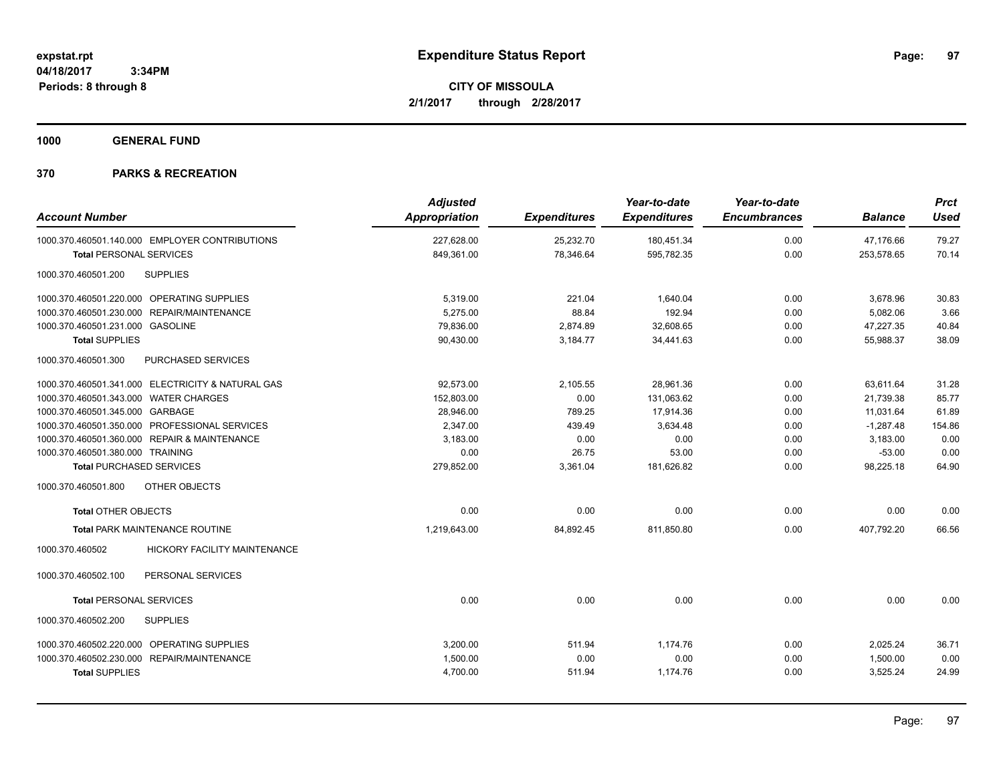**1000 GENERAL FUND**

| <b>Account Number</b>                                  | <b>Adjusted</b><br>Appropriation | <b>Expenditures</b> | Year-to-date<br><b>Expenditures</b> | Year-to-date<br><b>Encumbrances</b> | <b>Balance</b> | <b>Prct</b><br><b>Used</b> |
|--------------------------------------------------------|----------------------------------|---------------------|-------------------------------------|-------------------------------------|----------------|----------------------------|
| 1000.370.460501.140.000 EMPLOYER CONTRIBUTIONS         | 227,628.00                       | 25,232.70           | 180,451.34                          | 0.00                                | 47,176.66      | 79.27                      |
| <b>Total PERSONAL SERVICES</b>                         | 849,361.00                       | 78,346.64           | 595,782.35                          | 0.00                                | 253,578.65     | 70.14                      |
| <b>SUPPLIES</b><br>1000.370.460501.200                 |                                  |                     |                                     |                                     |                |                            |
| 1000.370.460501.220.000 OPERATING SUPPLIES             | 5,319.00                         | 221.04              | 1,640.04                            | 0.00                                | 3,678.96       | 30.83                      |
| 1000.370.460501.230.000 REPAIR/MAINTENANCE             | 5,275.00                         | 88.84               | 192.94                              | 0.00                                | 5,082.06       | 3.66                       |
| 1000.370.460501.231.000 GASOLINE                       | 79,836.00                        | 2,874.89            | 32,608.65                           | 0.00                                | 47,227.35      | 40.84                      |
| <b>Total SUPPLIES</b>                                  | 90,430.00                        | 3,184.77            | 34,441.63                           | 0.00                                | 55,988.37      | 38.09                      |
| 1000.370.460501.300<br>PURCHASED SERVICES              |                                  |                     |                                     |                                     |                |                            |
| 1000.370.460501.341.000 ELECTRICITY & NATURAL GAS      | 92,573.00                        | 2,105.55            | 28,961.36                           | 0.00                                | 63,611.64      | 31.28                      |
| 1000.370.460501.343.000 WATER CHARGES                  | 152,803.00                       | 0.00                | 131,063.62                          | 0.00                                | 21,739.38      | 85.77                      |
| 1000.370.460501.345.000 GARBAGE                        | 28,946.00                        | 789.25              | 17,914.36                           | 0.00                                | 11,031.64      | 61.89                      |
| 1000.370.460501.350.000 PROFESSIONAL SERVICES          | 2,347.00                         | 439.49              | 3,634.48                            | 0.00                                | $-1,287.48$    | 154.86                     |
| 1000.370.460501.360.000 REPAIR & MAINTENANCE           | 3,183.00                         | 0.00                | 0.00                                | 0.00                                | 3,183.00       | 0.00                       |
| 1000.370.460501.380.000 TRAINING                       | 0.00                             | 26.75               | 53.00                               | 0.00                                | $-53.00$       | 0.00                       |
| <b>Total PURCHASED SERVICES</b>                        | 279,852.00                       | 3,361.04            | 181,626.82                          | 0.00                                | 98,225.18      | 64.90                      |
| OTHER OBJECTS<br>1000.370.460501.800                   |                                  |                     |                                     |                                     |                |                            |
| <b>Total OTHER OBJECTS</b>                             | 0.00                             | 0.00                | 0.00                                | 0.00                                | 0.00           | 0.00                       |
| Total PARK MAINTENANCE ROUTINE                         | 1,219,643.00                     | 84,892.45           | 811,850.80                          | 0.00                                | 407,792.20     | 66.56                      |
| <b>HICKORY FACILITY MAINTENANCE</b><br>1000.370.460502 |                                  |                     |                                     |                                     |                |                            |
| 1000.370.460502.100<br>PERSONAL SERVICES               |                                  |                     |                                     |                                     |                |                            |
| <b>Total PERSONAL SERVICES</b>                         | 0.00                             | 0.00                | 0.00                                | 0.00                                | 0.00           | 0.00                       |
| 1000.370.460502.200<br><b>SUPPLIES</b>                 |                                  |                     |                                     |                                     |                |                            |
| 1000.370.460502.220.000 OPERATING SUPPLIES             | 3,200.00                         | 511.94              | 1,174.76                            | 0.00                                | 2.025.24       | 36.71                      |
| 1000.370.460502.230.000 REPAIR/MAINTENANCE             | 1,500.00                         | 0.00                | 0.00                                | 0.00                                | 1,500.00       | 0.00                       |
| <b>Total SUPPLIES</b>                                  | 4,700.00                         | 511.94              | 1,174.76                            | 0.00                                | 3,525.24       | 24.99                      |
|                                                        |                                  |                     |                                     |                                     |                |                            |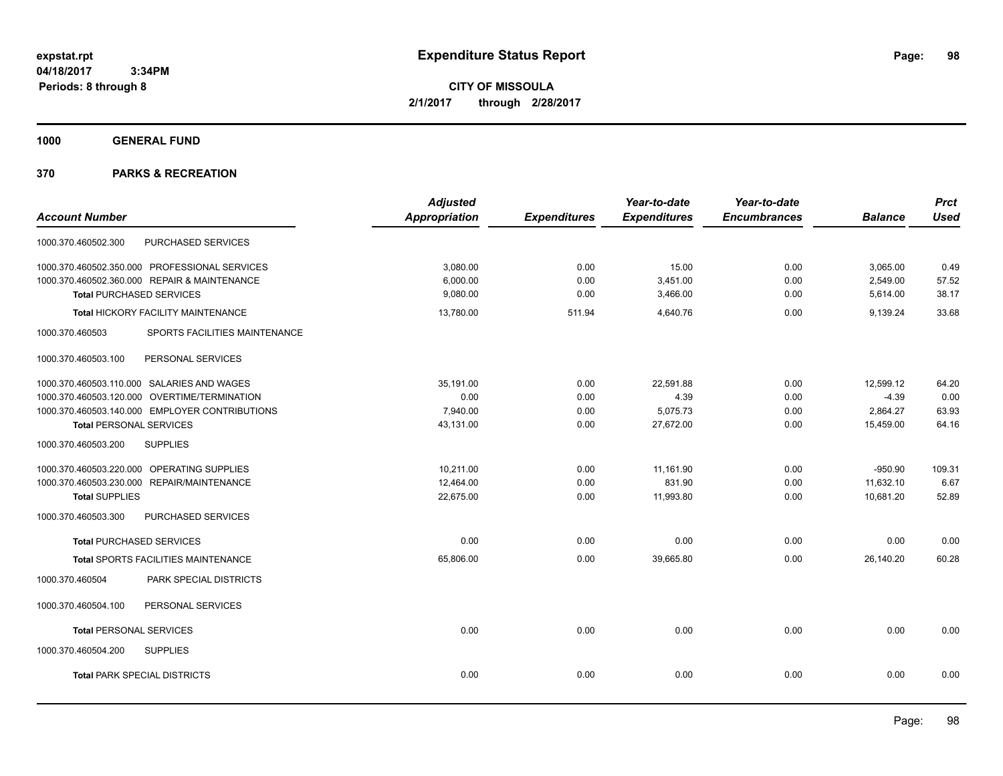**CITY OF MISSOULA 2/1/2017 through 2/28/2017**

**1000 GENERAL FUND**

|                                                  | <b>Adjusted</b> |                     | Year-to-date        | Year-to-date        |                | <b>Prct</b> |
|--------------------------------------------------|-----------------|---------------------|---------------------|---------------------|----------------|-------------|
| <b>Account Number</b>                            | Appropriation   | <b>Expenditures</b> | <b>Expenditures</b> | <b>Encumbrances</b> | <b>Balance</b> | <b>Used</b> |
| PURCHASED SERVICES<br>1000.370.460502.300        |                 |                     |                     |                     |                |             |
| 1000.370.460502.350.000 PROFESSIONAL SERVICES    | 3,080.00        | 0.00                | 15.00               | 0.00                | 3,065.00       | 0.49        |
| 1000.370.460502.360.000 REPAIR & MAINTENANCE     | 6,000.00        | 0.00                | 3,451.00            | 0.00                | 2,549.00       | 57.52       |
| <b>Total PURCHASED SERVICES</b>                  | 9,080.00        | 0.00                | 3,466.00            | 0.00                | 5,614.00       | 38.17       |
| Total HICKORY FACILITY MAINTENANCE               | 13,780.00       | 511.94              | 4,640.76            | 0.00                | 9,139.24       | 33.68       |
| SPORTS FACILITIES MAINTENANCE<br>1000.370.460503 |                 |                     |                     |                     |                |             |
| PERSONAL SERVICES<br>1000.370.460503.100         |                 |                     |                     |                     |                |             |
| 1000.370.460503.110.000 SALARIES AND WAGES       | 35,191.00       | 0.00                | 22.591.88           | 0.00                | 12,599.12      | 64.20       |
| 1000.370.460503.120.000 OVERTIME/TERMINATION     | 0.00            | 0.00                | 4.39                | 0.00                | $-4.39$        | 0.00        |
| 1000.370.460503.140.000 EMPLOYER CONTRIBUTIONS   | 7,940.00        | 0.00                | 5,075.73            | 0.00                | 2,864.27       | 63.93       |
| <b>Total PERSONAL SERVICES</b>                   | 43,131.00       | 0.00                | 27,672.00           | 0.00                | 15,459.00      | 64.16       |
| 1000.370.460503.200<br><b>SUPPLIES</b>           |                 |                     |                     |                     |                |             |
| 1000.370.460503.220.000 OPERATING SUPPLIES       | 10.211.00       | 0.00                | 11,161.90           | 0.00                | $-950.90$      | 109.31      |
| 1000.370.460503.230.000 REPAIR/MAINTENANCE       | 12,464.00       | 0.00                | 831.90              | 0.00                | 11,632.10      | 6.67        |
| <b>Total SUPPLIES</b>                            | 22,675.00       | 0.00                | 11,993.80           | 0.00                | 10,681.20      | 52.89       |
| PURCHASED SERVICES<br>1000.370.460503.300        |                 |                     |                     |                     |                |             |
| <b>Total PURCHASED SERVICES</b>                  | 0.00            | 0.00                | 0.00                | 0.00                | 0.00           | 0.00        |
| Total SPORTS FACILITIES MAINTENANCE              | 65,806.00       | 0.00                | 39,665.80           | 0.00                | 26,140.20      | 60.28       |
| PARK SPECIAL DISTRICTS<br>1000.370.460504        |                 |                     |                     |                     |                |             |
| 1000.370.460504.100<br>PERSONAL SERVICES         |                 |                     |                     |                     |                |             |
| <b>Total PERSONAL SERVICES</b>                   | 0.00            | 0.00                | 0.00                | 0.00                | 0.00           | 0.00        |
| 1000.370.460504.200<br><b>SUPPLIES</b>           |                 |                     |                     |                     |                |             |
| <b>Total PARK SPECIAL DISTRICTS</b>              | 0.00            | 0.00                | 0.00                | 0.00                | 0.00           | 0.00        |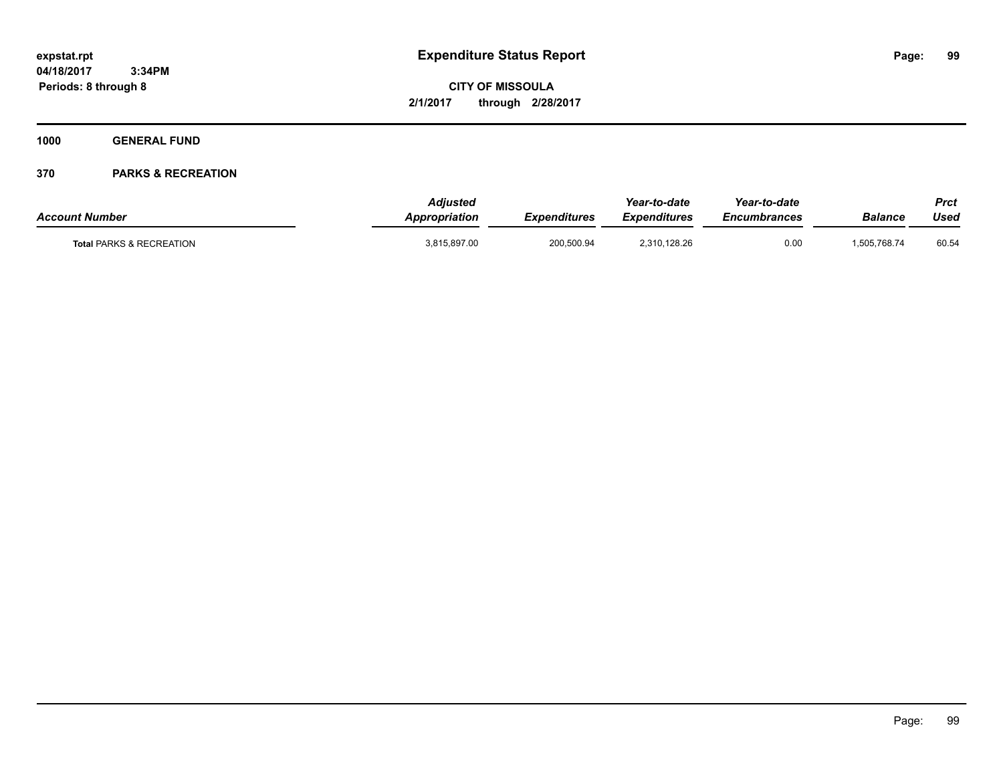**CITY OF MISSOULA 2/1/2017 through 2/28/2017**

**1000 GENERAL FUND**

| <b>Account Number</b>               | <b>Adjusted</b><br>Appropriation | <b>Expenditures</b> | Year-to-date<br><b>Expenditures</b> | Year-to-date<br>Encumbrances | Balance      | Prct<br>Used |
|-------------------------------------|----------------------------------|---------------------|-------------------------------------|------------------------------|--------------|--------------|
| <b>Total PARKS &amp; RECREATION</b> | 3,815,897.00                     | 200.500.94          | 2.310.128.26                        | 0.00                         | 1.505.768.74 | 60.54        |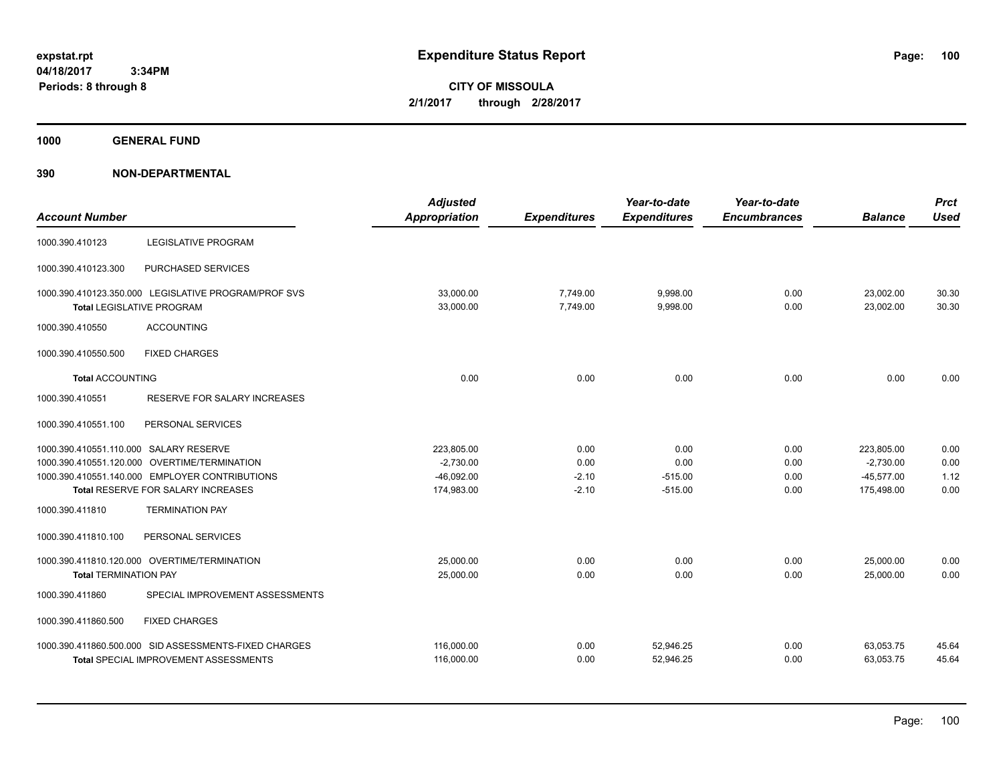**CITY OF MISSOULA 2/1/2017 through 2/28/2017**

**1000 GENERAL FUND**

| <b>Account Number</b>                  |                                                                                          | <b>Adjusted</b><br><b>Appropriation</b> | <b>Expenditures</b>  | Year-to-date<br><b>Expenditures</b> | Year-to-date<br><b>Encumbrances</b> | <b>Balance</b>         | <b>Prct</b><br><b>Used</b> |
|----------------------------------------|------------------------------------------------------------------------------------------|-----------------------------------------|----------------------|-------------------------------------|-------------------------------------|------------------------|----------------------------|
| 1000.390.410123                        | <b>LEGISLATIVE PROGRAM</b>                                                               |                                         |                      |                                     |                                     |                        |                            |
| 1000.390.410123.300                    | PURCHASED SERVICES                                                                       |                                         |                      |                                     |                                     |                        |                            |
|                                        | 1000.390.410123.350.000 LEGISLATIVE PROGRAM/PROF SVS<br><b>Total LEGISLATIVE PROGRAM</b> | 33,000.00<br>33,000.00                  | 7,749.00<br>7,749.00 | 9,998.00<br>9,998.00                | 0.00<br>0.00                        | 23,002.00<br>23,002.00 | 30.30<br>30.30             |
| 1000.390.410550                        | <b>ACCOUNTING</b>                                                                        |                                         |                      |                                     |                                     |                        |                            |
| 1000.390.410550.500                    | <b>FIXED CHARGES</b>                                                                     |                                         |                      |                                     |                                     |                        |                            |
| <b>Total ACCOUNTING</b>                |                                                                                          | 0.00                                    | 0.00                 | 0.00                                | 0.00                                | 0.00                   | 0.00                       |
| 1000.390.410551                        | RESERVE FOR SALARY INCREASES                                                             |                                         |                      |                                     |                                     |                        |                            |
| 1000.390.410551.100                    | PERSONAL SERVICES                                                                        |                                         |                      |                                     |                                     |                        |                            |
| 1000.390.410551.110.000 SALARY RESERVE |                                                                                          | 223,805.00                              | 0.00                 | 0.00                                | 0.00                                | 223,805.00             | 0.00                       |
|                                        | 1000.390.410551.120.000 OVERTIME/TERMINATION                                             | $-2,730.00$                             | 0.00                 | 0.00                                | 0.00                                | $-2,730.00$            | 0.00                       |
|                                        | 1000.390.410551.140.000 EMPLOYER CONTRIBUTIONS                                           | $-46,092.00$                            | $-2.10$              | $-515.00$                           | 0.00                                | $-45,577.00$           | 1.12                       |
|                                        | Total RESERVE FOR SALARY INCREASES                                                       | 174,983.00                              | $-2.10$              | $-515.00$                           | 0.00                                | 175,498.00             | 0.00                       |
| 1000.390.411810                        | <b>TERMINATION PAY</b>                                                                   |                                         |                      |                                     |                                     |                        |                            |
| 1000.390.411810.100                    | PERSONAL SERVICES                                                                        |                                         |                      |                                     |                                     |                        |                            |
|                                        | 1000.390.411810.120.000 OVERTIME/TERMINATION                                             | 25,000.00                               | 0.00                 | 0.00                                | 0.00                                | 25,000.00              | 0.00                       |
| <b>Total TERMINATION PAY</b>           |                                                                                          | 25,000.00                               | 0.00                 | 0.00                                | 0.00                                | 25,000.00              | 0.00                       |
| 1000.390.411860                        | SPECIAL IMPROVEMENT ASSESSMENTS                                                          |                                         |                      |                                     |                                     |                        |                            |
| 1000.390.411860.500                    | <b>FIXED CHARGES</b>                                                                     |                                         |                      |                                     |                                     |                        |                            |
|                                        | 1000.390.411860.500.000 SID ASSESSMENTS-FIXED CHARGES                                    | 116,000.00                              | 0.00                 | 52,946.25                           | 0.00                                | 63,053.75              | 45.64                      |
|                                        | <b>Total SPECIAL IMPROVEMENT ASSESSMENTS</b>                                             | 116,000.00                              | 0.00                 | 52,946.25                           | 0.00                                | 63,053.75              | 45.64                      |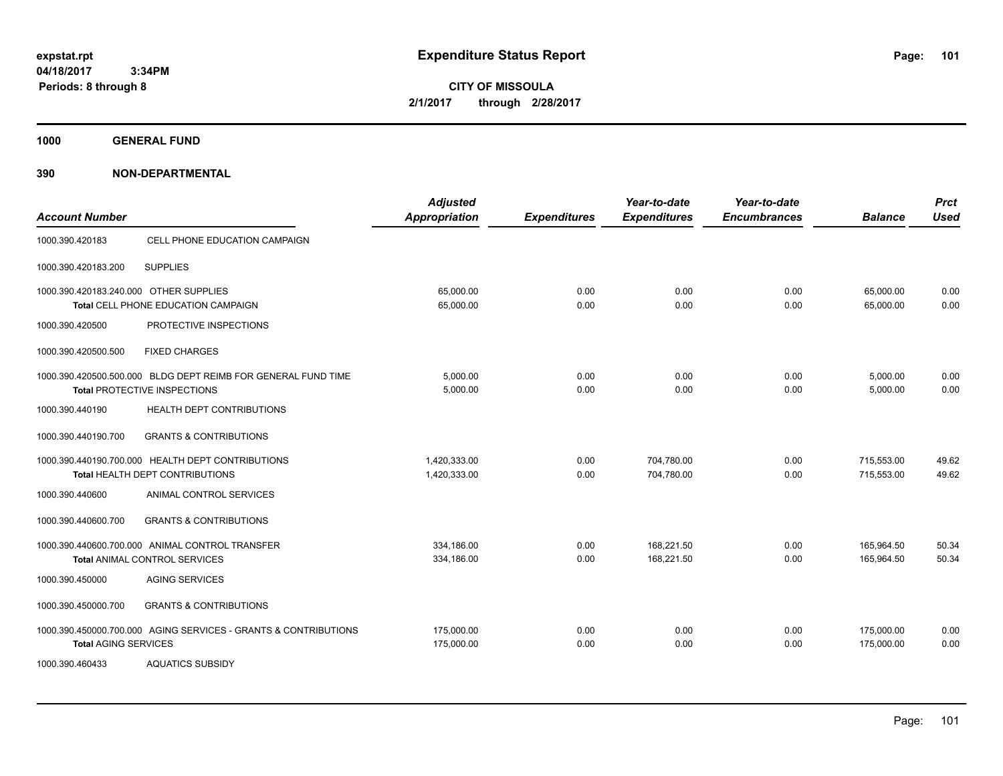**CITY OF MISSOULA 2/1/2017 through 2/28/2017**

**1000 GENERAL FUND**

| <b>Account Number</b>                  |                                                                                               | <b>Adjusted</b><br><b>Appropriation</b> | <b>Expenditures</b> | Year-to-date<br><b>Expenditures</b> | Year-to-date<br><b>Encumbrances</b> | <b>Balance</b>           | <b>Prct</b><br><b>Used</b> |
|----------------------------------------|-----------------------------------------------------------------------------------------------|-----------------------------------------|---------------------|-------------------------------------|-------------------------------------|--------------------------|----------------------------|
| 1000.390.420183                        | CELL PHONE EDUCATION CAMPAIGN                                                                 |                                         |                     |                                     |                                     |                          |                            |
| 1000.390.420183.200                    | <b>SUPPLIES</b>                                                                               |                                         |                     |                                     |                                     |                          |                            |
| 1000.390.420183.240.000 OTHER SUPPLIES | Total CELL PHONE EDUCATION CAMPAIGN                                                           | 65,000.00<br>65,000.00                  | 0.00<br>0.00        | 0.00<br>0.00                        | 0.00<br>0.00                        | 65,000.00<br>65,000.00   | 0.00<br>0.00               |
| 1000.390.420500                        | PROTECTIVE INSPECTIONS                                                                        |                                         |                     |                                     |                                     |                          |                            |
| 1000.390.420500.500                    | <b>FIXED CHARGES</b>                                                                          |                                         |                     |                                     |                                     |                          |                            |
|                                        | 1000.390.420500.500.000 BLDG DEPT REIMB FOR GENERAL FUND TIME<br>Total PROTECTIVE INSPECTIONS | 5,000.00<br>5,000.00                    | 0.00<br>0.00        | 0.00<br>0.00                        | 0.00<br>0.00                        | 5,000.00<br>5,000.00     | 0.00<br>0.00               |
| 1000.390.440190                        | <b>HEALTH DEPT CONTRIBUTIONS</b>                                                              |                                         |                     |                                     |                                     |                          |                            |
| 1000.390.440190.700                    | <b>GRANTS &amp; CONTRIBUTIONS</b>                                                             |                                         |                     |                                     |                                     |                          |                            |
|                                        | 1000.390.440190.700.000 HEALTH DEPT CONTRIBUTIONS<br>Total HEALTH DEPT CONTRIBUTIONS          | 1.420.333.00<br>1,420,333.00            | 0.00<br>0.00        | 704.780.00<br>704,780.00            | 0.00<br>0.00                        | 715,553.00<br>715,553.00 | 49.62<br>49.62             |
| 1000.390.440600                        | ANIMAL CONTROL SERVICES                                                                       |                                         |                     |                                     |                                     |                          |                            |
| 1000.390.440600.700                    | <b>GRANTS &amp; CONTRIBUTIONS</b>                                                             |                                         |                     |                                     |                                     |                          |                            |
|                                        | 1000.390.440600.700.000 ANIMAL CONTROL TRANSFER<br><b>Total ANIMAL CONTROL SERVICES</b>       | 334,186.00<br>334,186.00                | 0.00<br>0.00        | 168,221.50<br>168.221.50            | 0.00<br>0.00                        | 165,964.50<br>165,964.50 | 50.34<br>50.34             |
| 1000.390.450000                        | <b>AGING SERVICES</b>                                                                         |                                         |                     |                                     |                                     |                          |                            |
| 1000.390.450000.700                    | <b>GRANTS &amp; CONTRIBUTIONS</b>                                                             |                                         |                     |                                     |                                     |                          |                            |
| <b>Total AGING SERVICES</b>            | 1000.390.450000.700.000 AGING SERVICES - GRANTS & CONTRIBUTIONS                               | 175,000.00<br>175,000.00                | 0.00<br>0.00        | 0.00<br>0.00                        | 0.00<br>0.00                        | 175,000.00<br>175,000.00 | 0.00<br>0.00               |
| 1000.390.460433                        | <b>AQUATICS SUBSIDY</b>                                                                       |                                         |                     |                                     |                                     |                          |                            |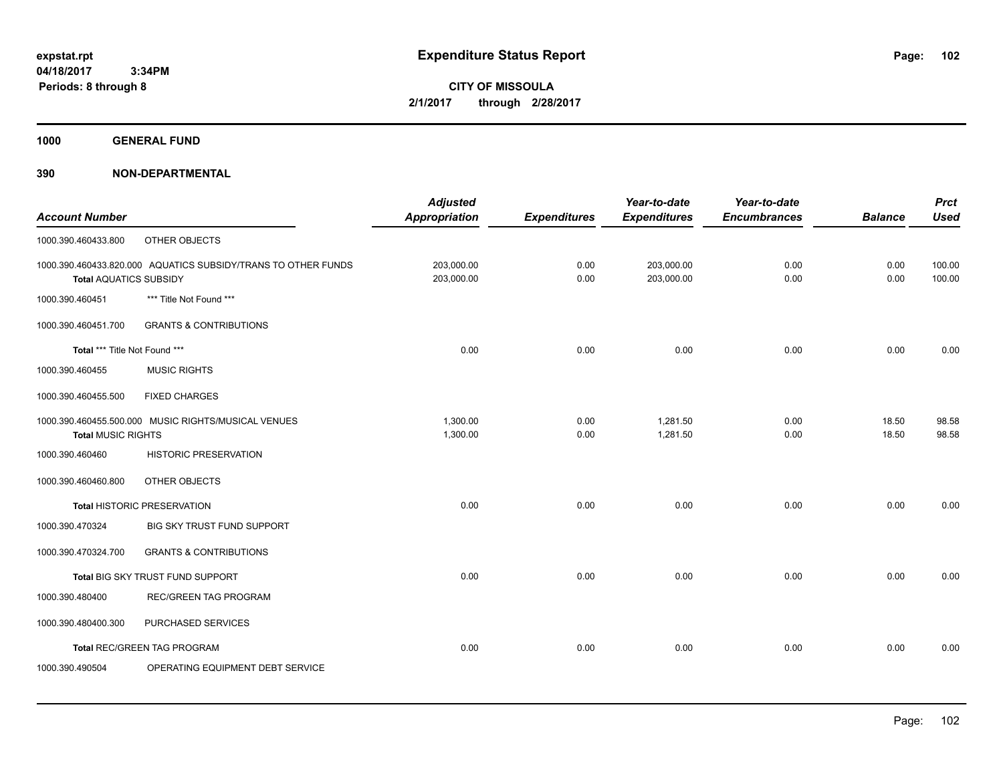**CITY OF MISSOULA 2/1/2017 through 2/28/2017**

**1000 GENERAL FUND**

|                               |                                                               | <b>Adjusted</b>      |                     | Year-to-date        | Year-to-date        |                | <b>Prct</b> |
|-------------------------------|---------------------------------------------------------------|----------------------|---------------------|---------------------|---------------------|----------------|-------------|
| <b>Account Number</b>         |                                                               | <b>Appropriation</b> | <b>Expenditures</b> | <b>Expenditures</b> | <b>Encumbrances</b> | <b>Balance</b> | <b>Used</b> |
| 1000.390.460433.800           | OTHER OBJECTS                                                 |                      |                     |                     |                     |                |             |
|                               | 1000.390.460433.820.000 AQUATICS SUBSIDY/TRANS TO OTHER FUNDS | 203,000.00           | 0.00                | 203,000.00          | 0.00                | 0.00           | 100.00      |
| <b>Total AQUATICS SUBSIDY</b> |                                                               | 203,000.00           | 0.00                | 203,000.00          | 0.00                | 0.00           | 100.00      |
| 1000.390.460451               | *** Title Not Found ***                                       |                      |                     |                     |                     |                |             |
| 1000.390.460451.700           | <b>GRANTS &amp; CONTRIBUTIONS</b>                             |                      |                     |                     |                     |                |             |
| Total *** Title Not Found *** |                                                               | 0.00                 | 0.00                | 0.00                | 0.00                | 0.00           | 0.00        |
| 1000.390.460455               | <b>MUSIC RIGHTS</b>                                           |                      |                     |                     |                     |                |             |
| 1000.390.460455.500           | <b>FIXED CHARGES</b>                                          |                      |                     |                     |                     |                |             |
|                               | 1000.390.460455.500.000 MUSIC RIGHTS/MUSICAL VENUES           | 1,300.00             | 0.00                | 1,281.50            | 0.00                | 18.50          | 98.58       |
| <b>Total MUSIC RIGHTS</b>     |                                                               | 1,300.00             | 0.00                | 1,281.50            | 0.00                | 18.50          | 98.58       |
| 1000.390.460460               | <b>HISTORIC PRESERVATION</b>                                  |                      |                     |                     |                     |                |             |
| 1000.390.460460.800           | OTHER OBJECTS                                                 |                      |                     |                     |                     |                |             |
|                               | <b>Total HISTORIC PRESERVATION</b>                            | 0.00                 | 0.00                | 0.00                | 0.00                | 0.00           | 0.00        |
| 1000.390.470324               | BIG SKY TRUST FUND SUPPORT                                    |                      |                     |                     |                     |                |             |
| 1000.390.470324.700           | <b>GRANTS &amp; CONTRIBUTIONS</b>                             |                      |                     |                     |                     |                |             |
|                               | Total BIG SKY TRUST FUND SUPPORT                              | 0.00                 | 0.00                | 0.00                | 0.00                | 0.00           | 0.00        |
| 1000.390.480400               | REC/GREEN TAG PROGRAM                                         |                      |                     |                     |                     |                |             |
| 1000.390.480400.300           | PURCHASED SERVICES                                            |                      |                     |                     |                     |                |             |
|                               | Total REC/GREEN TAG PROGRAM                                   | 0.00                 | 0.00                | 0.00                | 0.00                | 0.00           | 0.00        |
| 1000.390.490504               | OPERATING EQUIPMENT DEBT SERVICE                              |                      |                     |                     |                     |                |             |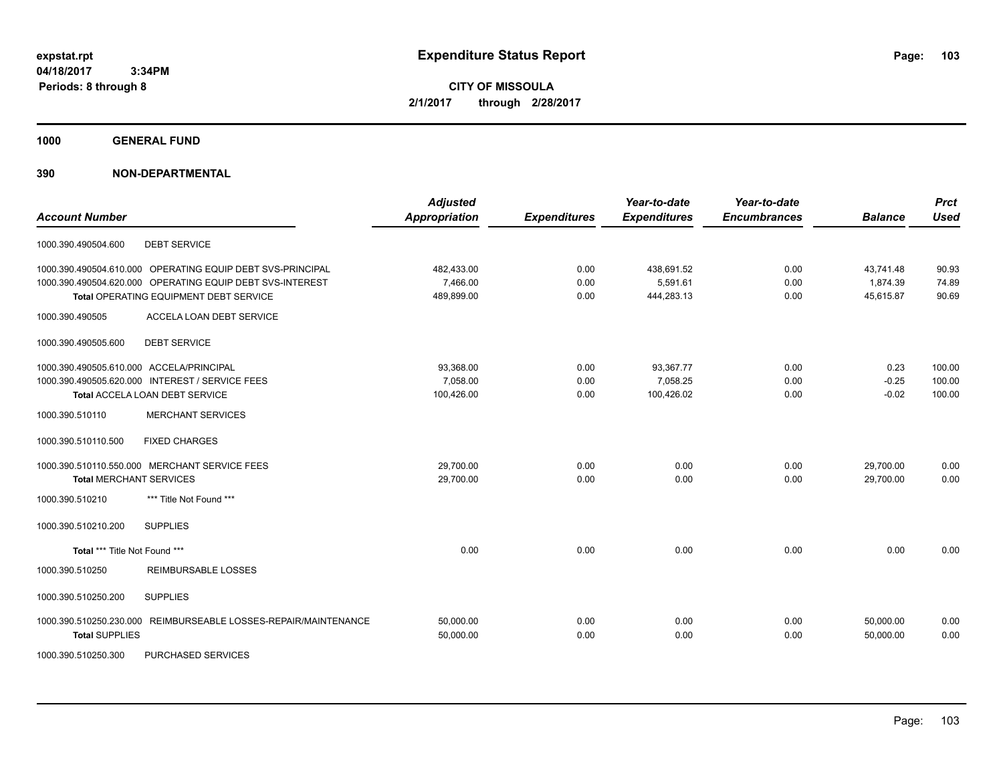**CITY OF MISSOULA 2/1/2017 through 2/28/2017**

**1000 GENERAL FUND**

## **390 NON-DEPARTMENTAL**

| <b>Account Number</b>                            |                                                                                                                                                                   | <b>Adjusted</b><br><b>Appropriation</b> | <b>Expenditures</b>  | Year-to-date<br><b>Expenditures</b>  | Year-to-date<br><b>Encumbrances</b> | <b>Balance</b>                     | <b>Prct</b><br><b>Used</b> |
|--------------------------------------------------|-------------------------------------------------------------------------------------------------------------------------------------------------------------------|-----------------------------------------|----------------------|--------------------------------------|-------------------------------------|------------------------------------|----------------------------|
| 1000.390.490504.600                              | <b>DEBT SERVICE</b>                                                                                                                                               |                                         |                      |                                      |                                     |                                    |                            |
|                                                  | 1000.390.490504.610.000 OPERATING EQUIP DEBT SVS-PRINCIPAL<br>1000.390.490504.620.000 OPERATING EQUIP DEBT SVS-INTEREST<br>Total OPERATING EQUIPMENT DEBT SERVICE | 482,433.00<br>7,466.00<br>489,899.00    | 0.00<br>0.00<br>0.00 | 438,691.52<br>5,591.61<br>444,283.13 | 0.00<br>0.00<br>0.00                | 43,741.48<br>1,874.39<br>45,615.87 | 90.93<br>74.89<br>90.69    |
| 1000.390.490505                                  | ACCELA LOAN DEBT SERVICE                                                                                                                                          |                                         |                      |                                      |                                     |                                    |                            |
| 1000.390.490505.600                              | <b>DEBT SERVICE</b>                                                                                                                                               |                                         |                      |                                      |                                     |                                    |                            |
| 1000.390.490505.610.000 ACCELA/PRINCIPAL         | 1000.390.490505.620.000 INTEREST / SERVICE FEES<br><b>Total ACCELA LOAN DEBT SERVICE</b>                                                                          | 93,368.00<br>7,058.00<br>100,426.00     | 0.00<br>0.00<br>0.00 | 93,367.77<br>7,058.25<br>100,426.02  | 0.00<br>0.00<br>0.00                | 0.23<br>$-0.25$<br>$-0.02$         | 100.00<br>100.00<br>100.00 |
| 1000.390.510110                                  | <b>MERCHANT SERVICES</b>                                                                                                                                          |                                         |                      |                                      |                                     |                                    |                            |
| 1000.390.510110.500                              | <b>FIXED CHARGES</b>                                                                                                                                              |                                         |                      |                                      |                                     |                                    |                            |
| <b>Total MERCHANT SERVICES</b>                   | 1000.390.510110.550.000 MERCHANT SERVICE FEES                                                                                                                     | 29,700.00<br>29,700.00                  | 0.00<br>0.00         | 0.00<br>0.00                         | 0.00<br>0.00                        | 29,700.00<br>29,700.00             | 0.00<br>0.00               |
| 1000.390.510210                                  | *** Title Not Found ***                                                                                                                                           |                                         |                      |                                      |                                     |                                    |                            |
| 1000.390.510210.200                              | <b>SUPPLIES</b>                                                                                                                                                   |                                         |                      |                                      |                                     |                                    |                            |
| Total *** Title Not Found ***                    |                                                                                                                                                                   | 0.00                                    | 0.00                 | 0.00                                 | 0.00                                | 0.00                               | 0.00                       |
| 1000.390.510250                                  | <b>REIMBURSABLE LOSSES</b>                                                                                                                                        |                                         |                      |                                      |                                     |                                    |                            |
| 1000.390.510250.200                              | <b>SUPPLIES</b>                                                                                                                                                   |                                         |                      |                                      |                                     |                                    |                            |
| 1000.390.510250.230.000<br><b>Total SUPPLIES</b> | REIMBURSEABLE LOSSES-REPAIR/MAINTENANCE                                                                                                                           | 50,000.00<br>50,000.00                  | 0.00<br>0.00         | 0.00<br>0.00                         | 0.00<br>0.00                        | 50,000.00<br>50,000.00             | 0.00<br>0.00               |

1000.390.510250.300 PURCHASED SERVICES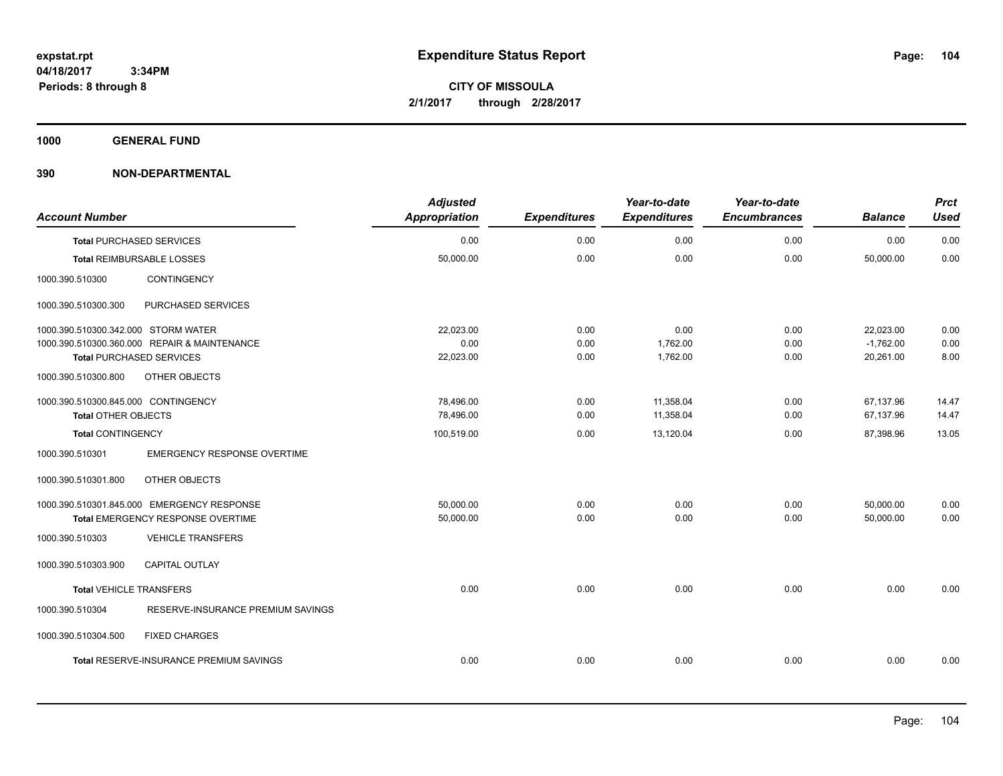**1000 GENERAL FUND**

| <b>Account Number</b>               |                                                | <b>Adjusted</b><br><b>Appropriation</b> | <b>Expenditures</b> | Year-to-date<br><b>Expenditures</b> | Year-to-date<br><b>Encumbrances</b> | <b>Balance</b> | <b>Prct</b><br><b>Used</b> |
|-------------------------------------|------------------------------------------------|-----------------------------------------|---------------------|-------------------------------------|-------------------------------------|----------------|----------------------------|
|                                     | <b>Total PURCHASED SERVICES</b>                | 0.00                                    | 0.00                | 0.00                                | 0.00                                | 0.00           | 0.00                       |
|                                     | <b>Total REIMBURSABLE LOSSES</b>               | 50,000.00                               | 0.00                | 0.00                                | 0.00                                | 50,000.00      | 0.00                       |
| 1000.390.510300                     | CONTINGENCY                                    |                                         |                     |                                     |                                     |                |                            |
| 1000.390.510300.300                 | PURCHASED SERVICES                             |                                         |                     |                                     |                                     |                |                            |
| 1000.390.510300.342.000 STORM WATER |                                                | 22,023.00                               | 0.00                | 0.00                                | 0.00                                | 22,023.00      | 0.00                       |
|                                     | 1000.390.510300.360.000 REPAIR & MAINTENANCE   | 0.00                                    | 0.00                | 1,762.00                            | 0.00                                | $-1,762.00$    | 0.00                       |
|                                     | <b>Total PURCHASED SERVICES</b>                | 22,023.00                               | 0.00                | 1,762.00                            | 0.00                                | 20,261.00      | 8.00                       |
| 1000.390.510300.800                 | OTHER OBJECTS                                  |                                         |                     |                                     |                                     |                |                            |
| 1000.390.510300.845.000 CONTINGENCY |                                                | 78,496.00                               | 0.00                | 11,358.04                           | 0.00                                | 67,137.96      | 14.47                      |
| <b>Total OTHER OBJECTS</b>          |                                                | 78,496.00                               | 0.00                | 11,358.04                           | 0.00                                | 67,137.96      | 14.47                      |
| <b>Total CONTINGENCY</b>            |                                                | 100,519.00                              | 0.00                | 13,120.04                           | 0.00                                | 87,398.96      | 13.05                      |
| 1000.390.510301                     | <b>EMERGENCY RESPONSE OVERTIME</b>             |                                         |                     |                                     |                                     |                |                            |
| 1000.390.510301.800                 | OTHER OBJECTS                                  |                                         |                     |                                     |                                     |                |                            |
|                                     | 1000.390.510301.845.000 EMERGENCY RESPONSE     | 50,000.00                               | 0.00                | 0.00                                | 0.00                                | 50,000.00      | 0.00                       |
|                                     | Total EMERGENCY RESPONSE OVERTIME              | 50,000.00                               | 0.00                | 0.00                                | 0.00                                | 50,000.00      | 0.00                       |
| 1000.390.510303                     | <b>VEHICLE TRANSFERS</b>                       |                                         |                     |                                     |                                     |                |                            |
| 1000.390.510303.900                 | <b>CAPITAL OUTLAY</b>                          |                                         |                     |                                     |                                     |                |                            |
| <b>Total VEHICLE TRANSFERS</b>      |                                                | 0.00                                    | 0.00                | 0.00                                | 0.00                                | 0.00           | 0.00                       |
| 1000.390.510304                     | RESERVE-INSURANCE PREMIUM SAVINGS              |                                         |                     |                                     |                                     |                |                            |
| 1000.390.510304.500                 | <b>FIXED CHARGES</b>                           |                                         |                     |                                     |                                     |                |                            |
|                                     | <b>Total RESERVE-INSURANCE PREMIUM SAVINGS</b> | 0.00                                    | 0.00                | 0.00                                | 0.00                                | 0.00           | 0.00                       |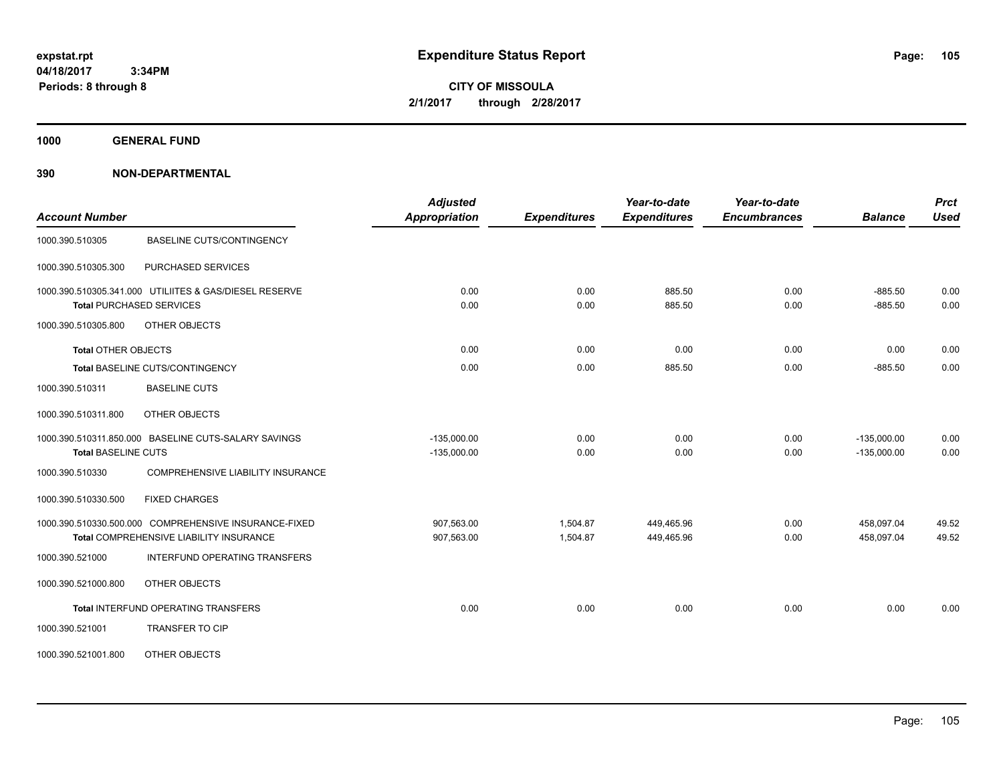**CITY OF MISSOULA 2/1/2017 through 2/28/2017**

**1000 GENERAL FUND**

| <b>Account Number</b>      |                                                                                                  | <b>Adjusted</b><br>Appropriation | <b>Expenditures</b>  | Year-to-date<br><b>Expenditures</b> | Year-to-date<br><b>Encumbrances</b> | <b>Balance</b>                 | <b>Prct</b><br><b>Used</b> |
|----------------------------|--------------------------------------------------------------------------------------------------|----------------------------------|----------------------|-------------------------------------|-------------------------------------|--------------------------------|----------------------------|
| 1000.390.510305            | <b>BASELINE CUTS/CONTINGENCY</b>                                                                 |                                  |                      |                                     |                                     |                                |                            |
| 1000.390.510305.300        | PURCHASED SERVICES                                                                               |                                  |                      |                                     |                                     |                                |                            |
|                            | 1000.390.510305.341.000 UTILIITES & GAS/DIESEL RESERVE<br><b>Total PURCHASED SERVICES</b>        | 0.00<br>0.00                     | 0.00<br>0.00         | 885.50<br>885.50                    | 0.00<br>0.00                        | $-885.50$<br>$-885.50$         | 0.00<br>0.00               |
| 1000.390.510305.800        | OTHER OBJECTS                                                                                    |                                  |                      |                                     |                                     |                                |                            |
| <b>Total OTHER OBJECTS</b> |                                                                                                  | 0.00                             | 0.00                 | 0.00                                | 0.00                                | 0.00                           | 0.00                       |
|                            | <b>Total BASELINE CUTS/CONTINGENCY</b>                                                           | 0.00                             | 0.00                 | 885.50                              | 0.00                                | $-885.50$                      | 0.00                       |
| 1000.390.510311            | <b>BASELINE CUTS</b>                                                                             |                                  |                      |                                     |                                     |                                |                            |
| 1000.390.510311.800        | OTHER OBJECTS                                                                                    |                                  |                      |                                     |                                     |                                |                            |
| <b>Total BASELINE CUTS</b> | 1000.390.510311.850.000 BASELINE CUTS-SALARY SAVINGS                                             | $-135,000.00$<br>$-135,000.00$   | 0.00<br>0.00         | 0.00<br>0.00                        | 0.00<br>0.00                        | $-135,000.00$<br>$-135,000.00$ | 0.00<br>0.00               |
| 1000.390.510330            | <b>COMPREHENSIVE LIABILITY INSURANCE</b>                                                         |                                  |                      |                                     |                                     |                                |                            |
| 1000.390.510330.500        | <b>FIXED CHARGES</b>                                                                             |                                  |                      |                                     |                                     |                                |                            |
|                            | 1000.390.510330.500.000 COMPREHENSIVE INSURANCE-FIXED<br>Total COMPREHENSIVE LIABILITY INSURANCE | 907,563.00<br>907,563.00         | 1,504.87<br>1,504.87 | 449,465.96<br>449,465.96            | 0.00<br>0.00                        | 458.097.04<br>458,097.04       | 49.52<br>49.52             |
| 1000.390.521000            | INTERFUND OPERATING TRANSFERS                                                                    |                                  |                      |                                     |                                     |                                |                            |
| 1000.390.521000.800        | OTHER OBJECTS                                                                                    |                                  |                      |                                     |                                     |                                |                            |
|                            | <b>Total INTERFUND OPERATING TRANSFERS</b>                                                       | 0.00                             | 0.00                 | 0.00                                | 0.00                                | 0.00                           | 0.00                       |
| 1000.390.521001            | <b>TRANSFER TO CIP</b>                                                                           |                                  |                      |                                     |                                     |                                |                            |
| 1000.390.521001.800        | OTHER OBJECTS                                                                                    |                                  |                      |                                     |                                     |                                |                            |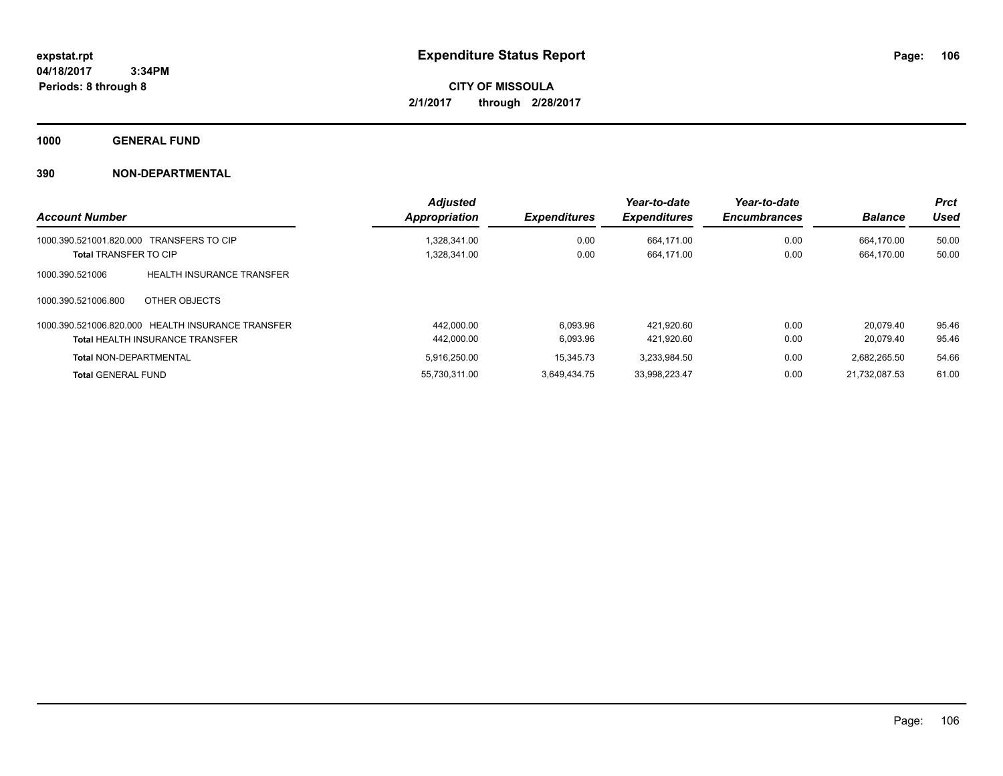**Periods: 8 through 8**

**CITY OF MISSOULA 2/1/2017 through 2/28/2017**

**1000 GENERAL FUND**

|                                                     | <b>Adjusted</b> |                     | Year-to-date        | Year-to-date        |                | <b>Prct</b> |
|-----------------------------------------------------|-----------------|---------------------|---------------------|---------------------|----------------|-------------|
| <b>Account Number</b>                               | Appropriation   | <b>Expenditures</b> | <b>Expenditures</b> | <b>Encumbrances</b> | <b>Balance</b> | Used        |
| 1000.390.521001.820.000 TRANSFERS TO CIP            | 1.328.341.00    | 0.00                | 664.171.00          | 0.00                | 664.170.00     | 50.00       |
| <b>Total TRANSFER TO CIP</b>                        | 1,328,341.00    | 0.00                | 664,171.00          | 0.00                | 664.170.00     | 50.00       |
| 1000.390.521006<br><b>HEALTH INSURANCE TRANSFER</b> |                 |                     |                     |                     |                |             |
| 1000.390.521006.800<br>OTHER OBJECTS                |                 |                     |                     |                     |                |             |
| 1000.390.521006.820.000 HEALTH INSURANCE TRANSFER   | 442.000.00      | 6.093.96            | 421.920.60          | 0.00                | 20.079.40      | 95.46       |
| <b>Total HEALTH INSURANCE TRANSFER</b>              | 442.000.00      | 6,093.96            | 421.920.60          | 0.00                | 20.079.40      | 95.46       |
| <b>Total NON-DEPARTMENTAL</b>                       | 5,916,250.00    | 15,345.73           | 3.233.984.50        | 0.00                | 2,682,265.50   | 54.66       |
| <b>Total GENERAL FUND</b>                           | 55.730.311.00   | 3.649.434.75        | 33.998.223.47       | 0.00                | 21.732.087.53  | 61.00       |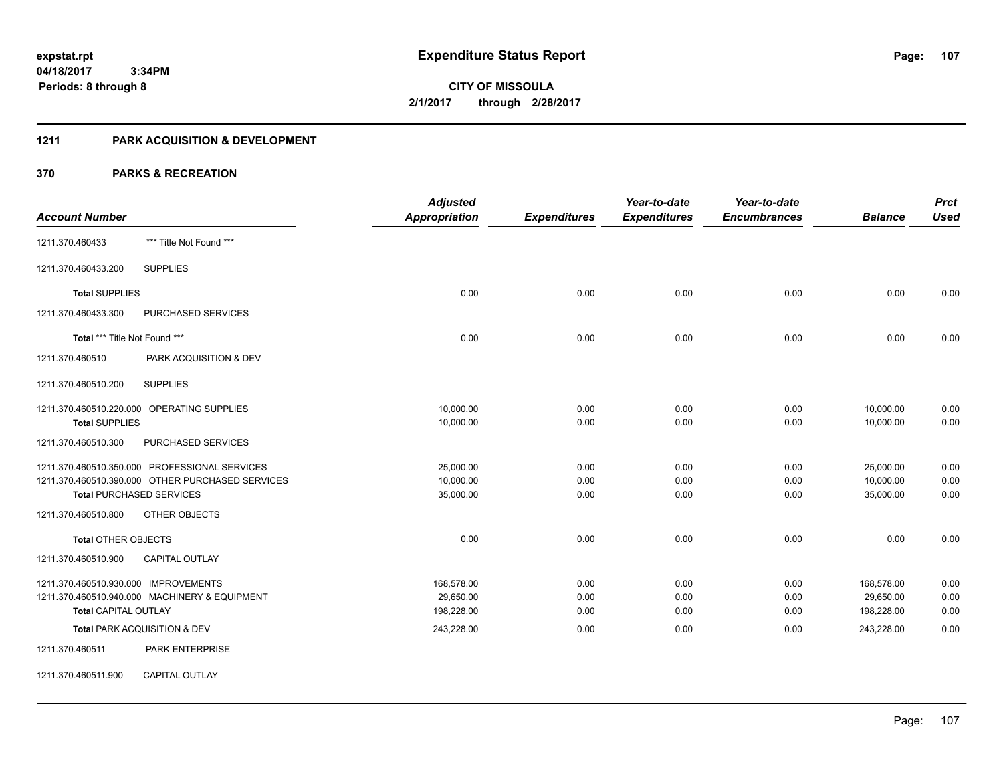## **1211 PARK ACQUISITION & DEVELOPMENT**

|                                              |                                                  | <b>Adjusted</b>      |                     | Year-to-date        | Year-to-date        |                | <b>Prct</b> |
|----------------------------------------------|--------------------------------------------------|----------------------|---------------------|---------------------|---------------------|----------------|-------------|
| <b>Account Number</b>                        |                                                  | <b>Appropriation</b> | <b>Expenditures</b> | <b>Expenditures</b> | <b>Encumbrances</b> | <b>Balance</b> | <b>Used</b> |
| 1211.370.460433                              | *** Title Not Found ***                          |                      |                     |                     |                     |                |             |
| 1211.370.460433.200                          | <b>SUPPLIES</b>                                  |                      |                     |                     |                     |                |             |
| <b>Total SUPPLIES</b>                        |                                                  | 0.00                 | 0.00                | 0.00                | 0.00                | 0.00           | 0.00        |
| 1211.370.460433.300                          | PURCHASED SERVICES                               |                      |                     |                     |                     |                |             |
| Total *** Title Not Found ***                |                                                  | 0.00                 | 0.00                | 0.00                | 0.00                | 0.00           | 0.00        |
| 1211.370.460510                              | PARK ACQUISITION & DEV                           |                      |                     |                     |                     |                |             |
| 1211.370.460510.200                          | <b>SUPPLIES</b>                                  |                      |                     |                     |                     |                |             |
|                                              | 1211.370.460510.220.000 OPERATING SUPPLIES       | 10,000.00            | 0.00                | 0.00                | 0.00                | 10,000.00      | 0.00        |
| <b>Total SUPPLIES</b><br>1211.370.460510.300 | PURCHASED SERVICES                               | 10,000.00            | 0.00                | 0.00                | 0.00                | 10,000.00      | 0.00        |
|                                              | 1211.370.460510.350.000 PROFESSIONAL SERVICES    | 25,000.00            | 0.00                | 0.00                | 0.00                | 25,000.00      | 0.00        |
|                                              | 1211.370.460510.390.000 OTHER PURCHASED SERVICES | 10,000.00            | 0.00                | 0.00                | 0.00                | 10,000.00      | 0.00        |
|                                              | <b>Total PURCHASED SERVICES</b>                  | 35,000.00            | 0.00                | 0.00                | 0.00                | 35,000.00      | 0.00        |
| 1211.370.460510.800                          | <b>OTHER OBJECTS</b>                             |                      |                     |                     |                     |                |             |
| <b>Total OTHER OBJECTS</b>                   |                                                  | 0.00                 | 0.00                | 0.00                | 0.00                | 0.00           | 0.00        |
| 1211.370.460510.900                          | <b>CAPITAL OUTLAY</b>                            |                      |                     |                     |                     |                |             |
| 1211.370.460510.930.000 IMPROVEMENTS         |                                                  | 168,578.00           | 0.00                | 0.00                | 0.00                | 168,578.00     | 0.00        |
|                                              | 1211.370.460510.940.000 MACHINERY & EQUIPMENT    | 29,650.00            | 0.00                | 0.00                | 0.00                | 29,650.00      | 0.00        |
| <b>Total CAPITAL OUTLAY</b>                  |                                                  | 198,228.00           | 0.00                | 0.00                | 0.00                | 198,228.00     | 0.00        |
|                                              | Total PARK ACQUISITION & DEV                     | 243,228.00           | 0.00                | 0.00                | 0.00                | 243,228.00     | 0.00        |
| 1211.370.460511                              | <b>PARK ENTERPRISE</b>                           |                      |                     |                     |                     |                |             |
| 1211.370.460511.900                          | CAPITAL OUTLAY                                   |                      |                     |                     |                     |                |             |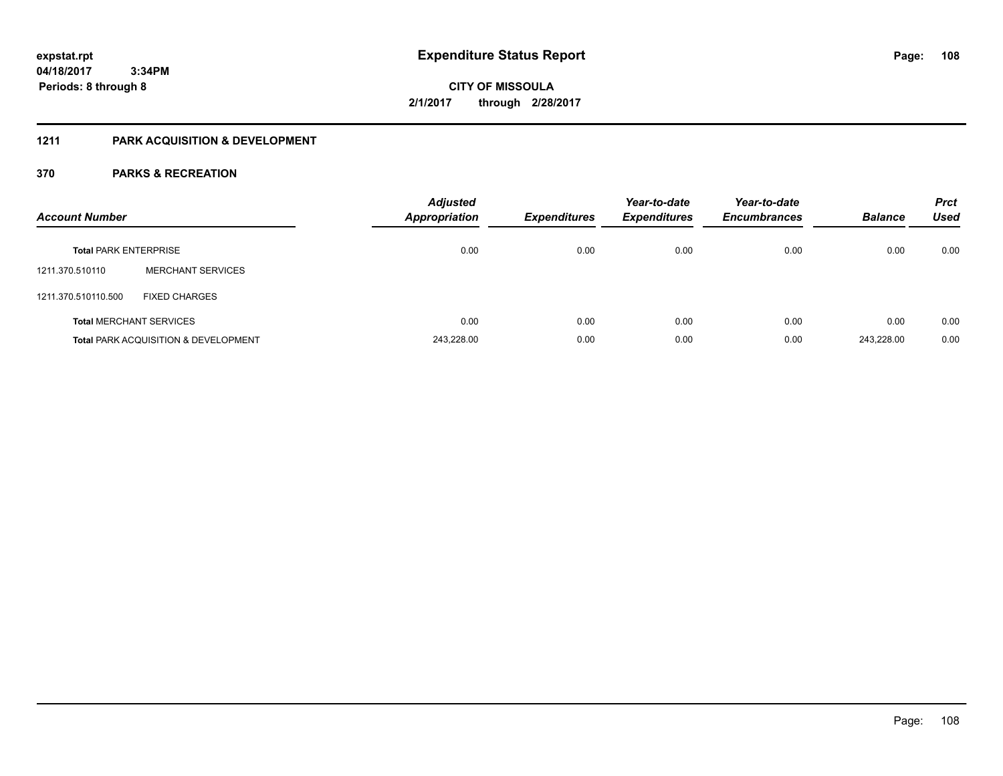#### **04/18/2017 3:34PM**

**Periods: 8 through 8**

**CITY OF MISSOULA 2/1/2017 through 2/28/2017**

## **1211 PARK ACQUISITION & DEVELOPMENT**

| <b>Account Number</b>        |                                                 | <b>Adjusted</b><br><b>Appropriation</b> | <b>Expenditures</b> | Year-to-date<br><b>Expenditures</b> | Year-to-date<br><b>Encumbrances</b> | <b>Balance</b> | <b>Prct</b><br><b>Used</b> |
|------------------------------|-------------------------------------------------|-----------------------------------------|---------------------|-------------------------------------|-------------------------------------|----------------|----------------------------|
| <b>Total PARK ENTERPRISE</b> |                                                 | 0.00                                    | 0.00                | 0.00                                | 0.00                                | 0.00           | 0.00                       |
| 1211.370.510110              | <b>MERCHANT SERVICES</b>                        |                                         |                     |                                     |                                     |                |                            |
| 1211.370.510110.500          | <b>FIXED CHARGES</b>                            |                                         |                     |                                     |                                     |                |                            |
|                              | <b>Total MERCHANT SERVICES</b>                  | 0.00                                    | 0.00                | 0.00                                | 0.00                                | 0.00           | 0.00                       |
|                              | <b>Total PARK ACQUISITION &amp; DEVELOPMENT</b> | 243,228.00                              | 0.00                | 0.00                                | 0.00                                | 243.228.00     | 0.00                       |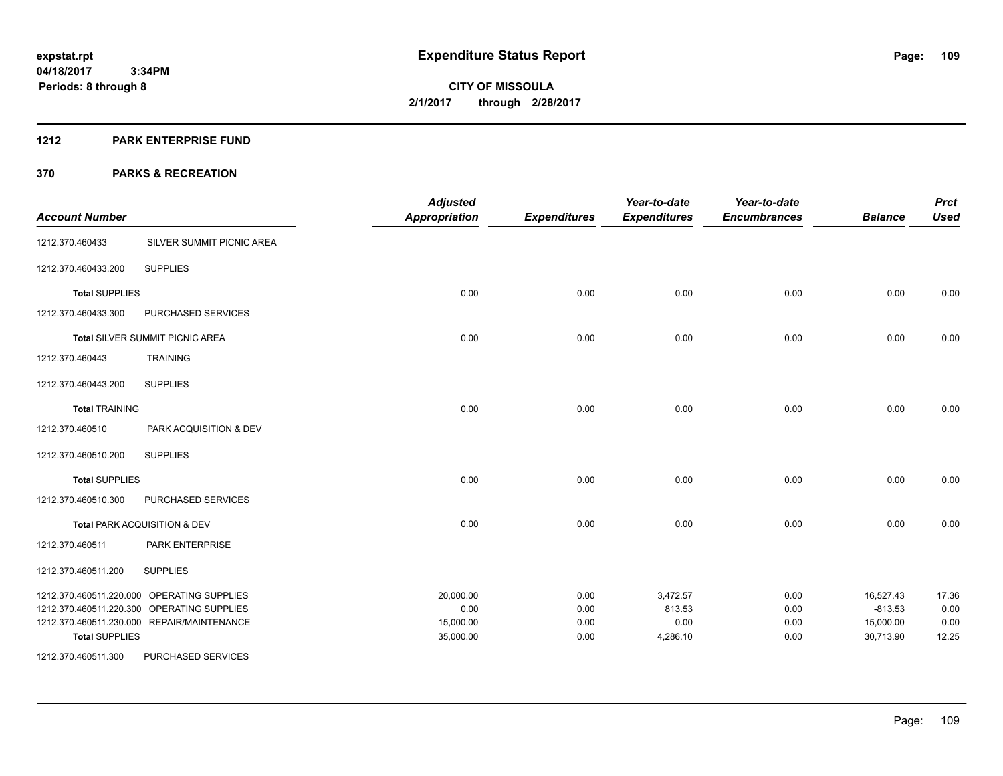#### **1212 PARK ENTERPRISE FUND**

| <b>Account Number</b> |                                            | <b>Adjusted</b><br><b>Appropriation</b> | <b>Expenditures</b> | Year-to-date<br><b>Expenditures</b> | Year-to-date<br><b>Encumbrances</b> | <b>Balance</b> | <b>Prct</b><br><b>Used</b> |
|-----------------------|--------------------------------------------|-----------------------------------------|---------------------|-------------------------------------|-------------------------------------|----------------|----------------------------|
| 1212.370.460433       | SILVER SUMMIT PICNIC AREA                  |                                         |                     |                                     |                                     |                |                            |
| 1212.370.460433.200   | <b>SUPPLIES</b>                            |                                         |                     |                                     |                                     |                |                            |
| <b>Total SUPPLIES</b> |                                            | 0.00                                    | 0.00                | 0.00                                | 0.00                                | 0.00           | 0.00                       |
| 1212.370.460433.300   | PURCHASED SERVICES                         |                                         |                     |                                     |                                     |                |                            |
|                       | <b>Total SILVER SUMMIT PICNIC AREA</b>     | 0.00                                    | 0.00                | 0.00                                | 0.00                                | 0.00           | 0.00                       |
| 1212.370.460443       | <b>TRAINING</b>                            |                                         |                     |                                     |                                     |                |                            |
| 1212.370.460443.200   | <b>SUPPLIES</b>                            |                                         |                     |                                     |                                     |                |                            |
| <b>Total TRAINING</b> |                                            | 0.00                                    | 0.00                | 0.00                                | 0.00                                | 0.00           | 0.00                       |
| 1212.370.460510       | PARK ACQUISITION & DEV                     |                                         |                     |                                     |                                     |                |                            |
| 1212.370.460510.200   | <b>SUPPLIES</b>                            |                                         |                     |                                     |                                     |                |                            |
| <b>Total SUPPLIES</b> |                                            | 0.00                                    | 0.00                | 0.00                                | 0.00                                | 0.00           | 0.00                       |
| 1212.370.460510.300   | PURCHASED SERVICES                         |                                         |                     |                                     |                                     |                |                            |
|                       | Total PARK ACQUISITION & DEV               | 0.00                                    | 0.00                | 0.00                                | 0.00                                | 0.00           | 0.00                       |
| 1212.370.460511       | PARK ENTERPRISE                            |                                         |                     |                                     |                                     |                |                            |
| 1212.370.460511.200   | <b>SUPPLIES</b>                            |                                         |                     |                                     |                                     |                |                            |
|                       | 1212.370.460511.220.000 OPERATING SUPPLIES | 20,000.00                               | 0.00                | 3,472.57                            | 0.00                                | 16,527.43      | 17.36                      |
|                       | 1212.370.460511.220.300 OPERATING SUPPLIES | 0.00                                    | 0.00                | 813.53                              | 0.00                                | $-813.53$      | 0.00                       |
|                       | 1212.370.460511.230.000 REPAIR/MAINTENANCE | 15,000.00                               | 0.00                | 0.00                                | 0.00                                | 15,000.00      | 0.00                       |
| <b>Total SUPPLIES</b> |                                            | 35,000.00                               | 0.00                | 4,286.10                            | 0.00                                | 30,713.90      | 12.25                      |
| 1212.370.460511.300   | PURCHASED SERVICES                         |                                         |                     |                                     |                                     |                |                            |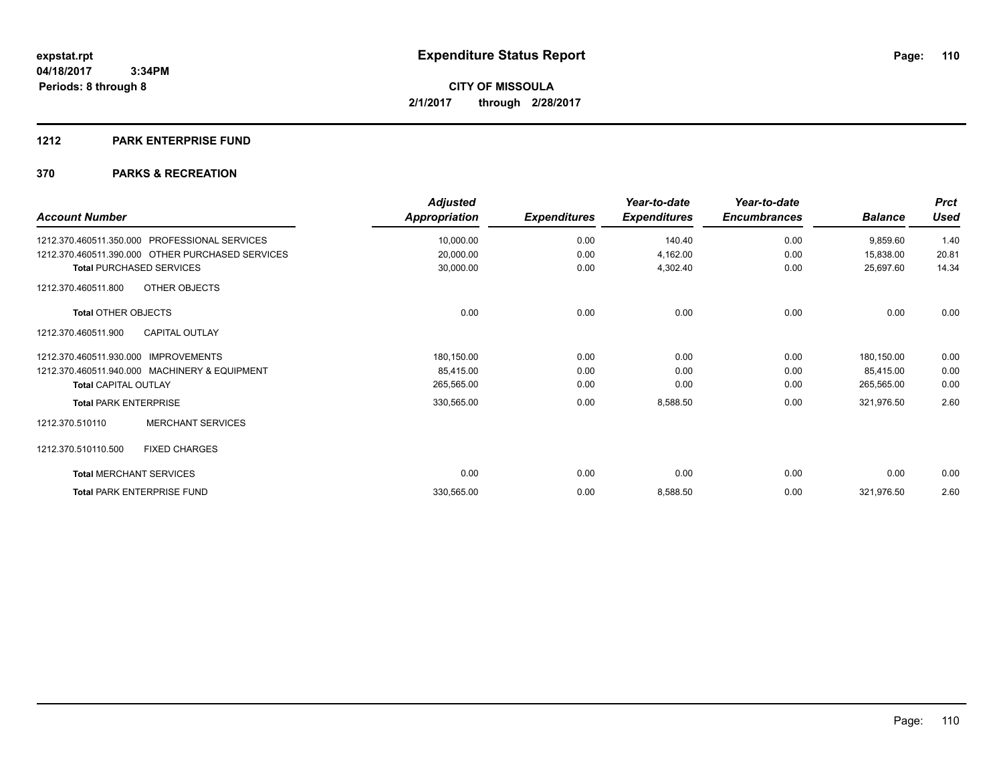#### **1212 PARK ENTERPRISE FUND**

| <b>Account Number</b>                                   | <b>Adjusted</b><br>Appropriation | <b>Expenditures</b> | Year-to-date<br><b>Expenditures</b> | Year-to-date<br><b>Encumbrances</b> | <b>Balance</b> | <b>Prct</b><br><b>Used</b> |
|---------------------------------------------------------|----------------------------------|---------------------|-------------------------------------|-------------------------------------|----------------|----------------------------|
| <b>PROFESSIONAL SERVICES</b><br>1212.370.460511.350.000 | 10,000.00                        | 0.00                | 140.40                              | 0.00                                | 9,859.60       | 1.40                       |
| 1212.370.460511.390.000 OTHER PURCHASED SERVICES        | 20,000.00                        | 0.00                | 4,162.00                            | 0.00                                | 15,838.00      | 20.81                      |
| <b>Total PURCHASED SERVICES</b>                         | 30,000.00                        | 0.00                | 4,302.40                            | 0.00                                | 25,697.60      | 14.34                      |
| OTHER OBJECTS<br>1212.370.460511.800                    |                                  |                     |                                     |                                     |                |                            |
| <b>Total OTHER OBJECTS</b>                              | 0.00                             | 0.00                | 0.00                                | 0.00                                | 0.00           | 0.00                       |
| <b>CAPITAL OUTLAY</b><br>1212.370.460511.900            |                                  |                     |                                     |                                     |                |                            |
| 1212.370.460511.930.000 IMPROVEMENTS                    | 180,150.00                       | 0.00                | 0.00                                | 0.00                                | 180,150.00     | 0.00                       |
| 1212.370.460511.940.000 MACHINERY & EQUIPMENT           | 85,415.00                        | 0.00                | 0.00                                | 0.00                                | 85,415.00      | 0.00                       |
| <b>Total CAPITAL OUTLAY</b>                             | 265,565.00                       | 0.00                | 0.00                                | 0.00                                | 265,565.00     | 0.00                       |
| <b>Total PARK ENTERPRISE</b>                            | 330,565.00                       | 0.00                | 8,588.50                            | 0.00                                | 321,976.50     | 2.60                       |
| <b>MERCHANT SERVICES</b><br>1212.370.510110             |                                  |                     |                                     |                                     |                |                            |
| 1212.370.510110.500<br><b>FIXED CHARGES</b>             |                                  |                     |                                     |                                     |                |                            |
| <b>Total MERCHANT SERVICES</b>                          | 0.00                             | 0.00                | 0.00                                | 0.00                                | 0.00           | 0.00                       |
| <b>Total PARK ENTERPRISE FUND</b>                       | 330,565.00                       | 0.00                | 8,588.50                            | 0.00                                | 321,976.50     | 2.60                       |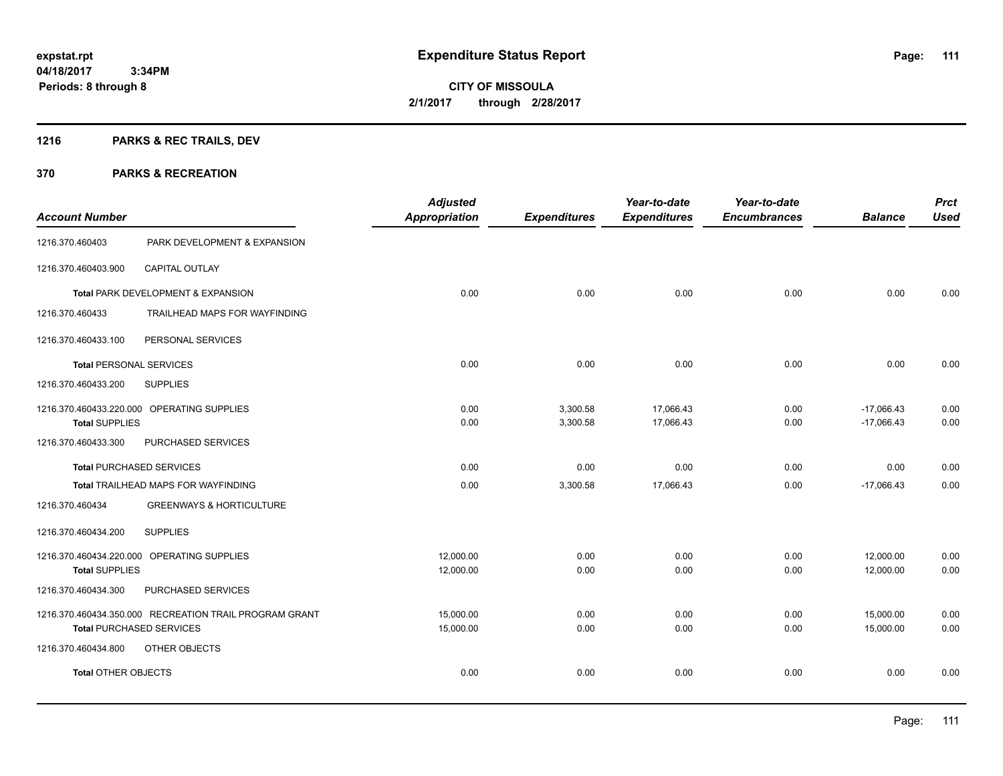# **1216 PARKS & REC TRAILS, DEV**

| <b>Account Number</b>           |                                                        | <b>Adjusted</b><br><b>Appropriation</b> | <b>Expenditures</b>  | Year-to-date<br><b>Expenditures</b> | Year-to-date<br><b>Encumbrances</b> | <b>Balance</b>               | <b>Prct</b><br><b>Used</b> |
|---------------------------------|--------------------------------------------------------|-----------------------------------------|----------------------|-------------------------------------|-------------------------------------|------------------------------|----------------------------|
| 1216.370.460403                 | PARK DEVELOPMENT & EXPANSION                           |                                         |                      |                                     |                                     |                              |                            |
| 1216.370.460403.900             | <b>CAPITAL OUTLAY</b>                                  |                                         |                      |                                     |                                     |                              |                            |
|                                 | Total PARK DEVELOPMENT & EXPANSION                     | 0.00                                    | 0.00                 | 0.00                                | 0.00                                | 0.00                         | 0.00                       |
| 1216.370.460433                 | TRAILHEAD MAPS FOR WAYFINDING                          |                                         |                      |                                     |                                     |                              |                            |
| 1216.370.460433.100             | PERSONAL SERVICES                                      |                                         |                      |                                     |                                     |                              |                            |
| <b>Total PERSONAL SERVICES</b>  |                                                        | 0.00                                    | 0.00                 | 0.00                                | 0.00                                | 0.00                         | 0.00                       |
| 1216.370.460433.200             | <b>SUPPLIES</b>                                        |                                         |                      |                                     |                                     |                              |                            |
| <b>Total SUPPLIES</b>           | 1216.370.460433.220.000 OPERATING SUPPLIES             | 0.00<br>0.00                            | 3,300.58<br>3,300.58 | 17,066.43<br>17,066.43              | 0.00<br>0.00                        | $-17,066.43$<br>$-17,066.43$ | 0.00<br>0.00               |
| 1216.370.460433.300             | PURCHASED SERVICES                                     |                                         |                      |                                     |                                     |                              |                            |
| <b>Total PURCHASED SERVICES</b> |                                                        | 0.00                                    | 0.00                 | 0.00                                | 0.00                                | 0.00                         | 0.00                       |
|                                 | Total TRAILHEAD MAPS FOR WAYFINDING                    | 0.00                                    | 3,300.58             | 17,066.43                           | 0.00                                | $-17,066.43$                 | 0.00                       |
| 1216.370.460434                 | <b>GREENWAYS &amp; HORTICULTURE</b>                    |                                         |                      |                                     |                                     |                              |                            |
| 1216.370.460434.200             | <b>SUPPLIES</b>                                        |                                         |                      |                                     |                                     |                              |                            |
|                                 | 1216.370.460434.220.000 OPERATING SUPPLIES             | 12,000.00                               | 0.00                 | 0.00                                | 0.00                                | 12,000.00                    | 0.00                       |
| <b>Total SUPPLIES</b>           |                                                        | 12,000.00                               | 0.00                 | 0.00                                | 0.00                                | 12,000.00                    | 0.00                       |
| 1216.370.460434.300             | PURCHASED SERVICES                                     |                                         |                      |                                     |                                     |                              |                            |
|                                 | 1216.370.460434.350.000 RECREATION TRAIL PROGRAM GRANT | 15,000.00                               | 0.00                 | 0.00                                | 0.00                                | 15,000.00                    | 0.00                       |
| <b>Total PURCHASED SERVICES</b> |                                                        | 15,000.00                               | 0.00                 | 0.00                                | 0.00                                | 15,000.00                    | 0.00                       |
| 1216.370.460434.800             | OTHER OBJECTS                                          |                                         |                      |                                     |                                     |                              |                            |
| <b>Total OTHER OBJECTS</b>      |                                                        | 0.00                                    | 0.00                 | 0.00                                | 0.00                                | 0.00                         | 0.00                       |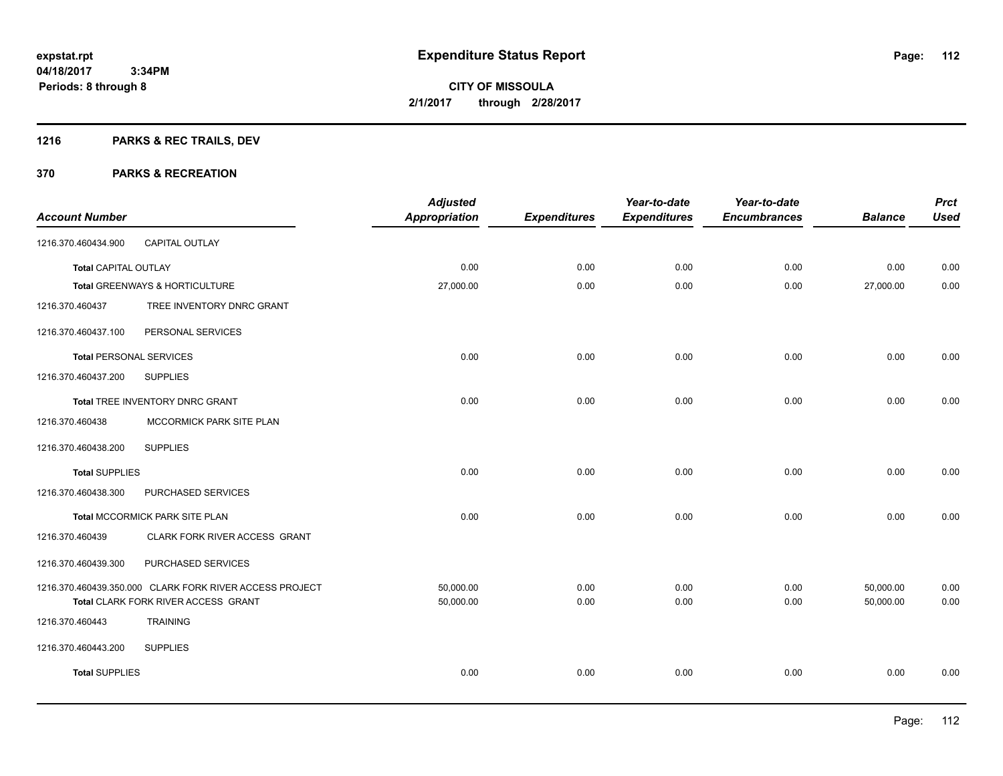# **1216 PARKS & REC TRAILS, DEV**

| <b>Account Number</b>          |                                                                                                | <b>Adjusted</b><br><b>Appropriation</b> | <b>Expenditures</b> | Year-to-date<br><b>Expenditures</b> | Year-to-date<br><b>Encumbrances</b> | <b>Balance</b>         | <b>Prct</b><br><b>Used</b> |
|--------------------------------|------------------------------------------------------------------------------------------------|-----------------------------------------|---------------------|-------------------------------------|-------------------------------------|------------------------|----------------------------|
| 1216.370.460434.900            | CAPITAL OUTLAY                                                                                 |                                         |                     |                                     |                                     |                        |                            |
| <b>Total CAPITAL OUTLAY</b>    |                                                                                                | 0.00                                    | 0.00                | 0.00                                | 0.00                                | 0.00                   | 0.00                       |
|                                | Total GREENWAYS & HORTICULTURE                                                                 | 27,000.00                               | 0.00                | 0.00                                | 0.00                                | 27,000.00              | 0.00                       |
| 1216.370.460437                | TREE INVENTORY DNRC GRANT                                                                      |                                         |                     |                                     |                                     |                        |                            |
| 1216.370.460437.100            | PERSONAL SERVICES                                                                              |                                         |                     |                                     |                                     |                        |                            |
| <b>Total PERSONAL SERVICES</b> |                                                                                                | 0.00                                    | 0.00                | 0.00                                | 0.00                                | 0.00                   | 0.00                       |
| 1216.370.460437.200            | <b>SUPPLIES</b>                                                                                |                                         |                     |                                     |                                     |                        |                            |
|                                | Total TREE INVENTORY DNRC GRANT                                                                | 0.00                                    | 0.00                | 0.00                                | 0.00                                | 0.00                   | 0.00                       |
| 1216.370.460438                | MCCORMICK PARK SITE PLAN                                                                       |                                         |                     |                                     |                                     |                        |                            |
| 1216.370.460438.200            | <b>SUPPLIES</b>                                                                                |                                         |                     |                                     |                                     |                        |                            |
| <b>Total SUPPLIES</b>          |                                                                                                | 0.00                                    | 0.00                | 0.00                                | 0.00                                | 0.00                   | 0.00                       |
| 1216.370.460438.300            | PURCHASED SERVICES                                                                             |                                         |                     |                                     |                                     |                        |                            |
|                                | Total MCCORMICK PARK SITE PLAN                                                                 | 0.00                                    | 0.00                | 0.00                                | 0.00                                | 0.00                   | 0.00                       |
| 1216.370.460439                | CLARK FORK RIVER ACCESS GRANT                                                                  |                                         |                     |                                     |                                     |                        |                            |
| 1216.370.460439.300            | PURCHASED SERVICES                                                                             |                                         |                     |                                     |                                     |                        |                            |
|                                | 1216.370.460439.350.000 CLARK FORK RIVER ACCESS PROJECT<br>Total CLARK FORK RIVER ACCESS GRANT | 50,000.00<br>50,000.00                  | 0.00<br>0.00        | 0.00<br>0.00                        | 0.00<br>0.00                        | 50,000.00<br>50,000.00 | 0.00<br>0.00               |
| 1216.370.460443                | <b>TRAINING</b>                                                                                |                                         |                     |                                     |                                     |                        |                            |
| 1216.370.460443.200            | <b>SUPPLIES</b>                                                                                |                                         |                     |                                     |                                     |                        |                            |
| <b>Total SUPPLIES</b>          |                                                                                                | 0.00                                    | 0.00                | 0.00                                | 0.00                                | 0.00                   | 0.00                       |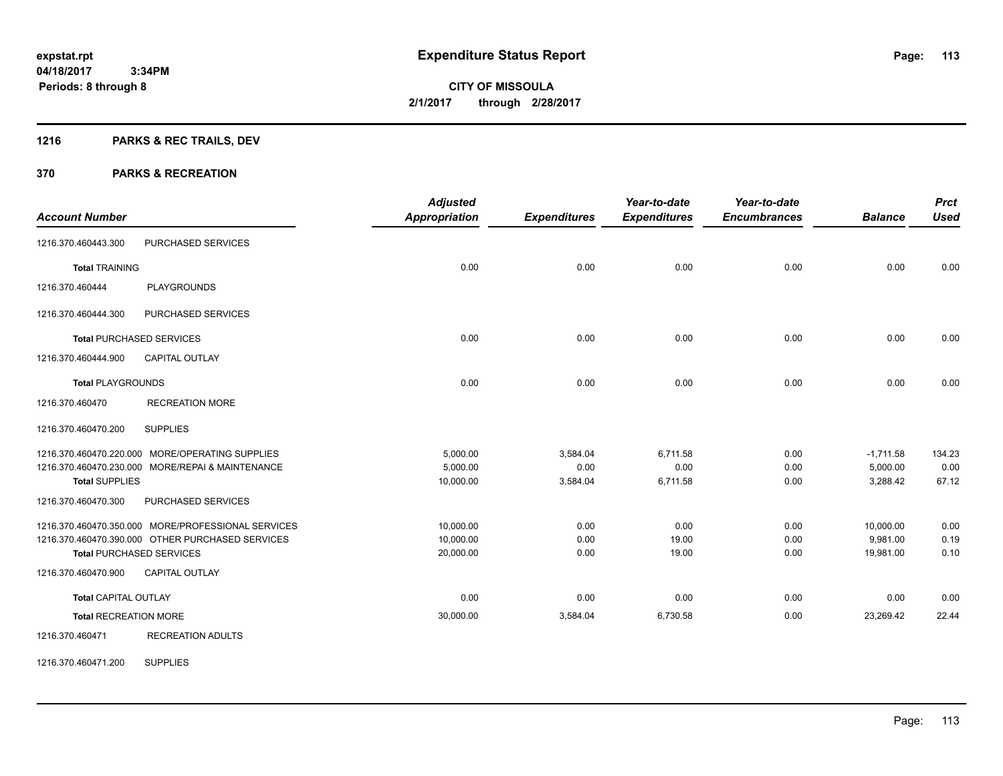# **1216 PARKS & REC TRAILS, DEV**

#### **370 PARKS & RECREATION**

|                              |                                                    | <b>Adjusted</b>      |                     | Year-to-date        | Year-to-date        |                | <b>Prct</b> |
|------------------------------|----------------------------------------------------|----------------------|---------------------|---------------------|---------------------|----------------|-------------|
| <b>Account Number</b>        |                                                    | <b>Appropriation</b> | <b>Expenditures</b> | <b>Expenditures</b> | <b>Encumbrances</b> | <b>Balance</b> | <b>Used</b> |
| 1216.370.460443.300          | PURCHASED SERVICES                                 |                      |                     |                     |                     |                |             |
| <b>Total TRAINING</b>        |                                                    | 0.00                 | 0.00                | 0.00                | 0.00                | 0.00           | 0.00        |
| 1216.370.460444              | <b>PLAYGROUNDS</b>                                 |                      |                     |                     |                     |                |             |
| 1216.370.460444.300          | PURCHASED SERVICES                                 |                      |                     |                     |                     |                |             |
|                              | <b>Total PURCHASED SERVICES</b>                    | 0.00                 | 0.00                | 0.00                | 0.00                | 0.00           | 0.00        |
| 1216.370.460444.900          | <b>CAPITAL OUTLAY</b>                              |                      |                     |                     |                     |                |             |
| <b>Total PLAYGROUNDS</b>     |                                                    | 0.00                 | 0.00                | 0.00                | 0.00                | 0.00           | 0.00        |
| 1216.370.460470              | <b>RECREATION MORE</b>                             |                      |                     |                     |                     |                |             |
| 1216.370.460470.200          | <b>SUPPLIES</b>                                    |                      |                     |                     |                     |                |             |
|                              | 1216.370.460470.220.000 MORE/OPERATING SUPPLIES    | 5,000.00             | 3,584.04            | 6,711.58            | 0.00                | $-1,711.58$    | 134.23      |
|                              | 1216.370.460470.230.000 MORE/REPAI & MAINTENANCE   | 5.000.00             | 0.00                | 0.00                | 0.00                | 5,000.00       | 0.00        |
| <b>Total SUPPLIES</b>        |                                                    | 10,000.00            | 3,584.04            | 6,711.58            | 0.00                | 3,288.42       | 67.12       |
| 1216.370.460470.300          | PURCHASED SERVICES                                 |                      |                     |                     |                     |                |             |
|                              | 1216.370.460470.350.000 MORE/PROFESSIONAL SERVICES | 10,000.00            | 0.00                | 0.00                | 0.00                | 10,000.00      | 0.00        |
|                              | 1216.370.460470.390.000 OTHER PURCHASED SERVICES   | 10,000.00            | 0.00                | 19.00               | 0.00                | 9,981.00       | 0.19        |
|                              | <b>Total PURCHASED SERVICES</b>                    | 20,000.00            | 0.00                | 19.00               | 0.00                | 19,981.00      | 0.10        |
| 1216.370.460470.900          | <b>CAPITAL OUTLAY</b>                              |                      |                     |                     |                     |                |             |
| <b>Total CAPITAL OUTLAY</b>  |                                                    | 0.00                 | 0.00                | 0.00                | 0.00                | 0.00           | 0.00        |
| <b>Total RECREATION MORE</b> |                                                    | 30,000.00            | 3,584.04            | 6,730.58            | 0.00                | 23,269.42      | 22.44       |
| 1216.370.460471              | <b>RECREATION ADULTS</b>                           |                      |                     |                     |                     |                |             |

1216.370.460471.200 SUPPLIES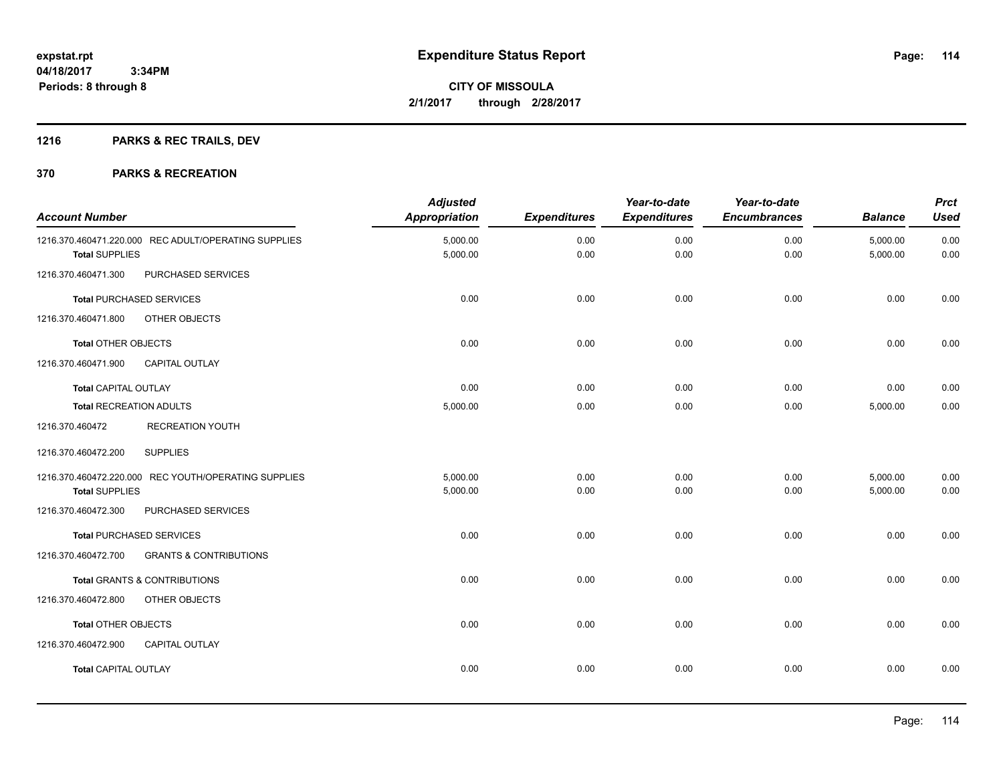# **1216 PARKS & REC TRAILS, DEV**

| <b>Account Number</b>          |                                                      | <b>Adjusted</b><br>Appropriation | <b>Expenditures</b> | Year-to-date<br><b>Expenditures</b> | Year-to-date<br><b>Encumbrances</b> | <b>Balance</b>       | <b>Prct</b><br><b>Used</b> |
|--------------------------------|------------------------------------------------------|----------------------------------|---------------------|-------------------------------------|-------------------------------------|----------------------|----------------------------|
| <b>Total SUPPLIES</b>          | 1216.370.460471.220.000 REC ADULT/OPERATING SUPPLIES | 5,000.00<br>5,000.00             | 0.00<br>0.00        | 0.00<br>0.00                        | 0.00<br>0.00                        | 5,000.00<br>5,000.00 | 0.00<br>0.00               |
| 1216.370.460471.300            | PURCHASED SERVICES                                   |                                  |                     |                                     |                                     |                      |                            |
|                                | <b>Total PURCHASED SERVICES</b>                      | 0.00                             | 0.00                | 0.00                                | 0.00                                | 0.00                 | 0.00                       |
| 1216.370.460471.800            | OTHER OBJECTS                                        |                                  |                     |                                     |                                     |                      |                            |
| <b>Total OTHER OBJECTS</b>     |                                                      | 0.00                             | 0.00                | 0.00                                | 0.00                                | 0.00                 | 0.00                       |
| 1216.370.460471.900            | <b>CAPITAL OUTLAY</b>                                |                                  |                     |                                     |                                     |                      |                            |
| <b>Total CAPITAL OUTLAY</b>    |                                                      | 0.00                             | 0.00                | 0.00                                | 0.00                                | 0.00                 | 0.00                       |
| <b>Total RECREATION ADULTS</b> |                                                      | 5,000.00                         | 0.00                | 0.00                                | 0.00                                | 5,000.00             | 0.00                       |
| 1216.370.460472                | <b>RECREATION YOUTH</b>                              |                                  |                     |                                     |                                     |                      |                            |
| 1216.370.460472.200            | <b>SUPPLIES</b>                                      |                                  |                     |                                     |                                     |                      |                            |
|                                | 1216.370.460472.220.000 REC YOUTH/OPERATING SUPPLIES | 5.000.00                         | 0.00                | 0.00                                | 0.00                                | 5,000.00             | 0.00                       |
| <b>Total SUPPLIES</b>          |                                                      | 5,000.00                         | 0.00                | 0.00                                | 0.00                                | 5,000.00             | 0.00                       |
| 1216.370.460472.300            | PURCHASED SERVICES                                   |                                  |                     |                                     |                                     |                      |                            |
|                                | <b>Total PURCHASED SERVICES</b>                      | 0.00                             | 0.00                | 0.00                                | 0.00                                | 0.00                 | 0.00                       |
| 1216.370.460472.700            | <b>GRANTS &amp; CONTRIBUTIONS</b>                    |                                  |                     |                                     |                                     |                      |                            |
|                                | <b>Total GRANTS &amp; CONTRIBUTIONS</b>              | 0.00                             | 0.00                | 0.00                                | 0.00                                | 0.00                 | 0.00                       |
| 1216.370.460472.800            | OTHER OBJECTS                                        |                                  |                     |                                     |                                     |                      |                            |
| <b>Total OTHER OBJECTS</b>     |                                                      | 0.00                             | 0.00                | 0.00                                | 0.00                                | 0.00                 | 0.00                       |
| 1216.370.460472.900            | <b>CAPITAL OUTLAY</b>                                |                                  |                     |                                     |                                     |                      |                            |
| <b>Total CAPITAL OUTLAY</b>    |                                                      | 0.00                             | 0.00                | 0.00                                | 0.00                                | 0.00                 | 0.00                       |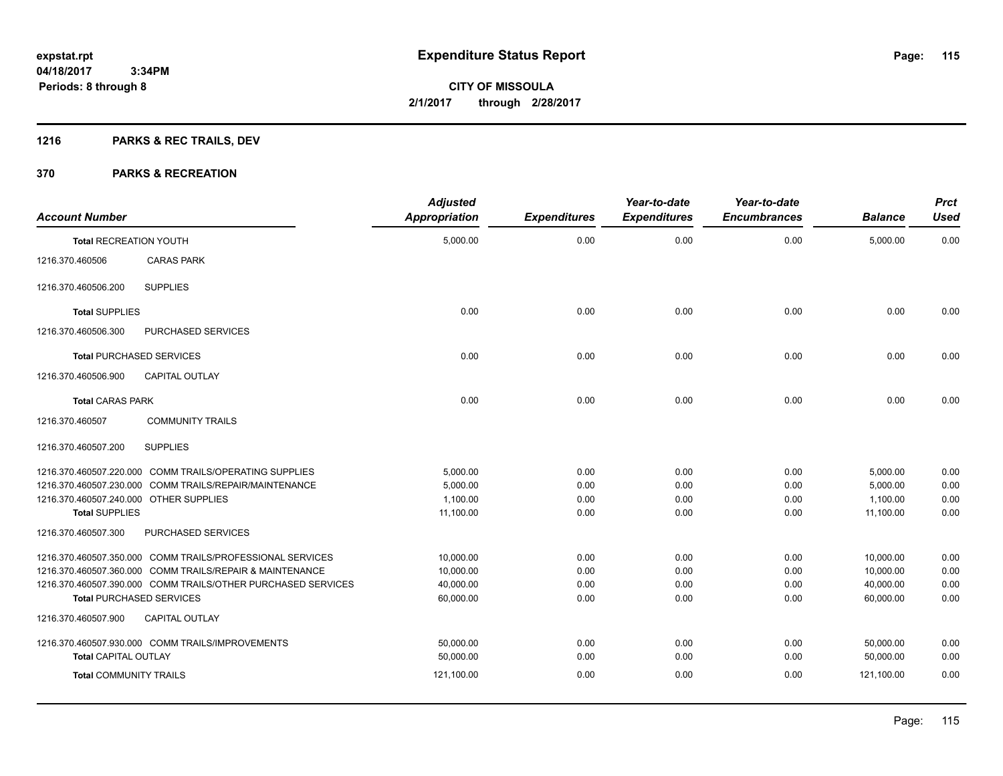# **1216 PARKS & REC TRAILS, DEV**

| <b>Account Number</b>                  |                                                              | <b>Adjusted</b><br><b>Appropriation</b> | <b>Expenditures</b> | Year-to-date<br><b>Expenditures</b> | Year-to-date<br><b>Encumbrances</b> | <b>Balance</b> | <b>Prct</b><br><b>Used</b> |
|----------------------------------------|--------------------------------------------------------------|-----------------------------------------|---------------------|-------------------------------------|-------------------------------------|----------------|----------------------------|
| <b>Total RECREATION YOUTH</b>          |                                                              | 5,000.00                                | 0.00                | 0.00                                | 0.00                                | 5,000.00       | 0.00                       |
| 1216.370.460506                        | <b>CARAS PARK</b>                                            |                                         |                     |                                     |                                     |                |                            |
| 1216.370.460506.200                    | <b>SUPPLIES</b>                                              |                                         |                     |                                     |                                     |                |                            |
| <b>Total SUPPLIES</b>                  |                                                              | 0.00                                    | 0.00                | 0.00                                | 0.00                                | 0.00           | 0.00                       |
| 1216.370.460506.300                    | PURCHASED SERVICES                                           |                                         |                     |                                     |                                     |                |                            |
|                                        | <b>Total PURCHASED SERVICES</b>                              | 0.00                                    | 0.00                | 0.00                                | 0.00                                | 0.00           | 0.00                       |
| 1216.370.460506.900                    | <b>CAPITAL OUTLAY</b>                                        |                                         |                     |                                     |                                     |                |                            |
| <b>Total CARAS PARK</b>                |                                                              | 0.00                                    | 0.00                | 0.00                                | 0.00                                | 0.00           | 0.00                       |
| 1216.370.460507                        | <b>COMMUNITY TRAILS</b>                                      |                                         |                     |                                     |                                     |                |                            |
| 1216.370.460507.200                    | <b>SUPPLIES</b>                                              |                                         |                     |                                     |                                     |                |                            |
|                                        | 1216.370.460507.220.000 COMM TRAILS/OPERATING SUPPLIES       | 5,000.00                                | 0.00                | 0.00                                | 0.00                                | 5,000.00       | 0.00                       |
|                                        | 1216.370.460507.230.000 COMM TRAILS/REPAIR/MAINTENANCE       | 5.000.00                                | 0.00                | 0.00                                | 0.00                                | 5,000.00       | 0.00                       |
| 1216.370.460507.240.000 OTHER SUPPLIES |                                                              | 1.100.00                                | 0.00                | 0.00                                | 0.00                                | 1,100.00       | 0.00                       |
| <b>Total SUPPLIES</b>                  |                                                              | 11,100.00                               | 0.00                | 0.00                                | 0.00                                | 11,100.00      | 0.00                       |
| 1216.370.460507.300                    | PURCHASED SERVICES                                           |                                         |                     |                                     |                                     |                |                            |
|                                        | 1216.370.460507.350.000 COMM TRAILS/PROFESSIONAL SERVICES    | 10,000.00                               | 0.00                | 0.00                                | 0.00                                | 10,000.00      | 0.00                       |
|                                        | 1216.370.460507.360.000 COMM TRAILS/REPAIR & MAINTENANCE     | 10,000.00                               | 0.00                | 0.00                                | 0.00                                | 10,000.00      | 0.00                       |
|                                        | 1216.370.460507.390.000 COMM TRAILS/OTHER PURCHASED SERVICES | 40,000.00                               | 0.00                | 0.00                                | 0.00                                | 40,000.00      | 0.00                       |
|                                        | <b>Total PURCHASED SERVICES</b>                              | 60,000.00                               | 0.00                | 0.00                                | 0.00                                | 60,000.00      | 0.00                       |
| 1216.370.460507.900                    | <b>CAPITAL OUTLAY</b>                                        |                                         |                     |                                     |                                     |                |                            |
|                                        | 1216.370.460507.930.000 COMM TRAILS/IMPROVEMENTS             | 50,000.00                               | 0.00                | 0.00                                | 0.00                                | 50,000.00      | 0.00                       |
| <b>Total CAPITAL OUTLAY</b>            |                                                              | 50,000.00                               | 0.00                | 0.00                                | 0.00                                | 50,000.00      | 0.00                       |
| <b>Total COMMUNITY TRAILS</b>          |                                                              | 121,100.00                              | 0.00                | 0.00                                | 0.00                                | 121,100.00     | 0.00                       |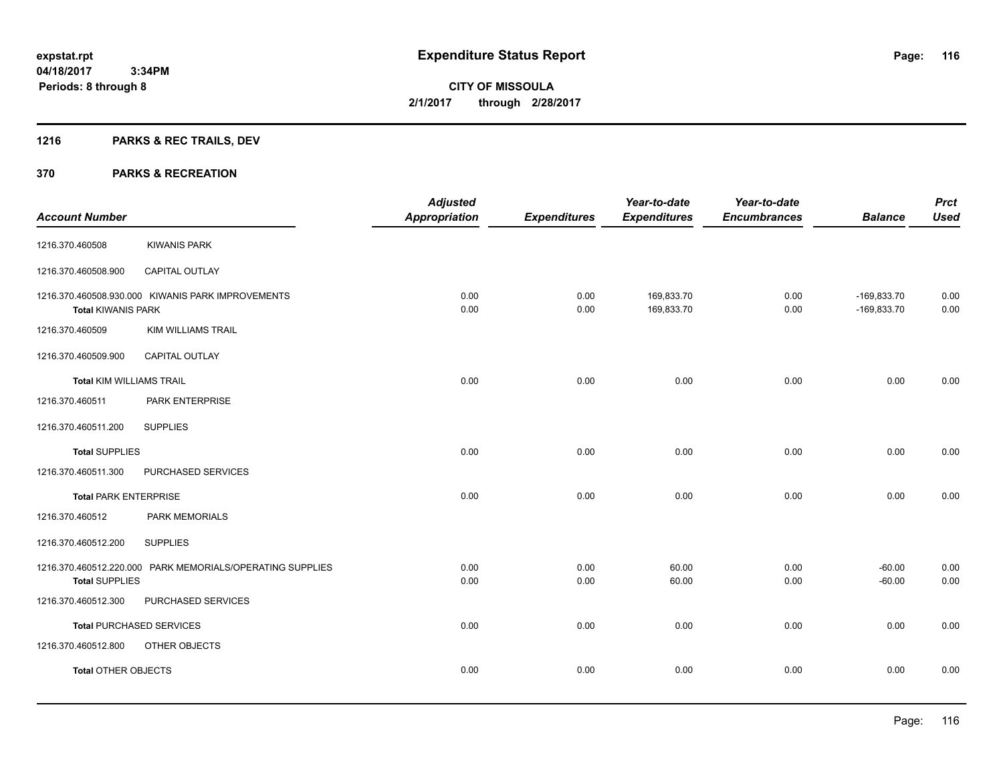# **1216 PARKS & REC TRAILS, DEV**

| <b>Account Number</b>           |                                                           | <b>Adjusted</b><br><b>Appropriation</b> | <b>Expenditures</b> | Year-to-date<br><b>Expenditures</b> | Year-to-date<br><b>Encumbrances</b> | <b>Balance</b>                 | <b>Prct</b><br><b>Used</b> |
|---------------------------------|-----------------------------------------------------------|-----------------------------------------|---------------------|-------------------------------------|-------------------------------------|--------------------------------|----------------------------|
| 1216.370.460508                 | <b>KIWANIS PARK</b>                                       |                                         |                     |                                     |                                     |                                |                            |
| 1216.370.460508.900             | CAPITAL OUTLAY                                            |                                         |                     |                                     |                                     |                                |                            |
| <b>Total KIWANIS PARK</b>       | 1216.370.460508.930.000 KIWANIS PARK IMPROVEMENTS         | 0.00<br>0.00                            | 0.00<br>0.00        | 169,833.70<br>169,833.70            | 0.00<br>0.00                        | $-169,833.70$<br>$-169,833.70$ | 0.00<br>0.00               |
| 1216.370.460509                 | <b>KIM WILLIAMS TRAIL</b>                                 |                                         |                     |                                     |                                     |                                |                            |
| 1216.370.460509.900             | CAPITAL OUTLAY                                            |                                         |                     |                                     |                                     |                                |                            |
| <b>Total KIM WILLIAMS TRAIL</b> |                                                           | 0.00                                    | 0.00                | 0.00                                | 0.00                                | 0.00                           | 0.00                       |
| 1216.370.460511                 | PARK ENTERPRISE                                           |                                         |                     |                                     |                                     |                                |                            |
| 1216.370.460511.200             | <b>SUPPLIES</b>                                           |                                         |                     |                                     |                                     |                                |                            |
| <b>Total SUPPLIES</b>           |                                                           | 0.00                                    | 0.00                | 0.00                                | 0.00                                | 0.00                           | 0.00                       |
| 1216.370.460511.300             | PURCHASED SERVICES                                        |                                         |                     |                                     |                                     |                                |                            |
| <b>Total PARK ENTERPRISE</b>    |                                                           | 0.00                                    | 0.00                | 0.00                                | 0.00                                | 0.00                           | 0.00                       |
| 1216.370.460512                 | PARK MEMORIALS                                            |                                         |                     |                                     |                                     |                                |                            |
| 1216.370.460512.200             | <b>SUPPLIES</b>                                           |                                         |                     |                                     |                                     |                                |                            |
| <b>Total SUPPLIES</b>           | 1216.370.460512.220.000 PARK MEMORIALS/OPERATING SUPPLIES | 0.00<br>0.00                            | 0.00<br>0.00        | 60.00<br>60.00                      | 0.00<br>0.00                        | $-60.00$<br>$-60.00$           | 0.00<br>0.00               |
| 1216.370.460512.300             | PURCHASED SERVICES                                        |                                         |                     |                                     |                                     |                                |                            |
|                                 | <b>Total PURCHASED SERVICES</b>                           | 0.00                                    | 0.00                | 0.00                                | 0.00                                | 0.00                           | 0.00                       |
| 1216.370.460512.800             | OTHER OBJECTS                                             |                                         |                     |                                     |                                     |                                |                            |
| <b>Total OTHER OBJECTS</b>      |                                                           | 0.00                                    | 0.00                | 0.00                                | 0.00                                | 0.00                           | 0.00                       |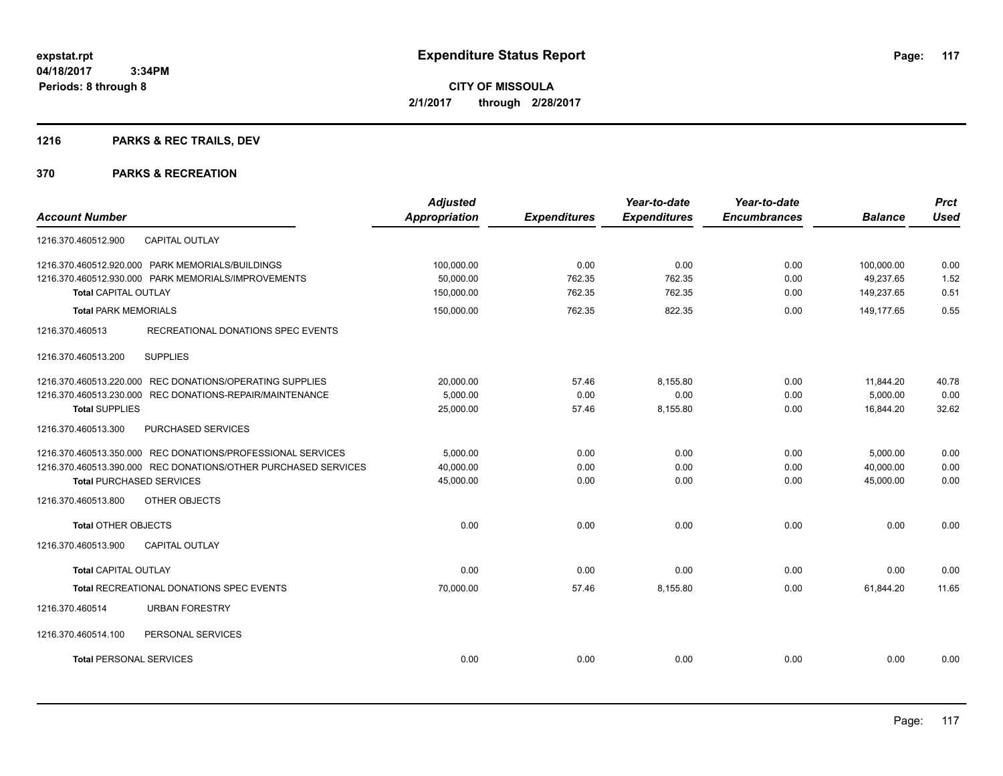# **1216 PARKS & REC TRAILS, DEV**

| <b>Account Number</b>                                          | <b>Adjusted</b><br><b>Appropriation</b> | <b>Expenditures</b> | Year-to-date<br><b>Expenditures</b> | Year-to-date<br><b>Encumbrances</b> | <b>Balance</b> | <b>Prct</b><br><b>Used</b> |
|----------------------------------------------------------------|-----------------------------------------|---------------------|-------------------------------------|-------------------------------------|----------------|----------------------------|
|                                                                |                                         |                     |                                     |                                     |                |                            |
| <b>CAPITAL OUTLAY</b><br>1216.370.460512.900                   |                                         |                     |                                     |                                     |                |                            |
| 1216.370.460512.920.000 PARK MEMORIALS/BUILDINGS               | 100,000.00                              | 0.00                | 0.00                                | 0.00                                | 100,000.00     | 0.00                       |
| 1216.370.460512.930.000 PARK MEMORIALS/IMPROVEMENTS            | 50,000.00                               | 762.35              | 762.35                              | 0.00                                | 49,237.65      | 1.52                       |
| <b>Total CAPITAL OUTLAY</b>                                    | 150,000.00                              | 762.35              | 762.35                              | 0.00                                | 149,237.65     | 0.51                       |
| <b>Total PARK MEMORIALS</b>                                    | 150,000.00                              | 762.35              | 822.35                              | 0.00                                | 149,177.65     | 0.55                       |
| 1216.370.460513<br>RECREATIONAL DONATIONS SPEC EVENTS          |                                         |                     |                                     |                                     |                |                            |
| <b>SUPPLIES</b><br>1216.370.460513.200                         |                                         |                     |                                     |                                     |                |                            |
| 1216.370.460513.220.000 REC DONATIONS/OPERATING SUPPLIES       | 20,000.00                               | 57.46               | 8,155.80                            | 0.00                                | 11,844.20      | 40.78                      |
| 1216.370.460513.230.000 REC DONATIONS-REPAIR/MAINTENANCE       | 5,000.00                                | 0.00                | 0.00                                | 0.00                                | 5,000.00       | 0.00                       |
| <b>Total SUPPLIES</b>                                          | 25,000.00                               | 57.46               | 8,155.80                            | 0.00                                | 16,844.20      | 32.62                      |
| 1216.370.460513.300<br><b>PURCHASED SERVICES</b>               |                                         |                     |                                     |                                     |                |                            |
| 1216.370.460513.350.000 REC DONATIONS/PROFESSIONAL SERVICES    | 5.000.00                                | 0.00                | 0.00                                | 0.00                                | 5,000.00       | 0.00                       |
| 1216.370.460513.390.000 REC DONATIONS/OTHER PURCHASED SERVICES | 40,000.00                               | 0.00                | 0.00                                | 0.00                                | 40,000.00      | 0.00                       |
| <b>Total PURCHASED SERVICES</b>                                | 45,000.00                               | 0.00                | 0.00                                | 0.00                                | 45,000.00      | 0.00                       |
| 1216.370.460513.800<br>OTHER OBJECTS                           |                                         |                     |                                     |                                     |                |                            |
| <b>Total OTHER OBJECTS</b>                                     | 0.00                                    | 0.00                | 0.00                                | 0.00                                | 0.00           | 0.00                       |
| 1216.370.460513.900<br><b>CAPITAL OUTLAY</b>                   |                                         |                     |                                     |                                     |                |                            |
| <b>Total CAPITAL OUTLAY</b>                                    | 0.00                                    | 0.00                | 0.00                                | 0.00                                | 0.00           | 0.00                       |
| <b>Total RECREATIONAL DONATIONS SPEC EVENTS</b>                | 70,000.00                               | 57.46               | 8.155.80                            | 0.00                                | 61.844.20      | 11.65                      |
| 1216.370.460514<br><b>URBAN FORESTRY</b>                       |                                         |                     |                                     |                                     |                |                            |
| 1216.370.460514.100<br>PERSONAL SERVICES                       |                                         |                     |                                     |                                     |                |                            |
| <b>Total PERSONAL SERVICES</b>                                 | 0.00                                    | 0.00                | 0.00                                | 0.00                                | 0.00           | 0.00                       |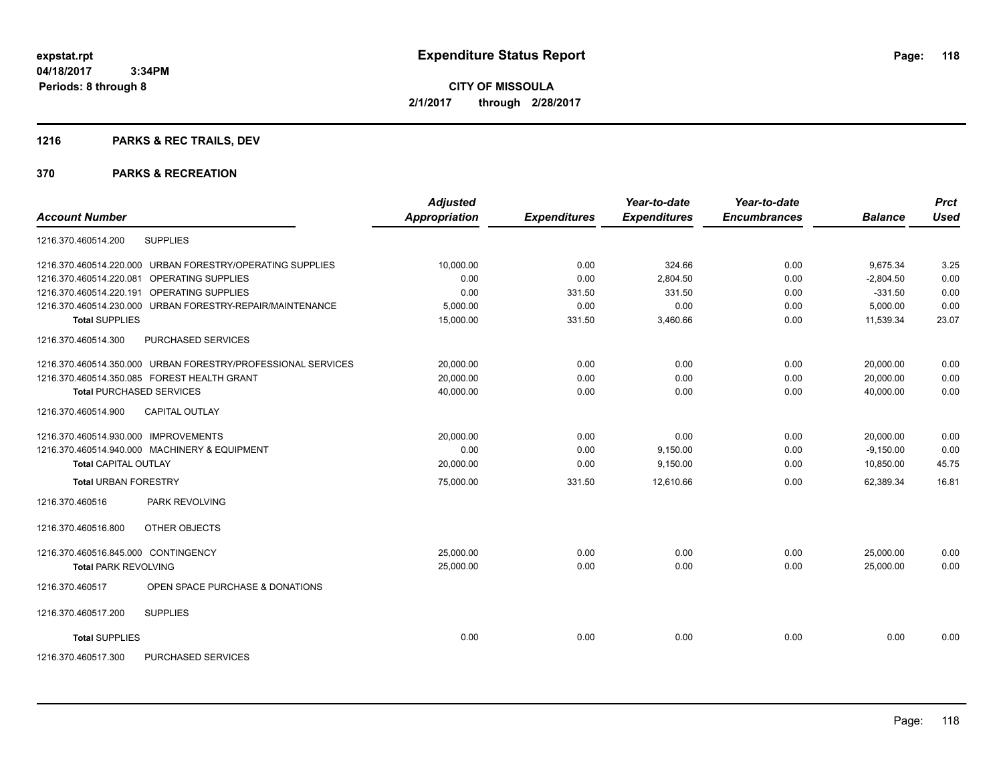**Periods: 8 through 8**

**CITY OF MISSOULA 2/1/2017 through 2/28/2017**

# **1216 PARKS & REC TRAILS, DEV**

|                                                              | <b>Adjusted</b> |                     | Year-to-date        | Year-to-date        |                | <b>Prct</b> |
|--------------------------------------------------------------|-----------------|---------------------|---------------------|---------------------|----------------|-------------|
| <b>Account Number</b>                                        | Appropriation   | <b>Expenditures</b> | <b>Expenditures</b> | <b>Encumbrances</b> | <b>Balance</b> | <b>Used</b> |
| 1216.370.460514.200<br><b>SUPPLIES</b>                       |                 |                     |                     |                     |                |             |
| 1216.370.460514.220.000 URBAN FORESTRY/OPERATING SUPPLIES    | 10,000.00       | 0.00                | 324.66              | 0.00                | 9.675.34       | 3.25        |
| <b>OPERATING SUPPLIES</b><br>1216.370.460514.220.081         | 0.00            | 0.00                | 2,804.50            | 0.00                | $-2,804.50$    | 0.00        |
| 1216.370.460514.220.191 OPERATING SUPPLIES                   | 0.00            | 331.50              | 331.50              | 0.00                | $-331.50$      | 0.00        |
| 1216.370.460514.230.000 URBAN FORESTRY-REPAIR/MAINTENANCE    | 5,000.00        | 0.00                | 0.00                | 0.00                | 5,000.00       | 0.00        |
| <b>Total SUPPLIES</b>                                        | 15,000.00       | 331.50              | 3,460.66            | 0.00                | 11,539.34      | 23.07       |
| 1216.370.460514.300<br>PURCHASED SERVICES                    |                 |                     |                     |                     |                |             |
| 1216.370.460514.350.000 URBAN FORESTRY/PROFESSIONAL SERVICES | 20.000.00       | 0.00                | 0.00                | 0.00                | 20.000.00      | 0.00        |
| 1216.370.460514.350.085 FOREST HEALTH GRANT                  | 20,000.00       | 0.00                | 0.00                | 0.00                | 20,000.00      | 0.00        |
| <b>Total PURCHASED SERVICES</b>                              | 40,000.00       | 0.00                | 0.00                | 0.00                | 40,000.00      | 0.00        |
| <b>CAPITAL OUTLAY</b><br>1216.370.460514.900                 |                 |                     |                     |                     |                |             |
| 1216.370.460514.930.000 IMPROVEMENTS                         | 20,000.00       | 0.00                | 0.00                | 0.00                | 20,000.00      | 0.00        |
| 1216.370.460514.940.000 MACHINERY & EQUIPMENT                | 0.00            | 0.00                | 9,150.00            | 0.00                | $-9,150.00$    | 0.00        |
| <b>Total CAPITAL OUTLAY</b>                                  | 20,000.00       | 0.00                | 9,150.00            | 0.00                | 10,850.00      | 45.75       |
| <b>Total URBAN FORESTRY</b>                                  | 75,000.00       | 331.50              | 12,610.66           | 0.00                | 62,389.34      | 16.81       |
| PARK REVOLVING<br>1216.370.460516                            |                 |                     |                     |                     |                |             |
| <b>OTHER OBJECTS</b><br>1216.370.460516.800                  |                 |                     |                     |                     |                |             |
| 1216.370.460516.845.000 CONTINGENCY                          | 25.000.00       | 0.00                | 0.00                | 0.00                | 25.000.00      | 0.00        |
| <b>Total PARK REVOLVING</b>                                  | 25,000.00       | 0.00                | 0.00                | 0.00                | 25.000.00      | 0.00        |
| OPEN SPACE PURCHASE & DONATIONS<br>1216.370.460517           |                 |                     |                     |                     |                |             |
| <b>SUPPLIES</b><br>1216.370.460517.200                       |                 |                     |                     |                     |                |             |
| <b>Total SUPPLIES</b>                                        | 0.00            | 0.00                | 0.00                | 0.00                | 0.00           | 0.00        |
| PURCHASED SERVICES<br>1216.370.460517.300                    |                 |                     |                     |                     |                |             |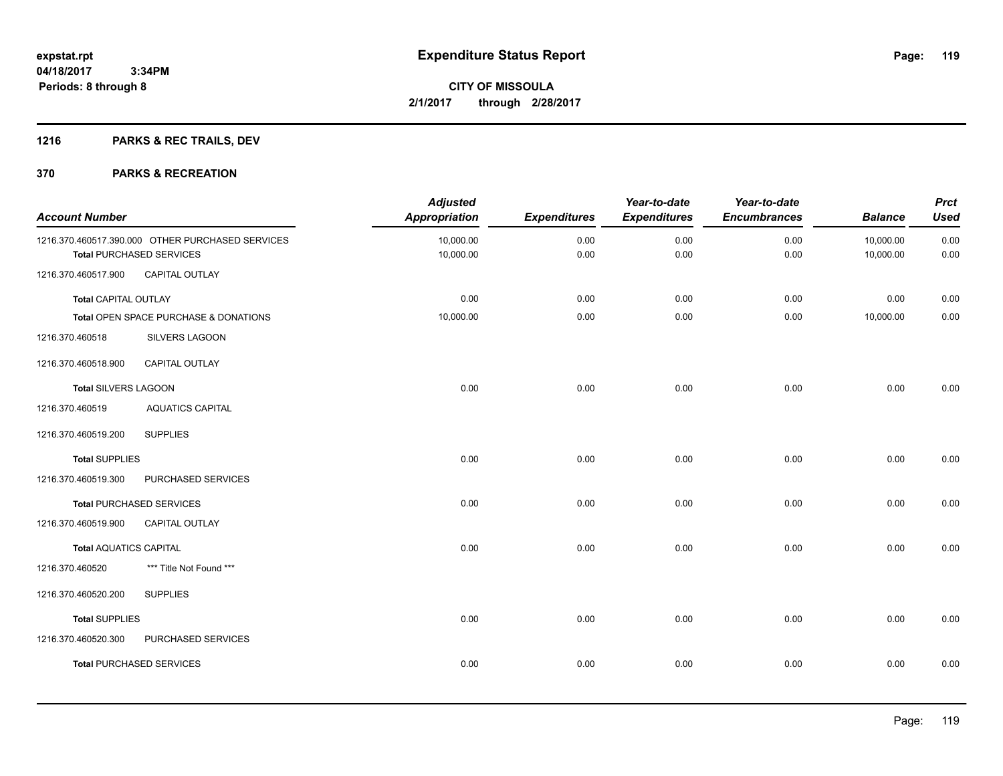# **1216 PARKS & REC TRAILS, DEV**

| <b>Account Number</b>         |                                                                                     | <b>Adjusted</b><br><b>Appropriation</b> | <b>Expenditures</b> | Year-to-date<br><b>Expenditures</b> | Year-to-date<br><b>Encumbrances</b> | <b>Balance</b>         | <b>Prct</b><br><b>Used</b> |
|-------------------------------|-------------------------------------------------------------------------------------|-----------------------------------------|---------------------|-------------------------------------|-------------------------------------|------------------------|----------------------------|
|                               | 1216.370.460517.390.000 OTHER PURCHASED SERVICES<br><b>Total PURCHASED SERVICES</b> | 10,000.00<br>10,000.00                  | 0.00<br>0.00        | 0.00<br>0.00                        | 0.00<br>0.00                        | 10,000.00<br>10,000.00 | 0.00<br>0.00               |
| 1216.370.460517.900           | CAPITAL OUTLAY                                                                      |                                         |                     |                                     |                                     |                        |                            |
| <b>Total CAPITAL OUTLAY</b>   |                                                                                     | 0.00                                    | 0.00                | 0.00                                | 0.00                                | 0.00                   | 0.00                       |
|                               | Total OPEN SPACE PURCHASE & DONATIONS                                               | 10,000.00                               | 0.00                | 0.00                                | 0.00                                | 10,000.00              | $0.00\,$                   |
| 1216.370.460518               | SILVERS LAGOON                                                                      |                                         |                     |                                     |                                     |                        |                            |
| 1216.370.460518.900           | <b>CAPITAL OUTLAY</b>                                                               |                                         |                     |                                     |                                     |                        |                            |
| <b>Total SILVERS LAGOON</b>   |                                                                                     | 0.00                                    | 0.00                | 0.00                                | 0.00                                | 0.00                   | 0.00                       |
| 1216.370.460519               | <b>AQUATICS CAPITAL</b>                                                             |                                         |                     |                                     |                                     |                        |                            |
| 1216.370.460519.200           | <b>SUPPLIES</b>                                                                     |                                         |                     |                                     |                                     |                        |                            |
| <b>Total SUPPLIES</b>         |                                                                                     | 0.00                                    | 0.00                | 0.00                                | 0.00                                | 0.00                   | 0.00                       |
| 1216.370.460519.300           | PURCHASED SERVICES                                                                  |                                         |                     |                                     |                                     |                        |                            |
|                               | <b>Total PURCHASED SERVICES</b>                                                     | 0.00                                    | 0.00                | 0.00                                | 0.00                                | 0.00                   | 0.00                       |
| 1216.370.460519.900           | <b>CAPITAL OUTLAY</b>                                                               |                                         |                     |                                     |                                     |                        |                            |
| <b>Total AQUATICS CAPITAL</b> |                                                                                     | 0.00                                    | 0.00                | 0.00                                | 0.00                                | 0.00                   | 0.00                       |
| 1216.370.460520               | *** Title Not Found ***                                                             |                                         |                     |                                     |                                     |                        |                            |
| 1216.370.460520.200           | <b>SUPPLIES</b>                                                                     |                                         |                     |                                     |                                     |                        |                            |
| <b>Total SUPPLIES</b>         |                                                                                     | 0.00                                    | 0.00                | 0.00                                | 0.00                                | 0.00                   | 0.00                       |
| 1216.370.460520.300           | PURCHASED SERVICES                                                                  |                                         |                     |                                     |                                     |                        |                            |
|                               | <b>Total PURCHASED SERVICES</b>                                                     | 0.00                                    | 0.00                | 0.00                                | 0.00                                | 0.00                   | 0.00                       |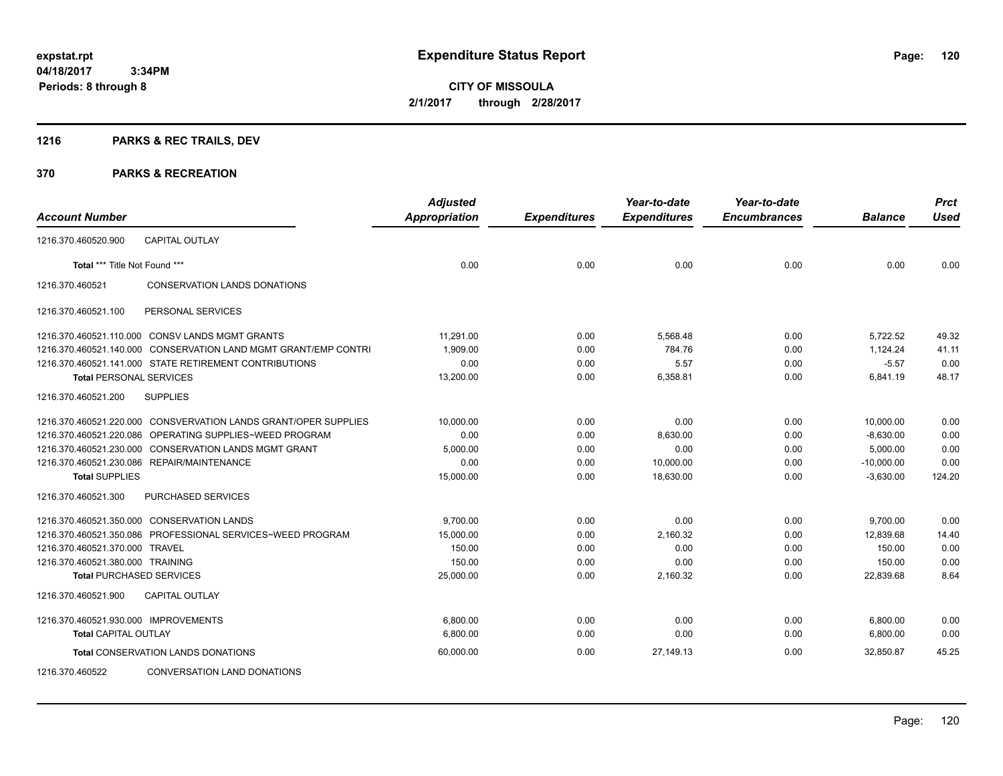# **1216 PARKS & REC TRAILS, DEV**

|                                      |                                                                 | <b>Adjusted</b>      |                     | Year-to-date        | Year-to-date        |                | <b>Prct</b> |
|--------------------------------------|-----------------------------------------------------------------|----------------------|---------------------|---------------------|---------------------|----------------|-------------|
| <b>Account Number</b>                |                                                                 | <b>Appropriation</b> | <b>Expenditures</b> | <b>Expenditures</b> | <b>Encumbrances</b> | <b>Balance</b> | <b>Used</b> |
| 1216.370.460520.900                  | <b>CAPITAL OUTLAY</b>                                           |                      |                     |                     |                     |                |             |
| Total *** Title Not Found ***        |                                                                 | 0.00                 | 0.00                | 0.00                | 0.00                | 0.00           | 0.00        |
| 1216.370.460521                      | <b>CONSERVATION LANDS DONATIONS</b>                             |                      |                     |                     |                     |                |             |
| 1216.370.460521.100                  | PERSONAL SERVICES                                               |                      |                     |                     |                     |                |             |
|                                      | 1216.370.460521.110.000 CONSV LANDS MGMT GRANTS                 | 11.291.00            | 0.00                | 5.568.48            | 0.00                | 5,722.52       | 49.32       |
| 1216.370.460521.140.000              | <b>CONSERVATION LAND MGMT GRANT/EMP CONTRI</b>                  | 1.909.00             | 0.00                | 784.76              | 0.00                | 1.124.24       | 41.11       |
|                                      | 1216.370.460521.141.000 STATE RETIREMENT CONTRIBUTIONS          | 0.00                 | 0.00                | 5.57                | 0.00                | $-5.57$        | 0.00        |
| <b>Total PERSONAL SERVICES</b>       |                                                                 | 13,200.00            | 0.00                | 6,358.81            | 0.00                | 6,841.19       | 48.17       |
| 1216.370.460521.200                  | <b>SUPPLIES</b>                                                 |                      |                     |                     |                     |                |             |
|                                      | 1216.370.460521.220.000 CONSVERVATION LANDS GRANT/OPER SUPPLIES | 10,000.00            | 0.00                | 0.00                | 0.00                | 10,000.00      | 0.00        |
|                                      | 1216.370.460521.220.086 OPERATING SUPPLIES~WEED PROGRAM         | 0.00                 | 0.00                | 8,630.00            | 0.00                | $-8,630.00$    | 0.00        |
|                                      | 1216.370.460521.230.000 CONSERVATION LANDS MGMT GRANT           | 5,000.00             | 0.00                | 0.00                | 0.00                | 5,000.00       | 0.00        |
|                                      | 1216.370.460521.230.086 REPAIR/MAINTENANCE                      | 0.00                 | 0.00                | 10,000.00           | 0.00                | $-10,000.00$   | 0.00        |
| <b>Total SUPPLIES</b>                |                                                                 | 15,000.00            | 0.00                | 18,630.00           | 0.00                | $-3,630.00$    | 124.20      |
| 1216.370.460521.300                  | PURCHASED SERVICES                                              |                      |                     |                     |                     |                |             |
|                                      | 1216.370.460521.350.000 CONSERVATION LANDS                      | 9,700.00             | 0.00                | 0.00                | 0.00                | 9,700.00       | 0.00        |
|                                      | 1216.370.460521.350.086 PROFESSIONAL SERVICES~WEED PROGRAM      | 15,000.00            | 0.00                | 2,160.32            | 0.00                | 12,839.68      | 14.40       |
| 1216.370.460521.370.000 TRAVEL       |                                                                 | 150.00               | 0.00                | 0.00                | 0.00                | 150.00         | 0.00        |
| 1216.370.460521.380.000 TRAINING     |                                                                 | 150.00               | 0.00                | 0.00                | 0.00                | 150.00         | 0.00        |
| <b>Total PURCHASED SERVICES</b>      |                                                                 | 25,000.00            | 0.00                | 2,160.32            | 0.00                | 22,839.68      | 8.64        |
| 1216.370.460521.900                  | CAPITAL OUTLAY                                                  |                      |                     |                     |                     |                |             |
| 1216.370.460521.930.000 IMPROVEMENTS |                                                                 | 6,800.00             | 0.00                | 0.00                | 0.00                | 6,800.00       | 0.00        |
| <b>Total CAPITAL OUTLAY</b>          |                                                                 | 6.800.00             | 0.00                | 0.00                | 0.00                | 6,800.00       | 0.00        |
|                                      | Total CONSERVATION LANDS DONATIONS                              | 60,000.00            | 0.00                | 27,149.13           | 0.00                | 32,850.87      | 45.25       |
| 1216.370.460522                      | CONVERSATION LAND DONATIONS                                     |                      |                     |                     |                     |                |             |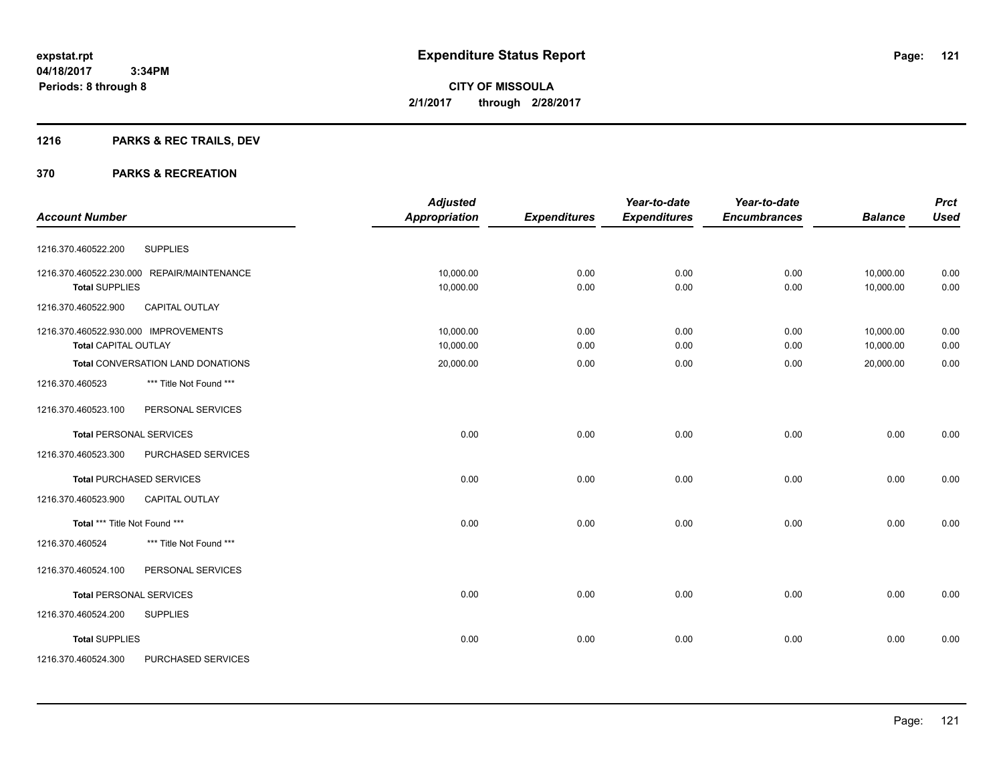**Periods: 8 through 8**

**CITY OF MISSOULA 2/1/2017 through 2/28/2017**

# **1216 PARKS & REC TRAILS, DEV**

 **3:34PM**

|                                              | <b>Adjusted</b>      |                     | Year-to-date        | Year-to-date        |                | <b>Prct</b> |
|----------------------------------------------|----------------------|---------------------|---------------------|---------------------|----------------|-------------|
| <b>Account Number</b>                        | <b>Appropriation</b> | <b>Expenditures</b> | <b>Expenditures</b> | <b>Encumbrances</b> | <b>Balance</b> | <b>Used</b> |
| <b>SUPPLIES</b><br>1216.370.460522.200       |                      |                     |                     |                     |                |             |
| 1216.370.460522.230.000 REPAIR/MAINTENANCE   | 10,000.00            | 0.00                | 0.00                | 0.00                | 10,000.00      | 0.00        |
| <b>Total SUPPLIES</b>                        | 10,000.00            | 0.00                | 0.00                | 0.00                | 10,000.00      | 0.00        |
| 1216.370.460522.900<br><b>CAPITAL OUTLAY</b> |                      |                     |                     |                     |                |             |
| 1216.370.460522.930.000 IMPROVEMENTS         | 10,000.00            | 0.00                | 0.00                | 0.00                | 10,000.00      | 0.00        |
| <b>Total CAPITAL OUTLAY</b>                  | 10,000.00            | 0.00                | 0.00                | 0.00                | 10,000.00      | 0.00        |
| <b>Total CONVERSATION LAND DONATIONS</b>     | 20,000.00            | 0.00                | 0.00                | 0.00                | 20,000.00      | 0.00        |
| *** Title Not Found ***<br>1216.370.460523   |                      |                     |                     |                     |                |             |
| 1216.370.460523.100<br>PERSONAL SERVICES     |                      |                     |                     |                     |                |             |
| <b>Total PERSONAL SERVICES</b>               | 0.00                 | 0.00                | 0.00                | 0.00                | 0.00           | 0.00        |
| 1216.370.460523.300<br>PURCHASED SERVICES    |                      |                     |                     |                     |                |             |
| <b>Total PURCHASED SERVICES</b>              | 0.00                 | 0.00                | 0.00                | 0.00                | 0.00           | 0.00        |
| 1216.370.460523.900<br><b>CAPITAL OUTLAY</b> |                      |                     |                     |                     |                |             |
| Total *** Title Not Found ***                | 0.00                 | 0.00                | 0.00                | 0.00                | 0.00           | 0.00        |
| 1216.370.460524<br>*** Title Not Found ***   |                      |                     |                     |                     |                |             |
| 1216.370.460524.100<br>PERSONAL SERVICES     |                      |                     |                     |                     |                |             |
| <b>Total PERSONAL SERVICES</b>               | 0.00                 | 0.00                | 0.00                | 0.00                | 0.00           | 0.00        |
| <b>SUPPLIES</b><br>1216.370.460524.200       |                      |                     |                     |                     |                |             |
| <b>Total SUPPLIES</b>                        | 0.00                 | 0.00                | 0.00                | 0.00                | 0.00           | 0.00        |
| PURCHASED SERVICES<br>1216.370.460524.300    |                      |                     |                     |                     |                |             |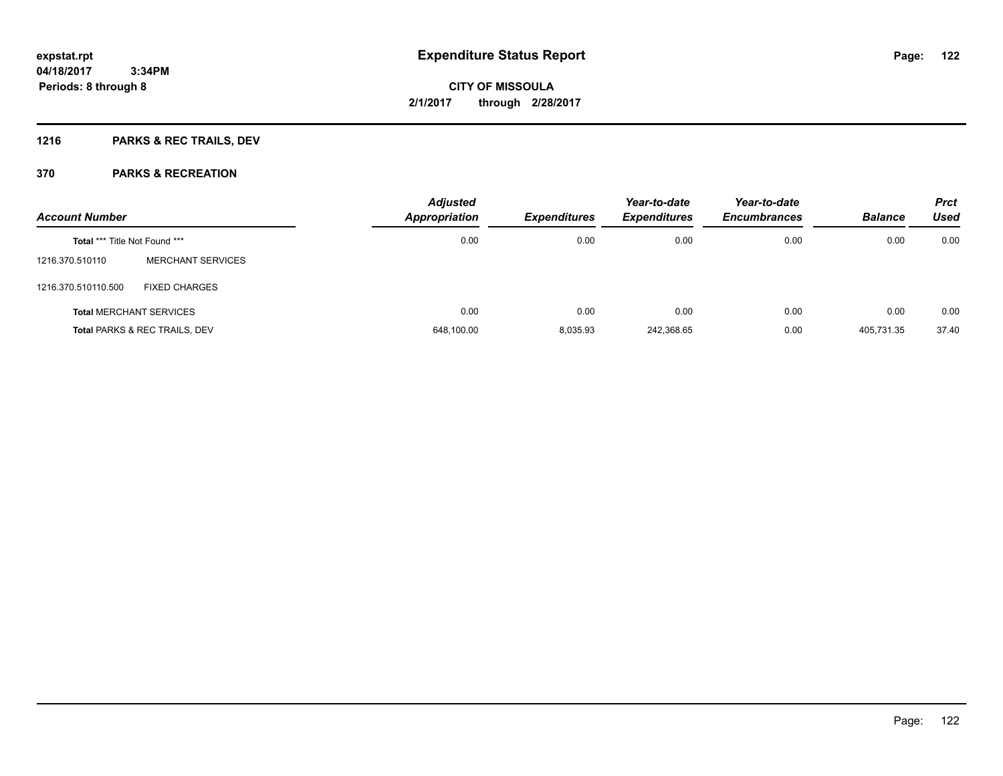# **1216 PARKS & REC TRAILS, DEV**

| <b>Account Number</b>                |                               | <b>Adjusted</b><br><b>Appropriation</b> | Expenditures | Year-to-date<br><b>Expenditures</b> | Year-to-date<br><b>Encumbrances</b> | <b>Balance</b> | <b>Prct</b><br><b>Used</b> |
|--------------------------------------|-------------------------------|-----------------------------------------|--------------|-------------------------------------|-------------------------------------|----------------|----------------------------|
| <b>Total *** Title Not Found ***</b> |                               | 0.00                                    | 0.00         | 0.00                                | 0.00                                | 0.00           | 0.00                       |
| 1216.370.510110                      | <b>MERCHANT SERVICES</b>      |                                         |              |                                     |                                     |                |                            |
| 1216.370.510110.500                  | <b>FIXED CHARGES</b>          |                                         |              |                                     |                                     |                |                            |
| <b>Total MERCHANT SERVICES</b>       |                               | 0.00                                    | 0.00         | 0.00                                | 0.00                                | 0.00           | 0.00                       |
|                                      | Total PARKS & REC TRAILS, DEV | 648,100.00                              | 8,035.93     | 242,368.65                          | 0.00                                | 405,731.35     | 37.40                      |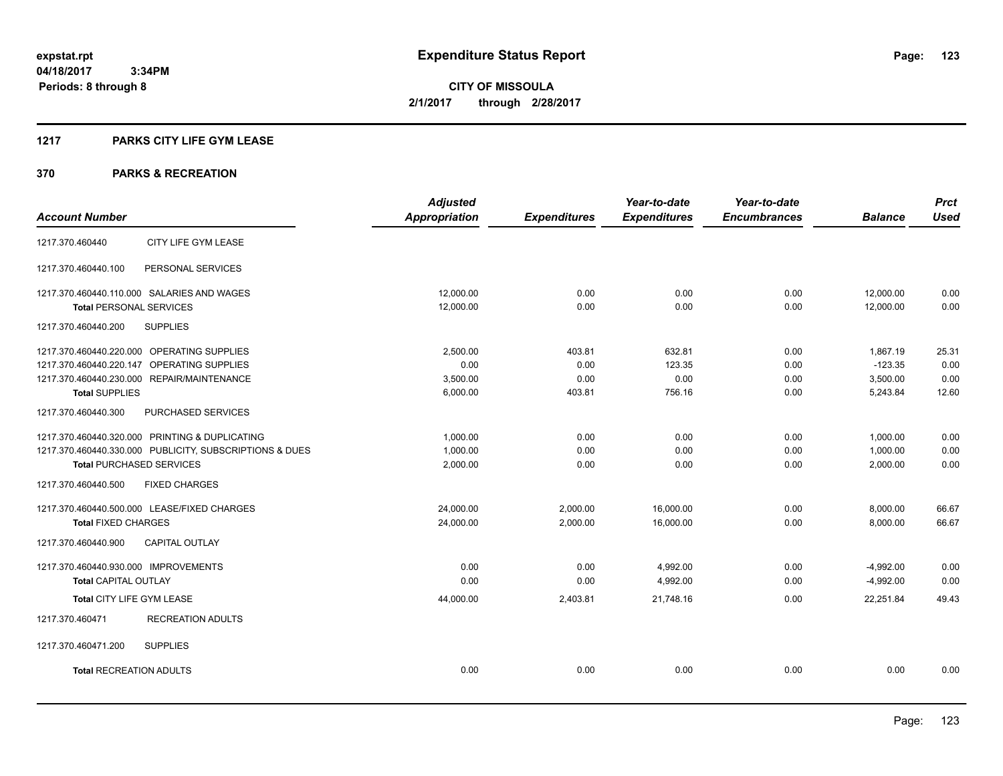#### **1217 PARKS CITY LIFE GYM LEASE**

|                                                         | <b>Adjusted</b>      |                     | Year-to-date        | Year-to-date        |                | <b>Prct</b> |
|---------------------------------------------------------|----------------------|---------------------|---------------------|---------------------|----------------|-------------|
| <b>Account Number</b>                                   | <b>Appropriation</b> | <b>Expenditures</b> | <b>Expenditures</b> | <b>Encumbrances</b> | <b>Balance</b> | <b>Used</b> |
| CITY LIFE GYM LEASE<br>1217.370.460440                  |                      |                     |                     |                     |                |             |
| 1217.370.460440.100<br>PERSONAL SERVICES                |                      |                     |                     |                     |                |             |
| 1217.370.460440.110.000 SALARIES AND WAGES              | 12,000.00            | 0.00                | 0.00                | 0.00                | 12,000.00      | 0.00        |
| <b>Total PERSONAL SERVICES</b>                          | 12,000.00            | 0.00                | 0.00                | 0.00                | 12,000.00      | 0.00        |
| 1217.370.460440.200<br><b>SUPPLIES</b>                  |                      |                     |                     |                     |                |             |
| 1217.370.460440.220.000 OPERATING SUPPLIES              | 2,500.00             | 403.81              | 632.81              | 0.00                | 1,867.19       | 25.31       |
| 1217.370.460440.220.147 OPERATING SUPPLIES              | 0.00                 | 0.00                | 123.35              | 0.00                | $-123.35$      | 0.00        |
| 1217.370.460440.230.000 REPAIR/MAINTENANCE              | 3,500.00             | 0.00                | 0.00                | 0.00                | 3,500.00       | 0.00        |
| <b>Total SUPPLIES</b>                                   | 6,000.00             | 403.81              | 756.16              | 0.00                | 5,243.84       | 12.60       |
| 1217.370.460440.300<br>PURCHASED SERVICES               |                      |                     |                     |                     |                |             |
| 1217.370.460440.320.000 PRINTING & DUPLICATING          | 1,000.00             | 0.00                | 0.00                | 0.00                | 1,000.00       | 0.00        |
| 1217.370.460440.330.000 PUBLICITY, SUBSCRIPTIONS & DUES | 1,000.00             | 0.00                | 0.00                | 0.00                | 1,000.00       | 0.00        |
| <b>Total PURCHASED SERVICES</b>                         | 2,000.00             | 0.00                | 0.00                | 0.00                | 2,000.00       | 0.00        |
| <b>FIXED CHARGES</b><br>1217.370.460440.500             |                      |                     |                     |                     |                |             |
| 1217.370.460440.500.000 LEASE/FIXED CHARGES             | 24,000.00            | 2,000.00            | 16,000.00           | 0.00                | 8,000.00       | 66.67       |
| <b>Total FIXED CHARGES</b>                              | 24,000.00            | 2,000.00            | 16,000.00           | 0.00                | 8,000.00       | 66.67       |
| CAPITAL OUTLAY<br>1217.370.460440.900                   |                      |                     |                     |                     |                |             |
| 1217.370.460440.930.000 IMPROVEMENTS                    | 0.00                 | 0.00                | 4,992.00            | 0.00                | $-4,992.00$    | 0.00        |
| <b>Total CAPITAL OUTLAY</b>                             | 0.00                 | 0.00                | 4,992.00            | 0.00                | $-4,992.00$    | 0.00        |
| Total CITY LIFE GYM LEASE                               | 44,000.00            | 2,403.81            | 21,748.16           | 0.00                | 22,251.84      | 49.43       |
| <b>RECREATION ADULTS</b><br>1217.370.460471             |                      |                     |                     |                     |                |             |
| <b>SUPPLIES</b><br>1217.370.460471.200                  |                      |                     |                     |                     |                |             |
| <b>Total RECREATION ADULTS</b>                          | 0.00                 | 0.00                | 0.00                | 0.00                | 0.00           | 0.00        |
|                                                         |                      |                     |                     |                     |                |             |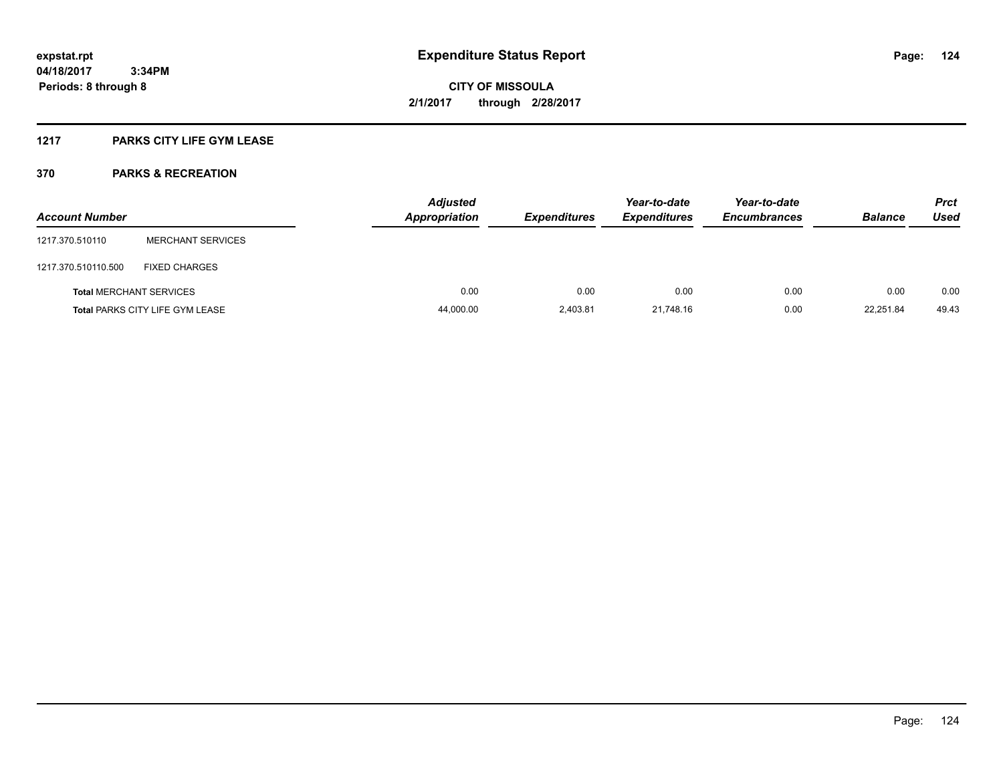### **1217 PARKS CITY LIFE GYM LEASE**

| <b>Account Number</b> |                                        | <b>Adjusted</b><br><b>Appropriation</b> | <b>Expenditures</b> | Year-to-date<br><b>Expenditures</b> | Year-to-date<br><b>Encumbrances</b> | <b>Balance</b> | <b>Prct</b><br>Used |
|-----------------------|----------------------------------------|-----------------------------------------|---------------------|-------------------------------------|-------------------------------------|----------------|---------------------|
| 1217.370.510110       | <b>MERCHANT SERVICES</b>               |                                         |                     |                                     |                                     |                |                     |
| 1217.370.510110.500   | <b>FIXED CHARGES</b>                   |                                         |                     |                                     |                                     |                |                     |
|                       | <b>Total MERCHANT SERVICES</b>         | 0.00                                    | 0.00                | 0.00                                | 0.00                                | 0.00           | 0.00                |
|                       | <b>Total PARKS CITY LIFE GYM LEASE</b> | 44,000.00                               | 2,403.81            | 21.748.16                           | 0.00                                | 22,251.84      | 49.43               |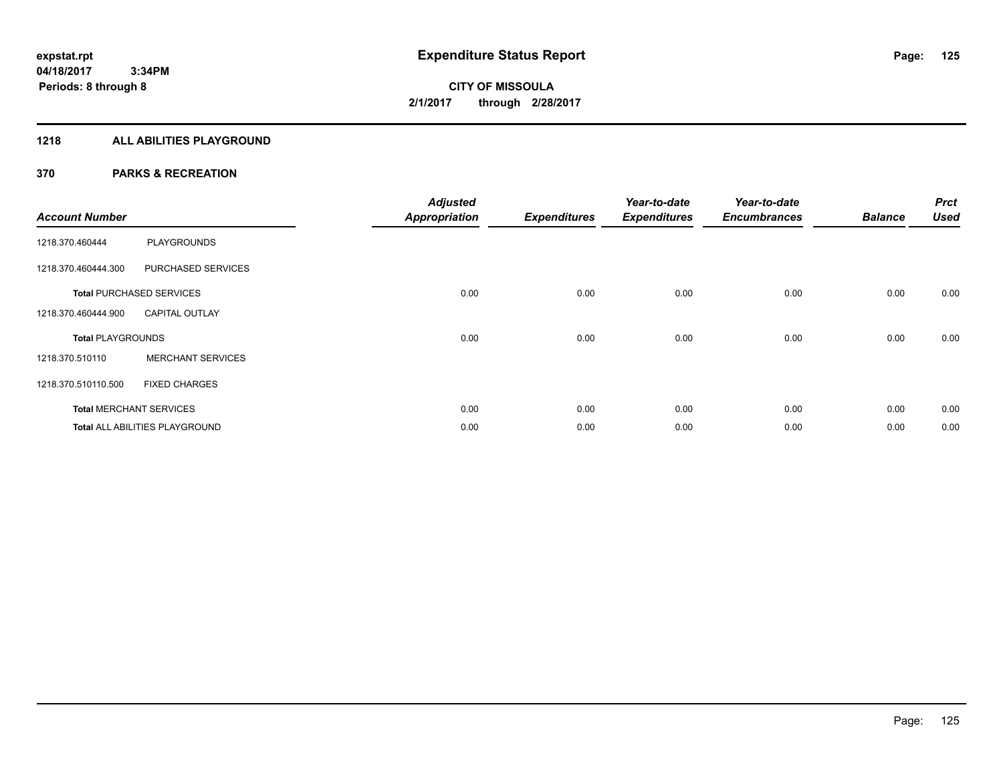#### **1218 ALL ABILITIES PLAYGROUND**

| <b>Account Number</b>    |                                 | <b>Adjusted</b><br><b>Appropriation</b> | <b>Expenditures</b> | Year-to-date<br><b>Expenditures</b> | Year-to-date<br><b>Encumbrances</b> | <b>Balance</b> | <b>Prct</b><br><b>Used</b> |
|--------------------------|---------------------------------|-----------------------------------------|---------------------|-------------------------------------|-------------------------------------|----------------|----------------------------|
| 1218.370.460444          | <b>PLAYGROUNDS</b>              |                                         |                     |                                     |                                     |                |                            |
| 1218.370.460444.300      | PURCHASED SERVICES              |                                         |                     |                                     |                                     |                |                            |
|                          | <b>Total PURCHASED SERVICES</b> | 0.00                                    | 0.00                | 0.00                                | 0.00                                | 0.00           | 0.00                       |
| 1218.370.460444.900      | <b>CAPITAL OUTLAY</b>           |                                         |                     |                                     |                                     |                |                            |
| <b>Total PLAYGROUNDS</b> |                                 | 0.00                                    | 0.00                | 0.00                                | 0.00                                | 0.00           | 0.00                       |
| 1218.370.510110          | <b>MERCHANT SERVICES</b>        |                                         |                     |                                     |                                     |                |                            |
| 1218.370.510110.500      | <b>FIXED CHARGES</b>            |                                         |                     |                                     |                                     |                |                            |
|                          | <b>Total MERCHANT SERVICES</b>  | 0.00                                    | 0.00                | 0.00                                | 0.00                                | 0.00           | 0.00                       |
|                          | Total ALL ABILITIES PLAYGROUND  | 0.00                                    | 0.00                | 0.00                                | 0.00                                | 0.00           | 0.00                       |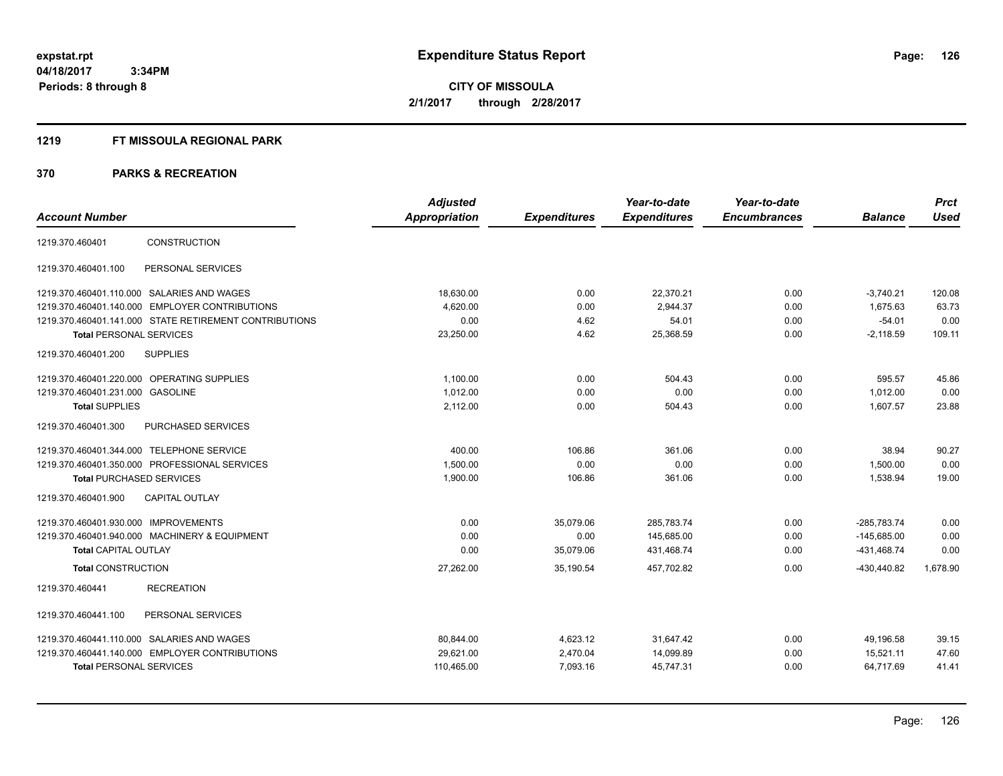#### **1219 FT MISSOULA REGIONAL PARK**

|                                           |                                                        | <b>Adjusted</b> |                     | Year-to-date        | Year-to-date        |                | <b>Prct</b> |
|-------------------------------------------|--------------------------------------------------------|-----------------|---------------------|---------------------|---------------------|----------------|-------------|
| <b>Account Number</b>                     |                                                        | Appropriation   | <b>Expenditures</b> | <b>Expenditures</b> | <b>Encumbrances</b> | <b>Balance</b> | <b>Used</b> |
| 1219.370.460401                           | <b>CONSTRUCTION</b>                                    |                 |                     |                     |                     |                |             |
| 1219.370.460401.100                       | PERSONAL SERVICES                                      |                 |                     |                     |                     |                |             |
|                                           | 1219.370.460401.110.000 SALARIES AND WAGES             | 18,630.00       | 0.00                | 22,370.21           | 0.00                | $-3,740.21$    | 120.08      |
|                                           | 1219.370.460401.140.000 EMPLOYER CONTRIBUTIONS         | 4,620.00        | 0.00                | 2,944.37            | 0.00                | 1,675.63       | 63.73       |
|                                           | 1219.370.460401.141.000 STATE RETIREMENT CONTRIBUTIONS | 0.00            | 4.62                | 54.01               | 0.00                | $-54.01$       | 0.00        |
| <b>Total PERSONAL SERVICES</b>            |                                                        | 23,250.00       | 4.62                | 25,368.59           | 0.00                | $-2,118.59$    | 109.11      |
| 1219.370.460401.200                       | <b>SUPPLIES</b>                                        |                 |                     |                     |                     |                |             |
|                                           | 1219.370.460401.220.000 OPERATING SUPPLIES             | 1.100.00        | 0.00                | 504.43              | 0.00                | 595.57         | 45.86       |
| 1219.370.460401.231.000 GASOLINE          |                                                        | 1.012.00        | 0.00                | 0.00                | 0.00                | 1.012.00       | 0.00        |
| <b>Total SUPPLIES</b>                     |                                                        | 2,112.00        | 0.00                | 504.43              | 0.00                | 1,607.57       | 23.88       |
| 1219.370.460401.300                       | PURCHASED SERVICES                                     |                 |                     |                     |                     |                |             |
| 1219.370.460401.344.000 TELEPHONE SERVICE |                                                        | 400.00          | 106.86              | 361.06              | 0.00                | 38.94          | 90.27       |
|                                           | 1219.370.460401.350.000 PROFESSIONAL SERVICES          | 1.500.00        | 0.00                | 0.00                | 0.00                | 1,500.00       | 0.00        |
| <b>Total PURCHASED SERVICES</b>           |                                                        | 1,900.00        | 106.86              | 361.06              | 0.00                | 1,538.94       | 19.00       |
| 1219.370.460401.900                       | <b>CAPITAL OUTLAY</b>                                  |                 |                     |                     |                     |                |             |
| 1219.370.460401.930.000 IMPROVEMENTS      |                                                        | 0.00            | 35,079.06           | 285,783.74          | 0.00                | $-285,783.74$  | 0.00        |
|                                           | 1219.370.460401.940.000 MACHINERY & EQUIPMENT          | 0.00            | 0.00                | 145,685.00          | 0.00                | $-145,685.00$  | 0.00        |
| <b>Total CAPITAL OUTLAY</b>               |                                                        | 0.00            | 35,079.06           | 431,468.74          | 0.00                | -431,468.74    | 0.00        |
| <b>Total CONSTRUCTION</b>                 |                                                        | 27,262.00       | 35,190.54           | 457,702.82          | 0.00                | -430,440.82    | 1,678.90    |
| 1219.370.460441                           | <b>RECREATION</b>                                      |                 |                     |                     |                     |                |             |
| 1219.370.460441.100                       | PERSONAL SERVICES                                      |                 |                     |                     |                     |                |             |
|                                           | 1219.370.460441.110.000 SALARIES AND WAGES             | 80,844.00       | 4,623.12            | 31,647.42           | 0.00                | 49,196.58      | 39.15       |
|                                           | 1219.370.460441.140.000 EMPLOYER CONTRIBUTIONS         | 29,621.00       | 2,470.04            | 14,099.89           | 0.00                | 15,521.11      | 47.60       |
| <b>Total PERSONAL SERVICES</b>            |                                                        | 110,465.00      | 7,093.16            | 45,747.31           | 0.00                | 64,717.69      | 41.41       |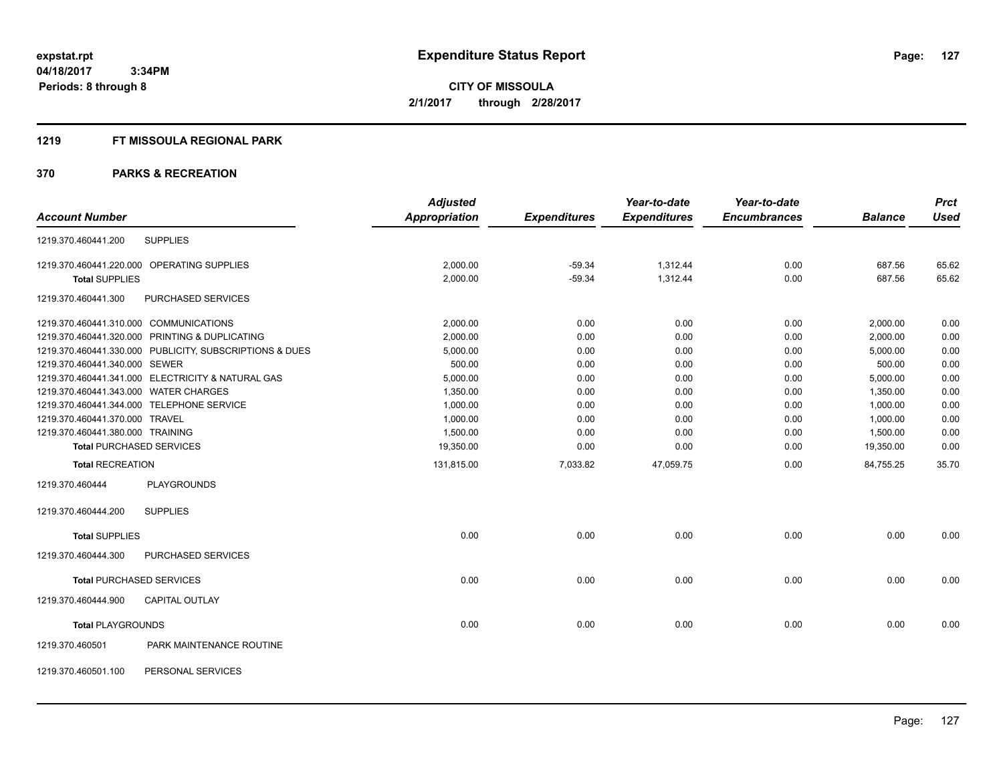#### **1219 FT MISSOULA REGIONAL PARK**

|                                       |                                                         | <b>Adjusted</b> |                     | Year-to-date        | Year-to-date        |                | <b>Prct</b> |
|---------------------------------------|---------------------------------------------------------|-----------------|---------------------|---------------------|---------------------|----------------|-------------|
| <b>Account Number</b>                 |                                                         | Appropriation   | <b>Expenditures</b> | <b>Expenditures</b> | <b>Encumbrances</b> | <b>Balance</b> | <b>Used</b> |
| 1219.370.460441.200                   | <b>SUPPLIES</b>                                         |                 |                     |                     |                     |                |             |
|                                       | 1219.370.460441.220.000 OPERATING SUPPLIES              | 2,000.00        | $-59.34$            | 1,312.44            | 0.00                | 687.56         | 65.62       |
| <b>Total SUPPLIES</b>                 |                                                         | 2,000.00        | $-59.34$            | 1,312.44            | 0.00                | 687.56         | 65.62       |
| 1219.370.460441.300                   | PURCHASED SERVICES                                      |                 |                     |                     |                     |                |             |
|                                       | 1219.370.460441.310.000 COMMUNICATIONS                  | 2,000.00        | 0.00                | 0.00                | 0.00                | 2,000.00       | 0.00        |
|                                       | 1219.370.460441.320.000 PRINTING & DUPLICATING          | 2.000.00        | 0.00                | 0.00                | 0.00                | 2.000.00       | 0.00        |
|                                       | 1219.370.460441.330.000 PUBLICITY, SUBSCRIPTIONS & DUES | 5,000.00        | 0.00                | 0.00                | 0.00                | 5,000.00       | 0.00        |
| 1219.370.460441.340.000 SEWER         |                                                         | 500.00          | 0.00                | 0.00                | 0.00                | 500.00         | 0.00        |
|                                       | 1219.370.460441.341.000 ELECTRICITY & NATURAL GAS       | 5,000.00        | 0.00                | 0.00                | 0.00                | 5,000.00       | 0.00        |
| 1219.370.460441.343.000 WATER CHARGES |                                                         | 1,350.00        | 0.00                | 0.00                | 0.00                | 1,350.00       | 0.00        |
|                                       | 1219.370.460441.344.000 TELEPHONE SERVICE               | 1,000.00        | 0.00                | 0.00                | 0.00                | 1,000.00       | 0.00        |
| 1219.370.460441.370.000 TRAVEL        |                                                         | 1,000.00        | 0.00                | 0.00                | 0.00                | 1,000.00       | 0.00        |
| 1219.370.460441.380.000 TRAINING      |                                                         | 1,500.00        | 0.00                | 0.00                | 0.00                | 1,500.00       | 0.00        |
|                                       | <b>Total PURCHASED SERVICES</b>                         | 19,350.00       | 0.00                | 0.00                | 0.00                | 19,350.00      | 0.00        |
| <b>Total RECREATION</b>               |                                                         | 131,815.00      | 7,033.82            | 47,059.75           | 0.00                | 84,755.25      | 35.70       |
| 1219.370.460444                       | <b>PLAYGROUNDS</b>                                      |                 |                     |                     |                     |                |             |
| 1219.370.460444.200                   | <b>SUPPLIES</b>                                         |                 |                     |                     |                     |                |             |
| <b>Total SUPPLIES</b>                 |                                                         | 0.00            | 0.00                | 0.00                | 0.00                | 0.00           | 0.00        |
| 1219.370.460444.300                   | PURCHASED SERVICES                                      |                 |                     |                     |                     |                |             |
|                                       | <b>Total PURCHASED SERVICES</b>                         | 0.00            | 0.00                | 0.00                | 0.00                | 0.00           | 0.00        |
| 1219.370.460444.900                   | <b>CAPITAL OUTLAY</b>                                   |                 |                     |                     |                     |                |             |
| <b>Total PLAYGROUNDS</b>              |                                                         | 0.00            | 0.00                | 0.00                | 0.00                | 0.00           | 0.00        |
| 1219.370.460501                       | PARK MAINTENANCE ROUTINE                                |                 |                     |                     |                     |                |             |
| 1219.370.460501.100                   | PERSONAL SERVICES                                       |                 |                     |                     |                     |                |             |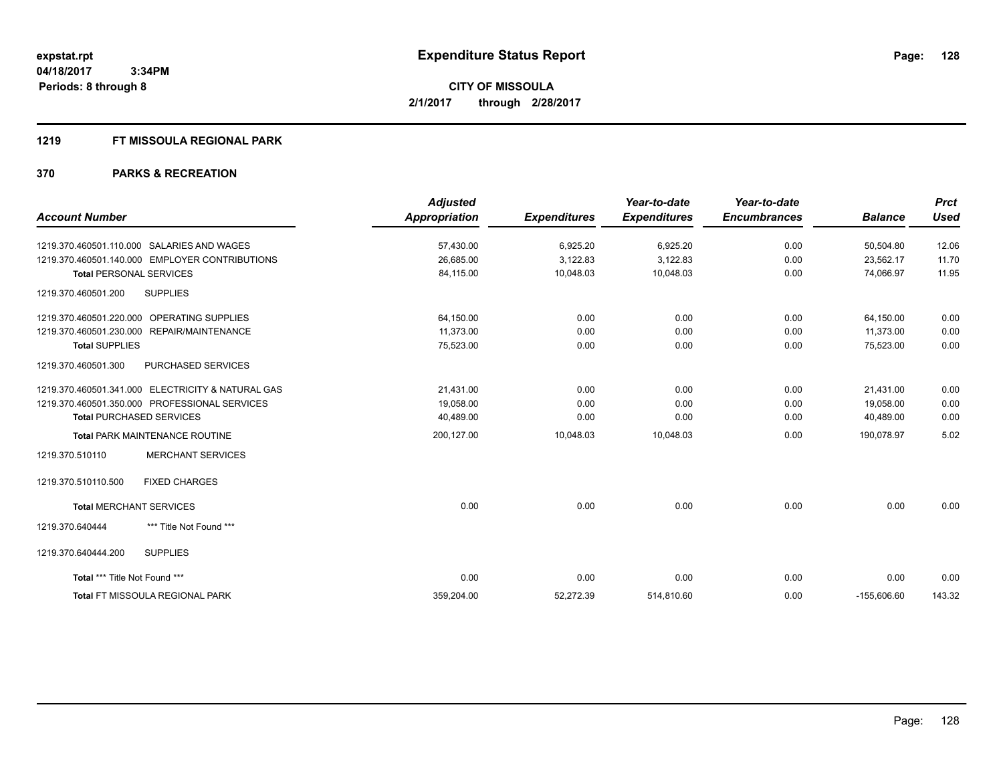#### **1219 FT MISSOULA REGIONAL PARK**

|                                                   | <b>Adjusted</b>      |                     | Year-to-date        | Year-to-date        |                | <b>Prct</b> |
|---------------------------------------------------|----------------------|---------------------|---------------------|---------------------|----------------|-------------|
| <b>Account Number</b>                             | <b>Appropriation</b> | <b>Expenditures</b> | <b>Expenditures</b> | <b>Encumbrances</b> | <b>Balance</b> | <b>Used</b> |
| 1219.370.460501.110.000 SALARIES AND WAGES        | 57,430.00            | 6,925.20            | 6,925.20            | 0.00                | 50,504.80      | 12.06       |
| 1219.370.460501.140.000 EMPLOYER CONTRIBUTIONS    | 26,685.00            | 3,122.83            | 3,122.83            | 0.00                | 23,562.17      | 11.70       |
| <b>Total PERSONAL SERVICES</b>                    | 84,115.00            | 10,048.03           | 10,048.03           | 0.00                | 74,066.97      | 11.95       |
| <b>SUPPLIES</b><br>1219.370.460501.200            |                      |                     |                     |                     |                |             |
| 1219.370.460501.220.000 OPERATING SUPPLIES        | 64,150.00            | 0.00                | 0.00                | 0.00                | 64,150.00      | 0.00        |
| 1219.370.460501.230.000 REPAIR/MAINTENANCE        | 11,373.00            | 0.00                | 0.00                | 0.00                | 11,373.00      | 0.00        |
| <b>Total SUPPLIES</b>                             | 75,523.00            | 0.00                | 0.00                | 0.00                | 75,523.00      | 0.00        |
| 1219.370.460501.300<br>PURCHASED SERVICES         |                      |                     |                     |                     |                |             |
| 1219.370.460501.341.000 ELECTRICITY & NATURAL GAS | 21.431.00            | 0.00                | 0.00                | 0.00                | 21.431.00      | 0.00        |
| 1219.370.460501.350.000 PROFESSIONAL SERVICES     | 19,058.00            | 0.00                | 0.00                | 0.00                | 19,058.00      | 0.00        |
| <b>Total PURCHASED SERVICES</b>                   | 40,489.00            | 0.00                | 0.00                | 0.00                | 40,489.00      | 0.00        |
| Total PARK MAINTENANCE ROUTINE                    | 200,127.00           | 10,048.03           | 10,048.03           | 0.00                | 190,078.97     | 5.02        |
| <b>MERCHANT SERVICES</b><br>1219.370.510110       |                      |                     |                     |                     |                |             |
| <b>FIXED CHARGES</b><br>1219.370.510110.500       |                      |                     |                     |                     |                |             |
| <b>Total MERCHANT SERVICES</b>                    | 0.00                 | 0.00                | 0.00                | 0.00                | 0.00           | 0.00        |
| *** Title Not Found ***<br>1219.370.640444        |                      |                     |                     |                     |                |             |
| 1219.370.640444.200<br><b>SUPPLIES</b>            |                      |                     |                     |                     |                |             |
| Total *** Title Not Found ***                     | 0.00                 | 0.00                | 0.00                | 0.00                | 0.00           | 0.00        |
| <b>Total FT MISSOULA REGIONAL PARK</b>            | 359,204.00           | 52.272.39           | 514,810.60          | 0.00                | $-155.606.60$  | 143.32      |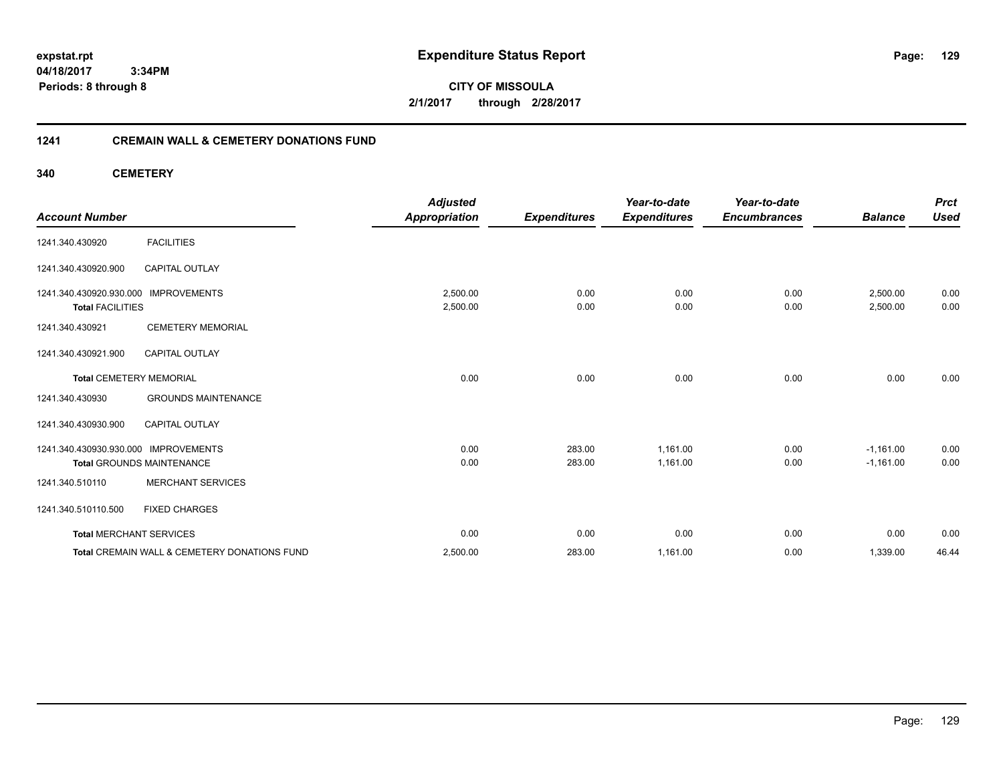**04/18/2017 3:34PM Periods: 8 through 8**

**CITY OF MISSOULA 2/1/2017 through 2/28/2017**

#### **1241 CREMAIN WALL & CEMETERY DONATIONS FUND**

**340 CEMETERY**

| <b>Account Number</b>                                           |                                              | <b>Adjusted</b><br><b>Appropriation</b> | <b>Expenditures</b> | Year-to-date<br><b>Expenditures</b> | Year-to-date<br><b>Encumbrances</b> | <b>Balance</b>       | <b>Prct</b><br><b>Used</b> |
|-----------------------------------------------------------------|----------------------------------------------|-----------------------------------------|---------------------|-------------------------------------|-------------------------------------|----------------------|----------------------------|
| 1241.340.430920                                                 | <b>FACILITIES</b>                            |                                         |                     |                                     |                                     |                      |                            |
| 1241.340.430920.900                                             | <b>CAPITAL OUTLAY</b>                        |                                         |                     |                                     |                                     |                      |                            |
| 1241.340.430920.930.000 IMPROVEMENTS<br><b>Total FACILITIES</b> |                                              | 2,500.00<br>2,500.00                    | 0.00<br>0.00        | 0.00<br>0.00                        | 0.00<br>0.00                        | 2,500.00<br>2,500.00 | 0.00<br>0.00               |
| 1241.340.430921                                                 | <b>CEMETERY MEMORIAL</b>                     |                                         |                     |                                     |                                     |                      |                            |
| 1241.340.430921.900                                             | <b>CAPITAL OUTLAY</b>                        |                                         |                     |                                     |                                     |                      |                            |
| <b>Total CEMETERY MEMORIAL</b>                                  |                                              | 0.00                                    | 0.00                | 0.00                                | 0.00                                | 0.00                 | 0.00                       |
| 1241.340.430930                                                 | <b>GROUNDS MAINTENANCE</b>                   |                                         |                     |                                     |                                     |                      |                            |
| 1241.340.430930.900                                             | <b>CAPITAL OUTLAY</b>                        |                                         |                     |                                     |                                     |                      |                            |
| 1241.340.430930.930.000 IMPROVEMENTS                            |                                              | 0.00                                    | 283.00              | 1,161.00                            | 0.00                                | $-1,161.00$          | 0.00                       |
|                                                                 | <b>Total GROUNDS MAINTENANCE</b>             | 0.00                                    | 283.00              | 1,161.00                            | 0.00                                | $-1,161.00$          | 0.00                       |
| 1241.340.510110                                                 | <b>MERCHANT SERVICES</b>                     |                                         |                     |                                     |                                     |                      |                            |
| 1241.340.510110.500                                             | <b>FIXED CHARGES</b>                         |                                         |                     |                                     |                                     |                      |                            |
| <b>Total MERCHANT SERVICES</b>                                  |                                              | 0.00                                    | 0.00                | 0.00                                | 0.00                                | 0.00                 | 0.00                       |
|                                                                 | Total CREMAIN WALL & CEMETERY DONATIONS FUND | 2,500.00                                | 283.00              | 1,161.00                            | 0.00                                | 1,339.00             | 46.44                      |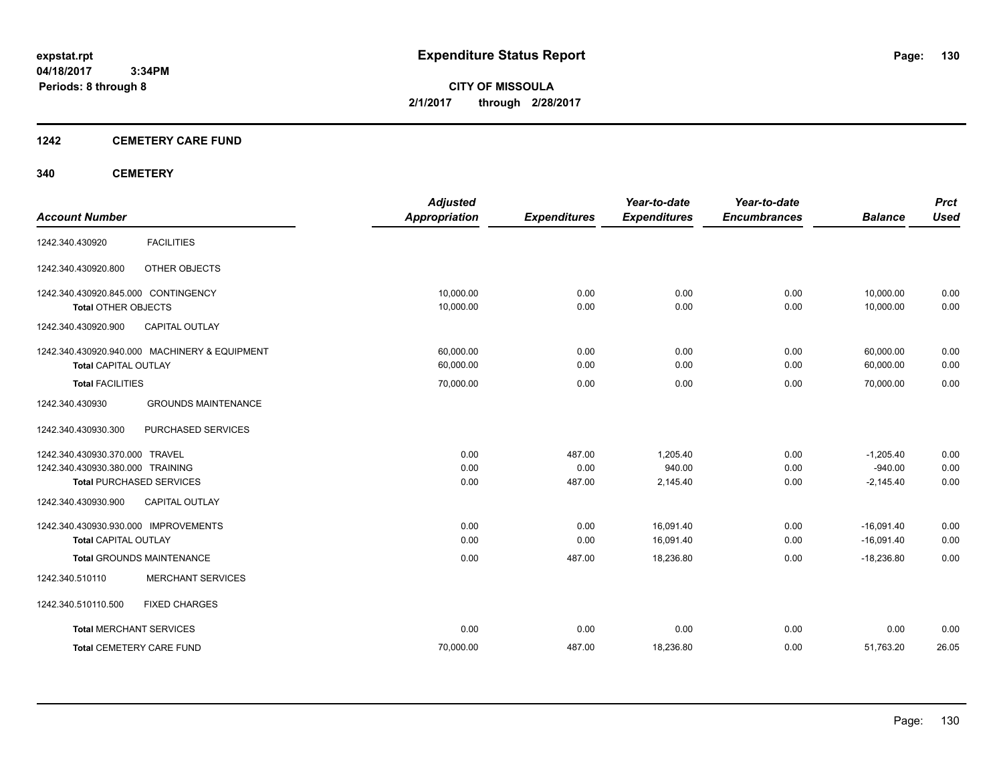**04/18/2017 3:34PM Periods: 8 through 8**

**CITY OF MISSOULA 2/1/2017 through 2/28/2017**

#### **1242 CEMETERY CARE FUND**

#### **340 CEMETERY**

| <b>Account Number</b>                         | <b>Adjusted</b><br><b>Appropriation</b> | <b>Expenditures</b> | Year-to-date<br><b>Expenditures</b> | Year-to-date<br><b>Encumbrances</b> | <b>Balance</b> | <b>Prct</b><br><b>Used</b> |
|-----------------------------------------------|-----------------------------------------|---------------------|-------------------------------------|-------------------------------------|----------------|----------------------------|
|                                               |                                         |                     |                                     |                                     |                |                            |
| <b>FACILITIES</b><br>1242.340.430920          |                                         |                     |                                     |                                     |                |                            |
| OTHER OBJECTS<br>1242.340.430920.800          |                                         |                     |                                     |                                     |                |                            |
| 1242.340.430920.845.000 CONTINGENCY           | 10,000.00                               | 0.00                | 0.00                                | 0.00                                | 10,000.00      | 0.00                       |
| <b>Total OTHER OBJECTS</b>                    | 10,000.00                               | 0.00                | 0.00                                | 0.00                                | 10,000.00      | 0.00                       |
| 1242.340.430920.900<br><b>CAPITAL OUTLAY</b>  |                                         |                     |                                     |                                     |                |                            |
| 1242.340.430920.940.000 MACHINERY & EQUIPMENT | 60,000.00                               | 0.00                | 0.00                                | 0.00                                | 60,000.00      | 0.00                       |
| <b>Total CAPITAL OUTLAY</b>                   | 60,000.00                               | 0.00                | 0.00                                | 0.00                                | 60,000.00      | 0.00                       |
| <b>Total FACILITIES</b>                       | 70,000.00                               | 0.00                | 0.00                                | 0.00                                | 70,000.00      | 0.00                       |
| 1242.340.430930<br><b>GROUNDS MAINTENANCE</b> |                                         |                     |                                     |                                     |                |                            |
| 1242.340.430930.300<br>PURCHASED SERVICES     |                                         |                     |                                     |                                     |                |                            |
| 1242.340.430930.370.000 TRAVEL                | 0.00                                    | 487.00              | 1,205.40                            | 0.00                                | $-1,205.40$    | 0.00                       |
| 1242.340.430930.380.000 TRAINING              | 0.00                                    | 0.00                | 940.00                              | 0.00                                | $-940.00$      | 0.00                       |
| <b>Total PURCHASED SERVICES</b>               | 0.00                                    | 487.00              | 2,145.40                            | 0.00                                | $-2,145.40$    | 0.00                       |
| 1242.340.430930.900<br><b>CAPITAL OUTLAY</b>  |                                         |                     |                                     |                                     |                |                            |
| 1242.340.430930.930.000 IMPROVEMENTS          | 0.00                                    | 0.00                | 16,091.40                           | 0.00                                | $-16,091.40$   | 0.00                       |
| <b>Total CAPITAL OUTLAY</b>                   | 0.00                                    | 0.00                | 16,091.40                           | 0.00                                | $-16,091.40$   | 0.00                       |
| <b>Total GROUNDS MAINTENANCE</b>              | 0.00                                    | 487.00              | 18,236.80                           | 0.00                                | $-18,236.80$   | 0.00                       |
| <b>MERCHANT SERVICES</b><br>1242.340.510110   |                                         |                     |                                     |                                     |                |                            |
| 1242.340.510110.500<br><b>FIXED CHARGES</b>   |                                         |                     |                                     |                                     |                |                            |
| <b>Total MERCHANT SERVICES</b>                | 0.00                                    | 0.00                | 0.00                                | 0.00                                | 0.00           | 0.00                       |
| <b>Total CEMETERY CARE FUND</b>               | 70,000.00                               | 487.00              | 18,236.80                           | 0.00                                | 51,763.20      | 26.05                      |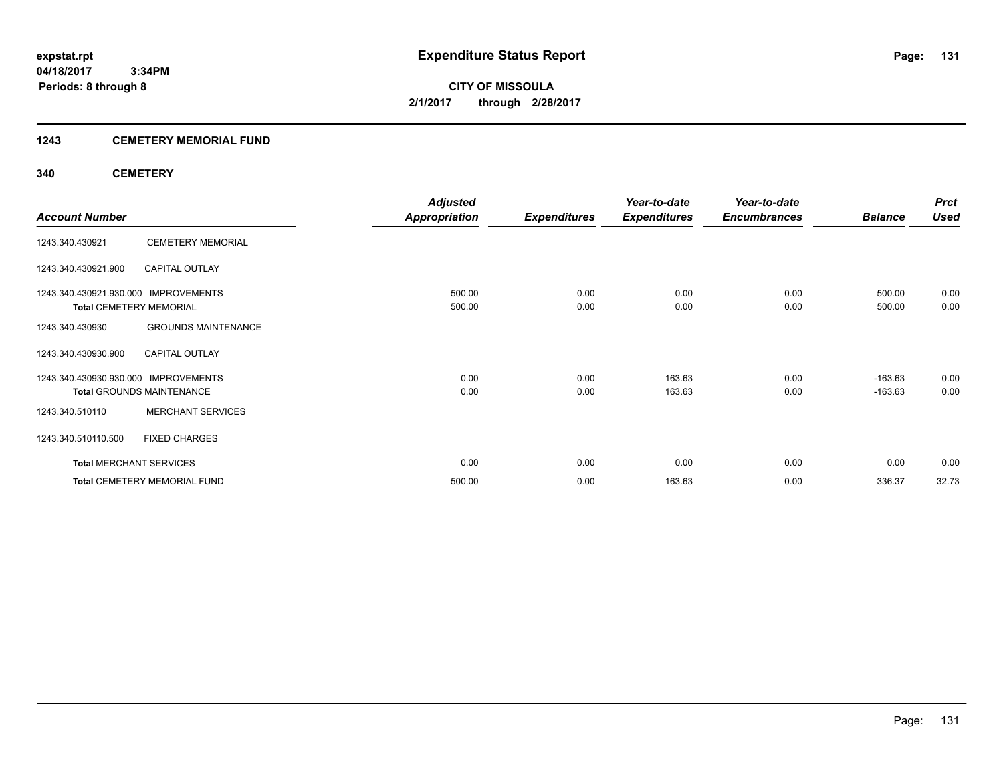#### **1243 CEMETERY MEMORIAL FUND**

#### **340 CEMETERY**

|                                      |                                     | <b>Adjusted</b>      |                     | Year-to-date        | Year-to-date        |                | <b>Prct</b> |
|--------------------------------------|-------------------------------------|----------------------|---------------------|---------------------|---------------------|----------------|-------------|
| <b>Account Number</b>                |                                     | <b>Appropriation</b> | <b>Expenditures</b> | <b>Expenditures</b> | <b>Encumbrances</b> | <b>Balance</b> | <b>Used</b> |
| 1243.340.430921                      | <b>CEMETERY MEMORIAL</b>            |                      |                     |                     |                     |                |             |
| 1243.340.430921.900                  | <b>CAPITAL OUTLAY</b>               |                      |                     |                     |                     |                |             |
| 1243.340.430921.930.000 IMPROVEMENTS |                                     | 500.00               | 0.00                | 0.00                | 0.00                | 500.00         | 0.00        |
| <b>Total CEMETERY MEMORIAL</b>       |                                     | 500.00               | 0.00                | 0.00                | 0.00                | 500.00         | 0.00        |
| 1243.340.430930                      | <b>GROUNDS MAINTENANCE</b>          |                      |                     |                     |                     |                |             |
| 1243.340.430930.900                  | <b>CAPITAL OUTLAY</b>               |                      |                     |                     |                     |                |             |
| 1243.340.430930.930.000              | <b>IMPROVEMENTS</b>                 | 0.00                 | 0.00                | 163.63              | 0.00                | $-163.63$      | 0.00        |
|                                      | <b>Total GROUNDS MAINTENANCE</b>    | 0.00                 | 0.00                | 163.63              | 0.00                | $-163.63$      | 0.00        |
| 1243.340.510110                      | <b>MERCHANT SERVICES</b>            |                      |                     |                     |                     |                |             |
| 1243.340.510110.500                  | <b>FIXED CHARGES</b>                |                      |                     |                     |                     |                |             |
| <b>Total MERCHANT SERVICES</b>       |                                     | 0.00                 | 0.00                | 0.00                | 0.00                | 0.00           | 0.00        |
|                                      | <b>Total CEMETERY MEMORIAL FUND</b> | 500.00               | 0.00                | 163.63              | 0.00                | 336.37         | 32.73       |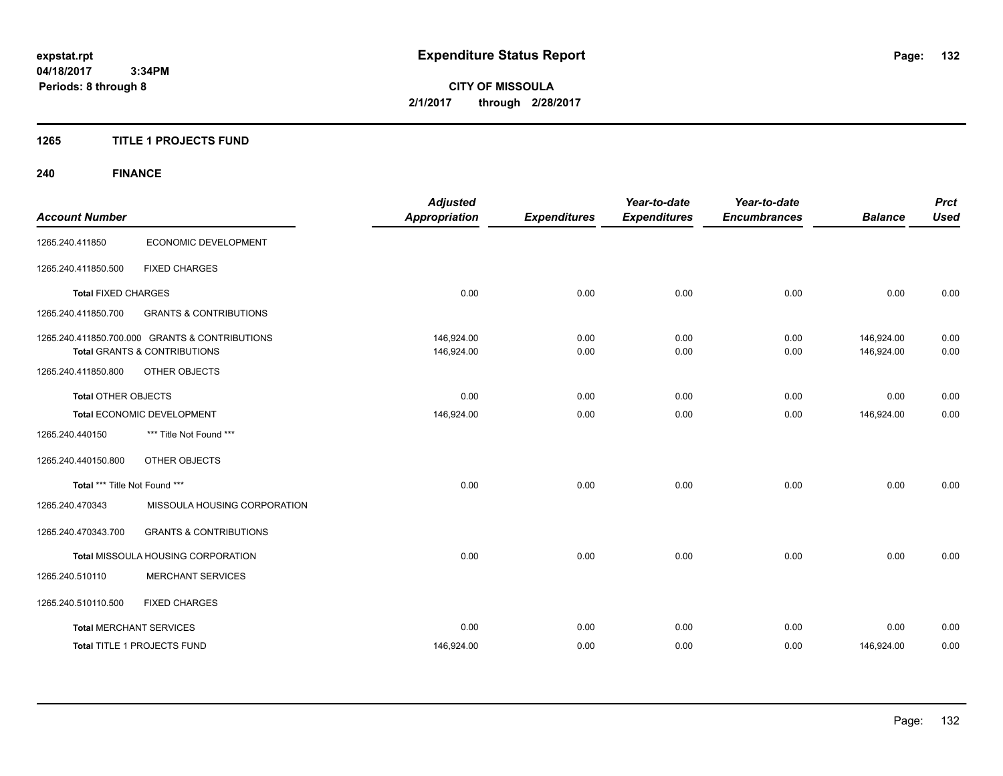**04/18/2017 3:34PM Periods: 8 through 8**

**CITY OF MISSOULA 2/1/2017 through 2/28/2017**

#### **1265 TITLE 1 PROJECTS FUND**

# **240 FINANCE**

| <b>Account Number</b>         |                                                                                           | <b>Adjusted</b><br><b>Appropriation</b> | <b>Expenditures</b> | Year-to-date<br><b>Expenditures</b> | Year-to-date<br><b>Encumbrances</b> | <b>Balance</b>           | <b>Prct</b><br><b>Used</b> |
|-------------------------------|-------------------------------------------------------------------------------------------|-----------------------------------------|---------------------|-------------------------------------|-------------------------------------|--------------------------|----------------------------|
| 1265.240.411850               | ECONOMIC DEVELOPMENT                                                                      |                                         |                     |                                     |                                     |                          |                            |
| 1265.240.411850.500           | <b>FIXED CHARGES</b>                                                                      |                                         |                     |                                     |                                     |                          |                            |
| <b>Total FIXED CHARGES</b>    |                                                                                           | 0.00                                    | 0.00                | 0.00                                | 0.00                                | 0.00                     | 0.00                       |
| 1265.240.411850.700           | <b>GRANTS &amp; CONTRIBUTIONS</b>                                                         |                                         |                     |                                     |                                     |                          |                            |
|                               | 1265.240.411850.700.000 GRANTS & CONTRIBUTIONS<br><b>Total GRANTS &amp; CONTRIBUTIONS</b> | 146.924.00<br>146,924.00                | 0.00<br>0.00        | 0.00<br>0.00                        | 0.00<br>0.00                        | 146.924.00<br>146,924.00 | 0.00<br>0.00               |
| 1265.240.411850.800           | OTHER OBJECTS                                                                             |                                         |                     |                                     |                                     |                          |                            |
| <b>Total OTHER OBJECTS</b>    |                                                                                           | 0.00                                    | 0.00                | 0.00                                | 0.00                                | 0.00                     | 0.00                       |
|                               | Total ECONOMIC DEVELOPMENT                                                                | 146,924.00                              | 0.00                | 0.00                                | 0.00                                | 146,924.00               | 0.00                       |
| 1265.240.440150               | *** Title Not Found ***                                                                   |                                         |                     |                                     |                                     |                          |                            |
| 1265.240.440150.800           | OTHER OBJECTS                                                                             |                                         |                     |                                     |                                     |                          |                            |
| Total *** Title Not Found *** |                                                                                           | 0.00                                    | 0.00                | 0.00                                | 0.00                                | 0.00                     | 0.00                       |
| 1265.240.470343               | MISSOULA HOUSING CORPORATION                                                              |                                         |                     |                                     |                                     |                          |                            |
| 1265.240.470343.700           | <b>GRANTS &amp; CONTRIBUTIONS</b>                                                         |                                         |                     |                                     |                                     |                          |                            |
|                               | Total MISSOULA HOUSING CORPORATION                                                        | 0.00                                    | 0.00                | 0.00                                | 0.00                                | 0.00                     | 0.00                       |
| 1265.240.510110               | <b>MERCHANT SERVICES</b>                                                                  |                                         |                     |                                     |                                     |                          |                            |
| 1265.240.510110.500           | <b>FIXED CHARGES</b>                                                                      |                                         |                     |                                     |                                     |                          |                            |
|                               | <b>Total MERCHANT SERVICES</b>                                                            | 0.00                                    | 0.00                | 0.00                                | 0.00                                | 0.00                     | 0.00                       |
|                               | <b>Total TITLE 1 PROJECTS FUND</b>                                                        | 146,924.00                              | 0.00                | 0.00                                | 0.00                                | 146.924.00               | 0.00                       |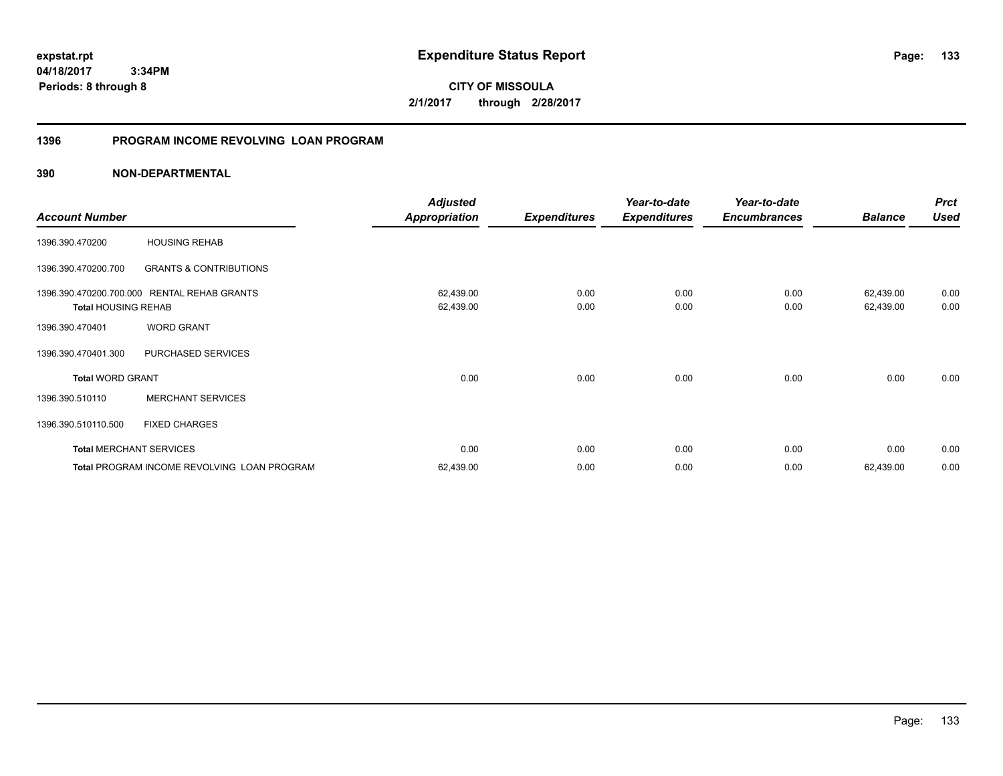### **1396 PROGRAM INCOME REVOLVING LOAN PROGRAM**

|                            |                                             | <b>Adjusted</b>      |                     | Year-to-date        | Year-to-date        |                | <b>Prct</b> |
|----------------------------|---------------------------------------------|----------------------|---------------------|---------------------|---------------------|----------------|-------------|
| <b>Account Number</b>      |                                             | <b>Appropriation</b> | <b>Expenditures</b> | <b>Expenditures</b> | <b>Encumbrances</b> | <b>Balance</b> | <b>Used</b> |
| 1396.390.470200            | <b>HOUSING REHAB</b>                        |                      |                     |                     |                     |                |             |
| 1396.390.470200.700        | <b>GRANTS &amp; CONTRIBUTIONS</b>           |                      |                     |                     |                     |                |             |
| 1396.390.470200.700.000    | <b>RENTAL REHAB GRANTS</b>                  | 62,439.00            | 0.00                | 0.00                | 0.00                | 62,439.00      | 0.00        |
| <b>Total HOUSING REHAB</b> |                                             | 62,439.00            | 0.00                | 0.00                | 0.00                | 62,439.00      | 0.00        |
| 1396.390.470401            | <b>WORD GRANT</b>                           |                      |                     |                     |                     |                |             |
| 1396.390.470401.300        | PURCHASED SERVICES                          |                      |                     |                     |                     |                |             |
| <b>Total WORD GRANT</b>    |                                             | 0.00                 | 0.00                | 0.00                | 0.00                | 0.00           | 0.00        |
| 1396.390.510110            | <b>MERCHANT SERVICES</b>                    |                      |                     |                     |                     |                |             |
| 1396.390.510110.500        | <b>FIXED CHARGES</b>                        |                      |                     |                     |                     |                |             |
|                            | <b>Total MERCHANT SERVICES</b>              | 0.00                 | 0.00                | 0.00                | 0.00                | 0.00           | 0.00        |
|                            | Total PROGRAM INCOME REVOLVING LOAN PROGRAM | 62,439.00            | 0.00                | 0.00                | 0.00                | 62,439.00      | 0.00        |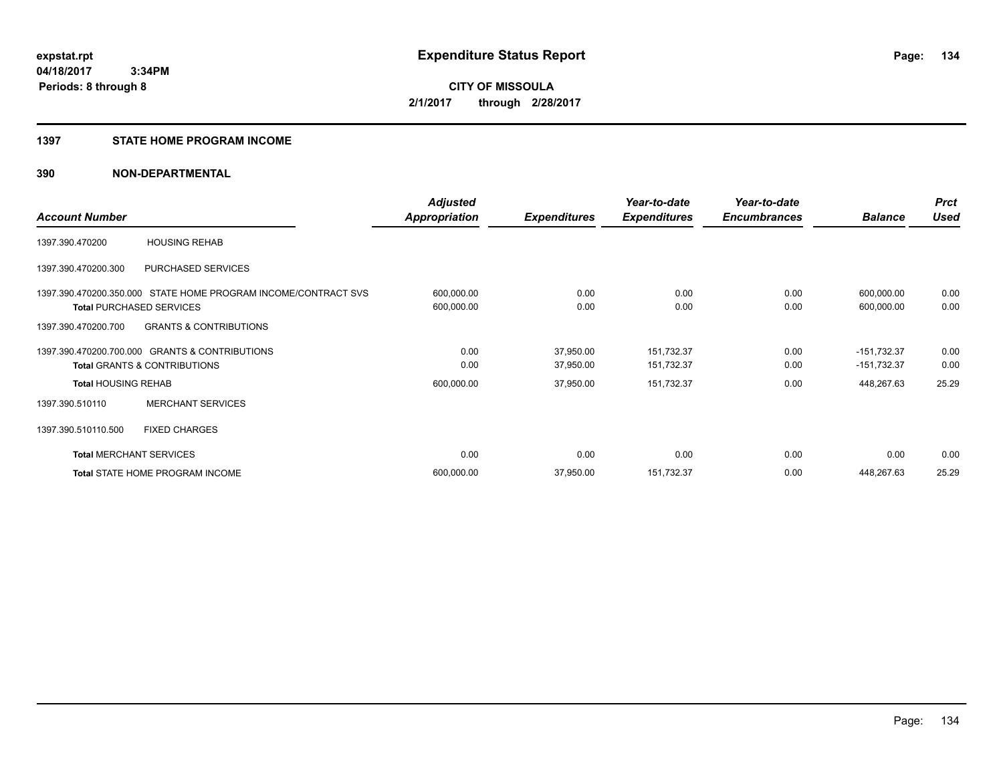#### **1397 STATE HOME PROGRAM INCOME**

|                                |                                                                | <b>Adjusted</b>      |                     | Year-to-date        | Year-to-date        |                | <b>Prct</b> |
|--------------------------------|----------------------------------------------------------------|----------------------|---------------------|---------------------|---------------------|----------------|-------------|
| <b>Account Number</b>          |                                                                | <b>Appropriation</b> | <b>Expenditures</b> | <b>Expenditures</b> | <b>Encumbrances</b> | <b>Balance</b> | <b>Used</b> |
| 1397.390.470200                | <b>HOUSING REHAB</b>                                           |                      |                     |                     |                     |                |             |
| 1397.390.470200.300            | PURCHASED SERVICES                                             |                      |                     |                     |                     |                |             |
|                                | 1397.390.470200.350.000 STATE HOME PROGRAM INCOME/CONTRACT SVS | 600,000.00           | 0.00                | 0.00                | 0.00                | 600,000.00     | 0.00        |
|                                | <b>Total PURCHASED SERVICES</b>                                | 600,000.00           | 0.00                | 0.00                | 0.00                | 600,000.00     | 0.00        |
| 1397.390.470200.700            | <b>GRANTS &amp; CONTRIBUTIONS</b>                              |                      |                     |                     |                     |                |             |
|                                | 1397.390.470200.700.000 GRANTS & CONTRIBUTIONS                 | 0.00                 | 37,950.00           | 151,732.37          | 0.00                | $-151,732.37$  | 0.00        |
|                                | <b>Total GRANTS &amp; CONTRIBUTIONS</b>                        | 0.00                 | 37,950.00           | 151,732.37          | 0.00                | $-151,732.37$  | 0.00        |
| <b>Total HOUSING REHAB</b>     |                                                                | 600,000.00           | 37,950.00           | 151,732.37          | 0.00                | 448,267.63     | 25.29       |
| 1397.390.510110                | <b>MERCHANT SERVICES</b>                                       |                      |                     |                     |                     |                |             |
| 1397.390.510110.500            | <b>FIXED CHARGES</b>                                           |                      |                     |                     |                     |                |             |
| <b>Total MERCHANT SERVICES</b> |                                                                | 0.00                 | 0.00                | 0.00                | 0.00                | 0.00           | 0.00        |
|                                | <b>Total STATE HOME PROGRAM INCOME</b>                         | 600,000.00           | 37,950.00           | 151,732.37          | 0.00                | 448,267.63     | 25.29       |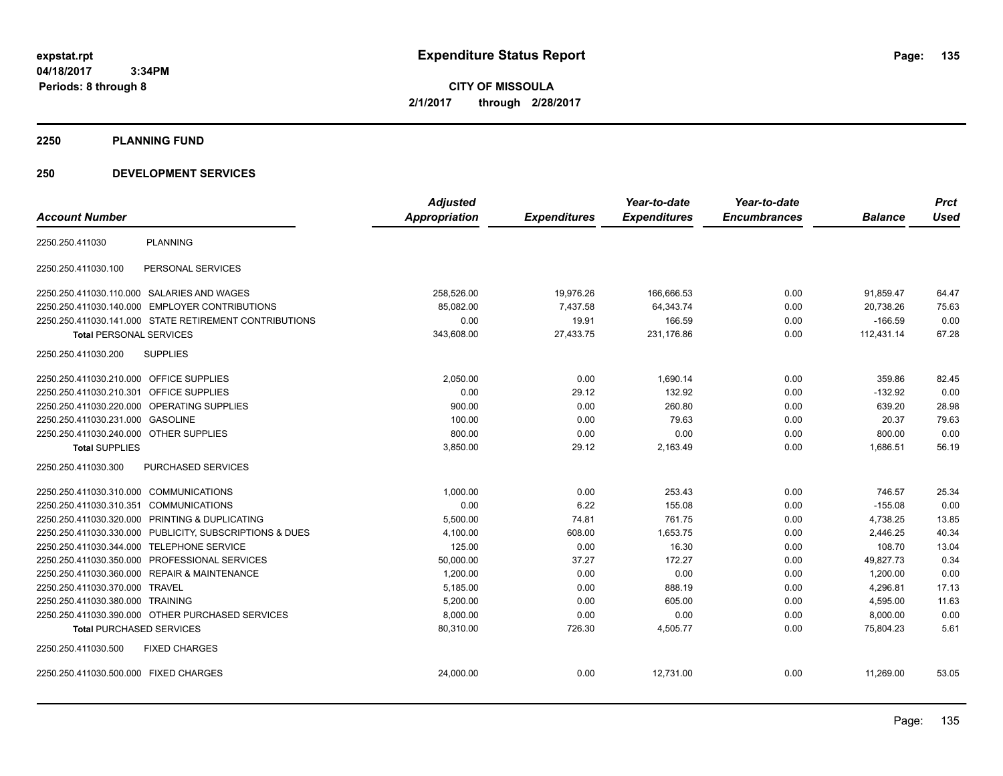**04/18/2017 3:34PM Periods: 8 through 8**

**CITY OF MISSOULA 2/1/2017 through 2/28/2017**

#### **2250 PLANNING FUND**

#### **250 DEVELOPMENT SERVICES**

|                                                            | <b>Adjusted</b> |                     | Year-to-date        | Year-to-date        |                | <b>Prct</b> |
|------------------------------------------------------------|-----------------|---------------------|---------------------|---------------------|----------------|-------------|
| <b>Account Number</b>                                      | Appropriation   | <b>Expenditures</b> | <b>Expenditures</b> | <b>Encumbrances</b> | <b>Balance</b> | <b>Used</b> |
| <b>PLANNING</b><br>2250.250.411030                         |                 |                     |                     |                     |                |             |
| PERSONAL SERVICES<br>2250.250.411030.100                   |                 |                     |                     |                     |                |             |
| 2250.250.411030.110.000 SALARIES AND WAGES                 | 258,526.00      | 19,976.26           | 166,666.53          | 0.00                | 91.859.47      | 64.47       |
| 2250.250.411030.140.000 EMPLOYER CONTRIBUTIONS             | 85,082.00       | 7,437.58            | 64,343.74           | 0.00                | 20,738.26      | 75.63       |
| 2250.250.411030.141.000 STATE RETIREMENT CONTRIBUTIONS     | 0.00            | 19.91               | 166.59              | 0.00                | $-166.59$      | 0.00        |
| <b>Total PERSONAL SERVICES</b>                             | 343,608.00      | 27,433.75           | 231,176.86          | 0.00                | 112,431.14     | 67.28       |
| <b>SUPPLIES</b><br>2250.250.411030.200                     |                 |                     |                     |                     |                |             |
| 2250.250.411030.210.000 OFFICE SUPPLIES                    | 2,050.00        | 0.00                | 1,690.14            | 0.00                | 359.86         | 82.45       |
| 2250.250.411030.210.301 OFFICE SUPPLIES                    | 0.00            | 29.12               | 132.92              | 0.00                | $-132.92$      | 0.00        |
| OPERATING SUPPLIES<br>2250.250.411030.220.000              | 900.00          | 0.00                | 260.80              | 0.00                | 639.20         | 28.98       |
| 2250.250.411030.231.000<br><b>GASOLINE</b>                 | 100.00          | 0.00                | 79.63               | 0.00                | 20.37          | 79.63       |
| 2250.250.411030.240.000 OTHER SUPPLIES                     | 800.00          | 0.00                | 0.00                | 0.00                | 800.00         | 0.00        |
| <b>Total SUPPLIES</b>                                      | 3,850.00        | 29.12               | 2,163.49            | 0.00                | 1,686.51       | 56.19       |
| PURCHASED SERVICES<br>2250.250.411030.300                  |                 |                     |                     |                     |                |             |
| 2250.250.411030.310.000 COMMUNICATIONS                     | 1,000.00        | 0.00                | 253.43              | 0.00                | 746.57         | 25.34       |
| 2250.250.411030.310.351 COMMUNICATIONS                     | 0.00            | 6.22                | 155.08              | 0.00                | $-155.08$      | 0.00        |
| 2250.250.411030.320.000 PRINTING & DUPLICATING             | 5,500.00        | 74.81               | 761.75              | 0.00                | 4,738.25       | 13.85       |
| 2250.250.411030.330.000 PUBLICITY, SUBSCRIPTIONS & DUES    | 4,100.00        | 608.00              | 1,653.75            | 0.00                | 2,446.25       | 40.34       |
| 2250.250.411030.344.000 TELEPHONE SERVICE                  | 125.00          | 0.00                | 16.30               | 0.00                | 108.70         | 13.04       |
| 2250.250.411030.350.000 PROFESSIONAL SERVICES              | 50,000.00       | 37.27               | 172.27              | 0.00                | 49,827.73      | 0.34        |
| 2250.250.411030.360.000<br><b>REPAIR &amp; MAINTENANCE</b> | 1,200.00        | 0.00                | 0.00                | 0.00                | 1,200.00       | 0.00        |
| 2250.250.411030.370.000 TRAVEL                             | 5,185.00        | 0.00                | 888.19              | 0.00                | 4,296.81       | 17.13       |
| 2250.250.411030.380.000 TRAINING                           | 5,200.00        | 0.00                | 605.00              | 0.00                | 4,595.00       | 11.63       |
| 2250.250.411030.390.000 OTHER PURCHASED SERVICES           | 8,000.00        | 0.00                | 0.00                | 0.00                | 8,000.00       | 0.00        |
| <b>Total PURCHASED SERVICES</b>                            | 80,310.00       | 726.30              | 4,505.77            | 0.00                | 75,804.23      | 5.61        |
| 2250.250.411030.500<br><b>FIXED CHARGES</b>                |                 |                     |                     |                     |                |             |
| 2250.250.411030.500.000 FIXED CHARGES                      | 24,000.00       | 0.00                | 12,731.00           | 0.00                | 11,269.00      | 53.05       |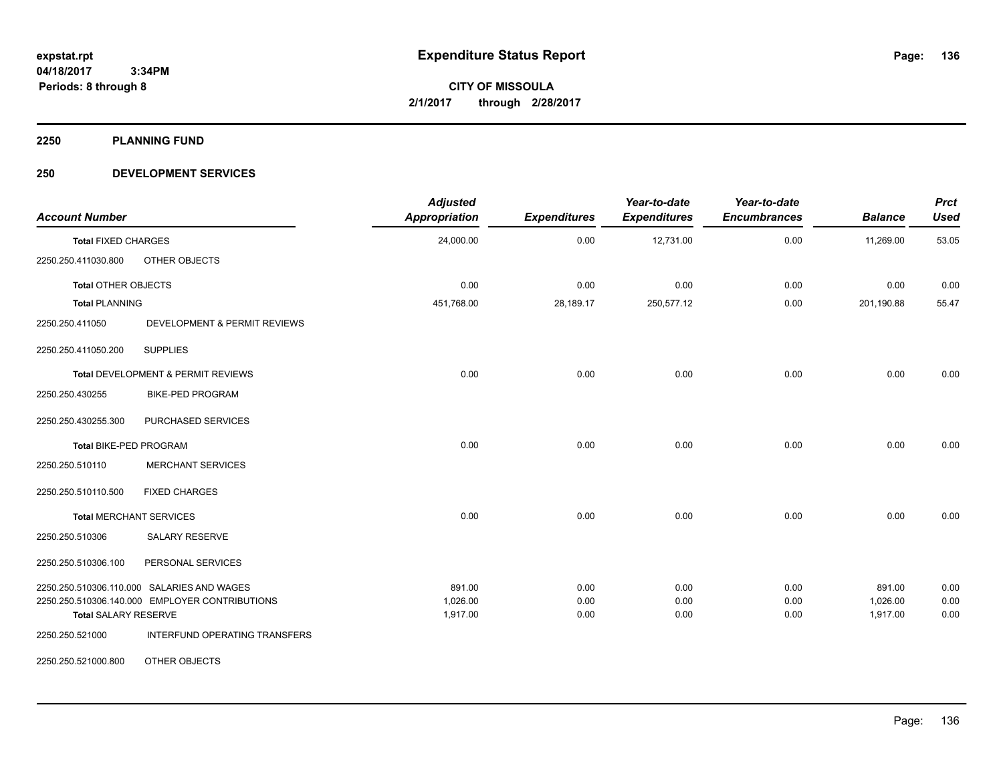**2250 PLANNING FUND**

#### **250 DEVELOPMENT SERVICES**

| <b>Account Number</b>         |                                                | <b>Adjusted</b><br><b>Appropriation</b> | <b>Expenditures</b> | Year-to-date<br><b>Expenditures</b> | Year-to-date<br><b>Encumbrances</b> | <b>Balance</b> | <b>Prct</b><br><b>Used</b> |
|-------------------------------|------------------------------------------------|-----------------------------------------|---------------------|-------------------------------------|-------------------------------------|----------------|----------------------------|
| <b>Total FIXED CHARGES</b>    |                                                | 24,000.00                               | 0.00                | 12,731.00                           | 0.00                                | 11,269.00      | 53.05                      |
| 2250.250.411030.800           | OTHER OBJECTS                                  |                                         |                     |                                     |                                     |                |                            |
| <b>Total OTHER OBJECTS</b>    |                                                | 0.00                                    | 0.00                | 0.00                                | 0.00                                | 0.00           | 0.00                       |
| <b>Total PLANNING</b>         |                                                | 451,768.00                              | 28,189.17           | 250,577.12                          | 0.00                                | 201,190.88     | 55.47                      |
| 2250.250.411050               | DEVELOPMENT & PERMIT REVIEWS                   |                                         |                     |                                     |                                     |                |                            |
| 2250.250.411050.200           | <b>SUPPLIES</b>                                |                                         |                     |                                     |                                     |                |                            |
|                               | Total DEVELOPMENT & PERMIT REVIEWS             | 0.00                                    | 0.00                | 0.00                                | 0.00                                | 0.00           | 0.00                       |
| 2250.250.430255               | <b>BIKE-PED PROGRAM</b>                        |                                         |                     |                                     |                                     |                |                            |
| 2250.250.430255.300           | PURCHASED SERVICES                             |                                         |                     |                                     |                                     |                |                            |
| <b>Total BIKE-PED PROGRAM</b> |                                                | 0.00                                    | 0.00                | 0.00                                | 0.00                                | 0.00           | 0.00                       |
| 2250.250.510110               | <b>MERCHANT SERVICES</b>                       |                                         |                     |                                     |                                     |                |                            |
| 2250.250.510110.500           | <b>FIXED CHARGES</b>                           |                                         |                     |                                     |                                     |                |                            |
|                               | <b>Total MERCHANT SERVICES</b>                 | 0.00                                    | 0.00                | 0.00                                | 0.00                                | 0.00           | 0.00                       |
| 2250.250.510306               | <b>SALARY RESERVE</b>                          |                                         |                     |                                     |                                     |                |                            |
| 2250.250.510306.100           | PERSONAL SERVICES                              |                                         |                     |                                     |                                     |                |                            |
|                               | 2250.250.510306.110.000 SALARIES AND WAGES     | 891.00                                  | 0.00                | 0.00                                | 0.00                                | 891.00         | 0.00                       |
|                               | 2250.250.510306.140.000 EMPLOYER CONTRIBUTIONS | 1,026.00                                | 0.00                | 0.00                                | 0.00                                | 1,026.00       | 0.00                       |
| <b>Total SALARY RESERVE</b>   |                                                | 1,917.00                                | 0.00                | 0.00                                | 0.00                                | 1,917.00       | 0.00                       |
| 2250.250.521000               | INTERFUND OPERATING TRANSFERS                  |                                         |                     |                                     |                                     |                |                            |
| 2250.250.521000.800           | OTHER OBJECTS                                  |                                         |                     |                                     |                                     |                |                            |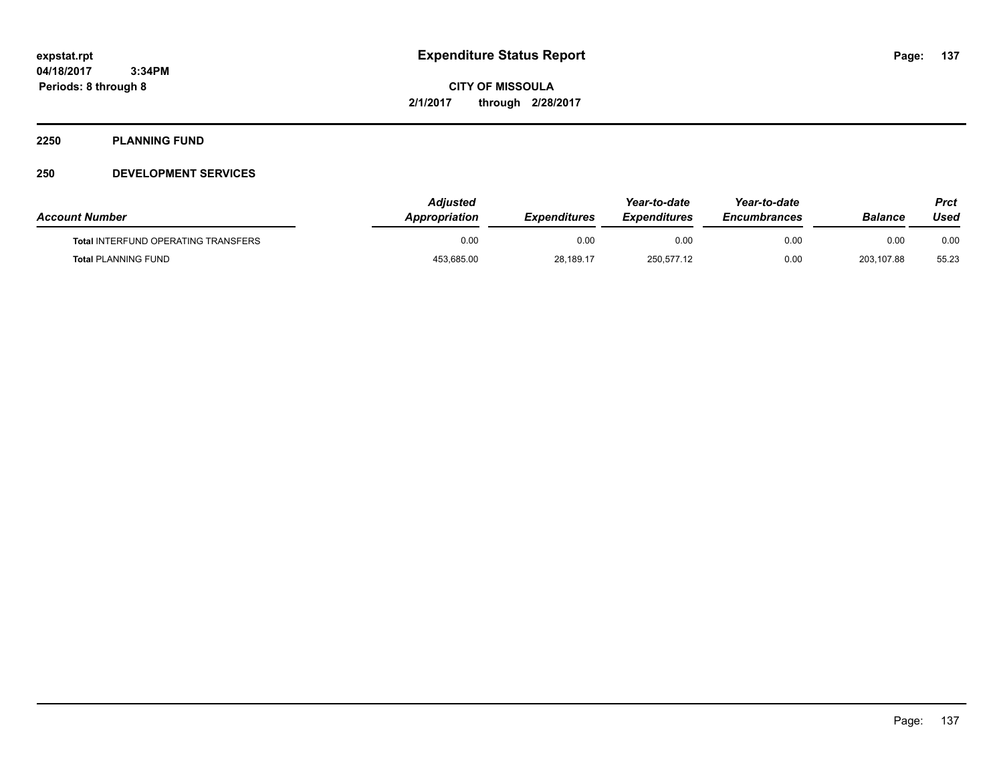#### **2250 PLANNING FUND**

#### **250 DEVELOPMENT SERVICES**

| <b>Account Number</b>                      | Adiusted<br><b>Appropriation</b> | <b>Expenditures</b> | Year-to-date<br><b>Expenditures</b> | Year-to-date<br><b>Encumbrances</b> | Balance    | Prct<br>Used |
|--------------------------------------------|----------------------------------|---------------------|-------------------------------------|-------------------------------------|------------|--------------|
| <b>Total INTERFUND OPERATING TRANSFERS</b> | 0.00                             | 0.00                | 0.00                                | 0.00                                | 0.00       | 0.00         |
| <b>Total PLANNING FUND</b>                 | 453,685.00                       | 28,189.17           | 250,577.12                          | 0.00                                | 203.107.88 | 55.23        |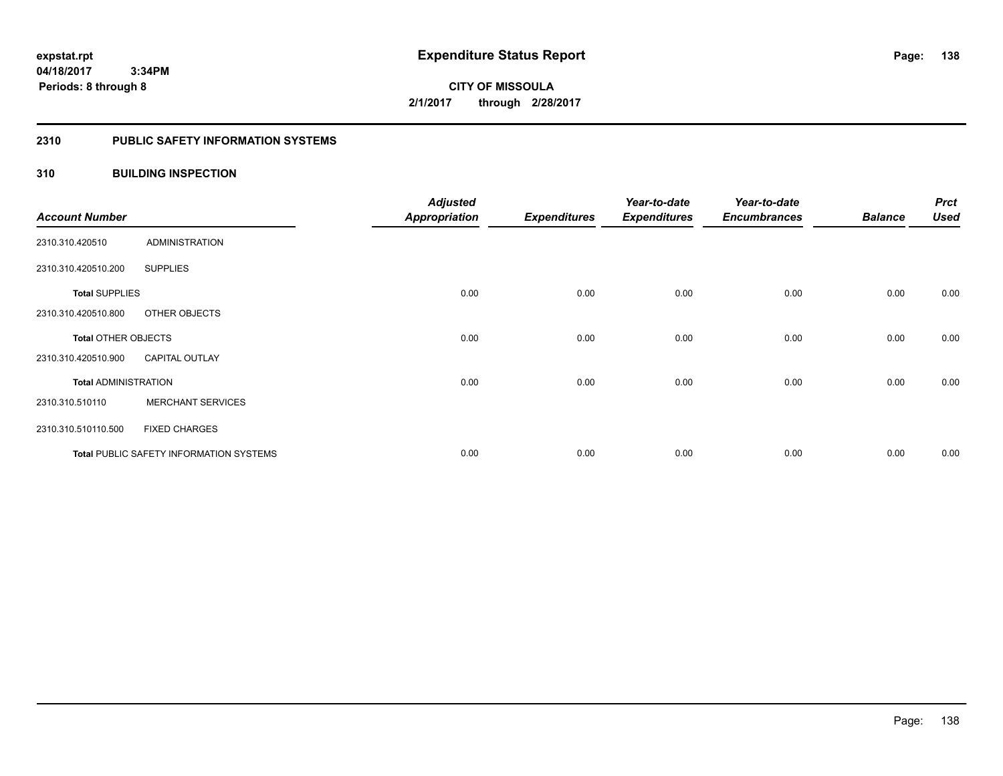**Periods: 8 through 8**

**CITY OF MISSOULA 2/1/2017 through 2/28/2017**

#### **2310 PUBLIC SAFETY INFORMATION SYSTEMS**

#### **310 BUILDING INSPECTION**

 **3:34PM**

| <b>Account Number</b>       |                                                | <b>Adjusted</b><br><b>Appropriation</b> | <b>Expenditures</b> | Year-to-date<br><b>Expenditures</b> | Year-to-date<br><b>Encumbrances</b> | <b>Balance</b> | <b>Prct</b><br><b>Used</b> |
|-----------------------------|------------------------------------------------|-----------------------------------------|---------------------|-------------------------------------|-------------------------------------|----------------|----------------------------|
| 2310.310.420510             | <b>ADMINISTRATION</b>                          |                                         |                     |                                     |                                     |                |                            |
| 2310.310.420510.200         | <b>SUPPLIES</b>                                |                                         |                     |                                     |                                     |                |                            |
| <b>Total SUPPLIES</b>       |                                                | 0.00                                    | 0.00                | 0.00                                | 0.00                                | 0.00           | 0.00                       |
| 2310.310.420510.800         | OTHER OBJECTS                                  |                                         |                     |                                     |                                     |                |                            |
| <b>Total OTHER OBJECTS</b>  |                                                | 0.00                                    | 0.00                | 0.00                                | 0.00                                | 0.00           | 0.00                       |
| 2310.310.420510.900         | <b>CAPITAL OUTLAY</b>                          |                                         |                     |                                     |                                     |                |                            |
| <b>Total ADMINISTRATION</b> |                                                | 0.00                                    | 0.00                | 0.00                                | 0.00                                | 0.00           | 0.00                       |
| 2310.310.510110             | <b>MERCHANT SERVICES</b>                       |                                         |                     |                                     |                                     |                |                            |
| 2310.310.510110.500         | <b>FIXED CHARGES</b>                           |                                         |                     |                                     |                                     |                |                            |
|                             | <b>Total PUBLIC SAFETY INFORMATION SYSTEMS</b> | 0.00                                    | 0.00                | 0.00                                | 0.00                                | 0.00           | 0.00                       |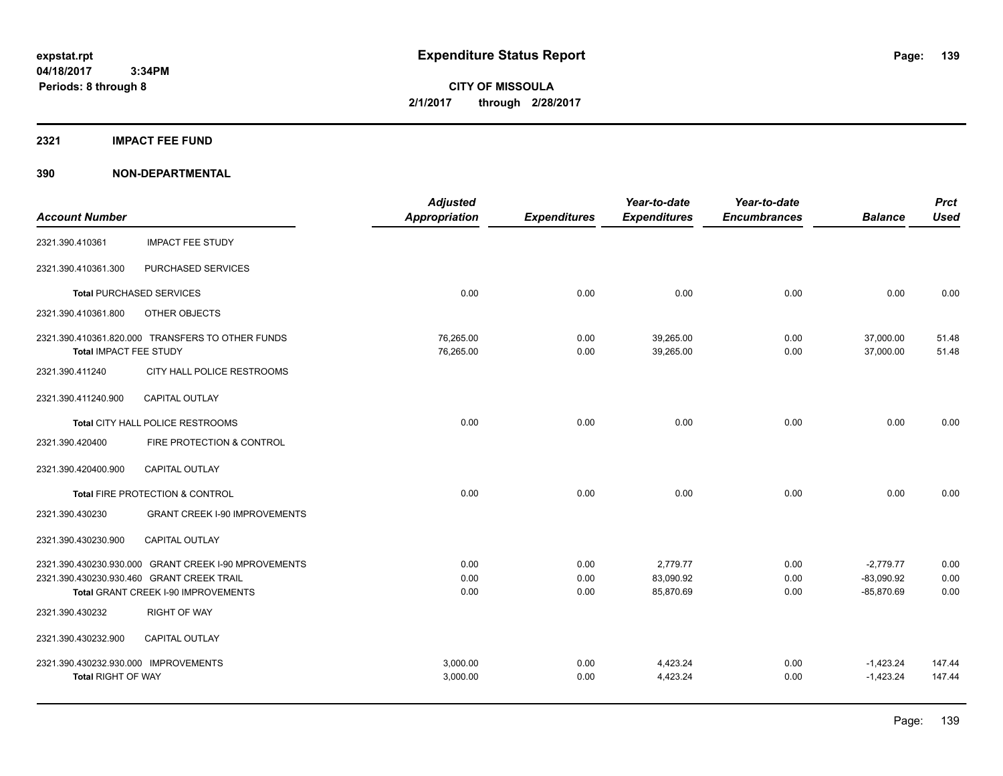**04/18/2017 3:34PM Periods: 8 through 8**

**CITY OF MISSOULA 2/1/2017 through 2/28/2017**

#### **2321 IMPACT FEE FUND**

|                                      |                                                      | <b>Adjusted</b>        |                     | Year-to-date           | Year-to-date        |                        | <b>Prct</b>    |
|--------------------------------------|------------------------------------------------------|------------------------|---------------------|------------------------|---------------------|------------------------|----------------|
| <b>Account Number</b>                |                                                      | <b>Appropriation</b>   | <b>Expenditures</b> | <b>Expenditures</b>    | <b>Encumbrances</b> | <b>Balance</b>         | <b>Used</b>    |
| 2321.390.410361                      | <b>IMPACT FEE STUDY</b>                              |                        |                     |                        |                     |                        |                |
| 2321.390.410361.300                  | PURCHASED SERVICES                                   |                        |                     |                        |                     |                        |                |
|                                      | <b>Total PURCHASED SERVICES</b>                      | 0.00                   | 0.00                | 0.00                   | 0.00                | 0.00                   | 0.00           |
| 2321.390.410361.800                  | OTHER OBJECTS                                        |                        |                     |                        |                     |                        |                |
| Total IMPACT FEE STUDY               | 2321.390.410361.820.000 TRANSFERS TO OTHER FUNDS     | 76,265.00<br>76,265.00 | 0.00<br>0.00        | 39,265.00<br>39,265.00 | 0.00<br>0.00        | 37,000.00<br>37,000.00 | 51.48<br>51.48 |
| 2321.390.411240                      | CITY HALL POLICE RESTROOMS                           |                        |                     |                        |                     |                        |                |
| 2321.390.411240.900                  | CAPITAL OUTLAY                                       |                        |                     |                        |                     |                        |                |
|                                      | Total CITY HALL POLICE RESTROOMS                     | 0.00                   | 0.00                | 0.00                   | 0.00                | 0.00                   | 0.00           |
| 2321.390.420400                      | FIRE PROTECTION & CONTROL                            |                        |                     |                        |                     |                        |                |
| 2321.390.420400.900                  | <b>CAPITAL OUTLAY</b>                                |                        |                     |                        |                     |                        |                |
|                                      | Total FIRE PROTECTION & CONTROL                      | 0.00                   | 0.00                | 0.00                   | 0.00                | 0.00                   | 0.00           |
| 2321.390.430230                      | <b>GRANT CREEK I-90 IMPROVEMENTS</b>                 |                        |                     |                        |                     |                        |                |
| 2321.390.430230.900                  | <b>CAPITAL OUTLAY</b>                                |                        |                     |                        |                     |                        |                |
|                                      | 2321.390.430230.930.000 GRANT CREEK I-90 MPROVEMENTS | 0.00                   | 0.00                | 2,779.77               | 0.00                | $-2,779.77$            | 0.00           |
|                                      | 2321.390.430230.930.460 GRANT CREEK TRAIL            | 0.00                   | 0.00                | 83,090.92              | 0.00                | $-83,090.92$           | 0.00           |
|                                      | Total GRANT CREEK I-90 IMPROVEMENTS                  | 0.00                   | 0.00                | 85,870.69              | 0.00                | $-85,870.69$           | 0.00           |
| 2321.390.430232                      | <b>RIGHT OF WAY</b>                                  |                        |                     |                        |                     |                        |                |
| 2321.390.430232.900                  | CAPITAL OUTLAY                                       |                        |                     |                        |                     |                        |                |
| 2321.390.430232.930.000 IMPROVEMENTS |                                                      | 3,000.00               | 0.00                | 4,423.24               | 0.00                | $-1,423.24$            | 147.44         |
| <b>Total RIGHT OF WAY</b>            |                                                      | 3,000.00               | 0.00                | 4,423.24               | 0.00                | $-1,423.24$            | 147.44         |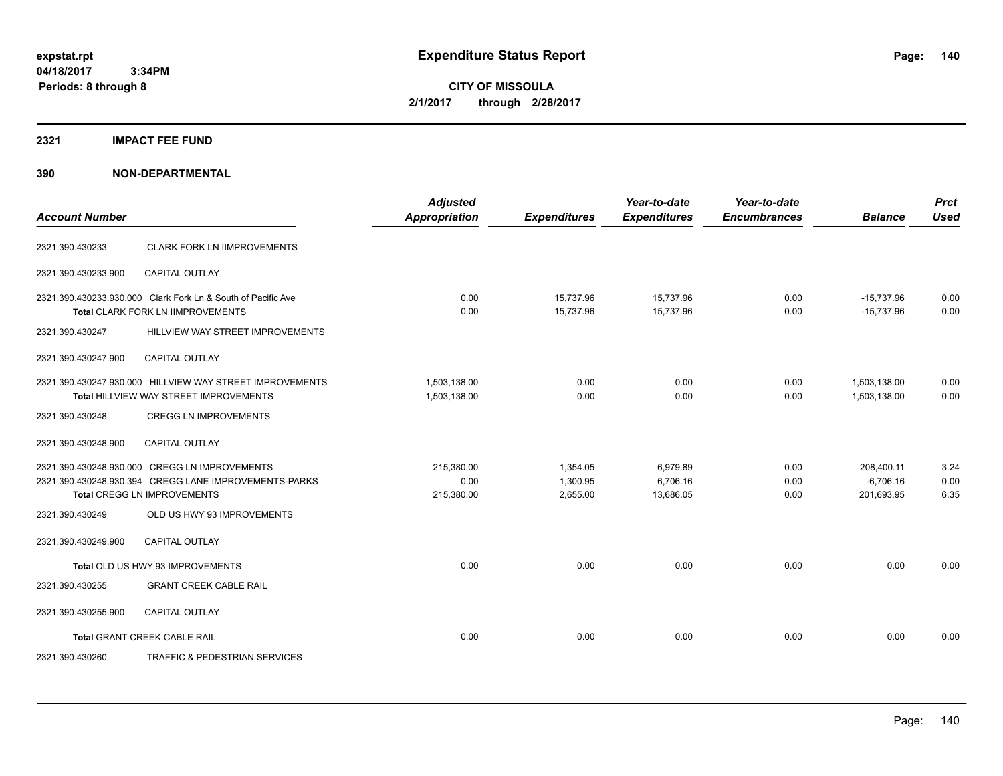**04/18/2017 3:34PM Periods: 8 through 8**

**CITY OF MISSOULA 2/1/2017 through 2/28/2017**

#### **2321 IMPACT FEE FUND**

| <b>Account Number</b> |                                                                                                                                              | <b>Adjusted</b><br><b>Appropriation</b> | <b>Expenditures</b>              | Year-to-date<br><b>Expenditures</b> | Year-to-date<br><b>Encumbrances</b> | <b>Balance</b>                          | <b>Prct</b><br><b>Used</b> |
|-----------------------|----------------------------------------------------------------------------------------------------------------------------------------------|-----------------------------------------|----------------------------------|-------------------------------------|-------------------------------------|-----------------------------------------|----------------------------|
| 2321.390.430233       | <b>CLARK FORK LN IIMPROVEMENTS</b>                                                                                                           |                                         |                                  |                                     |                                     |                                         |                            |
| 2321.390.430233.900   | <b>CAPITAL OUTLAY</b>                                                                                                                        |                                         |                                  |                                     |                                     |                                         |                            |
|                       | 2321.390.430233.930.000 Clark Fork Ln & South of Pacific Ave<br>Total CLARK FORK LN IIMPROVEMENTS                                            | 0.00<br>0.00                            | 15,737.96<br>15,737.96           | 15,737.96<br>15,737.96              | 0.00<br>0.00                        | $-15,737.96$<br>$-15,737.96$            | 0.00<br>0.00               |
| 2321.390.430247       | HILLVIEW WAY STREET IMPROVEMENTS                                                                                                             |                                         |                                  |                                     |                                     |                                         |                            |
| 2321.390.430247.900   | CAPITAL OUTLAY                                                                                                                               |                                         |                                  |                                     |                                     |                                         |                            |
|                       | 2321.390.430247.930.000 HILLVIEW WAY STREET IMPROVEMENTS<br>Total HILLVIEW WAY STREET IMPROVEMENTS                                           | 1,503,138.00<br>1,503,138.00            | 0.00<br>0.00                     | 0.00<br>0.00                        | 0.00<br>0.00                        | 1,503,138.00<br>1,503,138.00            | 0.00<br>0.00               |
| 2321.390.430248       | <b>CREGG LN IMPROVEMENTS</b>                                                                                                                 |                                         |                                  |                                     |                                     |                                         |                            |
| 2321.390.430248.900   | <b>CAPITAL OUTLAY</b>                                                                                                                        |                                         |                                  |                                     |                                     |                                         |                            |
|                       | 2321.390.430248.930.000 CREGG LN IMPROVEMENTS<br>2321.390.430248.930.394 CREGG LANE IMPROVEMENTS-PARKS<br><b>Total CREGG LN IMPROVEMENTS</b> | 215,380.00<br>0.00<br>215,380.00        | 1,354.05<br>1,300.95<br>2,655.00 | 6,979.89<br>6,706.16<br>13,686.05   | 0.00<br>0.00<br>0.00                | 208,400.11<br>$-6,706.16$<br>201,693.95 | 3.24<br>0.00<br>6.35       |
| 2321.390.430249       | OLD US HWY 93 IMPROVEMENTS                                                                                                                   |                                         |                                  |                                     |                                     |                                         |                            |
| 2321.390.430249.900   | <b>CAPITAL OUTLAY</b>                                                                                                                        |                                         |                                  |                                     |                                     |                                         |                            |
|                       | Total OLD US HWY 93 IMPROVEMENTS                                                                                                             | 0.00                                    | 0.00                             | 0.00                                | 0.00                                | 0.00                                    | 0.00                       |
| 2321.390.430255       | <b>GRANT CREEK CABLE RAIL</b>                                                                                                                |                                         |                                  |                                     |                                     |                                         |                            |
| 2321.390.430255.900   | <b>CAPITAL OUTLAY</b>                                                                                                                        |                                         |                                  |                                     |                                     |                                         |                            |
|                       | <b>Total GRANT CREEK CABLE RAIL</b>                                                                                                          | 0.00                                    | 0.00                             | 0.00                                | 0.00                                | 0.00                                    | 0.00                       |
| 2321.390.430260       | TRAFFIC & PEDESTRIAN SERVICES                                                                                                                |                                         |                                  |                                     |                                     |                                         |                            |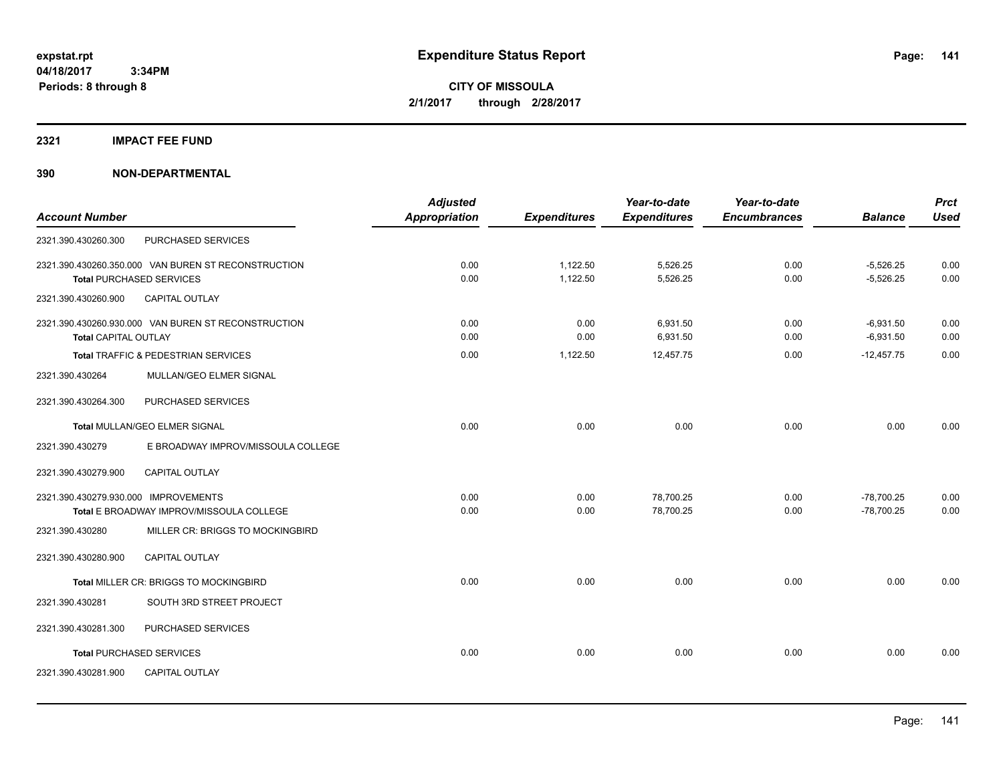#### **2321 IMPACT FEE FUND**

| <b>Account Number</b>                |                                                     | <b>Adjusted</b><br>Appropriation | <b>Expenditures</b> | Year-to-date<br><b>Expenditures</b> | Year-to-date<br><b>Encumbrances</b> | <b>Balance</b> | <b>Prct</b><br><b>Used</b> |
|--------------------------------------|-----------------------------------------------------|----------------------------------|---------------------|-------------------------------------|-------------------------------------|----------------|----------------------------|
|                                      |                                                     |                                  |                     |                                     |                                     |                |                            |
| 2321.390.430260.300                  | PURCHASED SERVICES                                  |                                  |                     |                                     |                                     |                |                            |
|                                      | 2321.390.430260.350.000 VAN BUREN ST RECONSTRUCTION | 0.00                             | 1,122.50            | 5,526.25                            | 0.00                                | $-5,526.25$    | 0.00                       |
|                                      | <b>Total PURCHASED SERVICES</b>                     | 0.00                             | 1,122.50            | 5,526.25                            | 0.00                                | $-5,526.25$    | 0.00                       |
| 2321.390.430260.900                  | <b>CAPITAL OUTLAY</b>                               |                                  |                     |                                     |                                     |                |                            |
|                                      | 2321.390.430260.930.000 VAN BUREN ST RECONSTRUCTION | 0.00                             | 0.00                | 6,931.50                            | 0.00                                | $-6,931.50$    | 0.00                       |
| Total CAPITAL OUTLAY                 |                                                     | 0.00                             | 0.00                | 6,931.50                            | 0.00                                | $-6,931.50$    | 0.00                       |
|                                      | Total TRAFFIC & PEDESTRIAN SERVICES                 | 0.00                             | 1,122.50            | 12,457.75                           | 0.00                                | $-12,457.75$   | 0.00                       |
| 2321.390.430264                      | MULLAN/GEO ELMER SIGNAL                             |                                  |                     |                                     |                                     |                |                            |
| 2321.390.430264.300                  | PURCHASED SERVICES                                  |                                  |                     |                                     |                                     |                |                            |
|                                      | Total MULLAN/GEO ELMER SIGNAL                       | 0.00                             | 0.00                | 0.00                                | 0.00                                | 0.00           | 0.00                       |
| 2321.390.430279                      | E BROADWAY IMPROV/MISSOULA COLLEGE                  |                                  |                     |                                     |                                     |                |                            |
| 2321.390.430279.900                  | <b>CAPITAL OUTLAY</b>                               |                                  |                     |                                     |                                     |                |                            |
| 2321.390.430279.930.000 IMPROVEMENTS |                                                     | 0.00                             | 0.00                | 78,700.25                           | 0.00                                | $-78,700.25$   | 0.00                       |
|                                      | Total E BROADWAY IMPROV/MISSOULA COLLEGE            | 0.00                             | 0.00                | 78,700.25                           | 0.00                                | $-78,700.25$   | 0.00                       |
| 2321.390.430280                      | MILLER CR: BRIGGS TO MOCKINGBIRD                    |                                  |                     |                                     |                                     |                |                            |
| 2321.390.430280.900                  | <b>CAPITAL OUTLAY</b>                               |                                  |                     |                                     |                                     |                |                            |
|                                      | Total MILLER CR: BRIGGS TO MOCKINGBIRD              | 0.00                             | 0.00                | 0.00                                | 0.00                                | 0.00           | 0.00                       |
| 2321.390.430281                      | SOUTH 3RD STREET PROJECT                            |                                  |                     |                                     |                                     |                |                            |
| 2321.390.430281.300                  | PURCHASED SERVICES                                  |                                  |                     |                                     |                                     |                |                            |
|                                      | <b>Total PURCHASED SERVICES</b>                     | 0.00                             | 0.00                | 0.00                                | 0.00                                | 0.00           | 0.00                       |
| 2321.390.430281.900                  | <b>CAPITAL OUTLAY</b>                               |                                  |                     |                                     |                                     |                |                            |
|                                      |                                                     |                                  |                     |                                     |                                     |                |                            |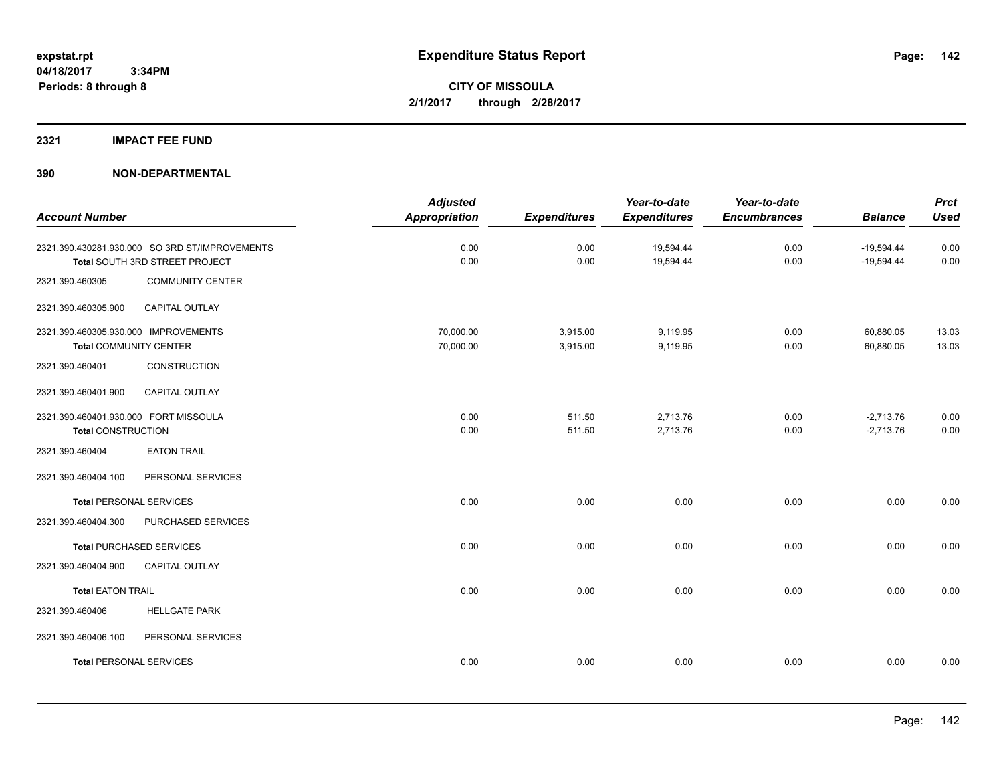#### **2321 IMPACT FEE FUND**

| <b>Account Number</b>                                                 |                                                                                  | <b>Adjusted</b><br><b>Appropriation</b> | <b>Expenditures</b>  | Year-to-date<br><b>Expenditures</b> | Year-to-date<br><b>Encumbrances</b> | <b>Balance</b>               | <b>Prct</b><br><b>Used</b> |
|-----------------------------------------------------------------------|----------------------------------------------------------------------------------|-----------------------------------------|----------------------|-------------------------------------|-------------------------------------|------------------------------|----------------------------|
|                                                                       | 2321.390.430281.930.000 SO 3RD ST/IMPROVEMENTS<br>Total SOUTH 3RD STREET PROJECT | 0.00<br>0.00                            | 0.00<br>0.00         | 19,594.44<br>19,594.44              | 0.00<br>0.00                        | $-19,594.44$<br>$-19,594.44$ | 0.00<br>0.00               |
| 2321.390.460305                                                       | <b>COMMUNITY CENTER</b>                                                          |                                         |                      |                                     |                                     |                              |                            |
| 2321.390.460305.900                                                   | CAPITAL OUTLAY                                                                   |                                         |                      |                                     |                                     |                              |                            |
| 2321.390.460305.930.000 IMPROVEMENTS<br><b>Total COMMUNITY CENTER</b> |                                                                                  | 70,000.00<br>70,000.00                  | 3,915.00<br>3,915.00 | 9,119.95<br>9,119.95                | 0.00<br>0.00                        | 60,880.05<br>60,880.05       | 13.03<br>13.03             |
| 2321.390.460401                                                       | <b>CONSTRUCTION</b>                                                              |                                         |                      |                                     |                                     |                              |                            |
| 2321.390.460401.900                                                   | CAPITAL OUTLAY                                                                   |                                         |                      |                                     |                                     |                              |                            |
| 2321.390.460401.930.000 FORT MISSOULA<br><b>Total CONSTRUCTION</b>    |                                                                                  | 0.00<br>0.00                            | 511.50<br>511.50     | 2,713.76<br>2,713.76                | 0.00<br>0.00                        | $-2,713.76$<br>$-2,713.76$   | 0.00<br>0.00               |
| 2321.390.460404                                                       | <b>EATON TRAIL</b>                                                               |                                         |                      |                                     |                                     |                              |                            |
| 2321.390.460404.100                                                   | PERSONAL SERVICES                                                                |                                         |                      |                                     |                                     |                              |                            |
| <b>Total PERSONAL SERVICES</b>                                        |                                                                                  | 0.00                                    | 0.00                 | 0.00                                | 0.00                                | 0.00                         | 0.00                       |
| 2321.390.460404.300                                                   | PURCHASED SERVICES                                                               |                                         |                      |                                     |                                     |                              |                            |
|                                                                       | <b>Total PURCHASED SERVICES</b>                                                  | 0.00                                    | 0.00                 | 0.00                                | 0.00                                | 0.00                         | 0.00                       |
| 2321.390.460404.900                                                   | CAPITAL OUTLAY                                                                   |                                         |                      |                                     |                                     |                              |                            |
| <b>Total EATON TRAIL</b>                                              |                                                                                  | 0.00                                    | 0.00                 | 0.00                                | 0.00                                | 0.00                         | 0.00                       |
| 2321.390.460406                                                       | <b>HELLGATE PARK</b>                                                             |                                         |                      |                                     |                                     |                              |                            |
| 2321.390.460406.100                                                   | PERSONAL SERVICES                                                                |                                         |                      |                                     |                                     |                              |                            |
| <b>Total PERSONAL SERVICES</b>                                        |                                                                                  | 0.00                                    | 0.00                 | 0.00                                | 0.00                                | 0.00                         | 0.00                       |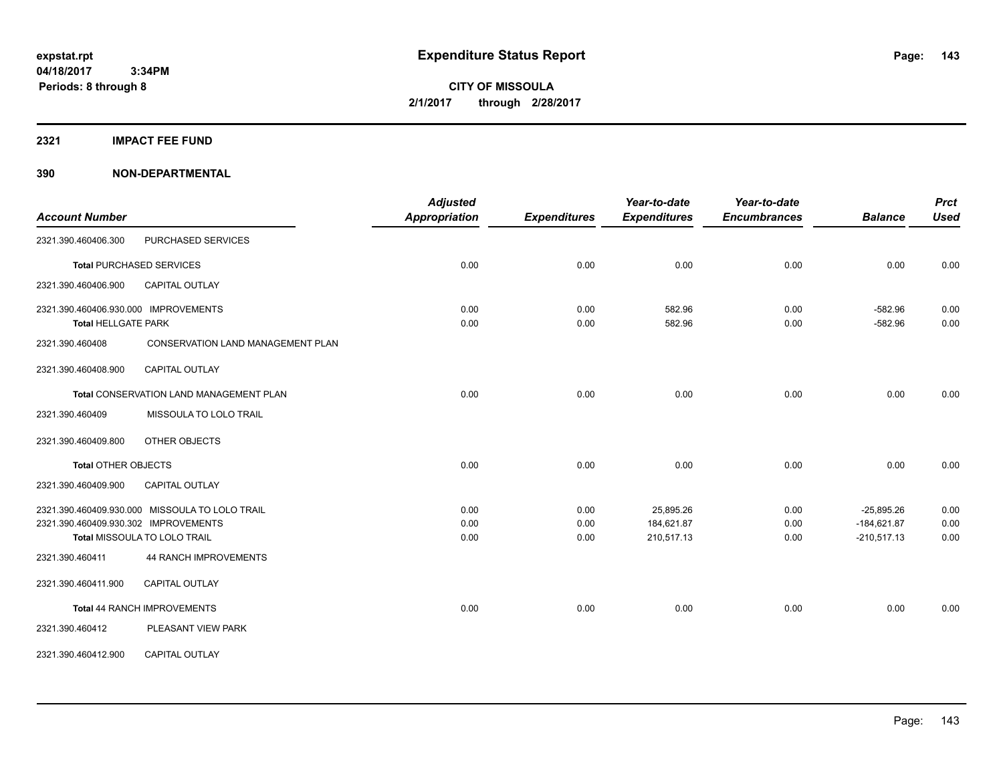#### **2321 IMPACT FEE FUND**

| <b>Account Number</b>                |                                                | <b>Adjusted</b><br><b>Appropriation</b> | <b>Expenditures</b> | Year-to-date<br><b>Expenditures</b> | Year-to-date<br><b>Encumbrances</b> | <b>Balance</b> | <b>Prct</b><br><b>Used</b> |
|--------------------------------------|------------------------------------------------|-----------------------------------------|---------------------|-------------------------------------|-------------------------------------|----------------|----------------------------|
| 2321.390.460406.300                  | PURCHASED SERVICES                             |                                         |                     |                                     |                                     |                |                            |
|                                      | <b>Total PURCHASED SERVICES</b>                | 0.00                                    | 0.00                | 0.00                                | 0.00                                | 0.00           | 0.00                       |
| 2321.390.460406.900                  | <b>CAPITAL OUTLAY</b>                          |                                         |                     |                                     |                                     |                |                            |
| 2321.390.460406.930.000 IMPROVEMENTS |                                                | 0.00                                    | 0.00                | 582.96                              | 0.00                                | $-582.96$      | 0.00                       |
| <b>Total HELLGATE PARK</b>           |                                                | 0.00                                    | 0.00                | 582.96                              | 0.00                                | $-582.96$      | 0.00                       |
| 2321.390.460408                      | <b>CONSERVATION LAND MANAGEMENT PLAN</b>       |                                         |                     |                                     |                                     |                |                            |
| 2321.390.460408.900                  | <b>CAPITAL OUTLAY</b>                          |                                         |                     |                                     |                                     |                |                            |
|                                      | Total CONSERVATION LAND MANAGEMENT PLAN        | 0.00                                    | 0.00                | 0.00                                | 0.00                                | 0.00           | 0.00                       |
| 2321.390.460409                      | MISSOULA TO LOLO TRAIL                         |                                         |                     |                                     |                                     |                |                            |
| 2321.390.460409.800                  | OTHER OBJECTS                                  |                                         |                     |                                     |                                     |                |                            |
| <b>Total OTHER OBJECTS</b>           |                                                | 0.00                                    | 0.00                | 0.00                                | 0.00                                | 0.00           | 0.00                       |
| 2321.390.460409.900                  | <b>CAPITAL OUTLAY</b>                          |                                         |                     |                                     |                                     |                |                            |
|                                      | 2321.390.460409.930.000 MISSOULA TO LOLO TRAIL | 0.00                                    | 0.00                | 25,895.26                           | 0.00                                | $-25,895.26$   | 0.00                       |
| 2321.390.460409.930.302 IMPROVEMENTS |                                                | 0.00                                    | 0.00                | 184,621.87                          | 0.00                                | $-184,621.87$  | 0.00                       |
|                                      | Total MISSOULA TO LOLO TRAIL                   | 0.00                                    | 0.00                | 210,517.13                          | 0.00                                | $-210,517.13$  | 0.00                       |
| 2321.390.460411                      | <b>44 RANCH IMPROVEMENTS</b>                   |                                         |                     |                                     |                                     |                |                            |
| 2321.390.460411.900                  | <b>CAPITAL OUTLAY</b>                          |                                         |                     |                                     |                                     |                |                            |
|                                      | Total 44 RANCH IMPROVEMENTS                    | 0.00                                    | 0.00                | 0.00                                | 0.00                                | 0.00           | 0.00                       |
| 2321.390.460412                      | PLEASANT VIEW PARK                             |                                         |                     |                                     |                                     |                |                            |
| 2321.390.460412.900                  | CAPITAL OUTLAY                                 |                                         |                     |                                     |                                     |                |                            |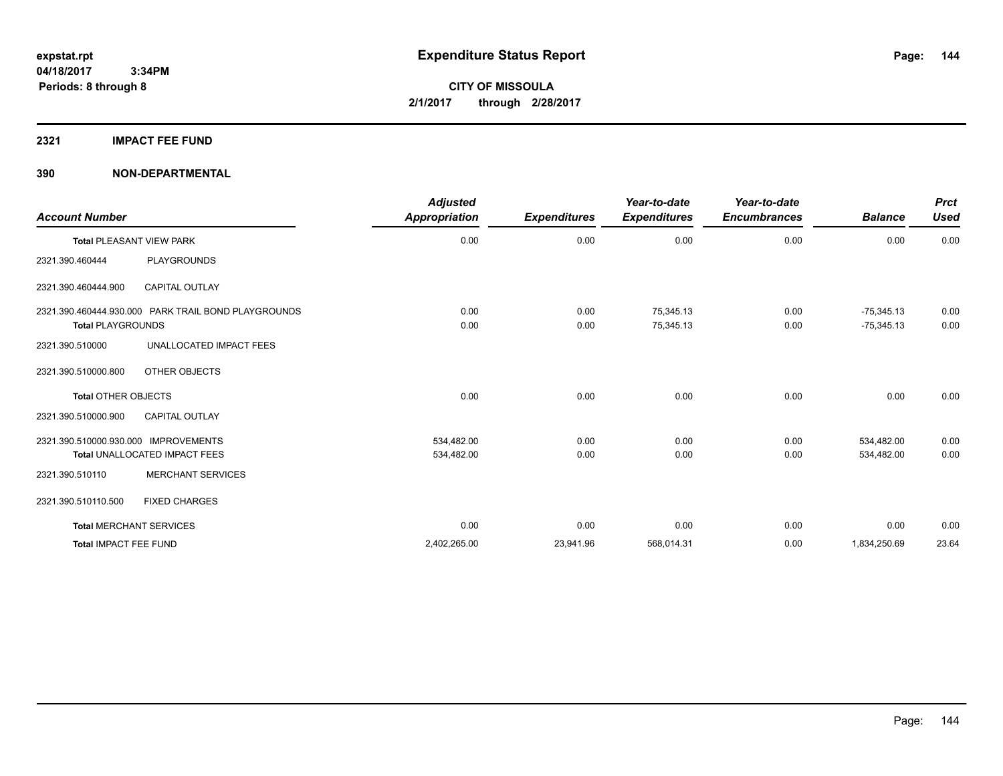#### **2321 IMPACT FEE FUND**

| <b>Account Number</b>                                                           | <b>Adjusted</b><br><b>Appropriation</b> | <b>Expenditures</b> | Year-to-date<br><b>Expenditures</b> | Year-to-date<br><b>Encumbrances</b> | <b>Balance</b>               | <b>Prct</b><br><b>Used</b> |
|---------------------------------------------------------------------------------|-----------------------------------------|---------------------|-------------------------------------|-------------------------------------|------------------------------|----------------------------|
| <b>Total PLEASANT VIEW PARK</b>                                                 | 0.00                                    | 0.00                | 0.00                                | 0.00                                | 0.00                         | 0.00                       |
| <b>PLAYGROUNDS</b><br>2321.390.460444                                           |                                         |                     |                                     |                                     |                              |                            |
| <b>CAPITAL OUTLAY</b><br>2321.390.460444.900                                    |                                         |                     |                                     |                                     |                              |                            |
| 2321.390.460444.930.000 PARK TRAIL BOND PLAYGROUNDS<br><b>Total PLAYGROUNDS</b> | 0.00<br>0.00                            | 0.00<br>0.00        | 75,345.13<br>75,345.13              | 0.00<br>0.00                        | $-75,345.13$<br>$-75,345.13$ | 0.00<br>0.00               |
| UNALLOCATED IMPACT FEES<br>2321.390.510000                                      |                                         |                     |                                     |                                     |                              |                            |
| 2321.390.510000.800<br>OTHER OBJECTS                                            |                                         |                     |                                     |                                     |                              |                            |
| Total OTHER OBJECTS                                                             | 0.00                                    | 0.00                | 0.00                                | 0.00                                | 0.00                         | 0.00                       |
| <b>CAPITAL OUTLAY</b><br>2321.390.510000.900                                    |                                         |                     |                                     |                                     |                              |                            |
| 2321.390.510000.930.000 IMPROVEMENTS<br>Total UNALLOCATED IMPACT FEES           | 534,482.00<br>534,482.00                | 0.00<br>0.00        | 0.00<br>0.00                        | 0.00<br>0.00                        | 534,482.00<br>534,482.00     | 0.00<br>0.00               |
| <b>MERCHANT SERVICES</b><br>2321.390.510110                                     |                                         |                     |                                     |                                     |                              |                            |
| 2321.390.510110.500<br><b>FIXED CHARGES</b>                                     |                                         |                     |                                     |                                     |                              |                            |
| <b>Total MERCHANT SERVICES</b>                                                  | 0.00                                    | 0.00                | 0.00                                | 0.00                                | 0.00                         | 0.00                       |
| Total IMPACT FEE FUND                                                           | 2,402,265.00                            | 23,941.96           | 568,014.31                          | 0.00                                | 1,834,250.69                 | 23.64                      |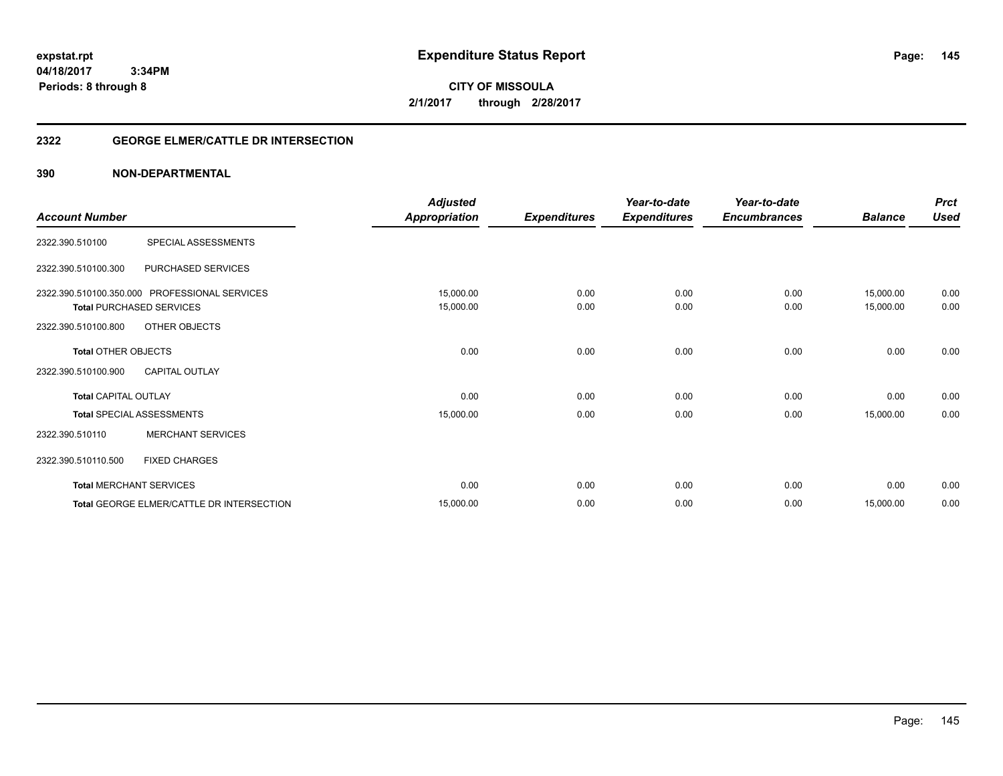**CITY OF MISSOULA 2/1/2017 through 2/28/2017**

# **2322 GEORGE ELMER/CATTLE DR INTERSECTION**

| <b>Account Number</b>       |                                               | Adjusted<br><b>Appropriation</b> | <b>Expenditures</b> | Year-to-date<br><b>Expenditures</b> | Year-to-date<br><b>Encumbrances</b> | <b>Balance</b> | <b>Prct</b><br><b>Used</b> |
|-----------------------------|-----------------------------------------------|----------------------------------|---------------------|-------------------------------------|-------------------------------------|----------------|----------------------------|
|                             |                                               |                                  |                     |                                     |                                     |                |                            |
| 2322.390.510100             | SPECIAL ASSESSMENTS                           |                                  |                     |                                     |                                     |                |                            |
| 2322.390.510100.300         | PURCHASED SERVICES                            |                                  |                     |                                     |                                     |                |                            |
|                             | 2322.390.510100.350.000 PROFESSIONAL SERVICES | 15,000.00                        | 0.00                | 0.00                                | 0.00                                | 15,000.00      | 0.00                       |
|                             | <b>Total PURCHASED SERVICES</b>               | 15,000.00                        | 0.00                | 0.00                                | 0.00                                | 15,000.00      | 0.00                       |
| 2322.390.510100.800         | OTHER OBJECTS                                 |                                  |                     |                                     |                                     |                |                            |
| <b>Total OTHER OBJECTS</b>  |                                               | 0.00                             | 0.00                | 0.00                                | 0.00                                | 0.00           | 0.00                       |
| 2322.390.510100.900         | <b>CAPITAL OUTLAY</b>                         |                                  |                     |                                     |                                     |                |                            |
| <b>Total CAPITAL OUTLAY</b> |                                               | 0.00                             | 0.00                | 0.00                                | 0.00                                | 0.00           | 0.00                       |
|                             | <b>Total SPECIAL ASSESSMENTS</b>              | 15,000.00                        | 0.00                | 0.00                                | 0.00                                | 15,000.00      | 0.00                       |
| 2322.390.510110             | <b>MERCHANT SERVICES</b>                      |                                  |                     |                                     |                                     |                |                            |
| 2322.390.510110.500         | <b>FIXED CHARGES</b>                          |                                  |                     |                                     |                                     |                |                            |
|                             | <b>Total MERCHANT SERVICES</b>                | 0.00                             | 0.00                | 0.00                                | 0.00                                | 0.00           | 0.00                       |
|                             | Total GEORGE ELMER/CATTLE DR INTERSECTION     | 15,000.00                        | 0.00                | 0.00                                | 0.00                                | 15,000.00      | 0.00                       |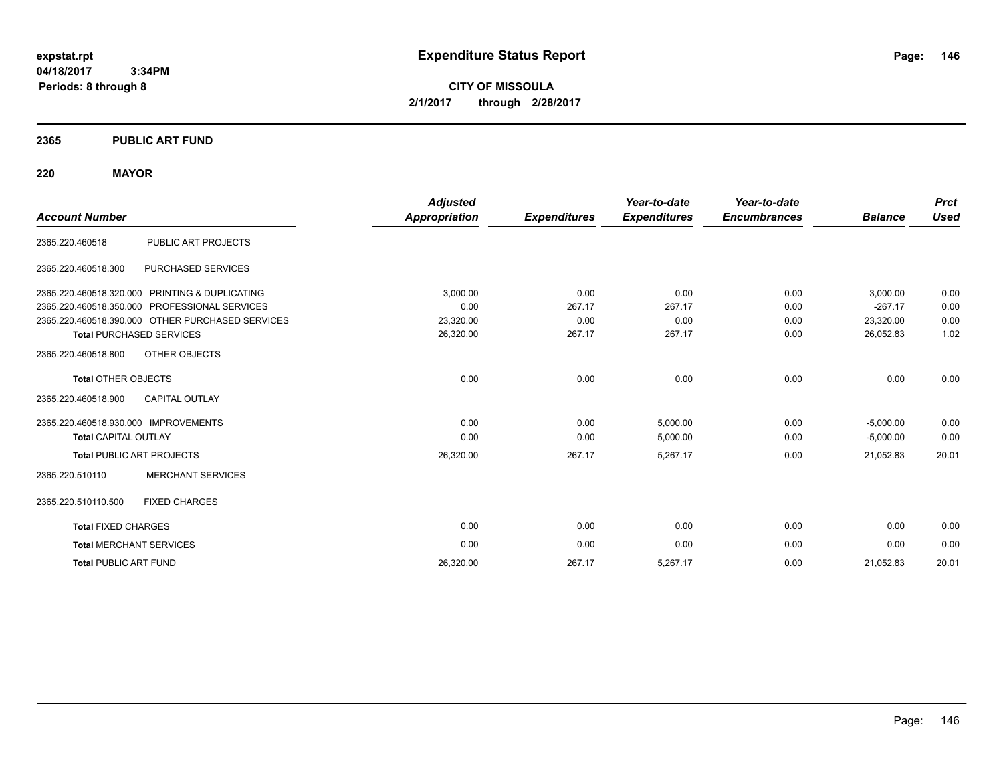**CITY OF MISSOULA 2/1/2017 through 2/28/2017**

# **2365 PUBLIC ART FUND**

# **220 MAYOR**

|                                      |                                                  | <b>Adjusted</b>      |                     | Year-to-date        | Year-to-date        |                | <b>Prct</b> |
|--------------------------------------|--------------------------------------------------|----------------------|---------------------|---------------------|---------------------|----------------|-------------|
| <b>Account Number</b>                |                                                  | <b>Appropriation</b> | <b>Expenditures</b> | <b>Expenditures</b> | <b>Encumbrances</b> | <b>Balance</b> | <b>Used</b> |
| 2365.220.460518                      | PUBLIC ART PROJECTS                              |                      |                     |                     |                     |                |             |
| 2365.220.460518.300                  | PURCHASED SERVICES                               |                      |                     |                     |                     |                |             |
|                                      | 2365.220.460518.320.000 PRINTING & DUPLICATING   | 3,000.00             | 0.00                | 0.00                | 0.00                | 3,000.00       | 0.00        |
| 2365.220.460518.350.000              | PROFESSIONAL SERVICES                            | 0.00                 | 267.17              | 267.17              | 0.00                | $-267.17$      | 0.00        |
|                                      | 2365.220.460518.390.000 OTHER PURCHASED SERVICES | 23,320.00            | 0.00                | 0.00                | 0.00                | 23,320.00      | 0.00        |
|                                      | <b>Total PURCHASED SERVICES</b>                  | 26,320.00            | 267.17              | 267.17              | 0.00                | 26,052.83      | 1.02        |
| 2365.220.460518.800                  | OTHER OBJECTS                                    |                      |                     |                     |                     |                |             |
| <b>Total OTHER OBJECTS</b>           |                                                  | 0.00                 | 0.00                | 0.00                | 0.00                | 0.00           | 0.00        |
| 2365.220.460518.900                  | <b>CAPITAL OUTLAY</b>                            |                      |                     |                     |                     |                |             |
| 2365.220.460518.930.000 IMPROVEMENTS |                                                  | 0.00                 | 0.00                | 5,000.00            | 0.00                | $-5,000.00$    | 0.00        |
| <b>Total CAPITAL OUTLAY</b>          |                                                  | 0.00                 | 0.00                | 5,000.00            | 0.00                | $-5,000.00$    | 0.00        |
|                                      | <b>Total PUBLIC ART PROJECTS</b>                 | 26,320.00            | 267.17              | 5,267.17            | 0.00                | 21,052.83      | 20.01       |
| 2365.220.510110                      | <b>MERCHANT SERVICES</b>                         |                      |                     |                     |                     |                |             |
| 2365.220.510110.500                  | <b>FIXED CHARGES</b>                             |                      |                     |                     |                     |                |             |
| <b>Total FIXED CHARGES</b>           |                                                  | 0.00                 | 0.00                | 0.00                | 0.00                | 0.00           | 0.00        |
| <b>Total MERCHANT SERVICES</b>       |                                                  | 0.00                 | 0.00                | 0.00                | 0.00                | 0.00           | 0.00        |
| <b>Total PUBLIC ART FUND</b>         |                                                  | 26,320.00            | 267.17              | 5,267.17            | 0.00                | 21,052.83      | 20.01       |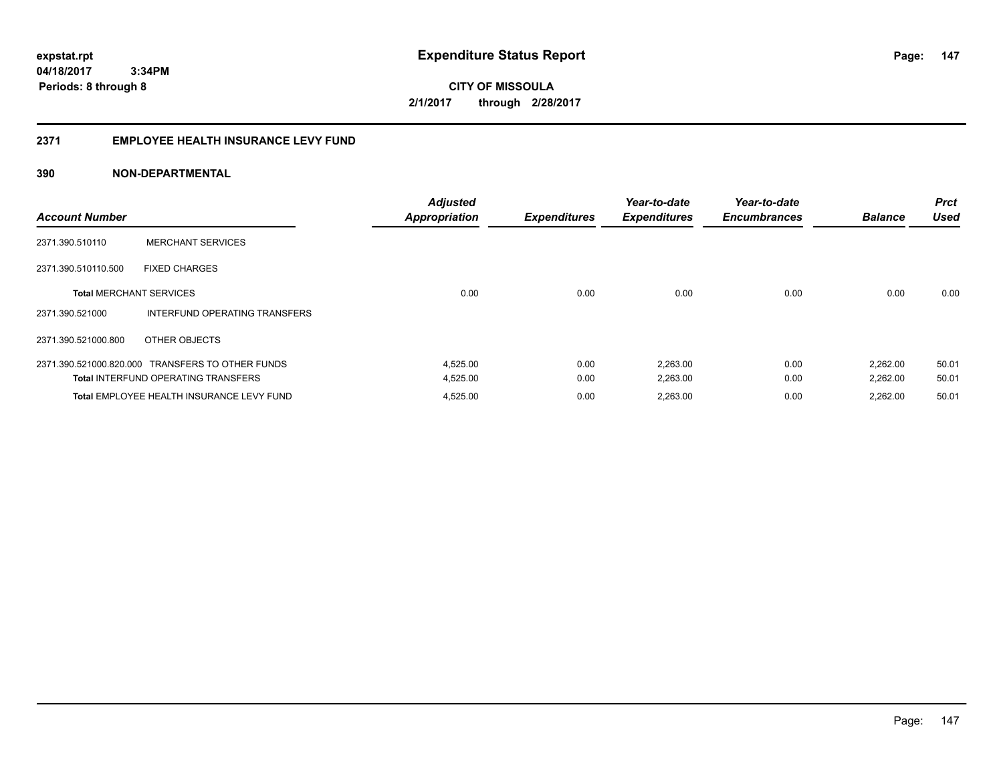**147**

**04/18/2017 3:34PM Periods: 8 through 8**

**CITY OF MISSOULA 2/1/2017 through 2/28/2017**

# **2371 EMPLOYEE HEALTH INSURANCE LEVY FUND**

| <b>Account Number</b>          |                                                  | <b>Adjusted</b><br><b>Appropriation</b> | <b>Expenditures</b> | Year-to-date<br><b>Expenditures</b> | Year-to-date<br><b>Encumbrances</b> | <b>Balance</b> | <b>Prct</b><br><b>Used</b> |
|--------------------------------|--------------------------------------------------|-----------------------------------------|---------------------|-------------------------------------|-------------------------------------|----------------|----------------------------|
| 2371.390.510110                | <b>MERCHANT SERVICES</b>                         |                                         |                     |                                     |                                     |                |                            |
| 2371.390.510110.500            | <b>FIXED CHARGES</b>                             |                                         |                     |                                     |                                     |                |                            |
| <b>Total MERCHANT SERVICES</b> |                                                  | 0.00                                    | 0.00                | 0.00                                | 0.00                                | 0.00           | 0.00                       |
| 2371.390.521000                | INTERFUND OPERATING TRANSFERS                    |                                         |                     |                                     |                                     |                |                            |
| 2371.390.521000.800            | OTHER OBJECTS                                    |                                         |                     |                                     |                                     |                |                            |
|                                | 2371.390.521000.820.000 TRANSFERS TO OTHER FUNDS | 4,525.00                                | 0.00                | 2,263.00                            | 0.00                                | 2,262.00       | 50.01                      |
|                                | <b>Total INTERFUND OPERATING TRANSFERS</b>       | 4,525.00                                | 0.00                | 2,263.00                            | 0.00                                | 2,262.00       | 50.01                      |
|                                | Total EMPLOYEE HEALTH INSURANCE LEVY FUND        | 4,525.00                                | 0.00                | 2,263.00                            | 0.00                                | 2.262.00       | 50.01                      |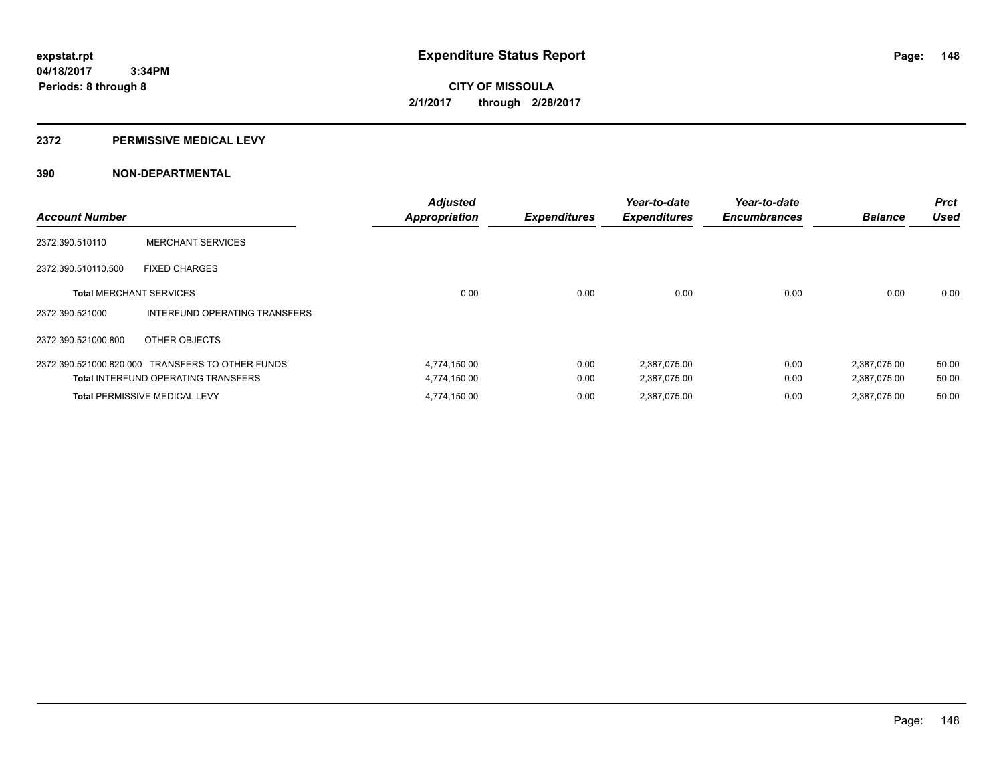#### **2372 PERMISSIVE MEDICAL LEVY**

| <b>Account Number</b>          |                                                  | <b>Adjusted</b><br><b>Appropriation</b> | <b>Expenditures</b> | Year-to-date<br><b>Expenditures</b> | Year-to-date<br><b>Encumbrances</b> | <b>Balance</b> | <b>Prct</b><br><b>Used</b> |
|--------------------------------|--------------------------------------------------|-----------------------------------------|---------------------|-------------------------------------|-------------------------------------|----------------|----------------------------|
| 2372.390.510110                | <b>MERCHANT SERVICES</b>                         |                                         |                     |                                     |                                     |                |                            |
| 2372.390.510110.500            | <b>FIXED CHARGES</b>                             |                                         |                     |                                     |                                     |                |                            |
| <b>Total MERCHANT SERVICES</b> |                                                  | 0.00                                    | 0.00                | 0.00                                | 0.00                                | 0.00           | 0.00                       |
| 2372.390.521000                | INTERFUND OPERATING TRANSFERS                    |                                         |                     |                                     |                                     |                |                            |
| 2372.390.521000.800            | OTHER OBJECTS                                    |                                         |                     |                                     |                                     |                |                            |
|                                | 2372.390.521000.820.000 TRANSFERS TO OTHER FUNDS | 4,774,150.00                            | 0.00                | 2,387,075.00                        | 0.00                                | 2,387,075.00   | 50.00                      |
|                                | <b>Total INTERFUND OPERATING TRANSFERS</b>       | 4,774,150.00                            | 0.00                | 2,387,075.00                        | 0.00                                | 2,387,075.00   | 50.00                      |
|                                | <b>Total PERMISSIVE MEDICAL LEVY</b>             | 4,774,150.00                            | 0.00                | 2.387.075.00                        | 0.00                                | 2.387.075.00   | 50.00                      |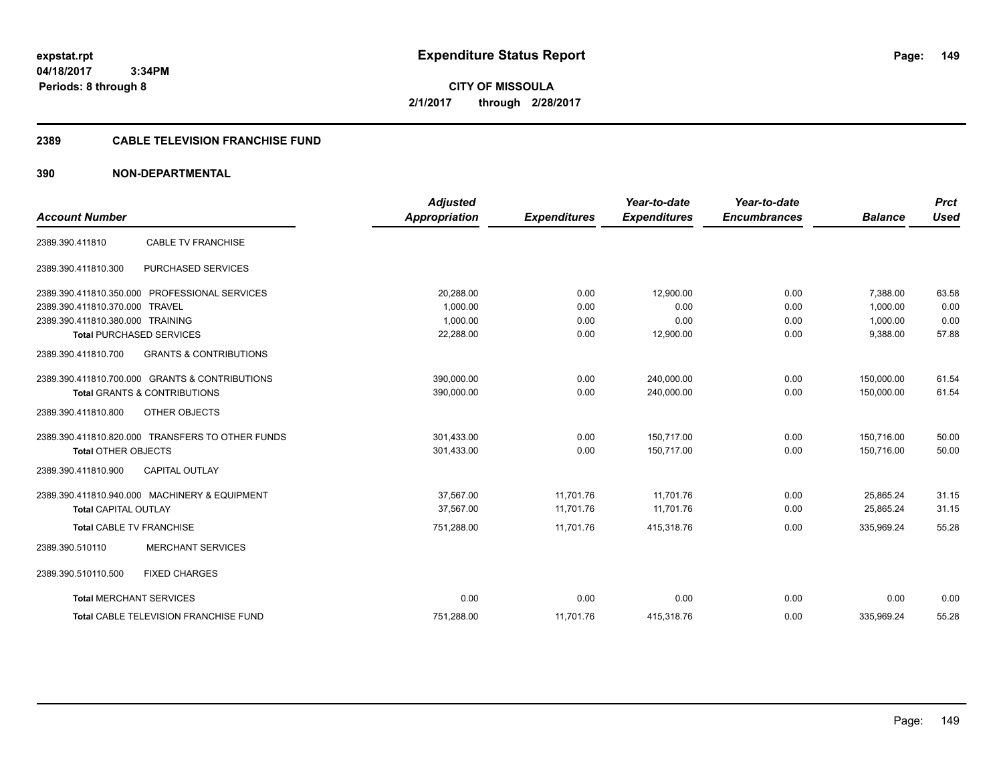**CITY OF MISSOULA 2/1/2017 through 2/28/2017**

# **2389 CABLE TELEVISION FRANCHISE FUND**

| <b>Account Number</b>            |                                                  | <b>Adjusted</b><br>Appropriation | <b>Expenditures</b> | Year-to-date<br><b>Expenditures</b> | Year-to-date<br><b>Encumbrances</b> | <b>Balance</b> | <b>Prct</b><br><b>Used</b> |
|----------------------------------|--------------------------------------------------|----------------------------------|---------------------|-------------------------------------|-------------------------------------|----------------|----------------------------|
|                                  |                                                  |                                  |                     |                                     |                                     |                |                            |
| 2389.390.411810                  | <b>CABLE TV FRANCHISE</b>                        |                                  |                     |                                     |                                     |                |                            |
| 2389.390.411810.300              | PURCHASED SERVICES                               |                                  |                     |                                     |                                     |                |                            |
|                                  | 2389.390.411810.350.000 PROFESSIONAL SERVICES    | 20,288.00                        | 0.00                | 12.900.00                           | 0.00                                | 7.388.00       | 63.58                      |
| 2389.390.411810.370.000 TRAVEL   |                                                  | 1.000.00                         | 0.00                | 0.00                                | 0.00                                | 1,000.00       | 0.00                       |
| 2389.390.411810.380.000 TRAINING |                                                  | 1,000.00                         | 0.00                | 0.00                                | 0.00                                | 1,000.00       | 0.00                       |
|                                  | <b>Total PURCHASED SERVICES</b>                  | 22,288.00                        | 0.00                | 12,900.00                           | 0.00                                | 9,388.00       | 57.88                      |
| 2389.390.411810.700              | <b>GRANTS &amp; CONTRIBUTIONS</b>                |                                  |                     |                                     |                                     |                |                            |
|                                  | 2389.390.411810.700.000 GRANTS & CONTRIBUTIONS   | 390,000.00                       | 0.00                | 240,000.00                          | 0.00                                | 150,000.00     | 61.54                      |
|                                  | <b>Total GRANTS &amp; CONTRIBUTIONS</b>          | 390,000.00                       | 0.00                | 240,000.00                          | 0.00                                | 150.000.00     | 61.54                      |
| 2389.390.411810.800              | OTHER OBJECTS                                    |                                  |                     |                                     |                                     |                |                            |
|                                  | 2389.390.411810.820.000 TRANSFERS TO OTHER FUNDS | 301,433.00                       | 0.00                | 150,717.00                          | 0.00                                | 150,716.00     | 50.00                      |
| <b>Total OTHER OBJECTS</b>       |                                                  | 301,433.00                       | 0.00                | 150,717.00                          | 0.00                                | 150.716.00     | 50.00                      |
| 2389.390.411810.900              | <b>CAPITAL OUTLAY</b>                            |                                  |                     |                                     |                                     |                |                            |
|                                  | 2389.390.411810.940.000 MACHINERY & EQUIPMENT    | 37,567.00                        | 11,701.76           | 11,701.76                           | 0.00                                | 25,865.24      | 31.15                      |
| <b>Total CAPITAL OUTLAY</b>      |                                                  | 37.567.00                        | 11.701.76           | 11.701.76                           | 0.00                                | 25.865.24      | 31.15                      |
| <b>Total CABLE TV FRANCHISE</b>  |                                                  | 751,288.00                       | 11,701.76           | 415,318.76                          | 0.00                                | 335,969.24     | 55.28                      |
| 2389.390.510110                  | <b>MERCHANT SERVICES</b>                         |                                  |                     |                                     |                                     |                |                            |
| 2389.390.510110.500              | <b>FIXED CHARGES</b>                             |                                  |                     |                                     |                                     |                |                            |
| <b>Total MERCHANT SERVICES</b>   |                                                  | 0.00                             | 0.00                | 0.00                                | 0.00                                | 0.00           | 0.00                       |
|                                  | <b>Total CABLE TELEVISION FRANCHISE FUND</b>     | 751.288.00                       | 11,701.76           | 415,318.76                          | 0.00                                | 335.969.24     | 55.28                      |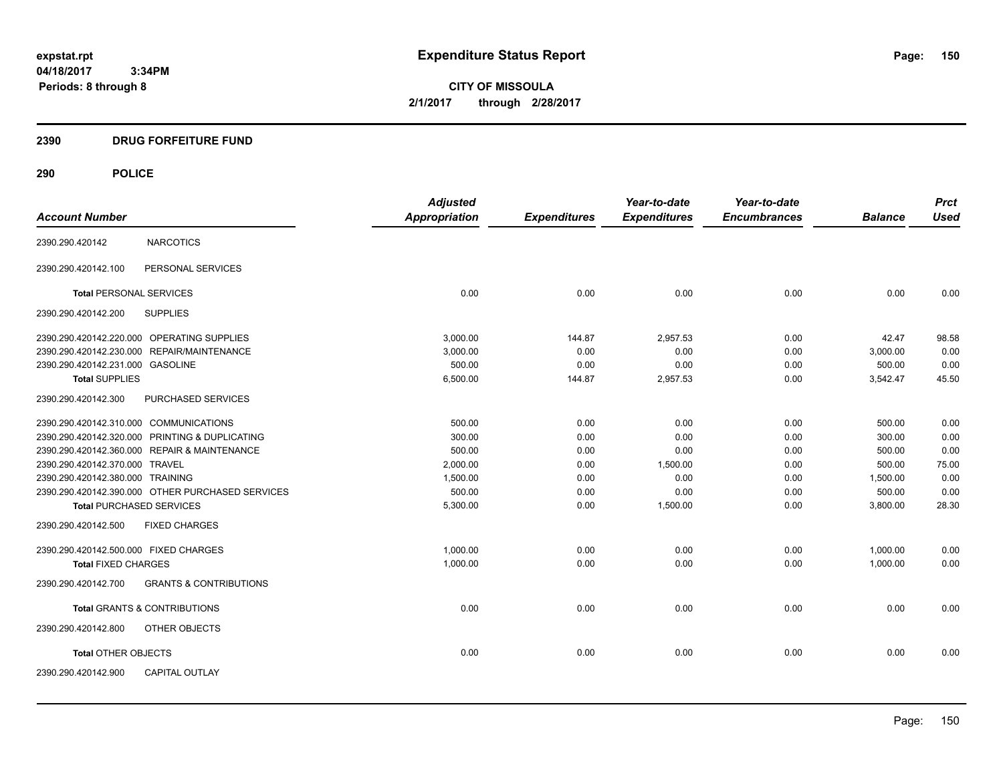**CITY OF MISSOULA 2/1/2017 through 2/28/2017**

# **2390 DRUG FORFEITURE FUND**

|                                                          | <b>Adjusted</b> |                     | Year-to-date        | Year-to-date        |                | <b>Prct</b> |
|----------------------------------------------------------|-----------------|---------------------|---------------------|---------------------|----------------|-------------|
| <b>Account Number</b>                                    | Appropriation   | <b>Expenditures</b> | <b>Expenditures</b> | <b>Encumbrances</b> | <b>Balance</b> | <b>Used</b> |
| <b>NARCOTICS</b><br>2390.290.420142                      |                 |                     |                     |                     |                |             |
| PERSONAL SERVICES<br>2390.290.420142.100                 |                 |                     |                     |                     |                |             |
| <b>Total PERSONAL SERVICES</b>                           | 0.00            | 0.00                | 0.00                | 0.00                | 0.00           | 0.00        |
| <b>SUPPLIES</b><br>2390.290.420142.200                   |                 |                     |                     |                     |                |             |
| 2390.290.420142.220.000 OPERATING SUPPLIES               | 3,000.00        | 144.87              | 2,957.53            | 0.00                | 42.47          | 98.58       |
| 2390.290.420142.230.000 REPAIR/MAINTENANCE               | 3,000.00        | 0.00                | 0.00                | 0.00                | 3,000.00       | 0.00        |
| 2390.290.420142.231.000 GASOLINE                         | 500.00          | 0.00                | 0.00                | 0.00                | 500.00         | 0.00        |
| <b>Total SUPPLIES</b>                                    | 6,500.00        | 144.87              | 2,957.53            | 0.00                | 3,542.47       | 45.50       |
| 2390.290.420142.300<br><b>PURCHASED SERVICES</b>         |                 |                     |                     |                     |                |             |
| 2390.290.420142.310.000 COMMUNICATIONS                   | 500.00          | 0.00                | 0.00                | 0.00                | 500.00         | 0.00        |
| 2390.290.420142.320.000 PRINTING & DUPLICATING           | 300.00          | 0.00                | 0.00                | 0.00                | 300.00         | 0.00        |
| 2390.290.420142.360.000 REPAIR & MAINTENANCE             | 500.00          | 0.00                | 0.00                | 0.00                | 500.00         | 0.00        |
| 2390.290.420142.370.000 TRAVEL                           | 2,000.00        | 0.00                | 1,500.00            | 0.00                | 500.00         | 75.00       |
| 2390.290.420142.380.000 TRAINING                         | 1,500.00        | 0.00                | 0.00                | 0.00                | 1,500.00       | 0.00        |
| 2390.290.420142.390.000 OTHER PURCHASED SERVICES         | 500.00          | 0.00                | 0.00                | 0.00                | 500.00         | 0.00        |
| <b>Total PURCHASED SERVICES</b>                          | 5,300.00        | 0.00                | 1,500.00            | 0.00                | 3,800.00       | 28.30       |
| 2390.290.420142.500<br><b>FIXED CHARGES</b>              |                 |                     |                     |                     |                |             |
| 2390.290.420142.500.000 FIXED CHARGES                    | 1,000.00        | 0.00                | 0.00                | 0.00                | 1,000.00       | 0.00        |
| <b>Total FIXED CHARGES</b>                               | 1,000.00        | 0.00                | 0.00                | 0.00                | 1,000.00       | 0.00        |
| <b>GRANTS &amp; CONTRIBUTIONS</b><br>2390.290.420142.700 |                 |                     |                     |                     |                |             |
| <b>Total GRANTS &amp; CONTRIBUTIONS</b>                  | 0.00            | 0.00                | 0.00                | 0.00                | 0.00           | 0.00        |
| 2390.290.420142.800<br>OTHER OBJECTS                     |                 |                     |                     |                     |                |             |
| <b>Total OTHER OBJECTS</b>                               | 0.00            | 0.00                | 0.00                | 0.00                | 0.00           | 0.00        |
| 2390.290.420142.900<br><b>CAPITAL OUTLAY</b>             |                 |                     |                     |                     |                |             |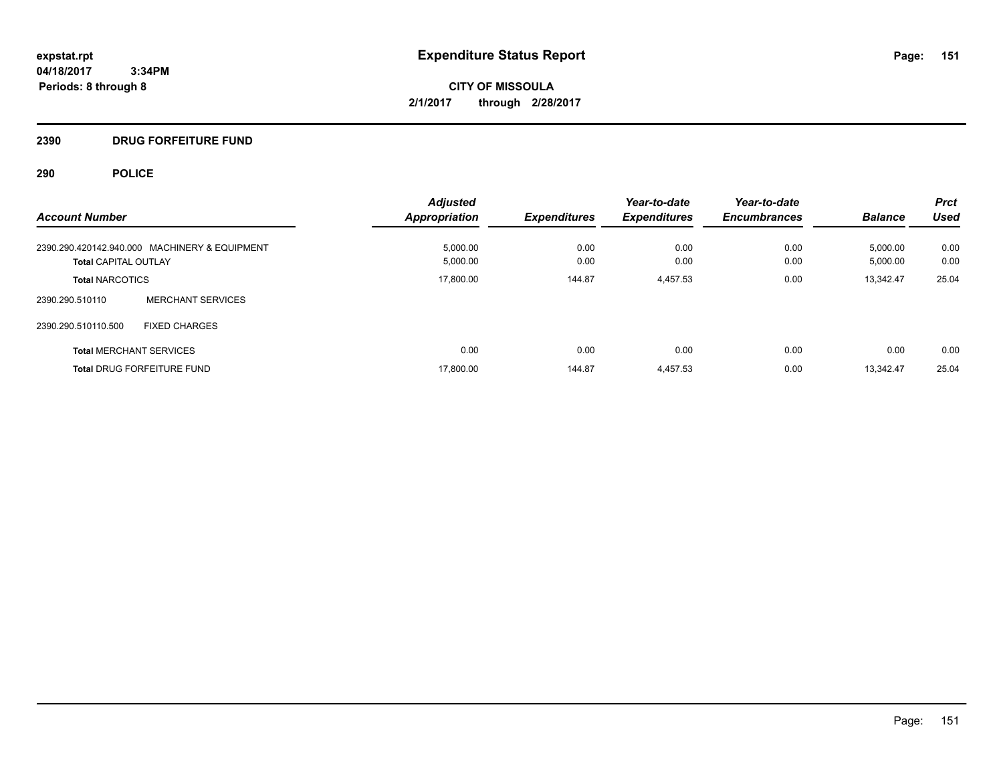**CITY OF MISSOULA 2/1/2017 through 2/28/2017**

# **2390 DRUG FORFEITURE FUND**

| <b>Account Number</b>                         | <b>Adjusted</b><br><b>Appropriation</b> | <b>Expenditures</b> | Year-to-date<br><b>Expenditures</b> | Year-to-date<br><b>Encumbrances</b> | <b>Balance</b> | <b>Prct</b><br>Used |
|-----------------------------------------------|-----------------------------------------|---------------------|-------------------------------------|-------------------------------------|----------------|---------------------|
| 2390.290.420142.940.000 MACHINERY & EQUIPMENT | 5.000.00                                | 0.00                | 0.00                                | 0.00                                | 5,000.00       | 0.00                |
| <b>Total CAPITAL OUTLAY</b>                   | 5,000.00                                | 0.00                | 0.00                                | 0.00                                | 5,000.00       | 0.00                |
| <b>Total NARCOTICS</b>                        | 17,800.00                               | 144.87              | 4,457.53                            | 0.00                                | 13,342.47      | 25.04               |
| <b>MERCHANT SERVICES</b><br>2390.290.510110   |                                         |                     |                                     |                                     |                |                     |
| 2390.290.510110.500<br><b>FIXED CHARGES</b>   |                                         |                     |                                     |                                     |                |                     |
| <b>Total MERCHANT SERVICES</b>                | 0.00                                    | 0.00                | 0.00                                | 0.00                                | 0.00           | 0.00                |
| <b>Total DRUG FORFEITURE FUND</b>             | 17,800.00                               | 144.87              | 4,457.53                            | 0.00                                | 13.342.47      | 25.04               |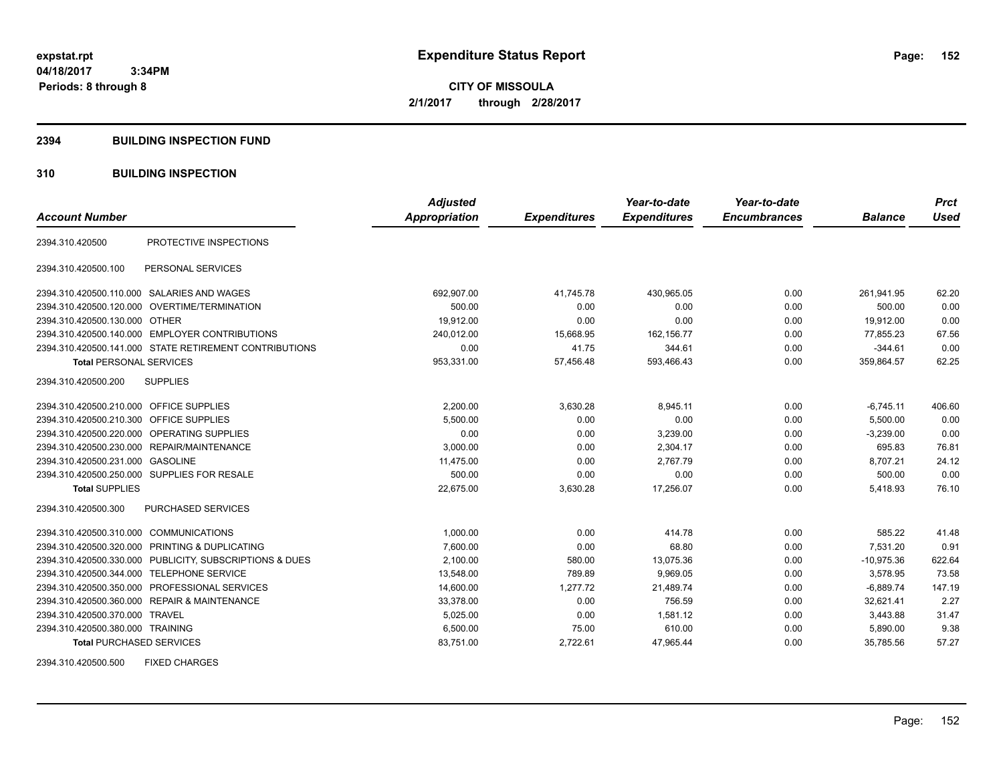**CITY OF MISSOULA 2/1/2017 through 2/28/2017**

#### **2394 BUILDING INSPECTION FUND**

# **310 BUILDING INSPECTION**

|                                           |                                                         | <b>Adjusted</b>      |                     | Year-to-date        | Year-to-date        |                | <b>Prct</b> |
|-------------------------------------------|---------------------------------------------------------|----------------------|---------------------|---------------------|---------------------|----------------|-------------|
| <b>Account Number</b>                     |                                                         | <b>Appropriation</b> | <b>Expenditures</b> | <b>Expenditures</b> | <b>Encumbrances</b> | <b>Balance</b> | <b>Used</b> |
| 2394.310.420500                           | PROTECTIVE INSPECTIONS                                  |                      |                     |                     |                     |                |             |
| 2394.310.420500.100                       | PERSONAL SERVICES                                       |                      |                     |                     |                     |                |             |
|                                           | 2394.310.420500.110.000 SALARIES AND WAGES              | 692,907.00           | 41,745.78           | 430,965.05          | 0.00                | 261.941.95     | 62.20       |
|                                           | 2394.310.420500.120.000 OVERTIME/TERMINATION            | 500.00               | 0.00                | 0.00                | 0.00                | 500.00         | 0.00        |
| 2394.310.420500.130.000 OTHER             |                                                         | 19,912.00            | 0.00                | 0.00                | 0.00                | 19,912.00      | 0.00        |
|                                           | 2394.310.420500.140.000 EMPLOYER CONTRIBUTIONS          | 240,012.00           | 15,668.95           | 162,156.77          | 0.00                | 77,855.23      | 67.56       |
|                                           | 2394.310.420500.141.000 STATE RETIREMENT CONTRIBUTIONS  | 0.00                 | 41.75               | 344.61              | 0.00                | $-344.61$      | 0.00        |
| <b>Total PERSONAL SERVICES</b>            |                                                         | 953,331.00           | 57,456.48           | 593,466.43          | 0.00                | 359,864.57     | 62.25       |
| 2394.310.420500.200                       | <b>SUPPLIES</b>                                         |                      |                     |                     |                     |                |             |
| 2394.310.420500.210.000 OFFICE SUPPLIES   |                                                         | 2,200.00             | 3,630.28            | 8.945.11            | 0.00                | $-6,745.11$    | 406.60      |
| 2394.310.420500.210.300                   | OFFICE SUPPLIES                                         | 5,500.00             | 0.00                | 0.00                | 0.00                | 5,500.00       | 0.00        |
| 2394.310.420500.220.000                   | OPERATING SUPPLIES                                      | 0.00                 | 0.00                | 3,239.00            | 0.00                | $-3,239.00$    | 0.00        |
|                                           | 2394.310.420500.230.000 REPAIR/MAINTENANCE              | 3,000.00             | 0.00                | 2,304.17            | 0.00                | 695.83         | 76.81       |
| 2394.310.420500.231.000 GASOLINE          |                                                         | 11,475.00            | 0.00                | 2,767.79            | 0.00                | 8,707.21       | 24.12       |
|                                           | 2394.310.420500.250.000 SUPPLIES FOR RESALE             | 500.00               | 0.00                | 0.00                | 0.00                | 500.00         | 0.00        |
| <b>Total SUPPLIES</b>                     |                                                         | 22,675.00            | 3,630.28            | 17,256.07           | 0.00                | 5,418.93       | 76.10       |
| 2394.310.420500.300                       | <b>PURCHASED SERVICES</b>                               |                      |                     |                     |                     |                |             |
| 2394.310.420500.310.000 COMMUNICATIONS    |                                                         | 1,000.00             | 0.00                | 414.78              | 0.00                | 585.22         | 41.48       |
|                                           | 2394.310.420500.320.000 PRINTING & DUPLICATING          | 7,600.00             | 0.00                | 68.80               | 0.00                | 7.531.20       | 0.91        |
|                                           | 2394.310.420500.330.000 PUBLICITY, SUBSCRIPTIONS & DUES | 2,100.00             | 580.00              | 13,075.36           | 0.00                | $-10,975.36$   | 622.64      |
| 2394.310.420500.344.000 TELEPHONE SERVICE |                                                         | 13,548.00            | 789.89              | 9,969.05            | 0.00                | 3,578.95       | 73.58       |
|                                           | 2394.310.420500.350.000 PROFESSIONAL SERVICES           | 14,600.00            | 1,277.72            | 21,489.74           | 0.00                | $-6,889.74$    | 147.19      |
|                                           | 2394.310.420500.360.000 REPAIR & MAINTENANCE            | 33,378.00            | 0.00                | 756.59              | 0.00                | 32,621.41      | 2.27        |
| 2394.310.420500.370.000 TRAVEL            |                                                         | 5,025.00             | 0.00                | 1,581.12            | 0.00                | 3,443.88       | 31.47       |
| 2394.310.420500.380.000 TRAINING          |                                                         | 6,500.00             | 75.00               | 610.00              | 0.00                | 5,890.00       | 9.38        |
| <b>Total PURCHASED SERVICES</b>           |                                                         | 83,751.00            | 2,722.61            | 47,965.44           | 0.00                | 35,785.56      | 57.27       |

2394.310.420500.500 FIXED CHARGES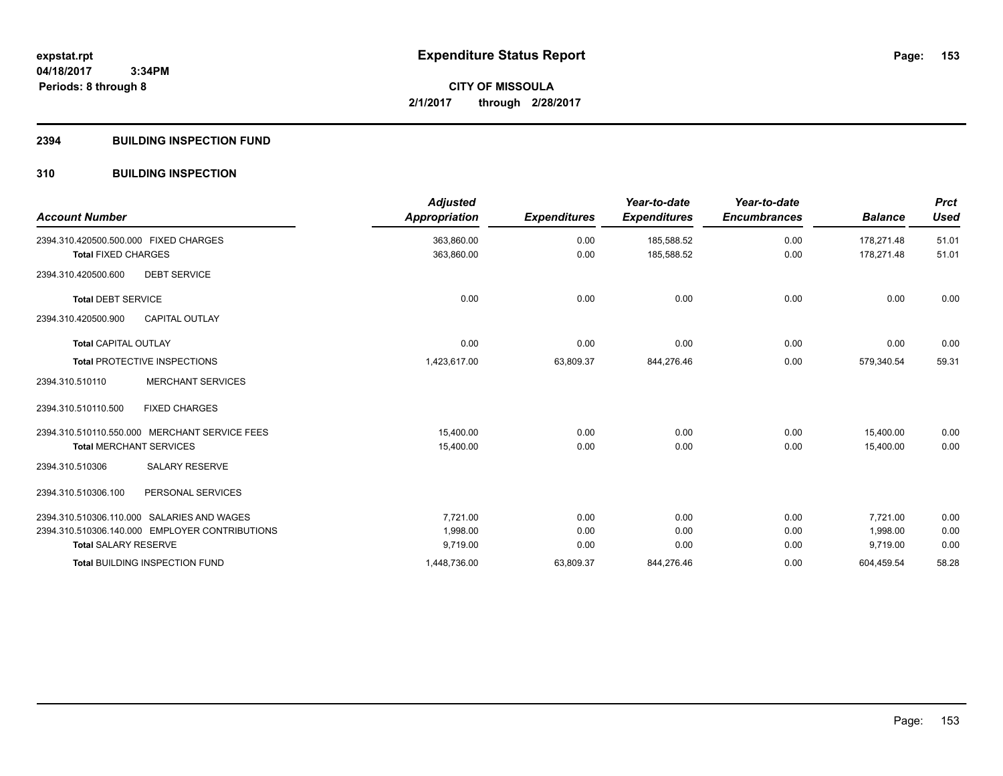# **2394 BUILDING INSPECTION FUND**

# **310 BUILDING INSPECTION**

| <b>Account Number</b>                          | <b>Adjusted</b><br>Appropriation | <b>Expenditures</b> | Year-to-date<br><b>Expenditures</b> | Year-to-date<br><b>Encumbrances</b> | <b>Balance</b> | <b>Prct</b><br><b>Used</b> |
|------------------------------------------------|----------------------------------|---------------------|-------------------------------------|-------------------------------------|----------------|----------------------------|
| 2394.310.420500.500.000 FIXED CHARGES          | 363,860.00                       | 0.00                | 185,588.52                          | 0.00                                | 178,271.48     | 51.01                      |
| <b>Total FIXED CHARGES</b>                     | 363,860.00                       | 0.00                | 185,588.52                          | 0.00                                | 178,271.48     | 51.01                      |
| 2394.310.420500.600<br><b>DEBT SERVICE</b>     |                                  |                     |                                     |                                     |                |                            |
| <b>Total DEBT SERVICE</b>                      | 0.00                             | 0.00                | 0.00                                | 0.00                                | 0.00           | 0.00                       |
| CAPITAL OUTLAY<br>2394.310.420500.900          |                                  |                     |                                     |                                     |                |                            |
| <b>Total CAPITAL OUTLAY</b>                    | 0.00                             | 0.00                | 0.00                                | 0.00                                | 0.00           | 0.00                       |
| <b>Total PROTECTIVE INSPECTIONS</b>            | 1,423,617.00                     | 63,809.37           | 844,276.46                          | 0.00                                | 579,340.54     | 59.31                      |
| <b>MERCHANT SERVICES</b><br>2394.310.510110    |                                  |                     |                                     |                                     |                |                            |
| <b>FIXED CHARGES</b><br>2394.310.510110.500    |                                  |                     |                                     |                                     |                |                            |
| 2394.310.510110.550.000 MERCHANT SERVICE FEES  | 15.400.00                        | 0.00                | 0.00                                | 0.00                                | 15.400.00      | 0.00                       |
| <b>Total MERCHANT SERVICES</b>                 | 15,400.00                        | 0.00                | 0.00                                | 0.00                                | 15.400.00      | 0.00                       |
| <b>SALARY RESERVE</b><br>2394.310.510306       |                                  |                     |                                     |                                     |                |                            |
| PERSONAL SERVICES<br>2394.310.510306.100       |                                  |                     |                                     |                                     |                |                            |
| 2394.310.510306.110.000 SALARIES AND WAGES     | 7,721.00                         | 0.00                | 0.00                                | 0.00                                | 7,721.00       | 0.00                       |
| 2394.310.510306.140.000 EMPLOYER CONTRIBUTIONS | 1,998.00                         | 0.00                | 0.00                                | 0.00                                | 1,998.00       | 0.00                       |
| <b>Total SALARY RESERVE</b>                    | 9,719.00                         | 0.00                | 0.00                                | 0.00                                | 9,719.00       | 0.00                       |
| Total BUILDING INSPECTION FUND                 | 1,448,736.00                     | 63,809.37           | 844,276.46                          | 0.00                                | 604,459.54     | 58.28                      |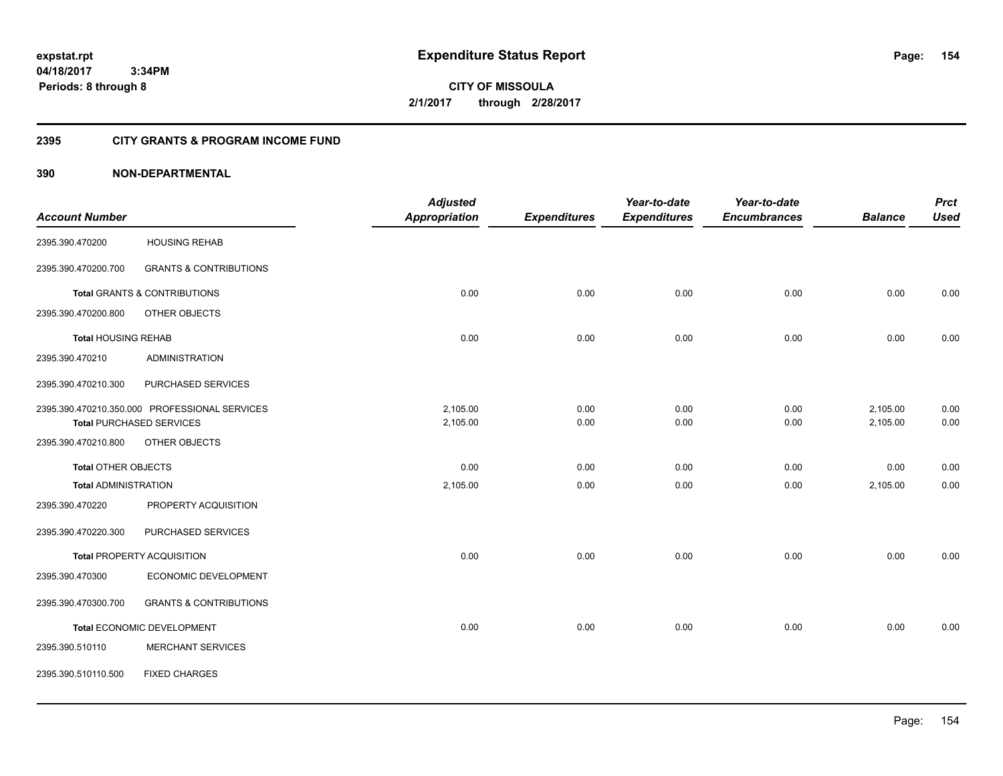**CITY OF MISSOULA 2/1/2017 through 2/28/2017**

# **2395 CITY GRANTS & PROGRAM INCOME FUND**

|                             |                                               | <b>Adjusted</b>      |                     | Year-to-date        | Year-to-date        |                | <b>Prct</b> |
|-----------------------------|-----------------------------------------------|----------------------|---------------------|---------------------|---------------------|----------------|-------------|
| <b>Account Number</b>       |                                               | <b>Appropriation</b> | <b>Expenditures</b> | <b>Expenditures</b> | <b>Encumbrances</b> | <b>Balance</b> | <b>Used</b> |
| 2395.390.470200             | <b>HOUSING REHAB</b>                          |                      |                     |                     |                     |                |             |
| 2395.390.470200.700         | <b>GRANTS &amp; CONTRIBUTIONS</b>             |                      |                     |                     |                     |                |             |
|                             | <b>Total GRANTS &amp; CONTRIBUTIONS</b>       | 0.00                 | 0.00                | 0.00                | 0.00                | 0.00           | 0.00        |
| 2395.390.470200.800         | OTHER OBJECTS                                 |                      |                     |                     |                     |                |             |
| <b>Total HOUSING REHAB</b>  |                                               | 0.00                 | 0.00                | 0.00                | 0.00                | 0.00           | 0.00        |
| 2395.390.470210             | <b>ADMINISTRATION</b>                         |                      |                     |                     |                     |                |             |
| 2395.390.470210.300         | PURCHASED SERVICES                            |                      |                     |                     |                     |                |             |
|                             | 2395.390.470210.350.000 PROFESSIONAL SERVICES | 2,105.00             | 0.00                | 0.00                | 0.00                | 2,105.00       | 0.00        |
|                             | <b>Total PURCHASED SERVICES</b>               | 2,105.00             | 0.00                | 0.00                | 0.00                | 2,105.00       | 0.00        |
| 2395.390.470210.800         | OTHER OBJECTS                                 |                      |                     |                     |                     |                |             |
| Total OTHER OBJECTS         |                                               | 0.00                 | 0.00                | 0.00                | 0.00                | 0.00           | 0.00        |
| <b>Total ADMINISTRATION</b> |                                               | 2,105.00             | 0.00                | 0.00                | 0.00                | 2,105.00       | 0.00        |
| 2395.390.470220             | PROPERTY ACQUISITION                          |                      |                     |                     |                     |                |             |
| 2395.390.470220.300         | PURCHASED SERVICES                            |                      |                     |                     |                     |                |             |
|                             | Total PROPERTY ACQUISITION                    | 0.00                 | 0.00                | 0.00                | 0.00                | 0.00           | 0.00        |
| 2395.390.470300             | ECONOMIC DEVELOPMENT                          |                      |                     |                     |                     |                |             |
| 2395.390.470300.700         | <b>GRANTS &amp; CONTRIBUTIONS</b>             |                      |                     |                     |                     |                |             |
|                             | <b>Total ECONOMIC DEVELOPMENT</b>             | 0.00                 | 0.00                | 0.00                | 0.00                | 0.00           | 0.00        |
| 2395.390.510110             | <b>MERCHANT SERVICES</b>                      |                      |                     |                     |                     |                |             |
| 2395.390.510110.500         | <b>FIXED CHARGES</b>                          |                      |                     |                     |                     |                |             |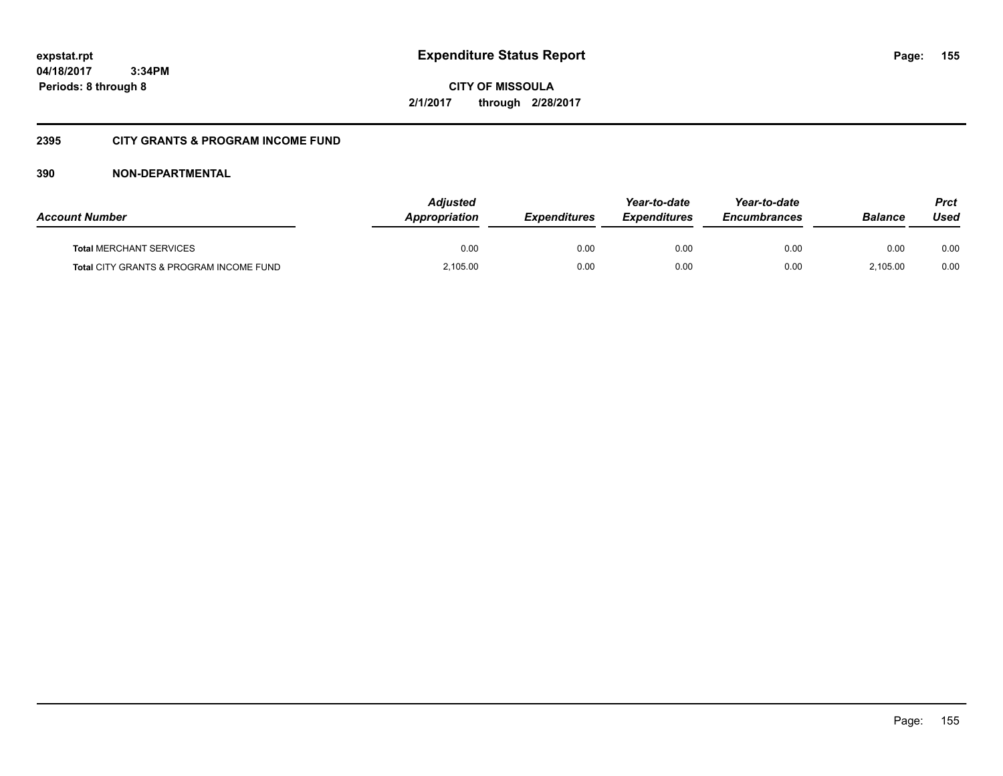**CITY OF MISSOULA 2/1/2017 through 2/28/2017**

# **2395 CITY GRANTS & PROGRAM INCOME FUND**

| <b>Account Number</b>                   | Adjusted<br><b>Appropriation</b> | <b>Expenditures</b> | Year-to-date<br><b>Expenditures</b> | Year-to-date<br><b>Encumbrances</b> | <b>Balance</b> | <b>Prct</b><br>Used |
|-----------------------------------------|----------------------------------|---------------------|-------------------------------------|-------------------------------------|----------------|---------------------|
| <b>Total MERCHANT SERVICES</b>          | 0.00                             | 0.00                | 0.00                                | 0.00                                | 0.00           | 0.00                |
| Total CITY GRANTS & PROGRAM INCOME FUND | 2,105.00                         | 0.00                | 0.00                                | 0.00                                | 2.105.00       | 0.00                |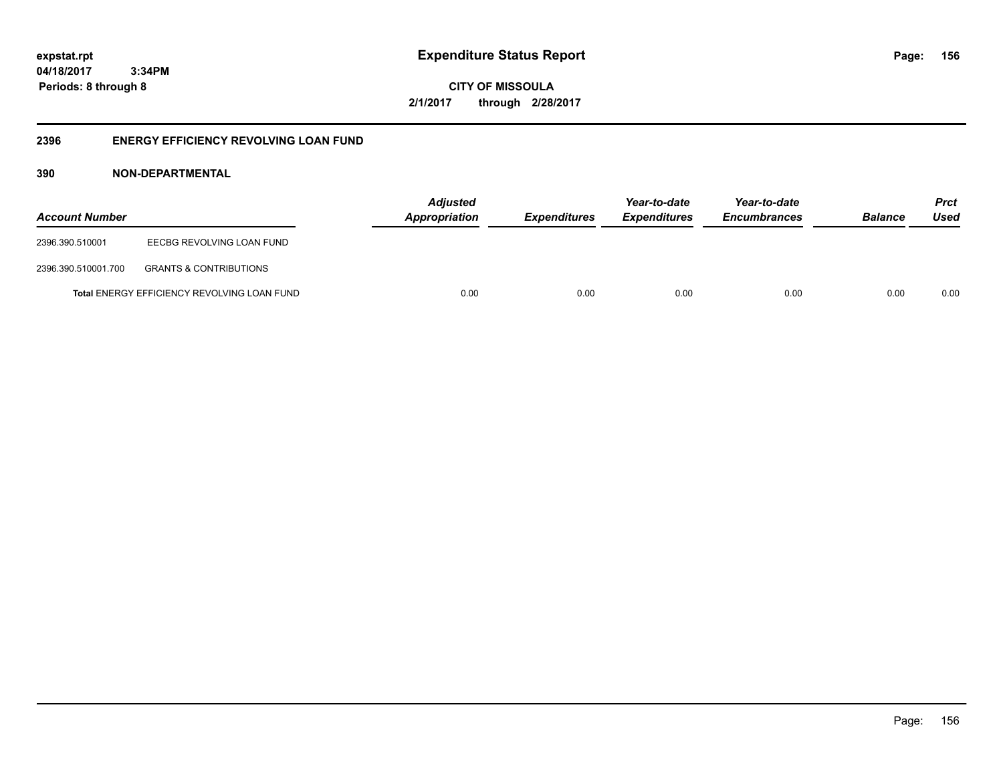**156**

**04/18/2017 3:34PM Periods: 8 through 8**

**CITY OF MISSOULA 2/1/2017 through 2/28/2017**

# **2396 ENERGY EFFICIENCY REVOLVING LOAN FUND**

| <b>Account Number</b> |                                             | <b>Adjusted</b><br>Appropriation | Expenditures | Year-to-date<br><b>Expenditures</b> | Year-to-date<br><b>Encumbrances</b> | <b>Balance</b> | <b>Prct</b><br>Used |
|-----------------------|---------------------------------------------|----------------------------------|--------------|-------------------------------------|-------------------------------------|----------------|---------------------|
| 2396.390.510001       | EECBG REVOLVING LOAN FUND                   |                                  |              |                                     |                                     |                |                     |
| 2396.390.510001.700   | <b>GRANTS &amp; CONTRIBUTIONS</b>           |                                  |              |                                     |                                     |                |                     |
|                       | Total ENERGY EFFICIENCY REVOLVING LOAN FUND | 0.00                             | 0.00         | 0.00                                | 0.00                                | 0.00           | 0.00                |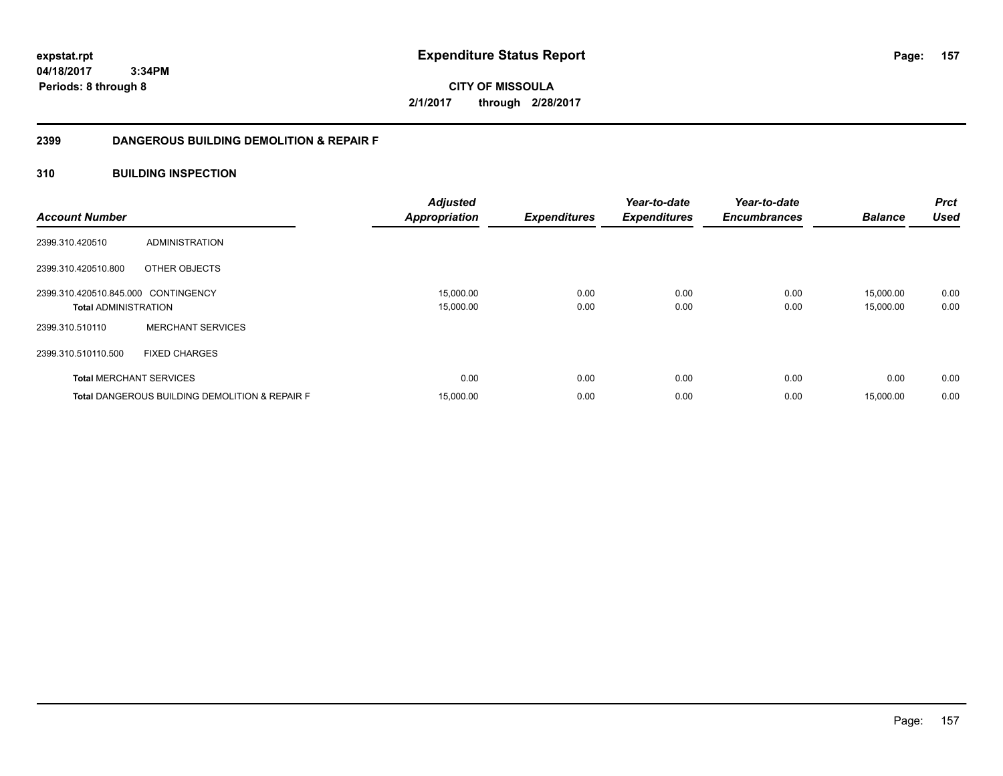**157**

**04/18/2017 3:34PM Periods: 8 through 8**

**CITY OF MISSOULA 2/1/2017 through 2/28/2017**

# **2399 DANGEROUS BUILDING DEMOLITION & REPAIR F**

# **310 BUILDING INSPECTION**

| <b>Account Number</b>                                              |                                                           | <b>Adjusted</b><br><b>Appropriation</b> | <b>Expenditures</b> | Year-to-date<br><b>Expenditures</b> | Year-to-date<br><b>Encumbrances</b> | <b>Balance</b>         | <b>Prct</b><br><b>Used</b> |
|--------------------------------------------------------------------|-----------------------------------------------------------|-----------------------------------------|---------------------|-------------------------------------|-------------------------------------|------------------------|----------------------------|
| 2399.310.420510                                                    | ADMINISTRATION                                            |                                         |                     |                                     |                                     |                        |                            |
| 2399.310.420510.800                                                | OTHER OBJECTS                                             |                                         |                     |                                     |                                     |                        |                            |
| 2399.310.420510.845.000 CONTINGENCY<br><b>Total ADMINISTRATION</b> |                                                           | 15,000.00<br>15,000.00                  | 0.00<br>0.00        | 0.00<br>0.00                        | 0.00<br>0.00                        | 15.000.00<br>15,000.00 | 0.00<br>0.00               |
| 2399.310.510110                                                    | <b>MERCHANT SERVICES</b>                                  |                                         |                     |                                     |                                     |                        |                            |
| 2399.310.510110.500                                                | <b>FIXED CHARGES</b>                                      |                                         |                     |                                     |                                     |                        |                            |
|                                                                    | <b>Total MERCHANT SERVICES</b>                            | 0.00                                    | 0.00                | 0.00                                | 0.00                                | 0.00                   | 0.00                       |
|                                                                    | <b>Total DANGEROUS BUILDING DEMOLITION &amp; REPAIR F</b> | 15,000.00                               | 0.00                | 0.00                                | 0.00                                | 15,000.00              | 0.00                       |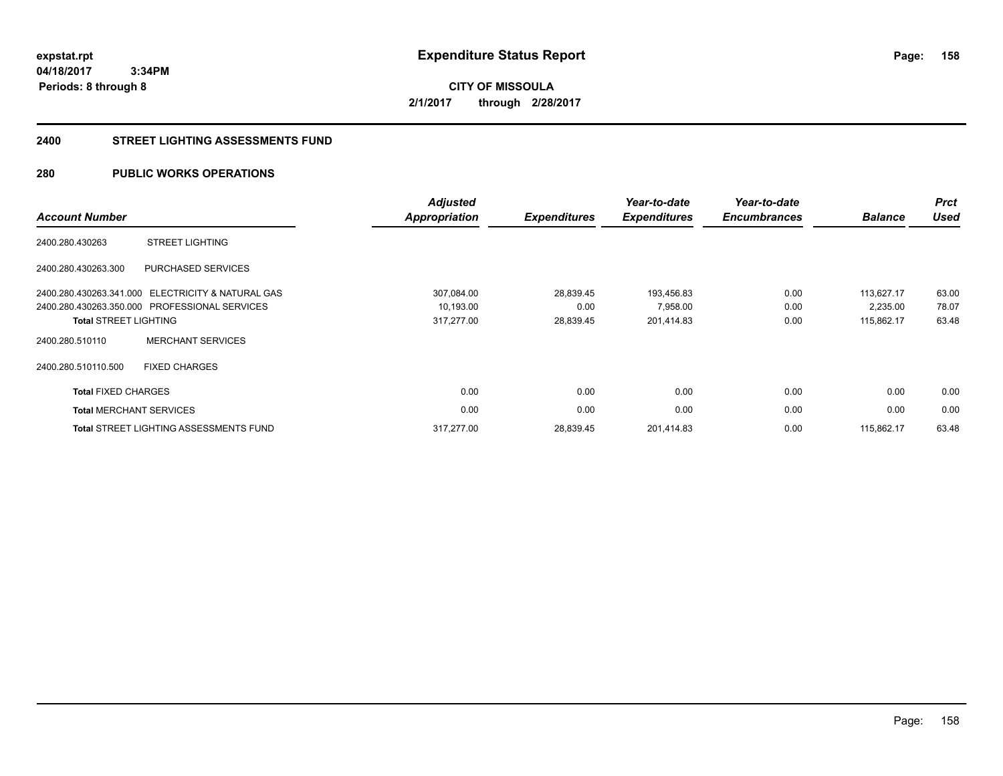**CITY OF MISSOULA 2/1/2017 through 2/28/2017**

#### **2400 STREET LIGHTING ASSESSMENTS FUND**

# **280 PUBLIC WORKS OPERATIONS**

| <b>Account Number</b>          |                                                   | <b>Adjusted</b><br>Appropriation | <b>Expenditures</b> | Year-to-date<br><b>Expenditures</b> | Year-to-date<br><b>Encumbrances</b> | <b>Balance</b> | <b>Prct</b><br><b>Used</b> |
|--------------------------------|---------------------------------------------------|----------------------------------|---------------------|-------------------------------------|-------------------------------------|----------------|----------------------------|
| 2400.280.430263                | <b>STREET LIGHTING</b>                            |                                  |                     |                                     |                                     |                |                            |
| 2400.280.430263.300            | PURCHASED SERVICES                                |                                  |                     |                                     |                                     |                |                            |
|                                | 2400.280.430263.341.000 ELECTRICITY & NATURAL GAS | 307,084.00                       | 28,839.45           | 193,456.83                          | 0.00                                | 113,627.17     | 63.00                      |
|                                | 2400.280.430263.350.000 PROFESSIONAL SERVICES     | 10,193.00                        | 0.00                | 7,958.00                            | 0.00                                | 2,235.00       | 78.07                      |
| <b>Total STREET LIGHTING</b>   |                                                   | 317,277.00                       | 28,839.45           | 201,414.83                          | 0.00                                | 115,862.17     | 63.48                      |
| 2400.280.510110                | <b>MERCHANT SERVICES</b>                          |                                  |                     |                                     |                                     |                |                            |
| 2400.280.510110.500            | <b>FIXED CHARGES</b>                              |                                  |                     |                                     |                                     |                |                            |
| <b>Total FIXED CHARGES</b>     |                                                   | 0.00                             | 0.00                | 0.00                                | 0.00                                | 0.00           | 0.00                       |
| <b>Total MERCHANT SERVICES</b> |                                                   | 0.00                             | 0.00                | 0.00                                | 0.00                                | 0.00           | 0.00                       |
|                                | <b>Total STREET LIGHTING ASSESSMENTS FUND</b>     | 317,277.00                       | 28,839.45           | 201,414.83                          | 0.00                                | 115,862.17     | 63.48                      |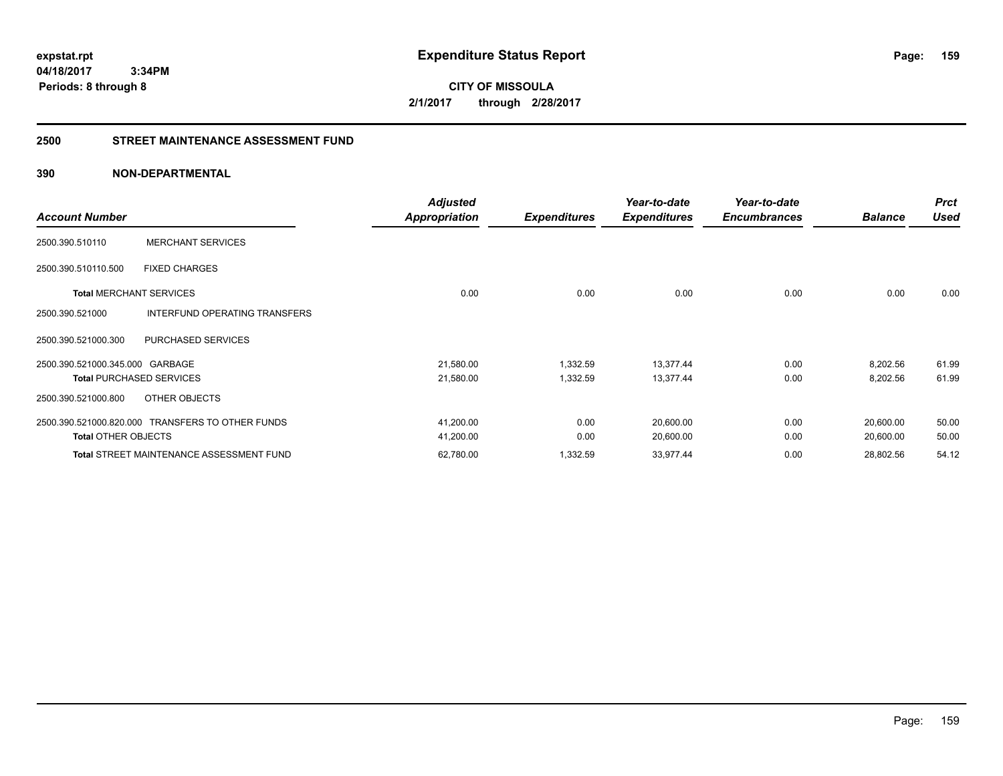**CITY OF MISSOULA 2/1/2017 through 2/28/2017**

#### **2500 STREET MAINTENANCE ASSESSMENT FUND**

| <b>Account Number</b>           |                                                  | <b>Adjusted</b><br><b>Appropriation</b> | <b>Expenditures</b> | Year-to-date<br><b>Expenditures</b> | Year-to-date<br><b>Encumbrances</b> | <b>Balance</b> | <b>Prct</b><br><b>Used</b> |
|---------------------------------|--------------------------------------------------|-----------------------------------------|---------------------|-------------------------------------|-------------------------------------|----------------|----------------------------|
| 2500.390.510110                 | <b>MERCHANT SERVICES</b>                         |                                         |                     |                                     |                                     |                |                            |
| 2500.390.510110.500             | <b>FIXED CHARGES</b>                             |                                         |                     |                                     |                                     |                |                            |
| <b>Total MERCHANT SERVICES</b>  |                                                  | 0.00                                    | 0.00                | 0.00                                | 0.00                                | 0.00           | 0.00                       |
| 2500.390.521000                 | INTERFUND OPERATING TRANSFERS                    |                                         |                     |                                     |                                     |                |                            |
| 2500.390.521000.300             | PURCHASED SERVICES                               |                                         |                     |                                     |                                     |                |                            |
| 2500.390.521000.345.000 GARBAGE |                                                  | 21,580.00                               | 1,332.59            | 13,377.44                           | 0.00                                | 8,202.56       | 61.99                      |
|                                 | <b>Total PURCHASED SERVICES</b>                  | 21,580.00                               | 1,332.59            | 13,377.44                           | 0.00                                | 8,202.56       | 61.99                      |
| 2500.390.521000.800             | OTHER OBJECTS                                    |                                         |                     |                                     |                                     |                |                            |
|                                 | 2500.390.521000.820.000 TRANSFERS TO OTHER FUNDS | 41,200.00                               | 0.00                | 20,600.00                           | 0.00                                | 20,600.00      | 50.00                      |
| <b>Total OTHER OBJECTS</b>      |                                                  | 41,200.00                               | 0.00                | 20,600.00                           | 0.00                                | 20,600.00      | 50.00                      |
|                                 | <b>Total STREET MAINTENANCE ASSESSMENT FUND</b>  | 62,780.00                               | 1,332.59            | 33,977.44                           | 0.00                                | 28,802.56      | 54.12                      |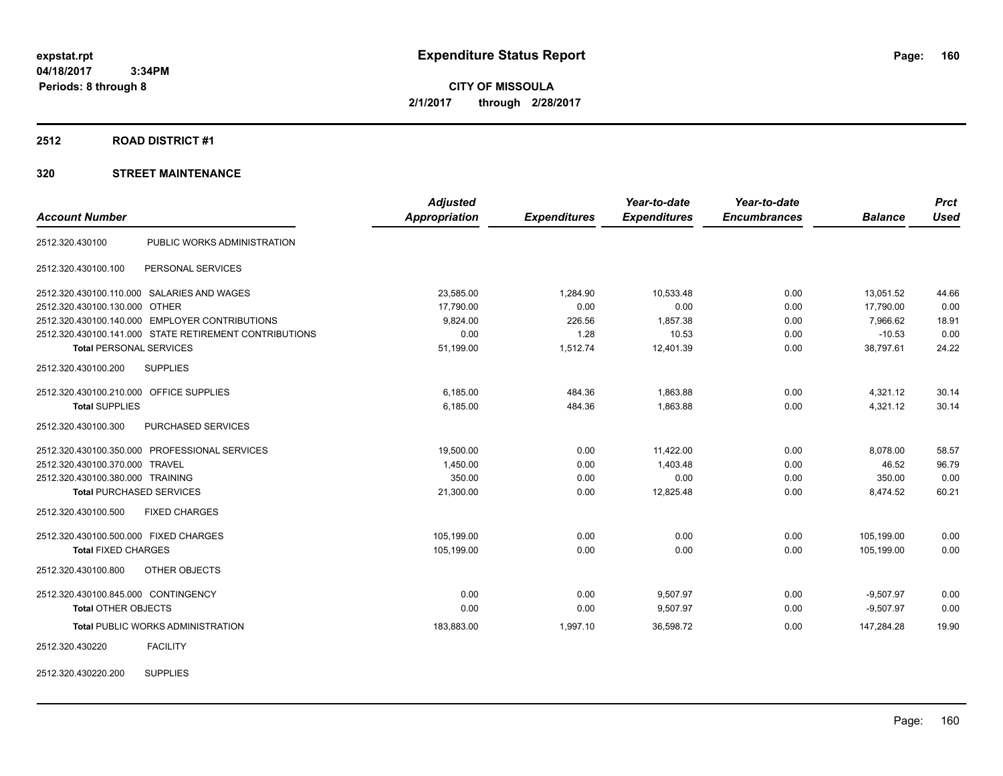**CITY OF MISSOULA 2/1/2017 through 2/28/2017**

#### **2512 ROAD DISTRICT #1**

|                                                        | <b>Adjusted</b> |                     | Year-to-date        | Year-to-date        |                | <b>Prct</b> |
|--------------------------------------------------------|-----------------|---------------------|---------------------|---------------------|----------------|-------------|
| <b>Account Number</b>                                  | Appropriation   | <b>Expenditures</b> | <b>Expenditures</b> | <b>Encumbrances</b> | <b>Balance</b> | <b>Used</b> |
| PUBLIC WORKS ADMINISTRATION<br>2512.320.430100         |                 |                     |                     |                     |                |             |
| 2512.320.430100.100<br>PERSONAL SERVICES               |                 |                     |                     |                     |                |             |
| 2512.320.430100.110.000 SALARIES AND WAGES             | 23,585.00       | 1,284.90            | 10,533.48           | 0.00                | 13,051.52      | 44.66       |
| 2512.320.430100.130.000 OTHER                          | 17,790.00       | 0.00                | 0.00                | 0.00                | 17,790.00      | 0.00        |
| 2512.320.430100.140.000 EMPLOYER CONTRIBUTIONS         | 9,824.00        | 226.56              | 1,857.38            | 0.00                | 7,966.62       | 18.91       |
| 2512.320.430100.141.000 STATE RETIREMENT CONTRIBUTIONS | 0.00            | 1.28                | 10.53               | 0.00                | $-10.53$       | 0.00        |
| <b>Total PERSONAL SERVICES</b>                         | 51,199.00       | 1,512.74            | 12,401.39           | 0.00                | 38,797.61      | 24.22       |
| <b>SUPPLIES</b><br>2512.320.430100.200                 |                 |                     |                     |                     |                |             |
| 2512.320.430100.210.000 OFFICE SUPPLIES                | 6,185.00        | 484.36              | 1,863.88            | 0.00                | 4,321.12       | 30.14       |
| <b>Total SUPPLIES</b>                                  | 6,185.00        | 484.36              | 1,863.88            | 0.00                | 4,321.12       | 30.14       |
| PURCHASED SERVICES<br>2512.320.430100.300              |                 |                     |                     |                     |                |             |
| 2512.320.430100.350.000 PROFESSIONAL SERVICES          | 19,500.00       | 0.00                | 11,422.00           | 0.00                | 8,078.00       | 58.57       |
| 2512.320.430100.370.000 TRAVEL                         | 1,450.00        | 0.00                | 1,403.48            | 0.00                | 46.52          | 96.79       |
| 2512.320.430100.380.000 TRAINING                       | 350.00          | 0.00                | 0.00                | 0.00                | 350.00         | 0.00        |
| <b>Total PURCHASED SERVICES</b>                        | 21,300.00       | 0.00                | 12,825.48           | 0.00                | 8,474.52       | 60.21       |
| <b>FIXED CHARGES</b><br>2512.320.430100.500            |                 |                     |                     |                     |                |             |
| 2512.320.430100.500.000 FIXED CHARGES                  | 105,199.00      | 0.00                | 0.00                | 0.00                | 105,199.00     | 0.00        |
| <b>Total FIXED CHARGES</b>                             | 105,199.00      | 0.00                | 0.00                | 0.00                | 105,199.00     | 0.00        |
| OTHER OBJECTS<br>2512.320.430100.800                   |                 |                     |                     |                     |                |             |
| 2512.320.430100.845.000 CONTINGENCY                    | 0.00            | 0.00                | 9,507.97            | 0.00                | $-9,507.97$    | 0.00        |
| <b>Total OTHER OBJECTS</b>                             | 0.00            | 0.00                | 9,507.97            | 0.00                | $-9,507.97$    | 0.00        |
| <b>Total PUBLIC WORKS ADMINISTRATION</b>               | 183,883.00      | 1,997.10            | 36,598.72           | 0.00                | 147,284.28     | 19.90       |
| <b>FACILITY</b><br>2512.320.430220                     |                 |                     |                     |                     |                |             |
| <b>SUPPLIES</b><br>2512.320.430220.200                 |                 |                     |                     |                     |                |             |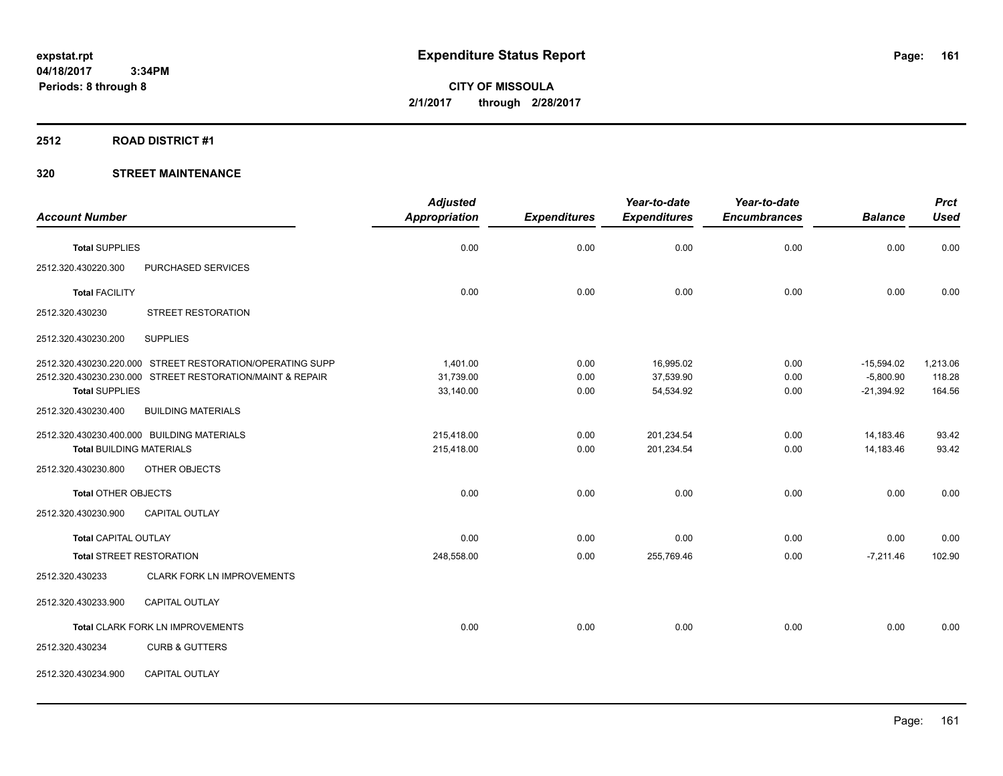**CITY OF MISSOULA 2/1/2017 through 2/28/2017**

#### **2512 ROAD DISTRICT #1**

|                                 |                                                           | <b>Adjusted</b> |                     | Year-to-date        | Year-to-date        |                | <b>Prct</b> |
|---------------------------------|-----------------------------------------------------------|-----------------|---------------------|---------------------|---------------------|----------------|-------------|
| <b>Account Number</b>           |                                                           | Appropriation   | <b>Expenditures</b> | <b>Expenditures</b> | <b>Encumbrances</b> | <b>Balance</b> | <b>Used</b> |
| <b>Total SUPPLIES</b>           |                                                           | 0.00            | 0.00                | 0.00                | 0.00                | 0.00           | 0.00        |
| 2512.320.430220.300             | PURCHASED SERVICES                                        |                 |                     |                     |                     |                |             |
| <b>Total FACILITY</b>           |                                                           | 0.00            | 0.00                | 0.00                | 0.00                | 0.00           | 0.00        |
| 2512.320.430230                 | <b>STREET RESTORATION</b>                                 |                 |                     |                     |                     |                |             |
| 2512.320.430230.200             | <b>SUPPLIES</b>                                           |                 |                     |                     |                     |                |             |
|                                 | 2512.320.430230.220.000 STREET RESTORATION/OPERATING SUPP | 1,401.00        | 0.00                | 16,995.02           | 0.00                | $-15,594.02$   | 1,213.06    |
|                                 | 2512.320.430230.230.000 STREET RESTORATION/MAINT & REPAIR | 31,739.00       | 0.00                | 37,539.90           | 0.00                | $-5,800.90$    | 118.28      |
| <b>Total SUPPLIES</b>           |                                                           | 33,140.00       | 0.00                | 54,534.92           | 0.00                | $-21,394.92$   | 164.56      |
| 2512.320.430230.400             | <b>BUILDING MATERIALS</b>                                 |                 |                     |                     |                     |                |             |
|                                 | 2512.320.430230.400.000 BUILDING MATERIALS                | 215,418.00      | 0.00                | 201,234.54          | 0.00                | 14,183.46      | 93.42       |
| <b>Total BUILDING MATERIALS</b> |                                                           | 215,418.00      | 0.00                | 201,234.54          | 0.00                | 14,183.46      | 93.42       |
| 2512.320.430230.800             | OTHER OBJECTS                                             |                 |                     |                     |                     |                |             |
| <b>Total OTHER OBJECTS</b>      |                                                           | 0.00            | 0.00                | 0.00                | 0.00                | 0.00           | 0.00        |
| 2512.320.430230.900             | <b>CAPITAL OUTLAY</b>                                     |                 |                     |                     |                     |                |             |
| <b>Total CAPITAL OUTLAY</b>     |                                                           | 0.00            | 0.00                | 0.00                | 0.00                | 0.00           | 0.00        |
| <b>Total STREET RESTORATION</b> |                                                           | 248,558.00      | 0.00                | 255,769.46          | 0.00                | $-7,211.46$    | 102.90      |
| 2512.320.430233                 | <b>CLARK FORK LN IMPROVEMENTS</b>                         |                 |                     |                     |                     |                |             |
| 2512.320.430233.900             | <b>CAPITAL OUTLAY</b>                                     |                 |                     |                     |                     |                |             |
|                                 | Total CLARK FORK LN IMPROVEMENTS                          | 0.00            | 0.00                | 0.00                | 0.00                | 0.00           | 0.00        |
| 2512.320.430234                 | <b>CURB &amp; GUTTERS</b>                                 |                 |                     |                     |                     |                |             |
| 2512.320.430234.900             | CAPITAL OUTLAY                                            |                 |                     |                     |                     |                |             |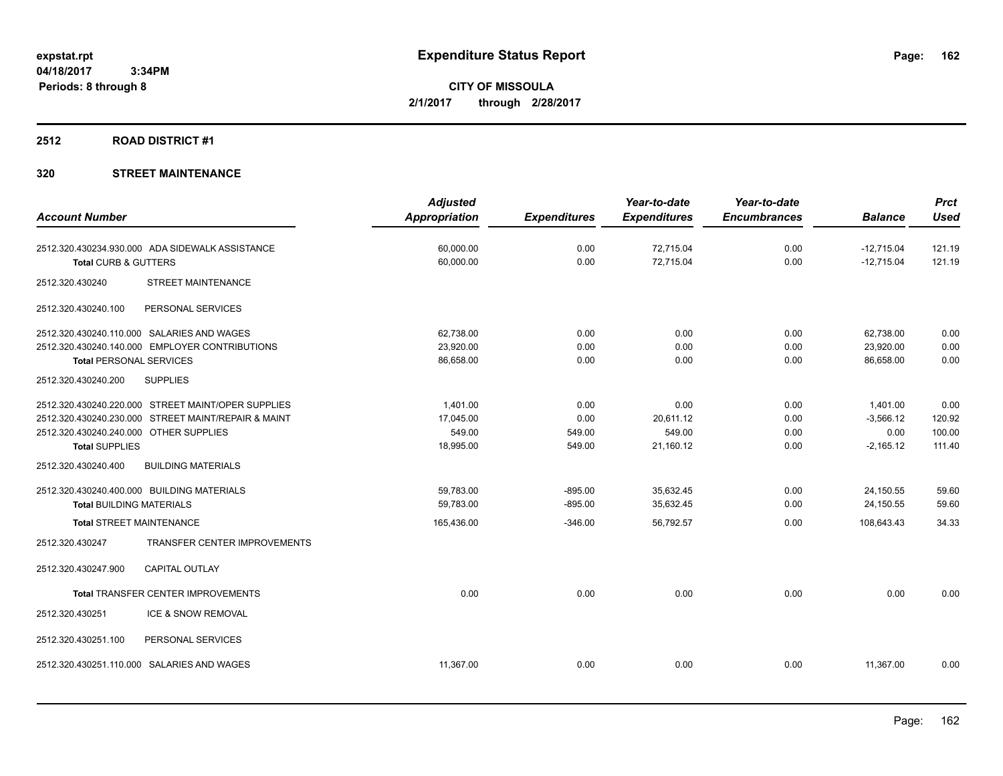**CITY OF MISSOULA 2/1/2017 through 2/28/2017**

#### **2512 ROAD DISTRICT #1**

|                                        |                                                     | <b>Adjusted</b>      |                     | Year-to-date        | Year-to-date        |                | <b>Prct</b> |
|----------------------------------------|-----------------------------------------------------|----------------------|---------------------|---------------------|---------------------|----------------|-------------|
| <b>Account Number</b>                  |                                                     | <b>Appropriation</b> | <b>Expenditures</b> | <b>Expenditures</b> | <b>Encumbrances</b> | <b>Balance</b> | <b>Used</b> |
|                                        | 2512.320.430234.930.000 ADA SIDEWALK ASSISTANCE     | 60,000.00            | 0.00                | 72,715.04           | 0.00                | $-12,715.04$   | 121.19      |
| Total CURB & GUTTERS                   |                                                     | 60,000.00            | 0.00                | 72,715.04           | 0.00                | $-12,715.04$   | 121.19      |
| 2512.320.430240                        | <b>STREET MAINTENANCE</b>                           |                      |                     |                     |                     |                |             |
| 2512.320.430240.100                    | PERSONAL SERVICES                                   |                      |                     |                     |                     |                |             |
|                                        | 2512.320.430240.110.000 SALARIES AND WAGES          | 62,738.00            | 0.00                | 0.00                | 0.00                | 62,738.00      | 0.00        |
|                                        | 2512.320.430240.140.000 EMPLOYER CONTRIBUTIONS      | 23,920.00            | 0.00                | 0.00                | 0.00                | 23,920.00      | 0.00        |
| <b>Total PERSONAL SERVICES</b>         |                                                     | 86,658.00            | 0.00                | 0.00                | 0.00                | 86.658.00      | 0.00        |
| 2512.320.430240.200                    | <b>SUPPLIES</b>                                     |                      |                     |                     |                     |                |             |
|                                        | 2512.320.430240.220.000 STREET MAINT/OPER SUPPLIES  | 1,401.00             | 0.00                | 0.00                | 0.00                | 1,401.00       | 0.00        |
|                                        | 2512.320.430240.230.000 STREET MAINT/REPAIR & MAINT | 17,045.00            | 0.00                | 20,611.12           | 0.00                | $-3,566.12$    | 120.92      |
| 2512.320.430240.240.000 OTHER SUPPLIES |                                                     | 549.00               | 549.00              | 549.00              | 0.00                | 0.00           | 100.00      |
| <b>Total SUPPLIES</b>                  |                                                     | 18,995.00            | 549.00              | 21,160.12           | 0.00                | $-2,165.12$    | 111.40      |
| 2512.320.430240.400                    | <b>BUILDING MATERIALS</b>                           |                      |                     |                     |                     |                |             |
|                                        | 2512.320.430240.400.000 BUILDING MATERIALS          | 59.783.00            | $-895.00$           | 35,632.45           | 0.00                | 24,150.55      | 59.60       |
| <b>Total BUILDING MATERIALS</b>        |                                                     | 59.783.00            | $-895.00$           | 35,632.45           | 0.00                | 24,150.55      | 59.60       |
| <b>Total STREET MAINTENANCE</b>        |                                                     | 165,436.00           | $-346.00$           | 56,792.57           | 0.00                | 108,643.43     | 34.33       |
| 2512.320.430247                        | TRANSFER CENTER IMPROVEMENTS                        |                      |                     |                     |                     |                |             |
| 2512.320.430247.900                    | <b>CAPITAL OUTLAY</b>                               |                      |                     |                     |                     |                |             |
|                                        | <b>Total TRANSFER CENTER IMPROVEMENTS</b>           | 0.00                 | 0.00                | 0.00                | 0.00                | 0.00           | 0.00        |
| 2512.320.430251                        | ICE & SNOW REMOVAL                                  |                      |                     |                     |                     |                |             |
| 2512.320.430251.100                    | PERSONAL SERVICES                                   |                      |                     |                     |                     |                |             |
|                                        | 2512.320.430251.110.000 SALARIES AND WAGES          | 11,367.00            | 0.00                | 0.00                | 0.00                | 11,367.00      | 0.00        |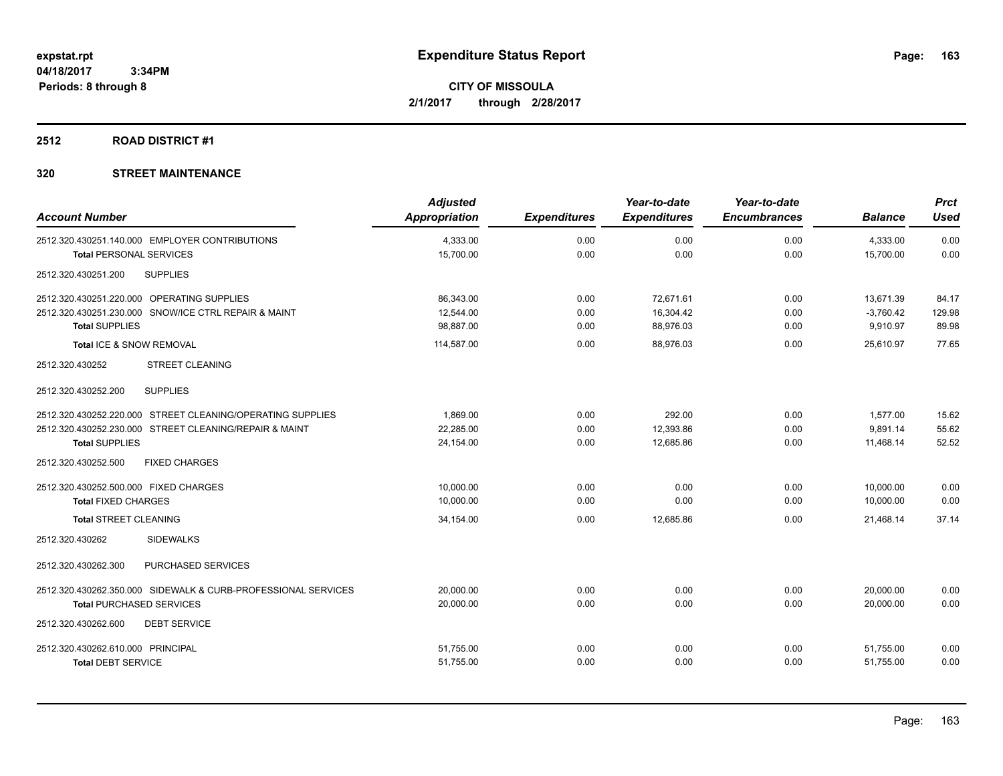# **2512 ROAD DISTRICT #1**

| <b>Account Number</b>                                                            | <b>Adjusted</b><br><b>Appropriation</b> | <b>Expenditures</b> | Year-to-date<br><b>Expenditures</b> | Year-to-date<br><b>Encumbrances</b> | <b>Balance</b>        | <b>Prct</b><br><b>Used</b> |
|----------------------------------------------------------------------------------|-----------------------------------------|---------------------|-------------------------------------|-------------------------------------|-----------------------|----------------------------|
|                                                                                  |                                         |                     |                                     |                                     |                       |                            |
| 2512.320.430251.140.000 EMPLOYER CONTRIBUTIONS<br><b>Total PERSONAL SERVICES</b> | 4,333.00<br>15,700.00                   | 0.00<br>0.00        | 0.00<br>0.00                        | 0.00<br>0.00                        | 4,333.00<br>15,700.00 | 0.00<br>0.00               |
| <b>SUPPLIES</b><br>2512.320.430251.200                                           |                                         |                     |                                     |                                     |                       |                            |
| 2512.320.430251.220.000 OPERATING SUPPLIES                                       | 86,343.00                               | 0.00                | 72,671.61                           | 0.00                                | 13,671.39             | 84.17                      |
| 2512.320.430251.230.000 SNOW/ICE CTRL REPAIR & MAINT                             | 12.544.00                               | 0.00                | 16,304.42                           | 0.00                                | $-3,760.42$           | 129.98                     |
| <b>Total SUPPLIES</b>                                                            | 98,887.00                               | 0.00                | 88,976.03                           | 0.00                                | 9,910.97              | 89.98                      |
| Total ICE & SNOW REMOVAL                                                         | 114,587.00                              | 0.00                | 88.976.03                           | 0.00                                | 25.610.97             | 77.65                      |
| 2512.320.430252<br><b>STREET CLEANING</b>                                        |                                         |                     |                                     |                                     |                       |                            |
| <b>SUPPLIES</b><br>2512.320.430252.200                                           |                                         |                     |                                     |                                     |                       |                            |
| 2512.320.430252.220.000 STREET CLEANING/OPERATING SUPPLIES                       | 1,869.00                                | 0.00                | 292.00                              | 0.00                                | 1,577.00              | 15.62                      |
| 2512.320.430252.230.000 STREET CLEANING/REPAIR & MAINT                           | 22,285.00                               | 0.00                | 12,393.86                           | 0.00                                | 9,891.14              | 55.62                      |
| <b>Total SUPPLIES</b>                                                            | 24,154.00                               | 0.00                | 12,685.86                           | 0.00                                | 11,468.14             | 52.52                      |
| 2512.320.430252.500<br><b>FIXED CHARGES</b>                                      |                                         |                     |                                     |                                     |                       |                            |
| 2512.320.430252.500.000 FIXED CHARGES                                            | 10,000.00                               | 0.00                | 0.00                                | 0.00                                | 10,000.00             | 0.00                       |
| <b>Total FIXED CHARGES</b>                                                       | 10,000.00                               | 0.00                | 0.00                                | 0.00                                | 10,000.00             | 0.00                       |
| <b>Total STREET CLEANING</b>                                                     | 34,154.00                               | 0.00                | 12,685.86                           | 0.00                                | 21,468.14             | 37.14                      |
| <b>SIDEWALKS</b><br>2512.320.430262                                              |                                         |                     |                                     |                                     |                       |                            |
| 2512.320.430262.300<br>PURCHASED SERVICES                                        |                                         |                     |                                     |                                     |                       |                            |
| 2512.320.430262.350.000 SIDEWALK & CURB-PROFESSIONAL SERVICES                    | 20,000.00                               | 0.00                | 0.00                                | 0.00                                | 20,000.00             | 0.00                       |
| <b>Total PURCHASED SERVICES</b>                                                  | 20,000.00                               | 0.00                | 0.00                                | 0.00                                | 20.000.00             | 0.00                       |
| <b>DEBT SERVICE</b><br>2512.320.430262.600                                       |                                         |                     |                                     |                                     |                       |                            |
| 2512.320.430262.610.000 PRINCIPAL                                                | 51,755.00                               | 0.00                | 0.00                                | 0.00                                | 51,755.00             | 0.00                       |
| <b>Total DEBT SERVICE</b>                                                        | 51,755.00                               | 0.00                | 0.00                                | 0.00                                | 51,755.00             | 0.00                       |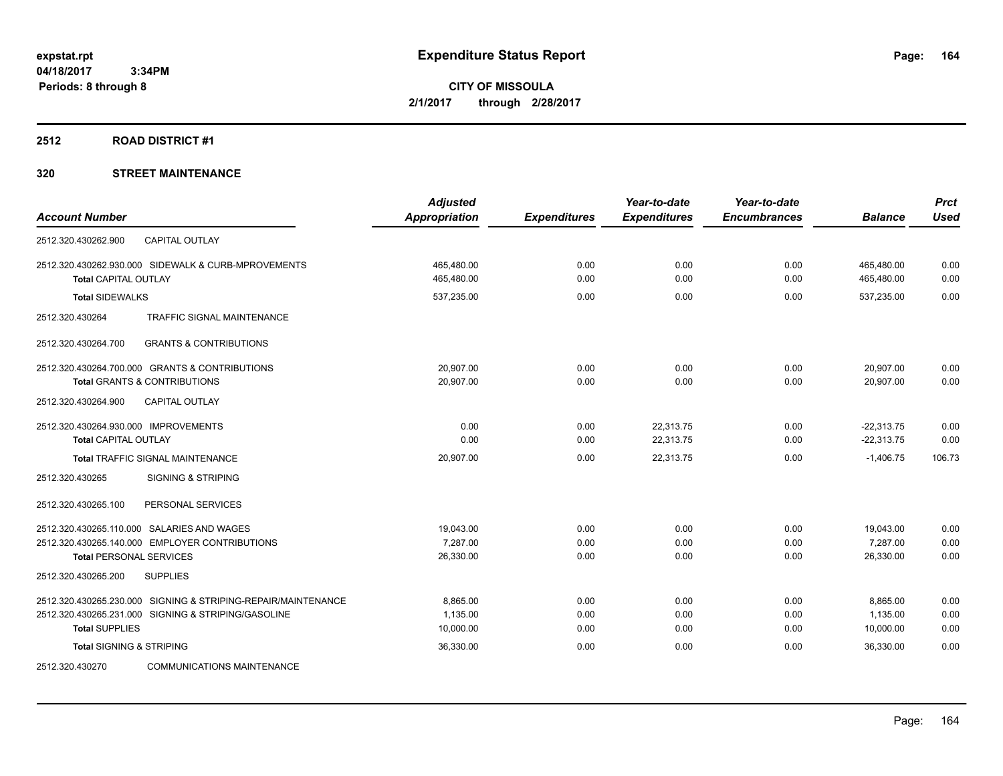#### **2512 ROAD DISTRICT #1**

|                                                               | <b>Adjusted</b> |                     | Year-to-date        | Year-to-date        |                | <b>Prct</b> |
|---------------------------------------------------------------|-----------------|---------------------|---------------------|---------------------|----------------|-------------|
| <b>Account Number</b>                                         | Appropriation   | <b>Expenditures</b> | <b>Expenditures</b> | <b>Encumbrances</b> | <b>Balance</b> | <b>Used</b> |
| 2512.320.430262.900<br><b>CAPITAL OUTLAY</b>                  |                 |                     |                     |                     |                |             |
| 2512.320.430262.930.000 SIDEWALK & CURB-MPROVEMENTS           | 465,480.00      | 0.00                | 0.00                | 0.00                | 465,480.00     | 0.00        |
| <b>Total CAPITAL OUTLAY</b>                                   | 465,480.00      | 0.00                | 0.00                | 0.00                | 465,480.00     | 0.00        |
| <b>Total SIDEWALKS</b>                                        | 537,235.00      | 0.00                | 0.00                | 0.00                | 537,235.00     | 0.00        |
| TRAFFIC SIGNAL MAINTENANCE<br>2512.320.430264                 |                 |                     |                     |                     |                |             |
| <b>GRANTS &amp; CONTRIBUTIONS</b><br>2512.320.430264.700      |                 |                     |                     |                     |                |             |
| 2512.320.430264.700.000 GRANTS & CONTRIBUTIONS                | 20,907.00       | 0.00                | 0.00                | 0.00                | 20,907.00      | 0.00        |
| <b>Total GRANTS &amp; CONTRIBUTIONS</b>                       | 20,907.00       | 0.00                | 0.00                | 0.00                | 20,907.00      | 0.00        |
| 2512.320.430264.900<br><b>CAPITAL OUTLAY</b>                  |                 |                     |                     |                     |                |             |
| 2512.320.430264.930.000 IMPROVEMENTS                          | 0.00            | 0.00                | 22,313.75           | 0.00                | $-22,313.75$   | 0.00        |
| <b>Total CAPITAL OUTLAY</b>                                   | 0.00            | 0.00                | 22,313.75           | 0.00                | $-22,313.75$   | 0.00        |
| Total TRAFFIC SIGNAL MAINTENANCE                              | 20,907.00       | 0.00                | 22,313.75           | 0.00                | $-1,406.75$    | 106.73      |
| 2512.320.430265<br><b>SIGNING &amp; STRIPING</b>              |                 |                     |                     |                     |                |             |
| 2512.320.430265.100<br>PERSONAL SERVICES                      |                 |                     |                     |                     |                |             |
| 2512.320.430265.110.000 SALARIES AND WAGES                    | 19,043.00       | 0.00                | 0.00                | 0.00                | 19,043.00      | 0.00        |
| 2512.320.430265.140.000 EMPLOYER CONTRIBUTIONS                | 7,287.00        | 0.00                | 0.00                | 0.00                | 7,287.00       | 0.00        |
| <b>Total PERSONAL SERVICES</b>                                | 26,330.00       | 0.00                | 0.00                | 0.00                | 26,330.00      | 0.00        |
| <b>SUPPLIES</b><br>2512.320.430265.200                        |                 |                     |                     |                     |                |             |
| 2512.320.430265.230.000 SIGNING & STRIPING-REPAIR/MAINTENANCE | 8,865.00        | 0.00                | 0.00                | 0.00                | 8,865.00       | 0.00        |
| 2512.320.430265.231.000 SIGNING & STRIPING/GASOLINE           | 1,135.00        | 0.00                | 0.00                | 0.00                | 1,135.00       | 0.00        |
| <b>Total SUPPLIES</b>                                         | 10,000.00       | 0.00                | 0.00                | 0.00                | 10,000.00      | 0.00        |
| <b>Total SIGNING &amp; STRIPING</b>                           | 36,330.00       | 0.00                | 0.00                | 0.00                | 36,330.00      | 0.00        |
| <b>COMMUNICATIONS MAINTENANCE</b><br>2512.320.430270          |                 |                     |                     |                     |                |             |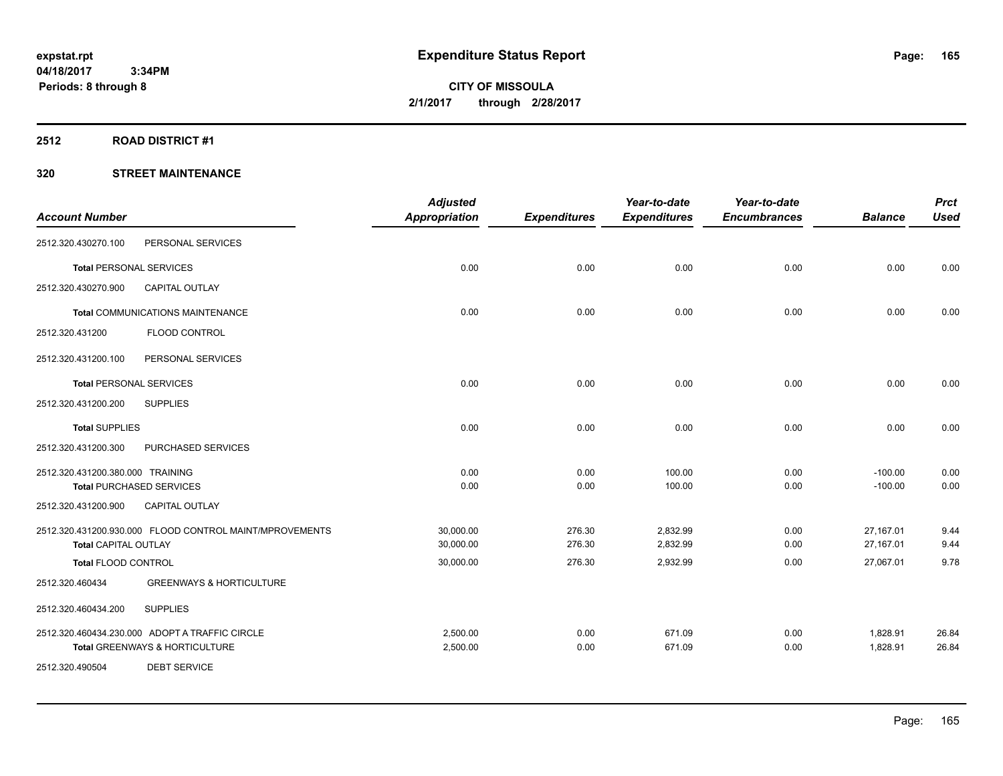#### **2512 ROAD DISTRICT #1**

|                                  |                                                         | <b>Adjusted</b>      |                     | Year-to-date        | Year-to-date        |                | <b>Prct</b> |
|----------------------------------|---------------------------------------------------------|----------------------|---------------------|---------------------|---------------------|----------------|-------------|
| <b>Account Number</b>            |                                                         | <b>Appropriation</b> | <b>Expenditures</b> | <b>Expenditures</b> | <b>Encumbrances</b> | <b>Balance</b> | <b>Used</b> |
| 2512.320.430270.100              | PERSONAL SERVICES                                       |                      |                     |                     |                     |                |             |
| <b>Total PERSONAL SERVICES</b>   |                                                         | 0.00                 | 0.00                | 0.00                | 0.00                | 0.00           | 0.00        |
| 2512.320.430270.900              | <b>CAPITAL OUTLAY</b>                                   |                      |                     |                     |                     |                |             |
|                                  | <b>Total COMMUNICATIONS MAINTENANCE</b>                 | 0.00                 | 0.00                | 0.00                | 0.00                | 0.00           | 0.00        |
| 2512.320.431200                  | FLOOD CONTROL                                           |                      |                     |                     |                     |                |             |
| 2512.320.431200.100              | PERSONAL SERVICES                                       |                      |                     |                     |                     |                |             |
| <b>Total PERSONAL SERVICES</b>   |                                                         | 0.00                 | 0.00                | 0.00                | 0.00                | 0.00           | 0.00        |
| 2512.320.431200.200              | <b>SUPPLIES</b>                                         |                      |                     |                     |                     |                |             |
| <b>Total SUPPLIES</b>            |                                                         | 0.00                 | 0.00                | 0.00                | 0.00                | 0.00           | 0.00        |
| 2512.320.431200.300              | PURCHASED SERVICES                                      |                      |                     |                     |                     |                |             |
| 2512.320.431200.380.000 TRAINING |                                                         | 0.00                 | 0.00                | 100.00              | 0.00                | $-100.00$      | 0.00        |
|                                  | <b>Total PURCHASED SERVICES</b>                         | 0.00                 | 0.00                | 100.00              | 0.00                | $-100.00$      | 0.00        |
| 2512.320.431200.900              | CAPITAL OUTLAY                                          |                      |                     |                     |                     |                |             |
|                                  | 2512.320.431200.930.000 FLOOD CONTROL MAINT/MPROVEMENTS | 30,000.00            | 276.30              | 2,832.99            | 0.00                | 27,167.01      | 9.44        |
| <b>Total CAPITAL OUTLAY</b>      |                                                         | 30,000.00            | 276.30              | 2,832.99            | 0.00                | 27,167.01      | 9.44        |
| Total FLOOD CONTROL              |                                                         | 30,000.00            | 276.30              | 2,932.99            | 0.00                | 27,067.01      | 9.78        |
| 2512.320.460434                  | <b>GREENWAYS &amp; HORTICULTURE</b>                     |                      |                     |                     |                     |                |             |
| 2512.320.460434.200              | <b>SUPPLIES</b>                                         |                      |                     |                     |                     |                |             |
|                                  | 2512.320.460434.230.000 ADOPT A TRAFFIC CIRCLE          | 2,500.00             | 0.00                | 671.09              | 0.00                | 1,828.91       | 26.84       |
|                                  | <b>Total GREENWAYS &amp; HORTICULTURE</b>               | 2,500.00             | 0.00                | 671.09              | 0.00                | 1,828.91       | 26.84       |
| 2512.320.490504                  | <b>DEBT SERVICE</b>                                     |                      |                     |                     |                     |                |             |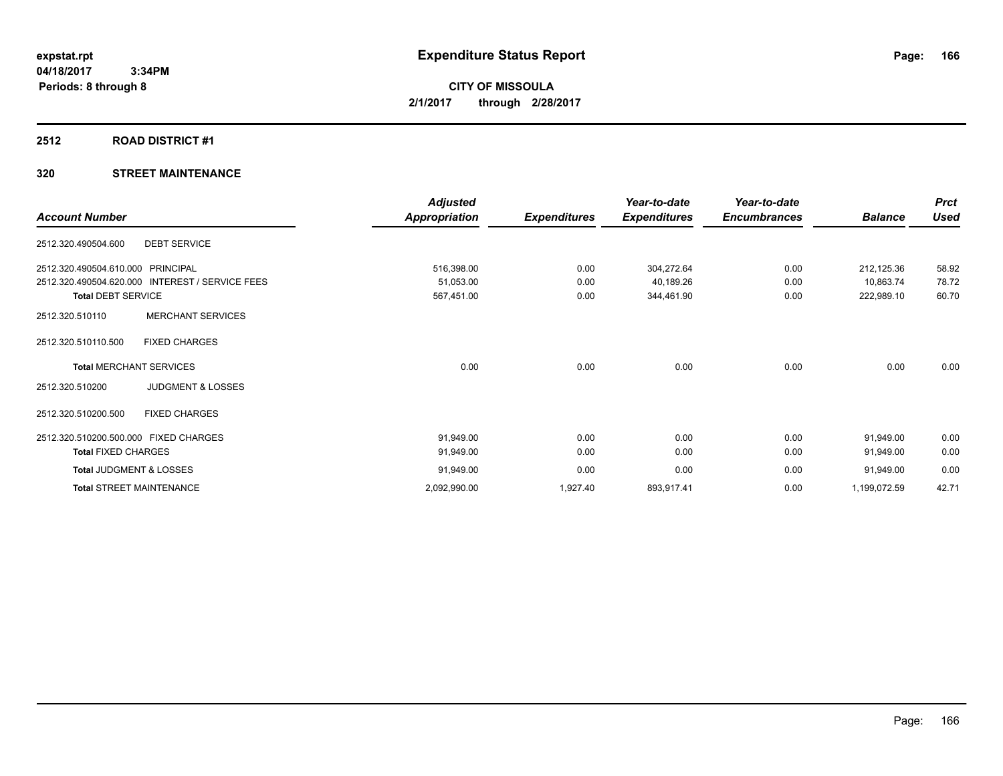# **2512 ROAD DISTRICT #1**

| <b>Account Number</b>                           | <b>Adjusted</b><br>Appropriation | <b>Expenditures</b> | Year-to-date<br><b>Expenditures</b> | Year-to-date<br><b>Encumbrances</b> | <b>Balance</b> | <b>Prct</b><br><b>Used</b> |
|-------------------------------------------------|----------------------------------|---------------------|-------------------------------------|-------------------------------------|----------------|----------------------------|
| <b>DEBT SERVICE</b><br>2512.320.490504.600      |                                  |                     |                                     |                                     |                |                            |
| 2512.320.490504.610.000 PRINCIPAL               | 516,398.00                       | 0.00                | 304,272.64                          | 0.00                                | 212,125.36     | 58.92                      |
| 2512.320.490504.620.000 INTEREST / SERVICE FEES | 51,053.00                        | 0.00                | 40,189.26                           | 0.00                                | 10,863.74      | 78.72                      |
| <b>Total DEBT SERVICE</b>                       | 567,451.00                       | 0.00                | 344,461.90                          | 0.00                                | 222,989.10     | 60.70                      |
| <b>MERCHANT SERVICES</b><br>2512.320.510110     |                                  |                     |                                     |                                     |                |                            |
| <b>FIXED CHARGES</b><br>2512.320.510110.500     |                                  |                     |                                     |                                     |                |                            |
| <b>Total MERCHANT SERVICES</b>                  | 0.00                             | 0.00                | 0.00                                | 0.00                                | 0.00           | 0.00                       |
| <b>JUDGMENT &amp; LOSSES</b><br>2512.320.510200 |                                  |                     |                                     |                                     |                |                            |
| 2512.320.510200.500<br><b>FIXED CHARGES</b>     |                                  |                     |                                     |                                     |                |                            |
| 2512.320.510200.500.000 FIXED CHARGES           | 91,949.00                        | 0.00                | 0.00                                | 0.00                                | 91,949.00      | 0.00                       |
| <b>Total FIXED CHARGES</b>                      | 91,949.00                        | 0.00                | 0.00                                | 0.00                                | 91,949.00      | 0.00                       |
| Total JUDGMENT & LOSSES                         | 91,949.00                        | 0.00                | 0.00                                | 0.00                                | 91,949.00      | 0.00                       |
| <b>Total STREET MAINTENANCE</b>                 | 2,092,990.00                     | 1,927.40            | 893,917.41                          | 0.00                                | 1,199,072.59   | 42.71                      |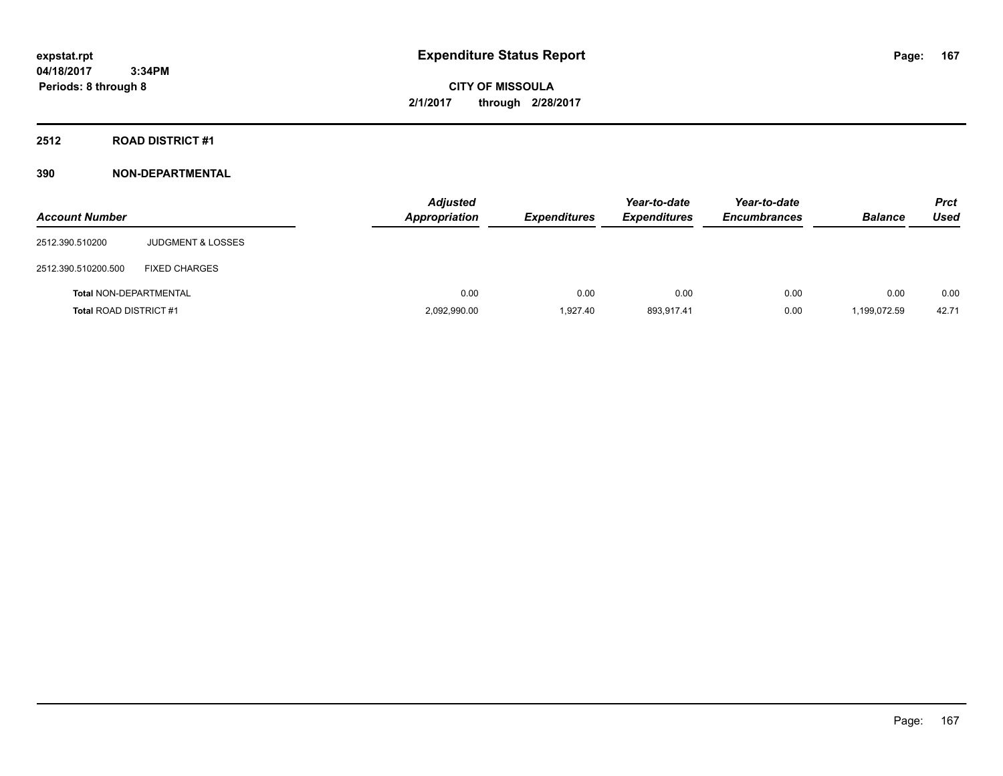**CITY OF MISSOULA 2/1/2017 through 2/28/2017**

#### **2512 ROAD DISTRICT #1**

| <b>Account Number</b>         |                              | <b>Adjusted</b><br><b>Appropriation</b> | <b>Expenditures</b> | Year-to-date<br><b>Expenditures</b> | Year-to-date<br><b>Encumbrances</b> | <b>Balance</b> | <b>Prct</b><br><b>Used</b> |
|-------------------------------|------------------------------|-----------------------------------------|---------------------|-------------------------------------|-------------------------------------|----------------|----------------------------|
| 2512.390.510200               | <b>JUDGMENT &amp; LOSSES</b> |                                         |                     |                                     |                                     |                |                            |
| 2512.390.510200.500           | <b>FIXED CHARGES</b>         |                                         |                     |                                     |                                     |                |                            |
| <b>Total NON-DEPARTMENTAL</b> |                              | 0.00                                    | 0.00                | 0.00                                | 0.00                                | 0.00           | 0.00                       |
| <b>Total ROAD DISTRICT #1</b> |                              | 2,092,990.00                            | 1.927.40            | 893.917.41                          | 0.00                                | 1,199,072.59   | 42.71                      |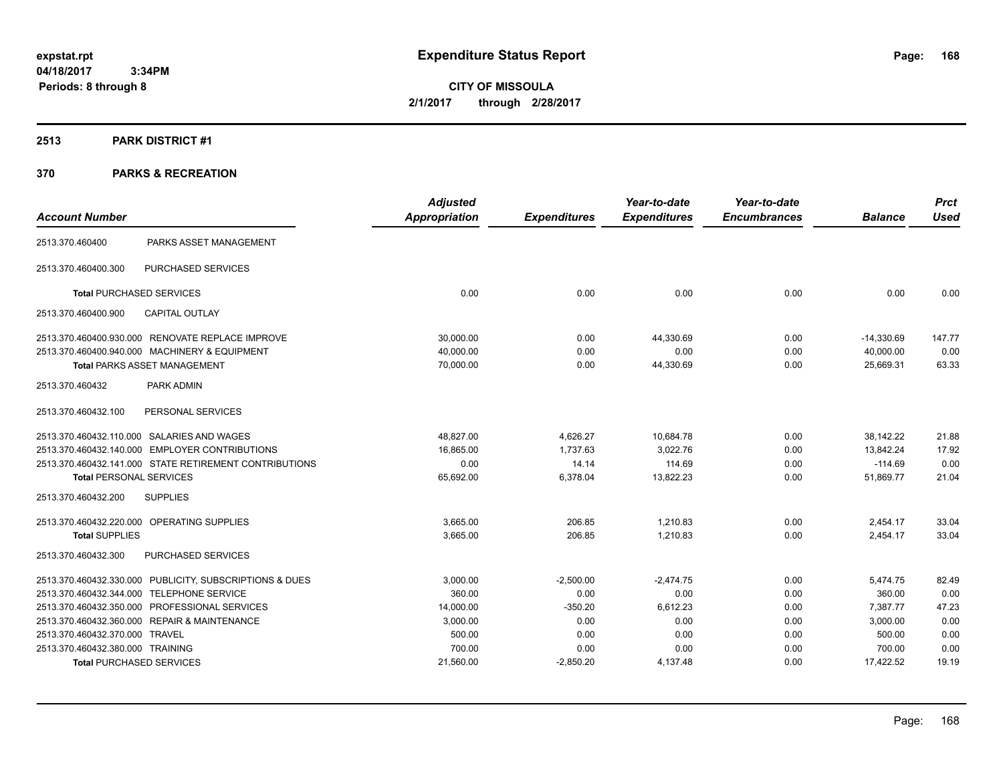**CITY OF MISSOULA 2/1/2017 through 2/28/2017**

#### **2513 PARK DISTRICT #1**

|                                  |                                                         | <b>Adjusted</b>      |                     | Year-to-date        | Year-to-date        |                | <b>Prct</b> |
|----------------------------------|---------------------------------------------------------|----------------------|---------------------|---------------------|---------------------|----------------|-------------|
| <b>Account Number</b>            |                                                         | <b>Appropriation</b> | <b>Expenditures</b> | <b>Expenditures</b> | <b>Encumbrances</b> | <b>Balance</b> | <b>Used</b> |
| 2513.370.460400                  | PARKS ASSET MANAGEMENT                                  |                      |                     |                     |                     |                |             |
| 2513.370.460400.300              | <b>PURCHASED SERVICES</b>                               |                      |                     |                     |                     |                |             |
|                                  | <b>Total PURCHASED SERVICES</b>                         | 0.00                 | 0.00                | 0.00                | 0.00                | 0.00           | 0.00        |
| 2513.370.460400.900              | <b>CAPITAL OUTLAY</b>                                   |                      |                     |                     |                     |                |             |
|                                  | 2513.370.460400.930.000 RENOVATE REPLACE IMPROVE        | 30,000.00            | 0.00                | 44,330.69           | 0.00                | $-14,330.69$   | 147.77      |
|                                  | 2513.370.460400.940.000 MACHINERY & EQUIPMENT           | 40.000.00            | 0.00                | 0.00                | 0.00                | 40,000.00      | 0.00        |
|                                  | <b>Total PARKS ASSET MANAGEMENT</b>                     | 70,000.00            | 0.00                | 44,330.69           | 0.00                | 25,669.31      | 63.33       |
| 2513.370.460432                  | PARK ADMIN                                              |                      |                     |                     |                     |                |             |
| 2513.370.460432.100              | PERSONAL SERVICES                                       |                      |                     |                     |                     |                |             |
|                                  | 2513.370.460432.110.000 SALARIES AND WAGES              | 48,827.00            | 4,626.27            | 10,684.78           | 0.00                | 38,142.22      | 21.88       |
|                                  | 2513.370.460432.140.000 EMPLOYER CONTRIBUTIONS          | 16,865.00            | 1,737.63            | 3,022.76            | 0.00                | 13,842.24      | 17.92       |
|                                  | 2513.370.460432.141.000 STATE RETIREMENT CONTRIBUTIONS  | 0.00                 | 14.14               | 114.69              | 0.00                | $-114.69$      | 0.00        |
| <b>Total PERSONAL SERVICES</b>   |                                                         | 65,692.00            | 6,378.04            | 13,822.23           | 0.00                | 51,869.77      | 21.04       |
| 2513.370.460432.200              | <b>SUPPLIES</b>                                         |                      |                     |                     |                     |                |             |
|                                  | 2513.370.460432.220.000 OPERATING SUPPLIES              | 3,665.00             | 206.85              | 1,210.83            | 0.00                | 2,454.17       | 33.04       |
| <b>Total SUPPLIES</b>            |                                                         | 3,665.00             | 206.85              | 1,210.83            | 0.00                | 2,454.17       | 33.04       |
| 2513.370.460432.300              | <b>PURCHASED SERVICES</b>                               |                      |                     |                     |                     |                |             |
|                                  | 2513.370.460432.330.000 PUBLICITY, SUBSCRIPTIONS & DUES | 3,000.00             | $-2,500.00$         | $-2,474.75$         | 0.00                | 5,474.75       | 82.49       |
|                                  | 2513.370.460432.344.000 TELEPHONE SERVICE               | 360.00               | 0.00                | 0.00                | 0.00                | 360.00         | 0.00        |
|                                  | 2513.370.460432.350.000 PROFESSIONAL SERVICES           | 14,000.00            | $-350.20$           | 6,612.23            | 0.00                | 7,387.77       | 47.23       |
|                                  | 2513.370.460432.360.000 REPAIR & MAINTENANCE            | 3,000.00             | 0.00                | 0.00                | 0.00                | 3,000.00       | 0.00        |
| 2513.370.460432.370.000 TRAVEL   |                                                         | 500.00               | 0.00                | 0.00                | 0.00                | 500.00         | 0.00        |
| 2513.370.460432.380.000 TRAINING |                                                         | 700.00               | 0.00                | 0.00                | 0.00                | 700.00         | 0.00        |
|                                  | <b>Total PURCHASED SERVICES</b>                         | 21,560.00            | $-2,850.20$         | 4,137.48            | 0.00                | 17,422.52      | 19.19       |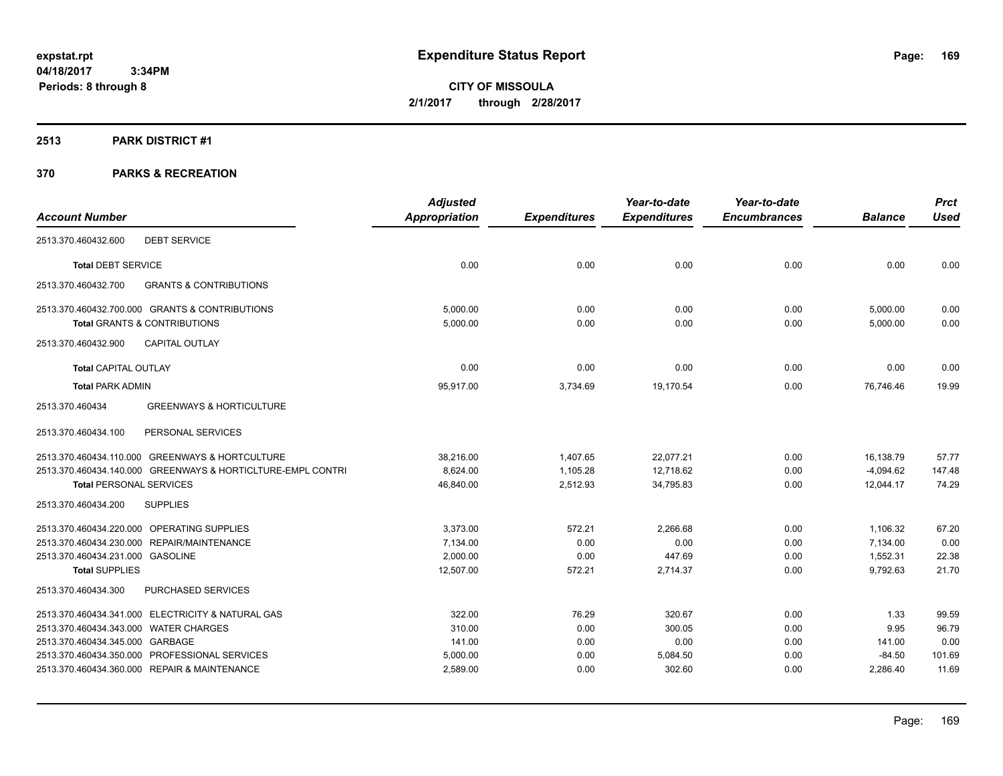**CITY OF MISSOULA 2/1/2017 through 2/28/2017**

#### **2513 PARK DISTRICT #1**

|                                                             | <b>Adjusted</b> |                     | Year-to-date        | Year-to-date        |                | <b>Prct</b> |
|-------------------------------------------------------------|-----------------|---------------------|---------------------|---------------------|----------------|-------------|
| <b>Account Number</b>                                       | Appropriation   | <b>Expenditures</b> | <b>Expenditures</b> | <b>Encumbrances</b> | <b>Balance</b> | <b>Used</b> |
| <b>DEBT SERVICE</b><br>2513.370.460432.600                  |                 |                     |                     |                     |                |             |
| <b>Total DEBT SERVICE</b>                                   | 0.00            | 0.00                | 0.00                | 0.00                | 0.00           | 0.00        |
| 2513.370.460432.700<br><b>GRANTS &amp; CONTRIBUTIONS</b>    |                 |                     |                     |                     |                |             |
| 2513.370.460432.700.000 GRANTS & CONTRIBUTIONS              | 5,000.00        | 0.00                | 0.00                | 0.00                | 5,000.00       | 0.00        |
| <b>Total GRANTS &amp; CONTRIBUTIONS</b>                     | 5,000.00        | 0.00                | 0.00                | 0.00                | 5,000.00       | 0.00        |
| <b>CAPITAL OUTLAY</b><br>2513.370.460432.900                |                 |                     |                     |                     |                |             |
| <b>Total CAPITAL OUTLAY</b>                                 | 0.00            | 0.00                | 0.00                | 0.00                | 0.00           | 0.00        |
| <b>Total PARK ADMIN</b>                                     | 95,917.00       | 3,734.69            | 19,170.54           | 0.00                | 76,746.46      | 19.99       |
| 2513.370.460434<br><b>GREENWAYS &amp; HORTICULTURE</b>      |                 |                     |                     |                     |                |             |
| PERSONAL SERVICES<br>2513.370.460434.100                    |                 |                     |                     |                     |                |             |
| 2513.370.460434.110.000 GREENWAYS & HORTCULTURE             | 38,216.00       | 1,407.65            | 22,077.21           | 0.00                | 16,138.79      | 57.77       |
| 2513.370.460434.140.000 GREENWAYS & HORTICLTURE-EMPL CONTRI | 8,624.00        | 1,105.28            | 12,718.62           | 0.00                | $-4,094.62$    | 147.48      |
| <b>Total PERSONAL SERVICES</b>                              | 46,840.00       | 2,512.93            | 34,795.83           | 0.00                | 12,044.17      | 74.29       |
| <b>SUPPLIES</b><br>2513.370.460434.200                      |                 |                     |                     |                     |                |             |
| 2513.370.460434.220.000 OPERATING SUPPLIES                  | 3,373.00        | 572.21              | 2.266.68            | 0.00                | 1,106.32       | 67.20       |
| 2513.370.460434.230.000 REPAIR/MAINTENANCE                  | 7,134.00        | 0.00                | 0.00                | 0.00                | 7,134.00       | 0.00        |
| 2513.370.460434.231.000 GASOLINE                            | 2,000.00        | 0.00                | 447.69              | 0.00                | 1,552.31       | 22.38       |
| <b>Total SUPPLIES</b>                                       | 12,507.00       | 572.21              | 2,714.37            | 0.00                | 9,792.63       | 21.70       |
| 2513.370.460434.300<br>PURCHASED SERVICES                   |                 |                     |                     |                     |                |             |
| 2513.370.460434.341.000 ELECTRICITY & NATURAL GAS           | 322.00          | 76.29               | 320.67              | 0.00                | 1.33           | 99.59       |
| 2513.370.460434.343.000 WATER CHARGES                       | 310.00          | 0.00                | 300.05              | 0.00                | 9.95           | 96.79       |
| 2513.370.460434.345.000 GARBAGE                             | 141.00          | 0.00                | 0.00                | 0.00                | 141.00         | 0.00        |
| 2513.370.460434.350.000 PROFESSIONAL SERVICES               | 5,000.00        | 0.00                | 5,084.50            | 0.00                | $-84.50$       | 101.69      |
| 2513.370.460434.360.000 REPAIR & MAINTENANCE                | 2,589.00        | 0.00                | 302.60              | 0.00                | 2,286.40       | 11.69       |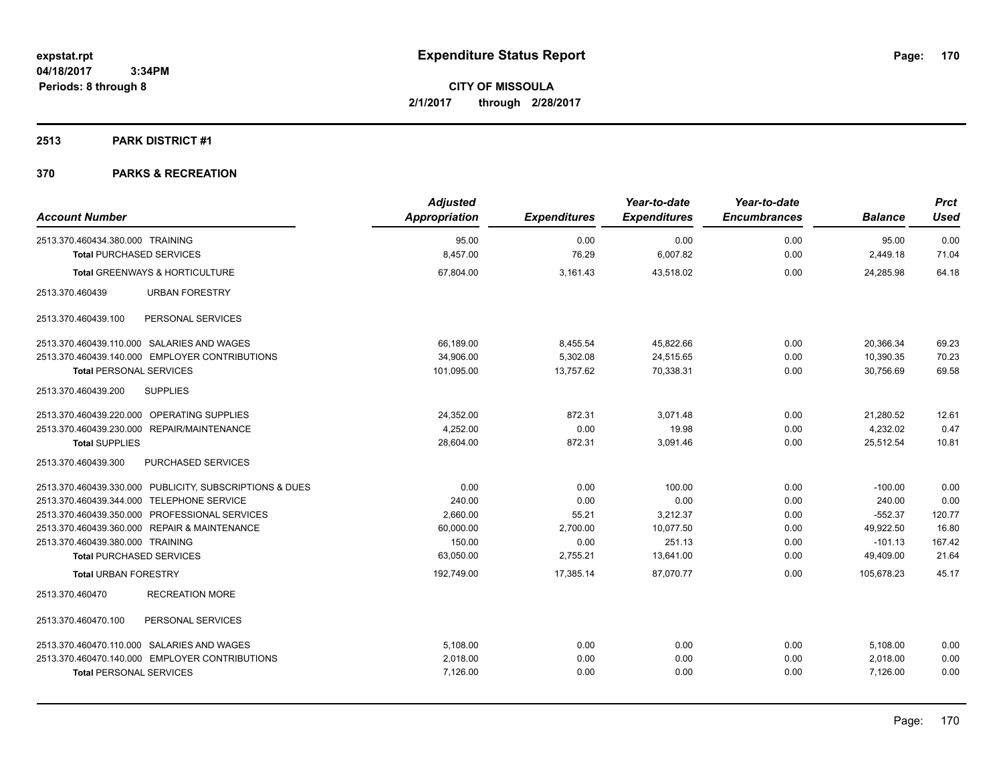# **2513 PARK DISTRICT #1**

| <b>Account Number</b>                                   | <b>Adjusted</b><br>Appropriation | <b>Expenditures</b> | Year-to-date<br><b>Expenditures</b> | Year-to-date<br><b>Encumbrances</b> | <b>Balance</b> | <b>Prct</b><br><b>Used</b> |
|---------------------------------------------------------|----------------------------------|---------------------|-------------------------------------|-------------------------------------|----------------|----------------------------|
|                                                         |                                  |                     |                                     |                                     |                |                            |
| 2513.370.460434.380.000 TRAINING                        | 95.00                            | 0.00                | 0.00                                | 0.00                                | 95.00          | 0.00                       |
| <b>Total PURCHASED SERVICES</b>                         | 8,457.00                         | 76.29               | 6,007.82                            | 0.00                                | 2,449.18       | 71.04                      |
| Total GREENWAYS & HORTICULTURE                          | 67,804.00                        | 3,161.43            | 43,518.02                           | 0.00                                | 24,285.98      | 64.18                      |
| 2513.370.460439<br><b>URBAN FORESTRY</b>                |                                  |                     |                                     |                                     |                |                            |
| PERSONAL SERVICES<br>2513.370.460439.100                |                                  |                     |                                     |                                     |                |                            |
| 2513.370.460439.110.000 SALARIES AND WAGES              | 66,189.00                        | 8,455.54            | 45,822.66                           | 0.00                                | 20,366.34      | 69.23                      |
| 2513.370.460439.140.000 EMPLOYER CONTRIBUTIONS          | 34,906.00                        | 5,302.08            | 24,515.65                           | 0.00                                | 10,390.35      | 70.23                      |
| <b>Total PERSONAL SERVICES</b>                          | 101,095.00                       | 13,757.62           | 70,338.31                           | 0.00                                | 30,756.69      | 69.58                      |
| 2513.370.460439.200<br><b>SUPPLIES</b>                  |                                  |                     |                                     |                                     |                |                            |
| 2513.370.460439.220.000 OPERATING SUPPLIES              | 24,352.00                        | 872.31              | 3.071.48                            | 0.00                                | 21,280.52      | 12.61                      |
| <b>REPAIR/MAINTENANCE</b><br>2513.370.460439.230.000    | 4.252.00                         | 0.00                | 19.98                               | 0.00                                | 4.232.02       | 0.47                       |
| <b>Total SUPPLIES</b>                                   | 28,604.00                        | 872.31              | 3,091.46                            | 0.00                                | 25,512.54      | 10.81                      |
| PURCHASED SERVICES<br>2513.370.460439.300               |                                  |                     |                                     |                                     |                |                            |
| 2513.370.460439.330.000 PUBLICITY, SUBSCRIPTIONS & DUES | 0.00                             | 0.00                | 100.00                              | 0.00                                | $-100.00$      | 0.00                       |
| 2513.370.460439.344.000 TELEPHONE SERVICE               | 240.00                           | 0.00                | 0.00                                | 0.00                                | 240.00         | 0.00                       |
| 2513.370.460439.350.000 PROFESSIONAL SERVICES           | 2,660.00                         | 55.21               | 3,212.37                            | 0.00                                | $-552.37$      | 120.77                     |
| 2513.370.460439.360.000 REPAIR & MAINTENANCE            | 60,000.00                        | 2,700.00            | 10,077.50                           | 0.00                                | 49,922.50      | 16.80                      |
| 2513.370.460439.380.000 TRAINING                        | 150.00                           | 0.00                | 251.13                              | 0.00                                | $-101.13$      | 167.42                     |
| <b>Total PURCHASED SERVICES</b>                         | 63,050.00                        | 2,755.21            | 13,641.00                           | 0.00                                | 49,409.00      | 21.64                      |
| <b>Total URBAN FORESTRY</b>                             | 192,749.00                       | 17,385.14           | 87,070.77                           | 0.00                                | 105,678.23     | 45.17                      |
| <b>RECREATION MORE</b><br>2513.370.460470               |                                  |                     |                                     |                                     |                |                            |
| PERSONAL SERVICES<br>2513.370.460470.100                |                                  |                     |                                     |                                     |                |                            |
| 2513.370.460470.110.000 SALARIES AND WAGES              | 5,108.00                         | 0.00                | 0.00                                | 0.00                                | 5,108.00       | 0.00                       |
| 2513.370.460470.140.000 EMPLOYER CONTRIBUTIONS          | 2,018.00                         | 0.00                | 0.00                                | 0.00                                | 2,018.00       | 0.00                       |
| <b>Total PERSONAL SERVICES</b>                          | 7,126.00                         | 0.00                | 0.00                                | 0.00                                | 7,126.00       | 0.00                       |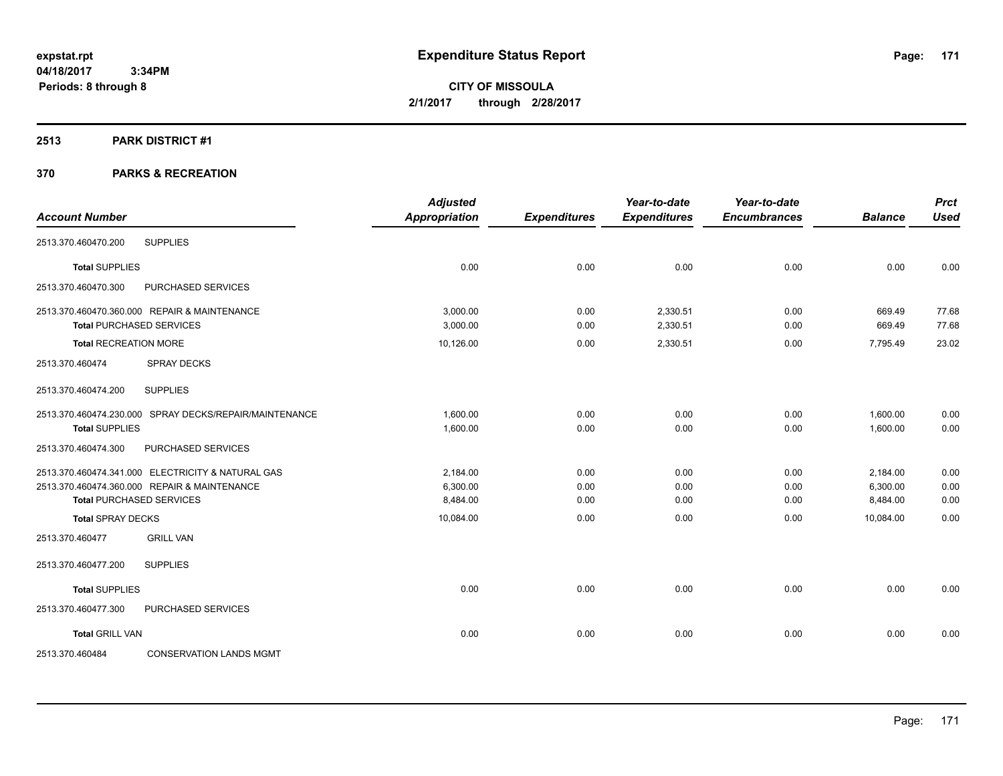**CITY OF MISSOULA 2/1/2017 through 2/28/2017**

#### **2513 PARK DISTRICT #1**

| <b>Account Number</b>        |                                                        | <b>Adjusted</b><br><b>Appropriation</b> | <b>Expenditures</b> | Year-to-date<br><b>Expenditures</b> | Year-to-date<br><b>Encumbrances</b> | <b>Balance</b> | <b>Prct</b><br><b>Used</b> |
|------------------------------|--------------------------------------------------------|-----------------------------------------|---------------------|-------------------------------------|-------------------------------------|----------------|----------------------------|
| 2513.370.460470.200          | <b>SUPPLIES</b>                                        |                                         |                     |                                     |                                     |                |                            |
| <b>Total SUPPLIES</b>        |                                                        | 0.00                                    | 0.00                | 0.00                                | 0.00                                | 0.00           | 0.00                       |
| 2513.370.460470.300          | PURCHASED SERVICES                                     |                                         |                     |                                     |                                     |                |                            |
|                              | 2513.370.460470.360.000 REPAIR & MAINTENANCE           | 3.000.00                                | 0.00                | 2,330.51                            | 0.00                                | 669.49         | 77.68                      |
|                              | <b>Total PURCHASED SERVICES</b>                        | 3,000.00                                | 0.00                | 2,330.51                            | 0.00                                | 669.49         | 77.68                      |
| <b>Total RECREATION MORE</b> |                                                        | 10,126.00                               | 0.00                | 2,330.51                            | 0.00                                | 7,795.49       | 23.02                      |
| 2513.370.460474              | SPRAY DECKS                                            |                                         |                     |                                     |                                     |                |                            |
| 2513.370.460474.200          | <b>SUPPLIES</b>                                        |                                         |                     |                                     |                                     |                |                            |
|                              | 2513.370.460474.230.000 SPRAY DECKS/REPAIR/MAINTENANCE | 1,600.00                                | 0.00                | 0.00                                | 0.00                                | 1,600.00       | 0.00                       |
| <b>Total SUPPLIES</b>        |                                                        | 1,600.00                                | 0.00                | 0.00                                | 0.00                                | 1,600.00       | 0.00                       |
| 2513.370.460474.300          | PURCHASED SERVICES                                     |                                         |                     |                                     |                                     |                |                            |
|                              | 2513.370.460474.341.000 ELECTRICITY & NATURAL GAS      | 2,184.00                                | 0.00                | 0.00                                | 0.00                                | 2,184.00       | 0.00                       |
|                              | 2513.370.460474.360.000 REPAIR & MAINTENANCE           | 6,300.00                                | 0.00                | 0.00                                | 0.00                                | 6,300.00       | 0.00                       |
|                              | <b>Total PURCHASED SERVICES</b>                        | 8,484.00                                | 0.00                | 0.00                                | 0.00                                | 8,484.00       | 0.00                       |
| <b>Total SPRAY DECKS</b>     |                                                        | 10,084.00                               | 0.00                | 0.00                                | 0.00                                | 10,084.00      | 0.00                       |
| 2513.370.460477              | <b>GRILL VAN</b>                                       |                                         |                     |                                     |                                     |                |                            |
| 2513.370.460477.200          | <b>SUPPLIES</b>                                        |                                         |                     |                                     |                                     |                |                            |
| <b>Total SUPPLIES</b>        |                                                        | 0.00                                    | 0.00                | 0.00                                | 0.00                                | 0.00           | 0.00                       |
| 2513.370.460477.300          | PURCHASED SERVICES                                     |                                         |                     |                                     |                                     |                |                            |
| <b>Total GRILL VAN</b>       |                                                        | 0.00                                    | 0.00                | 0.00                                | 0.00                                | 0.00           | 0.00                       |
| 2513.370.460484              | <b>CONSERVATION LANDS MGMT</b>                         |                                         |                     |                                     |                                     |                |                            |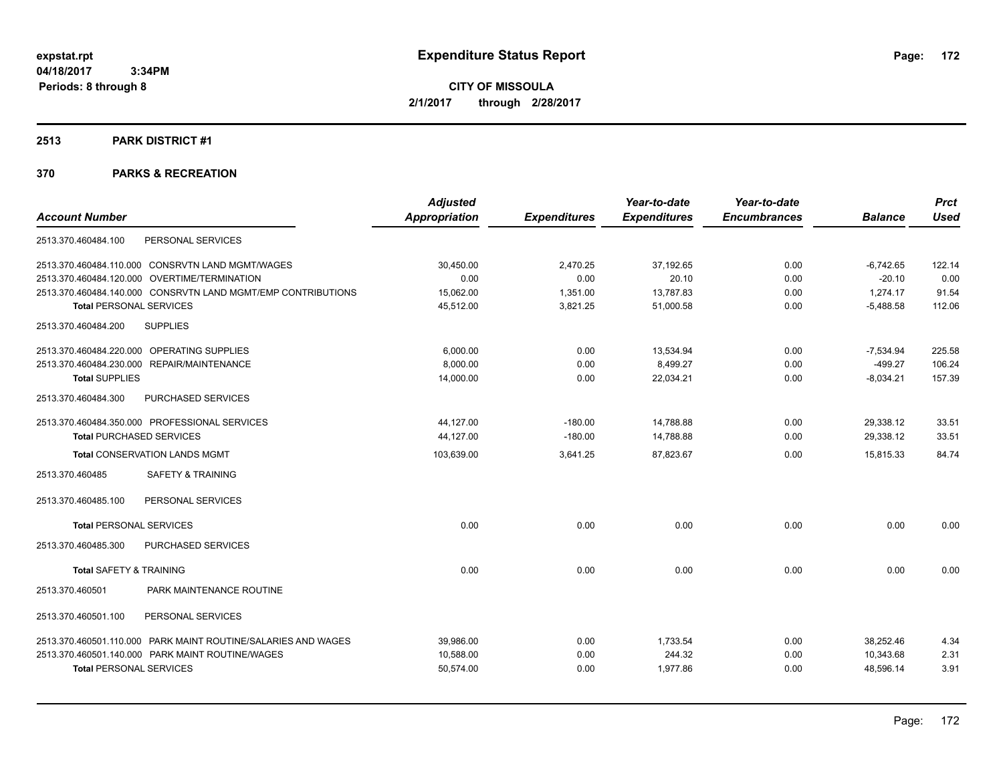**CITY OF MISSOULA 2/1/2017 through 2/28/2017**

# **2513 PARK DISTRICT #1**

|                                                               | <b>Adjusted</b>      |                     | Year-to-date        | Year-to-date        |                | <b>Prct</b> |
|---------------------------------------------------------------|----------------------|---------------------|---------------------|---------------------|----------------|-------------|
| <b>Account Number</b>                                         | <b>Appropriation</b> | <b>Expenditures</b> | <b>Expenditures</b> | <b>Encumbrances</b> | <b>Balance</b> | <b>Used</b> |
| PERSONAL SERVICES<br>2513.370.460484.100                      |                      |                     |                     |                     |                |             |
| 2513.370.460484.110.000 CONSRVTN LAND MGMT/WAGES              | 30.450.00            | 2,470.25            | 37,192.65           | 0.00                | $-6,742.65$    | 122.14      |
| 2513.370.460484.120.000 OVERTIME/TERMINATION                  | 0.00                 | 0.00                | 20.10               | 0.00                | $-20.10$       | 0.00        |
| 2513.370.460484.140.000 CONSRVTN LAND MGMT/EMP CONTRIBUTIONS  | 15,062.00            | 1,351.00            | 13,787.83           | 0.00                | 1,274.17       | 91.54       |
| <b>Total PERSONAL SERVICES</b>                                | 45,512.00            | 3,821.25            | 51,000.58           | 0.00                | $-5,488.58$    | 112.06      |
| <b>SUPPLIES</b><br>2513.370.460484.200                        |                      |                     |                     |                     |                |             |
| 2513.370.460484.220.000 OPERATING SUPPLIES                    | 6,000.00             | 0.00                | 13,534.94           | 0.00                | $-7,534.94$    | 225.58      |
| 2513.370.460484.230.000 REPAIR/MAINTENANCE                    | 8,000.00             | 0.00                | 8,499.27            | 0.00                | $-499.27$      | 106.24      |
| <b>Total SUPPLIES</b>                                         | 14,000.00            | 0.00                | 22,034.21           | 0.00                | $-8,034.21$    | 157.39      |
| 2513.370.460484.300<br>PURCHASED SERVICES                     |                      |                     |                     |                     |                |             |
| 2513.370.460484.350.000 PROFESSIONAL SERVICES                 | 44,127.00            | $-180.00$           | 14,788.88           | 0.00                | 29,338.12      | 33.51       |
| <b>Total PURCHASED SERVICES</b>                               | 44,127.00            | $-180.00$           | 14,788.88           | 0.00                | 29,338.12      | 33.51       |
| <b>Total CONSERVATION LANDS MGMT</b>                          | 103,639.00           | 3,641.25            | 87,823.67           | 0.00                | 15,815.33      | 84.74       |
| <b>SAFETY &amp; TRAINING</b><br>2513.370.460485               |                      |                     |                     |                     |                |             |
| 2513.370.460485.100<br>PERSONAL SERVICES                      |                      |                     |                     |                     |                |             |
| <b>Total PERSONAL SERVICES</b>                                | 0.00                 | 0.00                | 0.00                | 0.00                | 0.00           | 0.00        |
| PURCHASED SERVICES<br>2513.370.460485.300                     |                      |                     |                     |                     |                |             |
| <b>Total SAFETY &amp; TRAINING</b>                            | 0.00                 | 0.00                | 0.00                | 0.00                | 0.00           | 0.00        |
| 2513.370.460501<br>PARK MAINTENANCE ROUTINE                   |                      |                     |                     |                     |                |             |
| 2513.370.460501.100<br>PERSONAL SERVICES                      |                      |                     |                     |                     |                |             |
| 2513.370.460501.110.000 PARK MAINT ROUTINE/SALARIES AND WAGES | 39,986.00            | 0.00                | 1,733.54            | 0.00                | 38.252.46      | 4.34        |
| 2513.370.460501.140.000 PARK MAINT ROUTINE/WAGES              | 10,588.00            | 0.00                | 244.32              | 0.00                | 10.343.68      | 2.31        |
| <b>Total PERSONAL SERVICES</b>                                | 50,574.00            | 0.00                | 1,977.86            | 0.00                | 48,596.14      | 3.91        |
|                                                               |                      |                     |                     |                     |                |             |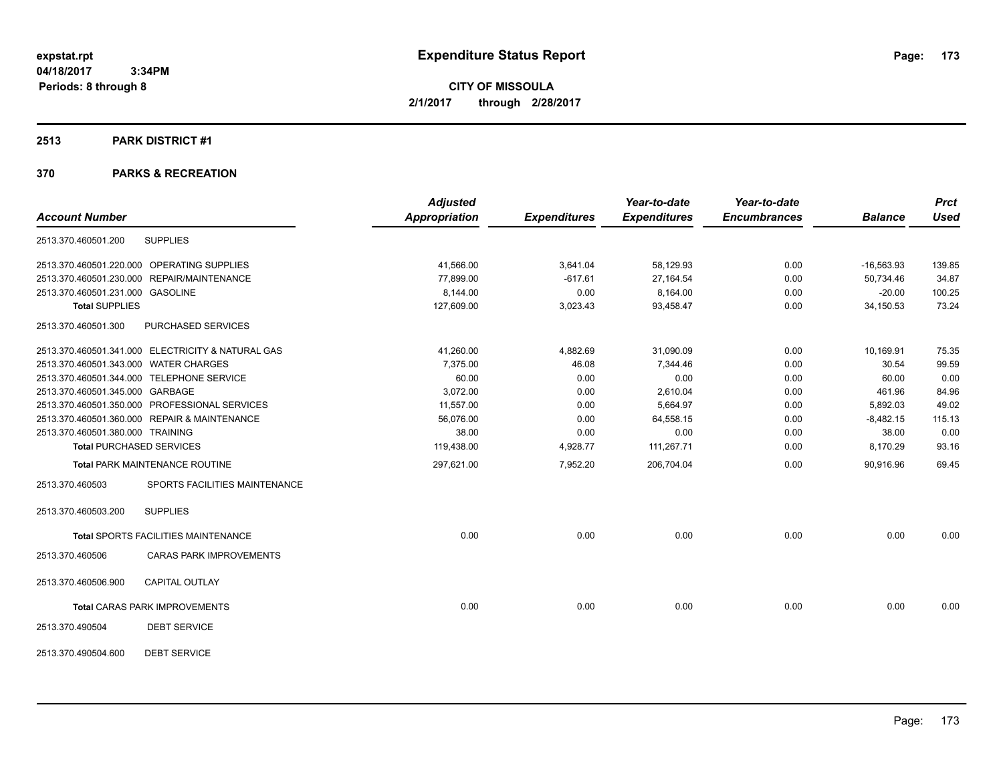**CITY OF MISSOULA 2/1/2017 through 2/28/2017**

#### **2513 PARK DISTRICT #1**

|                                                   | <b>Adjusted</b>      |                     | Year-to-date        | Year-to-date        |                | <b>Prct</b> |
|---------------------------------------------------|----------------------|---------------------|---------------------|---------------------|----------------|-------------|
| <b>Account Number</b>                             | <b>Appropriation</b> | <b>Expenditures</b> | <b>Expenditures</b> | <b>Encumbrances</b> | <b>Balance</b> | <b>Used</b> |
| <b>SUPPLIES</b><br>2513.370.460501.200            |                      |                     |                     |                     |                |             |
| 2513.370.460501.220.000 OPERATING SUPPLIES        | 41,566.00            | 3,641.04            | 58,129.93           | 0.00                | $-16,563.93$   | 139.85      |
| 2513.370.460501.230.000 REPAIR/MAINTENANCE        | 77,899.00            | $-617.61$           | 27,164.54           | 0.00                | 50,734.46      | 34.87       |
| 2513.370.460501.231.000 GASOLINE                  | 8,144.00             | 0.00                | 8,164.00            | 0.00                | $-20.00$       | 100.25      |
| <b>Total SUPPLIES</b>                             | 127,609.00           | 3,023.43            | 93,458.47           | 0.00                | 34,150.53      | 73.24       |
| 2513.370.460501.300<br>PURCHASED SERVICES         |                      |                     |                     |                     |                |             |
| 2513.370.460501.341.000 ELECTRICITY & NATURAL GAS | 41,260.00            | 4,882.69            | 31,090.09           | 0.00                | 10,169.91      | 75.35       |
| 2513.370.460501.343.000 WATER CHARGES             | 7,375.00             | 46.08               | 7,344.46            | 0.00                | 30.54          | 99.59       |
| 2513.370.460501.344.000 TELEPHONE SERVICE         | 60.00                | 0.00                | 0.00                | 0.00                | 60.00          | 0.00        |
| 2513.370.460501.345.000 GARBAGE                   | 3,072.00             | 0.00                | 2,610.04            | 0.00                | 461.96         | 84.96       |
| 2513.370.460501.350.000 PROFESSIONAL SERVICES     | 11,557.00            | 0.00                | 5,664.97            | 0.00                | 5,892.03       | 49.02       |
| 2513.370.460501.360.000 REPAIR & MAINTENANCE      | 56,076.00            | 0.00                | 64,558.15           | 0.00                | $-8,482.15$    | 115.13      |
| 2513.370.460501.380.000 TRAINING                  | 38.00                | 0.00                | 0.00                | 0.00                | 38.00          | 0.00        |
| <b>Total PURCHASED SERVICES</b>                   | 119,438.00           | 4,928.77            | 111,267.71          | 0.00                | 8,170.29       | 93.16       |
| <b>Total PARK MAINTENANCE ROUTINE</b>             | 297,621.00           | 7,952.20            | 206,704.04          | 0.00                | 90.916.96      | 69.45       |
| SPORTS FACILITIES MAINTENANCE<br>2513.370.460503  |                      |                     |                     |                     |                |             |
| <b>SUPPLIES</b><br>2513.370.460503.200            |                      |                     |                     |                     |                |             |
| <b>Total SPORTS FACILITIES MAINTENANCE</b>        | 0.00                 | 0.00                | 0.00                | 0.00                | 0.00           | 0.00        |
| <b>CARAS PARK IMPROVEMENTS</b><br>2513.370.460506 |                      |                     |                     |                     |                |             |
| CAPITAL OUTLAY<br>2513.370.460506.900             |                      |                     |                     |                     |                |             |
| <b>Total CARAS PARK IMPROVEMENTS</b>              | 0.00                 | 0.00                | 0.00                | 0.00                | 0.00           | 0.00        |
| <b>DEBT SERVICE</b><br>2513.370.490504            |                      |                     |                     |                     |                |             |
| <b>DEBT SERVICE</b><br>2513.370.490504.600        |                      |                     |                     |                     |                |             |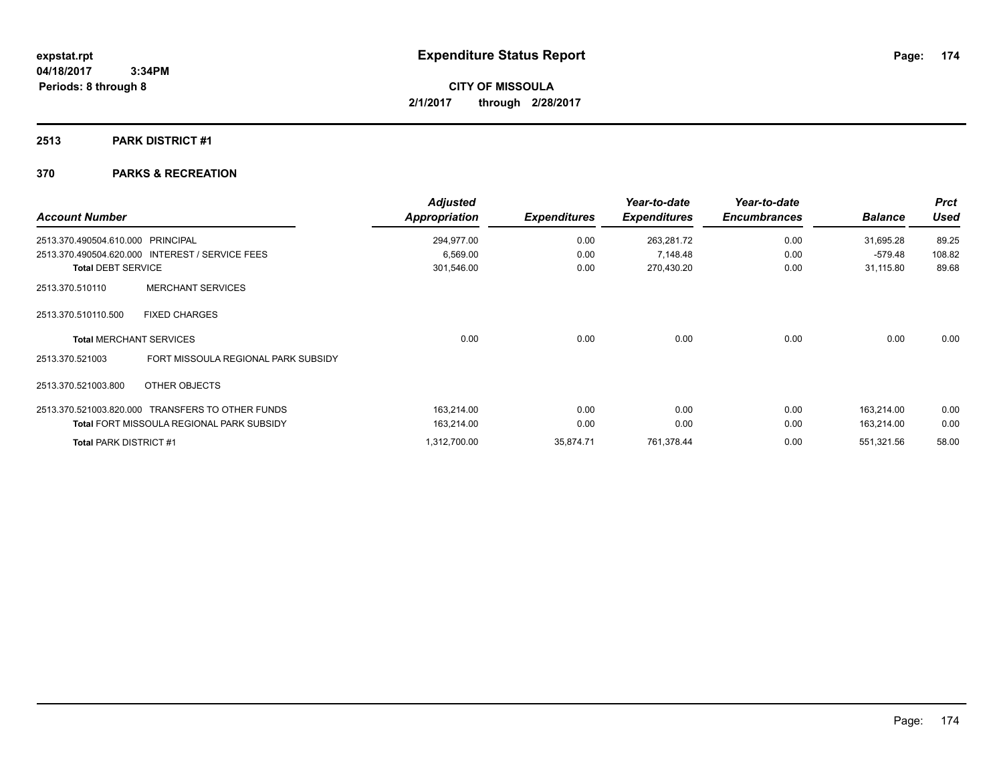# **2513 PARK DISTRICT #1**

| <b>Account Number</b>         |                                                  | <b>Adjusted</b><br><b>Appropriation</b> | <b>Expenditures</b> | Year-to-date<br><b>Expenditures</b> | Year-to-date<br><b>Encumbrances</b> | <b>Balance</b> | <b>Prct</b><br><b>Used</b> |
|-------------------------------|--------------------------------------------------|-----------------------------------------|---------------------|-------------------------------------|-------------------------------------|----------------|----------------------------|
| 2513.370.490504.610.000       | <b>PRINCIPAL</b>                                 | 294,977.00                              | 0.00                | 263,281.72                          | 0.00                                | 31,695.28      | 89.25                      |
|                               | 2513.370.490504.620.000 INTEREST / SERVICE FEES  | 6,569.00                                | 0.00                | 7,148.48                            | 0.00                                | $-579.48$      | 108.82                     |
| <b>Total DEBT SERVICE</b>     |                                                  | 301,546.00                              | 0.00                | 270,430.20                          | 0.00                                | 31,115.80      | 89.68                      |
| 2513.370.510110               | <b>MERCHANT SERVICES</b>                         |                                         |                     |                                     |                                     |                |                            |
| 2513.370.510110.500           | <b>FIXED CHARGES</b>                             |                                         |                     |                                     |                                     |                |                            |
|                               | <b>Total MERCHANT SERVICES</b>                   | 0.00                                    | 0.00                | 0.00                                | 0.00                                | 0.00           | 0.00                       |
| 2513.370.521003               | FORT MISSOULA REGIONAL PARK SUBSIDY              |                                         |                     |                                     |                                     |                |                            |
| 2513.370.521003.800           | OTHER OBJECTS                                    |                                         |                     |                                     |                                     |                |                            |
|                               | 2513.370.521003.820.000 TRANSFERS TO OTHER FUNDS | 163,214.00                              | 0.00                | 0.00                                | 0.00                                | 163,214.00     | 0.00                       |
|                               | <b>Total FORT MISSOULA REGIONAL PARK SUBSIDY</b> | 163,214.00                              | 0.00                | 0.00                                | 0.00                                | 163,214.00     | 0.00                       |
| <b>Total PARK DISTRICT #1</b> |                                                  | 1,312,700.00                            | 35,874.71           | 761,378.44                          | 0.00                                | 551,321.56     | 58.00                      |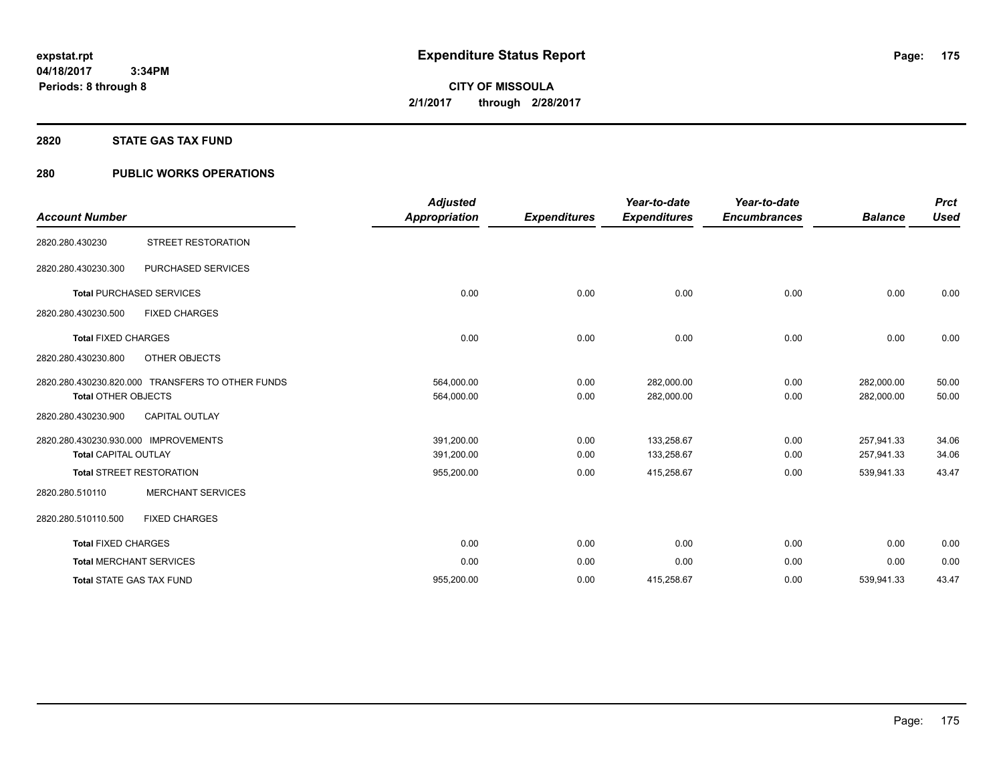#### **2820 STATE GAS TAX FUND**

# **280 PUBLIC WORKS OPERATIONS**

| <b>Account Number</b>                                               |                                                  | <b>Adjusted</b><br>Appropriation | <b>Expenditures</b> | Year-to-date<br><b>Expenditures</b> | Year-to-date<br><b>Encumbrances</b> | <b>Balance</b>           | <b>Prct</b><br><b>Used</b> |
|---------------------------------------------------------------------|--------------------------------------------------|----------------------------------|---------------------|-------------------------------------|-------------------------------------|--------------------------|----------------------------|
| 2820.280.430230                                                     | STREET RESTORATION                               |                                  |                     |                                     |                                     |                          |                            |
| 2820.280.430230.300                                                 | PURCHASED SERVICES                               |                                  |                     |                                     |                                     |                          |                            |
|                                                                     | <b>Total PURCHASED SERVICES</b>                  | 0.00                             | 0.00                | 0.00                                | 0.00                                | 0.00                     | 0.00                       |
| 2820.280.430230.500                                                 | <b>FIXED CHARGES</b>                             |                                  |                     |                                     |                                     |                          |                            |
| <b>Total FIXED CHARGES</b>                                          |                                                  | 0.00                             | 0.00                | 0.00                                | 0.00                                | 0.00                     | 0.00                       |
| 2820.280.430230.800                                                 | OTHER OBJECTS                                    |                                  |                     |                                     |                                     |                          |                            |
| <b>Total OTHER OBJECTS</b>                                          | 2820.280.430230.820.000 TRANSFERS TO OTHER FUNDS | 564,000.00<br>564,000.00         | 0.00<br>0.00        | 282,000.00<br>282,000.00            | 0.00<br>0.00                        | 282,000.00<br>282,000.00 | 50.00<br>50.00             |
| 2820.280.430230.900                                                 | <b>CAPITAL OUTLAY</b>                            |                                  |                     |                                     |                                     |                          |                            |
| 2820.280.430230.930.000 IMPROVEMENTS<br><b>Total CAPITAL OUTLAY</b> |                                                  | 391,200.00<br>391,200.00         | 0.00<br>0.00        | 133,258.67<br>133,258.67            | 0.00<br>0.00                        | 257,941.33<br>257,941.33 | 34.06<br>34.06             |
|                                                                     | <b>Total STREET RESTORATION</b>                  | 955,200.00                       | 0.00                | 415,258.67                          | 0.00                                | 539,941.33               | 43.47                      |
| 2820.280.510110                                                     | <b>MERCHANT SERVICES</b>                         |                                  |                     |                                     |                                     |                          |                            |
| 2820.280.510110.500                                                 | <b>FIXED CHARGES</b>                             |                                  |                     |                                     |                                     |                          |                            |
| <b>Total FIXED CHARGES</b>                                          |                                                  | 0.00                             | 0.00                | 0.00                                | 0.00                                | 0.00                     | 0.00                       |
|                                                                     | <b>Total MERCHANT SERVICES</b>                   | 0.00                             | 0.00                | 0.00                                | 0.00                                | 0.00                     | 0.00                       |
| <b>Total STATE GAS TAX FUND</b>                                     |                                                  | 955,200.00                       | 0.00                | 415,258.67                          | 0.00                                | 539,941.33               | 43.47                      |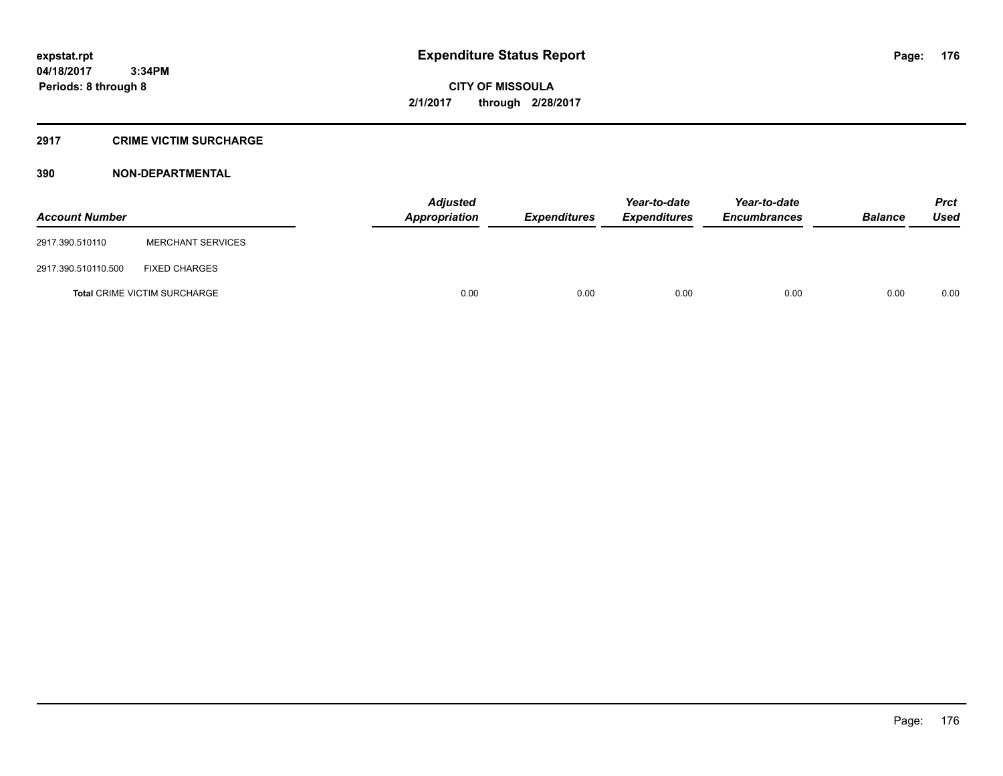#### **2917 CRIME VICTIM SURCHARGE**

| <b>Account Number</b> |                                     | <b>Adjusted</b><br>Appropriation | <b>Expenditures</b> | Year-to-date<br><b>Expenditures</b> | Year-to-date<br><b>Encumbrances</b> | <b>Balance</b> | Prct<br><b>Used</b> |
|-----------------------|-------------------------------------|----------------------------------|---------------------|-------------------------------------|-------------------------------------|----------------|---------------------|
| 2917.390.510110       | <b>MERCHANT SERVICES</b>            |                                  |                     |                                     |                                     |                |                     |
| 2917.390.510110.500   | <b>FIXED CHARGES</b>                |                                  |                     |                                     |                                     |                |                     |
|                       | <b>Total CRIME VICTIM SURCHARGE</b> | 0.00                             | 0.00                | 0.00                                | 0.00                                | 0.00           | 0.00                |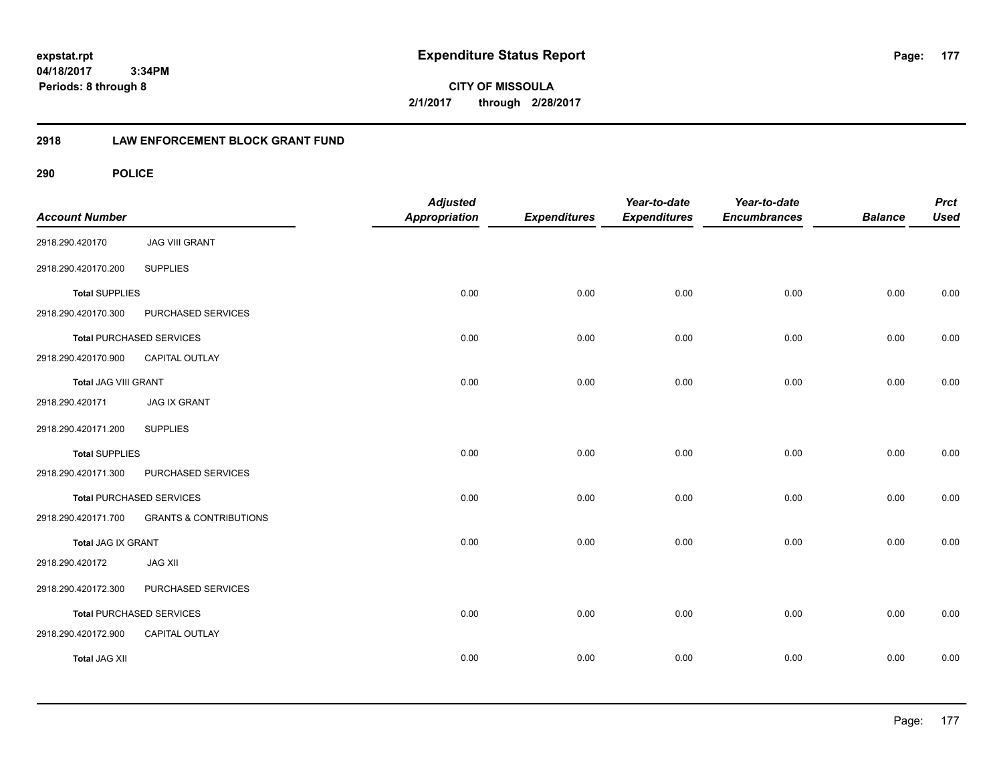**04/18/2017 3:34PM Periods: 8 through 8**

**CITY OF MISSOULA 2/1/2017 through 2/28/2017**

# **2918 LAW ENFORCEMENT BLOCK GRANT FUND**

| <b>Account Number</b> |                                   | <b>Adjusted</b><br>Appropriation | <b>Expenditures</b> | Year-to-date<br><b>Expenditures</b> | Year-to-date<br><b>Encumbrances</b> | <b>Balance</b> | <b>Prct</b><br><b>Used</b> |
|-----------------------|-----------------------------------|----------------------------------|---------------------|-------------------------------------|-------------------------------------|----------------|----------------------------|
| 2918.290.420170       | <b>JAG VIII GRANT</b>             |                                  |                     |                                     |                                     |                |                            |
| 2918.290.420170.200   | <b>SUPPLIES</b>                   |                                  |                     |                                     |                                     |                |                            |
| <b>Total SUPPLIES</b> |                                   | 0.00                             | 0.00                | 0.00                                | 0.00                                | 0.00           | 0.00                       |
| 2918.290.420170.300   | PURCHASED SERVICES                |                                  |                     |                                     |                                     |                |                            |
|                       | <b>Total PURCHASED SERVICES</b>   | 0.00                             | 0.00                | 0.00                                | 0.00                                | 0.00           | 0.00                       |
| 2918.290.420170.900   | CAPITAL OUTLAY                    |                                  |                     |                                     |                                     |                |                            |
| Total JAG VIII GRANT  |                                   | 0.00                             | 0.00                | 0.00                                | 0.00                                | 0.00           | 0.00                       |
| 2918.290.420171       | <b>JAG IX GRANT</b>               |                                  |                     |                                     |                                     |                |                            |
| 2918.290.420171.200   | <b>SUPPLIES</b>                   |                                  |                     |                                     |                                     |                |                            |
| <b>Total SUPPLIES</b> |                                   | 0.00                             | 0.00                | 0.00                                | 0.00                                | 0.00           | 0.00                       |
| 2918.290.420171.300   | PURCHASED SERVICES                |                                  |                     |                                     |                                     |                |                            |
|                       | <b>Total PURCHASED SERVICES</b>   | 0.00                             | 0.00                | 0.00                                | 0.00                                | 0.00           | 0.00                       |
| 2918.290.420171.700   | <b>GRANTS &amp; CONTRIBUTIONS</b> |                                  |                     |                                     |                                     |                |                            |
| Total JAG IX GRANT    |                                   | 0.00                             | 0.00                | 0.00                                | 0.00                                | 0.00           | 0.00                       |
| 2918.290.420172       | <b>JAG XII</b>                    |                                  |                     |                                     |                                     |                |                            |
| 2918.290.420172.300   | PURCHASED SERVICES                |                                  |                     |                                     |                                     |                |                            |
|                       | Total PURCHASED SERVICES          | 0.00                             | 0.00                | 0.00                                | 0.00                                | 0.00           | 0.00                       |
| 2918.290.420172.900   | CAPITAL OUTLAY                    |                                  |                     |                                     |                                     |                |                            |
| <b>Total JAG XII</b>  |                                   | 0.00                             | 0.00                | 0.00                                | 0.00                                | 0.00           | 0.00                       |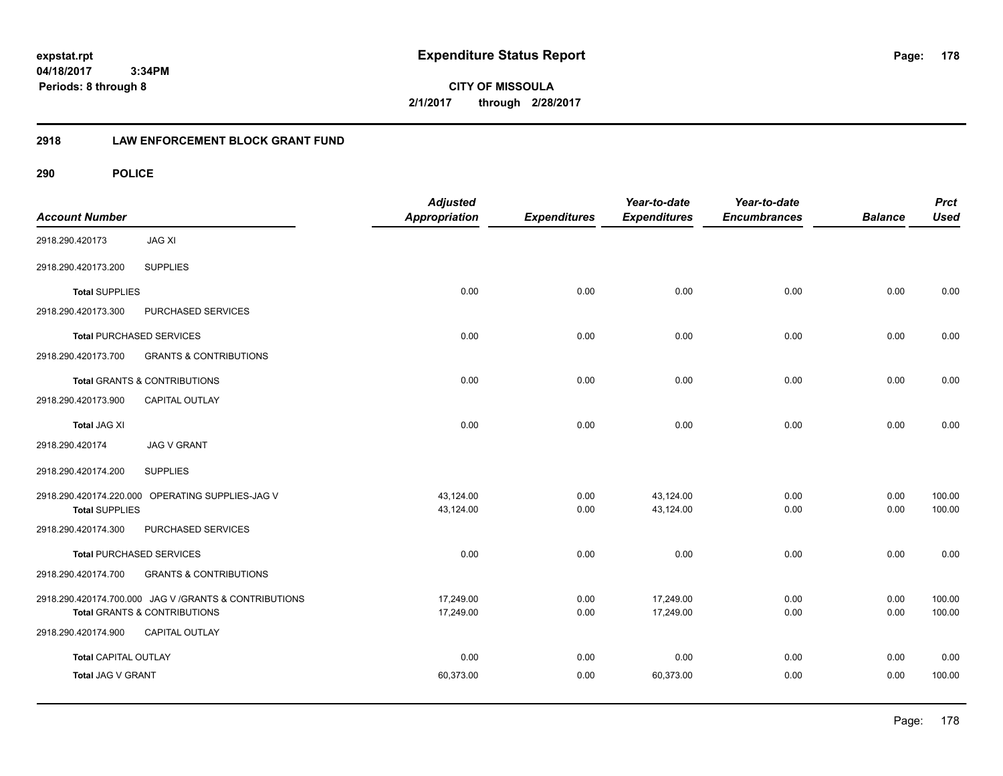**04/18/2017 3:34PM Periods: 8 through 8**

**CITY OF MISSOULA 2/1/2017 through 2/28/2017**

# **2918 LAW ENFORCEMENT BLOCK GRANT FUND**

| <b>Account Number</b>       |                                                        | <b>Adjusted</b><br><b>Appropriation</b> | <b>Expenditures</b> | Year-to-date<br><b>Expenditures</b> | Year-to-date<br><b>Encumbrances</b> | <b>Balance</b> | <b>Prct</b><br><b>Used</b> |
|-----------------------------|--------------------------------------------------------|-----------------------------------------|---------------------|-------------------------------------|-------------------------------------|----------------|----------------------------|
| 2918.290.420173             | <b>JAG XI</b>                                          |                                         |                     |                                     |                                     |                |                            |
| 2918.290.420173.200         | <b>SUPPLIES</b>                                        |                                         |                     |                                     |                                     |                |                            |
| <b>Total SUPPLIES</b>       |                                                        | 0.00                                    | 0.00                | 0.00                                | 0.00                                | 0.00           | 0.00                       |
| 2918.290.420173.300         | PURCHASED SERVICES                                     |                                         |                     |                                     |                                     |                |                            |
|                             | <b>Total PURCHASED SERVICES</b>                        | 0.00                                    | 0.00                | 0.00                                | 0.00                                | 0.00           | 0.00                       |
| 2918.290.420173.700         | <b>GRANTS &amp; CONTRIBUTIONS</b>                      |                                         |                     |                                     |                                     |                |                            |
|                             | Total GRANTS & CONTRIBUTIONS                           | 0.00                                    | 0.00                | 0.00                                | 0.00                                | 0.00           | 0.00                       |
| 2918.290.420173.900         | CAPITAL OUTLAY                                         |                                         |                     |                                     |                                     |                |                            |
| <b>Total JAG XI</b>         |                                                        | 0.00                                    | 0.00                | 0.00                                | 0.00                                | 0.00           | 0.00                       |
| 2918.290.420174             | <b>JAG V GRANT</b>                                     |                                         |                     |                                     |                                     |                |                            |
| 2918.290.420174.200         | <b>SUPPLIES</b>                                        |                                         |                     |                                     |                                     |                |                            |
|                             | 2918.290.420174.220.000 OPERATING SUPPLIES-JAG V       | 43,124.00                               | 0.00                | 43,124.00                           | 0.00                                | 0.00           | 100.00                     |
| <b>Total SUPPLIES</b>       |                                                        | 43,124.00                               | 0.00                | 43,124.00                           | 0.00                                | 0.00           | 100.00                     |
| 2918.290.420174.300         | PURCHASED SERVICES                                     |                                         |                     |                                     |                                     |                |                            |
|                             | <b>Total PURCHASED SERVICES</b>                        | 0.00                                    | 0.00                | 0.00                                | 0.00                                | 0.00           | 0.00                       |
| 2918.290.420174.700         | <b>GRANTS &amp; CONTRIBUTIONS</b>                      |                                         |                     |                                     |                                     |                |                            |
|                             | 2918.290.420174.700.000 JAG V / GRANTS & CONTRIBUTIONS | 17,249.00                               | 0.00                | 17,249.00                           | 0.00                                | 0.00           | 100.00                     |
|                             | <b>Total GRANTS &amp; CONTRIBUTIONS</b>                | 17,249.00                               | 0.00                | 17,249.00                           | 0.00                                | 0.00           | 100.00                     |
| 2918.290.420174.900         | CAPITAL OUTLAY                                         |                                         |                     |                                     |                                     |                |                            |
| <b>Total CAPITAL OUTLAY</b> |                                                        | 0.00                                    | 0.00                | 0.00                                | 0.00                                | 0.00           | 0.00                       |
| Total JAG V GRANT           |                                                        | 60,373.00                               | 0.00                | 60,373.00                           | 0.00                                | 0.00           | 100.00                     |
|                             |                                                        |                                         |                     |                                     |                                     |                |                            |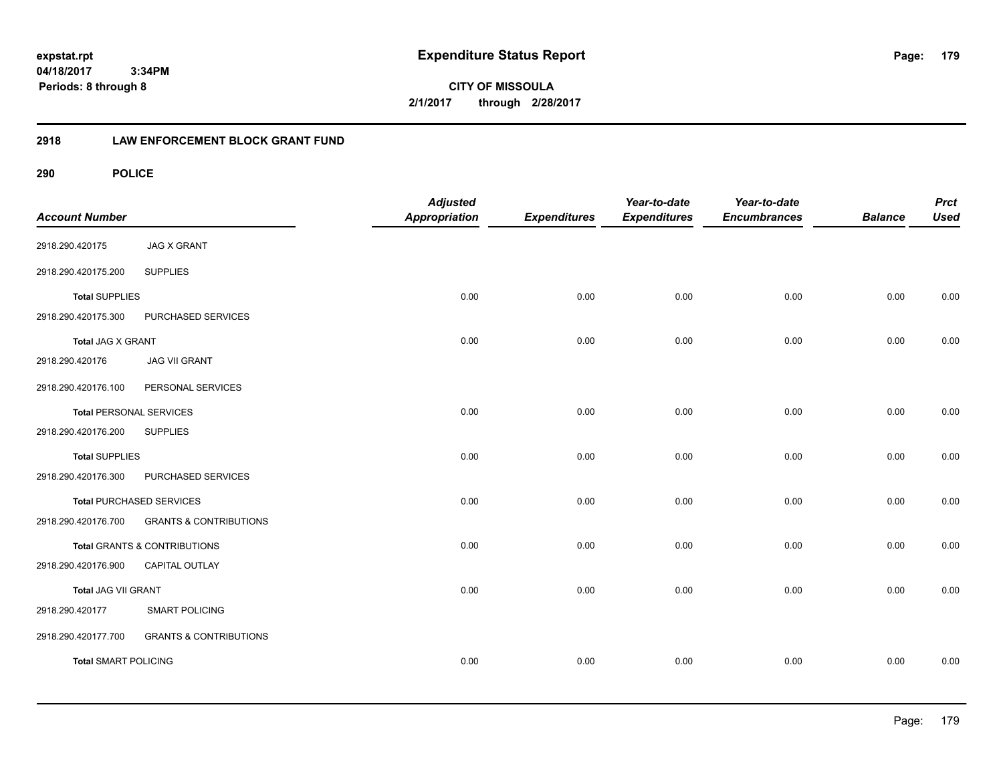**04/18/2017 3:34PM Periods: 8 through 8**

**CITY OF MISSOULA 2/1/2017 through 2/28/2017**

# **2918 LAW ENFORCEMENT BLOCK GRANT FUND**

| <b>Account Number</b>          |                                   | <b>Adjusted</b><br>Appropriation | <b>Expenditures</b> | Year-to-date<br><b>Expenditures</b> | Year-to-date<br><b>Encumbrances</b> | <b>Balance</b> | <b>Prct</b><br><b>Used</b> |
|--------------------------------|-----------------------------------|----------------------------------|---------------------|-------------------------------------|-------------------------------------|----------------|----------------------------|
| 2918.290.420175                | <b>JAG X GRANT</b>                |                                  |                     |                                     |                                     |                |                            |
| 2918.290.420175.200            | <b>SUPPLIES</b>                   |                                  |                     |                                     |                                     |                |                            |
| <b>Total SUPPLIES</b>          |                                   | 0.00                             | 0.00                | 0.00                                | 0.00                                | 0.00           | 0.00                       |
| 2918.290.420175.300            | PURCHASED SERVICES                |                                  |                     |                                     |                                     |                |                            |
| <b>Total JAG X GRANT</b>       |                                   | 0.00                             | 0.00                | 0.00                                | 0.00                                | 0.00           | 0.00                       |
| 2918.290.420176                | <b>JAG VII GRANT</b>              |                                  |                     |                                     |                                     |                |                            |
| 2918.290.420176.100            | PERSONAL SERVICES                 |                                  |                     |                                     |                                     |                |                            |
| <b>Total PERSONAL SERVICES</b> |                                   | 0.00                             | 0.00                | 0.00                                | 0.00                                | 0.00           | 0.00                       |
| 2918.290.420176.200            | <b>SUPPLIES</b>                   |                                  |                     |                                     |                                     |                |                            |
| <b>Total SUPPLIES</b>          |                                   | 0.00                             | 0.00                | 0.00                                | 0.00                                | 0.00           | 0.00                       |
| 2918.290.420176.300            | PURCHASED SERVICES                |                                  |                     |                                     |                                     |                |                            |
|                                | <b>Total PURCHASED SERVICES</b>   | 0.00                             | 0.00                | 0.00                                | 0.00                                | 0.00           | 0.00                       |
| 2918.290.420176.700            | <b>GRANTS &amp; CONTRIBUTIONS</b> |                                  |                     |                                     |                                     |                |                            |
|                                | Total GRANTS & CONTRIBUTIONS      | 0.00                             | 0.00                | 0.00                                | 0.00                                | 0.00           | 0.00                       |
| 2918.290.420176.900            | CAPITAL OUTLAY                    |                                  |                     |                                     |                                     |                |                            |
| Total JAG VII GRANT            |                                   | 0.00                             | 0.00                | 0.00                                | 0.00                                | 0.00           | 0.00                       |
| 2918.290.420177                | <b>SMART POLICING</b>             |                                  |                     |                                     |                                     |                |                            |
| 2918.290.420177.700            | <b>GRANTS &amp; CONTRIBUTIONS</b> |                                  |                     |                                     |                                     |                |                            |
| <b>Total SMART POLICING</b>    |                                   | 0.00                             | 0.00                | 0.00                                | 0.00                                | 0.00           | 0.00                       |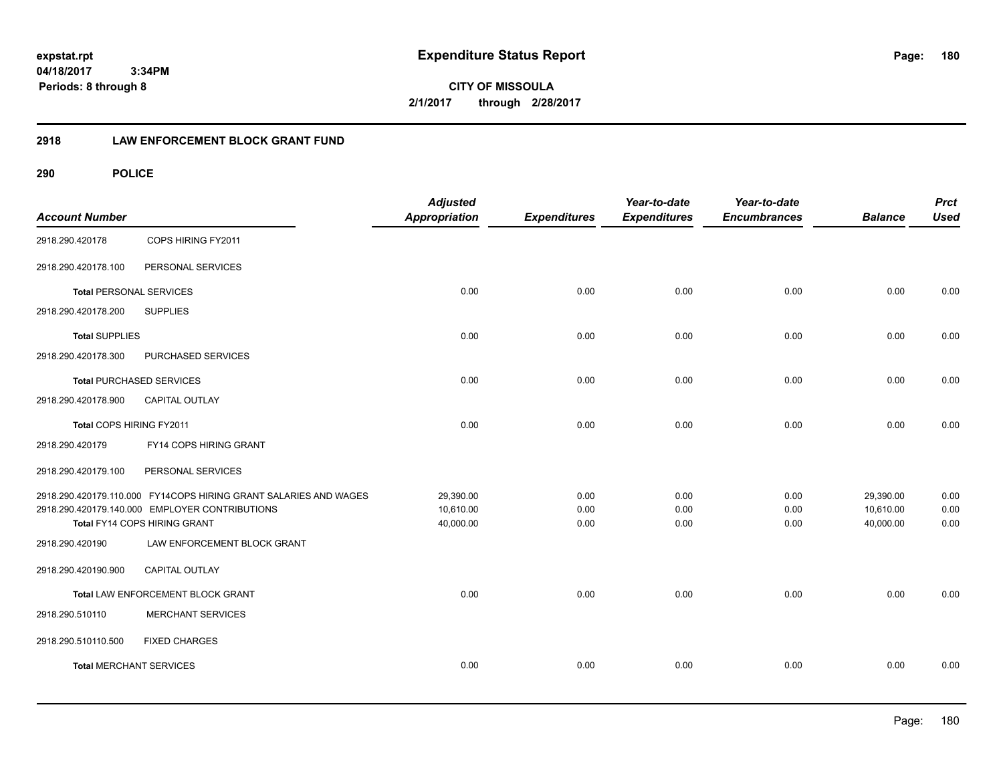**04/18/2017 3:34PM Periods: 8 through 8**

**CITY OF MISSOULA 2/1/2017 through 2/28/2017**

# **2918 LAW ENFORCEMENT BLOCK GRANT FUND**

| <b>Account Number</b>          |                                                                  | <b>Adjusted</b><br><b>Appropriation</b> | <b>Expenditures</b> | Year-to-date<br><b>Expenditures</b> | Year-to-date<br><b>Encumbrances</b> | <b>Balance</b> | <b>Prct</b><br><b>Used</b> |
|--------------------------------|------------------------------------------------------------------|-----------------------------------------|---------------------|-------------------------------------|-------------------------------------|----------------|----------------------------|
| 2918.290.420178                | COPS HIRING FY2011                                               |                                         |                     |                                     |                                     |                |                            |
| 2918.290.420178.100            | PERSONAL SERVICES                                                |                                         |                     |                                     |                                     |                |                            |
| <b>Total PERSONAL SERVICES</b> |                                                                  | 0.00                                    | 0.00                | 0.00                                | 0.00                                | 0.00           | 0.00                       |
| 2918.290.420178.200            | <b>SUPPLIES</b>                                                  |                                         |                     |                                     |                                     |                |                            |
| <b>Total SUPPLIES</b>          |                                                                  | 0.00                                    | 0.00                | 0.00                                | 0.00                                | 0.00           | 0.00                       |
| 2918.290.420178.300            | PURCHASED SERVICES                                               |                                         |                     |                                     |                                     |                |                            |
|                                | <b>Total PURCHASED SERVICES</b>                                  | 0.00                                    | 0.00                | 0.00                                | 0.00                                | 0.00           | 0.00                       |
| 2918.290.420178.900            | <b>CAPITAL OUTLAY</b>                                            |                                         |                     |                                     |                                     |                |                            |
| Total COPS HIRING FY2011       |                                                                  | 0.00                                    | 0.00                | 0.00                                | 0.00                                | 0.00           | 0.00                       |
| 2918.290.420179                | FY14 COPS HIRING GRANT                                           |                                         |                     |                                     |                                     |                |                            |
| 2918.290.420179.100            | PERSONAL SERVICES                                                |                                         |                     |                                     |                                     |                |                            |
|                                | 2918.290.420179.110.000 FY14COPS HIRING GRANT SALARIES AND WAGES | 29,390.00                               | 0.00                | 0.00                                | 0.00                                | 29,390.00      | 0.00                       |
|                                | 2918.290.420179.140.000 EMPLOYER CONTRIBUTIONS                   | 10,610.00                               | 0.00                | 0.00                                | 0.00                                | 10,610.00      | 0.00                       |
|                                | Total FY14 COPS HIRING GRANT                                     | 40,000.00                               | 0.00                | 0.00                                | 0.00                                | 40,000.00      | 0.00                       |
| 2918.290.420190                | LAW ENFORCEMENT BLOCK GRANT                                      |                                         |                     |                                     |                                     |                |                            |
| 2918.290.420190.900            | CAPITAL OUTLAY                                                   |                                         |                     |                                     |                                     |                |                            |
|                                | Total LAW ENFORCEMENT BLOCK GRANT                                | 0.00                                    | 0.00                | 0.00                                | 0.00                                | 0.00           | 0.00                       |
| 2918.290.510110                | <b>MERCHANT SERVICES</b>                                         |                                         |                     |                                     |                                     |                |                            |
| 2918.290.510110.500            | <b>FIXED CHARGES</b>                                             |                                         |                     |                                     |                                     |                |                            |
| <b>Total MERCHANT SERVICES</b> |                                                                  | 0.00                                    | 0.00                | 0.00                                | 0.00                                | 0.00           | 0.00                       |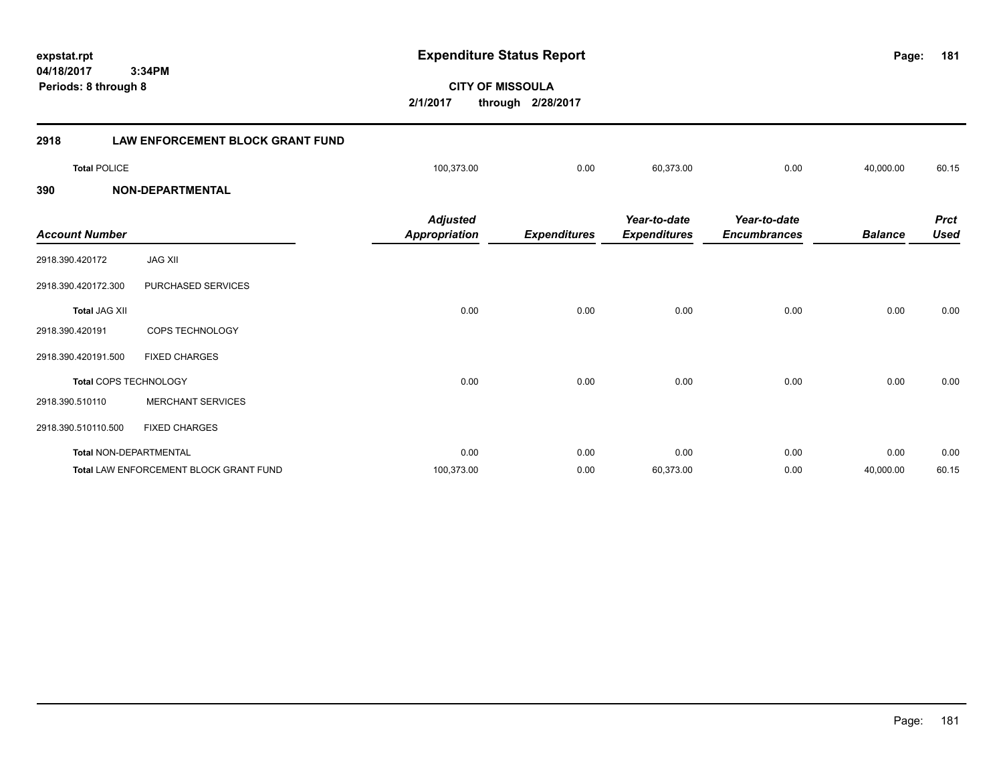**181**

**CITY OF MISSOULA 2/1/2017 through 2/28/2017**

| 2918                  | <b>LAW ENFORCEMENT BLOCK GRANT FUND</b> |                                         |                     |                                     |                                     |                |                            |
|-----------------------|-----------------------------------------|-----------------------------------------|---------------------|-------------------------------------|-------------------------------------|----------------|----------------------------|
| <b>Total POLICE</b>   |                                         | 100,373.00                              | 0.00                | 60,373.00                           | 0.00                                | 40,000.00      | 60.15                      |
| 390                   | <b>NON-DEPARTMENTAL</b>                 |                                         |                     |                                     |                                     |                |                            |
| <b>Account Number</b> |                                         | <b>Adjusted</b><br><b>Appropriation</b> | <b>Expenditures</b> | Year-to-date<br><b>Expenditures</b> | Year-to-date<br><b>Encumbrances</b> | <b>Balance</b> | <b>Prct</b><br><b>Used</b> |
| 2918.390.420172       | <b>JAG XII</b>                          |                                         |                     |                                     |                                     |                |                            |
| 2918.390.420172.300   | PURCHASED SERVICES                      |                                         |                     |                                     |                                     |                |                            |
| <b>Total JAG XII</b>  |                                         | 0.00                                    | 0.00                | 0.00                                | 0.00                                | 0.00           | 0.00                       |
| 2918.390.420191       | COPS TECHNOLOGY                         |                                         |                     |                                     |                                     |                |                            |
| 2918.390.420191.500   | <b>FIXED CHARGES</b>                    |                                         |                     |                                     |                                     |                |                            |
|                       | Total COPS TECHNOLOGY                   | 0.00                                    | 0.00                | 0.00                                | 0.00                                | 0.00           | 0.00                       |
| 2918.390.510110       | <b>MERCHANT SERVICES</b>                |                                         |                     |                                     |                                     |                |                            |
|                       | $0.010,000,010,10,000$ $0.000,000$      |                                         |                     |                                     |                                     |                |                            |

2918.390.510110.500 FIXED CHARGES

| Total NON-DEPARTMENTAL                 | 0.00       | 0.00 | 0.00      | 0.0  | 0.00      | 0.00  |
|----------------------------------------|------------|------|-----------|------|-----------|-------|
| Total LAW ENFORCEMENT BLOCK GRANT FUND | 100.373.00 | 0.00 | 60.373.00 | 0.00 | 40.000.00 | 60.15 |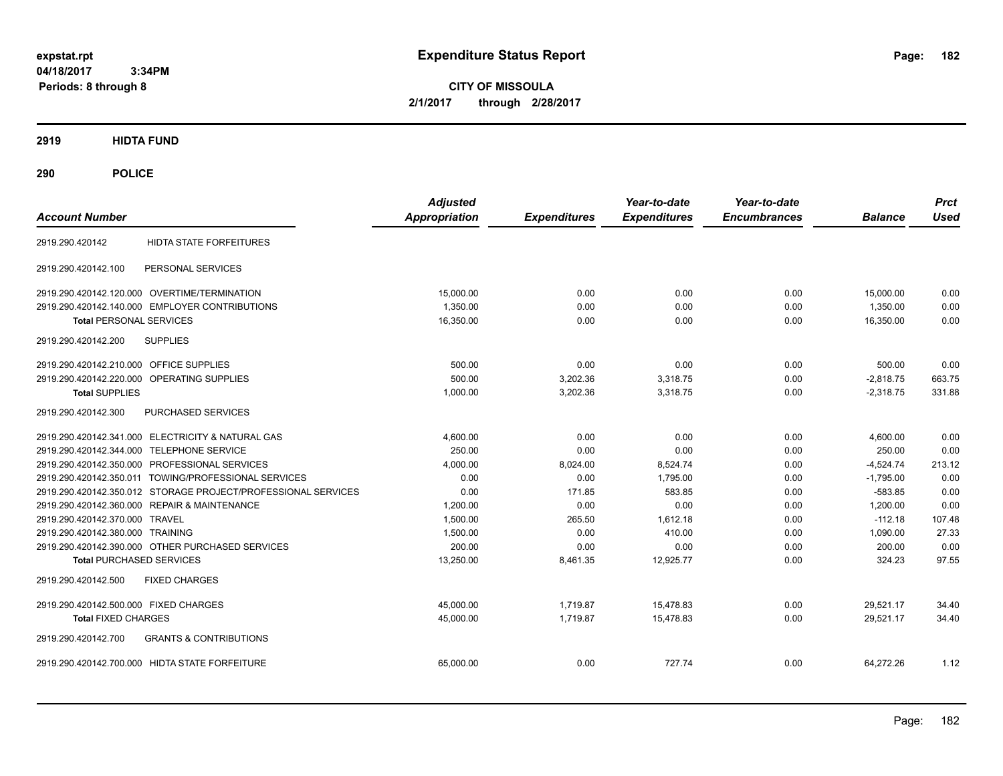**CITY OF MISSOULA 2/1/2017 through 2/28/2017**

# **2919 HIDTA FUND**

# **290 POLICE**

| <b>Account Number</b>                                         | <b>Adjusted</b><br><b>Appropriation</b> | <b>Expenditures</b> | Year-to-date<br><b>Expenditures</b> | Year-to-date<br><b>Encumbrances</b> | <b>Balance</b> | <b>Prct</b><br>Used |
|---------------------------------------------------------------|-----------------------------------------|---------------------|-------------------------------------|-------------------------------------|----------------|---------------------|
| HIDTA STATE FORFEITURES<br>2919.290.420142                    |                                         |                     |                                     |                                     |                |                     |
| PERSONAL SERVICES<br>2919.290.420142.100                      |                                         |                     |                                     |                                     |                |                     |
| 2919.290.420142.120.000 OVERTIME/TERMINATION                  | 15,000.00                               | 0.00                | 0.00                                | 0.00                                | 15,000.00      | 0.00                |
| 2919.290.420142.140.000 EMPLOYER CONTRIBUTIONS                | 1,350.00                                | 0.00                | 0.00                                | 0.00                                | 1,350.00       | 0.00                |
| <b>Total PERSONAL SERVICES</b>                                | 16,350.00                               | 0.00                | 0.00                                | 0.00                                | 16.350.00      | 0.00                |
| 2919.290.420142.200<br><b>SUPPLIES</b>                        |                                         |                     |                                     |                                     |                |                     |
| <b>OFFICE SUPPLIES</b><br>2919.290.420142.210.000             | 500.00                                  | 0.00                | 0.00                                | 0.00                                | 500.00         | 0.00                |
| OPERATING SUPPLIES<br>2919.290.420142.220.000                 | 500.00                                  | 3,202.36            | 3,318.75                            | 0.00                                | $-2,818.75$    | 663.75              |
| <b>Total SUPPLIES</b>                                         | 1,000.00                                | 3,202.36            | 3,318.75                            | 0.00                                | $-2,318.75$    | 331.88              |
| PURCHASED SERVICES<br>2919.290.420142.300                     |                                         |                     |                                     |                                     |                |                     |
| 2919.290.420142.341.000 ELECTRICITY & NATURAL GAS             | 4,600.00                                | 0.00                | 0.00                                | 0.00                                | 4,600.00       | 0.00                |
| 2919.290.420142.344.000 TELEPHONE SERVICE                     | 250.00                                  | 0.00                | 0.00                                | 0.00                                | 250.00         | 0.00                |
| 2919.290.420142.350.000 PROFESSIONAL SERVICES                 | 4,000.00                                | 8,024.00            | 8,524.74                            | 0.00                                | $-4,524.74$    | 213.12              |
| 2919.290.420142.350.011 TOWING/PROFESSIONAL SERVICES          | 0.00                                    | 0.00                | 1,795.00                            | 0.00                                | $-1,795.00$    | 0.00                |
| 2919.290.420142.350.012 STORAGE PROJECT/PROFESSIONAL SERVICES | 0.00                                    | 171.85              | 583.85                              | 0.00                                | $-583.85$      | 0.00                |
| 2919.290.420142.360.000 REPAIR & MAINTENANCE                  | 1,200.00                                | 0.00                | 0.00                                | 0.00                                | 1,200.00       | 0.00                |
| 2919.290.420142.370.000 TRAVEL                                | 1,500.00                                | 265.50              | 1.612.18                            | 0.00                                | $-112.18$      | 107.48              |
| 2919.290.420142.380.000 TRAINING                              | 1,500.00                                | 0.00                | 410.00                              | 0.00                                | 1.090.00       | 27.33               |
| 2919.290.420142.390.000 OTHER PURCHASED SERVICES              | 200.00                                  | 0.00                | 0.00                                | 0.00                                | 200.00         | 0.00                |
| <b>Total PURCHASED SERVICES</b>                               | 13,250.00                               | 8,461.35            | 12,925.77                           | 0.00                                | 324.23         | 97.55               |
| 2919.290.420142.500<br><b>FIXED CHARGES</b>                   |                                         |                     |                                     |                                     |                |                     |
| 2919.290.420142.500.000 FIXED CHARGES                         | 45,000.00                               | 1,719.87            | 15,478.83                           | 0.00                                | 29,521.17      | 34.40               |
| <b>Total FIXED CHARGES</b>                                    | 45,000.00                               | 1,719.87            | 15,478.83                           | 0.00                                | 29,521.17      | 34.40               |
| <b>GRANTS &amp; CONTRIBUTIONS</b><br>2919.290.420142.700      |                                         |                     |                                     |                                     |                |                     |
| 2919.290.420142.700.000 HIDTA STATE FORFEITURE                | 65.000.00                               | 0.00                | 727.74                              | 0.00                                | 64.272.26      | 1.12                |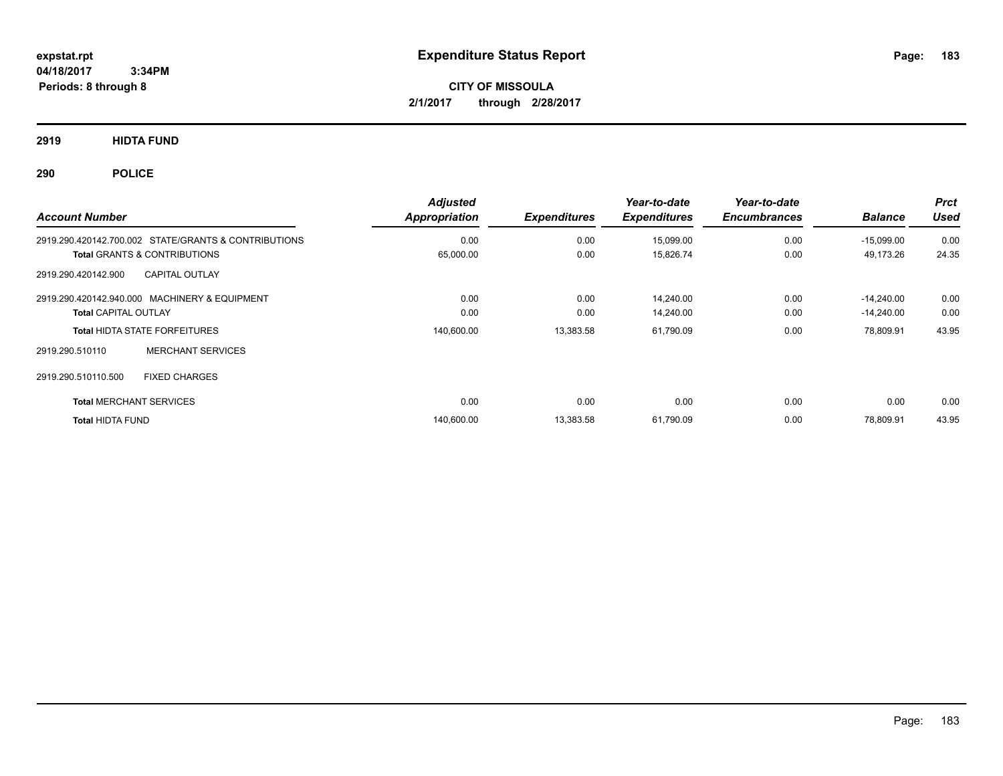**CITY OF MISSOULA 2/1/2017 through 2/28/2017**

**2919 HIDTA FUND**

**290 POLICE**

| <b>Account Number</b>                                | <b>Adjusted</b><br>Appropriation | <b>Expenditures</b> | Year-to-date<br><b>Expenditures</b> | Year-to-date<br><b>Encumbrances</b> | <b>Balance</b> | <b>Prct</b><br><b>Used</b> |
|------------------------------------------------------|----------------------------------|---------------------|-------------------------------------|-------------------------------------|----------------|----------------------------|
| 2919.290.420142.700.002 STATE/GRANTS & CONTRIBUTIONS | 0.00                             | 0.00                | 15,099.00                           | 0.00                                | $-15,099.00$   | 0.00                       |
| <b>Total GRANTS &amp; CONTRIBUTIONS</b>              | 65,000.00                        | 0.00                | 15,826.74                           | 0.00                                | 49,173.26      | 24.35                      |
| <b>CAPITAL OUTLAY</b><br>2919.290.420142.900         |                                  |                     |                                     |                                     |                |                            |
| 2919.290.420142.940.000 MACHINERY & EQUIPMENT        | 0.00                             | 0.00                | 14,240.00                           | 0.00                                | $-14.240.00$   | 0.00                       |
| <b>Total CAPITAL OUTLAY</b>                          | 0.00                             | 0.00                | 14,240.00                           | 0.00                                | $-14,240.00$   | 0.00                       |
| <b>Total HIDTA STATE FORFEITURES</b>                 | 140,600.00                       | 13,383.58           | 61,790.09                           | 0.00                                | 78,809.91      | 43.95                      |
| <b>MERCHANT SERVICES</b><br>2919.290.510110          |                                  |                     |                                     |                                     |                |                            |
| 2919.290.510110.500<br><b>FIXED CHARGES</b>          |                                  |                     |                                     |                                     |                |                            |
| <b>Total MERCHANT SERVICES</b>                       | 0.00                             | 0.00                | 0.00                                | 0.00                                | 0.00           | 0.00                       |
| <b>Total HIDTA FUND</b>                              | 140,600.00                       | 13,383.58           | 61,790.09                           | 0.00                                | 78.809.91      | 43.95                      |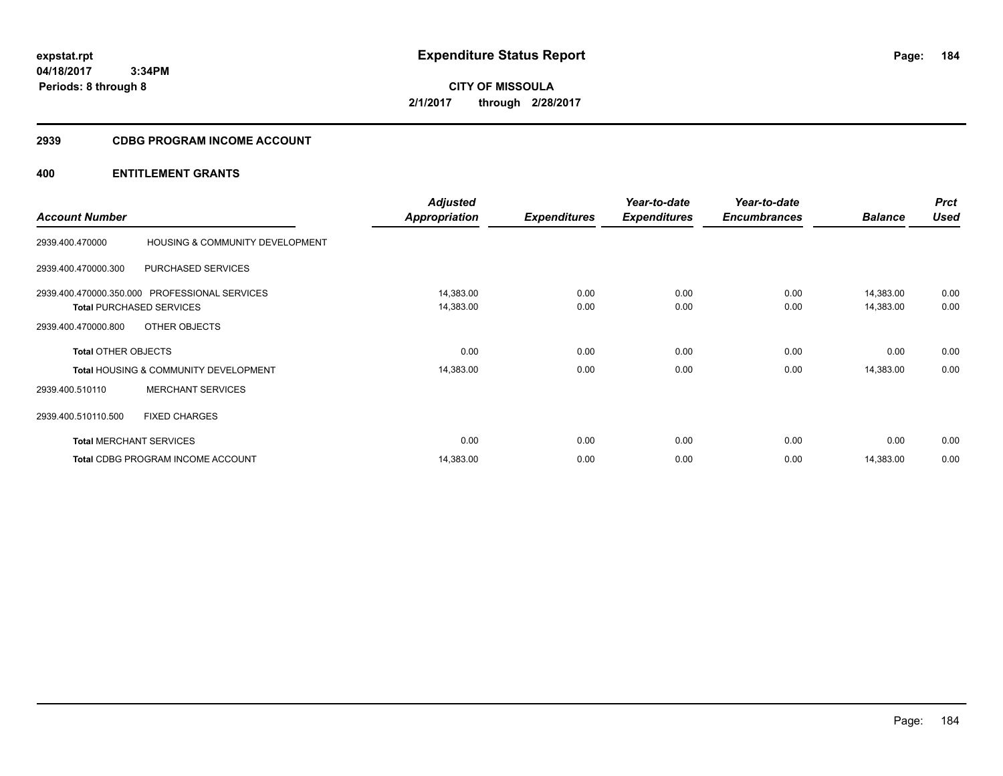**CITY OF MISSOULA 2/1/2017 through 2/28/2017**

# **2939 CDBG PROGRAM INCOME ACCOUNT**

| <b>Account Number</b>      |                                                  | <b>Adjusted</b><br><b>Appropriation</b> | <b>Expenditures</b> | Year-to-date<br><b>Expenditures</b> | Year-to-date<br><b>Encumbrances</b> | <b>Balance</b> | <b>Prct</b><br><b>Used</b> |
|----------------------------|--------------------------------------------------|-----------------------------------------|---------------------|-------------------------------------|-------------------------------------|----------------|----------------------------|
|                            |                                                  |                                         |                     |                                     |                                     |                |                            |
| 2939.400.470000            | HOUSING & COMMUNITY DEVELOPMENT                  |                                         |                     |                                     |                                     |                |                            |
| 2939.400.470000.300        | PURCHASED SERVICES                               |                                         |                     |                                     |                                     |                |                            |
|                            | 2939.400.470000.350.000 PROFESSIONAL SERVICES    | 14,383.00                               | 0.00                | 0.00                                | 0.00                                | 14,383.00      | 0.00                       |
|                            | <b>Total PURCHASED SERVICES</b>                  | 14,383.00                               | 0.00                | 0.00                                | 0.00                                | 14,383.00      | 0.00                       |
| 2939.400.470000.800        | OTHER OBJECTS                                    |                                         |                     |                                     |                                     |                |                            |
| <b>Total OTHER OBJECTS</b> |                                                  | 0.00                                    | 0.00                | 0.00                                | 0.00                                | 0.00           | 0.00                       |
|                            | <b>Total HOUSING &amp; COMMUNITY DEVELOPMENT</b> | 14,383.00                               | 0.00                | 0.00                                | 0.00                                | 14,383.00      | 0.00                       |
| 2939.400.510110            | <b>MERCHANT SERVICES</b>                         |                                         |                     |                                     |                                     |                |                            |
| 2939.400.510110.500        | <b>FIXED CHARGES</b>                             |                                         |                     |                                     |                                     |                |                            |
|                            | <b>Total MERCHANT SERVICES</b>                   | 0.00                                    | 0.00                | 0.00                                | 0.00                                | 0.00           | 0.00                       |
|                            | <b>Total CDBG PROGRAM INCOME ACCOUNT</b>         | 14,383.00                               | 0.00                | 0.00                                | 0.00                                | 14,383.00      | 0.00                       |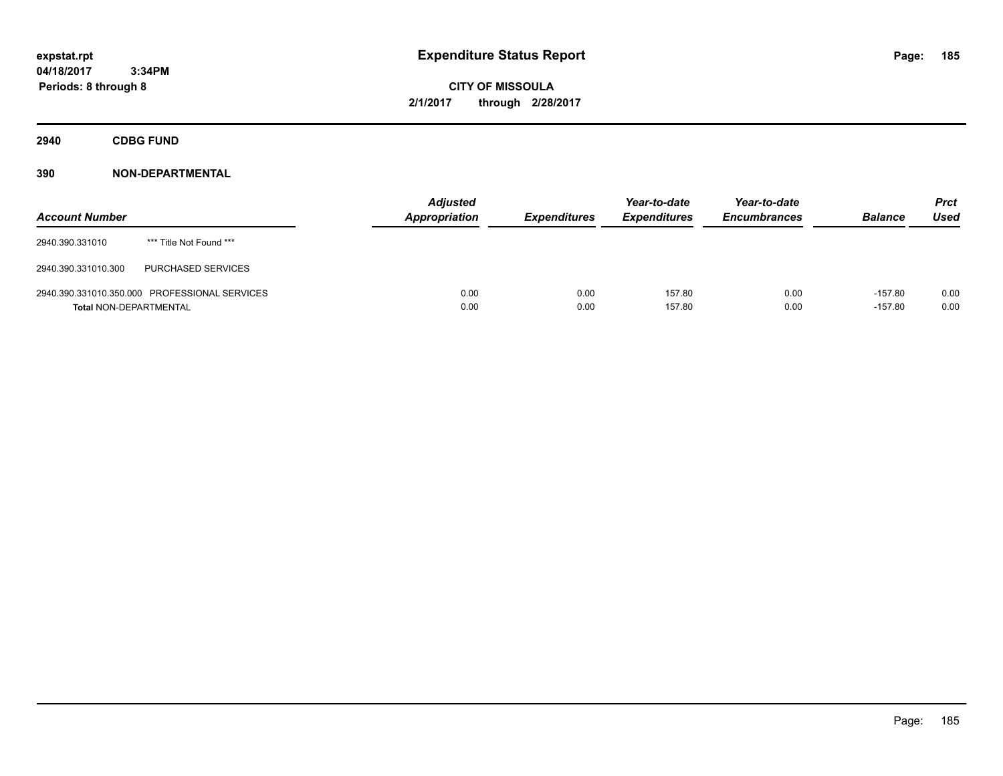**CITY OF MISSOULA 2/1/2017 through 2/28/2017**

**2940 CDBG FUND**

| <b>Account Number</b>         |                                               | <b>Adjusted</b><br>Appropriation | <b>Expenditures</b> | Year-to-date<br><b>Expenditures</b> | Year-to-date<br><b>Encumbrances</b> | <b>Balance</b>         | Prct<br><b>Used</b> |
|-------------------------------|-----------------------------------------------|----------------------------------|---------------------|-------------------------------------|-------------------------------------|------------------------|---------------------|
| 2940.390.331010               | *** Title Not Found ***                       |                                  |                     |                                     |                                     |                        |                     |
| 2940.390.331010.300           | PURCHASED SERVICES                            |                                  |                     |                                     |                                     |                        |                     |
| <b>Total NON-DEPARTMENTAL</b> | 2940.390.331010.350.000 PROFESSIONAL SERVICES | 0.00<br>0.00                     | 0.00<br>0.00        | 157.80<br>157.80                    | 0.00<br>0.00                        | $-157.80$<br>$-157.80$ | 0.00<br>0.00        |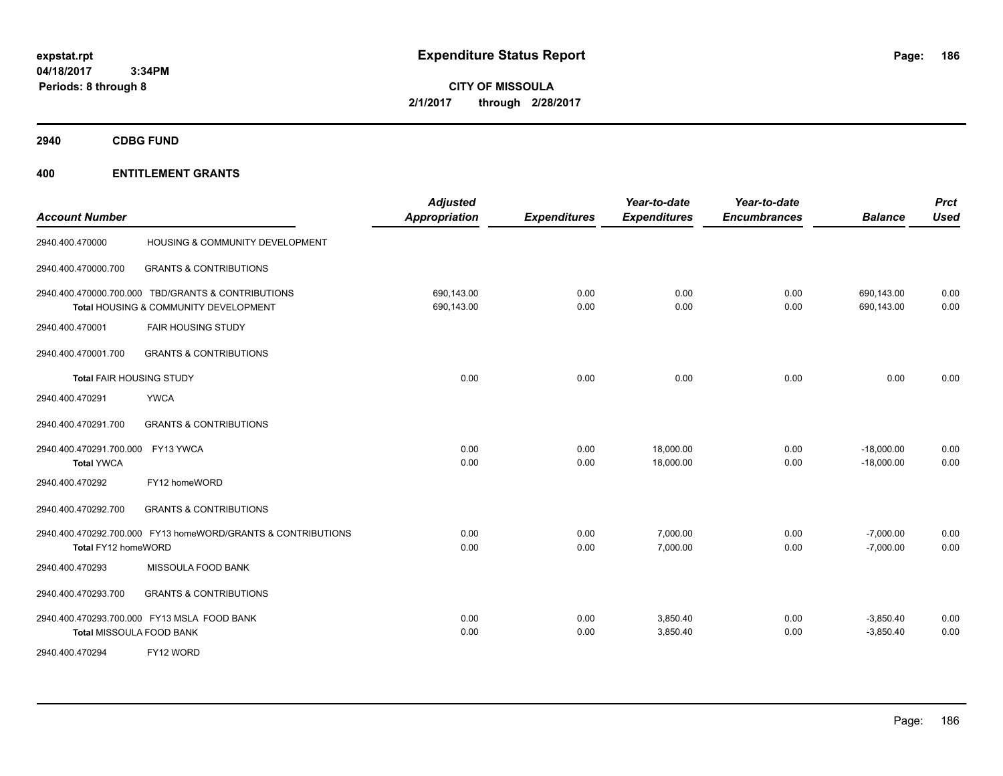**CITY OF MISSOULA 2/1/2017 through 2/28/2017**

**2940 CDBG FUND**

| <b>Account Number</b>                                                                       | <b>Adjusted</b><br><b>Appropriation</b> | <b>Expenditures</b> | Year-to-date<br><b>Expenditures</b> | Year-to-date<br><b>Encumbrances</b> | <b>Balance</b>               | <b>Prct</b><br><b>Used</b> |
|---------------------------------------------------------------------------------------------|-----------------------------------------|---------------------|-------------------------------------|-------------------------------------|------------------------------|----------------------------|
| HOUSING & COMMUNITY DEVELOPMENT<br>2940.400.470000                                          |                                         |                     |                                     |                                     |                              |                            |
| <b>GRANTS &amp; CONTRIBUTIONS</b><br>2940.400.470000.700                                    |                                         |                     |                                     |                                     |                              |                            |
| 2940.400.470000.700.000 TBD/GRANTS & CONTRIBUTIONS<br>Total HOUSING & COMMUNITY DEVELOPMENT | 690,143.00<br>690,143.00                | 0.00<br>0.00        | 0.00<br>0.00                        | 0.00<br>0.00                        | 690,143.00<br>690,143.00     | 0.00<br>0.00               |
| 2940.400.470001<br><b>FAIR HOUSING STUDY</b>                                                |                                         |                     |                                     |                                     |                              |                            |
| <b>GRANTS &amp; CONTRIBUTIONS</b><br>2940.400.470001.700                                    |                                         |                     |                                     |                                     |                              |                            |
| Total FAIR HOUSING STUDY                                                                    | 0.00                                    | 0.00                | 0.00                                | 0.00                                | 0.00                         | 0.00                       |
| 2940.400.470291<br><b>YWCA</b>                                                              |                                         |                     |                                     |                                     |                              |                            |
| <b>GRANTS &amp; CONTRIBUTIONS</b><br>2940.400.470291.700                                    |                                         |                     |                                     |                                     |                              |                            |
| 2940.400.470291.700.000 FY13 YWCA<br><b>Total YWCA</b>                                      | 0.00<br>0.00                            | 0.00<br>0.00        | 18,000.00<br>18,000.00              | 0.00<br>0.00                        | $-18,000.00$<br>$-18,000.00$ | 0.00<br>0.00               |
| FY12 homeWORD<br>2940.400.470292                                                            |                                         |                     |                                     |                                     |                              |                            |
| 2940.400.470292.700<br><b>GRANTS &amp; CONTRIBUTIONS</b>                                    |                                         |                     |                                     |                                     |                              |                            |
| 2940.400.470292.700.000 FY13 homeWORD/GRANTS & CONTRIBUTIONS<br>Total FY12 homeWORD         | 0.00<br>0.00                            | 0.00<br>0.00        | 7,000.00<br>7,000.00                | 0.00<br>0.00                        | $-7,000.00$<br>$-7,000.00$   | 0.00<br>0.00               |
| MISSOULA FOOD BANK<br>2940.400.470293                                                       |                                         |                     |                                     |                                     |                              |                            |
| <b>GRANTS &amp; CONTRIBUTIONS</b><br>2940.400.470293.700                                    |                                         |                     |                                     |                                     |                              |                            |
| 2940.400.470293.700.000 FY13 MSLA FOOD BANK<br>Total MISSOULA FOOD BANK                     | 0.00<br>0.00                            | 0.00<br>0.00        | 3,850.40<br>3,850.40                | 0.00<br>0.00                        | $-3,850.40$<br>$-3,850.40$   | 0.00<br>0.00               |
| 2940.400.470294<br>FY12 WORD                                                                |                                         |                     |                                     |                                     |                              |                            |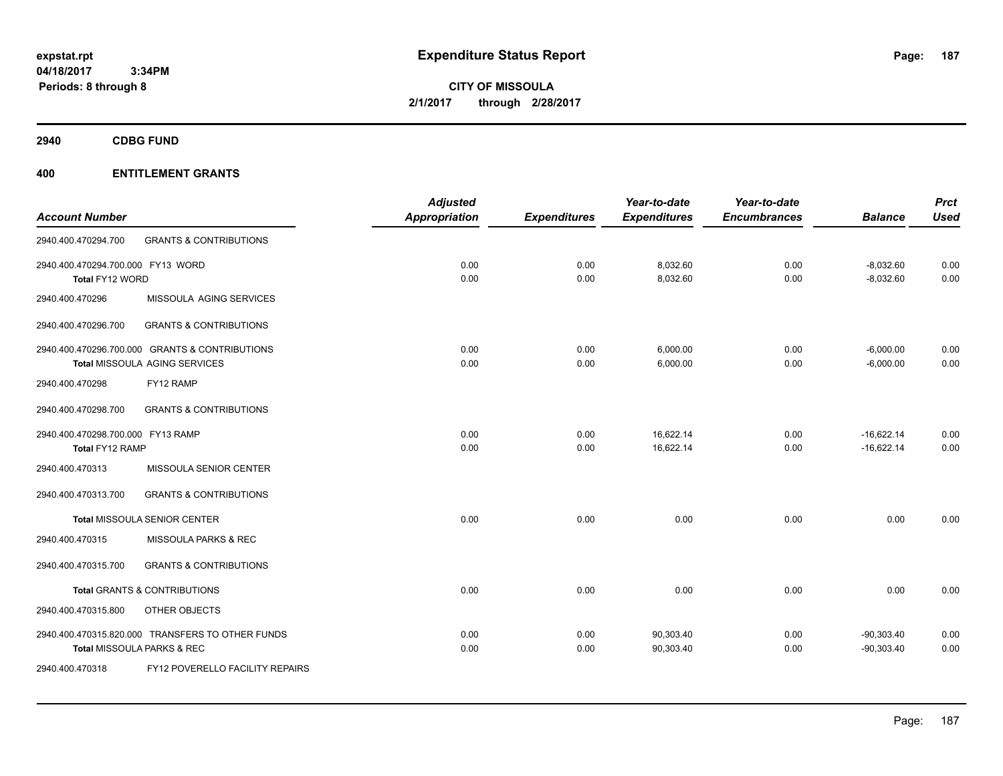**CITY OF MISSOULA 2/1/2017 through 2/28/2017**

**2940 CDBG FUND**

|                                   |                                                  | <b>Adjusted</b>      |                     | Year-to-date        | Year-to-date        |                | <b>Prct</b> |
|-----------------------------------|--------------------------------------------------|----------------------|---------------------|---------------------|---------------------|----------------|-------------|
| <b>Account Number</b>             |                                                  | <b>Appropriation</b> | <b>Expenditures</b> | <b>Expenditures</b> | <b>Encumbrances</b> | <b>Balance</b> | <b>Used</b> |
| 2940.400.470294.700               | <b>GRANTS &amp; CONTRIBUTIONS</b>                |                      |                     |                     |                     |                |             |
| 2940.400.470294.700.000 FY13 WORD |                                                  | 0.00                 | 0.00                | 8,032.60            | 0.00                | $-8,032.60$    | 0.00        |
| Total FY12 WORD                   |                                                  | 0.00                 | 0.00                | 8,032.60            | 0.00                | $-8,032.60$    | 0.00        |
| 2940.400.470296                   | MISSOULA AGING SERVICES                          |                      |                     |                     |                     |                |             |
| 2940.400.470296.700               | <b>GRANTS &amp; CONTRIBUTIONS</b>                |                      |                     |                     |                     |                |             |
|                                   | 2940.400.470296.700.000 GRANTS & CONTRIBUTIONS   | 0.00                 | 0.00                | 6,000.00            | 0.00                | $-6,000.00$    | 0.00        |
|                                   | <b>Total MISSOULA AGING SERVICES</b>             | 0.00                 | 0.00                | 6,000.00            | 0.00                | $-6,000.00$    | 0.00        |
| 2940.400.470298                   | FY12 RAMP                                        |                      |                     |                     |                     |                |             |
| 2940.400.470298.700               | <b>GRANTS &amp; CONTRIBUTIONS</b>                |                      |                     |                     |                     |                |             |
| 2940.400.470298.700.000 FY13 RAMP |                                                  | 0.00                 | 0.00                | 16,622.14           | 0.00                | $-16,622.14$   | 0.00        |
| Total FY12 RAMP                   |                                                  | 0.00                 | 0.00                | 16,622.14           | 0.00                | $-16,622.14$   | 0.00        |
| 2940.400.470313                   | MISSOULA SENIOR CENTER                           |                      |                     |                     |                     |                |             |
| 2940.400.470313.700               | <b>GRANTS &amp; CONTRIBUTIONS</b>                |                      |                     |                     |                     |                |             |
|                                   | <b>Total MISSOULA SENIOR CENTER</b>              | 0.00                 | 0.00                | 0.00                | 0.00                | 0.00           | 0.00        |
| 2940.400.470315                   | MISSOULA PARKS & REC                             |                      |                     |                     |                     |                |             |
| 2940.400.470315.700               | <b>GRANTS &amp; CONTRIBUTIONS</b>                |                      |                     |                     |                     |                |             |
|                                   | <b>Total GRANTS &amp; CONTRIBUTIONS</b>          | 0.00                 | 0.00                | 0.00                | 0.00                | 0.00           | 0.00        |
| 2940.400.470315.800               | <b>OTHER OBJECTS</b>                             |                      |                     |                     |                     |                |             |
|                                   | 2940.400.470315.820.000 TRANSFERS TO OTHER FUNDS | 0.00                 | 0.00                | 90,303.40           | 0.00                | $-90,303.40$   | 0.00        |
|                                   | Total MISSOULA PARKS & REC                       | 0.00                 | 0.00                | 90,303.40           | 0.00                | $-90,303.40$   | 0.00        |
| 2940.400.470318                   | FY12 POVERELLO FACILITY REPAIRS                  |                      |                     |                     |                     |                |             |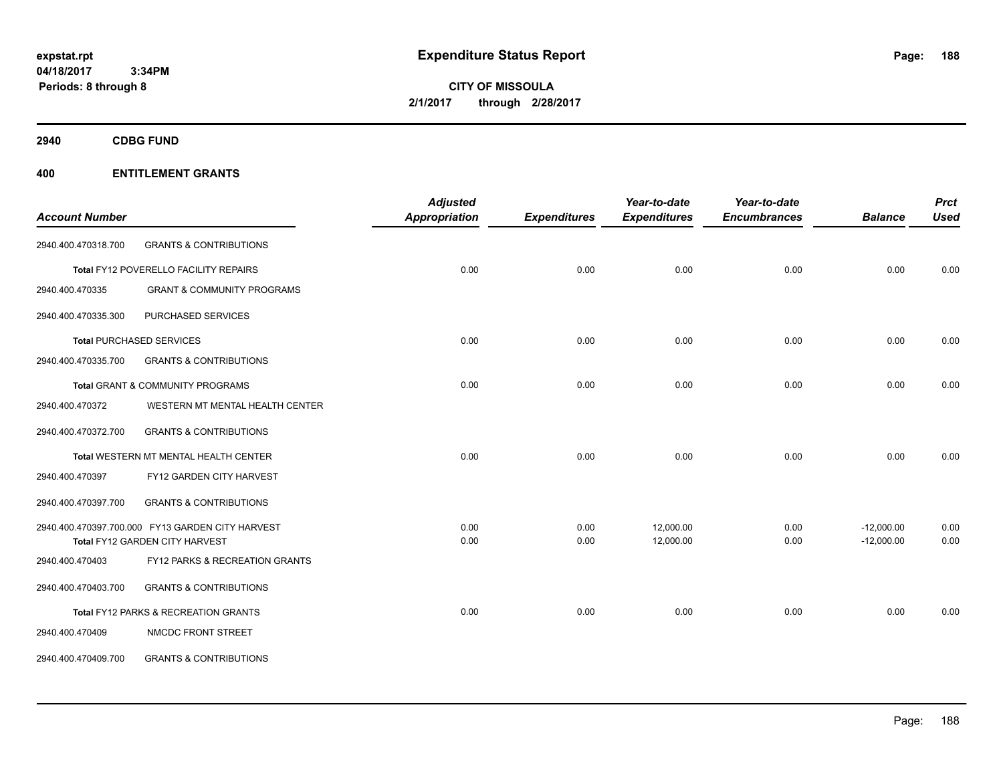**CITY OF MISSOULA 2/1/2017 through 2/28/2017**

**2940 CDBG FUND**

|                       |                                                  | <b>Adjusted</b>      |                     | Year-to-date        | Year-to-date        |                | <b>Prct</b> |
|-----------------------|--------------------------------------------------|----------------------|---------------------|---------------------|---------------------|----------------|-------------|
| <b>Account Number</b> |                                                  | <b>Appropriation</b> | <b>Expenditures</b> | <b>Expenditures</b> | <b>Encumbrances</b> | <b>Balance</b> | <b>Used</b> |
| 2940.400.470318.700   | <b>GRANTS &amp; CONTRIBUTIONS</b>                |                      |                     |                     |                     |                |             |
|                       | Total FY12 POVERELLO FACILITY REPAIRS            | 0.00                 | 0.00                | 0.00                | 0.00                | 0.00           | 0.00        |
| 2940.400.470335       | <b>GRANT &amp; COMMUNITY PROGRAMS</b>            |                      |                     |                     |                     |                |             |
| 2940.400.470335.300   | PURCHASED SERVICES                               |                      |                     |                     |                     |                |             |
|                       | <b>Total PURCHASED SERVICES</b>                  | 0.00                 | 0.00                | 0.00                | 0.00                | 0.00           | 0.00        |
| 2940.400.470335.700   | <b>GRANTS &amp; CONTRIBUTIONS</b>                |                      |                     |                     |                     |                |             |
|                       | Total GRANT & COMMUNITY PROGRAMS                 | 0.00                 | 0.00                | 0.00                | 0.00                | 0.00           | 0.00        |
| 2940.400.470372       | WESTERN MT MENTAL HEALTH CENTER                  |                      |                     |                     |                     |                |             |
| 2940.400.470372.700   | <b>GRANTS &amp; CONTRIBUTIONS</b>                |                      |                     |                     |                     |                |             |
|                       | Total WESTERN MT MENTAL HEALTH CENTER            | 0.00                 | 0.00                | 0.00                | 0.00                | 0.00           | 0.00        |
| 2940.400.470397       | FY12 GARDEN CITY HARVEST                         |                      |                     |                     |                     |                |             |
| 2940.400.470397.700   | <b>GRANTS &amp; CONTRIBUTIONS</b>                |                      |                     |                     |                     |                |             |
|                       | 2940.400.470397.700.000 FY13 GARDEN CITY HARVEST | 0.00                 | 0.00                | 12,000.00           | 0.00                | $-12,000.00$   | 0.00        |
|                       | Total FY12 GARDEN CITY HARVEST                   | 0.00                 | 0.00                | 12,000.00           | 0.00                | $-12,000.00$   | 0.00        |
| 2940.400.470403       | FY12 PARKS & RECREATION GRANTS                   |                      |                     |                     |                     |                |             |
| 2940.400.470403.700   | <b>GRANTS &amp; CONTRIBUTIONS</b>                |                      |                     |                     |                     |                |             |
|                       | Total FY12 PARKS & RECREATION GRANTS             | 0.00                 | 0.00                | 0.00                | 0.00                | 0.00           | 0.00        |
| 2940.400.470409       | NMCDC FRONT STREET                               |                      |                     |                     |                     |                |             |
| 2940.400.470409.700   | <b>GRANTS &amp; CONTRIBUTIONS</b>                |                      |                     |                     |                     |                |             |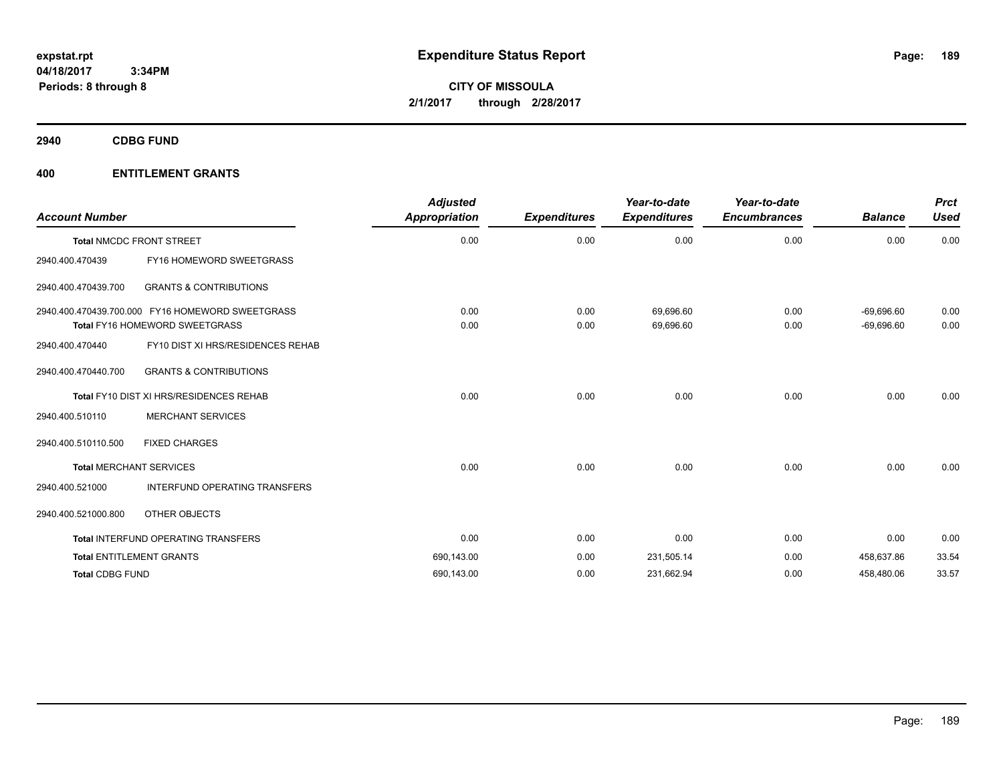**2940 CDBG FUND**

| <b>Account Number</b>  |                                                                                           | <b>Adjusted</b><br><b>Appropriation</b> | <b>Expenditures</b> | Year-to-date<br><b>Expenditures</b> | Year-to-date<br><b>Encumbrances</b> | <b>Balance</b>               | <b>Prct</b><br><b>Used</b> |
|------------------------|-------------------------------------------------------------------------------------------|-----------------------------------------|---------------------|-------------------------------------|-------------------------------------|------------------------------|----------------------------|
|                        | <b>Total NMCDC FRONT STREET</b>                                                           | 0.00                                    | 0.00                | 0.00                                | 0.00                                | 0.00                         | 0.00                       |
| 2940.400.470439        | FY16 HOMEWORD SWEETGRASS                                                                  |                                         |                     |                                     |                                     |                              |                            |
| 2940.400.470439.700    | <b>GRANTS &amp; CONTRIBUTIONS</b>                                                         |                                         |                     |                                     |                                     |                              |                            |
|                        | 2940.400.470439.700.000 FY16 HOMEWORD SWEETGRASS<br><b>Total FY16 HOMEWORD SWEETGRASS</b> | 0.00<br>0.00                            | 0.00<br>0.00        | 69.696.60<br>69,696.60              | 0.00<br>0.00                        | $-69,696.60$<br>$-69,696.60$ | 0.00<br>0.00               |
| 2940.400.470440        | FY10 DIST XI HRS/RESIDENCES REHAB                                                         |                                         |                     |                                     |                                     |                              |                            |
| 2940.400.470440.700    | <b>GRANTS &amp; CONTRIBUTIONS</b>                                                         |                                         |                     |                                     |                                     |                              |                            |
|                        | Total FY10 DIST XI HRS/RESIDENCES REHAB                                                   | 0.00                                    | 0.00                | 0.00                                | 0.00                                | 0.00                         | 0.00                       |
| 2940.400.510110        | <b>MERCHANT SERVICES</b>                                                                  |                                         |                     |                                     |                                     |                              |                            |
| 2940.400.510110.500    | <b>FIXED CHARGES</b>                                                                      |                                         |                     |                                     |                                     |                              |                            |
|                        | <b>Total MERCHANT SERVICES</b>                                                            | 0.00                                    | 0.00                | 0.00                                | 0.00                                | 0.00                         | 0.00                       |
| 2940.400.521000        | <b>INTERFUND OPERATING TRANSFERS</b>                                                      |                                         |                     |                                     |                                     |                              |                            |
| 2940.400.521000.800    | OTHER OBJECTS                                                                             |                                         |                     |                                     |                                     |                              |                            |
|                        | Total INTERFUND OPERATING TRANSFERS                                                       | 0.00                                    | 0.00                | 0.00                                | 0.00                                | 0.00                         | 0.00                       |
|                        | <b>Total ENTITLEMENT GRANTS</b>                                                           | 690,143.00                              | 0.00                | 231,505.14                          | 0.00                                | 458,637.86                   | 33.54                      |
| <b>Total CDBG FUND</b> |                                                                                           | 690,143.00                              | 0.00                | 231,662.94                          | 0.00                                | 458,480.06                   | 33.57                      |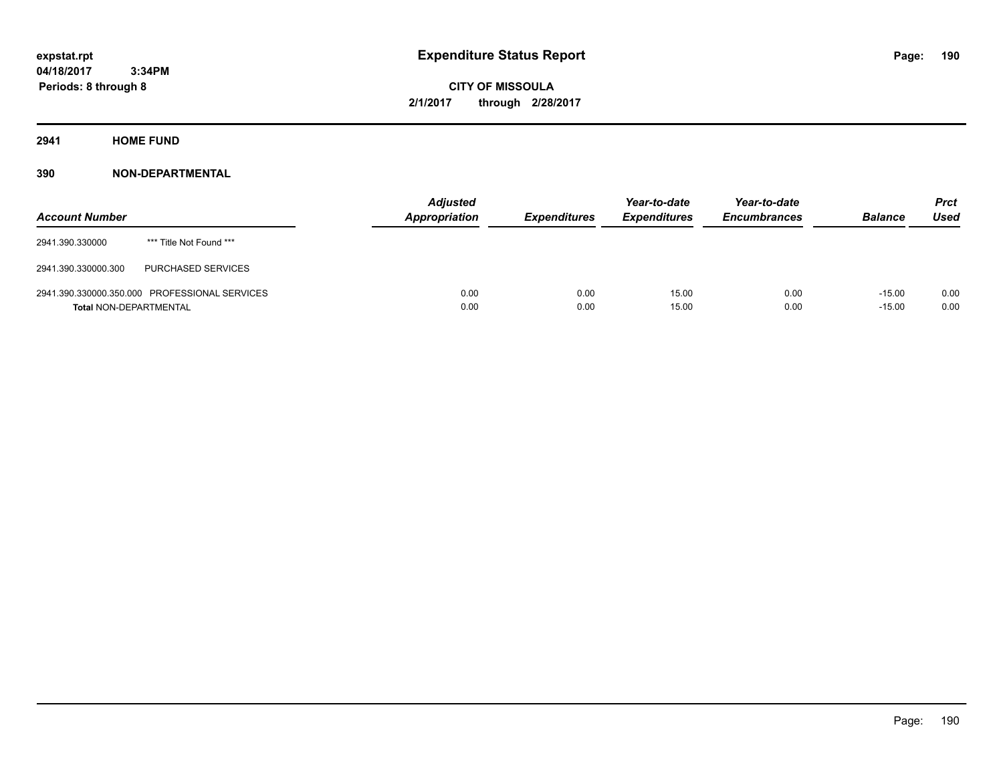**CITY OF MISSOULA 2/1/2017 through 2/28/2017**

**2941 HOME FUND**

| <b>Account Number</b>         |                                               | <b>Adjusted</b><br><b>Appropriation</b> | <b>Expenditures</b> | Year-to-date<br><b>Expenditures</b> | Year-to-date<br><b>Encumbrances</b> | <b>Balance</b>       | Prct<br><b>Used</b> |
|-------------------------------|-----------------------------------------------|-----------------------------------------|---------------------|-------------------------------------|-------------------------------------|----------------------|---------------------|
| 2941.390.330000               | *** Title Not Found ***                       |                                         |                     |                                     |                                     |                      |                     |
| 2941.390.330000.300           | PURCHASED SERVICES                            |                                         |                     |                                     |                                     |                      |                     |
| <b>Total NON-DEPARTMENTAL</b> | 2941.390.330000.350.000 PROFESSIONAL SERVICES | 0.00<br>0.00                            | 0.00<br>0.00        | 15.00<br>15.00                      | 0.00<br>0.00                        | $-15.00$<br>$-15.00$ | 0.00<br>0.00        |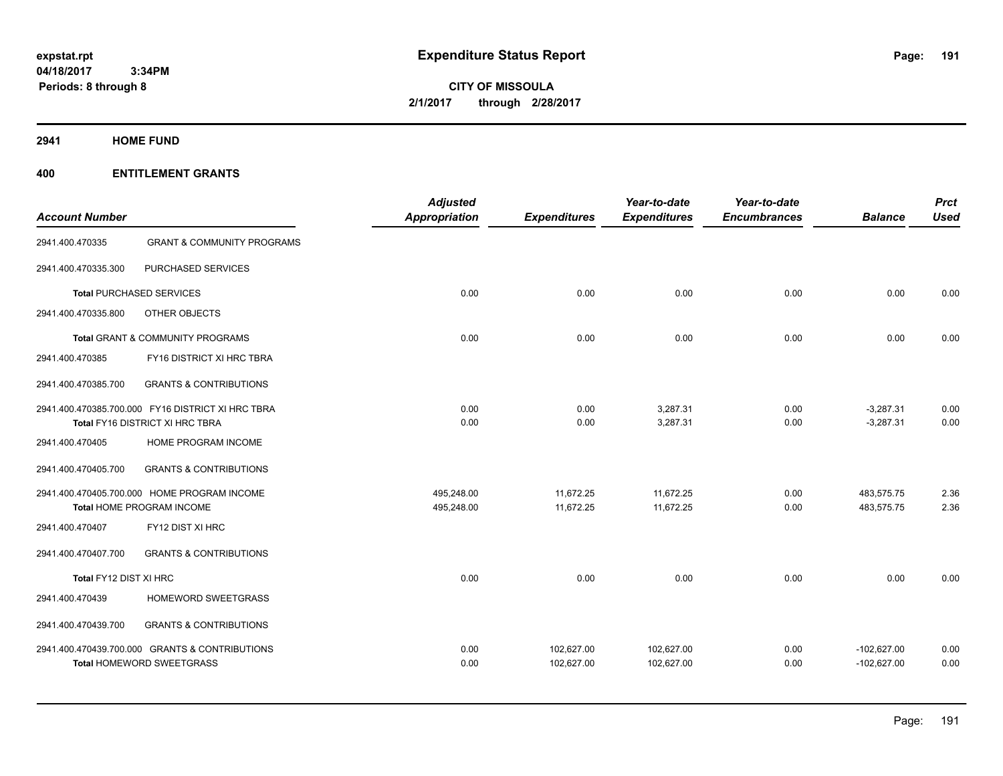**CITY OF MISSOULA 2/1/2017 through 2/28/2017**

**2941 HOME FUND**

| <b>Account Number</b>                                                                |                                                                             | <b>Adjusted</b><br><b>Appropriation</b> | <b>Expenditures</b>      | Year-to-date<br><b>Expenditures</b> | Year-to-date<br><b>Encumbrances</b> | <b>Balance</b>                 | <b>Prct</b><br><b>Used</b> |
|--------------------------------------------------------------------------------------|-----------------------------------------------------------------------------|-----------------------------------------|--------------------------|-------------------------------------|-------------------------------------|--------------------------------|----------------------------|
| 2941.400.470335                                                                      | <b>GRANT &amp; COMMUNITY PROGRAMS</b>                                       |                                         |                          |                                     |                                     |                                |                            |
| 2941.400.470335.300                                                                  | PURCHASED SERVICES                                                          |                                         |                          |                                     |                                     |                                |                            |
|                                                                                      | <b>Total PURCHASED SERVICES</b>                                             | 0.00                                    | 0.00                     | 0.00                                | 0.00                                | 0.00                           | 0.00                       |
| 2941.400.470335.800                                                                  | OTHER OBJECTS                                                               |                                         |                          |                                     |                                     |                                |                            |
|                                                                                      | <b>Total GRANT &amp; COMMUNITY PROGRAMS</b>                                 | 0.00                                    | 0.00                     | 0.00                                | 0.00                                | 0.00                           | 0.00                       |
| 2941.400.470385                                                                      | FY16 DISTRICT XI HRC TBRA                                                   |                                         |                          |                                     |                                     |                                |                            |
| 2941.400.470385.700                                                                  | <b>GRANTS &amp; CONTRIBUTIONS</b>                                           |                                         |                          |                                     |                                     |                                |                            |
| 2941.400.470385.700.000 FY16 DISTRICT XI HRC TBRA<br>Total FY16 DISTRICT XI HRC TBRA |                                                                             | 0.00<br>0.00                            | 0.00<br>0.00             | 3,287.31<br>3,287.31                | 0.00<br>0.00                        | $-3,287.31$<br>$-3,287.31$     | 0.00<br>0.00               |
| 2941.400.470405                                                                      | HOME PROGRAM INCOME                                                         |                                         |                          |                                     |                                     |                                |                            |
| 2941.400.470405.700                                                                  | <b>GRANTS &amp; CONTRIBUTIONS</b>                                           |                                         |                          |                                     |                                     |                                |                            |
|                                                                                      | 2941.400.470405.700.000 HOME PROGRAM INCOME<br>Total HOME PROGRAM INCOME    | 495,248.00<br>495,248.00                | 11,672.25<br>11,672.25   | 11,672.25<br>11,672.25              | 0.00<br>0.00                        | 483,575.75<br>483,575.75       | 2.36<br>2.36               |
| 2941.400.470407                                                                      | FY12 DIST XI HRC                                                            |                                         |                          |                                     |                                     |                                |                            |
| 2941.400.470407.700                                                                  | <b>GRANTS &amp; CONTRIBUTIONS</b>                                           |                                         |                          |                                     |                                     |                                |                            |
| Total FY12 DIST XI HRC                                                               |                                                                             | 0.00                                    | 0.00                     | 0.00                                | 0.00                                | 0.00                           | 0.00                       |
| 2941.400.470439                                                                      | HOMEWORD SWEETGRASS                                                         |                                         |                          |                                     |                                     |                                |                            |
| 2941.400.470439.700                                                                  | <b>GRANTS &amp; CONTRIBUTIONS</b>                                           |                                         |                          |                                     |                                     |                                |                            |
|                                                                                      | 2941.400.470439.700.000 GRANTS & CONTRIBUTIONS<br>Total HOMEWORD SWEETGRASS | 0.00<br>0.00                            | 102,627.00<br>102,627.00 | 102,627.00<br>102,627.00            | 0.00<br>0.00                        | $-102,627.00$<br>$-102,627.00$ | 0.00<br>0.00               |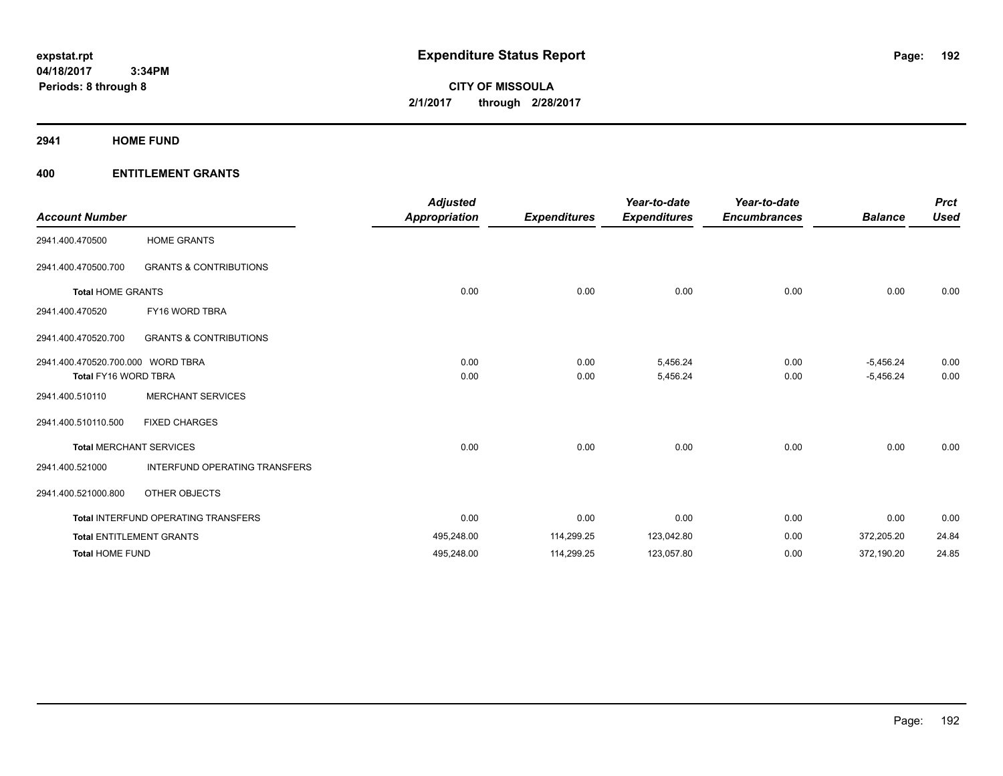**CITY OF MISSOULA 2/1/2017 through 2/28/2017**

**2941 HOME FUND**

| <b>Account Number</b>                                            |                                            | <b>Adjusted</b><br><b>Appropriation</b> | <b>Expenditures</b> | Year-to-date<br><b>Expenditures</b> | Year-to-date<br><b>Encumbrances</b> | <b>Balance</b>             | <b>Prct</b><br><b>Used</b> |
|------------------------------------------------------------------|--------------------------------------------|-----------------------------------------|---------------------|-------------------------------------|-------------------------------------|----------------------------|----------------------------|
| 2941.400.470500                                                  | <b>HOME GRANTS</b>                         |                                         |                     |                                     |                                     |                            |                            |
| 2941.400.470500.700                                              | <b>GRANTS &amp; CONTRIBUTIONS</b>          |                                         |                     |                                     |                                     |                            |                            |
| <b>Total HOME GRANTS</b>                                         |                                            | 0.00                                    | 0.00                | 0.00                                | 0.00                                | 0.00                       | 0.00                       |
| 2941.400.470520                                                  | FY16 WORD TBRA                             |                                         |                     |                                     |                                     |                            |                            |
| 2941.400.470520.700                                              | <b>GRANTS &amp; CONTRIBUTIONS</b>          |                                         |                     |                                     |                                     |                            |                            |
| 2941.400.470520.700.000 WORD TBRA<br><b>Total FY16 WORD TBRA</b> |                                            | 0.00<br>0.00                            | 0.00<br>0.00        | 5,456.24<br>5,456.24                | 0.00<br>0.00                        | $-5,456.24$<br>$-5,456.24$ | 0.00<br>0.00               |
| 2941.400.510110                                                  | <b>MERCHANT SERVICES</b>                   |                                         |                     |                                     |                                     |                            |                            |
| 2941.400.510110.500                                              | <b>FIXED CHARGES</b>                       |                                         |                     |                                     |                                     |                            |                            |
|                                                                  | <b>Total MERCHANT SERVICES</b>             | 0.00                                    | 0.00                | 0.00                                | 0.00                                | 0.00                       | 0.00                       |
| 2941.400.521000                                                  | INTERFUND OPERATING TRANSFERS              |                                         |                     |                                     |                                     |                            |                            |
| 2941.400.521000.800                                              | OTHER OBJECTS                              |                                         |                     |                                     |                                     |                            |                            |
|                                                                  | <b>Total INTERFUND OPERATING TRANSFERS</b> | 0.00                                    | 0.00                | 0.00                                | 0.00                                | 0.00                       | 0.00                       |
|                                                                  | <b>Total ENTITLEMENT GRANTS</b>            | 495,248.00                              | 114,299.25          | 123,042.80                          | 0.00                                | 372,205.20                 | 24.84                      |
| <b>Total HOME FUND</b>                                           |                                            | 495,248.00                              | 114,299.25          | 123,057.80                          | 0.00                                | 372,190.20                 | 24.85                      |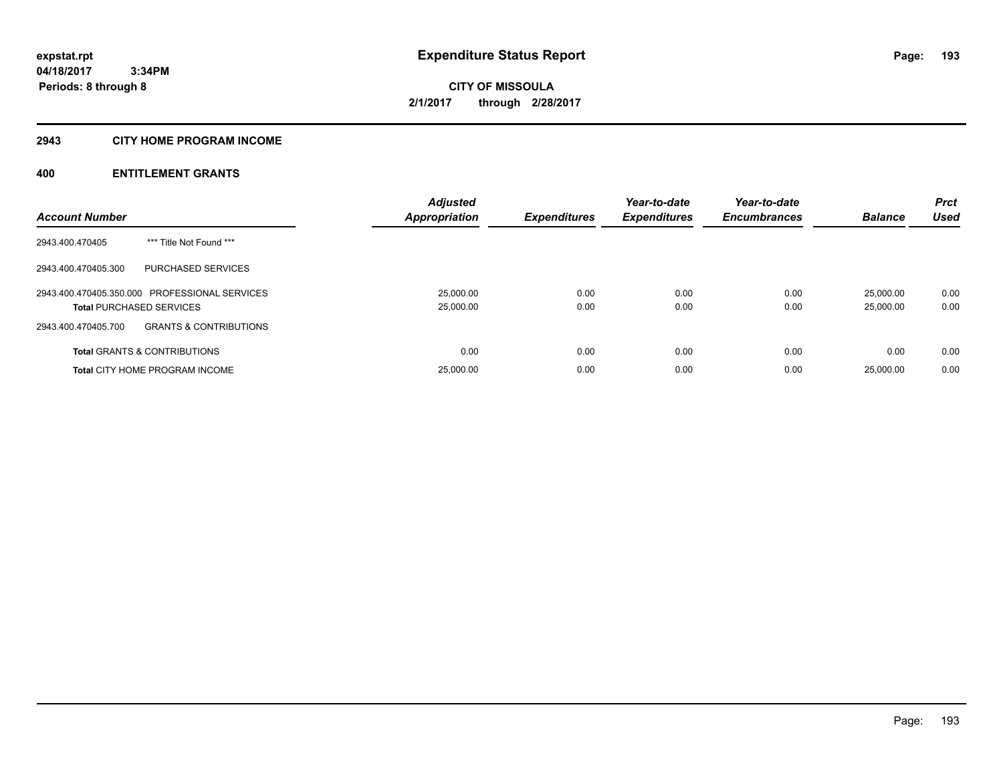#### **2943 CITY HOME PROGRAM INCOME**

| <b>Account Number</b>                                    | <b>Adjusted</b><br><b>Appropriation</b> | <b>Expenditures</b> | Year-to-date<br><b>Expenditures</b> | Year-to-date<br><b>Encumbrances</b> | <b>Balance</b> | <b>Prct</b><br><b>Used</b> |
|----------------------------------------------------------|-----------------------------------------|---------------------|-------------------------------------|-------------------------------------|----------------|----------------------------|
|                                                          |                                         |                     |                                     |                                     |                |                            |
| *** Title Not Found ***<br>2943.400.470405               |                                         |                     |                                     |                                     |                |                            |
| PURCHASED SERVICES<br>2943.400.470405.300                |                                         |                     |                                     |                                     |                |                            |
| 2943.400.470405.350.000 PROFESSIONAL SERVICES            | 25,000.00                               | 0.00                | 0.00                                | 0.00                                | 25,000.00      | 0.00                       |
| <b>Total PURCHASED SERVICES</b>                          | 25,000.00                               | 0.00                | 0.00                                | 0.00                                | 25,000.00      | 0.00                       |
| <b>GRANTS &amp; CONTRIBUTIONS</b><br>2943.400.470405.700 |                                         |                     |                                     |                                     |                |                            |
| <b>Total GRANTS &amp; CONTRIBUTIONS</b>                  | 0.00                                    | 0.00                | 0.00                                | 0.00                                | 0.00           | 0.00                       |
| <b>Total CITY HOME PROGRAM INCOME</b>                    | 25,000.00                               | 0.00                | 0.00                                | 0.00                                | 25,000.00      | 0.00                       |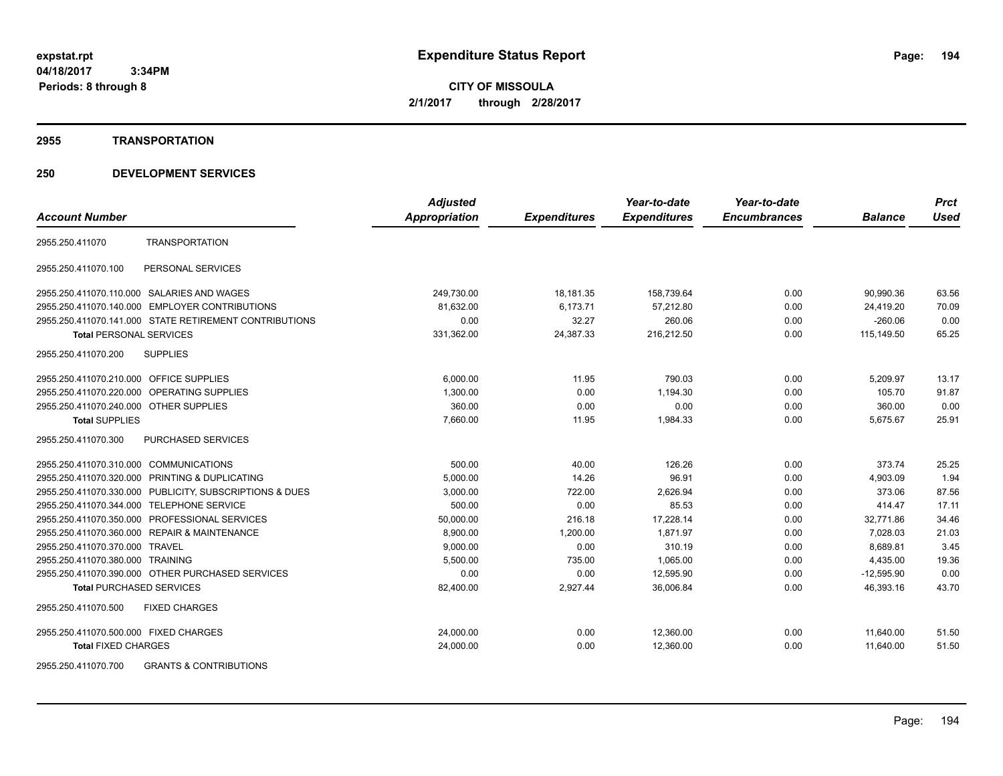**CITY OF MISSOULA 2/1/2017 through 2/28/2017**

#### **2955 TRANSPORTATION**

# **250 DEVELOPMENT SERVICES**

|                                                         | <b>Adjusted</b>      |                     | Year-to-date        | Year-to-date        |                | <b>Prct</b> |
|---------------------------------------------------------|----------------------|---------------------|---------------------|---------------------|----------------|-------------|
| <b>Account Number</b>                                   | <b>Appropriation</b> | <b>Expenditures</b> | <b>Expenditures</b> | <b>Encumbrances</b> | <b>Balance</b> | <b>Used</b> |
| <b>TRANSPORTATION</b><br>2955.250.411070                |                      |                     |                     |                     |                |             |
| PERSONAL SERVICES<br>2955.250.411070.100                |                      |                     |                     |                     |                |             |
| 2955.250.411070.110.000 SALARIES AND WAGES              | 249,730.00           | 18,181.35           | 158,739.64          | 0.00                | 90,990.36      | 63.56       |
| 2955.250.411070.140.000 EMPLOYER CONTRIBUTIONS          | 81,632.00            | 6,173.71            | 57,212.80           | 0.00                | 24,419.20      | 70.09       |
| 2955.250.411070.141.000 STATE RETIREMENT CONTRIBUTIONS  | 0.00                 | 32.27               | 260.06              | 0.00                | $-260.06$      | 0.00        |
| <b>Total PERSONAL SERVICES</b>                          | 331,362.00           | 24,387.33           | 216,212.50          | 0.00                | 115,149.50     | 65.25       |
| 2955.250.411070.200<br><b>SUPPLIES</b>                  |                      |                     |                     |                     |                |             |
| 2955.250.411070.210.000 OFFICE SUPPLIES                 | 6,000.00             | 11.95               | 790.03              | 0.00                | 5,209.97       | 13.17       |
| 2955.250.411070.220.000 OPERATING SUPPLIES              | 1,300.00             | 0.00                | 1,194.30            | 0.00                | 105.70         | 91.87       |
| 2955.250.411070.240.000 OTHER SUPPLIES                  | 360.00               | 0.00                | 0.00                | 0.00                | 360.00         | 0.00        |
| <b>Total SUPPLIES</b>                                   | 7,660.00             | 11.95               | 1,984.33            | 0.00                | 5,675.67       | 25.91       |
| 2955.250.411070.300<br>PURCHASED SERVICES               |                      |                     |                     |                     |                |             |
| 2955.250.411070.310.000 COMMUNICATIONS                  | 500.00               | 40.00               | 126.26              | 0.00                | 373.74         | 25.25       |
| 2955.250.411070.320.000 PRINTING & DUPLICATING          | 5,000.00             | 14.26               | 96.91               | 0.00                | 4,903.09       | 1.94        |
| 2955.250.411070.330.000 PUBLICITY, SUBSCRIPTIONS & DUES | 3,000.00             | 722.00              | 2,626.94            | 0.00                | 373.06         | 87.56       |
| 2955.250.411070.344.000 TELEPHONE SERVICE               | 500.00               | 0.00                | 85.53               | 0.00                | 414.47         | 17.11       |
| 2955.250.411070.350.000 PROFESSIONAL SERVICES           | 50,000.00            | 216.18              | 17,228.14           | 0.00                | 32.771.86      | 34.46       |
| 2955.250.411070.360.000 REPAIR & MAINTENANCE            | 8,900.00             | 1,200.00            | 1,871.97            | 0.00                | 7,028.03       | 21.03       |
| 2955.250.411070.370.000 TRAVEL                          | 9,000.00             | 0.00                | 310.19              | 0.00                | 8,689.81       | 3.45        |
| 2955.250.411070.380.000 TRAINING                        | 5,500.00             | 735.00              | 1,065.00            | 0.00                | 4,435.00       | 19.36       |
| 2955.250.411070.390.000 OTHER PURCHASED SERVICES        | 0.00                 | 0.00                | 12,595.90           | 0.00                | $-12,595.90$   | 0.00        |
| <b>Total PURCHASED SERVICES</b>                         | 82,400.00            | 2,927.44            | 36,006.84           | 0.00                | 46,393.16      | 43.70       |
| 2955.250.411070.500<br><b>FIXED CHARGES</b>             |                      |                     |                     |                     |                |             |
| 2955.250.411070.500.000 FIXED CHARGES                   | 24,000.00            | 0.00                | 12,360.00           | 0.00                | 11,640.00      | 51.50       |
| <b>Total FIXED CHARGES</b>                              | 24,000.00            | 0.00                | 12,360.00           | 0.00                | 11.640.00      | 51.50       |
|                                                         |                      |                     |                     |                     |                |             |

2955.250.411070.700 GRANTS & CONTRIBUTIONS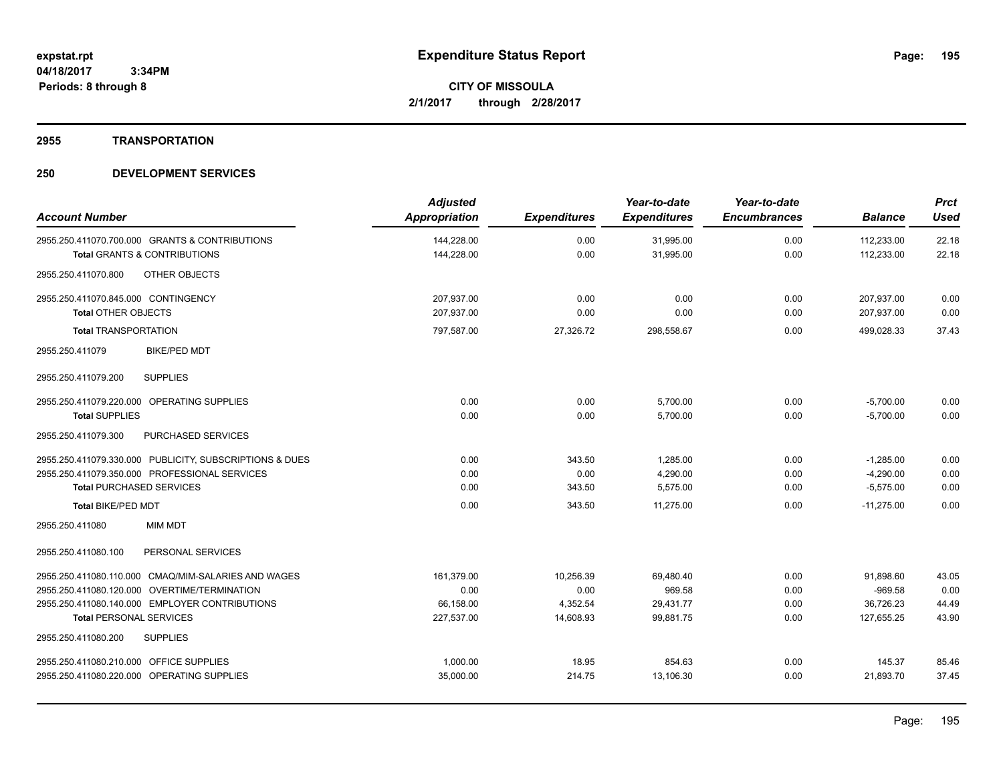#### **2955 TRANSPORTATION**

| <b>Account Number</b>                                                                     | <b>Adjusted</b><br>Appropriation | <b>Expenditures</b> | Year-to-date<br><b>Expenditures</b> | Year-to-date<br><b>Encumbrances</b> | <b>Balance</b>           | <b>Prct</b><br><b>Used</b> |
|-------------------------------------------------------------------------------------------|----------------------------------|---------------------|-------------------------------------|-------------------------------------|--------------------------|----------------------------|
| 2955.250.411070.700.000 GRANTS & CONTRIBUTIONS<br><b>Total GRANTS &amp; CONTRIBUTIONS</b> | 144,228.00<br>144,228.00         | 0.00<br>0.00        | 31,995.00<br>31,995.00              | 0.00<br>0.00                        | 112,233.00<br>112,233.00 | 22.18<br>22.18             |
| OTHER OBJECTS<br>2955.250.411070.800                                                      |                                  |                     |                                     |                                     |                          |                            |
| 2955.250.411070.845.000 CONTINGENCY                                                       | 207,937.00                       | 0.00                | 0.00                                | 0.00                                | 207,937.00               | 0.00                       |
| <b>Total OTHER OBJECTS</b>                                                                | 207,937.00                       | 0.00                | 0.00                                | 0.00                                | 207,937.00               | 0.00                       |
| <b>Total TRANSPORTATION</b>                                                               | 797,587.00                       | 27,326.72           | 298,558.67                          | 0.00                                | 499,028.33               | 37.43                      |
| <b>BIKE/PED MDT</b><br>2955.250.411079                                                    |                                  |                     |                                     |                                     |                          |                            |
| <b>SUPPLIES</b><br>2955.250.411079.200                                                    |                                  |                     |                                     |                                     |                          |                            |
| 2955.250.411079.220.000 OPERATING SUPPLIES                                                | 0.00                             | 0.00                | 5,700.00                            | 0.00                                | $-5,700.00$              | 0.00                       |
| <b>Total SUPPLIES</b>                                                                     | 0.00                             | 0.00                | 5,700.00                            | 0.00                                | $-5,700.00$              | 0.00                       |
| 2955.250.411079.300<br>PURCHASED SERVICES                                                 |                                  |                     |                                     |                                     |                          |                            |
| 2955.250.411079.330.000 PUBLICITY, SUBSCRIPTIONS & DUES                                   | 0.00                             | 343.50              | 1,285.00                            | 0.00                                | $-1,285.00$              | 0.00                       |
| 2955.250.411079.350.000 PROFESSIONAL SERVICES                                             | 0.00                             | 0.00                | 4,290.00                            | 0.00                                | $-4,290.00$              | 0.00                       |
| <b>Total PURCHASED SERVICES</b>                                                           | 0.00                             | 343.50              | 5,575.00                            | 0.00                                | $-5,575.00$              | 0.00                       |
| Total BIKE/PED MDT                                                                        | 0.00                             | 343.50              | 11.275.00                           | 0.00                                | $-11.275.00$             | 0.00                       |
| 2955.250.411080<br><b>MIM MDT</b>                                                         |                                  |                     |                                     |                                     |                          |                            |
| 2955.250.411080.100<br>PERSONAL SERVICES                                                  |                                  |                     |                                     |                                     |                          |                            |
| 2955.250.411080.110.000 CMAQ/MIM-SALARIES AND WAGES                                       | 161,379.00                       | 10,256.39           | 69,480.40                           | 0.00                                | 91,898.60                | 43.05                      |
| 2955.250.411080.120.000 OVERTIME/TERMINATION                                              | 0.00                             | 0.00                | 969.58                              | 0.00                                | $-969.58$                | 0.00                       |
| 2955.250.411080.140.000 EMPLOYER CONTRIBUTIONS                                            | 66,158.00                        | 4,352.54            | 29,431.77                           | 0.00                                | 36,726.23                | 44.49                      |
| <b>Total PERSONAL SERVICES</b>                                                            | 227,537.00                       | 14,608.93           | 99,881.75                           | 0.00                                | 127,655.25               | 43.90                      |
| 2955.250.411080.200<br><b>SUPPLIES</b>                                                    |                                  |                     |                                     |                                     |                          |                            |
| 2955.250.411080.210.000 OFFICE SUPPLIES                                                   | 1.000.00                         | 18.95               | 854.63                              | 0.00                                | 145.37                   | 85.46                      |
| 2955.250.411080.220.000 OPERATING SUPPLIES                                                | 35,000.00                        | 214.75              | 13.106.30                           | 0.00                                | 21.893.70                | 37.45                      |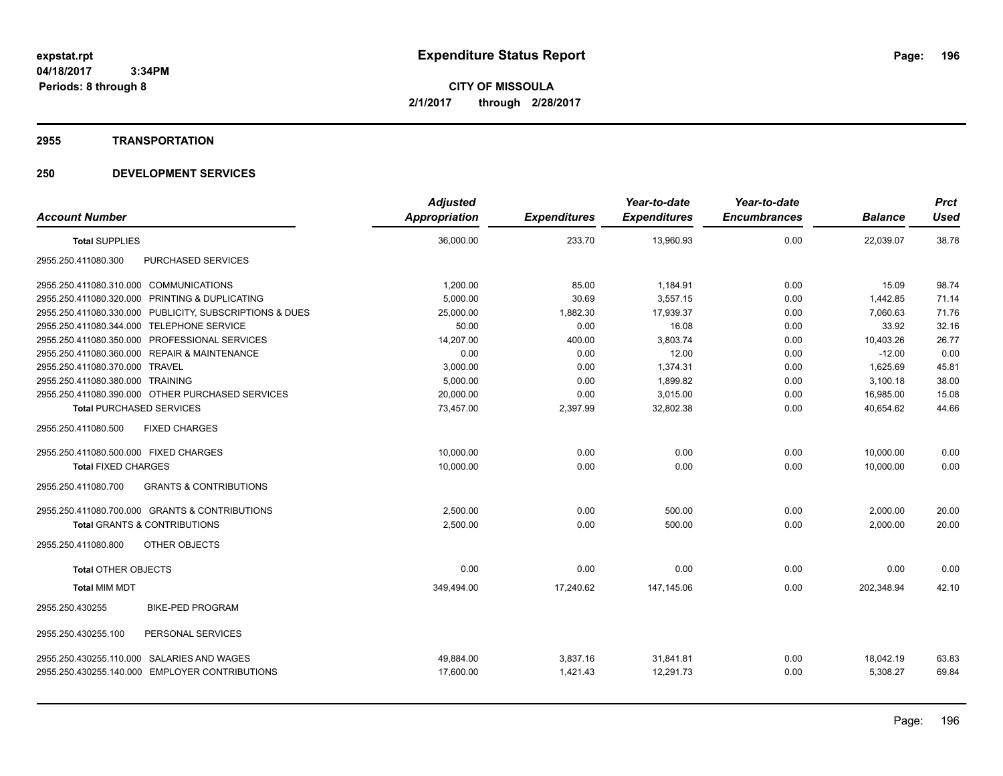**CITY OF MISSOULA 2/1/2017 through 2/28/2017**

#### **2955 TRANSPORTATION**

|                                                          | <b>Adjusted</b> |                     | Year-to-date        | Year-to-date        |                | <b>Prct</b> |
|----------------------------------------------------------|-----------------|---------------------|---------------------|---------------------|----------------|-------------|
| <b>Account Number</b>                                    | Appropriation   | <b>Expenditures</b> | <b>Expenditures</b> | <b>Encumbrances</b> | <b>Balance</b> | <b>Used</b> |
| <b>Total SUPPLIES</b>                                    | 36,000.00       | 233.70              | 13,960.93           | 0.00                | 22,039.07      | 38.78       |
| <b>PURCHASED SERVICES</b><br>2955.250.411080.300         |                 |                     |                     |                     |                |             |
| 2955.250.411080.310.000 COMMUNICATIONS                   | 1,200.00        | 85.00               | 1,184.91            | 0.00                | 15.09          | 98.74       |
| 2955.250.411080.320.000<br>PRINTING & DUPLICATING        | 5,000.00        | 30.69               | 3,557.15            | 0.00                | 1,442.85       | 71.14       |
| 2955.250.411080.330.000 PUBLICITY, SUBSCRIPTIONS & DUES  | 25,000.00       | 1,882.30            | 17,939.37           | 0.00                | 7.060.63       | 71.76       |
| 2955.250.411080.344.000 TELEPHONE SERVICE                | 50.00           | 0.00                | 16.08               | 0.00                | 33.92          | 32.16       |
| 2955.250.411080.350.000<br>PROFESSIONAL SERVICES         | 14,207.00       | 400.00              | 3,803.74            | 0.00                | 10,403.26      | 26.77       |
| 2955.250.411080.360.000 REPAIR & MAINTENANCE             | 0.00            | 0.00                | 12.00               | 0.00                | $-12.00$       | 0.00        |
| 2955.250.411080.370.000 TRAVEL                           | 3,000.00        | 0.00                | 1,374.31            | 0.00                | 1,625.69       | 45.81       |
| 2955.250.411080.380.000 TRAINING                         | 5,000.00        | 0.00                | 1,899.82            | 0.00                | 3,100.18       | 38.00       |
| 2955.250.411080.390.000 OTHER PURCHASED SERVICES         | 20,000.00       | 0.00                | 3,015.00            | 0.00                | 16,985.00      | 15.08       |
| <b>Total PURCHASED SERVICES</b>                          | 73,457.00       | 2,397.99            | 32,802.38           | 0.00                | 40,654.62      | 44.66       |
| 2955.250.411080.500<br><b>FIXED CHARGES</b>              |                 |                     |                     |                     |                |             |
| 2955.250.411080.500.000 FIXED CHARGES                    | 10,000.00       | 0.00                | 0.00                | 0.00                | 10,000.00      | 0.00        |
| <b>Total FIXED CHARGES</b>                               | 10.000.00       | 0.00                | 0.00                | 0.00                | 10.000.00      | 0.00        |
| 2955.250.411080.700<br><b>GRANTS &amp; CONTRIBUTIONS</b> |                 |                     |                     |                     |                |             |
| 2955.250.411080.700.000 GRANTS & CONTRIBUTIONS           | 2,500.00        | 0.00                | 500.00              | 0.00                | 2,000.00       | 20.00       |
| <b>Total GRANTS &amp; CONTRIBUTIONS</b>                  | 2,500.00        | 0.00                | 500.00              | 0.00                | 2,000.00       | 20.00       |
| 2955.250.411080.800<br>OTHER OBJECTS                     |                 |                     |                     |                     |                |             |
| <b>Total OTHER OBJECTS</b>                               | 0.00            | 0.00                | 0.00                | 0.00                | 0.00           | 0.00        |
| <b>Total MIM MDT</b>                                     | 349,494.00      | 17,240.62           | 147.145.06          | 0.00                | 202,348.94     | 42.10       |
| <b>BIKE-PED PROGRAM</b><br>2955.250.430255               |                 |                     |                     |                     |                |             |
| 2955.250.430255.100<br>PERSONAL SERVICES                 |                 |                     |                     |                     |                |             |
| SALARIES AND WAGES<br>2955.250.430255.110.000            | 49,884.00       | 3,837.16            | 31,841.81           | 0.00                | 18,042.19      | 63.83       |
| 2955.250.430255.140.000 EMPLOYER CONTRIBUTIONS           | 17,600.00       | 1,421.43            | 12,291.73           | 0.00                | 5,308.27       | 69.84       |
|                                                          |                 |                     |                     |                     |                |             |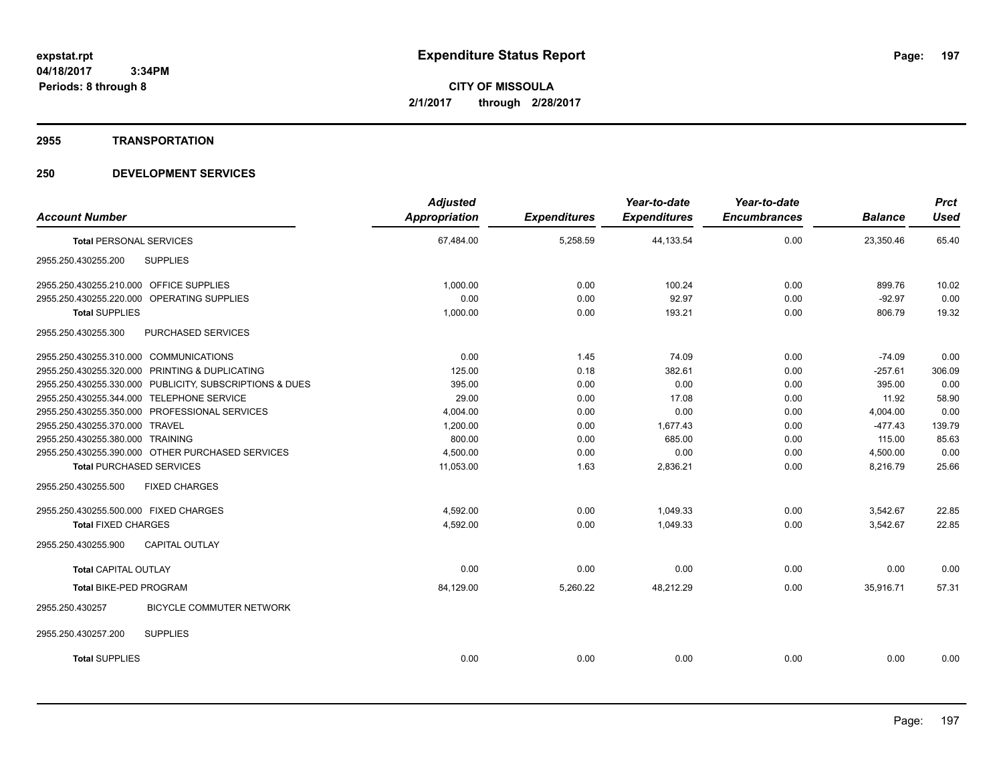#### **2955 TRANSPORTATION**

| <b>Account Number</b>                                   |                                 | <b>Adjusted</b><br>Appropriation | <b>Expenditures</b> | Year-to-date<br><b>Expenditures</b> | Year-to-date<br><b>Encumbrances</b> | <b>Balance</b> | <b>Prct</b><br><b>Used</b> |
|---------------------------------------------------------|---------------------------------|----------------------------------|---------------------|-------------------------------------|-------------------------------------|----------------|----------------------------|
| <b>Total PERSONAL SERVICES</b>                          |                                 | 67,484.00                        | 5,258.59            | 44,133.54                           | 0.00                                | 23,350.46      | 65.40                      |
| 2955.250.430255.200<br><b>SUPPLIES</b>                  |                                 |                                  |                     |                                     |                                     |                |                            |
| 2955.250.430255.210.000 OFFICE SUPPLIES                 |                                 | 1,000.00                         | 0.00                | 100.24                              | 0.00                                | 899.76         | 10.02                      |
| 2955.250.430255.220.000 OPERATING SUPPLIES              |                                 | 0.00                             | 0.00                | 92.97                               | 0.00                                | $-92.97$       | 0.00                       |
| <b>Total SUPPLIES</b>                                   |                                 | 1,000.00                         | 0.00                | 193.21                              | 0.00                                | 806.79         | 19.32                      |
| 2955.250.430255.300                                     | PURCHASED SERVICES              |                                  |                     |                                     |                                     |                |                            |
| 2955.250.430255.310.000 COMMUNICATIONS                  |                                 | 0.00                             | 1.45                | 74.09                               | 0.00                                | $-74.09$       | 0.00                       |
| 2955.250.430255.320.000 PRINTING & DUPLICATING          |                                 | 125.00                           | 0.18                | 382.61                              | 0.00                                | $-257.61$      | 306.09                     |
| 2955.250.430255.330.000 PUBLICITY, SUBSCRIPTIONS & DUES |                                 | 395.00                           | 0.00                | 0.00                                | 0.00                                | 395.00         | 0.00                       |
| 2955.250.430255.344.000 TELEPHONE SERVICE               |                                 | 29.00                            | 0.00                | 17.08                               | 0.00                                | 11.92          | 58.90                      |
| 2955.250.430255.350.000 PROFESSIONAL SERVICES           |                                 | 4,004.00                         | 0.00                | 0.00                                | 0.00                                | 4,004.00       | 0.00                       |
| 2955.250.430255.370.000 TRAVEL                          |                                 | 1,200.00                         | 0.00                | 1,677.43                            | 0.00                                | $-477.43$      | 139.79                     |
| 2955.250.430255.380.000 TRAINING                        |                                 | 800.00                           | 0.00                | 685.00                              | 0.00                                | 115.00         | 85.63                      |
| 2955.250.430255.390.000 OTHER PURCHASED SERVICES        |                                 | 4,500.00                         | 0.00                | 0.00                                | 0.00                                | 4,500.00       | 0.00                       |
| <b>Total PURCHASED SERVICES</b>                         |                                 | 11,053.00                        | 1.63                | 2,836.21                            | 0.00                                | 8,216.79       | 25.66                      |
| 2955.250.430255.500<br><b>FIXED CHARGES</b>             |                                 |                                  |                     |                                     |                                     |                |                            |
| 2955.250.430255.500.000 FIXED CHARGES                   |                                 | 4,592.00                         | 0.00                | 1,049.33                            | 0.00                                | 3,542.67       | 22.85                      |
| <b>Total FIXED CHARGES</b>                              |                                 | 4,592.00                         | 0.00                | 1,049.33                            | 0.00                                | 3,542.67       | 22.85                      |
| 2955.250.430255.900<br>CAPITAL OUTLAY                   |                                 |                                  |                     |                                     |                                     |                |                            |
| <b>Total CAPITAL OUTLAY</b>                             |                                 | 0.00                             | 0.00                | 0.00                                | 0.00                                | 0.00           | 0.00                       |
| Total BIKE-PED PROGRAM                                  |                                 | 84,129.00                        | 5,260.22            | 48,212.29                           | 0.00                                | 35,916.71      | 57.31                      |
| 2955.250.430257                                         | <b>BICYCLE COMMUTER NETWORK</b> |                                  |                     |                                     |                                     |                |                            |
| 2955.250.430257.200<br><b>SUPPLIES</b>                  |                                 |                                  |                     |                                     |                                     |                |                            |
| <b>Total SUPPLIES</b>                                   |                                 | 0.00                             | 0.00                | 0.00                                | 0.00                                | 0.00           | 0.00                       |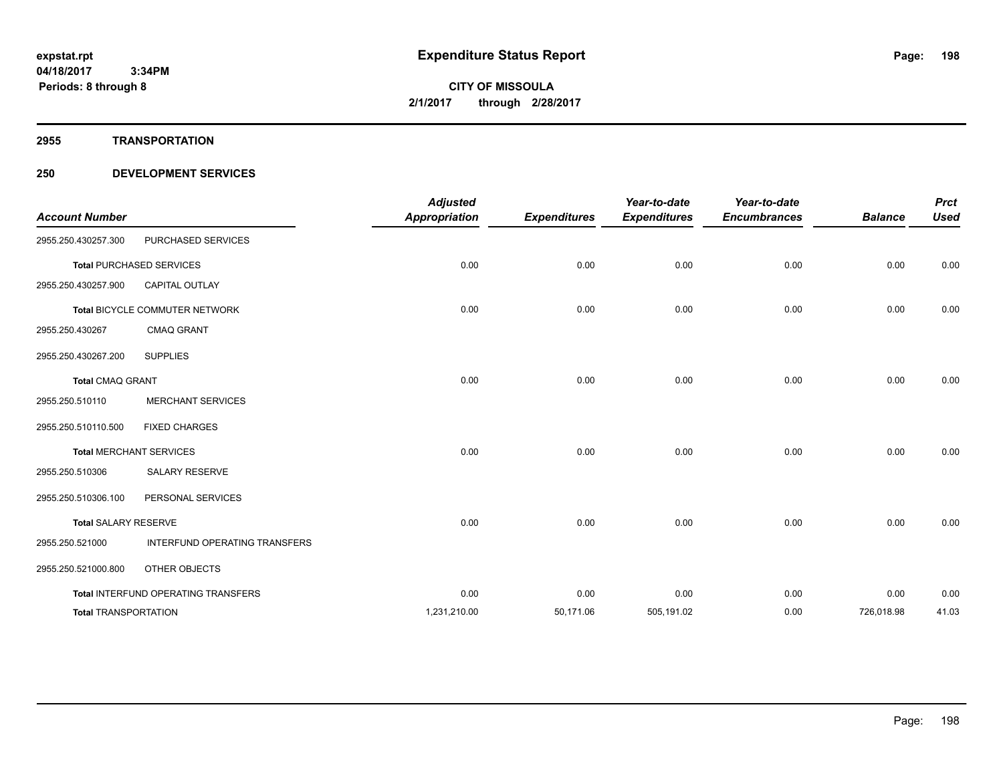**2955 TRANSPORTATION**

| <b>Account Number</b>       |                                     | <b>Adjusted</b><br><b>Appropriation</b> | <b>Expenditures</b> | Year-to-date<br><b>Expenditures</b> | Year-to-date<br><b>Encumbrances</b> | <b>Balance</b> | <b>Prct</b><br><b>Used</b> |
|-----------------------------|-------------------------------------|-----------------------------------------|---------------------|-------------------------------------|-------------------------------------|----------------|----------------------------|
| 2955.250.430257.300         | PURCHASED SERVICES                  |                                         |                     |                                     |                                     |                |                            |
|                             | <b>Total PURCHASED SERVICES</b>     | 0.00                                    | 0.00                | 0.00                                | 0.00                                | 0.00           | 0.00                       |
| 2955.250.430257.900         | <b>CAPITAL OUTLAY</b>               |                                         |                     |                                     |                                     |                |                            |
|                             | Total BICYCLE COMMUTER NETWORK      | 0.00                                    | 0.00                | 0.00                                | 0.00                                | 0.00           | 0.00                       |
| 2955.250.430267             | <b>CMAQ GRANT</b>                   |                                         |                     |                                     |                                     |                |                            |
| 2955.250.430267.200         | <b>SUPPLIES</b>                     |                                         |                     |                                     |                                     |                |                            |
| <b>Total CMAQ GRANT</b>     |                                     | 0.00                                    | 0.00                | 0.00                                | 0.00                                | 0.00           | 0.00                       |
| 2955.250.510110             | <b>MERCHANT SERVICES</b>            |                                         |                     |                                     |                                     |                |                            |
| 2955.250.510110.500         | <b>FIXED CHARGES</b>                |                                         |                     |                                     |                                     |                |                            |
|                             | <b>Total MERCHANT SERVICES</b>      | 0.00                                    | 0.00                | 0.00                                | 0.00                                | 0.00           | 0.00                       |
| 2955.250.510306             | <b>SALARY RESERVE</b>               |                                         |                     |                                     |                                     |                |                            |
| 2955.250.510306.100         | PERSONAL SERVICES                   |                                         |                     |                                     |                                     |                |                            |
| <b>Total SALARY RESERVE</b> |                                     | 0.00                                    | 0.00                | 0.00                                | 0.00                                | 0.00           | 0.00                       |
| 2955.250.521000             | INTERFUND OPERATING TRANSFERS       |                                         |                     |                                     |                                     |                |                            |
| 2955.250.521000.800         | OTHER OBJECTS                       |                                         |                     |                                     |                                     |                |                            |
|                             | Total INTERFUND OPERATING TRANSFERS | 0.00                                    | 0.00                | 0.00                                | 0.00                                | 0.00           | 0.00                       |
| <b>Total TRANSPORTATION</b> |                                     | 1,231,210.00                            | 50,171.06           | 505,191.02                          | 0.00                                | 726,018.98     | 41.03                      |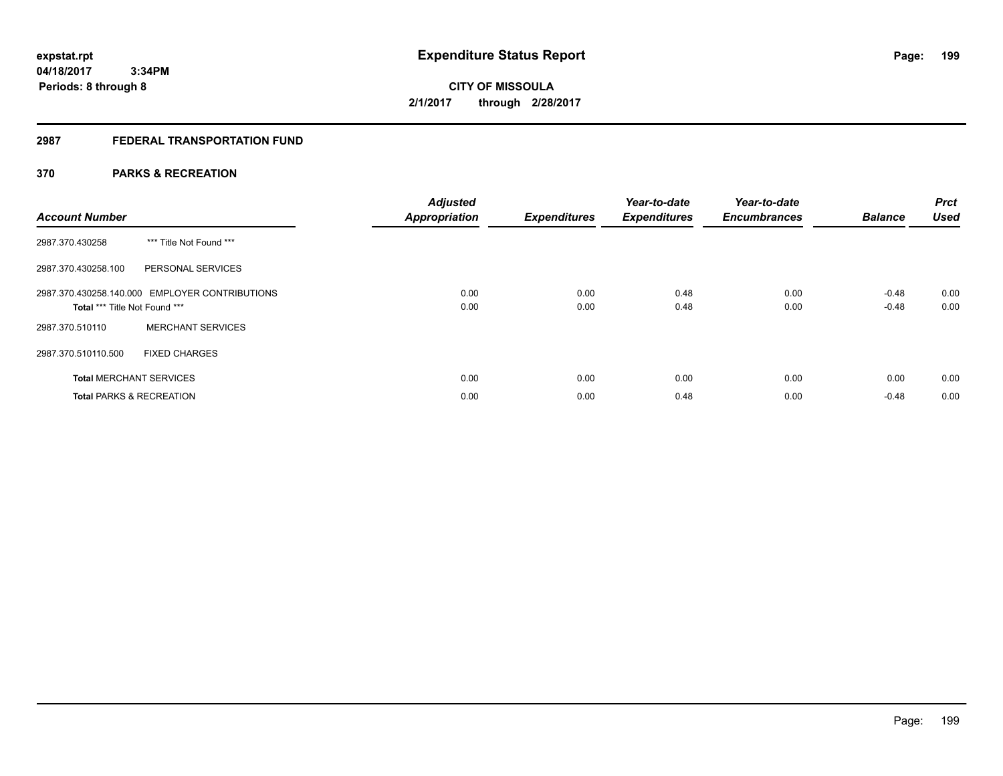**Periods: 8 through 8**

**CITY OF MISSOULA 2/1/2017 through 2/28/2017**

# **2987 FEDERAL TRANSPORTATION FUND**

# **370 PARKS & RECREATION**

| <b>Account Number</b>               |                                                | <b>Adjusted</b><br><b>Appropriation</b> | <b>Expenditures</b> | Year-to-date<br><b>Expenditures</b> | Year-to-date<br><b>Encumbrances</b> | <b>Balance</b> | <b>Prct</b><br><b>Used</b> |
|-------------------------------------|------------------------------------------------|-----------------------------------------|---------------------|-------------------------------------|-------------------------------------|----------------|----------------------------|
| 2987.370.430258                     | *** Title Not Found ***                        |                                         |                     |                                     |                                     |                |                            |
| 2987.370.430258.100                 | PERSONAL SERVICES                              |                                         |                     |                                     |                                     |                |                            |
|                                     | 2987.370.430258.140.000 EMPLOYER CONTRIBUTIONS | 0.00                                    | 0.00                | 0.48                                | 0.00                                | $-0.48$        | 0.00                       |
| Total *** Title Not Found ***       |                                                | 0.00                                    | 0.00                | 0.48                                | 0.00                                | $-0.48$        | 0.00                       |
| 2987.370.510110                     | <b>MERCHANT SERVICES</b>                       |                                         |                     |                                     |                                     |                |                            |
| 2987.370.510110.500                 | <b>FIXED CHARGES</b>                           |                                         |                     |                                     |                                     |                |                            |
| <b>Total MERCHANT SERVICES</b>      |                                                | 0.00                                    | 0.00                | 0.00                                | 0.00                                | 0.00           | 0.00                       |
| <b>Total PARKS &amp; RECREATION</b> |                                                | 0.00                                    | 0.00                | 0.48                                | 0.00                                | $-0.48$        | 0.00                       |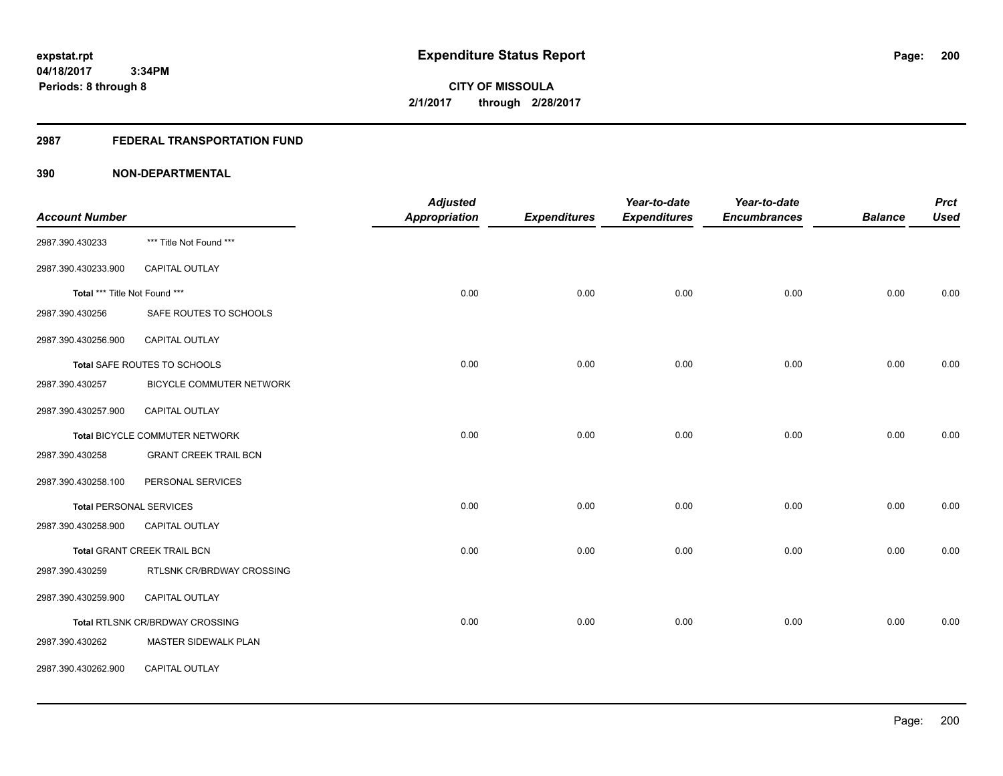# **2987 FEDERAL TRANSPORTATION FUND**

|                                |                                        | <b>Adjusted</b> |                     | Year-to-date        | Year-to-date        |                | <b>Prct</b> |
|--------------------------------|----------------------------------------|-----------------|---------------------|---------------------|---------------------|----------------|-------------|
| <b>Account Number</b>          |                                        | Appropriation   | <b>Expenditures</b> | <b>Expenditures</b> | <b>Encumbrances</b> | <b>Balance</b> | <b>Used</b> |
| 2987.390.430233                | *** Title Not Found ***                |                 |                     |                     |                     |                |             |
| 2987.390.430233.900            | CAPITAL OUTLAY                         |                 |                     |                     |                     |                |             |
| Total *** Title Not Found ***  |                                        | 0.00            | 0.00                | 0.00                | 0.00                | 0.00           | 0.00        |
| 2987.390.430256                | SAFE ROUTES TO SCHOOLS                 |                 |                     |                     |                     |                |             |
| 2987.390.430256.900            | CAPITAL OUTLAY                         |                 |                     |                     |                     |                |             |
|                                | Total SAFE ROUTES TO SCHOOLS           | 0.00            | 0.00                | 0.00                | 0.00                | 0.00           | 0.00        |
| 2987.390.430257                | BICYCLE COMMUTER NETWORK               |                 |                     |                     |                     |                |             |
| 2987.390.430257.900            | <b>CAPITAL OUTLAY</b>                  |                 |                     |                     |                     |                |             |
|                                | Total BICYCLE COMMUTER NETWORK         | 0.00            | 0.00                | 0.00                | 0.00                | 0.00           | 0.00        |
| 2987.390.430258                | <b>GRANT CREEK TRAIL BCN</b>           |                 |                     |                     |                     |                |             |
| 2987.390.430258.100            | PERSONAL SERVICES                      |                 |                     |                     |                     |                |             |
| <b>Total PERSONAL SERVICES</b> |                                        | 0.00            | 0.00                | 0.00                | 0.00                | 0.00           | 0.00        |
| 2987.390.430258.900            | <b>CAPITAL OUTLAY</b>                  |                 |                     |                     |                     |                |             |
|                                | Total GRANT CREEK TRAIL BCN            | 0.00            | 0.00                | 0.00                | 0.00                | 0.00           | 0.00        |
| 2987.390.430259                | RTLSNK CR/BRDWAY CROSSING              |                 |                     |                     |                     |                |             |
| 2987.390.430259.900            | CAPITAL OUTLAY                         |                 |                     |                     |                     |                |             |
|                                | <b>Total RTLSNK CR/BRDWAY CROSSING</b> | 0.00            | 0.00                | 0.00                | 0.00                | 0.00           | 0.00        |
| 2987.390.430262                | MASTER SIDEWALK PLAN                   |                 |                     |                     |                     |                |             |
| 2987.390.430262.900            | CAPITAL OUTLAY                         |                 |                     |                     |                     |                |             |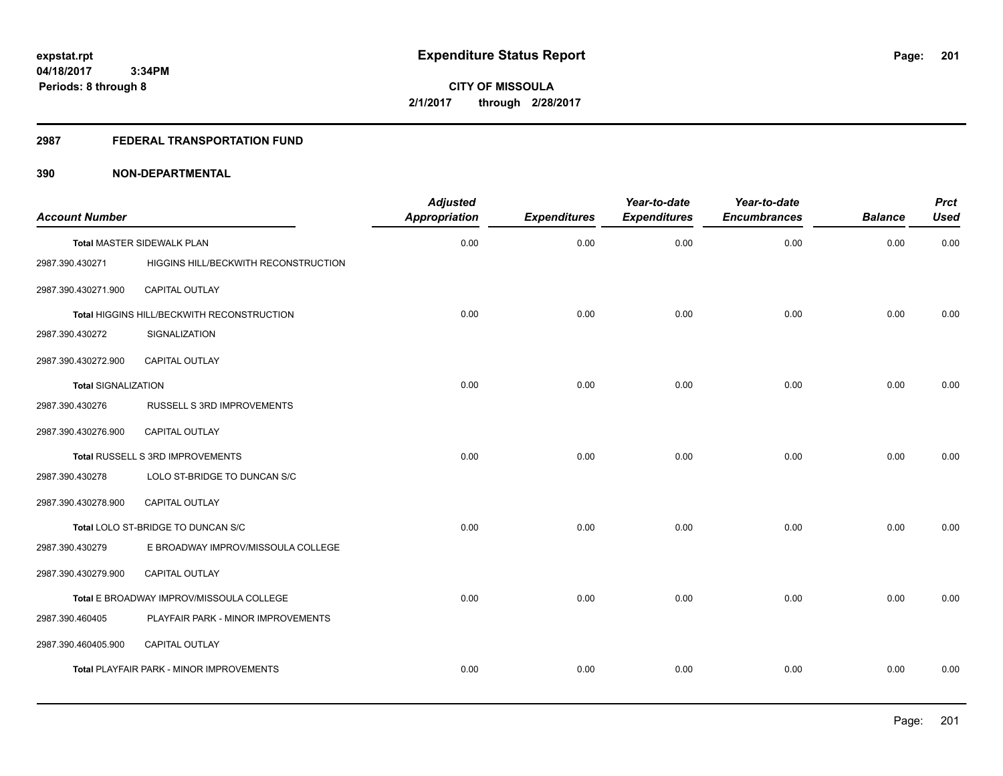# **2987 FEDERAL TRANSPORTATION FUND**

| <b>Account Number</b>      |                                            | <b>Adjusted</b><br><b>Appropriation</b> | <b>Expenditures</b> | Year-to-date<br><b>Expenditures</b> | Year-to-date<br><b>Encumbrances</b> | <b>Balance</b> | <b>Prct</b><br><b>Used</b> |
|----------------------------|--------------------------------------------|-----------------------------------------|---------------------|-------------------------------------|-------------------------------------|----------------|----------------------------|
|                            | Total MASTER SIDEWALK PLAN                 | 0.00                                    | 0.00                | 0.00                                | 0.00                                | 0.00           | 0.00                       |
| 2987.390.430271            | HIGGINS HILL/BECKWITH RECONSTRUCTION       |                                         |                     |                                     |                                     |                |                            |
| 2987.390.430271.900        | CAPITAL OUTLAY                             |                                         |                     |                                     |                                     |                |                            |
|                            | Total HIGGINS HILL/BECKWITH RECONSTRUCTION | 0.00                                    | 0.00                | 0.00                                | 0.00                                | 0.00           | 0.00                       |
| 2987.390.430272            | SIGNALIZATION                              |                                         |                     |                                     |                                     |                |                            |
| 2987.390.430272.900        | CAPITAL OUTLAY                             |                                         |                     |                                     |                                     |                |                            |
| <b>Total SIGNALIZATION</b> |                                            | 0.00                                    | 0.00                | 0.00                                | 0.00                                | 0.00           | 0.00                       |
| 2987.390.430276            | RUSSELL S 3RD IMPROVEMENTS                 |                                         |                     |                                     |                                     |                |                            |
| 2987.390.430276.900        | <b>CAPITAL OUTLAY</b>                      |                                         |                     |                                     |                                     |                |                            |
|                            | Total RUSSELL S 3RD IMPROVEMENTS           | 0.00                                    | 0.00                | 0.00                                | 0.00                                | 0.00           | 0.00                       |
| 2987.390.430278            | LOLO ST-BRIDGE TO DUNCAN S/C               |                                         |                     |                                     |                                     |                |                            |
| 2987.390.430278.900        | <b>CAPITAL OUTLAY</b>                      |                                         |                     |                                     |                                     |                |                            |
|                            | Total LOLO ST-BRIDGE TO DUNCAN S/C         | 0.00                                    | 0.00                | 0.00                                | 0.00                                | 0.00           | 0.00                       |
| 2987.390.430279            | E BROADWAY IMPROV/MISSOULA COLLEGE         |                                         |                     |                                     |                                     |                |                            |
| 2987.390.430279.900        | CAPITAL OUTLAY                             |                                         |                     |                                     |                                     |                |                            |
|                            | Total E BROADWAY IMPROV/MISSOULA COLLEGE   | 0.00                                    | 0.00                | 0.00                                | 0.00                                | 0.00           | 0.00                       |
| 2987.390.460405            | PLAYFAIR PARK - MINOR IMPROVEMENTS         |                                         |                     |                                     |                                     |                |                            |
| 2987.390.460405.900        | <b>CAPITAL OUTLAY</b>                      |                                         |                     |                                     |                                     |                |                            |
|                            | Total PLAYFAIR PARK - MINOR IMPROVEMENTS   | 0.00                                    | 0.00                | 0.00                                | 0.00                                | 0.00           | 0.00                       |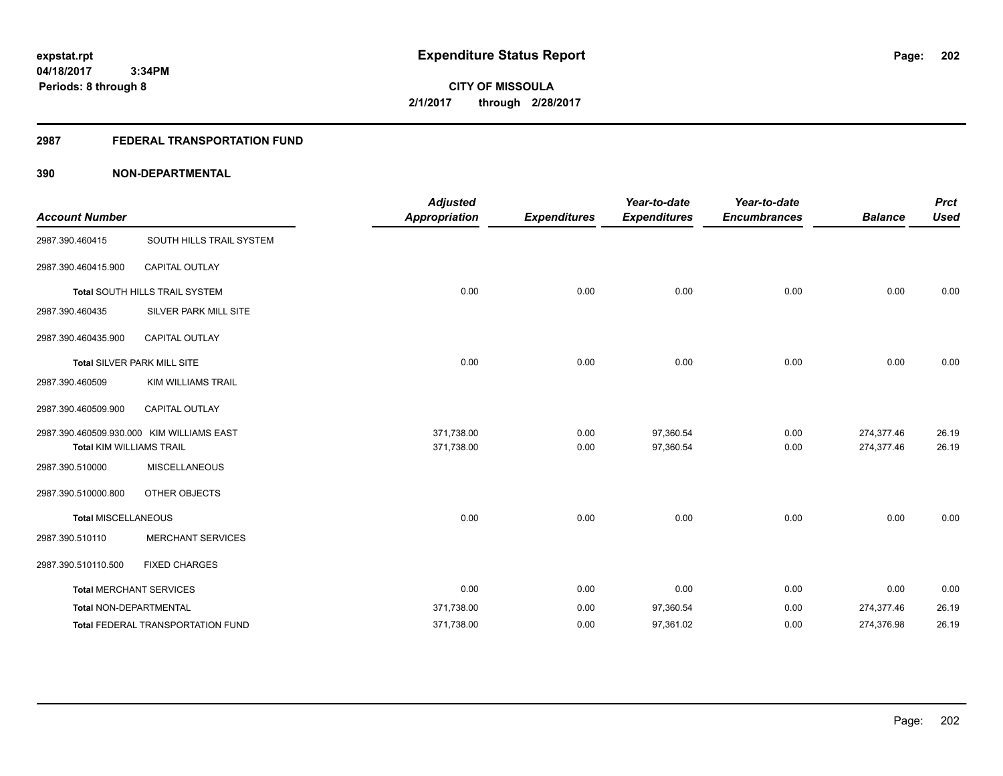**CITY OF MISSOULA 2/1/2017 through 2/28/2017**

# **2987 FEDERAL TRANSPORTATION FUND**

|                                 |                                           | <b>Adjusted</b>      |                     | Year-to-date        | Year-to-date        |                | <b>Prct</b> |
|---------------------------------|-------------------------------------------|----------------------|---------------------|---------------------|---------------------|----------------|-------------|
| <b>Account Number</b>           |                                           | <b>Appropriation</b> | <b>Expenditures</b> | <b>Expenditures</b> | <b>Encumbrances</b> | <b>Balance</b> | <b>Used</b> |
| 2987.390.460415                 | SOUTH HILLS TRAIL SYSTEM                  |                      |                     |                     |                     |                |             |
| 2987.390.460415.900             | <b>CAPITAL OUTLAY</b>                     |                      |                     |                     |                     |                |             |
|                                 | Total SOUTH HILLS TRAIL SYSTEM            | 0.00                 | 0.00                | 0.00                | 0.00                | 0.00           | 0.00        |
| 2987.390.460435                 | SILVER PARK MILL SITE                     |                      |                     |                     |                     |                |             |
| 2987.390.460435.900             | <b>CAPITAL OUTLAY</b>                     |                      |                     |                     |                     |                |             |
|                                 | Total SILVER PARK MILL SITE               | 0.00                 | 0.00                | 0.00                | 0.00                | 0.00           | 0.00        |
| 2987.390.460509                 | <b>KIM WILLIAMS TRAIL</b>                 |                      |                     |                     |                     |                |             |
| 2987.390.460509.900             | <b>CAPITAL OUTLAY</b>                     |                      |                     |                     |                     |                |             |
|                                 | 2987.390.460509.930.000 KIM WILLIAMS EAST | 371,738.00           | 0.00                | 97,360.54           | 0.00                | 274,377.46     | 26.19       |
| <b>Total KIM WILLIAMS TRAIL</b> |                                           | 371,738.00           | 0.00                | 97,360.54           | 0.00                | 274,377.46     | 26.19       |
| 2987.390.510000                 | <b>MISCELLANEOUS</b>                      |                      |                     |                     |                     |                |             |
| 2987.390.510000.800             | OTHER OBJECTS                             |                      |                     |                     |                     |                |             |
| <b>Total MISCELLANEOUS</b>      |                                           | 0.00                 | 0.00                | 0.00                | 0.00                | 0.00           | 0.00        |
| 2987.390.510110                 | <b>MERCHANT SERVICES</b>                  |                      |                     |                     |                     |                |             |
| 2987.390.510110.500             | <b>FIXED CHARGES</b>                      |                      |                     |                     |                     |                |             |
|                                 | <b>Total MERCHANT SERVICES</b>            | 0.00                 | 0.00                | 0.00                | 0.00                | 0.00           | 0.00        |
| <b>Total NON-DEPARTMENTAL</b>   |                                           | 371,738.00           | 0.00                | 97,360.54           | 0.00                | 274,377.46     | 26.19       |
|                                 | Total FEDERAL TRANSPORTATION FUND         | 371,738.00           | 0.00                | 97,361.02           | 0.00                | 274,376.98     | 26.19       |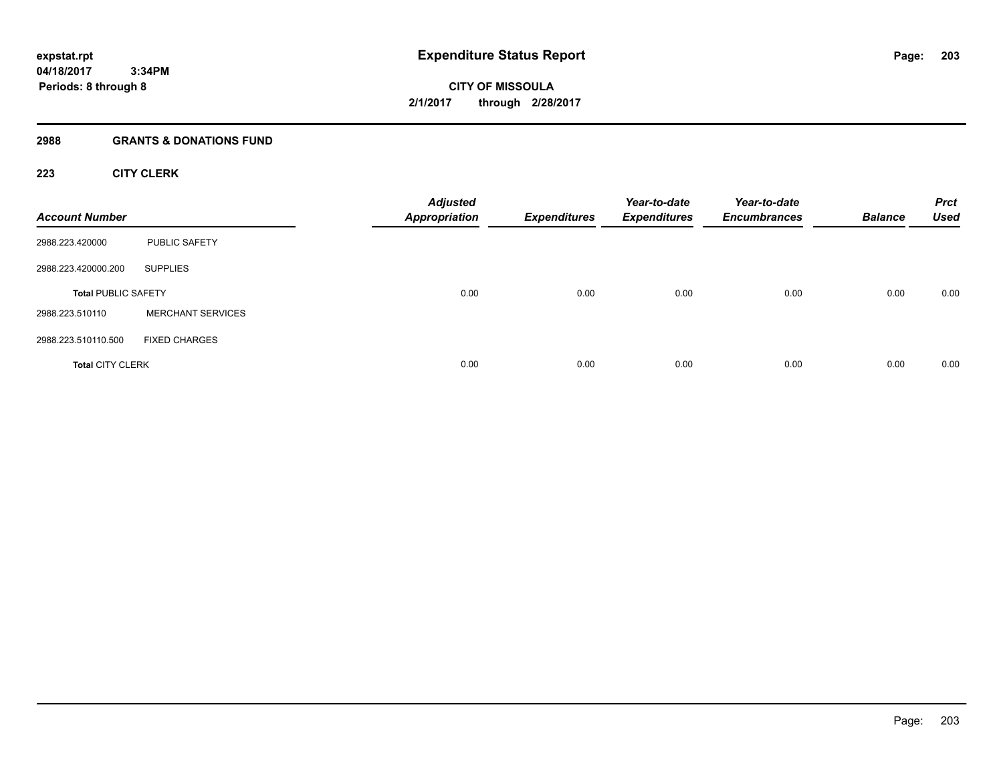#### **2988 GRANTS & DONATIONS FUND**

# **223 CITY CLERK**

| <b>Account Number</b>      |                          | <b>Adjusted</b><br><b>Appropriation</b> | <b>Expenditures</b> | Year-to-date<br><b>Expenditures</b> | Year-to-date<br><b>Encumbrances</b> | <b>Balance</b> | <b>Prct</b><br><b>Used</b> |
|----------------------------|--------------------------|-----------------------------------------|---------------------|-------------------------------------|-------------------------------------|----------------|----------------------------|
| 2988.223.420000            | <b>PUBLIC SAFETY</b>     |                                         |                     |                                     |                                     |                |                            |
| 2988.223.420000.200        | <b>SUPPLIES</b>          |                                         |                     |                                     |                                     |                |                            |
| <b>Total PUBLIC SAFETY</b> |                          | 0.00                                    | 0.00                | 0.00                                | 0.00                                | 0.00           | 0.00                       |
| 2988.223.510110            | <b>MERCHANT SERVICES</b> |                                         |                     |                                     |                                     |                |                            |
| 2988.223.510110.500        | <b>FIXED CHARGES</b>     |                                         |                     |                                     |                                     |                |                            |
| <b>Total CITY CLERK</b>    |                          | 0.00                                    | 0.00                | 0.00                                | 0.00                                | 0.00           | 0.00                       |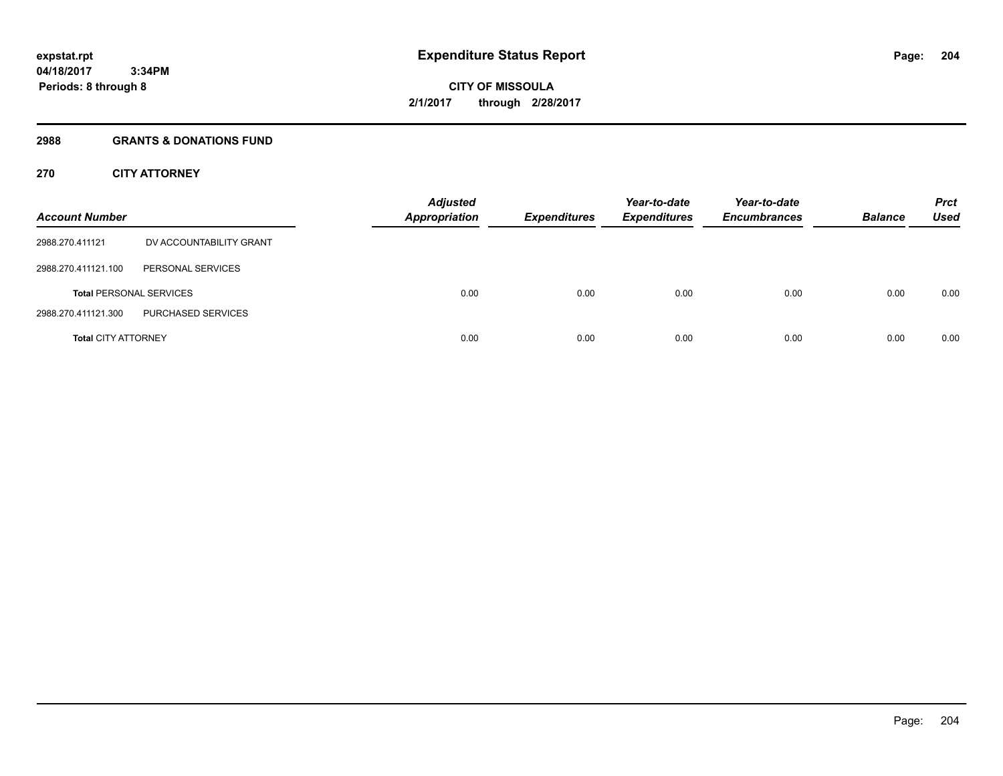# **2988 GRANTS & DONATIONS FUND**

# **270 CITY ATTORNEY**

| <b>Account Number</b>      |                                | <b>Adjusted</b><br><b>Appropriation</b> | <b>Expenditures</b> | Year-to-date<br><b>Expenditures</b> | Year-to-date<br><b>Encumbrances</b> | <b>Balance</b> | <b>Prct</b><br>Used |
|----------------------------|--------------------------------|-----------------------------------------|---------------------|-------------------------------------|-------------------------------------|----------------|---------------------|
| 2988.270.411121            | DV ACCOUNTABILITY GRANT        |                                         |                     |                                     |                                     |                |                     |
| 2988.270.411121.100        | PERSONAL SERVICES              |                                         |                     |                                     |                                     |                |                     |
|                            | <b>Total PERSONAL SERVICES</b> | 0.00                                    | 0.00                | 0.00                                | 0.00                                | 0.00           | 0.00                |
| 2988.270.411121.300        | PURCHASED SERVICES             |                                         |                     |                                     |                                     |                |                     |
| <b>Total CITY ATTORNEY</b> |                                | 0.00                                    | 0.00                | 0.00                                | 0.00                                | 0.00           | 0.00                |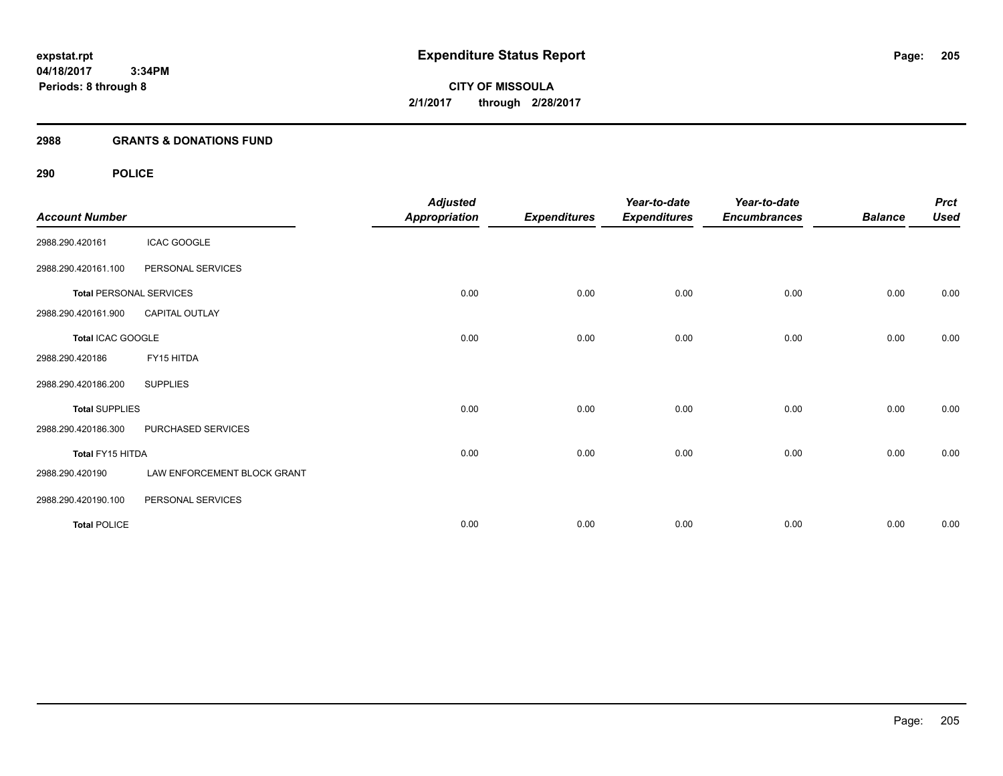# **2988 GRANTS & DONATIONS FUND**

# **290 POLICE**

| <b>Account Number</b> |                                | <b>Adjusted</b><br><b>Appropriation</b> | <b>Expenditures</b> | Year-to-date<br><b>Expenditures</b> | Year-to-date<br><b>Encumbrances</b> | <b>Balance</b> | <b>Prct</b><br><b>Used</b> |
|-----------------------|--------------------------------|-----------------------------------------|---------------------|-------------------------------------|-------------------------------------|----------------|----------------------------|
| 2988.290.420161       | <b>ICAC GOOGLE</b>             |                                         |                     |                                     |                                     |                |                            |
| 2988.290.420161.100   | PERSONAL SERVICES              |                                         |                     |                                     |                                     |                |                            |
|                       | <b>Total PERSONAL SERVICES</b> | 0.00                                    | 0.00                | 0.00                                | 0.00                                | 0.00           | 0.00                       |
| 2988.290.420161.900   | <b>CAPITAL OUTLAY</b>          |                                         |                     |                                     |                                     |                |                            |
| Total ICAC GOOGLE     |                                | 0.00                                    | 0.00                | 0.00                                | 0.00                                | 0.00           | 0.00                       |
| 2988.290.420186       | FY15 HITDA                     |                                         |                     |                                     |                                     |                |                            |
| 2988.290.420186.200   | <b>SUPPLIES</b>                |                                         |                     |                                     |                                     |                |                            |
| <b>Total SUPPLIES</b> |                                | 0.00                                    | 0.00                | 0.00                                | 0.00                                | 0.00           | 0.00                       |
| 2988.290.420186.300   | PURCHASED SERVICES             |                                         |                     |                                     |                                     |                |                            |
| Total FY15 HITDA      |                                | 0.00                                    | 0.00                | 0.00                                | 0.00                                | 0.00           | 0.00                       |
| 2988.290.420190       | LAW ENFORCEMENT BLOCK GRANT    |                                         |                     |                                     |                                     |                |                            |
| 2988.290.420190.100   | PERSONAL SERVICES              |                                         |                     |                                     |                                     |                |                            |
| <b>Total POLICE</b>   |                                | 0.00                                    | 0.00                | 0.00                                | 0.00                                | 0.00           | 0.00                       |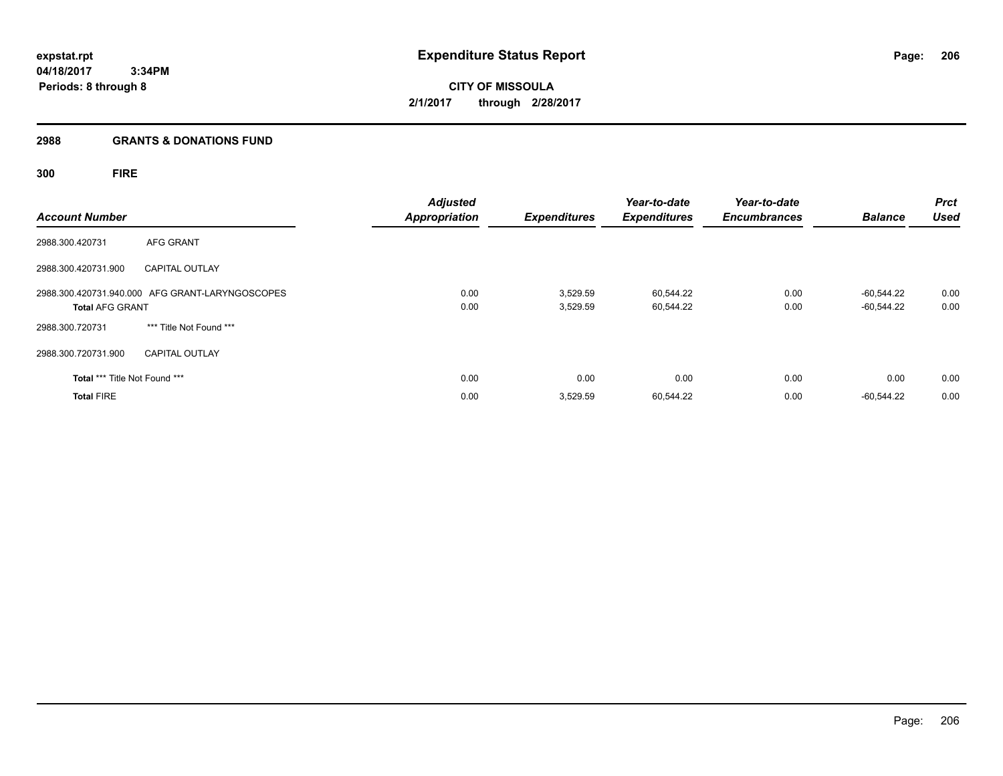**CITY OF MISSOULA 2/1/2017 through 2/28/2017**

# **2988 GRANTS & DONATIONS FUND**

**300 FIRE**

| <b>Account Number</b>         |                                                 | <b>Adjusted</b><br><b>Appropriation</b> | <b>Expenditures</b>  | Year-to-date<br><b>Expenditures</b> | Year-to-date<br><b>Encumbrances</b> | <b>Balance</b>           | <b>Prct</b><br><b>Used</b> |
|-------------------------------|-------------------------------------------------|-----------------------------------------|----------------------|-------------------------------------|-------------------------------------|--------------------------|----------------------------|
| 2988.300.420731               | AFG GRANT                                       |                                         |                      |                                     |                                     |                          |                            |
| 2988.300.420731.900           | <b>CAPITAL OUTLAY</b>                           |                                         |                      |                                     |                                     |                          |                            |
| <b>Total AFG GRANT</b>        | 2988.300.420731.940.000 AFG GRANT-LARYNGOSCOPES | 0.00<br>0.00                            | 3,529.59<br>3,529.59 | 60,544.22<br>60,544.22              | 0.00<br>0.00                        | -60.544.22<br>-60.544.22 | 0.00<br>0.00               |
| 2988.300.720731               | *** Title Not Found ***                         |                                         |                      |                                     |                                     |                          |                            |
| 2988.300.720731.900           | <b>CAPITAL OUTLAY</b>                           |                                         |                      |                                     |                                     |                          |                            |
| Total *** Title Not Found *** |                                                 | 0.00                                    | 0.00                 | 0.00                                | 0.00                                | 0.00                     | 0.00                       |
| <b>Total FIRE</b>             |                                                 | 0.00                                    | 3,529.59             | 60,544.22                           | 0.00                                | -60.544.22               | 0.00                       |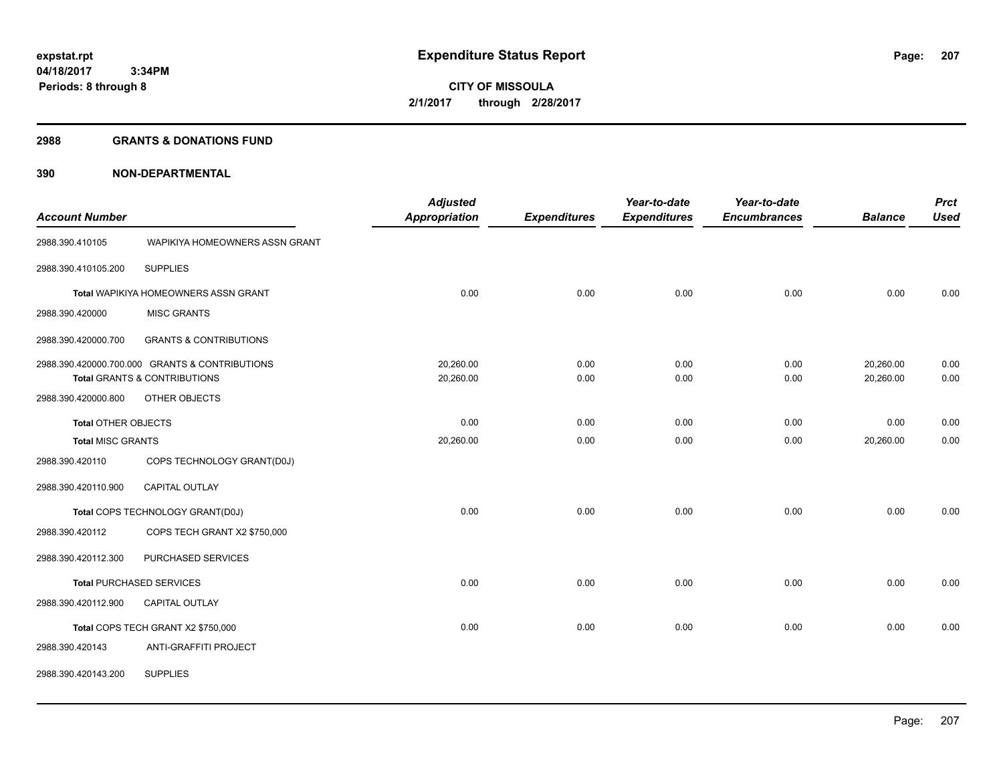#### **2988 GRANTS & DONATIONS FUND**

|                            |                                                | <b>Adjusted</b>      |                     | Year-to-date        | Year-to-date        |                | <b>Prct</b> |
|----------------------------|------------------------------------------------|----------------------|---------------------|---------------------|---------------------|----------------|-------------|
| <b>Account Number</b>      |                                                | <b>Appropriation</b> | <b>Expenditures</b> | <b>Expenditures</b> | <b>Encumbrances</b> | <b>Balance</b> | <b>Used</b> |
| 2988.390.410105            | WAPIKIYA HOMEOWNERS ASSN GRANT                 |                      |                     |                     |                     |                |             |
| 2988.390.410105.200        | <b>SUPPLIES</b>                                |                      |                     |                     |                     |                |             |
|                            | Total WAPIKIYA HOMEOWNERS ASSN GRANT           | 0.00                 | 0.00                | 0.00                | 0.00                | 0.00           | 0.00        |
| 2988.390.420000            | <b>MISC GRANTS</b>                             |                      |                     |                     |                     |                |             |
| 2988.390.420000.700        | <b>GRANTS &amp; CONTRIBUTIONS</b>              |                      |                     |                     |                     |                |             |
|                            | 2988.390.420000.700.000 GRANTS & CONTRIBUTIONS | 20,260.00            | 0.00                | 0.00                | 0.00                | 20,260.00      | 0.00        |
|                            | <b>Total GRANTS &amp; CONTRIBUTIONS</b>        | 20,260.00            | 0.00                | 0.00                | 0.00                | 20,260.00      | 0.00        |
| 2988.390.420000.800        | OTHER OBJECTS                                  |                      |                     |                     |                     |                |             |
| <b>Total OTHER OBJECTS</b> |                                                | 0.00                 | 0.00                | 0.00                | 0.00                | 0.00           | 0.00        |
| <b>Total MISC GRANTS</b>   |                                                | 20,260.00            | 0.00                | 0.00                | 0.00                | 20,260.00      | 0.00        |
| 2988.390.420110            | COPS TECHNOLOGY GRANT(D0J)                     |                      |                     |                     |                     |                |             |
| 2988.390.420110.900        | CAPITAL OUTLAY                                 |                      |                     |                     |                     |                |             |
|                            | Total COPS TECHNOLOGY GRANT(D0J)               | 0.00                 | 0.00                | 0.00                | 0.00                | 0.00           | 0.00        |
| 2988.390.420112            | COPS TECH GRANT X2 \$750,000                   |                      |                     |                     |                     |                |             |
| 2988.390.420112.300        | PURCHASED SERVICES                             |                      |                     |                     |                     |                |             |
|                            | <b>Total PURCHASED SERVICES</b>                | 0.00                 | 0.00                | 0.00                | 0.00                | 0.00           | 0.00        |
| 2988.390.420112.900        | <b>CAPITAL OUTLAY</b>                          |                      |                     |                     |                     |                |             |
|                            | Total COPS TECH GRANT X2 \$750,000             | 0.00                 | 0.00                | 0.00                | 0.00                | 0.00           | 0.00        |
| 2988.390.420143            | ANTI-GRAFFITI PROJECT                          |                      |                     |                     |                     |                |             |
| 2988.390.420143.200        | <b>SUPPLIES</b>                                |                      |                     |                     |                     |                |             |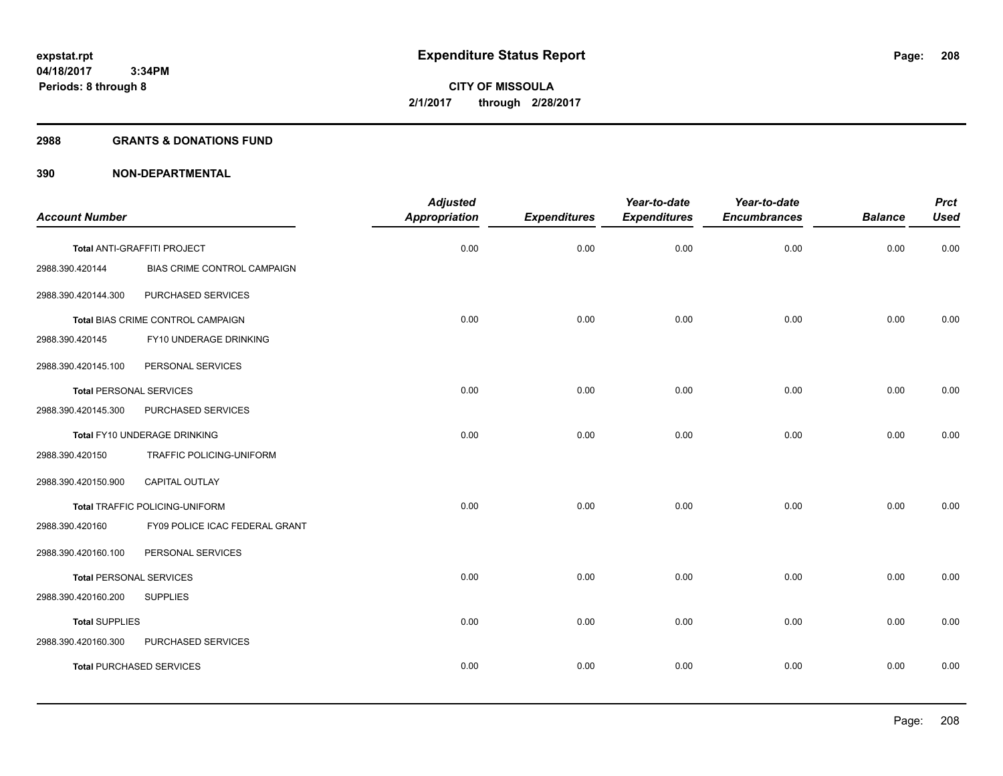#### **2988 GRANTS & DONATIONS FUND**

| <b>Account Number</b>           |                                    | <b>Adjusted</b><br><b>Appropriation</b> | <b>Expenditures</b> | Year-to-date<br><b>Expenditures</b> | Year-to-date<br><b>Encumbrances</b> | <b>Balance</b> | <b>Prct</b><br><b>Used</b> |
|---------------------------------|------------------------------------|-----------------------------------------|---------------------|-------------------------------------|-------------------------------------|----------------|----------------------------|
|                                 |                                    |                                         |                     |                                     |                                     |                |                            |
|                                 | Total ANTI-GRAFFITI PROJECT        | 0.00                                    | 0.00                | 0.00                                | 0.00                                | 0.00           | 0.00                       |
| 2988.390.420144                 | <b>BIAS CRIME CONTROL CAMPAIGN</b> |                                         |                     |                                     |                                     |                |                            |
| 2988.390.420144.300             | PURCHASED SERVICES                 |                                         |                     |                                     |                                     |                |                            |
|                                 | Total BIAS CRIME CONTROL CAMPAIGN  | 0.00                                    | 0.00                | 0.00                                | 0.00                                | 0.00           | 0.00                       |
| 2988.390.420145                 | FY10 UNDERAGE DRINKING             |                                         |                     |                                     |                                     |                |                            |
| 2988.390.420145.100             | PERSONAL SERVICES                  |                                         |                     |                                     |                                     |                |                            |
| <b>Total PERSONAL SERVICES</b>  |                                    | 0.00                                    | 0.00                | 0.00                                | 0.00                                | 0.00           | 0.00                       |
| 2988.390.420145.300             | PURCHASED SERVICES                 |                                         |                     |                                     |                                     |                |                            |
|                                 | Total FY10 UNDERAGE DRINKING       | 0.00                                    | 0.00                | 0.00                                | 0.00                                | 0.00           | 0.00                       |
| 2988.390.420150                 | TRAFFIC POLICING-UNIFORM           |                                         |                     |                                     |                                     |                |                            |
| 2988.390.420150.900             | CAPITAL OUTLAY                     |                                         |                     |                                     |                                     |                |                            |
|                                 | Total TRAFFIC POLICING-UNIFORM     | 0.00                                    | 0.00                | 0.00                                | 0.00                                | 0.00           | 0.00                       |
| 2988.390.420160                 | FY09 POLICE ICAC FEDERAL GRANT     |                                         |                     |                                     |                                     |                |                            |
| 2988.390.420160.100             | PERSONAL SERVICES                  |                                         |                     |                                     |                                     |                |                            |
| <b>Total PERSONAL SERVICES</b>  |                                    | 0.00                                    | 0.00                | 0.00                                | 0.00                                | 0.00           | 0.00                       |
| 2988.390.420160.200             | <b>SUPPLIES</b>                    |                                         |                     |                                     |                                     |                |                            |
| <b>Total SUPPLIES</b>           |                                    | 0.00                                    | 0.00                | 0.00                                | 0.00                                | 0.00           | 0.00                       |
| 2988.390.420160.300             | PURCHASED SERVICES                 |                                         |                     |                                     |                                     |                |                            |
| <b>Total PURCHASED SERVICES</b> |                                    | 0.00                                    | 0.00                | 0.00                                | 0.00                                | 0.00           | 0.00                       |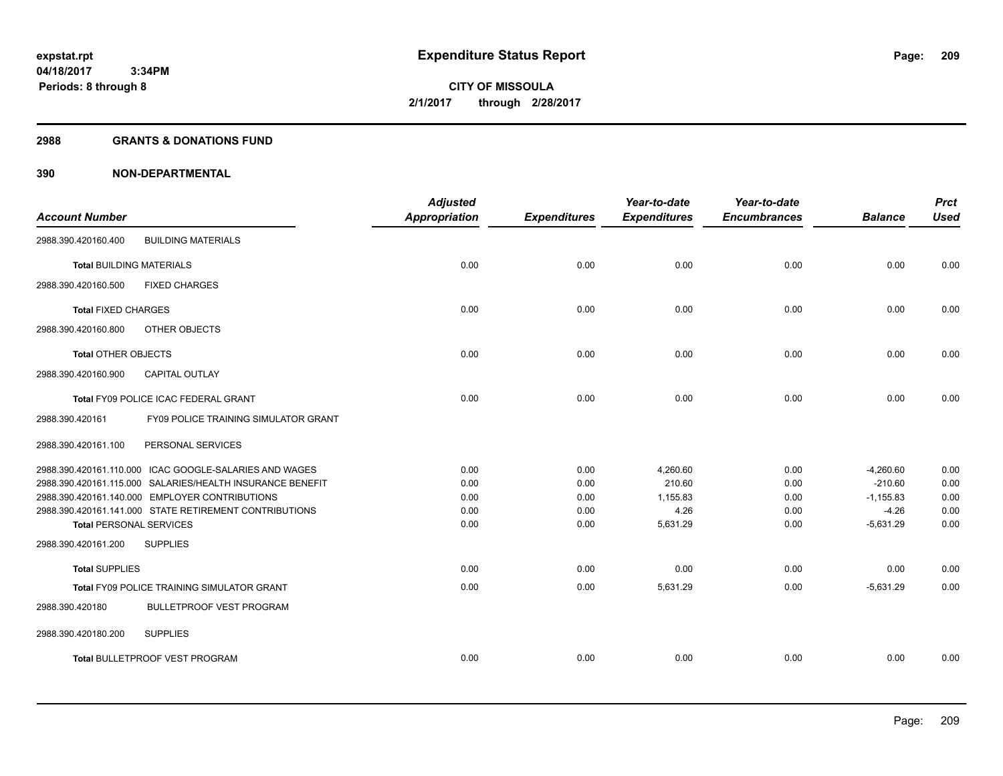#### **2988 GRANTS & DONATIONS FUND**

|                                 |                                                           | <b>Adjusted</b>      |                     | Year-to-date        | Year-to-date        |                | <b>Prct</b> |
|---------------------------------|-----------------------------------------------------------|----------------------|---------------------|---------------------|---------------------|----------------|-------------|
| <b>Account Number</b>           |                                                           | <b>Appropriation</b> | <b>Expenditures</b> | <b>Expenditures</b> | <b>Encumbrances</b> | <b>Balance</b> | <b>Used</b> |
| 2988.390.420160.400             | <b>BUILDING MATERIALS</b>                                 |                      |                     |                     |                     |                |             |
| <b>Total BUILDING MATERIALS</b> |                                                           | 0.00                 | 0.00                | 0.00                | 0.00                | 0.00           | 0.00        |
| 2988.390.420160.500             | <b>FIXED CHARGES</b>                                      |                      |                     |                     |                     |                |             |
| <b>Total FIXED CHARGES</b>      |                                                           | 0.00                 | 0.00                | 0.00                | 0.00                | 0.00           | 0.00        |
| 2988.390.420160.800             | OTHER OBJECTS                                             |                      |                     |                     |                     |                |             |
| <b>Total OTHER OBJECTS</b>      |                                                           | 0.00                 | 0.00                | 0.00                | 0.00                | 0.00           | 0.00        |
| 2988.390.420160.900             | <b>CAPITAL OUTLAY</b>                                     |                      |                     |                     |                     |                |             |
|                                 | Total FY09 POLICE ICAC FEDERAL GRANT                      | 0.00                 | 0.00                | 0.00                | 0.00                | 0.00           | 0.00        |
| 2988.390.420161                 | <b>FY09 POLICE TRAINING SIMULATOR GRANT</b>               |                      |                     |                     |                     |                |             |
| 2988.390.420161.100             | PERSONAL SERVICES                                         |                      |                     |                     |                     |                |             |
|                                 | 2988.390.420161.110.000 ICAC GOOGLE-SALARIES AND WAGES    | 0.00                 | 0.00                | 4,260.60            | 0.00                | $-4,260.60$    | 0.00        |
|                                 | 2988.390.420161.115.000 SALARIES/HEALTH INSURANCE BENEFIT | 0.00                 | 0.00                | 210.60              | 0.00                | $-210.60$      | 0.00        |
|                                 | 2988.390.420161.140.000 EMPLOYER CONTRIBUTIONS            | 0.00                 | 0.00                | 1.155.83            | 0.00                | $-1,155.83$    | 0.00        |
|                                 | 2988.390.420161.141.000 STATE RETIREMENT CONTRIBUTIONS    | 0.00                 | 0.00                | 4.26                | 0.00                | $-4.26$        | 0.00        |
| <b>Total PERSONAL SERVICES</b>  |                                                           | 0.00                 | 0.00                | 5,631.29            | 0.00                | $-5,631.29$    | 0.00        |
| 2988.390.420161.200             | <b>SUPPLIES</b>                                           |                      |                     |                     |                     |                |             |
| <b>Total SUPPLIES</b>           |                                                           | 0.00                 | 0.00                | 0.00                | 0.00                | 0.00           | 0.00        |
|                                 | <b>Total FY09 POLICE TRAINING SIMULATOR GRANT</b>         | 0.00                 | 0.00                | 5,631.29            | 0.00                | $-5,631.29$    | 0.00        |
| 2988.390.420180                 | <b>BULLETPROOF VEST PROGRAM</b>                           |                      |                     |                     |                     |                |             |
| 2988.390.420180.200             | <b>SUPPLIES</b>                                           |                      |                     |                     |                     |                |             |
|                                 | Total BULLETPROOF VEST PROGRAM                            | 0.00                 | 0.00                | 0.00                | 0.00                | 0.00           | 0.00        |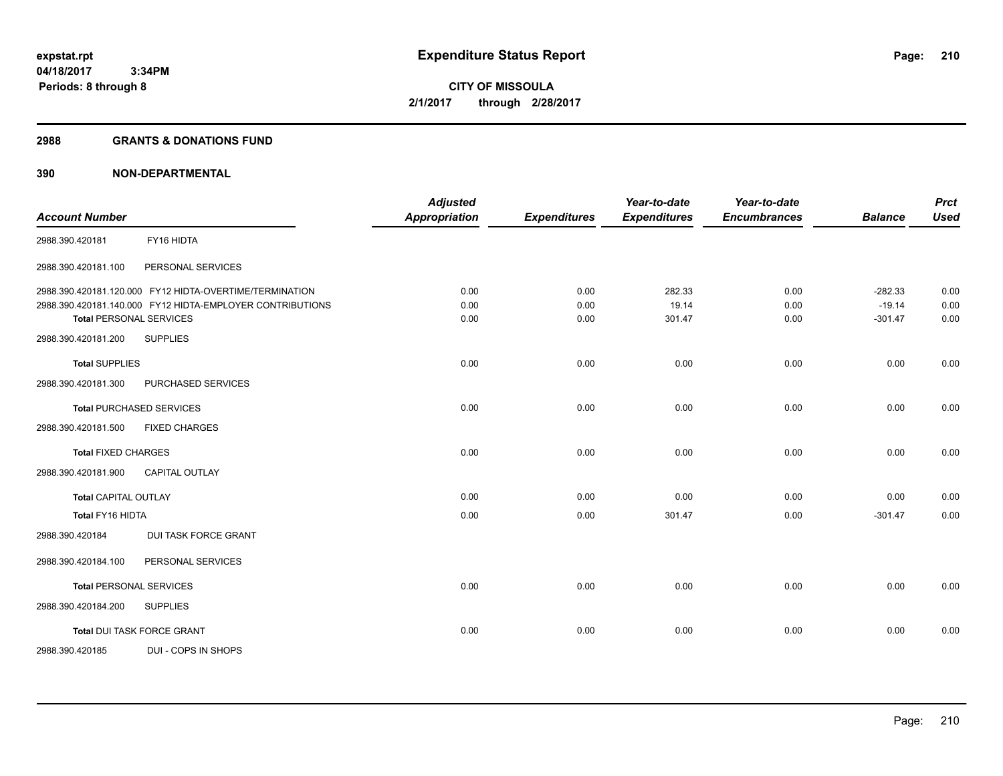**Periods: 8 through 8**

**CITY OF MISSOULA 2/1/2017 through 2/28/2017**

#### **2988 GRANTS & DONATIONS FUND**

 **3:34PM**

| <b>Account Number</b>           |                                                           | <b>Adjusted</b><br><b>Appropriation</b> | <b>Expenditures</b> | Year-to-date<br><b>Expenditures</b> | Year-to-date<br><b>Encumbrances</b> | <b>Balance</b> | <b>Prct</b><br><b>Used</b> |
|---------------------------------|-----------------------------------------------------------|-----------------------------------------|---------------------|-------------------------------------|-------------------------------------|----------------|----------------------------|
|                                 |                                                           |                                         |                     |                                     |                                     |                |                            |
| 2988.390.420181                 | FY16 HIDTA                                                |                                         |                     |                                     |                                     |                |                            |
| 2988.390.420181.100             | PERSONAL SERVICES                                         |                                         |                     |                                     |                                     |                |                            |
|                                 | 2988.390.420181.120.000 FY12 HIDTA-OVERTIME/TERMINATION   | 0.00                                    | 0.00                | 282.33                              | 0.00                                | $-282.33$      | 0.00                       |
|                                 | 2988.390.420181.140.000 FY12 HIDTA-EMPLOYER CONTRIBUTIONS | 0.00                                    | 0.00                | 19.14                               | 0.00                                | $-19.14$       | 0.00                       |
| <b>Total PERSONAL SERVICES</b>  |                                                           | 0.00                                    | 0.00                | 301.47                              | 0.00                                | $-301.47$      | 0.00                       |
| 2988.390.420181.200             | <b>SUPPLIES</b>                                           |                                         |                     |                                     |                                     |                |                            |
| <b>Total SUPPLIES</b>           |                                                           | 0.00                                    | 0.00                | 0.00                                | 0.00                                | 0.00           | 0.00                       |
| 2988.390.420181.300             | PURCHASED SERVICES                                        |                                         |                     |                                     |                                     |                |                            |
| <b>Total PURCHASED SERVICES</b> |                                                           | 0.00                                    | 0.00                | 0.00                                | 0.00                                | 0.00           | 0.00                       |
| 2988.390.420181.500             | <b>FIXED CHARGES</b>                                      |                                         |                     |                                     |                                     |                |                            |
| <b>Total FIXED CHARGES</b>      |                                                           | 0.00                                    | 0.00                | 0.00                                | 0.00                                | 0.00           | 0.00                       |
| 2988.390.420181.900             | <b>CAPITAL OUTLAY</b>                                     |                                         |                     |                                     |                                     |                |                            |
| <b>Total CAPITAL OUTLAY</b>     |                                                           | 0.00                                    | 0.00                | 0.00                                | 0.00                                | 0.00           | 0.00                       |
| Total FY16 HIDTA                |                                                           | 0.00                                    | 0.00                | 301.47                              | 0.00                                | $-301.47$      | 0.00                       |
| 2988.390.420184                 | DUI TASK FORCE GRANT                                      |                                         |                     |                                     |                                     |                |                            |
| 2988.390.420184.100             | PERSONAL SERVICES                                         |                                         |                     |                                     |                                     |                |                            |
| <b>Total PERSONAL SERVICES</b>  |                                                           | 0.00                                    | 0.00                | 0.00                                | 0.00                                | 0.00           | 0.00                       |
| 2988.390.420184.200             | <b>SUPPLIES</b>                                           |                                         |                     |                                     |                                     |                |                            |
|                                 | Total DUI TASK FORCE GRANT                                | 0.00                                    | 0.00                | 0.00                                | 0.00                                | 0.00           | 0.00                       |
| 2988.390.420185                 | DUI - COPS IN SHOPS                                       |                                         |                     |                                     |                                     |                |                            |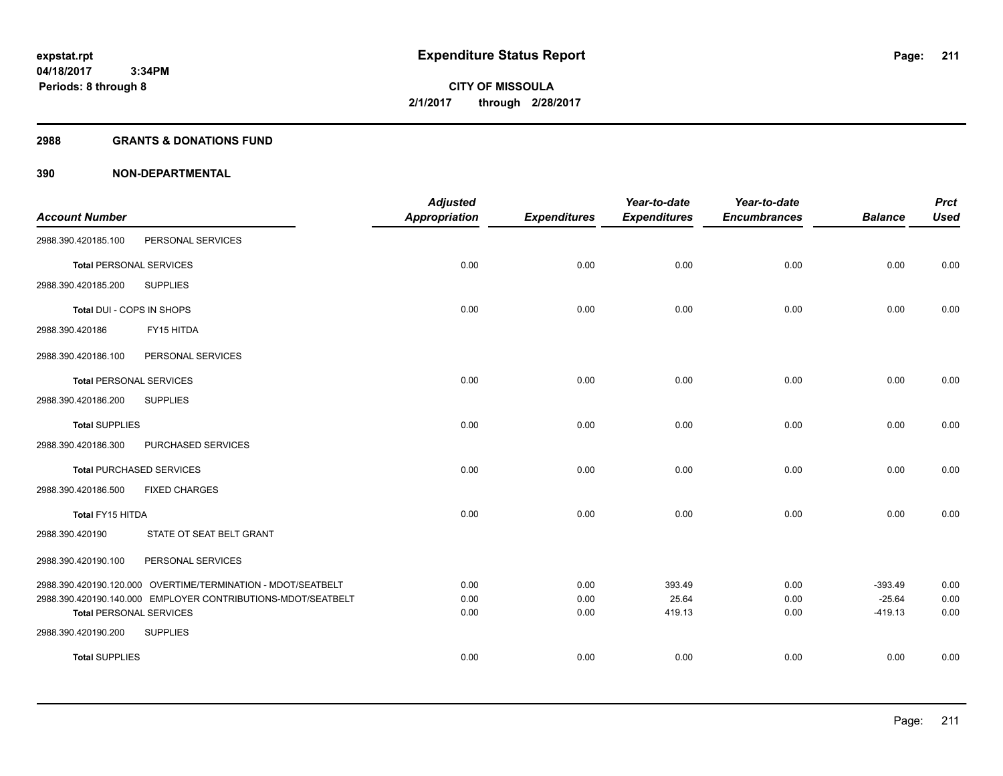#### **2988 GRANTS & DONATIONS FUND**

|                                |                                                              | <b>Adjusted</b>      |                     | Year-to-date        | Year-to-date        |                       | <b>Prct</b>  |
|--------------------------------|--------------------------------------------------------------|----------------------|---------------------|---------------------|---------------------|-----------------------|--------------|
| <b>Account Number</b>          |                                                              | <b>Appropriation</b> | <b>Expenditures</b> | <b>Expenditures</b> | <b>Encumbrances</b> | <b>Balance</b>        | <b>Used</b>  |
| 2988.390.420185.100            | PERSONAL SERVICES                                            |                      |                     |                     |                     |                       |              |
| <b>Total PERSONAL SERVICES</b> |                                                              | 0.00                 | 0.00                | 0.00                | 0.00                | 0.00                  | 0.00         |
| 2988.390.420185.200            | <b>SUPPLIES</b>                                              |                      |                     |                     |                     |                       |              |
| Total DUI - COPS IN SHOPS      |                                                              | 0.00                 | 0.00                | 0.00                | 0.00                | 0.00                  | 0.00         |
| 2988.390.420186                | FY15 HITDA                                                   |                      |                     |                     |                     |                       |              |
| 2988.390.420186.100            | PERSONAL SERVICES                                            |                      |                     |                     |                     |                       |              |
| <b>Total PERSONAL SERVICES</b> |                                                              | 0.00                 | 0.00                | 0.00                | 0.00                | 0.00                  | 0.00         |
| 2988.390.420186.200            | <b>SUPPLIES</b>                                              |                      |                     |                     |                     |                       |              |
| <b>Total SUPPLIES</b>          |                                                              | 0.00                 | 0.00                | 0.00                | 0.00                | 0.00                  | 0.00         |
| 2988.390.420186.300            | PURCHASED SERVICES                                           |                      |                     |                     |                     |                       |              |
|                                | <b>Total PURCHASED SERVICES</b>                              | 0.00                 | 0.00                | 0.00                | 0.00                | 0.00                  | 0.00         |
| 2988.390.420186.500            | <b>FIXED CHARGES</b>                                         |                      |                     |                     |                     |                       |              |
| Total FY15 HITDA               |                                                              | 0.00                 | 0.00                | 0.00                | 0.00                | 0.00                  | 0.00         |
| 2988.390.420190                | STATE OT SEAT BELT GRANT                                     |                      |                     |                     |                     |                       |              |
| 2988.390.420190.100            | PERSONAL SERVICES                                            |                      |                     |                     |                     |                       |              |
|                                | 2988.390.420190.120.000 OVERTIME/TERMINATION - MDOT/SEATBELT | 0.00                 | 0.00                | 393.49              | 0.00                | $-393.49$             | 0.00         |
| <b>Total PERSONAL SERVICES</b> | 2988.390.420190.140.000 EMPLOYER CONTRIBUTIONS-MDOT/SEATBELT | 0.00<br>0.00         | 0.00<br>0.00        | 25.64<br>419.13     | 0.00<br>0.00        | $-25.64$<br>$-419.13$ | 0.00<br>0.00 |
| 2988.390.420190.200            | <b>SUPPLIES</b>                                              |                      |                     |                     |                     |                       |              |
| <b>Total SUPPLIES</b>          |                                                              | 0.00                 | 0.00                | 0.00                | 0.00                | 0.00                  | 0.00         |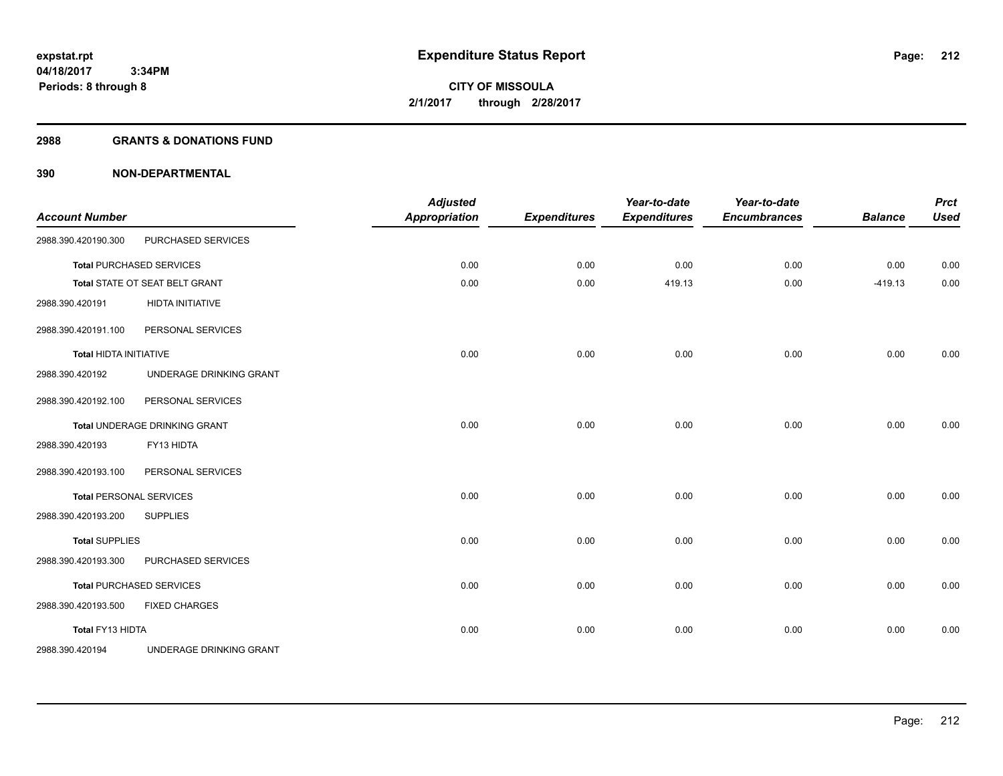#### **2988 GRANTS & DONATIONS FUND**

| <b>Account Number</b>         |                                 | <b>Adjusted</b><br><b>Appropriation</b> | <b>Expenditures</b> | Year-to-date<br><b>Expenditures</b> | Year-to-date<br><b>Encumbrances</b> | <b>Balance</b> | <b>Prct</b><br><b>Used</b> |
|-------------------------------|---------------------------------|-----------------------------------------|---------------------|-------------------------------------|-------------------------------------|----------------|----------------------------|
| 2988.390.420190.300           | PURCHASED SERVICES              |                                         |                     |                                     |                                     |                |                            |
|                               | <b>Total PURCHASED SERVICES</b> | 0.00                                    | 0.00                | 0.00                                | 0.00                                | 0.00           | 0.00                       |
|                               | Total STATE OT SEAT BELT GRANT  | 0.00                                    | 0.00                | 419.13                              | 0.00                                | $-419.13$      | 0.00                       |
| 2988.390.420191               | <b>HIDTA INITIATIVE</b>         |                                         |                     |                                     |                                     |                |                            |
| 2988.390.420191.100           | PERSONAL SERVICES               |                                         |                     |                                     |                                     |                |                            |
| <b>Total HIDTA INITIATIVE</b> |                                 | 0.00                                    | 0.00                | 0.00                                | 0.00                                | 0.00           | 0.00                       |
| 2988.390.420192               | UNDERAGE DRINKING GRANT         |                                         |                     |                                     |                                     |                |                            |
| 2988.390.420192.100           | PERSONAL SERVICES               |                                         |                     |                                     |                                     |                |                            |
|                               | Total UNDERAGE DRINKING GRANT   | 0.00                                    | 0.00                | 0.00                                | 0.00                                | 0.00           | 0.00                       |
| 2988.390.420193               | FY13 HIDTA                      |                                         |                     |                                     |                                     |                |                            |
| 2988.390.420193.100           | PERSONAL SERVICES               |                                         |                     |                                     |                                     |                |                            |
|                               | <b>Total PERSONAL SERVICES</b>  | 0.00                                    | 0.00                | 0.00                                | 0.00                                | 0.00           | 0.00                       |
| 2988.390.420193.200           | <b>SUPPLIES</b>                 |                                         |                     |                                     |                                     |                |                            |
| <b>Total SUPPLIES</b>         |                                 | 0.00                                    | 0.00                | 0.00                                | 0.00                                | 0.00           | 0.00                       |
| 2988.390.420193.300           | PURCHASED SERVICES              |                                         |                     |                                     |                                     |                |                            |
|                               | <b>Total PURCHASED SERVICES</b> | 0.00                                    | 0.00                | 0.00                                | 0.00                                | 0.00           | 0.00                       |
| 2988.390.420193.500           | <b>FIXED CHARGES</b>            |                                         |                     |                                     |                                     |                |                            |
| Total FY13 HIDTA              |                                 | 0.00                                    | 0.00                | 0.00                                | 0.00                                | 0.00           | 0.00                       |
| 2988.390.420194               | UNDERAGE DRINKING GRANT         |                                         |                     |                                     |                                     |                |                            |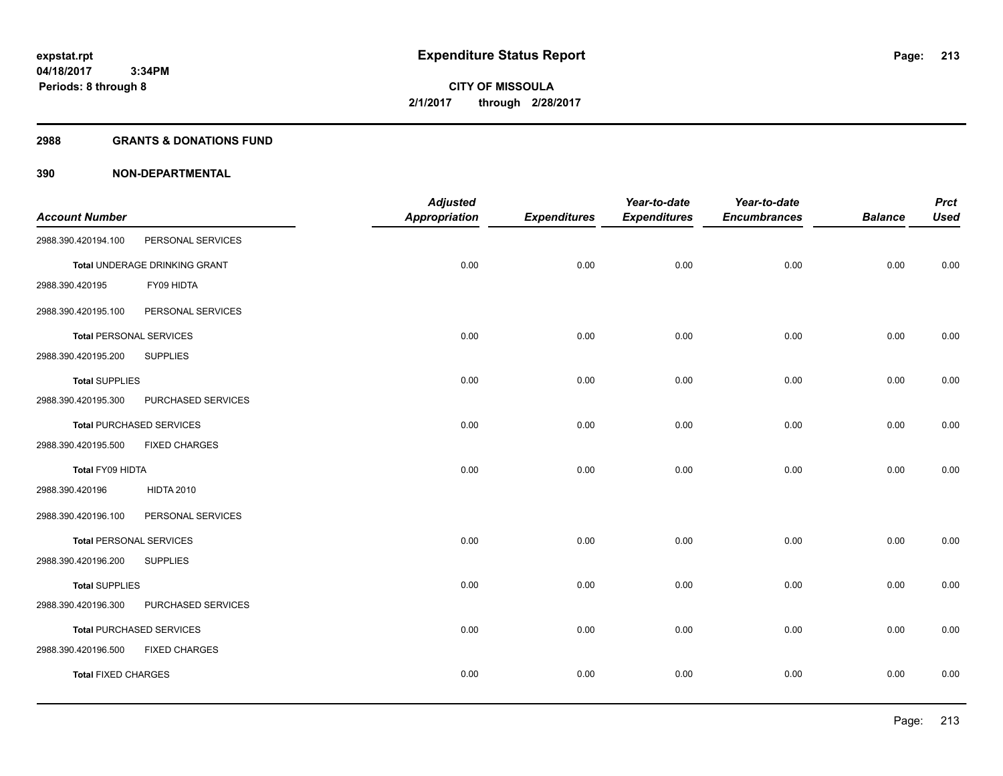#### **2988 GRANTS & DONATIONS FUND**

|                                |                                 | <b>Adjusted</b> |                     | Year-to-date        | Year-to-date        |                | <b>Prct</b> |
|--------------------------------|---------------------------------|-----------------|---------------------|---------------------|---------------------|----------------|-------------|
| <b>Account Number</b>          |                                 | Appropriation   | <b>Expenditures</b> | <b>Expenditures</b> | <b>Encumbrances</b> | <b>Balance</b> | <b>Used</b> |
| 2988.390.420194.100            | PERSONAL SERVICES               |                 |                     |                     |                     |                |             |
|                                | Total UNDERAGE DRINKING GRANT   | 0.00            | 0.00                | 0.00                | 0.00                | 0.00           | 0.00        |
| 2988.390.420195                | FY09 HIDTA                      |                 |                     |                     |                     |                |             |
| 2988.390.420195.100            | PERSONAL SERVICES               |                 |                     |                     |                     |                |             |
| <b>Total PERSONAL SERVICES</b> |                                 | 0.00            | 0.00                | 0.00                | 0.00                | 0.00           | 0.00        |
| 2988.390.420195.200            | <b>SUPPLIES</b>                 |                 |                     |                     |                     |                |             |
| <b>Total SUPPLIES</b>          |                                 | 0.00            | 0.00                | 0.00                | 0.00                | 0.00           | 0.00        |
| 2988.390.420195.300            | PURCHASED SERVICES              |                 |                     |                     |                     |                |             |
|                                | <b>Total PURCHASED SERVICES</b> | 0.00            | 0.00                | 0.00                | 0.00                | 0.00           | 0.00        |
| 2988.390.420195.500            | <b>FIXED CHARGES</b>            |                 |                     |                     |                     |                |             |
| Total FY09 HIDTA               |                                 | 0.00            | 0.00                | 0.00                | 0.00                | 0.00           | 0.00        |
| 2988.390.420196                | <b>HIDTA 2010</b>               |                 |                     |                     |                     |                |             |
| 2988.390.420196.100            | PERSONAL SERVICES               |                 |                     |                     |                     |                |             |
| <b>Total PERSONAL SERVICES</b> |                                 | 0.00            | 0.00                | 0.00                | 0.00                | 0.00           | 0.00        |
| 2988.390.420196.200            | <b>SUPPLIES</b>                 |                 |                     |                     |                     |                |             |
| <b>Total SUPPLIES</b>          |                                 | 0.00            | 0.00                | 0.00                | 0.00                | 0.00           | 0.00        |
| 2988.390.420196.300            | PURCHASED SERVICES              |                 |                     |                     |                     |                |             |
|                                | <b>Total PURCHASED SERVICES</b> | 0.00            | 0.00                | 0.00                | 0.00                | 0.00           | 0.00        |
| 2988.390.420196.500            | <b>FIXED CHARGES</b>            |                 |                     |                     |                     |                |             |
| <b>Total FIXED CHARGES</b>     |                                 | 0.00            | 0.00                | 0.00                | 0.00                | 0.00           | 0.00        |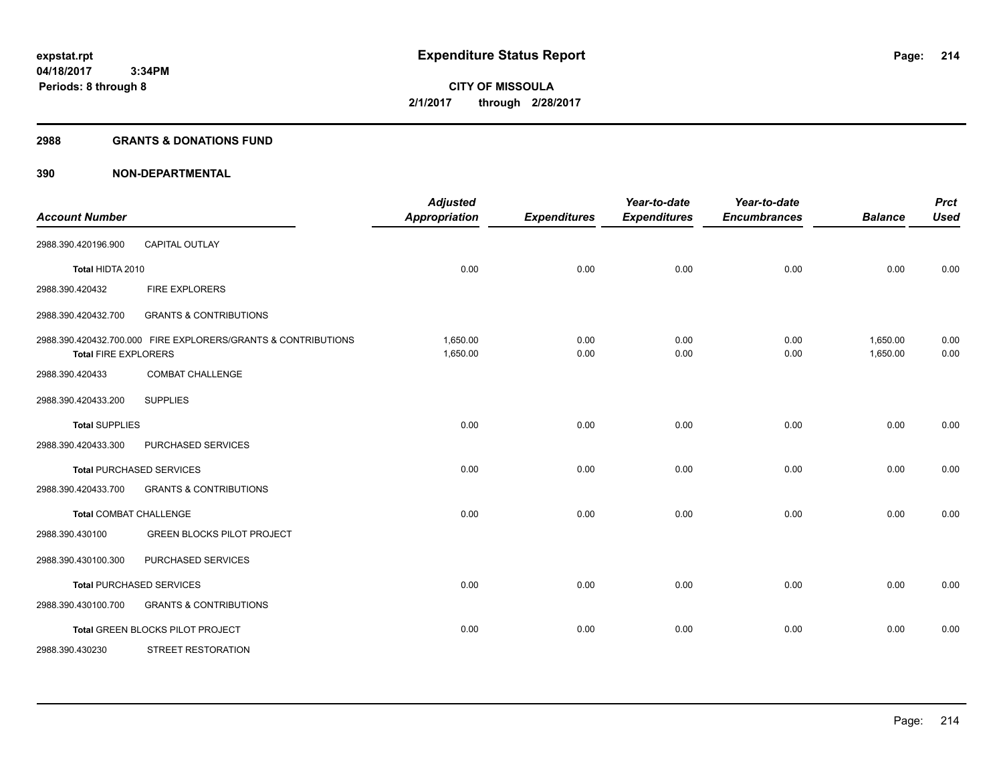#### **2988 GRANTS & DONATIONS FUND**

| <b>Account Number</b>         |                                                               | <b>Adjusted</b><br><b>Appropriation</b> | <b>Expenditures</b> | Year-to-date<br><b>Expenditures</b> | Year-to-date<br><b>Encumbrances</b> | <b>Balance</b>       | <b>Prct</b><br><b>Used</b> |
|-------------------------------|---------------------------------------------------------------|-----------------------------------------|---------------------|-------------------------------------|-------------------------------------|----------------------|----------------------------|
| 2988.390.420196.900           | <b>CAPITAL OUTLAY</b>                                         |                                         |                     |                                     |                                     |                      |                            |
| Total HIDTA 2010              |                                                               | 0.00                                    | 0.00                | 0.00                                | 0.00                                | 0.00                 | 0.00                       |
| 2988.390.420432               | <b>FIRE EXPLORERS</b>                                         |                                         |                     |                                     |                                     |                      |                            |
| 2988.390.420432.700           | <b>GRANTS &amp; CONTRIBUTIONS</b>                             |                                         |                     |                                     |                                     |                      |                            |
| <b>Total FIRE EXPLORERS</b>   | 2988.390.420432.700.000 FIRE EXPLORERS/GRANTS & CONTRIBUTIONS | 1,650.00<br>1,650.00                    | 0.00<br>0.00        | 0.00<br>0.00                        | 0.00<br>0.00                        | 1,650.00<br>1,650.00 | 0.00<br>0.00               |
| 2988.390.420433               | <b>COMBAT CHALLENGE</b>                                       |                                         |                     |                                     |                                     |                      |                            |
| 2988.390.420433.200           | <b>SUPPLIES</b>                                               |                                         |                     |                                     |                                     |                      |                            |
| <b>Total SUPPLIES</b>         |                                                               | 0.00                                    | 0.00                | 0.00                                | 0.00                                | 0.00                 | 0.00                       |
| 2988.390.420433.300           | PURCHASED SERVICES                                            |                                         |                     |                                     |                                     |                      |                            |
|                               | <b>Total PURCHASED SERVICES</b>                               | 0.00                                    | 0.00                | 0.00                                | 0.00                                | 0.00                 | 0.00                       |
| 2988.390.420433.700           | <b>GRANTS &amp; CONTRIBUTIONS</b>                             |                                         |                     |                                     |                                     |                      |                            |
| <b>Total COMBAT CHALLENGE</b> |                                                               | 0.00                                    | 0.00                | 0.00                                | 0.00                                | 0.00                 | 0.00                       |
| 2988.390.430100               | <b>GREEN BLOCKS PILOT PROJECT</b>                             |                                         |                     |                                     |                                     |                      |                            |
| 2988.390.430100.300           | PURCHASED SERVICES                                            |                                         |                     |                                     |                                     |                      |                            |
|                               | <b>Total PURCHASED SERVICES</b>                               | 0.00                                    | 0.00                | 0.00                                | 0.00                                | 0.00                 | 0.00                       |
| 2988.390.430100.700           | <b>GRANTS &amp; CONTRIBUTIONS</b>                             |                                         |                     |                                     |                                     |                      |                            |
|                               | Total GREEN BLOCKS PILOT PROJECT                              | 0.00                                    | 0.00                | 0.00                                | 0.00                                | 0.00                 | 0.00                       |
| 2988.390.430230               | <b>STREET RESTORATION</b>                                     |                                         |                     |                                     |                                     |                      |                            |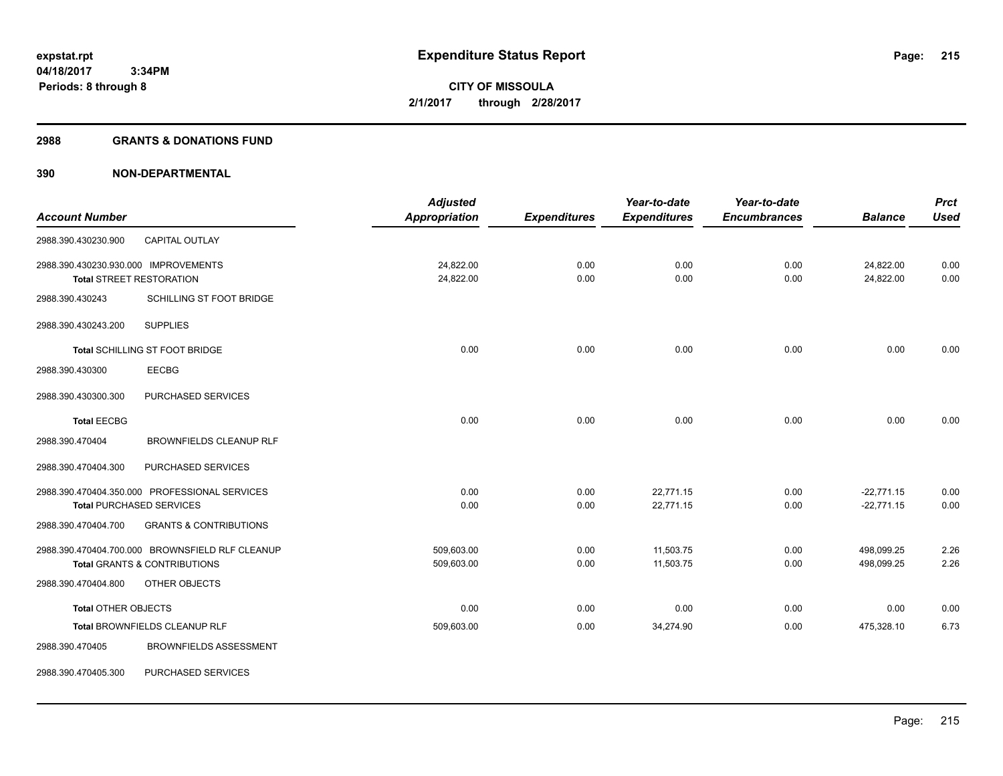#### **2988 GRANTS & DONATIONS FUND**

|                                      |                                                 | <b>Adjusted</b>      |                     | Year-to-date        | Year-to-date        |                | <b>Prct</b> |
|--------------------------------------|-------------------------------------------------|----------------------|---------------------|---------------------|---------------------|----------------|-------------|
| <b>Account Number</b>                |                                                 | <b>Appropriation</b> | <b>Expenditures</b> | <b>Expenditures</b> | <b>Encumbrances</b> | <b>Balance</b> | <b>Used</b> |
| 2988.390.430230.900                  | CAPITAL OUTLAY                                  |                      |                     |                     |                     |                |             |
| 2988.390.430230.930.000 IMPROVEMENTS |                                                 | 24,822.00            | 0.00                | 0.00                | 0.00                | 24,822.00      | 0.00        |
|                                      | <b>Total STREET RESTORATION</b>                 | 24,822.00            | 0.00                | 0.00                | 0.00                | 24,822.00      | 0.00        |
| 2988.390.430243                      | SCHILLING ST FOOT BRIDGE                        |                      |                     |                     |                     |                |             |
| 2988.390.430243.200                  | <b>SUPPLIES</b>                                 |                      |                     |                     |                     |                |             |
|                                      | Total SCHILLING ST FOOT BRIDGE                  | 0.00                 | 0.00                | 0.00                | 0.00                | 0.00           | 0.00        |
| 2988.390.430300                      | <b>EECBG</b>                                    |                      |                     |                     |                     |                |             |
| 2988.390.430300.300                  | PURCHASED SERVICES                              |                      |                     |                     |                     |                |             |
| <b>Total EECBG</b>                   |                                                 | 0.00                 | 0.00                | 0.00                | 0.00                | 0.00           | 0.00        |
| 2988.390.470404                      | <b>BROWNFIELDS CLEANUP RLF</b>                  |                      |                     |                     |                     |                |             |
| 2988.390.470404.300                  | PURCHASED SERVICES                              |                      |                     |                     |                     |                |             |
|                                      | 2988.390.470404.350.000 PROFESSIONAL SERVICES   | 0.00                 | 0.00                | 22,771.15           | 0.00                | $-22,771.15$   | 0.00        |
|                                      | <b>Total PURCHASED SERVICES</b>                 | 0.00                 | 0.00                | 22,771.15           | 0.00                | $-22,771.15$   | 0.00        |
| 2988.390.470404.700                  | <b>GRANTS &amp; CONTRIBUTIONS</b>               |                      |                     |                     |                     |                |             |
|                                      | 2988.390.470404.700.000 BROWNSFIELD RLF CLEANUP | 509,603.00           | 0.00                | 11,503.75           | 0.00                | 498,099.25     | 2.26        |
|                                      | <b>Total GRANTS &amp; CONTRIBUTIONS</b>         | 509,603.00           | 0.00                | 11,503.75           | 0.00                | 498,099.25     | 2.26        |
| 2988.390.470404.800                  | OTHER OBJECTS                                   |                      |                     |                     |                     |                |             |
| <b>Total OTHER OBJECTS</b>           |                                                 | 0.00                 | 0.00                | 0.00                | 0.00                | 0.00           | 0.00        |
|                                      | Total BROWNFIELDS CLEANUP RLF                   | 509,603.00           | 0.00                | 34,274.90           | 0.00                | 475,328.10     | 6.73        |
| 2988.390.470405                      | <b>BROWNFIELDS ASSESSMENT</b>                   |                      |                     |                     |                     |                |             |
| 2988.390.470405.300                  | PURCHASED SERVICES                              |                      |                     |                     |                     |                |             |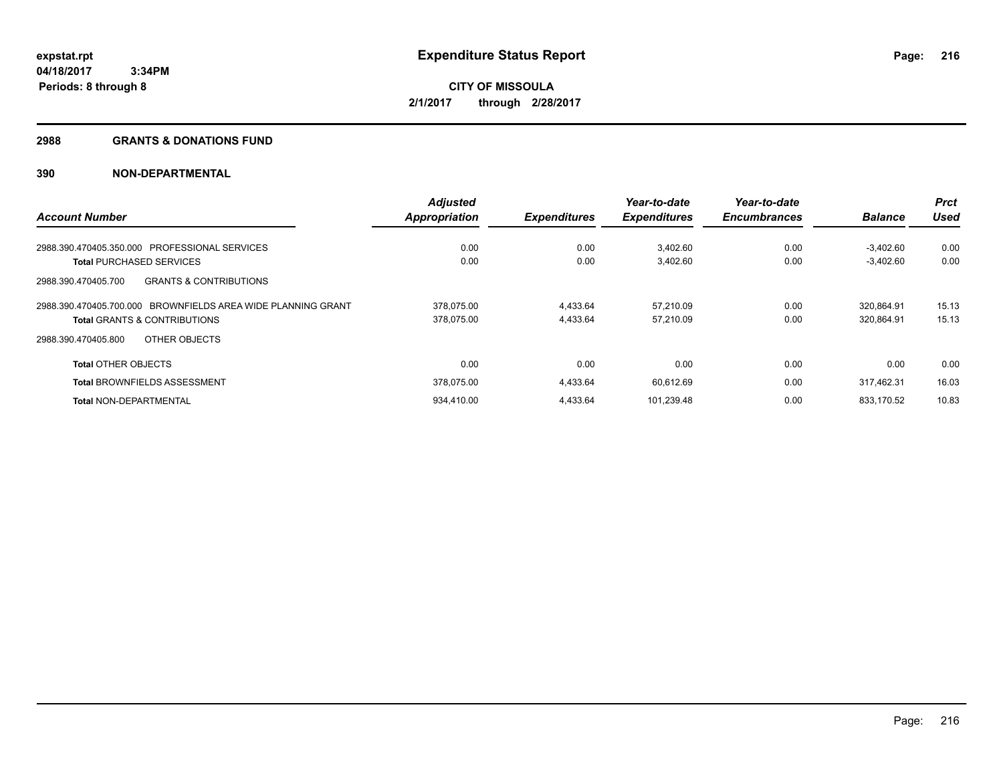#### **2988 GRANTS & DONATIONS FUND**

| <b>Account Number</b>                                        | <b>Adjusted</b><br><b>Appropriation</b> | <b>Expenditures</b> | Year-to-date<br><b>Expenditures</b> | Year-to-date<br><b>Encumbrances</b> | <b>Balance</b> | <b>Prct</b><br>Used |
|--------------------------------------------------------------|-----------------------------------------|---------------------|-------------------------------------|-------------------------------------|----------------|---------------------|
|                                                              |                                         |                     |                                     |                                     |                |                     |
| <b>Total PURCHASED SERVICES</b>                              | 0.00                                    | 0.00                | 3,402.60                            | 0.00                                | $-3.402.60$    | 0.00                |
| <b>GRANTS &amp; CONTRIBUTIONS</b><br>2988.390.470405.700     |                                         |                     |                                     |                                     |                |                     |
| 2988.390.470405.700.000 BROWNFIELDS AREA WIDE PLANNING GRANT | 378.075.00                              | 4,433.64            | 57.210.09                           | 0.00                                | 320.864.91     | 15.13               |
| <b>Total GRANTS &amp; CONTRIBUTIONS</b>                      | 378,075.00                              | 4,433.64            | 57,210.09                           | 0.00                                | 320,864.91     | 15.13               |
| OTHER OBJECTS<br>2988.390.470405.800                         |                                         |                     |                                     |                                     |                |                     |
| <b>Total OTHER OBJECTS</b>                                   | 0.00                                    | 0.00                | 0.00                                | 0.00                                | 0.00           | 0.00                |
| <b>Total BROWNFIELDS ASSESSMENT</b>                          | 378,075.00                              | 4,433.64            | 60,612.69                           | 0.00                                | 317.462.31     | 16.03               |
| <b>Total NON-DEPARTMENTAL</b>                                | 934.410.00                              | 4.433.64            | 101.239.48                          | 0.00                                | 833.170.52     | 10.83               |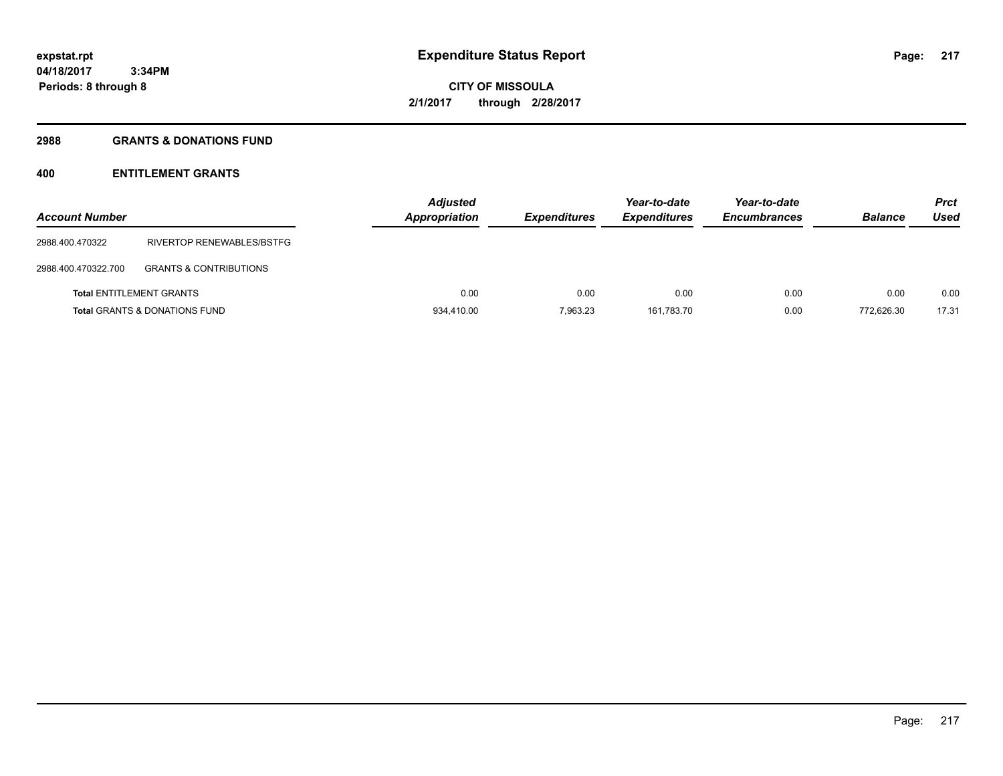## **2988 GRANTS & DONATIONS FUND**

# **400 ENTITLEMENT GRANTS**

| <b>Account Number</b>           |                                          | <b>Adjusted</b><br>Appropriation | <b>Expenditures</b> | Year-to-date<br><b>Expenditures</b> | Year-to-date<br><b>Encumbrances</b> | <b>Balance</b> | <b>Prct</b><br>Used |
|---------------------------------|------------------------------------------|----------------------------------|---------------------|-------------------------------------|-------------------------------------|----------------|---------------------|
| 2988.400.470322                 | RIVERTOP RENEWABLES/BSTFG                |                                  |                     |                                     |                                     |                |                     |
| 2988.400.470322.700             | <b>GRANTS &amp; CONTRIBUTIONS</b>        |                                  |                     |                                     |                                     |                |                     |
| <b>Total ENTITLEMENT GRANTS</b> |                                          | 0.00                             | 0.00                | 0.00                                | 0.00                                | 0.00           | 0.00                |
|                                 | <b>Total GRANTS &amp; DONATIONS FUND</b> | 934,410.00                       | 7.963.23            | 161.783.70                          | 0.00                                | 772.626.30     | 17.31               |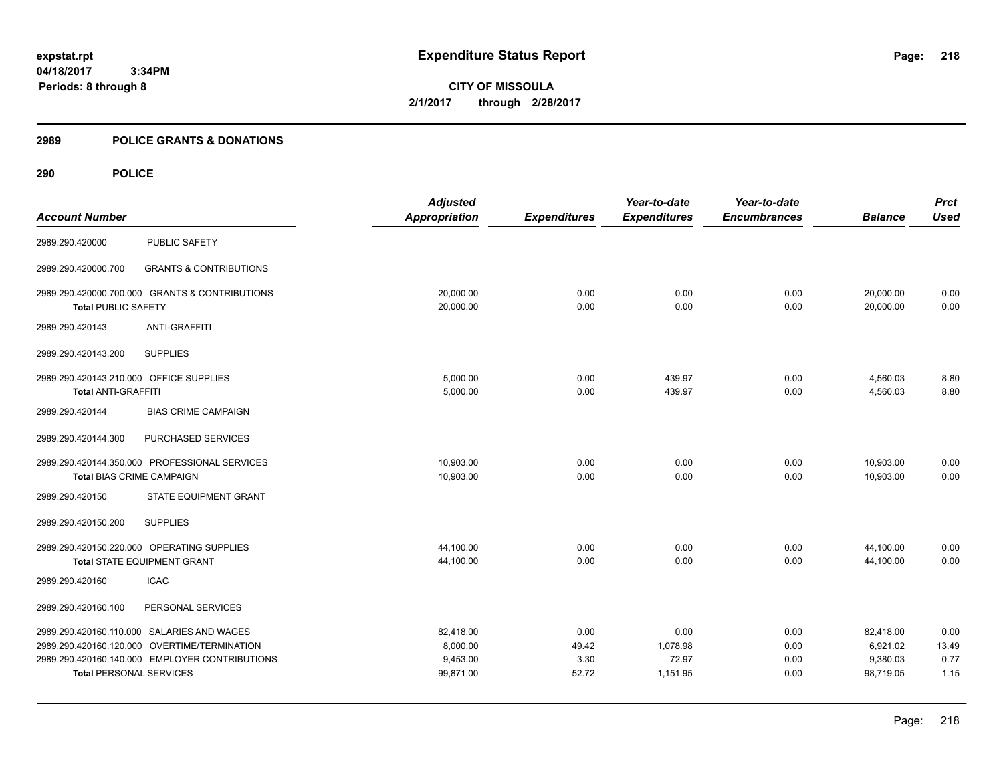**CITY OF MISSOULA 2/1/2017 through 2/28/2017**

# **2989 POLICE GRANTS & DONATIONS**

|                                         |                                                | <b>Adjusted</b>      |                     | Year-to-date        | Year-to-date        |                | <b>Prct</b> |
|-----------------------------------------|------------------------------------------------|----------------------|---------------------|---------------------|---------------------|----------------|-------------|
| <b>Account Number</b>                   |                                                | <b>Appropriation</b> | <b>Expenditures</b> | <b>Expenditures</b> | <b>Encumbrances</b> | <b>Balance</b> | <b>Used</b> |
| 2989.290.420000                         | <b>PUBLIC SAFETY</b>                           |                      |                     |                     |                     |                |             |
| 2989.290.420000.700                     | <b>GRANTS &amp; CONTRIBUTIONS</b>              |                      |                     |                     |                     |                |             |
|                                         | 2989.290.420000.700.000 GRANTS & CONTRIBUTIONS | 20,000.00            | 0.00                | 0.00                | 0.00                | 20,000.00      | 0.00        |
| <b>Total PUBLIC SAFETY</b>              |                                                | 20,000.00            | 0.00                | 0.00                | 0.00                | 20,000.00      | 0.00        |
| 2989.290.420143                         | <b>ANTI-GRAFFITI</b>                           |                      |                     |                     |                     |                |             |
| 2989.290.420143.200                     | <b>SUPPLIES</b>                                |                      |                     |                     |                     |                |             |
| 2989.290.420143.210.000 OFFICE SUPPLIES |                                                | 5,000.00             | 0.00                | 439.97              | 0.00                | 4,560.03       | 8.80        |
| <b>Total ANTI-GRAFFITI</b>              |                                                | 5,000.00             | 0.00                | 439.97              | 0.00                | 4,560.03       | 8.80        |
| 2989.290.420144                         | <b>BIAS CRIME CAMPAIGN</b>                     |                      |                     |                     |                     |                |             |
| 2989.290.420144.300                     | PURCHASED SERVICES                             |                      |                     |                     |                     |                |             |
|                                         | 2989.290.420144.350.000 PROFESSIONAL SERVICES  | 10,903.00            | 0.00                | 0.00                | 0.00                | 10,903.00      | 0.00        |
| <b>Total BIAS CRIME CAMPAIGN</b>        |                                                | 10,903.00            | 0.00                | 0.00                | 0.00                | 10,903.00      | 0.00        |
| 2989.290.420150                         | STATE EQUIPMENT GRANT                          |                      |                     |                     |                     |                |             |
| 2989.290.420150.200                     | <b>SUPPLIES</b>                                |                      |                     |                     |                     |                |             |
|                                         | 2989.290.420150.220.000 OPERATING SUPPLIES     | 44,100.00            | 0.00                | 0.00                | 0.00                | 44,100.00      | 0.00        |
|                                         | <b>Total STATE EQUIPMENT GRANT</b>             | 44,100.00            | 0.00                | 0.00                | 0.00                | 44,100.00      | 0.00        |
| 2989.290.420160                         | <b>ICAC</b>                                    |                      |                     |                     |                     |                |             |
| 2989.290.420160.100                     | PERSONAL SERVICES                              |                      |                     |                     |                     |                |             |
|                                         | 2989.290.420160.110.000 SALARIES AND WAGES     | 82,418.00            | 0.00                | 0.00                | 0.00                | 82,418.00      | 0.00        |
|                                         | 2989.290.420160.120.000 OVERTIME/TERMINATION   | 8,000.00             | 49.42               | 1,078.98            | 0.00                | 6,921.02       | 13.49       |
|                                         | 2989.290.420160.140.000 EMPLOYER CONTRIBUTIONS | 9,453.00             | 3.30                | 72.97               | 0.00                | 9,380.03       | 0.77        |
| <b>Total PERSONAL SERVICES</b>          |                                                | 99,871.00            | 52.72               | 1,151.95            | 0.00                | 98,719.05      | 1.15        |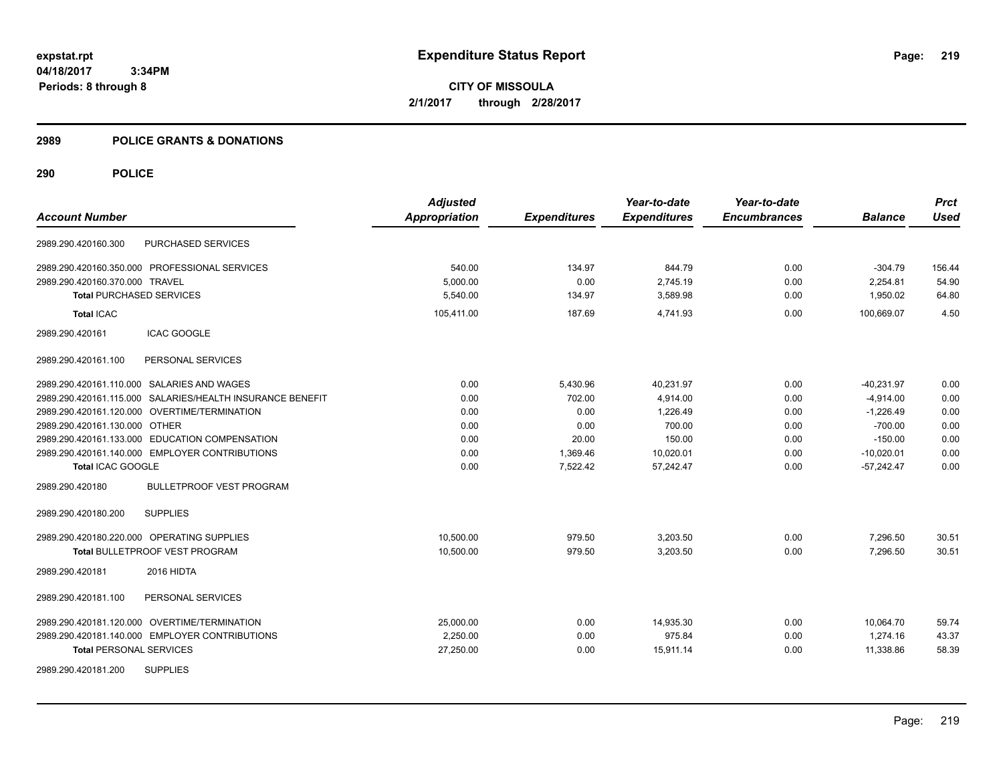**CITY OF MISSOULA 2/1/2017 through 2/28/2017**

# **2989 POLICE GRANTS & DONATIONS**

|                                 |                                                           | <b>Adjusted</b>      |                     | Year-to-date        | Year-to-date        |                | <b>Prct</b> |
|---------------------------------|-----------------------------------------------------------|----------------------|---------------------|---------------------|---------------------|----------------|-------------|
| <b>Account Number</b>           |                                                           | <b>Appropriation</b> | <b>Expenditures</b> | <b>Expenditures</b> | <b>Encumbrances</b> | <b>Balance</b> | <b>Used</b> |
| 2989.290.420160.300             | PURCHASED SERVICES                                        |                      |                     |                     |                     |                |             |
|                                 | 2989.290.420160.350.000 PROFESSIONAL SERVICES             | 540.00               | 134.97              | 844.79              | 0.00                | $-304.79$      | 156.44      |
| 2989.290.420160.370.000 TRAVEL  |                                                           | 5,000.00             | 0.00                | 2,745.19            | 0.00                | 2,254.81       | 54.90       |
| <b>Total PURCHASED SERVICES</b> |                                                           | 5,540.00             | 134.97              | 3,589.98            | 0.00                | 1,950.02       | 64.80       |
| <b>Total ICAC</b>               |                                                           | 105,411.00           | 187.69              | 4,741.93            | 0.00                | 100,669.07     | 4.50        |
| 2989.290.420161                 | <b>ICAC GOOGLE</b>                                        |                      |                     |                     |                     |                |             |
| 2989.290.420161.100             | PERSONAL SERVICES                                         |                      |                     |                     |                     |                |             |
|                                 | 2989.290.420161.110.000 SALARIES AND WAGES                | 0.00                 | 5,430.96            | 40,231.97           | 0.00                | $-40,231.97$   | 0.00        |
|                                 | 2989.290.420161.115.000 SALARIES/HEALTH INSURANCE BENEFIT | 0.00                 | 702.00              | 4,914.00            | 0.00                | $-4,914.00$    | 0.00        |
|                                 | 2989.290.420161.120.000 OVERTIME/TERMINATION              | 0.00                 | 0.00                | 1.226.49            | 0.00                | $-1,226.49$    | 0.00        |
| 2989.290.420161.130.000 OTHER   |                                                           | 0.00                 | 0.00                | 700.00              | 0.00                | $-700.00$      | 0.00        |
|                                 | 2989.290.420161.133.000 EDUCATION COMPENSATION            | 0.00                 | 20.00               | 150.00              | 0.00                | $-150.00$      | 0.00        |
|                                 | 2989.290.420161.140.000 EMPLOYER CONTRIBUTIONS            | 0.00                 | 1,369.46            | 10,020.01           | 0.00                | $-10,020.01$   | 0.00        |
| Total ICAC GOOGLE               |                                                           | 0.00                 | 7,522.42            | 57,242.47           | 0.00                | $-57,242.47$   | 0.00        |
| 2989.290.420180                 | <b>BULLETPROOF VEST PROGRAM</b>                           |                      |                     |                     |                     |                |             |
| 2989.290.420180.200             | <b>SUPPLIES</b>                                           |                      |                     |                     |                     |                |             |
|                                 | 2989.290.420180.220.000 OPERATING SUPPLIES                | 10,500.00            | 979.50              | 3,203.50            | 0.00                | 7,296.50       | 30.51       |
|                                 | <b>Total BULLETPROOF VEST PROGRAM</b>                     | 10,500.00            | 979.50              | 3,203.50            | 0.00                | 7,296.50       | 30.51       |
| 2989.290.420181                 | 2016 HIDTA                                                |                      |                     |                     |                     |                |             |
| 2989.290.420181.100             | PERSONAL SERVICES                                         |                      |                     |                     |                     |                |             |
|                                 | 2989.290.420181.120.000 OVERTIME/TERMINATION              | 25,000.00            | 0.00                | 14,935.30           | 0.00                | 10,064.70      | 59.74       |
|                                 | 2989.290.420181.140.000 EMPLOYER CONTRIBUTIONS            | 2,250.00             | 0.00                | 975.84              | 0.00                | 1,274.16       | 43.37       |
| <b>Total PERSONAL SERVICES</b>  |                                                           | 27,250.00            | 0.00                | 15,911.14           | 0.00                | 11,338.86      | 58.39       |
| 2989.290.420181.200             | <b>SUPPLIES</b>                                           |                      |                     |                     |                     |                |             |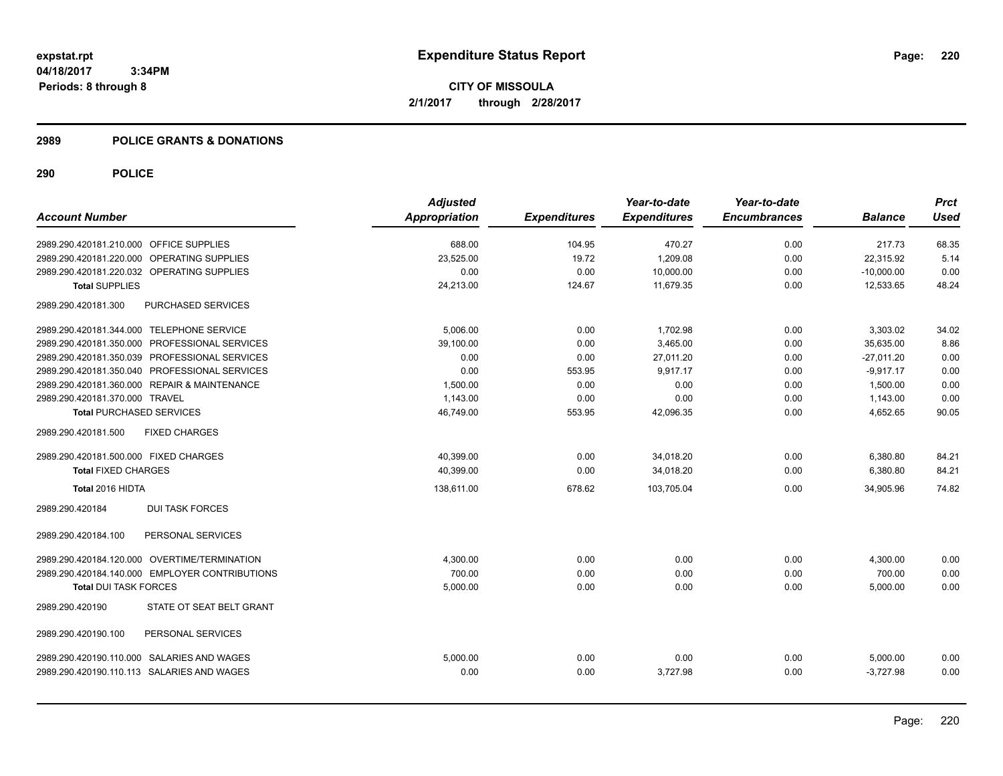**CITY OF MISSOULA 2/1/2017 through 2/28/2017**

## **2989 POLICE GRANTS & DONATIONS**

|                                                | <b>Adjusted</b>      |                     | Year-to-date        | Year-to-date        |                | <b>Prct</b> |
|------------------------------------------------|----------------------|---------------------|---------------------|---------------------|----------------|-------------|
| <b>Account Number</b>                          | <b>Appropriation</b> | <b>Expenditures</b> | <b>Expenditures</b> | <b>Encumbrances</b> | <b>Balance</b> | <b>Used</b> |
| 2989.290.420181.210.000 OFFICE SUPPLIES        | 688.00               | 104.95              | 470.27              | 0.00                | 217.73         | 68.35       |
| 2989.290.420181.220.000 OPERATING SUPPLIES     | 23.525.00            | 19.72               | 1,209.08            | 0.00                | 22.315.92      | 5.14        |
| 2989.290.420181.220.032 OPERATING SUPPLIES     | 0.00                 | 0.00                | 10,000.00           | 0.00                | $-10,000.00$   | 0.00        |
| <b>Total SUPPLIES</b>                          | 24,213.00            | 124.67              | 11,679.35           | 0.00                | 12,533.65      | 48.24       |
| PURCHASED SERVICES<br>2989.290.420181.300      |                      |                     |                     |                     |                |             |
| 2989.290.420181.344.000 TELEPHONE SERVICE      | 5.006.00             | 0.00                | 1,702.98            | 0.00                | 3,303.02       | 34.02       |
| 2989.290.420181.350.000 PROFESSIONAL SERVICES  | 39.100.00            | 0.00                | 3.465.00            | 0.00                | 35.635.00      | 8.86        |
| 2989.290.420181.350.039 PROFESSIONAL SERVICES  | 0.00                 | 0.00                | 27,011.20           | 0.00                | $-27,011.20$   | 0.00        |
| 2989.290.420181.350.040 PROFESSIONAL SERVICES  | 0.00                 | 553.95              | 9,917.17            | 0.00                | $-9.917.17$    | 0.00        |
| 2989.290.420181.360.000 REPAIR & MAINTENANCE   | 1,500.00             | 0.00                | 0.00                | 0.00                | 1,500.00       | 0.00        |
| 2989.290.420181.370.000 TRAVEL                 | 1,143.00             | 0.00                | 0.00                | 0.00                | 1,143.00       | 0.00        |
| <b>Total PURCHASED SERVICES</b>                | 46,749.00            | 553.95              | 42,096.35           | 0.00                | 4,652.65       | 90.05       |
| <b>FIXED CHARGES</b><br>2989.290.420181.500    |                      |                     |                     |                     |                |             |
| 2989.290.420181.500.000 FIXED CHARGES          | 40,399.00            | 0.00                | 34,018.20           | 0.00                | 6,380.80       | 84.21       |
| <b>Total FIXED CHARGES</b>                     | 40,399.00            | 0.00                | 34,018.20           | 0.00                | 6,380.80       | 84.21       |
| Total 2016 HIDTA                               | 138,611.00           | 678.62              | 103,705.04          | 0.00                | 34,905.96      | 74.82       |
| <b>DUI TASK FORCES</b><br>2989.290.420184      |                      |                     |                     |                     |                |             |
| 2989.290.420184.100<br>PERSONAL SERVICES       |                      |                     |                     |                     |                |             |
| 2989.290.420184.120.000 OVERTIME/TERMINATION   | 4,300.00             | 0.00                | 0.00                | 0.00                | 4,300.00       | 0.00        |
| 2989.290.420184.140.000 EMPLOYER CONTRIBUTIONS | 700.00               | 0.00                | 0.00                | 0.00                | 700.00         | 0.00        |
| <b>Total DUI TASK FORCES</b>                   | 5,000.00             | 0.00                | 0.00                | 0.00                | 5,000.00       | 0.00        |
| STATE OT SEAT BELT GRANT<br>2989.290.420190    |                      |                     |                     |                     |                |             |
| PERSONAL SERVICES<br>2989.290.420190.100       |                      |                     |                     |                     |                |             |
| 2989.290.420190.110.000 SALARIES AND WAGES     | 5,000.00             | 0.00                | 0.00                | 0.00                | 5,000.00       | 0.00        |
| 2989.290.420190.110.113 SALARIES AND WAGES     | 0.00                 | 0.00                | 3.727.98            | 0.00                | $-3.727.98$    | 0.00        |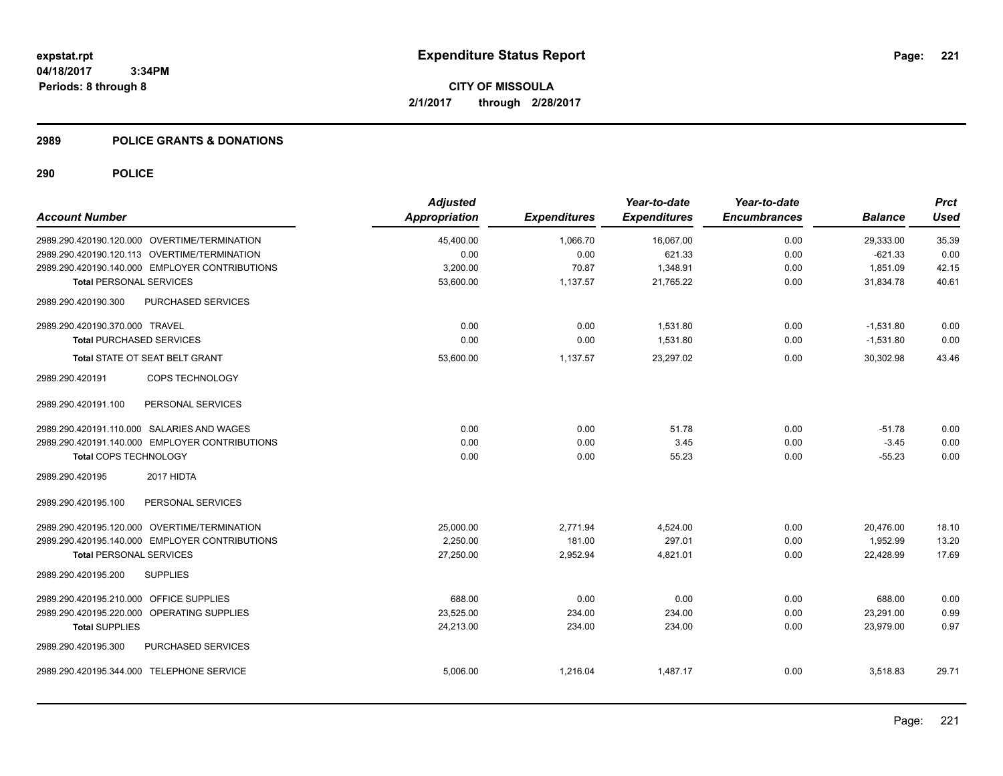## **2989 POLICE GRANTS & DONATIONS**

|                                              |                                                | <b>Adjusted</b>      |                     | Year-to-date        | Year-to-date        |                | <b>Prct</b> |
|----------------------------------------------|------------------------------------------------|----------------------|---------------------|---------------------|---------------------|----------------|-------------|
| <b>Account Number</b>                        |                                                | <b>Appropriation</b> | <b>Expenditures</b> | <b>Expenditures</b> | <b>Encumbrances</b> | <b>Balance</b> | <b>Used</b> |
| 2989.290.420190.120.000 OVERTIME/TERMINATION |                                                | 45,400.00            | 1,066.70            | 16,067.00           | 0.00                | 29,333.00      | 35.39       |
| 2989.290.420190.120.113 OVERTIME/TERMINATION |                                                | 0.00                 | 0.00                | 621.33              | 0.00                | $-621.33$      | 0.00        |
|                                              | 2989.290.420190.140.000 EMPLOYER CONTRIBUTIONS | 3,200.00             | 70.87               | 1,348.91            | 0.00                | 1,851.09       | 42.15       |
| <b>Total PERSONAL SERVICES</b>               |                                                | 53,600.00            | 1,137.57            | 21,765.22           | 0.00                | 31,834.78      | 40.61       |
| 2989.290.420190.300                          | PURCHASED SERVICES                             |                      |                     |                     |                     |                |             |
| 2989.290.420190.370.000 TRAVEL               |                                                | 0.00                 | 0.00                | 1.531.80            | 0.00                | $-1.531.80$    | 0.00        |
| <b>Total PURCHASED SERVICES</b>              |                                                | 0.00                 | 0.00                | 1,531.80            | 0.00                | $-1,531.80$    | 0.00        |
| Total STATE OT SEAT BELT GRANT               |                                                | 53,600.00            | 1,137.57            | 23,297.02           | 0.00                | 30,302.98      | 43.46       |
| 2989.290.420191                              | COPS TECHNOLOGY                                |                      |                     |                     |                     |                |             |
| 2989.290.420191.100                          | PERSONAL SERVICES                              |                      |                     |                     |                     |                |             |
| 2989.290.420191.110.000 SALARIES AND WAGES   |                                                | 0.00                 | 0.00                | 51.78               | 0.00                | $-51.78$       | 0.00        |
|                                              | 2989.290.420191.140.000 EMPLOYER CONTRIBUTIONS | 0.00                 | 0.00                | 3.45                | 0.00                | $-3.45$        | 0.00        |
| <b>Total COPS TECHNOLOGY</b>                 |                                                | 0.00                 | 0.00                | 55.23               | 0.00                | $-55.23$       | 0.00        |
| 2989.290.420195                              | 2017 HIDTA                                     |                      |                     |                     |                     |                |             |
| 2989.290.420195.100                          | PERSONAL SERVICES                              |                      |                     |                     |                     |                |             |
| 2989.290.420195.120.000 OVERTIME/TERMINATION |                                                | 25,000.00            | 2,771.94            | 4,524.00            | 0.00                | 20,476.00      | 18.10       |
|                                              | 2989.290.420195.140.000 EMPLOYER CONTRIBUTIONS | 2,250.00             | 181.00              | 297.01              | 0.00                | 1,952.99       | 13.20       |
| <b>Total PERSONAL SERVICES</b>               |                                                | 27.250.00            | 2,952.94            | 4,821.01            | 0.00                | 22.428.99      | 17.69       |
| 2989.290.420195.200                          | <b>SUPPLIES</b>                                |                      |                     |                     |                     |                |             |
| 2989.290.420195.210.000 OFFICE SUPPLIES      |                                                | 688.00               | 0.00                | 0.00                | 0.00                | 688.00         | 0.00        |
| 2989.290.420195.220.000 OPERATING SUPPLIES   |                                                | 23,525.00            | 234.00              | 234.00              | 0.00                | 23,291.00      | 0.99        |
| <b>Total SUPPLIES</b>                        |                                                | 24,213.00            | 234.00              | 234.00              | 0.00                | 23,979.00      | 0.97        |
| 2989.290.420195.300                          | PURCHASED SERVICES                             |                      |                     |                     |                     |                |             |
| 2989.290.420195.344.000 TELEPHONE SERVICE    |                                                | 5,006.00             | 1,216.04            | 1,487.17            | 0.00                | 3,518.83       | 29.71       |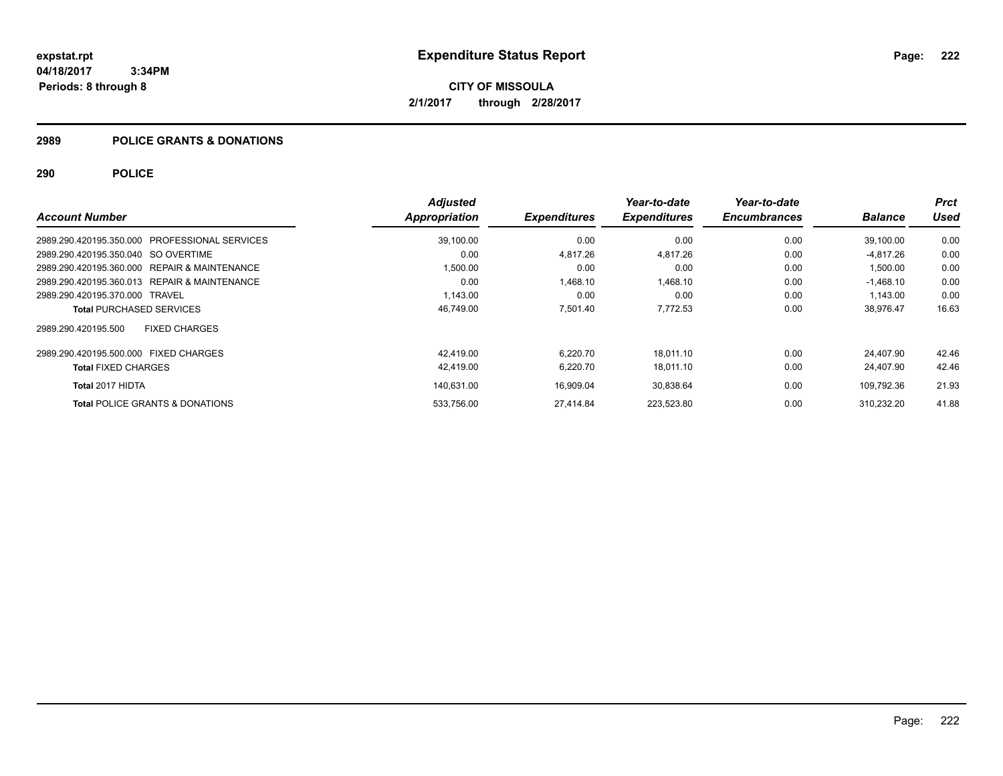# **2989 POLICE GRANTS & DONATIONS**

|                                               | <b>Adjusted</b> |                     | Year-to-date        | Year-to-date        |                | <b>Prct</b> |
|-----------------------------------------------|-----------------|---------------------|---------------------|---------------------|----------------|-------------|
| <b>Account Number</b>                         | Appropriation   | <b>Expenditures</b> | <b>Expenditures</b> | <b>Encumbrances</b> | <b>Balance</b> | Used        |
| 2989.290.420195.350.000 PROFESSIONAL SERVICES | 39,100.00       | 0.00                | 0.00                | 0.00                | 39,100.00      | 0.00        |
| 2989.290.420195.350.040 SO OVERTIME           | 0.00            | 4,817.26            | 4,817.26            | 0.00                | -4.817.26      | 0.00        |
| 2989.290.420195.360.000 REPAIR & MAINTENANCE  | 1,500.00        | 0.00                | 0.00                | 0.00                | 1,500.00       | 0.00        |
| 2989.290.420195.360.013 REPAIR & MAINTENANCE  | 0.00            | 1.468.10            | 1,468.10            | 0.00                | $-1,468.10$    | 0.00        |
| 2989.290.420195.370.000 TRAVEL                | 1.143.00        | 0.00                | 0.00                | 0.00                | 1.143.00       | 0.00        |
| <b>Total PURCHASED SERVICES</b>               | 46,749.00       | 7,501.40            | 7,772.53            | 0.00                | 38,976.47      | 16.63       |
| <b>FIXED CHARGES</b><br>2989.290.420195.500   |                 |                     |                     |                     |                |             |
| 2989.290.420195.500.000 FIXED CHARGES         | 42.419.00       | 6.220.70            | 18.011.10           | 0.00                | 24.407.90      | 42.46       |
| <b>Total FIXED CHARGES</b>                    | 42,419.00       | 6,220.70            | 18,011.10           | 0.00                | 24,407.90      | 42.46       |
| Total 2017 HIDTA                              | 140.631.00      | 16,909.04           | 30,838.64           | 0.00                | 109.792.36     | 21.93       |
| <b>Total POLICE GRANTS &amp; DONATIONS</b>    | 533.756.00      | 27.414.84           | 223.523.80          | 0.00                | 310.232.20     | 41.88       |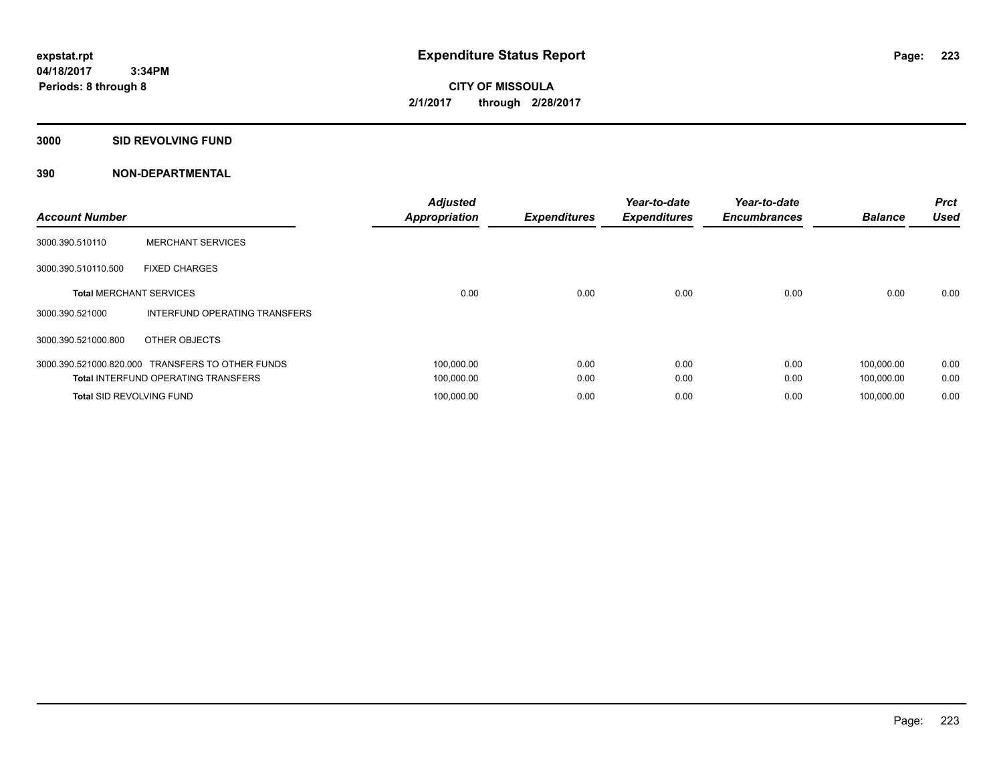**CITY OF MISSOULA 2/1/2017 through 2/28/2017**

**3000 SID REVOLVING FUND**

| <b>Account Number</b>           |                                                  | <b>Adjusted</b><br><b>Appropriation</b> | <b>Expenditures</b> | Year-to-date<br><b>Expenditures</b> | Year-to-date<br><b>Encumbrances</b> | <b>Balance</b> | <b>Prct</b><br><b>Used</b> |
|---------------------------------|--------------------------------------------------|-----------------------------------------|---------------------|-------------------------------------|-------------------------------------|----------------|----------------------------|
| 3000.390.510110                 | <b>MERCHANT SERVICES</b>                         |                                         |                     |                                     |                                     |                |                            |
| 3000.390.510110.500             | <b>FIXED CHARGES</b>                             |                                         |                     |                                     |                                     |                |                            |
| <b>Total MERCHANT SERVICES</b>  |                                                  | 0.00                                    | 0.00                | 0.00                                | 0.00                                | 0.00           | 0.00                       |
| 3000.390.521000                 | INTERFUND OPERATING TRANSFERS                    |                                         |                     |                                     |                                     |                |                            |
| 3000.390.521000.800             | OTHER OBJECTS                                    |                                         |                     |                                     |                                     |                |                            |
|                                 | 3000.390.521000.820.000 TRANSFERS TO OTHER FUNDS | 100,000.00                              | 0.00                | 0.00                                | 0.00                                | 100,000.00     | 0.00                       |
|                                 | <b>Total INTERFUND OPERATING TRANSFERS</b>       | 100,000.00                              | 0.00                | 0.00                                | 0.00                                | 100,000.00     | 0.00                       |
| <b>Total SID REVOLVING FUND</b> |                                                  | 100,000.00                              | 0.00                | 0.00                                | 0.00                                | 100.000.00     | 0.00                       |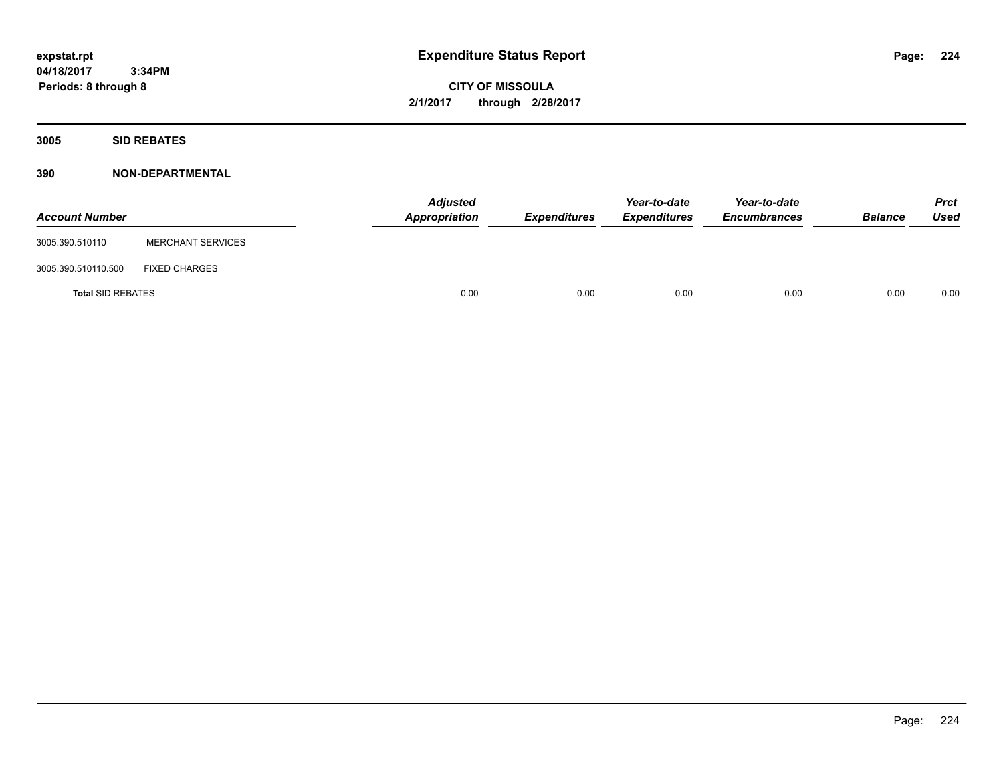**CITY OF MISSOULA 2/1/2017 through 2/28/2017**

**3005 SID REBATES**

| <b>Account Number</b>    |                          | <b>Adjusted</b><br>Appropriation | <b>Expenditures</b> | Year-to-date<br><i><b>Expenditures</b></i> | Year-to-date<br><b>Encumbrances</b> | <b>Balance</b> | <b>Prct</b><br>Used |
|--------------------------|--------------------------|----------------------------------|---------------------|--------------------------------------------|-------------------------------------|----------------|---------------------|
| 3005.390.510110          | <b>MERCHANT SERVICES</b> |                                  |                     |                                            |                                     |                |                     |
| 3005.390.510110.500      | <b>FIXED CHARGES</b>     |                                  |                     |                                            |                                     |                |                     |
| <b>Total SID REBATES</b> |                          | 0.00                             | 0.00                | 0.00                                       | 0.00                                | 0.00           | 0.00                |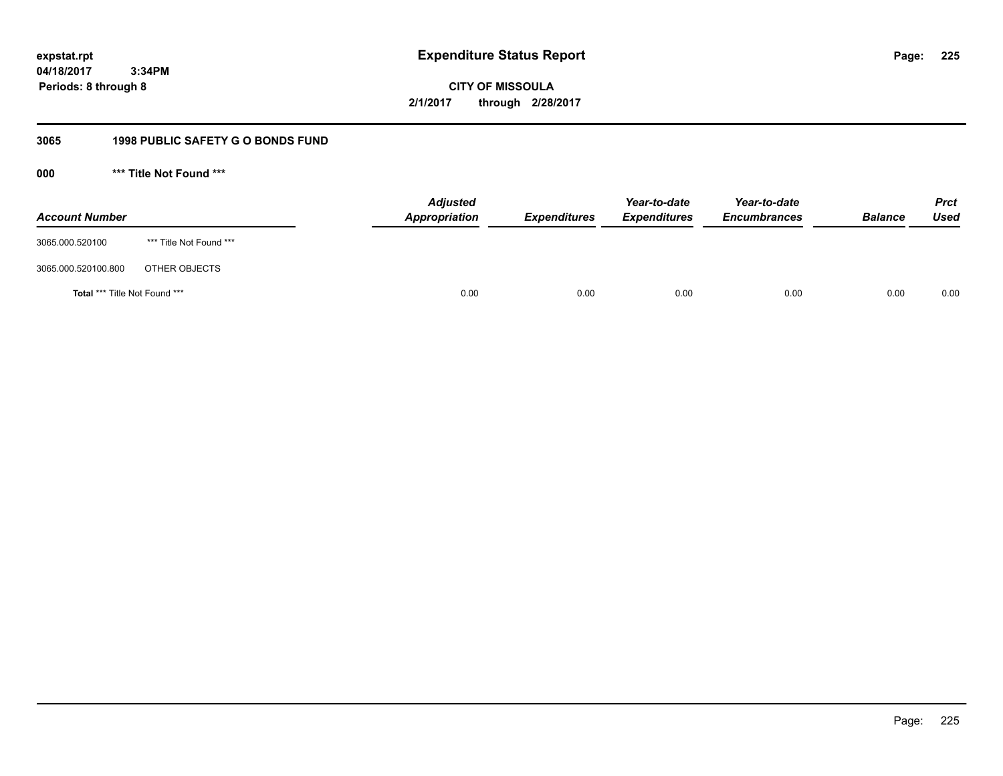**CITY OF MISSOULA 2/1/2017 through 2/28/2017**

# **3065 1998 PUBLIC SAFETY G O BONDS FUND**

**000 \*\*\* Title Not Found \*\*\***

| <b>Account Number</b>         |                         | <b>Adjusted</b><br>Appropriation | <b>Expenditures</b> | Year-to-date<br><b>Expenditures</b> | Year-to-date<br><b>Encumbrances</b> | <b>Balance</b> | <b>Prct</b><br>Used |
|-------------------------------|-------------------------|----------------------------------|---------------------|-------------------------------------|-------------------------------------|----------------|---------------------|
| 3065.000.520100               | *** Title Not Found *** |                                  |                     |                                     |                                     |                |                     |
| 3065.000.520100.800           | OTHER OBJECTS           |                                  |                     |                                     |                                     |                |                     |
| Total *** Title Not Found *** |                         | 0.00                             | 0.00                | 0.00                                | 0.00                                | 0.00           | 0.00                |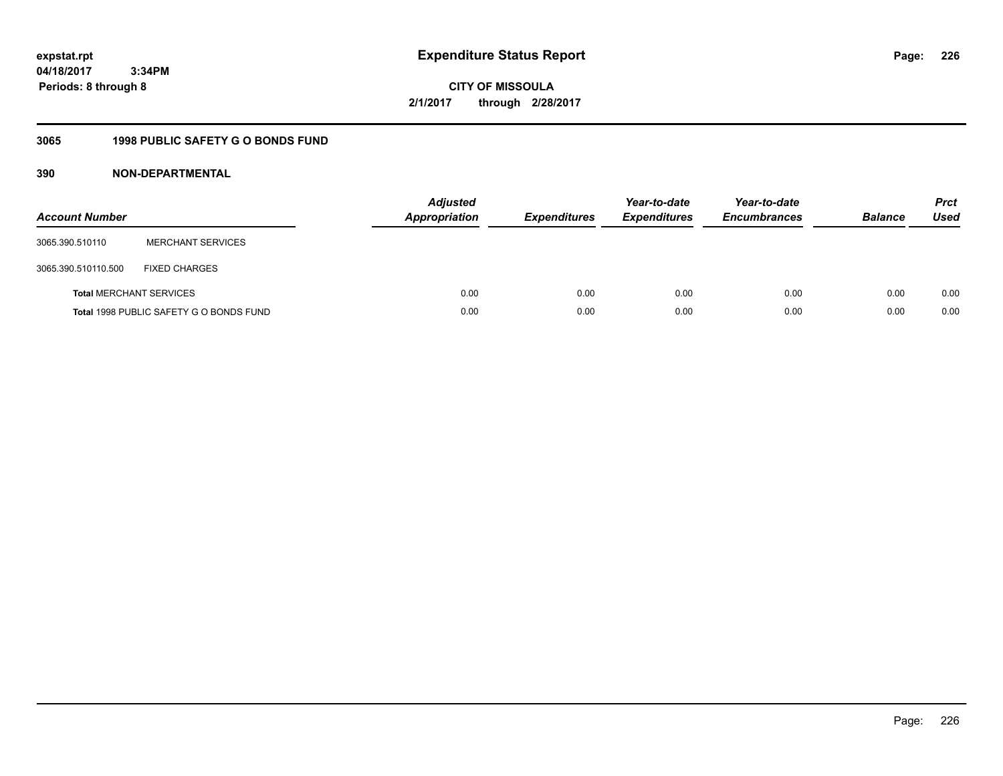**CITY OF MISSOULA 2/1/2017 through 2/28/2017**

# **3065 1998 PUBLIC SAFETY G O BONDS FUND**

| <b>Account Number</b>          |                                         | <b>Adjusted</b><br>Appropriation | <b>Expenditures</b> | Year-to-date<br><b>Expenditures</b> | Year-to-date<br><b>Encumbrances</b> | <b>Balance</b> | <b>Prct</b><br>Used |
|--------------------------------|-----------------------------------------|----------------------------------|---------------------|-------------------------------------|-------------------------------------|----------------|---------------------|
| 3065.390.510110                | <b>MERCHANT SERVICES</b>                |                                  |                     |                                     |                                     |                |                     |
| 3065.390.510110.500            | <b>FIXED CHARGES</b>                    |                                  |                     |                                     |                                     |                |                     |
| <b>Total MERCHANT SERVICES</b> |                                         | 0.00                             | 0.00                | 0.00                                | 0.00                                | 0.00           | 0.00                |
|                                | Total 1998 PUBLIC SAFETY G O BONDS FUND | 0.00                             | 0.00                | 0.00                                | 0.00                                | 0.00           | 0.00                |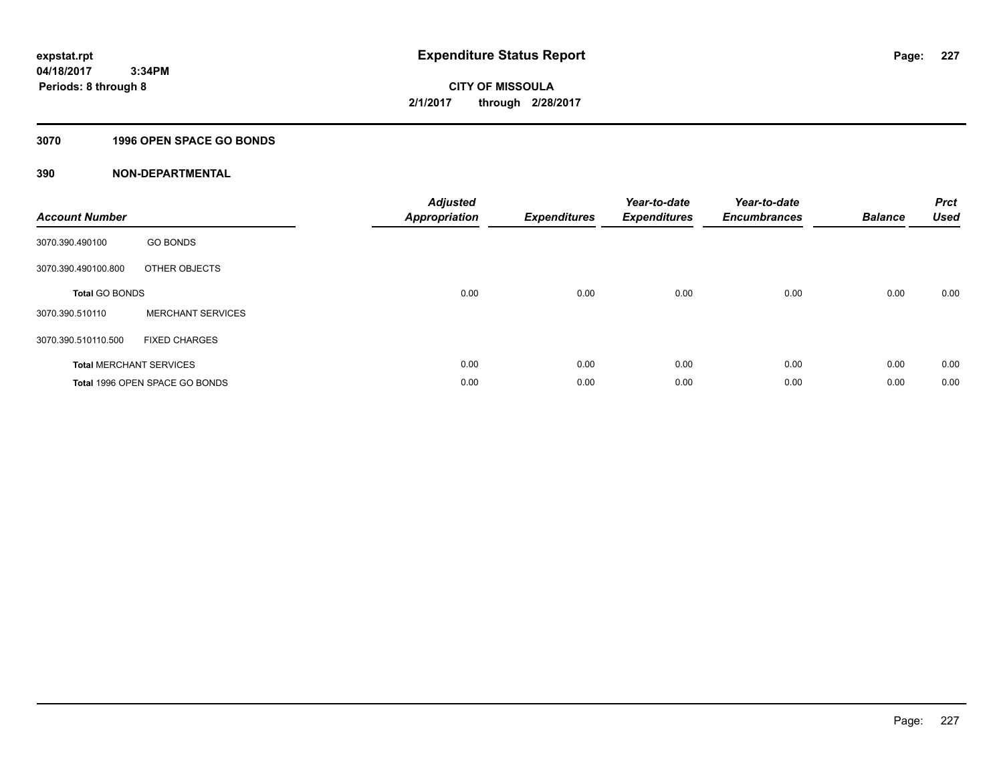# **3070 1996 OPEN SPACE GO BONDS**

| <b>Account Number</b> |                                | <b>Adjusted</b><br><b>Appropriation</b> | <b>Expenditures</b> | Year-to-date<br><b>Expenditures</b> | Year-to-date<br><b>Encumbrances</b> | <b>Balance</b> | <b>Prct</b><br><b>Used</b> |
|-----------------------|--------------------------------|-----------------------------------------|---------------------|-------------------------------------|-------------------------------------|----------------|----------------------------|
| 3070.390.490100       | <b>GO BONDS</b>                |                                         |                     |                                     |                                     |                |                            |
| 3070.390.490100.800   | OTHER OBJECTS                  |                                         |                     |                                     |                                     |                |                            |
| <b>Total GO BONDS</b> |                                | 0.00                                    | 0.00                | 0.00                                | 0.00                                | 0.00           | 0.00                       |
| 3070.390.510110       | <b>MERCHANT SERVICES</b>       |                                         |                     |                                     |                                     |                |                            |
| 3070.390.510110.500   | <b>FIXED CHARGES</b>           |                                         |                     |                                     |                                     |                |                            |
|                       | <b>Total MERCHANT SERVICES</b> | 0.00                                    | 0.00                | 0.00                                | 0.00                                | 0.00           | 0.00                       |
|                       | Total 1996 OPEN SPACE GO BONDS | 0.00                                    | 0.00                | 0.00                                | 0.00                                | 0.00           | 0.00                       |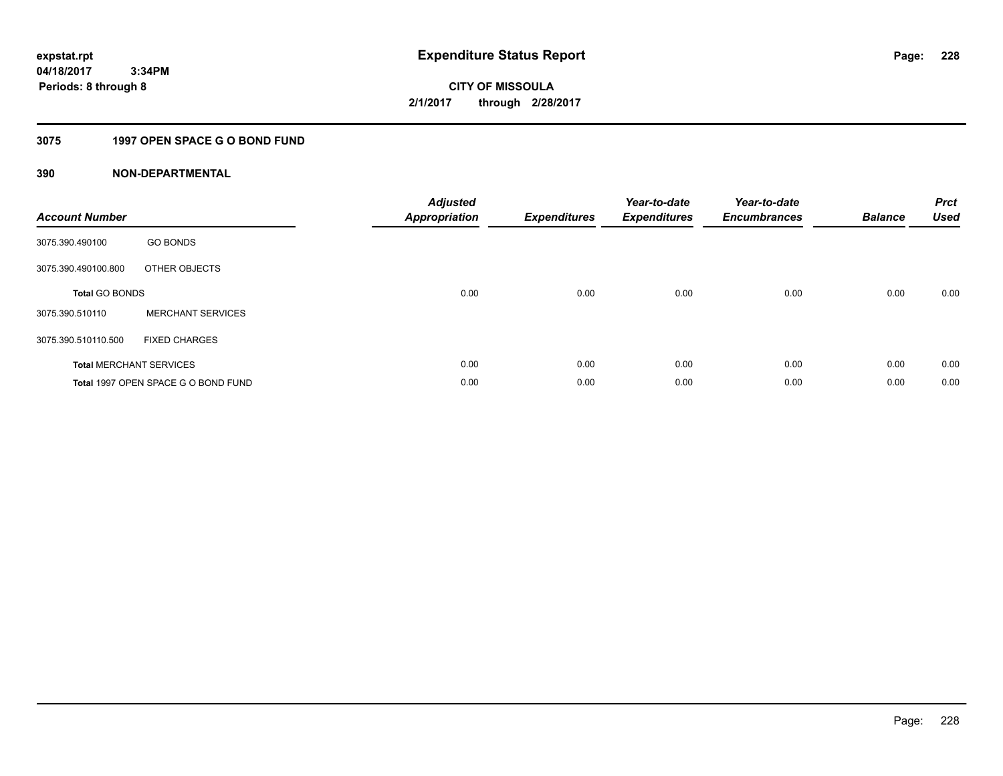# **3075 1997 OPEN SPACE G O BOND FUND**

| <b>Account Number</b> |                                     | <b>Adjusted</b><br><b>Appropriation</b> | <b>Expenditures</b> | Year-to-date<br><b>Expenditures</b> | Year-to-date<br><b>Encumbrances</b> | <b>Balance</b> | <b>Prct</b><br><b>Used</b> |
|-----------------------|-------------------------------------|-----------------------------------------|---------------------|-------------------------------------|-------------------------------------|----------------|----------------------------|
| 3075.390.490100       | <b>GO BONDS</b>                     |                                         |                     |                                     |                                     |                |                            |
| 3075.390.490100.800   | OTHER OBJECTS                       |                                         |                     |                                     |                                     |                |                            |
| <b>Total GO BONDS</b> |                                     | 0.00                                    | 0.00                | 0.00                                | 0.00                                | 0.00           | 0.00                       |
| 3075.390.510110       | <b>MERCHANT SERVICES</b>            |                                         |                     |                                     |                                     |                |                            |
| 3075.390.510110.500   | <b>FIXED CHARGES</b>                |                                         |                     |                                     |                                     |                |                            |
|                       | <b>Total MERCHANT SERVICES</b>      | 0.00                                    | 0.00                | 0.00                                | 0.00                                | 0.00           | 0.00                       |
|                       | Total 1997 OPEN SPACE G O BOND FUND | 0.00                                    | 0.00                | 0.00                                | 0.00                                | 0.00           | 0.00                       |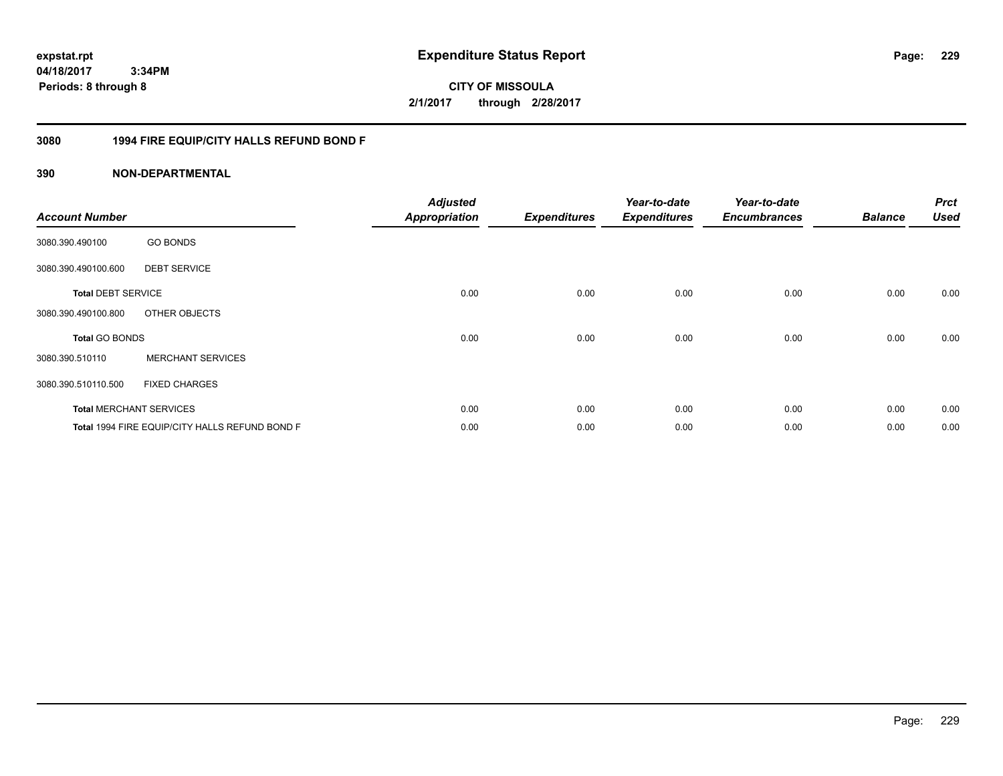**CITY OF MISSOULA 2/1/2017 through 2/28/2017**

# **3080 1994 FIRE EQUIP/CITY HALLS REFUND BOND F**

| <b>Account Number</b>     |                                                | <b>Adjusted</b><br><b>Appropriation</b> | <b>Expenditures</b> | Year-to-date<br><b>Expenditures</b> | Year-to-date<br><b>Encumbrances</b> | <b>Balance</b> | <b>Prct</b><br><b>Used</b> |
|---------------------------|------------------------------------------------|-----------------------------------------|---------------------|-------------------------------------|-------------------------------------|----------------|----------------------------|
| 3080.390.490100           | <b>GO BONDS</b>                                |                                         |                     |                                     |                                     |                |                            |
| 3080.390.490100.600       | <b>DEBT SERVICE</b>                            |                                         |                     |                                     |                                     |                |                            |
| <b>Total DEBT SERVICE</b> |                                                | 0.00                                    | 0.00                | 0.00                                | 0.00                                | 0.00           | 0.00                       |
| 3080.390.490100.800       | OTHER OBJECTS                                  |                                         |                     |                                     |                                     |                |                            |
| <b>Total GO BONDS</b>     |                                                | 0.00                                    | 0.00                | 0.00                                | 0.00                                | 0.00           | 0.00                       |
| 3080.390.510110           | <b>MERCHANT SERVICES</b>                       |                                         |                     |                                     |                                     |                |                            |
| 3080.390.510110.500       | <b>FIXED CHARGES</b>                           |                                         |                     |                                     |                                     |                |                            |
|                           | <b>Total MERCHANT SERVICES</b>                 | 0.00                                    | 0.00                | 0.00                                | 0.00                                | 0.00           | 0.00                       |
|                           | Total 1994 FIRE EQUIP/CITY HALLS REFUND BOND F | 0.00                                    | 0.00                | 0.00                                | 0.00                                | 0.00           | 0.00                       |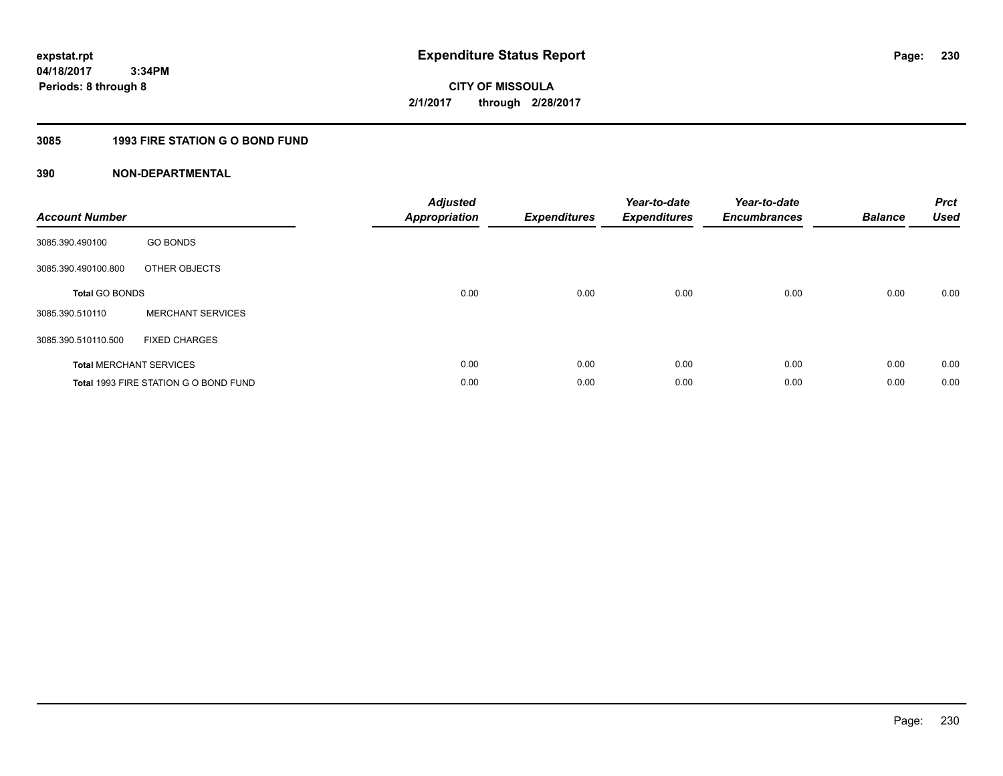# **3085 1993 FIRE STATION G O BOND FUND**

| <b>Account Number</b> |                                       | <b>Adjusted</b><br>Appropriation | <b>Expenditures</b> | Year-to-date<br><b>Expenditures</b> | Year-to-date<br><b>Encumbrances</b> | <b>Balance</b> | <b>Prct</b><br><b>Used</b> |
|-----------------------|---------------------------------------|----------------------------------|---------------------|-------------------------------------|-------------------------------------|----------------|----------------------------|
| 3085.390.490100       | <b>GO BONDS</b>                       |                                  |                     |                                     |                                     |                |                            |
| 3085.390.490100.800   | OTHER OBJECTS                         |                                  |                     |                                     |                                     |                |                            |
| <b>Total GO BONDS</b> |                                       | 0.00                             | 0.00                | 0.00                                | 0.00                                | 0.00           | 0.00                       |
| 3085.390.510110       | <b>MERCHANT SERVICES</b>              |                                  |                     |                                     |                                     |                |                            |
| 3085.390.510110.500   | <b>FIXED CHARGES</b>                  |                                  |                     |                                     |                                     |                |                            |
|                       | <b>Total MERCHANT SERVICES</b>        | 0.00                             | 0.00                | 0.00                                | 0.00                                | 0.00           | 0.00                       |
|                       | Total 1993 FIRE STATION G O BOND FUND | 0.00                             | 0.00                | 0.00                                | 0.00                                | 0.00           | 0.00                       |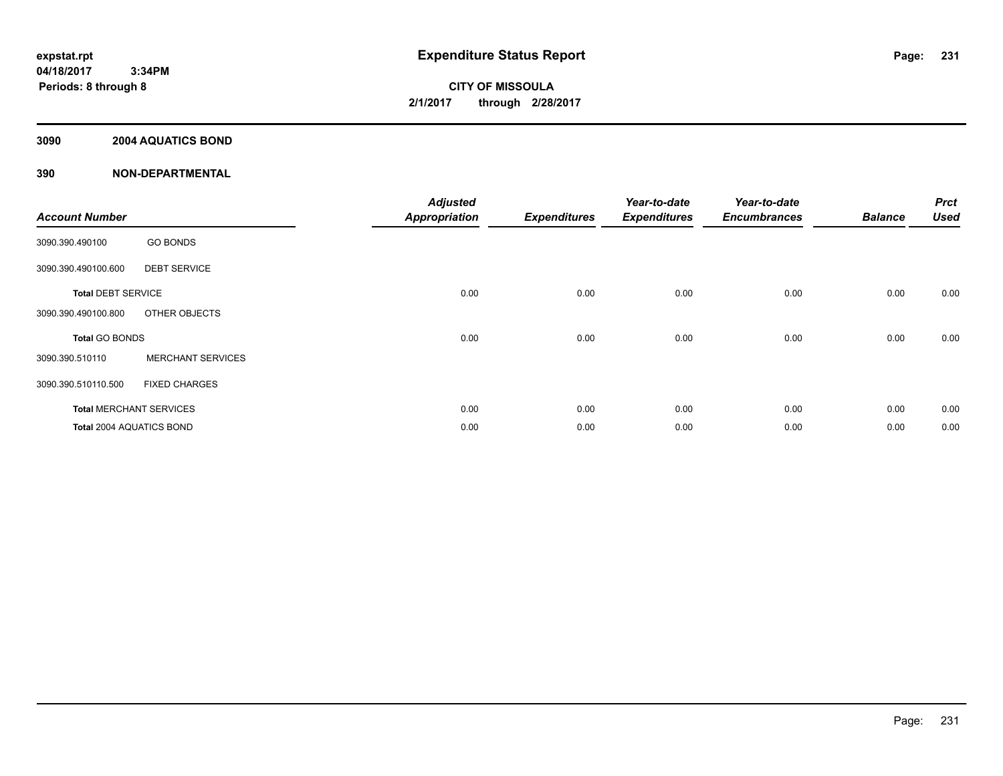# **3090 2004 AQUATICS BOND**

| <b>Account Number</b>     |                                | <b>Adjusted</b><br><b>Appropriation</b> | <b>Expenditures</b> | Year-to-date<br><b>Expenditures</b> | Year-to-date<br><b>Encumbrances</b> | <b>Balance</b> | <b>Prct</b><br><b>Used</b> |
|---------------------------|--------------------------------|-----------------------------------------|---------------------|-------------------------------------|-------------------------------------|----------------|----------------------------|
| 3090.390.490100           | <b>GO BONDS</b>                |                                         |                     |                                     |                                     |                |                            |
| 3090.390.490100.600       | <b>DEBT SERVICE</b>            |                                         |                     |                                     |                                     |                |                            |
| <b>Total DEBT SERVICE</b> |                                | 0.00                                    | 0.00                | 0.00                                | 0.00                                | 0.00           | 0.00                       |
| 3090.390.490100.800       | OTHER OBJECTS                  |                                         |                     |                                     |                                     |                |                            |
| Total GO BONDS            |                                | 0.00                                    | 0.00                | 0.00                                | 0.00                                | 0.00           | 0.00                       |
| 3090.390.510110           | <b>MERCHANT SERVICES</b>       |                                         |                     |                                     |                                     |                |                            |
| 3090.390.510110.500       | <b>FIXED CHARGES</b>           |                                         |                     |                                     |                                     |                |                            |
|                           | <b>Total MERCHANT SERVICES</b> | 0.00                                    | 0.00                | 0.00                                | 0.00                                | 0.00           | 0.00                       |
| Total 2004 AQUATICS BOND  |                                | 0.00                                    | 0.00                | 0.00                                | 0.00                                | 0.00           | 0.00                       |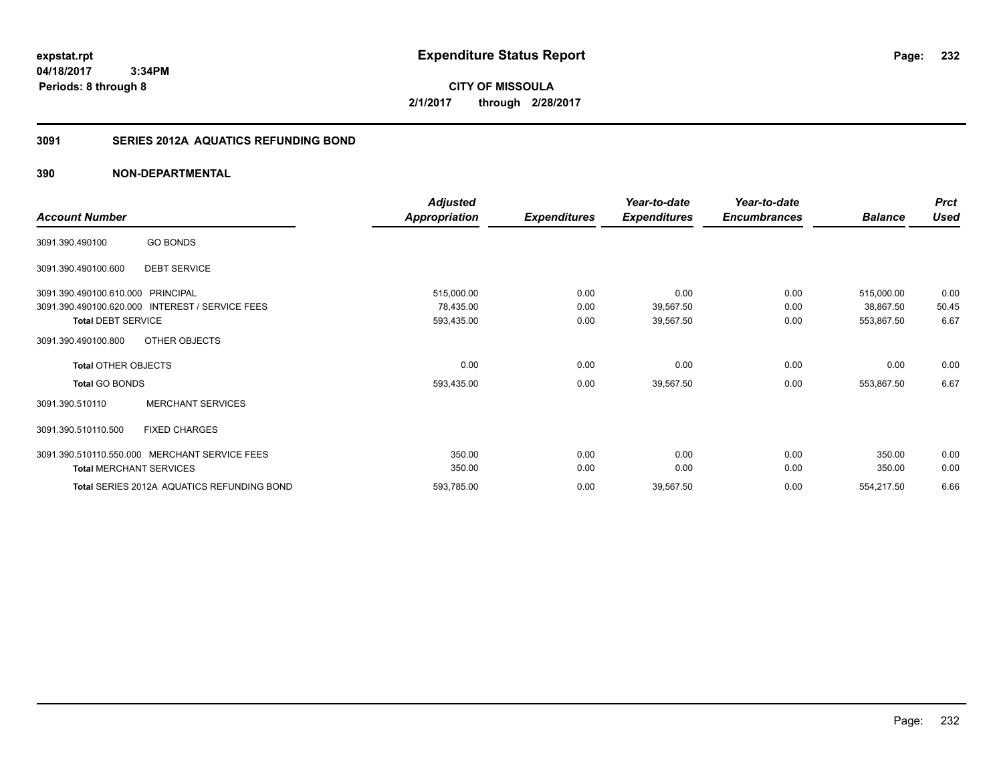**CITY OF MISSOULA 2/1/2017 through 2/28/2017**

# **3091 SERIES 2012A AQUATICS REFUNDING BOND**

| <b>Account Number</b>                                          |                                                 | <b>Adjusted</b><br><b>Appropriation</b> | <b>Expenditures</b>  | Year-to-date<br><b>Expenditures</b> | Year-to-date<br><b>Encumbrances</b> | <b>Balance</b>                        | <b>Prct</b><br>Used   |
|----------------------------------------------------------------|-------------------------------------------------|-----------------------------------------|----------------------|-------------------------------------|-------------------------------------|---------------------------------------|-----------------------|
| 3091.390.490100                                                | <b>GO BONDS</b>                                 |                                         |                      |                                     |                                     |                                       |                       |
| 3091.390.490100.600                                            | <b>DEBT SERVICE</b>                             |                                         |                      |                                     |                                     |                                       |                       |
| 3091.390.490100.610.000 PRINCIPAL<br><b>Total DEBT SERVICE</b> | 3091.390.490100.620.000 INTEREST / SERVICE FEES | 515,000.00<br>78,435.00<br>593,435.00   | 0.00<br>0.00<br>0.00 | 0.00<br>39,567.50<br>39,567.50      | 0.00<br>0.00<br>0.00                | 515,000.00<br>38,867.50<br>553,867.50 | 0.00<br>50.45<br>6.67 |
| 3091.390.490100.800                                            | OTHER OBJECTS                                   |                                         |                      |                                     |                                     |                                       |                       |
| <b>Total OTHER OBJECTS</b>                                     |                                                 | 0.00                                    | 0.00                 | 0.00                                | 0.00                                | 0.00                                  | 0.00                  |
| <b>Total GO BONDS</b>                                          |                                                 | 593,435.00                              | 0.00                 | 39,567.50                           | 0.00                                | 553,867.50                            | 6.67                  |
| 3091.390.510110                                                | <b>MERCHANT SERVICES</b>                        |                                         |                      |                                     |                                     |                                       |                       |
| 3091.390.510110.500                                            | <b>FIXED CHARGES</b>                            |                                         |                      |                                     |                                     |                                       |                       |
| <b>Total MERCHANT SERVICES</b>                                 | 3091.390.510110.550.000 MERCHANT SERVICE FEES   | 350.00<br>350.00                        | 0.00<br>0.00         | 0.00<br>0.00                        | 0.00<br>0.00                        | 350.00<br>350.00                      | 0.00<br>0.00          |
|                                                                | Total SERIES 2012A AQUATICS REFUNDING BOND      | 593,785.00                              | 0.00                 | 39,567.50                           | 0.00                                | 554,217.50                            | 6.66                  |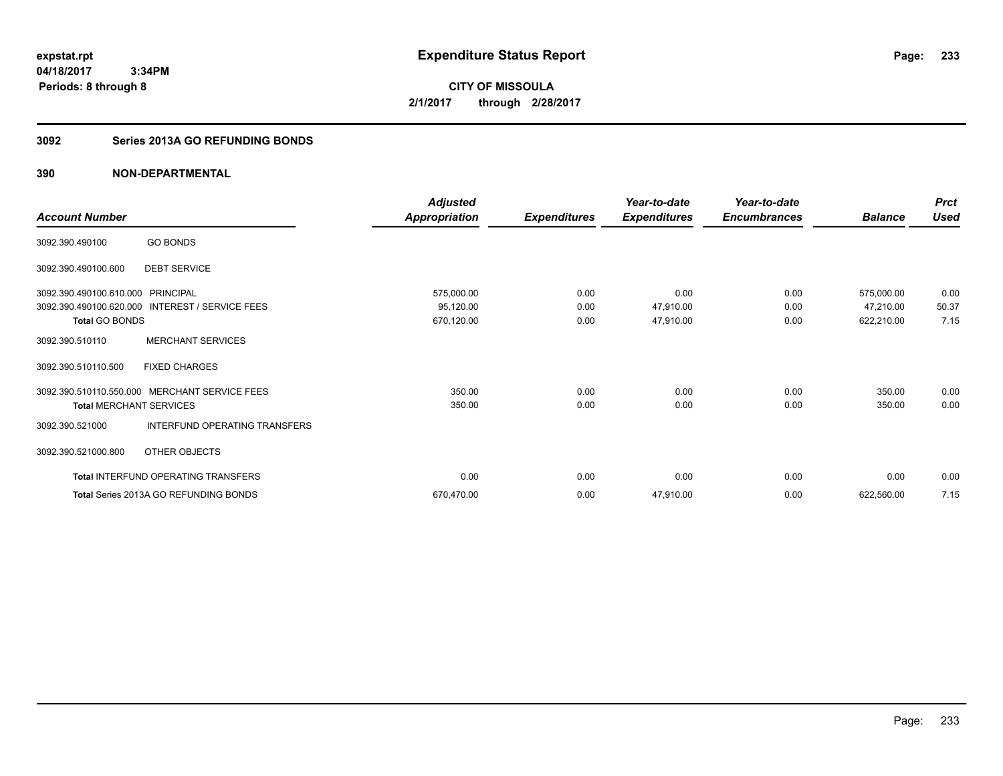**CITY OF MISSOULA 2/1/2017 through 2/28/2017**

# **3092 Series 2013A GO REFUNDING BONDS**

|                                   |                                                 | <b>Adjusted</b>      |                     | Year-to-date        | Year-to-date        |                | <b>Prct</b> |
|-----------------------------------|-------------------------------------------------|----------------------|---------------------|---------------------|---------------------|----------------|-------------|
| <b>Account Number</b>             |                                                 | <b>Appropriation</b> | <b>Expenditures</b> | <b>Expenditures</b> | <b>Encumbrances</b> | <b>Balance</b> | <b>Used</b> |
| 3092.390.490100                   | <b>GO BONDS</b>                                 |                      |                     |                     |                     |                |             |
| 3092.390.490100.600               | <b>DEBT SERVICE</b>                             |                      |                     |                     |                     |                |             |
| 3092.390.490100.610.000 PRINCIPAL |                                                 | 575,000.00           | 0.00                | 0.00                | 0.00                | 575,000.00     | 0.00        |
|                                   | 3092.390.490100.620.000 INTEREST / SERVICE FEES | 95,120.00            | 0.00                | 47,910.00           | 0.00                | 47,210.00      | 50.37       |
| <b>Total GO BONDS</b>             |                                                 | 670,120.00           | 0.00                | 47,910.00           | 0.00                | 622,210.00     | 7.15        |
| 3092.390.510110                   | <b>MERCHANT SERVICES</b>                        |                      |                     |                     |                     |                |             |
| 3092.390.510110.500               | <b>FIXED CHARGES</b>                            |                      |                     |                     |                     |                |             |
|                                   | 3092.390.510110.550.000 MERCHANT SERVICE FEES   | 350.00               | 0.00                | 0.00                | 0.00                | 350.00         | 0.00        |
| <b>Total MERCHANT SERVICES</b>    |                                                 | 350.00               | 0.00                | 0.00                | 0.00                | 350.00         | 0.00        |
| 3092.390.521000                   | INTERFUND OPERATING TRANSFERS                   |                      |                     |                     |                     |                |             |
| 3092.390.521000.800               | OTHER OBJECTS                                   |                      |                     |                     |                     |                |             |
|                                   | <b>Total INTERFUND OPERATING TRANSFERS</b>      | 0.00                 | 0.00                | 0.00                | 0.00                | 0.00           | 0.00        |
|                                   | Total Series 2013A GO REFUNDING BONDS           | 670,470.00           | 0.00                | 47,910.00           | 0.00                | 622,560.00     | 7.15        |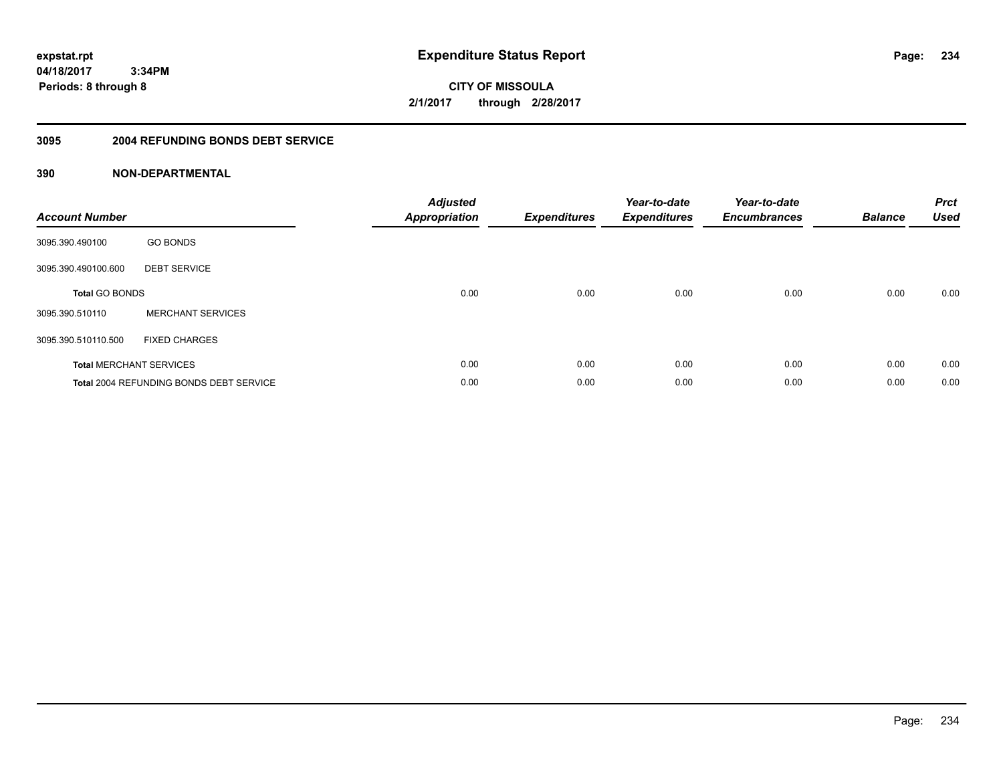**234**

**04/18/2017 3:34PM Periods: 8 through 8**

**CITY OF MISSOULA 2/1/2017 through 2/28/2017**

# **3095 2004 REFUNDING BONDS DEBT SERVICE**

| <b>Account Number</b> |                                                | <b>Adjusted</b><br>Appropriation | <b>Expenditures</b> | Year-to-date<br><b>Expenditures</b> | Year-to-date<br><b>Encumbrances</b> | <b>Balance</b> | <b>Prct</b><br><b>Used</b> |
|-----------------------|------------------------------------------------|----------------------------------|---------------------|-------------------------------------|-------------------------------------|----------------|----------------------------|
| 3095.390.490100       | <b>GO BONDS</b>                                |                                  |                     |                                     |                                     |                |                            |
| 3095.390.490100.600   | <b>DEBT SERVICE</b>                            |                                  |                     |                                     |                                     |                |                            |
| <b>Total GO BONDS</b> |                                                | 0.00                             | 0.00                | 0.00                                | 0.00                                | 0.00           | 0.00                       |
| 3095.390.510110       | <b>MERCHANT SERVICES</b>                       |                                  |                     |                                     |                                     |                |                            |
| 3095.390.510110.500   | <b>FIXED CHARGES</b>                           |                                  |                     |                                     |                                     |                |                            |
|                       | <b>Total MERCHANT SERVICES</b>                 | 0.00                             | 0.00                | 0.00                                | 0.00                                | 0.00           | 0.00                       |
|                       | <b>Total 2004 REFUNDING BONDS DEBT SERVICE</b> | 0.00                             | 0.00                | 0.00                                | 0.00                                | 0.00           | 0.00                       |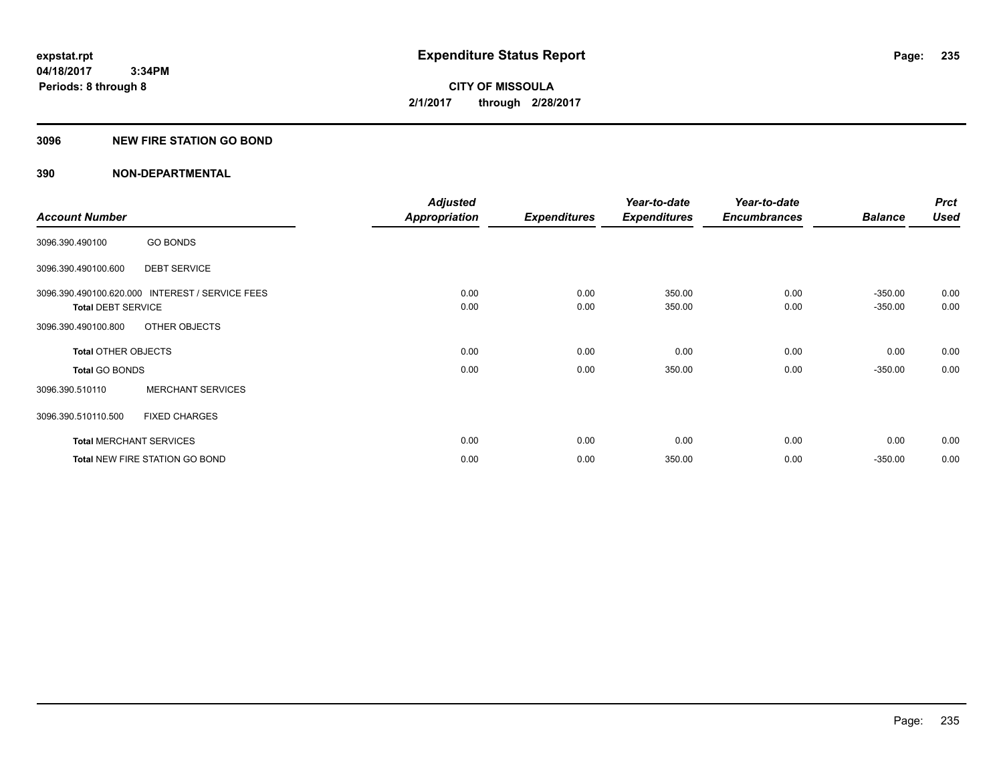# **3096 NEW FIRE STATION GO BOND**

|                                             |                                | <b>Adjusted</b>      |                     | Year-to-date        | Year-to-date        |                | <b>Prct</b> |
|---------------------------------------------|--------------------------------|----------------------|---------------------|---------------------|---------------------|----------------|-------------|
| <b>Account Number</b>                       |                                | <b>Appropriation</b> | <b>Expenditures</b> | <b>Expenditures</b> | <b>Encumbrances</b> | <b>Balance</b> | <b>Used</b> |
| <b>GO BONDS</b><br>3096.390.490100          |                                |                      |                     |                     |                     |                |             |
| <b>DEBT SERVICE</b><br>3096.390.490100.600  |                                |                      |                     |                     |                     |                |             |
| 3096.390.490100.620.000                     | <b>INTEREST / SERVICE FEES</b> | 0.00                 | 0.00                | 350.00              | 0.00                | $-350.00$      | 0.00        |
| <b>Total DEBT SERVICE</b>                   |                                | 0.00                 | 0.00                | 350.00              | 0.00                | $-350.00$      | 0.00        |
| OTHER OBJECTS<br>3096.390.490100.800        |                                |                      |                     |                     |                     |                |             |
| <b>Total OTHER OBJECTS</b>                  |                                | 0.00                 | 0.00                | 0.00                | 0.00                | 0.00           | 0.00        |
| <b>Total GO BONDS</b>                       |                                | 0.00                 | 0.00                | 350.00              | 0.00                | $-350.00$      | 0.00        |
| <b>MERCHANT SERVICES</b><br>3096.390.510110 |                                |                      |                     |                     |                     |                |             |
| 3096.390.510110.500<br><b>FIXED CHARGES</b> |                                |                      |                     |                     |                     |                |             |
| <b>Total MERCHANT SERVICES</b>              |                                | 0.00                 | 0.00                | 0.00                | 0.00                | 0.00           | 0.00        |
| <b>Total NEW FIRE STATION GO BOND</b>       |                                | 0.00                 | 0.00                | 350.00              | 0.00                | $-350.00$      | 0.00        |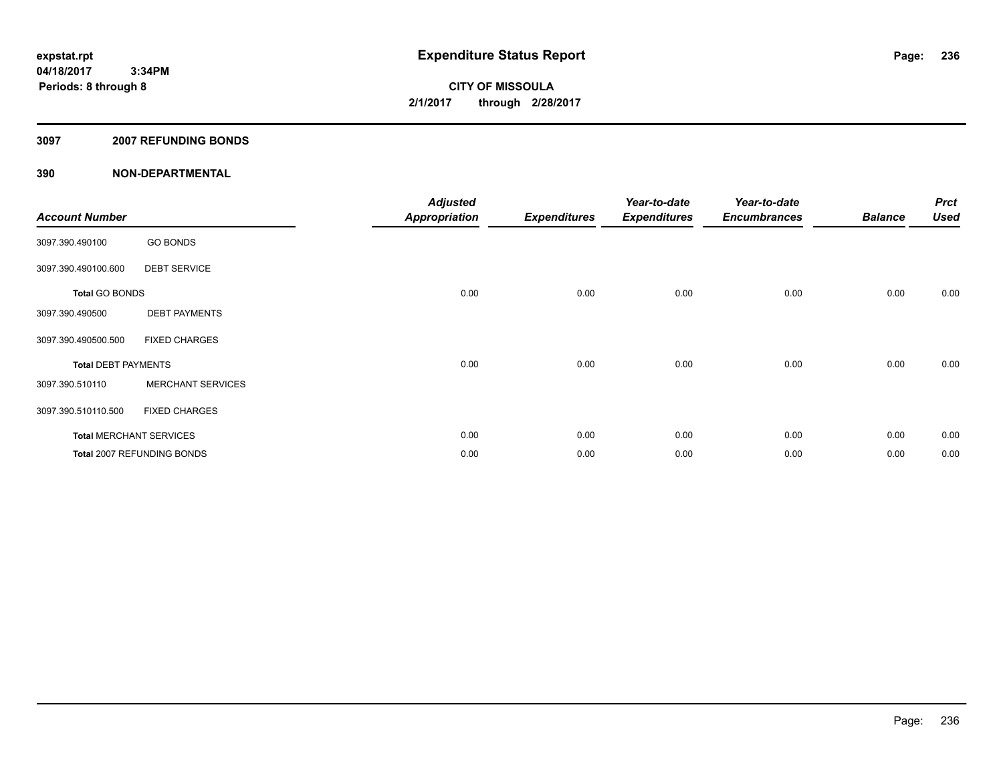### **3097 2007 REFUNDING BONDS**

| <b>Account Number</b>      |                                | <b>Adjusted</b><br><b>Appropriation</b> | <b>Expenditures</b> | Year-to-date<br><b>Expenditures</b> | Year-to-date<br><b>Encumbrances</b> | <b>Balance</b> | <b>Prct</b><br><b>Used</b> |
|----------------------------|--------------------------------|-----------------------------------------|---------------------|-------------------------------------|-------------------------------------|----------------|----------------------------|
| 3097.390.490100            | <b>GO BONDS</b>                |                                         |                     |                                     |                                     |                |                            |
| 3097.390.490100.600        | <b>DEBT SERVICE</b>            |                                         |                     |                                     |                                     |                |                            |
| <b>Total GO BONDS</b>      |                                | 0.00                                    | 0.00                | 0.00                                | 0.00                                | 0.00           | 0.00                       |
| 3097.390.490500            | <b>DEBT PAYMENTS</b>           |                                         |                     |                                     |                                     |                |                            |
| 3097.390.490500.500        | <b>FIXED CHARGES</b>           |                                         |                     |                                     |                                     |                |                            |
| <b>Total DEBT PAYMENTS</b> |                                | 0.00                                    | 0.00                | 0.00                                | 0.00                                | 0.00           | 0.00                       |
| 3097.390.510110            | <b>MERCHANT SERVICES</b>       |                                         |                     |                                     |                                     |                |                            |
| 3097.390.510110.500        | <b>FIXED CHARGES</b>           |                                         |                     |                                     |                                     |                |                            |
|                            | <b>Total MERCHANT SERVICES</b> | 0.00                                    | 0.00                | 0.00                                | 0.00                                | 0.00           | 0.00                       |
|                            | Total 2007 REFUNDING BONDS     | 0.00                                    | 0.00                | 0.00                                | 0.00                                | 0.00           | 0.00                       |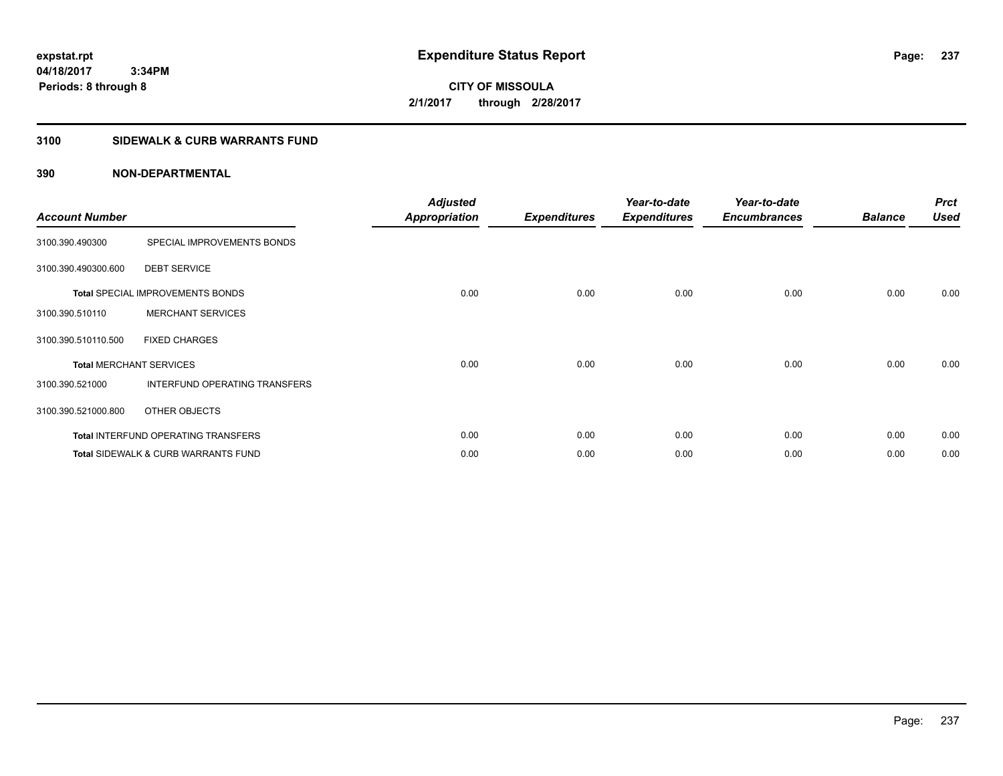**CITY OF MISSOULA 2/1/2017 through 2/28/2017**

# **3100 SIDEWALK & CURB WARRANTS FUND**

| <b>Account Number</b>          |                                                | <b>Adjusted</b><br><b>Appropriation</b> | <b>Expenditures</b> | Year-to-date<br><b>Expenditures</b> | Year-to-date<br><b>Encumbrances</b> | <b>Balance</b> | <b>Prct</b><br><b>Used</b> |
|--------------------------------|------------------------------------------------|-----------------------------------------|---------------------|-------------------------------------|-------------------------------------|----------------|----------------------------|
| 3100.390.490300                | SPECIAL IMPROVEMENTS BONDS                     |                                         |                     |                                     |                                     |                |                            |
| 3100.390.490300.600            | <b>DEBT SERVICE</b>                            |                                         |                     |                                     |                                     |                |                            |
|                                | <b>Total SPECIAL IMPROVEMENTS BONDS</b>        | 0.00                                    | 0.00                | 0.00                                | 0.00                                | 0.00           | 0.00                       |
| 3100.390.510110                | <b>MERCHANT SERVICES</b>                       |                                         |                     |                                     |                                     |                |                            |
| 3100.390.510110.500            | <b>FIXED CHARGES</b>                           |                                         |                     |                                     |                                     |                |                            |
| <b>Total MERCHANT SERVICES</b> |                                                | 0.00                                    | 0.00                | 0.00                                | 0.00                                | 0.00           | 0.00                       |
| 3100.390.521000                | INTERFUND OPERATING TRANSFERS                  |                                         |                     |                                     |                                     |                |                            |
| 3100.390.521000.800            | OTHER OBJECTS                                  |                                         |                     |                                     |                                     |                |                            |
|                                | <b>Total INTERFUND OPERATING TRANSFERS</b>     | 0.00                                    | 0.00                | 0.00                                | 0.00                                | 0.00           | 0.00                       |
|                                | <b>Total SIDEWALK &amp; CURB WARRANTS FUND</b> | 0.00                                    | 0.00                | 0.00                                | 0.00                                | 0.00           | 0.00                       |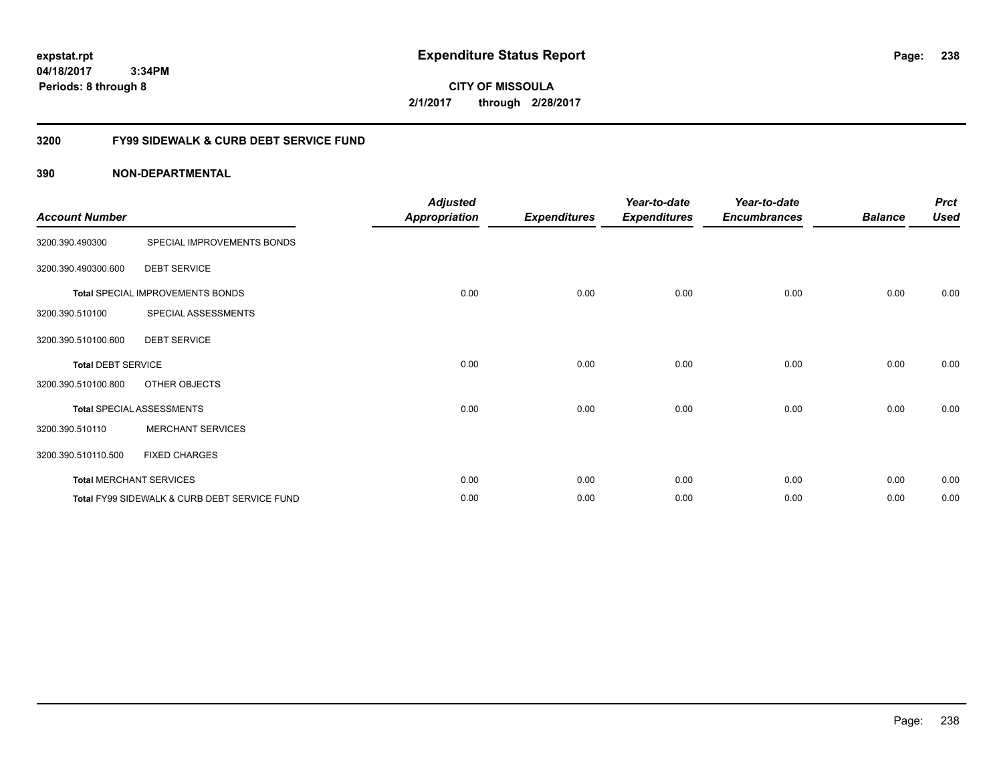**CITY OF MISSOULA 2/1/2017 through 2/28/2017**

# **3200 FY99 SIDEWALK & CURB DEBT SERVICE FUND**

| <b>Account Number</b>     |                                              | <b>Adjusted</b><br><b>Appropriation</b> | <b>Expenditures</b> | Year-to-date<br><b>Expenditures</b> | Year-to-date<br><b>Encumbrances</b> | <b>Balance</b> | <b>Prct</b><br><b>Used</b> |
|---------------------------|----------------------------------------------|-----------------------------------------|---------------------|-------------------------------------|-------------------------------------|----------------|----------------------------|
| 3200.390.490300           | SPECIAL IMPROVEMENTS BONDS                   |                                         |                     |                                     |                                     |                |                            |
| 3200.390.490300.600       | <b>DEBT SERVICE</b>                          |                                         |                     |                                     |                                     |                |                            |
|                           | Total SPECIAL IMPROVEMENTS BONDS             | 0.00                                    | 0.00                | 0.00                                | 0.00                                | 0.00           | 0.00                       |
| 3200.390.510100           | SPECIAL ASSESSMENTS                          |                                         |                     |                                     |                                     |                |                            |
| 3200.390.510100.600       | <b>DEBT SERVICE</b>                          |                                         |                     |                                     |                                     |                |                            |
| <b>Total DEBT SERVICE</b> |                                              | 0.00                                    | 0.00                | 0.00                                | 0.00                                | 0.00           | 0.00                       |
| 3200.390.510100.800       | OTHER OBJECTS                                |                                         |                     |                                     |                                     |                |                            |
|                           | <b>Total SPECIAL ASSESSMENTS</b>             | 0.00                                    | 0.00                | 0.00                                | 0.00                                | 0.00           | 0.00                       |
| 3200.390.510110           | <b>MERCHANT SERVICES</b>                     |                                         |                     |                                     |                                     |                |                            |
| 3200.390.510110.500       | <b>FIXED CHARGES</b>                         |                                         |                     |                                     |                                     |                |                            |
|                           | <b>Total MERCHANT SERVICES</b>               | 0.00                                    | 0.00                | 0.00                                | 0.00                                | 0.00           | 0.00                       |
|                           | Total FY99 SIDEWALK & CURB DEBT SERVICE FUND | 0.00                                    | 0.00                | 0.00                                | 0.00                                | 0.00           | 0.00                       |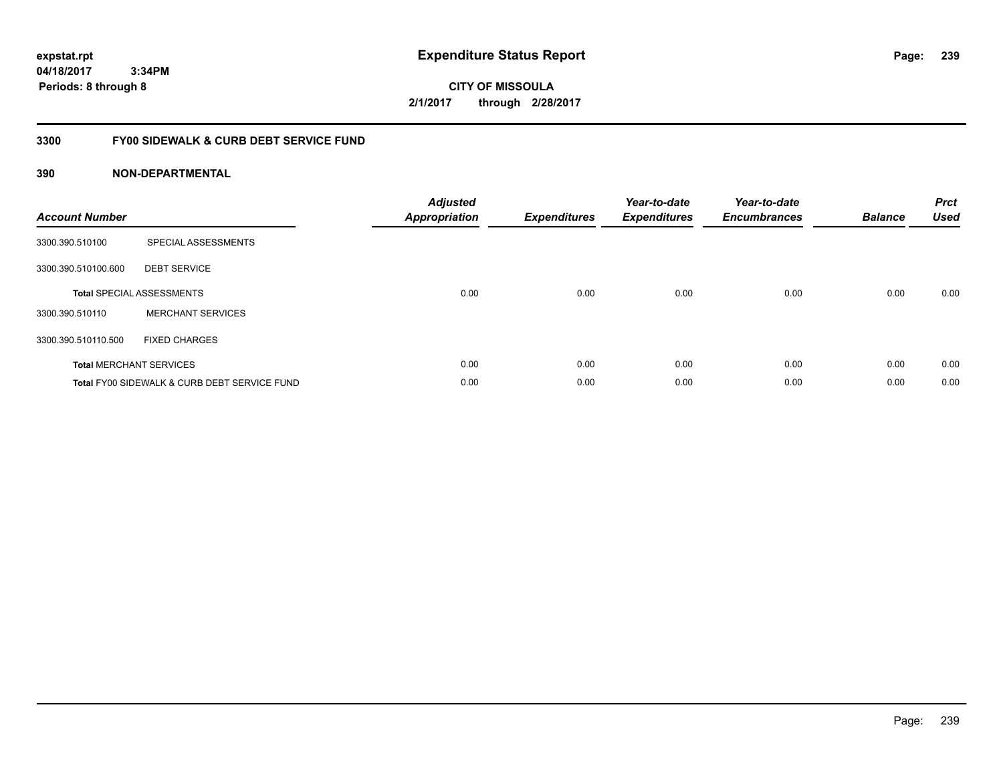**CITY OF MISSOULA 2/1/2017 through 2/28/2017**

# **3300 FY00 SIDEWALK & CURB DEBT SERVICE FUND**

| <b>Account Number</b> |                                              | <b>Adjusted</b><br><b>Appropriation</b> | <b>Expenditures</b> | Year-to-date<br><b>Expenditures</b> | Year-to-date<br><b>Encumbrances</b> | <b>Balance</b> | <b>Prct</b><br><b>Used</b> |
|-----------------------|----------------------------------------------|-----------------------------------------|---------------------|-------------------------------------|-------------------------------------|----------------|----------------------------|
| 3300.390.510100       | SPECIAL ASSESSMENTS                          |                                         |                     |                                     |                                     |                |                            |
| 3300.390.510100.600   | <b>DEBT SERVICE</b>                          |                                         |                     |                                     |                                     |                |                            |
|                       | <b>Total SPECIAL ASSESSMENTS</b>             | 0.00                                    | 0.00                | 0.00                                | 0.00                                | 0.00           | 0.00                       |
| 3300.390.510110       | <b>MERCHANT SERVICES</b>                     |                                         |                     |                                     |                                     |                |                            |
| 3300.390.510110.500   | <b>FIXED CHARGES</b>                         |                                         |                     |                                     |                                     |                |                            |
|                       | <b>Total MERCHANT SERVICES</b>               | 0.00                                    | 0.00                | 0.00                                | 0.00                                | 0.00           | 0.00                       |
|                       | Total FY00 SIDEWALK & CURB DEBT SERVICE FUND | 0.00                                    | 0.00                | 0.00                                | 0.00                                | 0.00           | 0.00                       |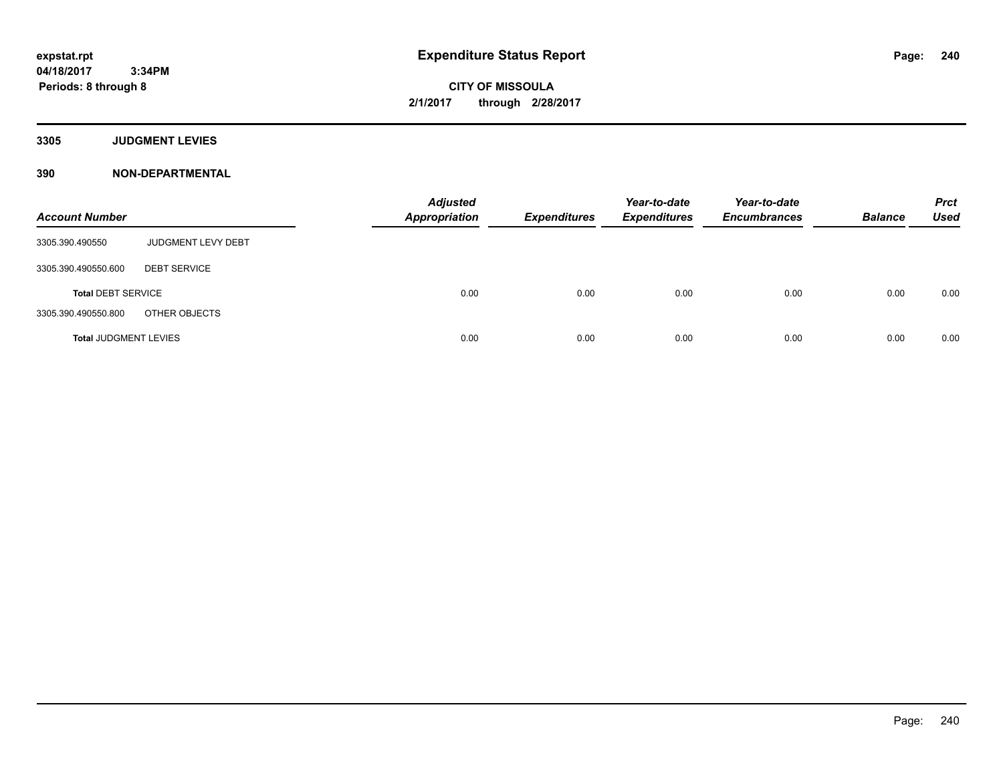**CITY OF MISSOULA 2/1/2017 through 2/28/2017**

**3305 JUDGMENT LEVIES**

| <b>Account Number</b>        |                           | <b>Adjusted</b><br><b>Appropriation</b> | <b>Expenditures</b> | Year-to-date<br><b>Expenditures</b> | Year-to-date<br><b>Encumbrances</b> | <b>Balance</b> | <b>Prct</b><br><b>Used</b> |
|------------------------------|---------------------------|-----------------------------------------|---------------------|-------------------------------------|-------------------------------------|----------------|----------------------------|
| 3305.390.490550              | <b>JUDGMENT LEVY DEBT</b> |                                         |                     |                                     |                                     |                |                            |
| 3305.390.490550.600          | <b>DEBT SERVICE</b>       |                                         |                     |                                     |                                     |                |                            |
| <b>Total DEBT SERVICE</b>    |                           | 0.00                                    | 0.00                | 0.00                                | 0.00                                | 0.00           | 0.00                       |
| 3305.390.490550.800          | OTHER OBJECTS             |                                         |                     |                                     |                                     |                |                            |
| <b>Total JUDGMENT LEVIES</b> |                           | 0.00                                    | 0.00                | 0.00                                | 0.00                                | 0.00           | 0.00                       |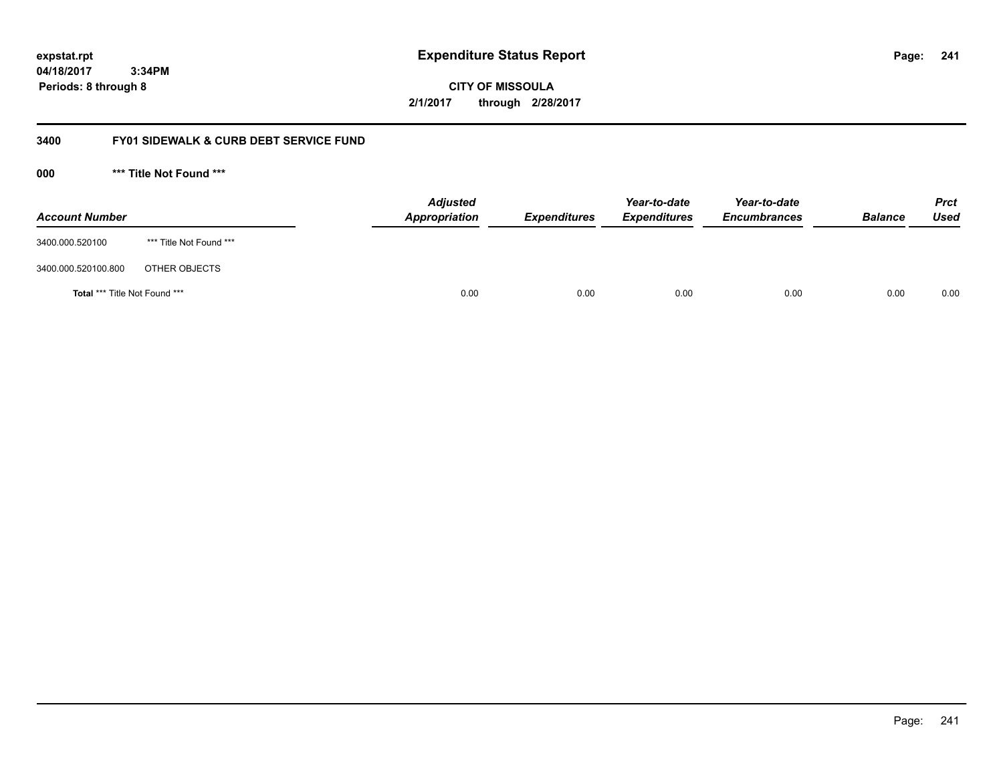**CITY OF MISSOULA 2/1/2017 through 2/28/2017**

# **3400 FY01 SIDEWALK & CURB DEBT SERVICE FUND**

**000 \*\*\* Title Not Found \*\*\***

| <b>Account Number</b>         |                         | <b>Adjusted</b><br><b>Appropriation</b> | <b>Expenditures</b> | Year-to-date<br><b>Expenditures</b> | Year-to-date<br><b>Encumbrances</b> | <b>Balance</b> | <b>Prct</b><br>Used |
|-------------------------------|-------------------------|-----------------------------------------|---------------------|-------------------------------------|-------------------------------------|----------------|---------------------|
| 3400.000.520100               | *** Title Not Found *** |                                         |                     |                                     |                                     |                |                     |
| 3400.000.520100.800           | OTHER OBJECTS           |                                         |                     |                                     |                                     |                |                     |
| Total *** Title Not Found *** |                         | 0.00                                    | 0.00                | 0.00                                | 0.00                                | 0.00           | 0.00                |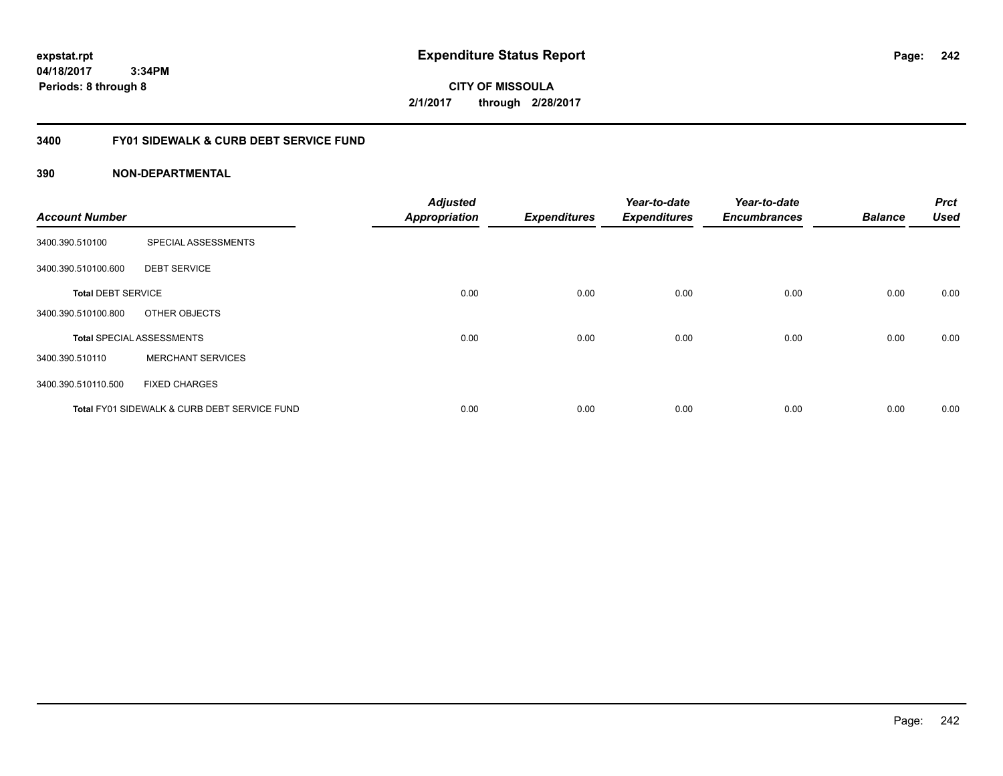**CITY OF MISSOULA 2/1/2017 through 2/28/2017**

# **3400 FY01 SIDEWALK & CURB DEBT SERVICE FUND**

| <b>Account Number</b>     |                                              | <b>Adjusted</b><br><b>Appropriation</b> | <b>Expenditures</b> | Year-to-date<br><b>Expenditures</b> | Year-to-date<br><b>Encumbrances</b> | <b>Balance</b> | <b>Prct</b><br><b>Used</b> |
|---------------------------|----------------------------------------------|-----------------------------------------|---------------------|-------------------------------------|-------------------------------------|----------------|----------------------------|
| 3400.390.510100           | SPECIAL ASSESSMENTS                          |                                         |                     |                                     |                                     |                |                            |
| 3400.390.510100.600       | <b>DEBT SERVICE</b>                          |                                         |                     |                                     |                                     |                |                            |
| <b>Total DEBT SERVICE</b> |                                              | 0.00                                    | 0.00                | 0.00                                | 0.00                                | 0.00           | 0.00                       |
| 3400.390.510100.800       | OTHER OBJECTS                                |                                         |                     |                                     |                                     |                |                            |
|                           | <b>Total SPECIAL ASSESSMENTS</b>             | 0.00                                    | 0.00                | 0.00                                | 0.00                                | 0.00           | 0.00                       |
| 3400.390.510110           | <b>MERCHANT SERVICES</b>                     |                                         |                     |                                     |                                     |                |                            |
| 3400.390.510110.500       | <b>FIXED CHARGES</b>                         |                                         |                     |                                     |                                     |                |                            |
|                           | Total FY01 SIDEWALK & CURB DEBT SERVICE FUND | 0.00                                    | 0.00                | 0.00                                | 0.00                                | 0.00           | 0.00                       |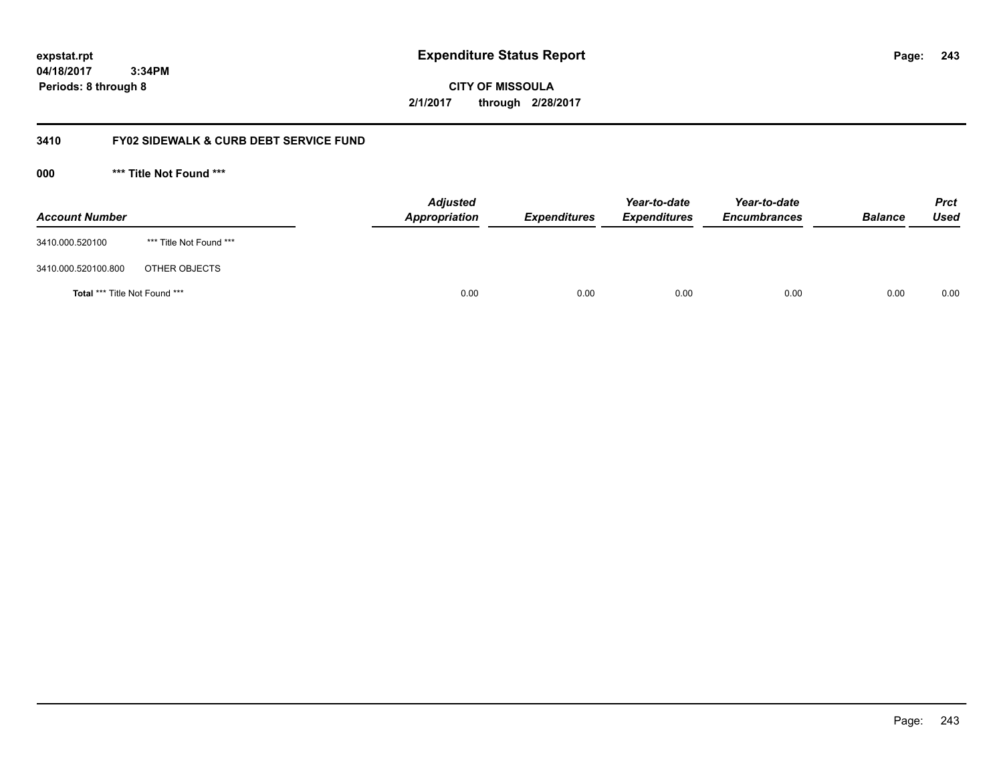**CITY OF MISSOULA 2/1/2017 through 2/28/2017**

# **3410 FY02 SIDEWALK & CURB DEBT SERVICE FUND**

**000 \*\*\* Title Not Found \*\*\***

| <b>Account Number</b>         |                         | <b>Adjusted</b><br>Appropriation | <b>Expenditures</b> | Year-to-date<br><b>Expenditures</b> | Year-to-date<br><b>Encumbrances</b> | <b>Balance</b> | Prct<br><b>Used</b> |
|-------------------------------|-------------------------|----------------------------------|---------------------|-------------------------------------|-------------------------------------|----------------|---------------------|
| 3410.000.520100               | *** Title Not Found *** |                                  |                     |                                     |                                     |                |                     |
| 3410.000.520100.800           | OTHER OBJECTS           |                                  |                     |                                     |                                     |                |                     |
| Total *** Title Not Found *** |                         | 0.00                             | 0.00                | 0.00                                | 0.00                                | 0.00           | 0.00                |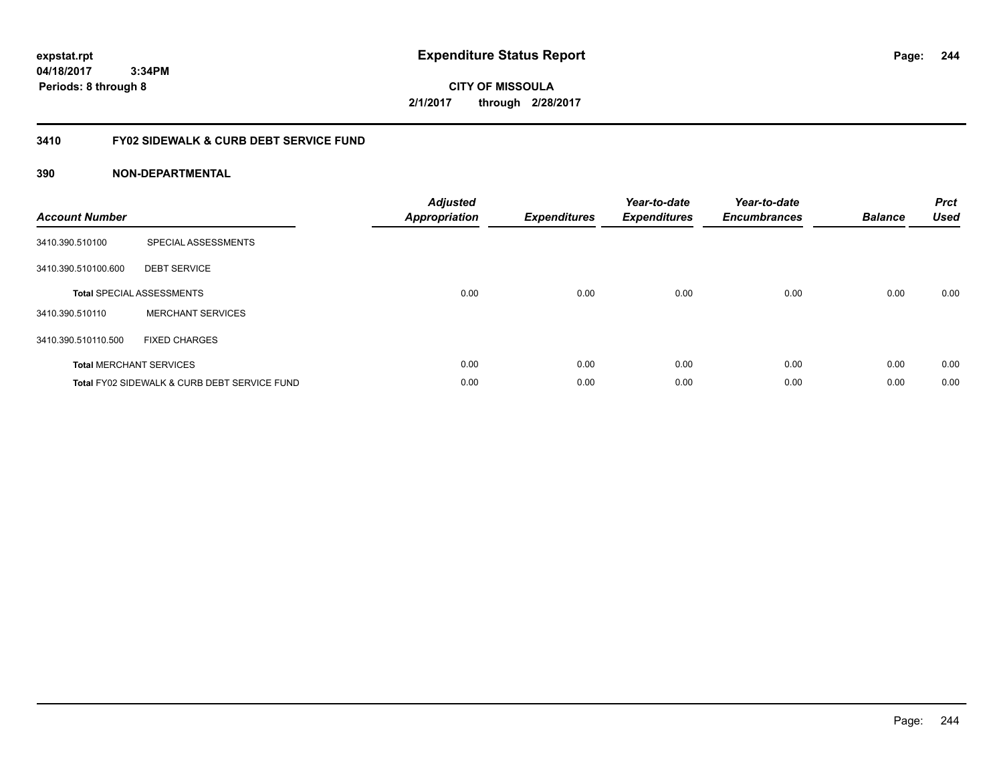**CITY OF MISSOULA 2/1/2017 through 2/28/2017**

# **3410 FY02 SIDEWALK & CURB DEBT SERVICE FUND**

| <b>Account Number</b> |                                              | <b>Adjusted</b><br>Appropriation | <b>Expenditures</b> | Year-to-date<br><b>Expenditures</b> | Year-to-date<br><b>Encumbrances</b> | <b>Balance</b> | <b>Prct</b><br><b>Used</b> |
|-----------------------|----------------------------------------------|----------------------------------|---------------------|-------------------------------------|-------------------------------------|----------------|----------------------------|
| 3410.390.510100       | SPECIAL ASSESSMENTS                          |                                  |                     |                                     |                                     |                |                            |
| 3410.390.510100.600   | <b>DEBT SERVICE</b>                          |                                  |                     |                                     |                                     |                |                            |
|                       | <b>Total SPECIAL ASSESSMENTS</b>             | 0.00                             | 0.00                | 0.00                                | 0.00                                | 0.00           | 0.00                       |
| 3410.390.510110       | <b>MERCHANT SERVICES</b>                     |                                  |                     |                                     |                                     |                |                            |
| 3410.390.510110.500   | <b>FIXED CHARGES</b>                         |                                  |                     |                                     |                                     |                |                            |
|                       | <b>Total MERCHANT SERVICES</b>               | 0.00                             | 0.00                | 0.00                                | 0.00                                | 0.00           | 0.00                       |
|                       | Total FY02 SIDEWALK & CURB DEBT SERVICE FUND | 0.00                             | 0.00                | 0.00                                | 0.00                                | 0.00           | 0.00                       |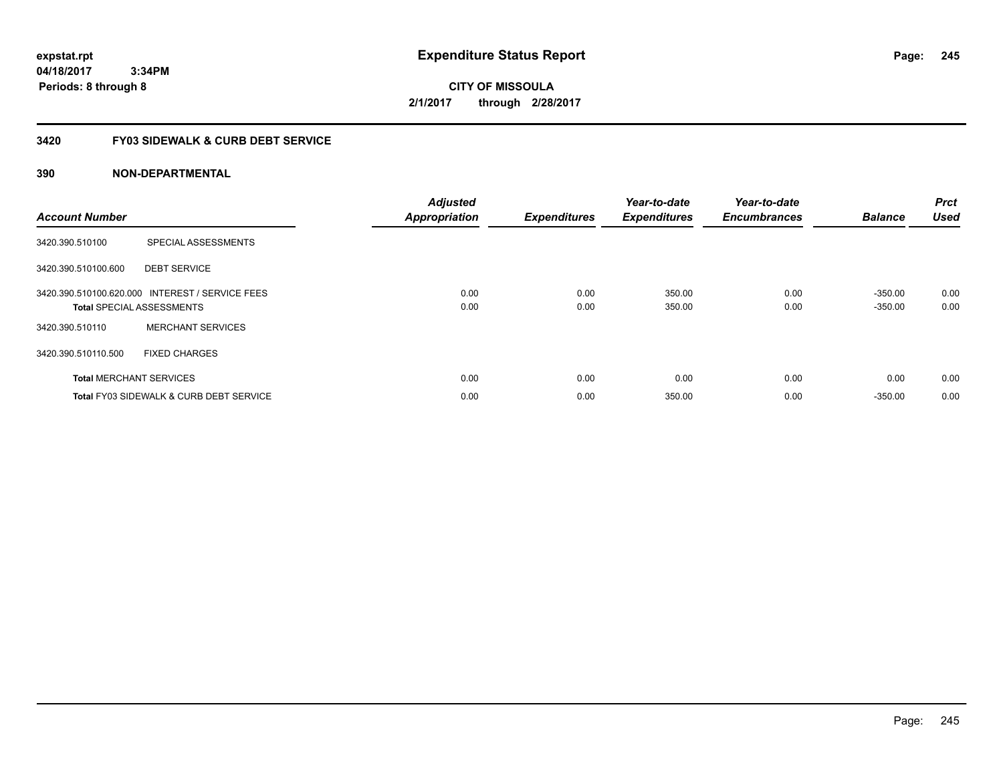**CITY OF MISSOULA 2/1/2017 through 2/28/2017**

# **3420 FY03 SIDEWALK & CURB DEBT SERVICE**

| <b>Account Number</b> |                                                                                     | <b>Adjusted</b><br><b>Appropriation</b> | <b>Expenditures</b> | Year-to-date<br><b>Expenditures</b> | Year-to-date<br><b>Encumbrances</b> | <b>Balance</b>         | <b>Prct</b><br><b>Used</b> |
|-----------------------|-------------------------------------------------------------------------------------|-----------------------------------------|---------------------|-------------------------------------|-------------------------------------|------------------------|----------------------------|
| 3420.390.510100       | SPECIAL ASSESSMENTS                                                                 |                                         |                     |                                     |                                     |                        |                            |
| 3420.390.510100.600   | <b>DEBT SERVICE</b>                                                                 |                                         |                     |                                     |                                     |                        |                            |
|                       | 3420.390.510100.620.000 INTEREST / SERVICE FEES<br><b>Total SPECIAL ASSESSMENTS</b> | 0.00<br>0.00                            | 0.00<br>0.00        | 350.00<br>350.00                    | 0.00<br>0.00                        | $-350.00$<br>$-350.00$ | 0.00<br>0.00               |
| 3420.390.510110       | <b>MERCHANT SERVICES</b>                                                            |                                         |                     |                                     |                                     |                        |                            |
| 3420.390.510110.500   | <b>FIXED CHARGES</b>                                                                |                                         |                     |                                     |                                     |                        |                            |
|                       | <b>Total MERCHANT SERVICES</b>                                                      | 0.00                                    | 0.00                | 0.00                                | 0.00                                | 0.00                   | 0.00                       |
|                       | <b>Total FY03 SIDEWALK &amp; CURB DEBT SERVICE</b>                                  | 0.00                                    | 0.00                | 350.00                              | 0.00                                | $-350.00$              | 0.00                       |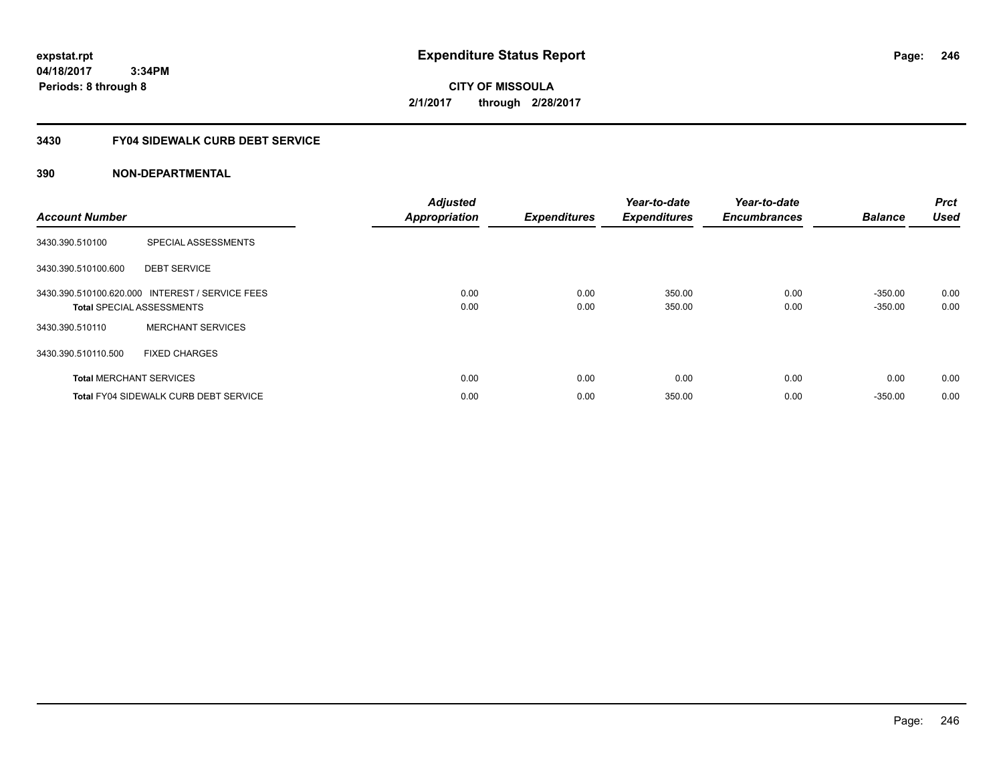**CITY OF MISSOULA 2/1/2017 through 2/28/2017**

# **3430 FY04 SIDEWALK CURB DEBT SERVICE**

| <b>Account Number</b> |                                                                                     | <b>Adjusted</b><br><b>Appropriation</b> | <b>Expenditures</b> | Year-to-date<br><b>Expenditures</b> | Year-to-date<br><b>Encumbrances</b> | <b>Balance</b>         | <b>Prct</b><br><b>Used</b> |
|-----------------------|-------------------------------------------------------------------------------------|-----------------------------------------|---------------------|-------------------------------------|-------------------------------------|------------------------|----------------------------|
| 3430.390.510100       | SPECIAL ASSESSMENTS                                                                 |                                         |                     |                                     |                                     |                        |                            |
| 3430.390.510100.600   | <b>DEBT SERVICE</b>                                                                 |                                         |                     |                                     |                                     |                        |                            |
|                       | 3430.390.510100.620.000 INTEREST / SERVICE FEES<br><b>Total SPECIAL ASSESSMENTS</b> | 0.00<br>0.00                            | 0.00<br>0.00        | 350.00<br>350.00                    | 0.00<br>0.00                        | $-350.00$<br>$-350.00$ | 0.00<br>0.00               |
| 3430.390.510110       | <b>MERCHANT SERVICES</b>                                                            |                                         |                     |                                     |                                     |                        |                            |
| 3430.390.510110.500   | <b>FIXED CHARGES</b>                                                                |                                         |                     |                                     |                                     |                        |                            |
|                       | <b>Total MERCHANT SERVICES</b>                                                      | 0.00                                    | 0.00                | 0.00                                | 0.00                                | 0.00                   | 0.00                       |
|                       | <b>Total FY04 SIDEWALK CURB DEBT SERVICE</b>                                        | 0.00                                    | 0.00                | 350.00                              | 0.00                                | $-350.00$              | 0.00                       |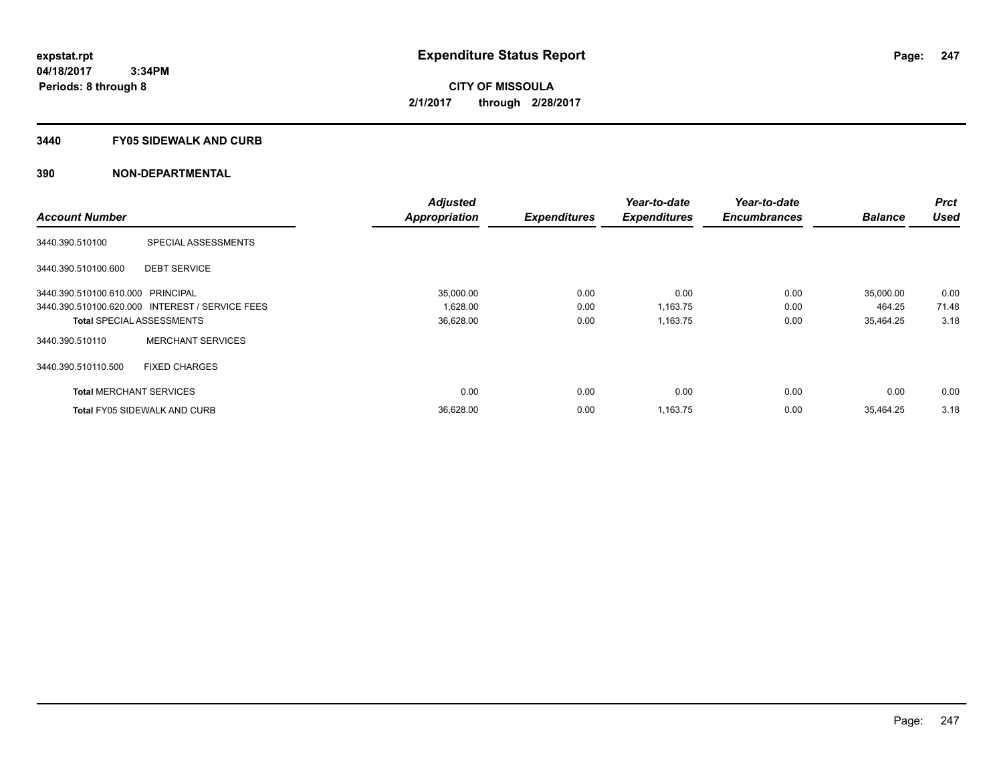### **3440 FY05 SIDEWALK AND CURB**

|                                   |                                                 | <b>Adjusted</b>      |                     | Year-to-date        | Year-to-date        |                | <b>Prct</b> |
|-----------------------------------|-------------------------------------------------|----------------------|---------------------|---------------------|---------------------|----------------|-------------|
| <b>Account Number</b>             |                                                 | <b>Appropriation</b> | <b>Expenditures</b> | <b>Expenditures</b> | <b>Encumbrances</b> | <b>Balance</b> | <b>Used</b> |
| 3440.390.510100                   | SPECIAL ASSESSMENTS                             |                      |                     |                     |                     |                |             |
| 3440.390.510100.600               | <b>DEBT SERVICE</b>                             |                      |                     |                     |                     |                |             |
| 3440.390.510100.610.000 PRINCIPAL |                                                 | 35,000.00            | 0.00                | 0.00                | 0.00                | 35,000.00      | 0.00        |
|                                   | 3440.390.510100.620.000 INTEREST / SERVICE FEES | 1,628.00             | 0.00                | 1,163.75            | 0.00                | 464.25         | 71.48       |
|                                   | <b>Total SPECIAL ASSESSMENTS</b>                | 36,628.00            | 0.00                | 1,163.75            | 0.00                | 35,464.25      | 3.18        |
| 3440.390.510110                   | <b>MERCHANT SERVICES</b>                        |                      |                     |                     |                     |                |             |
| 3440.390.510110.500               | <b>FIXED CHARGES</b>                            |                      |                     |                     |                     |                |             |
| <b>Total MERCHANT SERVICES</b>    |                                                 | 0.00                 | 0.00                | 0.00                | 0.00                | 0.00           | 0.00        |
|                                   | <b>Total FY05 SIDEWALK AND CURB</b>             | 36,628.00            | 0.00                | 1,163.75            | 0.00                | 35.464.25      | 3.18        |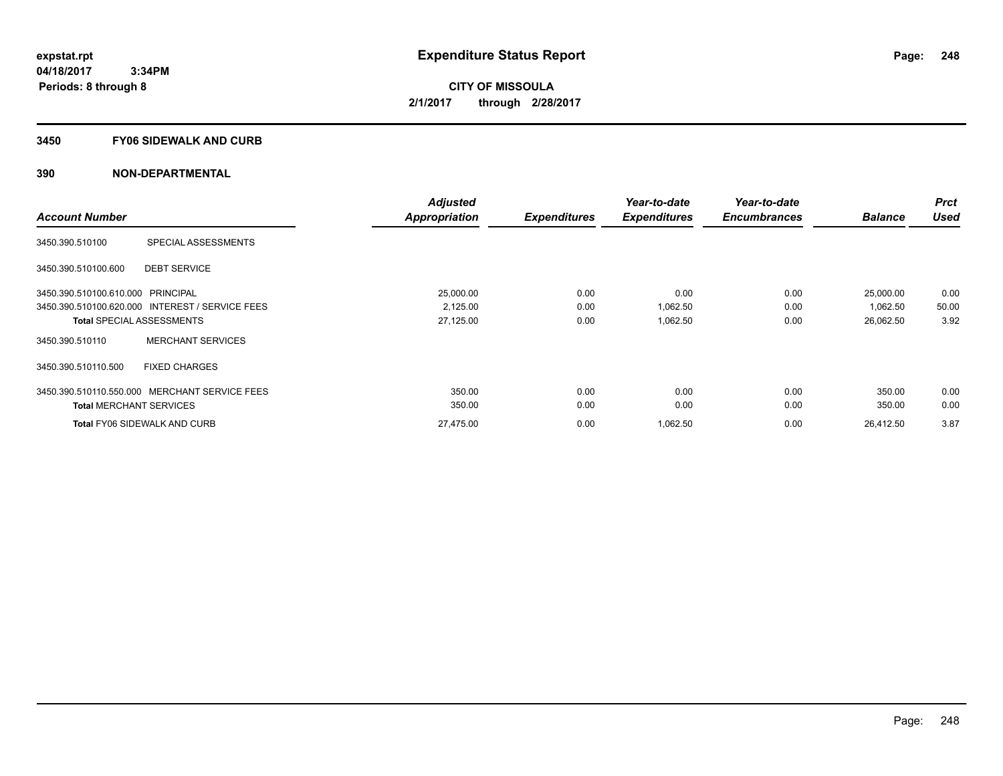### **3450 FY06 SIDEWALK AND CURB**

|                                   |                                                 | <b>Adjusted</b>      |                     | Year-to-date        | Year-to-date        |                | <b>Prct</b> |
|-----------------------------------|-------------------------------------------------|----------------------|---------------------|---------------------|---------------------|----------------|-------------|
| <b>Account Number</b>             |                                                 | <b>Appropriation</b> | <b>Expenditures</b> | <b>Expenditures</b> | <b>Encumbrances</b> | <b>Balance</b> | <b>Used</b> |
| 3450.390.510100                   | SPECIAL ASSESSMENTS                             |                      |                     |                     |                     |                |             |
| 3450.390.510100.600               | <b>DEBT SERVICE</b>                             |                      |                     |                     |                     |                |             |
| 3450.390.510100.610.000 PRINCIPAL |                                                 | 25,000.00            | 0.00                | 0.00                | 0.00                | 25,000.00      | 0.00        |
|                                   | 3450.390.510100.620.000 INTEREST / SERVICE FEES | 2,125.00             | 0.00                | 1,062.50            | 0.00                | 1,062.50       | 50.00       |
|                                   | <b>Total SPECIAL ASSESSMENTS</b>                | 27,125.00            | 0.00                | 1,062.50            | 0.00                | 26,062.50      | 3.92        |
| 3450.390.510110                   | <b>MERCHANT SERVICES</b>                        |                      |                     |                     |                     |                |             |
| 3450.390.510110.500               | <b>FIXED CHARGES</b>                            |                      |                     |                     |                     |                |             |
|                                   | 3450.390.510110.550.000 MERCHANT SERVICE FEES   | 350.00               | 0.00                | 0.00                | 0.00                | 350.00         | 0.00        |
| <b>Total MERCHANT SERVICES</b>    |                                                 | 350.00               | 0.00                | 0.00                | 0.00                | 350.00         | 0.00        |
|                                   | <b>Total FY06 SIDEWALK AND CURB</b>             | 27,475.00            | 0.00                | 1.062.50            | 0.00                | 26.412.50      | 3.87        |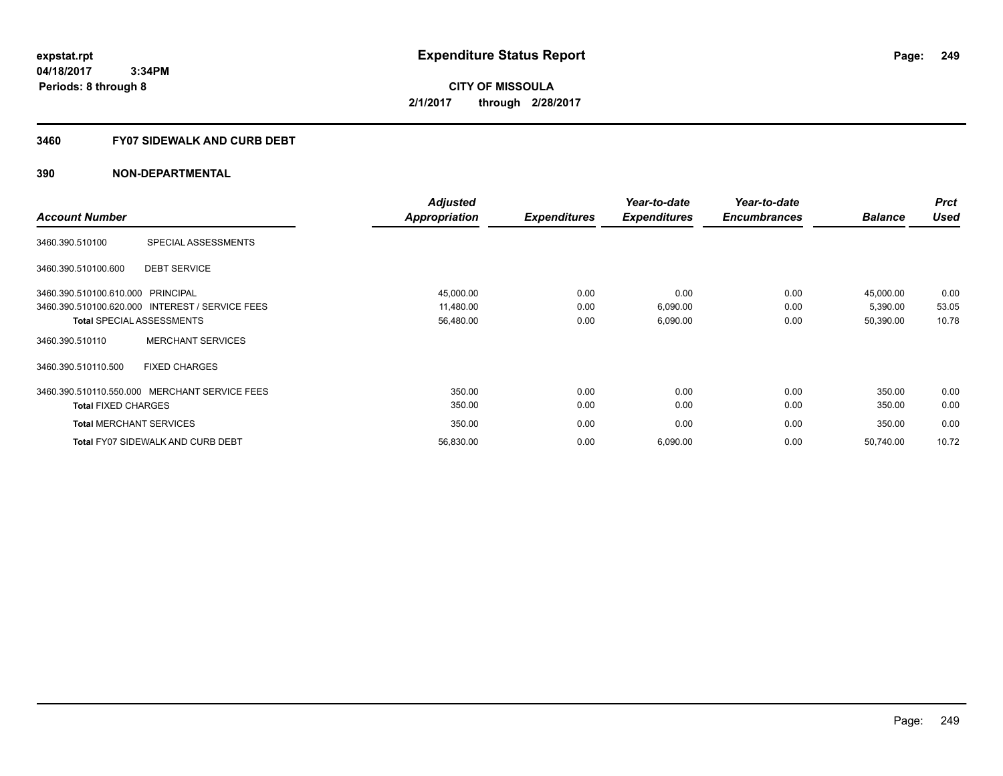**Periods: 8 through 8**

**CITY OF MISSOULA 2/1/2017 through 2/28/2017**

## **3460 FY07 SIDEWALK AND CURB DEBT**

 **3:34PM**

|                                                 | <b>Adjusted</b> |                     | Year-to-date        | Year-to-date        |                | <b>Prct</b> |
|-------------------------------------------------|-----------------|---------------------|---------------------|---------------------|----------------|-------------|
| <b>Account Number</b>                           | Appropriation   | <b>Expenditures</b> | <b>Expenditures</b> | <b>Encumbrances</b> | <b>Balance</b> | <b>Used</b> |
| SPECIAL ASSESSMENTS<br>3460.390.510100          |                 |                     |                     |                     |                |             |
| <b>DEBT SERVICE</b><br>3460.390.510100.600      |                 |                     |                     |                     |                |             |
| 3460.390.510100.610.000<br><b>PRINCIPAL</b>     | 45,000.00       | 0.00                | 0.00                | 0.00                | 45,000.00      | 0.00        |
| 3460.390.510100.620.000 INTEREST / SERVICE FEES | 11,480.00       | 0.00                | 6,090.00            | 0.00                | 5,390.00       | 53.05       |
| <b>Total SPECIAL ASSESSMENTS</b>                | 56,480.00       | 0.00                | 6,090.00            | 0.00                | 50,390.00      | 10.78       |
| <b>MERCHANT SERVICES</b><br>3460.390.510110     |                 |                     |                     |                     |                |             |
| <b>FIXED CHARGES</b><br>3460.390.510110.500     |                 |                     |                     |                     |                |             |
| 3460.390.510110.550.000 MERCHANT SERVICE FEES   | 350.00          | 0.00                | 0.00                | 0.00                | 350.00         | 0.00        |
| <b>Total FIXED CHARGES</b>                      | 350.00          | 0.00                | 0.00                | 0.00                | 350.00         | 0.00        |
| <b>Total MERCHANT SERVICES</b>                  | 350.00          | 0.00                | 0.00                | 0.00                | 350.00         | 0.00        |
| <b>Total FY07 SIDEWALK AND CURB DEBT</b>        | 56,830.00       | 0.00                | 6,090.00            | 0.00                | 50,740.00      | 10.72       |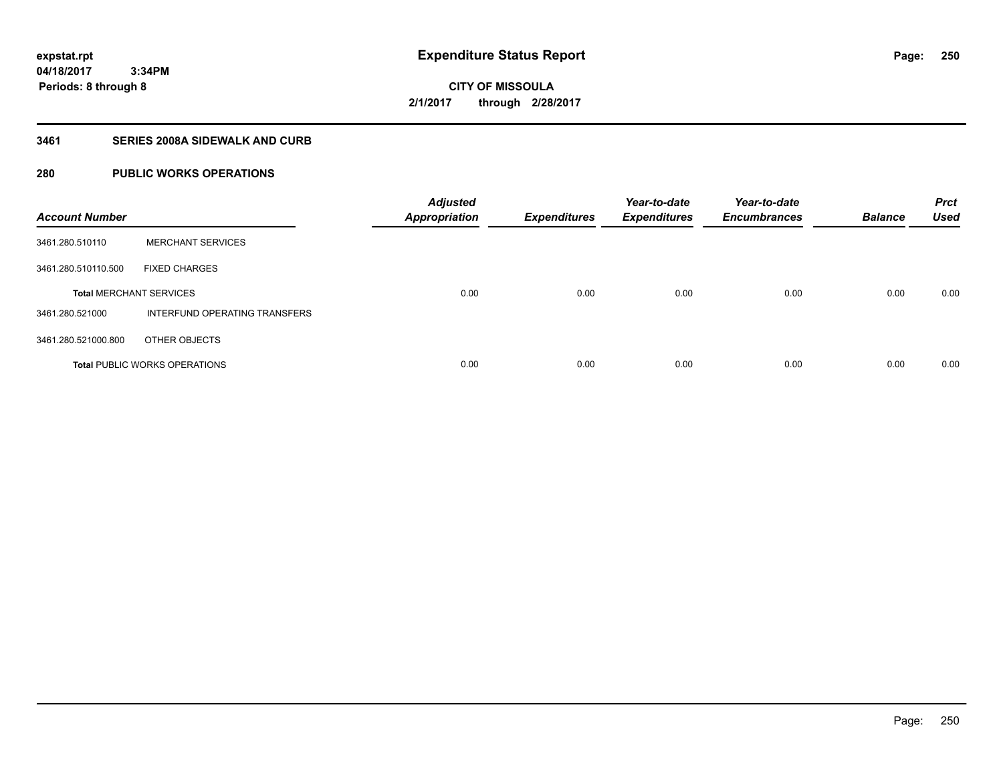**250**

**04/18/2017 3:34PM Periods: 8 through 8**

**CITY OF MISSOULA 2/1/2017 through 2/28/2017**

# **3461 SERIES 2008A SIDEWALK AND CURB**

# **280 PUBLIC WORKS OPERATIONS**

| <b>Account Number</b>          |                                      | <b>Adjusted</b><br><b>Appropriation</b> | <b>Expenditures</b> | Year-to-date<br><b>Expenditures</b> | Year-to-date<br><b>Encumbrances</b> | <b>Balance</b> | <b>Prct</b><br><b>Used</b> |
|--------------------------------|--------------------------------------|-----------------------------------------|---------------------|-------------------------------------|-------------------------------------|----------------|----------------------------|
| 3461.280.510110                | <b>MERCHANT SERVICES</b>             |                                         |                     |                                     |                                     |                |                            |
| 3461.280.510110.500            | <b>FIXED CHARGES</b>                 |                                         |                     |                                     |                                     |                |                            |
| <b>Total MERCHANT SERVICES</b> |                                      | 0.00                                    | 0.00                | 0.00                                | 0.00                                | 0.00           | 0.00                       |
| 3461.280.521000                | INTERFUND OPERATING TRANSFERS        |                                         |                     |                                     |                                     |                |                            |
| 3461.280.521000.800            | OTHER OBJECTS                        |                                         |                     |                                     |                                     |                |                            |
|                                | <b>Total PUBLIC WORKS OPERATIONS</b> | 0.00                                    | 0.00                | 0.00                                | 0.00                                | 0.00           | 0.00                       |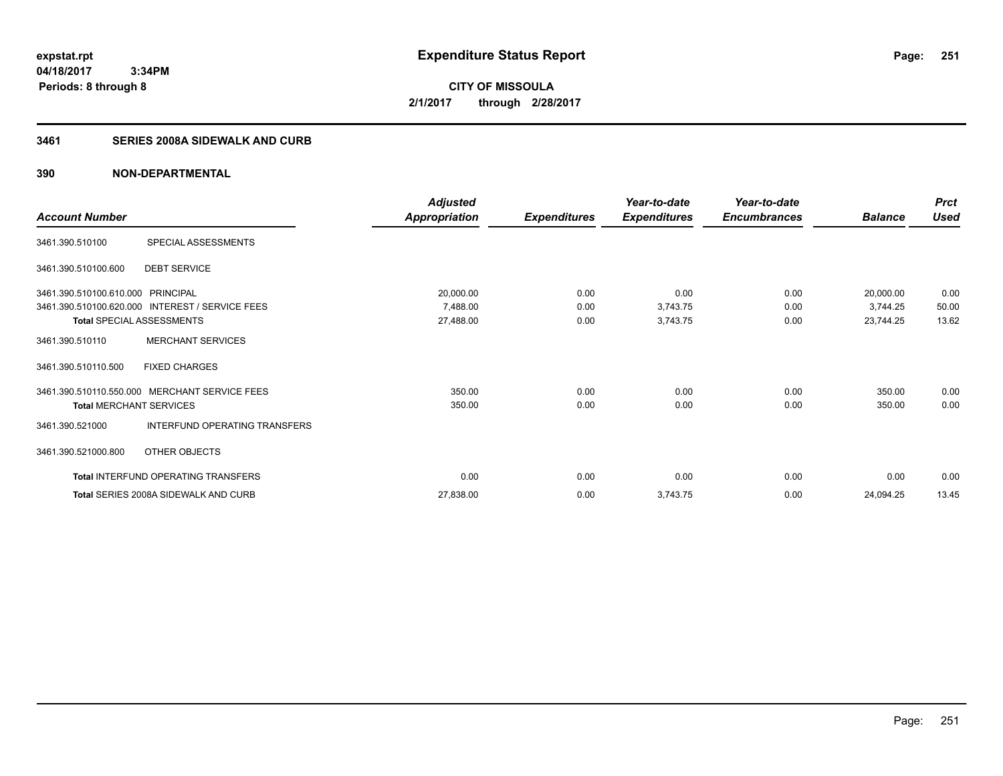**CITY OF MISSOULA 2/1/2017 through 2/28/2017**

# **3461 SERIES 2008A SIDEWALK AND CURB**

|                                   |                                                 | <b>Adjusted</b>      |                     | Year-to-date        | Year-to-date        |                | <b>Prct</b> |
|-----------------------------------|-------------------------------------------------|----------------------|---------------------|---------------------|---------------------|----------------|-------------|
| <b>Account Number</b>             |                                                 | <b>Appropriation</b> | <b>Expenditures</b> | <b>Expenditures</b> | <b>Encumbrances</b> | <b>Balance</b> | <b>Used</b> |
| 3461.390.510100                   | SPECIAL ASSESSMENTS                             |                      |                     |                     |                     |                |             |
| 3461.390.510100.600               | <b>DEBT SERVICE</b>                             |                      |                     |                     |                     |                |             |
| 3461.390.510100.610.000 PRINCIPAL |                                                 | 20,000.00            | 0.00                | 0.00                | 0.00                | 20,000.00      | 0.00        |
|                                   | 3461.390.510100.620.000 INTEREST / SERVICE FEES | 7,488.00             | 0.00                | 3,743.75            | 0.00                | 3,744.25       | 50.00       |
| Total SPECIAL ASSESSMENTS         |                                                 | 27,488.00            | 0.00                | 3,743.75            | 0.00                | 23,744.25      | 13.62       |
| 3461.390.510110                   | <b>MERCHANT SERVICES</b>                        |                      |                     |                     |                     |                |             |
| 3461.390.510110.500               | <b>FIXED CHARGES</b>                            |                      |                     |                     |                     |                |             |
|                                   | 3461.390.510110.550.000 MERCHANT SERVICE FEES   | 350.00               | 0.00                | 0.00                | 0.00                | 350.00         | 0.00        |
| <b>Total MERCHANT SERVICES</b>    |                                                 | 350.00               | 0.00                | 0.00                | 0.00                | 350.00         | 0.00        |
| 3461.390.521000                   | INTERFUND OPERATING TRANSFERS                   |                      |                     |                     |                     |                |             |
| 3461.390.521000.800               | OTHER OBJECTS                                   |                      |                     |                     |                     |                |             |
|                                   | Total INTERFUND OPERATING TRANSFERS             | 0.00                 | 0.00                | 0.00                | 0.00                | 0.00           | 0.00        |
|                                   | Total SERIES 2008A SIDEWALK AND CURB            | 27,838.00            | 0.00                | 3,743.75            | 0.00                | 24,094.25      | 13.45       |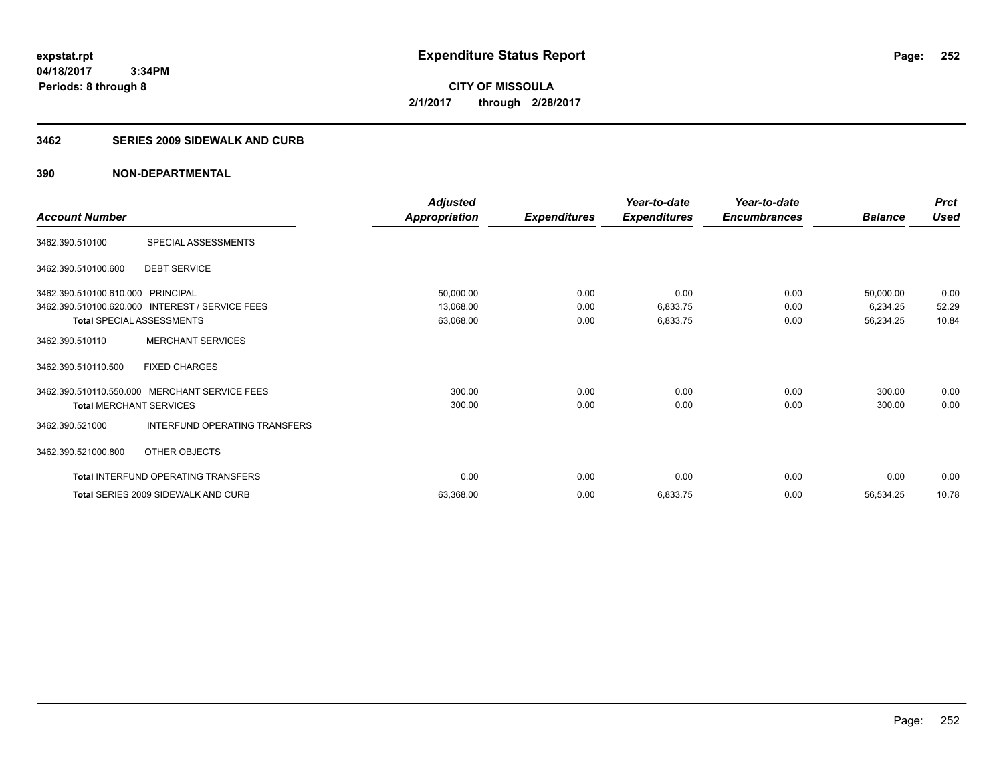**252**

**04/18/2017 3:34PM Periods: 8 through 8**

**CITY OF MISSOULA 2/1/2017 through 2/28/2017**

### **3462 SERIES 2009 SIDEWALK AND CURB**

|                                   |                                                 | <b>Adjusted</b>      |                     | Year-to-date        | Year-to-date        |                | <b>Prct</b> |
|-----------------------------------|-------------------------------------------------|----------------------|---------------------|---------------------|---------------------|----------------|-------------|
| <b>Account Number</b>             |                                                 | <b>Appropriation</b> | <b>Expenditures</b> | <b>Expenditures</b> | <b>Encumbrances</b> | <b>Balance</b> | <b>Used</b> |
| 3462.390.510100                   | SPECIAL ASSESSMENTS                             |                      |                     |                     |                     |                |             |
| 3462.390.510100.600               | <b>DEBT SERVICE</b>                             |                      |                     |                     |                     |                |             |
| 3462.390.510100.610.000 PRINCIPAL |                                                 | 50,000.00            | 0.00                | 0.00                | 0.00                | 50,000.00      | 0.00        |
|                                   | 3462.390.510100.620.000 INTEREST / SERVICE FEES | 13,068.00            | 0.00                | 6,833.75            | 0.00                | 6,234.25       | 52.29       |
| <b>Total SPECIAL ASSESSMENTS</b>  |                                                 | 63,068.00            | 0.00                | 6,833.75            | 0.00                | 56,234.25      | 10.84       |
| 3462.390.510110                   | <b>MERCHANT SERVICES</b>                        |                      |                     |                     |                     |                |             |
| 3462.390.510110.500               | <b>FIXED CHARGES</b>                            |                      |                     |                     |                     |                |             |
| 3462.390.510110.550.000           | <b>MERCHANT SERVICE FEES</b>                    | 300.00               | 0.00                | 0.00                | 0.00                | 300.00         | 0.00        |
| <b>Total MERCHANT SERVICES</b>    |                                                 | 300.00               | 0.00                | 0.00                | 0.00                | 300.00         | 0.00        |
| 3462.390.521000                   | INTERFUND OPERATING TRANSFERS                   |                      |                     |                     |                     |                |             |
| 3462.390.521000.800               | OTHER OBJECTS                                   |                      |                     |                     |                     |                |             |
|                                   | <b>Total INTERFUND OPERATING TRANSFERS</b>      | 0.00                 | 0.00                | 0.00                | 0.00                | 0.00           | 0.00        |
|                                   | Total SERIES 2009 SIDEWALK AND CURB             | 63,368.00            | 0.00                | 6,833.75            | 0.00                | 56,534.25      | 10.78       |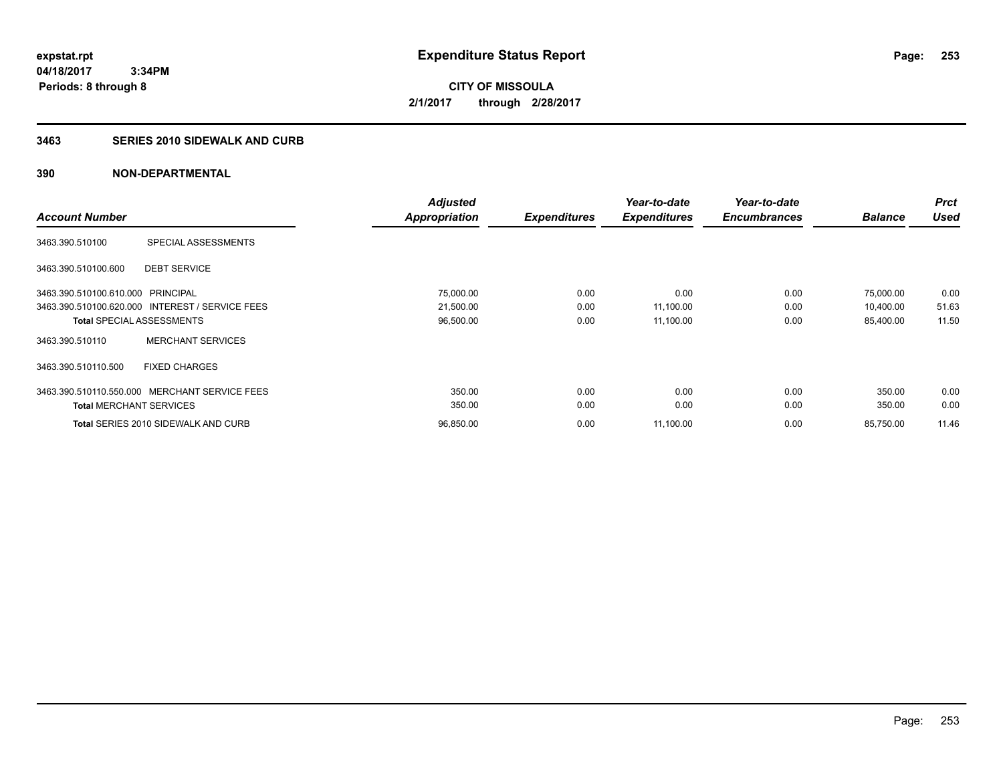**253**

**04/18/2017 3:34PM Periods: 8 through 8**

**CITY OF MISSOULA 2/1/2017 through 2/28/2017**

### **3463 SERIES 2010 SIDEWALK AND CURB**

|                                   |                                                 | <b>Adjusted</b> |                     | Year-to-date        | Year-to-date        |                | <b>Prct</b> |
|-----------------------------------|-------------------------------------------------|-----------------|---------------------|---------------------|---------------------|----------------|-------------|
| <b>Account Number</b>             |                                                 | Appropriation   | <b>Expenditures</b> | <b>Expenditures</b> | <b>Encumbrances</b> | <b>Balance</b> | <b>Used</b> |
| 3463.390.510100                   | SPECIAL ASSESSMENTS                             |                 |                     |                     |                     |                |             |
| 3463.390.510100.600               | <b>DEBT SERVICE</b>                             |                 |                     |                     |                     |                |             |
| 3463.390.510100.610.000 PRINCIPAL |                                                 | 75,000.00       | 0.00                | 0.00                | 0.00                | 75,000.00      | 0.00        |
|                                   | 3463.390.510100.620.000 INTEREST / SERVICE FEES | 21,500.00       | 0.00                | 11,100.00           | 0.00                | 10,400.00      | 51.63       |
|                                   | <b>Total SPECIAL ASSESSMENTS</b>                | 96,500.00       | 0.00                | 11,100.00           | 0.00                | 85,400.00      | 11.50       |
| 3463.390.510110                   | <b>MERCHANT SERVICES</b>                        |                 |                     |                     |                     |                |             |
| 3463.390.510110.500               | <b>FIXED CHARGES</b>                            |                 |                     |                     |                     |                |             |
|                                   | 3463.390.510110.550.000 MERCHANT SERVICE FEES   | 350.00          | 0.00                | 0.00                | 0.00                | 350.00         | 0.00        |
| <b>Total MERCHANT SERVICES</b>    |                                                 | 350.00          | 0.00                | 0.00                | 0.00                | 350.00         | 0.00        |
|                                   | Total SERIES 2010 SIDEWALK AND CURB             | 96,850.00       | 0.00                | 11,100.00           | 0.00                | 85,750.00      | 11.46       |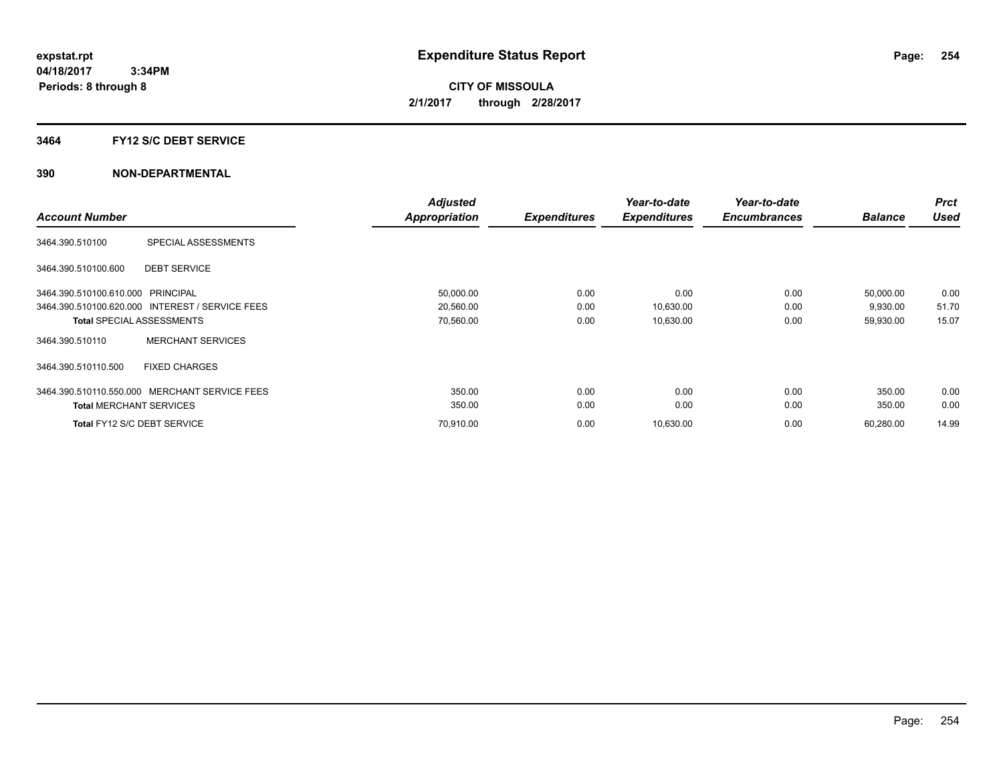#### **3464 FY12 S/C DEBT SERVICE**

|                                   |                                                 | <b>Adjusted</b> |                     | Year-to-date        | Year-to-date        |                | <b>Prct</b> |
|-----------------------------------|-------------------------------------------------|-----------------|---------------------|---------------------|---------------------|----------------|-------------|
| <b>Account Number</b>             |                                                 | Appropriation   | <b>Expenditures</b> | <b>Expenditures</b> | <b>Encumbrances</b> | <b>Balance</b> | <b>Used</b> |
| 3464.390.510100                   | SPECIAL ASSESSMENTS                             |                 |                     |                     |                     |                |             |
| 3464.390.510100.600               | <b>DEBT SERVICE</b>                             |                 |                     |                     |                     |                |             |
| 3464.390.510100.610.000 PRINCIPAL |                                                 | 50,000.00       | 0.00                | 0.00                | 0.00                | 50,000.00      | 0.00        |
|                                   | 3464.390.510100.620.000 INTEREST / SERVICE FEES | 20,560.00       | 0.00                | 10,630.00           | 0.00                | 9,930.00       | 51.70       |
|                                   | <b>Total SPECIAL ASSESSMENTS</b>                | 70,560.00       | 0.00                | 10,630.00           | 0.00                | 59,930.00      | 15.07       |
| 3464.390.510110                   | <b>MERCHANT SERVICES</b>                        |                 |                     |                     |                     |                |             |
| 3464.390.510110.500               | <b>FIXED CHARGES</b>                            |                 |                     |                     |                     |                |             |
| 3464.390.510110.550.000           | MERCHANT SERVICE FEES                           | 350.00          | 0.00                | 0.00                | 0.00                | 350.00         | 0.00        |
| <b>Total MERCHANT SERVICES</b>    |                                                 | 350.00          | 0.00                | 0.00                | 0.00                | 350.00         | 0.00        |
|                                   | Total FY12 S/C DEBT SERVICE                     | 70,910.00       | 0.00                | 10,630.00           | 0.00                | 60,280.00      | 14.99       |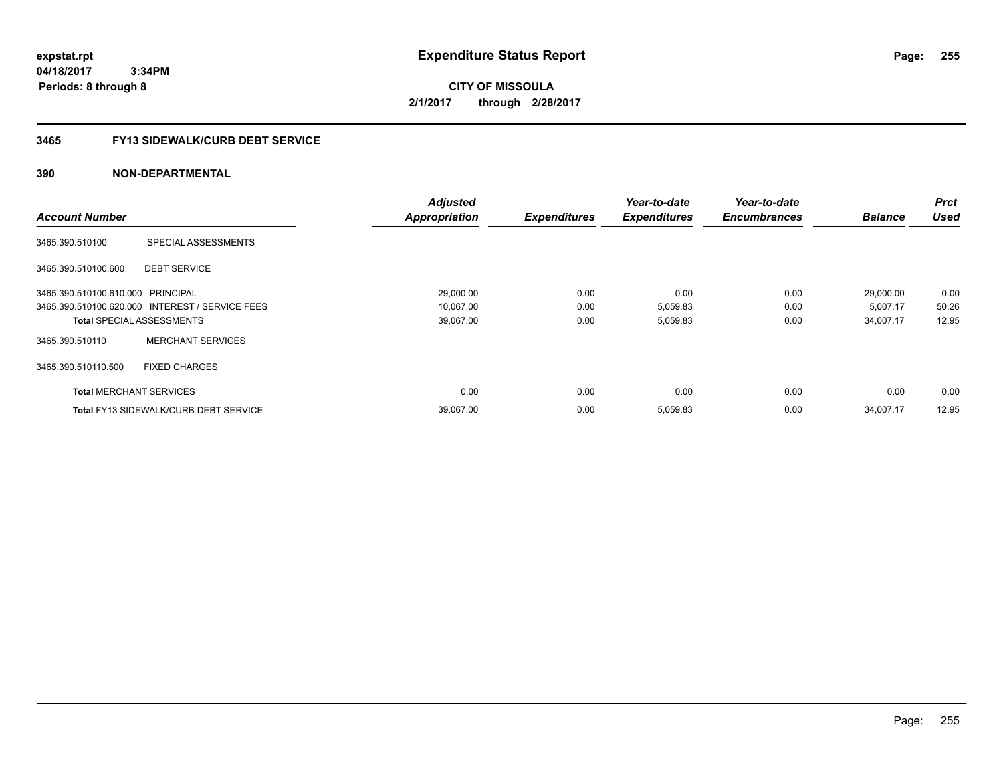**04/18/2017 3:34PM Periods: 8 through 8**

**CITY OF MISSOULA 2/1/2017 through 2/28/2017**

# **3465 FY13 SIDEWALK/CURB DEBT SERVICE**

|                                   |                                                 | <b>Adjusted</b>      |                     | Year-to-date        | Year-to-date        |                | <b>Prct</b> |
|-----------------------------------|-------------------------------------------------|----------------------|---------------------|---------------------|---------------------|----------------|-------------|
| <b>Account Number</b>             |                                                 | <b>Appropriation</b> | <b>Expenditures</b> | <b>Expenditures</b> | <b>Encumbrances</b> | <b>Balance</b> | <b>Used</b> |
| 3465.390.510100                   | SPECIAL ASSESSMENTS                             |                      |                     |                     |                     |                |             |
| 3465.390.510100.600               | <b>DEBT SERVICE</b>                             |                      |                     |                     |                     |                |             |
| 3465.390.510100.610.000 PRINCIPAL |                                                 | 29,000.00            | 0.00                | 0.00                | 0.00                | 29,000.00      | 0.00        |
|                                   | 3465.390.510100.620.000 INTEREST / SERVICE FEES | 10,067.00            | 0.00                | 5,059.83            | 0.00                | 5,007.17       | 50.26       |
|                                   | <b>Total SPECIAL ASSESSMENTS</b>                | 39,067.00            | 0.00                | 5,059.83            | 0.00                | 34,007.17      | 12.95       |
| 3465.390.510110                   | <b>MERCHANT SERVICES</b>                        |                      |                     |                     |                     |                |             |
| 3465.390.510110.500               | <b>FIXED CHARGES</b>                            |                      |                     |                     |                     |                |             |
| <b>Total MERCHANT SERVICES</b>    |                                                 | 0.00                 | 0.00                | 0.00                | 0.00                | 0.00           | 0.00        |
|                                   | <b>Total FY13 SIDEWALK/CURB DEBT SERVICE</b>    | 39,067.00            | 0.00                | 5,059.83            | 0.00                | 34,007.17      | 12.95       |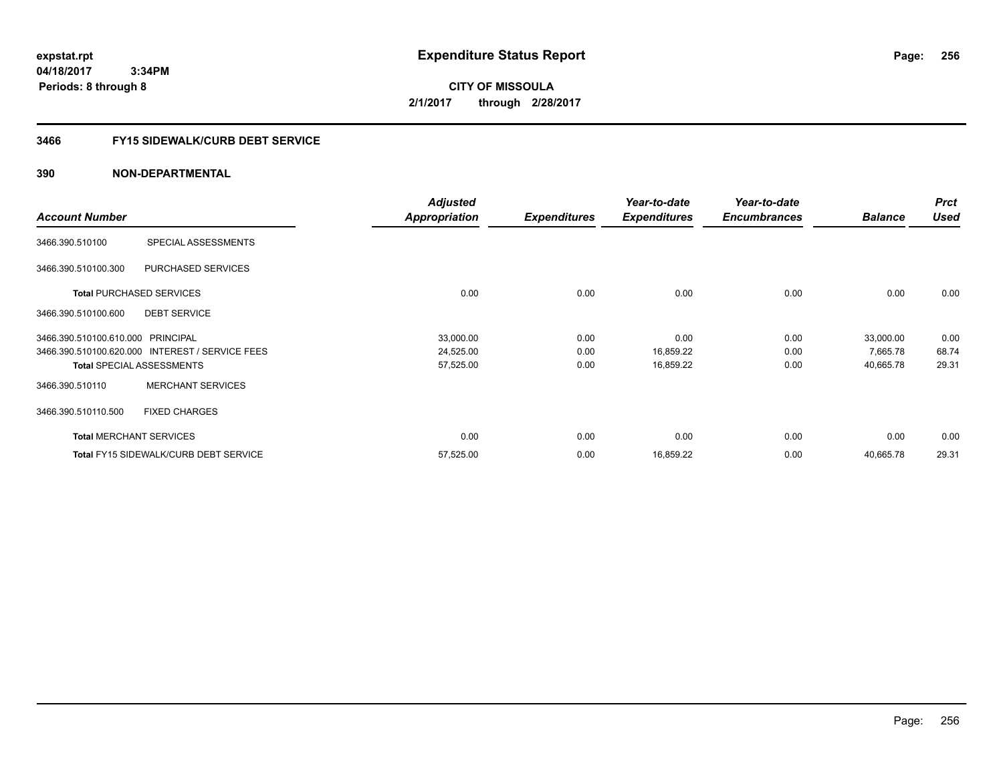**04/18/2017 3:34PM Periods: 8 through 8**

**CITY OF MISSOULA 2/1/2017 through 2/28/2017**

# **3466 FY15 SIDEWALK/CURB DEBT SERVICE**

|                                   |                                                 | <b>Adjusted</b>      |                     | Year-to-date        | Year-to-date        |                | <b>Prct</b> |
|-----------------------------------|-------------------------------------------------|----------------------|---------------------|---------------------|---------------------|----------------|-------------|
| <b>Account Number</b>             |                                                 | <b>Appropriation</b> | <b>Expenditures</b> | <b>Expenditures</b> | <b>Encumbrances</b> | <b>Balance</b> | <b>Used</b> |
| 3466.390.510100                   | SPECIAL ASSESSMENTS                             |                      |                     |                     |                     |                |             |
| 3466.390.510100.300               | PURCHASED SERVICES                              |                      |                     |                     |                     |                |             |
|                                   | <b>Total PURCHASED SERVICES</b>                 | 0.00                 | 0.00                | 0.00                | 0.00                | 0.00           | 0.00        |
| 3466.390.510100.600               | <b>DEBT SERVICE</b>                             |                      |                     |                     |                     |                |             |
| 3466.390.510100.610.000 PRINCIPAL |                                                 | 33,000.00            | 0.00                | 0.00                | 0.00                | 33,000.00      | 0.00        |
|                                   | 3466.390.510100.620.000 INTEREST / SERVICE FEES | 24,525.00            | 0.00                | 16,859.22           | 0.00                | 7,665.78       | 68.74       |
|                                   | <b>Total SPECIAL ASSESSMENTS</b>                | 57,525.00            | 0.00                | 16,859.22           | 0.00                | 40,665.78      | 29.31       |
| 3466.390.510110                   | <b>MERCHANT SERVICES</b>                        |                      |                     |                     |                     |                |             |
| 3466.390.510110.500               | <b>FIXED CHARGES</b>                            |                      |                     |                     |                     |                |             |
|                                   | <b>Total MERCHANT SERVICES</b>                  | 0.00                 | 0.00                | 0.00                | 0.00                | 0.00           | 0.00        |
|                                   | <b>Total FY15 SIDEWALK/CURB DEBT SERVICE</b>    | 57,525.00            | 0.00                | 16,859.22           | 0.00                | 40,665.78      | 29.31       |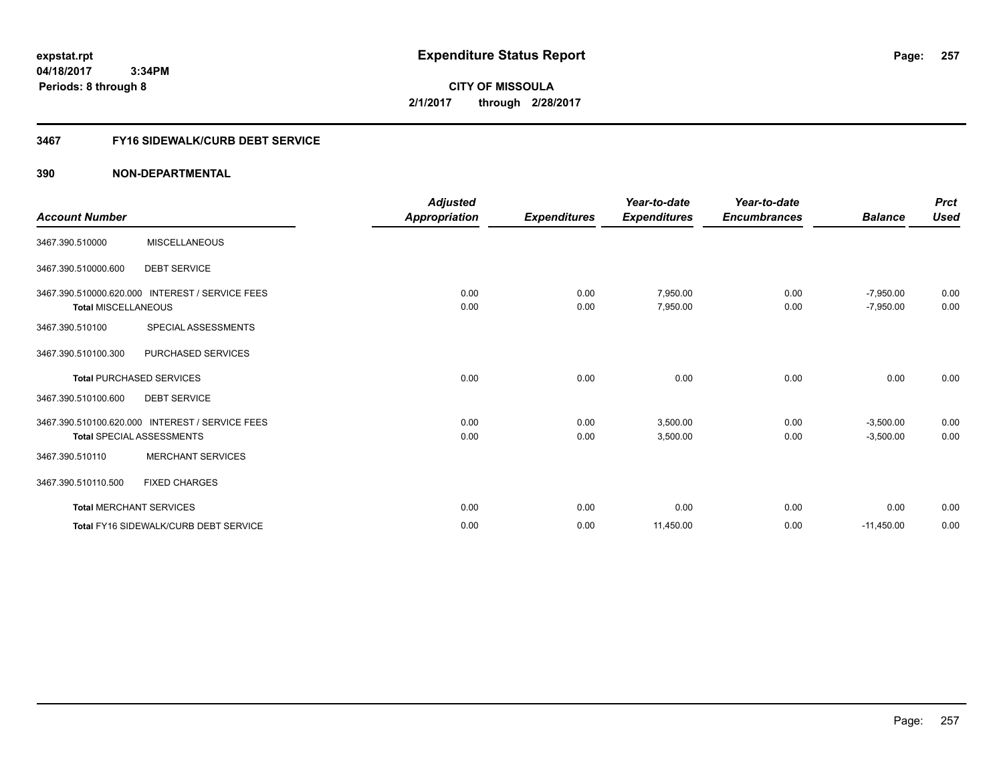**04/18/2017 3:34PM Periods: 8 through 8**

**CITY OF MISSOULA 2/1/2017 through 2/28/2017**

# **3467 FY16 SIDEWALK/CURB DEBT SERVICE**

| <b>Account Number</b>          |                                                 | <b>Adjusted</b><br>Appropriation | <b>Expenditures</b> | Year-to-date<br><b>Expenditures</b> | Year-to-date<br><b>Encumbrances</b> | <b>Balance</b> | <b>Prct</b><br><b>Used</b> |
|--------------------------------|-------------------------------------------------|----------------------------------|---------------------|-------------------------------------|-------------------------------------|----------------|----------------------------|
|                                |                                                 |                                  |                     |                                     |                                     |                |                            |
| 3467.390.510000                | <b>MISCELLANEOUS</b>                            |                                  |                     |                                     |                                     |                |                            |
| 3467.390.510000.600            | <b>DEBT SERVICE</b>                             |                                  |                     |                                     |                                     |                |                            |
|                                | 3467.390.510000.620.000 INTEREST / SERVICE FEES | 0.00                             | 0.00                | 7,950.00                            | 0.00                                | $-7,950.00$    | 0.00                       |
| <b>Total MISCELLANEOUS</b>     |                                                 | 0.00                             | 0.00                | 7,950.00                            | 0.00                                | $-7,950.00$    | 0.00                       |
| 3467.390.510100                | SPECIAL ASSESSMENTS                             |                                  |                     |                                     |                                     |                |                            |
| 3467.390.510100.300            | PURCHASED SERVICES                              |                                  |                     |                                     |                                     |                |                            |
|                                | <b>Total PURCHASED SERVICES</b>                 | 0.00                             | 0.00                | 0.00                                | 0.00                                | 0.00           | 0.00                       |
| 3467.390.510100.600            | <b>DEBT SERVICE</b>                             |                                  |                     |                                     |                                     |                |                            |
|                                | 3467.390.510100.620.000 INTEREST / SERVICE FEES | 0.00                             | 0.00                | 3,500.00                            | 0.00                                | $-3,500.00$    | 0.00                       |
|                                | <b>Total SPECIAL ASSESSMENTS</b>                | 0.00                             | 0.00                | 3,500.00                            | 0.00                                | $-3,500.00$    | 0.00                       |
| 3467.390.510110                | <b>MERCHANT SERVICES</b>                        |                                  |                     |                                     |                                     |                |                            |
| 3467.390.510110.500            | <b>FIXED CHARGES</b>                            |                                  |                     |                                     |                                     |                |                            |
| <b>Total MERCHANT SERVICES</b> |                                                 | 0.00                             | 0.00                | 0.00                                | 0.00                                | 0.00           | 0.00                       |
|                                | Total FY16 SIDEWALK/CURB DEBT SERVICE           | 0.00                             | 0.00                | 11,450.00                           | 0.00                                | $-11,450.00$   | 0.00                       |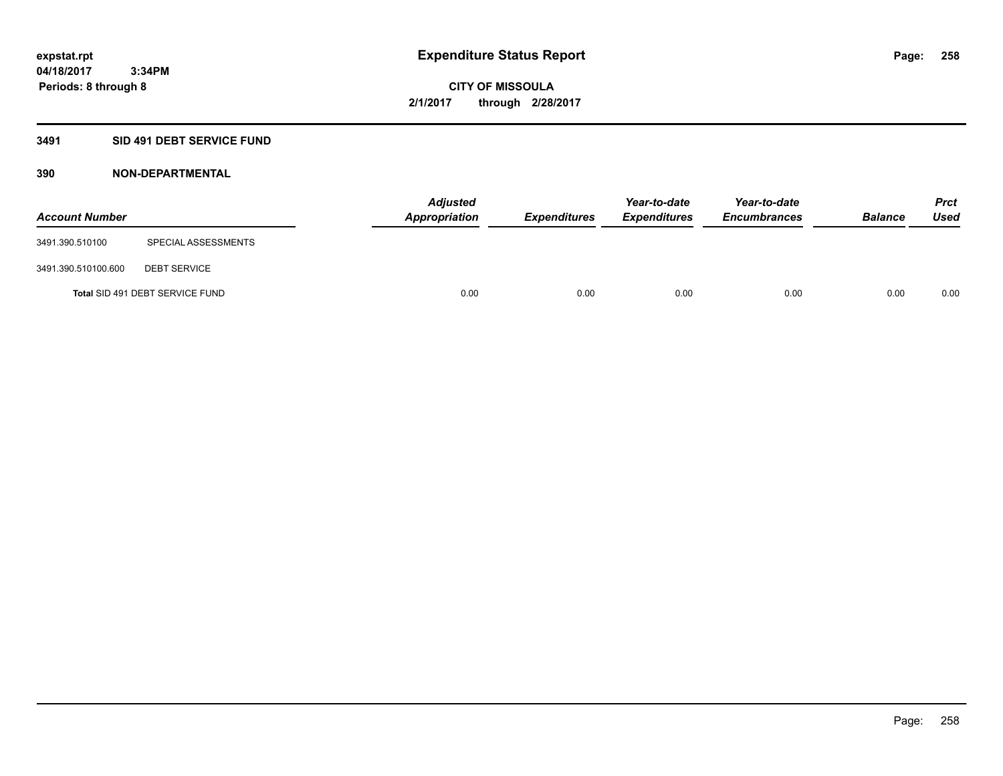# **3491 SID 491 DEBT SERVICE FUND**

| <b>Account Number</b> |                                 | <b>Adjusted</b><br>Appropriation | <b>Expenditures</b> | Year-to-date<br><b>Expenditures</b> | Year-to-date<br><b>Encumbrances</b> | <b>Balance</b> | Prct<br><b>Used</b> |
|-----------------------|---------------------------------|----------------------------------|---------------------|-------------------------------------|-------------------------------------|----------------|---------------------|
| 3491.390.510100       | SPECIAL ASSESSMENTS             |                                  |                     |                                     |                                     |                |                     |
| 3491.390.510100.600   | <b>DEBT SERVICE</b>             |                                  |                     |                                     |                                     |                |                     |
|                       | Total SID 491 DEBT SERVICE FUND | 0.00                             | 0.00                | 0.00                                | 0.00                                | 0.00           | 0.00                |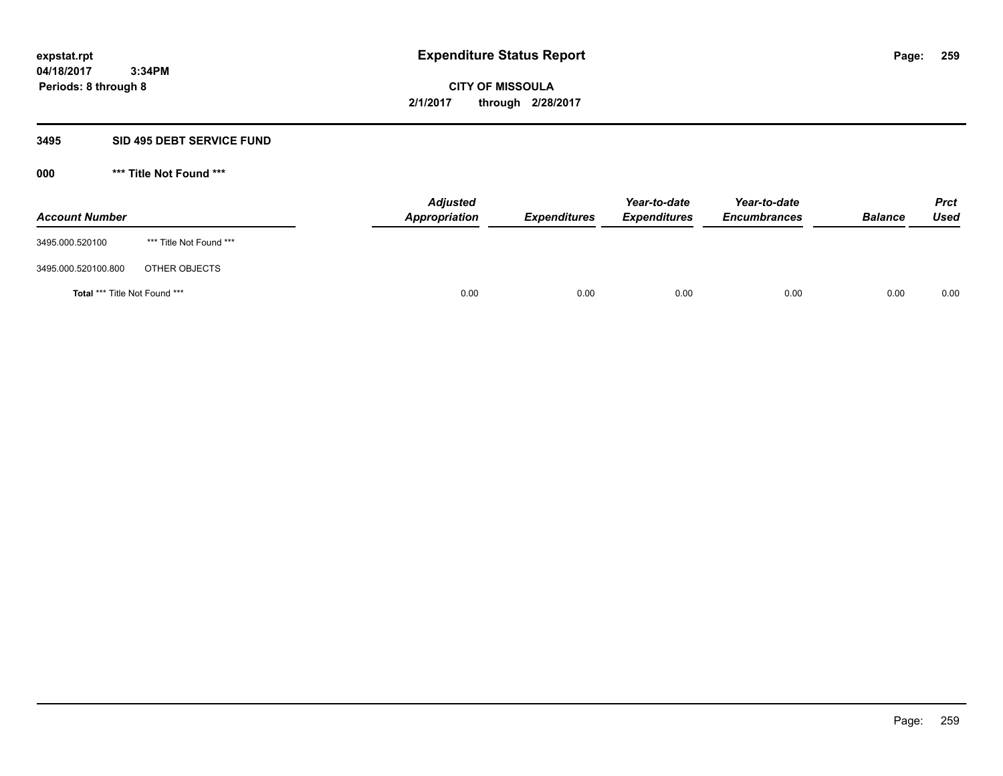### **3495 SID 495 DEBT SERVICE FUND**

| <b>Account Number</b>         |                         | <b>Adjusted</b><br>Appropriation | <b>Expenditures</b> | Year-to-date<br><b>Expenditures</b> | Year-to-date<br><b>Encumbrances</b> | <b>Balance</b> | <b>Prct</b><br>Used |
|-------------------------------|-------------------------|----------------------------------|---------------------|-------------------------------------|-------------------------------------|----------------|---------------------|
| 3495.000.520100               | *** Title Not Found *** |                                  |                     |                                     |                                     |                |                     |
| 3495.000.520100.800           | OTHER OBJECTS           |                                  |                     |                                     |                                     |                |                     |
| Total *** Title Not Found *** |                         | 0.00                             | 0.00                | 0.00                                | 0.00                                | 0.00           | 0.00                |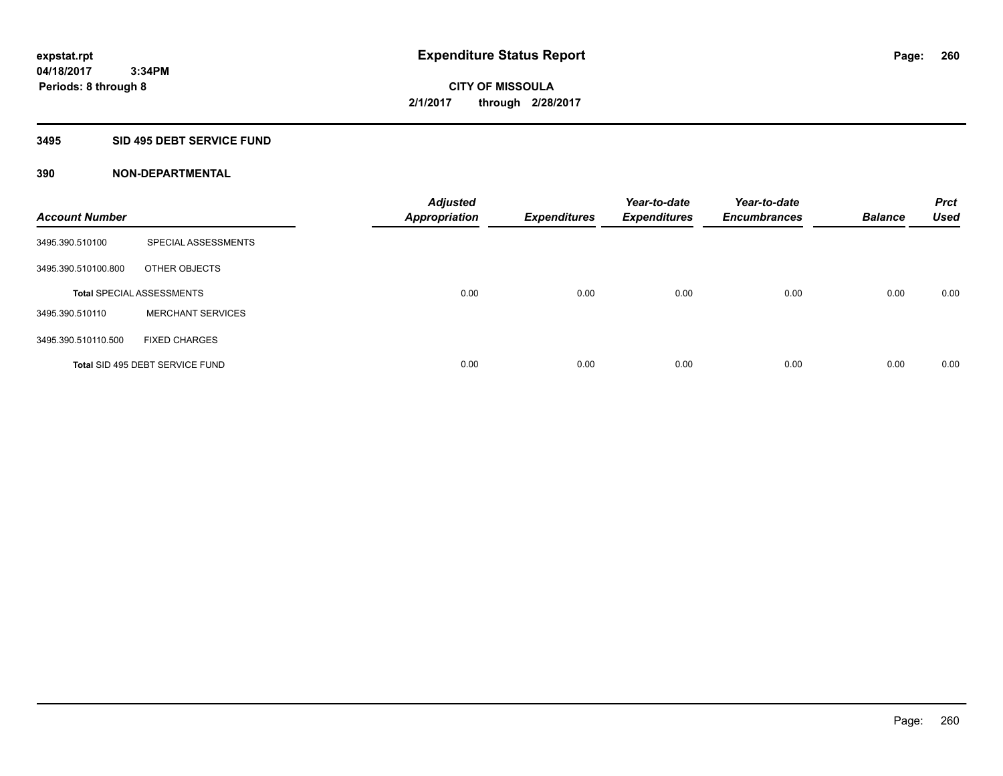# **3495 SID 495 DEBT SERVICE FUND**

| <b>Account Number</b> |                                  | <b>Adjusted</b><br><b>Appropriation</b> | <b>Expenditures</b> | Year-to-date<br><b>Expenditures</b> | Year-to-date<br><b>Encumbrances</b> | <b>Balance</b> | <b>Prct</b><br><b>Used</b> |
|-----------------------|----------------------------------|-----------------------------------------|---------------------|-------------------------------------|-------------------------------------|----------------|----------------------------|
| 3495.390.510100       | SPECIAL ASSESSMENTS              |                                         |                     |                                     |                                     |                |                            |
| 3495.390.510100.800   | OTHER OBJECTS                    |                                         |                     |                                     |                                     |                |                            |
|                       | <b>Total SPECIAL ASSESSMENTS</b> | 0.00                                    | 0.00                | 0.00                                | 0.00                                | 0.00           | 0.00                       |
| 3495.390.510110       | <b>MERCHANT SERVICES</b>         |                                         |                     |                                     |                                     |                |                            |
| 3495.390.510110.500   | <b>FIXED CHARGES</b>             |                                         |                     |                                     |                                     |                |                            |
|                       | Total SID 495 DEBT SERVICE FUND  | 0.00                                    | 0.00                | 0.00                                | 0.00                                | 0.00           | 0.00                       |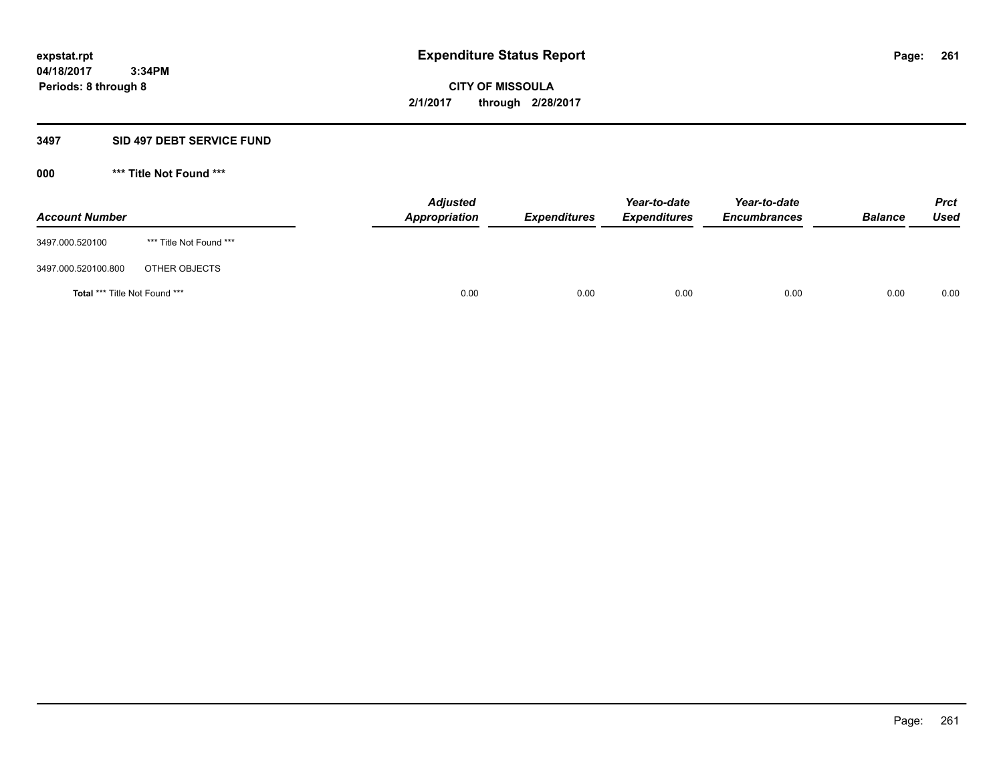#### **3497 SID 497 DEBT SERVICE FUND**

| <b>Account Number</b>         |                         | <b>Adjusted</b><br>Appropriation | <b>Expenditures</b> | Year-to-date<br><b>Expenditures</b> | Year-to-date<br><b>Encumbrances</b> | <b>Balance</b> | <b>Prct</b><br>Used |
|-------------------------------|-------------------------|----------------------------------|---------------------|-------------------------------------|-------------------------------------|----------------|---------------------|
| 3497.000.520100               | *** Title Not Found *** |                                  |                     |                                     |                                     |                |                     |
| 3497.000.520100.800           | OTHER OBJECTS           |                                  |                     |                                     |                                     |                |                     |
| Total *** Title Not Found *** |                         | 0.00                             | 0.00                | 0.00                                | 0.00                                | 0.00           | 0.00                |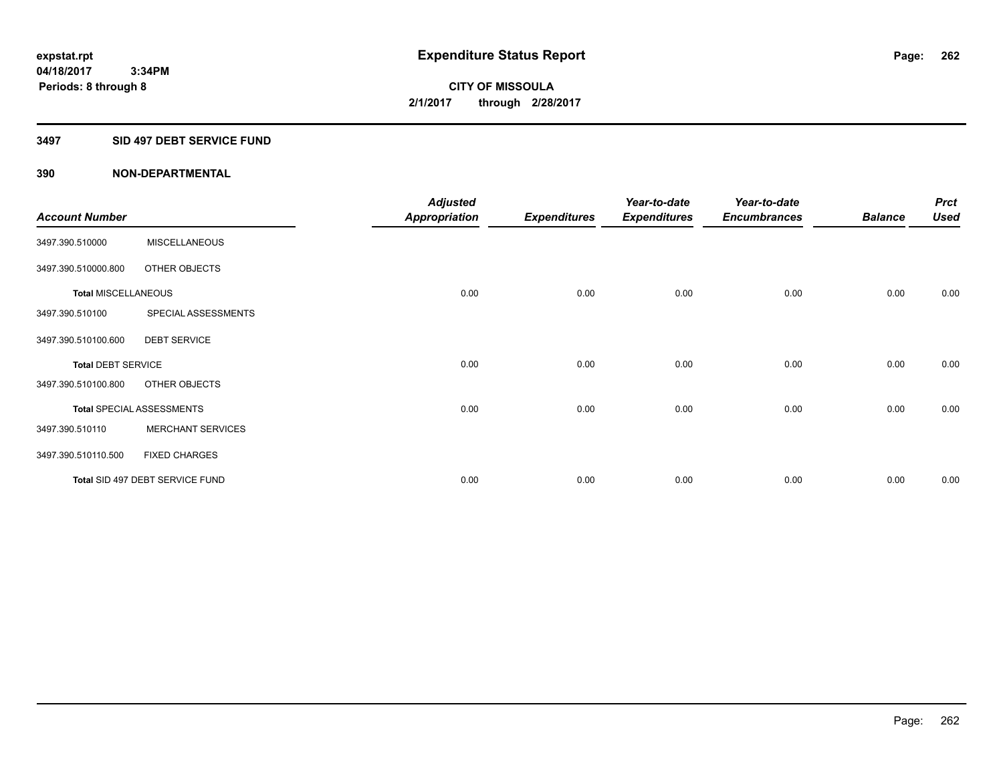# **3497 SID 497 DEBT SERVICE FUND**

|                            |                                  | <b>Adjusted</b> |                     | Year-to-date        | Year-to-date        |                | <b>Prct</b> |
|----------------------------|----------------------------------|-----------------|---------------------|---------------------|---------------------|----------------|-------------|
| <b>Account Number</b>      |                                  | Appropriation   | <b>Expenditures</b> | <b>Expenditures</b> | <b>Encumbrances</b> | <b>Balance</b> | <b>Used</b> |
| 3497.390.510000            | <b>MISCELLANEOUS</b>             |                 |                     |                     |                     |                |             |
| 3497.390.510000.800        | OTHER OBJECTS                    |                 |                     |                     |                     |                |             |
| <b>Total MISCELLANEOUS</b> |                                  | 0.00            | 0.00                | 0.00                | 0.00                | 0.00           | 0.00        |
| 3497.390.510100            | SPECIAL ASSESSMENTS              |                 |                     |                     |                     |                |             |
| 3497.390.510100.600        | <b>DEBT SERVICE</b>              |                 |                     |                     |                     |                |             |
| <b>Total DEBT SERVICE</b>  |                                  | 0.00            | 0.00                | 0.00                | 0.00                | 0.00           | 0.00        |
| 3497.390.510100.800        | OTHER OBJECTS                    |                 |                     |                     |                     |                |             |
|                            | <b>Total SPECIAL ASSESSMENTS</b> | 0.00            | 0.00                | 0.00                | 0.00                | 0.00           | 0.00        |
| 3497.390.510110            | <b>MERCHANT SERVICES</b>         |                 |                     |                     |                     |                |             |
| 3497.390.510110.500        | <b>FIXED CHARGES</b>             |                 |                     |                     |                     |                |             |
|                            | Total SID 497 DEBT SERVICE FUND  | 0.00            | 0.00                | 0.00                | 0.00                | 0.00           | 0.00        |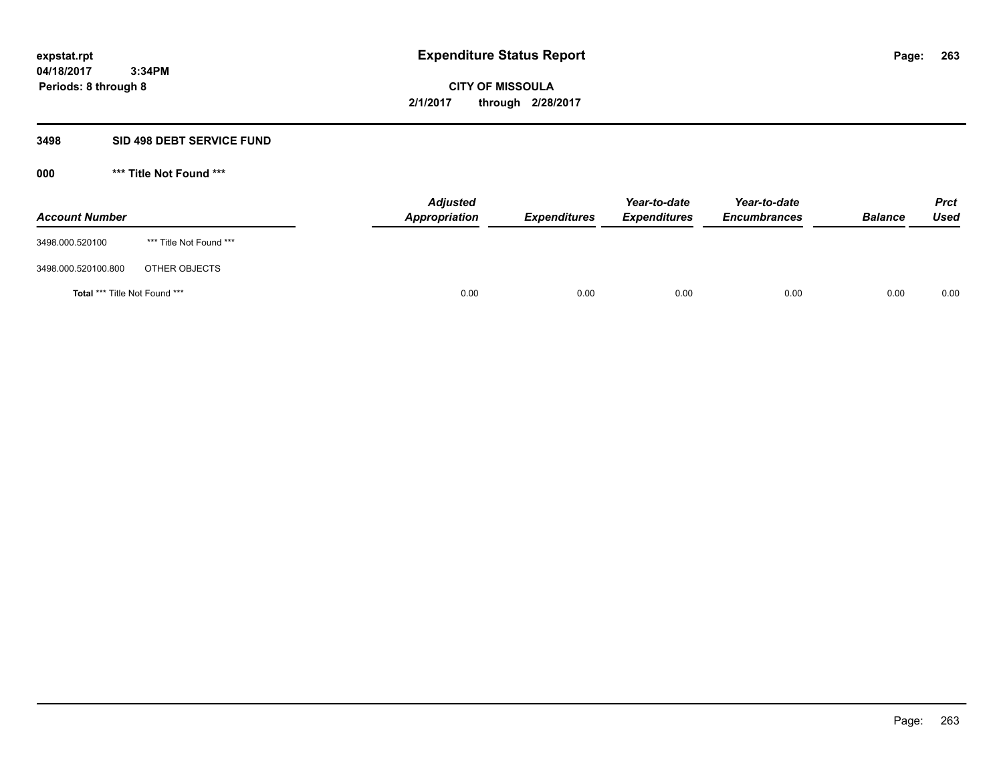**Periods: 8 through 8**

**CITY OF MISSOULA 2/1/2017 through 2/28/2017**

### **3498 SID 498 DEBT SERVICE FUND**

| <b>Account Number</b>         |                         | <b>Adjusted</b><br>Appropriation | <b>Expenditures</b> | Year-to-date<br><b>Expenditures</b> | Year-to-date<br><b>Encumbrances</b> | <b>Balance</b> | <b>Prct</b><br>Used |
|-------------------------------|-------------------------|----------------------------------|---------------------|-------------------------------------|-------------------------------------|----------------|---------------------|
| 3498.000.520100               | *** Title Not Found *** |                                  |                     |                                     |                                     |                |                     |
| 3498.000.520100.800           | OTHER OBJECTS           |                                  |                     |                                     |                                     |                |                     |
| Total *** Title Not Found *** |                         | 0.00                             | 0.00                | 0.00                                | 0.00                                | 0.00           | 0.00                |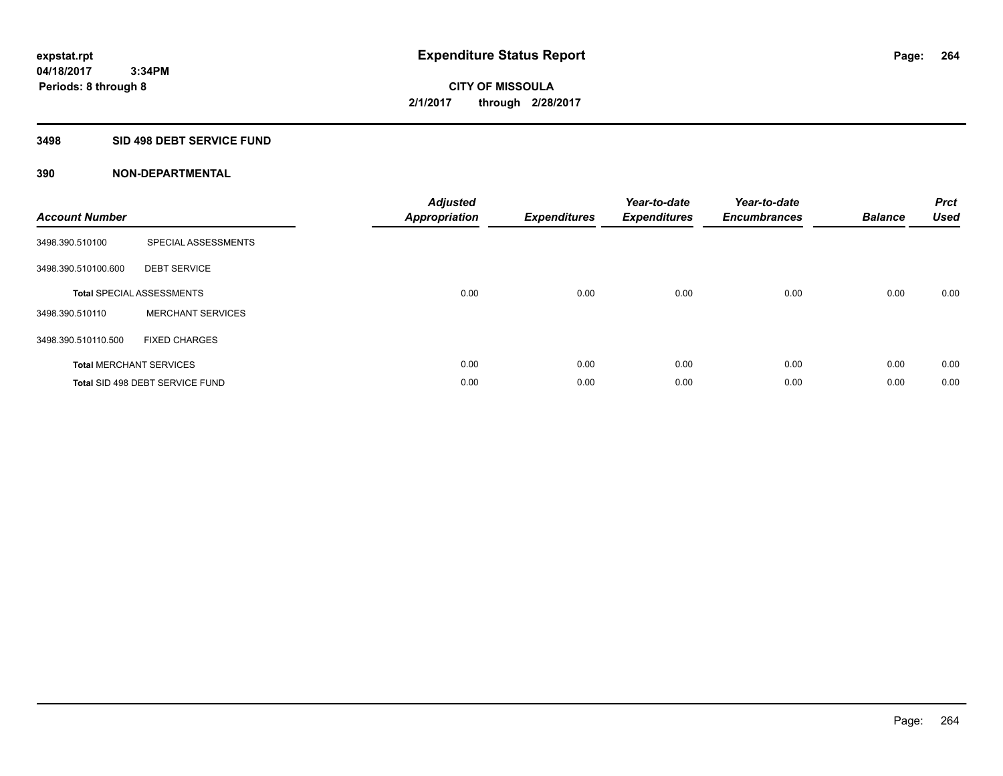# **3498 SID 498 DEBT SERVICE FUND**

| <b>Account Number</b> |                                  | <b>Adjusted</b><br>Appropriation | <b>Expenditures</b> | Year-to-date<br><b>Expenditures</b> | Year-to-date<br><b>Encumbrances</b> | <b>Balance</b> | <b>Prct</b><br><b>Used</b> |
|-----------------------|----------------------------------|----------------------------------|---------------------|-------------------------------------|-------------------------------------|----------------|----------------------------|
| 3498.390.510100       | SPECIAL ASSESSMENTS              |                                  |                     |                                     |                                     |                |                            |
| 3498.390.510100.600   | <b>DEBT SERVICE</b>              |                                  |                     |                                     |                                     |                |                            |
|                       | <b>Total SPECIAL ASSESSMENTS</b> | 0.00                             | 0.00                | 0.00                                | 0.00                                | 0.00           | 0.00                       |
| 3498.390.510110       | <b>MERCHANT SERVICES</b>         |                                  |                     |                                     |                                     |                |                            |
| 3498.390.510110.500   | <b>FIXED CHARGES</b>             |                                  |                     |                                     |                                     |                |                            |
|                       | <b>Total MERCHANT SERVICES</b>   | 0.00                             | 0.00                | 0.00                                | 0.00                                | 0.00           | 0.00                       |
|                       | Total SID 498 DEBT SERVICE FUND  | 0.00                             | 0.00                | 0.00                                | 0.00                                | 0.00           | 0.00                       |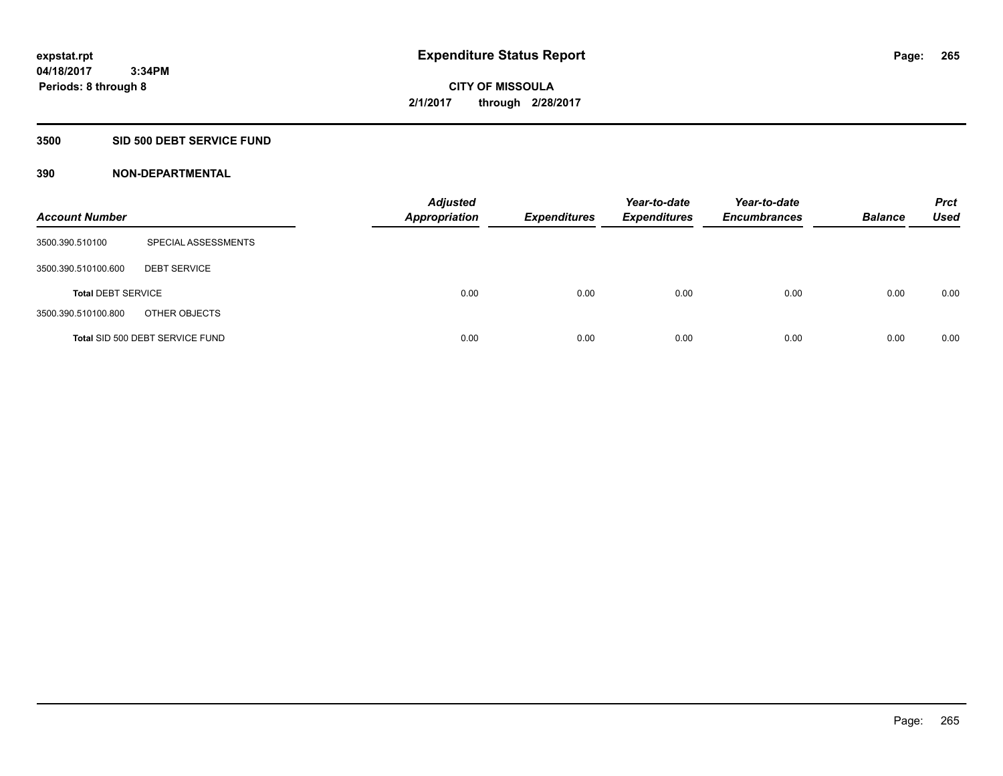# **3500 SID 500 DEBT SERVICE FUND**

| <b>Account Number</b>     |                                 | <b>Adjusted</b><br><b>Appropriation</b> | <b>Expenditures</b> | Year-to-date<br><b>Expenditures</b> | Year-to-date<br><b>Encumbrances</b> | <b>Balance</b> | <b>Prct</b><br><b>Used</b> |
|---------------------------|---------------------------------|-----------------------------------------|---------------------|-------------------------------------|-------------------------------------|----------------|----------------------------|
| 3500.390.510100           | SPECIAL ASSESSMENTS             |                                         |                     |                                     |                                     |                |                            |
| 3500.390.510100.600       | <b>DEBT SERVICE</b>             |                                         |                     |                                     |                                     |                |                            |
| <b>Total DEBT SERVICE</b> |                                 | 0.00                                    | 0.00                | 0.00                                | 0.00                                | 0.00           | 0.00                       |
| 3500.390.510100.800       | OTHER OBJECTS                   |                                         |                     |                                     |                                     |                |                            |
|                           | Total SID 500 DEBT SERVICE FUND | 0.00                                    | 0.00                | 0.00                                | 0.00                                | 0.00           | 0.00                       |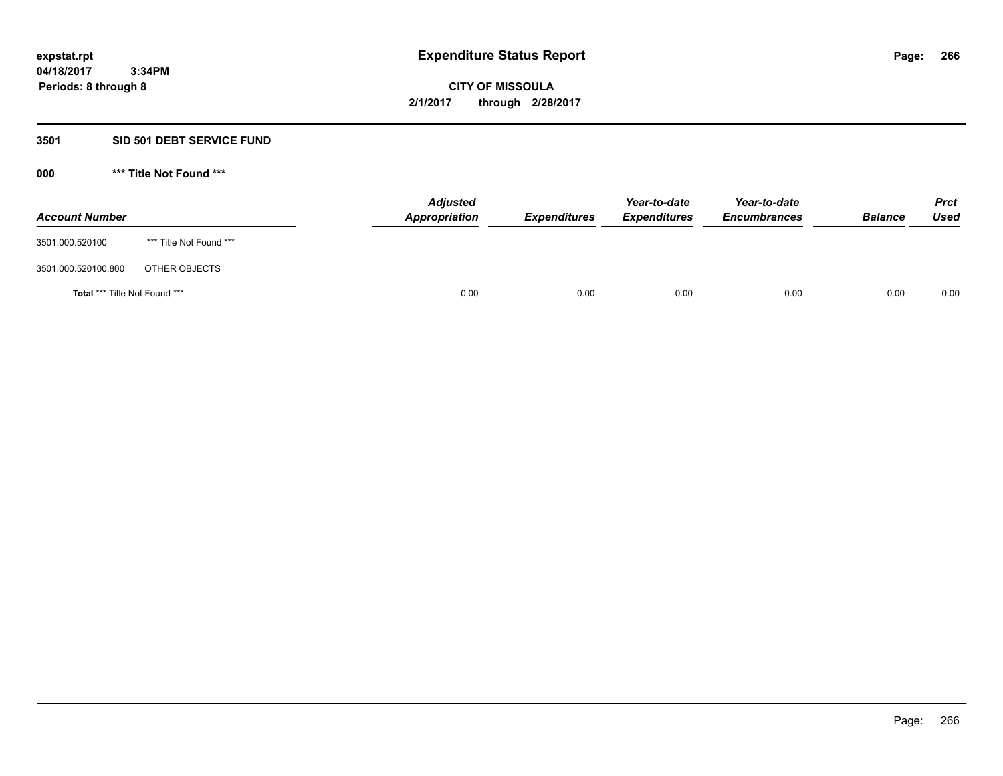# **3501 SID 501 DEBT SERVICE FUND**

| <b>Account Number</b>         |                         | <b>Adjusted</b><br>Appropriation | <b>Expenditures</b> | Year-to-date<br><b>Expenditures</b> | Year-to-date<br><b>Encumbrances</b> | <b>Balance</b> | <b>Prct</b><br>Used |
|-------------------------------|-------------------------|----------------------------------|---------------------|-------------------------------------|-------------------------------------|----------------|---------------------|
| 3501.000.520100               | *** Title Not Found *** |                                  |                     |                                     |                                     |                |                     |
| 3501.000.520100.800           | OTHER OBJECTS           |                                  |                     |                                     |                                     |                |                     |
| Total *** Title Not Found *** |                         | 0.00                             | 0.00                | 0.00                                | 0.00                                | 0.00           | 0.00                |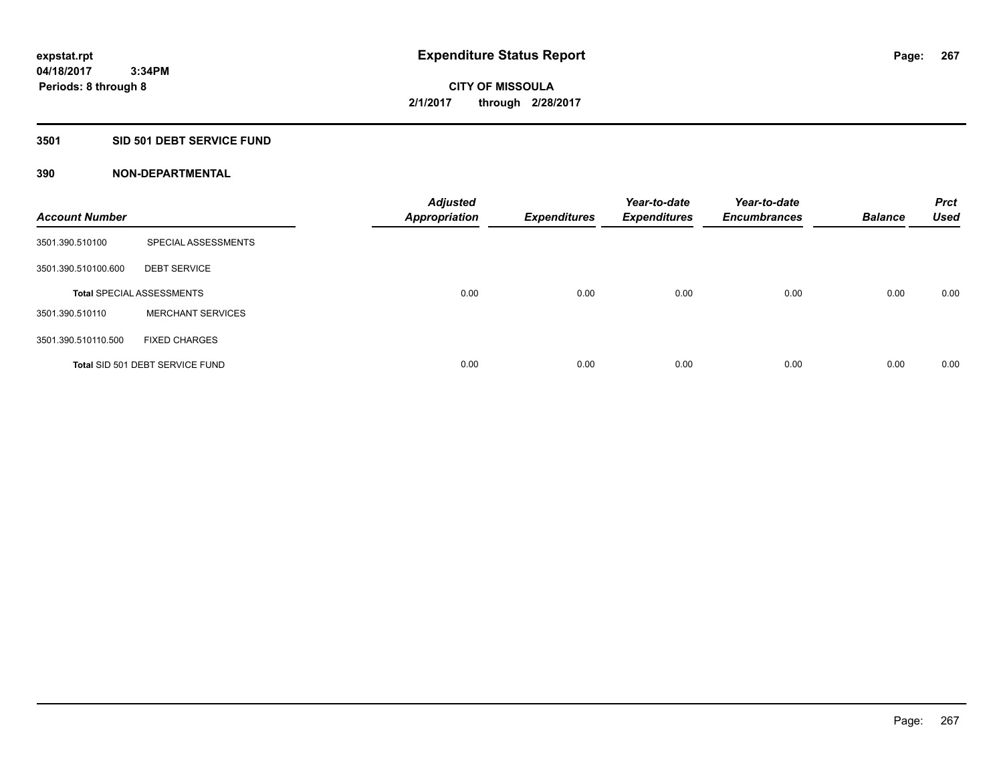# **3501 SID 501 DEBT SERVICE FUND**

| <b>Account Number</b> |                                  | <b>Adjusted</b><br><b>Appropriation</b> | <b>Expenditures</b> | Year-to-date<br><b>Expenditures</b> | Year-to-date<br><b>Encumbrances</b> | <b>Balance</b> | <b>Prct</b><br><b>Used</b> |
|-----------------------|----------------------------------|-----------------------------------------|---------------------|-------------------------------------|-------------------------------------|----------------|----------------------------|
| 3501.390.510100       | SPECIAL ASSESSMENTS              |                                         |                     |                                     |                                     |                |                            |
| 3501.390.510100.600   | <b>DEBT SERVICE</b>              |                                         |                     |                                     |                                     |                |                            |
|                       | <b>Total SPECIAL ASSESSMENTS</b> | 0.00                                    | 0.00                | 0.00                                | 0.00                                | 0.00           | 0.00                       |
| 3501.390.510110       | <b>MERCHANT SERVICES</b>         |                                         |                     |                                     |                                     |                |                            |
| 3501.390.510110.500   | <b>FIXED CHARGES</b>             |                                         |                     |                                     |                                     |                |                            |
|                       | Total SID 501 DEBT SERVICE FUND  | 0.00                                    | 0.00                | 0.00                                | 0.00                                | 0.00           | 0.00                       |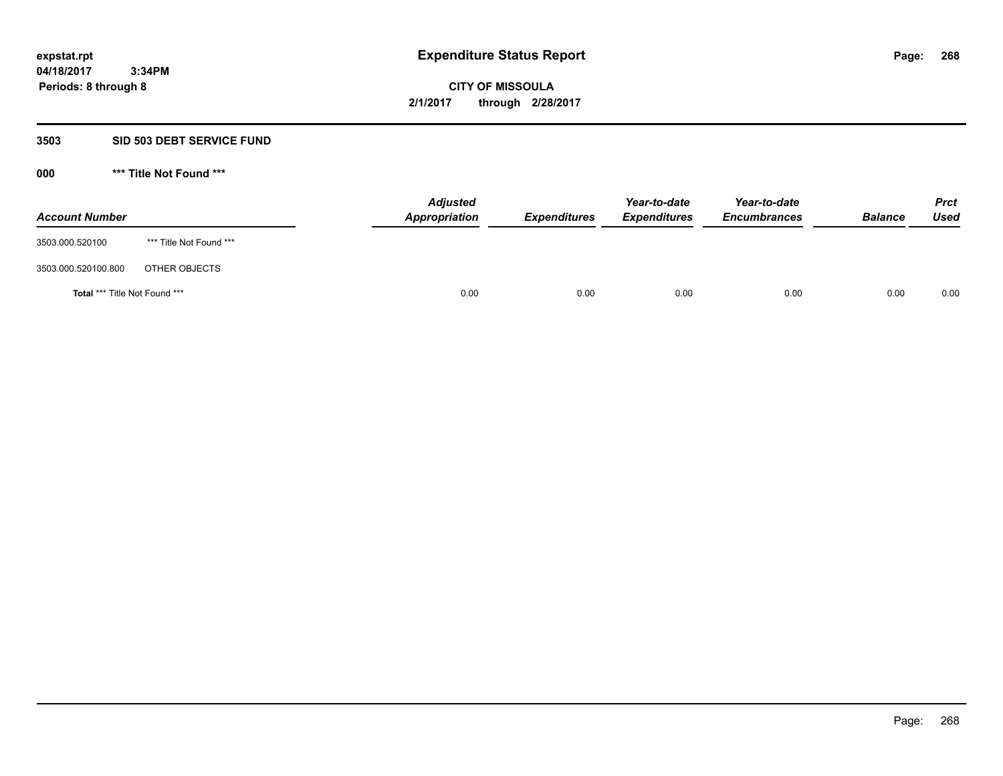### **3503 SID 503 DEBT SERVICE FUND**

| <b>Account Number</b>                |                         | <b>Adjusted</b><br>Appropriation | <b>Expenditures</b> | Year-to-date<br><b>Expenditures</b> | Year-to-date<br><b>Encumbrances</b> | <b>Balance</b> | <b>Prct</b><br>Used |
|--------------------------------------|-------------------------|----------------------------------|---------------------|-------------------------------------|-------------------------------------|----------------|---------------------|
| 3503.000.520100                      | *** Title Not Found *** |                                  |                     |                                     |                                     |                |                     |
| 3503.000.520100.800                  | OTHER OBJECTS           |                                  |                     |                                     |                                     |                |                     |
| <b>Total *** Title Not Found ***</b> |                         |                                  | 0.00<br>0.00        | 0.00                                | 0.00                                | 0.00           | 0.00                |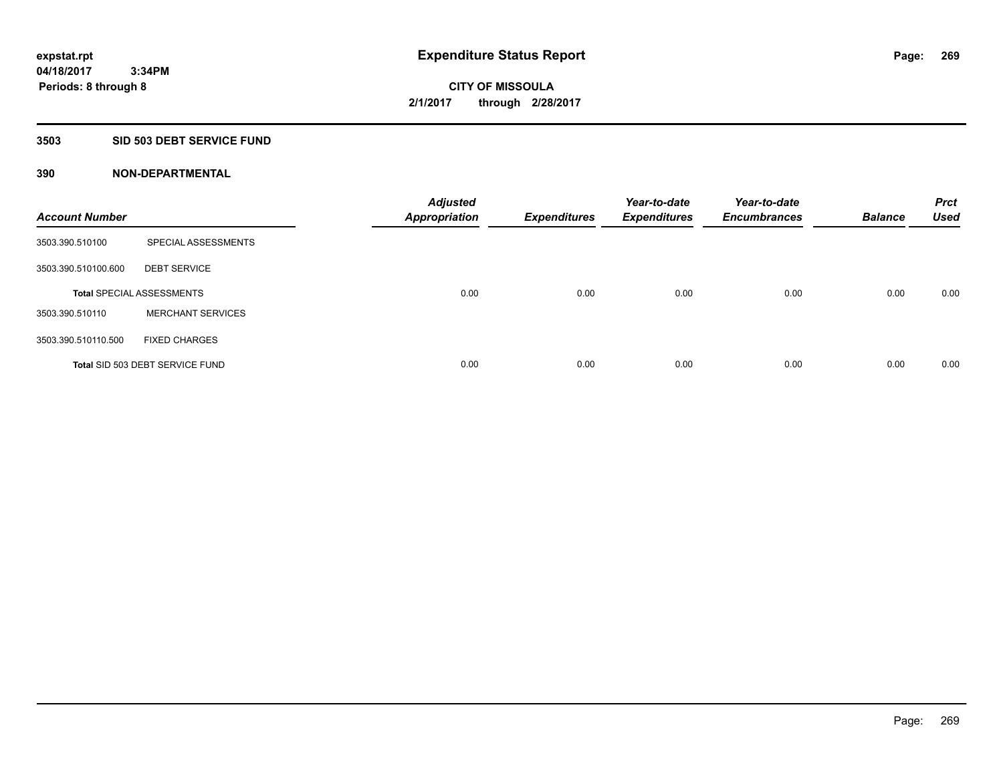# **3503 SID 503 DEBT SERVICE FUND**

| <b>Account Number</b> |                                  | <b>Adjusted</b><br><b>Appropriation</b> | <b>Expenditures</b> | Year-to-date<br><b>Expenditures</b> | Year-to-date<br><b>Encumbrances</b> | <b>Balance</b> | <b>Prct</b><br><b>Used</b> |
|-----------------------|----------------------------------|-----------------------------------------|---------------------|-------------------------------------|-------------------------------------|----------------|----------------------------|
| 3503.390.510100       | SPECIAL ASSESSMENTS              |                                         |                     |                                     |                                     |                |                            |
| 3503.390.510100.600   | <b>DEBT SERVICE</b>              |                                         |                     |                                     |                                     |                |                            |
|                       | <b>Total SPECIAL ASSESSMENTS</b> | 0.00                                    | 0.00                | 0.00                                | 0.00                                | 0.00           | 0.00                       |
| 3503.390.510110       | <b>MERCHANT SERVICES</b>         |                                         |                     |                                     |                                     |                |                            |
| 3503.390.510110.500   | <b>FIXED CHARGES</b>             |                                         |                     |                                     |                                     |                |                            |
|                       | Total SID 503 DEBT SERVICE FUND  | 0.00                                    | 0.00                | 0.00                                | 0.00                                | 0.00           | 0.00                       |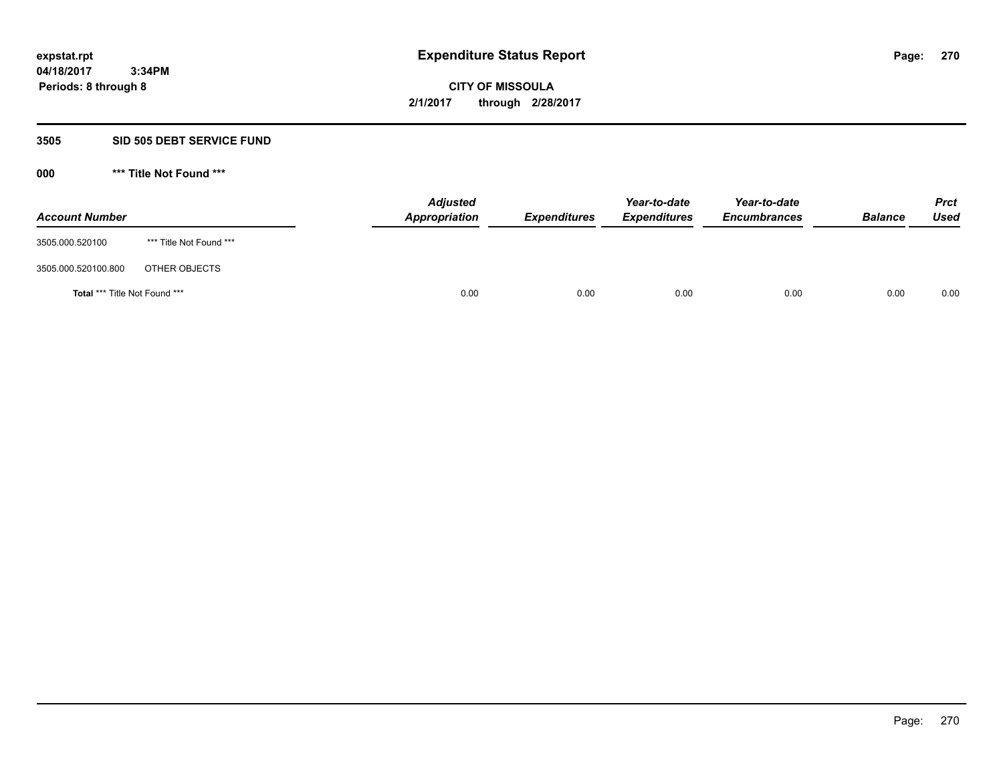### **3505 SID 505 DEBT SERVICE FUND**

| <b>Account Number</b>         |                         | <b>Adjusted</b><br>Appropriation | <b>Expenditures</b> | Year-to-date<br><b>Expenditures</b> | Year-to-date<br><b>Encumbrances</b> | <b>Balance</b> | <b>Prct</b><br>Used |
|-------------------------------|-------------------------|----------------------------------|---------------------|-------------------------------------|-------------------------------------|----------------|---------------------|
| 3505.000.520100               | *** Title Not Found *** |                                  |                     |                                     |                                     |                |                     |
| 3505.000.520100.800           | OTHER OBJECTS           |                                  |                     |                                     |                                     |                |                     |
| Total *** Title Not Found *** |                         | 0.00                             | 0.00                | 0.00                                | 0.00                                | 0.00           | 0.00                |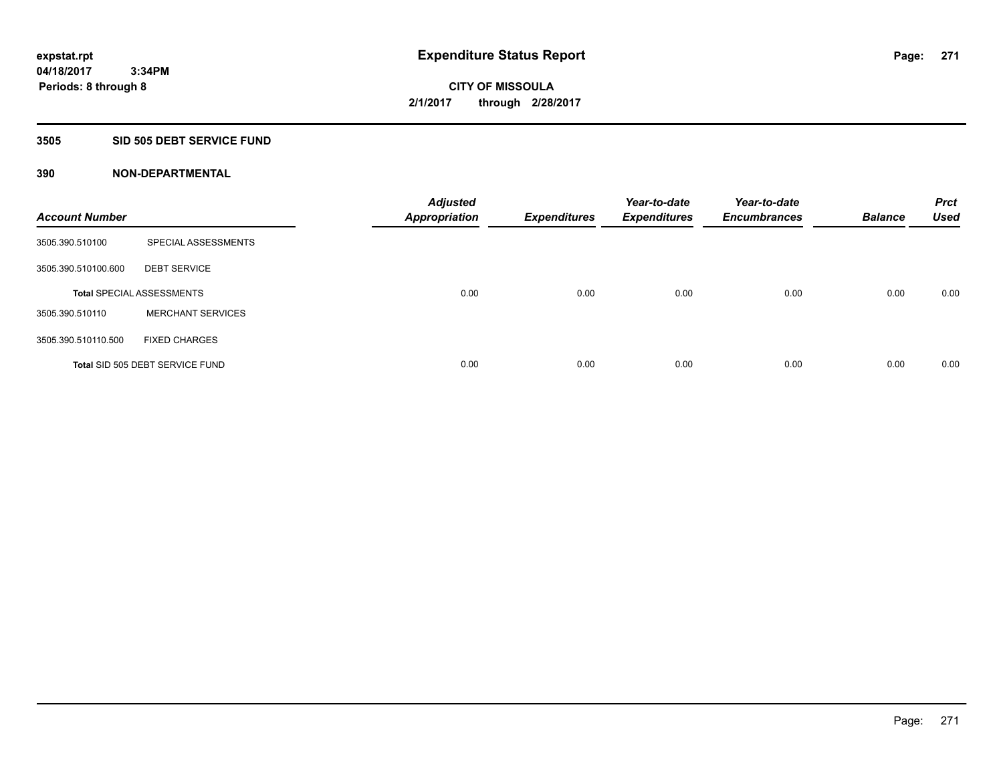# **3505 SID 505 DEBT SERVICE FUND**

| <b>Account Number</b> |                                  | <b>Adjusted</b><br><b>Appropriation</b> | <b>Expenditures</b> | Year-to-date<br><b>Expenditures</b> | Year-to-date<br><b>Encumbrances</b> | <b>Balance</b> | <b>Prct</b><br><b>Used</b> |
|-----------------------|----------------------------------|-----------------------------------------|---------------------|-------------------------------------|-------------------------------------|----------------|----------------------------|
| 3505.390.510100       | SPECIAL ASSESSMENTS              |                                         |                     |                                     |                                     |                |                            |
| 3505.390.510100.600   | <b>DEBT SERVICE</b>              |                                         |                     |                                     |                                     |                |                            |
|                       | <b>Total SPECIAL ASSESSMENTS</b> | 0.00                                    | 0.00                | 0.00                                | 0.00                                | 0.00           | 0.00                       |
| 3505.390.510110       | <b>MERCHANT SERVICES</b>         |                                         |                     |                                     |                                     |                |                            |
| 3505.390.510110.500   | <b>FIXED CHARGES</b>             |                                         |                     |                                     |                                     |                |                            |
|                       | Total SID 505 DEBT SERVICE FUND  | 0.00                                    | 0.00                | 0.00                                | 0.00                                | 0.00           | 0.00                       |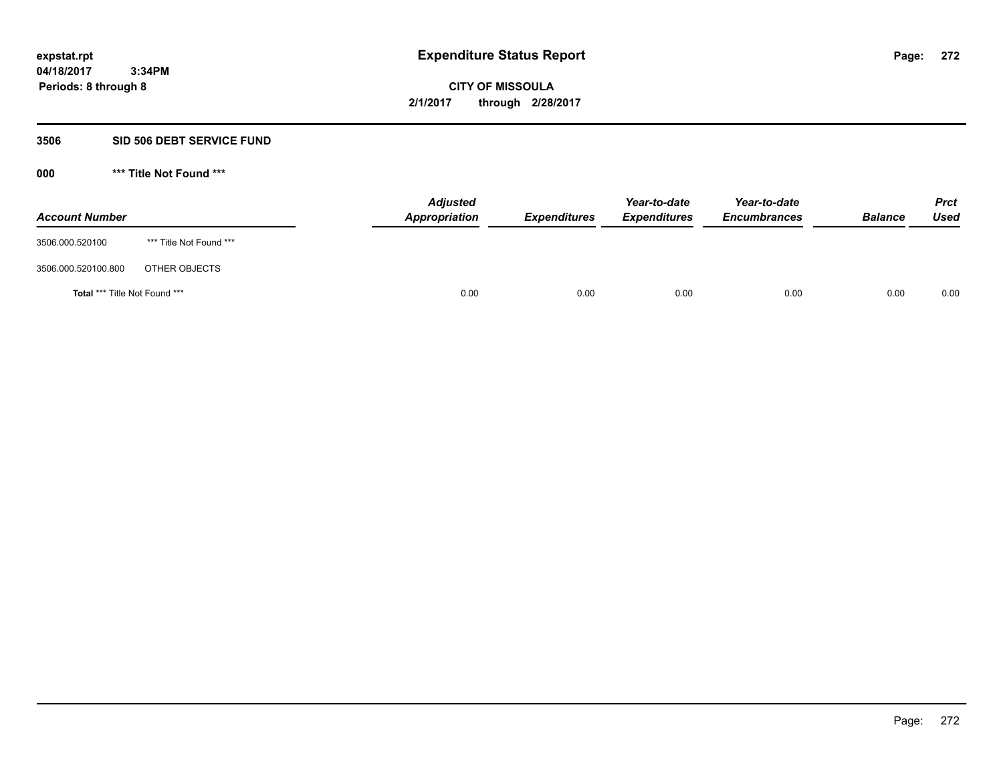**Periods: 8 through 8**

**CITY OF MISSOULA 2/1/2017 through 2/28/2017**

#### **3506 SID 506 DEBT SERVICE FUND**

| <b>Account Number</b>                |                         | <b>Adjusted</b><br>Appropriation | <b>Expenditures</b> | Year-to-date<br><b>Expenditures</b> | Year-to-date<br><b>Encumbrances</b> | <b>Balance</b> | <b>Prct</b><br><b>Used</b> |
|--------------------------------------|-------------------------|----------------------------------|---------------------|-------------------------------------|-------------------------------------|----------------|----------------------------|
| 3506.000.520100                      | *** Title Not Found *** |                                  |                     |                                     |                                     |                |                            |
| 3506.000.520100.800                  | OTHER OBJECTS           |                                  |                     |                                     |                                     |                |                            |
| <b>Total *** Title Not Found ***</b> |                         | 0.00                             | 0.00                | 0.00                                | 0.00                                | 0.00           | 0.00                       |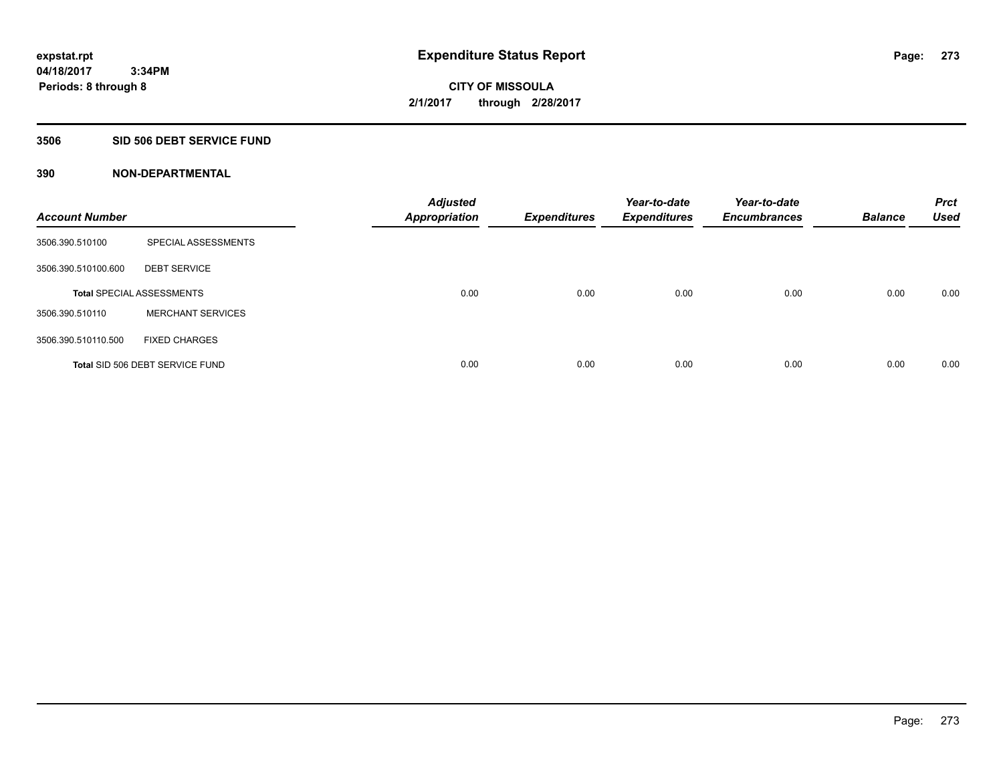# **3506 SID 506 DEBT SERVICE FUND**

| <b>Account Number</b> |                                  | <b>Adjusted</b><br><b>Appropriation</b> | <b>Expenditures</b> | Year-to-date<br><b>Expenditures</b> | Year-to-date<br><b>Encumbrances</b> | <b>Balance</b> | <b>Prct</b><br><b>Used</b> |
|-----------------------|----------------------------------|-----------------------------------------|---------------------|-------------------------------------|-------------------------------------|----------------|----------------------------|
| 3506.390.510100       | SPECIAL ASSESSMENTS              |                                         |                     |                                     |                                     |                |                            |
| 3506.390.510100.600   | <b>DEBT SERVICE</b>              |                                         |                     |                                     |                                     |                |                            |
|                       | <b>Total SPECIAL ASSESSMENTS</b> | 0.00                                    | 0.00                | 0.00                                | 0.00                                | 0.00           | 0.00                       |
| 3506.390.510110       | <b>MERCHANT SERVICES</b>         |                                         |                     |                                     |                                     |                |                            |
| 3506.390.510110.500   | <b>FIXED CHARGES</b>             |                                         |                     |                                     |                                     |                |                            |
|                       | Total SID 506 DEBT SERVICE FUND  | 0.00                                    | 0.00                | 0.00                                | 0.00                                | 0.00           | 0.00                       |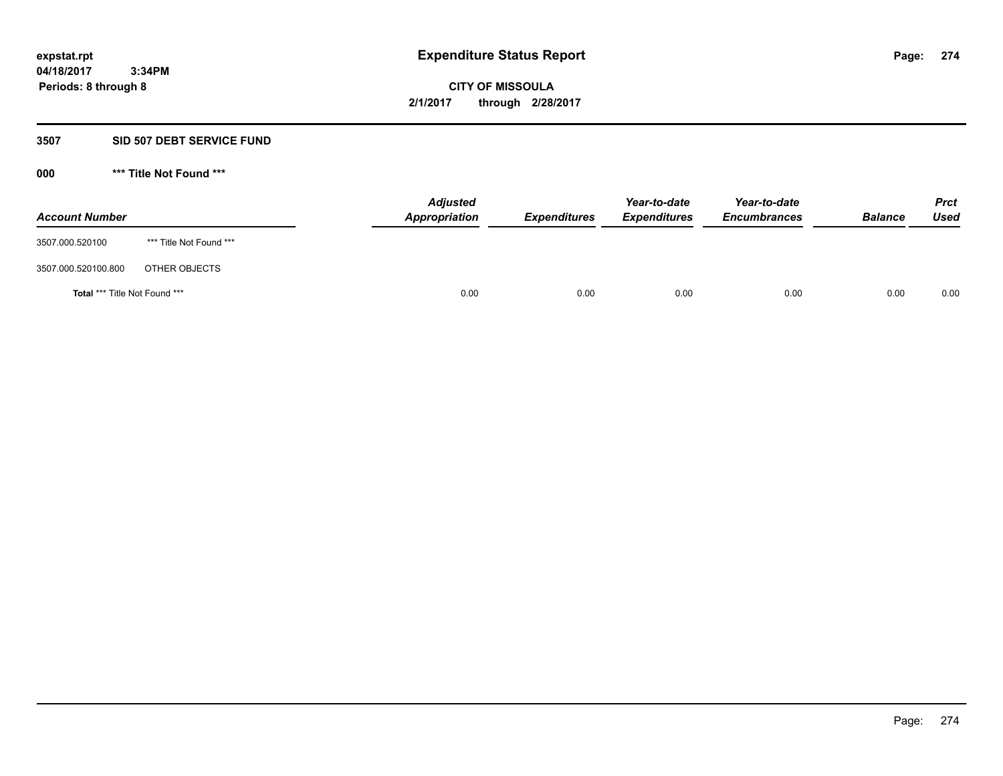#### **3507 SID 507 DEBT SERVICE FUND**

| <b>Account Number</b>         |                         | <b>Adjusted</b><br>Appropriation | <b>Expenditures</b> | Year-to-date<br><b>Expenditures</b> | Year-to-date<br><b>Encumbrances</b> | <b>Balance</b> | <b>Prct</b><br>Used |
|-------------------------------|-------------------------|----------------------------------|---------------------|-------------------------------------|-------------------------------------|----------------|---------------------|
| 3507.000.520100               | *** Title Not Found *** |                                  |                     |                                     |                                     |                |                     |
| 3507.000.520100.800           | OTHER OBJECTS           |                                  |                     |                                     |                                     |                |                     |
| Total *** Title Not Found *** |                         | 0.00                             | 0.00                | 0.00                                | 0.00                                | 0.00           | 0.00                |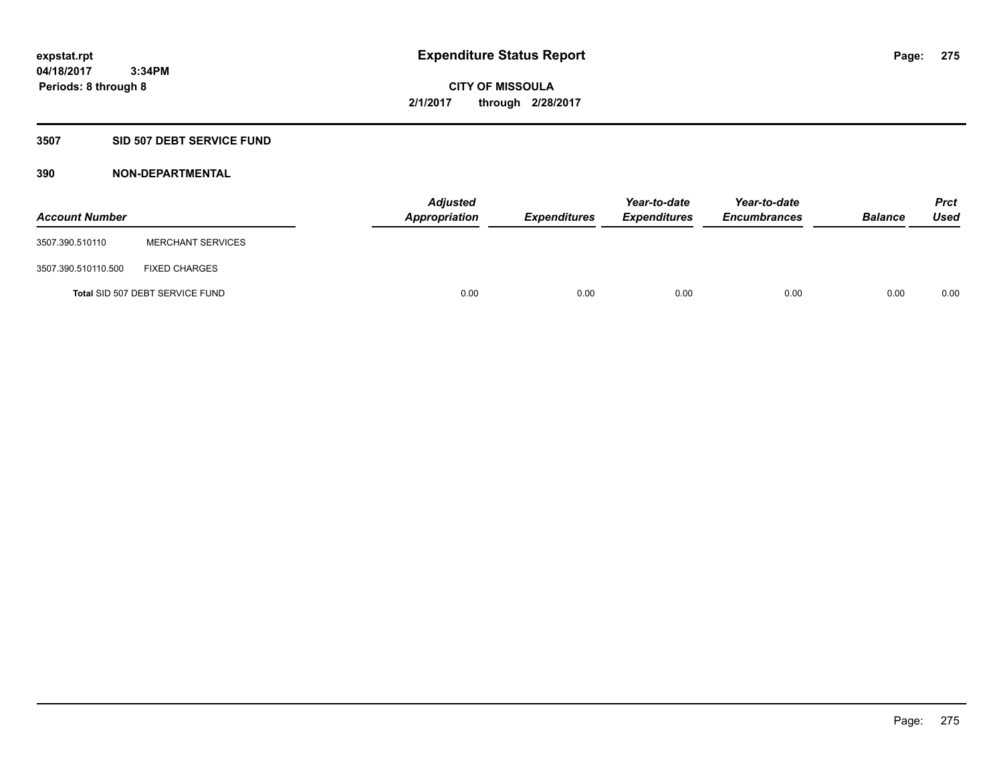# **3507 SID 507 DEBT SERVICE FUND**

| <b>Account Number</b> |                                 | <b>Adjusted</b><br>Appropriation | <b>Expenditures</b> | Year-to-date<br><b>Expenditures</b> | Year-to-date<br><b>Encumbrances</b> | <b>Balance</b> | <b>Prct</b><br><b>Used</b> |
|-----------------------|---------------------------------|----------------------------------|---------------------|-------------------------------------|-------------------------------------|----------------|----------------------------|
| 3507.390.510110       | <b>MERCHANT SERVICES</b>        |                                  |                     |                                     |                                     |                |                            |
| 3507.390.510110.500   | <b>FIXED CHARGES</b>            |                                  |                     |                                     |                                     |                |                            |
|                       | Total SID 507 DEBT SERVICE FUND | 0.00                             | 0.00                | 0.00                                | 0.00                                | 0.00           | 0.00                       |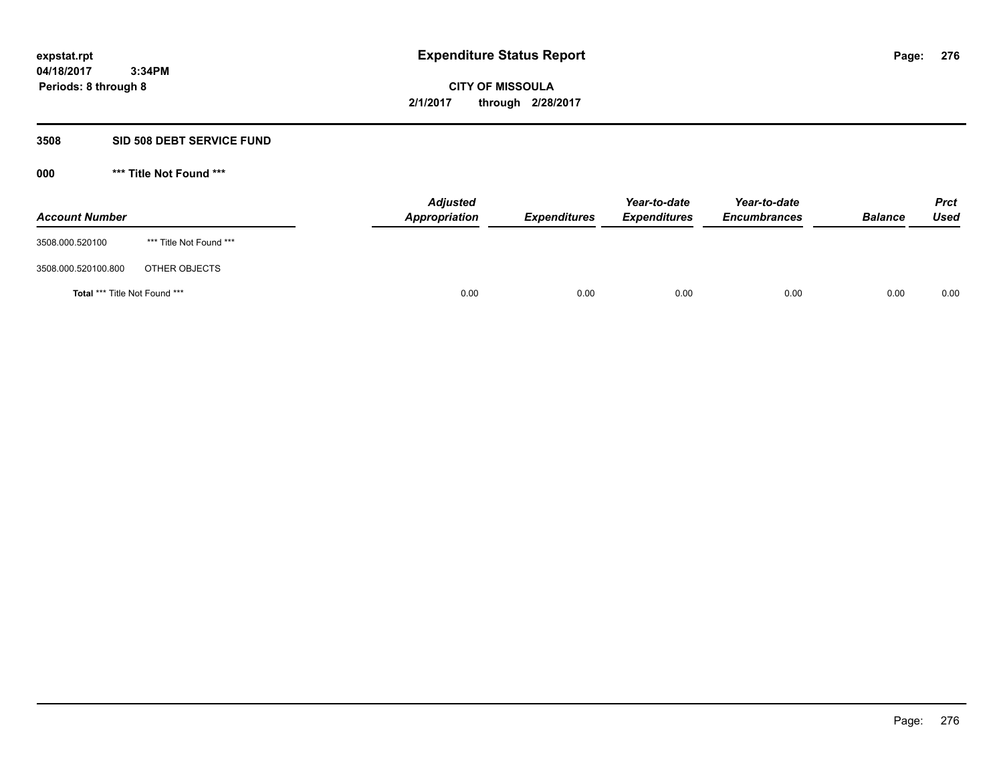### **3508 SID 508 DEBT SERVICE FUND**

| <b>Account Number</b>         |                         | <b>Adjusted</b><br>Appropriation | <b>Expenditures</b> | Year-to-date<br><b>Expenditures</b> | Year-to-date<br><b>Encumbrances</b> | <b>Balance</b> | <b>Prct</b><br>Used |
|-------------------------------|-------------------------|----------------------------------|---------------------|-------------------------------------|-------------------------------------|----------------|---------------------|
| 3508.000.520100               | *** Title Not Found *** |                                  |                     |                                     |                                     |                |                     |
| 3508.000.520100.800           | OTHER OBJECTS           |                                  |                     |                                     |                                     |                |                     |
| Total *** Title Not Found *** |                         | 0.00                             | 0.00                | 0.00                                | 0.00                                | 0.00           | 0.00                |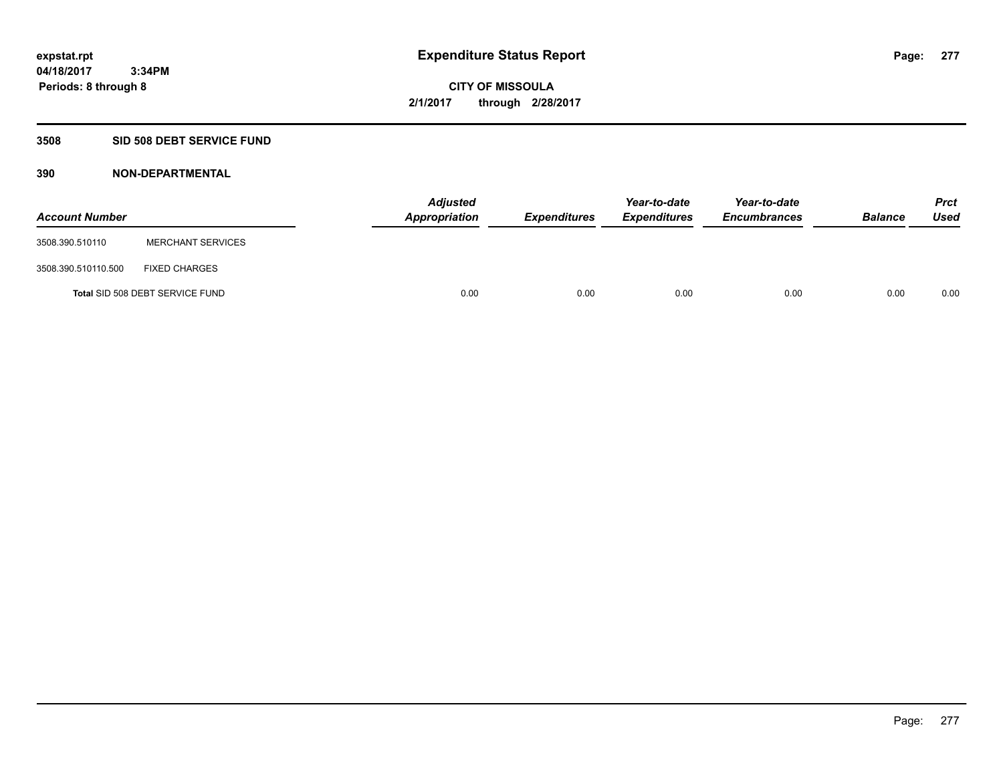# **3508 SID 508 DEBT SERVICE FUND**

| <b>Account Number</b> |                                 | <b>Adjusted</b><br>Appropriation | <b>Expenditures</b> | Year-to-date<br><b>Expenditures</b> | Year-to-date<br><b>Encumbrances</b> | <b>Balance</b> | Prct<br><b>Used</b> |
|-----------------------|---------------------------------|----------------------------------|---------------------|-------------------------------------|-------------------------------------|----------------|---------------------|
| 3508.390.510110       | <b>MERCHANT SERVICES</b>        |                                  |                     |                                     |                                     |                |                     |
| 3508.390.510110.500   | <b>FIXED CHARGES</b>            |                                  |                     |                                     |                                     |                |                     |
|                       | Total SID 508 DEBT SERVICE FUND | 0.00                             | 0.00                | 0.00                                | 0.00                                | 0.00           | 0.00                |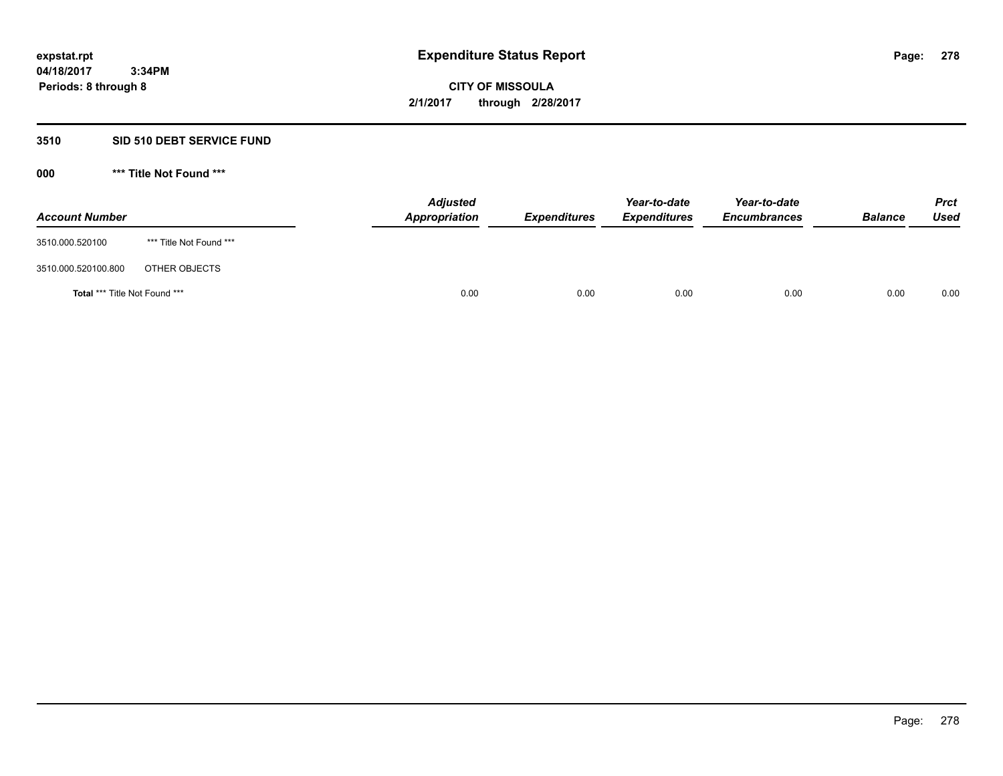# **3510 SID 510 DEBT SERVICE FUND**

| <b>Account Number</b>         |                         | <b>Adjusted</b><br>Appropriation | <b>Expenditures</b> | Year-to-date<br><b>Expenditures</b> | Year-to-date<br><b>Encumbrances</b> | <b>Balance</b> | <b>Prct</b><br>Used |
|-------------------------------|-------------------------|----------------------------------|---------------------|-------------------------------------|-------------------------------------|----------------|---------------------|
| 3510.000.520100               | *** Title Not Found *** |                                  |                     |                                     |                                     |                |                     |
| 3510.000.520100.800           | OTHER OBJECTS           |                                  |                     |                                     |                                     |                |                     |
| Total *** Title Not Found *** |                         | 0.00                             | 0.00                | 0.00                                | 0.00                                | 0.00           | 0.00                |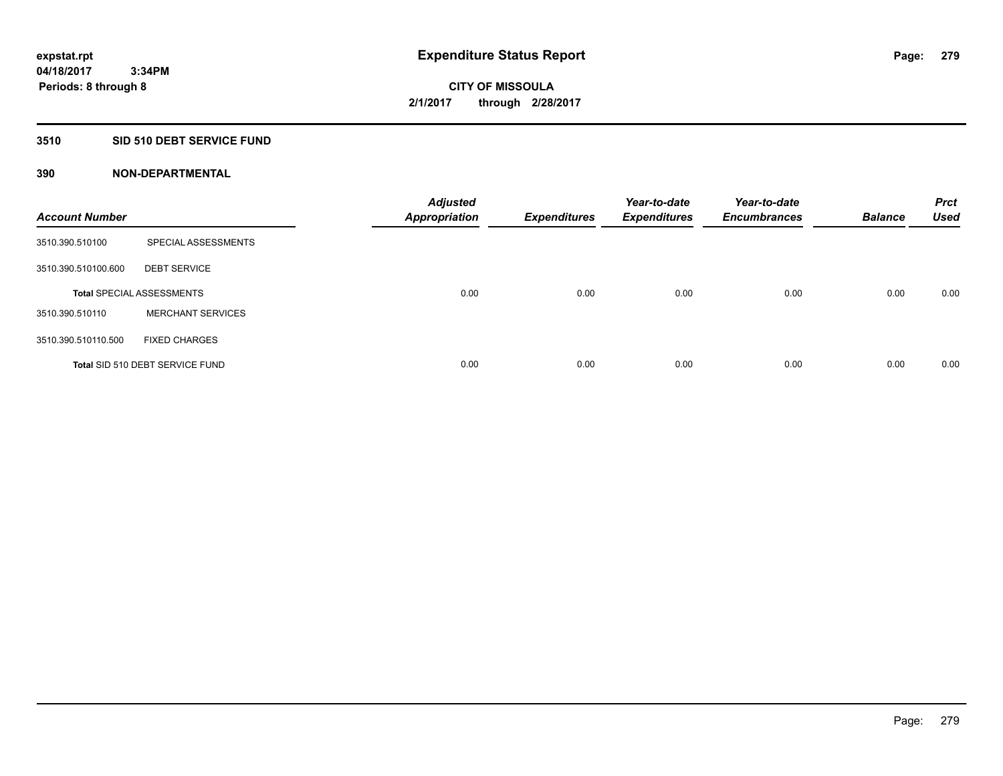# **3510 SID 510 DEBT SERVICE FUND**

| <b>Account Number</b> |                                  | <b>Adjusted</b><br><b>Appropriation</b> | <b>Expenditures</b> | Year-to-date<br><b>Expenditures</b> | Year-to-date<br><b>Encumbrances</b> | <b>Balance</b> | <b>Prct</b><br><b>Used</b> |
|-----------------------|----------------------------------|-----------------------------------------|---------------------|-------------------------------------|-------------------------------------|----------------|----------------------------|
| 3510.390.510100       | SPECIAL ASSESSMENTS              |                                         |                     |                                     |                                     |                |                            |
| 3510.390.510100.600   | <b>DEBT SERVICE</b>              |                                         |                     |                                     |                                     |                |                            |
|                       | <b>Total SPECIAL ASSESSMENTS</b> | 0.00                                    | 0.00                | 0.00                                | 0.00                                | 0.00           | 0.00                       |
| 3510.390.510110       | <b>MERCHANT SERVICES</b>         |                                         |                     |                                     |                                     |                |                            |
| 3510.390.510110.500   | <b>FIXED CHARGES</b>             |                                         |                     |                                     |                                     |                |                            |
|                       | Total SID 510 DEBT SERVICE FUND  | 0.00                                    | 0.00                | 0.00                                | 0.00                                | 0.00           | 0.00                       |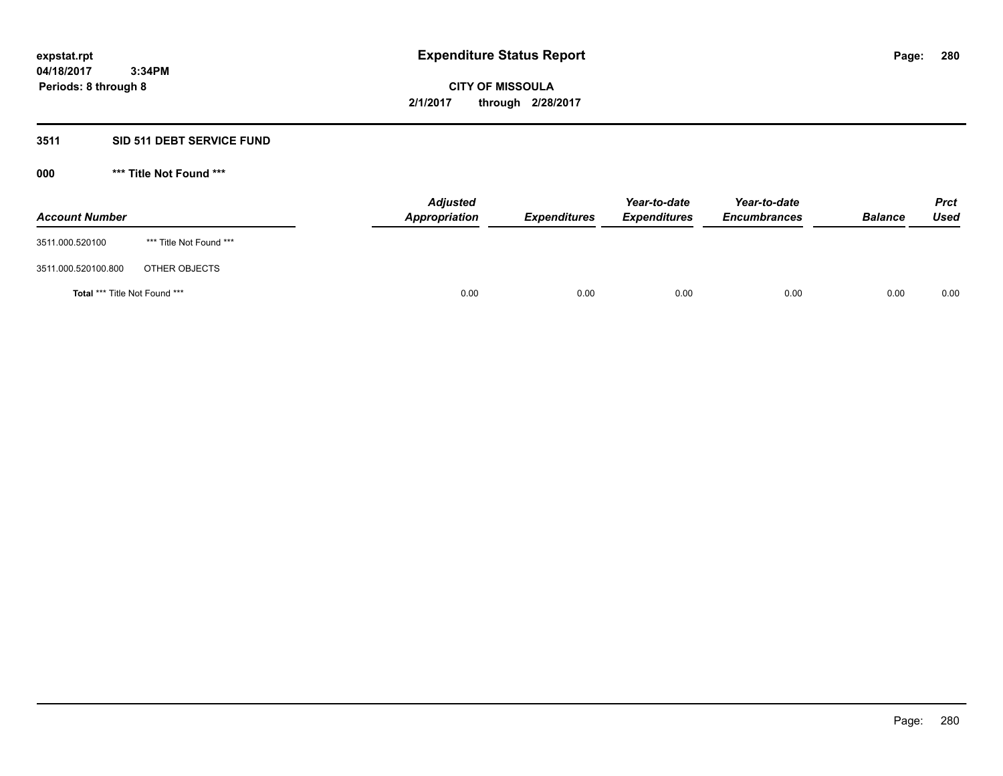# **3511 SID 511 DEBT SERVICE FUND**

| <b>Account Number</b>                |                         | <b>Adjusted</b><br>Appropriation | <b>Expenditures</b> | Year-to-date<br><b>Expenditures</b> | Year-to-date<br><b>Encumbrances</b> | <b>Balance</b> | <b>Prct</b><br><b>Used</b> |
|--------------------------------------|-------------------------|----------------------------------|---------------------|-------------------------------------|-------------------------------------|----------------|----------------------------|
| 3511.000.520100                      | *** Title Not Found *** |                                  |                     |                                     |                                     |                |                            |
| 3511.000.520100.800                  | OTHER OBJECTS           |                                  |                     |                                     |                                     |                |                            |
| <b>Total *** Title Not Found ***</b> |                         | 0.00                             | 0.00                | 0.00                                | 0.00                                | 0.00           | 0.00                       |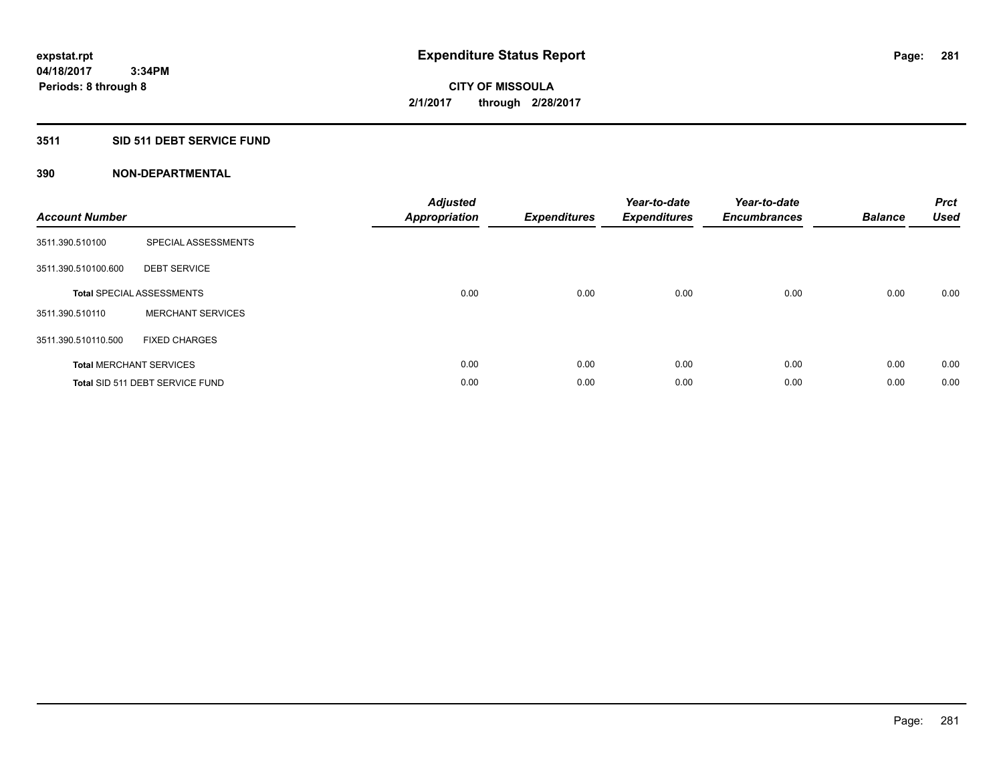# **3511 SID 511 DEBT SERVICE FUND**

| <b>Account Number</b> |                                  | <b>Adjusted</b><br>Appropriation | <b>Expenditures</b> | Year-to-date<br><b>Expenditures</b> | Year-to-date<br><b>Encumbrances</b> | <b>Balance</b> | <b>Prct</b><br><b>Used</b> |
|-----------------------|----------------------------------|----------------------------------|---------------------|-------------------------------------|-------------------------------------|----------------|----------------------------|
| 3511.390.510100       | SPECIAL ASSESSMENTS              |                                  |                     |                                     |                                     |                |                            |
| 3511.390.510100.600   | <b>DEBT SERVICE</b>              |                                  |                     |                                     |                                     |                |                            |
|                       | <b>Total SPECIAL ASSESSMENTS</b> | 0.00                             | 0.00                | 0.00                                | 0.00                                | 0.00           | 0.00                       |
| 3511.390.510110       | <b>MERCHANT SERVICES</b>         |                                  |                     |                                     |                                     |                |                            |
| 3511.390.510110.500   | <b>FIXED CHARGES</b>             |                                  |                     |                                     |                                     |                |                            |
|                       | <b>Total MERCHANT SERVICES</b>   | 0.00                             | 0.00                | 0.00                                | 0.00                                | 0.00           | 0.00                       |
|                       | Total SID 511 DEBT SERVICE FUND  | 0.00                             | 0.00                | 0.00                                | 0.00                                | 0.00           | 0.00                       |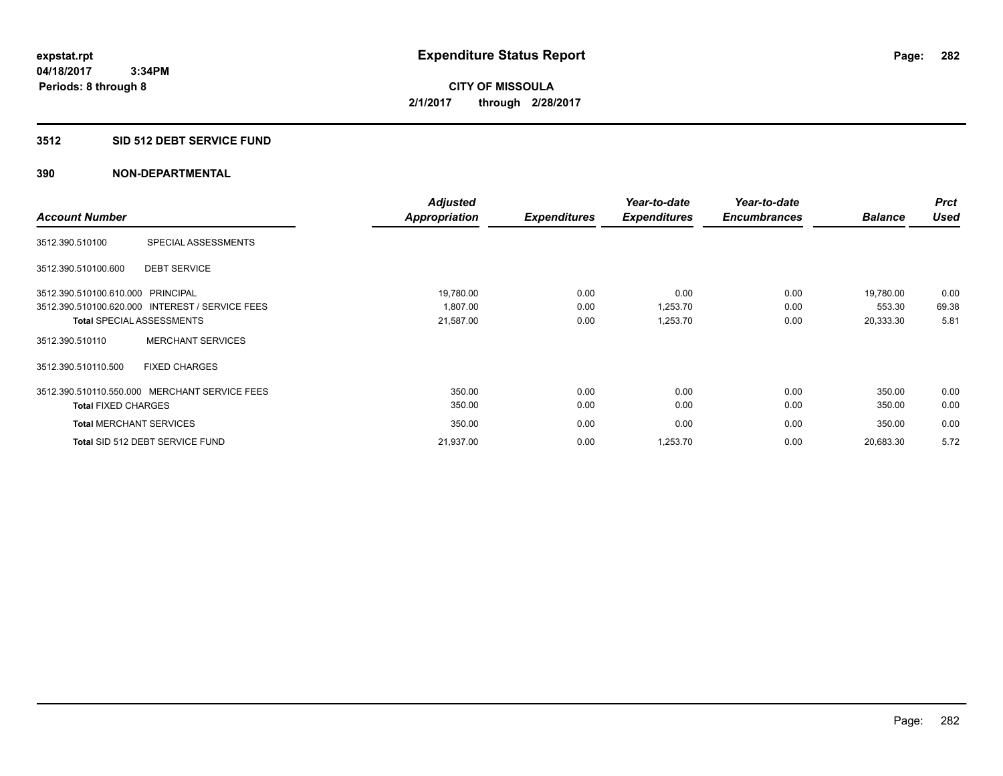# **3512 SID 512 DEBT SERVICE FUND**

|                                                 |                          | <b>Adjusted</b> |                     | Year-to-date        | Year-to-date        |                | <b>Prct</b> |
|-------------------------------------------------|--------------------------|-----------------|---------------------|---------------------|---------------------|----------------|-------------|
| <b>Account Number</b>                           |                          | Appropriation   | <b>Expenditures</b> | <b>Expenditures</b> | <b>Encumbrances</b> | <b>Balance</b> | <b>Used</b> |
| 3512.390.510100                                 | SPECIAL ASSESSMENTS      |                 |                     |                     |                     |                |             |
| <b>DEBT SERVICE</b><br>3512.390.510100.600      |                          |                 |                     |                     |                     |                |             |
| 3512.390.510100.610.000 PRINCIPAL               |                          | 19,780.00       | 0.00                | 0.00                | 0.00                | 19,780.00      | 0.00        |
| 3512.390.510100.620.000 INTEREST / SERVICE FEES |                          | 1.807.00        | 0.00                | 1,253.70            | 0.00                | 553.30         | 69.38       |
| <b>Total SPECIAL ASSESSMENTS</b>                |                          | 21,587.00       | 0.00                | 1,253.70            | 0.00                | 20,333.30      | 5.81        |
| 3512.390.510110                                 | <b>MERCHANT SERVICES</b> |                 |                     |                     |                     |                |             |
| 3512.390.510110.500                             | <b>FIXED CHARGES</b>     |                 |                     |                     |                     |                |             |
| 3512.390.510110.550.000 MERCHANT SERVICE FEES   |                          | 350.00          | 0.00                | 0.00                | 0.00                | 350.00         | 0.00        |
| <b>Total FIXED CHARGES</b>                      |                          | 350.00          | 0.00                | 0.00                | 0.00                | 350.00         | 0.00        |
| <b>Total MERCHANT SERVICES</b>                  |                          | 350.00          | 0.00                | 0.00                | 0.00                | 350.00         | 0.00        |
| Total SID 512 DEBT SERVICE FUND                 |                          | 21,937.00       | 0.00                | 1,253.70            | 0.00                | 20,683.30      | 5.72        |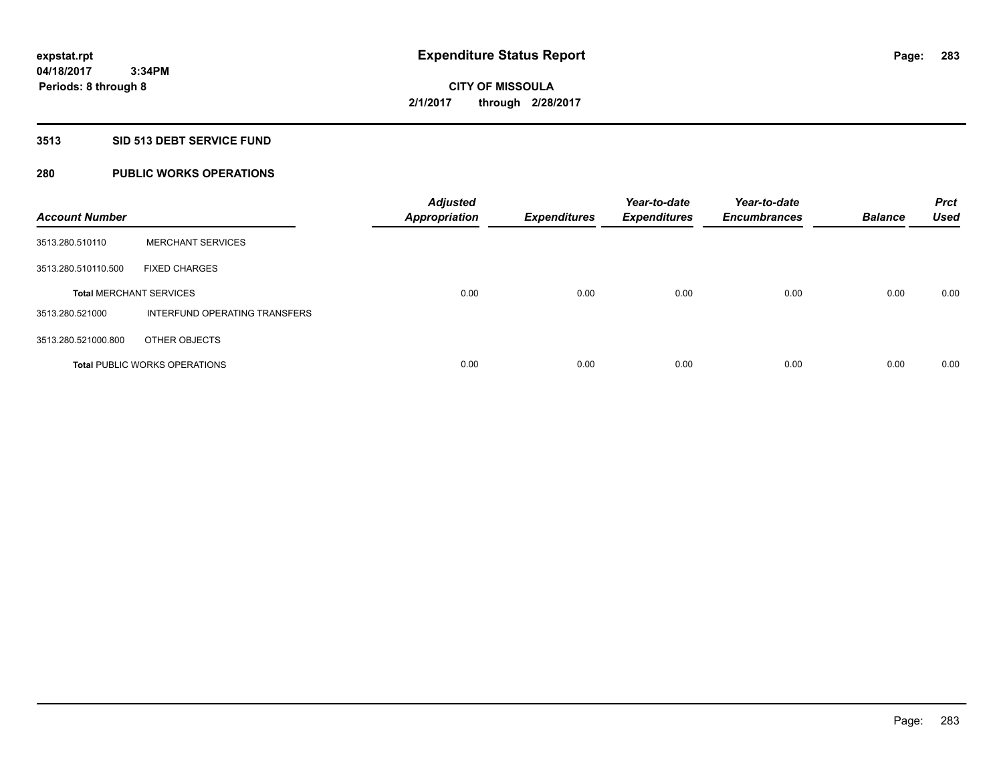# **3513 SID 513 DEBT SERVICE FUND**

# **280 PUBLIC WORKS OPERATIONS**

| <b>Account Number</b>          |                                      | <b>Adjusted</b><br><b>Appropriation</b> | <b>Expenditures</b> | Year-to-date<br><b>Expenditures</b> | Year-to-date<br><b>Encumbrances</b> | <b>Balance</b> | <b>Prct</b><br><b>Used</b> |
|--------------------------------|--------------------------------------|-----------------------------------------|---------------------|-------------------------------------|-------------------------------------|----------------|----------------------------|
| 3513.280.510110                | <b>MERCHANT SERVICES</b>             |                                         |                     |                                     |                                     |                |                            |
| 3513.280.510110.500            | <b>FIXED CHARGES</b>                 |                                         |                     |                                     |                                     |                |                            |
| <b>Total MERCHANT SERVICES</b> |                                      | 0.00                                    | 0.00                | 0.00                                | 0.00                                | 0.00           | 0.00                       |
| 3513.280.521000                | <b>INTERFUND OPERATING TRANSFERS</b> |                                         |                     |                                     |                                     |                |                            |
| 3513.280.521000.800            | OTHER OBJECTS                        |                                         |                     |                                     |                                     |                |                            |
|                                | <b>Total PUBLIC WORKS OPERATIONS</b> | 0.00                                    | 0.00                | 0.00                                | 0.00                                | 0.00           | 0.00                       |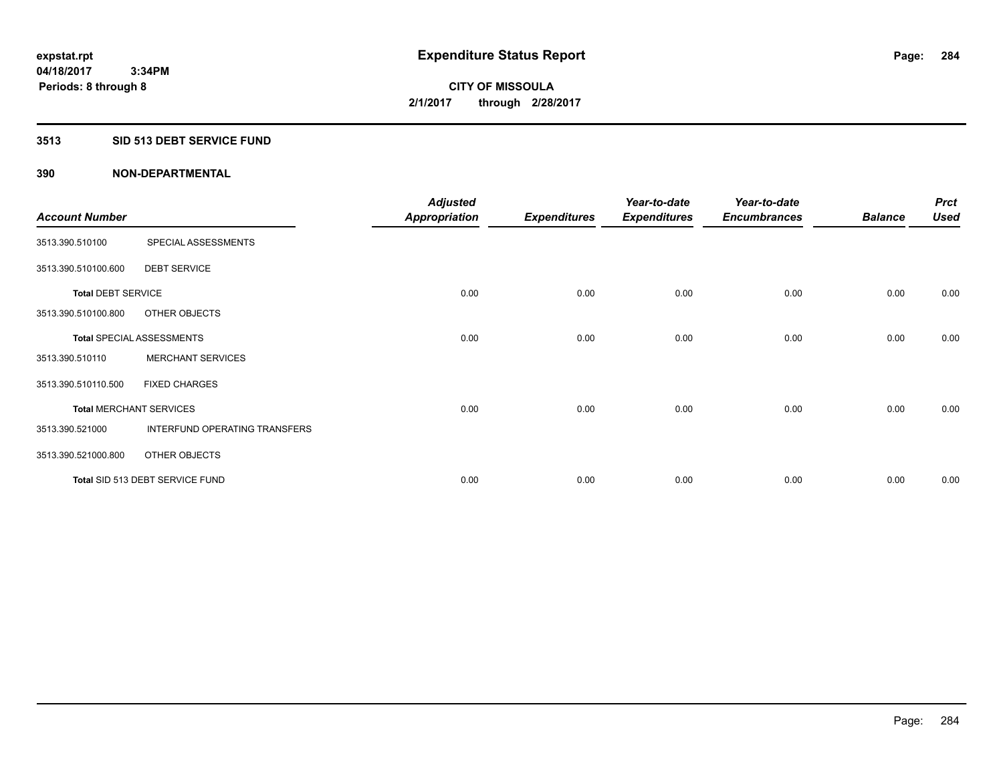# **3513 SID 513 DEBT SERVICE FUND**

|                                |                                  | <b>Adjusted</b>      |                     | Year-to-date        | Year-to-date        |                | <b>Prct</b> |
|--------------------------------|----------------------------------|----------------------|---------------------|---------------------|---------------------|----------------|-------------|
| <b>Account Number</b>          |                                  | <b>Appropriation</b> | <b>Expenditures</b> | <b>Expenditures</b> | <b>Encumbrances</b> | <b>Balance</b> | <b>Used</b> |
| 3513.390.510100                | SPECIAL ASSESSMENTS              |                      |                     |                     |                     |                |             |
| 3513.390.510100.600            | <b>DEBT SERVICE</b>              |                      |                     |                     |                     |                |             |
| <b>Total DEBT SERVICE</b>      |                                  | 0.00                 | 0.00                | 0.00                | 0.00                | 0.00           | 0.00        |
| 3513.390.510100.800            | OTHER OBJECTS                    |                      |                     |                     |                     |                |             |
|                                | <b>Total SPECIAL ASSESSMENTS</b> | 0.00                 | 0.00                | 0.00                | 0.00                | 0.00           | 0.00        |
| 3513.390.510110                | <b>MERCHANT SERVICES</b>         |                      |                     |                     |                     |                |             |
| 3513.390.510110.500            | <b>FIXED CHARGES</b>             |                      |                     |                     |                     |                |             |
| <b>Total MERCHANT SERVICES</b> |                                  | 0.00                 | 0.00                | 0.00                | 0.00                | 0.00           | 0.00        |
| 3513.390.521000                | INTERFUND OPERATING TRANSFERS    |                      |                     |                     |                     |                |             |
| 3513.390.521000.800            | OTHER OBJECTS                    |                      |                     |                     |                     |                |             |
|                                | Total SID 513 DEBT SERVICE FUND  | 0.00                 | 0.00                | 0.00                | 0.00                | 0.00           | 0.00        |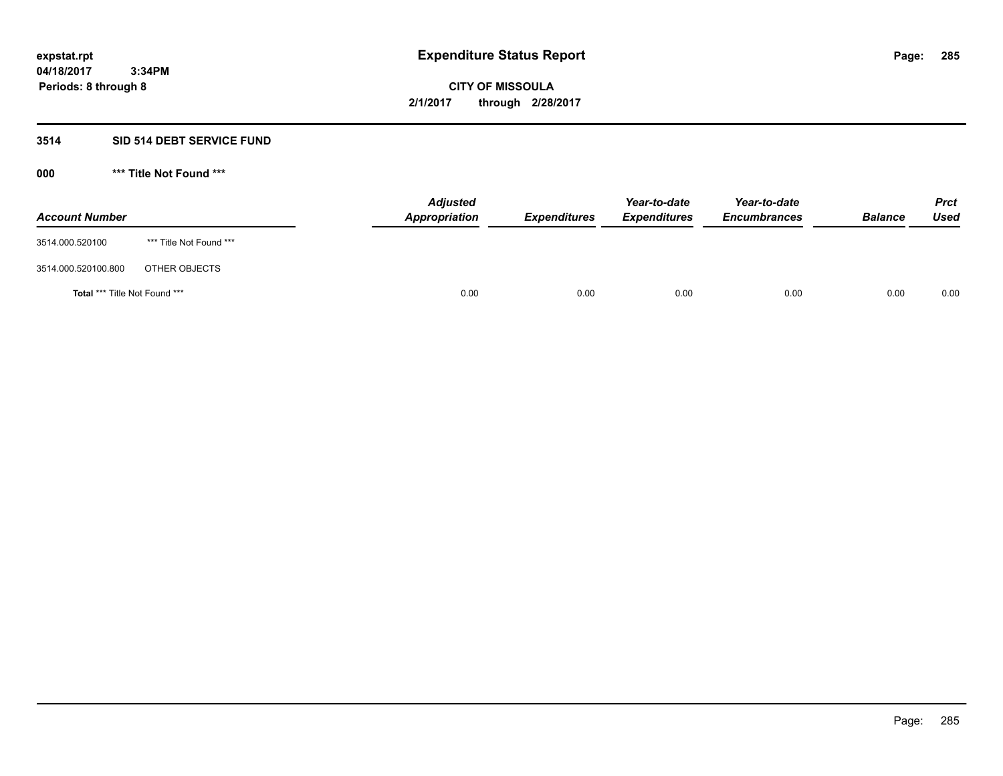# **3514 SID 514 DEBT SERVICE FUND**

| <b>Account Number</b>                |                         | <b>Adjusted</b><br><b>Appropriation</b> | <b>Expenditures</b> | Year-to-date<br><b>Expenditures</b> | Year-to-date<br><b>Encumbrances</b> | <b>Balance</b> | <b>Prct</b><br><b>Used</b> |
|--------------------------------------|-------------------------|-----------------------------------------|---------------------|-------------------------------------|-------------------------------------|----------------|----------------------------|
| 3514.000.520100                      | *** Title Not Found *** |                                         |                     |                                     |                                     |                |                            |
| 3514.000.520100.800                  | OTHER OBJECTS           |                                         |                     |                                     |                                     |                |                            |
| <b>Total *** Title Not Found ***</b> |                         | 0.00                                    | 0.00                | 0.00                                | 0.00                                | 0.00           | 0.00                       |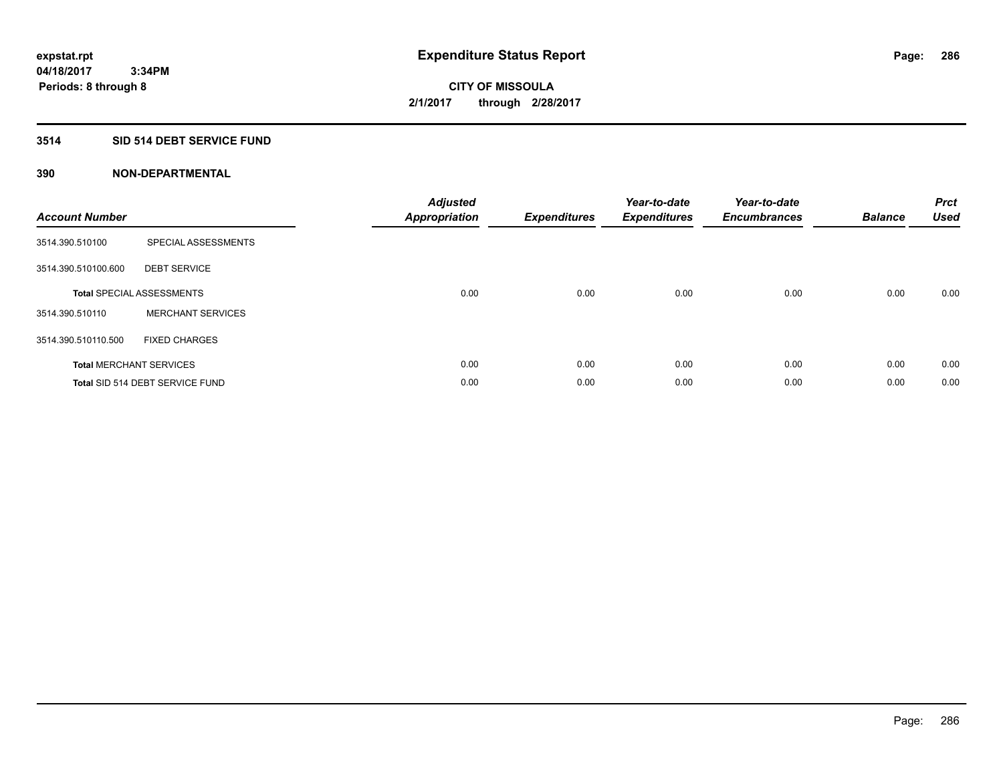# **3514 SID 514 DEBT SERVICE FUND**

| <b>Account Number</b> |                                  | <b>Adjusted</b><br>Appropriation | <b>Expenditures</b> | Year-to-date<br><b>Expenditures</b> | Year-to-date<br><b>Encumbrances</b> | <b>Balance</b> | <b>Prct</b><br><b>Used</b> |
|-----------------------|----------------------------------|----------------------------------|---------------------|-------------------------------------|-------------------------------------|----------------|----------------------------|
| 3514.390.510100       | SPECIAL ASSESSMENTS              |                                  |                     |                                     |                                     |                |                            |
| 3514.390.510100.600   | <b>DEBT SERVICE</b>              |                                  |                     |                                     |                                     |                |                            |
|                       | <b>Total SPECIAL ASSESSMENTS</b> | 0.00                             | 0.00                | 0.00                                | 0.00                                | 0.00           | 0.00                       |
| 3514.390.510110       | <b>MERCHANT SERVICES</b>         |                                  |                     |                                     |                                     |                |                            |
| 3514.390.510110.500   | <b>FIXED CHARGES</b>             |                                  |                     |                                     |                                     |                |                            |
|                       | <b>Total MERCHANT SERVICES</b>   | 0.00                             | 0.00                | 0.00                                | 0.00                                | 0.00           | 0.00                       |
|                       | Total SID 514 DEBT SERVICE FUND  | 0.00                             | 0.00                | 0.00                                | 0.00                                | 0.00           | 0.00                       |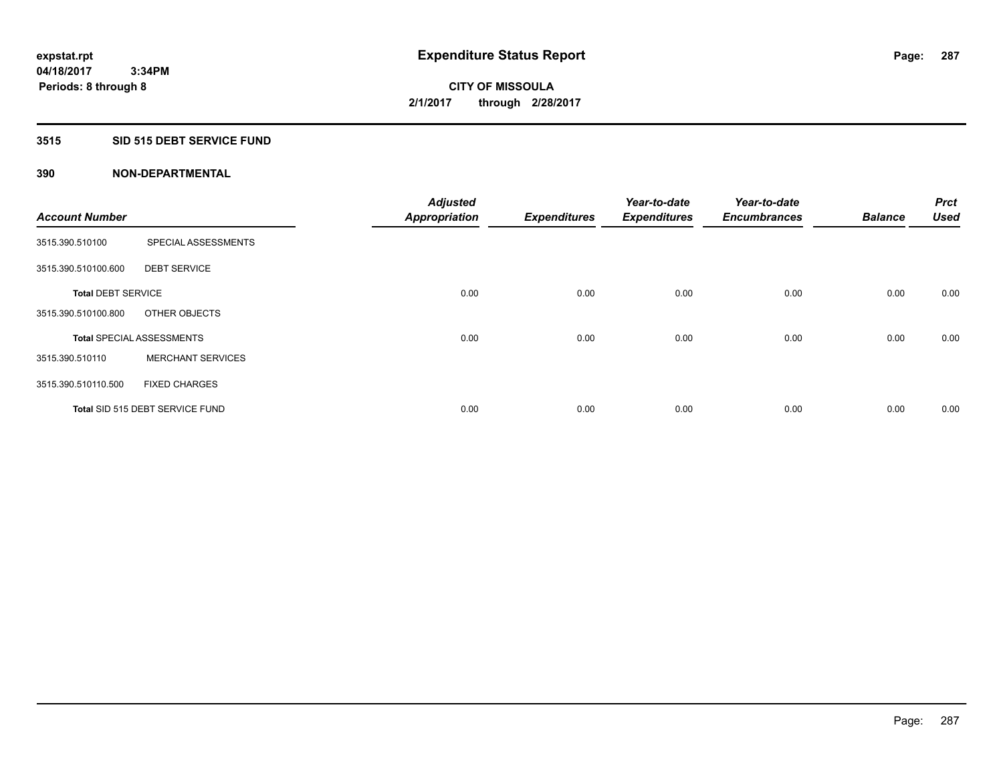# **3515 SID 515 DEBT SERVICE FUND**

|                           |                                  | <b>Adjusted</b>      |                     | Year-to-date        | Year-to-date        |                | Prct        |
|---------------------------|----------------------------------|----------------------|---------------------|---------------------|---------------------|----------------|-------------|
| <b>Account Number</b>     |                                  | <b>Appropriation</b> | <b>Expenditures</b> | <b>Expenditures</b> | <b>Encumbrances</b> | <b>Balance</b> | <b>Used</b> |
| 3515.390.510100           | SPECIAL ASSESSMENTS              |                      |                     |                     |                     |                |             |
| 3515.390.510100.600       | <b>DEBT SERVICE</b>              |                      |                     |                     |                     |                |             |
| <b>Total DEBT SERVICE</b> |                                  | 0.00                 | 0.00                | 0.00                | 0.00                | 0.00           | 0.00        |
| 3515.390.510100.800       | OTHER OBJECTS                    |                      |                     |                     |                     |                |             |
|                           | <b>Total SPECIAL ASSESSMENTS</b> | 0.00                 | 0.00                | 0.00                | 0.00                | 0.00           | 0.00        |
| 3515.390.510110           | <b>MERCHANT SERVICES</b>         |                      |                     |                     |                     |                |             |
| 3515.390.510110.500       | <b>FIXED CHARGES</b>             |                      |                     |                     |                     |                |             |
|                           | Total SID 515 DEBT SERVICE FUND  | 0.00                 | 0.00                | 0.00                | 0.00                | 0.00           | 0.00        |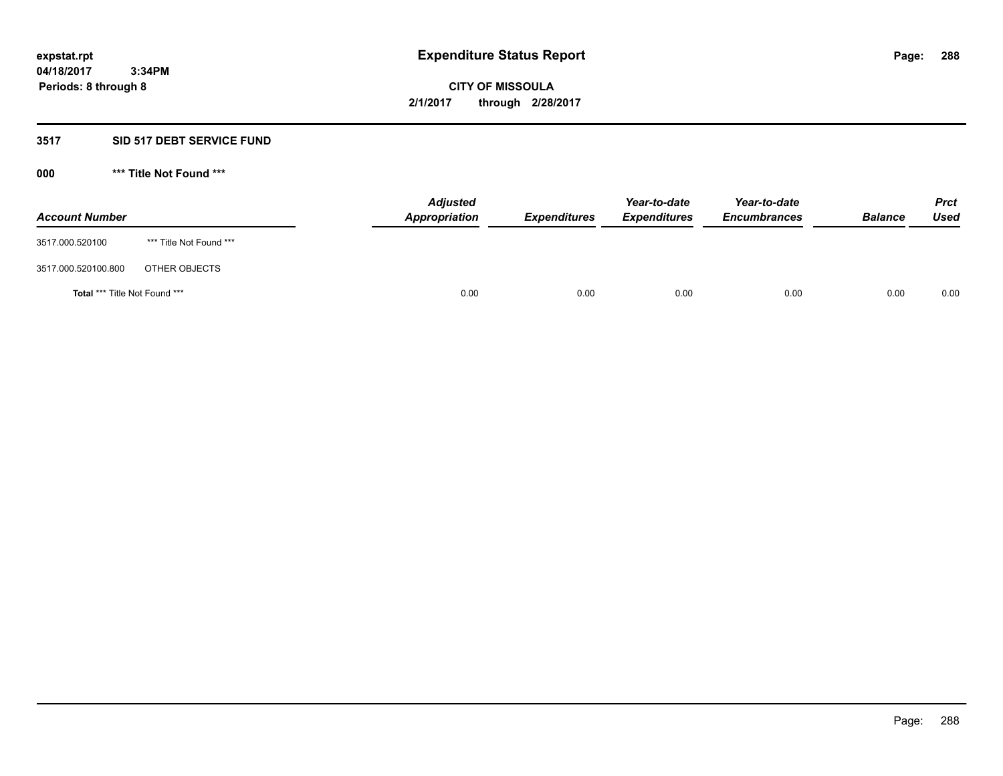# **3517 SID 517 DEBT SERVICE FUND**

| <b>Account Number</b>                |                         | <b>Adjusted</b><br>Appropriation | <b>Expenditures</b> | Year-to-date<br><b>Expenditures</b> | Year-to-date<br><b>Encumbrances</b> | <b>Balance</b> | <b>Prct</b><br><b>Used</b> |
|--------------------------------------|-------------------------|----------------------------------|---------------------|-------------------------------------|-------------------------------------|----------------|----------------------------|
| 3517.000.520100                      | *** Title Not Found *** |                                  |                     |                                     |                                     |                |                            |
| 3517.000.520100.800                  | OTHER OBJECTS           |                                  |                     |                                     |                                     |                |                            |
| <b>Total *** Title Not Found ***</b> |                         | 0.00                             | 0.00                | 0.00                                | 0.00                                | 0.00           | 0.00                       |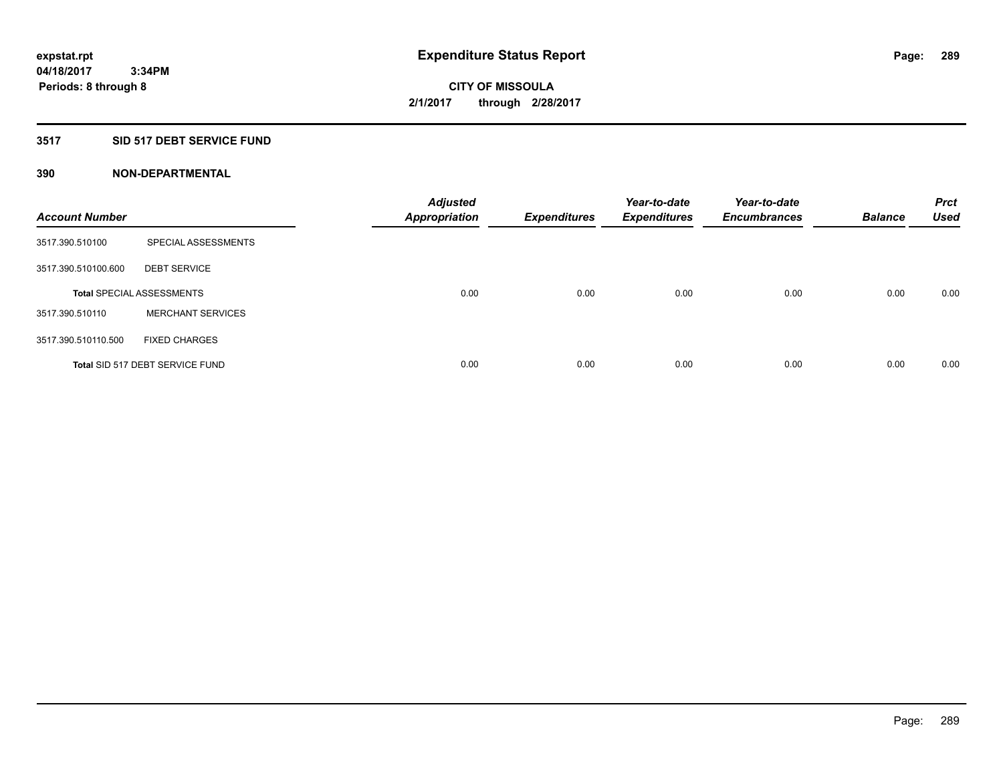#### **3517 SID 517 DEBT SERVICE FUND**

| <b>Account Number</b> |                                  | <b>Adjusted</b><br><b>Appropriation</b> | <b>Expenditures</b> | Year-to-date<br><b>Expenditures</b> | Year-to-date<br><b>Encumbrances</b> | <b>Balance</b> | <b>Prct</b><br><b>Used</b> |
|-----------------------|----------------------------------|-----------------------------------------|---------------------|-------------------------------------|-------------------------------------|----------------|----------------------------|
| 3517.390.510100       | SPECIAL ASSESSMENTS              |                                         |                     |                                     |                                     |                |                            |
| 3517.390.510100.600   | <b>DEBT SERVICE</b>              |                                         |                     |                                     |                                     |                |                            |
|                       | <b>Total SPECIAL ASSESSMENTS</b> | 0.00                                    | 0.00                | 0.00                                | 0.00                                | 0.00           | 0.00                       |
| 3517.390.510110       | <b>MERCHANT SERVICES</b>         |                                         |                     |                                     |                                     |                |                            |
| 3517.390.510110.500   | <b>FIXED CHARGES</b>             |                                         |                     |                                     |                                     |                |                            |
|                       | Total SID 517 DEBT SERVICE FUND  | 0.00                                    | 0.00                | 0.00                                | 0.00                                | 0.00           | 0.00                       |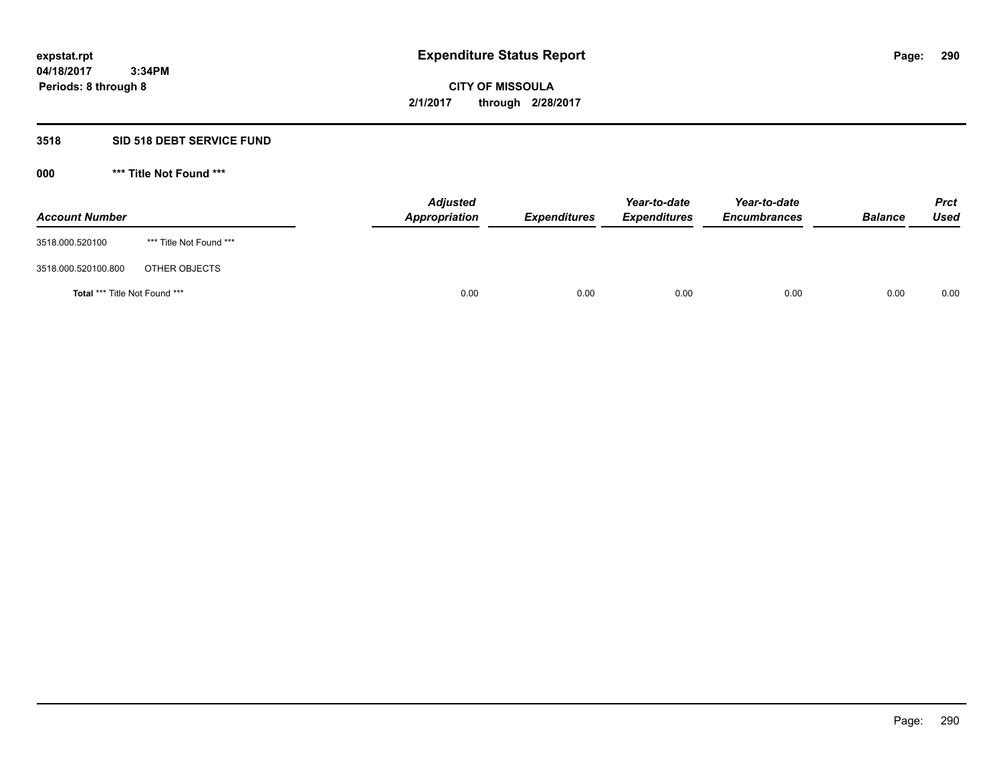## **3518 SID 518 DEBT SERVICE FUND**

**000 \*\*\* Title Not Found \*\*\***

| <b>Account Number</b>                |                         | <b>Adjusted</b><br>Appropriation | <b>Expenditures</b> | Year-to-date<br><b>Expenditures</b> | Year-to-date<br><b>Encumbrances</b> | <b>Balance</b> | <b>Prct</b><br>Used |
|--------------------------------------|-------------------------|----------------------------------|---------------------|-------------------------------------|-------------------------------------|----------------|---------------------|
| 3518.000.520100                      | *** Title Not Found *** |                                  |                     |                                     |                                     |                |                     |
| 3518.000.520100.800                  | OTHER OBJECTS           |                                  |                     |                                     |                                     |                |                     |
| <b>Total *** Title Not Found ***</b> |                         | 0.00                             | 0.00                | 0.00                                | 0.00                                | 0.00           | 0.00                |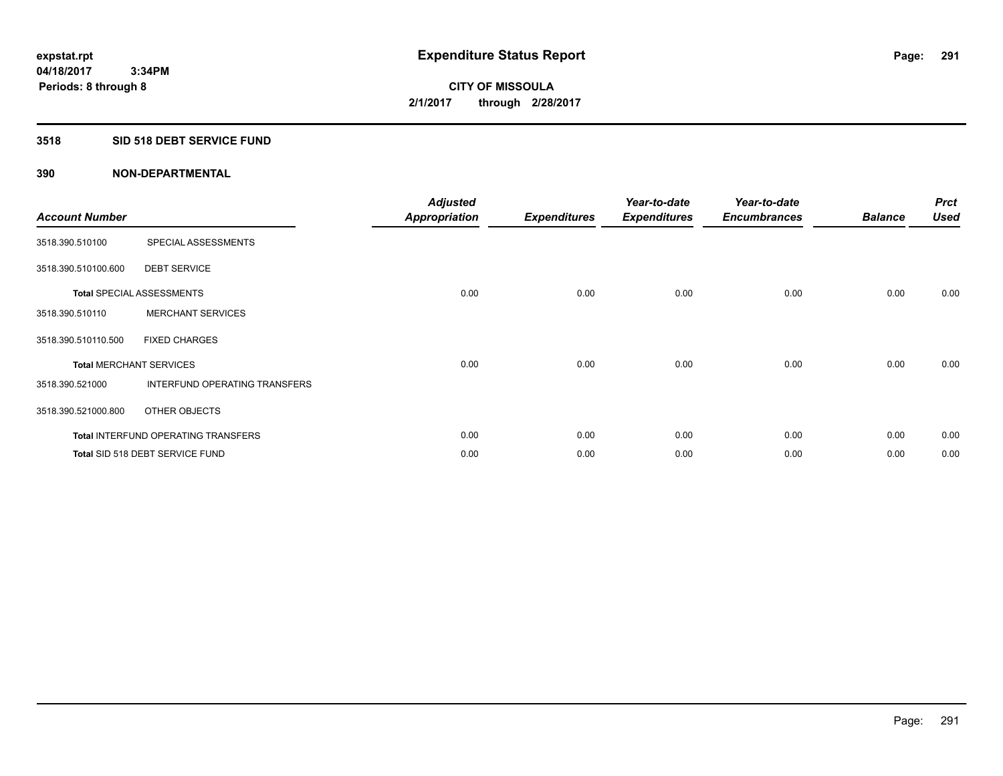## **3518 SID 518 DEBT SERVICE FUND**

| <b>Account Number</b> |                                            | <b>Adjusted</b><br><b>Appropriation</b> | <b>Expenditures</b> | Year-to-date<br><b>Expenditures</b> | Year-to-date<br><b>Encumbrances</b> | <b>Balance</b> | <b>Prct</b><br><b>Used</b> |
|-----------------------|--------------------------------------------|-----------------------------------------|---------------------|-------------------------------------|-------------------------------------|----------------|----------------------------|
| 3518.390.510100       | SPECIAL ASSESSMENTS                        |                                         |                     |                                     |                                     |                |                            |
| 3518.390.510100.600   | <b>DEBT SERVICE</b>                        |                                         |                     |                                     |                                     |                |                            |
|                       | <b>Total SPECIAL ASSESSMENTS</b>           | 0.00                                    | 0.00                | 0.00                                | 0.00                                | 0.00           | 0.00                       |
| 3518.390.510110       | <b>MERCHANT SERVICES</b>                   |                                         |                     |                                     |                                     |                |                            |
| 3518.390.510110.500   | <b>FIXED CHARGES</b>                       |                                         |                     |                                     |                                     |                |                            |
|                       | <b>Total MERCHANT SERVICES</b>             | 0.00                                    | 0.00                | 0.00                                | 0.00                                | 0.00           | 0.00                       |
| 3518.390.521000       | <b>INTERFUND OPERATING TRANSFERS</b>       |                                         |                     |                                     |                                     |                |                            |
| 3518.390.521000.800   | OTHER OBJECTS                              |                                         |                     |                                     |                                     |                |                            |
|                       | <b>Total INTERFUND OPERATING TRANSFERS</b> | 0.00                                    | 0.00                | 0.00                                | 0.00                                | 0.00           | 0.00                       |
|                       | Total SID 518 DEBT SERVICE FUND            | 0.00                                    | 0.00                | 0.00                                | 0.00                                | 0.00           | 0.00                       |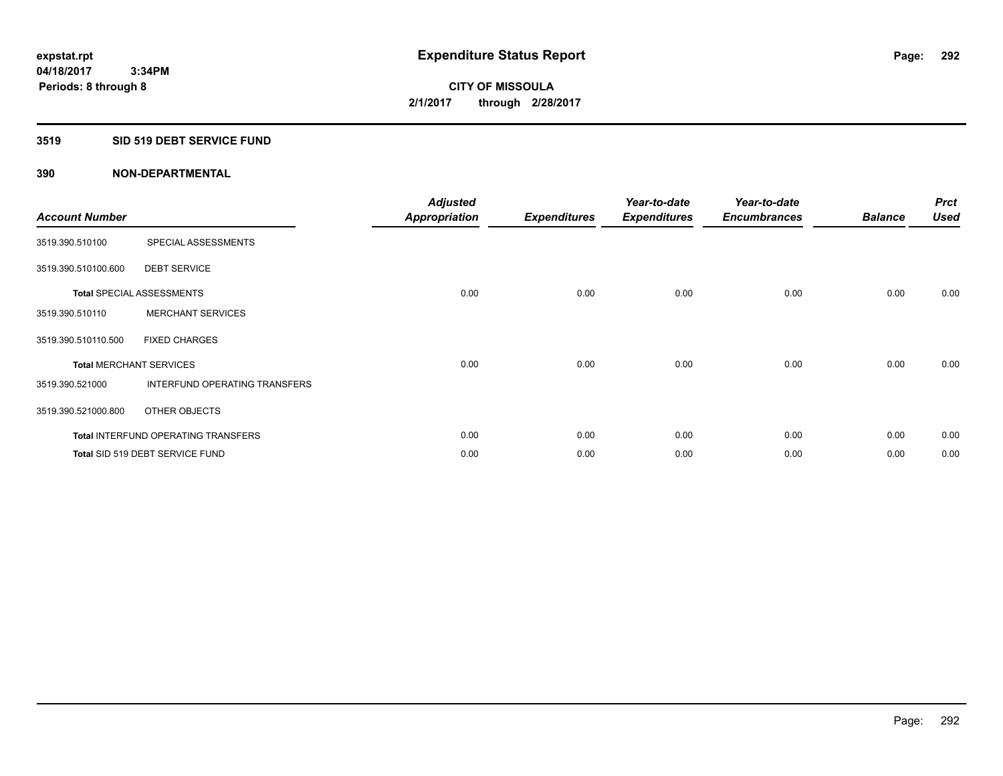#### **3519 SID 519 DEBT SERVICE FUND**

| <b>Account Number</b>          |                                            | <b>Adjusted</b><br><b>Appropriation</b> | <b>Expenditures</b> | Year-to-date<br><b>Expenditures</b> | Year-to-date<br><b>Encumbrances</b> | <b>Balance</b> | <b>Prct</b><br><b>Used</b> |
|--------------------------------|--------------------------------------------|-----------------------------------------|---------------------|-------------------------------------|-------------------------------------|----------------|----------------------------|
| 3519.390.510100                | SPECIAL ASSESSMENTS                        |                                         |                     |                                     |                                     |                |                            |
| 3519.390.510100.600            | <b>DEBT SERVICE</b>                        |                                         |                     |                                     |                                     |                |                            |
|                                | <b>Total SPECIAL ASSESSMENTS</b>           | 0.00                                    | 0.00                | 0.00                                | 0.00                                | 0.00           | 0.00                       |
| 3519.390.510110                | <b>MERCHANT SERVICES</b>                   |                                         |                     |                                     |                                     |                |                            |
| 3519.390.510110.500            | <b>FIXED CHARGES</b>                       |                                         |                     |                                     |                                     |                |                            |
| <b>Total MERCHANT SERVICES</b> |                                            | 0.00                                    | 0.00                | 0.00                                | 0.00                                | 0.00           | 0.00                       |
| 3519.390.521000                | INTERFUND OPERATING TRANSFERS              |                                         |                     |                                     |                                     |                |                            |
| 3519.390.521000.800            | OTHER OBJECTS                              |                                         |                     |                                     |                                     |                |                            |
|                                | <b>Total INTERFUND OPERATING TRANSFERS</b> | 0.00                                    | 0.00                | 0.00                                | 0.00                                | 0.00           | 0.00                       |
|                                | Total SID 519 DEBT SERVICE FUND            | 0.00                                    | 0.00                | 0.00                                | 0.00                                | 0.00           | 0.00                       |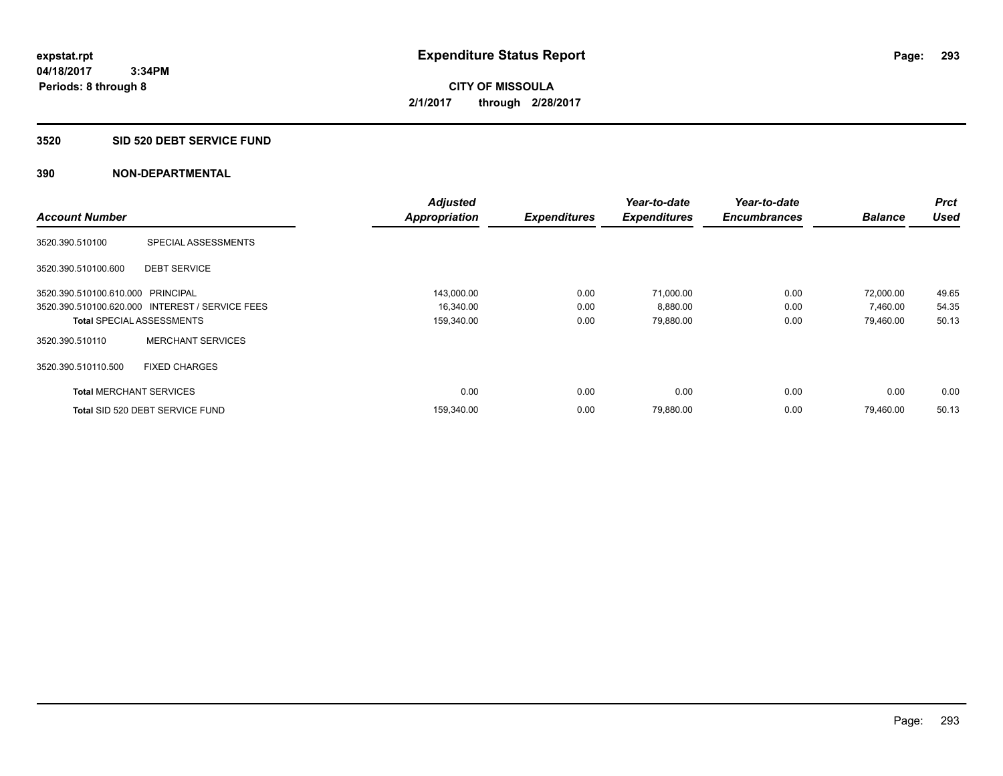**Periods: 8 through 8**

**CITY OF MISSOULA 2/1/2017 through 2/28/2017**

#### **3520 SID 520 DEBT SERVICE FUND**

|                                   |                                                 | <b>Adjusted</b>      |                     | Year-to-date        | Year-to-date        |                | <b>Prct</b> |
|-----------------------------------|-------------------------------------------------|----------------------|---------------------|---------------------|---------------------|----------------|-------------|
| <b>Account Number</b>             |                                                 | <b>Appropriation</b> | <b>Expenditures</b> | <b>Expenditures</b> | <b>Encumbrances</b> | <b>Balance</b> | <b>Used</b> |
| 3520.390.510100                   | SPECIAL ASSESSMENTS                             |                      |                     |                     |                     |                |             |
| 3520.390.510100.600               | <b>DEBT SERVICE</b>                             |                      |                     |                     |                     |                |             |
| 3520.390.510100.610.000 PRINCIPAL |                                                 | 143,000.00           | 0.00                | 71,000.00           | 0.00                | 72,000.00      | 49.65       |
|                                   | 3520.390.510100.620.000 INTEREST / SERVICE FEES | 16,340.00            | 0.00                | 8,880.00            | 0.00                | 7,460.00       | 54.35       |
| <b>Total SPECIAL ASSESSMENTS</b>  |                                                 | 159,340.00           | 0.00                | 79,880.00           | 0.00                | 79,460.00      | 50.13       |
| 3520.390.510110                   | <b>MERCHANT SERVICES</b>                        |                      |                     |                     |                     |                |             |
| 3520.390.510110.500               | <b>FIXED CHARGES</b>                            |                      |                     |                     |                     |                |             |
| <b>Total MERCHANT SERVICES</b>    |                                                 | 0.00                 | 0.00                | 0.00                | 0.00                | 0.00           | 0.00        |
|                                   | Total SID 520 DEBT SERVICE FUND                 | 159,340.00           | 0.00                | 79,880.00           | 0.00                | 79.460.00      | 50.13       |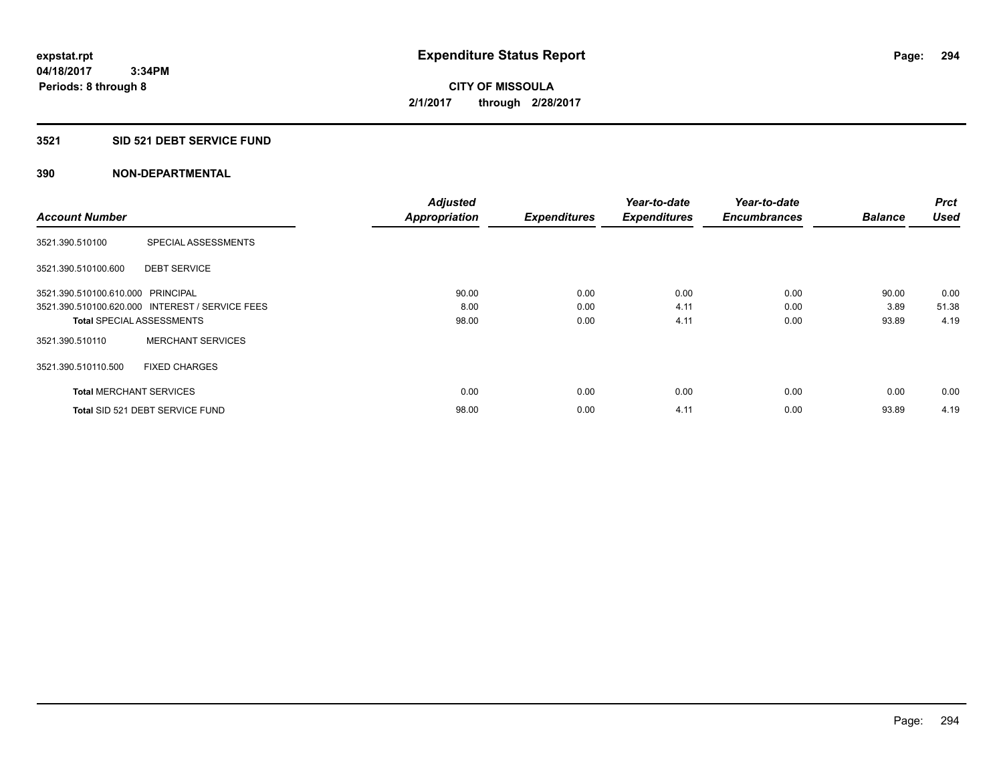#### **3521 SID 521 DEBT SERVICE FUND**

|                                   |                                                 | <b>Adjusted</b>      |                     | Year-to-date        | Year-to-date        |                | <b>Prct</b> |
|-----------------------------------|-------------------------------------------------|----------------------|---------------------|---------------------|---------------------|----------------|-------------|
| <b>Account Number</b>             |                                                 | <b>Appropriation</b> | <b>Expenditures</b> | <b>Expenditures</b> | <b>Encumbrances</b> | <b>Balance</b> | <b>Used</b> |
| 3521.390.510100                   | SPECIAL ASSESSMENTS                             |                      |                     |                     |                     |                |             |
| 3521.390.510100.600               | <b>DEBT SERVICE</b>                             |                      |                     |                     |                     |                |             |
| 3521.390.510100.610.000 PRINCIPAL |                                                 | 90.00                | 0.00                | 0.00                | 0.00                | 90.00          | 0.00        |
|                                   | 3521.390.510100.620.000 INTEREST / SERVICE FEES | 8.00                 | 0.00                | 4.11                | 0.00                | 3.89           | 51.38       |
| <b>Total SPECIAL ASSESSMENTS</b>  |                                                 | 98.00                | 0.00                | 4.11                | 0.00                | 93.89          | 4.19        |
| 3521.390.510110                   | <b>MERCHANT SERVICES</b>                        |                      |                     |                     |                     |                |             |
| 3521.390.510110.500               | <b>FIXED CHARGES</b>                            |                      |                     |                     |                     |                |             |
| <b>Total MERCHANT SERVICES</b>    |                                                 | 0.00                 | 0.00                | 0.00                | 0.00                | 0.00           | 0.00        |
|                                   | Total SID 521 DEBT SERVICE FUND                 | 98.00                | 0.00                | 4.11                | 0.00                | 93.89          | 4.19        |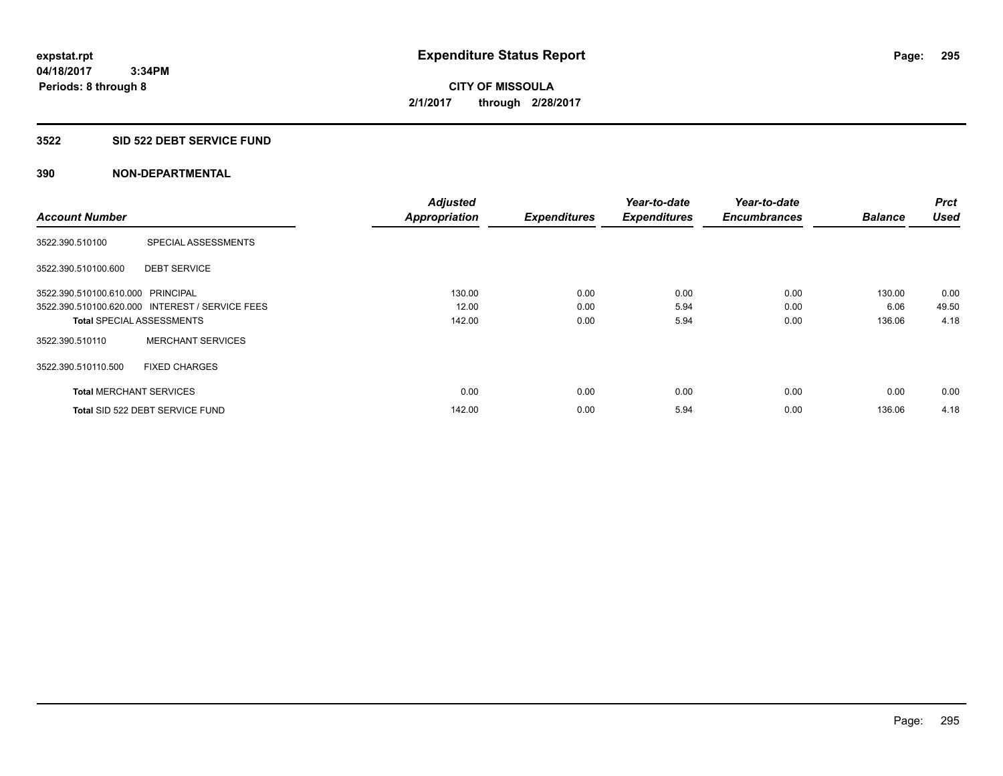#### **3522 SID 522 DEBT SERVICE FUND**

|                                   |                                                 | <b>Adjusted</b>      |                     | Year-to-date        | Year-to-date        |                | <b>Prct</b> |
|-----------------------------------|-------------------------------------------------|----------------------|---------------------|---------------------|---------------------|----------------|-------------|
| <b>Account Number</b>             |                                                 | <b>Appropriation</b> | <b>Expenditures</b> | <b>Expenditures</b> | <b>Encumbrances</b> | <b>Balance</b> | <b>Used</b> |
| 3522.390.510100                   | SPECIAL ASSESSMENTS                             |                      |                     |                     |                     |                |             |
| 3522.390.510100.600               | <b>DEBT SERVICE</b>                             |                      |                     |                     |                     |                |             |
| 3522.390.510100.610.000 PRINCIPAL |                                                 | 130.00               | 0.00                | 0.00                | 0.00                | 130.00         | 0.00        |
|                                   | 3522.390.510100.620.000 INTEREST / SERVICE FEES | 12.00                | 0.00                | 5.94                | 0.00                | 6.06           | 49.50       |
| <b>Total SPECIAL ASSESSMENTS</b>  |                                                 | 142.00               | 0.00                | 5.94                | 0.00                | 136.06         | 4.18        |
| 3522.390.510110                   | <b>MERCHANT SERVICES</b>                        |                      |                     |                     |                     |                |             |
| 3522.390.510110.500               | <b>FIXED CHARGES</b>                            |                      |                     |                     |                     |                |             |
| <b>Total MERCHANT SERVICES</b>    |                                                 | 0.00                 | 0.00                | 0.00                | 0.00                | 0.00           | 0.00        |
|                                   | Total SID 522 DEBT SERVICE FUND                 | 142.00               | 0.00                | 5.94                | 0.00                | 136.06         | 4.18        |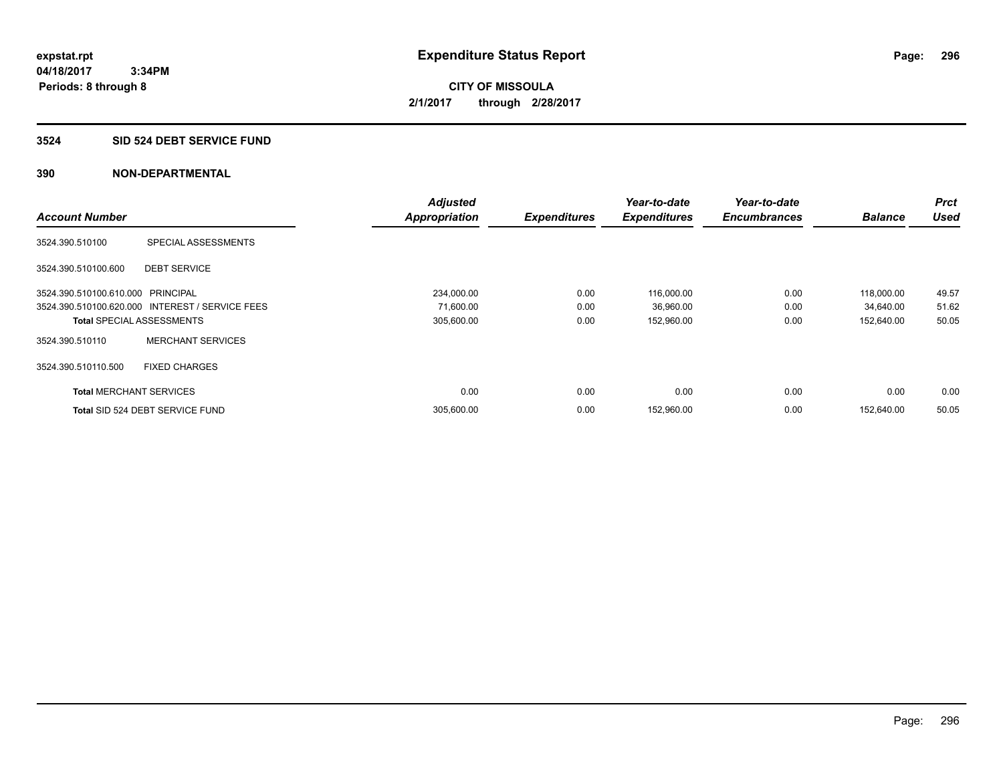#### **3524 SID 524 DEBT SERVICE FUND**

|                                   |                                                 | <b>Adjusted</b>      |                     | Year-to-date        | Year-to-date        |                | <b>Prct</b> |
|-----------------------------------|-------------------------------------------------|----------------------|---------------------|---------------------|---------------------|----------------|-------------|
| <b>Account Number</b>             |                                                 | <b>Appropriation</b> | <b>Expenditures</b> | <b>Expenditures</b> | <b>Encumbrances</b> | <b>Balance</b> | <b>Used</b> |
| 3524.390.510100                   | SPECIAL ASSESSMENTS                             |                      |                     |                     |                     |                |             |
| 3524.390.510100.600               | <b>DEBT SERVICE</b>                             |                      |                     |                     |                     |                |             |
| 3524.390.510100.610.000 PRINCIPAL |                                                 | 234.000.00           | 0.00                | 116,000.00          | 0.00                | 118.000.00     | 49.57       |
|                                   | 3524.390.510100.620.000 INTEREST / SERVICE FEES | 71,600.00            | 0.00                | 36,960.00           | 0.00                | 34,640.00      | 51.62       |
| <b>Total SPECIAL ASSESSMENTS</b>  |                                                 | 305,600.00           | 0.00                | 152,960.00          | 0.00                | 152,640.00     | 50.05       |
| 3524.390.510110                   | <b>MERCHANT SERVICES</b>                        |                      |                     |                     |                     |                |             |
| 3524.390.510110.500               | <b>FIXED CHARGES</b>                            |                      |                     |                     |                     |                |             |
| <b>Total MERCHANT SERVICES</b>    |                                                 | 0.00                 | 0.00                | 0.00                | 0.00                | 0.00           | 0.00        |
|                                   | Total SID 524 DEBT SERVICE FUND                 | 305,600.00           | 0.00                | 152,960.00          | 0.00                | 152.640.00     | 50.05       |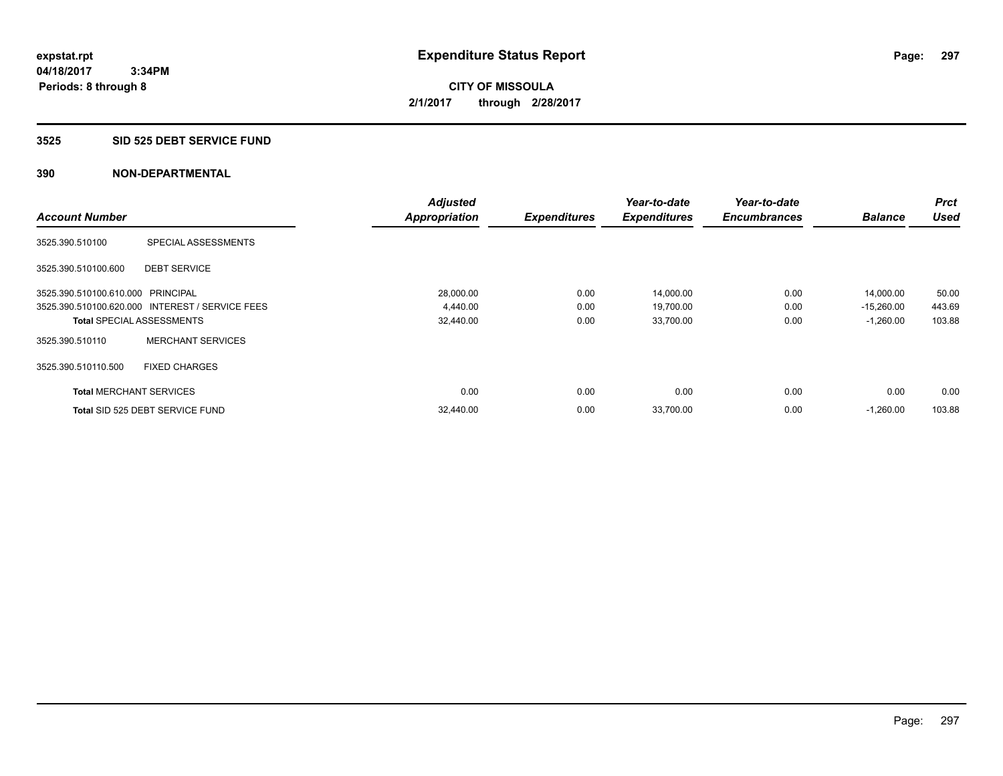**Periods: 8 through 8**

**CITY OF MISSOULA 2/1/2017 through 2/28/2017**

#### **3525 SID 525 DEBT SERVICE FUND**

|                                   |                                                 | <b>Adjusted</b>      |                     | Year-to-date        | Year-to-date        |                | <b>Prct</b> |
|-----------------------------------|-------------------------------------------------|----------------------|---------------------|---------------------|---------------------|----------------|-------------|
| <b>Account Number</b>             |                                                 | <b>Appropriation</b> | <b>Expenditures</b> | <b>Expenditures</b> | <b>Encumbrances</b> | <b>Balance</b> | <b>Used</b> |
| 3525.390.510100                   | SPECIAL ASSESSMENTS                             |                      |                     |                     |                     |                |             |
| 3525.390.510100.600               | <b>DEBT SERVICE</b>                             |                      |                     |                     |                     |                |             |
| 3525.390.510100.610.000 PRINCIPAL |                                                 | 28,000.00            | 0.00                | 14,000.00           | 0.00                | 14,000.00      | 50.00       |
|                                   | 3525.390.510100.620.000 INTEREST / SERVICE FEES | 4,440.00             | 0.00                | 19,700.00           | 0.00                | $-15,260.00$   | 443.69      |
|                                   | <b>Total SPECIAL ASSESSMENTS</b>                | 32,440.00            | 0.00                | 33,700.00           | 0.00                | $-1,260.00$    | 103.88      |
| 3525.390.510110                   | <b>MERCHANT SERVICES</b>                        |                      |                     |                     |                     |                |             |
| 3525.390.510110.500               | <b>FIXED CHARGES</b>                            |                      |                     |                     |                     |                |             |
| <b>Total MERCHANT SERVICES</b>    |                                                 | 0.00                 | 0.00                | 0.00                | 0.00                | 0.00           | 0.00        |
|                                   | Total SID 525 DEBT SERVICE FUND                 | 32,440.00            | 0.00                | 33,700.00           | 0.00                | $-1,260.00$    | 103.88      |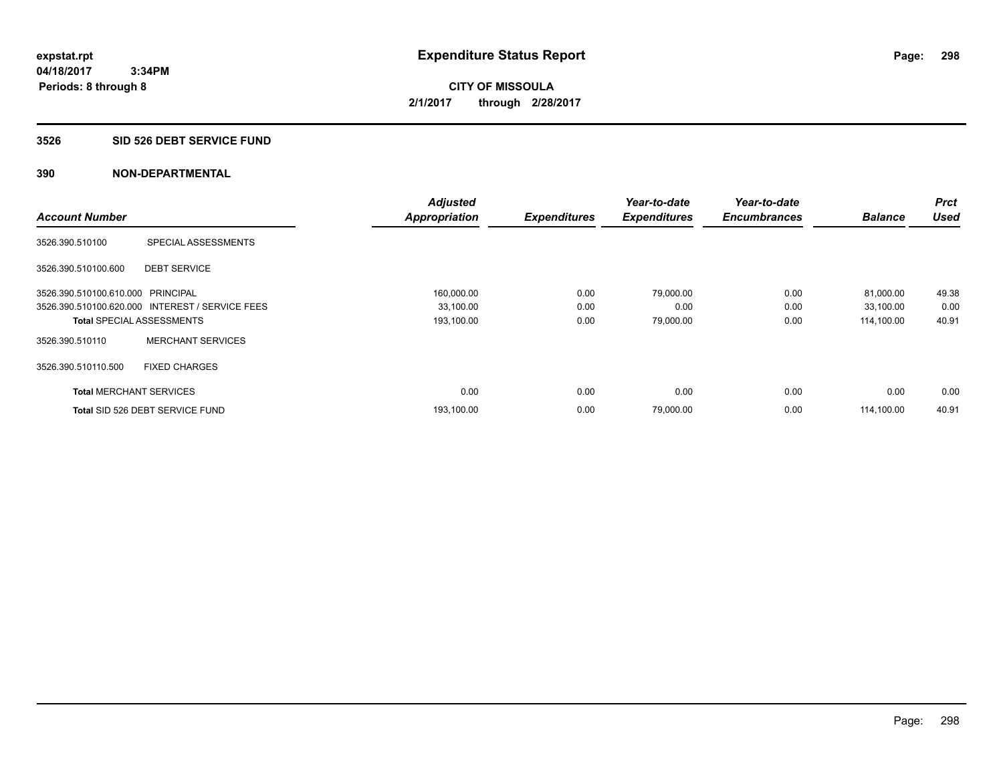**Periods: 8 through 8**

**CITY OF MISSOULA 2/1/2017 through 2/28/2017**

#### **3526 SID 526 DEBT SERVICE FUND**

 **3:34PM**

|                                   |                                                 | <b>Adjusted</b>      |                     | Year-to-date        | Year-to-date        |                | Prct        |
|-----------------------------------|-------------------------------------------------|----------------------|---------------------|---------------------|---------------------|----------------|-------------|
| <b>Account Number</b>             |                                                 | <b>Appropriation</b> | <b>Expenditures</b> | <b>Expenditures</b> | <b>Encumbrances</b> | <b>Balance</b> | <b>Used</b> |
| 3526.390.510100                   | SPECIAL ASSESSMENTS                             |                      |                     |                     |                     |                |             |
| 3526.390.510100.600               | <b>DEBT SERVICE</b>                             |                      |                     |                     |                     |                |             |
| 3526.390.510100.610.000 PRINCIPAL |                                                 | 160,000.00           | 0.00                | 79.000.00           | 0.00                | 81,000.00      | 49.38       |
|                                   | 3526.390.510100.620.000 INTEREST / SERVICE FEES | 33,100.00            | 0.00                | 0.00                | 0.00                | 33,100.00      | 0.00        |
| <b>Total SPECIAL ASSESSMENTS</b>  |                                                 | 193,100.00           | 0.00                | 79,000.00           | 0.00                | 114,100.00     | 40.91       |
| 3526.390.510110                   | <b>MERCHANT SERVICES</b>                        |                      |                     |                     |                     |                |             |
| 3526.390.510110.500               | <b>FIXED CHARGES</b>                            |                      |                     |                     |                     |                |             |
| <b>Total MERCHANT SERVICES</b>    |                                                 | 0.00                 | 0.00                | 0.00                | 0.00                | 0.00           | 0.00        |
|                                   | Total SID 526 DEBT SERVICE FUND                 | 193,100.00           | 0.00                | 79,000.00           | 0.00                | 114.100.00     | 40.91       |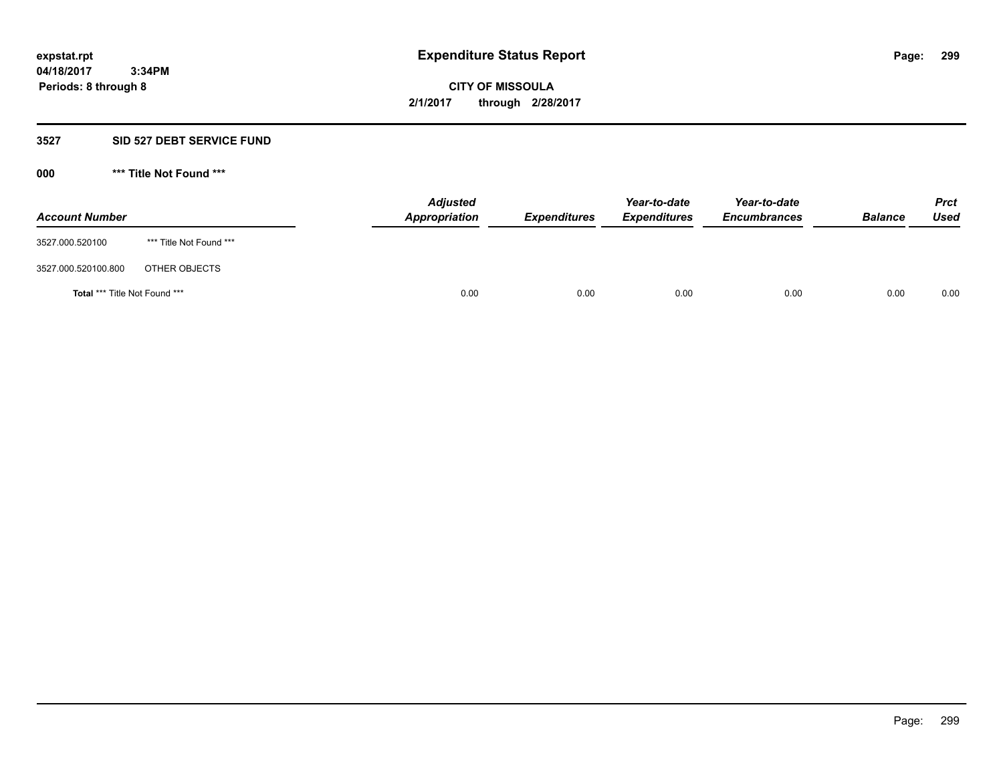#### **3527 SID 527 DEBT SERVICE FUND**

**000 \*\*\* Title Not Found \*\*\***

| <b>Account Number</b>         |                         | <b>Adjusted</b><br>Appropriation | <b>Expenditures</b> | Year-to-date<br><b>Expenditures</b> | Year-to-date<br><b>Encumbrances</b> | <b>Balance</b> | <b>Prct</b><br>Used |
|-------------------------------|-------------------------|----------------------------------|---------------------|-------------------------------------|-------------------------------------|----------------|---------------------|
| 3527.000.520100               | *** Title Not Found *** |                                  |                     |                                     |                                     |                |                     |
| 3527.000.520100.800           | OTHER OBJECTS           |                                  |                     |                                     |                                     |                |                     |
| Total *** Title Not Found *** |                         | 0.00                             | 0.00                | 0.00                                | 0.00                                | 0.00           | 0.00                |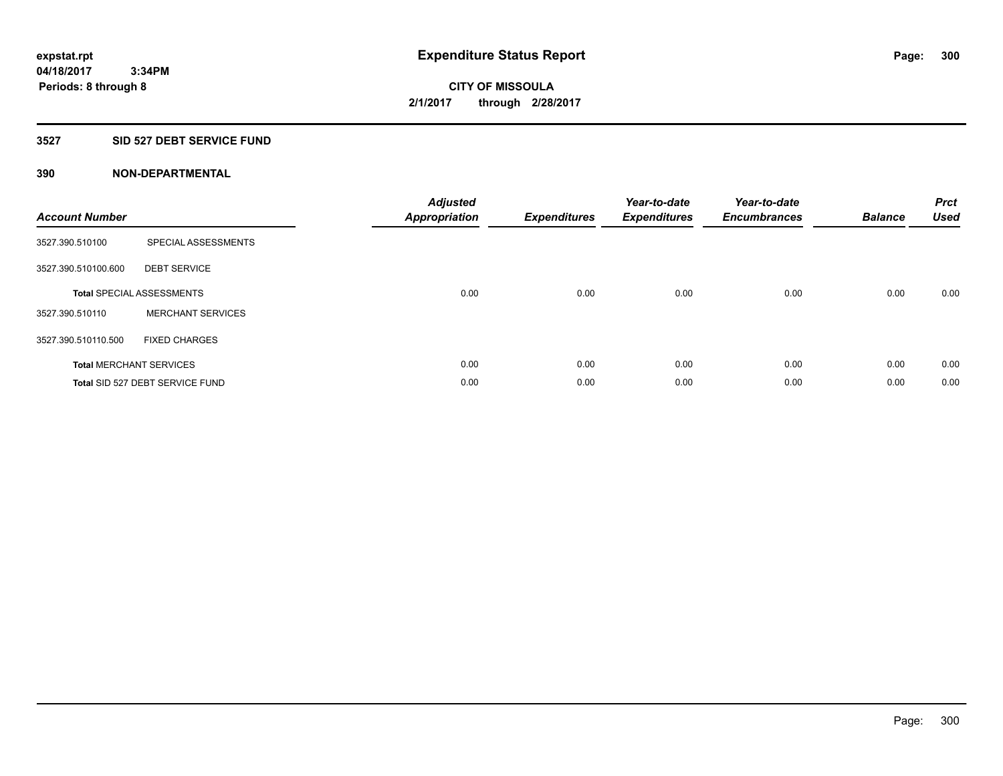# **3527 SID 527 DEBT SERVICE FUND**

| <b>Account Number</b> |                                  | <b>Adjusted</b><br>Appropriation | <b>Expenditures</b> | Year-to-date<br><b>Expenditures</b> | Year-to-date<br><b>Encumbrances</b> | <b>Balance</b> | <b>Prct</b><br><b>Used</b> |
|-----------------------|----------------------------------|----------------------------------|---------------------|-------------------------------------|-------------------------------------|----------------|----------------------------|
| 3527.390.510100       | SPECIAL ASSESSMENTS              |                                  |                     |                                     |                                     |                |                            |
| 3527.390.510100.600   | <b>DEBT SERVICE</b>              |                                  |                     |                                     |                                     |                |                            |
|                       | <b>Total SPECIAL ASSESSMENTS</b> | 0.00                             | 0.00                | 0.00                                | 0.00                                | 0.00           | 0.00                       |
| 3527.390.510110       | <b>MERCHANT SERVICES</b>         |                                  |                     |                                     |                                     |                |                            |
| 3527.390.510110.500   | <b>FIXED CHARGES</b>             |                                  |                     |                                     |                                     |                |                            |
|                       | <b>Total MERCHANT SERVICES</b>   | 0.00                             | 0.00                | 0.00                                | 0.00                                | 0.00           | 0.00                       |
|                       | Total SID 527 DEBT SERVICE FUND  | 0.00                             | 0.00                | 0.00                                | 0.00                                | 0.00           | 0.00                       |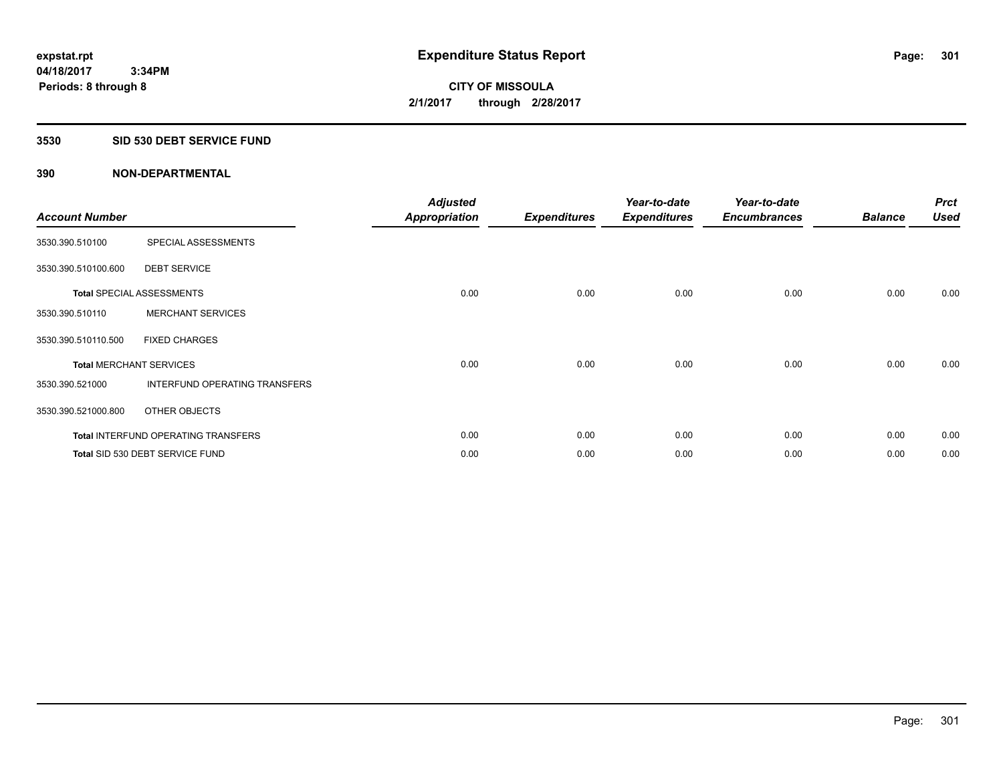## **3530 SID 530 DEBT SERVICE FUND**

| <b>Account Number</b>          |                                            | <b>Adjusted</b><br><b>Appropriation</b> | <b>Expenditures</b> | Year-to-date<br><b>Expenditures</b> | Year-to-date<br><b>Encumbrances</b> | <b>Balance</b> | <b>Prct</b><br><b>Used</b> |
|--------------------------------|--------------------------------------------|-----------------------------------------|---------------------|-------------------------------------|-------------------------------------|----------------|----------------------------|
| 3530.390.510100                | SPECIAL ASSESSMENTS                        |                                         |                     |                                     |                                     |                |                            |
| 3530.390.510100.600            | <b>DEBT SERVICE</b>                        |                                         |                     |                                     |                                     |                |                            |
|                                | <b>Total SPECIAL ASSESSMENTS</b>           | 0.00                                    | 0.00                | 0.00                                | 0.00                                | 0.00           | 0.00                       |
| 3530.390.510110                | <b>MERCHANT SERVICES</b>                   |                                         |                     |                                     |                                     |                |                            |
| 3530.390.510110.500            | <b>FIXED CHARGES</b>                       |                                         |                     |                                     |                                     |                |                            |
| <b>Total MERCHANT SERVICES</b> |                                            | 0.00                                    | 0.00                | 0.00                                | 0.00                                | 0.00           | 0.00                       |
| 3530.390.521000                | INTERFUND OPERATING TRANSFERS              |                                         |                     |                                     |                                     |                |                            |
| 3530.390.521000.800            | OTHER OBJECTS                              |                                         |                     |                                     |                                     |                |                            |
|                                | <b>Total INTERFUND OPERATING TRANSFERS</b> | 0.00                                    | 0.00                | 0.00                                | 0.00                                | 0.00           | 0.00                       |
|                                | Total SID 530 DEBT SERVICE FUND            | 0.00                                    | 0.00                | 0.00                                | 0.00                                | 0.00           | 0.00                       |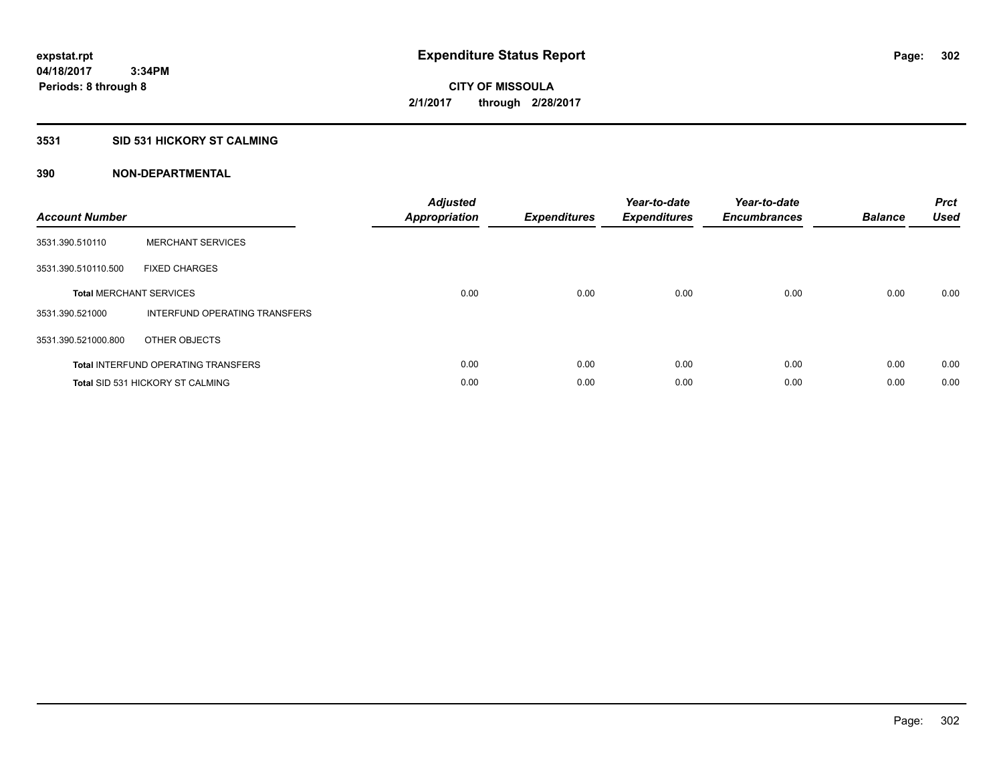# **3531 SID 531 HICKORY ST CALMING**

| <b>Account Number</b> |                                            | <b>Adjusted</b><br>Appropriation | <b>Expenditures</b> | Year-to-date<br><b>Expenditures</b> | Year-to-date<br><b>Encumbrances</b> | <b>Balance</b> | <b>Prct</b><br><b>Used</b> |
|-----------------------|--------------------------------------------|----------------------------------|---------------------|-------------------------------------|-------------------------------------|----------------|----------------------------|
| 3531.390.510110       | <b>MERCHANT SERVICES</b>                   |                                  |                     |                                     |                                     |                |                            |
| 3531.390.510110.500   | <b>FIXED CHARGES</b>                       |                                  |                     |                                     |                                     |                |                            |
|                       | <b>Total MERCHANT SERVICES</b>             | 0.00                             | 0.00                | 0.00                                | 0.00                                | 0.00           | 0.00                       |
| 3531.390.521000       | INTERFUND OPERATING TRANSFERS              |                                  |                     |                                     |                                     |                |                            |
| 3531.390.521000.800   | OTHER OBJECTS                              |                                  |                     |                                     |                                     |                |                            |
|                       | <b>Total INTERFUND OPERATING TRANSFERS</b> | 0.00                             | 0.00                | 0.00                                | 0.00                                | 0.00           | 0.00                       |
|                       | <b>Total SID 531 HICKORY ST CALMING</b>    | 0.00                             | 0.00                | 0.00                                | 0.00                                | 0.00           | 0.00                       |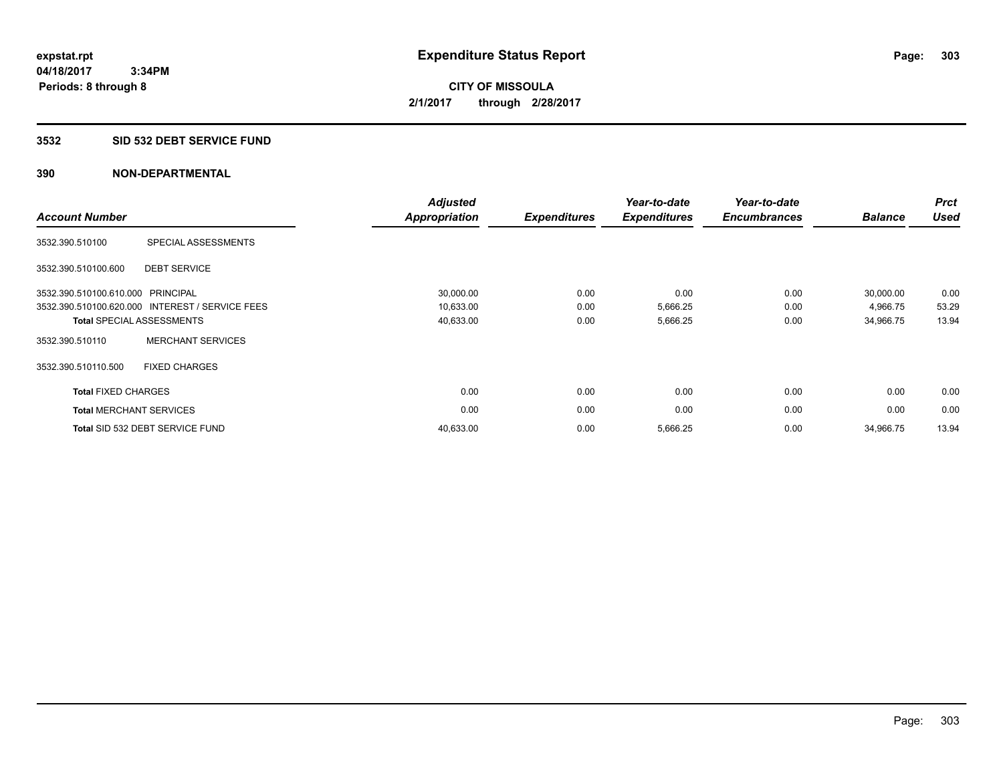#### **3532 SID 532 DEBT SERVICE FUND**

| <b>Account Number</b>          |                                                 | <b>Adjusted</b><br><b>Appropriation</b> | <b>Expenditures</b> | Year-to-date<br><b>Expenditures</b> | Year-to-date<br><b>Encumbrances</b> | <b>Balance</b> | <b>Prct</b><br><b>Used</b> |
|--------------------------------|-------------------------------------------------|-----------------------------------------|---------------------|-------------------------------------|-------------------------------------|----------------|----------------------------|
| 3532.390.510100                | SPECIAL ASSESSMENTS                             |                                         |                     |                                     |                                     |                |                            |
| 3532.390.510100.600            | <b>DEBT SERVICE</b>                             |                                         |                     |                                     |                                     |                |                            |
| 3532.390.510100.610.000        | PRINCIPAL                                       | 30,000.00                               | 0.00                | 0.00                                | 0.00                                | 30,000.00      | 0.00                       |
|                                | 3532.390.510100.620.000 INTEREST / SERVICE FEES | 10,633.00                               | 0.00                | 5,666.25                            | 0.00                                | 4,966.75       | 53.29                      |
|                                | <b>Total SPECIAL ASSESSMENTS</b>                | 40,633.00                               | 0.00                | 5,666.25                            | 0.00                                | 34,966.75      | 13.94                      |
| 3532.390.510110                | <b>MERCHANT SERVICES</b>                        |                                         |                     |                                     |                                     |                |                            |
| 3532.390.510110.500            | <b>FIXED CHARGES</b>                            |                                         |                     |                                     |                                     |                |                            |
| <b>Total FIXED CHARGES</b>     |                                                 | 0.00                                    | 0.00                | 0.00                                | 0.00                                | 0.00           | 0.00                       |
| <b>Total MERCHANT SERVICES</b> |                                                 | 0.00                                    | 0.00                | 0.00                                | 0.00                                | 0.00           | 0.00                       |
|                                | Total SID 532 DEBT SERVICE FUND                 | 40,633.00                               | 0.00                | 5,666.25                            | 0.00                                | 34,966.75      | 13.94                      |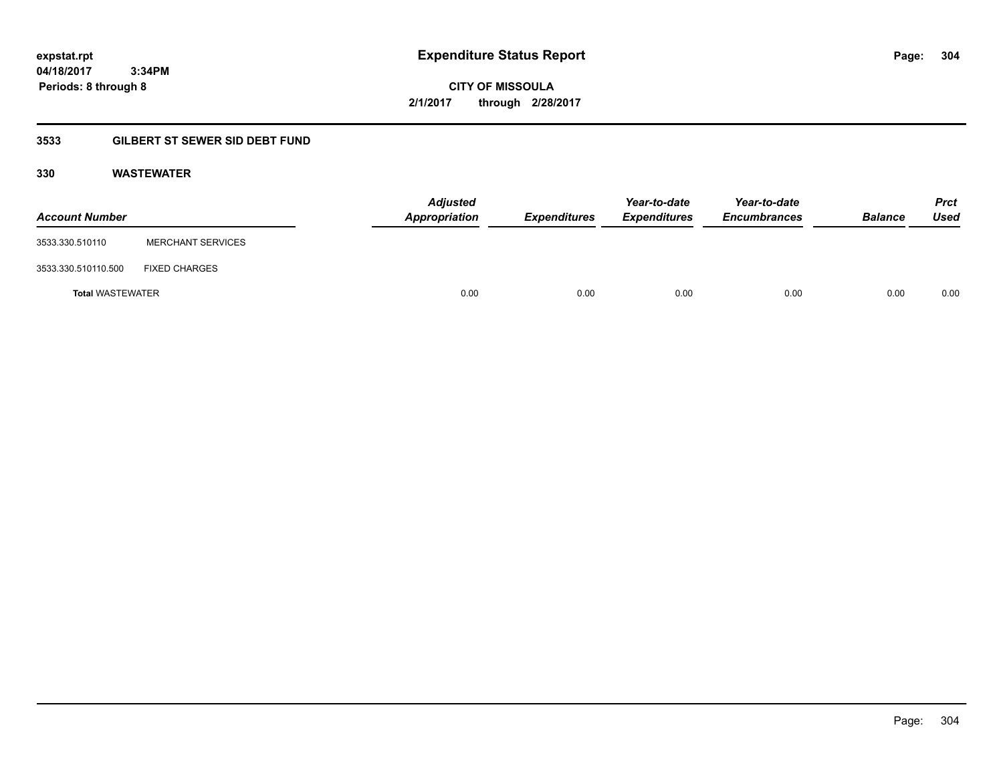**04/18/2017 3:34PM Periods: 8 through 8**

**CITY OF MISSOULA 2/1/2017 through 2/28/2017**

# **3533 GILBERT ST SEWER SID DEBT FUND**

# **330 WASTEWATER**

| <b>Account Number</b>   |                          | <b>Adjusted</b><br>Appropriation | <b>Expenditures</b> | Year-to-date<br><b>Expenditures</b> | Year-to-date<br><b>Encumbrances</b> | <b>Balance</b> | <b>Prct</b><br>Used |
|-------------------------|--------------------------|----------------------------------|---------------------|-------------------------------------|-------------------------------------|----------------|---------------------|
| 3533.330.510110         | <b>MERCHANT SERVICES</b> |                                  |                     |                                     |                                     |                |                     |
| 3533.330.510110.500     | <b>FIXED CHARGES</b>     |                                  |                     |                                     |                                     |                |                     |
| <b>Total WASTEWATER</b> |                          | 0.00                             | 0.00                | 0.00                                | 0.00                                | 0.00           | 0.00                |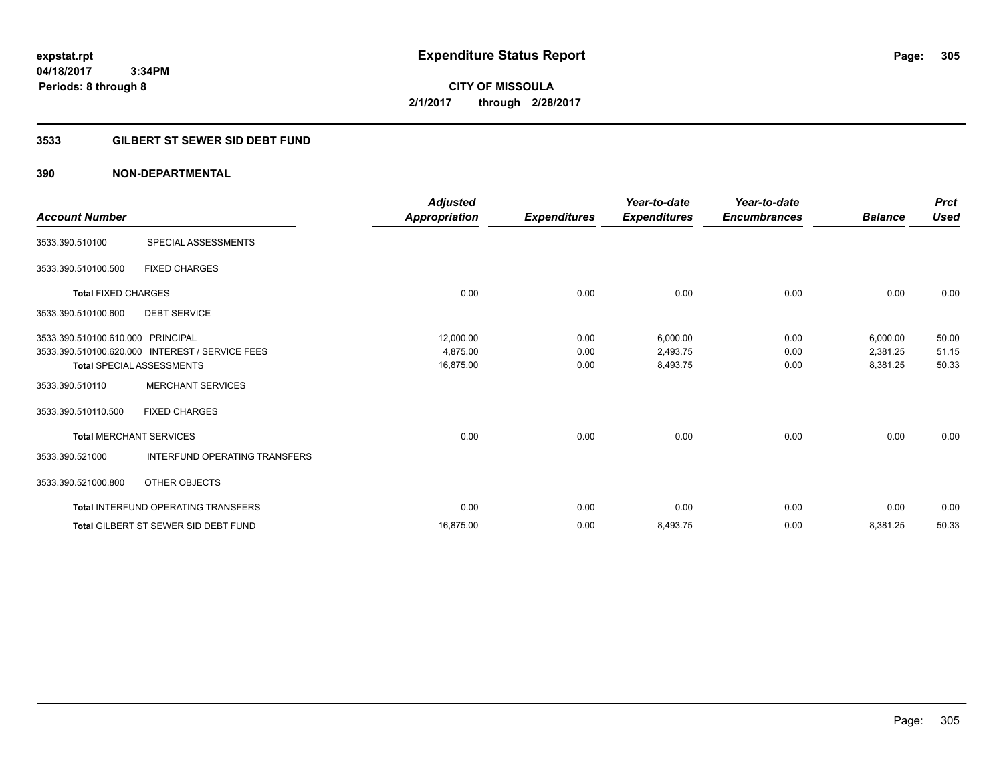**04/18/2017 3:34PM Periods: 8 through 8**

# **CITY OF MISSOULA 2/1/2017 through 2/28/2017**

# **3533 GILBERT ST SEWER SID DEBT FUND**

| <b>Account Number</b>             |                                                 | <b>Adjusted</b><br>Appropriation | <b>Expenditures</b> | Year-to-date<br><b>Expenditures</b> | Year-to-date<br><b>Encumbrances</b> | <b>Balance</b> | <b>Prct</b><br><b>Used</b> |
|-----------------------------------|-------------------------------------------------|----------------------------------|---------------------|-------------------------------------|-------------------------------------|----------------|----------------------------|
|                                   |                                                 |                                  |                     |                                     |                                     |                |                            |
| 3533.390.510100                   | SPECIAL ASSESSMENTS                             |                                  |                     |                                     |                                     |                |                            |
| 3533.390.510100.500               | <b>FIXED CHARGES</b>                            |                                  |                     |                                     |                                     |                |                            |
| <b>Total FIXED CHARGES</b>        |                                                 | 0.00                             | 0.00                | 0.00                                | 0.00                                | 0.00           | 0.00                       |
| 3533.390.510100.600               | <b>DEBT SERVICE</b>                             |                                  |                     |                                     |                                     |                |                            |
| 3533.390.510100.610.000 PRINCIPAL |                                                 | 12,000.00                        | 0.00                | 6,000.00                            | 0.00                                | 6,000.00       | 50.00                      |
|                                   | 3533.390.510100.620.000 INTEREST / SERVICE FEES | 4.875.00                         | 0.00                | 2,493.75                            | 0.00                                | 2,381.25       | 51.15                      |
|                                   | Total SPECIAL ASSESSMENTS                       | 16,875.00                        | 0.00                | 8,493.75                            | 0.00                                | 8,381.25       | 50.33                      |
| 3533.390.510110                   | <b>MERCHANT SERVICES</b>                        |                                  |                     |                                     |                                     |                |                            |
| 3533.390.510110.500               | <b>FIXED CHARGES</b>                            |                                  |                     |                                     |                                     |                |                            |
| <b>Total MERCHANT SERVICES</b>    |                                                 | 0.00                             | 0.00                | 0.00                                | 0.00                                | 0.00           | 0.00                       |
| 3533.390.521000                   | <b>INTERFUND OPERATING TRANSFERS</b>            |                                  |                     |                                     |                                     |                |                            |
| 3533.390.521000.800               | OTHER OBJECTS                                   |                                  |                     |                                     |                                     |                |                            |
|                                   | <b>Total INTERFUND OPERATING TRANSFERS</b>      | 0.00                             | 0.00                | 0.00                                | 0.00                                | 0.00           | 0.00                       |
|                                   | <b>Total GILBERT ST SEWER SID DEBT FUND</b>     | 16,875.00                        | 0.00                | 8,493.75                            | 0.00                                | 8,381.25       | 50.33                      |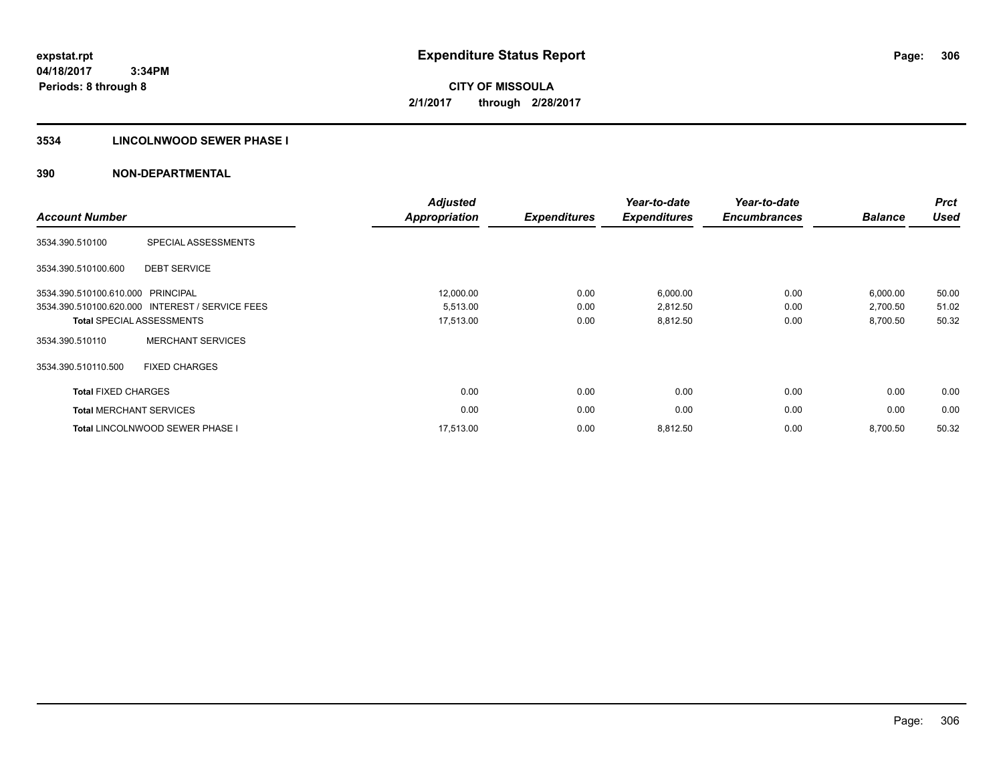## **3534 LINCOLNWOOD SEWER PHASE I**

| <b>Account Number</b>             |                                                 | <b>Adjusted</b><br><b>Appropriation</b> | <b>Expenditures</b> | Year-to-date<br><b>Expenditures</b> | Year-to-date<br><b>Encumbrances</b> | <b>Balance</b> | <b>Prct</b><br><b>Used</b> |
|-----------------------------------|-------------------------------------------------|-----------------------------------------|---------------------|-------------------------------------|-------------------------------------|----------------|----------------------------|
| 3534.390.510100                   | SPECIAL ASSESSMENTS                             |                                         |                     |                                     |                                     |                |                            |
| 3534.390.510100.600               | <b>DEBT SERVICE</b>                             |                                         |                     |                                     |                                     |                |                            |
| 3534.390.510100.610.000 PRINCIPAL |                                                 | 12,000.00                               | 0.00                | 6,000.00                            | 0.00                                | 6,000.00       | 50.00                      |
|                                   | 3534.390.510100.620.000 INTEREST / SERVICE FEES | 5,513.00                                | 0.00                | 2,812.50                            | 0.00                                | 2,700.50       | 51.02                      |
|                                   | <b>Total SPECIAL ASSESSMENTS</b>                | 17,513.00                               | 0.00                | 8,812.50                            | 0.00                                | 8,700.50       | 50.32                      |
| 3534.390.510110                   | <b>MERCHANT SERVICES</b>                        |                                         |                     |                                     |                                     |                |                            |
| 3534.390.510110.500               | <b>FIXED CHARGES</b>                            |                                         |                     |                                     |                                     |                |                            |
| <b>Total FIXED CHARGES</b>        |                                                 | 0.00                                    | 0.00                | 0.00                                | 0.00                                | 0.00           | 0.00                       |
|                                   | <b>Total MERCHANT SERVICES</b>                  | 0.00                                    | 0.00                | 0.00                                | 0.00                                | 0.00           | 0.00                       |
|                                   | <b>Total LINCOLNWOOD SEWER PHASE I</b>          | 17.513.00                               | 0.00                | 8,812.50                            | 0.00                                | 8,700.50       | 50.32                      |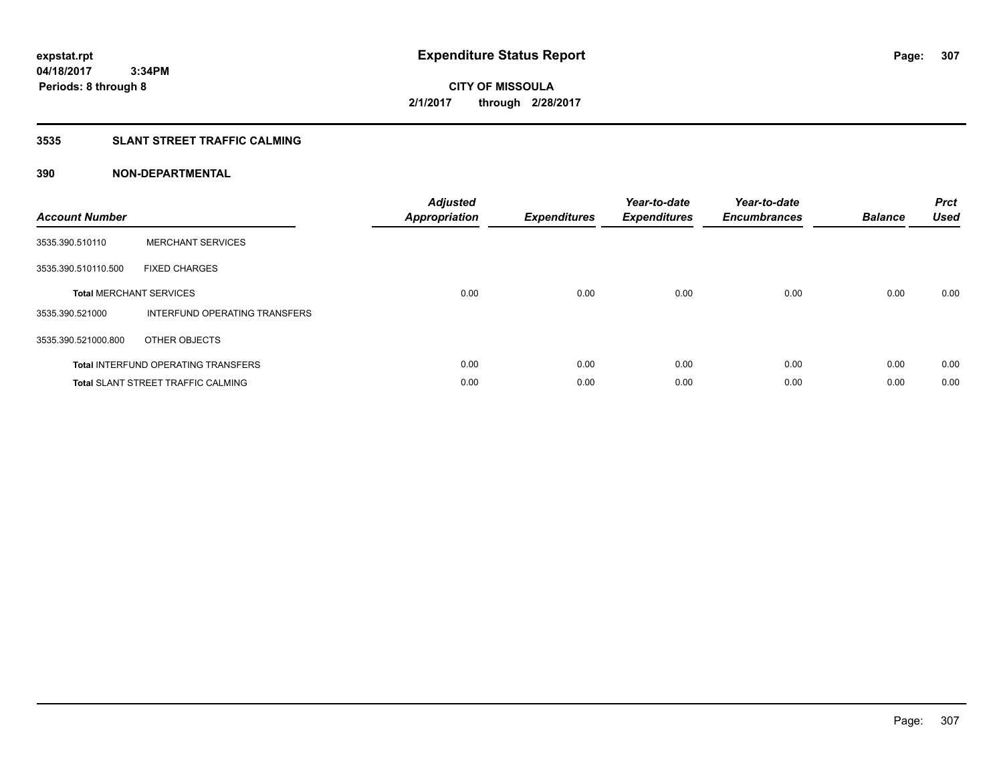# **3535 SLANT STREET TRAFFIC CALMING**

| <b>Account Number</b> |                                            | <b>Adjusted</b><br>Appropriation | <b>Expenditures</b> | Year-to-date<br><b>Expenditures</b> | Year-to-date<br><b>Encumbrances</b> | <b>Balance</b> | <b>Prct</b><br>Used |
|-----------------------|--------------------------------------------|----------------------------------|---------------------|-------------------------------------|-------------------------------------|----------------|---------------------|
| 3535.390.510110       | <b>MERCHANT SERVICES</b>                   |                                  |                     |                                     |                                     |                |                     |
| 3535.390.510110.500   | <b>FIXED CHARGES</b>                       |                                  |                     |                                     |                                     |                |                     |
|                       | <b>Total MERCHANT SERVICES</b>             | 0.00                             | 0.00                | 0.00                                | 0.00                                | 0.00           | 0.00                |
| 3535.390.521000       | INTERFUND OPERATING TRANSFERS              |                                  |                     |                                     |                                     |                |                     |
| 3535.390.521000.800   | OTHER OBJECTS                              |                                  |                     |                                     |                                     |                |                     |
|                       | <b>Total INTERFUND OPERATING TRANSFERS</b> | 0.00                             | 0.00                | 0.00                                | 0.00                                | 0.00           | 0.00                |
|                       | <b>Total SLANT STREET TRAFFIC CALMING</b>  | 0.00                             | 0.00                | 0.00                                | 0.00                                | 0.00           | 0.00                |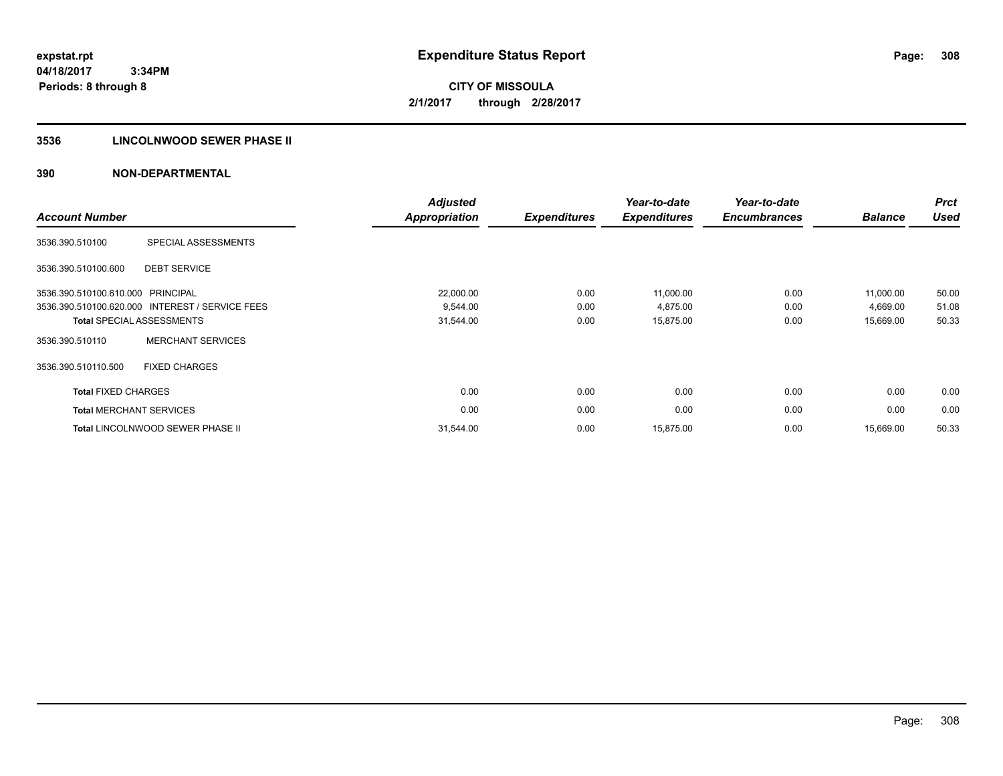# **3536 LINCOLNWOOD SEWER PHASE II**

| <b>Account Number</b>          |                                                 | <b>Adjusted</b><br><b>Appropriation</b> | <b>Expenditures</b> | Year-to-date<br><b>Expenditures</b> | Year-to-date<br><b>Encumbrances</b> | <b>Balance</b> | <b>Prct</b><br><b>Used</b> |
|--------------------------------|-------------------------------------------------|-----------------------------------------|---------------------|-------------------------------------|-------------------------------------|----------------|----------------------------|
| 3536.390.510100                | SPECIAL ASSESSMENTS                             |                                         |                     |                                     |                                     |                |                            |
| 3536.390.510100.600            | <b>DEBT SERVICE</b>                             |                                         |                     |                                     |                                     |                |                            |
| 3536.390.510100.610.000        | PRINCIPAL                                       | 22,000.00                               | 0.00                | 11,000.00                           | 0.00                                | 11,000.00      | 50.00                      |
|                                | 3536.390.510100.620.000 INTEREST / SERVICE FEES | 9,544.00                                | 0.00                | 4,875.00                            | 0.00                                | 4,669.00       | 51.08                      |
|                                | <b>Total SPECIAL ASSESSMENTS</b>                | 31,544.00                               | 0.00                | 15,875.00                           | 0.00                                | 15,669.00      | 50.33                      |
| 3536.390.510110                | <b>MERCHANT SERVICES</b>                        |                                         |                     |                                     |                                     |                |                            |
| 3536.390.510110.500            | <b>FIXED CHARGES</b>                            |                                         |                     |                                     |                                     |                |                            |
| <b>Total FIXED CHARGES</b>     |                                                 | 0.00                                    | 0.00                | 0.00                                | 0.00                                | 0.00           | 0.00                       |
| <b>Total MERCHANT SERVICES</b> |                                                 | 0.00                                    | 0.00                | 0.00                                | 0.00                                | 0.00           | 0.00                       |
|                                | <b>Total LINCOLNWOOD SEWER PHASE II</b>         | 31,544.00                               | 0.00                | 15,875.00                           | 0.00                                | 15,669.00      | 50.33                      |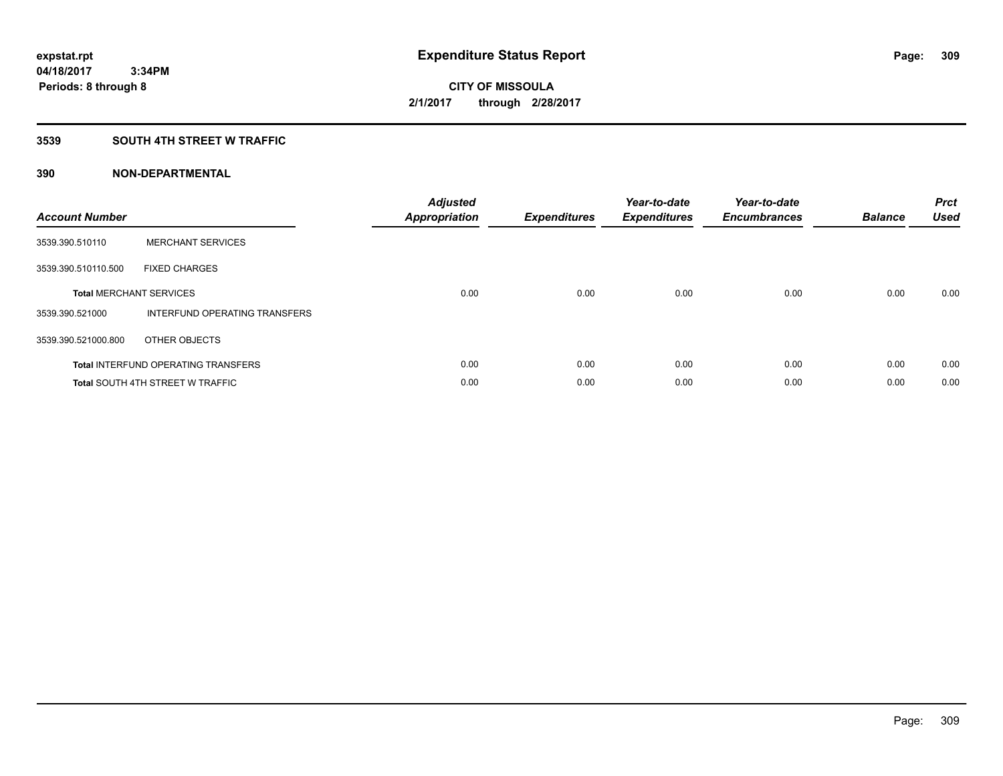# **3539 SOUTH 4TH STREET W TRAFFIC**

| <b>Account Number</b> |                                            | <b>Adjusted</b><br>Appropriation | <b>Expenditures</b> | Year-to-date<br><b>Expenditures</b> | Year-to-date<br><b>Encumbrances</b> | <b>Balance</b> | <b>Prct</b><br><b>Used</b> |
|-----------------------|--------------------------------------------|----------------------------------|---------------------|-------------------------------------|-------------------------------------|----------------|----------------------------|
| 3539.390.510110       | <b>MERCHANT SERVICES</b>                   |                                  |                     |                                     |                                     |                |                            |
| 3539.390.510110.500   | <b>FIXED CHARGES</b>                       |                                  |                     |                                     |                                     |                |                            |
|                       | <b>Total MERCHANT SERVICES</b>             | 0.00                             | 0.00                | 0.00                                | 0.00                                | 0.00           | 0.00                       |
| 3539.390.521000       | INTERFUND OPERATING TRANSFERS              |                                  |                     |                                     |                                     |                |                            |
| 3539.390.521000.800   | OTHER OBJECTS                              |                                  |                     |                                     |                                     |                |                            |
|                       | <b>Total INTERFUND OPERATING TRANSFERS</b> | 0.00                             | 0.00                | 0.00                                | 0.00                                | 0.00           | 0.00                       |
|                       | <b>Total SOUTH 4TH STREET W TRAFFIC</b>    | 0.00                             | 0.00                | 0.00                                | 0.00                                | 0.00           | 0.00                       |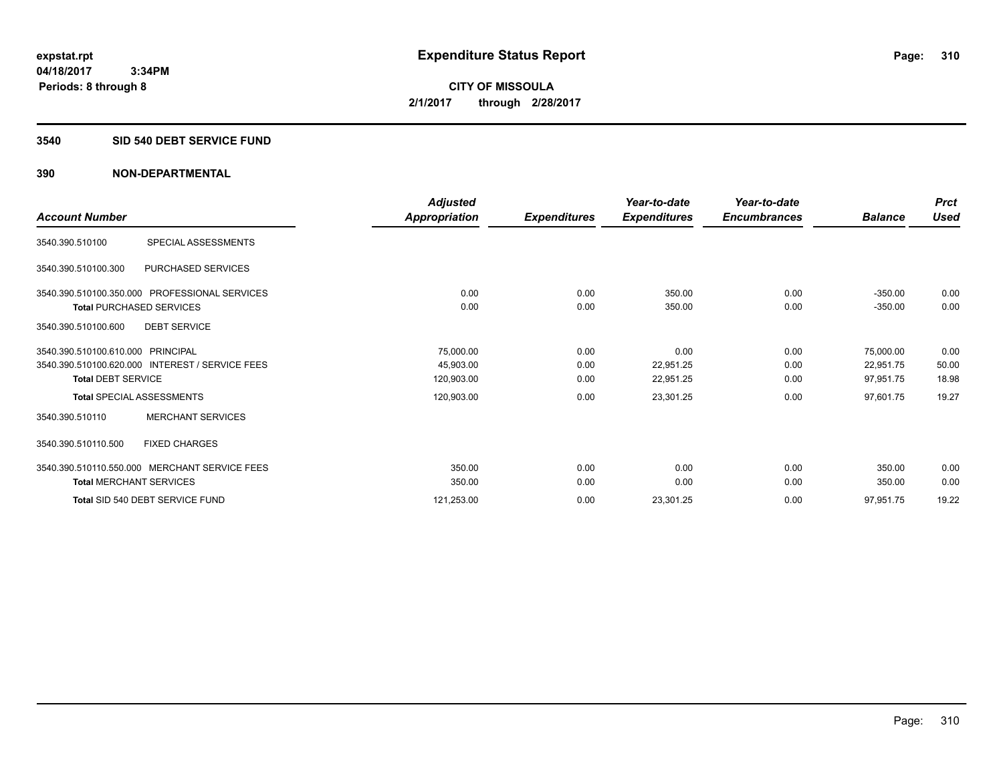# **3540 SID 540 DEBT SERVICE FUND**

|                                                 | <b>Adjusted</b> |                     | Year-to-date        | Year-to-date        |                | <b>Prct</b> |
|-------------------------------------------------|-----------------|---------------------|---------------------|---------------------|----------------|-------------|
| <b>Account Number</b>                           | Appropriation   | <b>Expenditures</b> | <b>Expenditures</b> | <b>Encumbrances</b> | <b>Balance</b> | <b>Used</b> |
| SPECIAL ASSESSMENTS<br>3540.390.510100          |                 |                     |                     |                     |                |             |
| 3540.390.510100.300<br>PURCHASED SERVICES       |                 |                     |                     |                     |                |             |
| 3540.390.510100.350.000 PROFESSIONAL SERVICES   | 0.00            | 0.00                | 350.00              | 0.00                | $-350.00$      | 0.00        |
| <b>Total PURCHASED SERVICES</b>                 | 0.00            | 0.00                | 350.00              | 0.00                | $-350.00$      | 0.00        |
| <b>DEBT SERVICE</b><br>3540.390.510100.600      |                 |                     |                     |                     |                |             |
| 3540.390.510100.610.000 PRINCIPAL               | 75,000.00       | 0.00                | 0.00                | 0.00                | 75,000.00      | 0.00        |
| 3540.390.510100.620.000 INTEREST / SERVICE FEES | 45,903.00       | 0.00                | 22,951.25           | 0.00                | 22,951.75      | 50.00       |
| <b>Total DEBT SERVICE</b>                       | 120,903.00      | 0.00                | 22,951.25           | 0.00                | 97,951.75      | 18.98       |
| <b>Total SPECIAL ASSESSMENTS</b>                | 120,903.00      | 0.00                | 23,301.25           | 0.00                | 97,601.75      | 19.27       |
| <b>MERCHANT SERVICES</b><br>3540.390.510110     |                 |                     |                     |                     |                |             |
| <b>FIXED CHARGES</b><br>3540.390.510110.500     |                 |                     |                     |                     |                |             |
| 3540.390.510110.550.000 MERCHANT SERVICE FEES   | 350.00          | 0.00                | 0.00                | 0.00                | 350.00         | 0.00        |
| <b>Total MERCHANT SERVICES</b>                  | 350.00          | 0.00                | 0.00                | 0.00                | 350.00         | 0.00        |
| Total SID 540 DEBT SERVICE FUND                 | 121,253.00      | 0.00                | 23,301.25           | 0.00                | 97,951.75      | 19.22       |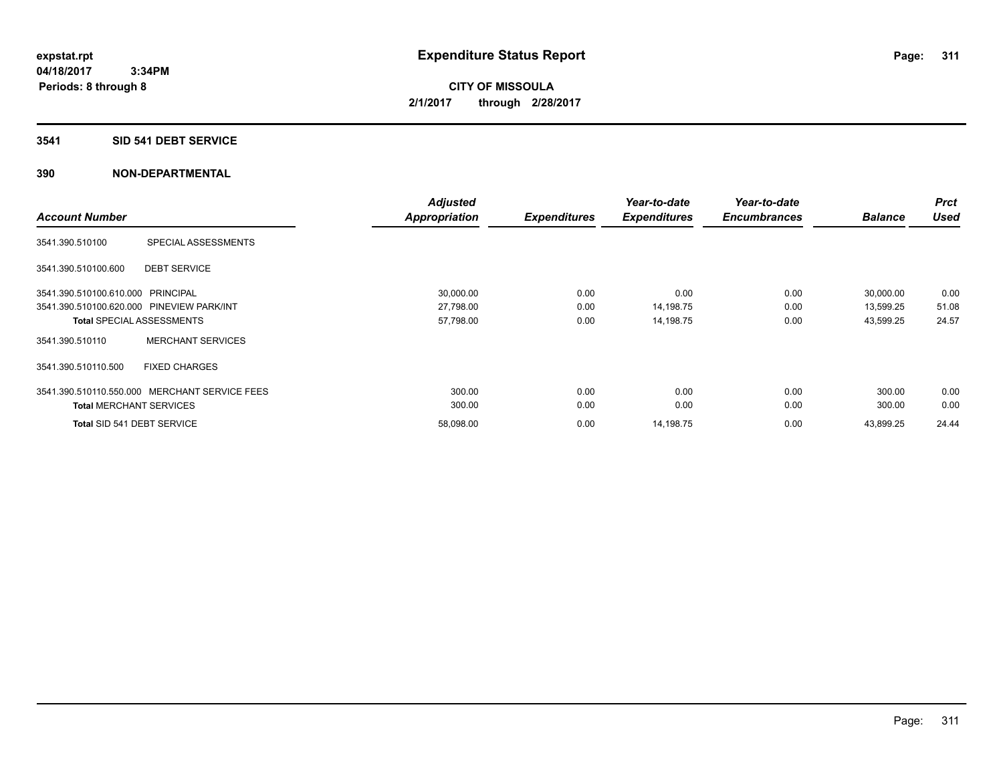#### **3541 SID 541 DEBT SERVICE**

| <b>Account Number</b>                                   | <b>Adjusted</b><br><b>Appropriation</b> | <b>Expenditures</b> | Year-to-date<br><b>Expenditures</b> | Year-to-date<br><b>Encumbrances</b> | <b>Balance</b> | <b>Prct</b><br><b>Used</b> |
|---------------------------------------------------------|-----------------------------------------|---------------------|-------------------------------------|-------------------------------------|----------------|----------------------------|
|                                                         |                                         |                     |                                     |                                     |                |                            |
| SPECIAL ASSESSMENTS<br>3541.390.510100                  |                                         |                     |                                     |                                     |                |                            |
| <b>DEBT SERVICE</b><br>3541.390.510100.600              |                                         |                     |                                     |                                     |                |                            |
| 3541.390.510100.610.000 PRINCIPAL                       | 30,000.00                               | 0.00                | 0.00                                | 0.00                                | 30,000.00      | 0.00                       |
| 3541.390.510100.620.000 PINEVIEW PARK/INT               | 27,798.00                               | 0.00                | 14,198.75                           | 0.00                                | 13,599.25      | 51.08                      |
| <b>Total SPECIAL ASSESSMENTS</b>                        | 57,798.00                               | 0.00                | 14,198.75                           | 0.00                                | 43,599.25      | 24.57                      |
| <b>MERCHANT SERVICES</b><br>3541.390.510110             |                                         |                     |                                     |                                     |                |                            |
| 3541.390.510110.500<br><b>FIXED CHARGES</b>             |                                         |                     |                                     |                                     |                |                            |
| <b>MERCHANT SERVICE FEES</b><br>3541.390.510110.550.000 | 300.00                                  | 0.00                | 0.00                                | 0.00                                | 300.00         | 0.00                       |
| <b>Total MERCHANT SERVICES</b>                          | 300.00                                  | 0.00                | 0.00                                | 0.00                                | 300.00         | 0.00                       |
| Total SID 541 DEBT SERVICE                              | 58,098.00                               | 0.00                | 14,198.75                           | 0.00                                | 43,899.25      | 24.44                      |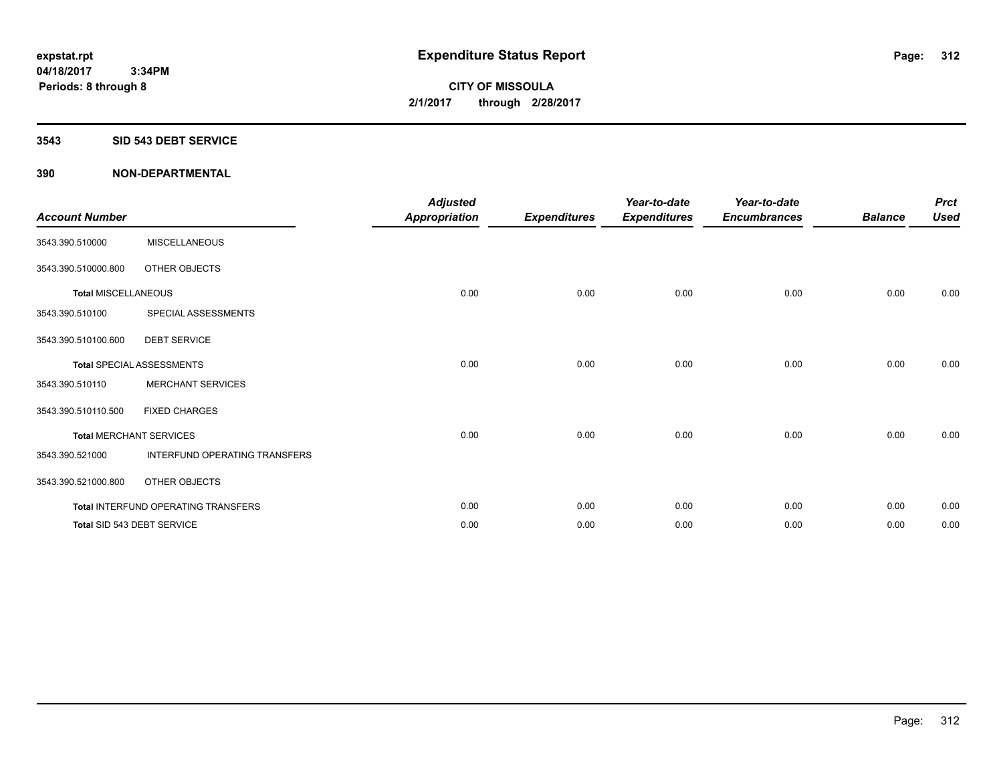#### **3543 SID 543 DEBT SERVICE**

| <b>Account Number</b>          |                                     | <b>Adjusted</b><br><b>Appropriation</b> | <b>Expenditures</b> | Year-to-date<br><b>Expenditures</b> | Year-to-date<br><b>Encumbrances</b> | <b>Balance</b> | <b>Prct</b><br><b>Used</b> |
|--------------------------------|-------------------------------------|-----------------------------------------|---------------------|-------------------------------------|-------------------------------------|----------------|----------------------------|
| 3543.390.510000                | <b>MISCELLANEOUS</b>                |                                         |                     |                                     |                                     |                |                            |
| 3543.390.510000.800            | OTHER OBJECTS                       |                                         |                     |                                     |                                     |                |                            |
| <b>Total MISCELLANEOUS</b>     |                                     | 0.00                                    | 0.00                | 0.00                                | 0.00                                | 0.00           | 0.00                       |
| 3543.390.510100                | SPECIAL ASSESSMENTS                 |                                         |                     |                                     |                                     |                |                            |
| 3543.390.510100.600            | <b>DEBT SERVICE</b>                 |                                         |                     |                                     |                                     |                |                            |
|                                | <b>Total SPECIAL ASSESSMENTS</b>    | 0.00                                    | 0.00                | 0.00                                | 0.00                                | 0.00           | 0.00                       |
| 3543.390.510110                | <b>MERCHANT SERVICES</b>            |                                         |                     |                                     |                                     |                |                            |
| 3543.390.510110.500            | <b>FIXED CHARGES</b>                |                                         |                     |                                     |                                     |                |                            |
| <b>Total MERCHANT SERVICES</b> |                                     | 0.00                                    | 0.00                | 0.00                                | 0.00                                | 0.00           | 0.00                       |
| 3543.390.521000                | INTERFUND OPERATING TRANSFERS       |                                         |                     |                                     |                                     |                |                            |
| 3543.390.521000.800            | OTHER OBJECTS                       |                                         |                     |                                     |                                     |                |                            |
|                                | Total INTERFUND OPERATING TRANSFERS | 0.00                                    | 0.00                | 0.00                                | 0.00                                | 0.00           | 0.00                       |
|                                | Total SID 543 DEBT SERVICE          | 0.00                                    | 0.00                | 0.00                                | 0.00                                | 0.00           | 0.00                       |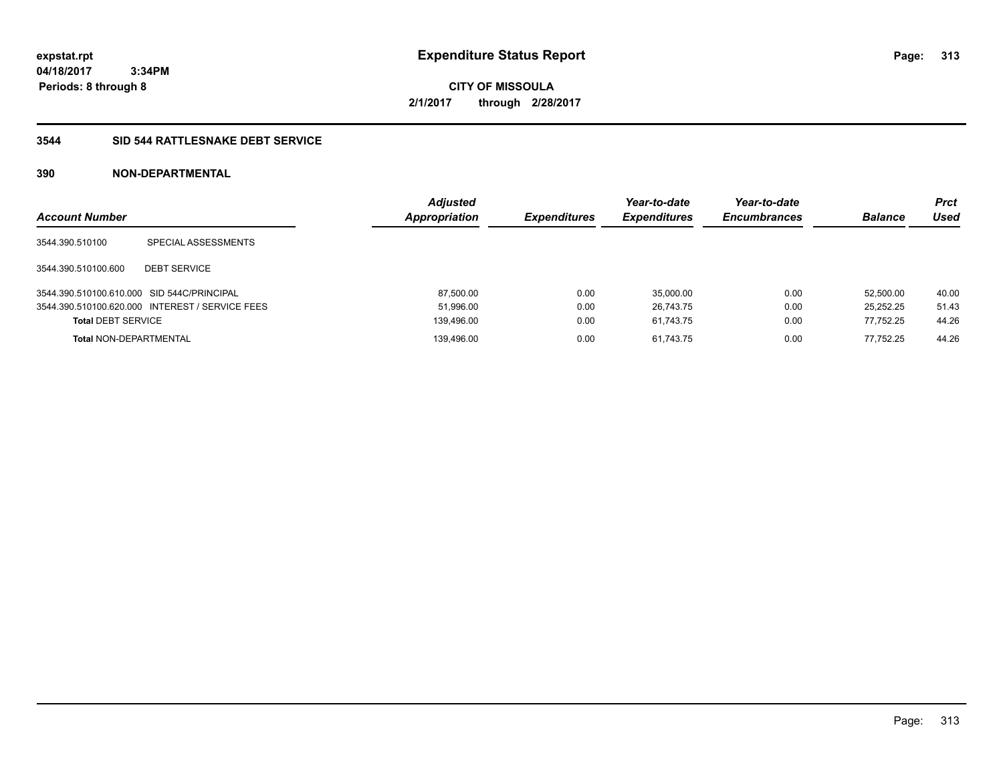**04/18/2017 3:34PM Periods: 8 through 8**

**CITY OF MISSOULA 2/1/2017 through 2/28/2017**

# **3544 SID 544 RATTLESNAKE DEBT SERVICE**

| <b>Account Number</b>                      |                                                 | <b>Adjusted</b><br>Appropriation | <b>Expenditures</b> | Year-to-date<br><b>Expenditures</b> | Year-to-date<br><b>Encumbrances</b> | <b>Balance</b> | <b>Prct</b><br>Used |
|--------------------------------------------|-------------------------------------------------|----------------------------------|---------------------|-------------------------------------|-------------------------------------|----------------|---------------------|
| 3544.390.510100                            | SPECIAL ASSESSMENTS                             |                                  |                     |                                     |                                     |                |                     |
| 3544.390.510100.600                        | <b>DEBT SERVICE</b>                             |                                  |                     |                                     |                                     |                |                     |
| 3544.390.510100.610.000 SID 544C/PRINCIPAL |                                                 | 87,500.00                        | 0.00                | 35,000.00                           | 0.00                                | 52.500.00      | 40.00               |
|                                            | 3544.390.510100.620.000 INTEREST / SERVICE FEES | 51,996.00                        | 0.00                | 26.743.75                           | 0.00                                | 25.252.25      | 51.43               |
| <b>Total DEBT SERVICE</b>                  |                                                 | 139,496.00                       | 0.00                | 61.743.75                           | 0.00                                | 77.752.25      | 44.26               |
| <b>Total NON-DEPARTMENTAL</b>              |                                                 | 139.496.00                       | 0.00                | 61.743.75                           | 0.00                                | 77.752.25      | 44.26               |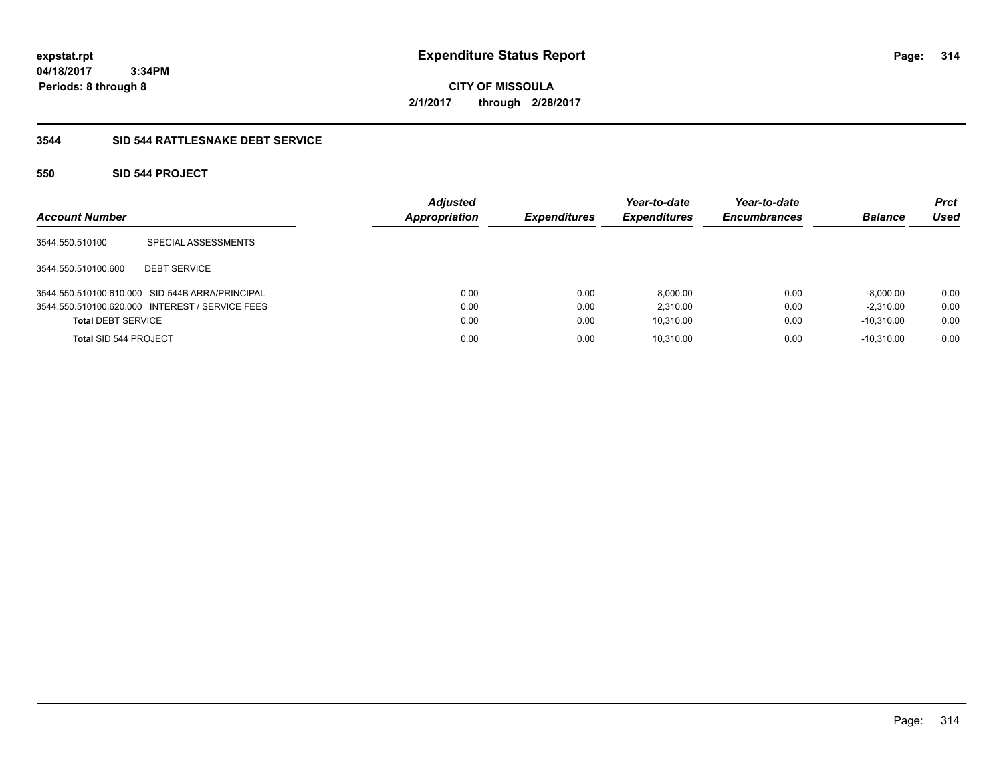**04/18/2017 3:34PM Periods: 8 through 8**

**CITY OF MISSOULA 2/1/2017 through 2/28/2017**

# **3544 SID 544 RATTLESNAKE DEBT SERVICE**

# **550 SID 544 PROJECT**

| <b>Account Number</b>     |                                                 | <b>Adjusted</b><br><b>Appropriation</b> | <b>Expenditures</b> | Year-to-date<br><b>Expenditures</b> | Year-to-date<br><b>Encumbrances</b> | <b>Balance</b> | <b>Prct</b><br>Used |
|---------------------------|-------------------------------------------------|-----------------------------------------|---------------------|-------------------------------------|-------------------------------------|----------------|---------------------|
| 3544.550.510100           | SPECIAL ASSESSMENTS                             |                                         |                     |                                     |                                     |                |                     |
| 3544.550.510100.600       | <b>DEBT SERVICE</b>                             |                                         |                     |                                     |                                     |                |                     |
|                           | 3544.550.510100.610.000 SID 544B ARRA/PRINCIPAL | 0.00                                    | 0.00                | 8,000.00                            | 0.00                                | $-8,000.00$    | 0.00                |
|                           | 3544.550.510100.620.000 INTEREST / SERVICE FEES | 0.00                                    | 0.00                | 2.310.00                            | 0.00                                | $-2.310.00$    | 0.00                |
| <b>Total DEBT SERVICE</b> |                                                 | 0.00                                    | 0.00                | 10,310.00                           | 0.00                                | $-10.310.00$   | 0.00                |
| Total SID 544 PROJECT     |                                                 | 0.00                                    | 0.00                | 10,310.00                           | 0.00                                | $-10.310.00$   | 0.00                |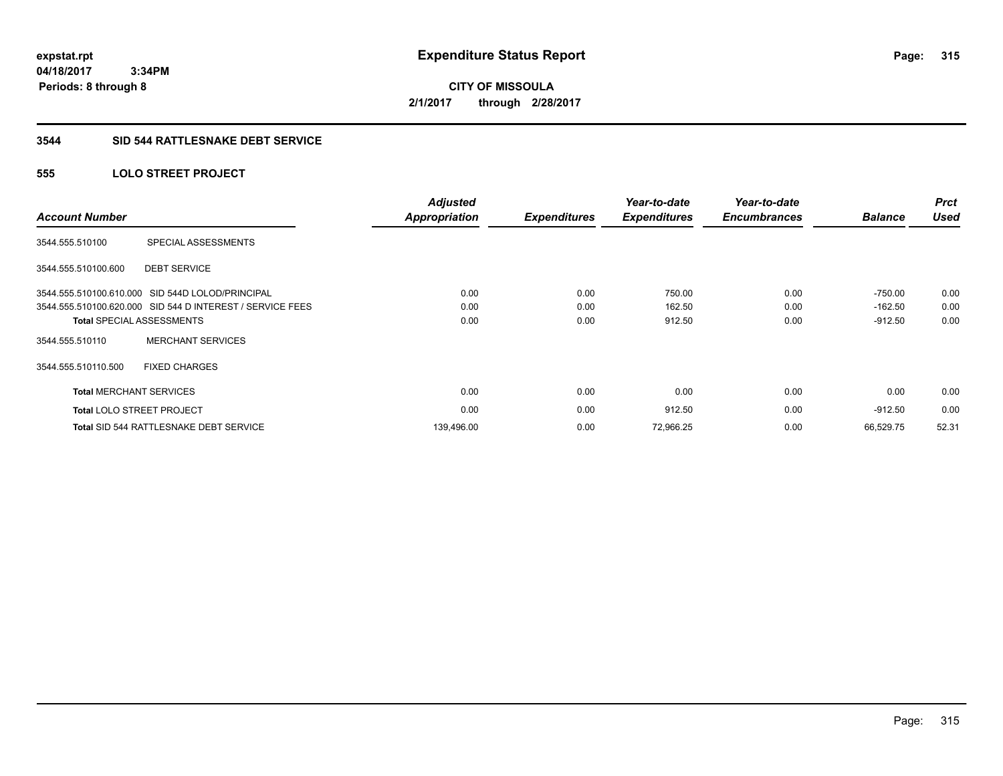**expstat.rpt Expenditure Status Report** 

**04/18/2017 3:34PM Periods: 8 through 8**

**CITY OF MISSOULA 2/1/2017 through 2/28/2017**

## **3544 SID 544 RATTLESNAKE DEBT SERVICE**

# **555 LOLO STREET PROJECT**

| <b>Account Number</b>          |                                                           | <b>Adjusted</b><br><b>Appropriation</b> | <b>Expenditures</b> | Year-to-date<br><b>Expenditures</b> | Year-to-date<br><b>Encumbrances</b> | <b>Balance</b> | <b>Prct</b><br><b>Used</b> |
|--------------------------------|-----------------------------------------------------------|-----------------------------------------|---------------------|-------------------------------------|-------------------------------------|----------------|----------------------------|
| 3544.555.510100                | SPECIAL ASSESSMENTS                                       |                                         |                     |                                     |                                     |                |                            |
| 3544.555.510100.600            | <b>DEBT SERVICE</b>                                       |                                         |                     |                                     |                                     |                |                            |
|                                | 3544.555.510100.610.000 SID 544D LOLOD/PRINCIPAL          | 0.00                                    | 0.00                | 750.00                              | 0.00                                | $-750.00$      | 0.00                       |
|                                | 3544.555.510100.620.000 SID 544 D INTEREST / SERVICE FEES | 0.00                                    | 0.00                | 162.50                              | 0.00                                | $-162.50$      | 0.00                       |
|                                | <b>Total SPECIAL ASSESSMENTS</b>                          | 0.00                                    | 0.00                | 912.50                              | 0.00                                | $-912.50$      | 0.00                       |
| 3544.555.510110                | <b>MERCHANT SERVICES</b>                                  |                                         |                     |                                     |                                     |                |                            |
| 3544.555.510110.500            | <b>FIXED CHARGES</b>                                      |                                         |                     |                                     |                                     |                |                            |
| <b>Total MERCHANT SERVICES</b> |                                                           | 0.00                                    | 0.00                | 0.00                                | 0.00                                | 0.00           | 0.00                       |
|                                | <b>Total LOLO STREET PROJECT</b>                          | 0.00                                    | 0.00                | 912.50                              | 0.00                                | $-912.50$      | 0.00                       |
|                                | Total SID 544 RATTLESNAKE DEBT SERVICE                    | 139,496.00                              | 0.00                | 72,966.25                           | 0.00                                | 66.529.75      | 52.31                      |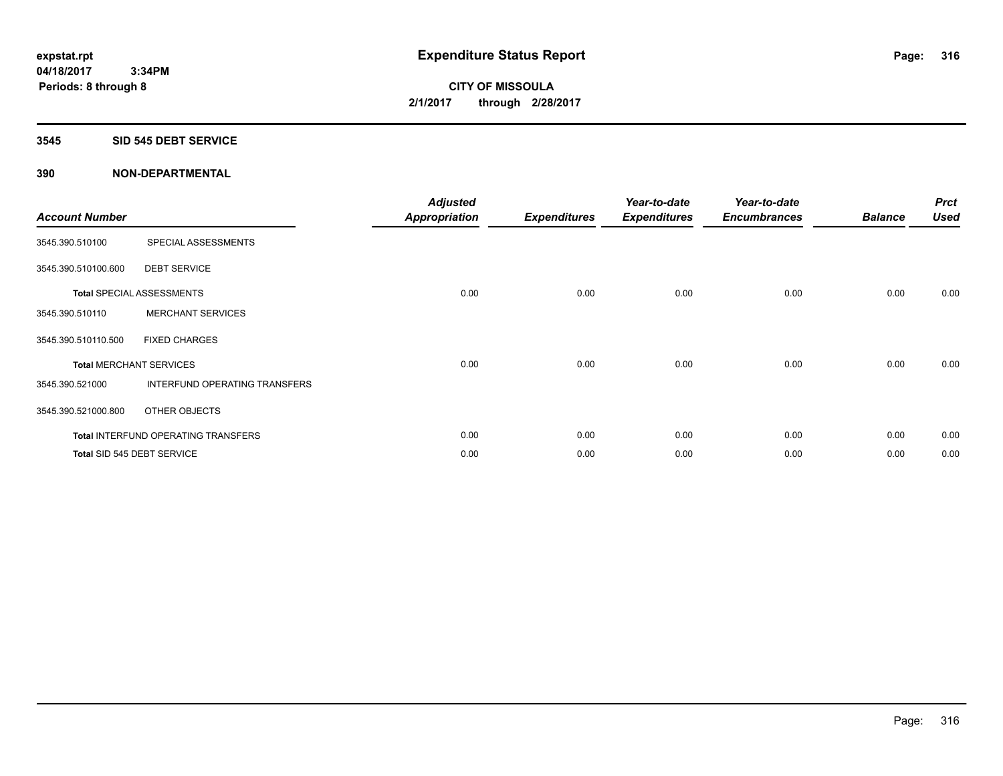#### **3545 SID 545 DEBT SERVICE**

| <b>Account Number</b> |                                      | <b>Adjusted</b><br><b>Appropriation</b> | <b>Expenditures</b> | Year-to-date<br><b>Expenditures</b> | Year-to-date<br><b>Encumbrances</b> | <b>Balance</b> | <b>Prct</b><br><b>Used</b> |
|-----------------------|--------------------------------------|-----------------------------------------|---------------------|-------------------------------------|-------------------------------------|----------------|----------------------------|
| 3545.390.510100       | SPECIAL ASSESSMENTS                  |                                         |                     |                                     |                                     |                |                            |
| 3545.390.510100.600   | <b>DEBT SERVICE</b>                  |                                         |                     |                                     |                                     |                |                            |
|                       | <b>Total SPECIAL ASSESSMENTS</b>     | 0.00                                    | 0.00                | 0.00                                | 0.00                                | 0.00           | 0.00                       |
| 3545.390.510110       | <b>MERCHANT SERVICES</b>             |                                         |                     |                                     |                                     |                |                            |
| 3545.390.510110.500   | <b>FIXED CHARGES</b>                 |                                         |                     |                                     |                                     |                |                            |
|                       | <b>Total MERCHANT SERVICES</b>       | 0.00                                    | 0.00                | 0.00                                | 0.00                                | 0.00           | 0.00                       |
| 3545.390.521000       | <b>INTERFUND OPERATING TRANSFERS</b> |                                         |                     |                                     |                                     |                |                            |
| 3545.390.521000.800   | OTHER OBJECTS                        |                                         |                     |                                     |                                     |                |                            |
|                       | Total INTERFUND OPERATING TRANSFERS  | 0.00                                    | 0.00                | 0.00                                | 0.00                                | 0.00           | 0.00                       |
|                       | Total SID 545 DEBT SERVICE           | 0.00                                    | 0.00                | 0.00                                | 0.00                                | 0.00           | 0.00                       |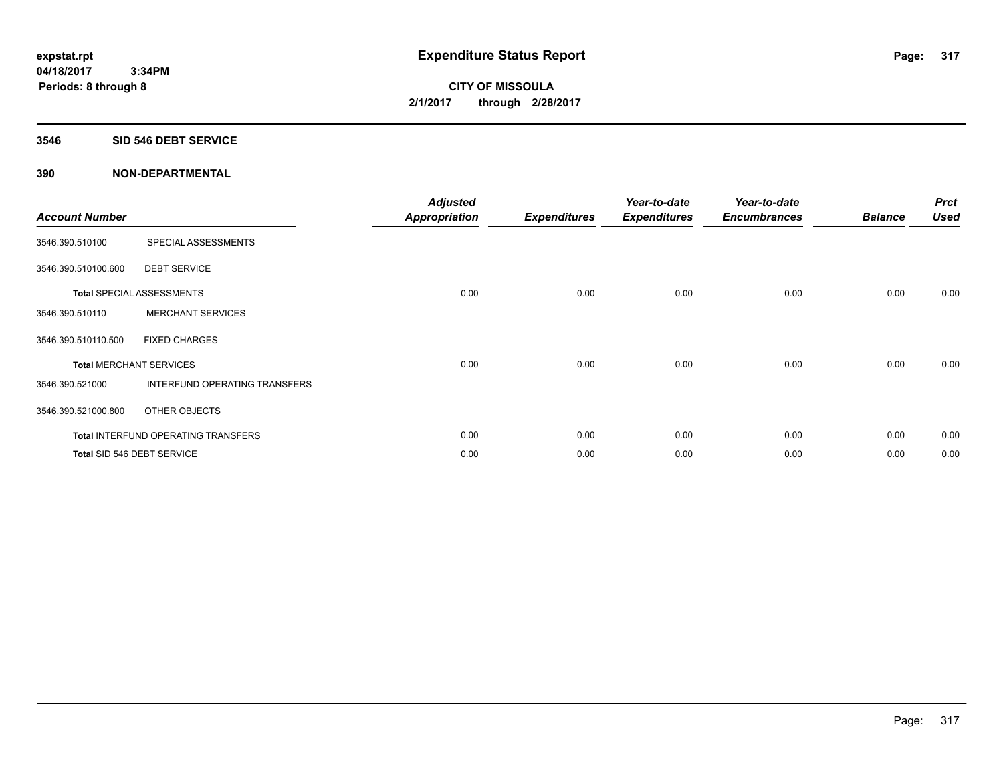#### **3546 SID 546 DEBT SERVICE**

| <b>Account Number</b> |                                      | <b>Adjusted</b><br><b>Appropriation</b> | <b>Expenditures</b> | Year-to-date<br><b>Expenditures</b> | Year-to-date<br><b>Encumbrances</b> | <b>Balance</b> | <b>Prct</b><br><b>Used</b> |
|-----------------------|--------------------------------------|-----------------------------------------|---------------------|-------------------------------------|-------------------------------------|----------------|----------------------------|
| 3546.390.510100       | SPECIAL ASSESSMENTS                  |                                         |                     |                                     |                                     |                |                            |
| 3546.390.510100.600   | <b>DEBT SERVICE</b>                  |                                         |                     |                                     |                                     |                |                            |
|                       | <b>Total SPECIAL ASSESSMENTS</b>     | 0.00                                    | 0.00                | 0.00                                | 0.00                                | 0.00           | 0.00                       |
| 3546.390.510110       | <b>MERCHANT SERVICES</b>             |                                         |                     |                                     |                                     |                |                            |
| 3546.390.510110.500   | <b>FIXED CHARGES</b>                 |                                         |                     |                                     |                                     |                |                            |
|                       | <b>Total MERCHANT SERVICES</b>       | 0.00                                    | 0.00                | 0.00                                | 0.00                                | 0.00           | 0.00                       |
| 3546.390.521000       | <b>INTERFUND OPERATING TRANSFERS</b> |                                         |                     |                                     |                                     |                |                            |
| 3546.390.521000.800   | OTHER OBJECTS                        |                                         |                     |                                     |                                     |                |                            |
|                       | Total INTERFUND OPERATING TRANSFERS  | 0.00                                    | 0.00                | 0.00                                | 0.00                                | 0.00           | 0.00                       |
|                       | Total SID 546 DEBT SERVICE           | 0.00                                    | 0.00                | 0.00                                | 0.00                                | 0.00           | 0.00                       |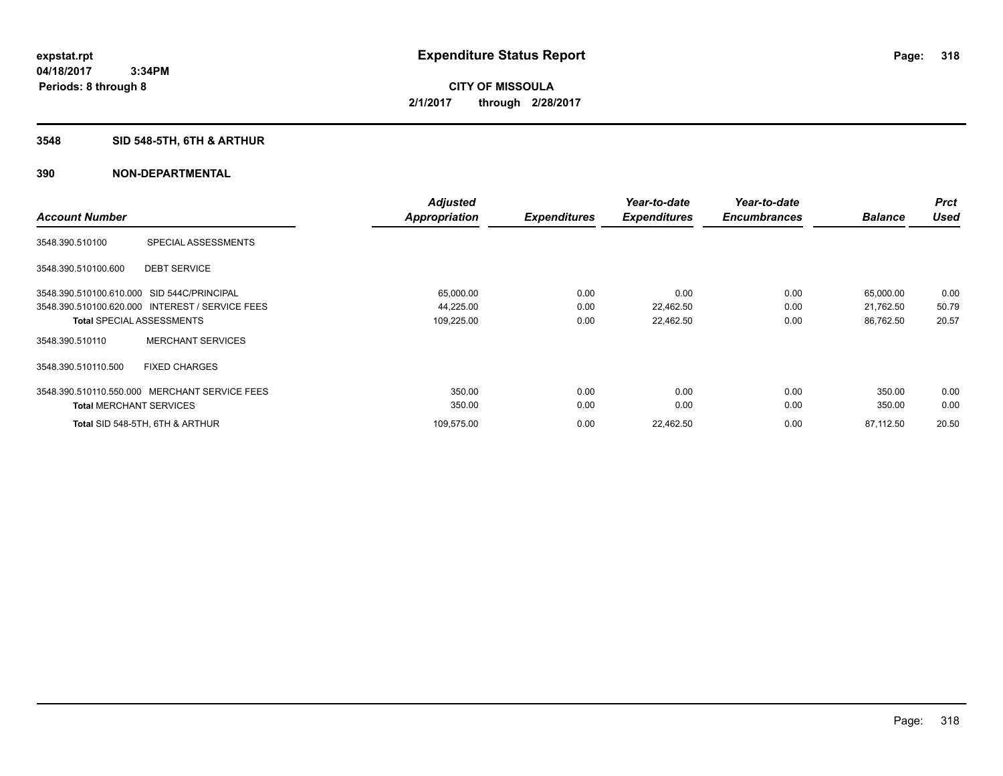# **3548 SID 548-5TH, 6TH & ARTHUR**

|                                                 | <b>Adjusted</b> |                     | Year-to-date        | Year-to-date        |                | <b>Prct</b> |
|-------------------------------------------------|-----------------|---------------------|---------------------|---------------------|----------------|-------------|
| <b>Account Number</b>                           | Appropriation   | <b>Expenditures</b> | <b>Expenditures</b> | <b>Encumbrances</b> | <b>Balance</b> | <b>Used</b> |
| SPECIAL ASSESSMENTS<br>3548.390.510100          |                 |                     |                     |                     |                |             |
| <b>DEBT SERVICE</b><br>3548.390.510100.600      |                 |                     |                     |                     |                |             |
| 3548.390.510100.610.000 SID 544C/PRINCIPAL      | 65,000.00       | 0.00                | 0.00                | 0.00                | 65,000.00      | 0.00        |
| 3548.390.510100.620.000 INTEREST / SERVICE FEES | 44,225.00       | 0.00                | 22,462.50           | 0.00                | 21,762.50      | 50.79       |
| <b>Total SPECIAL ASSESSMENTS</b>                | 109,225.00      | 0.00                | 22,462.50           | 0.00                | 86,762.50      | 20.57       |
| <b>MERCHANT SERVICES</b><br>3548.390.510110     |                 |                     |                     |                     |                |             |
| 3548.390.510110.500<br><b>FIXED CHARGES</b>     |                 |                     |                     |                     |                |             |
| 3548.390.510110.550.000 MERCHANT SERVICE FEES   | 350.00          | 0.00                | 0.00                | 0.00                | 350.00         | 0.00        |
| <b>Total MERCHANT SERVICES</b>                  | 350.00          | 0.00                | 0.00                | 0.00                | 350.00         | 0.00        |
| Total SID 548-5TH, 6TH & ARTHUR                 | 109,575.00      | 0.00                | 22,462.50           | 0.00                | 87,112.50      | 20.50       |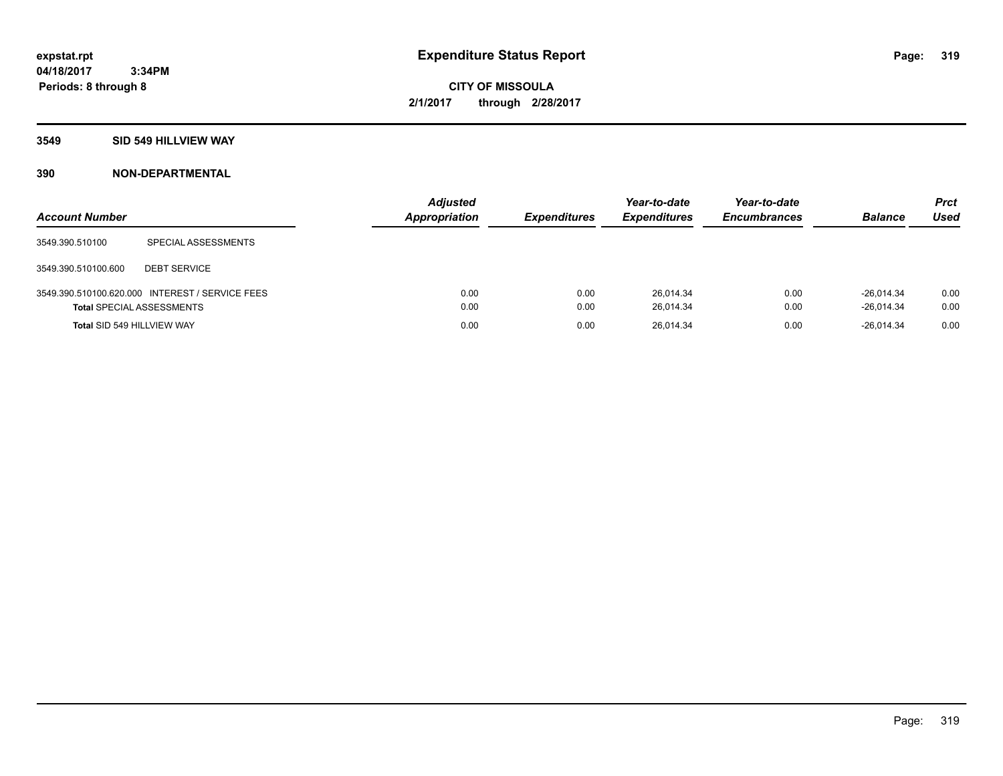**Periods: 8 through 8**

**CITY OF MISSOULA 2/1/2017 through 2/28/2017**

#### **3549 SID 549 HILLVIEW WAY**

 **3:34PM**

| <b>Account Number</b>            |                                                 | <b>Adjusted</b><br><b>Appropriation</b> | <b>Expenditures</b> | Year-to-date<br><b>Expenditures</b> | Year-to-date<br><b>Encumbrances</b> | <b>Balance</b>               | <b>Prct</b><br>Used |
|----------------------------------|-------------------------------------------------|-----------------------------------------|---------------------|-------------------------------------|-------------------------------------|------------------------------|---------------------|
| 3549.390.510100                  | SPECIAL ASSESSMENTS                             |                                         |                     |                                     |                                     |                              |                     |
| 3549.390.510100.600              | <b>DEBT SERVICE</b>                             |                                         |                     |                                     |                                     |                              |                     |
| <b>Total SPECIAL ASSESSMENTS</b> | 3549.390.510100.620.000 INTEREST / SERVICE FEES | 0.00<br>0.00                            | 0.00<br>0.00        | 26.014.34<br>26,014.34              | 0.00<br>0.00                        | $-26.014.34$<br>$-26,014.34$ | 0.00<br>0.00        |
| Total SID 549 HILLVIEW WAY       |                                                 | 0.00                                    | 0.00                | 26,014.34                           | 0.00                                | $-26.014.34$                 | 0.00                |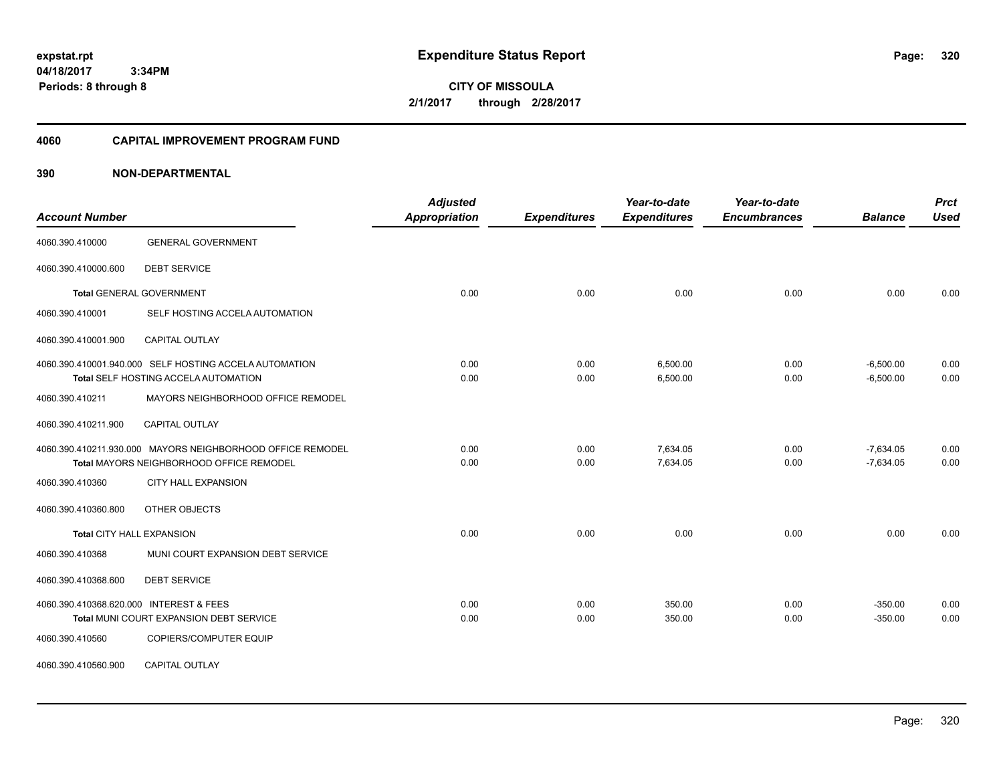**04/18/2017 3:34PM Periods: 8 through 8**

**CITY OF MISSOULA 2/1/2017 through 2/28/2017**

#### **4060 CAPITAL IMPROVEMENT PROGRAM FUND**

| <b>Account Number</b>                   |                                                                                                        | <b>Adjusted</b><br>Appropriation | <b>Expenditures</b> | Year-to-date<br><b>Expenditures</b> | Year-to-date<br><b>Encumbrances</b> | <b>Balance</b>             | <b>Prct</b><br><b>Used</b> |
|-----------------------------------------|--------------------------------------------------------------------------------------------------------|----------------------------------|---------------------|-------------------------------------|-------------------------------------|----------------------------|----------------------------|
| 4060.390.410000                         | <b>GENERAL GOVERNMENT</b>                                                                              |                                  |                     |                                     |                                     |                            |                            |
| 4060.390.410000.600                     | <b>DEBT SERVICE</b>                                                                                    |                                  |                     |                                     |                                     |                            |                            |
|                                         | <b>Total GENERAL GOVERNMENT</b>                                                                        | 0.00                             | 0.00                | 0.00                                | 0.00                                | 0.00                       | 0.00                       |
| 4060.390.410001                         | SELF HOSTING ACCELA AUTOMATION                                                                         |                                  |                     |                                     |                                     |                            |                            |
| 4060.390.410001.900                     | CAPITAL OUTLAY                                                                                         |                                  |                     |                                     |                                     |                            |                            |
|                                         | 4060.390.410001.940.000 SELF HOSTING ACCELA AUTOMATION<br>Total SELF HOSTING ACCELA AUTOMATION         | 0.00<br>0.00                     | 0.00<br>0.00        | 6,500.00<br>6,500.00                | 0.00<br>0.00                        | $-6,500.00$<br>$-6,500.00$ | 0.00<br>0.00               |
| 4060.390.410211                         | MAYORS NEIGHBORHOOD OFFICE REMODEL                                                                     |                                  |                     |                                     |                                     |                            |                            |
| 4060.390.410211.900                     | <b>CAPITAL OUTLAY</b>                                                                                  |                                  |                     |                                     |                                     |                            |                            |
|                                         | 4060.390.410211.930.000 MAYORS NEIGHBORHOOD OFFICE REMODEL<br>Total MAYORS NEIGHBORHOOD OFFICE REMODEL | 0.00<br>0.00                     | 0.00<br>0.00        | 7,634.05<br>7,634.05                | 0.00<br>0.00                        | $-7,634.05$<br>$-7,634.05$ | 0.00<br>0.00               |
| 4060.390.410360                         | <b>CITY HALL EXPANSION</b>                                                                             |                                  |                     |                                     |                                     |                            |                            |
| 4060.390.410360.800                     | OTHER OBJECTS                                                                                          |                                  |                     |                                     |                                     |                            |                            |
| <b>Total CITY HALL EXPANSION</b>        |                                                                                                        | 0.00                             | 0.00                | 0.00                                | 0.00                                | 0.00                       | 0.00                       |
| 4060.390.410368                         | MUNI COURT EXPANSION DEBT SERVICE                                                                      |                                  |                     |                                     |                                     |                            |                            |
| 4060.390.410368.600                     | <b>DEBT SERVICE</b>                                                                                    |                                  |                     |                                     |                                     |                            |                            |
| 4060.390.410368.620.000 INTEREST & FEES | Total MUNI COURT EXPANSION DEBT SERVICE                                                                | 0.00<br>0.00                     | 0.00<br>0.00        | 350.00<br>350.00                    | 0.00<br>0.00                        | $-350.00$<br>$-350.00$     | 0.00<br>0.00               |
| 4060.390.410560                         | COPIERS/COMPUTER EQUIP                                                                                 |                                  |                     |                                     |                                     |                            |                            |
| 4060.390.410560.900                     | CAPITAL OUTLAY                                                                                         |                                  |                     |                                     |                                     |                            |                            |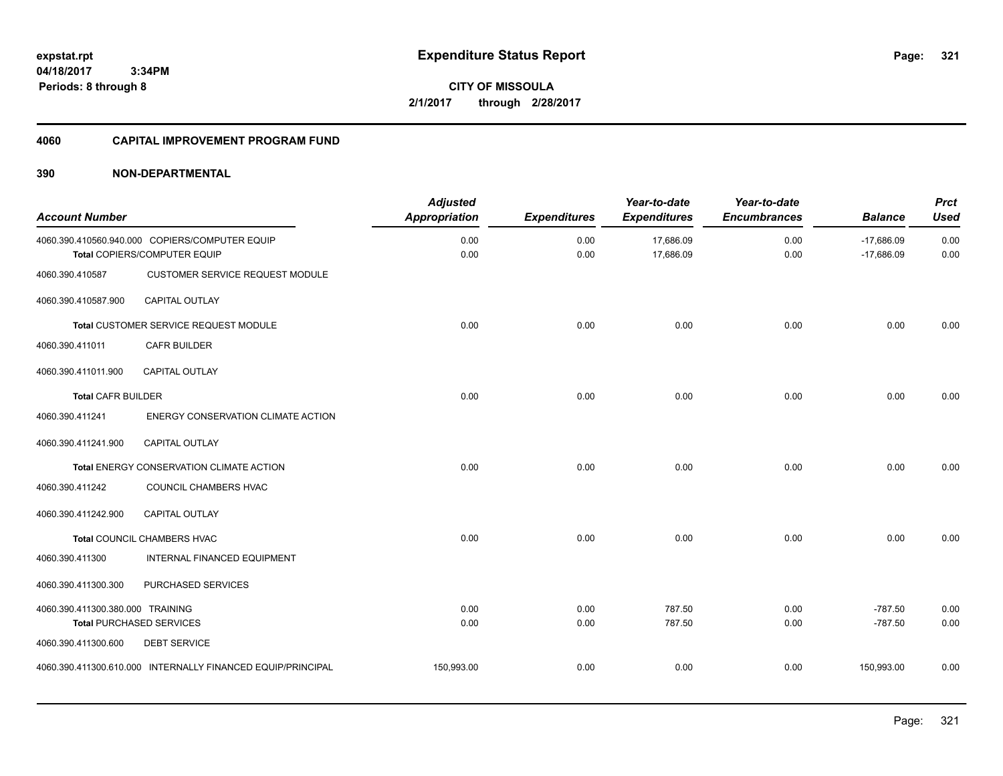**321**

**04/18/2017 3:34PM Periods: 8 through 8**

**CITY OF MISSOULA 2/1/2017 through 2/28/2017**

#### **4060 CAPITAL IMPROVEMENT PROGRAM FUND**

| <b>Account Number</b>            |                                                                                | <b>Adjusted</b><br><b>Appropriation</b> | <b>Expenditures</b> | Year-to-date<br><b>Expenditures</b> | Year-to-date<br><b>Encumbrances</b> | <b>Balance</b>               | <b>Prct</b><br><b>Used</b> |
|----------------------------------|--------------------------------------------------------------------------------|-----------------------------------------|---------------------|-------------------------------------|-------------------------------------|------------------------------|----------------------------|
|                                  | 4060.390.410560.940.000 COPIERS/COMPUTER EQUIP<br>Total COPIERS/COMPUTER EQUIP | 0.00<br>0.00                            | 0.00<br>0.00        | 17,686.09<br>17,686.09              | 0.00<br>0.00                        | $-17,686.09$<br>$-17,686.09$ | 0.00<br>0.00               |
| 4060.390.410587                  | CUSTOMER SERVICE REQUEST MODULE                                                |                                         |                     |                                     |                                     |                              |                            |
| 4060.390.410587.900              | <b>CAPITAL OUTLAY</b>                                                          |                                         |                     |                                     |                                     |                              |                            |
|                                  | Total CUSTOMER SERVICE REQUEST MODULE                                          | 0.00                                    | 0.00                | 0.00                                | 0.00                                | 0.00                         | 0.00                       |
| 4060.390.411011                  | <b>CAFR BUILDER</b>                                                            |                                         |                     |                                     |                                     |                              |                            |
| 4060.390.411011.900              | <b>CAPITAL OUTLAY</b>                                                          |                                         |                     |                                     |                                     |                              |                            |
| <b>Total CAFR BUILDER</b>        |                                                                                | 0.00                                    | 0.00                | 0.00                                | 0.00                                | 0.00                         | 0.00                       |
| 4060.390.411241                  | ENERGY CONSERVATION CLIMATE ACTION                                             |                                         |                     |                                     |                                     |                              |                            |
| 4060.390.411241.900              | <b>CAPITAL OUTLAY</b>                                                          |                                         |                     |                                     |                                     |                              |                            |
|                                  | Total ENERGY CONSERVATION CLIMATE ACTION                                       | 0.00                                    | 0.00                | 0.00                                | 0.00                                | 0.00                         | 0.00                       |
| 4060.390.411242                  | COUNCIL CHAMBERS HVAC                                                          |                                         |                     |                                     |                                     |                              |                            |
| 4060.390.411242.900              | <b>CAPITAL OUTLAY</b>                                                          |                                         |                     |                                     |                                     |                              |                            |
|                                  | Total COUNCIL CHAMBERS HVAC                                                    | 0.00                                    | 0.00                | 0.00                                | 0.00                                | 0.00                         | 0.00                       |
| 4060.390.411300                  | INTERNAL FINANCED EQUIPMENT                                                    |                                         |                     |                                     |                                     |                              |                            |
| 4060.390.411300.300              | PURCHASED SERVICES                                                             |                                         |                     |                                     |                                     |                              |                            |
| 4060.390.411300.380.000 TRAINING |                                                                                | 0.00                                    | 0.00                | 787.50                              | 0.00                                | $-787.50$                    | 0.00                       |
|                                  | <b>Total PURCHASED SERVICES</b>                                                | 0.00                                    | 0.00                | 787.50                              | 0.00                                | $-787.50$                    | 0.00                       |
| 4060.390.411300.600              | <b>DEBT SERVICE</b>                                                            |                                         |                     |                                     |                                     |                              |                            |
|                                  | 4060.390.411300.610.000 INTERNALLY FINANCED EQUIP/PRINCIPAL                    | 150,993.00                              | 0.00                | 0.00                                | 0.00                                | 150,993.00                   | 0.00                       |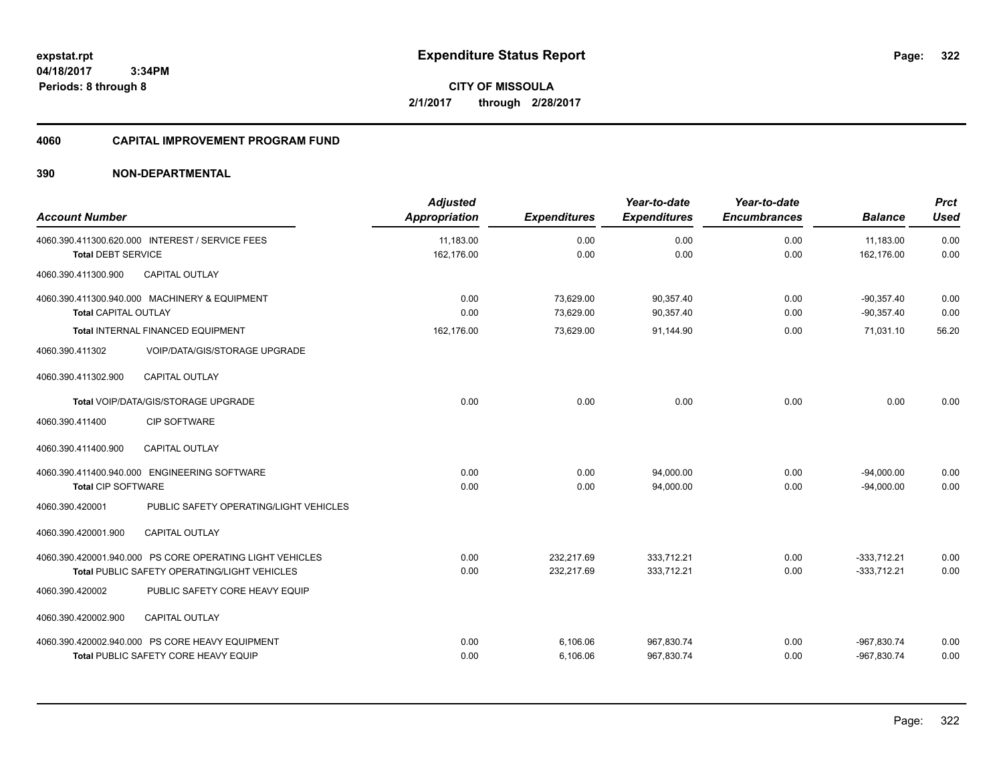**322**

**04/18/2017 3:34PM Periods: 8 through 8**

**CITY OF MISSOULA 2/1/2017 through 2/28/2017**

#### **4060 CAPITAL IMPROVEMENT PROGRAM FUND**

| <b>Account Number</b>       |                                                                                                                 | <b>Adjusted</b><br><b>Appropriation</b> | <b>Expenditures</b>      | Year-to-date<br><b>Expenditures</b> | Year-to-date<br><b>Encumbrances</b> | <b>Balance</b>                 | <b>Prct</b><br><b>Used</b> |
|-----------------------------|-----------------------------------------------------------------------------------------------------------------|-----------------------------------------|--------------------------|-------------------------------------|-------------------------------------|--------------------------------|----------------------------|
| <b>Total DEBT SERVICE</b>   | 4060.390.411300.620.000 INTEREST / SERVICE FEES                                                                 | 11,183.00<br>162,176.00                 | 0.00<br>0.00             | 0.00<br>0.00                        | 0.00<br>0.00                        | 11,183.00<br>162,176.00        | 0.00<br>0.00               |
| 4060.390.411300.900         | <b>CAPITAL OUTLAY</b>                                                                                           |                                         |                          |                                     |                                     |                                |                            |
| <b>Total CAPITAL OUTLAY</b> | 4060.390.411300.940.000 MACHINERY & EQUIPMENT                                                                   | 0.00<br>0.00                            | 73,629.00<br>73.629.00   | 90,357.40<br>90.357.40              | 0.00<br>0.00                        | $-90,357.40$<br>$-90.357.40$   | 0.00<br>0.00               |
|                             | Total INTERNAL FINANCED EQUIPMENT                                                                               | 162,176.00                              | 73,629.00                | 91,144.90                           | 0.00                                | 71,031.10                      | 56.20                      |
| 4060.390.411302             | VOIP/DATA/GIS/STORAGE UPGRADE                                                                                   |                                         |                          |                                     |                                     |                                |                            |
| 4060.390.411302.900         | <b>CAPITAL OUTLAY</b>                                                                                           |                                         |                          |                                     |                                     |                                |                            |
|                             | Total VOIP/DATA/GIS/STORAGE UPGRADE                                                                             | 0.00                                    | 0.00                     | 0.00                                | 0.00                                | 0.00                           | 0.00                       |
| 4060.390.411400             | <b>CIP SOFTWARE</b>                                                                                             |                                         |                          |                                     |                                     |                                |                            |
| 4060.390.411400.900         | CAPITAL OUTLAY                                                                                                  |                                         |                          |                                     |                                     |                                |                            |
| <b>Total CIP SOFTWARE</b>   | 4060.390.411400.940.000 ENGINEERING SOFTWARE                                                                    | 0.00<br>0.00                            | 0.00<br>0.00             | 94,000.00<br>94,000.00              | 0.00<br>0.00                        | $-94,000.00$<br>$-94,000.00$   | 0.00<br>0.00               |
| 4060.390.420001             | PUBLIC SAFETY OPERATING/LIGHT VEHICLES                                                                          |                                         |                          |                                     |                                     |                                |                            |
| 4060.390.420001.900         | <b>CAPITAL OUTLAY</b>                                                                                           |                                         |                          |                                     |                                     |                                |                            |
|                             | 4060.390.420001.940.000 PS CORE OPERATING LIGHT VEHICLES<br><b>Total PUBLIC SAFETY OPERATING/LIGHT VEHICLES</b> | 0.00<br>0.00                            | 232,217.69<br>232.217.69 | 333,712.21<br>333,712.21            | 0.00<br>0.00                        | $-333,712.21$<br>$-333.712.21$ | 0.00<br>0.00               |
| 4060.390.420002             | PUBLIC SAFETY CORE HEAVY EQUIP                                                                                  |                                         |                          |                                     |                                     |                                |                            |
| 4060.390.420002.900         | <b>CAPITAL OUTLAY</b>                                                                                           |                                         |                          |                                     |                                     |                                |                            |
|                             | 4060.390.420002.940.000 PS CORE HEAVY EQUIPMENT<br>Total PUBLIC SAFETY CORE HEAVY EQUIP                         | 0.00<br>0.00                            | 6,106.06<br>6,106.06     | 967,830.74<br>967,830.74            | 0.00<br>0.00                        | -967,830.74<br>-967,830.74     | 0.00<br>0.00               |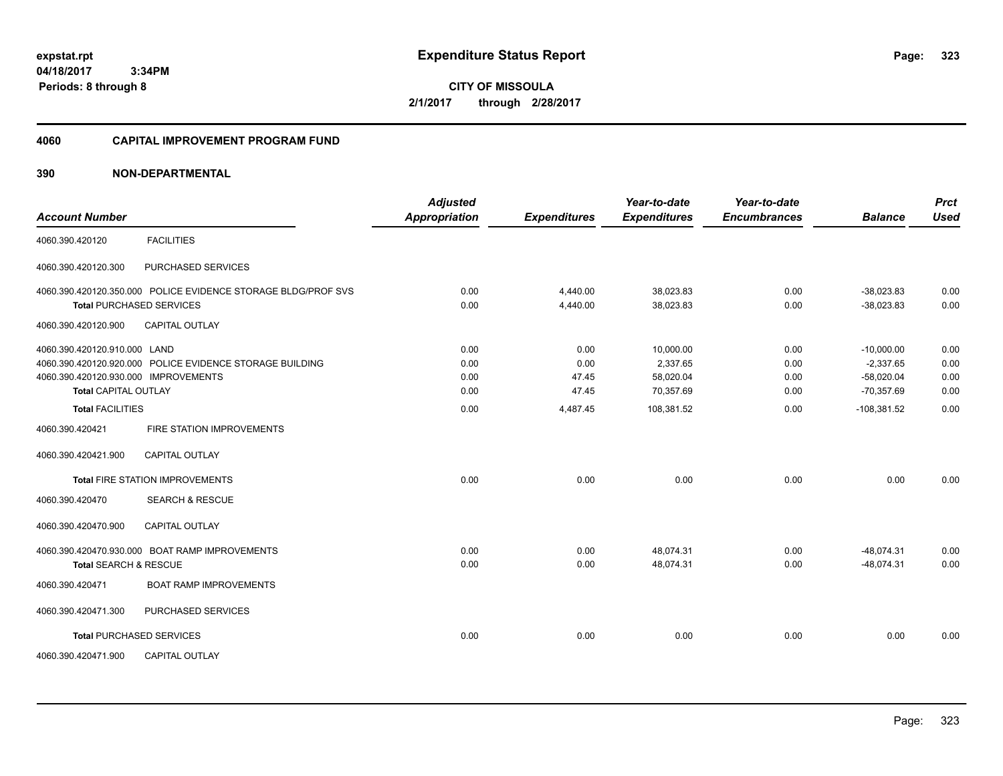**04/18/2017 3:34PM Periods: 8 through 8**

**CITY OF MISSOULA 2/1/2017 through 2/28/2017**

#### **4060 CAPITAL IMPROVEMENT PROGRAM FUND**

| <b>Account Number</b>                |                                                               | <b>Adjusted</b><br><b>Appropriation</b> | <b>Expenditures</b> | Year-to-date<br><b>Expenditures</b> | Year-to-date<br><b>Encumbrances</b> | <b>Balance</b> | <b>Prct</b><br><b>Used</b> |
|--------------------------------------|---------------------------------------------------------------|-----------------------------------------|---------------------|-------------------------------------|-------------------------------------|----------------|----------------------------|
| 4060.390.420120                      | <b>FACILITIES</b>                                             |                                         |                     |                                     |                                     |                |                            |
| 4060.390.420120.300                  | PURCHASED SERVICES                                            |                                         |                     |                                     |                                     |                |                            |
|                                      | 4060.390.420120.350.000 POLICE EVIDENCE STORAGE BLDG/PROF SVS | 0.00                                    | 4,440.00            | 38,023.83                           | 0.00                                | $-38.023.83$   | 0.00                       |
|                                      | <b>Total PURCHASED SERVICES</b>                               | 0.00                                    | 4,440.00            | 38,023.83                           | 0.00                                | $-38,023.83$   | 0.00                       |
| 4060.390.420120.900                  | <b>CAPITAL OUTLAY</b>                                         |                                         |                     |                                     |                                     |                |                            |
| 4060.390.420120.910.000 LAND         |                                                               | 0.00                                    | 0.00                | 10,000.00                           | 0.00                                | $-10,000.00$   | 0.00                       |
|                                      | 4060.390.420120.920.000 POLICE EVIDENCE STORAGE BUILDING      | 0.00                                    | 0.00                | 2,337.65                            | 0.00                                | $-2,337.65$    | 0.00                       |
| 4060.390.420120.930.000 IMPROVEMENTS |                                                               | 0.00                                    | 47.45               | 58,020.04                           | 0.00                                | $-58.020.04$   | 0.00                       |
| <b>Total CAPITAL OUTLAY</b>          |                                                               | 0.00                                    | 47.45               | 70,357.69                           | 0.00                                | $-70,357.69$   | 0.00                       |
| <b>Total FACILITIES</b>              |                                                               | 0.00                                    | 4,487.45            | 108,381.52                          | 0.00                                | $-108,381.52$  | 0.00                       |
| 4060.390.420421                      | FIRE STATION IMPROVEMENTS                                     |                                         |                     |                                     |                                     |                |                            |
| 4060.390.420421.900                  | <b>CAPITAL OUTLAY</b>                                         |                                         |                     |                                     |                                     |                |                            |
|                                      | <b>Total FIRE STATION IMPROVEMENTS</b>                        | 0.00                                    | 0.00                | 0.00                                | 0.00                                | 0.00           | 0.00                       |
| 4060.390.420470                      | <b>SEARCH &amp; RESCUE</b>                                    |                                         |                     |                                     |                                     |                |                            |
| 4060.390.420470.900                  | <b>CAPITAL OUTLAY</b>                                         |                                         |                     |                                     |                                     |                |                            |
|                                      | 4060.390.420470.930.000 BOAT RAMP IMPROVEMENTS                | 0.00                                    | 0.00                | 48,074.31                           | 0.00                                | $-48,074.31$   | 0.00                       |
| <b>Total SEARCH &amp; RESCUE</b>     |                                                               | 0.00                                    | 0.00                | 48,074.31                           | 0.00                                | $-48,074.31$   | 0.00                       |
| 4060.390.420471                      | <b>BOAT RAMP IMPROVEMENTS</b>                                 |                                         |                     |                                     |                                     |                |                            |
| 4060.390.420471.300                  | PURCHASED SERVICES                                            |                                         |                     |                                     |                                     |                |                            |
|                                      | <b>Total PURCHASED SERVICES</b>                               | 0.00                                    | 0.00                | 0.00                                | 0.00                                | 0.00           | 0.00                       |
| 4060.390.420471.900                  | <b>CAPITAL OUTLAY</b>                                         |                                         |                     |                                     |                                     |                |                            |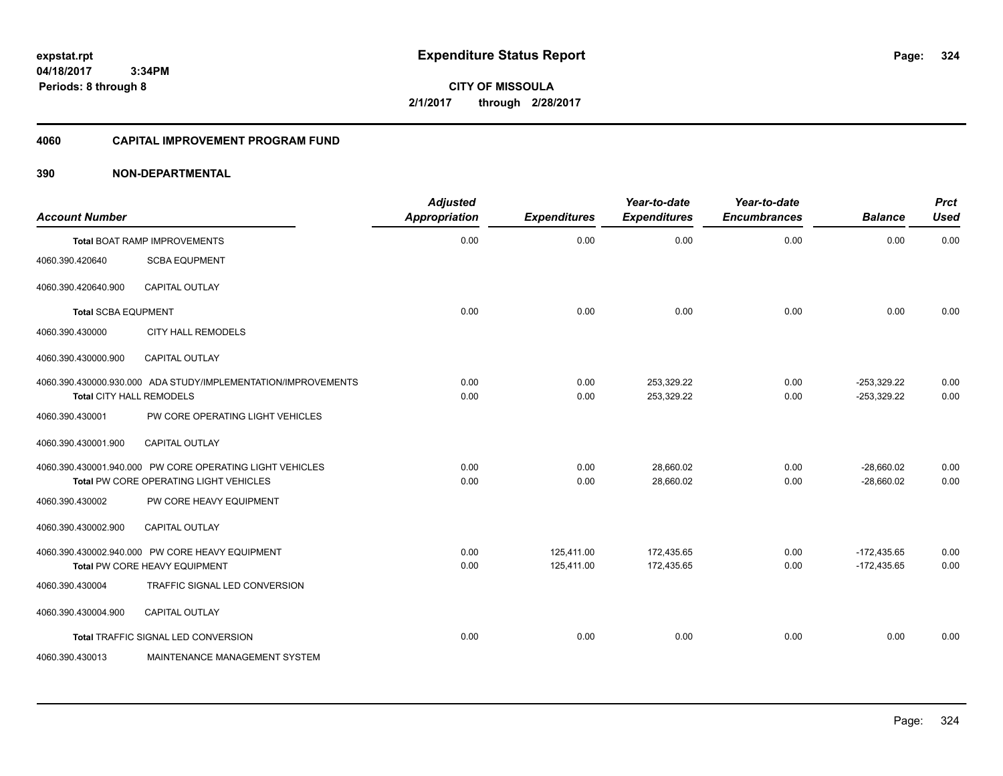**04/18/2017 3:34PM Periods: 8 through 8**

**CITY OF MISSOULA 2/1/2017 through 2/28/2017**

# **4060 CAPITAL IMPROVEMENT PROGRAM FUND**

| <b>Account Number</b>      |                                                                                                    | <b>Adjusted</b><br><b>Appropriation</b> | <b>Expenditures</b>      | Year-to-date<br><b>Expenditures</b> | Year-to-date<br><b>Encumbrances</b> | <b>Balance</b>                 | <b>Prct</b><br><b>Used</b> |
|----------------------------|----------------------------------------------------------------------------------------------------|-----------------------------------------|--------------------------|-------------------------------------|-------------------------------------|--------------------------------|----------------------------|
|                            | <b>Total BOAT RAMP IMPROVEMENTS</b>                                                                | 0.00                                    | 0.00                     | 0.00                                | 0.00                                | 0.00                           | 0.00                       |
| 4060.390.420640            | <b>SCBA EQUPMENT</b>                                                                               |                                         |                          |                                     |                                     |                                |                            |
| 4060.390.420640.900        | <b>CAPITAL OUTLAY</b>                                                                              |                                         |                          |                                     |                                     |                                |                            |
| <b>Total SCBA EQUPMENT</b> |                                                                                                    | 0.00                                    | 0.00                     | 0.00                                | 0.00                                | 0.00                           | 0.00                       |
| 4060.390.430000            | <b>CITY HALL REMODELS</b>                                                                          |                                         |                          |                                     |                                     |                                |                            |
| 4060.390.430000.900        | <b>CAPITAL OUTLAY</b>                                                                              |                                         |                          |                                     |                                     |                                |                            |
| Total CITY HALL REMODELS   | 4060.390.430000.930.000 ADA STUDY/IMPLEMENTATION/IMPROVEMENTS                                      | 0.00<br>0.00                            | 0.00<br>0.00             | 253,329.22<br>253,329.22            | 0.00<br>0.00                        | $-253,329.22$<br>$-253,329.22$ | 0.00<br>0.00               |
| 4060.390.430001            | PW CORE OPERATING LIGHT VEHICLES                                                                   |                                         |                          |                                     |                                     |                                |                            |
| 4060.390.430001.900        | <b>CAPITAL OUTLAY</b>                                                                              |                                         |                          |                                     |                                     |                                |                            |
|                            | 4060.390.430001.940.000 PW CORE OPERATING LIGHT VEHICLES<br>Total PW CORE OPERATING LIGHT VEHICLES | 0.00<br>0.00                            | 0.00<br>0.00             | 28,660.02<br>28,660.02              | 0.00<br>0.00                        | $-28,660.02$<br>$-28.660.02$   | 0.00<br>0.00               |
| 4060.390.430002            | PW CORE HEAVY EQUIPMENT                                                                            |                                         |                          |                                     |                                     |                                |                            |
| 4060.390.430002.900        | <b>CAPITAL OUTLAY</b>                                                                              |                                         |                          |                                     |                                     |                                |                            |
|                            | 4060.390.430002.940.000 PW CORE HEAVY EQUIPMENT<br>Total PW CORE HEAVY EQUIPMENT                   | 0.00<br>0.00                            | 125.411.00<br>125,411.00 | 172,435.65<br>172,435.65            | 0.00<br>0.00                        | $-172,435.65$<br>$-172,435.65$ | 0.00<br>0.00               |
| 4060.390.430004            | TRAFFIC SIGNAL LED CONVERSION                                                                      |                                         |                          |                                     |                                     |                                |                            |
| 4060.390.430004.900        | <b>CAPITAL OUTLAY</b>                                                                              |                                         |                          |                                     |                                     |                                |                            |
|                            | Total TRAFFIC SIGNAL LED CONVERSION                                                                | 0.00                                    | 0.00                     | 0.00                                | 0.00                                | 0.00                           | 0.00                       |
| 4060.390.430013            | MAINTENANCE MANAGEMENT SYSTEM                                                                      |                                         |                          |                                     |                                     |                                |                            |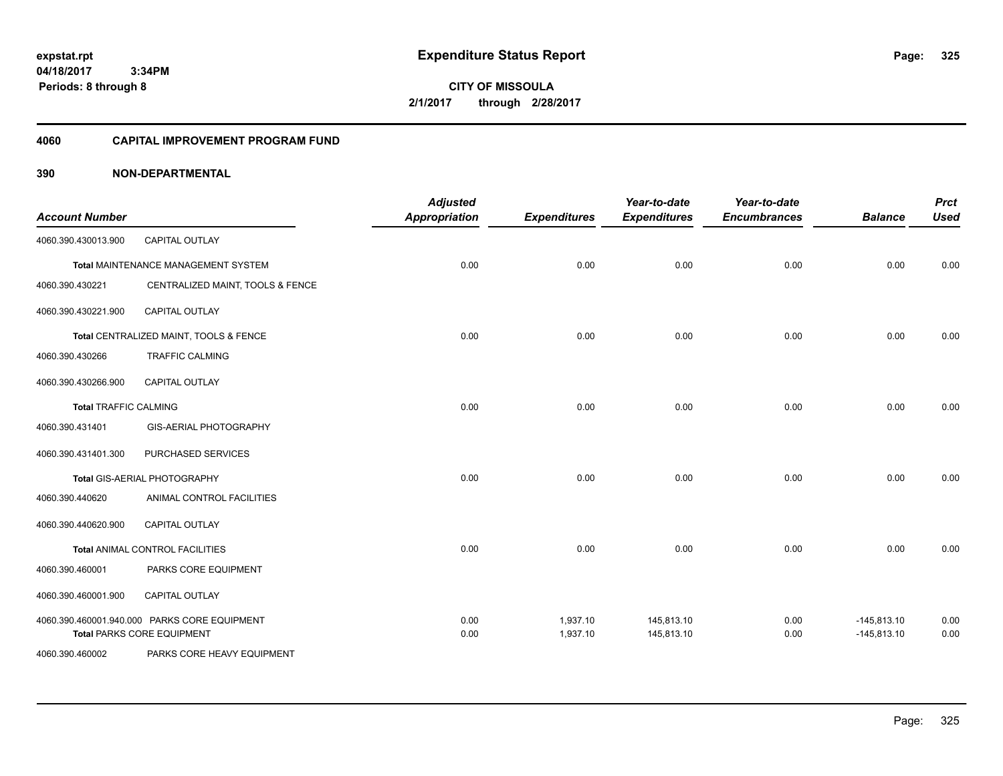**CITY OF MISSOULA 2/1/2017 through 2/28/2017**

### **4060 CAPITAL IMPROVEMENT PROGRAM FUND**

| <b>Account Number</b>        |                                              | <b>Adjusted</b><br><b>Appropriation</b> | <b>Expenditures</b> | Year-to-date<br><b>Expenditures</b> | Year-to-date<br><b>Encumbrances</b> | <b>Balance</b> | <b>Prct</b><br><b>Used</b> |
|------------------------------|----------------------------------------------|-----------------------------------------|---------------------|-------------------------------------|-------------------------------------|----------------|----------------------------|
| 4060.390.430013.900          | <b>CAPITAL OUTLAY</b>                        |                                         |                     |                                     |                                     |                |                            |
|                              | Total MAINTENANCE MANAGEMENT SYSTEM          | 0.00                                    | 0.00                | 0.00                                | 0.00                                | 0.00           | 0.00                       |
| 4060.390.430221              | CENTRALIZED MAINT, TOOLS & FENCE             |                                         |                     |                                     |                                     |                |                            |
| 4060.390.430221.900          | CAPITAL OUTLAY                               |                                         |                     |                                     |                                     |                |                            |
|                              | Total CENTRALIZED MAINT, TOOLS & FENCE       | 0.00                                    | 0.00                | 0.00                                | 0.00                                | 0.00           | 0.00                       |
| 4060.390.430266              | <b>TRAFFIC CALMING</b>                       |                                         |                     |                                     |                                     |                |                            |
| 4060.390.430266.900          | <b>CAPITAL OUTLAY</b>                        |                                         |                     |                                     |                                     |                |                            |
| <b>Total TRAFFIC CALMING</b> |                                              | 0.00                                    | 0.00                | 0.00                                | 0.00                                | 0.00           | 0.00                       |
| 4060.390.431401              | GIS-AERIAL PHOTOGRAPHY                       |                                         |                     |                                     |                                     |                |                            |
| 4060.390.431401.300          | PURCHASED SERVICES                           |                                         |                     |                                     |                                     |                |                            |
|                              | Total GIS-AERIAL PHOTOGRAPHY                 | 0.00                                    | 0.00                | 0.00                                | 0.00                                | 0.00           | 0.00                       |
| 4060.390.440620              | ANIMAL CONTROL FACILITIES                    |                                         |                     |                                     |                                     |                |                            |
| 4060.390.440620.900          | CAPITAL OUTLAY                               |                                         |                     |                                     |                                     |                |                            |
|                              | Total ANIMAL CONTROL FACILITIES              | 0.00                                    | 0.00                | 0.00                                | 0.00                                | 0.00           | 0.00                       |
| 4060.390.460001              | PARKS CORE EQUIPMENT                         |                                         |                     |                                     |                                     |                |                            |
| 4060.390.460001.900          | CAPITAL OUTLAY                               |                                         |                     |                                     |                                     |                |                            |
|                              | 4060.390.460001.940.000 PARKS CORE EQUIPMENT | 0.00                                    | 1,937.10            | 145,813.10                          | 0.00                                | $-145,813.10$  | 0.00                       |
|                              | <b>Total PARKS CORE EQUIPMENT</b>            | 0.00                                    | 1,937.10            | 145,813.10                          | 0.00                                | $-145,813.10$  | 0.00                       |
| 4060.390.460002              | PARKS CORE HEAVY EQUIPMENT                   |                                         |                     |                                     |                                     |                |                            |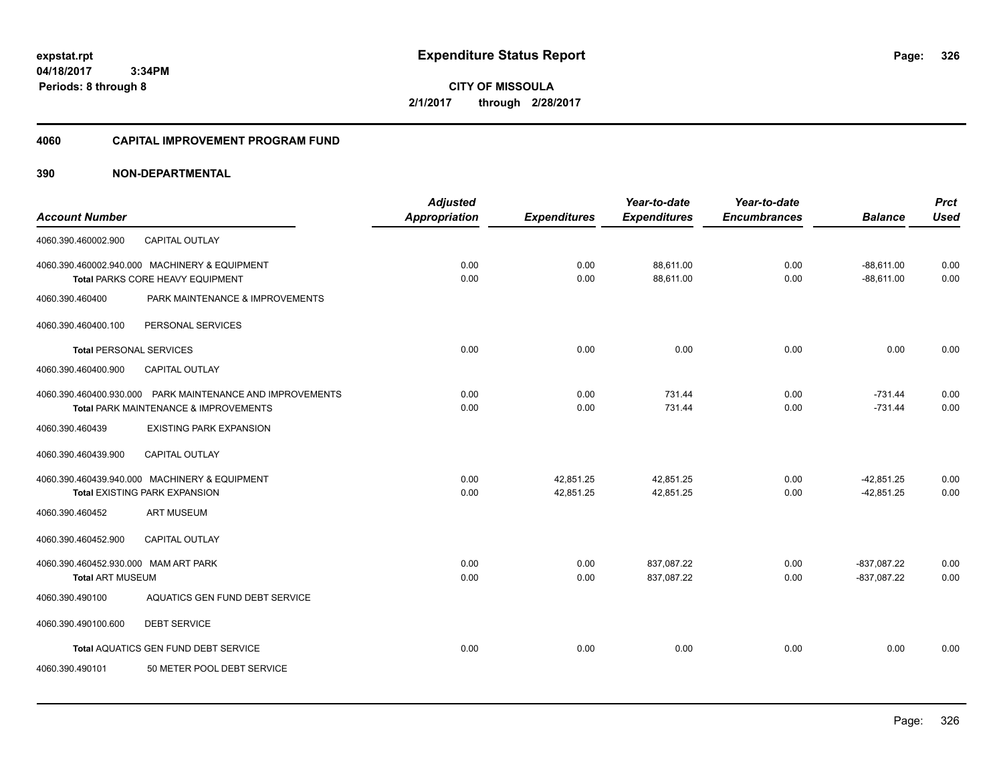**CITY OF MISSOULA 2/1/2017 through 2/28/2017**

### **4060 CAPITAL IMPROVEMENT PROGRAM FUND**

| <b>Account Number</b>                                           |                                                                                                    | <b>Adjusted</b><br><b>Appropriation</b> | <b>Expenditures</b>    | Year-to-date<br><b>Expenditures</b> | Year-to-date<br><b>Encumbrances</b> | <b>Balance</b>                 | <b>Prct</b><br><b>Used</b> |
|-----------------------------------------------------------------|----------------------------------------------------------------------------------------------------|-----------------------------------------|------------------------|-------------------------------------|-------------------------------------|--------------------------------|----------------------------|
| 4060.390.460002.900                                             | CAPITAL OUTLAY                                                                                     |                                         |                        |                                     |                                     |                                |                            |
|                                                                 | 4060.390.460002.940.000 MACHINERY & EQUIPMENT<br>Total PARKS CORE HEAVY EQUIPMENT                  | 0.00<br>0.00                            | 0.00<br>0.00           | 88,611.00<br>88,611.00              | 0.00<br>0.00                        | $-88,611.00$<br>$-88,611.00$   | 0.00<br>0.00               |
| 4060.390.460400                                                 | PARK MAINTENANCE & IMPROVEMENTS                                                                    |                                         |                        |                                     |                                     |                                |                            |
| 4060.390.460400.100                                             | PERSONAL SERVICES                                                                                  |                                         |                        |                                     |                                     |                                |                            |
| <b>Total PERSONAL SERVICES</b>                                  |                                                                                                    | 0.00                                    | 0.00                   | 0.00                                | 0.00                                | 0.00                           | 0.00                       |
| 4060.390.460400.900                                             | CAPITAL OUTLAY                                                                                     |                                         |                        |                                     |                                     |                                |                            |
|                                                                 | 4060.390.460400.930.000 PARK MAINTENANCE AND IMPROVEMENTS<br>Total PARK MAINTENANCE & IMPROVEMENTS | 0.00<br>0.00                            | 0.00<br>0.00           | 731.44<br>731.44                    | 0.00<br>0.00                        | $-731.44$<br>$-731.44$         | 0.00<br>0.00               |
| 4060.390.460439                                                 | <b>EXISTING PARK EXPANSION</b>                                                                     |                                         |                        |                                     |                                     |                                |                            |
| 4060.390.460439.900                                             | <b>CAPITAL OUTLAY</b>                                                                              |                                         |                        |                                     |                                     |                                |                            |
|                                                                 | 4060.390.460439.940.000 MACHINERY & EQUIPMENT<br><b>Total EXISTING PARK EXPANSION</b>              | 0.00<br>0.00                            | 42.851.25<br>42,851.25 | 42,851.25<br>42,851.25              | 0.00<br>0.00                        | $-42,851.25$<br>$-42,851.25$   | 0.00<br>0.00               |
| 4060.390.460452                                                 | <b>ART MUSEUM</b>                                                                                  |                                         |                        |                                     |                                     |                                |                            |
| 4060.390.460452.900                                             | <b>CAPITAL OUTLAY</b>                                                                              |                                         |                        |                                     |                                     |                                |                            |
| 4060.390.460452.930.000 MAM ART PARK<br><b>Total ART MUSEUM</b> |                                                                                                    | 0.00<br>0.00                            | 0.00<br>0.00           | 837,087.22<br>837,087.22            | 0.00<br>0.00                        | $-837,087.22$<br>$-837,087.22$ | 0.00<br>0.00               |
| 4060.390.490100                                                 | AQUATICS GEN FUND DEBT SERVICE                                                                     |                                         |                        |                                     |                                     |                                |                            |
| 4060.390.490100.600                                             | <b>DEBT SERVICE</b>                                                                                |                                         |                        |                                     |                                     |                                |                            |
|                                                                 | Total AQUATICS GEN FUND DEBT SERVICE                                                               | 0.00                                    | 0.00                   | 0.00                                | 0.00                                | 0.00                           | 0.00                       |
| 4060.390.490101                                                 | 50 METER POOL DEBT SERVICE                                                                         |                                         |                        |                                     |                                     |                                |                            |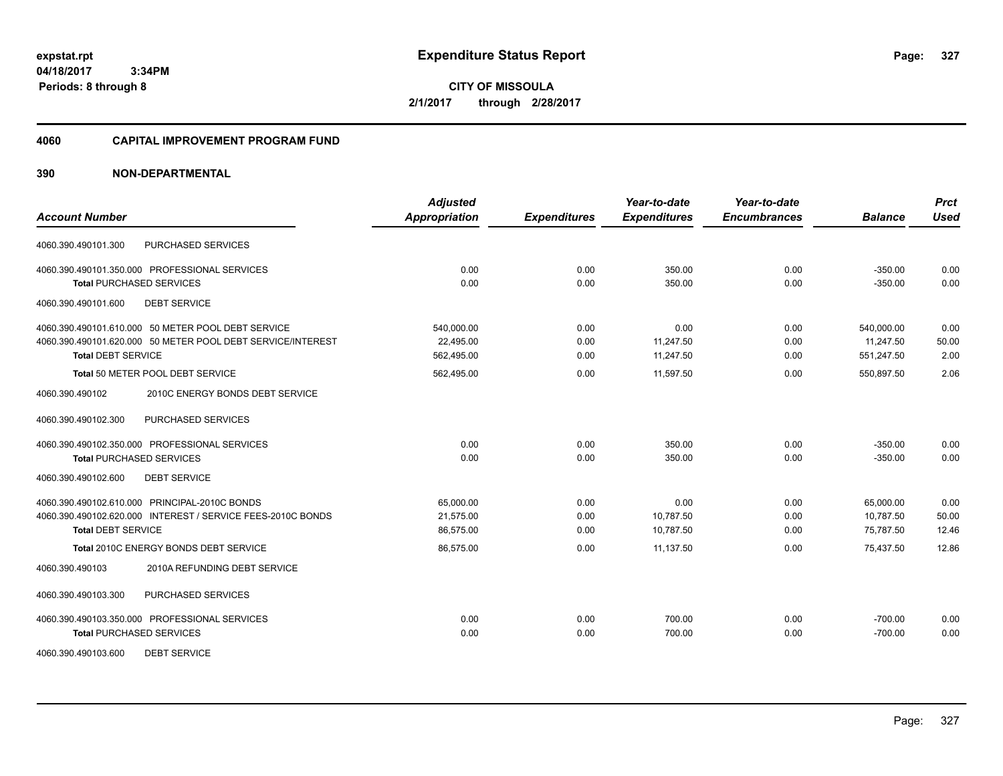**CITY OF MISSOULA 2/1/2017 through 2/28/2017**

### **4060 CAPITAL IMPROVEMENT PROGRAM FUND**

|                                                             | <b>Adjusted</b> |                     | Year-to-date        | Year-to-date        |                | <b>Prct</b> |
|-------------------------------------------------------------|-----------------|---------------------|---------------------|---------------------|----------------|-------------|
| <b>Account Number</b>                                       | Appropriation   | <b>Expenditures</b> | <b>Expenditures</b> | <b>Encumbrances</b> | <b>Balance</b> | <b>Used</b> |
| PURCHASED SERVICES<br>4060.390.490101.300                   |                 |                     |                     |                     |                |             |
| 4060.390.490101.350.000 PROFESSIONAL SERVICES               | 0.00            | 0.00                | 350.00              | 0.00                | $-350.00$      | 0.00        |
| <b>Total PURCHASED SERVICES</b>                             | 0.00            | 0.00                | 350.00              | 0.00                | $-350.00$      | 0.00        |
| <b>DEBT SERVICE</b><br>4060.390.490101.600                  |                 |                     |                     |                     |                |             |
| 4060.390.490101.610.000 50 METER POOL DEBT SERVICE          | 540,000.00      | 0.00                | 0.00                | 0.00                | 540,000.00     | 0.00        |
| 4060.390.490101.620.000 50 METER POOL DEBT SERVICE/INTEREST | 22,495.00       | 0.00                | 11,247.50           | 0.00                | 11,247.50      | 50.00       |
| <b>Total DEBT SERVICE</b>                                   | 562,495.00      | 0.00                | 11,247.50           | 0.00                | 551,247.50     | 2.00        |
| Total 50 METER POOL DEBT SERVICE                            | 562,495.00      | 0.00                | 11.597.50           | 0.00                | 550,897.50     | 2.06        |
| 2010C ENERGY BONDS DEBT SERVICE<br>4060.390.490102          |                 |                     |                     |                     |                |             |
| PURCHASED SERVICES<br>4060.390.490102.300                   |                 |                     |                     |                     |                |             |
| 4060.390.490102.350.000 PROFESSIONAL SERVICES               | 0.00            | 0.00                | 350.00              | 0.00                | $-350.00$      | 0.00        |
| <b>Total PURCHASED SERVICES</b>                             | 0.00            | 0.00                | 350.00              | 0.00                | $-350.00$      | 0.00        |
| 4060.390.490102.600<br><b>DEBT SERVICE</b>                  |                 |                     |                     |                     |                |             |
| 4060.390.490102.610.000 PRINCIPAL-2010C BONDS               | 65,000.00       | 0.00                | 0.00                | 0.00                | 65,000.00      | 0.00        |
| 4060.390.490102.620.000 INTEREST / SERVICE FEES-2010C BONDS | 21,575.00       | 0.00                | 10,787.50           | 0.00                | 10,787.50      | 50.00       |
| <b>Total DEBT SERVICE</b>                                   | 86,575.00       | 0.00                | 10,787.50           | 0.00                | 75,787.50      | 12.46       |
| <b>Total 2010C ENERGY BONDS DEBT SERVICE</b>                | 86,575.00       | 0.00                | 11,137.50           | 0.00                | 75,437.50      | 12.86       |
| 2010A REFUNDING DEBT SERVICE<br>4060.390.490103             |                 |                     |                     |                     |                |             |
| 4060.390.490103.300<br>PURCHASED SERVICES                   |                 |                     |                     |                     |                |             |
| 4060.390.490103.350.000 PROFESSIONAL SERVICES               | 0.00            | 0.00                | 700.00              | 0.00                | $-700.00$      | 0.00        |
| <b>Total PURCHASED SERVICES</b>                             | 0.00            | 0.00                | 700.00              | 0.00                | $-700.00$      | 0.00        |
| <b>DEBT SERVICE</b><br>4060.390.490103.600                  |                 |                     |                     |                     |                |             |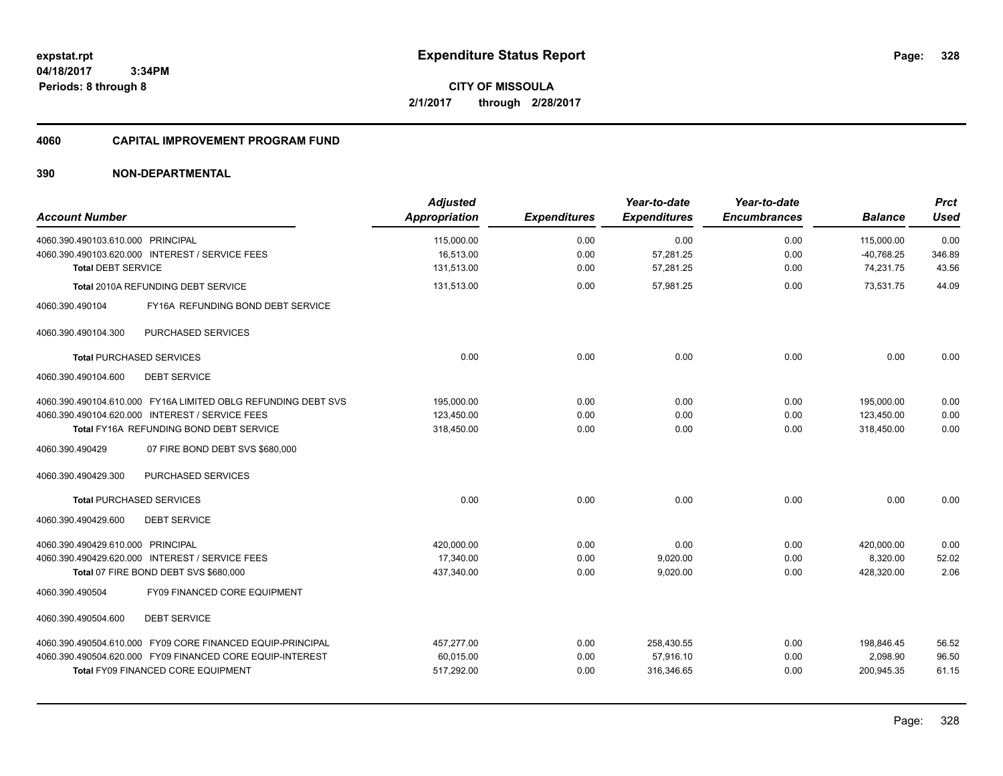### **4060 CAPITAL IMPROVEMENT PROGRAM FUND**

### **390 NON-DEPARTMENTAL**

| <b>Account Number</b>                                         | <b>Adjusted</b><br>Appropriation | <b>Expenditures</b> | Year-to-date<br><b>Expenditures</b> | Year-to-date<br><b>Encumbrances</b> | <b>Balance</b> | <b>Prct</b><br>Used |
|---------------------------------------------------------------|----------------------------------|---------------------|-------------------------------------|-------------------------------------|----------------|---------------------|
|                                                               |                                  |                     |                                     |                                     |                |                     |
| 4060.390.490103.610.000 PRINCIPAL                             | 115,000.00                       | 0.00                | 0.00                                | 0.00                                | 115,000.00     | 0.00                |
| 4060.390.490103.620.000 INTEREST / SERVICE FEES               | 16,513.00                        | 0.00                | 57,281.25                           | 0.00                                | $-40,768.25$   | 346.89              |
| <b>Total DEBT SERVICE</b>                                     | 131,513.00                       | 0.00                | 57,281.25                           | 0.00                                | 74,231.75      | 43.56               |
| <b>Total 2010A REFUNDING DEBT SERVICE</b>                     | 131,513.00                       | 0.00                | 57,981.25                           | 0.00                                | 73,531.75      | 44.09               |
| 4060.390.490104<br>FY16A REFUNDING BOND DEBT SERVICE          |                                  |                     |                                     |                                     |                |                     |
| PURCHASED SERVICES<br>4060.390.490104.300                     |                                  |                     |                                     |                                     |                |                     |
| <b>Total PURCHASED SERVICES</b>                               | 0.00                             | 0.00                | 0.00                                | 0.00                                | 0.00           | 0.00                |
| 4060.390.490104.600<br><b>DEBT SERVICE</b>                    |                                  |                     |                                     |                                     |                |                     |
| 4060.390.490104.610.000 FY16A LIMITED OBLG REFUNDING DEBT SVS | 195,000.00                       | 0.00                | 0.00                                | 0.00                                | 195,000.00     | 0.00                |
| 4060.390.490104.620.000 INTEREST / SERVICE FEES               | 123,450.00                       | 0.00                | 0.00                                | 0.00                                | 123,450.00     | 0.00                |
| Total FY16A REFUNDING BOND DEBT SERVICE                       | 318,450.00                       | 0.00                | 0.00                                | 0.00                                | 318,450.00     | 0.00                |
| 4060.390.490429<br>07 FIRE BOND DEBT SVS \$680,000            |                                  |                     |                                     |                                     |                |                     |
| PURCHASED SERVICES<br>4060.390.490429.300                     |                                  |                     |                                     |                                     |                |                     |
| <b>Total PURCHASED SERVICES</b>                               | 0.00                             | 0.00                | 0.00                                | 0.00                                | 0.00           | 0.00                |
| <b>DEBT SERVICE</b><br>4060.390.490429.600                    |                                  |                     |                                     |                                     |                |                     |
| 4060.390.490429.610.000 PRINCIPAL                             | 420,000.00                       | 0.00                | 0.00                                | 0.00                                | 420,000.00     | 0.00                |
| 4060.390.490429.620.000 INTEREST / SERVICE FEES               | 17,340.00                        | 0.00                | 9,020.00                            | 0.00                                | 8,320.00       | 52.02               |
| Total 07 FIRE BOND DEBT SVS \$680,000                         | 437,340.00                       | 0.00                | 9,020.00                            | 0.00                                | 428,320.00     | 2.06                |
| FY09 FINANCED CORE EQUIPMENT<br>4060.390.490504               |                                  |                     |                                     |                                     |                |                     |
| 4060.390.490504.600<br><b>DEBT SERVICE</b>                    |                                  |                     |                                     |                                     |                |                     |
| 4060.390.490504.610.000 FY09 CORE FINANCED EQUIP-PRINCIPAL    | 457,277.00                       | 0.00                | 258,430.55                          | 0.00                                | 198,846.45     | 56.52               |
| 4060.390.490504.620.000 FY09 FINANCED CORE EQUIP-INTEREST     | 60,015.00                        | 0.00                | 57,916.10                           | 0.00                                | 2,098.90       | 96.50               |
| <b>Total FY09 FINANCED CORE EQUIPMENT</b>                     | 517,292.00                       | 0.00                | 316,346.65                          | 0.00                                | 200,945.35     | 61.15               |

Page: 328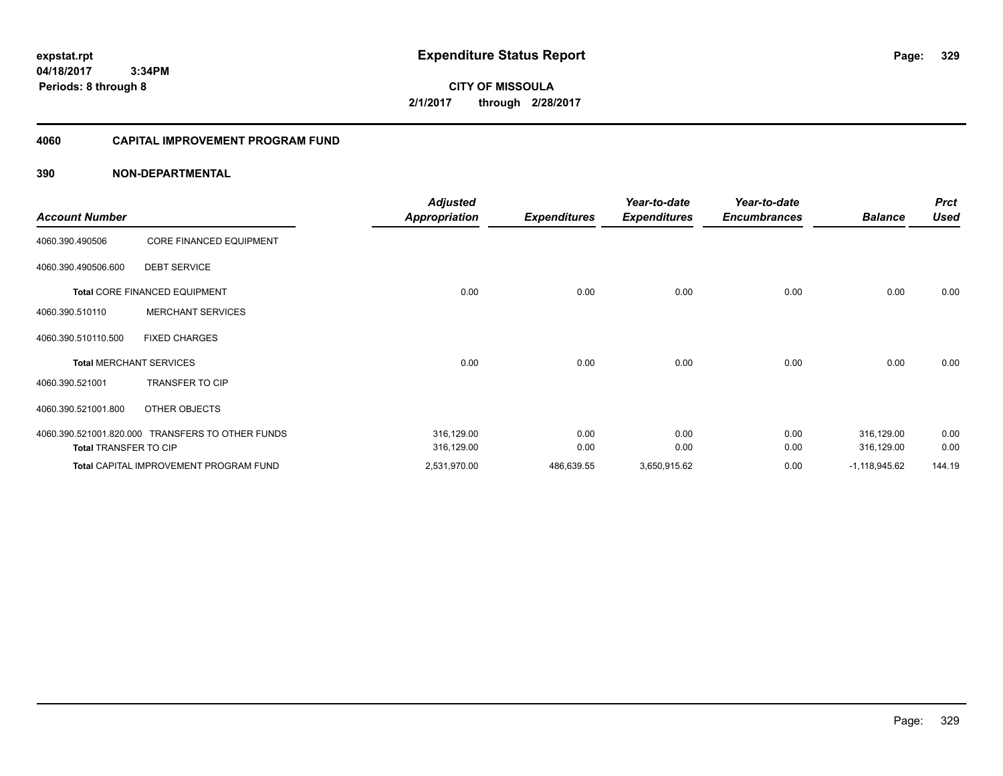**CITY OF MISSOULA 2/1/2017 through 2/28/2017**

### **4060 CAPITAL IMPROVEMENT PROGRAM FUND**

| <b>Account Number</b>        |                                                  | <b>Adjusted</b><br><b>Appropriation</b> | <b>Expenditures</b> | Year-to-date<br><b>Expenditures</b> | Year-to-date<br><b>Encumbrances</b> | <b>Balance</b>  | <b>Prct</b><br><b>Used</b> |
|------------------------------|--------------------------------------------------|-----------------------------------------|---------------------|-------------------------------------|-------------------------------------|-----------------|----------------------------|
|                              |                                                  |                                         |                     |                                     |                                     |                 |                            |
| 4060.390.490506              | CORE FINANCED EQUIPMENT                          |                                         |                     |                                     |                                     |                 |                            |
| 4060.390.490506.600          | <b>DEBT SERVICE</b>                              |                                         |                     |                                     |                                     |                 |                            |
|                              | Total CORE FINANCED EQUIPMENT                    | 0.00                                    | 0.00                | 0.00                                | 0.00                                | 0.00            | 0.00                       |
| 4060.390.510110              | <b>MERCHANT SERVICES</b>                         |                                         |                     |                                     |                                     |                 |                            |
| 4060.390.510110.500          | <b>FIXED CHARGES</b>                             |                                         |                     |                                     |                                     |                 |                            |
|                              | <b>Total MERCHANT SERVICES</b>                   | 0.00                                    | 0.00                | 0.00                                | 0.00                                | 0.00            | 0.00                       |
| 4060.390.521001              | TRANSFER TO CIP                                  |                                         |                     |                                     |                                     |                 |                            |
| 4060.390.521001.800          | OTHER OBJECTS                                    |                                         |                     |                                     |                                     |                 |                            |
|                              | 4060.390.521001.820.000 TRANSFERS TO OTHER FUNDS | 316,129.00                              | 0.00                | 0.00                                | 0.00                                | 316,129.00      | 0.00                       |
| <b>Total TRANSFER TO CIP</b> |                                                  | 316,129.00                              | 0.00                | 0.00                                | 0.00                                | 316,129.00      | 0.00                       |
|                              | <b>Total CAPITAL IMPROVEMENT PROGRAM FUND</b>    | 2,531,970.00                            | 486,639.55          | 3,650,915.62                        | 0.00                                | $-1,118,945.62$ | 144.19                     |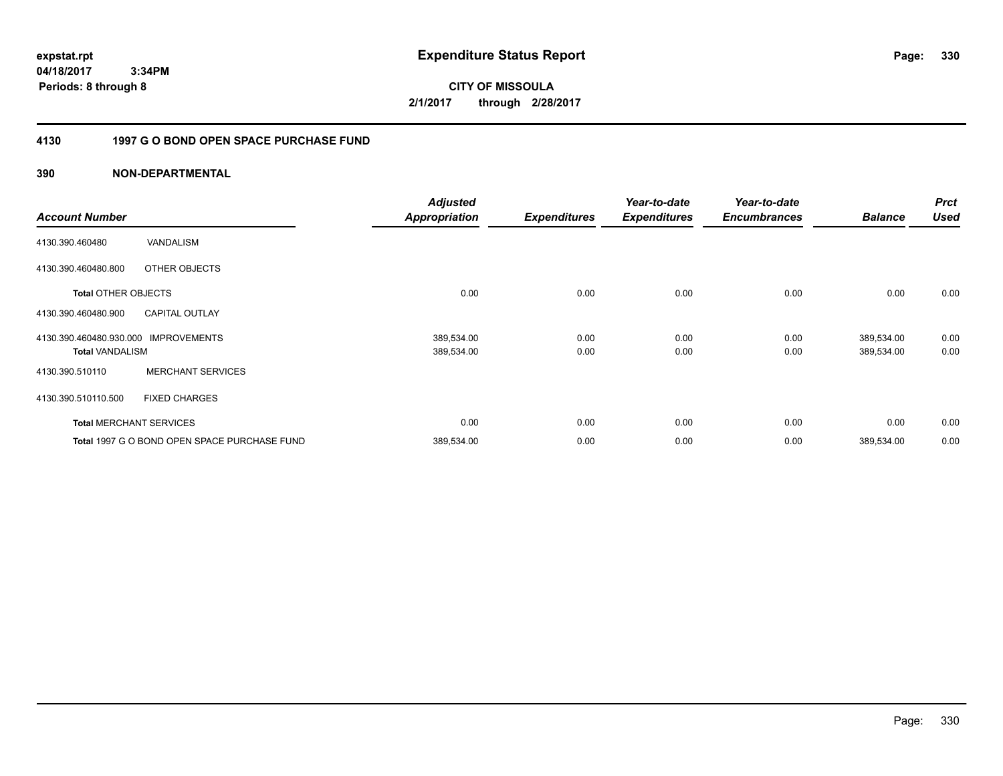**CITY OF MISSOULA 2/1/2017 through 2/28/2017**

### **4130 1997 G O BOND OPEN SPACE PURCHASE FUND**

| <b>Account Number</b>                             |                                              | <b>Adjusted</b><br><b>Appropriation</b> | <b>Expenditures</b> | Year-to-date<br><b>Expenditures</b> | Year-to-date<br><b>Encumbrances</b> | <b>Balance</b>           | <b>Prct</b><br><b>Used</b> |
|---------------------------------------------------|----------------------------------------------|-----------------------------------------|---------------------|-------------------------------------|-------------------------------------|--------------------------|----------------------------|
| 4130.390.460480                                   | <b>VANDALISM</b>                             |                                         |                     |                                     |                                     |                          |                            |
| 4130.390.460480.800                               | OTHER OBJECTS                                |                                         |                     |                                     |                                     |                          |                            |
| <b>Total OTHER OBJECTS</b>                        |                                              | 0.00                                    | 0.00                | 0.00                                | 0.00                                | 0.00                     | 0.00                       |
| 4130.390.460480.900                               | <b>CAPITAL OUTLAY</b>                        |                                         |                     |                                     |                                     |                          |                            |
| 4130.390.460480.930.000<br><b>Total VANDALISM</b> | <b>IMPROVEMENTS</b>                          | 389,534.00<br>389,534.00                | 0.00<br>0.00        | 0.00<br>0.00                        | 0.00<br>0.00                        | 389,534.00<br>389,534.00 | 0.00<br>0.00               |
| 4130.390.510110                                   | <b>MERCHANT SERVICES</b>                     |                                         |                     |                                     |                                     |                          |                            |
| 4130.390.510110.500                               | <b>FIXED CHARGES</b>                         |                                         |                     |                                     |                                     |                          |                            |
|                                                   | <b>Total MERCHANT SERVICES</b>               | 0.00                                    | 0.00                | 0.00                                | 0.00                                | 0.00                     | 0.00                       |
|                                                   | Total 1997 G O BOND OPEN SPACE PURCHASE FUND | 389,534.00                              | 0.00                | 0.00                                | 0.00                                | 389,534.00               | 0.00                       |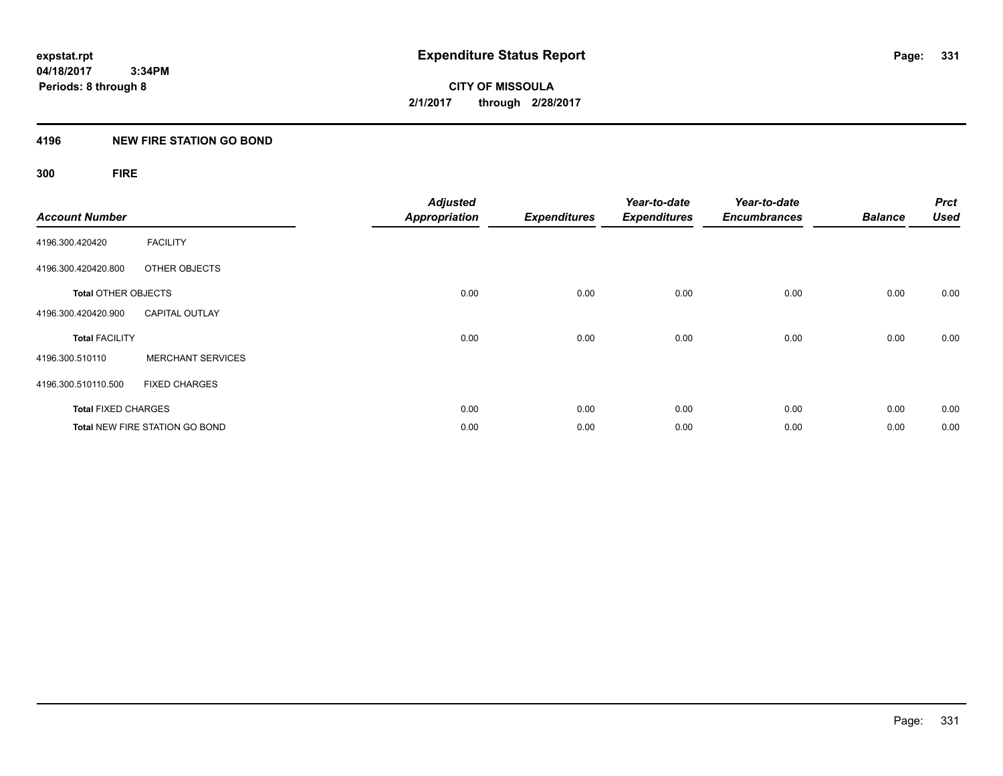**CITY OF MISSOULA 2/1/2017 through 2/28/2017**

### **4196 NEW FIRE STATION GO BOND**

## **300 FIRE**

| <b>Account Number</b>      |                                       | <b>Adjusted</b><br><b>Appropriation</b> | <b>Expenditures</b> | Year-to-date<br><b>Expenditures</b> | Year-to-date<br><b>Encumbrances</b> | <b>Balance</b> | <b>Prct</b><br><b>Used</b> |
|----------------------------|---------------------------------------|-----------------------------------------|---------------------|-------------------------------------|-------------------------------------|----------------|----------------------------|
| 4196.300.420420            | <b>FACILITY</b>                       |                                         |                     |                                     |                                     |                |                            |
| 4196.300.420420.800        | OTHER OBJECTS                         |                                         |                     |                                     |                                     |                |                            |
| <b>Total OTHER OBJECTS</b> |                                       | 0.00                                    | 0.00                | 0.00                                | 0.00                                | 0.00           | 0.00                       |
| 4196.300.420420.900        | <b>CAPITAL OUTLAY</b>                 |                                         |                     |                                     |                                     |                |                            |
| <b>Total FACILITY</b>      |                                       | 0.00                                    | 0.00                | 0.00                                | 0.00                                | 0.00           | 0.00                       |
| 4196.300.510110            | <b>MERCHANT SERVICES</b>              |                                         |                     |                                     |                                     |                |                            |
| 4196.300.510110.500        | <b>FIXED CHARGES</b>                  |                                         |                     |                                     |                                     |                |                            |
| <b>Total FIXED CHARGES</b> |                                       | 0.00                                    | 0.00                | 0.00                                | 0.00                                | 0.00           | 0.00                       |
|                            | <b>Total NEW FIRE STATION GO BOND</b> | 0.00                                    | 0.00                | 0.00                                | 0.00                                | 0.00           | 0.00                       |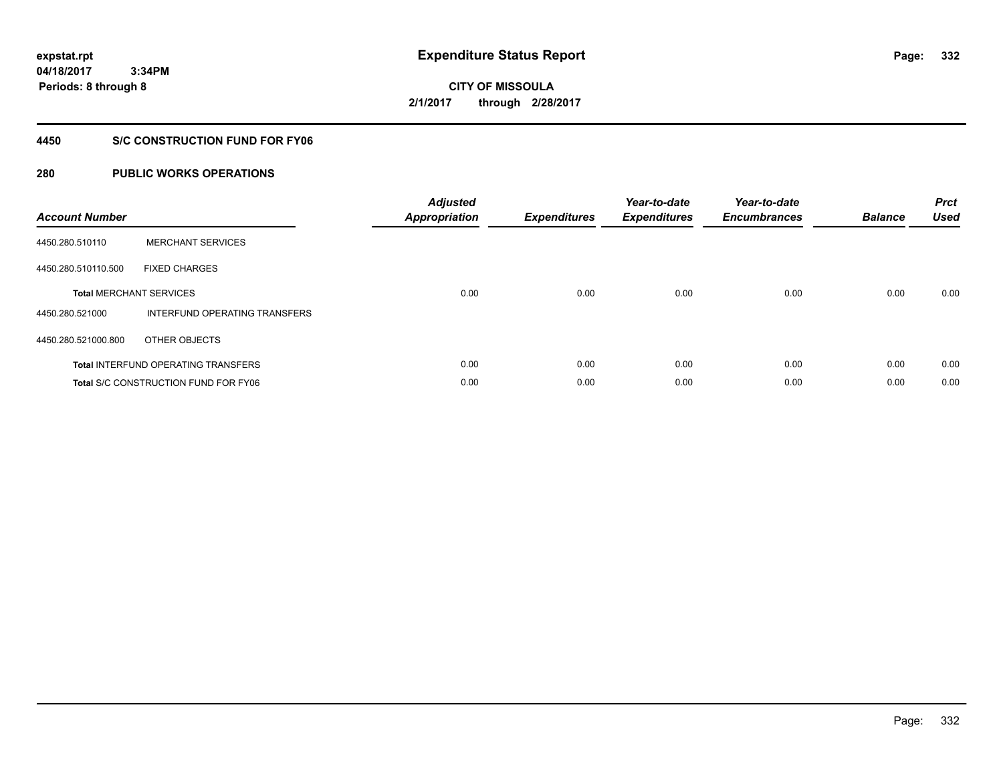**CITY OF MISSOULA 2/1/2017 through 2/28/2017**

### **4450 S/C CONSTRUCTION FUND FOR FY06**

| <b>Account Number</b> |                                             | <b>Adjusted</b><br><b>Appropriation</b> | <b>Expenditures</b> | Year-to-date<br><b>Expenditures</b> | Year-to-date<br><b>Encumbrances</b> | <b>Balance</b> | <b>Prct</b><br><b>Used</b> |
|-----------------------|---------------------------------------------|-----------------------------------------|---------------------|-------------------------------------|-------------------------------------|----------------|----------------------------|
| 4450.280.510110       | <b>MERCHANT SERVICES</b>                    |                                         |                     |                                     |                                     |                |                            |
| 4450.280.510110.500   | <b>FIXED CHARGES</b>                        |                                         |                     |                                     |                                     |                |                            |
|                       | <b>Total MERCHANT SERVICES</b>              | 0.00                                    | 0.00                | 0.00                                | 0.00                                | 0.00           | 0.00                       |
| 4450.280.521000       | INTERFUND OPERATING TRANSFERS               |                                         |                     |                                     |                                     |                |                            |
| 4450.280.521000.800   | OTHER OBJECTS                               |                                         |                     |                                     |                                     |                |                            |
|                       | <b>Total INTERFUND OPERATING TRANSFERS</b>  | 0.00                                    | 0.00                | 0.00                                | 0.00                                | 0.00           | 0.00                       |
|                       | <b>Total S/C CONSTRUCTION FUND FOR FY06</b> | 0.00                                    | 0.00                | 0.00                                | 0.00                                | 0.00           | 0.00                       |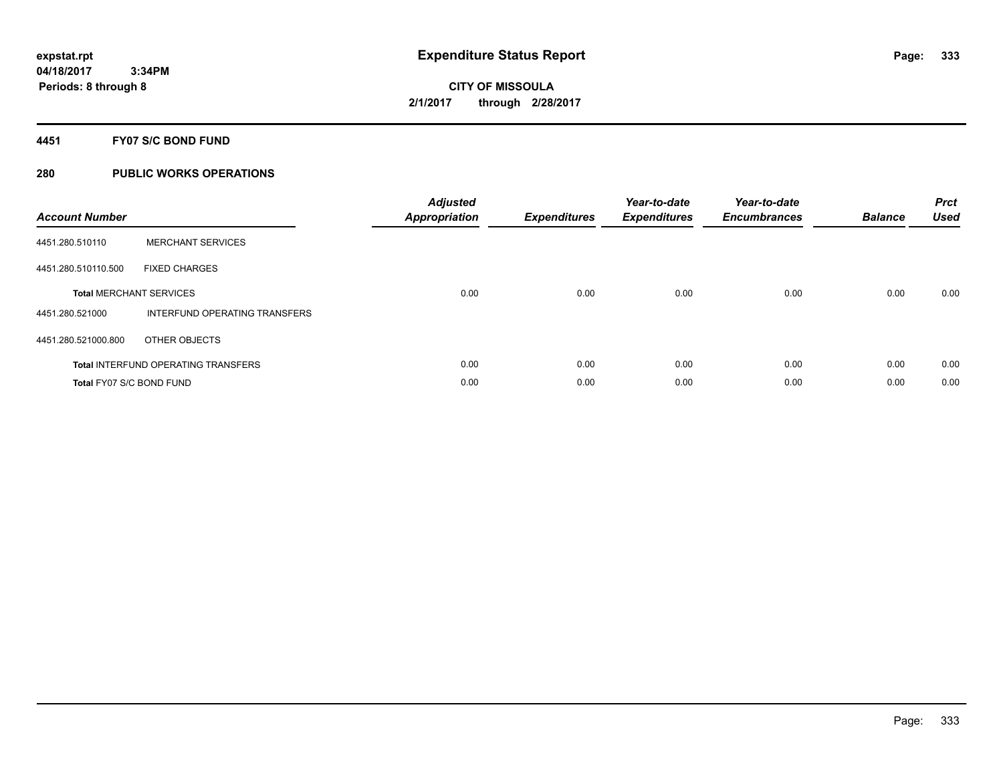### **4451 FY07 S/C BOND FUND**

| <b>Account Number</b>          |                                            | <b>Adjusted</b><br>Appropriation | <b>Expenditures</b> | Year-to-date<br><b>Expenditures</b> | Year-to-date<br><b>Encumbrances</b> | <b>Balance</b> | <b>Prct</b><br><b>Used</b> |
|--------------------------------|--------------------------------------------|----------------------------------|---------------------|-------------------------------------|-------------------------------------|----------------|----------------------------|
| 4451.280.510110                | <b>MERCHANT SERVICES</b>                   |                                  |                     |                                     |                                     |                |                            |
| 4451.280.510110.500            | <b>FIXED CHARGES</b>                       |                                  |                     |                                     |                                     |                |                            |
| <b>Total MERCHANT SERVICES</b> |                                            | 0.00                             | 0.00                | 0.00                                | 0.00                                | 0.00           | 0.00                       |
| 4451.280.521000                | INTERFUND OPERATING TRANSFERS              |                                  |                     |                                     |                                     |                |                            |
| 4451.280.521000.800            | OTHER OBJECTS                              |                                  |                     |                                     |                                     |                |                            |
|                                | <b>Total INTERFUND OPERATING TRANSFERS</b> | 0.00                             | 0.00                | 0.00                                | 0.00                                | 0.00           | 0.00                       |
| Total FY07 S/C BOND FUND       |                                            | 0.00                             | 0.00                | 0.00                                | 0.00                                | 0.00           | 0.00                       |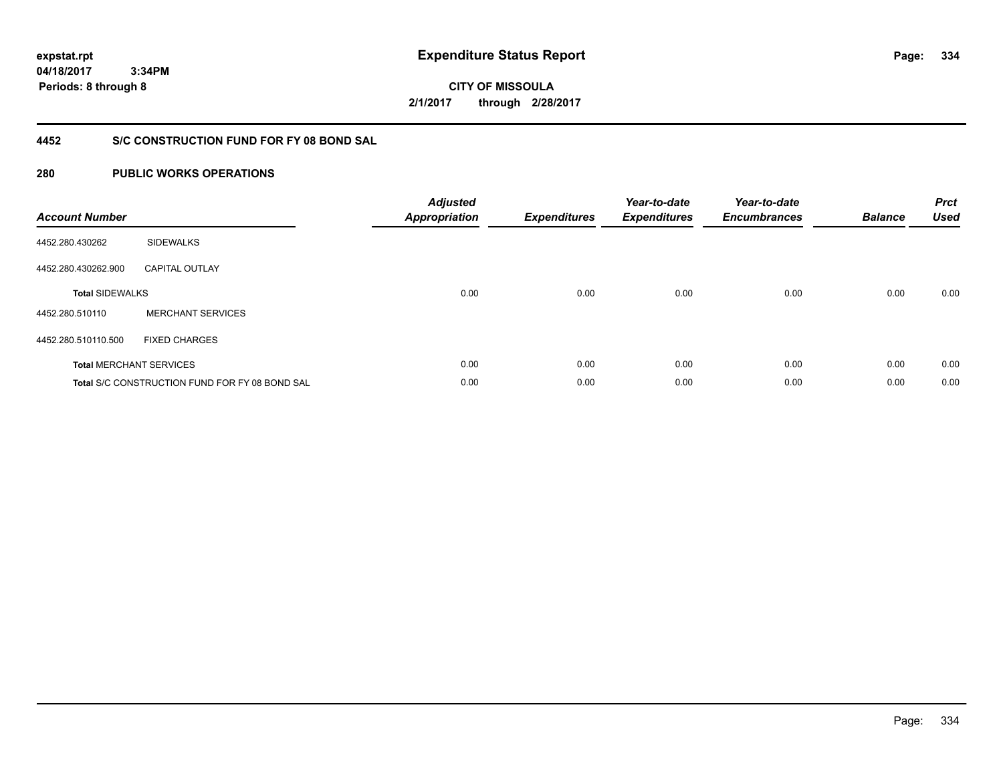**334**

**04/18/2017 3:34PM Periods: 8 through 8**

**CITY OF MISSOULA 2/1/2017 through 2/28/2017**

### **4452 S/C CONSTRUCTION FUND FOR FY 08 BOND SAL**

| <b>Account Number</b>  |                                                | <b>Adjusted</b><br><b>Appropriation</b> | <b>Expenditures</b> | Year-to-date<br><b>Expenditures</b> | Year-to-date<br><b>Encumbrances</b> | <b>Balance</b> | <b>Prct</b><br><b>Used</b> |
|------------------------|------------------------------------------------|-----------------------------------------|---------------------|-------------------------------------|-------------------------------------|----------------|----------------------------|
| 4452.280.430262        | <b>SIDEWALKS</b>                               |                                         |                     |                                     |                                     |                |                            |
| 4452.280.430262.900    | <b>CAPITAL OUTLAY</b>                          |                                         |                     |                                     |                                     |                |                            |
| <b>Total SIDEWALKS</b> |                                                | 0.00                                    | 0.00                | 0.00                                | 0.00                                | 0.00           | 0.00                       |
| 4452.280.510110        | <b>MERCHANT SERVICES</b>                       |                                         |                     |                                     |                                     |                |                            |
| 4452.280.510110.500    | <b>FIXED CHARGES</b>                           |                                         |                     |                                     |                                     |                |                            |
|                        | <b>Total MERCHANT SERVICES</b>                 | 0.00                                    | 0.00                | 0.00                                | 0.00                                | 0.00           | 0.00                       |
|                        | Total S/C CONSTRUCTION FUND FOR FY 08 BOND SAL | 0.00                                    | 0.00                | 0.00                                | 0.00                                | 0.00           | 0.00                       |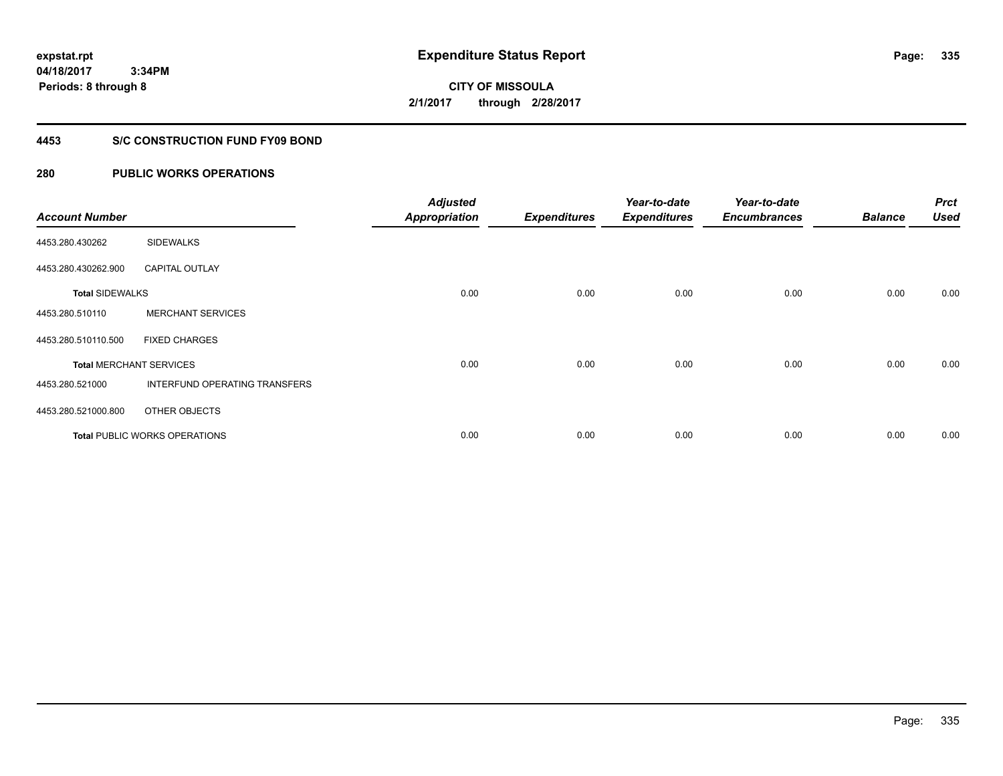**CITY OF MISSOULA 2/1/2017 through 2/28/2017**

### **4453 S/C CONSTRUCTION FUND FY09 BOND**

| <b>Account Number</b>  |                                      | <b>Adjusted</b><br><b>Appropriation</b> | <b>Expenditures</b> | Year-to-date<br><b>Expenditures</b> | Year-to-date<br><b>Encumbrances</b> | <b>Balance</b> | <b>Prct</b><br><b>Used</b> |
|------------------------|--------------------------------------|-----------------------------------------|---------------------|-------------------------------------|-------------------------------------|----------------|----------------------------|
| 4453.280.430262        | <b>SIDEWALKS</b>                     |                                         |                     |                                     |                                     |                |                            |
| 4453.280.430262.900    | <b>CAPITAL OUTLAY</b>                |                                         |                     |                                     |                                     |                |                            |
| <b>Total SIDEWALKS</b> |                                      | 0.00                                    | 0.00                | 0.00                                | 0.00                                | 0.00           | 0.00                       |
| 4453.280.510110        | <b>MERCHANT SERVICES</b>             |                                         |                     |                                     |                                     |                |                            |
| 4453.280.510110.500    | <b>FIXED CHARGES</b>                 |                                         |                     |                                     |                                     |                |                            |
|                        | <b>Total MERCHANT SERVICES</b>       | 0.00                                    | 0.00                | 0.00                                | 0.00                                | 0.00           | 0.00                       |
| 4453.280.521000        | INTERFUND OPERATING TRANSFERS        |                                         |                     |                                     |                                     |                |                            |
| 4453.280.521000.800    | OTHER OBJECTS                        |                                         |                     |                                     |                                     |                |                            |
|                        | <b>Total PUBLIC WORKS OPERATIONS</b> | 0.00                                    | 0.00                | 0.00                                | 0.00                                | 0.00           | 0.00                       |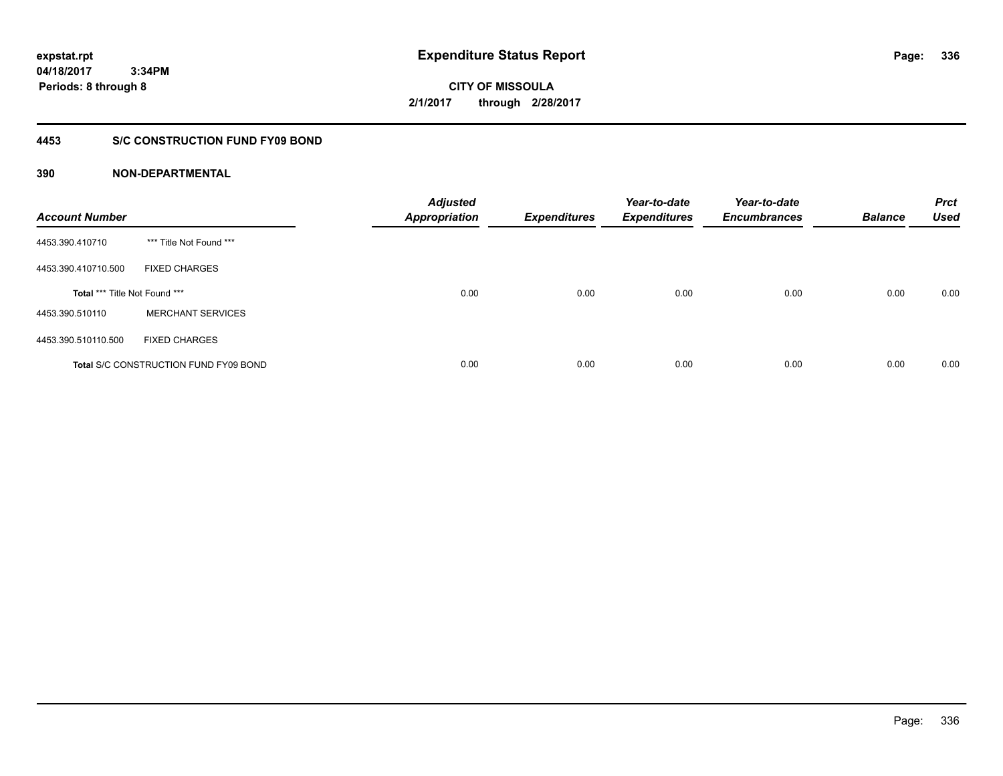**expstat.rpt Expenditure Status Report Page:**

**04/18/2017 3:34PM Periods: 8 through 8**

**CITY OF MISSOULA 2/1/2017 through 2/28/2017**

### **4453 S/C CONSTRUCTION FUND FY09 BOND**

| <b>Account Number</b>         |                                              | <b>Adjusted</b><br><b>Appropriation</b> | <b>Expenditures</b> | Year-to-date<br><b>Expenditures</b> | Year-to-date<br><b>Encumbrances</b> | <b>Balance</b> | <b>Prct</b><br><b>Used</b> |
|-------------------------------|----------------------------------------------|-----------------------------------------|---------------------|-------------------------------------|-------------------------------------|----------------|----------------------------|
| 4453.390.410710               | *** Title Not Found ***                      |                                         |                     |                                     |                                     |                |                            |
| 4453.390.410710.500           | <b>FIXED CHARGES</b>                         |                                         |                     |                                     |                                     |                |                            |
| Total *** Title Not Found *** |                                              | 0.00                                    | 0.00                | 0.00                                | 0.00                                | 0.00           | 0.00                       |
| 4453.390.510110               | <b>MERCHANT SERVICES</b>                     |                                         |                     |                                     |                                     |                |                            |
| 4453.390.510110.500           | <b>FIXED CHARGES</b>                         |                                         |                     |                                     |                                     |                |                            |
|                               | <b>Total S/C CONSTRUCTION FUND FY09 BOND</b> | 0.00                                    | 0.00                | 0.00                                | 0.00                                | 0.00           | 0.00                       |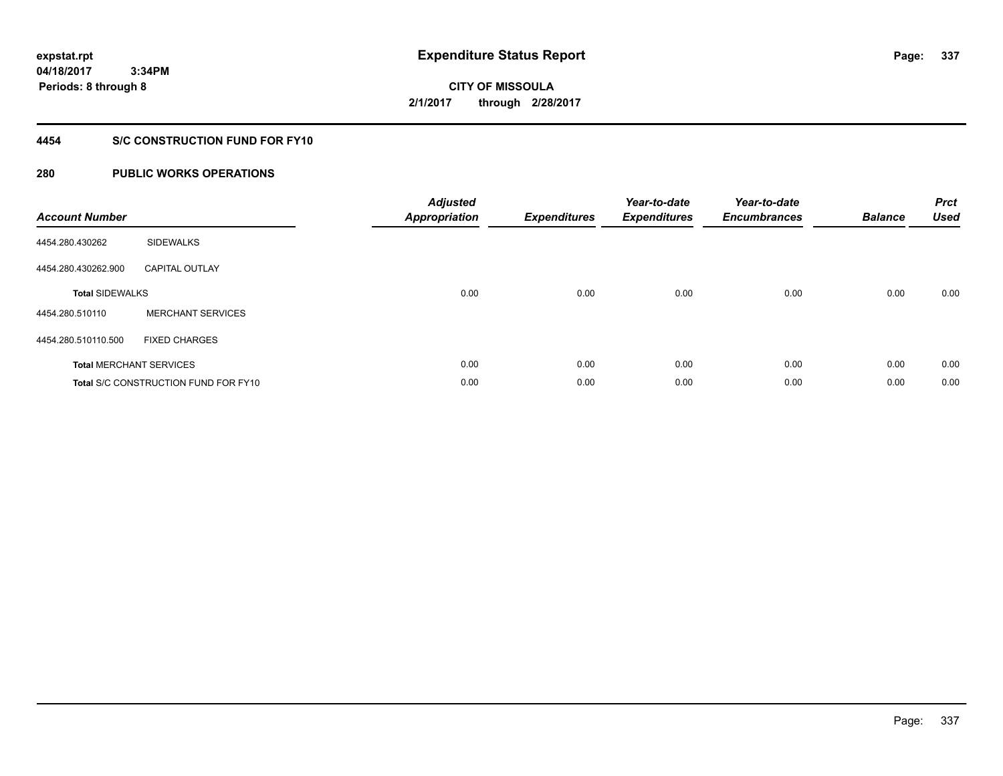# **CITY OF MISSOULA 2/1/2017 through 2/28/2017**

### **4454 S/C CONSTRUCTION FUND FOR FY10**

| <b>Account Number</b>          |                                      | <b>Adjusted</b><br><b>Appropriation</b> | <b>Expenditures</b> | Year-to-date<br><b>Expenditures</b> | Year-to-date<br><b>Encumbrances</b> | <b>Balance</b> | <b>Prct</b><br><b>Used</b> |
|--------------------------------|--------------------------------------|-----------------------------------------|---------------------|-------------------------------------|-------------------------------------|----------------|----------------------------|
| 4454.280.430262                | <b>SIDEWALKS</b>                     |                                         |                     |                                     |                                     |                |                            |
| 4454.280.430262.900            | <b>CAPITAL OUTLAY</b>                |                                         |                     |                                     |                                     |                |                            |
| <b>Total SIDEWALKS</b>         |                                      | 0.00                                    | 0.00                | 0.00                                | 0.00                                | 0.00           | 0.00                       |
| 4454.280.510110                | <b>MERCHANT SERVICES</b>             |                                         |                     |                                     |                                     |                |                            |
| 4454.280.510110.500            | <b>FIXED CHARGES</b>                 |                                         |                     |                                     |                                     |                |                            |
| <b>Total MERCHANT SERVICES</b> |                                      | 0.00                                    | 0.00                | 0.00                                | 0.00                                | 0.00           | 0.00                       |
|                                | Total S/C CONSTRUCTION FUND FOR FY10 | 0.00                                    | 0.00                | 0.00                                | 0.00                                | 0.00           | 0.00                       |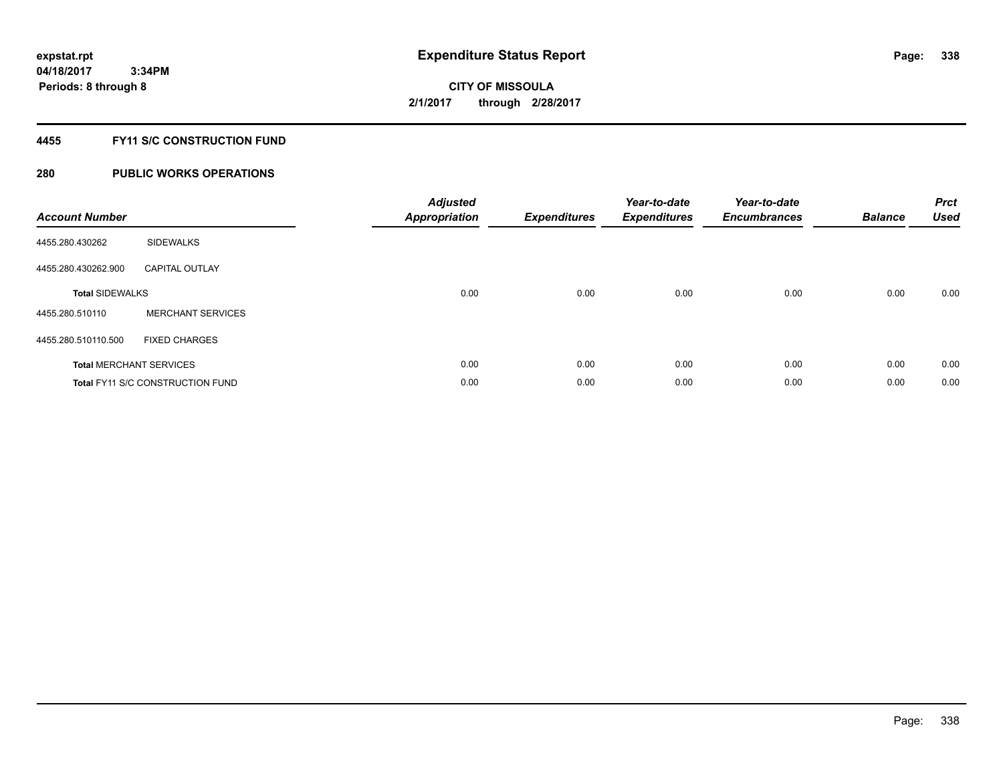### **4455 FY11 S/C CONSTRUCTION FUND**

| <b>Account Number</b>  |                                         | <b>Adjusted</b><br>Appropriation | <b>Expenditures</b> | Year-to-date<br><b>Expenditures</b> | Year-to-date<br><b>Encumbrances</b> | <b>Balance</b> | <b>Prct</b><br><b>Used</b> |
|------------------------|-----------------------------------------|----------------------------------|---------------------|-------------------------------------|-------------------------------------|----------------|----------------------------|
| 4455.280.430262        | <b>SIDEWALKS</b>                        |                                  |                     |                                     |                                     |                |                            |
| 4455.280.430262.900    | <b>CAPITAL OUTLAY</b>                   |                                  |                     |                                     |                                     |                |                            |
| <b>Total SIDEWALKS</b> |                                         | 0.00                             | 0.00                | 0.00                                | 0.00                                | 0.00           | 0.00                       |
| 4455.280.510110        | <b>MERCHANT SERVICES</b>                |                                  |                     |                                     |                                     |                |                            |
| 4455.280.510110.500    | <b>FIXED CHARGES</b>                    |                                  |                     |                                     |                                     |                |                            |
|                        | <b>Total MERCHANT SERVICES</b>          | 0.00                             | 0.00                | 0.00                                | 0.00                                | 0.00           | 0.00                       |
|                        | <b>Total FY11 S/C CONSTRUCTION FUND</b> | 0.00                             | 0.00                | 0.00                                | 0.00                                | 0.00           | 0.00                       |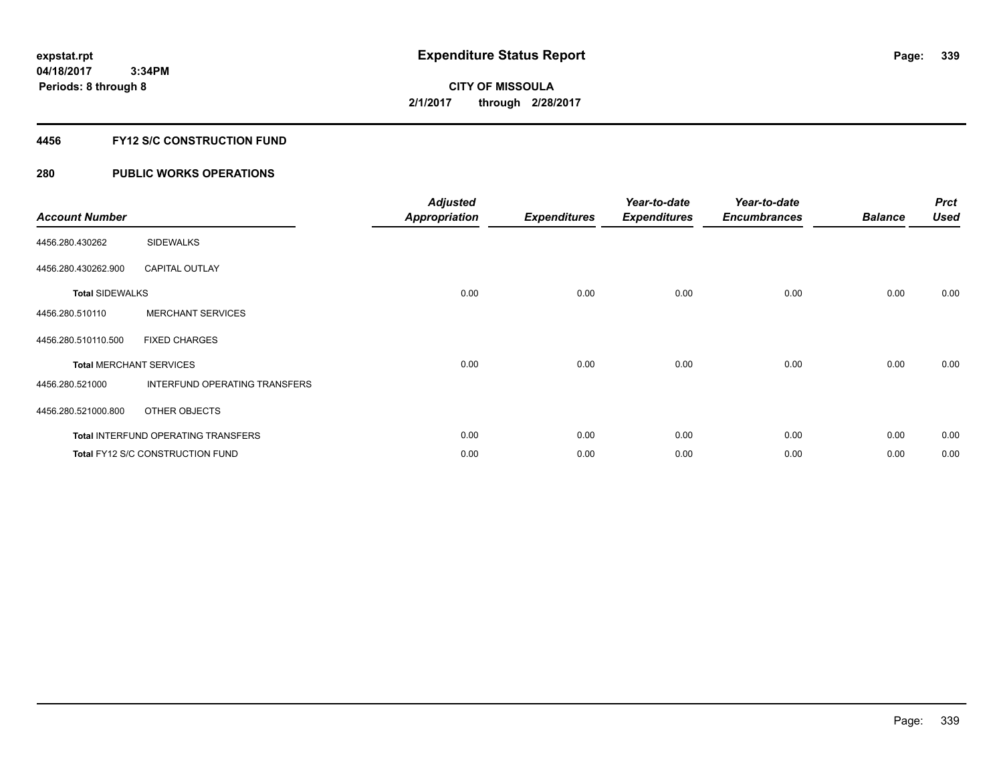### **4456 FY12 S/C CONSTRUCTION FUND**

| <b>Account Number</b>          |                                            | <b>Adjusted</b><br><b>Appropriation</b> | <b>Expenditures</b> | Year-to-date<br><b>Expenditures</b> | Year-to-date<br><b>Encumbrances</b> | <b>Balance</b> | <b>Prct</b><br><b>Used</b> |
|--------------------------------|--------------------------------------------|-----------------------------------------|---------------------|-------------------------------------|-------------------------------------|----------------|----------------------------|
| 4456.280.430262                | <b>SIDEWALKS</b>                           |                                         |                     |                                     |                                     |                |                            |
| 4456.280.430262.900            | <b>CAPITAL OUTLAY</b>                      |                                         |                     |                                     |                                     |                |                            |
| <b>Total SIDEWALKS</b>         |                                            | 0.00                                    | 0.00                | 0.00                                | 0.00                                | 0.00           | 0.00                       |
| 4456.280.510110                | <b>MERCHANT SERVICES</b>                   |                                         |                     |                                     |                                     |                |                            |
| 4456.280.510110.500            | <b>FIXED CHARGES</b>                       |                                         |                     |                                     |                                     |                |                            |
| <b>Total MERCHANT SERVICES</b> |                                            | 0.00                                    | 0.00                | 0.00                                | 0.00                                | 0.00           | 0.00                       |
| 4456.280.521000                | INTERFUND OPERATING TRANSFERS              |                                         |                     |                                     |                                     |                |                            |
| 4456.280.521000.800            | OTHER OBJECTS                              |                                         |                     |                                     |                                     |                |                            |
|                                | <b>Total INTERFUND OPERATING TRANSFERS</b> | 0.00                                    | 0.00                | 0.00                                | 0.00                                | 0.00           | 0.00                       |
|                                | <b>Total FY12 S/C CONSTRUCTION FUND</b>    | 0.00                                    | 0.00                | 0.00                                | 0.00                                | 0.00           | 0.00                       |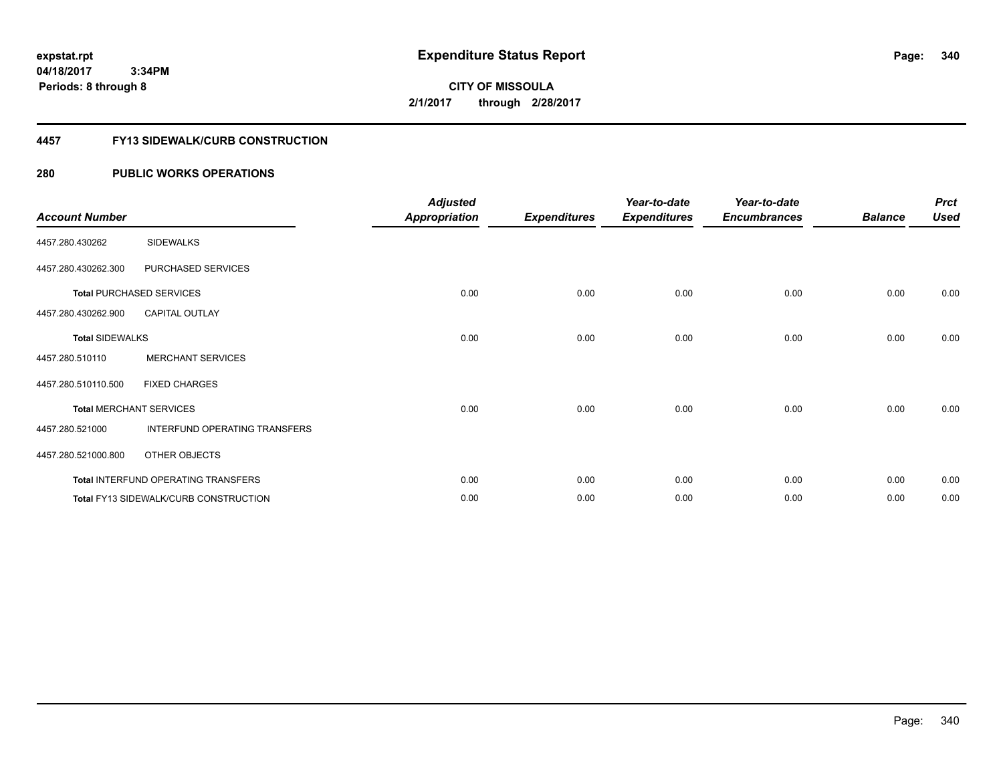**CITY OF MISSOULA 2/1/2017 through 2/28/2017**

### **4457 FY13 SIDEWALK/CURB CONSTRUCTION**

| <b>Account Number</b>  |                                              | <b>Adjusted</b><br><b>Appropriation</b> | <b>Expenditures</b> | Year-to-date<br><b>Expenditures</b> | Year-to-date<br><b>Encumbrances</b> | <b>Balance</b> | <b>Prct</b><br><b>Used</b> |
|------------------------|----------------------------------------------|-----------------------------------------|---------------------|-------------------------------------|-------------------------------------|----------------|----------------------------|
| 4457.280.430262        | <b>SIDEWALKS</b>                             |                                         |                     |                                     |                                     |                |                            |
| 4457.280.430262.300    | PURCHASED SERVICES                           |                                         |                     |                                     |                                     |                |                            |
|                        | <b>Total PURCHASED SERVICES</b>              | 0.00                                    | 0.00                | 0.00                                | 0.00                                | 0.00           | 0.00                       |
| 4457.280.430262.900    | <b>CAPITAL OUTLAY</b>                        |                                         |                     |                                     |                                     |                |                            |
| <b>Total SIDEWALKS</b> |                                              | 0.00                                    | 0.00                | 0.00                                | 0.00                                | 0.00           | 0.00                       |
| 4457.280.510110        | <b>MERCHANT SERVICES</b>                     |                                         |                     |                                     |                                     |                |                            |
| 4457.280.510110.500    | <b>FIXED CHARGES</b>                         |                                         |                     |                                     |                                     |                |                            |
|                        | <b>Total MERCHANT SERVICES</b>               | 0.00                                    | 0.00                | 0.00                                | 0.00                                | 0.00           | 0.00                       |
| 4457.280.521000        | INTERFUND OPERATING TRANSFERS                |                                         |                     |                                     |                                     |                |                            |
| 4457.280.521000.800    | OTHER OBJECTS                                |                                         |                     |                                     |                                     |                |                            |
|                        | Total INTERFUND OPERATING TRANSFERS          | 0.00                                    | 0.00                | 0.00                                | 0.00                                | 0.00           | 0.00                       |
|                        | <b>Total FY13 SIDEWALK/CURB CONSTRUCTION</b> | 0.00                                    | 0.00                | 0.00                                | 0.00                                | 0.00           | 0.00                       |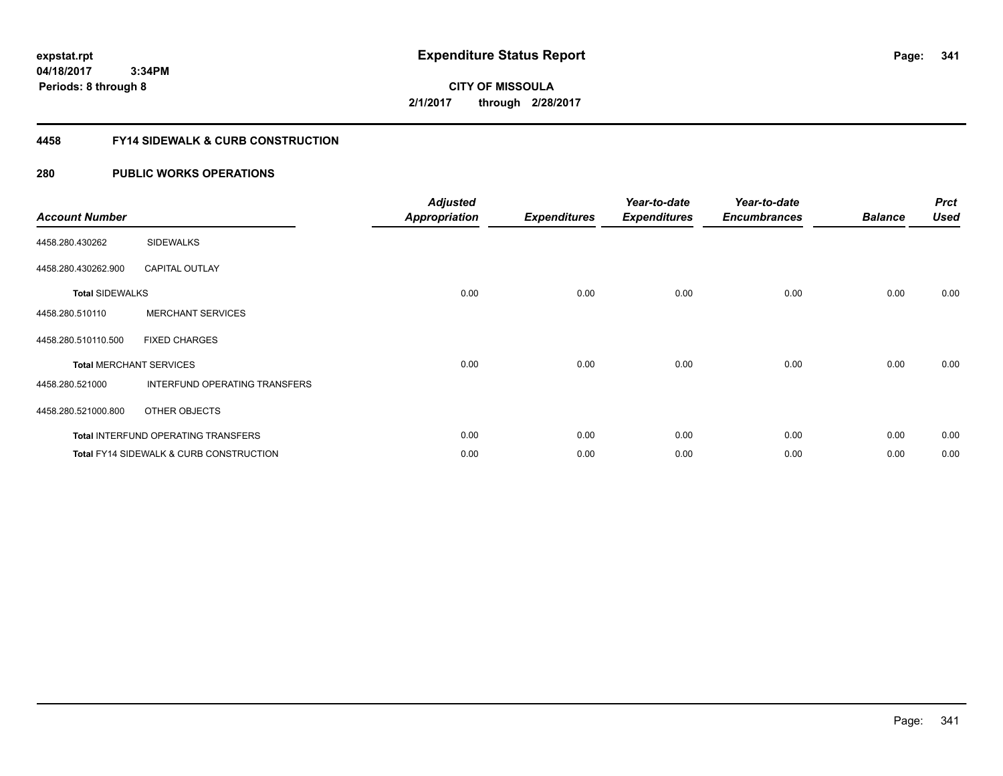# **CITY OF MISSOULA 2/1/2017 through 2/28/2017**

### **4458 FY14 SIDEWALK & CURB CONSTRUCTION**

| <b>Account Number</b>  |                                                    | <b>Adjusted</b><br><b>Appropriation</b> | <b>Expenditures</b> | Year-to-date<br><b>Expenditures</b> | Year-to-date<br><b>Encumbrances</b> | <b>Balance</b> | <b>Prct</b><br><b>Used</b> |
|------------------------|----------------------------------------------------|-----------------------------------------|---------------------|-------------------------------------|-------------------------------------|----------------|----------------------------|
| 4458.280.430262        | <b>SIDEWALKS</b>                                   |                                         |                     |                                     |                                     |                |                            |
| 4458.280.430262.900    | <b>CAPITAL OUTLAY</b>                              |                                         |                     |                                     |                                     |                |                            |
| <b>Total SIDEWALKS</b> |                                                    | 0.00                                    | 0.00                | 0.00                                | 0.00                                | 0.00           | 0.00                       |
| 4458.280.510110        | <b>MERCHANT SERVICES</b>                           |                                         |                     |                                     |                                     |                |                            |
| 4458.280.510110.500    | <b>FIXED CHARGES</b>                               |                                         |                     |                                     |                                     |                |                            |
|                        | <b>Total MERCHANT SERVICES</b>                     | 0.00                                    | 0.00                | 0.00                                | 0.00                                | 0.00           | 0.00                       |
| 4458.280.521000        | INTERFUND OPERATING TRANSFERS                      |                                         |                     |                                     |                                     |                |                            |
| 4458.280.521000.800    | OTHER OBJECTS                                      |                                         |                     |                                     |                                     |                |                            |
|                        | <b>Total INTERFUND OPERATING TRANSFERS</b>         | 0.00                                    | 0.00                | 0.00                                | 0.00                                | 0.00           | 0.00                       |
|                        | <b>Total FY14 SIDEWALK &amp; CURB CONSTRUCTION</b> | 0.00                                    | 0.00                | 0.00                                | 0.00                                | 0.00           | 0.00                       |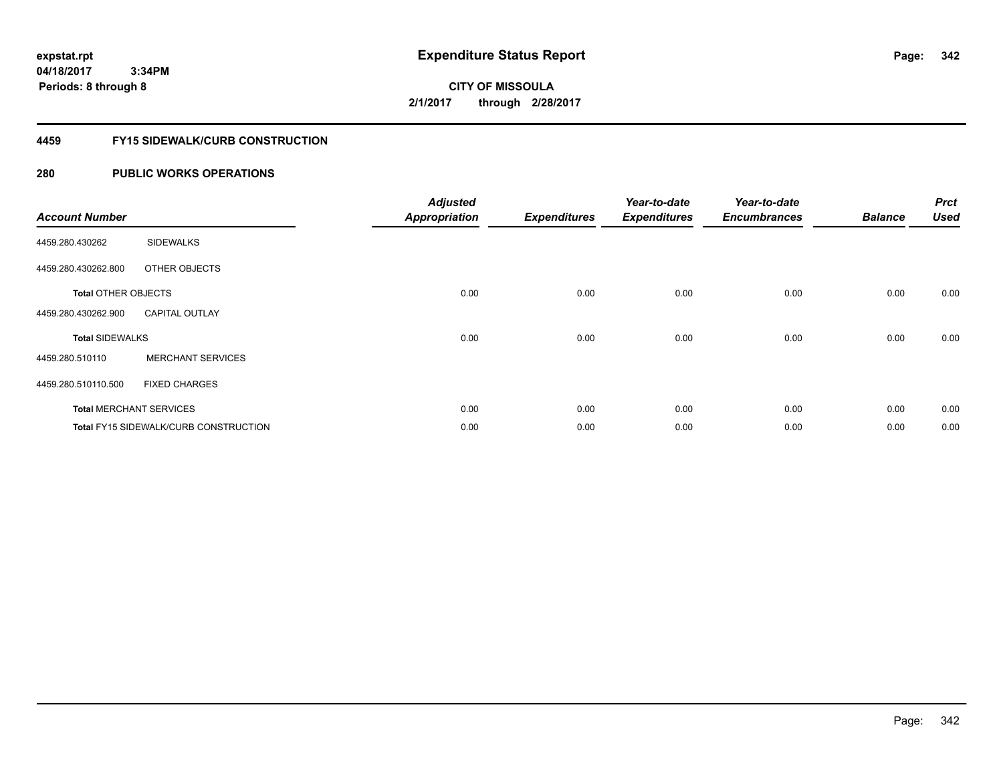**CITY OF MISSOULA 2/1/2017 through 2/28/2017**

### **4459 FY15 SIDEWALK/CURB CONSTRUCTION**

| <b>Account Number</b>      |                                       | <b>Adjusted</b><br><b>Appropriation</b> | <b>Expenditures</b> | Year-to-date<br><b>Expenditures</b> | Year-to-date<br><b>Encumbrances</b> | <b>Balance</b> | <b>Prct</b><br><b>Used</b> |
|----------------------------|---------------------------------------|-----------------------------------------|---------------------|-------------------------------------|-------------------------------------|----------------|----------------------------|
| 4459.280.430262            | <b>SIDEWALKS</b>                      |                                         |                     |                                     |                                     |                |                            |
| 4459.280.430262.800        | OTHER OBJECTS                         |                                         |                     |                                     |                                     |                |                            |
| <b>Total OTHER OBJECTS</b> |                                       | 0.00                                    | 0.00                | 0.00                                | 0.00                                | 0.00           | 0.00                       |
| 4459.280.430262.900        | <b>CAPITAL OUTLAY</b>                 |                                         |                     |                                     |                                     |                |                            |
| <b>Total SIDEWALKS</b>     |                                       | 0.00                                    | 0.00                | 0.00                                | 0.00                                | 0.00           | 0.00                       |
| 4459.280.510110            | <b>MERCHANT SERVICES</b>              |                                         |                     |                                     |                                     |                |                            |
| 4459.280.510110.500        | <b>FIXED CHARGES</b>                  |                                         |                     |                                     |                                     |                |                            |
|                            | <b>Total MERCHANT SERVICES</b>        | 0.00                                    | 0.00                | 0.00                                | 0.00                                | 0.00           | 0.00                       |
|                            | Total FY15 SIDEWALK/CURB CONSTRUCTION | 0.00                                    | 0.00                | 0.00                                | 0.00                                | 0.00           | 0.00                       |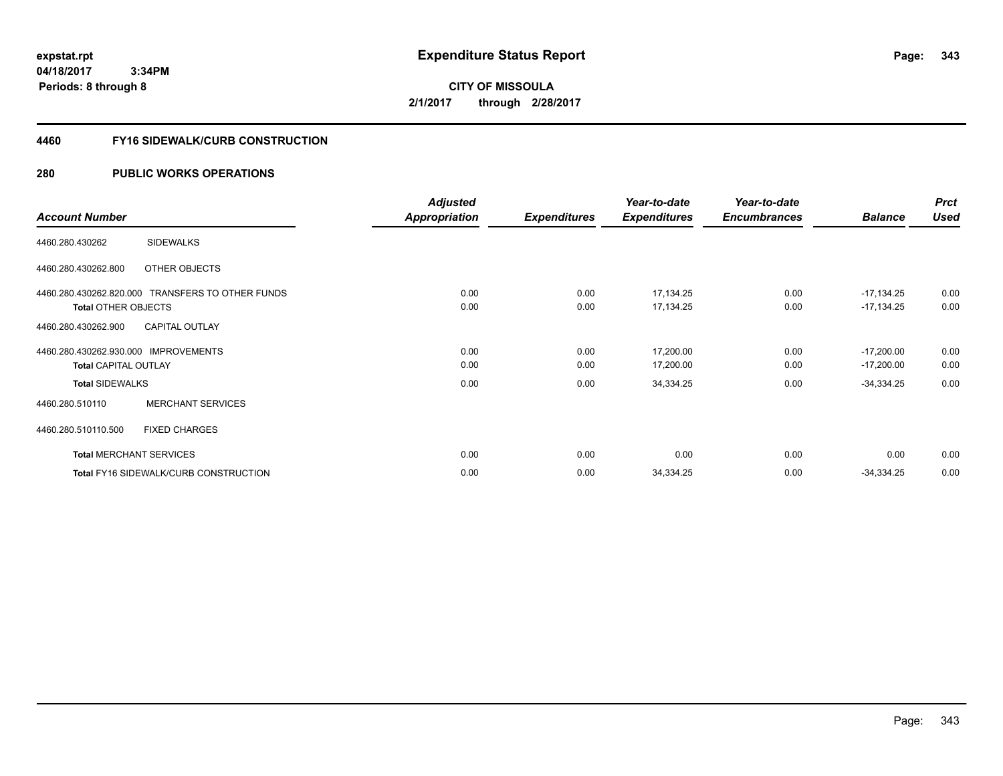**CITY OF MISSOULA 2/1/2017 through 2/28/2017**

### **4460 FY16 SIDEWALK/CURB CONSTRUCTION**

|                                                  | <b>Adjusted</b>      |                     | Year-to-date        | Year-to-date        |                | <b>Prct</b> |
|--------------------------------------------------|----------------------|---------------------|---------------------|---------------------|----------------|-------------|
| <b>Account Number</b>                            | <b>Appropriation</b> | <b>Expenditures</b> | <b>Expenditures</b> | <b>Encumbrances</b> | <b>Balance</b> | <b>Used</b> |
| <b>SIDEWALKS</b><br>4460.280.430262              |                      |                     |                     |                     |                |             |
| 4460.280.430262.800<br>OTHER OBJECTS             |                      |                     |                     |                     |                |             |
| 4460.280.430262.820.000 TRANSFERS TO OTHER FUNDS | 0.00                 | 0.00                | 17,134.25           | 0.00                | $-17,134.25$   | 0.00        |
| <b>Total OTHER OBJECTS</b>                       | 0.00                 | 0.00                | 17,134.25           | 0.00                | $-17,134.25$   | 0.00        |
| <b>CAPITAL OUTLAY</b><br>4460.280.430262.900     |                      |                     |                     |                     |                |             |
| 4460.280.430262.930.000 IMPROVEMENTS             | 0.00                 | 0.00                | 17,200.00           | 0.00                | $-17,200.00$   | 0.00        |
| <b>Total CAPITAL OUTLAY</b>                      | 0.00                 | 0.00                | 17,200.00           | 0.00                | $-17,200.00$   | 0.00        |
| <b>Total SIDEWALKS</b>                           | 0.00                 | 0.00                | 34,334.25           | 0.00                | $-34,334.25$   | 0.00        |
| <b>MERCHANT SERVICES</b><br>4460.280.510110      |                      |                     |                     |                     |                |             |
| <b>FIXED CHARGES</b><br>4460.280.510110.500      |                      |                     |                     |                     |                |             |
| <b>Total MERCHANT SERVICES</b>                   | 0.00                 | 0.00                | 0.00                | 0.00                | 0.00           | 0.00        |
| <b>Total FY16 SIDEWALK/CURB CONSTRUCTION</b>     | 0.00                 | 0.00                | 34,334.25           | 0.00                | $-34,334.25$   | 0.00        |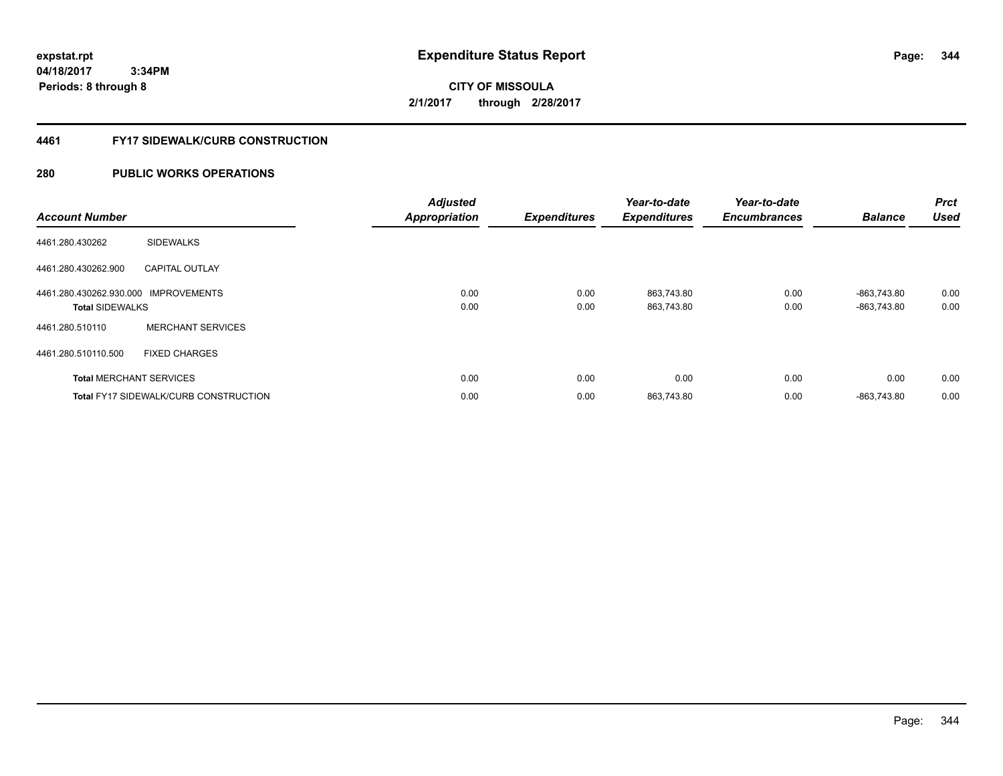**CITY OF MISSOULA 2/1/2017 through 2/28/2017**

### **4461 FY17 SIDEWALK/CURB CONSTRUCTION**

| <b>Account Number</b>                                          |                                              | <b>Adjusted</b><br><b>Appropriation</b> | <b>Expenditures</b> | Year-to-date<br><b>Expenditures</b> | Year-to-date<br><b>Encumbrances</b> | <b>Balance</b>             | Prct<br><b>Used</b> |
|----------------------------------------------------------------|----------------------------------------------|-----------------------------------------|---------------------|-------------------------------------|-------------------------------------|----------------------------|---------------------|
| 4461.280.430262                                                | <b>SIDEWALKS</b>                             |                                         |                     |                                     |                                     |                            |                     |
| 4461.280.430262.900                                            | <b>CAPITAL OUTLAY</b>                        |                                         |                     |                                     |                                     |                            |                     |
| 4461.280.430262.930.000 IMPROVEMENTS<br><b>Total SIDEWALKS</b> |                                              | 0.00<br>0.00                            | 0.00<br>0.00        | 863,743.80<br>863,743.80            | 0.00<br>0.00                        | -863.743.80<br>-863.743.80 | 0.00<br>0.00        |
| 4461.280.510110                                                | <b>MERCHANT SERVICES</b>                     |                                         |                     |                                     |                                     |                            |                     |
| 4461.280.510110.500                                            | <b>FIXED CHARGES</b>                         |                                         |                     |                                     |                                     |                            |                     |
|                                                                | <b>Total MERCHANT SERVICES</b>               | 0.00                                    | 0.00                | 0.00                                | 0.00                                | 0.00                       | 0.00                |
|                                                                | <b>Total FY17 SIDEWALK/CURB CONSTRUCTION</b> | 0.00                                    | 0.00                | 863,743.80                          | 0.00                                | -863.743.80                | 0.00                |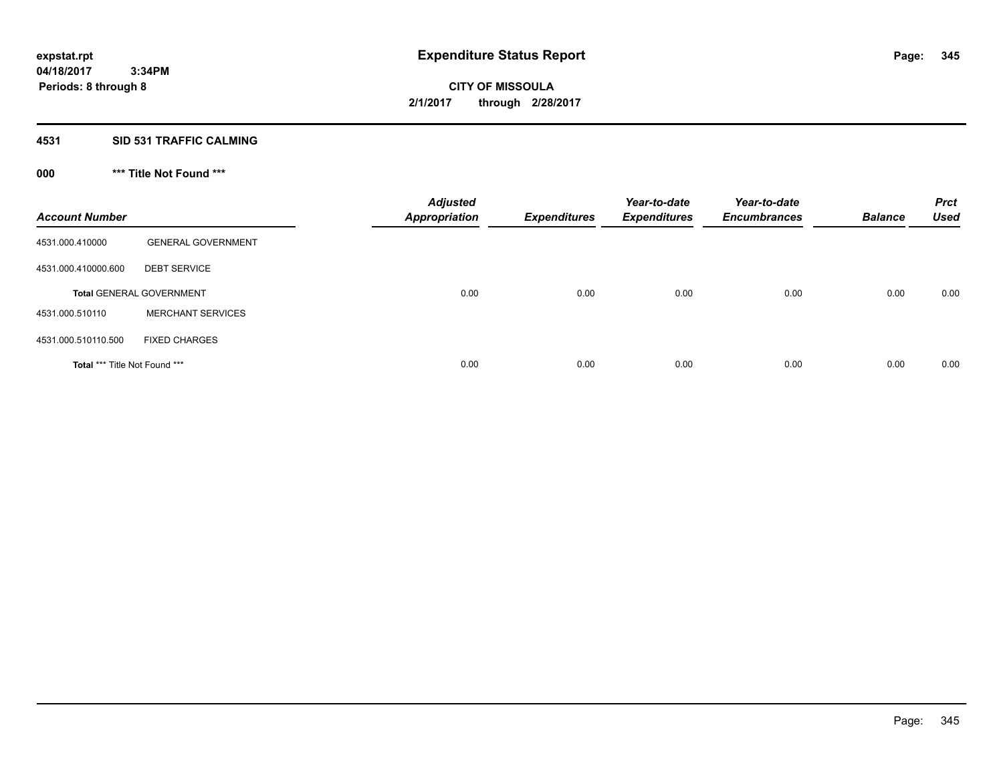## **4531 SID 531 TRAFFIC CALMING**

## **000 \*\*\* Title Not Found \*\*\***

| <b>Account Number</b>         |                                 | <b>Adjusted</b><br><b>Appropriation</b> | <b>Expenditures</b> | Year-to-date<br><b>Expenditures</b> | Year-to-date<br><b>Encumbrances</b> | <b>Balance</b> | <b>Prct</b><br><b>Used</b> |
|-------------------------------|---------------------------------|-----------------------------------------|---------------------|-------------------------------------|-------------------------------------|----------------|----------------------------|
| 4531.000.410000               | <b>GENERAL GOVERNMENT</b>       |                                         |                     |                                     |                                     |                |                            |
| 4531.000.410000.600           | <b>DEBT SERVICE</b>             |                                         |                     |                                     |                                     |                |                            |
|                               | <b>Total GENERAL GOVERNMENT</b> | 0.00                                    | 0.00                | 0.00                                | 0.00                                | 0.00           | 0.00                       |
| 4531.000.510110               | <b>MERCHANT SERVICES</b>        |                                         |                     |                                     |                                     |                |                            |
| 4531.000.510110.500           | <b>FIXED CHARGES</b>            |                                         |                     |                                     |                                     |                |                            |
| Total *** Title Not Found *** |                                 | 0.00                                    | 0.00                | 0.00                                | 0.00                                | 0.00           | 0.00                       |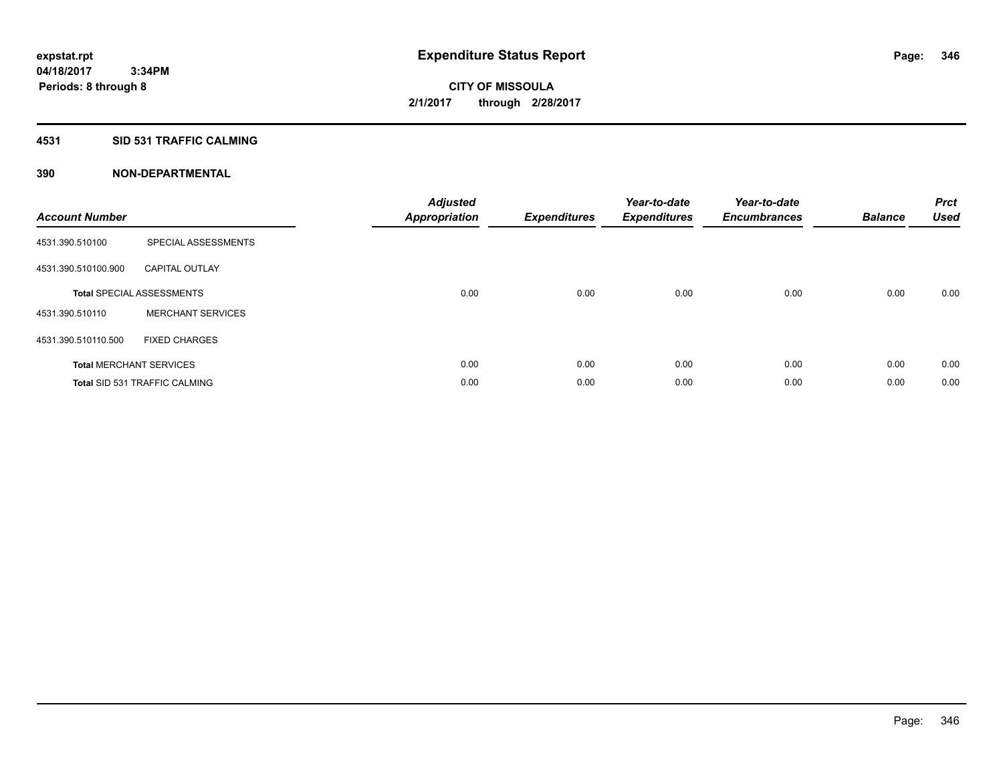### **4531 SID 531 TRAFFIC CALMING**

| <b>Account Number</b> |                                      | <b>Adjusted</b><br>Appropriation | <b>Expenditures</b> | Year-to-date<br><b>Expenditures</b> | Year-to-date<br><b>Encumbrances</b> | <b>Balance</b> | <b>Prct</b><br><b>Used</b> |
|-----------------------|--------------------------------------|----------------------------------|---------------------|-------------------------------------|-------------------------------------|----------------|----------------------------|
| 4531.390.510100       | SPECIAL ASSESSMENTS                  |                                  |                     |                                     |                                     |                |                            |
| 4531.390.510100.900   | <b>CAPITAL OUTLAY</b>                |                                  |                     |                                     |                                     |                |                            |
|                       | <b>Total SPECIAL ASSESSMENTS</b>     | 0.00                             | 0.00                | 0.00                                | 0.00                                | 0.00           | 0.00                       |
| 4531.390.510110       | <b>MERCHANT SERVICES</b>             |                                  |                     |                                     |                                     |                |                            |
| 4531.390.510110.500   | <b>FIXED CHARGES</b>                 |                                  |                     |                                     |                                     |                |                            |
|                       | <b>Total MERCHANT SERVICES</b>       | 0.00                             | 0.00                | 0.00                                | 0.00                                | 0.00           | 0.00                       |
|                       | <b>Total SID 531 TRAFFIC CALMING</b> | 0.00                             | 0.00                | 0.00                                | 0.00                                | 0.00           | 0.00                       |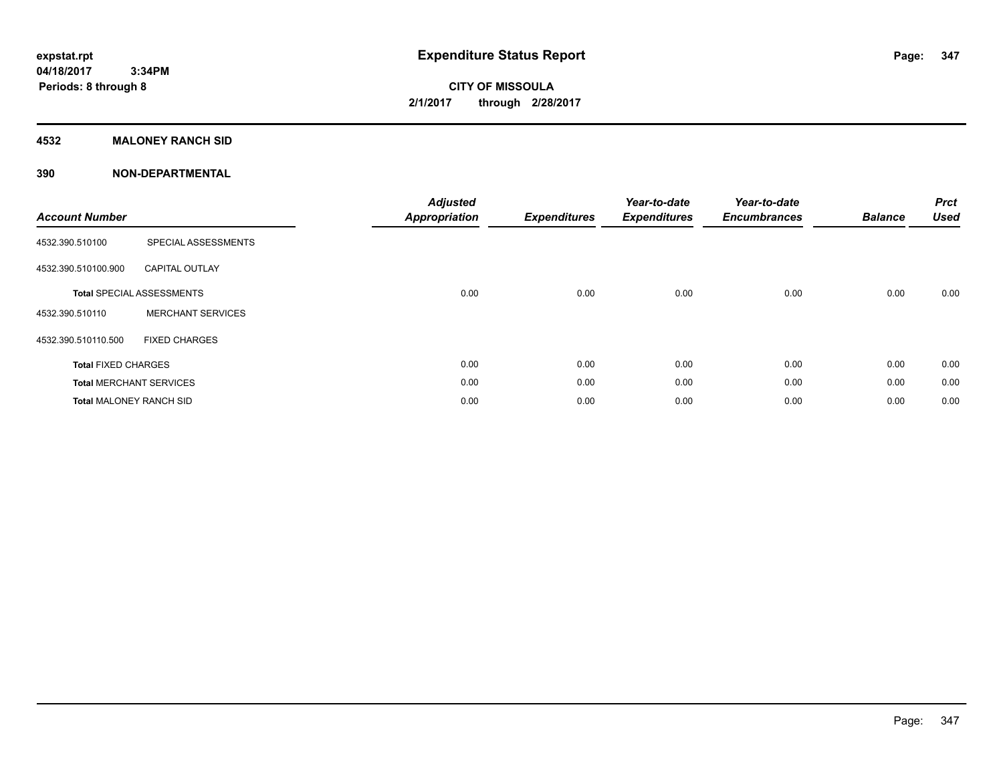### **4532 MALONEY RANCH SID**

| <b>Account Number</b>          |                                  | <b>Adjusted</b><br><b>Appropriation</b> | <b>Expenditures</b> | Year-to-date<br><b>Expenditures</b> | Year-to-date<br><b>Encumbrances</b> | <b>Balance</b> | <b>Prct</b><br><b>Used</b> |
|--------------------------------|----------------------------------|-----------------------------------------|---------------------|-------------------------------------|-------------------------------------|----------------|----------------------------|
| 4532.390.510100                | SPECIAL ASSESSMENTS              |                                         |                     |                                     |                                     |                |                            |
| 4532.390.510100.900            | <b>CAPITAL OUTLAY</b>            |                                         |                     |                                     |                                     |                |                            |
|                                | <b>Total SPECIAL ASSESSMENTS</b> | 0.00                                    | 0.00                | 0.00                                | 0.00                                | 0.00           | 0.00                       |
| 4532.390.510110                | <b>MERCHANT SERVICES</b>         |                                         |                     |                                     |                                     |                |                            |
| 4532.390.510110.500            | <b>FIXED CHARGES</b>             |                                         |                     |                                     |                                     |                |                            |
| <b>Total FIXED CHARGES</b>     |                                  | 0.00                                    | 0.00                | 0.00                                | 0.00                                | 0.00           | 0.00                       |
|                                | <b>Total MERCHANT SERVICES</b>   | 0.00                                    | 0.00                | 0.00                                | 0.00                                | 0.00           | 0.00                       |
| <b>Total MALONEY RANCH SID</b> |                                  | 0.00                                    | 0.00                | 0.00                                | 0.00                                | 0.00           | 0.00                       |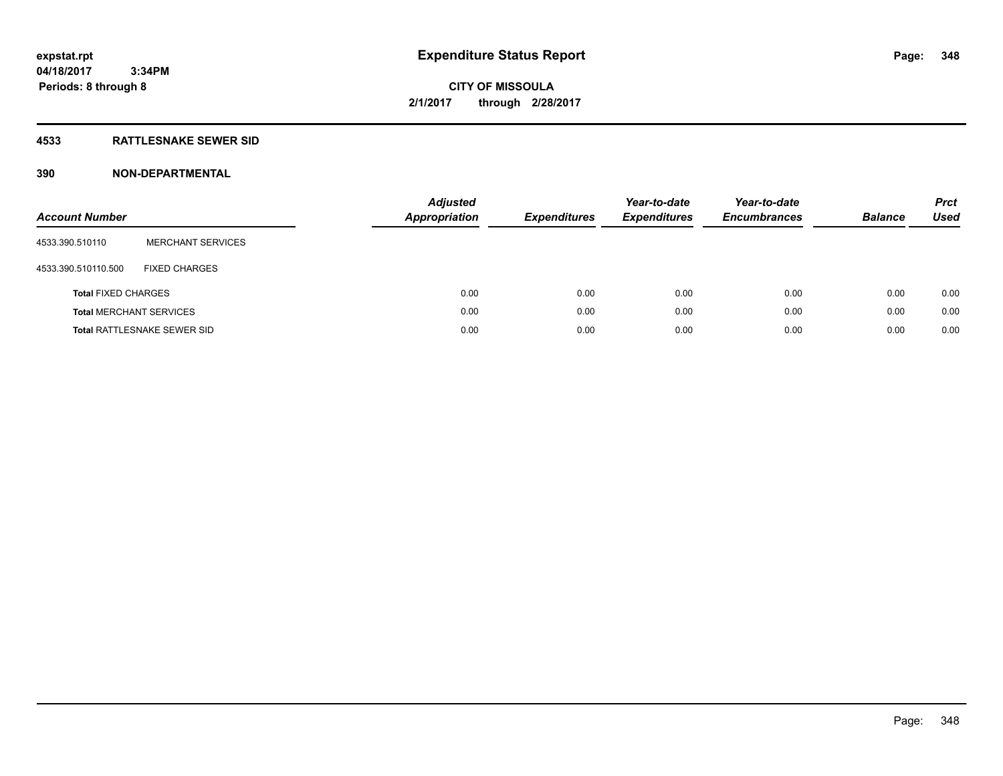### **4533 RATTLESNAKE SEWER SID**

| <b>Account Number</b>          |                                    | <b>Adjusted</b><br>Appropriation | <b>Expenditures</b> | Year-to-date<br><b>Expenditures</b> | Year-to-date<br><b>Encumbrances</b> | <b>Balance</b> | <b>Prct</b><br>Used |
|--------------------------------|------------------------------------|----------------------------------|---------------------|-------------------------------------|-------------------------------------|----------------|---------------------|
| 4533.390.510110                | <b>MERCHANT SERVICES</b>           |                                  |                     |                                     |                                     |                |                     |
| 4533.390.510110.500            | <b>FIXED CHARGES</b>               |                                  |                     |                                     |                                     |                |                     |
| <b>Total FIXED CHARGES</b>     |                                    | 0.00                             | 0.00                | 0.00                                | 0.00                                | 0.00           | 0.00                |
| <b>Total MERCHANT SERVICES</b> |                                    | 0.00                             | 0.00                | 0.00                                | 0.00                                | 0.00           | 0.00                |
|                                | <b>Total RATTLESNAKE SEWER SID</b> | 0.00                             | 0.00                | 0.00                                | 0.00                                | 0.00           | 0.00                |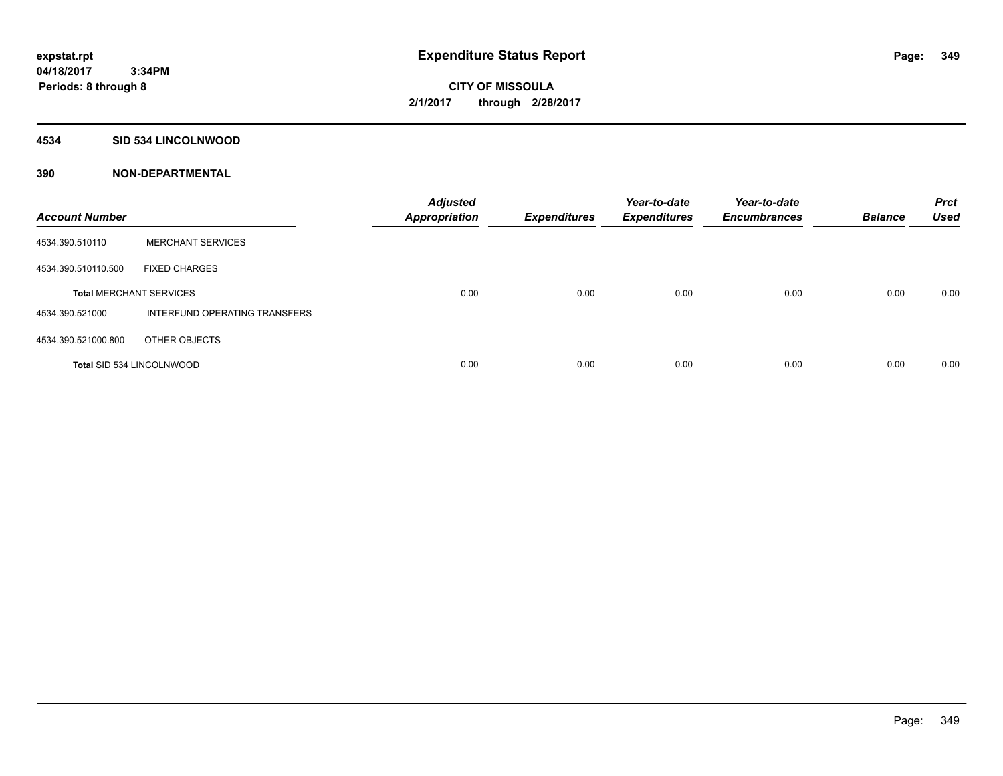### **4534 SID 534 LINCOLNWOOD**

| <b>Account Number</b>          |                                  | <b>Adjusted</b><br><b>Appropriation</b> | <b>Expenditures</b> | Year-to-date<br><b>Expenditures</b> | Year-to-date<br><b>Encumbrances</b> | <b>Balance</b> | <b>Prct</b><br><b>Used</b> |
|--------------------------------|----------------------------------|-----------------------------------------|---------------------|-------------------------------------|-------------------------------------|----------------|----------------------------|
| 4534.390.510110                | <b>MERCHANT SERVICES</b>         |                                         |                     |                                     |                                     |                |                            |
| 4534.390.510110.500            | <b>FIXED CHARGES</b>             |                                         |                     |                                     |                                     |                |                            |
| <b>Total MERCHANT SERVICES</b> |                                  | 0.00                                    | 0.00                | 0.00                                | 0.00                                | 0.00           | 0.00                       |
| 4534.390.521000                | INTERFUND OPERATING TRANSFERS    |                                         |                     |                                     |                                     |                |                            |
| 4534.390.521000.800            | OTHER OBJECTS                    |                                         |                     |                                     |                                     |                |                            |
|                                | <b>Total SID 534 LINCOLNWOOD</b> | 0.00                                    | 0.00                | 0.00                                | 0.00                                | 0.00           | 0.00                       |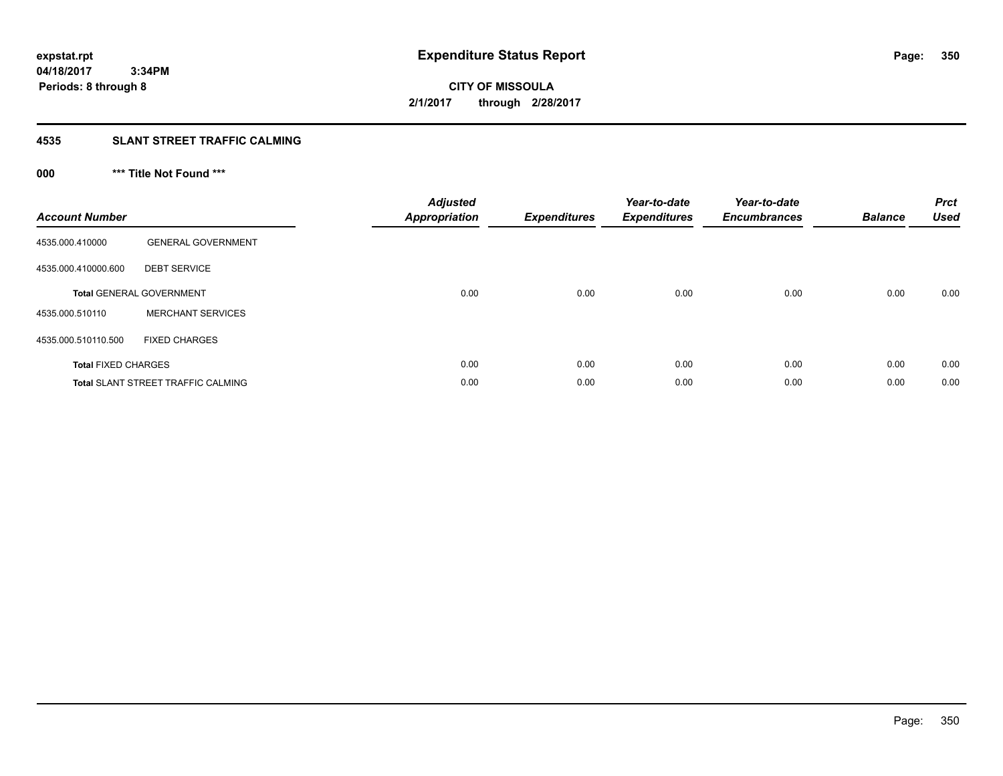**350**

**04/18/2017 3:34PM Periods: 8 through 8**

# **CITY OF MISSOULA 2/1/2017 through 2/28/2017**

### **4535 SLANT STREET TRAFFIC CALMING**

## **000 \*\*\* Title Not Found \*\*\***

| <b>Account Number</b>      |                                           | <b>Adjusted</b><br>Appropriation | <b>Expenditures</b> | Year-to-date<br><b>Expenditures</b> | Year-to-date<br><b>Encumbrances</b> | <b>Balance</b> | <b>Prct</b><br><b>Used</b> |
|----------------------------|-------------------------------------------|----------------------------------|---------------------|-------------------------------------|-------------------------------------|----------------|----------------------------|
| 4535.000.410000            | <b>GENERAL GOVERNMENT</b>                 |                                  |                     |                                     |                                     |                |                            |
| 4535.000.410000.600        | <b>DEBT SERVICE</b>                       |                                  |                     |                                     |                                     |                |                            |
|                            | <b>Total GENERAL GOVERNMENT</b>           | 0.00                             | 0.00                | 0.00                                | 0.00                                | 0.00           | 0.00                       |
| 4535.000.510110            | <b>MERCHANT SERVICES</b>                  |                                  |                     |                                     |                                     |                |                            |
| 4535.000.510110.500        | <b>FIXED CHARGES</b>                      |                                  |                     |                                     |                                     |                |                            |
| <b>Total FIXED CHARGES</b> |                                           | 0.00                             | 0.00                | 0.00                                | 0.00                                | 0.00           | 0.00                       |
|                            | <b>Total SLANT STREET TRAFFIC CALMING</b> | 0.00                             | 0.00                | 0.00                                | 0.00                                | 0.00           | 0.00                       |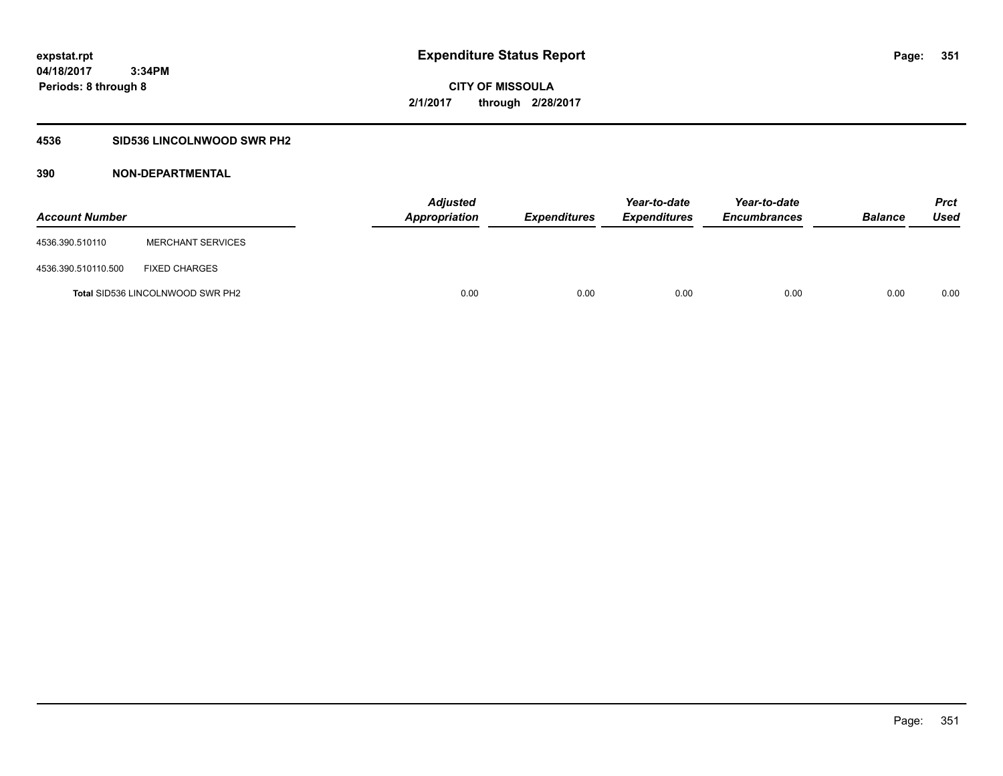### **4536 SID536 LINCOLNWOOD SWR PH2**

| <b>Account Number</b> |                                         | <b>Adjusted</b><br>Appropriation | <b>Expenditures</b> | Year-to-date<br><b>Expenditures</b> | Year-to-date<br><b>Encumbrances</b> | <b>Balance</b> | Prct<br><b>Used</b> |
|-----------------------|-----------------------------------------|----------------------------------|---------------------|-------------------------------------|-------------------------------------|----------------|---------------------|
| 4536.390.510110       | <b>MERCHANT SERVICES</b>                |                                  |                     |                                     |                                     |                |                     |
| 4536.390.510110.500   | <b>FIXED CHARGES</b>                    |                                  |                     |                                     |                                     |                |                     |
|                       | <b>Total SID536 LINCOLNWOOD SWR PH2</b> | 0.00                             | 0.00                | 0.00                                | 0.00                                | 0.00           | 0.00                |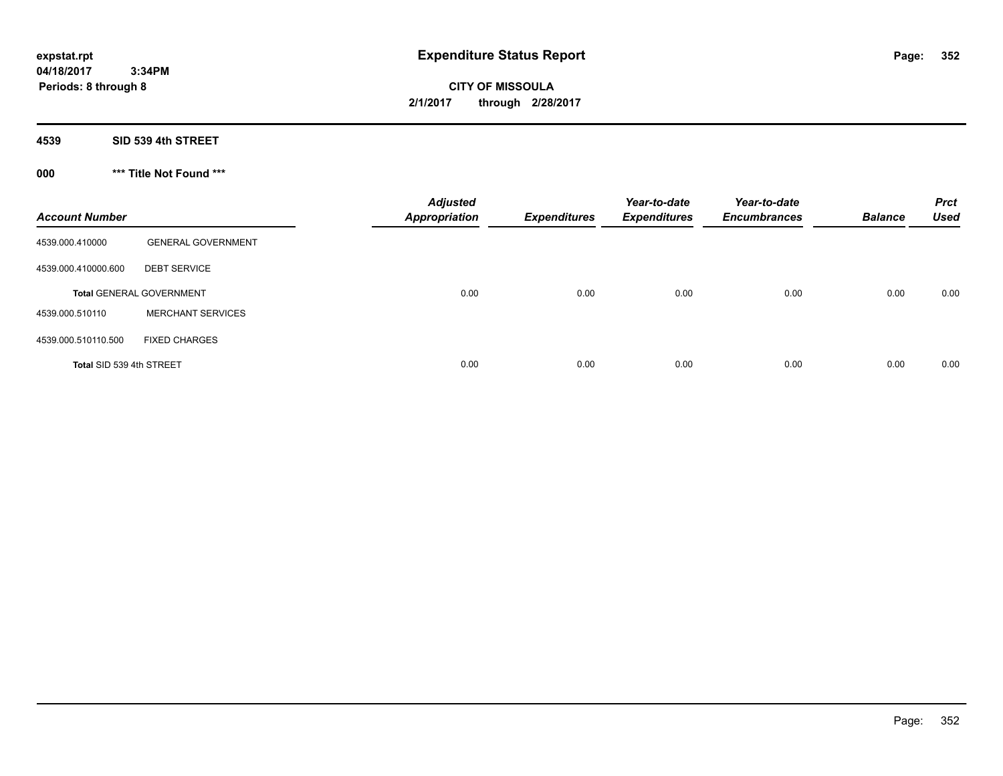**CITY OF MISSOULA 2/1/2017 through 2/28/2017**

**4539 SID 539 4th STREET**

**000 \*\*\* Title Not Found \*\*\***

| <b>Account Number</b>    |                                 | <b>Adjusted</b><br><b>Appropriation</b> | <b>Expenditures</b> | Year-to-date<br><b>Expenditures</b> | Year-to-date<br><b>Encumbrances</b> | <b>Balance</b> | <b>Prct</b><br><b>Used</b> |
|--------------------------|---------------------------------|-----------------------------------------|---------------------|-------------------------------------|-------------------------------------|----------------|----------------------------|
| 4539.000.410000          | <b>GENERAL GOVERNMENT</b>       |                                         |                     |                                     |                                     |                |                            |
| 4539.000.410000.600      | <b>DEBT SERVICE</b>             |                                         |                     |                                     |                                     |                |                            |
|                          | <b>Total GENERAL GOVERNMENT</b> | 0.00                                    | 0.00                | 0.00                                | 0.00                                | 0.00           | 0.00                       |
| 4539.000.510110          | <b>MERCHANT SERVICES</b>        |                                         |                     |                                     |                                     |                |                            |
| 4539.000.510110.500      | <b>FIXED CHARGES</b>            |                                         |                     |                                     |                                     |                |                            |
| Total SID 539 4th STREET |                                 | 0.00                                    | 0.00                | 0.00                                | 0.00                                | 0.00           | 0.00                       |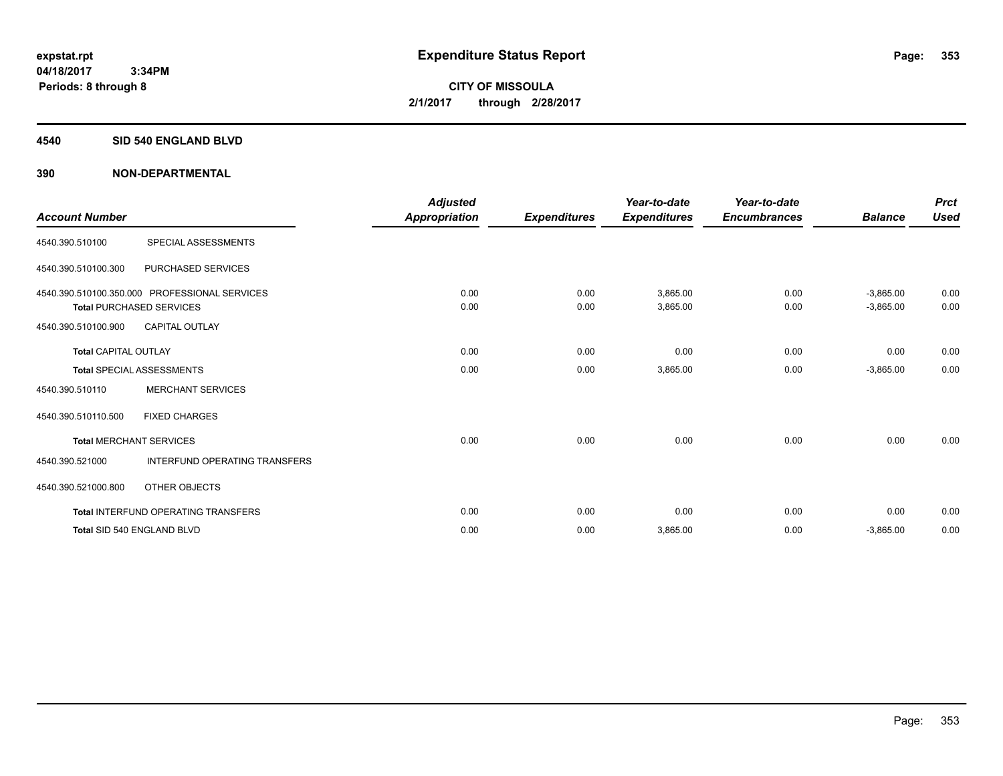### **4540 SID 540 ENGLAND BLVD**

| <b>Account Number</b>       |                                                                                  | <b>Adjusted</b><br>Appropriation | <b>Expenditures</b> | Year-to-date<br><b>Expenditures</b> | Year-to-date<br><b>Encumbrances</b> | <b>Balance</b>             | <b>Prct</b><br><b>Used</b> |
|-----------------------------|----------------------------------------------------------------------------------|----------------------------------|---------------------|-------------------------------------|-------------------------------------|----------------------------|----------------------------|
| 4540.390.510100             | SPECIAL ASSESSMENTS                                                              |                                  |                     |                                     |                                     |                            |                            |
| 4540.390.510100.300         | <b>PURCHASED SERVICES</b>                                                        |                                  |                     |                                     |                                     |                            |                            |
|                             | 4540.390.510100.350.000 PROFESSIONAL SERVICES<br><b>Total PURCHASED SERVICES</b> | 0.00<br>0.00                     | 0.00<br>0.00        | 3,865.00<br>3,865.00                | 0.00<br>0.00                        | $-3,865.00$<br>$-3,865.00$ | 0.00<br>0.00               |
| 4540.390.510100.900         | <b>CAPITAL OUTLAY</b>                                                            |                                  |                     |                                     |                                     |                            |                            |
| <b>Total CAPITAL OUTLAY</b> |                                                                                  | 0.00                             | 0.00                | 0.00                                | 0.00                                | 0.00                       | 0.00                       |
|                             | <b>Total SPECIAL ASSESSMENTS</b>                                                 | 0.00                             | 0.00                | 3,865.00                            | 0.00                                | $-3,865.00$                | 0.00                       |
| 4540.390.510110             | <b>MERCHANT SERVICES</b>                                                         |                                  |                     |                                     |                                     |                            |                            |
| 4540.390.510110.500         | <b>FIXED CHARGES</b>                                                             |                                  |                     |                                     |                                     |                            |                            |
|                             | <b>Total MERCHANT SERVICES</b>                                                   | 0.00                             | 0.00                | 0.00                                | 0.00                                | 0.00                       | 0.00                       |
| 4540.390.521000             | <b>INTERFUND OPERATING TRANSFERS</b>                                             |                                  |                     |                                     |                                     |                            |                            |
| 4540.390.521000.800         | OTHER OBJECTS                                                                    |                                  |                     |                                     |                                     |                            |                            |
|                             | <b>Total INTERFUND OPERATING TRANSFERS</b>                                       | 0.00                             | 0.00                | 0.00                                | 0.00                                | 0.00                       | 0.00                       |
|                             | Total SID 540 ENGLAND BLVD                                                       | 0.00                             | 0.00                | 3,865.00                            | 0.00                                | $-3,865.00$                | 0.00                       |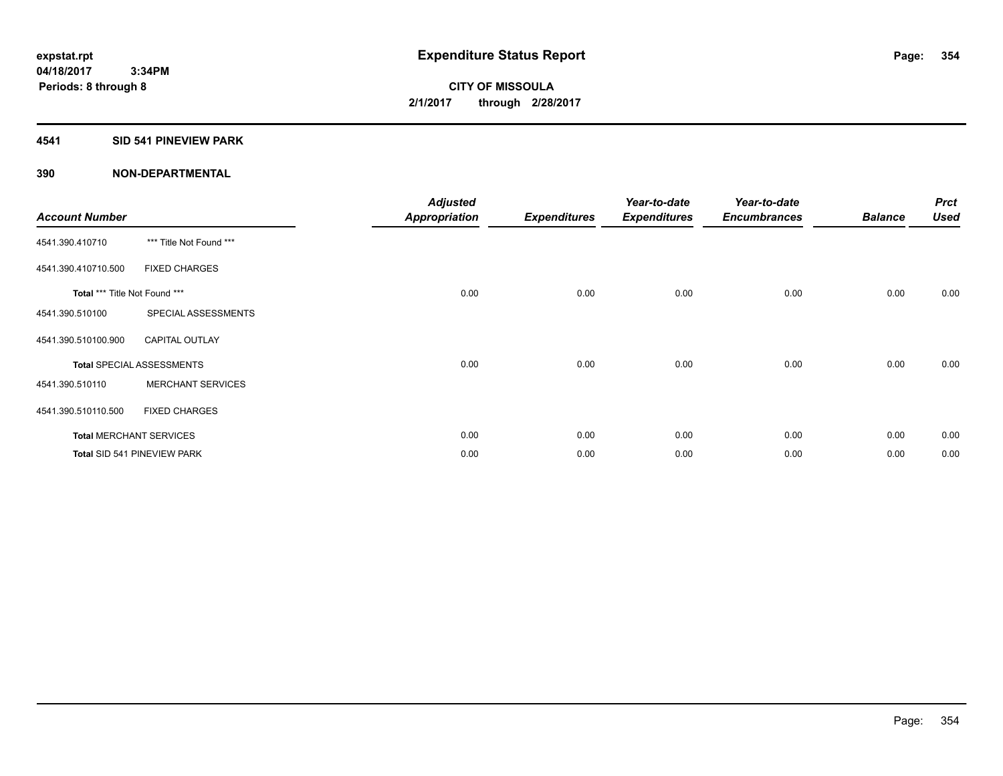### **4541 SID 541 PINEVIEW PARK**

| <b>Account Number</b>         |                                  | <b>Adjusted</b><br><b>Appropriation</b> | <b>Expenditures</b> | Year-to-date<br><b>Expenditures</b> | Year-to-date<br><b>Encumbrances</b> | <b>Balance</b> | <b>Prct</b><br><b>Used</b> |
|-------------------------------|----------------------------------|-----------------------------------------|---------------------|-------------------------------------|-------------------------------------|----------------|----------------------------|
| 4541.390.410710               | *** Title Not Found ***          |                                         |                     |                                     |                                     |                |                            |
| 4541.390.410710.500           | <b>FIXED CHARGES</b>             |                                         |                     |                                     |                                     |                |                            |
| Total *** Title Not Found *** |                                  | 0.00                                    | 0.00                | 0.00                                | 0.00                                | 0.00           | 0.00                       |
| 4541.390.510100               | SPECIAL ASSESSMENTS              |                                         |                     |                                     |                                     |                |                            |
| 4541.390.510100.900           | <b>CAPITAL OUTLAY</b>            |                                         |                     |                                     |                                     |                |                            |
|                               | <b>Total SPECIAL ASSESSMENTS</b> | 0.00                                    | 0.00                | 0.00                                | 0.00                                | 0.00           | 0.00                       |
| 4541.390.510110               | <b>MERCHANT SERVICES</b>         |                                         |                     |                                     |                                     |                |                            |
| 4541.390.510110.500           | <b>FIXED CHARGES</b>             |                                         |                     |                                     |                                     |                |                            |
|                               | <b>Total MERCHANT SERVICES</b>   | 0.00                                    | 0.00                | 0.00                                | 0.00                                | 0.00           | 0.00                       |
|                               | Total SID 541 PINEVIEW PARK      | 0.00                                    | 0.00                | 0.00                                | 0.00                                | 0.00           | 0.00                       |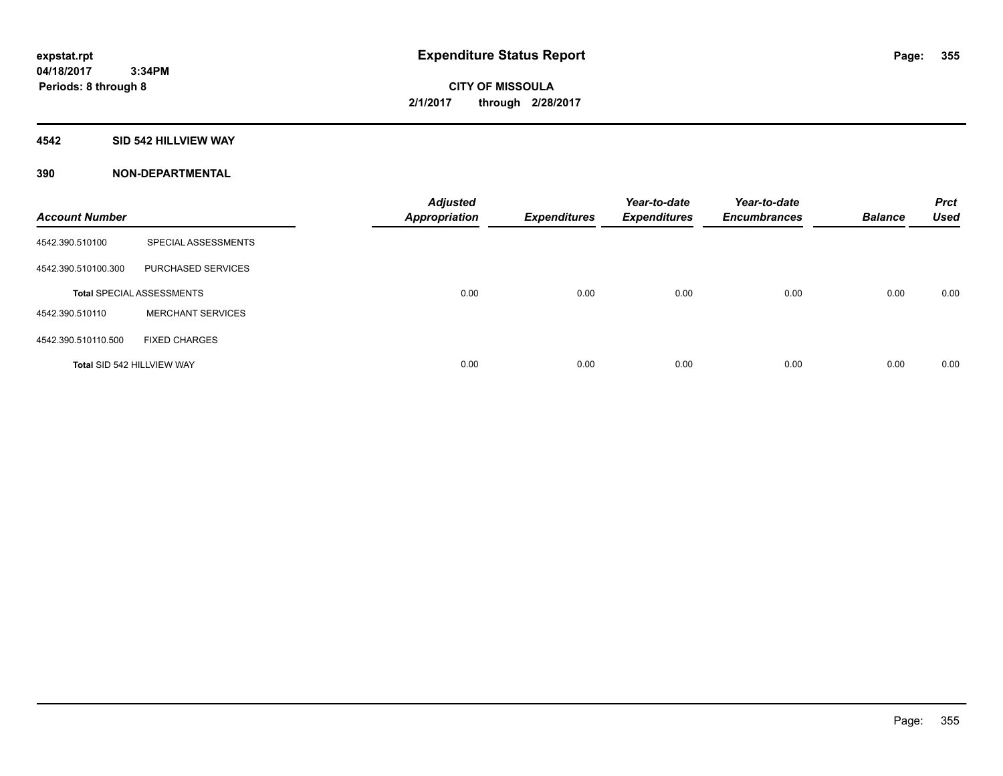### **4542 SID 542 HILLVIEW WAY**

| <b>Account Number</b>      |                                  | <b>Adjusted</b><br><b>Appropriation</b> | <b>Expenditures</b> | Year-to-date<br><b>Expenditures</b> | Year-to-date<br><b>Encumbrances</b> | <b>Balance</b> | <b>Prct</b><br><b>Used</b> |
|----------------------------|----------------------------------|-----------------------------------------|---------------------|-------------------------------------|-------------------------------------|----------------|----------------------------|
| 4542.390.510100            | SPECIAL ASSESSMENTS              |                                         |                     |                                     |                                     |                |                            |
| 4542.390.510100.300        | PURCHASED SERVICES               |                                         |                     |                                     |                                     |                |                            |
|                            | <b>Total SPECIAL ASSESSMENTS</b> | 0.00                                    | 0.00                | 0.00                                | 0.00                                | 0.00           | 0.00                       |
| 4542.390.510110            | <b>MERCHANT SERVICES</b>         |                                         |                     |                                     |                                     |                |                            |
| 4542.390.510110.500        | <b>FIXED CHARGES</b>             |                                         |                     |                                     |                                     |                |                            |
| Total SID 542 HILLVIEW WAY |                                  | 0.00                                    | 0.00                | 0.00                                | 0.00                                | 0.00           | 0.00                       |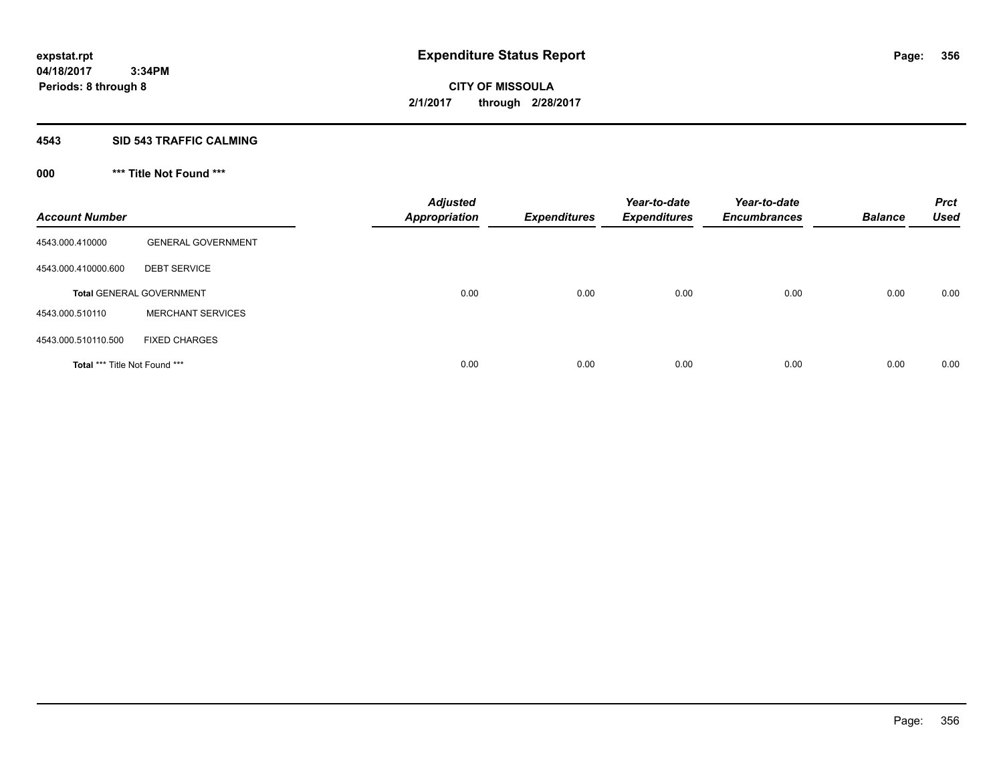### **4543 SID 543 TRAFFIC CALMING**

## **000 \*\*\* Title Not Found \*\*\***

| <b>Account Number</b>         |                                 | <b>Adjusted</b><br><b>Appropriation</b> | <b>Expenditures</b> | Year-to-date<br><b>Expenditures</b> | Year-to-date<br><b>Encumbrances</b> | <b>Balance</b> | <b>Prct</b><br><b>Used</b> |
|-------------------------------|---------------------------------|-----------------------------------------|---------------------|-------------------------------------|-------------------------------------|----------------|----------------------------|
| 4543.000.410000               | <b>GENERAL GOVERNMENT</b>       |                                         |                     |                                     |                                     |                |                            |
| 4543.000.410000.600           | <b>DEBT SERVICE</b>             |                                         |                     |                                     |                                     |                |                            |
|                               | <b>Total GENERAL GOVERNMENT</b> | 0.00                                    | 0.00                | 0.00                                | 0.00                                | 0.00           | 0.00                       |
| 4543.000.510110               | <b>MERCHANT SERVICES</b>        |                                         |                     |                                     |                                     |                |                            |
| 4543.000.510110.500           | <b>FIXED CHARGES</b>            |                                         |                     |                                     |                                     |                |                            |
| Total *** Title Not Found *** |                                 | 0.00                                    | 0.00                | 0.00                                | 0.00                                | 0.00           | 0.00                       |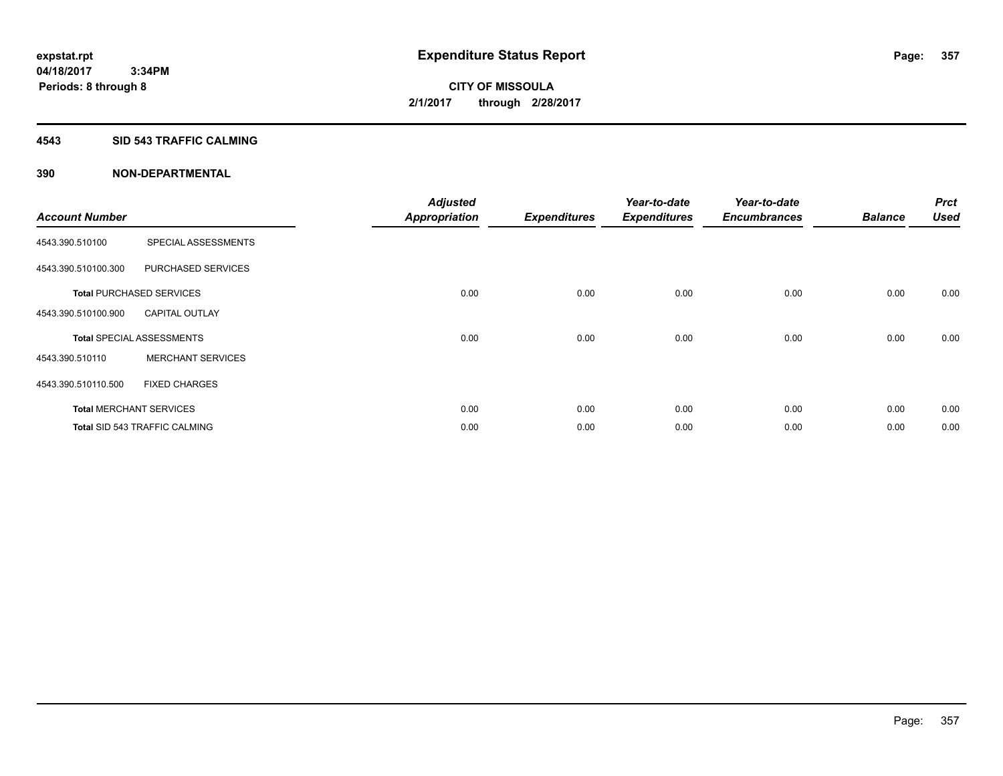### **4543 SID 543 TRAFFIC CALMING**

|                       |                                      | <b>Adjusted</b>      |                     | Year-to-date        | Year-to-date        |                | <b>Prct</b> |
|-----------------------|--------------------------------------|----------------------|---------------------|---------------------|---------------------|----------------|-------------|
| <b>Account Number</b> |                                      | <b>Appropriation</b> | <b>Expenditures</b> | <b>Expenditures</b> | <b>Encumbrances</b> | <b>Balance</b> | <b>Used</b> |
| 4543.390.510100       | SPECIAL ASSESSMENTS                  |                      |                     |                     |                     |                |             |
| 4543.390.510100.300   | PURCHASED SERVICES                   |                      |                     |                     |                     |                |             |
|                       | <b>Total PURCHASED SERVICES</b>      | 0.00                 | 0.00                | 0.00                | 0.00                | 0.00           | 0.00        |
| 4543.390.510100.900   | <b>CAPITAL OUTLAY</b>                |                      |                     |                     |                     |                |             |
|                       | <b>Total SPECIAL ASSESSMENTS</b>     | 0.00                 | 0.00                | 0.00                | 0.00                | 0.00           | 0.00        |
| 4543.390.510110       | <b>MERCHANT SERVICES</b>             |                      |                     |                     |                     |                |             |
| 4543.390.510110.500   | <b>FIXED CHARGES</b>                 |                      |                     |                     |                     |                |             |
|                       | <b>Total MERCHANT SERVICES</b>       | 0.00                 | 0.00                | 0.00                | 0.00                | 0.00           | 0.00        |
|                       | <b>Total SID 543 TRAFFIC CALMING</b> | 0.00                 | 0.00                | 0.00                | 0.00                | 0.00           | 0.00        |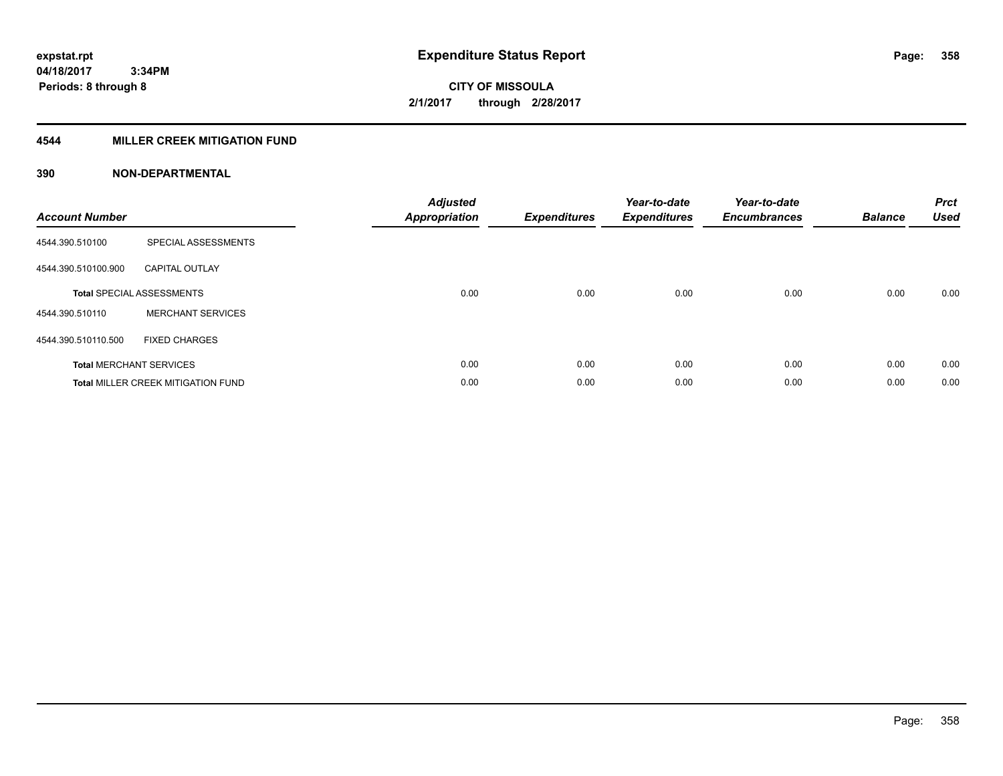### **4544 MILLER CREEK MITIGATION FUND**

| <b>Account Number</b> |                                           | <b>Adjusted</b><br><b>Appropriation</b> | <b>Expenditures</b> | Year-to-date<br><b>Expenditures</b> | Year-to-date<br><b>Encumbrances</b> | <b>Balance</b> | <b>Prct</b><br><b>Used</b> |
|-----------------------|-------------------------------------------|-----------------------------------------|---------------------|-------------------------------------|-------------------------------------|----------------|----------------------------|
| 4544.390.510100       | SPECIAL ASSESSMENTS                       |                                         |                     |                                     |                                     |                |                            |
| 4544.390.510100.900   | <b>CAPITAL OUTLAY</b>                     |                                         |                     |                                     |                                     |                |                            |
|                       | <b>Total SPECIAL ASSESSMENTS</b>          | 0.00                                    | 0.00                | 0.00                                | 0.00                                | 0.00           | 0.00                       |
| 4544.390.510110       | <b>MERCHANT SERVICES</b>                  |                                         |                     |                                     |                                     |                |                            |
| 4544.390.510110.500   | <b>FIXED CHARGES</b>                      |                                         |                     |                                     |                                     |                |                            |
|                       | <b>Total MERCHANT SERVICES</b>            | 0.00                                    | 0.00                | 0.00                                | 0.00                                | 0.00           | 0.00                       |
|                       | <b>Total MILLER CREEK MITIGATION FUND</b> | 0.00                                    | 0.00                | 0.00                                | 0.00                                | 0.00           | 0.00                       |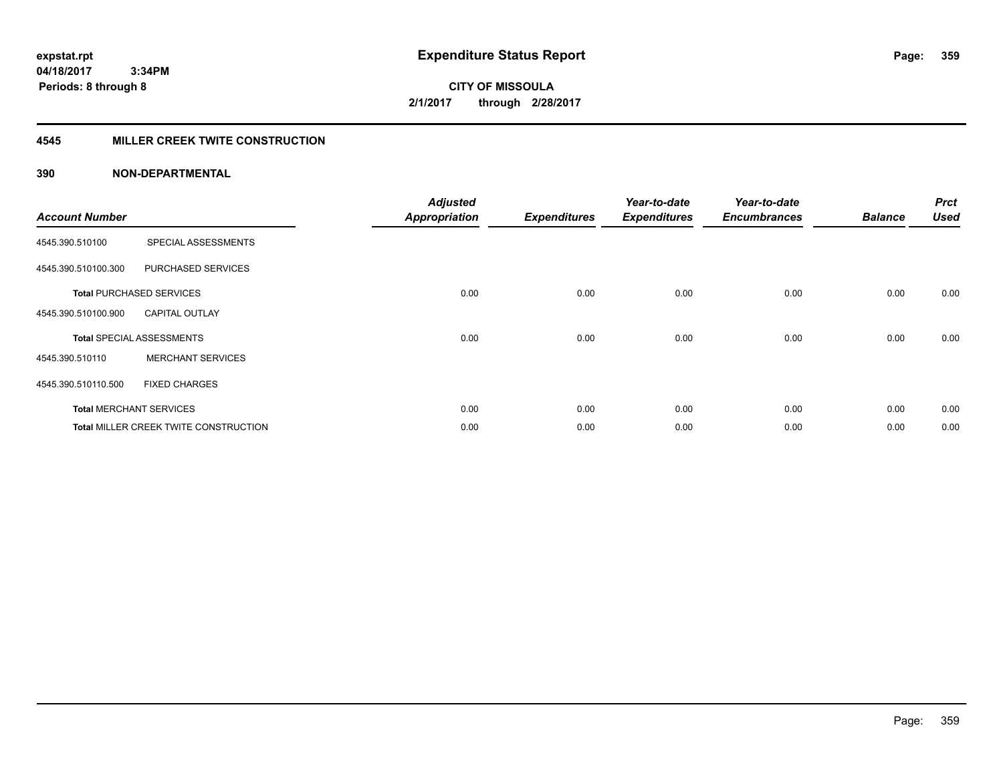**CITY OF MISSOULA 2/1/2017 through 2/28/2017**

### **4545 MILLER CREEK TWITE CONSTRUCTION**

| <b>Account Number</b> |                                       | <b>Adjusted</b><br><b>Appropriation</b> | <b>Expenditures</b> | Year-to-date<br><b>Expenditures</b> | Year-to-date<br><b>Encumbrances</b> | <b>Balance</b> | <b>Prct</b><br><b>Used</b> |
|-----------------------|---------------------------------------|-----------------------------------------|---------------------|-------------------------------------|-------------------------------------|----------------|----------------------------|
| 4545.390.510100       | SPECIAL ASSESSMENTS                   |                                         |                     |                                     |                                     |                |                            |
| 4545.390.510100.300   | PURCHASED SERVICES                    |                                         |                     |                                     |                                     |                |                            |
|                       | <b>Total PURCHASED SERVICES</b>       | 0.00                                    | 0.00                | 0.00                                | 0.00                                | 0.00           | 0.00                       |
| 4545.390.510100.900   | <b>CAPITAL OUTLAY</b>                 |                                         |                     |                                     |                                     |                |                            |
|                       | <b>Total SPECIAL ASSESSMENTS</b>      | 0.00                                    | 0.00                | 0.00                                | 0.00                                | 0.00           | 0.00                       |
| 4545.390.510110       | <b>MERCHANT SERVICES</b>              |                                         |                     |                                     |                                     |                |                            |
| 4545.390.510110.500   | <b>FIXED CHARGES</b>                  |                                         |                     |                                     |                                     |                |                            |
|                       | <b>Total MERCHANT SERVICES</b>        | 0.00                                    | 0.00                | 0.00                                | 0.00                                | 0.00           | 0.00                       |
|                       | Total MILLER CREEK TWITE CONSTRUCTION | 0.00                                    | 0.00                | 0.00                                | 0.00                                | 0.00           | 0.00                       |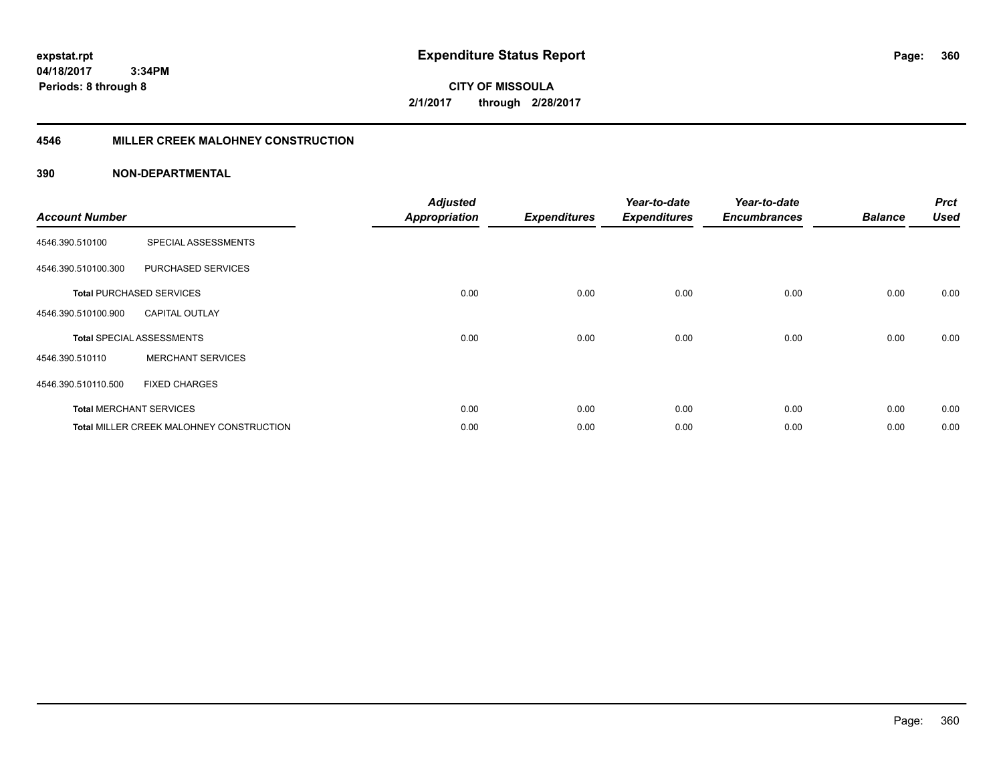**CITY OF MISSOULA 2/1/2017 through 2/28/2017**

### **4546 MILLER CREEK MALOHNEY CONSTRUCTION**

| <b>Account Number</b> |                                                 | <b>Adjusted</b><br><b>Appropriation</b> | <b>Expenditures</b> | Year-to-date<br><b>Expenditures</b> | Year-to-date<br><b>Encumbrances</b> | <b>Balance</b> | <b>Prct</b><br><b>Used</b> |
|-----------------------|-------------------------------------------------|-----------------------------------------|---------------------|-------------------------------------|-------------------------------------|----------------|----------------------------|
| 4546.390.510100       | SPECIAL ASSESSMENTS                             |                                         |                     |                                     |                                     |                |                            |
| 4546.390.510100.300   | PURCHASED SERVICES                              |                                         |                     |                                     |                                     |                |                            |
|                       | <b>Total PURCHASED SERVICES</b>                 | 0.00                                    | 0.00                | 0.00                                | 0.00                                | 0.00           | 0.00                       |
| 4546.390.510100.900   | <b>CAPITAL OUTLAY</b>                           |                                         |                     |                                     |                                     |                |                            |
|                       | <b>Total SPECIAL ASSESSMENTS</b>                | 0.00                                    | 0.00                | 0.00                                | 0.00                                | 0.00           | 0.00                       |
| 4546.390.510110       | <b>MERCHANT SERVICES</b>                        |                                         |                     |                                     |                                     |                |                            |
| 4546.390.510110.500   | <b>FIXED CHARGES</b>                            |                                         |                     |                                     |                                     |                |                            |
|                       | <b>Total MERCHANT SERVICES</b>                  | 0.00                                    | 0.00                | 0.00                                | 0.00                                | 0.00           | 0.00                       |
|                       | <b>Total MILLER CREEK MALOHNEY CONSTRUCTION</b> | 0.00                                    | 0.00                | 0.00                                | 0.00                                | 0.00           | 0.00                       |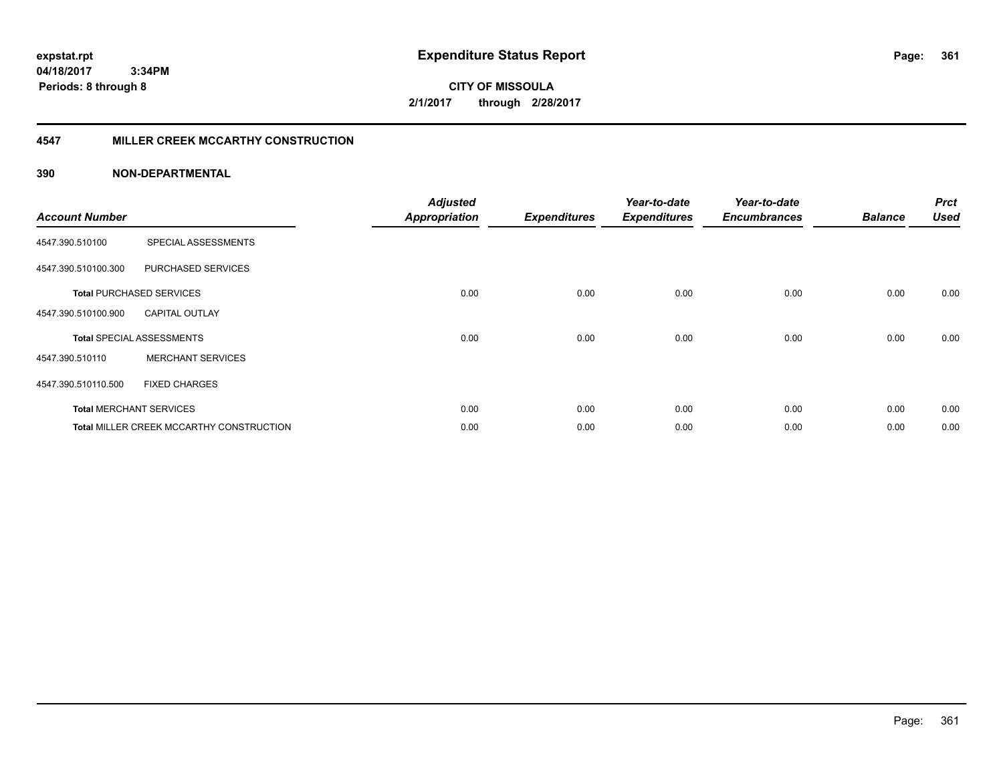**CITY OF MISSOULA 2/1/2017 through 2/28/2017**

### **4547 MILLER CREEK MCCARTHY CONSTRUCTION**

| <b>Account Number</b> |                                          | <b>Adjusted</b><br><b>Appropriation</b> | <b>Expenditures</b> | Year-to-date<br><b>Expenditures</b> | Year-to-date<br><b>Encumbrances</b> | <b>Balance</b> | <b>Prct</b><br><b>Used</b> |
|-----------------------|------------------------------------------|-----------------------------------------|---------------------|-------------------------------------|-------------------------------------|----------------|----------------------------|
| 4547.390.510100       | SPECIAL ASSESSMENTS                      |                                         |                     |                                     |                                     |                |                            |
| 4547.390.510100.300   | PURCHASED SERVICES                       |                                         |                     |                                     |                                     |                |                            |
|                       | <b>Total PURCHASED SERVICES</b>          | 0.00                                    | 0.00                | 0.00                                | 0.00                                | 0.00           | 0.00                       |
| 4547.390.510100.900   | <b>CAPITAL OUTLAY</b>                    |                                         |                     |                                     |                                     |                |                            |
|                       | <b>Total SPECIAL ASSESSMENTS</b>         | 0.00                                    | 0.00                | 0.00                                | 0.00                                | 0.00           | 0.00                       |
| 4547.390.510110       | <b>MERCHANT SERVICES</b>                 |                                         |                     |                                     |                                     |                |                            |
| 4547.390.510110.500   | <b>FIXED CHARGES</b>                     |                                         |                     |                                     |                                     |                |                            |
|                       | <b>Total MERCHANT SERVICES</b>           | 0.00                                    | 0.00                | 0.00                                | 0.00                                | 0.00           | 0.00                       |
|                       | Total MILLER CREEK MCCARTHY CONSTRUCTION | 0.00                                    | 0.00                | 0.00                                | 0.00                                | 0.00           | 0.00                       |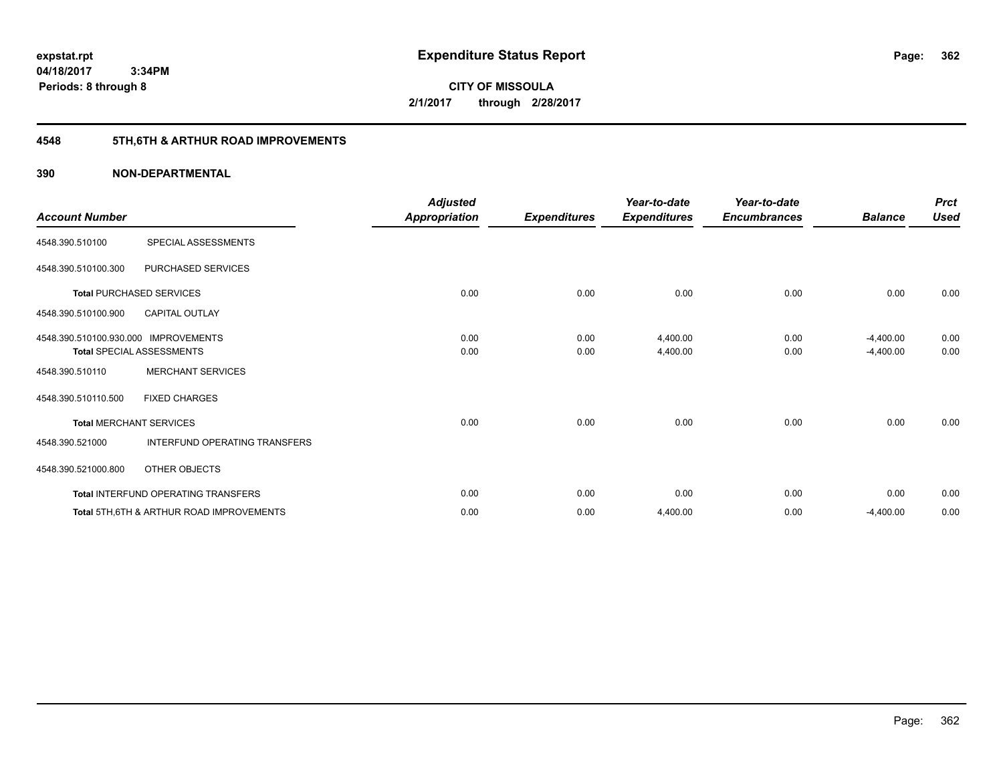**CITY OF MISSOULA 2/1/2017 through 2/28/2017**

# **4548 5TH,6TH & ARTHUR ROAD IMPROVEMENTS**

| <b>Account Number</b>                |                                                     | <b>Adjusted</b><br><b>Appropriation</b> | <b>Expenditures</b> | Year-to-date<br><b>Expenditures</b> | Year-to-date<br><b>Encumbrances</b> | <b>Balance</b> | <b>Prct</b><br><b>Used</b> |
|--------------------------------------|-----------------------------------------------------|-----------------------------------------|---------------------|-------------------------------------|-------------------------------------|----------------|----------------------------|
| 4548.390.510100                      | SPECIAL ASSESSMENTS                                 |                                         |                     |                                     |                                     |                |                            |
| 4548.390.510100.300                  | PURCHASED SERVICES                                  |                                         |                     |                                     |                                     |                |                            |
|                                      | <b>Total PURCHASED SERVICES</b>                     | 0.00                                    | 0.00                | 0.00                                | 0.00                                | 0.00           | 0.00                       |
| 4548.390.510100.900                  | <b>CAPITAL OUTLAY</b>                               |                                         |                     |                                     |                                     |                |                            |
| 4548.390.510100.930.000 IMPROVEMENTS |                                                     | 0.00                                    | 0.00                | 4,400.00                            | 0.00                                | $-4,400.00$    | 0.00                       |
|                                      | <b>Total SPECIAL ASSESSMENTS</b>                    | 0.00                                    | 0.00                | 4,400.00                            | 0.00                                | $-4,400.00$    | 0.00                       |
| 4548.390.510110                      | <b>MERCHANT SERVICES</b>                            |                                         |                     |                                     |                                     |                |                            |
| 4548.390.510110.500                  | <b>FIXED CHARGES</b>                                |                                         |                     |                                     |                                     |                |                            |
| <b>Total MERCHANT SERVICES</b>       |                                                     | 0.00                                    | 0.00                | 0.00                                | 0.00                                | 0.00           | 0.00                       |
| 4548.390.521000                      | INTERFUND OPERATING TRANSFERS                       |                                         |                     |                                     |                                     |                |                            |
| 4548.390.521000.800                  | OTHER OBJECTS                                       |                                         |                     |                                     |                                     |                |                            |
|                                      | Total INTERFUND OPERATING TRANSFERS                 | 0.00                                    | 0.00                | 0.00                                | 0.00                                | 0.00           | 0.00                       |
|                                      | <b>Total 5TH.6TH &amp; ARTHUR ROAD IMPROVEMENTS</b> | 0.00                                    | 0.00                | 4,400.00                            | 0.00                                | $-4,400.00$    | 0.00                       |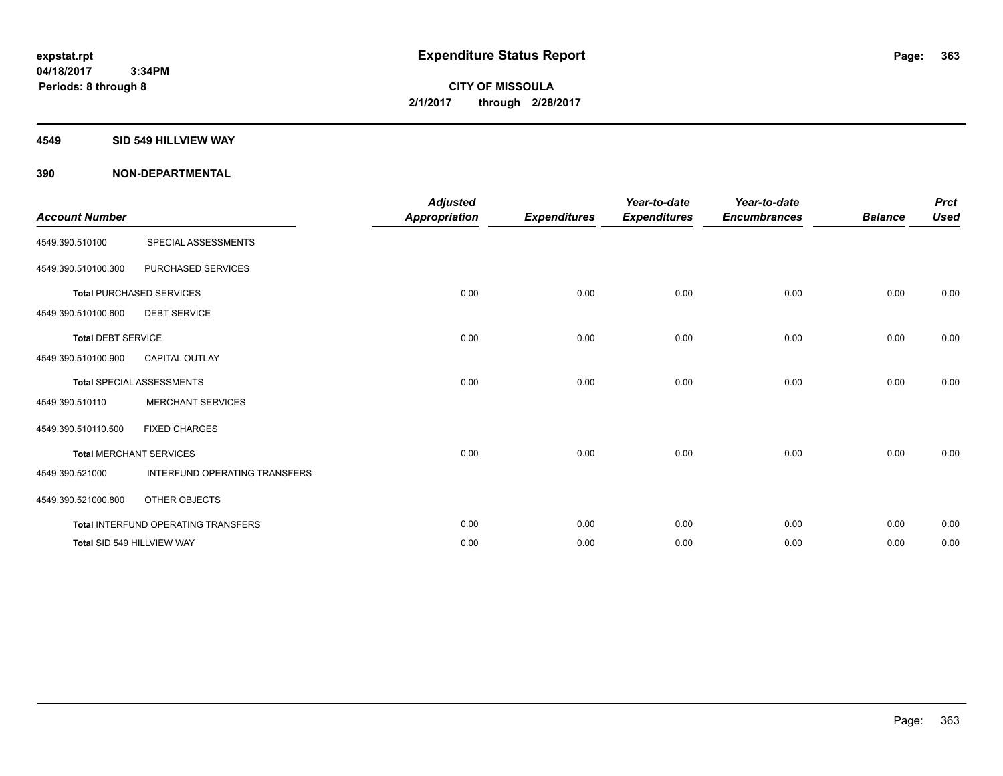#### **4549 SID 549 HILLVIEW WAY**

| <b>Account Number</b>     |                                            | <b>Adjusted</b>      |                     | Year-to-date        | Year-to-date        |                | <b>Prct</b> |
|---------------------------|--------------------------------------------|----------------------|---------------------|---------------------|---------------------|----------------|-------------|
|                           |                                            | <b>Appropriation</b> | <b>Expenditures</b> | <b>Expenditures</b> | <b>Encumbrances</b> | <b>Balance</b> | <b>Used</b> |
| 4549.390.510100           | SPECIAL ASSESSMENTS                        |                      |                     |                     |                     |                |             |
| 4549.390.510100.300       | PURCHASED SERVICES                         |                      |                     |                     |                     |                |             |
|                           | <b>Total PURCHASED SERVICES</b>            | 0.00                 | 0.00                | 0.00                | 0.00                | 0.00           | 0.00        |
| 4549.390.510100.600       | <b>DEBT SERVICE</b>                        |                      |                     |                     |                     |                |             |
| <b>Total DEBT SERVICE</b> |                                            | 0.00                 | 0.00                | 0.00                | 0.00                | 0.00           | 0.00        |
| 4549.390.510100.900       | <b>CAPITAL OUTLAY</b>                      |                      |                     |                     |                     |                |             |
|                           | <b>Total SPECIAL ASSESSMENTS</b>           | 0.00                 | 0.00                | 0.00                | 0.00                | 0.00           | 0.00        |
| 4549.390.510110           | <b>MERCHANT SERVICES</b>                   |                      |                     |                     |                     |                |             |
| 4549.390.510110.500       | <b>FIXED CHARGES</b>                       |                      |                     |                     |                     |                |             |
|                           | <b>Total MERCHANT SERVICES</b>             | 0.00                 | 0.00                | 0.00                | 0.00                | 0.00           | 0.00        |
| 4549.390.521000           | INTERFUND OPERATING TRANSFERS              |                      |                     |                     |                     |                |             |
| 4549.390.521000.800       | OTHER OBJECTS                              |                      |                     |                     |                     |                |             |
|                           | <b>Total INTERFUND OPERATING TRANSFERS</b> | 0.00                 | 0.00                | 0.00                | 0.00                | 0.00           | 0.00        |
|                           | Total SID 549 HILLVIEW WAY                 | 0.00                 | 0.00                | 0.00                | 0.00                | 0.00           | 0.00        |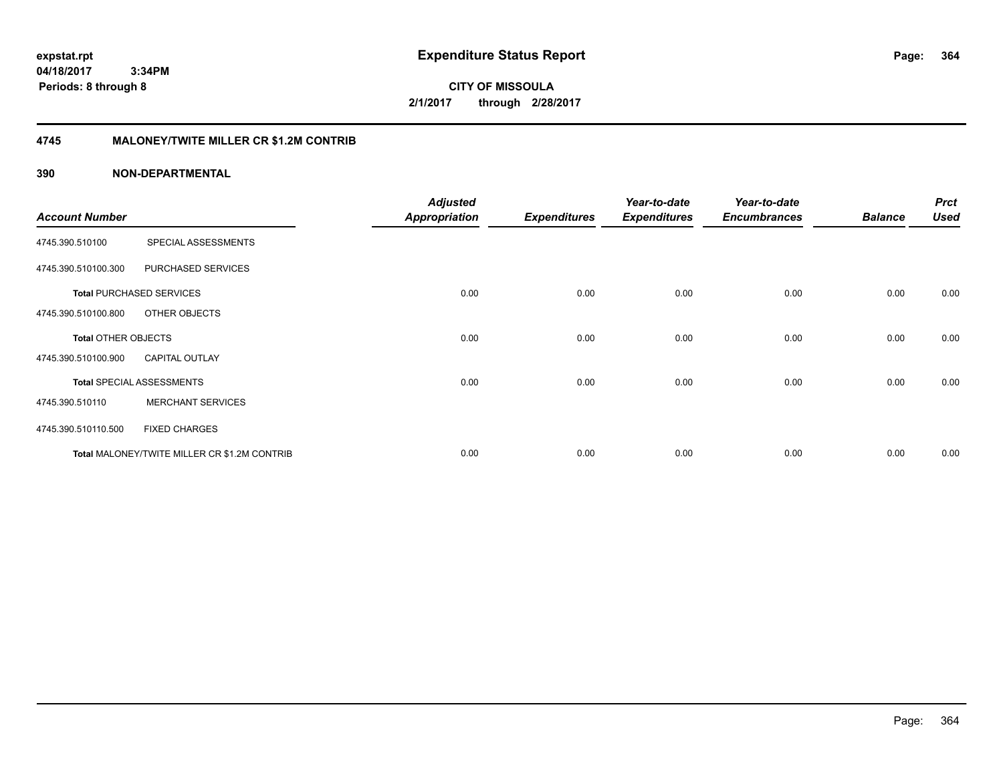**CITY OF MISSOULA 2/1/2017 through 2/28/2017**

### **4745 MALONEY/TWITE MILLER CR \$1.2M CONTRIB**

|                       |                                              | <b>Adjusted</b>      |                     | Year-to-date        | Year-to-date        |                | <b>Prct</b> |
|-----------------------|----------------------------------------------|----------------------|---------------------|---------------------|---------------------|----------------|-------------|
| <b>Account Number</b> |                                              | <b>Appropriation</b> | <b>Expenditures</b> | <b>Expenditures</b> | <b>Encumbrances</b> | <b>Balance</b> | <b>Used</b> |
| 4745.390.510100       | SPECIAL ASSESSMENTS                          |                      |                     |                     |                     |                |             |
| 4745.390.510100.300   | PURCHASED SERVICES                           |                      |                     |                     |                     |                |             |
|                       | <b>Total PURCHASED SERVICES</b>              | 0.00                 | 0.00                | 0.00                | 0.00                | 0.00           | 0.00        |
| 4745.390.510100.800   | OTHER OBJECTS                                |                      |                     |                     |                     |                |             |
| Total OTHER OBJECTS   |                                              | 0.00                 | 0.00                | 0.00                | 0.00                | 0.00           | 0.00        |
| 4745.390.510100.900   | <b>CAPITAL OUTLAY</b>                        |                      |                     |                     |                     |                |             |
|                       | <b>Total SPECIAL ASSESSMENTS</b>             | 0.00                 | 0.00                | 0.00                | 0.00                | 0.00           | 0.00        |
| 4745.390.510110       | <b>MERCHANT SERVICES</b>                     |                      |                     |                     |                     |                |             |
| 4745.390.510110.500   | <b>FIXED CHARGES</b>                         |                      |                     |                     |                     |                |             |
|                       | Total MALONEY/TWITE MILLER CR \$1.2M CONTRIB | 0.00                 | 0.00                | 0.00                | 0.00                | 0.00           | 0.00        |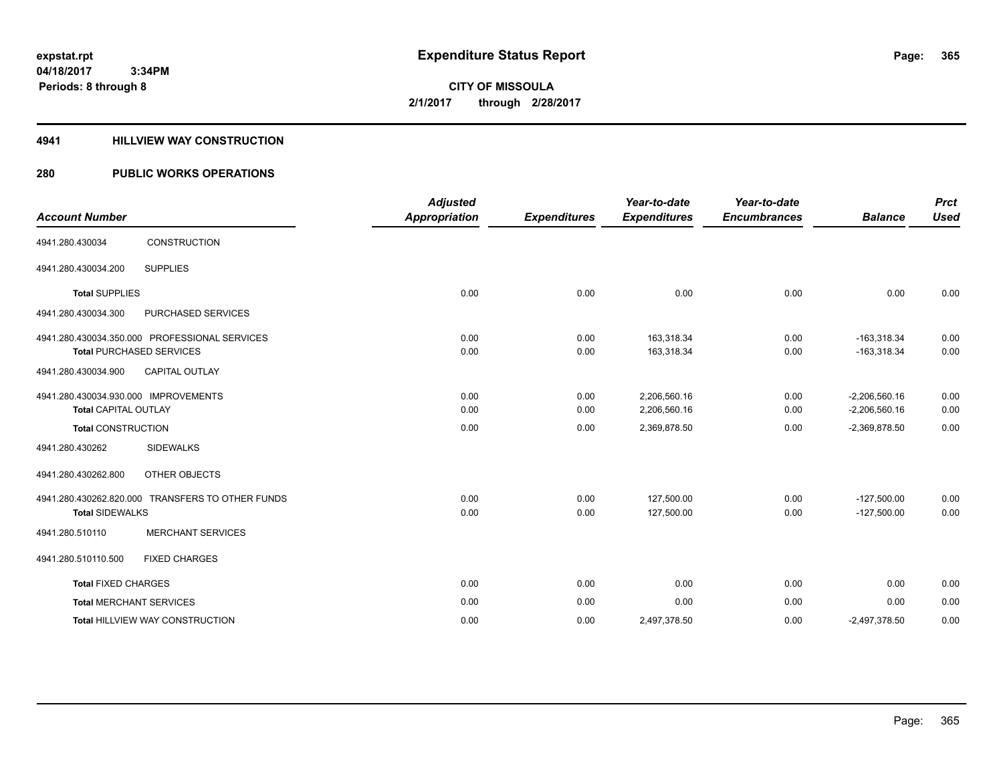**Periods: 8 through 8**

**CITY OF MISSOULA 2/1/2017 through 2/28/2017**

### **4941 HILLVIEW WAY CONSTRUCTION**

## **280 PUBLIC WORKS OPERATIONS**

| <b>Account Number</b>                |                                                  | <b>Adjusted</b>      |                     | Year-to-date<br><b>Expenditures</b> | Year-to-date<br><b>Encumbrances</b> | <b>Balance</b>  | <b>Prct</b><br><b>Used</b> |
|--------------------------------------|--------------------------------------------------|----------------------|---------------------|-------------------------------------|-------------------------------------|-----------------|----------------------------|
|                                      |                                                  | <b>Appropriation</b> | <b>Expenditures</b> |                                     |                                     |                 |                            |
| 4941.280.430034                      | CONSTRUCTION                                     |                      |                     |                                     |                                     |                 |                            |
| 4941.280.430034.200                  | <b>SUPPLIES</b>                                  |                      |                     |                                     |                                     |                 |                            |
| <b>Total SUPPLIES</b>                |                                                  | 0.00                 | 0.00                | 0.00                                | 0.00                                | 0.00            | 0.00                       |
| 4941.280.430034.300                  | PURCHASED SERVICES                               |                      |                     |                                     |                                     |                 |                            |
|                                      | 4941.280.430034.350.000 PROFESSIONAL SERVICES    | 0.00                 | 0.00                | 163.318.34                          | 0.00                                | $-163.318.34$   | 0.00                       |
|                                      | <b>Total PURCHASED SERVICES</b>                  | 0.00                 | 0.00                | 163,318.34                          | 0.00                                | $-163,318.34$   | 0.00                       |
| 4941.280.430034.900                  | <b>CAPITAL OUTLAY</b>                            |                      |                     |                                     |                                     |                 |                            |
| 4941.280.430034.930.000 IMPROVEMENTS |                                                  | 0.00                 | 0.00                | 2,206,560.16                        | 0.00                                | $-2,206,560.16$ | 0.00                       |
| <b>Total CAPITAL OUTLAY</b>          |                                                  | 0.00                 | 0.00                | 2,206,560.16                        | 0.00                                | $-2,206,560.16$ | 0.00                       |
| <b>Total CONSTRUCTION</b>            |                                                  | 0.00                 | 0.00                | 2,369,878.50                        | 0.00                                | $-2,369,878.50$ | 0.00                       |
| 4941.280.430262                      | <b>SIDEWALKS</b>                                 |                      |                     |                                     |                                     |                 |                            |
| 4941.280.430262.800                  | OTHER OBJECTS                                    |                      |                     |                                     |                                     |                 |                            |
|                                      | 4941.280.430262.820.000 TRANSFERS TO OTHER FUNDS | 0.00                 | 0.00                | 127,500.00                          | 0.00                                | $-127,500.00$   | 0.00                       |
| <b>Total SIDEWALKS</b>               |                                                  | 0.00                 | 0.00                | 127,500.00                          | 0.00                                | $-127,500.00$   | 0.00                       |
| 4941.280.510110                      | <b>MERCHANT SERVICES</b>                         |                      |                     |                                     |                                     |                 |                            |
| 4941.280.510110.500                  | <b>FIXED CHARGES</b>                             |                      |                     |                                     |                                     |                 |                            |
| <b>Total FIXED CHARGES</b>           |                                                  | 0.00                 | 0.00                | 0.00                                | 0.00                                | 0.00            | 0.00                       |
| <b>Total MERCHANT SERVICES</b>       |                                                  | 0.00                 | 0.00                | 0.00                                | 0.00                                | 0.00            | 0.00                       |
|                                      | Total HILLVIEW WAY CONSTRUCTION                  | 0.00                 | 0.00                | 2,497,378.50                        | 0.00                                | $-2,497,378.50$ | 0.00                       |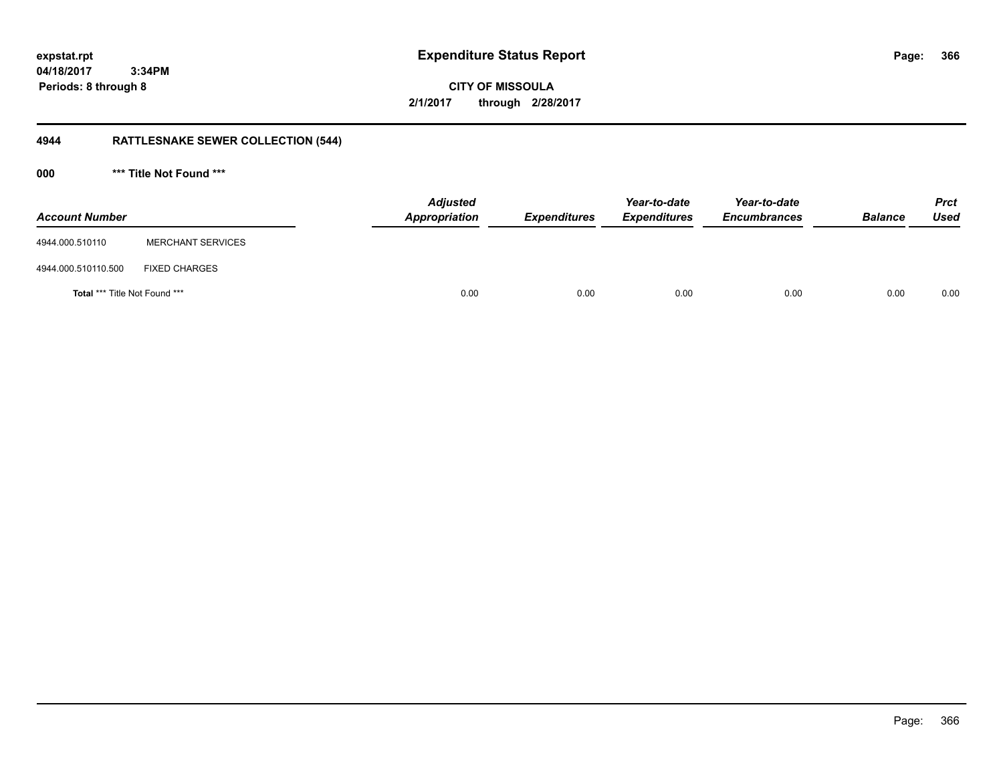**366**

**04/18/2017 3:34PM Periods: 8 through 8**

# **CITY OF MISSOULA 2/1/2017 through 2/28/2017**

# **4944 RATTLESNAKE SEWER COLLECTION (544)**

**000 \*\*\* Title Not Found \*\*\***

| <b>Account Number</b>         |                          | <b>Adjusted</b><br>Appropriation | <b>Expenditures</b> | Year-to-date<br><b>Expenditures</b> | Year-to-date<br><b>Encumbrances</b> | <b>Balance</b> | <b>Prct</b><br><b>Used</b> |
|-------------------------------|--------------------------|----------------------------------|---------------------|-------------------------------------|-------------------------------------|----------------|----------------------------|
| 4944.000.510110               | <b>MERCHANT SERVICES</b> |                                  |                     |                                     |                                     |                |                            |
| 4944.000.510110.500           | <b>FIXED CHARGES</b>     |                                  |                     |                                     |                                     |                |                            |
| Total *** Title Not Found *** |                          | 0.00                             | 0.00                | 0.00                                | 0.00                                | 0.00           | 0.00                       |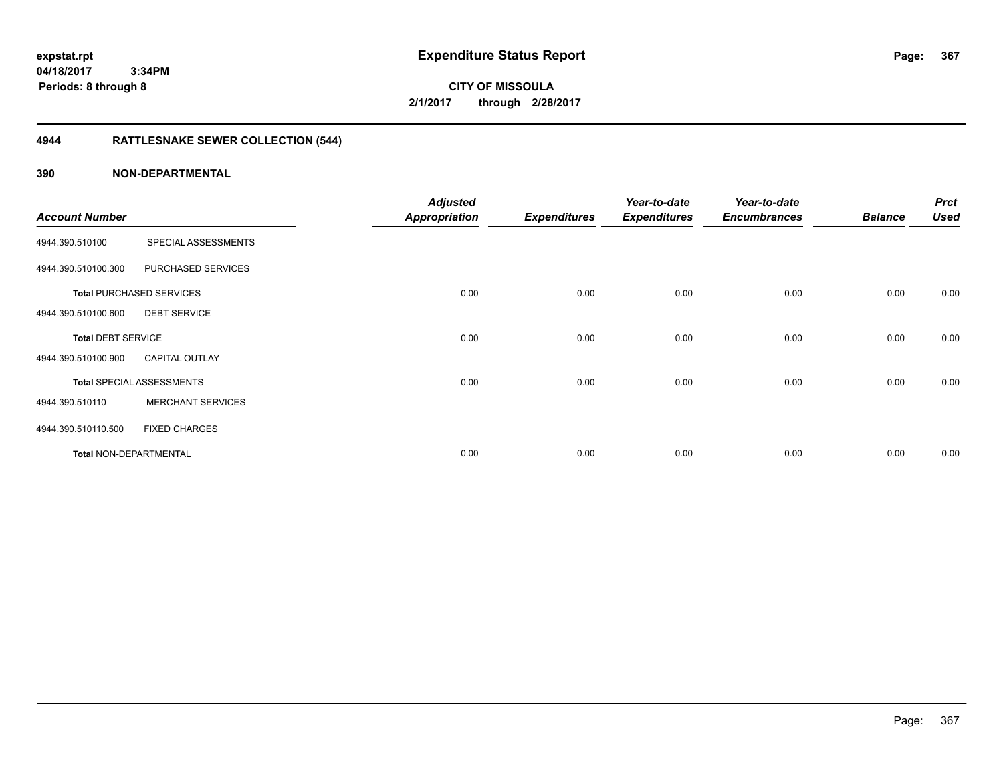**CITY OF MISSOULA 2/1/2017 through 2/28/2017**

# **4944 RATTLESNAKE SEWER COLLECTION (544)**

| <b>Account Number</b>     |                                  | <b>Adjusted</b><br><b>Appropriation</b> | <b>Expenditures</b> | Year-to-date<br><b>Expenditures</b> | Year-to-date<br><b>Encumbrances</b> | <b>Balance</b> | <b>Prct</b><br><b>Used</b> |
|---------------------------|----------------------------------|-----------------------------------------|---------------------|-------------------------------------|-------------------------------------|----------------|----------------------------|
| 4944.390.510100           | SPECIAL ASSESSMENTS              |                                         |                     |                                     |                                     |                |                            |
| 4944.390.510100.300       | PURCHASED SERVICES               |                                         |                     |                                     |                                     |                |                            |
|                           | <b>Total PURCHASED SERVICES</b>  | 0.00                                    | 0.00                | 0.00                                | 0.00                                | 0.00           | 0.00                       |
| 4944.390.510100.600       | <b>DEBT SERVICE</b>              |                                         |                     |                                     |                                     |                |                            |
| <b>Total DEBT SERVICE</b> |                                  | 0.00                                    | 0.00                | 0.00                                | 0.00                                | 0.00           | 0.00                       |
| 4944.390.510100.900       | <b>CAPITAL OUTLAY</b>            |                                         |                     |                                     |                                     |                |                            |
|                           | <b>Total SPECIAL ASSESSMENTS</b> | 0.00                                    | 0.00                | 0.00                                | 0.00                                | 0.00           | 0.00                       |
| 4944.390.510110           | <b>MERCHANT SERVICES</b>         |                                         |                     |                                     |                                     |                |                            |
| 4944.390.510110.500       | <b>FIXED CHARGES</b>             |                                         |                     |                                     |                                     |                |                            |
| Total NON-DEPARTMENTAL    |                                  | 0.00                                    | 0.00                | 0.00                                | 0.00                                | 0.00           | 0.00                       |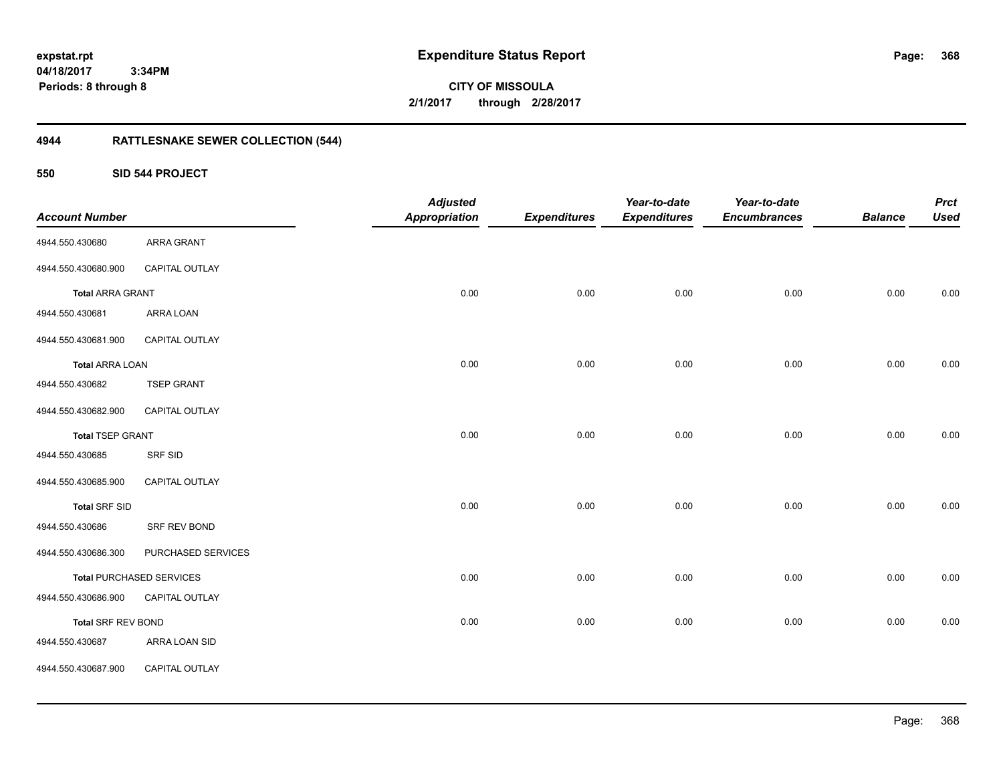**CITY OF MISSOULA 2/1/2017 through 2/28/2017**

# **4944 RATTLESNAKE SEWER COLLECTION (544)**

### **550 SID 544 PROJECT**

|                           |                                 | <b>Adjusted</b>      |                     | Year-to-date        | Year-to-date        |                | <b>Prct</b> |
|---------------------------|---------------------------------|----------------------|---------------------|---------------------|---------------------|----------------|-------------|
| <b>Account Number</b>     |                                 | <b>Appropriation</b> | <b>Expenditures</b> | <b>Expenditures</b> | <b>Encumbrances</b> | <b>Balance</b> | Used        |
| 4944.550.430680           | ARRA GRANT                      |                      |                     |                     |                     |                |             |
| 4944.550.430680.900       | CAPITAL OUTLAY                  |                      |                     |                     |                     |                |             |
| <b>Total ARRA GRANT</b>   |                                 | 0.00                 | 0.00                | 0.00                | 0.00                | 0.00           | 0.00        |
| 4944.550.430681           | ARRA LOAN                       |                      |                     |                     |                     |                |             |
| 4944.550.430681.900       | CAPITAL OUTLAY                  |                      |                     |                     |                     |                |             |
| <b>Total ARRA LOAN</b>    |                                 | 0.00                 | 0.00                | 0.00                | 0.00                | 0.00           | 0.00        |
| 4944.550.430682           | <b>TSEP GRANT</b>               |                      |                     |                     |                     |                |             |
| 4944.550.430682.900       | CAPITAL OUTLAY                  |                      |                     |                     |                     |                |             |
| <b>Total TSEP GRANT</b>   |                                 | 0.00                 | 0.00                | 0.00                | 0.00                | 0.00           | 0.00        |
| 4944.550.430685           | SRF SID                         |                      |                     |                     |                     |                |             |
| 4944.550.430685.900       | CAPITAL OUTLAY                  |                      |                     |                     |                     |                |             |
| <b>Total SRF SID</b>      |                                 | 0.00                 | 0.00                | 0.00                | 0.00                | 0.00           | 0.00        |
| 4944.550.430686           | SRF REV BOND                    |                      |                     |                     |                     |                |             |
| 4944.550.430686.300       | PURCHASED SERVICES              |                      |                     |                     |                     |                |             |
|                           | <b>Total PURCHASED SERVICES</b> | 0.00                 | 0.00                | 0.00                | 0.00                | 0.00           | $0.00\,$    |
| 4944.550.430686.900       | CAPITAL OUTLAY                  |                      |                     |                     |                     |                |             |
| <b>Total SRF REV BOND</b> |                                 | 0.00                 | 0.00                | 0.00                | 0.00                | 0.00           | 0.00        |
| 4944.550.430687           | ARRA LOAN SID                   |                      |                     |                     |                     |                |             |
| 4944.550.430687.900       | CAPITAL OUTLAY                  |                      |                     |                     |                     |                |             |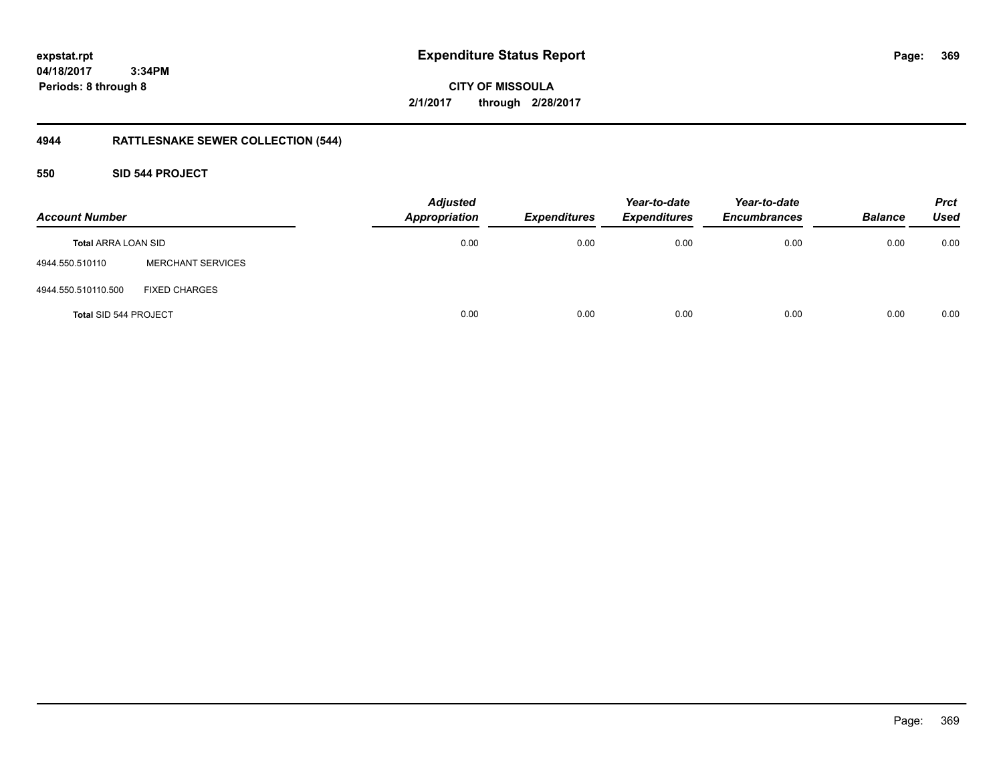**CITY OF MISSOULA 2/1/2017 through 2/28/2017**

# **4944 RATTLESNAKE SEWER COLLECTION (544)**

### **550 SID 544 PROJECT**

| <b>Account Number</b>        |                          | <b>Adjusted</b><br><b>Appropriation</b> | <b>Expenditures</b> | Year-to-date<br><b>Expenditures</b> | Year-to-date<br><b>Encumbrances</b> | <b>Balance</b> | <b>Prct</b><br><b>Used</b> |
|------------------------------|--------------------------|-----------------------------------------|---------------------|-------------------------------------|-------------------------------------|----------------|----------------------------|
| <b>Total ARRA LOAN SID</b>   |                          | 0.00                                    | 0.00                | 0.00                                | 0.00                                | 0.00           | 0.00                       |
| 4944.550.510110              | <b>MERCHANT SERVICES</b> |                                         |                     |                                     |                                     |                |                            |
| 4944.550.510110.500          | <b>FIXED CHARGES</b>     |                                         |                     |                                     |                                     |                |                            |
| <b>Total SID 544 PROJECT</b> |                          | 0.00                                    | 0.00                | 0.00                                | 0.00                                | 0.00           | 0.00                       |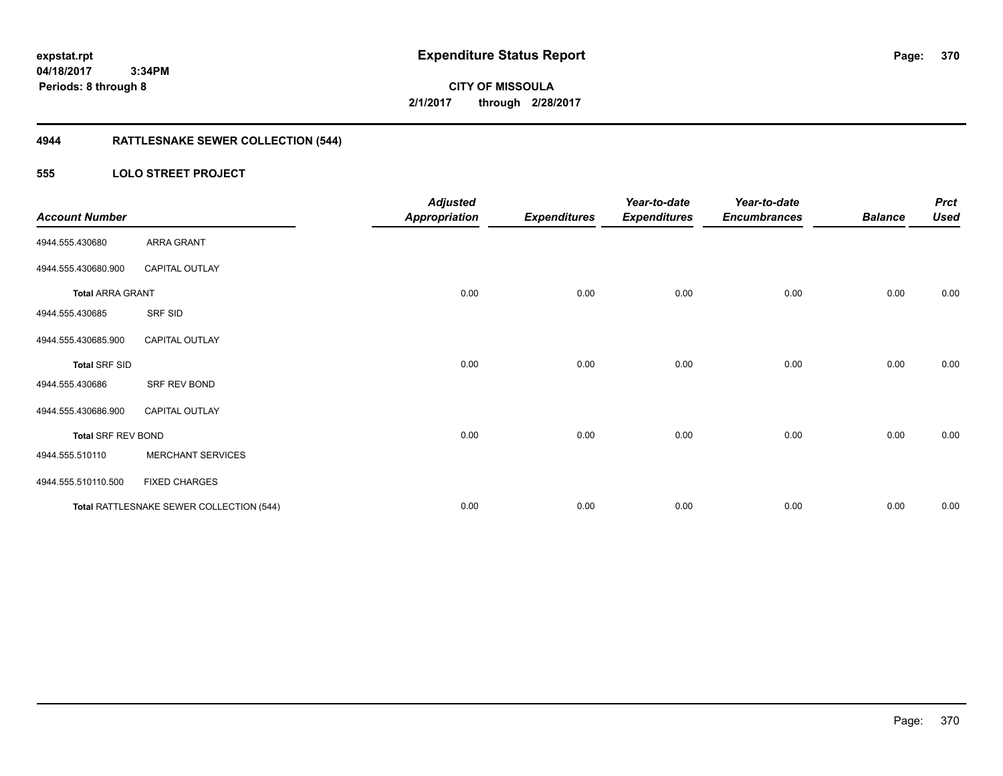**370**

**CITY OF MISSOULA 2/1/2017 through 2/28/2017**

# **4944 RATTLESNAKE SEWER COLLECTION (544)**

### **555 LOLO STREET PROJECT**

| <b>Account Number</b>     |                                          | <b>Adjusted</b><br><b>Appropriation</b> | <b>Expenditures</b> | Year-to-date<br><b>Expenditures</b> | Year-to-date<br><b>Encumbrances</b> | <b>Balance</b> | <b>Prct</b><br><b>Used</b> |
|---------------------------|------------------------------------------|-----------------------------------------|---------------------|-------------------------------------|-------------------------------------|----------------|----------------------------|
| 4944.555.430680           | ARRA GRANT                               |                                         |                     |                                     |                                     |                |                            |
| 4944.555.430680.900       | <b>CAPITAL OUTLAY</b>                    |                                         |                     |                                     |                                     |                |                            |
| <b>Total ARRA GRANT</b>   |                                          | 0.00                                    | 0.00                | 0.00                                | 0.00                                | 0.00           | 0.00                       |
| 4944.555.430685           | SRF SID                                  |                                         |                     |                                     |                                     |                |                            |
| 4944.555.430685.900       | <b>CAPITAL OUTLAY</b>                    |                                         |                     |                                     |                                     |                |                            |
| <b>Total SRF SID</b>      |                                          | 0.00                                    | 0.00                | 0.00                                | 0.00                                | 0.00           | 0.00                       |
| 4944.555.430686           | SRF REV BOND                             |                                         |                     |                                     |                                     |                |                            |
| 4944.555.430686.900       | <b>CAPITAL OUTLAY</b>                    |                                         |                     |                                     |                                     |                |                            |
| <b>Total SRF REV BOND</b> |                                          | 0.00                                    | 0.00                | 0.00                                | 0.00                                | 0.00           | 0.00                       |
| 4944.555.510110           | <b>MERCHANT SERVICES</b>                 |                                         |                     |                                     |                                     |                |                            |
| 4944.555.510110.500       | <b>FIXED CHARGES</b>                     |                                         |                     |                                     |                                     |                |                            |
|                           | Total RATTLESNAKE SEWER COLLECTION (544) | 0.00                                    | 0.00                | 0.00                                | 0.00                                | 0.00           | 0.00                       |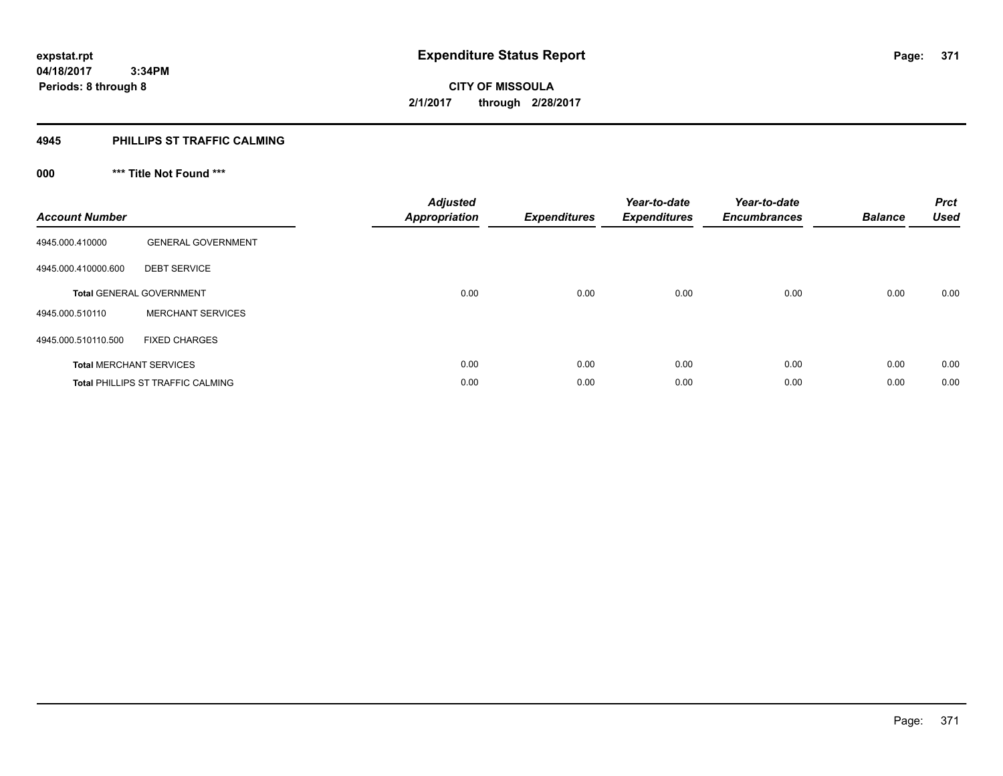### **4945 PHILLIPS ST TRAFFIC CALMING**

# **000 \*\*\* Title Not Found \*\*\***

| <b>Account Number</b> |                                          | <b>Adjusted</b><br><b>Appropriation</b> | <b>Expenditures</b> | Year-to-date<br><b>Expenditures</b> | Year-to-date<br><b>Encumbrances</b> | <b>Balance</b> | <b>Prct</b><br><b>Used</b> |
|-----------------------|------------------------------------------|-----------------------------------------|---------------------|-------------------------------------|-------------------------------------|----------------|----------------------------|
| 4945.000.410000       | <b>GENERAL GOVERNMENT</b>                |                                         |                     |                                     |                                     |                |                            |
| 4945.000.410000.600   | <b>DEBT SERVICE</b>                      |                                         |                     |                                     |                                     |                |                            |
|                       | <b>Total GENERAL GOVERNMENT</b>          | 0.00                                    | 0.00                | 0.00                                | 0.00                                | 0.00           | 0.00                       |
| 4945.000.510110       | <b>MERCHANT SERVICES</b>                 |                                         |                     |                                     |                                     |                |                            |
| 4945.000.510110.500   | <b>FIXED CHARGES</b>                     |                                         |                     |                                     |                                     |                |                            |
|                       | <b>Total MERCHANT SERVICES</b>           | 0.00                                    | 0.00                | 0.00                                | 0.00                                | 0.00           | 0.00                       |
|                       | <b>Total PHILLIPS ST TRAFFIC CALMING</b> | 0.00                                    | 0.00                | 0.00                                | 0.00                                | 0.00           | 0.00                       |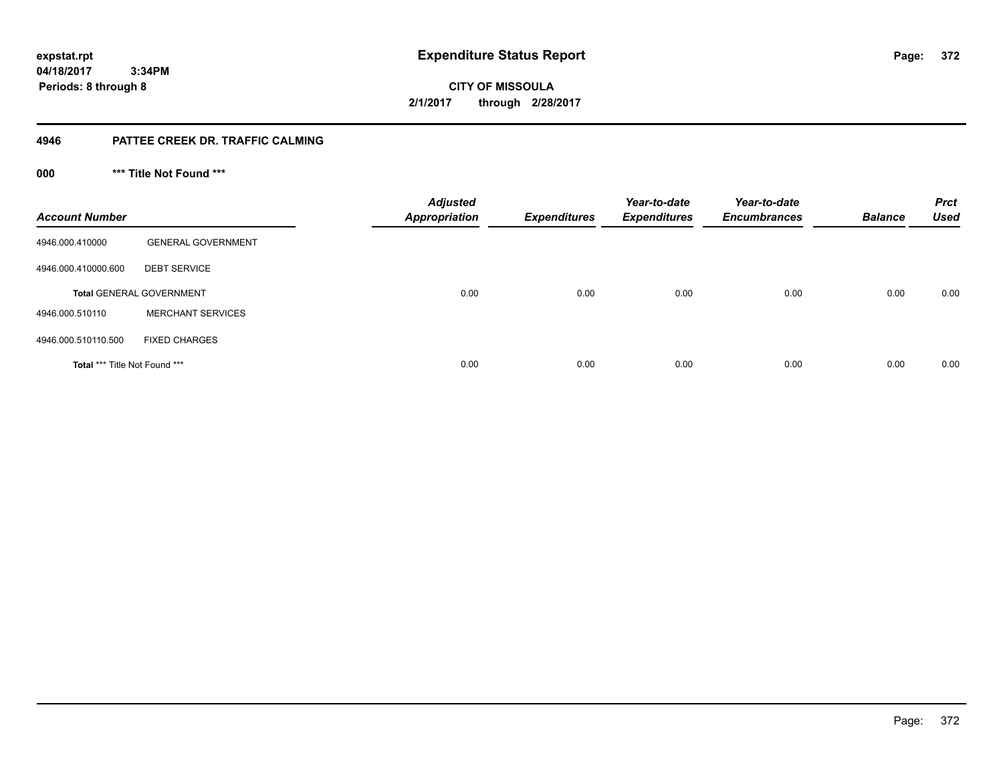**CITY OF MISSOULA 2/1/2017 through 2/28/2017**

### **4946 PATTEE CREEK DR. TRAFFIC CALMING**

**000 \*\*\* Title Not Found \*\*\***

| <b>Account Number</b>         |                                 | <b>Adjusted</b><br><b>Appropriation</b> | <b>Expenditures</b> | Year-to-date<br><b>Expenditures</b> | Year-to-date<br><b>Encumbrances</b> | <b>Balance</b> | <b>Prct</b><br><b>Used</b> |
|-------------------------------|---------------------------------|-----------------------------------------|---------------------|-------------------------------------|-------------------------------------|----------------|----------------------------|
| 4946.000.410000               | <b>GENERAL GOVERNMENT</b>       |                                         |                     |                                     |                                     |                |                            |
| 4946.000.410000.600           | <b>DEBT SERVICE</b>             |                                         |                     |                                     |                                     |                |                            |
|                               | <b>Total GENERAL GOVERNMENT</b> | 0.00                                    | 0.00                | 0.00                                | 0.00                                | 0.00           | 0.00                       |
| 4946.000.510110               | <b>MERCHANT SERVICES</b>        |                                         |                     |                                     |                                     |                |                            |
| 4946.000.510110.500           | <b>FIXED CHARGES</b>            |                                         |                     |                                     |                                     |                |                            |
| Total *** Title Not Found *** |                                 | 0.00                                    | 0.00                | 0.00                                | 0.00                                | 0.00           | 0.00                       |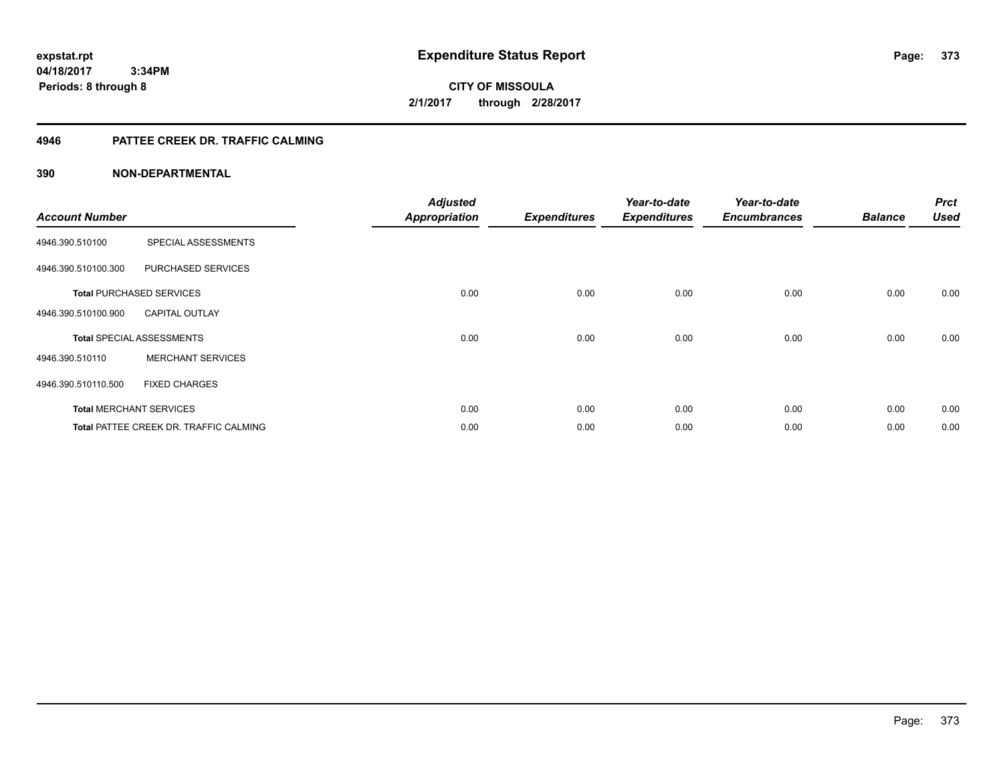**CITY OF MISSOULA 2/1/2017 through 2/28/2017**

### **4946 PATTEE CREEK DR. TRAFFIC CALMING**

| <b>Account Number</b> |                                               | <b>Adjusted</b><br><b>Appropriation</b> | <b>Expenditures</b> | Year-to-date<br><b>Expenditures</b> | Year-to-date<br><b>Encumbrances</b> | <b>Balance</b> | <b>Prct</b><br><b>Used</b> |
|-----------------------|-----------------------------------------------|-----------------------------------------|---------------------|-------------------------------------|-------------------------------------|----------------|----------------------------|
| 4946.390.510100       | SPECIAL ASSESSMENTS                           |                                         |                     |                                     |                                     |                |                            |
| 4946.390.510100.300   | PURCHASED SERVICES                            |                                         |                     |                                     |                                     |                |                            |
|                       | <b>Total PURCHASED SERVICES</b>               | 0.00                                    | 0.00                | 0.00                                | 0.00                                | 0.00           | 0.00                       |
| 4946.390.510100.900   | <b>CAPITAL OUTLAY</b>                         |                                         |                     |                                     |                                     |                |                            |
|                       | <b>Total SPECIAL ASSESSMENTS</b>              | 0.00                                    | 0.00                | 0.00                                | 0.00                                | 0.00           | 0.00                       |
| 4946.390.510110       | <b>MERCHANT SERVICES</b>                      |                                         |                     |                                     |                                     |                |                            |
| 4946.390.510110.500   | <b>FIXED CHARGES</b>                          |                                         |                     |                                     |                                     |                |                            |
|                       | <b>Total MERCHANT SERVICES</b>                | 0.00                                    | 0.00                | 0.00                                | 0.00                                | 0.00           | 0.00                       |
|                       | <b>Total PATTEE CREEK DR. TRAFFIC CALMING</b> | 0.00                                    | 0.00                | 0.00                                | 0.00                                | 0.00           | 0.00                       |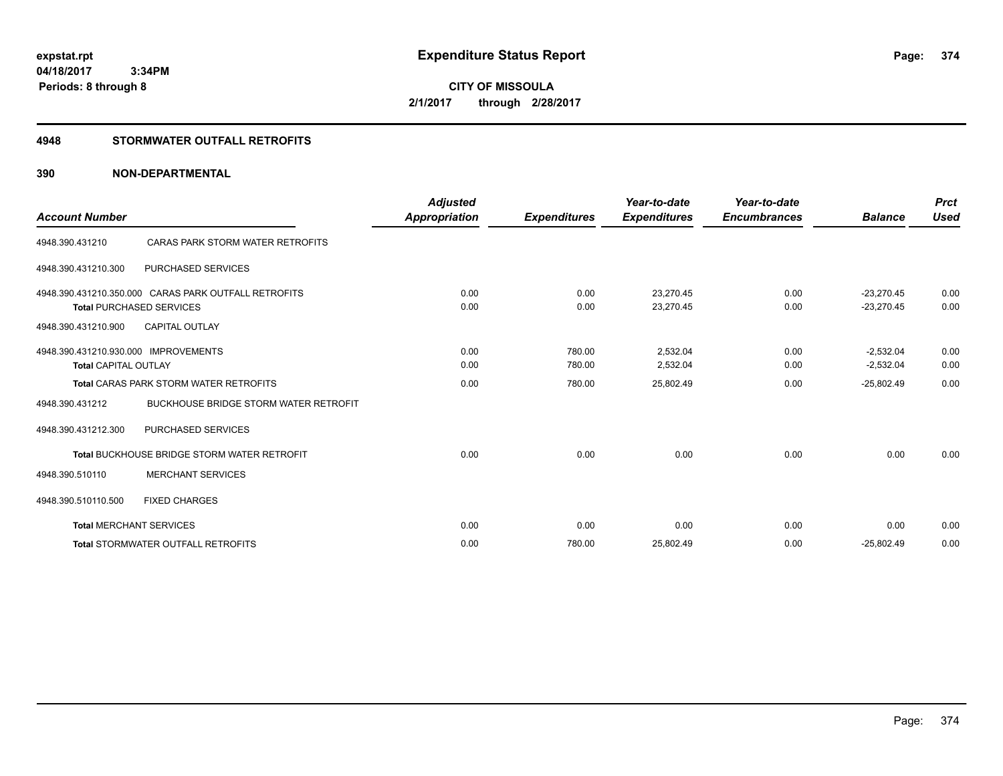**CITY OF MISSOULA 2/1/2017 through 2/28/2017**

### **4948 STORMWATER OUTFALL RETROFITS**

| <b>Account Number</b>                |                                                      | <b>Adjusted</b><br><b>Appropriation</b> | <b>Expenditures</b> | Year-to-date<br><b>Expenditures</b> | Year-to-date<br><b>Encumbrances</b> | <b>Balance</b> | <b>Prct</b><br><b>Used</b> |
|--------------------------------------|------------------------------------------------------|-----------------------------------------|---------------------|-------------------------------------|-------------------------------------|----------------|----------------------------|
|                                      |                                                      |                                         |                     |                                     |                                     |                |                            |
| 4948.390.431210                      | CARAS PARK STORM WATER RETROFITS                     |                                         |                     |                                     |                                     |                |                            |
| 4948.390.431210.300                  | <b>PURCHASED SERVICES</b>                            |                                         |                     |                                     |                                     |                |                            |
|                                      | 4948.390.431210.350.000 CARAS PARK OUTFALL RETROFITS | 0.00                                    | 0.00                | 23.270.45                           | 0.00                                | $-23.270.45$   | 0.00                       |
|                                      | <b>Total PURCHASED SERVICES</b>                      | 0.00                                    | 0.00                | 23,270.45                           | 0.00                                | $-23,270.45$   | 0.00                       |
| 4948.390.431210.900                  | <b>CAPITAL OUTLAY</b>                                |                                         |                     |                                     |                                     |                |                            |
| 4948.390.431210.930.000 IMPROVEMENTS |                                                      | 0.00                                    | 780.00              | 2,532.04                            | 0.00                                | $-2,532.04$    | 0.00                       |
| <b>Total CAPITAL OUTLAY</b>          |                                                      | 0.00                                    | 780.00              | 2,532.04                            | 0.00                                | $-2,532.04$    | 0.00                       |
|                                      | <b>Total CARAS PARK STORM WATER RETROFITS</b>        | 0.00                                    | 780.00              | 25,802.49                           | 0.00                                | $-25,802.49$   | 0.00                       |
| 4948.390.431212                      | <b>BUCKHOUSE BRIDGE STORM WATER RETROFIT</b>         |                                         |                     |                                     |                                     |                |                            |
| 4948.390.431212.300                  | PURCHASED SERVICES                                   |                                         |                     |                                     |                                     |                |                            |
|                                      | <b>Total BUCKHOUSE BRIDGE STORM WATER RETROFIT</b>   | 0.00                                    | 0.00                | 0.00                                | 0.00                                | 0.00           | 0.00                       |
| 4948.390.510110                      | <b>MERCHANT SERVICES</b>                             |                                         |                     |                                     |                                     |                |                            |
| 4948.390.510110.500                  | <b>FIXED CHARGES</b>                                 |                                         |                     |                                     |                                     |                |                            |
|                                      | <b>Total MERCHANT SERVICES</b>                       | 0.00                                    | 0.00                | 0.00                                | 0.00                                | 0.00           | 0.00                       |
|                                      | <b>Total STORMWATER OUTFALL RETROFITS</b>            | 0.00                                    | 780.00              | 25,802.49                           | 0.00                                | $-25,802.49$   | 0.00                       |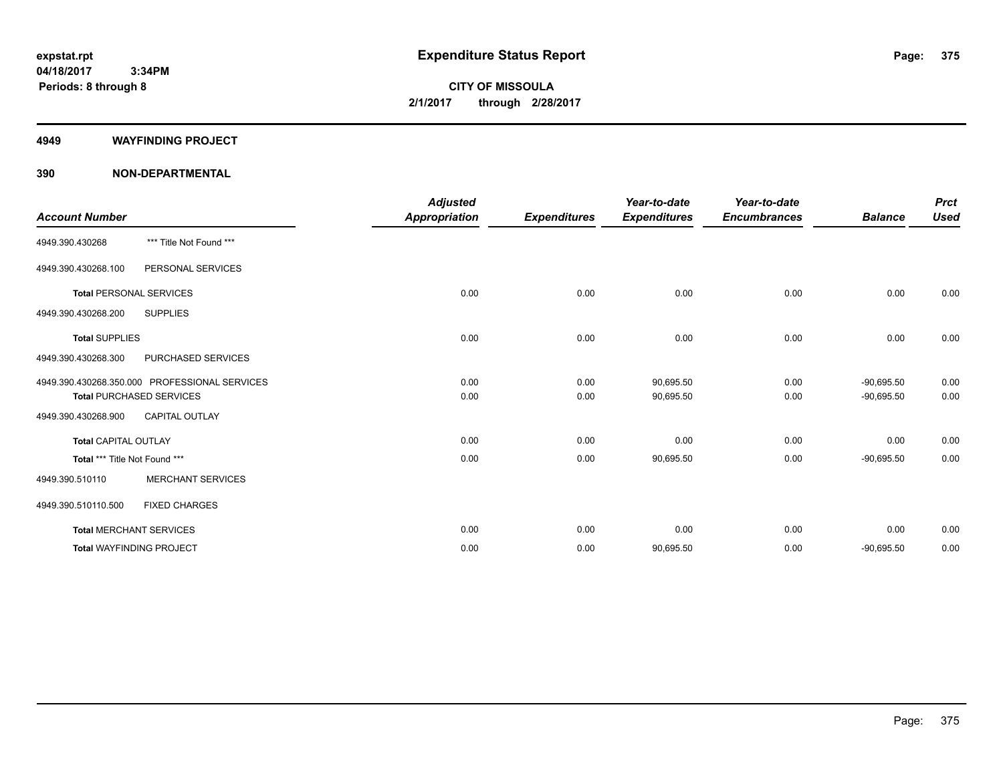#### **4949 WAYFINDING PROJECT**

|                                 |                                               | <b>Adjusted</b>      |                     | Year-to-date        | Year-to-date        |                | <b>Prct</b> |
|---------------------------------|-----------------------------------------------|----------------------|---------------------|---------------------|---------------------|----------------|-------------|
| <b>Account Number</b>           |                                               | <b>Appropriation</b> | <b>Expenditures</b> | <b>Expenditures</b> | <b>Encumbrances</b> | <b>Balance</b> | <b>Used</b> |
| 4949.390.430268                 | *** Title Not Found ***                       |                      |                     |                     |                     |                |             |
| 4949.390.430268.100             | PERSONAL SERVICES                             |                      |                     |                     |                     |                |             |
| <b>Total PERSONAL SERVICES</b>  |                                               | 0.00                 | 0.00                | 0.00                | 0.00                | 0.00           | 0.00        |
| 4949.390.430268.200             | <b>SUPPLIES</b>                               |                      |                     |                     |                     |                |             |
| <b>Total SUPPLIES</b>           |                                               | 0.00                 | 0.00                | 0.00                | 0.00                | 0.00           | 0.00        |
| 4949.390.430268.300             | PURCHASED SERVICES                            |                      |                     |                     |                     |                |             |
|                                 | 4949.390.430268.350.000 PROFESSIONAL SERVICES | 0.00                 | 0.00                | 90,695.50           | 0.00                | $-90.695.50$   | 0.00        |
|                                 | <b>Total PURCHASED SERVICES</b>               | 0.00                 | 0.00                | 90,695.50           | 0.00                | $-90,695.50$   | 0.00        |
| 4949.390.430268.900             | <b>CAPITAL OUTLAY</b>                         |                      |                     |                     |                     |                |             |
| <b>Total CAPITAL OUTLAY</b>     |                                               | 0.00                 | 0.00                | 0.00                | 0.00                | 0.00           | 0.00        |
| Total *** Title Not Found ***   |                                               | 0.00                 | 0.00                | 90,695.50           | 0.00                | $-90,695.50$   | 0.00        |
| 4949.390.510110                 | <b>MERCHANT SERVICES</b>                      |                      |                     |                     |                     |                |             |
| 4949.390.510110.500             | <b>FIXED CHARGES</b>                          |                      |                     |                     |                     |                |             |
| <b>Total MERCHANT SERVICES</b>  |                                               | 0.00                 | 0.00                | 0.00                | 0.00                | 0.00           | 0.00        |
| <b>Total WAYFINDING PROJECT</b> |                                               | 0.00                 | 0.00                | 90,695.50           | 0.00                | $-90,695.50$   | 0.00        |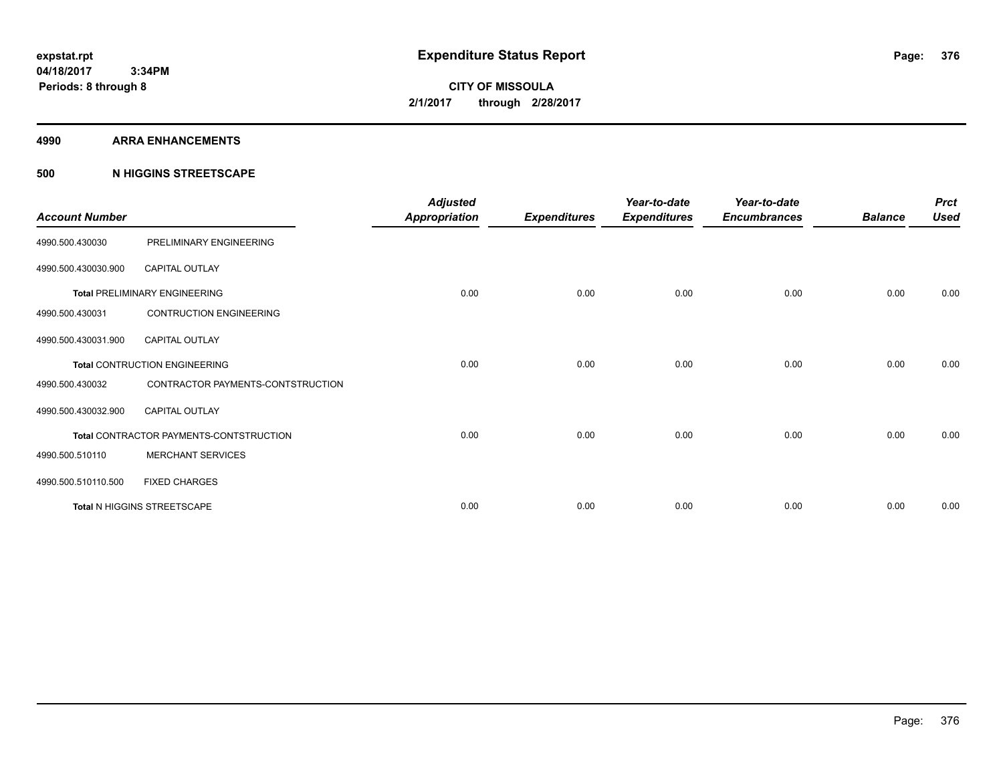#### **4990 ARRA ENHANCEMENTS**

### **500 N HIGGINS STREETSCAPE**

| <b>Account Number</b> |                                         | <b>Adjusted</b><br><b>Appropriation</b> | <b>Expenditures</b> | Year-to-date<br><b>Expenditures</b> | Year-to-date<br><b>Encumbrances</b> | <b>Balance</b> | <b>Prct</b><br><b>Used</b> |
|-----------------------|-----------------------------------------|-----------------------------------------|---------------------|-------------------------------------|-------------------------------------|----------------|----------------------------|
| 4990.500.430030       | PRELIMINARY ENGINEERING                 |                                         |                     |                                     |                                     |                |                            |
| 4990.500.430030.900   | <b>CAPITAL OUTLAY</b>                   |                                         |                     |                                     |                                     |                |                            |
|                       | <b>Total PRELIMINARY ENGINEERING</b>    | 0.00                                    | 0.00                | 0.00                                | 0.00                                | 0.00           | 0.00                       |
| 4990.500.430031       | <b>CONTRUCTION ENGINEERING</b>          |                                         |                     |                                     |                                     |                |                            |
| 4990.500.430031.900   | <b>CAPITAL OUTLAY</b>                   |                                         |                     |                                     |                                     |                |                            |
|                       | Total CONTRUCTION ENGINEERING           | 0.00                                    | 0.00                | 0.00                                | 0.00                                | 0.00           | 0.00                       |
| 4990.500.430032       | CONTRACTOR PAYMENTS-CONTSTRUCTION       |                                         |                     |                                     |                                     |                |                            |
| 4990.500.430032.900   | <b>CAPITAL OUTLAY</b>                   |                                         |                     |                                     |                                     |                |                            |
|                       | Total CONTRACTOR PAYMENTS-CONTSTRUCTION | 0.00                                    | 0.00                | 0.00                                | 0.00                                | 0.00           | 0.00                       |
| 4990.500.510110       | <b>MERCHANT SERVICES</b>                |                                         |                     |                                     |                                     |                |                            |
| 4990.500.510110.500   | <b>FIXED CHARGES</b>                    |                                         |                     |                                     |                                     |                |                            |
|                       | Total N HIGGINS STREETSCAPE             | 0.00                                    | 0.00                | 0.00                                | 0.00                                | 0.00           | 0.00                       |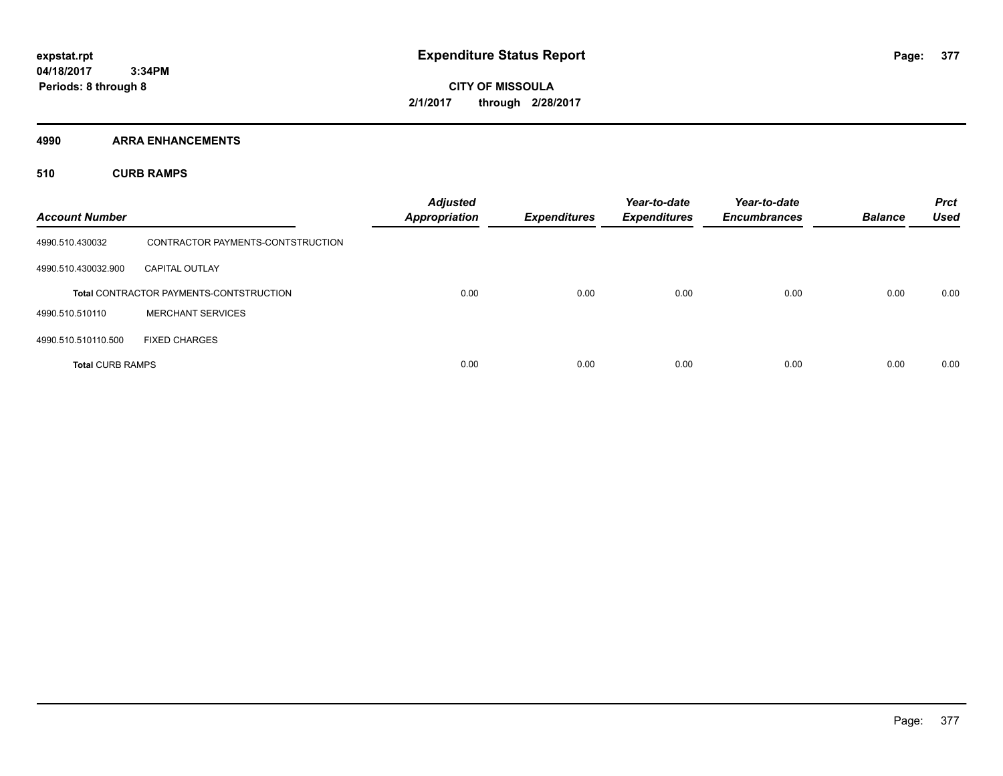**CITY OF MISSOULA 2/1/2017 through 2/28/2017**

**4990 ARRA ENHANCEMENTS**

**510 CURB RAMPS**

| <b>Account Number</b>   |                                                | <b>Adjusted</b><br><b>Appropriation</b> | <b>Expenditures</b> | Year-to-date<br><b>Expenditures</b> | Year-to-date<br><b>Encumbrances</b> | <b>Balance</b> | <b>Prct</b><br><b>Used</b> |
|-------------------------|------------------------------------------------|-----------------------------------------|---------------------|-------------------------------------|-------------------------------------|----------------|----------------------------|
| 4990.510.430032         | CONTRACTOR PAYMENTS-CONTSTRUCTION              |                                         |                     |                                     |                                     |                |                            |
| 4990.510.430032.900     | <b>CAPITAL OUTLAY</b>                          |                                         |                     |                                     |                                     |                |                            |
|                         | <b>Total CONTRACTOR PAYMENTS-CONTSTRUCTION</b> | 0.00                                    | 0.00                | 0.00                                | 0.00                                | 0.00           | 0.00                       |
| 4990.510.510110         | <b>MERCHANT SERVICES</b>                       |                                         |                     |                                     |                                     |                |                            |
| 4990.510.510110.500     | <b>FIXED CHARGES</b>                           |                                         |                     |                                     |                                     |                |                            |
| <b>Total CURB RAMPS</b> |                                                | 0.00                                    | 0.00                | 0.00                                | 0.00                                | 0.00           | 0.00                       |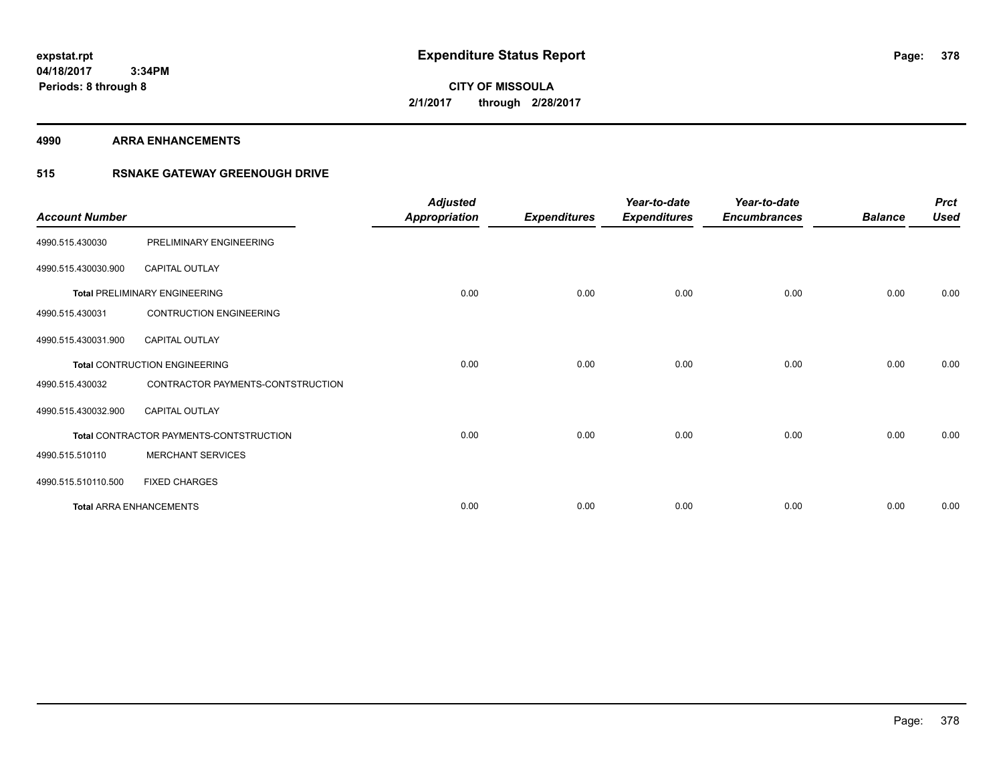**Periods: 8 through 8**

**CITY OF MISSOULA 2/1/2017 through 2/28/2017**

**4990 ARRA ENHANCEMENTS**

 **3:34PM**

## **515 RSNAKE GATEWAY GREENOUGH DRIVE**

| <b>Account Number</b> |                                         | <b>Adjusted</b><br><b>Appropriation</b> | <b>Expenditures</b> | Year-to-date<br><b>Expenditures</b> | Year-to-date<br><b>Encumbrances</b> | <b>Balance</b> | <b>Prct</b><br><b>Used</b> |
|-----------------------|-----------------------------------------|-----------------------------------------|---------------------|-------------------------------------|-------------------------------------|----------------|----------------------------|
| 4990.515.430030       | PRELIMINARY ENGINEERING                 |                                         |                     |                                     |                                     |                |                            |
| 4990.515.430030.900   | <b>CAPITAL OUTLAY</b>                   |                                         |                     |                                     |                                     |                |                            |
|                       | <b>Total PRELIMINARY ENGINEERING</b>    | 0.00                                    | 0.00                | 0.00                                | 0.00                                | 0.00           | 0.00                       |
| 4990.515.430031       | <b>CONTRUCTION ENGINEERING</b>          |                                         |                     |                                     |                                     |                |                            |
| 4990.515.430031.900   | <b>CAPITAL OUTLAY</b>                   |                                         |                     |                                     |                                     |                |                            |
|                       | <b>Total CONTRUCTION ENGINEERING</b>    | 0.00                                    | 0.00                | 0.00                                | 0.00                                | 0.00           | 0.00                       |
| 4990.515.430032       | CONTRACTOR PAYMENTS-CONTSTRUCTION       |                                         |                     |                                     |                                     |                |                            |
| 4990.515.430032.900   | <b>CAPITAL OUTLAY</b>                   |                                         |                     |                                     |                                     |                |                            |
|                       | Total CONTRACTOR PAYMENTS-CONTSTRUCTION | 0.00                                    | 0.00                | 0.00                                | 0.00                                | 0.00           | 0.00                       |
| 4990.515.510110       | <b>MERCHANT SERVICES</b>                |                                         |                     |                                     |                                     |                |                            |
| 4990.515.510110.500   | <b>FIXED CHARGES</b>                    |                                         |                     |                                     |                                     |                |                            |
|                       | <b>Total ARRA ENHANCEMENTS</b>          | 0.00                                    | 0.00                | 0.00                                | 0.00                                | 0.00           | 0.00                       |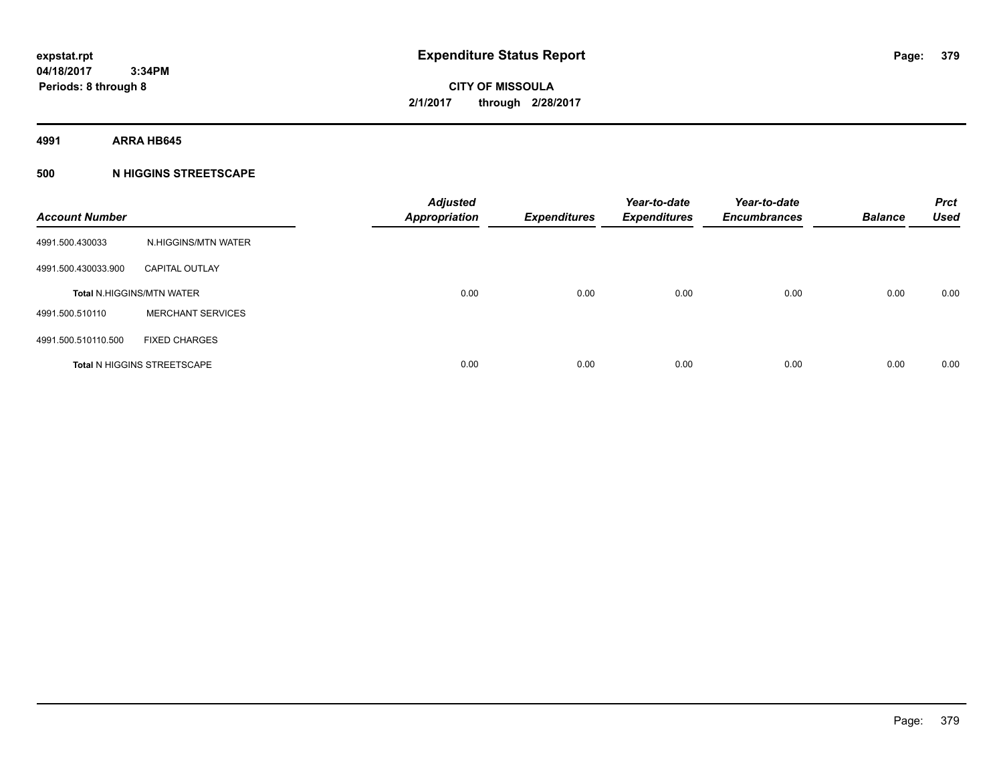**4991 ARRA HB645**

## **500 N HIGGINS STREETSCAPE**

| <b>Account Number</b> |                                    | <b>Adjusted</b><br><b>Appropriation</b> | <b>Expenditures</b> | Year-to-date<br><b>Expenditures</b> | Year-to-date<br><b>Encumbrances</b> | <b>Balance</b> | <b>Prct</b><br><b>Used</b> |
|-----------------------|------------------------------------|-----------------------------------------|---------------------|-------------------------------------|-------------------------------------|----------------|----------------------------|
| 4991.500.430033       | N.HIGGINS/MTN WATER                |                                         |                     |                                     |                                     |                |                            |
| 4991.500.430033.900   | <b>CAPITAL OUTLAY</b>              |                                         |                     |                                     |                                     |                |                            |
|                       | <b>Total N.HIGGINS/MTN WATER</b>   | 0.00                                    | 0.00                | 0.00                                | 0.00                                | 0.00           | 0.00                       |
| 4991.500.510110       | <b>MERCHANT SERVICES</b>           |                                         |                     |                                     |                                     |                |                            |
| 4991.500.510110.500   | <b>FIXED CHARGES</b>               |                                         |                     |                                     |                                     |                |                            |
|                       | <b>Total N HIGGINS STREETSCAPE</b> | 0.00                                    | 0.00                | 0.00                                | 0.00                                | 0.00           | 0.00                       |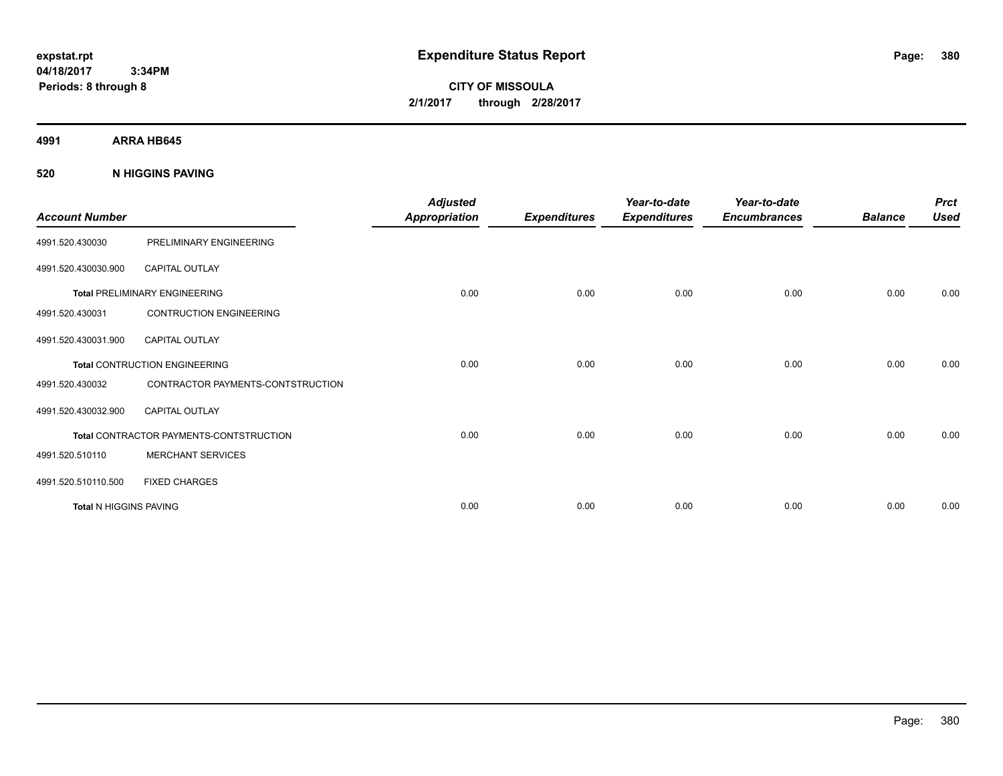**CITY OF MISSOULA 2/1/2017 through 2/28/2017**

**4991 ARRA HB645**

**520 N HIGGINS PAVING**

| <b>Account Number</b>         |                                                | <b>Adjusted</b><br>Appropriation | <b>Expenditures</b> | Year-to-date<br><b>Expenditures</b> | Year-to-date<br><b>Encumbrances</b> | <b>Balance</b> | <b>Prct</b><br><b>Used</b> |
|-------------------------------|------------------------------------------------|----------------------------------|---------------------|-------------------------------------|-------------------------------------|----------------|----------------------------|
| 4991.520.430030               | PRELIMINARY ENGINEERING                        |                                  |                     |                                     |                                     |                |                            |
| 4991.520.430030.900           | <b>CAPITAL OUTLAY</b>                          |                                  |                     |                                     |                                     |                |                            |
|                               | <b>Total PRELIMINARY ENGINEERING</b>           | 0.00                             | 0.00                | 0.00                                | 0.00                                | 0.00           | 0.00                       |
| 4991.520.430031               | <b>CONTRUCTION ENGINEERING</b>                 |                                  |                     |                                     |                                     |                |                            |
| 4991.520.430031.900           | <b>CAPITAL OUTLAY</b>                          |                                  |                     |                                     |                                     |                |                            |
|                               | <b>Total CONTRUCTION ENGINEERING</b>           | 0.00                             | 0.00                | 0.00                                | 0.00                                | 0.00           | 0.00                       |
| 4991.520.430032               | CONTRACTOR PAYMENTS-CONTSTRUCTION              |                                  |                     |                                     |                                     |                |                            |
| 4991.520.430032.900           | <b>CAPITAL OUTLAY</b>                          |                                  |                     |                                     |                                     |                |                            |
|                               | <b>Total CONTRACTOR PAYMENTS-CONTSTRUCTION</b> | 0.00                             | 0.00                | 0.00                                | 0.00                                | 0.00           | 0.00                       |
| 4991.520.510110               | <b>MERCHANT SERVICES</b>                       |                                  |                     |                                     |                                     |                |                            |
| 4991.520.510110.500           | <b>FIXED CHARGES</b>                           |                                  |                     |                                     |                                     |                |                            |
| <b>Total N HIGGINS PAVING</b> |                                                | 0.00                             | 0.00                | 0.00                                | 0.00                                | 0.00           | 0.00                       |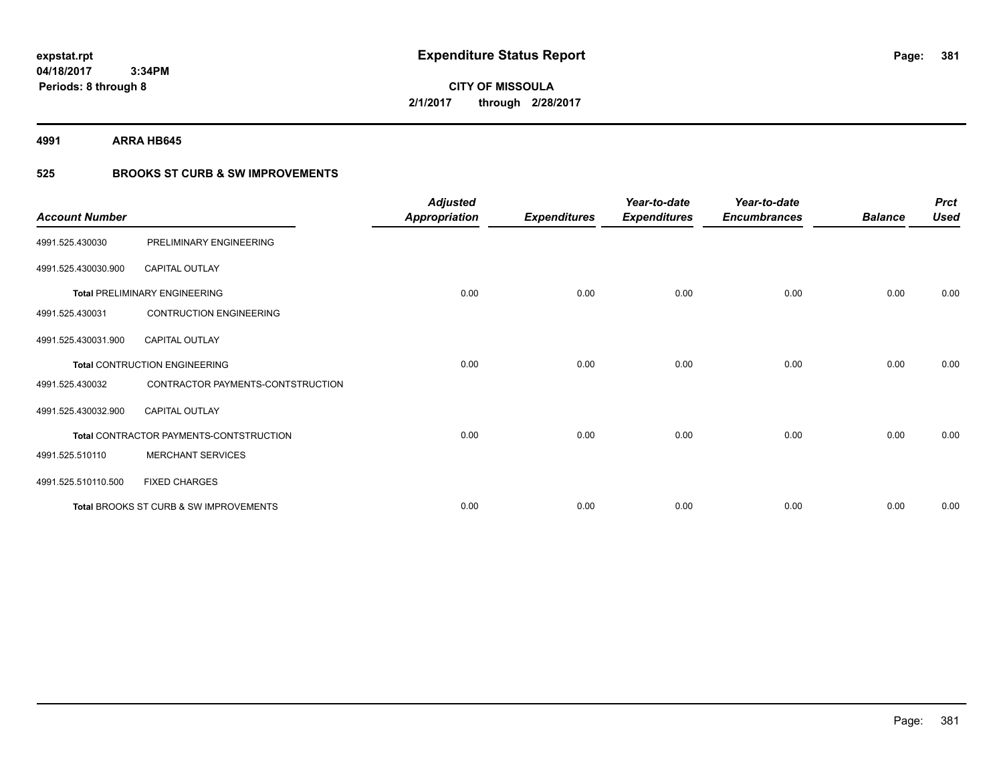**4991 ARRA HB645**

## **525 BROOKS ST CURB & SW IMPROVEMENTS**

| <b>Account Number</b> |                                         | <b>Adjusted</b><br><b>Appropriation</b> | <b>Expenditures</b> | Year-to-date<br><b>Expenditures</b> | Year-to-date<br><b>Encumbrances</b> | <b>Balance</b> | <b>Prct</b><br><b>Used</b> |
|-----------------------|-----------------------------------------|-----------------------------------------|---------------------|-------------------------------------|-------------------------------------|----------------|----------------------------|
| 4991.525.430030       | PRELIMINARY ENGINEERING                 |                                         |                     |                                     |                                     |                |                            |
| 4991.525.430030.900   | <b>CAPITAL OUTLAY</b>                   |                                         |                     |                                     |                                     |                |                            |
|                       | <b>Total PRELIMINARY ENGINEERING</b>    | 0.00                                    | 0.00                | 0.00                                | 0.00                                | 0.00           | 0.00                       |
| 4991.525.430031       | <b>CONTRUCTION ENGINEERING</b>          |                                         |                     |                                     |                                     |                |                            |
| 4991.525.430031.900   | <b>CAPITAL OUTLAY</b>                   |                                         |                     |                                     |                                     |                |                            |
|                       | <b>Total CONTRUCTION ENGINEERING</b>    | 0.00                                    | 0.00                | 0.00                                | 0.00                                | 0.00           | 0.00                       |
| 4991.525.430032       | CONTRACTOR PAYMENTS-CONTSTRUCTION       |                                         |                     |                                     |                                     |                |                            |
| 4991.525.430032.900   | <b>CAPITAL OUTLAY</b>                   |                                         |                     |                                     |                                     |                |                            |
|                       | Total CONTRACTOR PAYMENTS-CONTSTRUCTION | 0.00                                    | 0.00                | 0.00                                | 0.00                                | 0.00           | 0.00                       |
| 4991.525.510110       | <b>MERCHANT SERVICES</b>                |                                         |                     |                                     |                                     |                |                            |
| 4991.525.510110.500   | <b>FIXED CHARGES</b>                    |                                         |                     |                                     |                                     |                |                            |
|                       | Total BROOKS ST CURB & SW IMPROVEMENTS  | 0.00                                    | 0.00                | 0.00                                | 0.00                                | 0.00           | 0.00                       |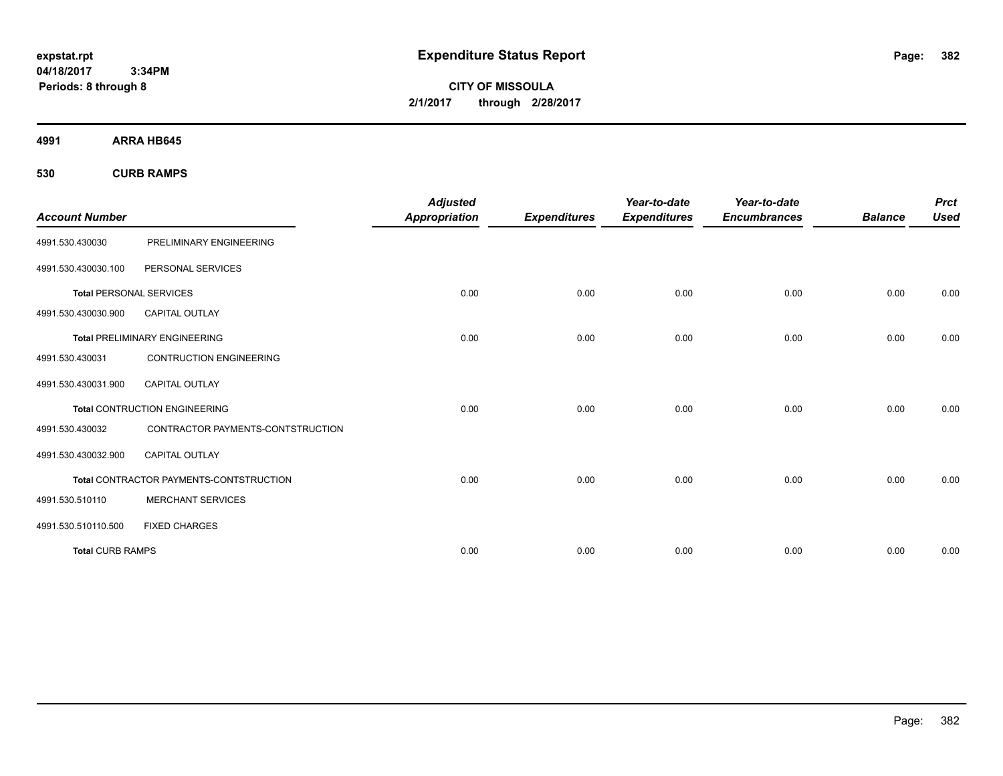**CITY OF MISSOULA 2/1/2017 through 2/28/2017**

**4991 ARRA HB645**

**530 CURB RAMPS**

| <b>Account Number</b>          |                                                | <b>Adjusted</b><br><b>Appropriation</b> | <b>Expenditures</b> | Year-to-date<br><b>Expenditures</b> | Year-to-date<br><b>Encumbrances</b> | <b>Balance</b> | <b>Prct</b><br><b>Used</b> |
|--------------------------------|------------------------------------------------|-----------------------------------------|---------------------|-------------------------------------|-------------------------------------|----------------|----------------------------|
|                                |                                                |                                         |                     |                                     |                                     |                |                            |
| 4991.530.430030                | PRELIMINARY ENGINEERING                        |                                         |                     |                                     |                                     |                |                            |
| 4991.530.430030.100            | PERSONAL SERVICES                              |                                         |                     |                                     |                                     |                |                            |
| <b>Total PERSONAL SERVICES</b> |                                                | 0.00                                    | 0.00                | 0.00                                | 0.00                                | 0.00           | 0.00                       |
| 4991.530.430030.900            | <b>CAPITAL OUTLAY</b>                          |                                         |                     |                                     |                                     |                |                            |
|                                | <b>Total PRELIMINARY ENGINEERING</b>           | 0.00                                    | 0.00                | 0.00                                | 0.00                                | 0.00           | 0.00                       |
| 4991.530.430031                | <b>CONTRUCTION ENGINEERING</b>                 |                                         |                     |                                     |                                     |                |                            |
| 4991.530.430031.900            | <b>CAPITAL OUTLAY</b>                          |                                         |                     |                                     |                                     |                |                            |
|                                | <b>Total CONTRUCTION ENGINEERING</b>           | 0.00                                    | 0.00                | 0.00                                | 0.00                                | 0.00           | 0.00                       |
| 4991.530.430032                | CONTRACTOR PAYMENTS-CONTSTRUCTION              |                                         |                     |                                     |                                     |                |                            |
| 4991.530.430032.900            | <b>CAPITAL OUTLAY</b>                          |                                         |                     |                                     |                                     |                |                            |
|                                | <b>Total CONTRACTOR PAYMENTS-CONTSTRUCTION</b> | 0.00                                    | 0.00                | 0.00                                | 0.00                                | 0.00           | 0.00                       |
| 4991.530.510110                | <b>MERCHANT SERVICES</b>                       |                                         |                     |                                     |                                     |                |                            |
| 4991.530.510110.500            | <b>FIXED CHARGES</b>                           |                                         |                     |                                     |                                     |                |                            |
| <b>Total CURB RAMPS</b>        |                                                | 0.00                                    | 0.00                | 0.00                                | 0.00                                | 0.00           | 0.00                       |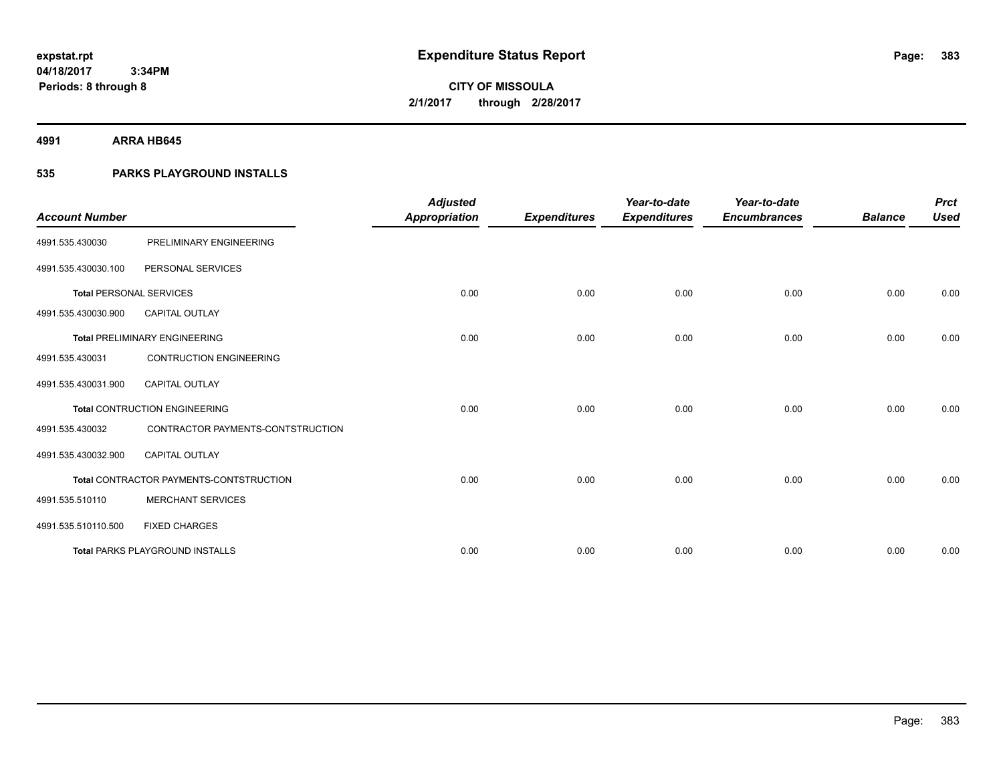**4991 ARRA HB645**

## **535 PARKS PLAYGROUND INSTALLS**

| <b>Account Number</b>          |                                         | <b>Adjusted</b><br><b>Appropriation</b> | <b>Expenditures</b> | Year-to-date<br><b>Expenditures</b> | Year-to-date<br><b>Encumbrances</b> | <b>Balance</b> | <b>Prct</b><br><b>Used</b> |
|--------------------------------|-----------------------------------------|-----------------------------------------|---------------------|-------------------------------------|-------------------------------------|----------------|----------------------------|
| 4991.535.430030                | PRELIMINARY ENGINEERING                 |                                         |                     |                                     |                                     |                |                            |
| 4991.535.430030.100            | PERSONAL SERVICES                       |                                         |                     |                                     |                                     |                |                            |
| <b>Total PERSONAL SERVICES</b> |                                         | 0.00                                    | 0.00                | 0.00                                | 0.00                                | 0.00           | 0.00                       |
| 4991.535.430030.900            | CAPITAL OUTLAY                          |                                         |                     |                                     |                                     |                |                            |
|                                | <b>Total PRELIMINARY ENGINEERING</b>    | 0.00                                    | 0.00                | 0.00                                | 0.00                                | 0.00           | 0.00                       |
| 4991.535.430031                | <b>CONTRUCTION ENGINEERING</b>          |                                         |                     |                                     |                                     |                |                            |
| 4991.535.430031.900            | <b>CAPITAL OUTLAY</b>                   |                                         |                     |                                     |                                     |                |                            |
|                                | <b>Total CONTRUCTION ENGINEERING</b>    | 0.00                                    | 0.00                | 0.00                                | 0.00                                | 0.00           | 0.00                       |
| 4991.535.430032                | CONTRACTOR PAYMENTS-CONTSTRUCTION       |                                         |                     |                                     |                                     |                |                            |
| 4991.535.430032.900            | <b>CAPITAL OUTLAY</b>                   |                                         |                     |                                     |                                     |                |                            |
|                                | Total CONTRACTOR PAYMENTS-CONTSTRUCTION | 0.00                                    | 0.00                | 0.00                                | 0.00                                | 0.00           | 0.00                       |
| 4991.535.510110                | <b>MERCHANT SERVICES</b>                |                                         |                     |                                     |                                     |                |                            |
| 4991.535.510110.500            | <b>FIXED CHARGES</b>                    |                                         |                     |                                     |                                     |                |                            |
|                                | <b>Total PARKS PLAYGROUND INSTALLS</b>  | 0.00                                    | 0.00                | 0.00                                | 0.00                                | 0.00           | 0.00                       |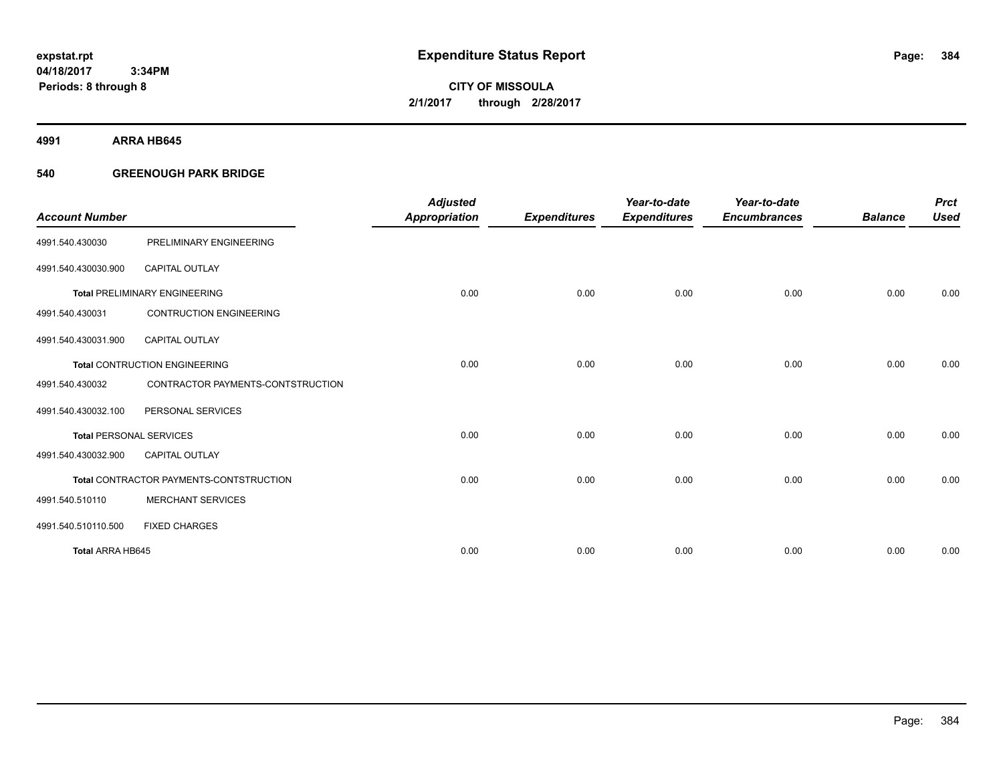**CITY OF MISSOULA 2/1/2017 through 2/28/2017**

**4991 ARRA HB645**

### **540 GREENOUGH PARK BRIDGE**

| <b>Account Number</b>          |                                         | <b>Adjusted</b><br><b>Appropriation</b> | <b>Expenditures</b> | Year-to-date<br><b>Expenditures</b> | Year-to-date<br><b>Encumbrances</b> | <b>Balance</b> | <b>Prct</b><br><b>Used</b> |
|--------------------------------|-----------------------------------------|-----------------------------------------|---------------------|-------------------------------------|-------------------------------------|----------------|----------------------------|
| 4991.540.430030                | PRELIMINARY ENGINEERING                 |                                         |                     |                                     |                                     |                |                            |
| 4991.540.430030.900            | <b>CAPITAL OUTLAY</b>                   |                                         |                     |                                     |                                     |                |                            |
|                                | <b>Total PRELIMINARY ENGINEERING</b>    | 0.00                                    | 0.00                | 0.00                                | 0.00                                | 0.00           | 0.00                       |
| 4991.540.430031                | <b>CONTRUCTION ENGINEERING</b>          |                                         |                     |                                     |                                     |                |                            |
| 4991.540.430031.900            | <b>CAPITAL OUTLAY</b>                   |                                         |                     |                                     |                                     |                |                            |
|                                | <b>Total CONTRUCTION ENGINEERING</b>    | 0.00                                    | 0.00                | 0.00                                | 0.00                                | 0.00           | 0.00                       |
| 4991.540.430032                | CONTRACTOR PAYMENTS-CONTSTRUCTION       |                                         |                     |                                     |                                     |                |                            |
| 4991.540.430032.100            | PERSONAL SERVICES                       |                                         |                     |                                     |                                     |                |                            |
| <b>Total PERSONAL SERVICES</b> |                                         | 0.00                                    | 0.00                | 0.00                                | 0.00                                | 0.00           | 0.00                       |
| 4991.540.430032.900            | <b>CAPITAL OUTLAY</b>                   |                                         |                     |                                     |                                     |                |                            |
|                                | Total CONTRACTOR PAYMENTS-CONTSTRUCTION | 0.00                                    | 0.00                | 0.00                                | 0.00                                | 0.00           | 0.00                       |
| 4991.540.510110                | <b>MERCHANT SERVICES</b>                |                                         |                     |                                     |                                     |                |                            |
| 4991.540.510110.500            | <b>FIXED CHARGES</b>                    |                                         |                     |                                     |                                     |                |                            |
| Total ARRA HB645               |                                         | 0.00                                    | 0.00                | 0.00                                | 0.00                                | 0.00           | 0.00                       |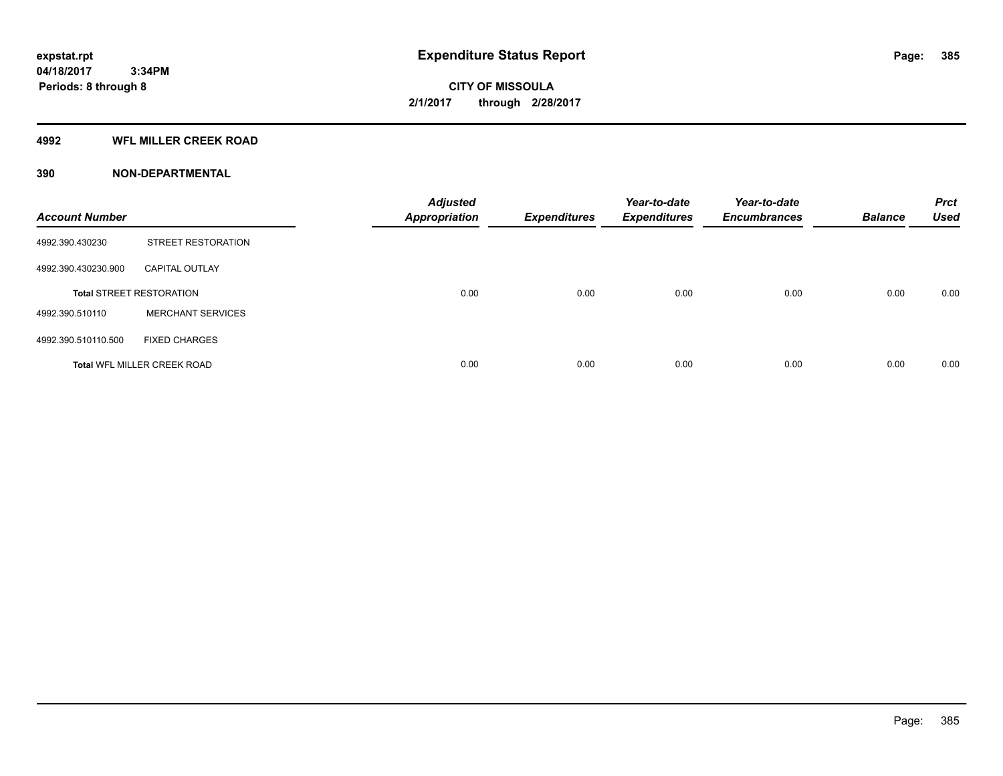#### **4992 WFL MILLER CREEK ROAD**

| <b>Account Number</b> |                                    | <b>Adjusted</b><br><b>Appropriation</b> | <b>Expenditures</b> | Year-to-date<br><b>Expenditures</b> | Year-to-date<br><b>Encumbrances</b> | <b>Balance</b> | <b>Prct</b><br><b>Used</b> |
|-----------------------|------------------------------------|-----------------------------------------|---------------------|-------------------------------------|-------------------------------------|----------------|----------------------------|
| 4992.390.430230       | <b>STREET RESTORATION</b>          |                                         |                     |                                     |                                     |                |                            |
| 4992.390.430230.900   | <b>CAPITAL OUTLAY</b>              |                                         |                     |                                     |                                     |                |                            |
|                       | <b>Total STREET RESTORATION</b>    | 0.00                                    | 0.00                | 0.00                                | 0.00                                | 0.00           | 0.00                       |
| 4992.390.510110       | <b>MERCHANT SERVICES</b>           |                                         |                     |                                     |                                     |                |                            |
| 4992.390.510110.500   | <b>FIXED CHARGES</b>               |                                         |                     |                                     |                                     |                |                            |
|                       | <b>Total WFL MILLER CREEK ROAD</b> | 0.00                                    | 0.00                | 0.00                                | 0.00                                | 0.00           | 0.00                       |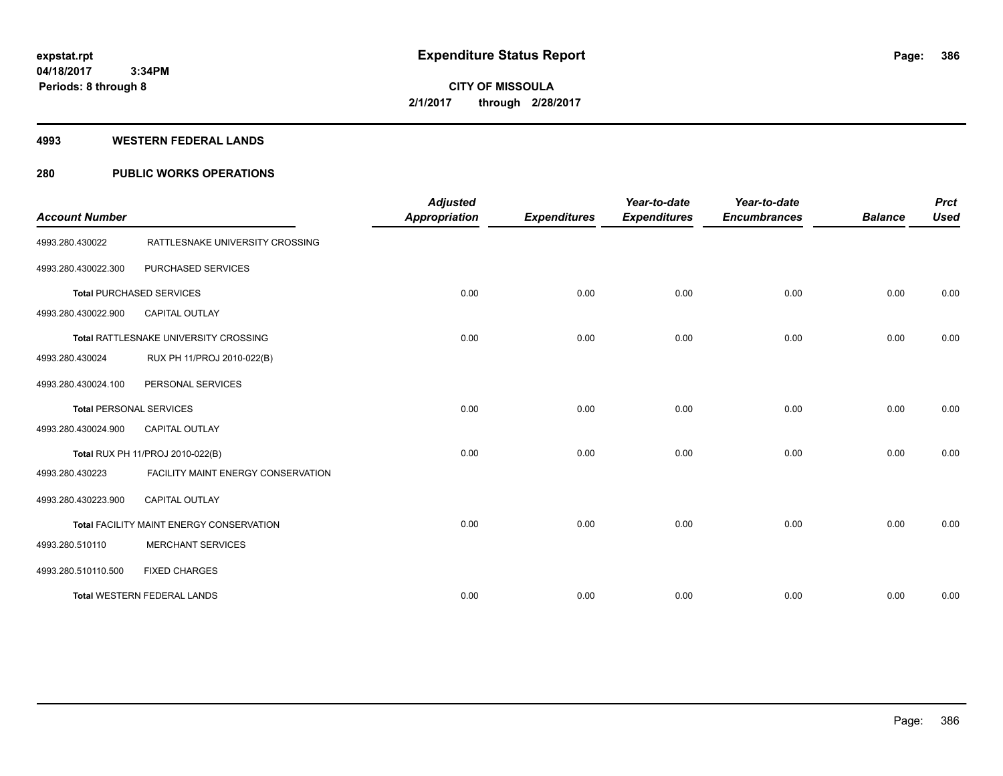**Periods: 8 through 8**

**CITY OF MISSOULA 2/1/2017 through 2/28/2017**

#### **4993 WESTERN FEDERAL LANDS**

### **280 PUBLIC WORKS OPERATIONS**

| <b>Account Number</b>          |                                          | <b>Adjusted</b><br><b>Appropriation</b> | <b>Expenditures</b> | Year-to-date<br><b>Expenditures</b> | Year-to-date<br><b>Encumbrances</b> | <b>Balance</b> | <b>Prct</b><br><b>Used</b> |
|--------------------------------|------------------------------------------|-----------------------------------------|---------------------|-------------------------------------|-------------------------------------|----------------|----------------------------|
| 4993.280.430022                | RATTLESNAKE UNIVERSITY CROSSING          |                                         |                     |                                     |                                     |                |                            |
| 4993.280.430022.300            | PURCHASED SERVICES                       |                                         |                     |                                     |                                     |                |                            |
|                                | <b>Total PURCHASED SERVICES</b>          | 0.00                                    | 0.00                | 0.00                                | 0.00                                | 0.00           | 0.00                       |
| 4993.280.430022.900            | <b>CAPITAL OUTLAY</b>                    |                                         |                     |                                     |                                     |                |                            |
|                                | Total RATTLESNAKE UNIVERSITY CROSSING    | 0.00                                    | 0.00                | 0.00                                | 0.00                                | 0.00           | 0.00                       |
| 4993.280.430024                | RUX PH 11/PROJ 2010-022(B)               |                                         |                     |                                     |                                     |                |                            |
| 4993.280.430024.100            | PERSONAL SERVICES                        |                                         |                     |                                     |                                     |                |                            |
| <b>Total PERSONAL SERVICES</b> |                                          | 0.00                                    | 0.00                | 0.00                                | 0.00                                | 0.00           | 0.00                       |
| 4993.280.430024.900            | <b>CAPITAL OUTLAY</b>                    |                                         |                     |                                     |                                     |                |                            |
|                                | Total RUX PH 11/PROJ 2010-022(B)         | 0.00                                    | 0.00                | 0.00                                | 0.00                                | 0.00           | 0.00                       |
| 4993.280.430223                | FACILITY MAINT ENERGY CONSERVATION       |                                         |                     |                                     |                                     |                |                            |
| 4993.280.430223.900            | <b>CAPITAL OUTLAY</b>                    |                                         |                     |                                     |                                     |                |                            |
|                                | Total FACILITY MAINT ENERGY CONSERVATION | 0.00                                    | 0.00                | 0.00                                | 0.00                                | 0.00           | 0.00                       |
| 4993.280.510110                | <b>MERCHANT SERVICES</b>                 |                                         |                     |                                     |                                     |                |                            |
| 4993.280.510110.500            | <b>FIXED CHARGES</b>                     |                                         |                     |                                     |                                     |                |                            |
|                                | <b>Total WESTERN FEDERAL LANDS</b>       | 0.00                                    | 0.00                | 0.00                                | 0.00                                | 0.00           | 0.00                       |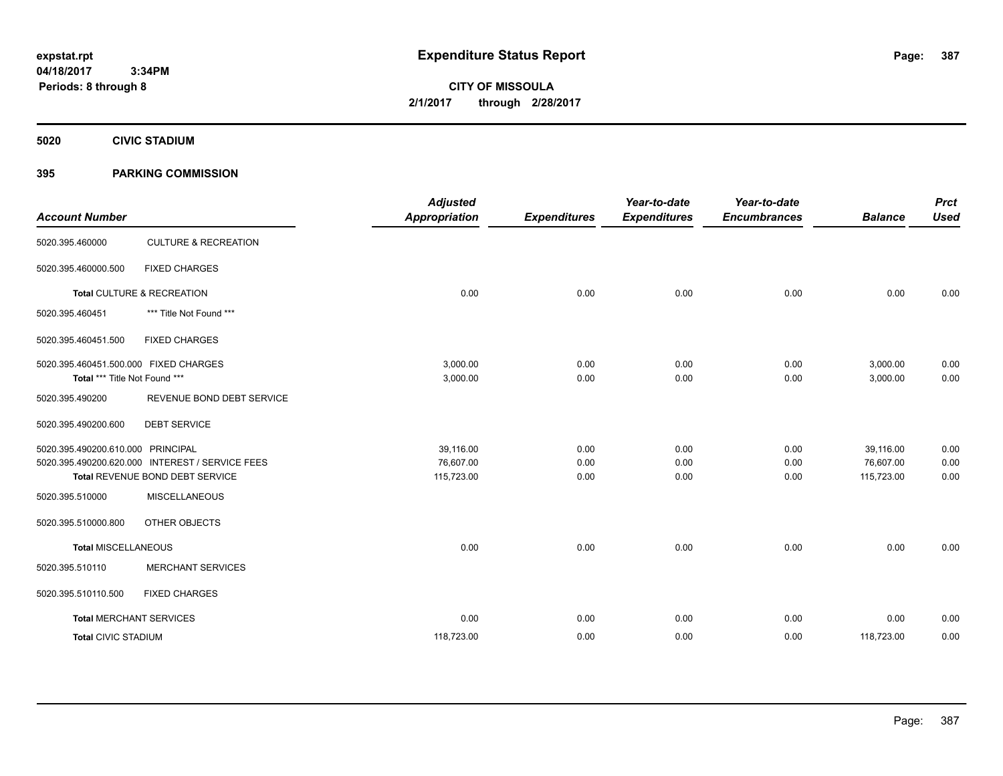**CITY OF MISSOULA 2/1/2017 through 2/28/2017**

**5020 CIVIC STADIUM**

### **395 PARKING COMMISSION**

| <b>Account Number</b>                                                  |                                                 | <b>Adjusted</b><br><b>Appropriation</b> | <b>Expenditures</b> | Year-to-date<br><b>Expenditures</b> | Year-to-date<br><b>Encumbrances</b> | <b>Balance</b>       | <b>Prct</b><br><b>Used</b> |
|------------------------------------------------------------------------|-------------------------------------------------|-----------------------------------------|---------------------|-------------------------------------|-------------------------------------|----------------------|----------------------------|
| 5020.395.460000                                                        | <b>CULTURE &amp; RECREATION</b>                 |                                         |                     |                                     |                                     |                      |                            |
| 5020.395.460000.500                                                    | <b>FIXED CHARGES</b>                            |                                         |                     |                                     |                                     |                      |                            |
|                                                                        | Total CULTURE & RECREATION                      | 0.00                                    | 0.00                | 0.00                                | 0.00                                | 0.00                 | 0.00                       |
| 5020.395.460451                                                        | *** Title Not Found ***                         |                                         |                     |                                     |                                     |                      |                            |
| 5020.395.460451.500                                                    | <b>FIXED CHARGES</b>                            |                                         |                     |                                     |                                     |                      |                            |
| 5020.395.460451.500.000 FIXED CHARGES<br>Total *** Title Not Found *** |                                                 | 3,000.00<br>3,000.00                    | 0.00<br>0.00        | 0.00<br>0.00                        | 0.00<br>0.00                        | 3,000.00<br>3,000.00 | 0.00<br>0.00               |
| 5020.395.490200                                                        | REVENUE BOND DEBT SERVICE                       |                                         |                     |                                     |                                     |                      |                            |
| 5020.395.490200.600                                                    | <b>DEBT SERVICE</b>                             |                                         |                     |                                     |                                     |                      |                            |
| 5020.395.490200.610.000 PRINCIPAL                                      |                                                 | 39,116.00                               | 0.00                | 0.00                                | 0.00                                | 39.116.00            | 0.00                       |
|                                                                        | 5020.395.490200.620.000 INTEREST / SERVICE FEES | 76,607.00                               | 0.00                | 0.00                                | 0.00                                | 76,607.00            | 0.00                       |
|                                                                        | Total REVENUE BOND DEBT SERVICE                 | 115,723.00                              | 0.00                | 0.00                                | 0.00                                | 115,723.00           | 0.00                       |
| 5020.395.510000                                                        | <b>MISCELLANEOUS</b>                            |                                         |                     |                                     |                                     |                      |                            |
| 5020.395.510000.800                                                    | OTHER OBJECTS                                   |                                         |                     |                                     |                                     |                      |                            |
| <b>Total MISCELLANEOUS</b>                                             |                                                 | 0.00                                    | 0.00                | 0.00                                | 0.00                                | 0.00                 | 0.00                       |
| 5020.395.510110                                                        | <b>MERCHANT SERVICES</b>                        |                                         |                     |                                     |                                     |                      |                            |
| 5020.395.510110.500                                                    | <b>FIXED CHARGES</b>                            |                                         |                     |                                     |                                     |                      |                            |
| <b>Total MERCHANT SERVICES</b>                                         |                                                 | 0.00                                    | 0.00                | 0.00                                | 0.00                                | 0.00                 | 0.00                       |
| <b>Total CIVIC STADIUM</b>                                             |                                                 | 118,723.00                              | 0.00                | 0.00                                | 0.00                                | 118,723.00           | 0.00                       |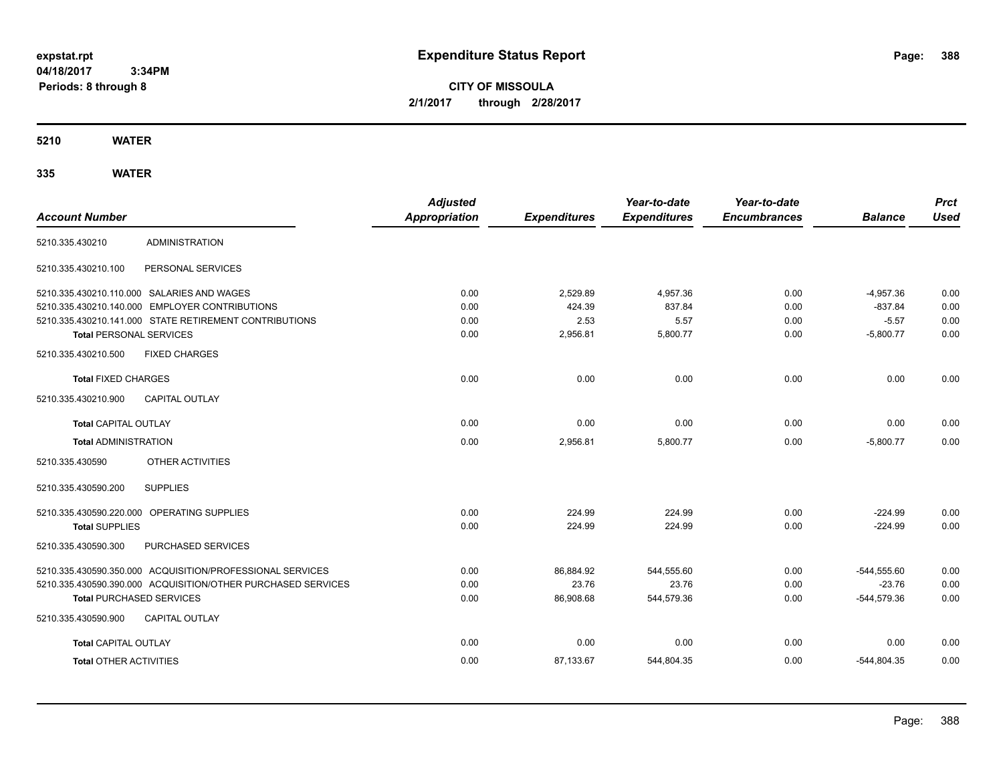**CITY OF MISSOULA 2/1/2017 through 2/28/2017**

**5210 WATER**

|                                            |                                                              | <b>Adjusted</b>      |                     | Year-to-date        | Year-to-date        |                | <b>Prct</b> |
|--------------------------------------------|--------------------------------------------------------------|----------------------|---------------------|---------------------|---------------------|----------------|-------------|
| <b>Account Number</b>                      |                                                              | <b>Appropriation</b> | <b>Expenditures</b> | <b>Expenditures</b> | <b>Encumbrances</b> | <b>Balance</b> | <b>Used</b> |
| 5210.335.430210                            | <b>ADMINISTRATION</b>                                        |                      |                     |                     |                     |                |             |
| 5210.335.430210.100                        | PERSONAL SERVICES                                            |                      |                     |                     |                     |                |             |
| 5210.335.430210.110.000 SALARIES AND WAGES |                                                              | 0.00                 | 2,529.89            | 4.957.36            | 0.00                | $-4,957.36$    | 0.00        |
|                                            | 5210.335.430210.140.000 EMPLOYER CONTRIBUTIONS               | 0.00                 | 424.39              | 837.84              | 0.00                | $-837.84$      | 0.00        |
|                                            | 5210.335.430210.141.000 STATE RETIREMENT CONTRIBUTIONS       | 0.00                 | 2.53                | 5.57                | 0.00                | $-5.57$        | 0.00        |
| <b>Total PERSONAL SERVICES</b>             |                                                              | 0.00                 | 2,956.81            | 5,800.77            | 0.00                | $-5,800.77$    | 0.00        |
| 5210.335.430210.500                        | <b>FIXED CHARGES</b>                                         |                      |                     |                     |                     |                |             |
| <b>Total FIXED CHARGES</b>                 |                                                              | 0.00                 | 0.00                | 0.00                | 0.00                | 0.00           | 0.00        |
| 5210.335.430210.900                        | <b>CAPITAL OUTLAY</b>                                        |                      |                     |                     |                     |                |             |
| <b>Total CAPITAL OUTLAY</b>                |                                                              | 0.00                 | 0.00                | 0.00                | 0.00                | 0.00           | 0.00        |
| <b>Total ADMINISTRATION</b>                |                                                              | 0.00                 | 2,956.81            | 5,800.77            | 0.00                | $-5.800.77$    | 0.00        |
| 5210.335.430590                            | OTHER ACTIVITIES                                             |                      |                     |                     |                     |                |             |
| 5210.335.430590.200                        | <b>SUPPLIES</b>                                              |                      |                     |                     |                     |                |             |
| 5210.335.430590.220.000 OPERATING SUPPLIES |                                                              | 0.00                 | 224.99              | 224.99              | 0.00                | $-224.99$      | 0.00        |
| <b>Total SUPPLIES</b>                      |                                                              | 0.00                 | 224.99              | 224.99              | 0.00                | $-224.99$      | 0.00        |
| 5210.335.430590.300                        | PURCHASED SERVICES                                           |                      |                     |                     |                     |                |             |
|                                            | 5210.335.430590.350.000 ACQUISITION/PROFESSIONAL SERVICES    | 0.00                 | 86,884.92           | 544,555.60          | 0.00                | $-544,555.60$  | 0.00        |
|                                            | 5210.335.430590.390.000 ACQUISITION/OTHER PURCHASED SERVICES | 0.00                 | 23.76               | 23.76               | 0.00                | $-23.76$       | 0.00        |
| <b>Total PURCHASED SERVICES</b>            |                                                              | 0.00                 | 86,908.68           | 544,579.36          | 0.00                | $-544,579.36$  | 0.00        |
| 5210.335.430590.900                        | <b>CAPITAL OUTLAY</b>                                        |                      |                     |                     |                     |                |             |
| <b>Total CAPITAL OUTLAY</b>                |                                                              | 0.00                 | 0.00                | 0.00                | 0.00                | 0.00           | 0.00        |
| <b>Total OTHER ACTIVITIES</b>              |                                                              | 0.00                 | 87,133.67           | 544,804.35          | 0.00                | $-544,804.35$  | 0.00        |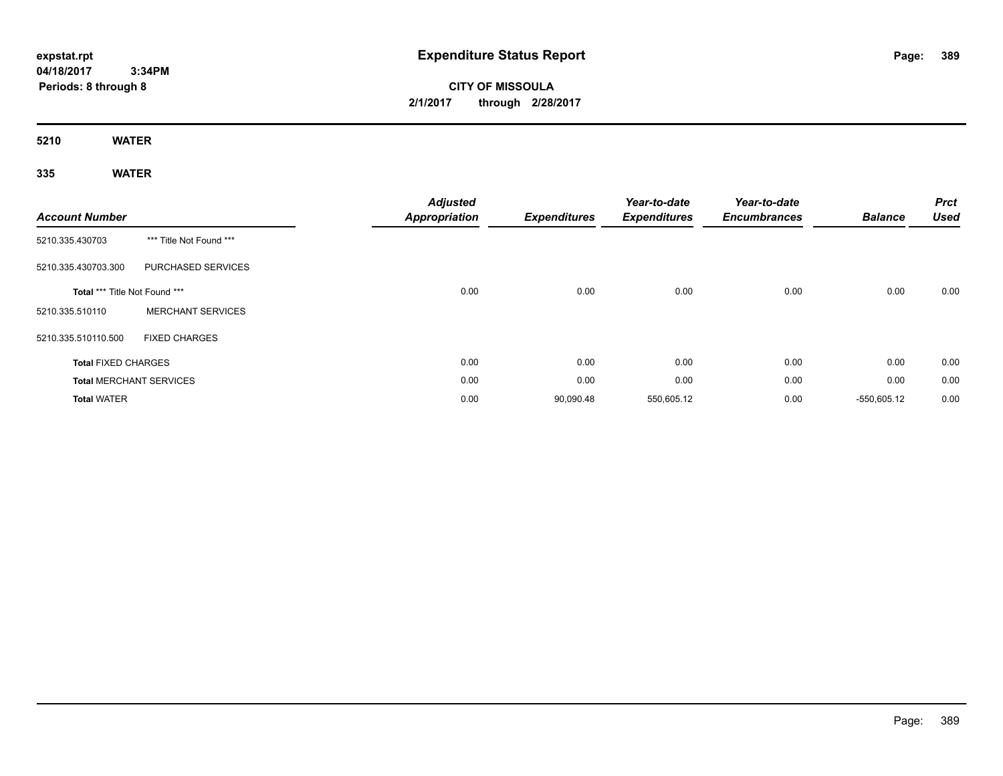**CITY OF MISSOULA 2/1/2017 through 2/28/2017**

**5210 WATER**

| <b>Account Number</b>          |                           | <b>Adjusted</b><br><b>Appropriation</b> | <b>Expenditures</b> | Year-to-date<br><b>Expenditures</b> | Year-to-date<br><b>Encumbrances</b> | <b>Balance</b> | <b>Prct</b><br><b>Used</b> |
|--------------------------------|---------------------------|-----------------------------------------|---------------------|-------------------------------------|-------------------------------------|----------------|----------------------------|
| 5210.335.430703                | *** Title Not Found ***   |                                         |                     |                                     |                                     |                |                            |
| 5210.335.430703.300            | <b>PURCHASED SERVICES</b> |                                         |                     |                                     |                                     |                |                            |
| Total *** Title Not Found ***  |                           | 0.00                                    | 0.00                | 0.00                                | 0.00                                | 0.00           | 0.00                       |
| 5210.335.510110                | <b>MERCHANT SERVICES</b>  |                                         |                     |                                     |                                     |                |                            |
| 5210.335.510110.500            | <b>FIXED CHARGES</b>      |                                         |                     |                                     |                                     |                |                            |
| <b>Total FIXED CHARGES</b>     |                           | 0.00                                    | 0.00                | 0.00                                | 0.00                                | 0.00           | 0.00                       |
| <b>Total MERCHANT SERVICES</b> |                           | 0.00                                    | 0.00                | 0.00                                | 0.00                                | 0.00           | 0.00                       |
| <b>Total WATER</b>             |                           | 0.00                                    | 90,090.48           | 550,605.12                          | 0.00                                | $-550,605.12$  | 0.00                       |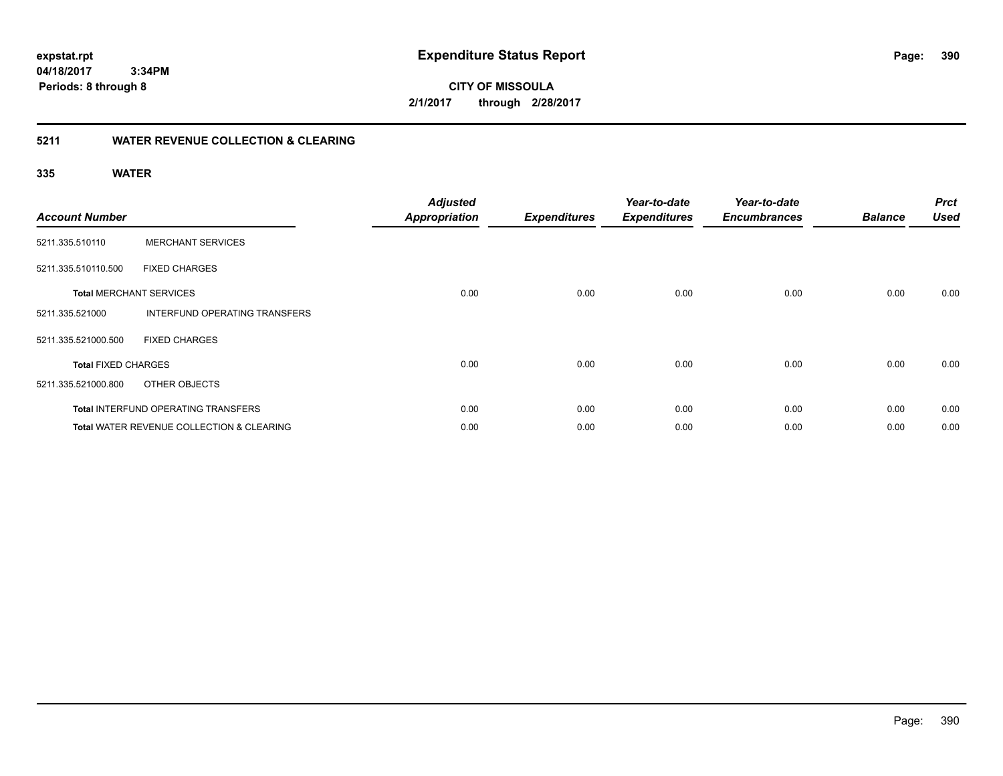**390**

**04/18/2017 3:34PM Periods: 8 through 8**

**CITY OF MISSOULA 2/1/2017 through 2/28/2017**

### **5211 WATER REVENUE COLLECTION & CLEARING**

| <b>Account Number</b>      |                                                      | <b>Adjusted</b><br>Appropriation | <b>Expenditures</b> | Year-to-date<br><b>Expenditures</b> | Year-to-date<br><b>Encumbrances</b> | <b>Balance</b> | <b>Prct</b><br><b>Used</b> |
|----------------------------|------------------------------------------------------|----------------------------------|---------------------|-------------------------------------|-------------------------------------|----------------|----------------------------|
| 5211.335.510110            | <b>MERCHANT SERVICES</b>                             |                                  |                     |                                     |                                     |                |                            |
| 5211.335.510110.500        | <b>FIXED CHARGES</b>                                 |                                  |                     |                                     |                                     |                |                            |
|                            | <b>Total MERCHANT SERVICES</b>                       | 0.00                             | 0.00                | 0.00                                | 0.00                                | 0.00           | 0.00                       |
| 5211.335.521000            | INTERFUND OPERATING TRANSFERS                        |                                  |                     |                                     |                                     |                |                            |
| 5211.335.521000.500        | <b>FIXED CHARGES</b>                                 |                                  |                     |                                     |                                     |                |                            |
| <b>Total FIXED CHARGES</b> |                                                      | 0.00                             | 0.00                | 0.00                                | 0.00                                | 0.00           | 0.00                       |
| 5211.335.521000.800        | OTHER OBJECTS                                        |                                  |                     |                                     |                                     |                |                            |
|                            | <b>Total INTERFUND OPERATING TRANSFERS</b>           | 0.00                             | 0.00                | 0.00                                | 0.00                                | 0.00           | 0.00                       |
|                            | <b>Total WATER REVENUE COLLECTION &amp; CLEARING</b> | 0.00                             | 0.00                | 0.00                                | 0.00                                | 0.00           | 0.00                       |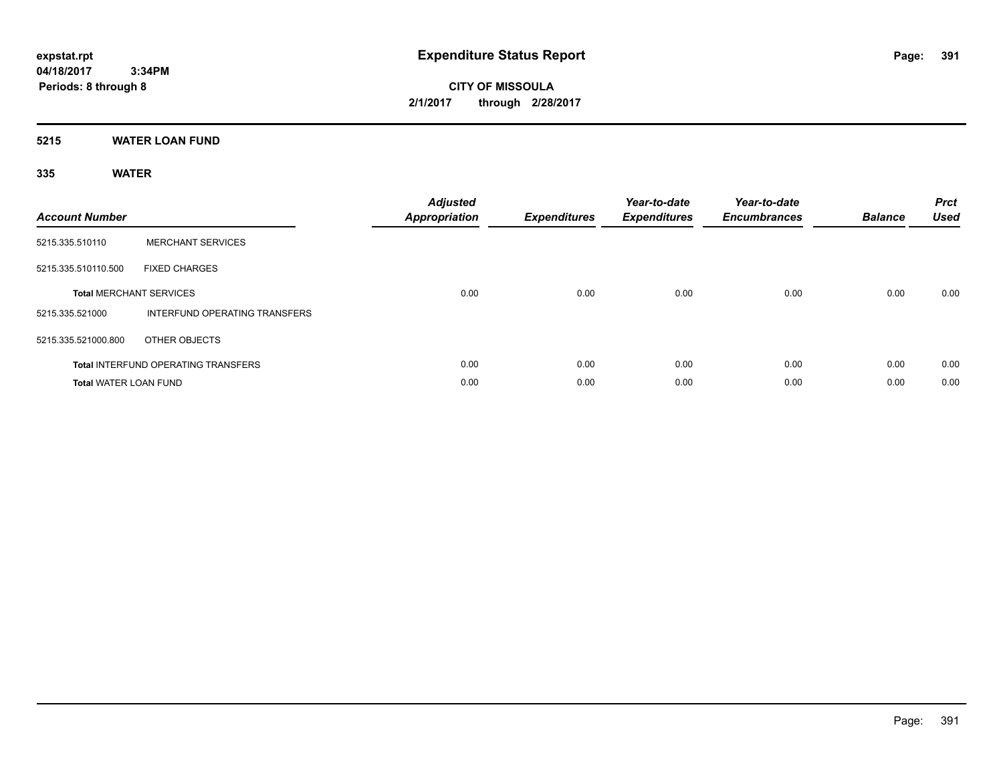**CITY OF MISSOULA 2/1/2017 through 2/28/2017**

### **5215 WATER LOAN FUND**

| <b>Account Number</b>        |                                            | <b>Adjusted</b><br><b>Appropriation</b> | <b>Expenditures</b> | Year-to-date<br><b>Expenditures</b> | Year-to-date<br><b>Encumbrances</b> | <b>Balance</b> | <b>Prct</b><br><b>Used</b> |
|------------------------------|--------------------------------------------|-----------------------------------------|---------------------|-------------------------------------|-------------------------------------|----------------|----------------------------|
| 5215.335.510110              | <b>MERCHANT SERVICES</b>                   |                                         |                     |                                     |                                     |                |                            |
| 5215.335.510110.500          | <b>FIXED CHARGES</b>                       |                                         |                     |                                     |                                     |                |                            |
|                              | <b>Total MERCHANT SERVICES</b>             | 0.00                                    | 0.00                | 0.00                                | 0.00                                | 0.00           | 0.00                       |
| 5215.335.521000              | INTERFUND OPERATING TRANSFERS              |                                         |                     |                                     |                                     |                |                            |
| 5215.335.521000.800          | OTHER OBJECTS                              |                                         |                     |                                     |                                     |                |                            |
|                              | <b>Total INTERFUND OPERATING TRANSFERS</b> | 0.00                                    | 0.00                | 0.00                                | 0.00                                | 0.00           | 0.00                       |
| <b>Total WATER LOAN FUND</b> |                                            | 0.00                                    | 0.00                | 0.00                                | 0.00                                | 0.00           | 0.00                       |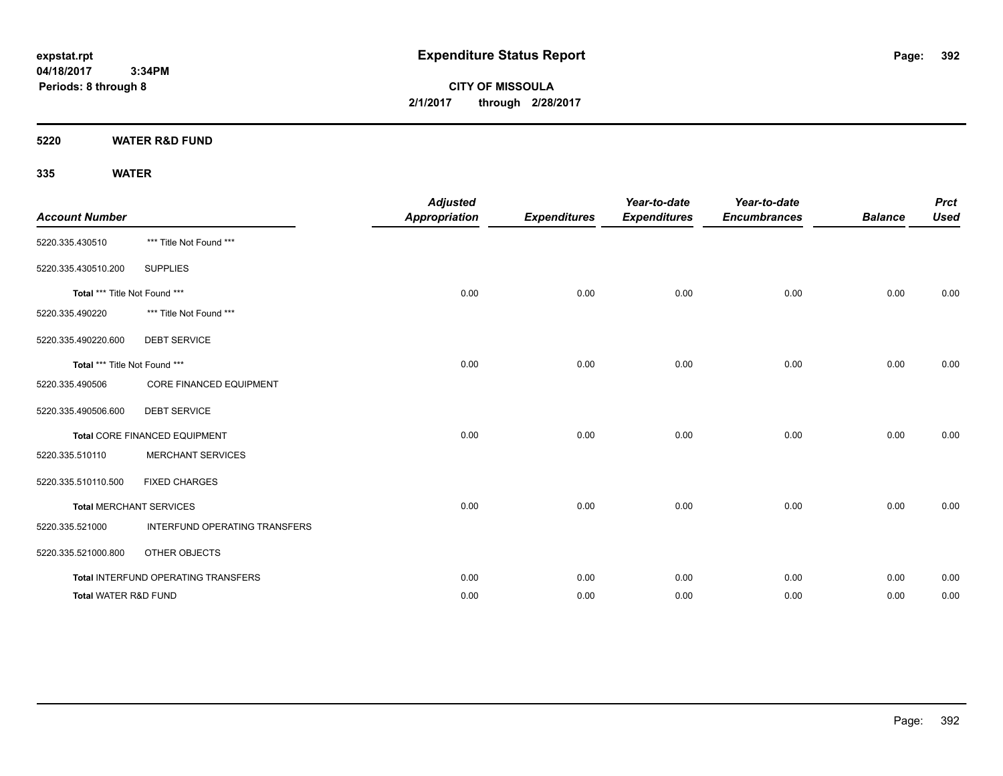**CITY OF MISSOULA 2/1/2017 through 2/28/2017**

**5220 WATER R&D FUND**

| <b>Account Number</b>         |                                     | <b>Adjusted</b><br><b>Appropriation</b> | <b>Expenditures</b> | Year-to-date<br><b>Expenditures</b> | Year-to-date<br><b>Encumbrances</b> | <b>Balance</b> | <b>Prct</b><br><b>Used</b> |
|-------------------------------|-------------------------------------|-----------------------------------------|---------------------|-------------------------------------|-------------------------------------|----------------|----------------------------|
| 5220.335.430510               | *** Title Not Found ***             |                                         |                     |                                     |                                     |                |                            |
| 5220.335.430510.200           | <b>SUPPLIES</b>                     |                                         |                     |                                     |                                     |                |                            |
| Total *** Title Not Found *** |                                     | 0.00                                    | 0.00                | 0.00                                | 0.00                                | 0.00           | 0.00                       |
| 5220.335.490220               | *** Title Not Found ***             |                                         |                     |                                     |                                     |                |                            |
| 5220.335.490220.600           | <b>DEBT SERVICE</b>                 |                                         |                     |                                     |                                     |                |                            |
| Total *** Title Not Found *** |                                     | 0.00                                    | 0.00                | 0.00                                | 0.00                                | 0.00           | 0.00                       |
| 5220.335.490506               | CORE FINANCED EQUIPMENT             |                                         |                     |                                     |                                     |                |                            |
| 5220.335.490506.600           | <b>DEBT SERVICE</b>                 |                                         |                     |                                     |                                     |                |                            |
|                               | Total CORE FINANCED EQUIPMENT       | 0.00                                    | 0.00                | 0.00                                | 0.00                                | 0.00           | 0.00                       |
| 5220.335.510110               | <b>MERCHANT SERVICES</b>            |                                         |                     |                                     |                                     |                |                            |
| 5220.335.510110.500           | <b>FIXED CHARGES</b>                |                                         |                     |                                     |                                     |                |                            |
|                               | <b>Total MERCHANT SERVICES</b>      | 0.00                                    | 0.00                | 0.00                                | 0.00                                | 0.00           | 0.00                       |
| 5220.335.521000               | INTERFUND OPERATING TRANSFERS       |                                         |                     |                                     |                                     |                |                            |
| 5220.335.521000.800           | OTHER OBJECTS                       |                                         |                     |                                     |                                     |                |                            |
|                               | Total INTERFUND OPERATING TRANSFERS | 0.00                                    | 0.00                | 0.00                                | 0.00                                | 0.00           | 0.00                       |
| Total WATER R&D FUND          |                                     | 0.00                                    | 0.00                | 0.00                                | 0.00                                | 0.00           | 0.00                       |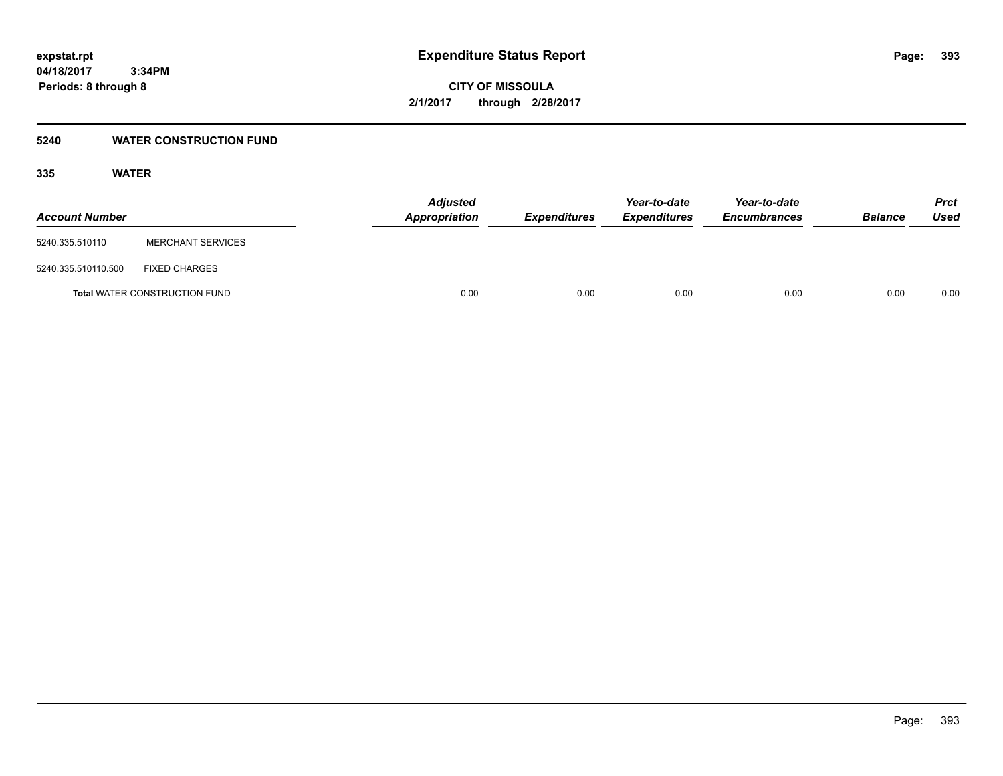**CITY OF MISSOULA 2/1/2017 through 2/28/2017**

### **5240 WATER CONSTRUCTION FUND**

| <b>Account Number</b> |                                      | <b>Adjusted</b><br>Appropriation | <b>Expenditures</b> | Year-to-date<br><b>Expenditures</b> | Year-to-date<br><b>Encumbrances</b> | <b>Balance</b> | <b>Prct</b><br>Used |
|-----------------------|--------------------------------------|----------------------------------|---------------------|-------------------------------------|-------------------------------------|----------------|---------------------|
| 5240.335.510110       | <b>MERCHANT SERVICES</b>             |                                  |                     |                                     |                                     |                |                     |
| 5240.335.510110.500   | <b>FIXED CHARGES</b>                 |                                  |                     |                                     |                                     |                |                     |
|                       | <b>Total WATER CONSTRUCTION FUND</b> | 0.00                             | 0.00                | 0.00                                | 0.00                                | 0.00           | 0.00                |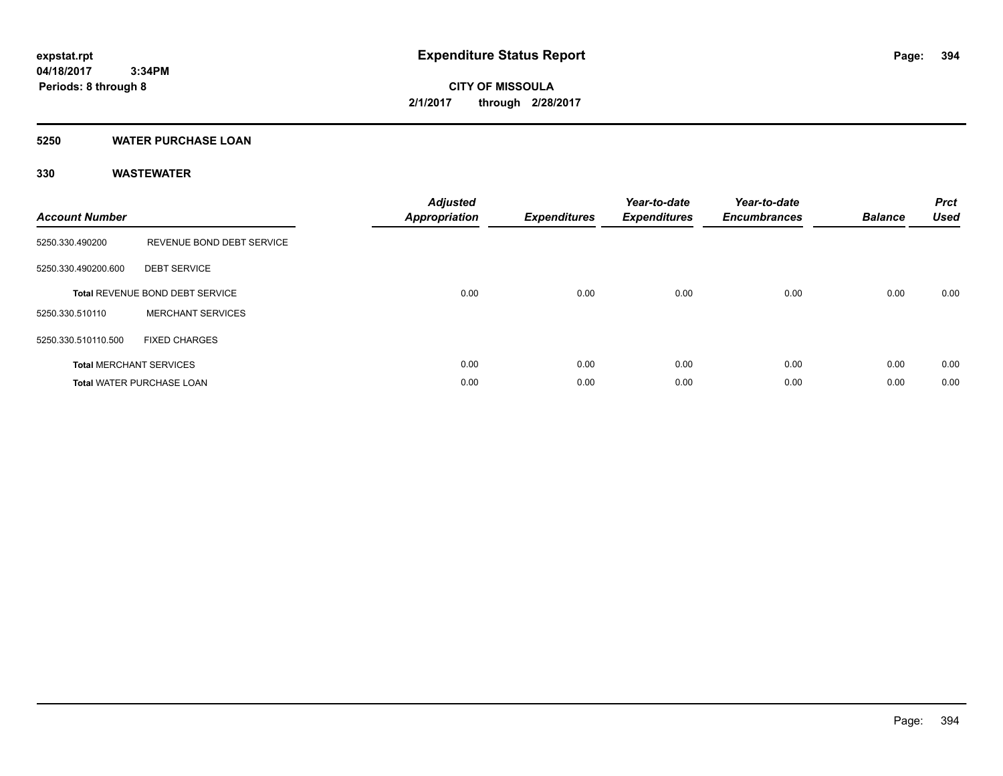**Periods: 8 through 8**

**CITY OF MISSOULA 2/1/2017 through 2/28/2017**

### **5250 WATER PURCHASE LOAN**

 **3:34PM**

### **330 WASTEWATER**

| <b>Account Number</b> |                                  | <b>Adjusted</b><br>Appropriation | <b>Expenditures</b> | Year-to-date<br><b>Expenditures</b> | Year-to-date<br><b>Encumbrances</b> | <b>Balance</b> | <b>Prct</b><br><b>Used</b> |
|-----------------------|----------------------------------|----------------------------------|---------------------|-------------------------------------|-------------------------------------|----------------|----------------------------|
| 5250.330.490200       | REVENUE BOND DEBT SERVICE        |                                  |                     |                                     |                                     |                |                            |
| 5250.330.490200.600   | <b>DEBT SERVICE</b>              |                                  |                     |                                     |                                     |                |                            |
|                       | Total REVENUE BOND DEBT SERVICE  | 0.00                             | 0.00                | 0.00                                | 0.00                                | 0.00           | 0.00                       |
| 5250.330.510110       | <b>MERCHANT SERVICES</b>         |                                  |                     |                                     |                                     |                |                            |
| 5250.330.510110.500   | <b>FIXED CHARGES</b>             |                                  |                     |                                     |                                     |                |                            |
|                       | <b>Total MERCHANT SERVICES</b>   | 0.00                             | 0.00                | 0.00                                | 0.00                                | 0.00           | 0.00                       |
|                       | <b>Total WATER PURCHASE LOAN</b> | 0.00                             | 0.00                | 0.00                                | 0.00                                | 0.00           | 0.00                       |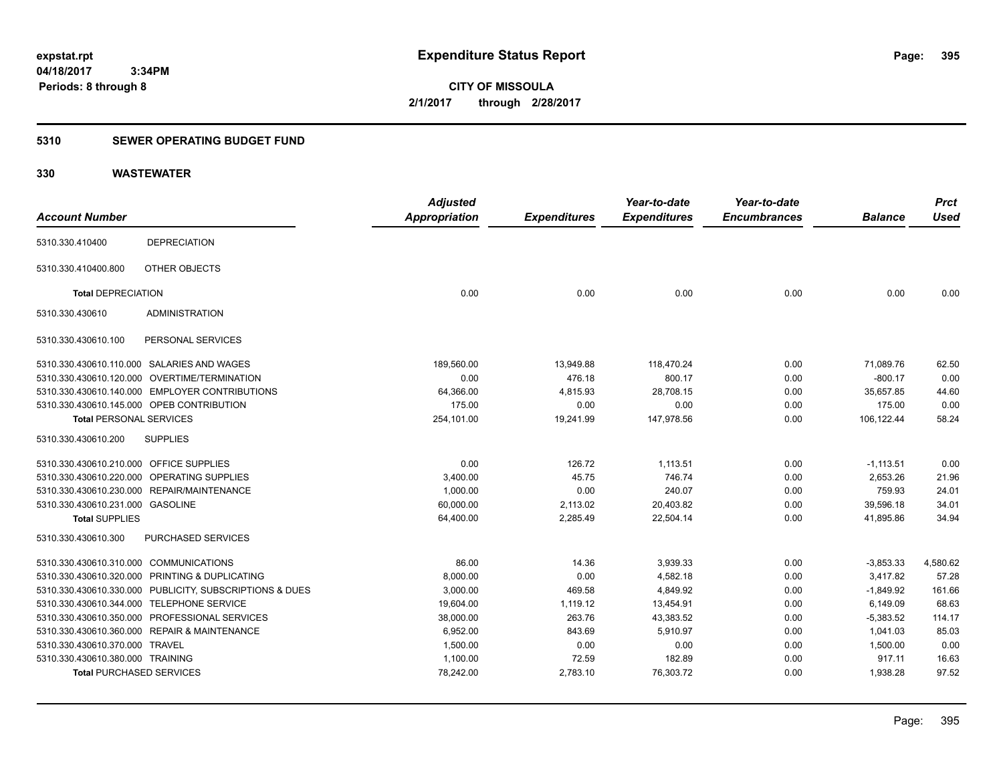**CITY OF MISSOULA 2/1/2017 through 2/28/2017**

### **5310 SEWER OPERATING BUDGET FUND**

### **330 WASTEWATER**

|                                         |                                                         | <b>Adjusted</b>      |                     | Year-to-date        | Year-to-date        |                | <b>Prct</b> |
|-----------------------------------------|---------------------------------------------------------|----------------------|---------------------|---------------------|---------------------|----------------|-------------|
| <b>Account Number</b>                   |                                                         | <b>Appropriation</b> | <b>Expenditures</b> | <b>Expenditures</b> | <b>Encumbrances</b> | <b>Balance</b> | <b>Used</b> |
| 5310.330.410400                         | <b>DEPRECIATION</b>                                     |                      |                     |                     |                     |                |             |
| 5310.330.410400.800                     | OTHER OBJECTS                                           |                      |                     |                     |                     |                |             |
| <b>Total DEPRECIATION</b>               |                                                         | 0.00                 | 0.00                | 0.00                | 0.00                | 0.00           | 0.00        |
| 5310.330.430610                         | <b>ADMINISTRATION</b>                                   |                      |                     |                     |                     |                |             |
| 5310.330.430610.100                     | PERSONAL SERVICES                                       |                      |                     |                     |                     |                |             |
|                                         | 5310.330.430610.110.000 SALARIES AND WAGES              | 189,560.00           | 13,949.88           | 118,470.24          | 0.00                | 71,089.76      | 62.50       |
|                                         | 5310.330.430610.120.000 OVERTIME/TERMINATION            | 0.00                 | 476.18              | 800.17              | 0.00                | $-800.17$      | 0.00        |
|                                         | 5310.330.430610.140.000 EMPLOYER CONTRIBUTIONS          | 64,366.00            | 4,815.93            | 28,708.15           | 0.00                | 35,657.85      | 44.60       |
|                                         | 5310.330.430610.145.000 OPEB CONTRIBUTION               | 175.00               | 0.00                | 0.00                | 0.00                | 175.00         | 0.00        |
| <b>Total PERSONAL SERVICES</b>          |                                                         | 254,101.00           | 19,241.99           | 147,978.56          | 0.00                | 106,122.44     | 58.24       |
| 5310.330.430610.200                     | <b>SUPPLIES</b>                                         |                      |                     |                     |                     |                |             |
| 5310.330.430610.210.000 OFFICE SUPPLIES |                                                         | 0.00                 | 126.72              | 1,113.51            | 0.00                | $-1,113.51$    | 0.00        |
|                                         | 5310.330.430610.220.000 OPERATING SUPPLIES              | 3,400.00             | 45.75               | 746.74              | 0.00                | 2,653.26       | 21.96       |
|                                         | 5310.330.430610.230.000 REPAIR/MAINTENANCE              | 1,000.00             | 0.00                | 240.07              | 0.00                | 759.93         | 24.01       |
| 5310.330.430610.231.000 GASOLINE        |                                                         | 60,000.00            | 2,113.02            | 20,403.82           | 0.00                | 39,596.18      | 34.01       |
| <b>Total SUPPLIES</b>                   |                                                         | 64,400.00            | 2,285.49            | 22,504.14           | 0.00                | 41,895.86      | 34.94       |
| 5310.330.430610.300                     | PURCHASED SERVICES                                      |                      |                     |                     |                     |                |             |
| 5310.330.430610.310.000 COMMUNICATIONS  |                                                         | 86.00                | 14.36               | 3,939.33            | 0.00                | $-3,853.33$    | 4,580.62    |
|                                         | 5310.330.430610.320.000 PRINTING & DUPLICATING          | 8,000.00             | 0.00                | 4,582.18            | 0.00                | 3,417.82       | 57.28       |
|                                         | 5310.330.430610.330.000 PUBLICITY, SUBSCRIPTIONS & DUES | 3,000.00             | 469.58              | 4,849.92            | 0.00                | $-1,849.92$    | 161.66      |
|                                         | 5310.330.430610.344.000 TELEPHONE SERVICE               | 19,604.00            | 1.119.12            | 13,454.91           | 0.00                | 6.149.09       | 68.63       |
|                                         | 5310.330.430610.350.000 PROFESSIONAL SERVICES           | 38,000.00            | 263.76              | 43,383.52           | 0.00                | $-5,383.52$    | 114.17      |
|                                         | 5310.330.430610.360.000 REPAIR & MAINTENANCE            | 6,952.00             | 843.69              | 5,910.97            | 0.00                | 1,041.03       | 85.03       |
| 5310.330.430610.370.000 TRAVEL          |                                                         | 1,500.00             | 0.00                | 0.00                | 0.00                | 1,500.00       | 0.00        |
| 5310.330.430610.380.000 TRAINING        |                                                         | 1,100.00             | 72.59               | 182.89              | 0.00                | 917.11         | 16.63       |
| <b>Total PURCHASED SERVICES</b>         |                                                         | 78,242.00            | 2,783.10            | 76,303.72           | 0.00                | 1,938.28       | 97.52       |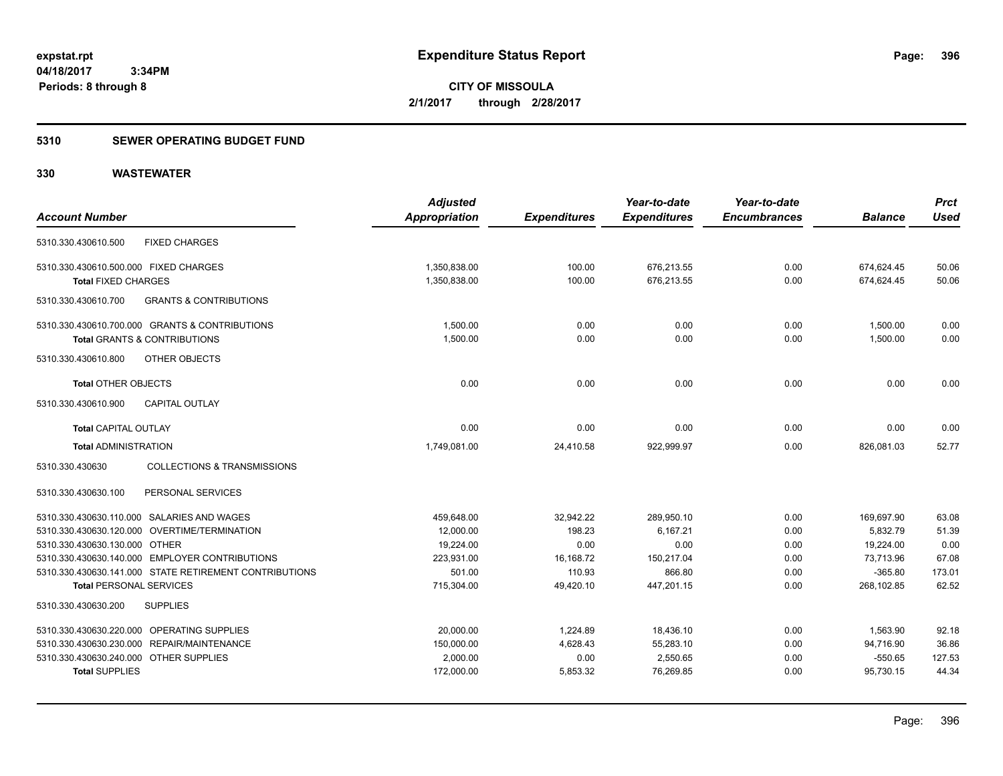## **5310 SEWER OPERATING BUDGET FUND**

### **330 WASTEWATER**

| <b>Account Number</b>                                                                     |                                                        | <b>Adjusted</b><br>Appropriation | <b>Expenditures</b> | Year-to-date<br><b>Expenditures</b> | Year-to-date<br><b>Encumbrances</b> | <b>Balance</b>           | <b>Prct</b><br><b>Used</b> |
|-------------------------------------------------------------------------------------------|--------------------------------------------------------|----------------------------------|---------------------|-------------------------------------|-------------------------------------|--------------------------|----------------------------|
| 5310.330.430610.500                                                                       | <b>FIXED CHARGES</b>                                   |                                  |                     |                                     |                                     |                          |                            |
| 5310.330.430610.500.000 FIXED CHARGES<br><b>Total FIXED CHARGES</b>                       |                                                        | 1,350,838.00<br>1,350,838.00     | 100.00<br>100.00    | 676,213.55<br>676,213.55            | 0.00<br>0.00                        | 674,624.45<br>674,624.45 | 50.06<br>50.06             |
| 5310.330.430610.700                                                                       | <b>GRANTS &amp; CONTRIBUTIONS</b>                      |                                  |                     |                                     |                                     |                          |                            |
| 5310.330.430610.700.000 GRANTS & CONTRIBUTIONS<br><b>Total GRANTS &amp; CONTRIBUTIONS</b> |                                                        | 1,500.00<br>1,500.00             | 0.00<br>0.00        | 0.00<br>0.00                        | 0.00<br>0.00                        | 1,500.00<br>1,500.00     | 0.00<br>0.00               |
| 5310.330.430610.800                                                                       | OTHER OBJECTS                                          |                                  |                     |                                     |                                     |                          |                            |
| <b>Total OTHER OBJECTS</b>                                                                |                                                        | 0.00                             | 0.00                | 0.00                                | 0.00                                | 0.00                     | 0.00                       |
| 5310.330.430610.900                                                                       | CAPITAL OUTLAY                                         |                                  |                     |                                     |                                     |                          |                            |
| <b>Total CAPITAL OUTLAY</b>                                                               |                                                        | 0.00                             | 0.00                | 0.00                                | 0.00                                | 0.00                     | 0.00                       |
| <b>Total ADMINISTRATION</b>                                                               |                                                        | 1,749,081.00                     | 24,410.58           | 922.999.97                          | 0.00                                | 826,081.03               | 52.77                      |
| 5310.330.430630                                                                           | <b>COLLECTIONS &amp; TRANSMISSIONS</b>                 |                                  |                     |                                     |                                     |                          |                            |
| 5310.330.430630.100                                                                       | PERSONAL SERVICES                                      |                                  |                     |                                     |                                     |                          |                            |
| 5310.330.430630.110.000 SALARIES AND WAGES                                                |                                                        | 459,648.00                       | 32,942.22           | 289,950.10                          | 0.00                                | 169,697.90               | 63.08                      |
| 5310.330.430630.120.000 OVERTIME/TERMINATION                                              |                                                        | 12,000.00                        | 198.23              | 6,167.21                            | 0.00                                | 5,832.79                 | 51.39                      |
| 5310.330.430630.130.000 OTHER                                                             |                                                        | 19,224.00                        | 0.00                | 0.00                                | 0.00                                | 19,224.00                | 0.00                       |
| 5310.330.430630.140.000 EMPLOYER CONTRIBUTIONS                                            |                                                        | 223,931.00                       | 16,168.72           | 150,217.04                          | 0.00                                | 73,713.96                | 67.08                      |
| <b>Total PERSONAL SERVICES</b>                                                            | 5310.330.430630.141.000 STATE RETIREMENT CONTRIBUTIONS | 501.00<br>715,304.00             | 110.93<br>49,420.10 | 866.80<br>447,201.15                | 0.00<br>0.00                        | $-365.80$<br>268,102.85  | 173.01<br>62.52            |
| 5310.330.430630.200<br><b>SUPPLIES</b>                                                    |                                                        |                                  |                     |                                     |                                     |                          |                            |
| 5310.330.430630.220.000 OPERATING SUPPLIES                                                |                                                        | 20,000.00                        | 1,224.89            | 18,436.10                           | 0.00                                | 1,563.90                 | 92.18                      |
| 5310.330.430630.230.000 REPAIR/MAINTENANCE                                                |                                                        | 150,000.00                       | 4,628.43            | 55,283.10                           | 0.00                                | 94,716.90                | 36.86                      |
| 5310.330.430630.240.000 OTHER SUPPLIES                                                    |                                                        | 2,000.00                         | 0.00                | 2,550.65                            | 0.00                                | $-550.65$                | 127.53                     |
| <b>Total SUPPLIES</b>                                                                     |                                                        | 172,000.00                       | 5,853.32            | 76.269.85                           | 0.00                                | 95.730.15                | 44.34                      |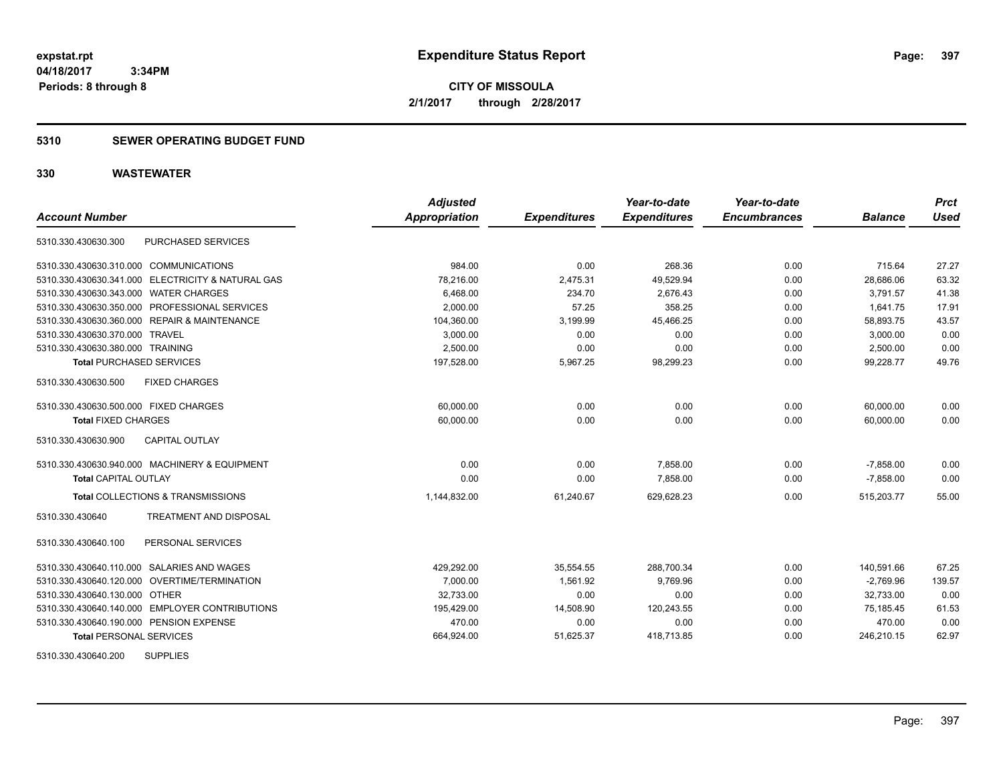**CITY OF MISSOULA 2/1/2017 through 2/28/2017**

### **5310 SEWER OPERATING BUDGET FUND**

| <b>Account Number</b>                      |                                                   | <b>Adjusted</b><br><b>Appropriation</b> | <b>Expenditures</b> | Year-to-date<br><b>Expenditures</b> | Year-to-date<br><b>Encumbrances</b> | <b>Balance</b> | <b>Prct</b><br><b>Used</b> |
|--------------------------------------------|---------------------------------------------------|-----------------------------------------|---------------------|-------------------------------------|-------------------------------------|----------------|----------------------------|
| 5310.330.430630.300                        | PURCHASED SERVICES                                |                                         |                     |                                     |                                     |                |                            |
| 5310.330.430630.310.000 COMMUNICATIONS     |                                                   | 984.00                                  | 0.00                | 268.36                              | 0.00                                | 715.64         | 27.27                      |
|                                            | 5310.330.430630.341.000 ELECTRICITY & NATURAL GAS | 78,216.00                               | 2,475.31            | 49,529.94                           | 0.00                                | 28,686.06      | 63.32                      |
| 5310.330.430630.343.000 WATER CHARGES      |                                                   | 6,468.00                                | 234.70              | 2,676.43                            | 0.00                                | 3,791.57       | 41.38                      |
|                                            | 5310.330.430630.350.000 PROFESSIONAL SERVICES     | 2,000.00                                | 57.25               | 358.25                              | 0.00                                | 1,641.75       | 17.91                      |
|                                            | 5310.330.430630.360.000 REPAIR & MAINTENANCE      | 104,360.00                              | 3,199.99            | 45,466.25                           | 0.00                                | 58,893.75      | 43.57                      |
| 5310.330.430630.370.000 TRAVEL             |                                                   | 3,000.00                                | 0.00                | 0.00                                | 0.00                                | 3,000.00       | 0.00                       |
| 5310.330.430630.380.000 TRAINING           |                                                   | 2,500.00                                | 0.00                | 0.00                                | 0.00                                | 2,500.00       | 0.00                       |
| <b>Total PURCHASED SERVICES</b>            |                                                   | 197,528.00                              | 5,967.25            | 98,299.23                           | 0.00                                | 99,228.77      | 49.76                      |
| 5310.330.430630.500                        | <b>FIXED CHARGES</b>                              |                                         |                     |                                     |                                     |                |                            |
| 5310.330.430630.500.000 FIXED CHARGES      |                                                   | 60,000.00                               | 0.00                | 0.00                                | 0.00                                | 60,000.00      | 0.00                       |
| <b>Total FIXED CHARGES</b>                 |                                                   | 60,000.00                               | 0.00                | 0.00                                | 0.00                                | 60,000.00      | 0.00                       |
| 5310.330.430630.900                        | <b>CAPITAL OUTLAY</b>                             |                                         |                     |                                     |                                     |                |                            |
|                                            | 5310.330.430630.940.000 MACHINERY & EQUIPMENT     | 0.00                                    | 0.00                | 7,858.00                            | 0.00                                | $-7,858.00$    | 0.00                       |
| <b>Total CAPITAL OUTLAY</b>                |                                                   | 0.00                                    | 0.00                | 7,858.00                            | 0.00                                | $-7,858.00$    | 0.00                       |
|                                            | Total COLLECTIONS & TRANSMISSIONS                 | 1,144,832.00                            | 61,240.67           | 629,628.23                          | 0.00                                | 515,203.77     | 55.00                      |
| 5310.330.430640                            | <b>TREATMENT AND DISPOSAL</b>                     |                                         |                     |                                     |                                     |                |                            |
| 5310.330.430640.100                        | PERSONAL SERVICES                                 |                                         |                     |                                     |                                     |                |                            |
| 5310.330.430640.110.000 SALARIES AND WAGES |                                                   | 429,292.00                              | 35,554.55           | 288,700.34                          | 0.00                                | 140,591.66     | 67.25                      |
|                                            | 5310.330.430640.120.000 OVERTIME/TERMINATION      | 7,000.00                                | 1,561.92            | 9,769.96                            | 0.00                                | $-2,769.96$    | 139.57                     |
| 5310.330.430640.130.000 OTHER              |                                                   | 32,733.00                               | 0.00                | 0.00                                | 0.00                                | 32,733.00      | 0.00                       |
|                                            | 5310.330.430640.140.000 EMPLOYER CONTRIBUTIONS    | 195,429.00                              | 14,508.90           | 120,243.55                          | 0.00                                | 75,185.45      | 61.53                      |
| 5310.330.430640.190.000 PENSION EXPENSE    |                                                   | 470.00                                  | 0.00                | 0.00                                | 0.00                                | 470.00         | 0.00                       |
| <b>Total PERSONAL SERVICES</b>             |                                                   | 664,924.00                              | 51,625.37           | 418,713.85                          | 0.00                                | 246,210.15     | 62.97                      |
| 5310.330.430640.200                        | <b>SUPPLIES</b>                                   |                                         |                     |                                     |                                     |                |                            |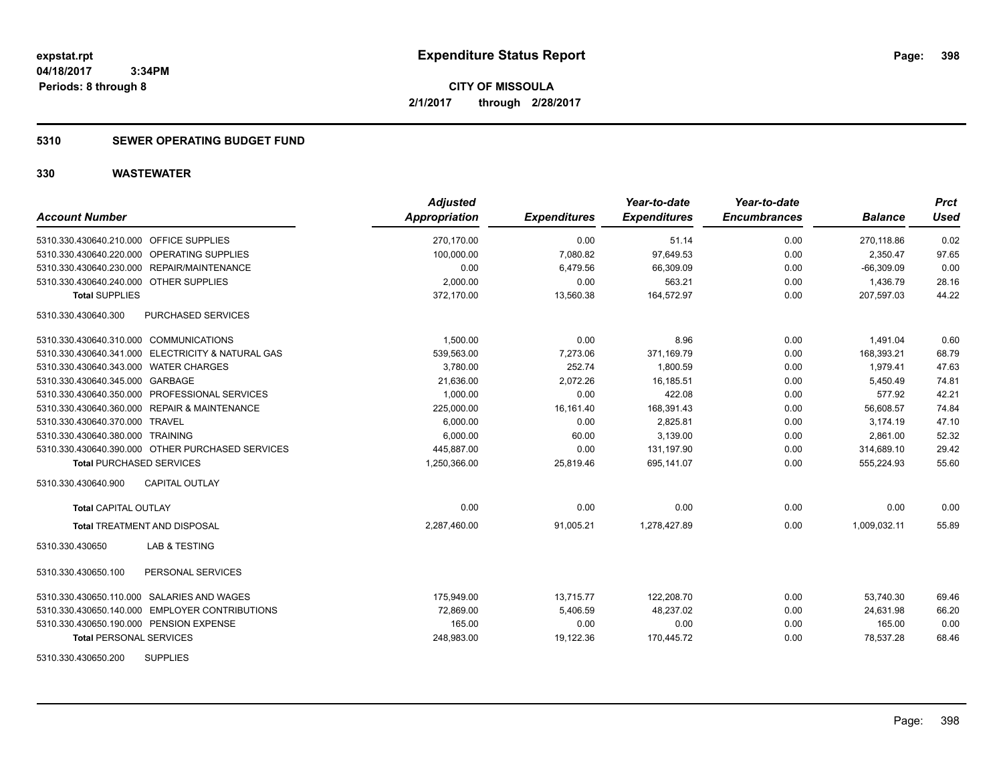**CITY OF MISSOULA 2/1/2017 through 2/28/2017**

### **5310 SEWER OPERATING BUDGET FUND**

| <b>Account Number</b>                             | <b>Adjusted</b><br>Appropriation | <b>Expenditures</b> | Year-to-date<br><b>Expenditures</b> | Year-to-date<br><b>Encumbrances</b> | <b>Balance</b> | <b>Prct</b><br><b>Used</b> |
|---------------------------------------------------|----------------------------------|---------------------|-------------------------------------|-------------------------------------|----------------|----------------------------|
| 5310.330.430640.210.000 OFFICE SUPPLIES           | 270,170.00                       | 0.00                | 51.14                               | 0.00                                | 270,118.86     | 0.02                       |
| 5310.330.430640.220.000 OPERATING SUPPLIES        | 100.000.00                       | 7.080.82            | 97.649.53                           | 0.00                                | 2.350.47       | 97.65                      |
| 5310.330.430640.230.000 REPAIR/MAINTENANCE        | 0.00                             | 6,479.56            | 66,309.09                           | 0.00                                | $-66,309.09$   | 0.00                       |
| 5310.330.430640.240.000 OTHER SUPPLIES            | 2,000.00                         | 0.00                | 563.21                              | 0.00                                | 1,436.79       | 28.16                      |
| <b>Total SUPPLIES</b>                             | 372,170.00                       | 13,560.38           | 164,572.97                          | 0.00                                | 207,597.03     | 44.22                      |
| 5310.330.430640.300<br>PURCHASED SERVICES         |                                  |                     |                                     |                                     |                |                            |
| 5310.330.430640.310.000 COMMUNICATIONS            | 1,500.00                         | 0.00                | 8.96                                | 0.00                                | 1,491.04       | 0.60                       |
| 5310.330.430640.341.000 ELECTRICITY & NATURAL GAS | 539,563.00                       | 7,273.06            | 371,169.79                          | 0.00                                | 168,393.21     | 68.79                      |
| 5310.330.430640.343.000 WATER CHARGES             | 3,780.00                         | 252.74              | 1,800.59                            | 0.00                                | 1,979.41       | 47.63                      |
| 5310.330.430640.345.000 GARBAGE                   | 21,636.00                        | 2,072.26            | 16.185.51                           | 0.00                                | 5.450.49       | 74.81                      |
| 5310.330.430640.350.000 PROFESSIONAL SERVICES     | 1,000.00                         | 0.00                | 422.08                              | 0.00                                | 577.92         | 42.21                      |
| 5310.330.430640.360.000 REPAIR & MAINTENANCE      | 225,000.00                       | 16,161.40           | 168,391.43                          | 0.00                                | 56,608.57      | 74.84                      |
| 5310.330.430640.370.000 TRAVEL                    | 6,000.00                         | 0.00                | 2,825.81                            | 0.00                                | 3.174.19       | 47.10                      |
| 5310.330.430640.380.000 TRAINING                  | 6,000.00                         | 60.00               | 3,139.00                            | 0.00                                | 2,861.00       | 52.32                      |
| 5310.330.430640.390.000 OTHER PURCHASED SERVICES  | 445,887.00                       | 0.00                | 131,197.90                          | 0.00                                | 314,689.10     | 29.42                      |
| <b>Total PURCHASED SERVICES</b>                   | 1,250,366.00                     | 25,819.46           | 695,141.07                          | 0.00                                | 555,224.93     | 55.60                      |
| CAPITAL OUTLAY<br>5310.330.430640.900             |                                  |                     |                                     |                                     |                |                            |
| <b>Total CAPITAL OUTLAY</b>                       | 0.00                             | 0.00                | 0.00                                | 0.00                                | 0.00           | 0.00                       |
| <b>Total TREATMENT AND DISPOSAL</b>               | 2,287,460.00                     | 91,005.21           | 1,278,427.89                        | 0.00                                | 1,009,032.11   | 55.89                      |
| <b>LAB &amp; TESTING</b><br>5310.330.430650       |                                  |                     |                                     |                                     |                |                            |
| 5310.330.430650.100<br>PERSONAL SERVICES          |                                  |                     |                                     |                                     |                |                            |
| 5310.330.430650.110.000 SALARIES AND WAGES        | 175,949.00                       | 13,715.77           | 122,208.70                          | 0.00                                | 53,740.30      | 69.46                      |
| 5310.330.430650.140.000 EMPLOYER CONTRIBUTIONS    | 72,869.00                        | 5,406.59            | 48,237.02                           | 0.00                                | 24,631.98      | 66.20                      |
| 5310.330.430650.190.000 PENSION EXPENSE           | 165.00                           | 0.00                | 0.00                                | 0.00                                | 165.00         | 0.00                       |
| <b>Total PERSONAL SERVICES</b>                    | 248,983.00                       | 19,122.36           | 170,445.72                          | 0.00                                | 78,537.28      | 68.46                      |
| <b>SUPPLIES</b><br>5310.330.430650.200            |                                  |                     |                                     |                                     |                |                            |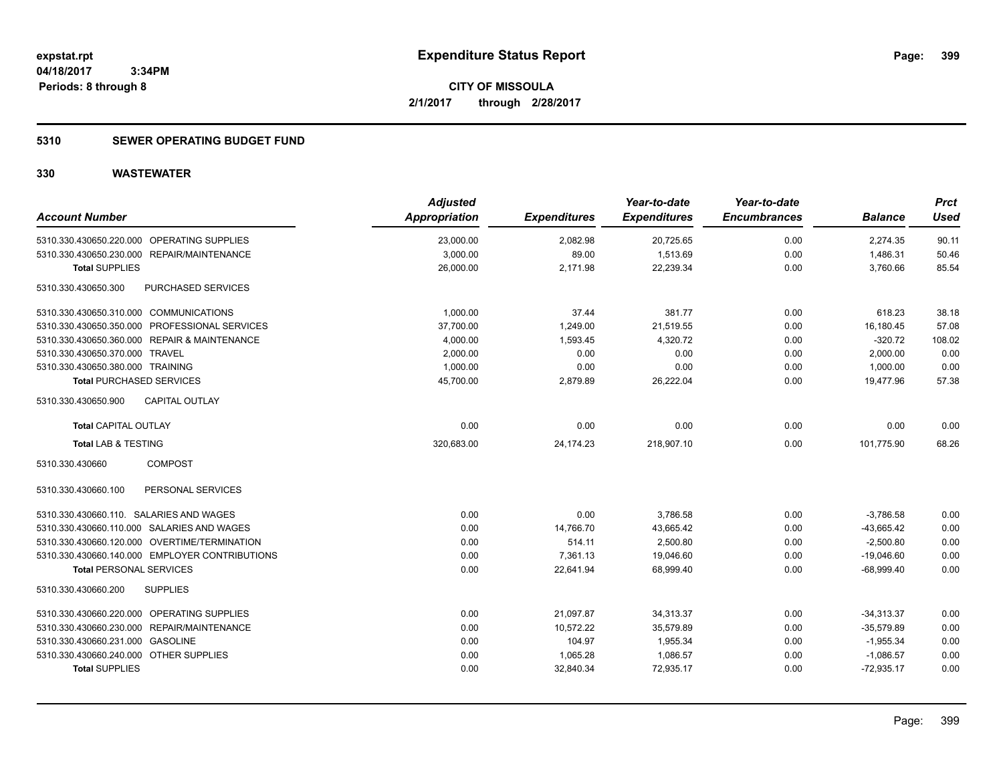**CITY OF MISSOULA 2/1/2017 through 2/28/2017**

### **5310 SEWER OPERATING BUDGET FUND**

| <b>Account Number</b>                          | <b>Adjusted</b><br>Appropriation | <b>Expenditures</b> | Year-to-date<br><b>Expenditures</b> | Year-to-date<br><b>Encumbrances</b> | <b>Balance</b> | <b>Prct</b><br><b>Used</b> |
|------------------------------------------------|----------------------------------|---------------------|-------------------------------------|-------------------------------------|----------------|----------------------------|
| 5310.330.430650.220.000 OPERATING SUPPLIES     | 23,000.00                        | 2,082.98            | 20,725.65                           | 0.00                                | 2,274.35       | 90.11                      |
| 5310.330.430650.230.000 REPAIR/MAINTENANCE     | 3,000.00                         | 89.00               | 1,513.69                            | 0.00                                | 1,486.31       | 50.46                      |
| <b>Total SUPPLIES</b>                          | 26,000.00                        | 2,171.98            | 22,239.34                           | 0.00                                | 3,760.66       | 85.54                      |
| PURCHASED SERVICES<br>5310.330.430650.300      |                                  |                     |                                     |                                     |                |                            |
| 5310.330.430650.310.000 COMMUNICATIONS         | 1,000.00                         | 37.44               | 381.77                              | 0.00                                | 618.23         | 38.18                      |
| 5310.330.430650.350.000 PROFESSIONAL SERVICES  | 37,700.00                        | 1,249.00            | 21,519.55                           | 0.00                                | 16,180.45      | 57.08                      |
| 5310.330.430650.360.000 REPAIR & MAINTENANCE   | 4,000.00                         | 1,593.45            | 4,320.72                            | 0.00                                | $-320.72$      | 108.02                     |
| 5310.330.430650.370.000 TRAVEL                 | 2,000.00                         | 0.00                | 0.00                                | 0.00                                | 2,000.00       | 0.00                       |
| 5310.330.430650.380.000 TRAINING               | 1,000.00                         | 0.00                | 0.00                                | 0.00                                | 1,000.00       | 0.00                       |
| <b>Total PURCHASED SERVICES</b>                | 45,700.00                        | 2,879.89            | 26,222.04                           | 0.00                                | 19,477.96      | 57.38                      |
| <b>CAPITAL OUTLAY</b><br>5310.330.430650.900   |                                  |                     |                                     |                                     |                |                            |
| <b>Total CAPITAL OUTLAY</b>                    | 0.00                             | 0.00                | 0.00                                | 0.00                                | 0.00           | 0.00                       |
| Total LAB & TESTING                            | 320,683.00                       | 24,174.23           | 218,907.10                          | 0.00                                | 101,775.90     | 68.26                      |
| <b>COMPOST</b><br>5310.330.430660              |                                  |                     |                                     |                                     |                |                            |
| 5310.330.430660.100<br>PERSONAL SERVICES       |                                  |                     |                                     |                                     |                |                            |
| 5310.330.430660.110. SALARIES AND WAGES        | 0.00                             | 0.00                | 3,786.58                            | 0.00                                | $-3,786.58$    | 0.00                       |
| 5310.330.430660.110.000 SALARIES AND WAGES     | 0.00                             | 14,766.70           | 43,665.42                           | 0.00                                | $-43,665.42$   | 0.00                       |
| 5310.330.430660.120.000 OVERTIME/TERMINATION   | 0.00                             | 514.11              | 2,500.80                            | 0.00                                | $-2,500.80$    | 0.00                       |
| 5310.330.430660.140.000 EMPLOYER CONTRIBUTIONS | 0.00                             | 7,361.13            | 19,046.60                           | 0.00                                | $-19,046.60$   | 0.00                       |
| <b>Total PERSONAL SERVICES</b>                 | 0.00                             | 22,641.94           | 68,999.40                           | 0.00                                | $-68,999.40$   | 0.00                       |
| 5310.330.430660.200<br><b>SUPPLIES</b>         |                                  |                     |                                     |                                     |                |                            |
| 5310.330.430660.220.000 OPERATING SUPPLIES     | 0.00                             | 21,097.87           | 34,313.37                           | 0.00                                | $-34,313.37$   | 0.00                       |
| 5310.330.430660.230.000 REPAIR/MAINTENANCE     | 0.00                             | 10,572.22           | 35,579.89                           | 0.00                                | $-35,579.89$   | 0.00                       |
| 5310.330.430660.231.000 GASOLINE               | 0.00                             | 104.97              | 1,955.34                            | 0.00                                | $-1,955.34$    | 0.00                       |
| 5310.330.430660.240.000 OTHER SUPPLIES         | 0.00                             | 1,065.28            | 1,086.57                            | 0.00                                | $-1,086.57$    | 0.00                       |
| <b>Total SUPPLIES</b>                          | 0.00                             | 32,840.34           | 72,935.17                           | 0.00                                | $-72,935.17$   | 0.00                       |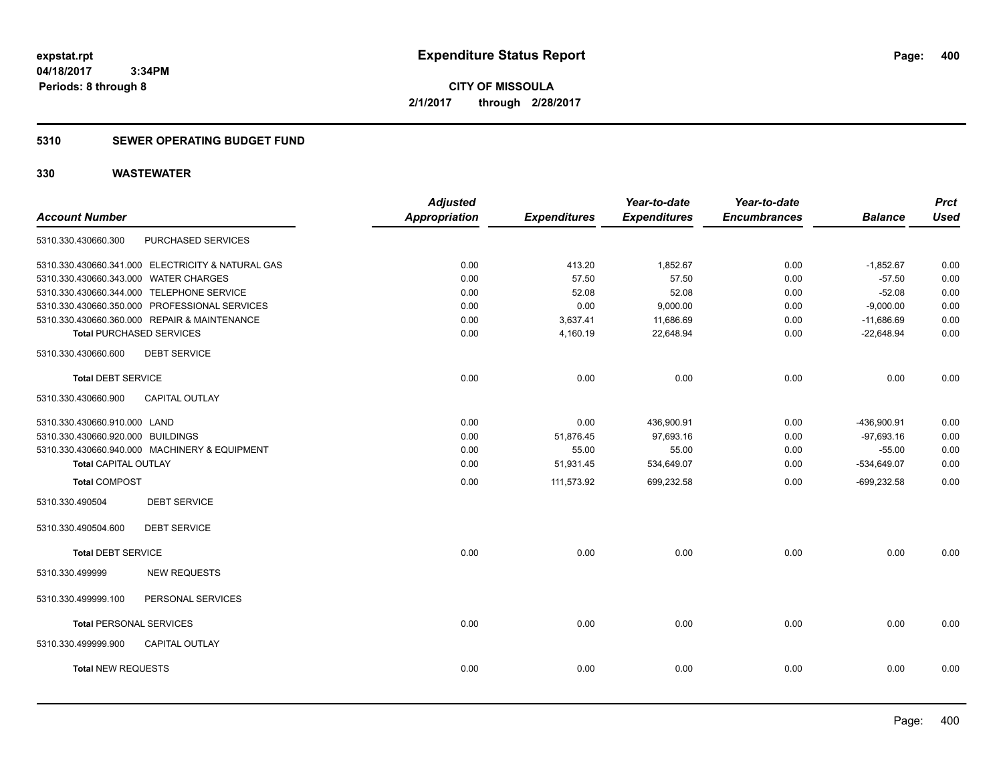**CITY OF MISSOULA 2/1/2017 through 2/28/2017**

### **5310 SEWER OPERATING BUDGET FUND**

| <b>Used</b><br><b>Balance</b><br>0.00<br>$-1,852.67$<br>$-57.50$<br>0.00<br>$-52.08$<br>0.00<br>$-9,000.00$<br>0.00<br>0.00               |
|-------------------------------------------------------------------------------------------------------------------------------------------|
|                                                                                                                                           |
|                                                                                                                                           |
|                                                                                                                                           |
|                                                                                                                                           |
|                                                                                                                                           |
|                                                                                                                                           |
|                                                                                                                                           |
| 0.00                                                                                                                                      |
|                                                                                                                                           |
| 0.00                                                                                                                                      |
|                                                                                                                                           |
| 0.00                                                                                                                                      |
| 0.00                                                                                                                                      |
| 0.00                                                                                                                                      |
| 0.00                                                                                                                                      |
| 0.00                                                                                                                                      |
|                                                                                                                                           |
|                                                                                                                                           |
| 0.00                                                                                                                                      |
|                                                                                                                                           |
|                                                                                                                                           |
| 0.00                                                                                                                                      |
|                                                                                                                                           |
| 0.00                                                                                                                                      |
| $-11,686.69$<br>$-22,648.94$<br>0.00<br>-436,900.91<br>$-97,693.16$<br>$-55.00$<br>$-534,649.07$<br>$-699,232.58$<br>0.00<br>0.00<br>0.00 |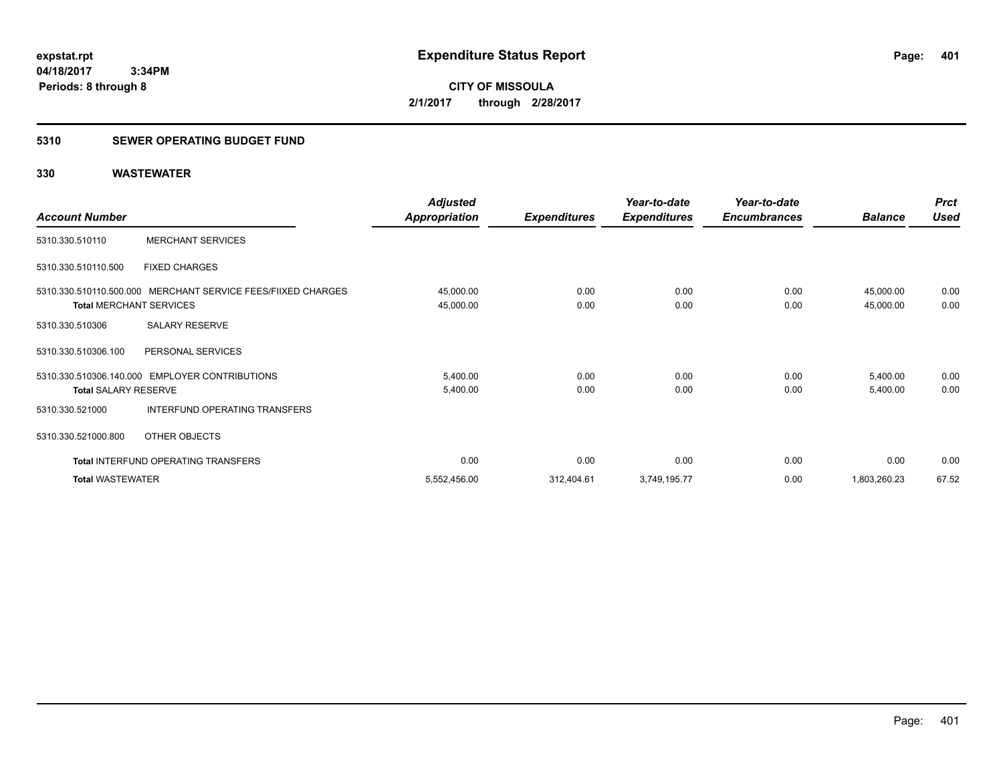### **5310 SEWER OPERATING BUDGET FUND**

|                                |                                                              | <b>Adjusted</b>        |                     | Year-to-date        | Year-to-date        |                        | <b>Prct</b>  |
|--------------------------------|--------------------------------------------------------------|------------------------|---------------------|---------------------|---------------------|------------------------|--------------|
| <b>Account Number</b>          |                                                              | Appropriation          | <b>Expenditures</b> | <b>Expenditures</b> | <b>Encumbrances</b> | <b>Balance</b>         | Used         |
| 5310.330.510110                | <b>MERCHANT SERVICES</b>                                     |                        |                     |                     |                     |                        |              |
| 5310.330.510110.500            | <b>FIXED CHARGES</b>                                         |                        |                     |                     |                     |                        |              |
| <b>Total MERCHANT SERVICES</b> | 5310.330.510110.500.000 MERCHANT SERVICE FEES/FIIXED CHARGES | 45,000.00<br>45,000.00 | 0.00<br>0.00        | 0.00<br>0.00        | 0.00<br>0.00        | 45,000.00<br>45,000.00 | 0.00<br>0.00 |
| 5310.330.510306                | SALARY RESERVE                                               |                        |                     |                     |                     |                        |              |
| 5310.330.510306.100            | PERSONAL SERVICES                                            |                        |                     |                     |                     |                        |              |
| <b>Total SALARY RESERVE</b>    | 5310.330.510306.140.000 EMPLOYER CONTRIBUTIONS               | 5,400.00<br>5,400.00   | 0.00<br>0.00        | 0.00<br>0.00        | 0.00<br>0.00        | 5,400.00<br>5,400.00   | 0.00<br>0.00 |
| 5310.330.521000                | INTERFUND OPERATING TRANSFERS                                |                        |                     |                     |                     |                        |              |
| 5310.330.521000.800            | OTHER OBJECTS                                                |                        |                     |                     |                     |                        |              |
|                                | <b>Total INTERFUND OPERATING TRANSFERS</b>                   | 0.00                   | 0.00                | 0.00                | 0.00                | 0.00                   | 0.00         |
| <b>Total WASTEWATER</b>        |                                                              | 5,552,456.00           | 312,404.61          | 3,749,195.77        | 0.00                | 1,803,260.23           | 67.52        |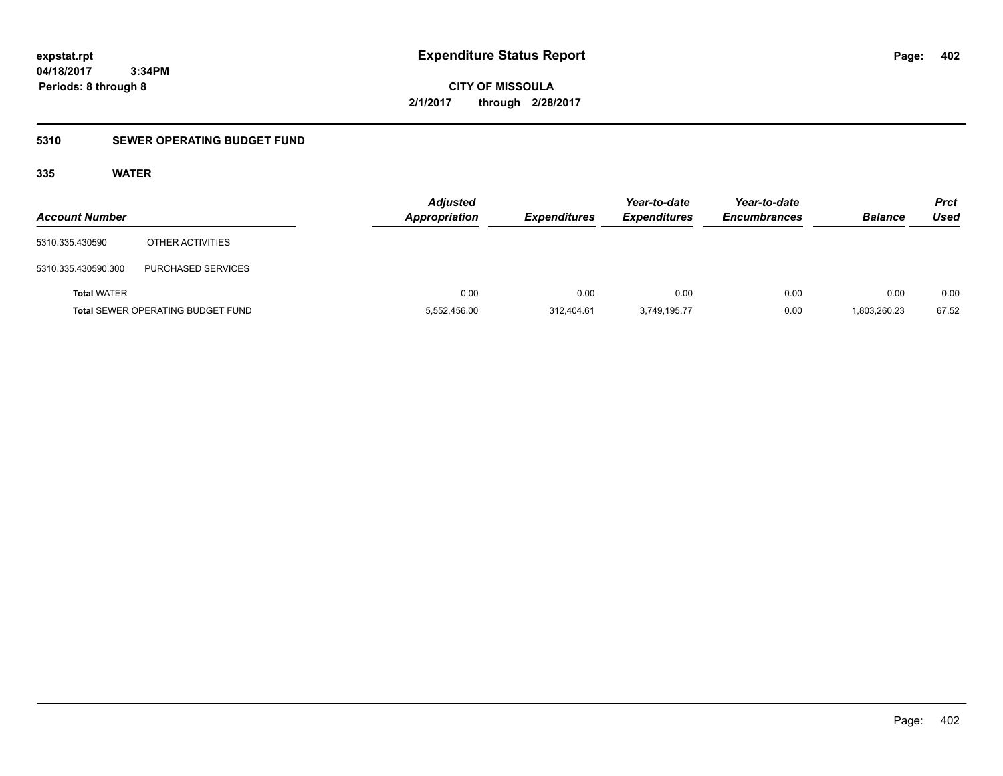**CITY OF MISSOULA 2/1/2017 through 2/28/2017**

### **5310 SEWER OPERATING BUDGET FUND**

### **335 WATER**

| <b>Account Number</b> |                                          | <b>Adjusted</b><br><b>Appropriation</b> | <b>Expenditures</b> | Year-to-date<br><b>Expenditures</b> | Year-to-date<br><b>Encumbrances</b> | <b>Balance</b> | <b>Prct</b><br>Used |
|-----------------------|------------------------------------------|-----------------------------------------|---------------------|-------------------------------------|-------------------------------------|----------------|---------------------|
| 5310.335.430590       | OTHER ACTIVITIES                         |                                         |                     |                                     |                                     |                |                     |
| 5310.335.430590.300   | <b>PURCHASED SERVICES</b>                |                                         |                     |                                     |                                     |                |                     |
| <b>Total WATER</b>    |                                          | 0.00                                    | 0.00                | 0.00                                | 0.00                                | 0.00           | 0.00                |
|                       | <b>Total SEWER OPERATING BUDGET FUND</b> | 5,552,456.00                            | 312.404.61          | 3,749,195.77                        | 0.00                                | 1,803,260.23   | 67.52               |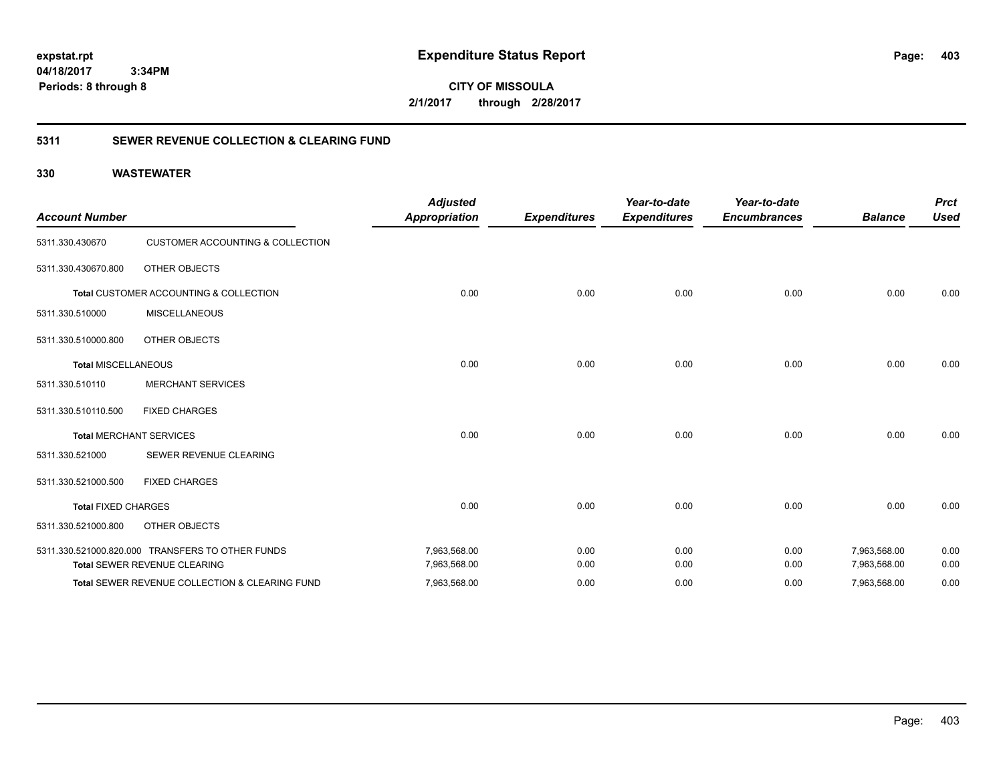**CITY OF MISSOULA 2/1/2017 through 2/28/2017**

### **5311 SEWER REVENUE COLLECTION & CLEARING FUND**

| <b>Account Number</b>      |                                                  | <b>Adjusted</b><br><b>Appropriation</b> | <b>Expenditures</b> | Year-to-date<br><b>Expenditures</b> | Year-to-date<br><b>Encumbrances</b> | <b>Balance</b> | <b>Prct</b><br><b>Used</b> |
|----------------------------|--------------------------------------------------|-----------------------------------------|---------------------|-------------------------------------|-------------------------------------|----------------|----------------------------|
| 5311.330.430670            | <b>CUSTOMER ACCOUNTING &amp; COLLECTION</b>      |                                         |                     |                                     |                                     |                |                            |
| 5311.330.430670.800        | OTHER OBJECTS                                    |                                         |                     |                                     |                                     |                |                            |
|                            | Total CUSTOMER ACCOUNTING & COLLECTION           | 0.00                                    | 0.00                | 0.00                                | 0.00                                | 0.00           | 0.00                       |
| 5311.330.510000            | <b>MISCELLANEOUS</b>                             |                                         |                     |                                     |                                     |                |                            |
| 5311.330.510000.800        | <b>OTHER OBJECTS</b>                             |                                         |                     |                                     |                                     |                |                            |
| <b>Total MISCELLANEOUS</b> |                                                  | 0.00                                    | 0.00                | 0.00                                | 0.00                                | 0.00           | 0.00                       |
| 5311.330.510110            | <b>MERCHANT SERVICES</b>                         |                                         |                     |                                     |                                     |                |                            |
| 5311.330.510110.500        | <b>FIXED CHARGES</b>                             |                                         |                     |                                     |                                     |                |                            |
|                            | <b>Total MERCHANT SERVICES</b>                   | 0.00                                    | 0.00                | 0.00                                | 0.00                                | 0.00           | 0.00                       |
| 5311.330.521000            | SEWER REVENUE CLEARING                           |                                         |                     |                                     |                                     |                |                            |
| 5311.330.521000.500        | <b>FIXED CHARGES</b>                             |                                         |                     |                                     |                                     |                |                            |
| <b>Total FIXED CHARGES</b> |                                                  | 0.00                                    | 0.00                | 0.00                                | 0.00                                | 0.00           | 0.00                       |
| 5311.330.521000.800        | <b>OTHER OBJECTS</b>                             |                                         |                     |                                     |                                     |                |                            |
|                            | 5311.330.521000.820.000 TRANSFERS TO OTHER FUNDS | 7,963,568.00                            | 0.00                | 0.00                                | 0.00                                | 7,963,568.00   | 0.00                       |
|                            | Total SEWER REVENUE CLEARING                     | 7,963,568.00                            | 0.00                | 0.00                                | 0.00                                | 7,963,568.00   | 0.00                       |
|                            | Total SEWER REVENUE COLLECTION & CLEARING FUND   | 7,963,568.00                            | 0.00                | 0.00                                | 0.00                                | 7,963,568.00   | 0.00                       |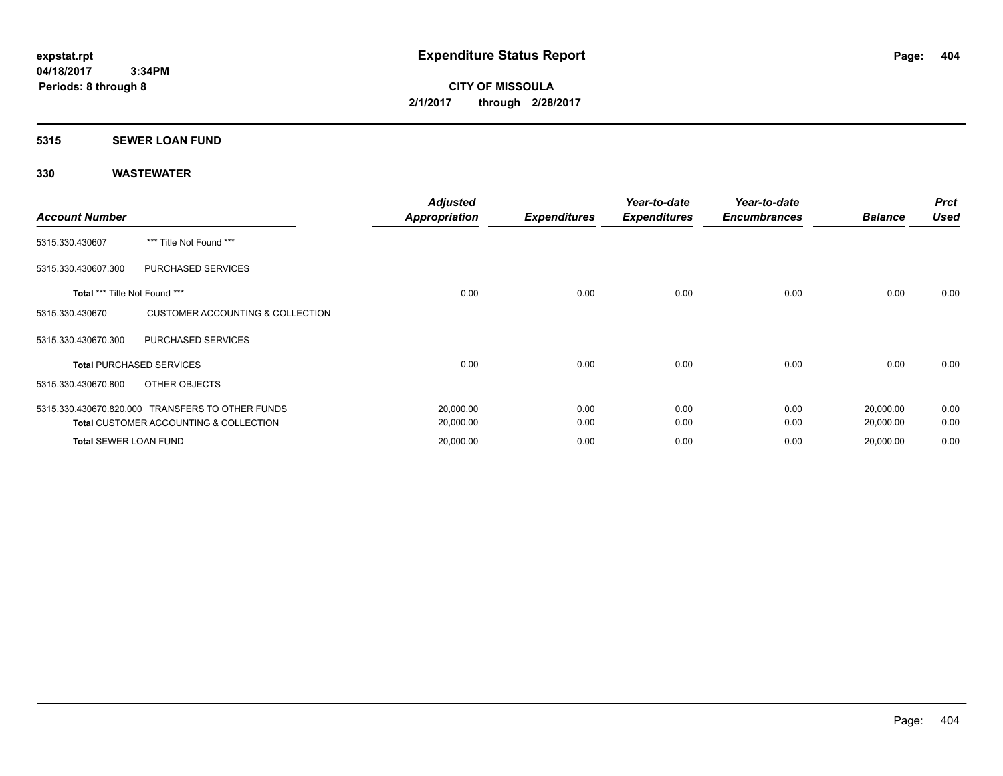**CITY OF MISSOULA 2/1/2017 through 2/28/2017**

# **5315 SEWER LOAN FUND**

| <b>Account Number</b>         |                                                   | <b>Adjusted</b><br><b>Appropriation</b> | <b>Expenditures</b> | Year-to-date<br><b>Expenditures</b> | Year-to-date<br><b>Encumbrances</b> | <b>Balance</b> | <b>Prct</b><br><b>Used</b> |
|-------------------------------|---------------------------------------------------|-----------------------------------------|---------------------|-------------------------------------|-------------------------------------|----------------|----------------------------|
| 5315.330.430607               | *** Title Not Found ***                           |                                         |                     |                                     |                                     |                |                            |
| 5315.330.430607.300           | PURCHASED SERVICES                                |                                         |                     |                                     |                                     |                |                            |
| Total *** Title Not Found *** |                                                   | 0.00                                    | 0.00                | 0.00                                | 0.00                                | 0.00           | 0.00                       |
| 5315.330.430670               | <b>CUSTOMER ACCOUNTING &amp; COLLECTION</b>       |                                         |                     |                                     |                                     |                |                            |
| 5315.330.430670.300           | PURCHASED SERVICES                                |                                         |                     |                                     |                                     |                |                            |
|                               | <b>Total PURCHASED SERVICES</b>                   | 0.00                                    | 0.00                | 0.00                                | 0.00                                | 0.00           | 0.00                       |
| 5315.330.430670.800           | OTHER OBJECTS                                     |                                         |                     |                                     |                                     |                |                            |
|                               | 5315.330.430670.820.000 TRANSFERS TO OTHER FUNDS  | 20,000.00                               | 0.00                | 0.00                                | 0.00                                | 20,000.00      | 0.00                       |
|                               | <b>Total CUSTOMER ACCOUNTING &amp; COLLECTION</b> | 20,000.00                               | 0.00                | 0.00                                | 0.00                                | 20,000.00      | 0.00                       |
| Total SEWER LOAN FUND         |                                                   | 20,000.00                               | 0.00                | 0.00                                | 0.00                                | 20,000.00      | 0.00                       |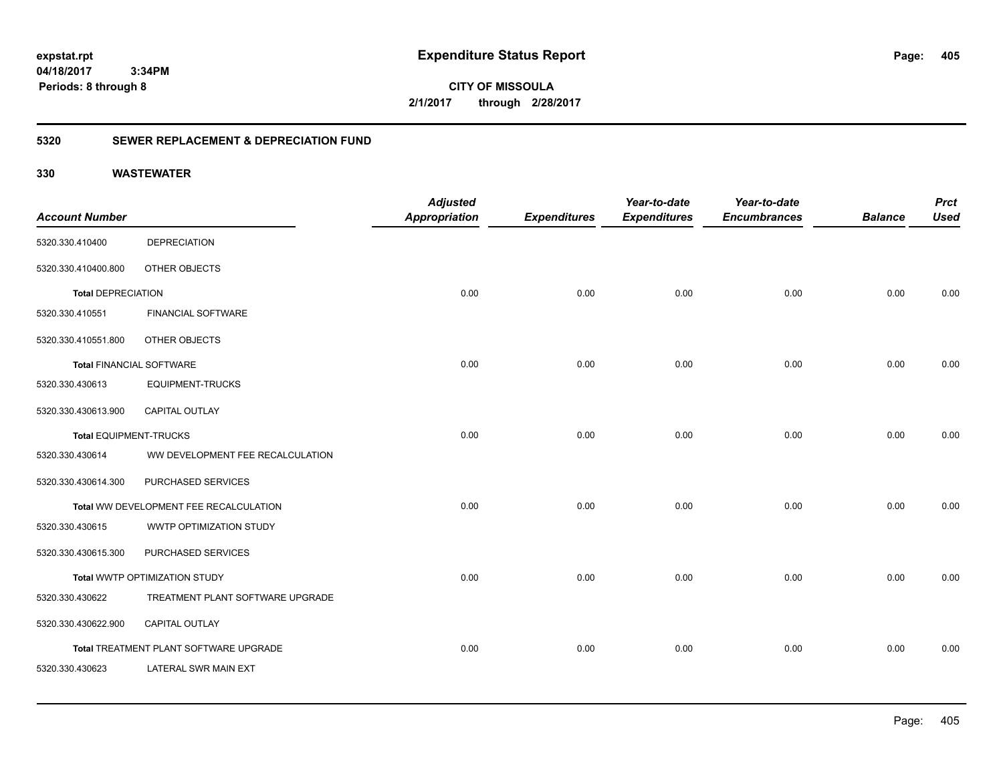**CITY OF MISSOULA 2/1/2017 through 2/28/2017**

### **5320 SEWER REPLACEMENT & DEPRECIATION FUND**

|                                 |                                        | <b>Adjusted</b>      |                     | Year-to-date        | Year-to-date        |                | <b>Prct</b> |
|---------------------------------|----------------------------------------|----------------------|---------------------|---------------------|---------------------|----------------|-------------|
| <b>Account Number</b>           |                                        | <b>Appropriation</b> | <b>Expenditures</b> | <b>Expenditures</b> | <b>Encumbrances</b> | <b>Balance</b> | <b>Used</b> |
| 5320.330.410400                 | <b>DEPRECIATION</b>                    |                      |                     |                     |                     |                |             |
| 5320.330.410400.800             | OTHER OBJECTS                          |                      |                     |                     |                     |                |             |
| <b>Total DEPRECIATION</b>       |                                        | 0.00                 | 0.00                | 0.00                | 0.00                | 0.00           | 0.00        |
| 5320.330.410551                 | <b>FINANCIAL SOFTWARE</b>              |                      |                     |                     |                     |                |             |
| 5320.330.410551.800             | OTHER OBJECTS                          |                      |                     |                     |                     |                |             |
| <b>Total FINANCIAL SOFTWARE</b> |                                        | 0.00                 | 0.00                | 0.00                | 0.00                | 0.00           | 0.00        |
| 5320.330.430613                 | <b>EQUIPMENT-TRUCKS</b>                |                      |                     |                     |                     |                |             |
| 5320.330.430613.900             | <b>CAPITAL OUTLAY</b>                  |                      |                     |                     |                     |                |             |
| Total EQUIPMENT-TRUCKS          |                                        | 0.00                 | 0.00                | 0.00                | 0.00                | 0.00           | 0.00        |
| 5320.330.430614                 | WW DEVELOPMENT FEE RECALCULATION       |                      |                     |                     |                     |                |             |
| 5320.330.430614.300             | PURCHASED SERVICES                     |                      |                     |                     |                     |                |             |
|                                 | Total WW DEVELOPMENT FEE RECALCULATION | 0.00                 | 0.00                | 0.00                | 0.00                | 0.00           | 0.00        |
| 5320.330.430615                 | WWTP OPTIMIZATION STUDY                |                      |                     |                     |                     |                |             |
| 5320.330.430615.300             | PURCHASED SERVICES                     |                      |                     |                     |                     |                |             |
|                                 | Total WWTP OPTIMIZATION STUDY          | 0.00                 | 0.00                | 0.00                | 0.00                | 0.00           | 0.00        |
| 5320.330.430622                 | TREATMENT PLANT SOFTWARE UPGRADE       |                      |                     |                     |                     |                |             |
| 5320.330.430622.900             | CAPITAL OUTLAY                         |                      |                     |                     |                     |                |             |
|                                 | Total TREATMENT PLANT SOFTWARE UPGRADE | 0.00                 | 0.00                | 0.00                | 0.00                | 0.00           | 0.00        |
| 5320.330.430623                 | LATERAL SWR MAIN EXT                   |                      |                     |                     |                     |                |             |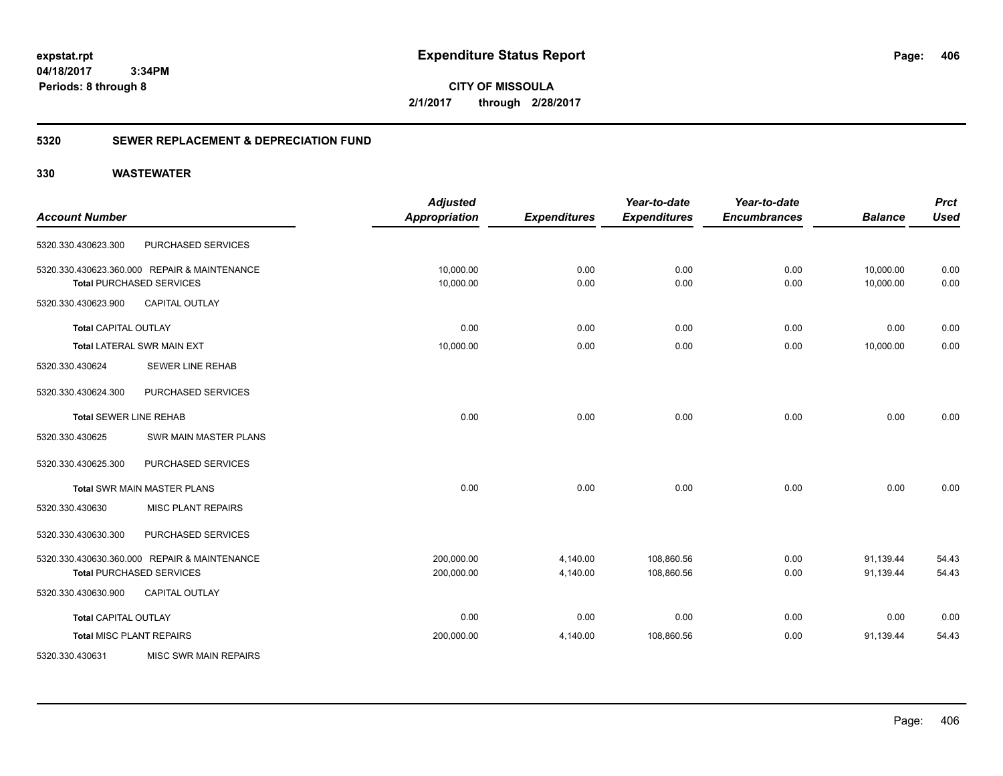**CITY OF MISSOULA 2/1/2017 through 2/28/2017**

#### **5320 SEWER REPLACEMENT & DEPRECIATION FUND**

|                               |                                              | <b>Adjusted</b>      |                     | Year-to-date        | Year-to-date        |                | <b>Prct</b> |
|-------------------------------|----------------------------------------------|----------------------|---------------------|---------------------|---------------------|----------------|-------------|
| <b>Account Number</b>         |                                              | <b>Appropriation</b> | <b>Expenditures</b> | <b>Expenditures</b> | <b>Encumbrances</b> | <b>Balance</b> | <b>Used</b> |
| 5320.330.430623.300           | PURCHASED SERVICES                           |                      |                     |                     |                     |                |             |
|                               | 5320.330.430623.360.000 REPAIR & MAINTENANCE | 10,000.00            | 0.00                | 0.00                | 0.00                | 10,000.00      | 0.00        |
|                               | <b>Total PURCHASED SERVICES</b>              | 10,000.00            | 0.00                | 0.00                | 0.00                | 10,000.00      | 0.00        |
| 5320.330.430623.900           | <b>CAPITAL OUTLAY</b>                        |                      |                     |                     |                     |                |             |
| <b>Total CAPITAL OUTLAY</b>   |                                              | 0.00                 | 0.00                | 0.00                | 0.00                | 0.00           | 0.00        |
|                               | <b>Total LATERAL SWR MAIN EXT</b>            | 10,000.00            | 0.00                | 0.00                | 0.00                | 10,000.00      | 0.00        |
| 5320.330.430624               | <b>SEWER LINE REHAB</b>                      |                      |                     |                     |                     |                |             |
| 5320.330.430624.300           | PURCHASED SERVICES                           |                      |                     |                     |                     |                |             |
| <b>Total SEWER LINE REHAB</b> |                                              | 0.00                 | 0.00                | 0.00                | 0.00                | 0.00           | 0.00        |
| 5320.330.430625               | SWR MAIN MASTER PLANS                        |                      |                     |                     |                     |                |             |
| 5320.330.430625.300           | PURCHASED SERVICES                           |                      |                     |                     |                     |                |             |
|                               | <b>Total SWR MAIN MASTER PLANS</b>           | 0.00                 | 0.00                | 0.00                | 0.00                | 0.00           | 0.00        |
| 5320.330.430630               | <b>MISC PLANT REPAIRS</b>                    |                      |                     |                     |                     |                |             |
| 5320.330.430630.300           | PURCHASED SERVICES                           |                      |                     |                     |                     |                |             |
|                               | 5320.330.430630.360.000 REPAIR & MAINTENANCE | 200,000.00           | 4,140.00            | 108,860.56          | 0.00                | 91,139.44      | 54.43       |
|                               | <b>Total PURCHASED SERVICES</b>              | 200,000.00           | 4,140.00            | 108,860.56          | 0.00                | 91,139.44      | 54.43       |
| 5320.330.430630.900           | <b>CAPITAL OUTLAY</b>                        |                      |                     |                     |                     |                |             |
| <b>Total CAPITAL OUTLAY</b>   |                                              | 0.00                 | 0.00                | 0.00                | 0.00                | 0.00           | 0.00        |
|                               | <b>Total MISC PLANT REPAIRS</b>              | 200,000.00           | 4,140.00            | 108,860.56          | 0.00                | 91,139.44      | 54.43       |
| 5320.330.430631               | MISC SWR MAIN REPAIRS                        |                      |                     |                     |                     |                |             |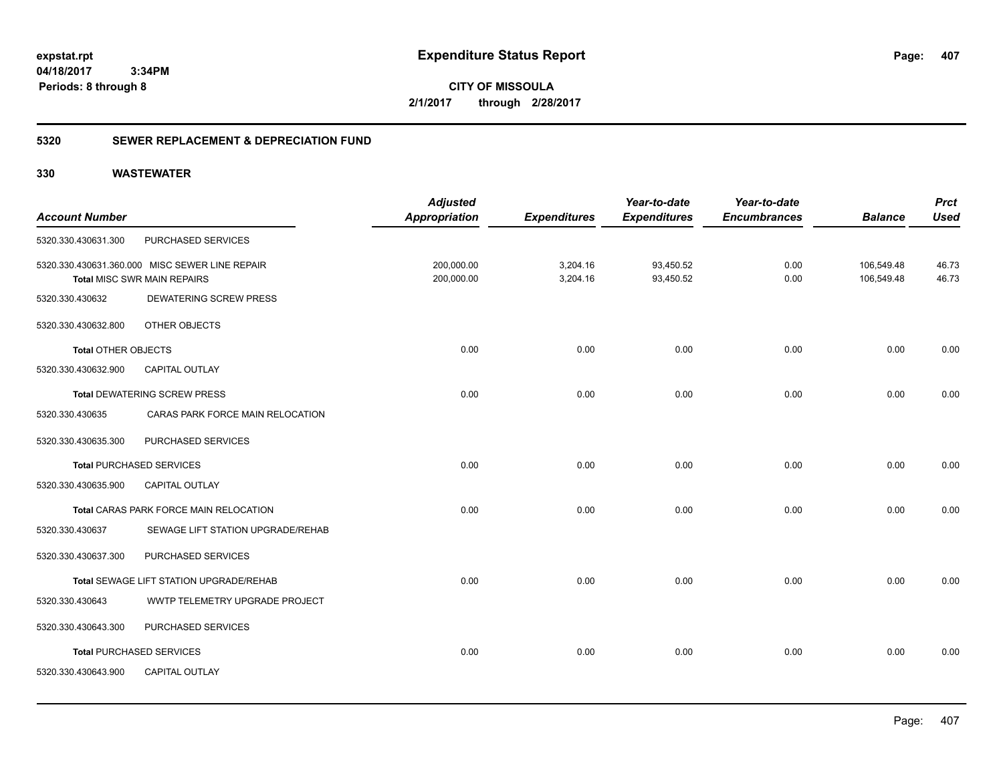**CITY OF MISSOULA 2/1/2017 through 2/28/2017**

### **5320 SEWER REPLACEMENT & DEPRECIATION FUND**

|                            |                                                | <b>Adjusted</b>      |                     | Year-to-date        | Year-to-date        |                | <b>Prct</b> |
|----------------------------|------------------------------------------------|----------------------|---------------------|---------------------|---------------------|----------------|-------------|
| <b>Account Number</b>      |                                                | <b>Appropriation</b> | <b>Expenditures</b> | <b>Expenditures</b> | <b>Encumbrances</b> | <b>Balance</b> | <b>Used</b> |
| 5320.330.430631.300        | PURCHASED SERVICES                             |                      |                     |                     |                     |                |             |
|                            | 5320.330.430631.360.000 MISC SEWER LINE REPAIR | 200,000.00           | 3,204.16            | 93,450.52           | 0.00                | 106,549.48     | 46.73       |
|                            | <b>Total MISC SWR MAIN REPAIRS</b>             | 200,000.00           | 3,204.16            | 93,450.52           | 0.00                | 106,549.48     | 46.73       |
| 5320.330.430632            | DEWATERING SCREW PRESS                         |                      |                     |                     |                     |                |             |
| 5320.330.430632.800        | OTHER OBJECTS                                  |                      |                     |                     |                     |                |             |
| <b>Total OTHER OBJECTS</b> |                                                | 0.00                 | 0.00                | 0.00                | 0.00                | 0.00           | 0.00        |
| 5320.330.430632.900        | <b>CAPITAL OUTLAY</b>                          |                      |                     |                     |                     |                |             |
|                            | <b>Total DEWATERING SCREW PRESS</b>            | 0.00                 | 0.00                | 0.00                | 0.00                | 0.00           | 0.00        |
| 5320.330.430635            | CARAS PARK FORCE MAIN RELOCATION               |                      |                     |                     |                     |                |             |
| 5320.330.430635.300        | PURCHASED SERVICES                             |                      |                     |                     |                     |                |             |
|                            | <b>Total PURCHASED SERVICES</b>                | 0.00                 | 0.00                | 0.00                | 0.00                | 0.00           | 0.00        |
| 5320.330.430635.900        | CAPITAL OUTLAY                                 |                      |                     |                     |                     |                |             |
|                            | Total CARAS PARK FORCE MAIN RELOCATION         | 0.00                 | 0.00                | 0.00                | 0.00                | 0.00           | 0.00        |
| 5320.330.430637            | SEWAGE LIFT STATION UPGRADE/REHAB              |                      |                     |                     |                     |                |             |
| 5320.330.430637.300        | PURCHASED SERVICES                             |                      |                     |                     |                     |                |             |
|                            | Total SEWAGE LIFT STATION UPGRADE/REHAB        | 0.00                 | 0.00                | 0.00                | 0.00                | 0.00           | 0.00        |
| 5320.330.430643            | WWTP TELEMETRY UPGRADE PROJECT                 |                      |                     |                     |                     |                |             |
| 5320.330.430643.300        | PURCHASED SERVICES                             |                      |                     |                     |                     |                |             |
|                            | <b>Total PURCHASED SERVICES</b>                | 0.00                 | 0.00                | 0.00                | 0.00                | 0.00           | 0.00        |
| 5320.330.430643.900        | <b>CAPITAL OUTLAY</b>                          |                      |                     |                     |                     |                |             |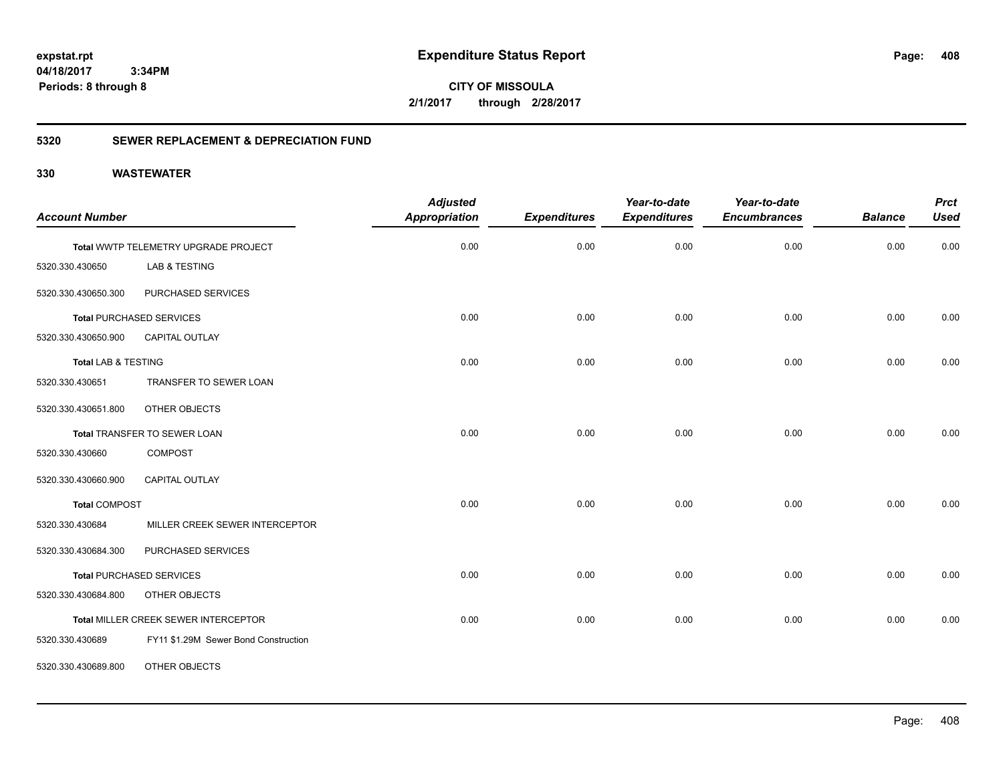**CITY OF MISSOULA 2/1/2017 through 2/28/2017**

### **5320 SEWER REPLACEMENT & DEPRECIATION FUND**

| <b>Account Number</b>          |                                      | <b>Adjusted</b><br><b>Appropriation</b> | <b>Expenditures</b> | Year-to-date<br><b>Expenditures</b> | Year-to-date<br><b>Encumbrances</b> | <b>Balance</b> | <b>Prct</b><br><b>Used</b> |
|--------------------------------|--------------------------------------|-----------------------------------------|---------------------|-------------------------------------|-------------------------------------|----------------|----------------------------|
|                                |                                      |                                         |                     |                                     |                                     |                |                            |
|                                | Total WWTP TELEMETRY UPGRADE PROJECT | 0.00                                    | 0.00                | 0.00                                | 0.00                                | 0.00           | 0.00                       |
| 5320.330.430650                | LAB & TESTING                        |                                         |                     |                                     |                                     |                |                            |
| 5320.330.430650.300            | PURCHASED SERVICES                   |                                         |                     |                                     |                                     |                |                            |
|                                | <b>Total PURCHASED SERVICES</b>      | 0.00                                    | 0.00                | 0.00                                | 0.00                                | 0.00           | 0.00                       |
| 5320.330.430650.900            | CAPITAL OUTLAY                       |                                         |                     |                                     |                                     |                |                            |
| <b>Total LAB &amp; TESTING</b> |                                      | 0.00                                    | 0.00                | 0.00                                | 0.00                                | 0.00           | 0.00                       |
| 5320.330.430651                | TRANSFER TO SEWER LOAN               |                                         |                     |                                     |                                     |                |                            |
| 5320.330.430651.800            | OTHER OBJECTS                        |                                         |                     |                                     |                                     |                |                            |
|                                | Total TRANSFER TO SEWER LOAN         | 0.00                                    | 0.00                | 0.00                                | 0.00                                | 0.00           | 0.00                       |
| 5320.330.430660                | <b>COMPOST</b>                       |                                         |                     |                                     |                                     |                |                            |
| 5320.330.430660.900            | <b>CAPITAL OUTLAY</b>                |                                         |                     |                                     |                                     |                |                            |
| <b>Total COMPOST</b>           |                                      | 0.00                                    | 0.00                | 0.00                                | 0.00                                | 0.00           | 0.00                       |
| 5320.330.430684                | MILLER CREEK SEWER INTERCEPTOR       |                                         |                     |                                     |                                     |                |                            |
| 5320.330.430684.300            | PURCHASED SERVICES                   |                                         |                     |                                     |                                     |                |                            |
|                                | <b>Total PURCHASED SERVICES</b>      | 0.00                                    | 0.00                | 0.00                                | 0.00                                | 0.00           | 0.00                       |
| 5320.330.430684.800            | OTHER OBJECTS                        |                                         |                     |                                     |                                     |                |                            |
|                                | Total MILLER CREEK SEWER INTERCEPTOR | 0.00                                    | 0.00                | 0.00                                | 0.00                                | 0.00           | 0.00                       |
| 5320.330.430689                | FY11 \$1.29M Sewer Bond Construction |                                         |                     |                                     |                                     |                |                            |
| 5320.330.430689.800            | OTHER OBJECTS                        |                                         |                     |                                     |                                     |                |                            |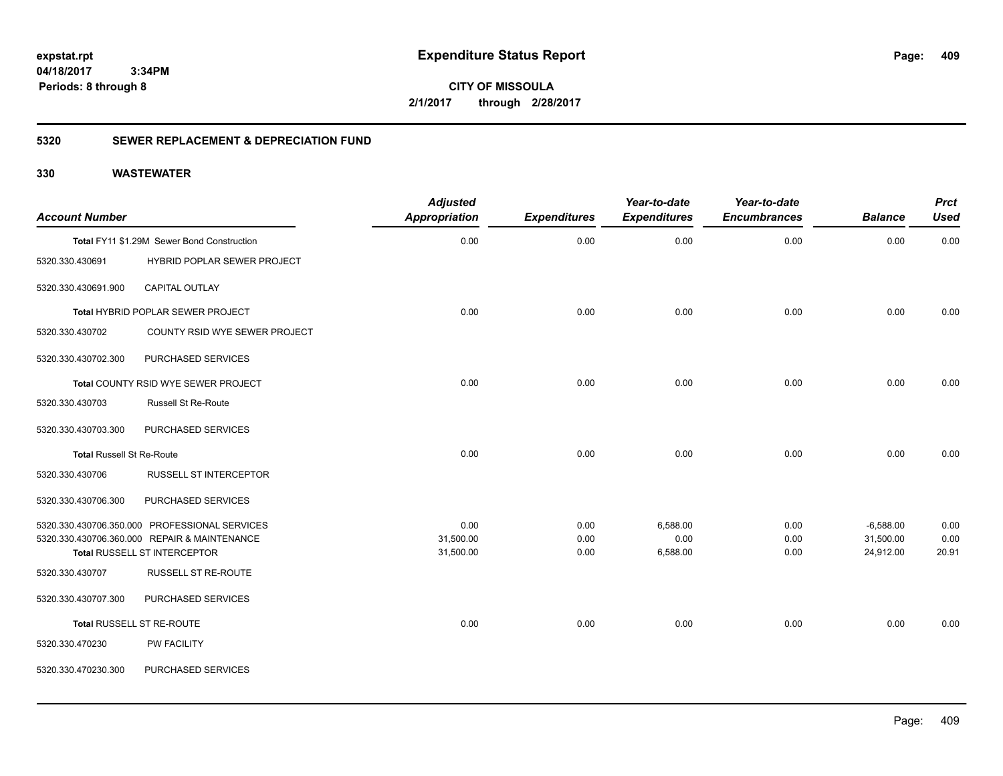**CITY OF MISSOULA 2/1/2017 through 2/28/2017**

### **5320 SEWER REPLACEMENT & DEPRECIATION FUND**

| <b>Account Number</b>            |                                               | <b>Adjusted</b><br><b>Appropriation</b> | <b>Expenditures</b> | Year-to-date<br><b>Expenditures</b> | Year-to-date<br><b>Encumbrances</b> | <b>Balance</b> | <b>Prct</b><br><b>Used</b> |
|----------------------------------|-----------------------------------------------|-----------------------------------------|---------------------|-------------------------------------|-------------------------------------|----------------|----------------------------|
|                                  | Total FY11 \$1.29M Sewer Bond Construction    | 0.00                                    | 0.00                | 0.00                                | 0.00                                | 0.00           | 0.00                       |
| 5320.330.430691                  | <b>HYBRID POPLAR SEWER PROJECT</b>            |                                         |                     |                                     |                                     |                |                            |
| 5320.330.430691.900              | <b>CAPITAL OUTLAY</b>                         |                                         |                     |                                     |                                     |                |                            |
|                                  | Total HYBRID POPLAR SEWER PROJECT             | 0.00                                    | 0.00                | 0.00                                | 0.00                                | 0.00           | 0.00                       |
| 5320.330.430702                  | COUNTY RSID WYE SEWER PROJECT                 |                                         |                     |                                     |                                     |                |                            |
| 5320.330.430702.300              | PURCHASED SERVICES                            |                                         |                     |                                     |                                     |                |                            |
|                                  | Total COUNTY RSID WYE SEWER PROJECT           | 0.00                                    | 0.00                | 0.00                                | 0.00                                | 0.00           | 0.00                       |
| 5320.330.430703                  | Russell St Re-Route                           |                                         |                     |                                     |                                     |                |                            |
| 5320.330.430703.300              | PURCHASED SERVICES                            |                                         |                     |                                     |                                     |                |                            |
| <b>Total Russell St Re-Route</b> |                                               | 0.00                                    | 0.00                | 0.00                                | 0.00                                | 0.00           | 0.00                       |
| 5320.330.430706                  | <b>RUSSELL ST INTERCEPTOR</b>                 |                                         |                     |                                     |                                     |                |                            |
| 5320.330.430706.300              | PURCHASED SERVICES                            |                                         |                     |                                     |                                     |                |                            |
|                                  | 5320.330.430706.350.000 PROFESSIONAL SERVICES | 0.00                                    | 0.00                | 6,588.00                            | 0.00                                | $-6,588.00$    | 0.00                       |
|                                  | 5320.330.430706.360.000 REPAIR & MAINTENANCE  | 31,500.00                               | 0.00                | 0.00                                | 0.00                                | 31,500.00      | 0.00                       |
|                                  | Total RUSSELL ST INTERCEPTOR                  | 31,500.00                               | 0.00                | 6,588.00                            | 0.00                                | 24,912.00      | 20.91                      |
| 5320.330.430707                  | RUSSELL ST RE-ROUTE                           |                                         |                     |                                     |                                     |                |                            |
| 5320.330.430707.300              | PURCHASED SERVICES                            |                                         |                     |                                     |                                     |                |                            |
|                                  | Total RUSSELL ST RE-ROUTE                     | 0.00                                    | 0.00                | 0.00                                | 0.00                                | 0.00           | 0.00                       |
| 5320.330.470230                  | PW FACILITY                                   |                                         |                     |                                     |                                     |                |                            |
| 5320.330.470230.300              | PURCHASED SERVICES                            |                                         |                     |                                     |                                     |                |                            |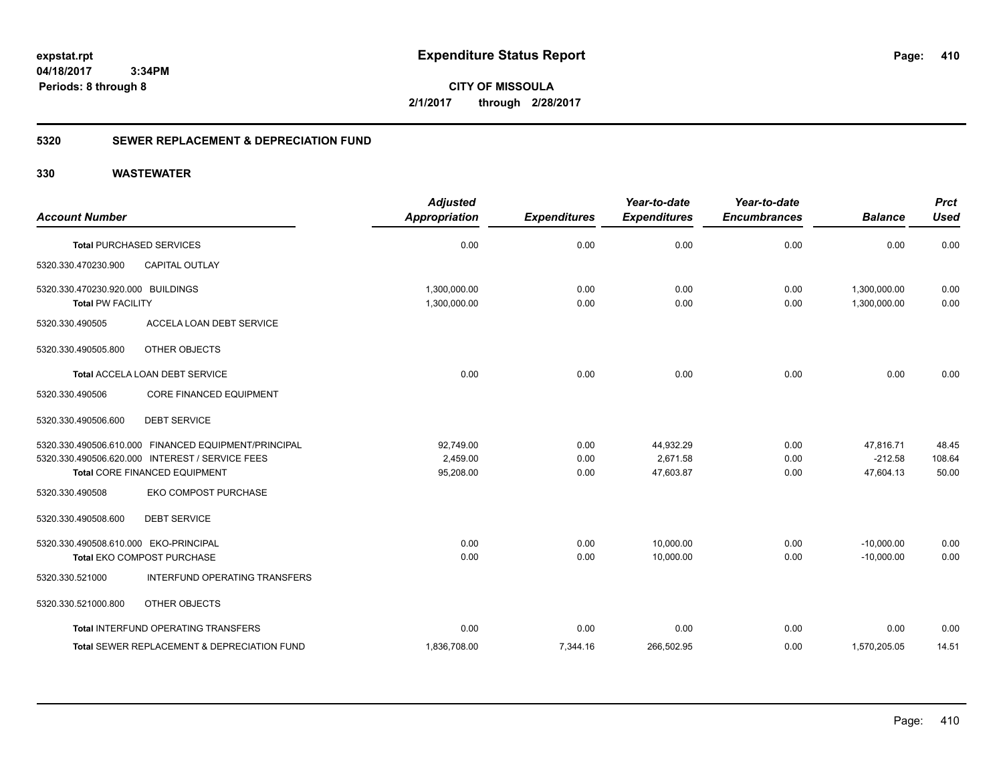**CITY OF MISSOULA 2/1/2017 through 2/28/2017**

### **5320 SEWER REPLACEMENT & DEPRECIATION FUND**

|                                       |                                                      | <b>Adjusted</b> |                     | Year-to-date        | Year-to-date        |                | <b>Prct</b> |
|---------------------------------------|------------------------------------------------------|-----------------|---------------------|---------------------|---------------------|----------------|-------------|
| <b>Account Number</b>                 |                                                      | Appropriation   | <b>Expenditures</b> | <b>Expenditures</b> | <b>Encumbrances</b> | <b>Balance</b> | <b>Used</b> |
|                                       | <b>Total PURCHASED SERVICES</b>                      | 0.00            | 0.00                | 0.00                | 0.00                | 0.00           | 0.00        |
| 5320.330.470230.900                   | <b>CAPITAL OUTLAY</b>                                |                 |                     |                     |                     |                |             |
| 5320.330.470230.920.000 BUILDINGS     |                                                      | 1,300,000.00    | 0.00                | 0.00                | 0.00                | 1,300,000.00   | 0.00        |
| <b>Total PW FACILITY</b>              |                                                      | 1,300,000.00    | 0.00                | 0.00                | 0.00                | 1,300,000.00   | 0.00        |
| 5320.330.490505                       | ACCELA LOAN DEBT SERVICE                             |                 |                     |                     |                     |                |             |
| 5320.330.490505.800                   | OTHER OBJECTS                                        |                 |                     |                     |                     |                |             |
|                                       | Total ACCELA LOAN DEBT SERVICE                       | 0.00            | 0.00                | 0.00                | 0.00                | 0.00           | 0.00        |
| 5320.330.490506                       | CORE FINANCED EQUIPMENT                              |                 |                     |                     |                     |                |             |
| 5320.330.490506.600                   | <b>DEBT SERVICE</b>                                  |                 |                     |                     |                     |                |             |
|                                       | 5320.330.490506.610.000 FINANCED EQUIPMENT/PRINCIPAL | 92,749.00       | 0.00                | 44,932.29           | 0.00                | 47,816.71      | 48.45       |
|                                       | 5320.330.490506.620.000 INTEREST / SERVICE FEES      | 2,459.00        | 0.00                | 2,671.58            | 0.00                | $-212.58$      | 108.64      |
|                                       | Total CORE FINANCED EQUIPMENT                        | 95,208.00       | 0.00                | 47,603.87           | 0.00                | 47,604.13      | 50.00       |
| 5320.330.490508                       | <b>EKO COMPOST PURCHASE</b>                          |                 |                     |                     |                     |                |             |
| 5320.330.490508.600                   | <b>DEBT SERVICE</b>                                  |                 |                     |                     |                     |                |             |
| 5320.330.490508.610.000 EKO-PRINCIPAL |                                                      | 0.00            | 0.00                | 10,000.00           | 0.00                | $-10,000.00$   | 0.00        |
|                                       | Total EKO COMPOST PURCHASE                           | 0.00            | 0.00                | 10,000.00           | 0.00                | $-10,000.00$   | 0.00        |
| 5320.330.521000                       | INTERFUND OPERATING TRANSFERS                        |                 |                     |                     |                     |                |             |
| 5320.330.521000.800                   | OTHER OBJECTS                                        |                 |                     |                     |                     |                |             |
|                                       | Total INTERFUND OPERATING TRANSFERS                  | 0.00            | 0.00                | 0.00                | 0.00                | 0.00           | 0.00        |
|                                       | Total SEWER REPLACEMENT & DEPRECIATION FUND          | 1,836,708.00    | 7,344.16            | 266,502.95          | 0.00                | 1,570,205.05   | 14.51       |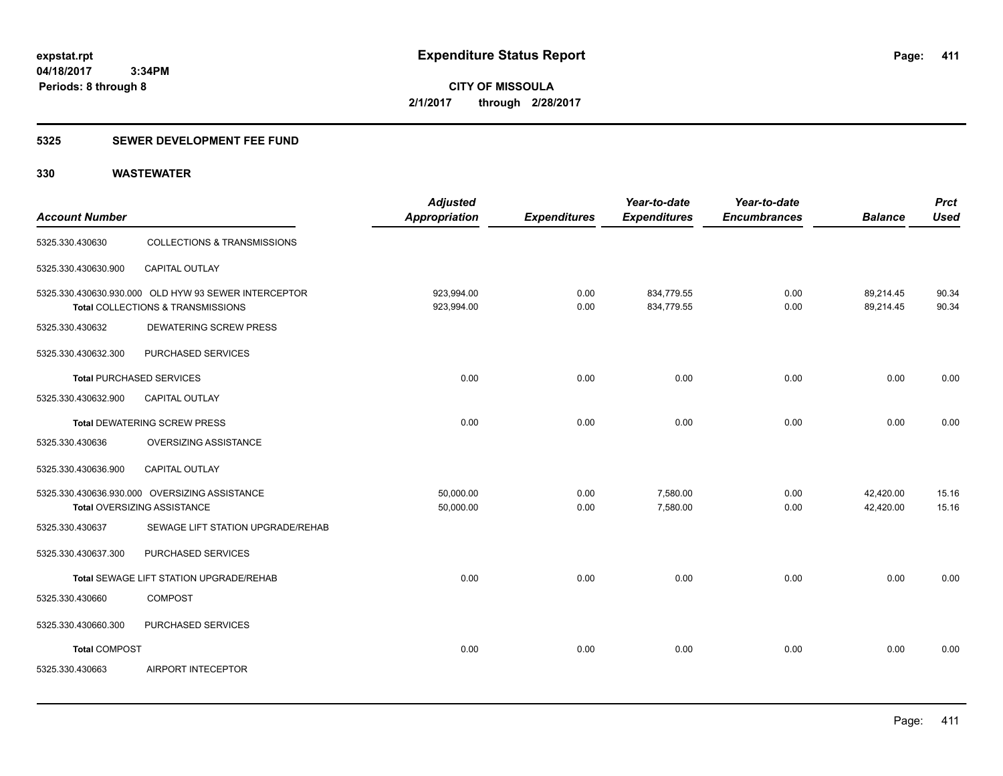**CITY OF MISSOULA 2/1/2017 through 2/28/2017**

### **5325 SEWER DEVELOPMENT FEE FUND**

| <b>Account Number</b>           |                                                                                           | <b>Adjusted</b><br><b>Appropriation</b> | <b>Expenditures</b> | Year-to-date<br><b>Expenditures</b> | Year-to-date<br><b>Encumbrances</b> | <b>Balance</b>         | <b>Prct</b><br><b>Used</b> |
|---------------------------------|-------------------------------------------------------------------------------------------|-----------------------------------------|---------------------|-------------------------------------|-------------------------------------|------------------------|----------------------------|
| 5325.330.430630                 | <b>COLLECTIONS &amp; TRANSMISSIONS</b>                                                    |                                         |                     |                                     |                                     |                        |                            |
| 5325.330.430630.900             | CAPITAL OUTLAY                                                                            |                                         |                     |                                     |                                     |                        |                            |
|                                 | 5325.330.430630.930.000 OLD HYW 93 SEWER INTERCEPTOR<br>Total COLLECTIONS & TRANSMISSIONS | 923,994.00<br>923,994.00                | 0.00<br>0.00        | 834,779.55<br>834,779.55            | 0.00<br>0.00                        | 89,214.45<br>89,214.45 | 90.34<br>90.34             |
| 5325.330.430632                 | DEWATERING SCREW PRESS                                                                    |                                         |                     |                                     |                                     |                        |                            |
| 5325.330.430632.300             | PURCHASED SERVICES                                                                        |                                         |                     |                                     |                                     |                        |                            |
| <b>Total PURCHASED SERVICES</b> |                                                                                           | 0.00                                    | 0.00                | 0.00                                | 0.00                                | 0.00                   | 0.00                       |
| 5325.330.430632.900             | <b>CAPITAL OUTLAY</b>                                                                     |                                         |                     |                                     |                                     |                        |                            |
|                                 | <b>Total DEWATERING SCREW PRESS</b>                                                       | 0.00                                    | 0.00                | 0.00                                | 0.00                                | 0.00                   | 0.00                       |
| 5325.330.430636                 | OVERSIZING ASSISTANCE                                                                     |                                         |                     |                                     |                                     |                        |                            |
| 5325.330.430636.900             | <b>CAPITAL OUTLAY</b>                                                                     |                                         |                     |                                     |                                     |                        |                            |
|                                 | 5325.330.430636.930.000 OVERSIZING ASSISTANCE<br>Total OVERSIZING ASSISTANCE              | 50,000.00<br>50,000.00                  | 0.00<br>0.00        | 7,580.00<br>7,580.00                | 0.00<br>0.00                        | 42,420.00<br>42,420.00 | 15.16<br>15.16             |
| 5325.330.430637                 | SEWAGE LIFT STATION UPGRADE/REHAB                                                         |                                         |                     |                                     |                                     |                        |                            |
| 5325.330.430637.300             | PURCHASED SERVICES                                                                        |                                         |                     |                                     |                                     |                        |                            |
|                                 | Total SEWAGE LIFT STATION UPGRADE/REHAB                                                   | 0.00                                    | 0.00                | 0.00                                | 0.00                                | 0.00                   | 0.00                       |
| 5325.330.430660                 | <b>COMPOST</b>                                                                            |                                         |                     |                                     |                                     |                        |                            |
| 5325.330.430660.300             | PURCHASED SERVICES                                                                        |                                         |                     |                                     |                                     |                        |                            |
| <b>Total COMPOST</b>            |                                                                                           | 0.00                                    | 0.00                | 0.00                                | 0.00                                | 0.00                   | 0.00                       |
| 5325.330.430663                 | AIRPORT INTECEPTOR                                                                        |                                         |                     |                                     |                                     |                        |                            |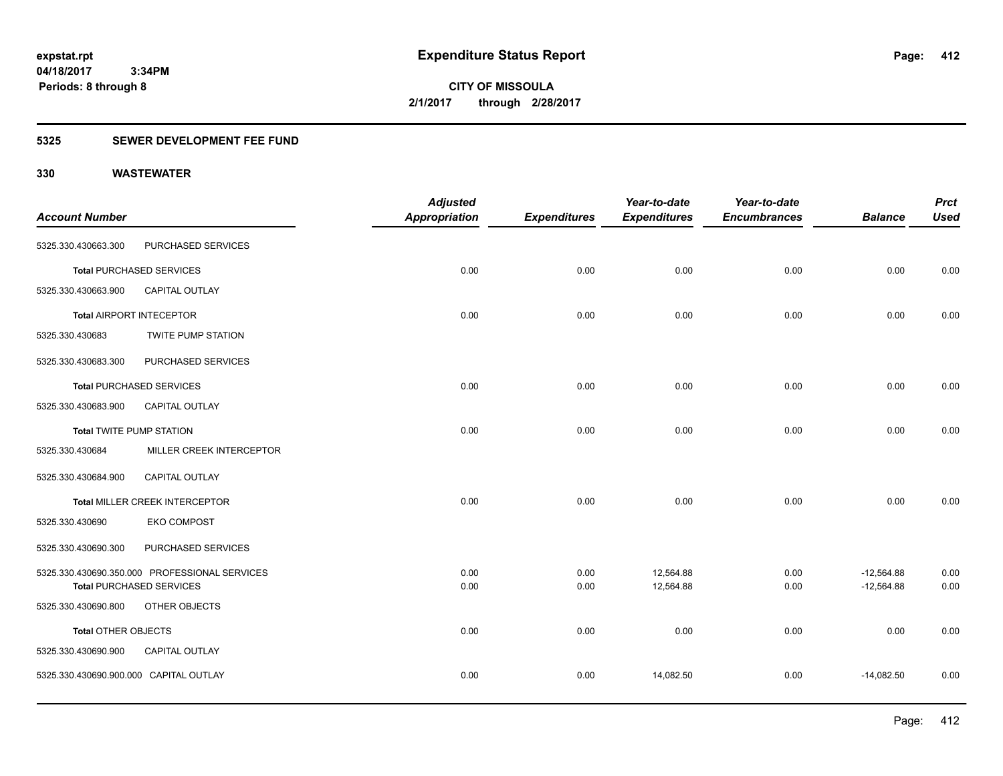**CITY OF MISSOULA 2/1/2017 through 2/28/2017**

### **5325 SEWER DEVELOPMENT FEE FUND**

|                                        |                                               | <b>Adjusted</b>      |                     | Year-to-date        | Year-to-date        |                | <b>Prct</b> |
|----------------------------------------|-----------------------------------------------|----------------------|---------------------|---------------------|---------------------|----------------|-------------|
| <b>Account Number</b>                  |                                               | <b>Appropriation</b> | <b>Expenditures</b> | <b>Expenditures</b> | <b>Encumbrances</b> | <b>Balance</b> | <b>Used</b> |
| 5325.330.430663.300                    | PURCHASED SERVICES                            |                      |                     |                     |                     |                |             |
|                                        | <b>Total PURCHASED SERVICES</b>               | 0.00                 | 0.00                | 0.00                | 0.00                | 0.00           | 0.00        |
| 5325.330.430663.900                    | CAPITAL OUTLAY                                |                      |                     |                     |                     |                |             |
|                                        | <b>Total AIRPORT INTECEPTOR</b>               | 0.00                 | 0.00                | 0.00                | 0.00                | 0.00           | 0.00        |
| 5325.330.430683                        | <b>TWITE PUMP STATION</b>                     |                      |                     |                     |                     |                |             |
| 5325.330.430683.300                    | PURCHASED SERVICES                            |                      |                     |                     |                     |                |             |
|                                        | <b>Total PURCHASED SERVICES</b>               | 0.00                 | 0.00                | 0.00                | 0.00                | 0.00           | 0.00        |
| 5325.330.430683.900                    | <b>CAPITAL OUTLAY</b>                         |                      |                     |                     |                     |                |             |
| <b>Total TWITE PUMP STATION</b>        |                                               | 0.00                 | 0.00                | 0.00                | 0.00                | 0.00           | 0.00        |
| 5325.330.430684                        | MILLER CREEK INTERCEPTOR                      |                      |                     |                     |                     |                |             |
| 5325.330.430684.900                    | CAPITAL OUTLAY                                |                      |                     |                     |                     |                |             |
|                                        | <b>Total MILLER CREEK INTERCEPTOR</b>         | 0.00                 | 0.00                | 0.00                | 0.00                | 0.00           | 0.00        |
| 5325.330.430690                        | <b>EKO COMPOST</b>                            |                      |                     |                     |                     |                |             |
| 5325.330.430690.300                    | PURCHASED SERVICES                            |                      |                     |                     |                     |                |             |
|                                        | 5325.330.430690.350.000 PROFESSIONAL SERVICES | 0.00                 | 0.00                | 12,564.88           | 0.00                | $-12,564.88$   | 0.00        |
|                                        | <b>Total PURCHASED SERVICES</b>               | 0.00                 | 0.00                | 12,564.88           | 0.00                | $-12,564.88$   | 0.00        |
| 5325.330.430690.800                    | OTHER OBJECTS                                 |                      |                     |                     |                     |                |             |
| Total OTHER OBJECTS                    |                                               | 0.00                 | 0.00                | 0.00                | 0.00                | 0.00           | 0.00        |
| 5325.330.430690.900                    | CAPITAL OUTLAY                                |                      |                     |                     |                     |                |             |
| 5325.330.430690.900.000 CAPITAL OUTLAY |                                               | 0.00                 | 0.00                | 14,082.50           | 0.00                | $-14,082.50$   | 0.00        |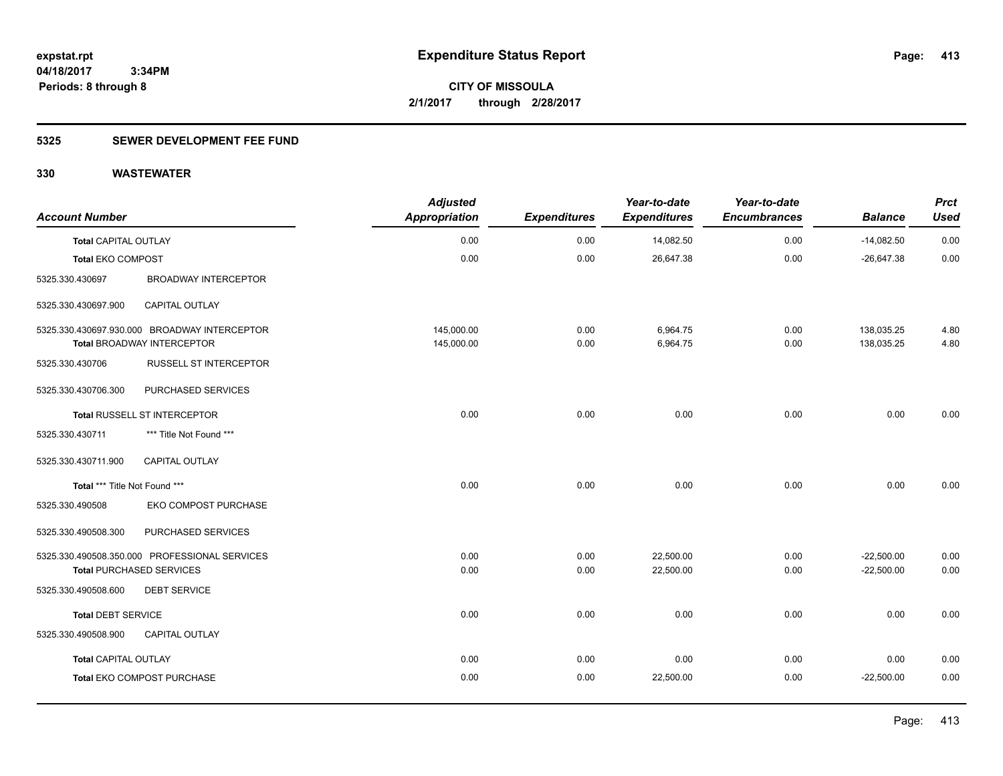**413**

**04/18/2017 3:34PM Periods: 8 through 8**

**CITY OF MISSOULA 2/1/2017 through 2/28/2017**

### **5325 SEWER DEVELOPMENT FEE FUND**

| <b>Account Number</b>         |                                                                                   | <b>Adjusted</b><br><b>Appropriation</b> | <b>Expenditures</b> | Year-to-date<br><b>Expenditures</b> | Year-to-date<br><b>Encumbrances</b> | <b>Balance</b>           | <b>Prct</b><br><b>Used</b> |
|-------------------------------|-----------------------------------------------------------------------------------|-----------------------------------------|---------------------|-------------------------------------|-------------------------------------|--------------------------|----------------------------|
| <b>Total CAPITAL OUTLAY</b>   |                                                                                   | 0.00                                    | 0.00                | 14,082.50                           | 0.00                                | $-14,082.50$             | 0.00                       |
| <b>Total EKO COMPOST</b>      |                                                                                   | 0.00                                    | 0.00                | 26,647.38                           | 0.00                                | $-26,647.38$             | 0.00                       |
| 5325.330.430697               | <b>BROADWAY INTERCEPTOR</b>                                                       |                                         |                     |                                     |                                     |                          |                            |
| 5325.330.430697.900           | CAPITAL OUTLAY                                                                    |                                         |                     |                                     |                                     |                          |                            |
|                               | 5325.330.430697.930.000 BROADWAY INTERCEPTOR<br><b>Total BROADWAY INTERCEPTOR</b> | 145,000.00<br>145,000.00                | 0.00<br>0.00        | 6,964.75<br>6,964.75                | 0.00<br>0.00                        | 138,035.25<br>138,035.25 | 4.80<br>4.80               |
| 5325.330.430706               | RUSSELL ST INTERCEPTOR                                                            |                                         |                     |                                     |                                     |                          |                            |
| 5325.330.430706.300           | PURCHASED SERVICES                                                                |                                         |                     |                                     |                                     |                          |                            |
|                               | Total RUSSELL ST INTERCEPTOR                                                      | 0.00                                    | 0.00                | 0.00                                | 0.00                                | 0.00                     | 0.00                       |
| 5325.330.430711               | *** Title Not Found ***                                                           |                                         |                     |                                     |                                     |                          |                            |
| 5325.330.430711.900           | CAPITAL OUTLAY                                                                    |                                         |                     |                                     |                                     |                          |                            |
| Total *** Title Not Found *** |                                                                                   | 0.00                                    | 0.00                | 0.00                                | 0.00                                | 0.00                     | 0.00                       |
| 5325.330.490508               | EKO COMPOST PURCHASE                                                              |                                         |                     |                                     |                                     |                          |                            |
| 5325.330.490508.300           | PURCHASED SERVICES                                                                |                                         |                     |                                     |                                     |                          |                            |
|                               | 5325.330.490508.350.000 PROFESSIONAL SERVICES                                     | 0.00                                    | 0.00                | 22,500.00                           | 0.00                                | $-22,500.00$             | 0.00                       |
|                               | <b>Total PURCHASED SERVICES</b>                                                   | 0.00                                    | 0.00                | 22,500.00                           | 0.00                                | $-22,500.00$             | 0.00                       |
| 5325.330.490508.600           | <b>DEBT SERVICE</b>                                                               |                                         |                     |                                     |                                     |                          |                            |
| <b>Total DEBT SERVICE</b>     |                                                                                   | 0.00                                    | 0.00                | 0.00                                | 0.00                                | 0.00                     | 0.00                       |
| 5325.330.490508.900           | CAPITAL OUTLAY                                                                    |                                         |                     |                                     |                                     |                          |                            |
| <b>Total CAPITAL OUTLAY</b>   |                                                                                   | 0.00                                    | 0.00                | 0.00                                | 0.00                                | 0.00                     | 0.00                       |
|                               | Total EKO COMPOST PURCHASE                                                        | 0.00                                    | 0.00                | 22,500.00                           | 0.00                                | $-22,500.00$             | 0.00                       |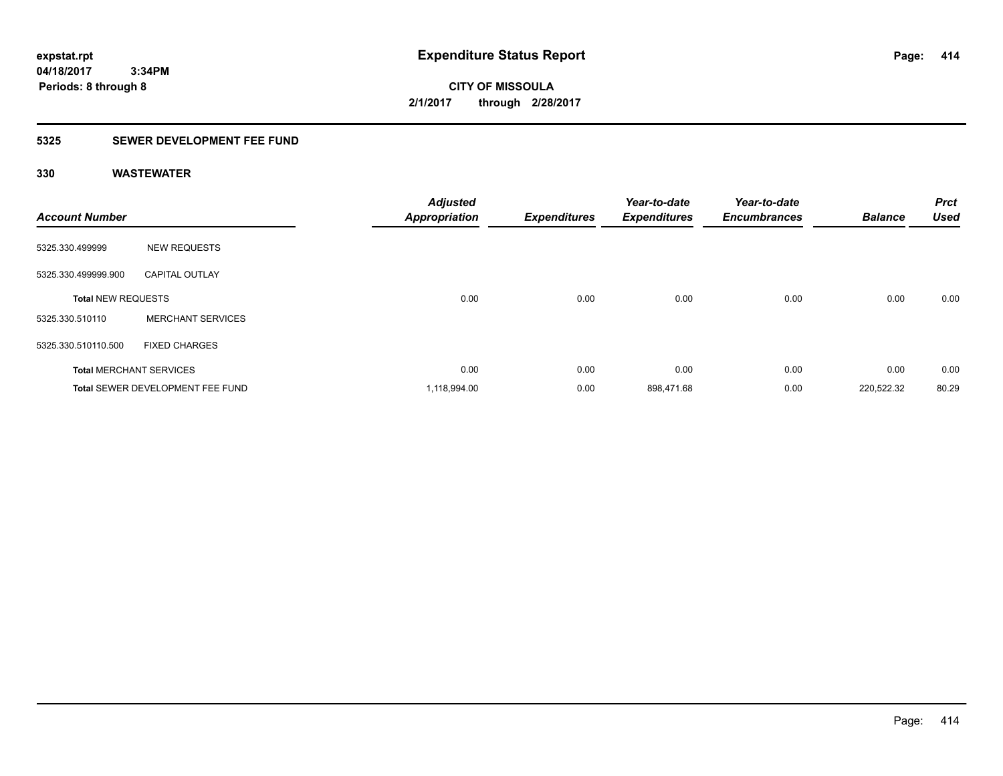**CITY OF MISSOULA 2/1/2017 through 2/28/2017**

### **5325 SEWER DEVELOPMENT FEE FUND**

| <b>Account Number</b>          |                                  | <b>Adjusted</b><br><b>Appropriation</b> | <b>Expenditures</b> | Year-to-date<br><b>Expenditures</b> | Year-to-date<br><b>Encumbrances</b> | <b>Balance</b> | <b>Prct</b><br><b>Used</b> |
|--------------------------------|----------------------------------|-----------------------------------------|---------------------|-------------------------------------|-------------------------------------|----------------|----------------------------|
| 5325.330.499999                | <b>NEW REQUESTS</b>              |                                         |                     |                                     |                                     |                |                            |
| 5325.330.499999.900            | <b>CAPITAL OUTLAY</b>            |                                         |                     |                                     |                                     |                |                            |
| <b>Total NEW REQUESTS</b>      |                                  | 0.00                                    | 0.00                | 0.00                                | 0.00                                | 0.00           | 0.00                       |
| 5325.330.510110                | <b>MERCHANT SERVICES</b>         |                                         |                     |                                     |                                     |                |                            |
| 5325.330.510110.500            | <b>FIXED CHARGES</b>             |                                         |                     |                                     |                                     |                |                            |
| <b>Total MERCHANT SERVICES</b> |                                  | 0.00                                    | 0.00                | 0.00                                | 0.00                                | 0.00           | 0.00                       |
|                                | Total SEWER DEVELOPMENT FEE FUND | 1,118,994.00                            | 0.00                | 898,471.68                          | 0.00                                | 220,522.32     | 80.29                      |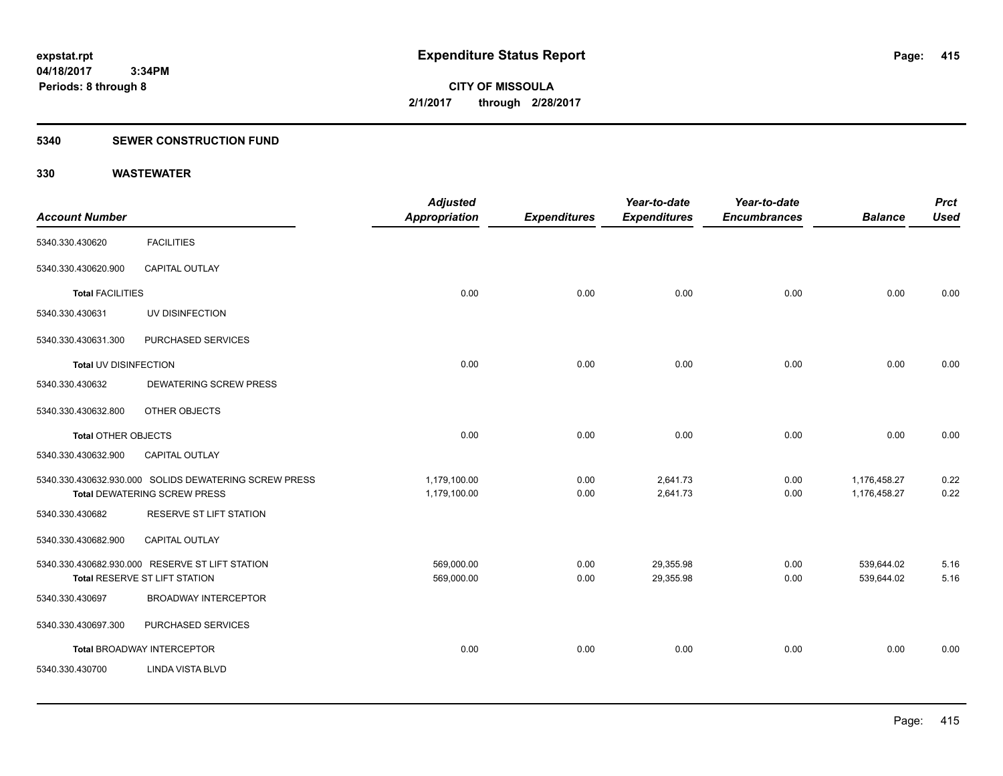### **5340 SEWER CONSTRUCTION FUND**

| <b>Account Number</b>      |                                                                                              | <b>Adjusted</b><br><b>Appropriation</b> | <b>Expenditures</b> | Year-to-date<br><b>Expenditures</b> | Year-to-date<br><b>Encumbrances</b> | <b>Balance</b>               | <b>Prct</b><br><b>Used</b> |
|----------------------------|----------------------------------------------------------------------------------------------|-----------------------------------------|---------------------|-------------------------------------|-------------------------------------|------------------------------|----------------------------|
| 5340.330.430620            | <b>FACILITIES</b>                                                                            |                                         |                     |                                     |                                     |                              |                            |
| 5340.330.430620.900        | <b>CAPITAL OUTLAY</b>                                                                        |                                         |                     |                                     |                                     |                              |                            |
| <b>Total FACILITIES</b>    |                                                                                              | 0.00                                    | 0.00                | 0.00                                | 0.00                                | 0.00                         | 0.00                       |
| 5340.330.430631            | UV DISINFECTION                                                                              |                                         |                     |                                     |                                     |                              |                            |
| 5340.330.430631.300        | PURCHASED SERVICES                                                                           |                                         |                     |                                     |                                     |                              |                            |
| Total UV DISINFECTION      |                                                                                              | 0.00                                    | 0.00                | 0.00                                | 0.00                                | 0.00                         | 0.00                       |
| 5340.330.430632            | <b>DEWATERING SCREW PRESS</b>                                                                |                                         |                     |                                     |                                     |                              |                            |
| 5340.330.430632.800        | OTHER OBJECTS                                                                                |                                         |                     |                                     |                                     |                              |                            |
| <b>Total OTHER OBJECTS</b> |                                                                                              | 0.00                                    | 0.00                | 0.00                                | 0.00                                | 0.00                         | 0.00                       |
| 5340.330.430632.900        | CAPITAL OUTLAY                                                                               |                                         |                     |                                     |                                     |                              |                            |
|                            | 5340.330.430632.930.000 SOLIDS DEWATERING SCREW PRESS<br><b>Total DEWATERING SCREW PRESS</b> | 1,179,100.00<br>1,179,100.00            | 0.00<br>0.00        | 2,641.73<br>2,641.73                | 0.00<br>0.00                        | 1,176,458.27<br>1,176,458.27 | 0.22<br>0.22               |
| 5340.330.430682            | RESERVE ST LIFT STATION                                                                      |                                         |                     |                                     |                                     |                              |                            |
| 5340.330.430682.900        | CAPITAL OUTLAY                                                                               |                                         |                     |                                     |                                     |                              |                            |
|                            | 5340.330.430682.930.000 RESERVE ST LIFT STATION<br>Total RESERVE ST LIFT STATION             | 569,000.00<br>569,000.00                | 0.00<br>0.00        | 29,355.98<br>29,355.98              | 0.00<br>0.00                        | 539,644.02<br>539,644.02     | 5.16<br>5.16               |
| 5340.330.430697            | <b>BROADWAY INTERCEPTOR</b>                                                                  |                                         |                     |                                     |                                     |                              |                            |
| 5340.330.430697.300        | PURCHASED SERVICES                                                                           |                                         |                     |                                     |                                     |                              |                            |
|                            | Total BROADWAY INTERCEPTOR                                                                   | 0.00                                    | 0.00                | 0.00                                | 0.00                                | 0.00                         | 0.00                       |
| 5340.330.430700            | <b>LINDA VISTA BLVD</b>                                                                      |                                         |                     |                                     |                                     |                              |                            |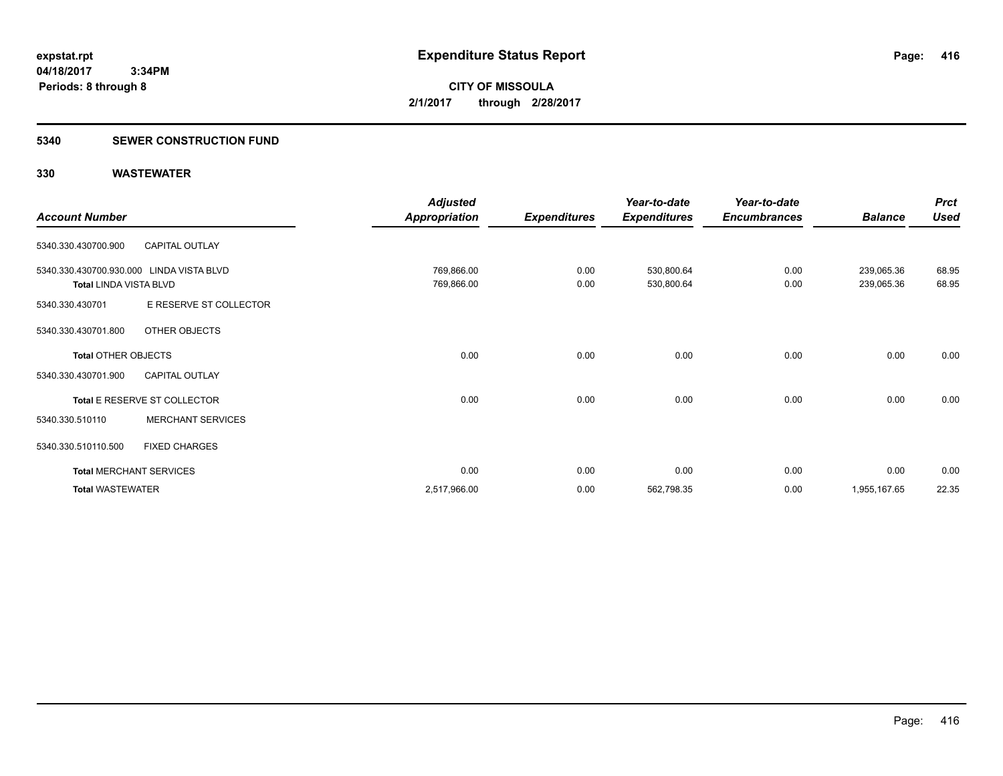### **5340 SEWER CONSTRUCTION FUND**

|                                          |                                | <b>Adjusted</b>      |                     | Year-to-date        | Year-to-date        |                | <b>Prct</b> |
|------------------------------------------|--------------------------------|----------------------|---------------------|---------------------|---------------------|----------------|-------------|
| <b>Account Number</b>                    |                                | <b>Appropriation</b> | <b>Expenditures</b> | <b>Expenditures</b> | <b>Encumbrances</b> | <b>Balance</b> | <b>Used</b> |
| 5340.330.430700.900                      | <b>CAPITAL OUTLAY</b>          |                      |                     |                     |                     |                |             |
| 5340.330.430700.930.000 LINDA VISTA BLVD |                                | 769,866.00           | 0.00                | 530,800.64          | 0.00                | 239,065.36     | 68.95       |
| <b>Total LINDA VISTA BLVD</b>            |                                | 769,866.00           | 0.00                | 530,800.64          | 0.00                | 239,065.36     | 68.95       |
| 5340.330.430701                          | E RESERVE ST COLLECTOR         |                      |                     |                     |                     |                |             |
| 5340.330.430701.800                      | OTHER OBJECTS                  |                      |                     |                     |                     |                |             |
| <b>Total OTHER OBJECTS</b>               |                                | 0.00                 | 0.00                | 0.00                | 0.00                | 0.00           | 0.00        |
| 5340.330.430701.900                      | <b>CAPITAL OUTLAY</b>          |                      |                     |                     |                     |                |             |
|                                          | Total E RESERVE ST COLLECTOR   | 0.00                 | 0.00                | 0.00                | 0.00                | 0.00           | 0.00        |
| 5340.330.510110                          | <b>MERCHANT SERVICES</b>       |                      |                     |                     |                     |                |             |
| 5340.330.510110.500                      | <b>FIXED CHARGES</b>           |                      |                     |                     |                     |                |             |
|                                          | <b>Total MERCHANT SERVICES</b> | 0.00                 | 0.00                | 0.00                | 0.00                | 0.00           | 0.00        |
| <b>Total WASTEWATER</b>                  |                                | 2,517,966.00         | 0.00                | 562,798.35          | 0.00                | 1,955,167.65   | 22.35       |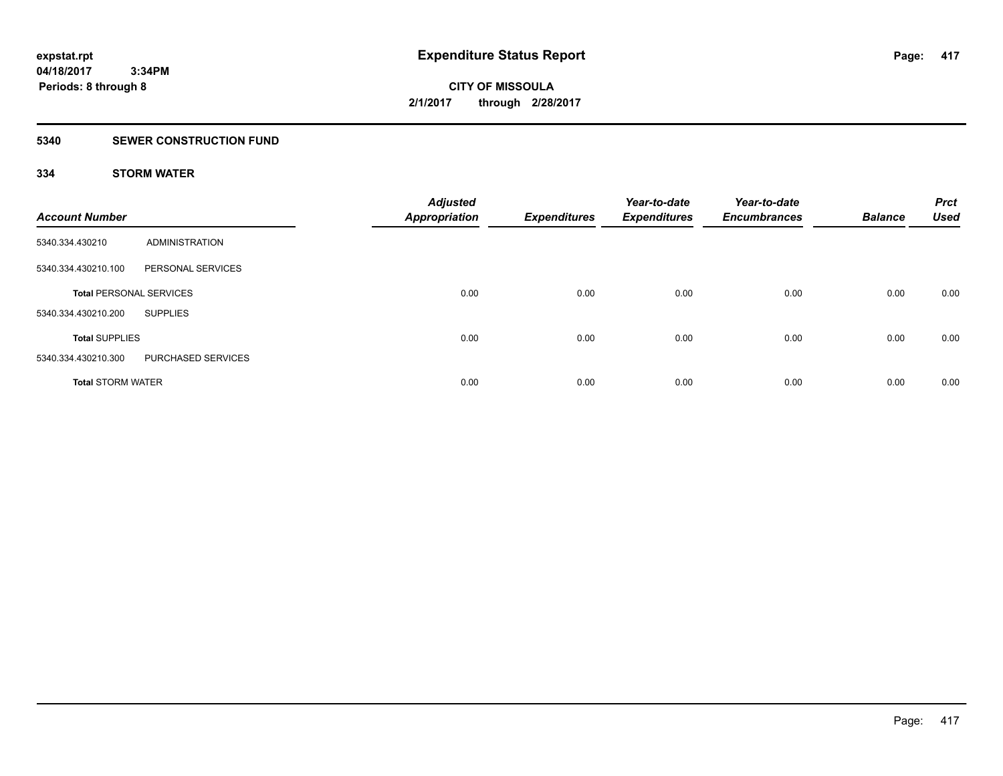### **5340 SEWER CONSTRUCTION FUND**

### **334 STORM WATER**

| <b>Account Number</b>          |                    | <b>Adjusted</b><br><b>Appropriation</b> | <b>Expenditures</b> | Year-to-date<br><b>Expenditures</b> | Year-to-date<br><b>Encumbrances</b> | <b>Balance</b> | <b>Prct</b><br><b>Used</b> |
|--------------------------------|--------------------|-----------------------------------------|---------------------|-------------------------------------|-------------------------------------|----------------|----------------------------|
| 5340.334.430210                | ADMINISTRATION     |                                         |                     |                                     |                                     |                |                            |
| 5340.334.430210.100            | PERSONAL SERVICES  |                                         |                     |                                     |                                     |                |                            |
| <b>Total PERSONAL SERVICES</b> |                    | 0.00                                    | 0.00                | 0.00                                | 0.00                                | 0.00           | 0.00                       |
| 5340.334.430210.200            | <b>SUPPLIES</b>    |                                         |                     |                                     |                                     |                |                            |
| <b>Total SUPPLIES</b>          |                    | 0.00                                    | 0.00                | 0.00                                | 0.00                                | 0.00           | 0.00                       |
| 5340.334.430210.300            | PURCHASED SERVICES |                                         |                     |                                     |                                     |                |                            |
| <b>Total STORM WATER</b>       |                    | 0.00                                    | 0.00                | 0.00                                | 0.00                                | 0.00           | 0.00                       |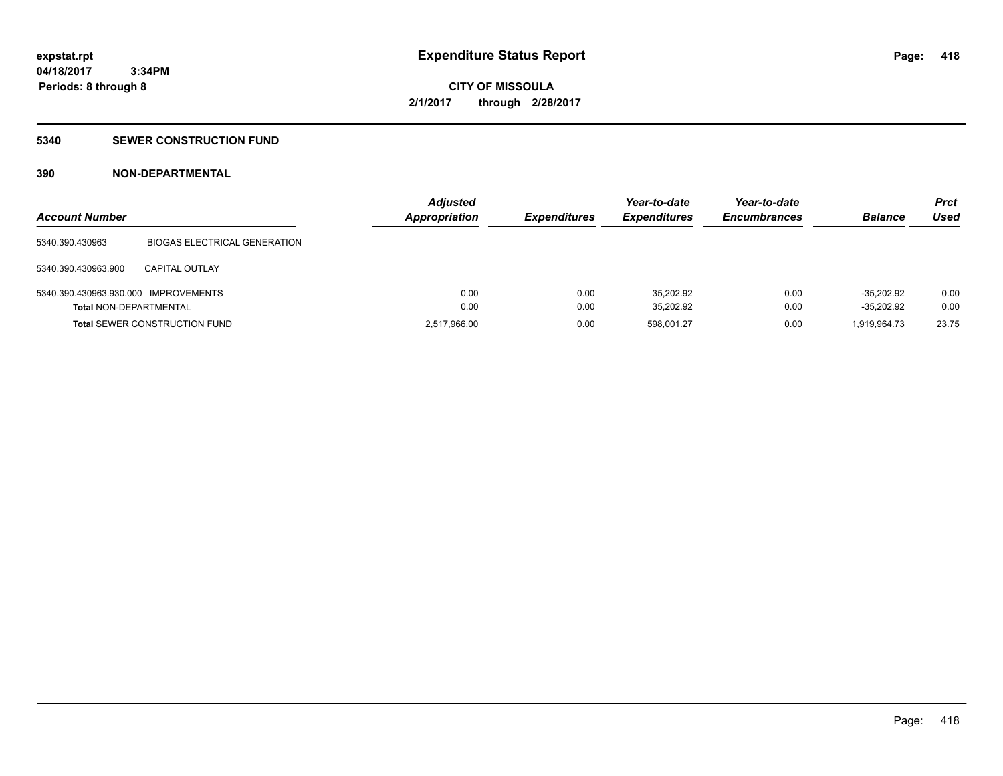### **5340 SEWER CONSTRUCTION FUND**

### **390 NON-DEPARTMENTAL**

| <b>Account Number</b>                |                                      | <b>Adjusted</b><br><b>Appropriation</b> | <b>Expenditures</b> | Year-to-date<br><b>Expenditures</b> | Year-to-date<br><b>Encumbrances</b> | <b>Balance</b> | <b>Prct</b><br>Used |
|--------------------------------------|--------------------------------------|-----------------------------------------|---------------------|-------------------------------------|-------------------------------------|----------------|---------------------|
| 5340.390.430963                      | <b>BIOGAS ELECTRICAL GENERATION</b>  |                                         |                     |                                     |                                     |                |                     |
| 5340.390.430963.900                  | CAPITAL OUTLAY                       |                                         |                     |                                     |                                     |                |                     |
| 5340.390.430963.930.000 IMPROVEMENTS |                                      | 0.00                                    | 0.00                | 35.202.92                           | 0.00                                | $-35.202.92$   | 0.00                |
| <b>Total NON-DEPARTMENTAL</b>        |                                      | 0.00                                    | 0.00                | 35,202.92                           | 0.00                                | $-35.202.92$   | 0.00                |
|                                      | <b>Total SEWER CONSTRUCTION FUND</b> | 2,517,966.00                            | 0.00                | 598.001.27                          | 0.00                                | 1,919,964.73   | 23.75               |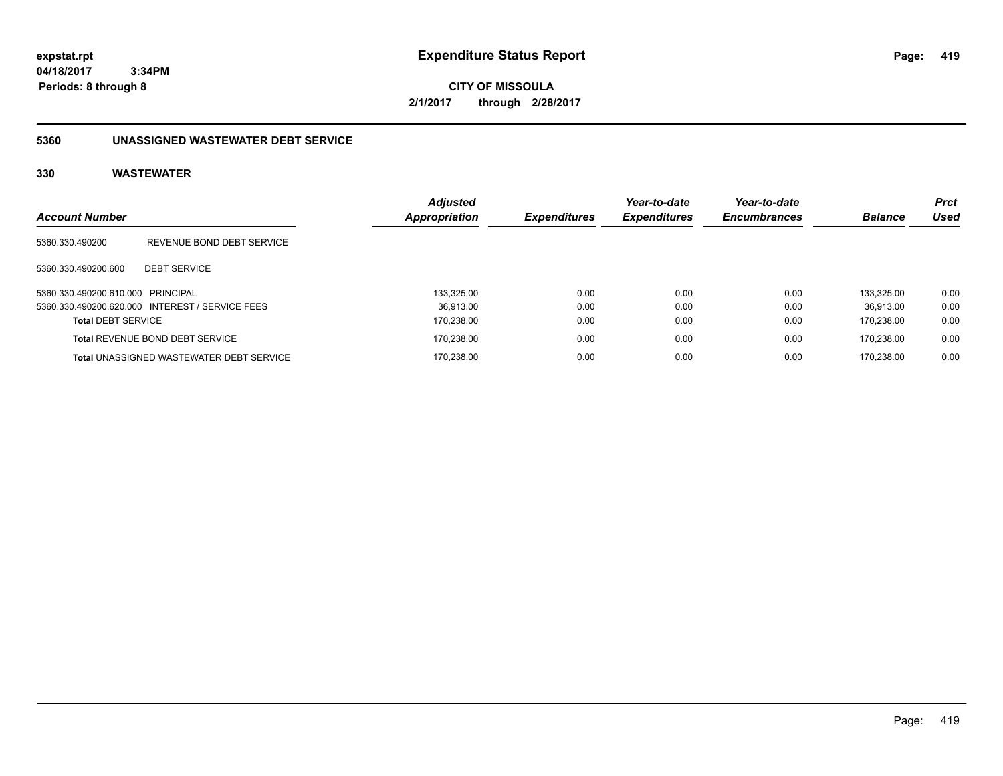**CITY OF MISSOULA 2/1/2017 through 2/28/2017**

### **5360 UNASSIGNED WASTEWATER DEBT SERVICE**

| <b>Account Number</b>             |                                                 | <b>Adjusted</b> | <b>Expenditures</b> | Year-to-date<br><b>Expenditures</b> | Year-to-date<br><b>Encumbrances</b> | <b>Balance</b> | <b>Prct</b><br>Used |
|-----------------------------------|-------------------------------------------------|-----------------|---------------------|-------------------------------------|-------------------------------------|----------------|---------------------|
|                                   |                                                 | Appropriation   |                     |                                     |                                     |                |                     |
| 5360.330.490200                   | REVENUE BOND DEBT SERVICE                       |                 |                     |                                     |                                     |                |                     |
| 5360.330.490200.600               | <b>DEBT SERVICE</b>                             |                 |                     |                                     |                                     |                |                     |
| 5360.330.490200.610.000 PRINCIPAL |                                                 | 133.325.00      | 0.00                | 0.00                                | 0.00                                | 133.325.00     | 0.00                |
|                                   | 5360.330.490200.620.000 INTEREST / SERVICE FEES | 36.913.00       | 0.00                | 0.00                                | 0.00                                | 36.913.00      | 0.00                |
| <b>Total DEBT SERVICE</b>         |                                                 | 170,238.00      | 0.00                | 0.00                                | 0.00                                | 170.238.00     | 0.00                |
|                                   | <b>Total REVENUE BOND DEBT SERVICE</b>          | 170,238.00      | 0.00                | 0.00                                | 0.00                                | 170.238.00     | 0.00                |
|                                   | <b>Total UNASSIGNED WASTEWATER DEBT SERVICE</b> | 170.238.00      | 0.00                | 0.00                                | 0.00                                | 170.238.00     | 0.00                |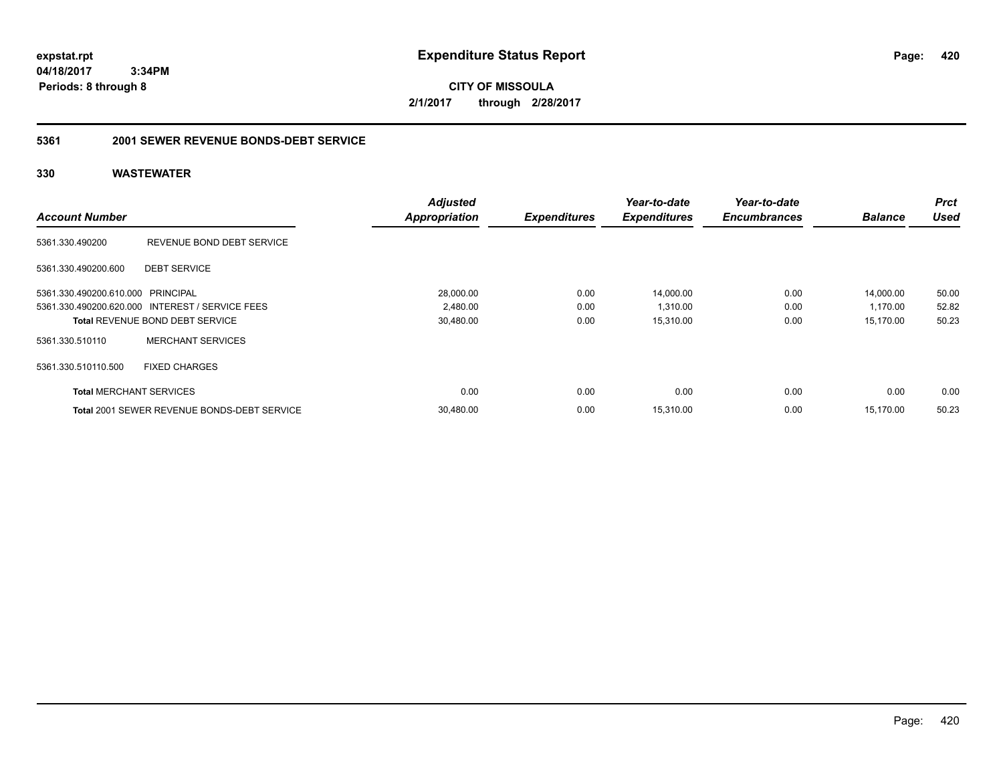**CITY OF MISSOULA 2/1/2017 through 2/28/2017**

#### **5361 2001 SEWER REVENUE BONDS-DEBT SERVICE**

|                                   |                                                    | <b>Adjusted</b>      |                     | Year-to-date        | Year-to-date        |                | <b>Prct</b> |
|-----------------------------------|----------------------------------------------------|----------------------|---------------------|---------------------|---------------------|----------------|-------------|
| <b>Account Number</b>             |                                                    | <b>Appropriation</b> | <b>Expenditures</b> | <b>Expenditures</b> | <b>Encumbrances</b> | <b>Balance</b> | <b>Used</b> |
| 5361.330.490200                   | REVENUE BOND DEBT SERVICE                          |                      |                     |                     |                     |                |             |
| 5361.330.490200.600               | <b>DEBT SERVICE</b>                                |                      |                     |                     |                     |                |             |
| 5361.330.490200.610.000 PRINCIPAL |                                                    | 28,000.00            | 0.00                | 14,000.00           | 0.00                | 14,000.00      | 50.00       |
|                                   | 5361.330.490200.620.000 INTEREST / SERVICE FEES    | 2,480.00             | 0.00                | 1,310.00            | 0.00                | 1,170.00       | 52.82       |
|                                   | <b>Total REVENUE BOND DEBT SERVICE</b>             | 30,480.00            | 0.00                | 15,310.00           | 0.00                | 15,170.00      | 50.23       |
| 5361.330.510110                   | <b>MERCHANT SERVICES</b>                           |                      |                     |                     |                     |                |             |
| 5361.330.510110.500               | <b>FIXED CHARGES</b>                               |                      |                     |                     |                     |                |             |
| <b>Total MERCHANT SERVICES</b>    |                                                    | 0.00                 | 0.00                | 0.00                | 0.00                | 0.00           | 0.00        |
|                                   | <b>Total 2001 SEWER REVENUE BONDS-DEBT SERVICE</b> | 30,480.00            | 0.00                | 15,310.00           | 0.00                | 15.170.00      | 50.23       |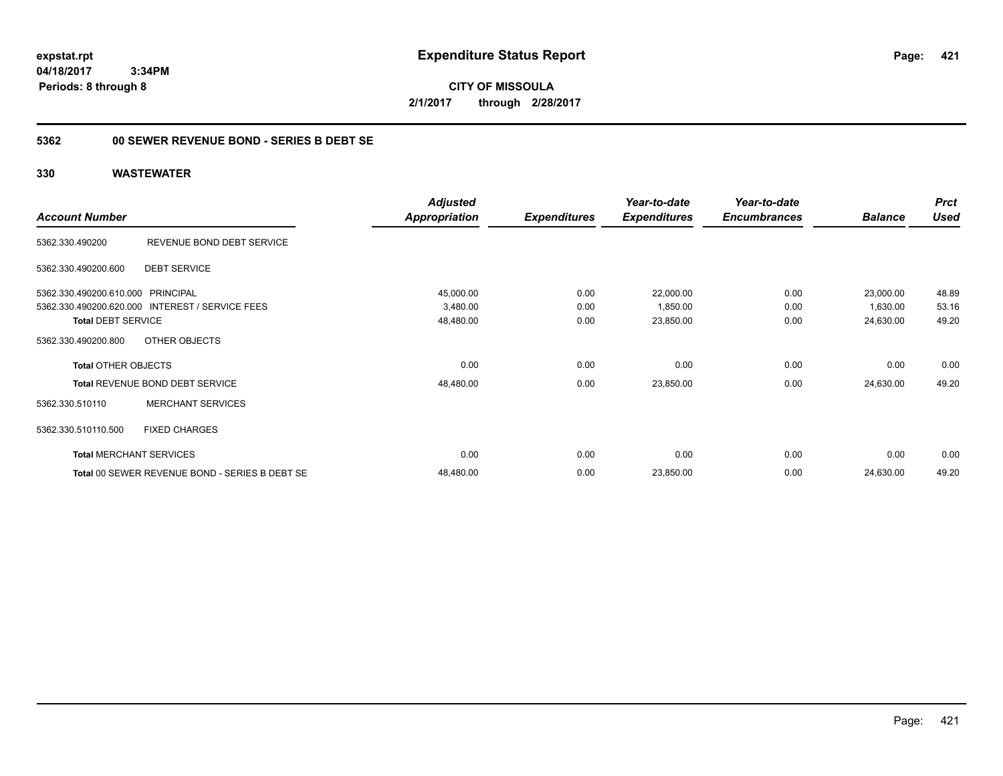**CITY OF MISSOULA 2/1/2017 through 2/28/2017**

### **5362 00 SEWER REVENUE BOND - SERIES B DEBT SE**

|                                   |                                                 | <b>Adjusted</b>      |                     | Year-to-date        | Year-to-date        |                | <b>Prct</b> |
|-----------------------------------|-------------------------------------------------|----------------------|---------------------|---------------------|---------------------|----------------|-------------|
| <b>Account Number</b>             |                                                 | <b>Appropriation</b> | <b>Expenditures</b> | <b>Expenditures</b> | <b>Encumbrances</b> | <b>Balance</b> | <b>Used</b> |
| 5362.330.490200                   | REVENUE BOND DEBT SERVICE                       |                      |                     |                     |                     |                |             |
| 5362.330.490200.600               | <b>DEBT SERVICE</b>                             |                      |                     |                     |                     |                |             |
| 5362.330.490200.610.000 PRINCIPAL |                                                 | 45,000.00            | 0.00                | 22,000.00           | 0.00                | 23,000.00      | 48.89       |
|                                   | 5362.330.490200.620.000 INTEREST / SERVICE FEES | 3,480.00             | 0.00                | 1,850.00            | 0.00                | 1,630.00       | 53.16       |
| <b>Total DEBT SERVICE</b>         |                                                 | 48,480.00            | 0.00                | 23,850.00           | 0.00                | 24,630.00      | 49.20       |
| 5362.330.490200.800               | OTHER OBJECTS                                   |                      |                     |                     |                     |                |             |
| <b>Total OTHER OBJECTS</b>        |                                                 | 0.00                 | 0.00                | 0.00                | 0.00                | 0.00           | 0.00        |
|                                   | Total REVENUE BOND DEBT SERVICE                 | 48,480.00            | 0.00                | 23,850.00           | 0.00                | 24,630.00      | 49.20       |
| 5362.330.510110                   | <b>MERCHANT SERVICES</b>                        |                      |                     |                     |                     |                |             |
| 5362.330.510110.500               | <b>FIXED CHARGES</b>                            |                      |                     |                     |                     |                |             |
|                                   | <b>Total MERCHANT SERVICES</b>                  | 0.00                 | 0.00                | 0.00                | 0.00                | 0.00           | 0.00        |
|                                   | Total 00 SEWER REVENUE BOND - SERIES B DEBT SE  | 48,480.00            | 0.00                | 23,850.00           | 0.00                | 24,630.00      | 49.20       |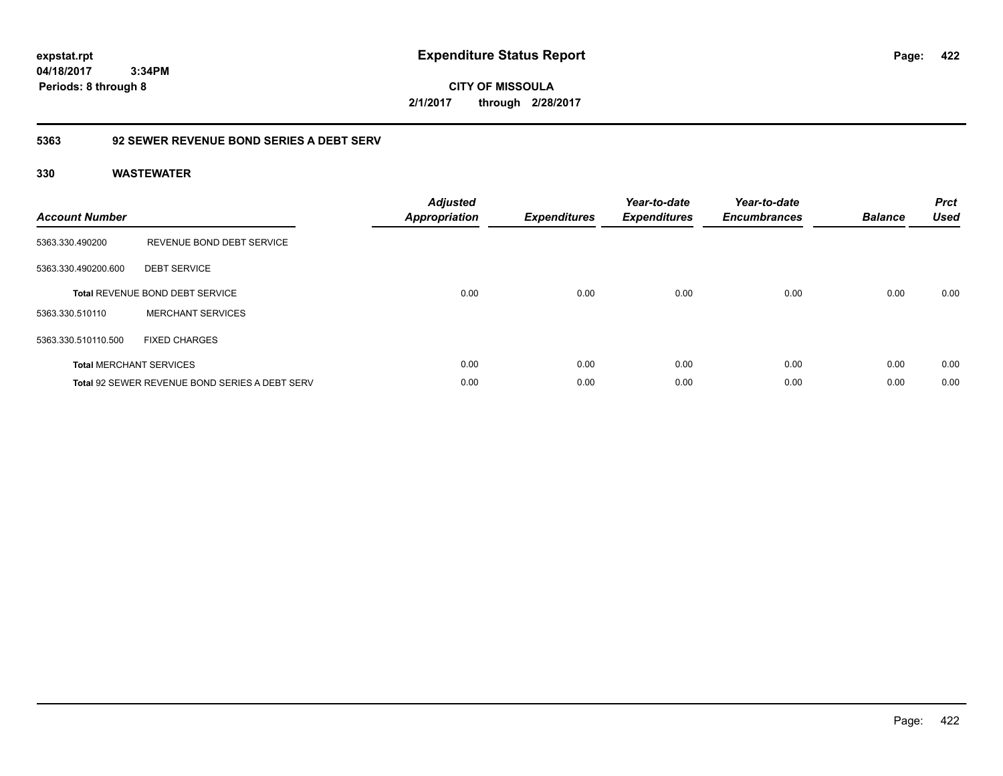**CITY OF MISSOULA 2/1/2017 through 2/28/2017**

### **5363 92 SEWER REVENUE BOND SERIES A DEBT SERV**

| <b>Account Number</b> |                                                       | <b>Adjusted</b><br><b>Appropriation</b> | <b>Expenditures</b> | Year-to-date<br><b>Expenditures</b> | Year-to-date<br><b>Encumbrances</b> | <b>Balance</b> | <b>Prct</b><br><b>Used</b> |
|-----------------------|-------------------------------------------------------|-----------------------------------------|---------------------|-------------------------------------|-------------------------------------|----------------|----------------------------|
| 5363.330.490200       | REVENUE BOND DEBT SERVICE                             |                                         |                     |                                     |                                     |                |                            |
| 5363.330.490200.600   | <b>DEBT SERVICE</b>                                   |                                         |                     |                                     |                                     |                |                            |
|                       | <b>Total REVENUE BOND DEBT SERVICE</b>                | 0.00                                    | 0.00                | 0.00                                | 0.00                                | 0.00           | 0.00                       |
| 5363.330.510110       | <b>MERCHANT SERVICES</b>                              |                                         |                     |                                     |                                     |                |                            |
| 5363.330.510110.500   | <b>FIXED CHARGES</b>                                  |                                         |                     |                                     |                                     |                |                            |
|                       | <b>Total MERCHANT SERVICES</b>                        | 0.00                                    | 0.00                | 0.00                                | 0.00                                | 0.00           | 0.00                       |
|                       | <b>Total 92 SEWER REVENUE BOND SERIES A DEBT SERV</b> | 0.00                                    | 0.00                | 0.00                                | 0.00                                | 0.00           | 0.00                       |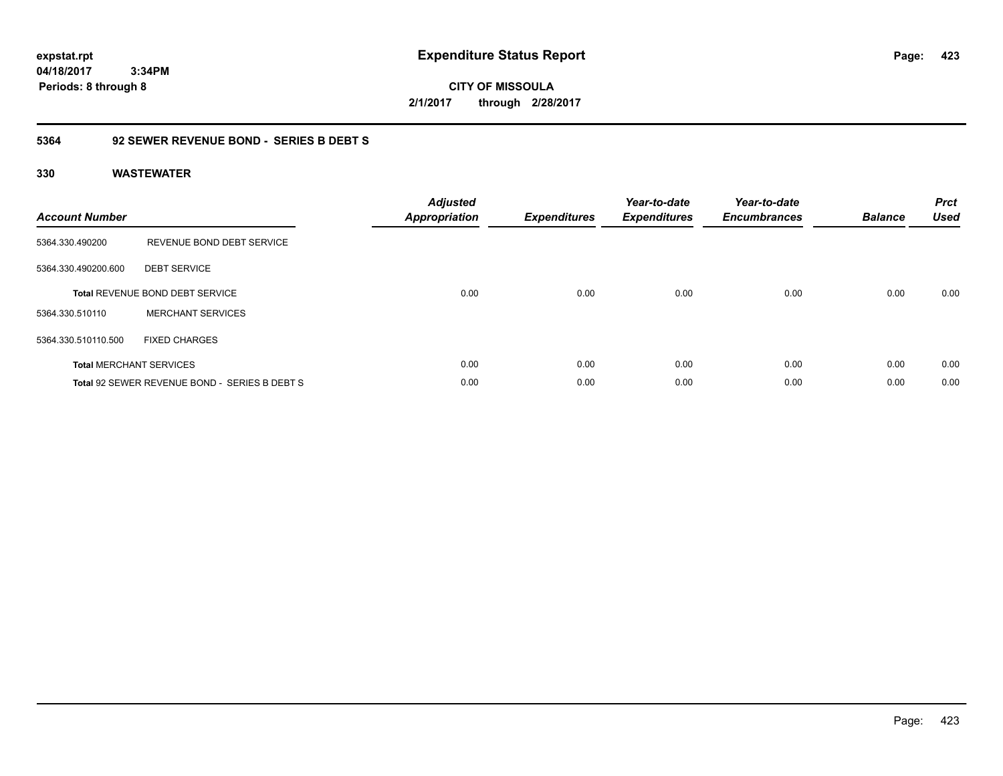**CITY OF MISSOULA 2/1/2017 through 2/28/2017**

### **5364 92 SEWER REVENUE BOND - SERIES B DEBT S**

| <b>Account Number</b> |                                               | <b>Adjusted</b><br><b>Appropriation</b> | <b>Expenditures</b> | Year-to-date<br><b>Expenditures</b> | Year-to-date<br><b>Encumbrances</b> | <b>Balance</b> | <b>Prct</b><br><b>Used</b> |
|-----------------------|-----------------------------------------------|-----------------------------------------|---------------------|-------------------------------------|-------------------------------------|----------------|----------------------------|
| 5364.330.490200       | REVENUE BOND DEBT SERVICE                     |                                         |                     |                                     |                                     |                |                            |
| 5364.330.490200.600   | <b>DEBT SERVICE</b>                           |                                         |                     |                                     |                                     |                |                            |
|                       | <b>Total REVENUE BOND DEBT SERVICE</b>        | 0.00                                    | 0.00                | 0.00                                | 0.00                                | 0.00           | 0.00                       |
| 5364.330.510110       | <b>MERCHANT SERVICES</b>                      |                                         |                     |                                     |                                     |                |                            |
| 5364.330.510110.500   | <b>FIXED CHARGES</b>                          |                                         |                     |                                     |                                     |                |                            |
|                       | <b>Total MERCHANT SERVICES</b>                | 0.00                                    | 0.00                | 0.00                                | 0.00                                | 0.00           | 0.00                       |
|                       | Total 92 SEWER REVENUE BOND - SERIES B DEBT S | 0.00                                    | 0.00                | 0.00                                | 0.00                                | 0.00           | 0.00                       |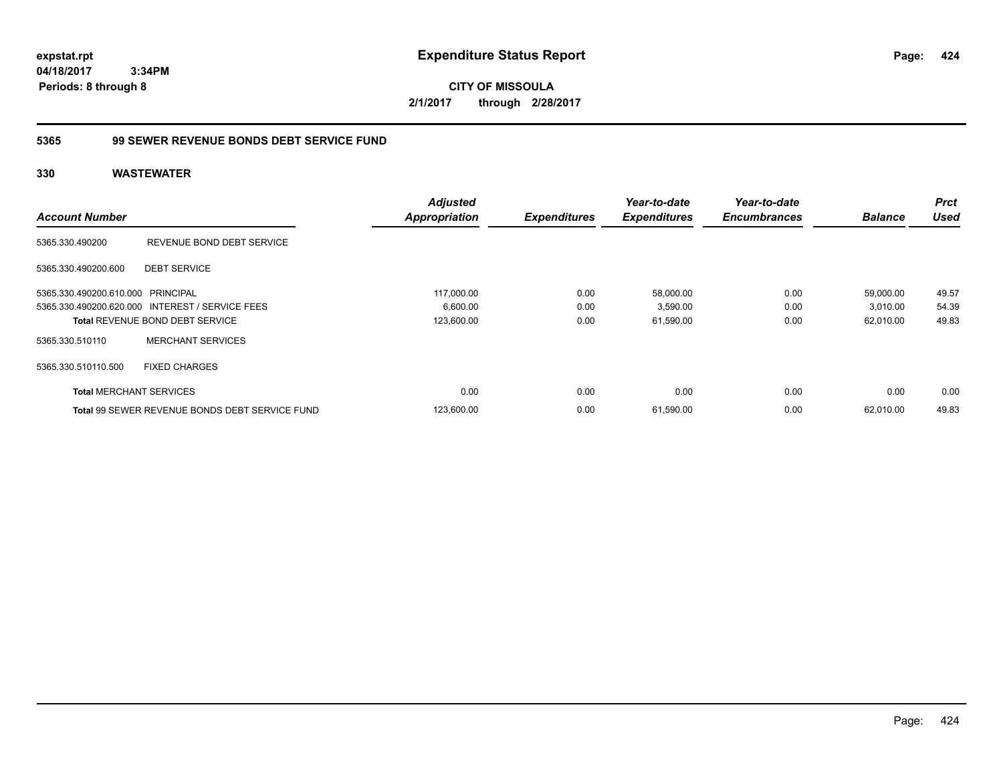**CITY OF MISSOULA 2/1/2017 through 2/28/2017**

### **5365 99 SEWER REVENUE BONDS DEBT SERVICE FUND**

|                                   |                                                       | <b>Adjusted</b>      |                     | Year-to-date        | Year-to-date        |                | <b>Prct</b> |
|-----------------------------------|-------------------------------------------------------|----------------------|---------------------|---------------------|---------------------|----------------|-------------|
| <b>Account Number</b>             |                                                       | <b>Appropriation</b> | <b>Expenditures</b> | <b>Expenditures</b> | <b>Encumbrances</b> | <b>Balance</b> | Used        |
| 5365.330.490200                   | REVENUE BOND DEBT SERVICE                             |                      |                     |                     |                     |                |             |
| 5365.330.490200.600               | <b>DEBT SERVICE</b>                                   |                      |                     |                     |                     |                |             |
| 5365.330.490200.610.000 PRINCIPAL |                                                       | 117.000.00           | 0.00                | 58,000.00           | 0.00                | 59,000.00      | 49.57       |
|                                   | 5365.330.490200.620.000 INTEREST / SERVICE FEES       | 6,600.00             | 0.00                | 3,590.00            | 0.00                | 3,010.00       | 54.39       |
|                                   | <b>Total REVENUE BOND DEBT SERVICE</b>                | 123,600.00           | 0.00                | 61,590.00           | 0.00                | 62,010.00      | 49.83       |
| 5365.330.510110                   | <b>MERCHANT SERVICES</b>                              |                      |                     |                     |                     |                |             |
| 5365.330.510110.500               | <b>FIXED CHARGES</b>                                  |                      |                     |                     |                     |                |             |
| <b>Total MERCHANT SERVICES</b>    |                                                       | 0.00                 | 0.00                | 0.00                | 0.00                | 0.00           | 0.00        |
|                                   | <b>Total 99 SEWER REVENUE BONDS DEBT SERVICE FUND</b> | 123,600.00           | 0.00                | 61,590.00           | 0.00                | 62.010.00      | 49.83       |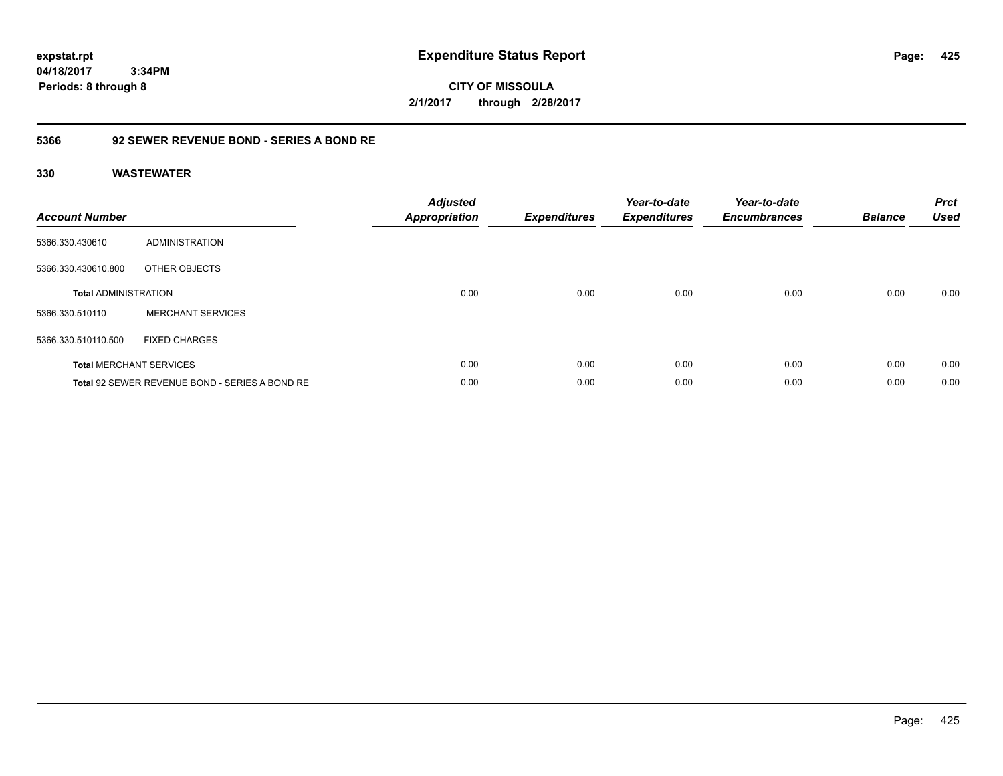**CITY OF MISSOULA 2/1/2017 through 2/28/2017**

### **5366 92 SEWER REVENUE BOND - SERIES A BOND RE**

| <b>Account Number</b>       |                                                | <b>Adjusted</b><br><b>Appropriation</b> | <b>Expenditures</b> | Year-to-date<br><b>Expenditures</b> | Year-to-date<br><b>Encumbrances</b> | <b>Balance</b> | <b>Prct</b><br><b>Used</b> |
|-----------------------------|------------------------------------------------|-----------------------------------------|---------------------|-------------------------------------|-------------------------------------|----------------|----------------------------|
| 5366.330.430610             | ADMINISTRATION                                 |                                         |                     |                                     |                                     |                |                            |
| 5366.330.430610.800         | OTHER OBJECTS                                  |                                         |                     |                                     |                                     |                |                            |
| <b>Total ADMINISTRATION</b> |                                                | 0.00                                    | 0.00                | 0.00                                | 0.00                                | 0.00           | 0.00                       |
| 5366.330.510110             | <b>MERCHANT SERVICES</b>                       |                                         |                     |                                     |                                     |                |                            |
| 5366.330.510110.500         | <b>FIXED CHARGES</b>                           |                                         |                     |                                     |                                     |                |                            |
|                             | <b>Total MERCHANT SERVICES</b>                 | 0.00                                    | 0.00                | 0.00                                | 0.00                                | 0.00           | 0.00                       |
|                             | Total 92 SEWER REVENUE BOND - SERIES A BOND RE | 0.00                                    | 0.00                | 0.00                                | 0.00                                | 0.00           | 0.00                       |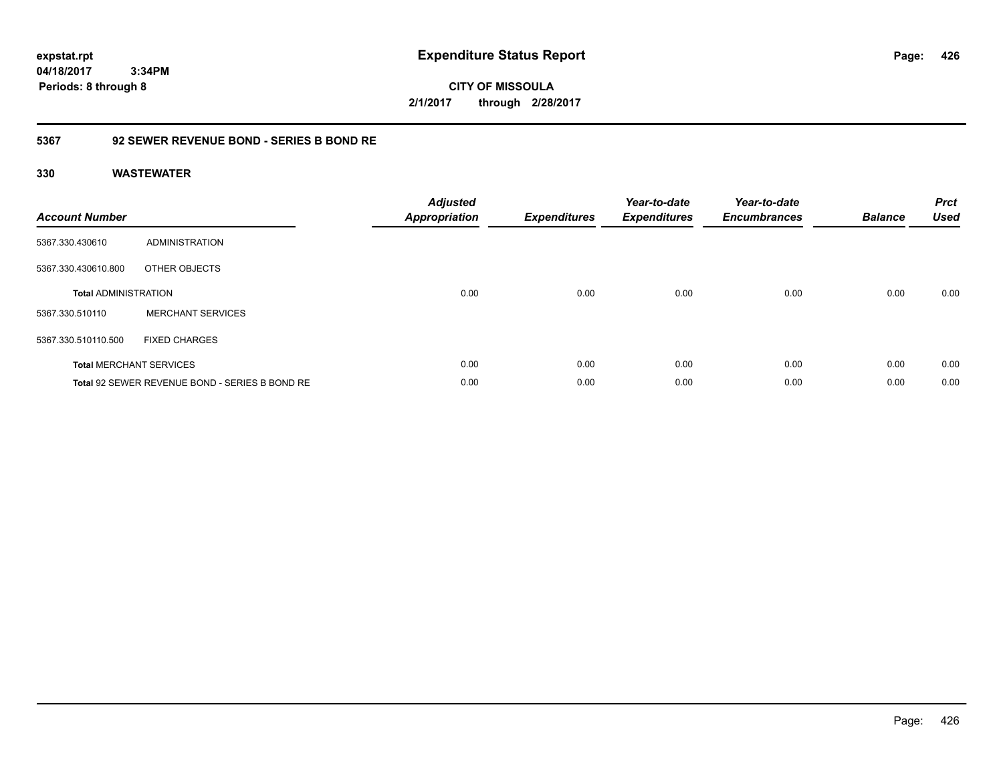**CITY OF MISSOULA 2/1/2017 through 2/28/2017**

### **5367 92 SEWER REVENUE BOND - SERIES B BOND RE**

| <b>Account Number</b>       |                                                | <b>Adjusted</b><br>Appropriation | <b>Expenditures</b> | Year-to-date<br><b>Expenditures</b> | Year-to-date<br><b>Encumbrances</b> | <b>Balance</b> | <b>Prct</b><br><b>Used</b> |
|-----------------------------|------------------------------------------------|----------------------------------|---------------------|-------------------------------------|-------------------------------------|----------------|----------------------------|
| 5367.330.430610             | ADMINISTRATION                                 |                                  |                     |                                     |                                     |                |                            |
| 5367.330.430610.800         | OTHER OBJECTS                                  |                                  |                     |                                     |                                     |                |                            |
| <b>Total ADMINISTRATION</b> |                                                | 0.00                             | 0.00                | 0.00                                | 0.00                                | 0.00           | 0.00                       |
| 5367.330.510110             | <b>MERCHANT SERVICES</b>                       |                                  |                     |                                     |                                     |                |                            |
| 5367.330.510110.500         | <b>FIXED CHARGES</b>                           |                                  |                     |                                     |                                     |                |                            |
|                             | <b>Total MERCHANT SERVICES</b>                 | 0.00                             | 0.00                | 0.00                                | 0.00                                | 0.00           | 0.00                       |
|                             | Total 92 SEWER REVENUE BOND - SERIES B BOND RE | 0.00                             | 0.00                | 0.00                                | 0.00                                | 0.00           | 0.00                       |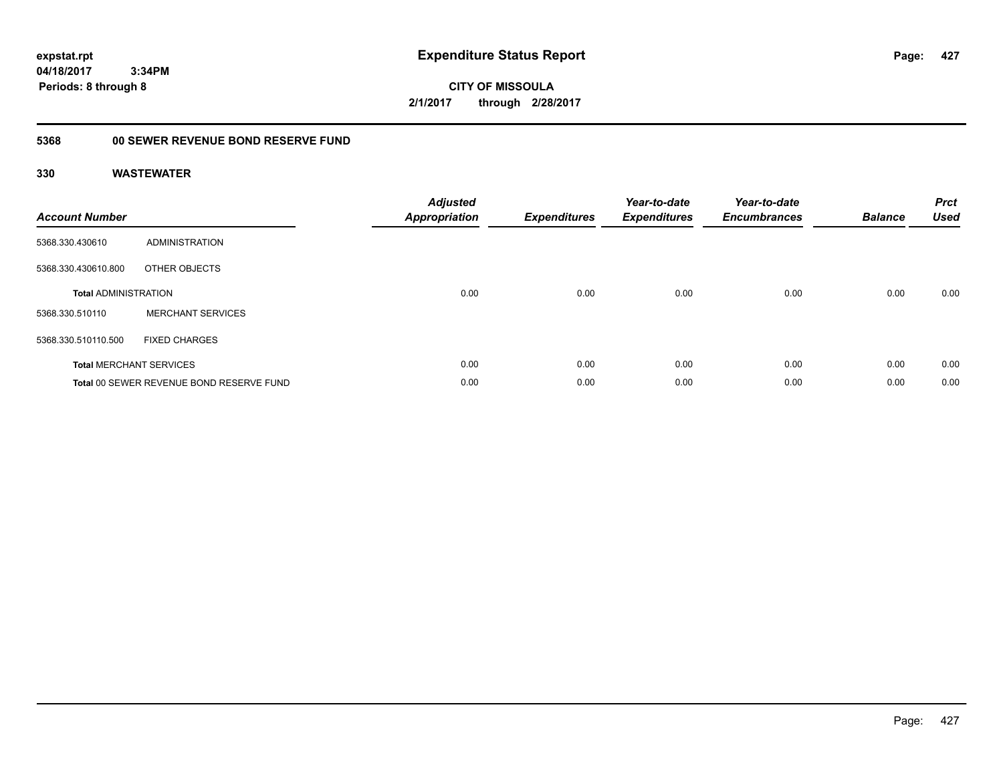**CITY OF MISSOULA 2/1/2017 through 2/28/2017**

## **5368 00 SEWER REVENUE BOND RESERVE FUND**

| <b>Account Number</b>       |                                          | <b>Adjusted</b><br>Appropriation | <b>Expenditures</b> | Year-to-date<br><b>Expenditures</b> | Year-to-date<br><b>Encumbrances</b> | <b>Balance</b> | <b>Prct</b><br><b>Used</b> |
|-----------------------------|------------------------------------------|----------------------------------|---------------------|-------------------------------------|-------------------------------------|----------------|----------------------------|
| 5368.330.430610             | ADMINISTRATION                           |                                  |                     |                                     |                                     |                |                            |
| 5368.330.430610.800         | OTHER OBJECTS                            |                                  |                     |                                     |                                     |                |                            |
| <b>Total ADMINISTRATION</b> |                                          | 0.00                             | 0.00                | 0.00                                | 0.00                                | 0.00           | 0.00                       |
| 5368.330.510110             | <b>MERCHANT SERVICES</b>                 |                                  |                     |                                     |                                     |                |                            |
| 5368.330.510110.500         | <b>FIXED CHARGES</b>                     |                                  |                     |                                     |                                     |                |                            |
|                             | <b>Total MERCHANT SERVICES</b>           | 0.00                             | 0.00                | 0.00                                | 0.00                                | 0.00           | 0.00                       |
|                             | Total 00 SEWER REVENUE BOND RESERVE FUND | 0.00                             | 0.00                | 0.00                                | 0.00                                | 0.00           | 0.00                       |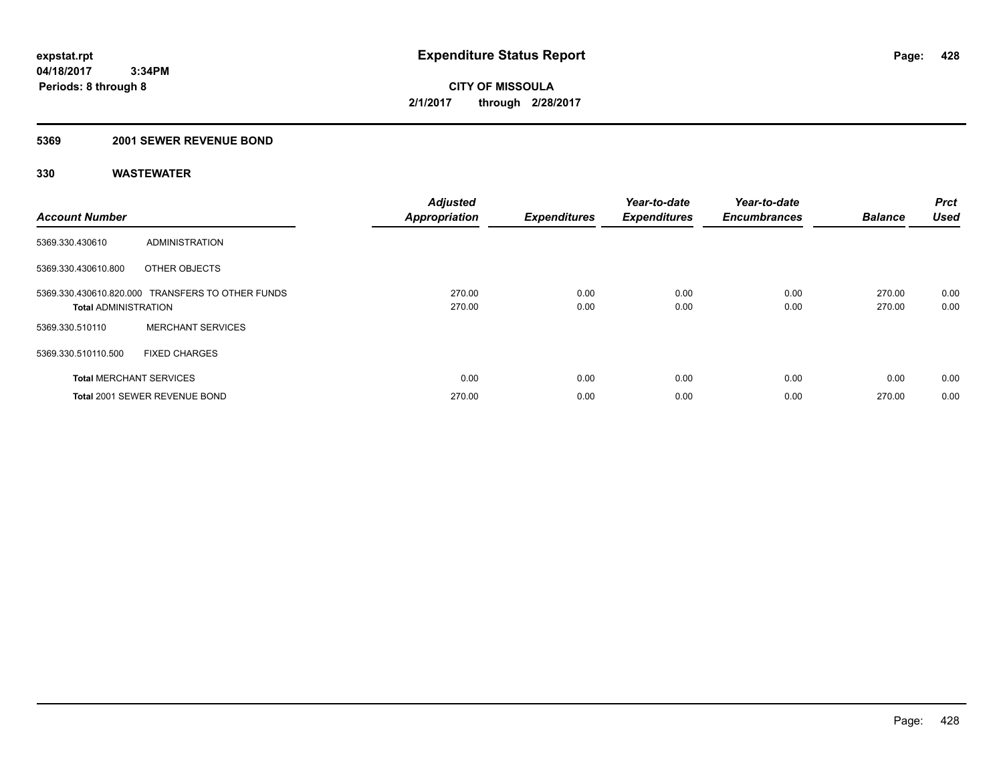#### **5369 2001 SEWER REVENUE BOND**

| <b>Account Number</b>          |                                                  | <b>Adjusted</b><br><b>Appropriation</b> | <b>Expenditures</b> | Year-to-date<br><b>Expenditures</b> | Year-to-date<br><b>Encumbrances</b> | <b>Balance</b>   | <b>Prct</b><br><b>Used</b> |
|--------------------------------|--------------------------------------------------|-----------------------------------------|---------------------|-------------------------------------|-------------------------------------|------------------|----------------------------|
| 5369.330.430610                | <b>ADMINISTRATION</b>                            |                                         |                     |                                     |                                     |                  |                            |
| 5369.330.430610.800            | OTHER OBJECTS                                    |                                         |                     |                                     |                                     |                  |                            |
| <b>Total ADMINISTRATION</b>    | 5369.330.430610.820.000 TRANSFERS TO OTHER FUNDS | 270.00<br>270.00                        | 0.00<br>0.00        | 0.00<br>0.00                        | 0.00<br>0.00                        | 270.00<br>270.00 | 0.00<br>0.00               |
| 5369.330.510110                | <b>MERCHANT SERVICES</b>                         |                                         |                     |                                     |                                     |                  |                            |
| 5369.330.510110.500            | <b>FIXED CHARGES</b>                             |                                         |                     |                                     |                                     |                  |                            |
| <b>Total MERCHANT SERVICES</b> |                                                  | 0.00                                    | 0.00                | 0.00                                | 0.00                                | 0.00             | 0.00                       |
|                                | Total 2001 SEWER REVENUE BOND                    | 270.00                                  | 0.00                | 0.00                                | 0.00                                | 270.00           | 0.00                       |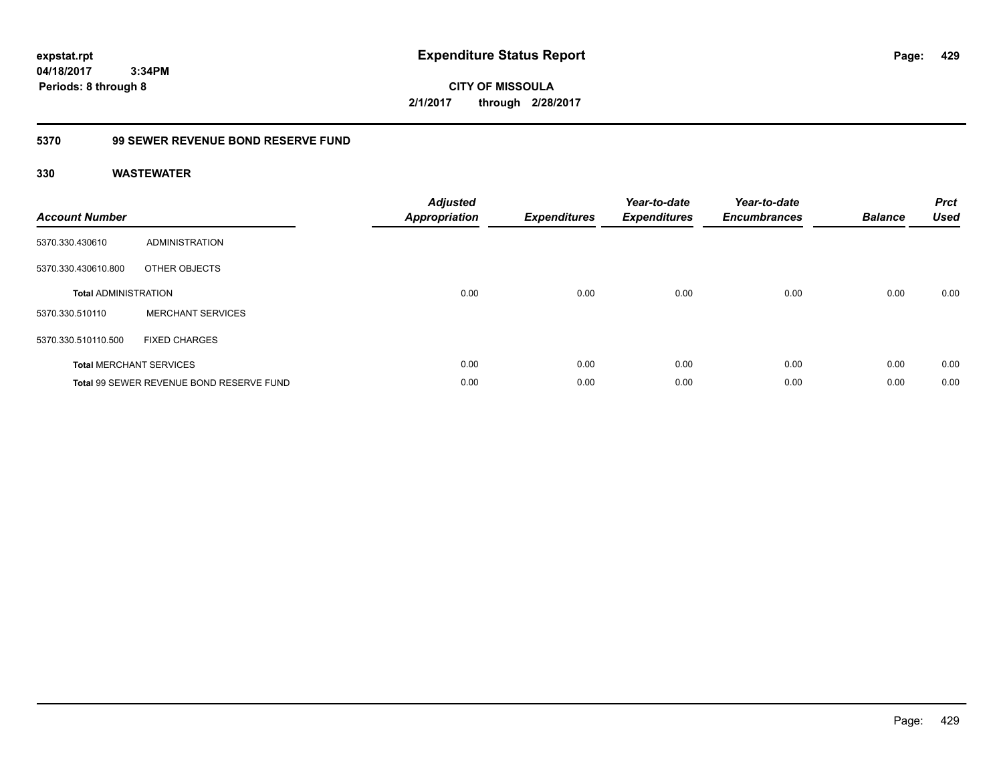**CITY OF MISSOULA 2/1/2017 through 2/28/2017**

### **5370 99 SEWER REVENUE BOND RESERVE FUND**

| <b>Account Number</b>       |                                          | <b>Adjusted</b><br><b>Appropriation</b> | <b>Expenditures</b> | Year-to-date<br><b>Expenditures</b> | Year-to-date<br><b>Encumbrances</b> | <b>Balance</b> | <b>Prct</b><br><b>Used</b> |
|-----------------------------|------------------------------------------|-----------------------------------------|---------------------|-------------------------------------|-------------------------------------|----------------|----------------------------|
| 5370.330.430610             | ADMINISTRATION                           |                                         |                     |                                     |                                     |                |                            |
| 5370.330.430610.800         | OTHER OBJECTS                            |                                         |                     |                                     |                                     |                |                            |
| <b>Total ADMINISTRATION</b> |                                          | 0.00                                    | 0.00                | 0.00                                | 0.00                                | 0.00           | 0.00                       |
| 5370.330.510110             | <b>MERCHANT SERVICES</b>                 |                                         |                     |                                     |                                     |                |                            |
| 5370.330.510110.500         | <b>FIXED CHARGES</b>                     |                                         |                     |                                     |                                     |                |                            |
|                             | <b>Total MERCHANT SERVICES</b>           | 0.00                                    | 0.00                | 0.00                                | 0.00                                | 0.00           | 0.00                       |
|                             | Total 99 SEWER REVENUE BOND RESERVE FUND | 0.00                                    | 0.00                | 0.00                                | 0.00                                | 0.00           | 0.00                       |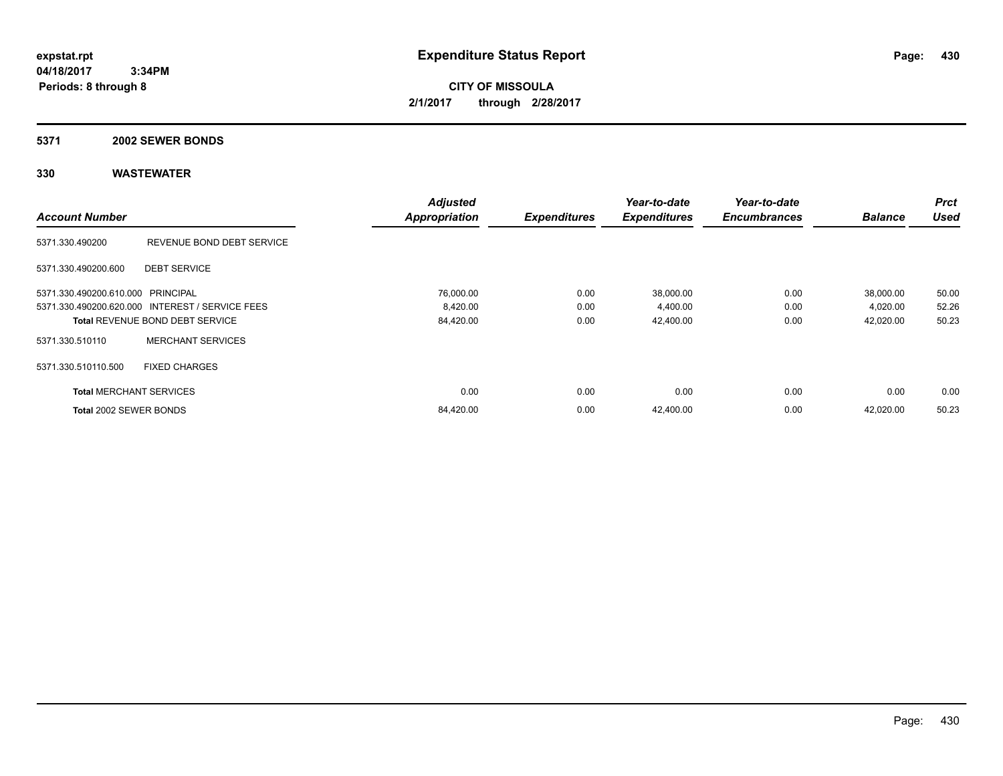**CITY OF MISSOULA 2/1/2017 through 2/28/2017**

#### **5371 2002 SEWER BONDS**

|                                   |                                                 | <b>Adjusted</b>      |                     | Year-to-date        | Year-to-date        |                | <b>Prct</b> |
|-----------------------------------|-------------------------------------------------|----------------------|---------------------|---------------------|---------------------|----------------|-------------|
| <b>Account Number</b>             |                                                 | <b>Appropriation</b> | <b>Expenditures</b> | <b>Expenditures</b> | <b>Encumbrances</b> | <b>Balance</b> | <b>Used</b> |
| 5371.330.490200                   | REVENUE BOND DEBT SERVICE                       |                      |                     |                     |                     |                |             |
| 5371.330.490200.600               | <b>DEBT SERVICE</b>                             |                      |                     |                     |                     |                |             |
| 5371.330.490200.610.000 PRINCIPAL |                                                 | 76,000.00            | 0.00                | 38,000.00           | 0.00                | 38,000.00      | 50.00       |
|                                   | 5371.330.490200.620.000 INTEREST / SERVICE FEES | 8,420.00             | 0.00                | 4,400.00            | 0.00                | 4,020.00       | 52.26       |
|                                   | <b>Total REVENUE BOND DEBT SERVICE</b>          | 84,420.00            | 0.00                | 42,400.00           | 0.00                | 42,020.00      | 50.23       |
| 5371.330.510110                   | <b>MERCHANT SERVICES</b>                        |                      |                     |                     |                     |                |             |
| 5371.330.510110.500               | <b>FIXED CHARGES</b>                            |                      |                     |                     |                     |                |             |
| <b>Total MERCHANT SERVICES</b>    |                                                 | 0.00                 | 0.00                | 0.00                | 0.00                | 0.00           | 0.00        |
| Total 2002 SEWER BONDS            |                                                 | 84,420.00            | 0.00                | 42,400.00           | 0.00                | 42,020.00      | 50.23       |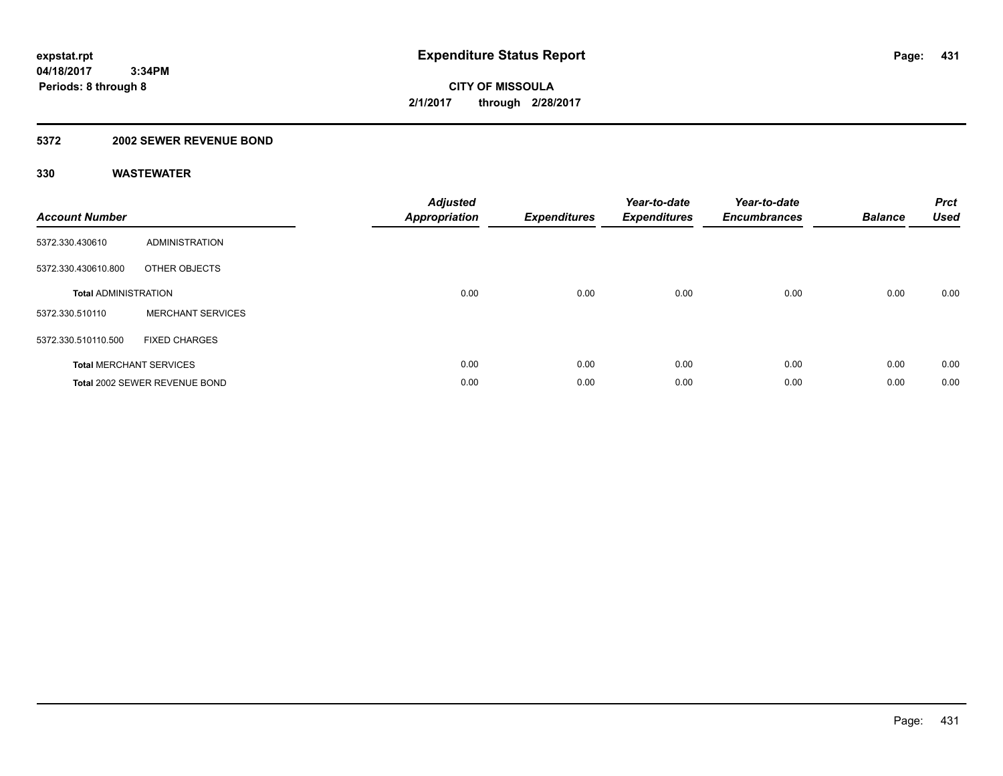### **5372 2002 SEWER REVENUE BOND**

| <b>Account Number</b>       |                                | <b>Adjusted</b><br>Appropriation | <b>Expenditures</b> | Year-to-date<br><b>Expenditures</b> | Year-to-date<br><b>Encumbrances</b> | <b>Balance</b> | <b>Prct</b><br>Used |
|-----------------------------|--------------------------------|----------------------------------|---------------------|-------------------------------------|-------------------------------------|----------------|---------------------|
| 5372.330.430610             | ADMINISTRATION                 |                                  |                     |                                     |                                     |                |                     |
| 5372.330.430610.800         | OTHER OBJECTS                  |                                  |                     |                                     |                                     |                |                     |
| <b>Total ADMINISTRATION</b> |                                | 0.00                             | 0.00                | 0.00                                | 0.00                                | 0.00           | 0.00                |
| 5372.330.510110             | <b>MERCHANT SERVICES</b>       |                                  |                     |                                     |                                     |                |                     |
| 5372.330.510110.500         | <b>FIXED CHARGES</b>           |                                  |                     |                                     |                                     |                |                     |
|                             | <b>Total MERCHANT SERVICES</b> | 0.00                             | 0.00                | 0.00                                | 0.00                                | 0.00           | 0.00                |
|                             | Total 2002 SEWER REVENUE BOND  | 0.00                             | 0.00                | 0.00                                | 0.00                                | 0.00           | 0.00                |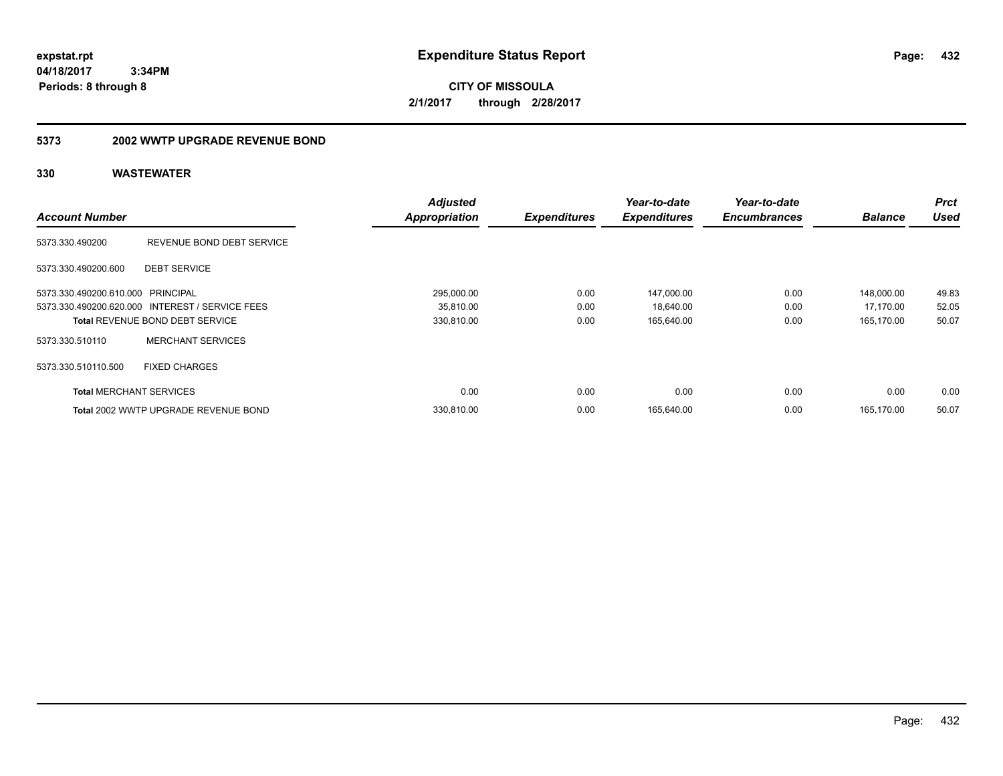**CITY OF MISSOULA 2/1/2017 through 2/28/2017**

#### **5373 2002 WWTP UPGRADE REVENUE BOND**

|                                   |                                                 | <b>Adjusted</b>      |                     | Year-to-date        | Year-to-date        |                | <b>Prct</b> |
|-----------------------------------|-------------------------------------------------|----------------------|---------------------|---------------------|---------------------|----------------|-------------|
| <b>Account Number</b>             |                                                 | <b>Appropriation</b> | <b>Expenditures</b> | <b>Expenditures</b> | <b>Encumbrances</b> | <b>Balance</b> | <b>Used</b> |
| 5373.330.490200                   | REVENUE BOND DEBT SERVICE                       |                      |                     |                     |                     |                |             |
| 5373.330.490200.600               | <b>DEBT SERVICE</b>                             |                      |                     |                     |                     |                |             |
| 5373.330.490200.610.000 PRINCIPAL |                                                 | 295,000.00           | 0.00                | 147,000.00          | 0.00                | 148,000.00     | 49.83       |
|                                   | 5373.330.490200.620.000 INTEREST / SERVICE FEES | 35,810.00            | 0.00                | 18,640.00           | 0.00                | 17,170.00      | 52.05       |
|                                   | <b>Total REVENUE BOND DEBT SERVICE</b>          | 330,810.00           | 0.00                | 165,640.00          | 0.00                | 165,170.00     | 50.07       |
| 5373.330.510110                   | <b>MERCHANT SERVICES</b>                        |                      |                     |                     |                     |                |             |
| 5373.330.510110.500               | <b>FIXED CHARGES</b>                            |                      |                     |                     |                     |                |             |
| <b>Total MERCHANT SERVICES</b>    |                                                 | 0.00                 | 0.00                | 0.00                | 0.00                | 0.00           | 0.00        |
|                                   | Total 2002 WWTP UPGRADE REVENUE BOND            | 330.810.00           | 0.00                | 165,640.00          | 0.00                | 165.170.00     | 50.07       |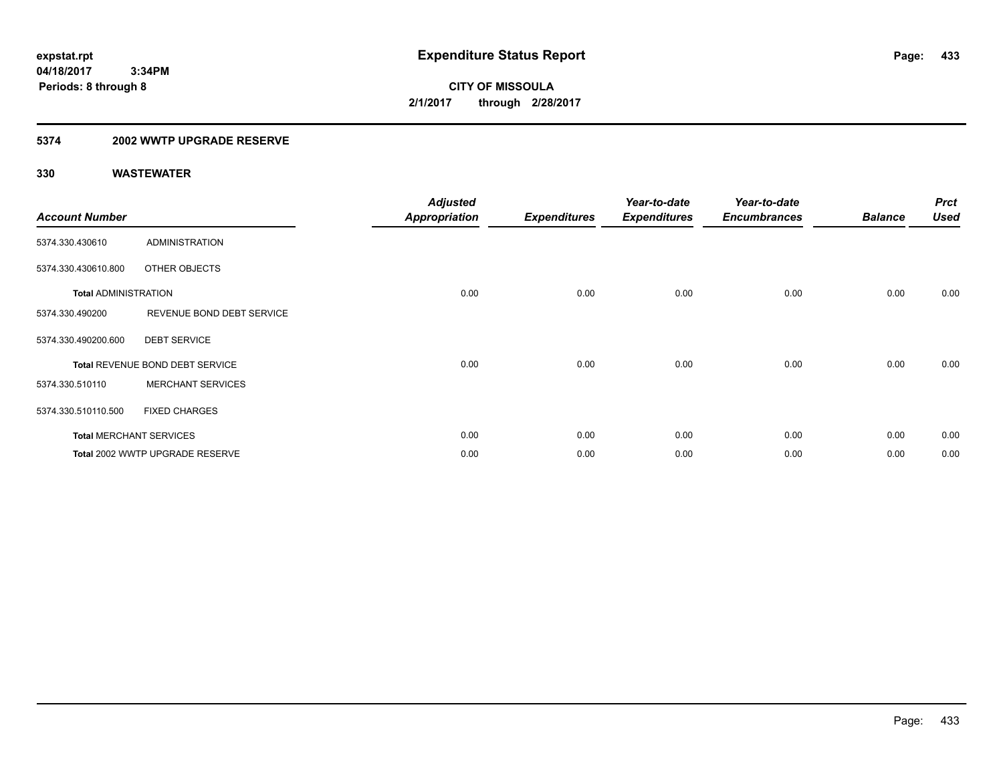**Periods: 8 through 8**

**CITY OF MISSOULA 2/1/2017 through 2/28/2017**

### **5374 2002 WWTP UPGRADE RESERVE**

| <b>Account Number</b>       |                                 | <b>Adjusted</b><br><b>Appropriation</b> | <b>Expenditures</b> | Year-to-date<br><b>Expenditures</b> | Year-to-date<br><b>Encumbrances</b> | <b>Balance</b> | <b>Prct</b><br><b>Used</b> |
|-----------------------------|---------------------------------|-----------------------------------------|---------------------|-------------------------------------|-------------------------------------|----------------|----------------------------|
| 5374.330.430610             | <b>ADMINISTRATION</b>           |                                         |                     |                                     |                                     |                |                            |
| 5374.330.430610.800         | OTHER OBJECTS                   |                                         |                     |                                     |                                     |                |                            |
| <b>Total ADMINISTRATION</b> |                                 | 0.00                                    | 0.00                | 0.00                                | 0.00                                | 0.00           | 0.00                       |
| 5374.330.490200             | REVENUE BOND DEBT SERVICE       |                                         |                     |                                     |                                     |                |                            |
| 5374.330.490200.600         | <b>DEBT SERVICE</b>             |                                         |                     |                                     |                                     |                |                            |
|                             | Total REVENUE BOND DEBT SERVICE | 0.00                                    | 0.00                | 0.00                                | 0.00                                | 0.00           | 0.00                       |
| 5374.330.510110             | <b>MERCHANT SERVICES</b>        |                                         |                     |                                     |                                     |                |                            |
| 5374.330.510110.500         | <b>FIXED CHARGES</b>            |                                         |                     |                                     |                                     |                |                            |
|                             | <b>Total MERCHANT SERVICES</b>  | 0.00                                    | 0.00                | 0.00                                | 0.00                                | 0.00           | 0.00                       |
|                             | Total 2002 WWTP UPGRADE RESERVE | 0.00                                    | 0.00                | 0.00                                | 0.00                                | 0.00           | 0.00                       |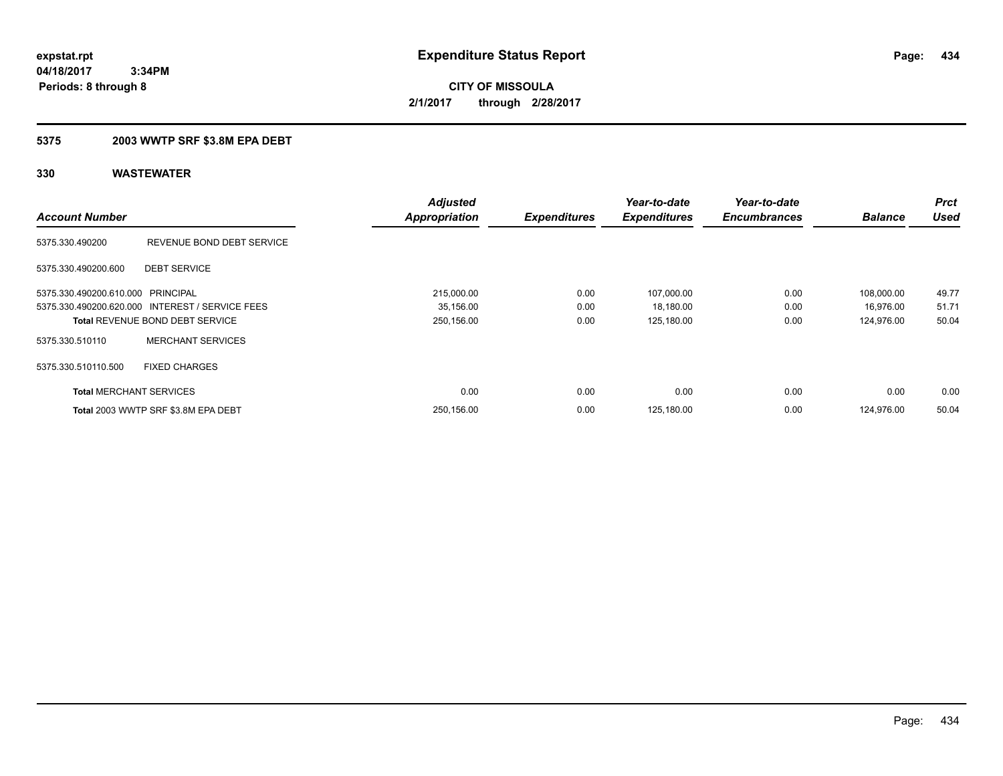**CITY OF MISSOULA 2/1/2017 through 2/28/2017**

### **5375 2003 WWTP SRF \$3.8M EPA DEBT**

| <b>Account Number</b>             |                                                 | <b>Adjusted</b><br><b>Appropriation</b> | <b>Expenditures</b> | Year-to-date<br><b>Expenditures</b> | Year-to-date<br><b>Encumbrances</b> | <b>Balance</b> | <b>Prct</b><br><b>Used</b> |
|-----------------------------------|-------------------------------------------------|-----------------------------------------|---------------------|-------------------------------------|-------------------------------------|----------------|----------------------------|
| 5375.330.490200                   | REVENUE BOND DEBT SERVICE                       |                                         |                     |                                     |                                     |                |                            |
| 5375.330.490200.600               | <b>DEBT SERVICE</b>                             |                                         |                     |                                     |                                     |                |                            |
| 5375.330.490200.610.000 PRINCIPAL |                                                 | 215,000.00                              | 0.00                | 107,000.00                          | 0.00                                | 108,000.00     | 49.77                      |
|                                   | 5375.330.490200.620.000 INTEREST / SERVICE FEES | 35,156.00                               | 0.00                | 18,180.00                           | 0.00                                | 16.976.00      | 51.71                      |
|                                   | <b>Total REVENUE BOND DEBT SERVICE</b>          | 250,156.00                              | 0.00                | 125,180.00                          | 0.00                                | 124.976.00     | 50.04                      |
| 5375.330.510110                   | <b>MERCHANT SERVICES</b>                        |                                         |                     |                                     |                                     |                |                            |
| 5375.330.510110.500               | <b>FIXED CHARGES</b>                            |                                         |                     |                                     |                                     |                |                            |
| <b>Total MERCHANT SERVICES</b>    |                                                 | 0.00                                    | 0.00                | 0.00                                | 0.00                                | 0.00           | 0.00                       |
|                                   | Total 2003 WWTP SRF \$3.8M EPA DEBT             | 250,156.00                              | 0.00                | 125,180.00                          | 0.00                                | 124.976.00     | 50.04                      |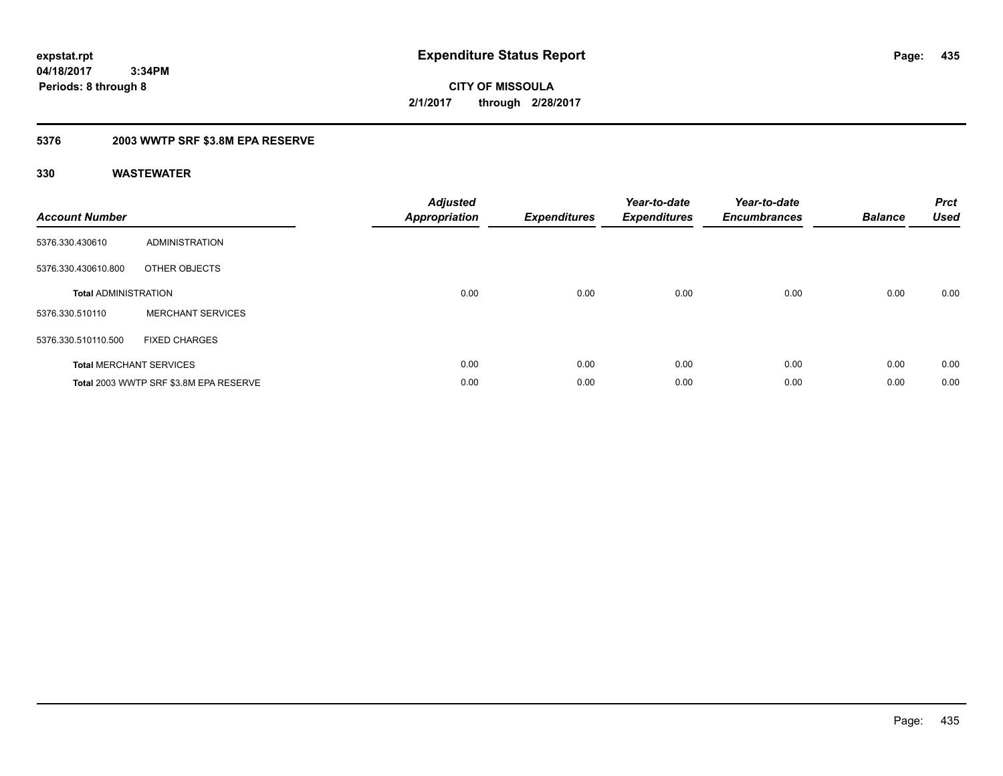**CITY OF MISSOULA 2/1/2017 through 2/28/2017**

### **5376 2003 WWTP SRF \$3.8M EPA RESERVE**

| <b>Account Number</b>       |                                        | <b>Adjusted</b><br><b>Appropriation</b> | <b>Expenditures</b> | Year-to-date<br><b>Expenditures</b> | Year-to-date<br><b>Encumbrances</b> | <b>Balance</b> | <b>Prct</b><br><b>Used</b> |
|-----------------------------|----------------------------------------|-----------------------------------------|---------------------|-------------------------------------|-------------------------------------|----------------|----------------------------|
| 5376.330.430610             | <b>ADMINISTRATION</b>                  |                                         |                     |                                     |                                     |                |                            |
| 5376.330.430610.800         | OTHER OBJECTS                          |                                         |                     |                                     |                                     |                |                            |
| <b>Total ADMINISTRATION</b> |                                        | 0.00                                    | 0.00                | 0.00                                | 0.00                                | 0.00           | 0.00                       |
| 5376.330.510110             | <b>MERCHANT SERVICES</b>               |                                         |                     |                                     |                                     |                |                            |
| 5376.330.510110.500         | <b>FIXED CHARGES</b>                   |                                         |                     |                                     |                                     |                |                            |
|                             | <b>Total MERCHANT SERVICES</b>         | 0.00                                    | 0.00                | 0.00                                | 0.00                                | 0.00           | 0.00                       |
|                             | Total 2003 WWTP SRF \$3.8M EPA RESERVE | 0.00                                    | 0.00                | 0.00                                | 0.00                                | 0.00           | 0.00                       |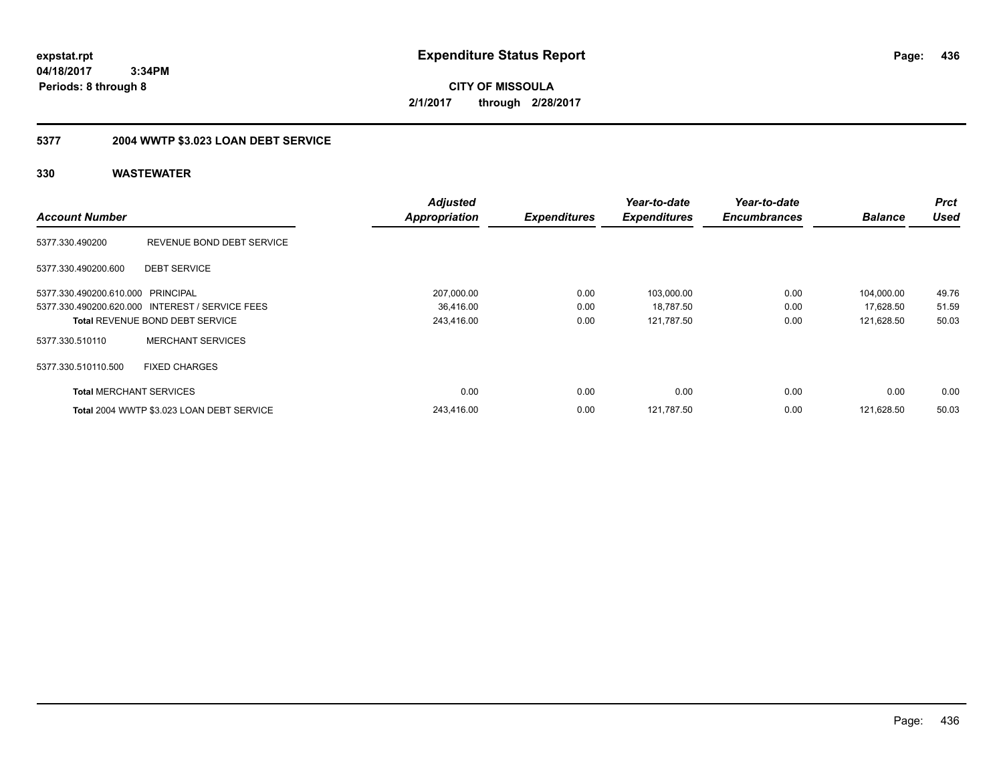**CITY OF MISSOULA 2/1/2017 through 2/28/2017**

## **5377 2004 WWTP \$3.023 LOAN DEBT SERVICE**

|                                   |                                                 | <b>Adjusted</b>      |                     | Year-to-date        | Year-to-date        |                | <b>Prct</b> |
|-----------------------------------|-------------------------------------------------|----------------------|---------------------|---------------------|---------------------|----------------|-------------|
| <b>Account Number</b>             |                                                 | <b>Appropriation</b> | <b>Expenditures</b> | <b>Expenditures</b> | <b>Encumbrances</b> | <b>Balance</b> | <b>Used</b> |
| 5377.330.490200                   | REVENUE BOND DEBT SERVICE                       |                      |                     |                     |                     |                |             |
| 5377.330.490200.600               | <b>DEBT SERVICE</b>                             |                      |                     |                     |                     |                |             |
| 5377.330.490200.610.000 PRINCIPAL |                                                 | 207,000.00           | 0.00                | 103,000.00          | 0.00                | 104,000.00     | 49.76       |
|                                   | 5377.330.490200.620.000 INTEREST / SERVICE FEES | 36,416.00            | 0.00                | 18,787.50           | 0.00                | 17,628.50      | 51.59       |
|                                   | <b>Total REVENUE BOND DEBT SERVICE</b>          | 243,416.00           | 0.00                | 121,787.50          | 0.00                | 121,628.50     | 50.03       |
| 5377.330.510110                   | <b>MERCHANT SERVICES</b>                        |                      |                     |                     |                     |                |             |
| 5377.330.510110.500               | <b>FIXED CHARGES</b>                            |                      |                     |                     |                     |                |             |
| <b>Total MERCHANT SERVICES</b>    |                                                 | 0.00                 | 0.00                | 0.00                | 0.00                | 0.00           | 0.00        |
|                                   | Total 2004 WWTP \$3.023 LOAN DEBT SERVICE       | 243.416.00           | 0.00                | 121.787.50          | 0.00                | 121.628.50     | 50.03       |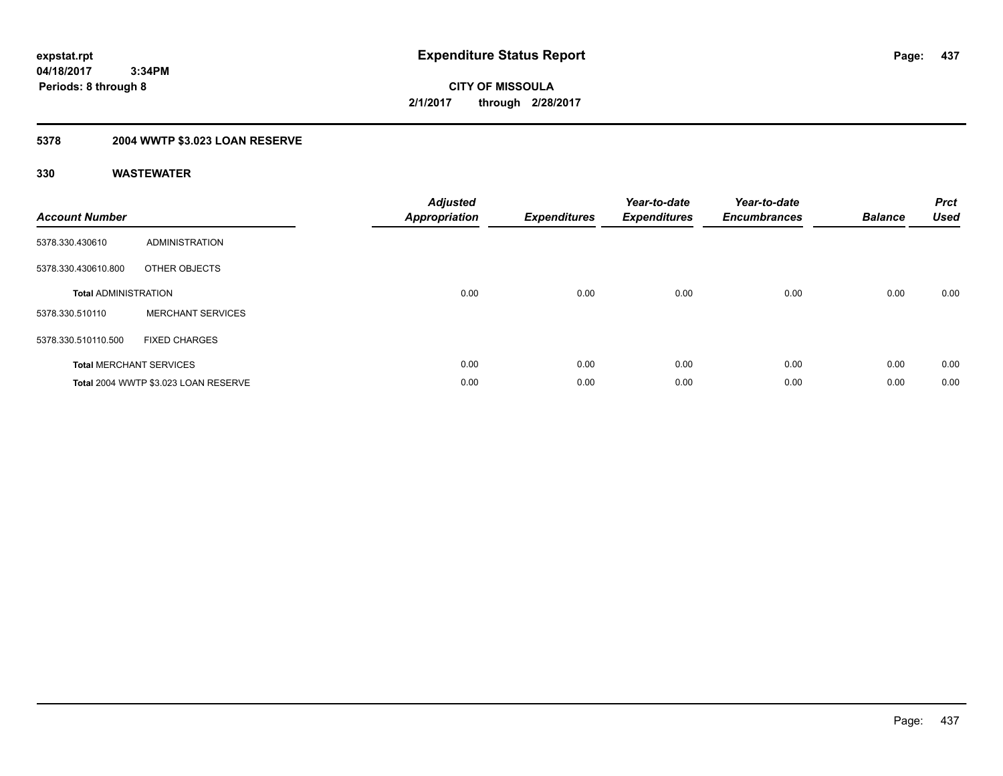**Periods: 8 through 8**

**CITY OF MISSOULA 2/1/2017 through 2/28/2017**

## **5378 2004 WWTP \$3.023 LOAN RESERVE**

 **3:34PM**

| <b>Account Number</b>          |                                      | <b>Adjusted</b><br><b>Appropriation</b> | <b>Expenditures</b> | Year-to-date<br><b>Expenditures</b> | Year-to-date<br><b>Encumbrances</b> | <b>Balance</b> | <b>Prct</b><br><b>Used</b> |
|--------------------------------|--------------------------------------|-----------------------------------------|---------------------|-------------------------------------|-------------------------------------|----------------|----------------------------|
| 5378.330.430610                | <b>ADMINISTRATION</b>                |                                         |                     |                                     |                                     |                |                            |
| 5378.330.430610.800            | OTHER OBJECTS                        |                                         |                     |                                     |                                     |                |                            |
| <b>Total ADMINISTRATION</b>    |                                      | 0.00                                    | 0.00                | 0.00                                | 0.00                                | 0.00           | 0.00                       |
| 5378.330.510110                | <b>MERCHANT SERVICES</b>             |                                         |                     |                                     |                                     |                |                            |
| 5378.330.510110.500            | <b>FIXED CHARGES</b>                 |                                         |                     |                                     |                                     |                |                            |
| <b>Total MERCHANT SERVICES</b> |                                      | 0.00                                    | 0.00                | 0.00                                | 0.00                                | 0.00           | 0.00                       |
|                                | Total 2004 WWTP \$3.023 LOAN RESERVE | 0.00                                    | 0.00                | 0.00                                | 0.00                                | 0.00           | 0.00                       |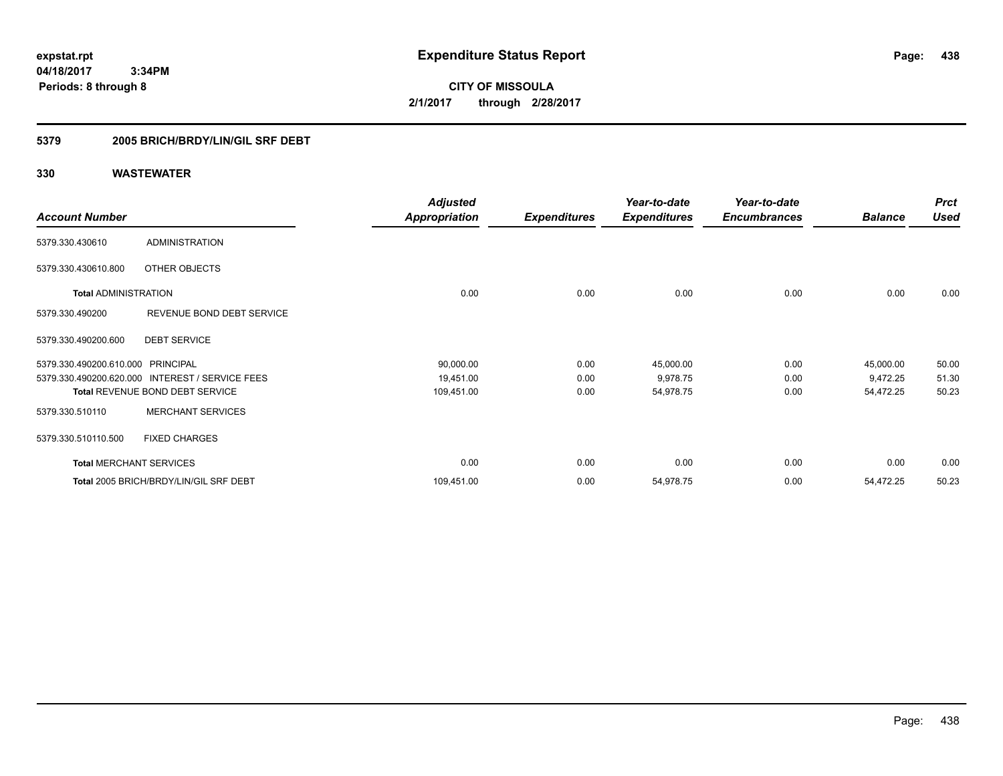**CITY OF MISSOULA 2/1/2017 through 2/28/2017**

### **5379 2005 BRICH/BRDY/LIN/GIL SRF DEBT**

|                                   |                                                 | <b>Adjusted</b>      |                     | Year-to-date        | Year-to-date        |                | <b>Prct</b> |
|-----------------------------------|-------------------------------------------------|----------------------|---------------------|---------------------|---------------------|----------------|-------------|
| <b>Account Number</b>             |                                                 | <b>Appropriation</b> | <b>Expenditures</b> | <b>Expenditures</b> | <b>Encumbrances</b> | <b>Balance</b> | <b>Used</b> |
| 5379.330.430610                   | <b>ADMINISTRATION</b>                           |                      |                     |                     |                     |                |             |
| 5379.330.430610.800               | OTHER OBJECTS                                   |                      |                     |                     |                     |                |             |
| <b>Total ADMINISTRATION</b>       |                                                 | 0.00                 | 0.00                | 0.00                | 0.00                | 0.00           | 0.00        |
| 5379.330.490200                   | REVENUE BOND DEBT SERVICE                       |                      |                     |                     |                     |                |             |
| 5379.330.490200.600               | <b>DEBT SERVICE</b>                             |                      |                     |                     |                     |                |             |
| 5379.330.490200.610.000 PRINCIPAL |                                                 | 90,000.00            | 0.00                | 45,000.00           | 0.00                | 45,000.00      | 50.00       |
|                                   | 5379.330.490200.620.000 INTEREST / SERVICE FEES | 19,451.00            | 0.00                | 9,978.75            | 0.00                | 9,472.25       | 51.30       |
|                                   | <b>Total REVENUE BOND DEBT SERVICE</b>          | 109,451.00           | 0.00                | 54,978.75           | 0.00                | 54,472.25      | 50.23       |
| 5379.330.510110                   | <b>MERCHANT SERVICES</b>                        |                      |                     |                     |                     |                |             |
| 5379.330.510110.500               | <b>FIXED CHARGES</b>                            |                      |                     |                     |                     |                |             |
| <b>Total MERCHANT SERVICES</b>    |                                                 | 0.00                 | 0.00                | 0.00                | 0.00                | 0.00           | 0.00        |
|                                   | Total 2005 BRICH/BRDY/LIN/GIL SRF DEBT          | 109,451.00           | 0.00                | 54,978.75           | 0.00                | 54,472.25      | 50.23       |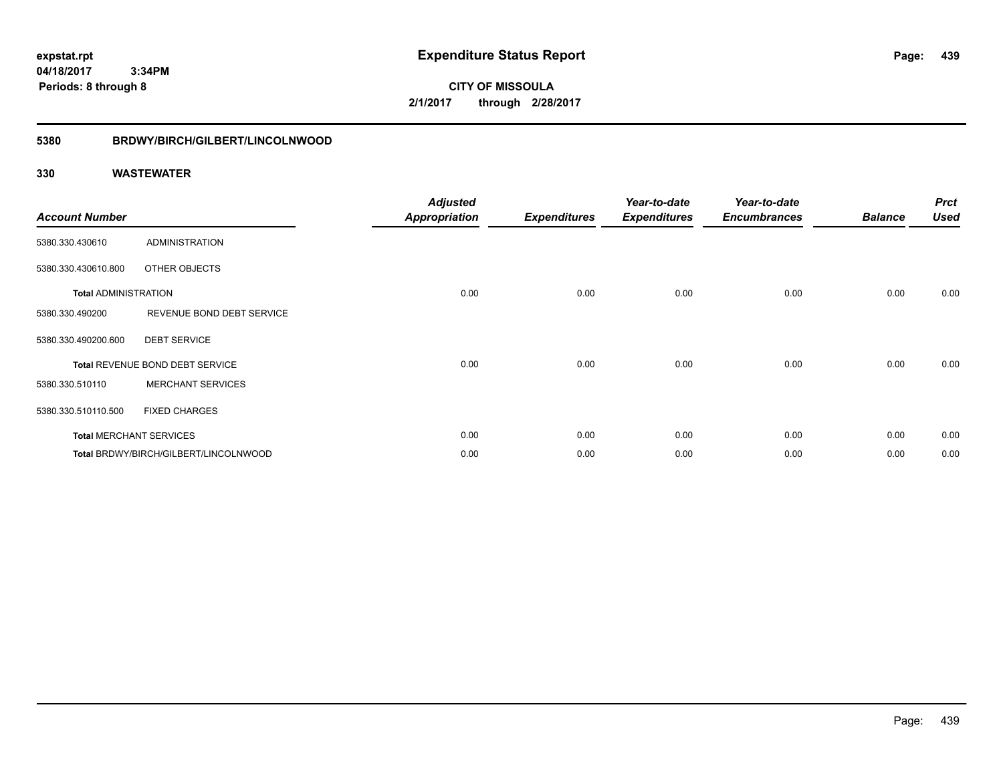**CITY OF MISSOULA 2/1/2017 through 2/28/2017**

# **5380 BRDWY/BIRCH/GILBERT/LINCOLNWOOD**

| <b>Account Number</b>       |                                       | <b>Adjusted</b><br><b>Appropriation</b> | <b>Expenditures</b> | Year-to-date<br><b>Expenditures</b> | Year-to-date<br><b>Encumbrances</b> | <b>Balance</b> | <b>Prct</b><br><b>Used</b> |
|-----------------------------|---------------------------------------|-----------------------------------------|---------------------|-------------------------------------|-------------------------------------|----------------|----------------------------|
| 5380.330.430610             | ADMINISTRATION                        |                                         |                     |                                     |                                     |                |                            |
| 5380.330.430610.800         | OTHER OBJECTS                         |                                         |                     |                                     |                                     |                |                            |
| <b>Total ADMINISTRATION</b> |                                       | 0.00                                    | 0.00                | 0.00                                | 0.00                                | 0.00           | 0.00                       |
| 5380.330.490200             | REVENUE BOND DEBT SERVICE             |                                         |                     |                                     |                                     |                |                            |
| 5380.330.490200.600         | <b>DEBT SERVICE</b>                   |                                         |                     |                                     |                                     |                |                            |
|                             | Total REVENUE BOND DEBT SERVICE       | 0.00                                    | 0.00                | 0.00                                | 0.00                                | 0.00           | 0.00                       |
| 5380.330.510110             | <b>MERCHANT SERVICES</b>              |                                         |                     |                                     |                                     |                |                            |
| 5380.330.510110.500         | <b>FIXED CHARGES</b>                  |                                         |                     |                                     |                                     |                |                            |
|                             | <b>Total MERCHANT SERVICES</b>        | 0.00                                    | 0.00                | 0.00                                | 0.00                                | 0.00           | 0.00                       |
|                             | Total BRDWY/BIRCH/GILBERT/LINCOLNWOOD | 0.00                                    | 0.00                | 0.00                                | 0.00                                | 0.00           | 0.00                       |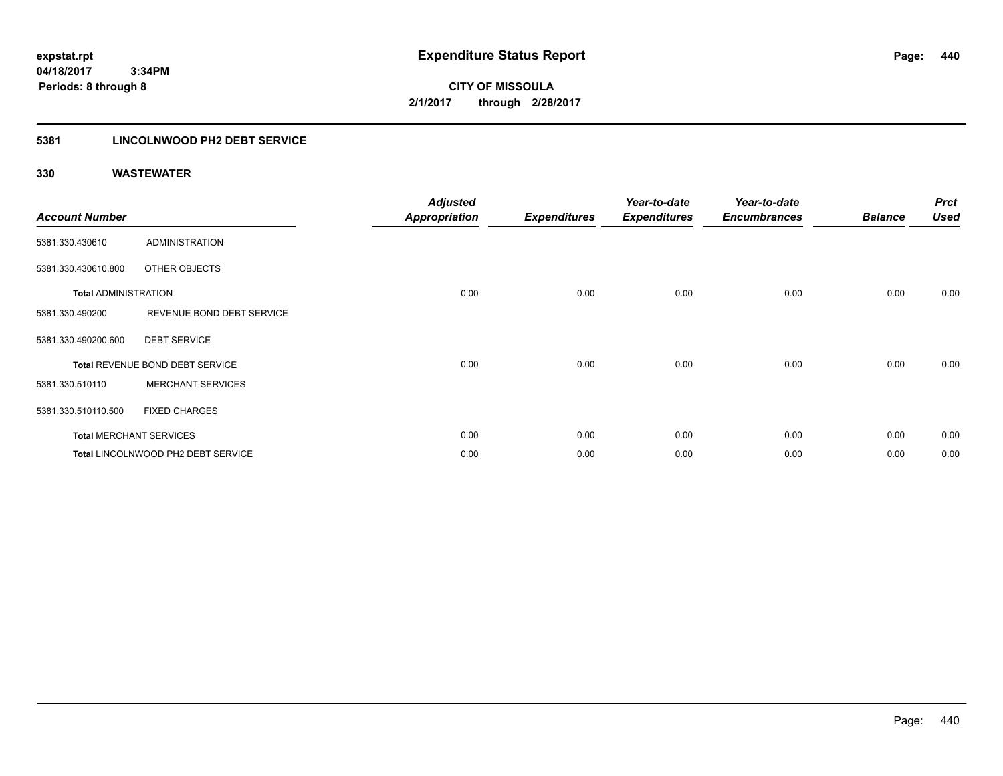**CITY OF MISSOULA 2/1/2017 through 2/28/2017**

### **5381 LINCOLNWOOD PH2 DEBT SERVICE**

| <b>Account Number</b>       |                                    | <b>Adjusted</b><br><b>Appropriation</b> | <b>Expenditures</b> | Year-to-date<br><b>Expenditures</b> | Year-to-date<br><b>Encumbrances</b> | <b>Balance</b> | <b>Prct</b><br><b>Used</b> |
|-----------------------------|------------------------------------|-----------------------------------------|---------------------|-------------------------------------|-------------------------------------|----------------|----------------------------|
|                             |                                    |                                         |                     |                                     |                                     |                |                            |
| 5381.330.430610             | <b>ADMINISTRATION</b>              |                                         |                     |                                     |                                     |                |                            |
| 5381.330.430610.800         | OTHER OBJECTS                      |                                         |                     |                                     |                                     |                |                            |
| <b>Total ADMINISTRATION</b> |                                    | 0.00                                    | 0.00                | 0.00                                | 0.00                                | 0.00           | 0.00                       |
| 5381.330.490200             | REVENUE BOND DEBT SERVICE          |                                         |                     |                                     |                                     |                |                            |
| 5381.330.490200.600         | <b>DEBT SERVICE</b>                |                                         |                     |                                     |                                     |                |                            |
|                             | Total REVENUE BOND DEBT SERVICE    | 0.00                                    | 0.00                | 0.00                                | 0.00                                | 0.00           | 0.00                       |
| 5381.330.510110             | <b>MERCHANT SERVICES</b>           |                                         |                     |                                     |                                     |                |                            |
| 5381.330.510110.500         | <b>FIXED CHARGES</b>               |                                         |                     |                                     |                                     |                |                            |
|                             | <b>Total MERCHANT SERVICES</b>     | 0.00                                    | 0.00                | 0.00                                | 0.00                                | 0.00           | 0.00                       |
|                             | Total LINCOLNWOOD PH2 DEBT SERVICE | 0.00                                    | 0.00                | 0.00                                | 0.00                                | 0.00           | 0.00                       |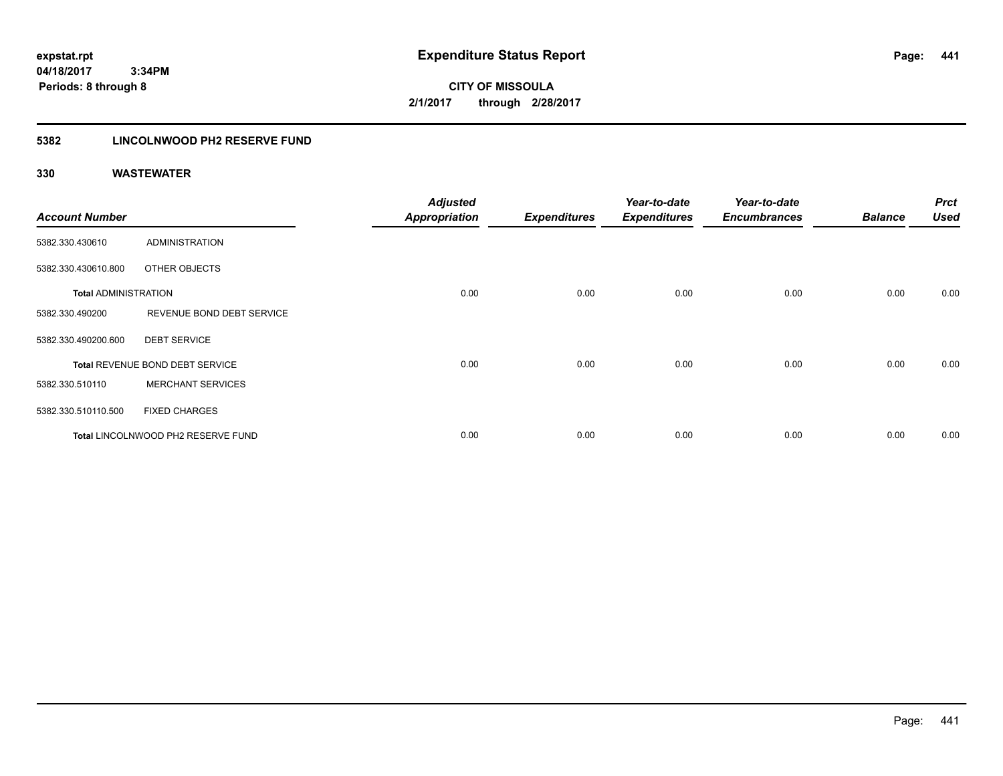**CITY OF MISSOULA 2/1/2017 through 2/28/2017**

### **5382 LINCOLNWOOD PH2 RESERVE FUND**

| <b>Account Number</b>       |                                    | <b>Adjusted</b><br><b>Appropriation</b> | <b>Expenditures</b> | Year-to-date<br><b>Expenditures</b> | Year-to-date<br><b>Encumbrances</b> | <b>Balance</b> | <b>Prct</b><br><b>Used</b> |
|-----------------------------|------------------------------------|-----------------------------------------|---------------------|-------------------------------------|-------------------------------------|----------------|----------------------------|
| 5382.330.430610             | ADMINISTRATION                     |                                         |                     |                                     |                                     |                |                            |
| 5382.330.430610.800         | OTHER OBJECTS                      |                                         |                     |                                     |                                     |                |                            |
| <b>Total ADMINISTRATION</b> |                                    | 0.00                                    | 0.00                | 0.00                                | 0.00                                | 0.00           | 0.00                       |
| 5382.330.490200             | REVENUE BOND DEBT SERVICE          |                                         |                     |                                     |                                     |                |                            |
| 5382.330.490200.600         | <b>DEBT SERVICE</b>                |                                         |                     |                                     |                                     |                |                            |
|                             | Total REVENUE BOND DEBT SERVICE    | 0.00                                    | 0.00                | 0.00                                | 0.00                                | 0.00           | 0.00                       |
| 5382.330.510110             | <b>MERCHANT SERVICES</b>           |                                         |                     |                                     |                                     |                |                            |
| 5382.330.510110.500         | <b>FIXED CHARGES</b>               |                                         |                     |                                     |                                     |                |                            |
|                             | Total LINCOLNWOOD PH2 RESERVE FUND | 0.00                                    | 0.00                | 0.00                                | 0.00                                | 0.00           | 0.00                       |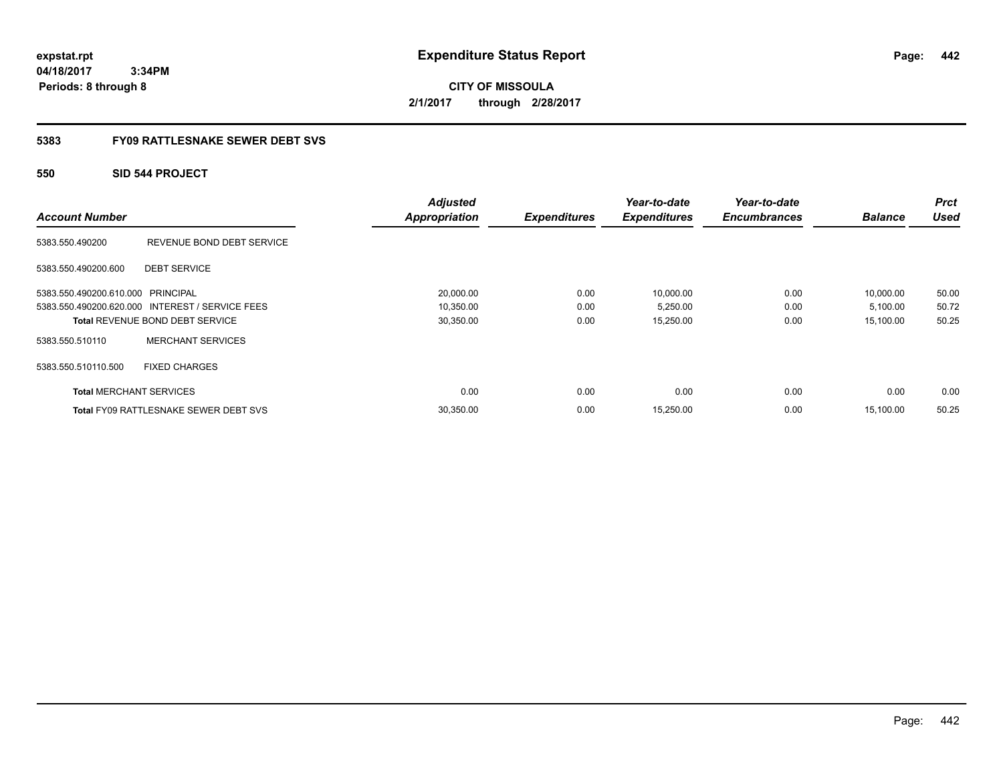**CITY OF MISSOULA 2/1/2017 through 2/28/2017**

### **5383 FY09 RATTLESNAKE SEWER DEBT SVS**

### **550 SID 544 PROJECT**

| <b>Account Number</b>             |                                                 | <b>Adjusted</b><br><b>Appropriation</b> | <b>Expenditures</b> | Year-to-date<br><b>Expenditures</b> | Year-to-date<br><b>Encumbrances</b> | <b>Balance</b> | <b>Prct</b><br><b>Used</b> |
|-----------------------------------|-------------------------------------------------|-----------------------------------------|---------------------|-------------------------------------|-------------------------------------|----------------|----------------------------|
| 5383.550.490200                   | REVENUE BOND DEBT SERVICE                       |                                         |                     |                                     |                                     |                |                            |
| 5383.550.490200.600               | <b>DEBT SERVICE</b>                             |                                         |                     |                                     |                                     |                |                            |
| 5383.550.490200.610.000 PRINCIPAL |                                                 | 20,000.00                               | 0.00                | 10.000.00                           | 0.00                                | 10,000.00      | 50.00                      |
|                                   | 5383.550.490200.620.000 INTEREST / SERVICE FEES | 10,350.00                               | 0.00                | 5,250.00                            | 0.00                                | 5,100.00       | 50.72                      |
|                                   | <b>Total REVENUE BOND DEBT SERVICE</b>          | 30,350.00                               | 0.00                | 15,250.00                           | 0.00                                | 15,100.00      | 50.25                      |
| 5383.550.510110                   | <b>MERCHANT SERVICES</b>                        |                                         |                     |                                     |                                     |                |                            |
| 5383.550.510110.500               | <b>FIXED CHARGES</b>                            |                                         |                     |                                     |                                     |                |                            |
| <b>Total MERCHANT SERVICES</b>    |                                                 | 0.00                                    | 0.00                | 0.00                                | 0.00                                | 0.00           | 0.00                       |
|                                   | <b>Total FY09 RATTLESNAKE SEWER DEBT SVS</b>    | 30,350.00                               | 0.00                | 15,250.00                           | 0.00                                | 15.100.00      | 50.25                      |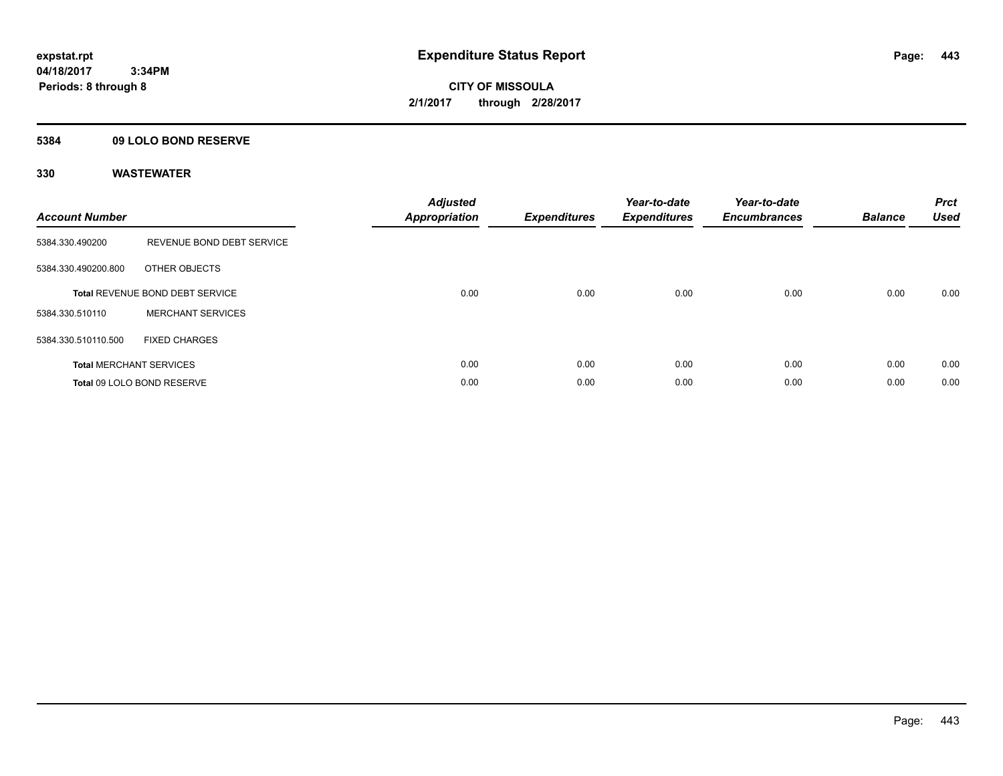**Periods: 8 through 8**

**CITY OF MISSOULA 2/1/2017 through 2/28/2017**

### **5384 09 LOLO BOND RESERVE**

 **3:34PM**

| <b>Account Number</b> |                                        | <b>Adjusted</b><br>Appropriation | <b>Expenditures</b> | Year-to-date<br><b>Expenditures</b> | Year-to-date<br><b>Encumbrances</b> | <b>Balance</b> | <b>Prct</b><br><b>Used</b> |
|-----------------------|----------------------------------------|----------------------------------|---------------------|-------------------------------------|-------------------------------------|----------------|----------------------------|
| 5384.330.490200       | REVENUE BOND DEBT SERVICE              |                                  |                     |                                     |                                     |                |                            |
| 5384.330.490200.800   | OTHER OBJECTS                          |                                  |                     |                                     |                                     |                |                            |
|                       | <b>Total REVENUE BOND DEBT SERVICE</b> | 0.00                             | 0.00                | 0.00                                | 0.00                                | 0.00           | 0.00                       |
| 5384.330.510110       | <b>MERCHANT SERVICES</b>               |                                  |                     |                                     |                                     |                |                            |
| 5384.330.510110.500   | <b>FIXED CHARGES</b>                   |                                  |                     |                                     |                                     |                |                            |
|                       | <b>Total MERCHANT SERVICES</b>         | 0.00                             | 0.00                | 0.00                                | 0.00                                | 0.00           | 0.00                       |
|                       | Total 09 LOLO BOND RESERVE             | 0.00                             | 0.00                | 0.00                                | 0.00                                | 0.00           | 0.00                       |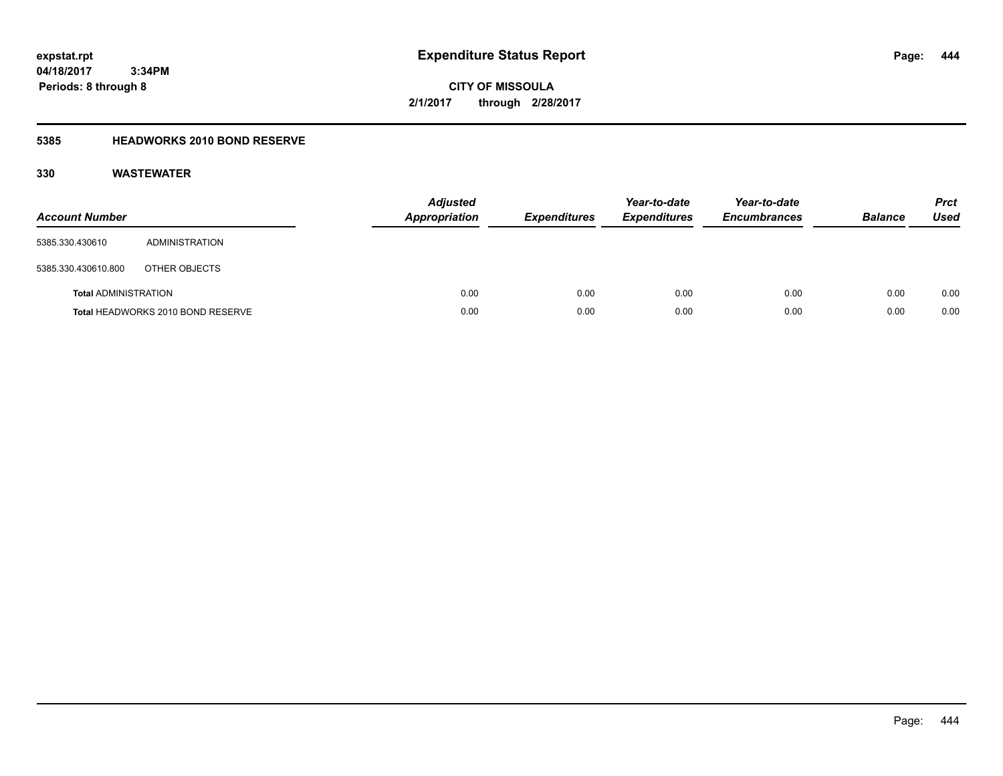**CITY OF MISSOULA 2/1/2017 through 2/28/2017**

### **5385 HEADWORKS 2010 BOND RESERVE**

| <b>Account Number</b>       |                                   | <b>Adjusted</b><br><b>Appropriation</b> | <b>Expenditures</b> | Year-to-date<br><b>Expenditures</b> | Year-to-date<br><b>Encumbrances</b> | <b>Balance</b> | <b>Prct</b><br><b>Used</b> |
|-----------------------------|-----------------------------------|-----------------------------------------|---------------------|-------------------------------------|-------------------------------------|----------------|----------------------------|
| 5385.330.430610             | ADMINISTRATION                    |                                         |                     |                                     |                                     |                |                            |
| 5385.330.430610.800         | OTHER OBJECTS                     |                                         |                     |                                     |                                     |                |                            |
| <b>Total ADMINISTRATION</b> |                                   | 0.00                                    | 0.00                | 0.00                                | 0.00                                | 0.00           | 0.00                       |
|                             | Total HEADWORKS 2010 BOND RESERVE | 0.00                                    | 0.00                | 0.00                                | 0.00                                | 0.00           | 0.00                       |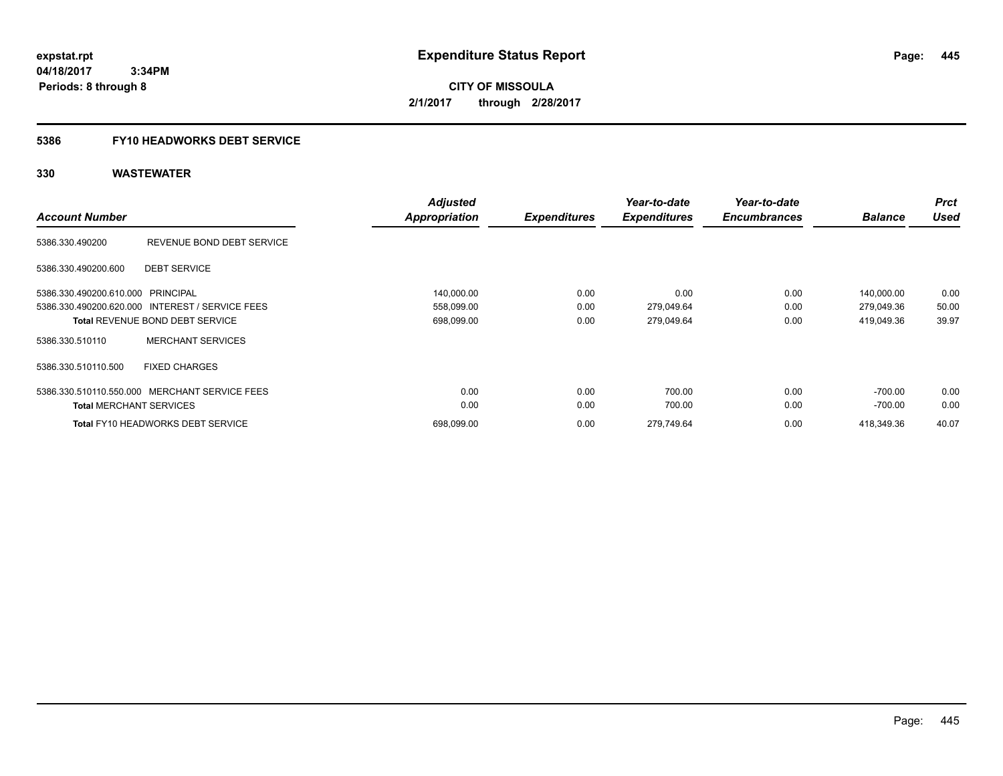**CITY OF MISSOULA 2/1/2017 through 2/28/2017**

### **5386 FY10 HEADWORKS DEBT SERVICE**

|                                   |                                                 | <b>Adjusted</b>      |                     | Year-to-date        | Year-to-date        |                | <b>Prct</b> |
|-----------------------------------|-------------------------------------------------|----------------------|---------------------|---------------------|---------------------|----------------|-------------|
| <b>Account Number</b>             |                                                 | <b>Appropriation</b> | <b>Expenditures</b> | <b>Expenditures</b> | <b>Encumbrances</b> | <b>Balance</b> | <b>Used</b> |
| 5386.330.490200                   | REVENUE BOND DEBT SERVICE                       |                      |                     |                     |                     |                |             |
| 5386.330.490200.600               | <b>DEBT SERVICE</b>                             |                      |                     |                     |                     |                |             |
| 5386.330.490200.610.000 PRINCIPAL |                                                 | 140,000.00           | 0.00                | 0.00                | 0.00                | 140,000.00     | 0.00        |
|                                   | 5386.330.490200.620.000 INTEREST / SERVICE FEES | 558,099.00           | 0.00                | 279,049.64          | 0.00                | 279,049.36     | 50.00       |
|                                   | <b>Total REVENUE BOND DEBT SERVICE</b>          | 698,099.00           | 0.00                | 279,049.64          | 0.00                | 419,049.36     | 39.97       |
| 5386.330.510110                   | <b>MERCHANT SERVICES</b>                        |                      |                     |                     |                     |                |             |
| 5386.330.510110.500               | <b>FIXED CHARGES</b>                            |                      |                     |                     |                     |                |             |
|                                   | 5386.330.510110.550.000 MERCHANT SERVICE FEES   | 0.00                 | 0.00                | 700.00              | 0.00                | $-700.00$      | 0.00        |
| <b>Total MERCHANT SERVICES</b>    |                                                 | 0.00                 | 0.00                | 700.00              | 0.00                | -700.00        | 0.00        |
|                                   | <b>Total FY10 HEADWORKS DEBT SERVICE</b>        | 698,099.00           | 0.00                | 279,749.64          | 0.00                | 418,349.36     | 40.07       |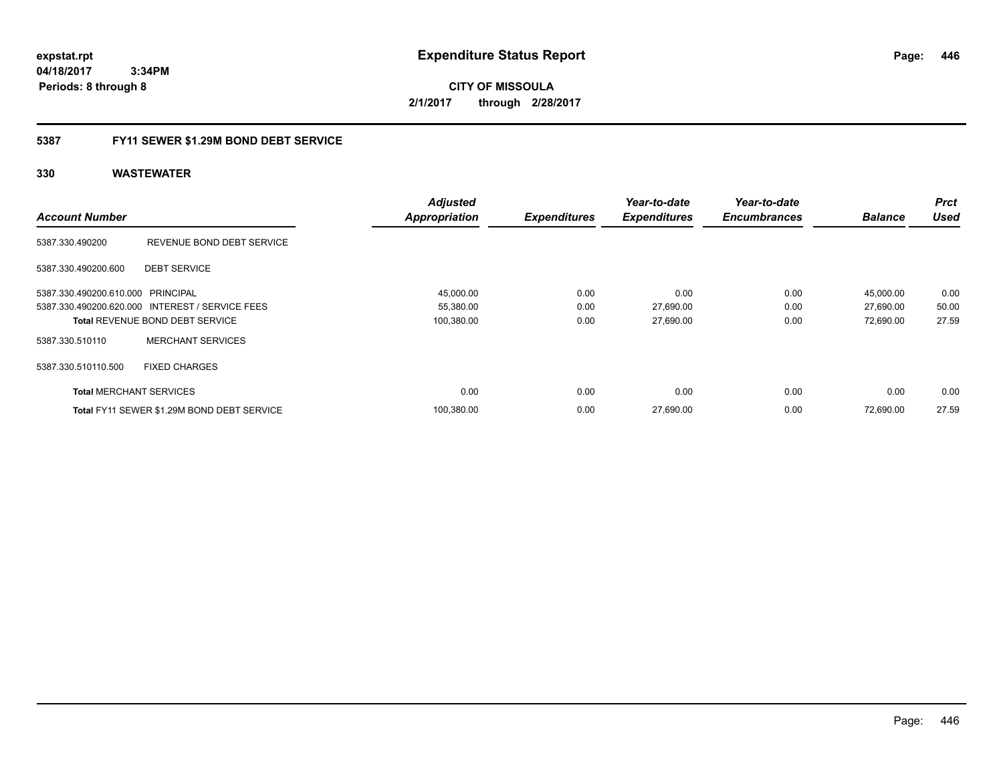**CITY OF MISSOULA 2/1/2017 through 2/28/2017**

### **5387 FY11 SEWER \$1.29M BOND DEBT SERVICE**

|                                   |                                                 | <b>Adjusted</b>      |                     | Year-to-date        | Year-to-date        |                | <b>Prct</b> |
|-----------------------------------|-------------------------------------------------|----------------------|---------------------|---------------------|---------------------|----------------|-------------|
| <b>Account Number</b>             |                                                 | <b>Appropriation</b> | <b>Expenditures</b> | <b>Expenditures</b> | <b>Encumbrances</b> | <b>Balance</b> | <b>Used</b> |
| 5387.330.490200                   | REVENUE BOND DEBT SERVICE                       |                      |                     |                     |                     |                |             |
| 5387.330.490200.600               | <b>DEBT SERVICE</b>                             |                      |                     |                     |                     |                |             |
| 5387.330.490200.610.000 PRINCIPAL |                                                 | 45,000.00            | 0.00                | 0.00                | 0.00                | 45,000.00      | 0.00        |
|                                   | 5387.330.490200.620.000 INTEREST / SERVICE FEES | 55,380.00            | 0.00                | 27,690.00           | 0.00                | 27,690.00      | 50.00       |
|                                   | <b>Total REVENUE BOND DEBT SERVICE</b>          | 100,380.00           | 0.00                | 27,690.00           | 0.00                | 72,690.00      | 27.59       |
| 5387.330.510110                   | <b>MERCHANT SERVICES</b>                        |                      |                     |                     |                     |                |             |
| 5387.330.510110.500               | <b>FIXED CHARGES</b>                            |                      |                     |                     |                     |                |             |
| <b>Total MERCHANT SERVICES</b>    |                                                 | 0.00                 | 0.00                | 0.00                | 0.00                | 0.00           | 0.00        |
|                                   | Total FY11 SEWER \$1.29M BOND DEBT SERVICE      | 100,380.00           | 0.00                | 27,690.00           | 0.00                | 72.690.00      | 27.59       |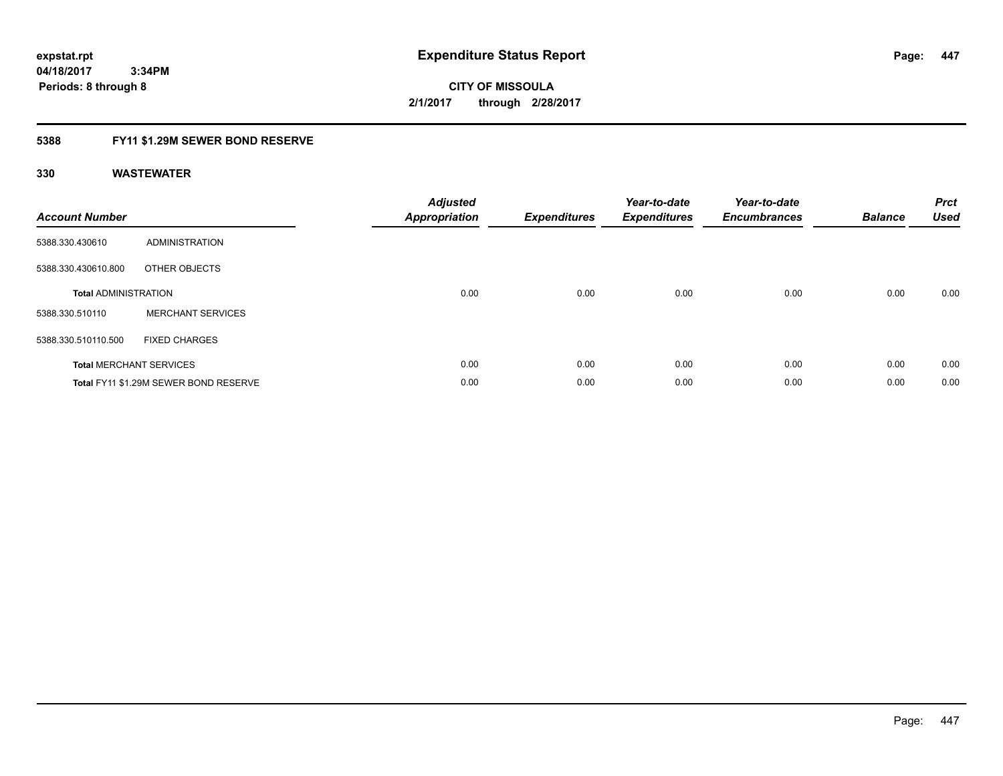**CITY OF MISSOULA 2/1/2017 through 2/28/2017**

### **5388 FY11 \$1.29M SEWER BOND RESERVE**

| <b>Account Number</b>       |                                       | <b>Adjusted</b><br><b>Appropriation</b> | <b>Expenditures</b> | Year-to-date<br><b>Expenditures</b> | Year-to-date<br><b>Encumbrances</b> | <b>Balance</b> | <b>Prct</b><br><b>Used</b> |
|-----------------------------|---------------------------------------|-----------------------------------------|---------------------|-------------------------------------|-------------------------------------|----------------|----------------------------|
| 5388.330.430610             | ADMINISTRATION                        |                                         |                     |                                     |                                     |                |                            |
| 5388.330.430610.800         | OTHER OBJECTS                         |                                         |                     |                                     |                                     |                |                            |
| <b>Total ADMINISTRATION</b> |                                       | 0.00                                    | 0.00                | 0.00                                | 0.00                                | 0.00           | 0.00                       |
| 5388.330.510110             | <b>MERCHANT SERVICES</b>              |                                         |                     |                                     |                                     |                |                            |
| 5388.330.510110.500         | <b>FIXED CHARGES</b>                  |                                         |                     |                                     |                                     |                |                            |
|                             | <b>Total MERCHANT SERVICES</b>        | 0.00                                    | 0.00                | 0.00                                | 0.00                                | 0.00           | 0.00                       |
|                             | Total FY11 \$1.29M SEWER BOND RESERVE | 0.00                                    | 0.00                | 0.00                                | 0.00                                | 0.00           | 0.00                       |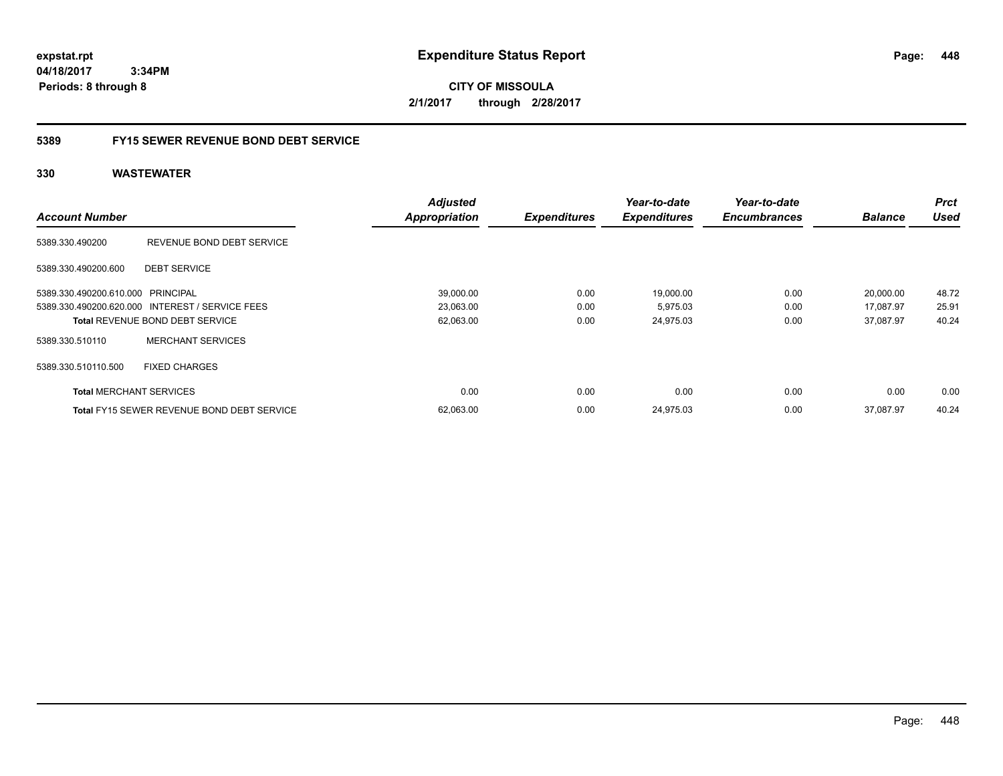**CITY OF MISSOULA 2/1/2017 through 2/28/2017**

### **5389 FY15 SEWER REVENUE BOND DEBT SERVICE**

|                                   |                                                   | <b>Adjusted</b>      |                     | Year-to-date        | Year-to-date        |                | <b>Prct</b> |
|-----------------------------------|---------------------------------------------------|----------------------|---------------------|---------------------|---------------------|----------------|-------------|
| <b>Account Number</b>             |                                                   | <b>Appropriation</b> | <b>Expenditures</b> | <b>Expenditures</b> | <b>Encumbrances</b> | <b>Balance</b> | <b>Used</b> |
| 5389.330.490200                   | REVENUE BOND DEBT SERVICE                         |                      |                     |                     |                     |                |             |
| 5389.330.490200.600               | <b>DEBT SERVICE</b>                               |                      |                     |                     |                     |                |             |
| 5389.330.490200.610.000 PRINCIPAL |                                                   | 39,000.00            | 0.00                | 19,000.00           | 0.00                | 20,000.00      | 48.72       |
|                                   | 5389.330.490200.620.000 INTEREST / SERVICE FEES   | 23,063.00            | 0.00                | 5,975.03            | 0.00                | 17,087.97      | 25.91       |
|                                   | <b>Total REVENUE BOND DEBT SERVICE</b>            | 62,063.00            | 0.00                | 24,975.03           | 0.00                | 37.087.97      | 40.24       |
| 5389.330.510110                   | <b>MERCHANT SERVICES</b>                          |                      |                     |                     |                     |                |             |
| 5389.330.510110.500               | <b>FIXED CHARGES</b>                              |                      |                     |                     |                     |                |             |
| <b>Total MERCHANT SERVICES</b>    |                                                   | 0.00                 | 0.00                | 0.00                | 0.00                | 0.00           | 0.00        |
|                                   | <b>Total FY15 SEWER REVENUE BOND DEBT SERVICE</b> | 62,063.00            | 0.00                | 24.975.03           | 0.00                | 37.087.97      | 40.24       |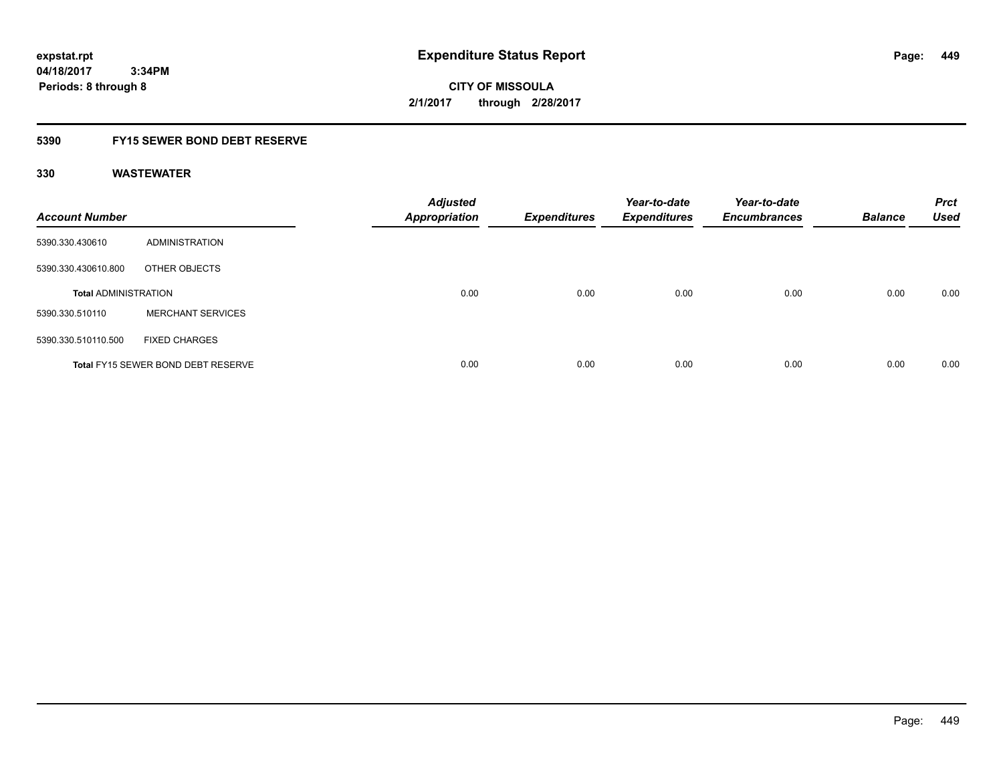**CITY OF MISSOULA 2/1/2017 through 2/28/2017**

### **5390 FY15 SEWER BOND DEBT RESERVE**

| <b>Account Number</b>       |                                           | <b>Adjusted</b><br><b>Appropriation</b> | <b>Expenditures</b> | Year-to-date<br><b>Expenditures</b> | Year-to-date<br><b>Encumbrances</b> | <b>Balance</b> | <b>Prct</b><br><b>Used</b> |
|-----------------------------|-------------------------------------------|-----------------------------------------|---------------------|-------------------------------------|-------------------------------------|----------------|----------------------------|
| 5390.330.430610             | ADMINISTRATION                            |                                         |                     |                                     |                                     |                |                            |
| 5390.330.430610.800         | OTHER OBJECTS                             |                                         |                     |                                     |                                     |                |                            |
| <b>Total ADMINISTRATION</b> |                                           | 0.00                                    | 0.00                | 0.00                                | 0.00                                | 0.00           | 0.00                       |
| 5390.330.510110             | <b>MERCHANT SERVICES</b>                  |                                         |                     |                                     |                                     |                |                            |
| 5390.330.510110.500         | <b>FIXED CHARGES</b>                      |                                         |                     |                                     |                                     |                |                            |
|                             | <b>Total FY15 SEWER BOND DEBT RESERVE</b> | 0.00                                    | 0.00                | 0.00                                | 0.00                                | 0.00           | 0.00                       |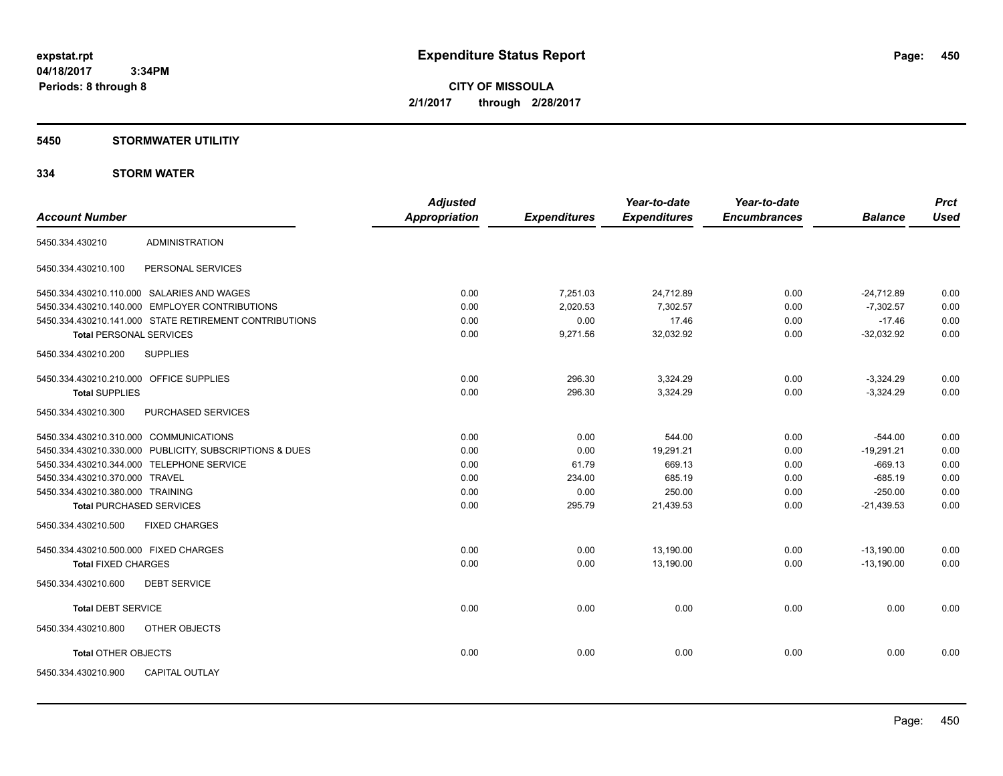**CITY OF MISSOULA 2/1/2017 through 2/28/2017**

### **5450 STORMWATER UTILITIY**

### **334 STORM WATER**

| <b>Account Number</b>                      |                                                         | <b>Adjusted</b><br><b>Appropriation</b> | <b>Expenditures</b> | Year-to-date<br><b>Expenditures</b> | Year-to-date<br><b>Encumbrances</b> | <b>Balance</b> | <b>Prct</b><br><b>Used</b> |
|--------------------------------------------|---------------------------------------------------------|-----------------------------------------|---------------------|-------------------------------------|-------------------------------------|----------------|----------------------------|
|                                            |                                                         |                                         |                     |                                     |                                     |                |                            |
| 5450.334.430210                            | <b>ADMINISTRATION</b>                                   |                                         |                     |                                     |                                     |                |                            |
| 5450.334.430210.100                        | PERSONAL SERVICES                                       |                                         |                     |                                     |                                     |                |                            |
| 5450.334.430210.110.000 SALARIES AND WAGES |                                                         | 0.00                                    | 7,251.03            | 24,712.89                           | 0.00                                | $-24,712.89$   | 0.00                       |
|                                            | 5450.334.430210.140.000 EMPLOYER CONTRIBUTIONS          | 0.00                                    | 2,020.53            | 7,302.57                            | 0.00                                | $-7,302.57$    | 0.00                       |
|                                            | 5450.334.430210.141.000 STATE RETIREMENT CONTRIBUTIONS  | 0.00                                    | 0.00                | 17.46                               | 0.00                                | $-17.46$       | 0.00                       |
| <b>Total PERSONAL SERVICES</b>             |                                                         | 0.00                                    | 9,271.56            | 32,032.92                           | 0.00                                | $-32,032.92$   | 0.00                       |
| 5450.334.430210.200                        | <b>SUPPLIES</b>                                         |                                         |                     |                                     |                                     |                |                            |
| 5450.334.430210.210.000 OFFICE SUPPLIES    |                                                         | 0.00                                    | 296.30              | 3,324.29                            | 0.00                                | $-3,324.29$    | 0.00                       |
| <b>Total SUPPLIES</b>                      |                                                         | 0.00                                    | 296.30              | 3,324.29                            | 0.00                                | $-3,324.29$    | 0.00                       |
| 5450.334.430210.300                        | PURCHASED SERVICES                                      |                                         |                     |                                     |                                     |                |                            |
| 5450.334.430210.310.000 COMMUNICATIONS     |                                                         | 0.00                                    | 0.00                | 544.00                              | 0.00                                | $-544.00$      | 0.00                       |
|                                            | 5450.334.430210.330.000 PUBLICITY, SUBSCRIPTIONS & DUES | 0.00                                    | 0.00                | 19,291.21                           | 0.00                                | $-19,291.21$   | 0.00                       |
| 5450.334.430210.344.000 TELEPHONE SERVICE  |                                                         | 0.00                                    | 61.79               | 669.13                              | 0.00                                | $-669.13$      | 0.00                       |
| 5450.334.430210.370.000 TRAVEL             |                                                         | 0.00                                    | 234.00              | 685.19                              | 0.00                                | $-685.19$      | 0.00                       |
| 5450.334.430210.380.000 TRAINING           |                                                         | 0.00                                    | 0.00                | 250.00                              | 0.00                                | $-250.00$      | 0.00                       |
| <b>Total PURCHASED SERVICES</b>            |                                                         | 0.00                                    | 295.79              | 21,439.53                           | 0.00                                | $-21,439.53$   | 0.00                       |
| 5450.334.430210.500                        | <b>FIXED CHARGES</b>                                    |                                         |                     |                                     |                                     |                |                            |
| 5450.334.430210.500.000 FIXED CHARGES      |                                                         | 0.00                                    | 0.00                | 13,190.00                           | 0.00                                | $-13,190.00$   | 0.00                       |
| <b>Total FIXED CHARGES</b>                 |                                                         | 0.00                                    | 0.00                | 13,190.00                           | 0.00                                | $-13,190.00$   | 0.00                       |
| 5450.334.430210.600                        | <b>DEBT SERVICE</b>                                     |                                         |                     |                                     |                                     |                |                            |
| <b>Total DEBT SERVICE</b>                  |                                                         | 0.00                                    | 0.00                | 0.00                                | 0.00                                | 0.00           | 0.00                       |
| 5450.334.430210.800                        | OTHER OBJECTS                                           |                                         |                     |                                     |                                     |                |                            |
| <b>Total OTHER OBJECTS</b>                 |                                                         | 0.00                                    | 0.00                | 0.00                                | 0.00                                | 0.00           | 0.00                       |
| 5450.334.430210.900                        | <b>CAPITAL OUTLAY</b>                                   |                                         |                     |                                     |                                     |                |                            |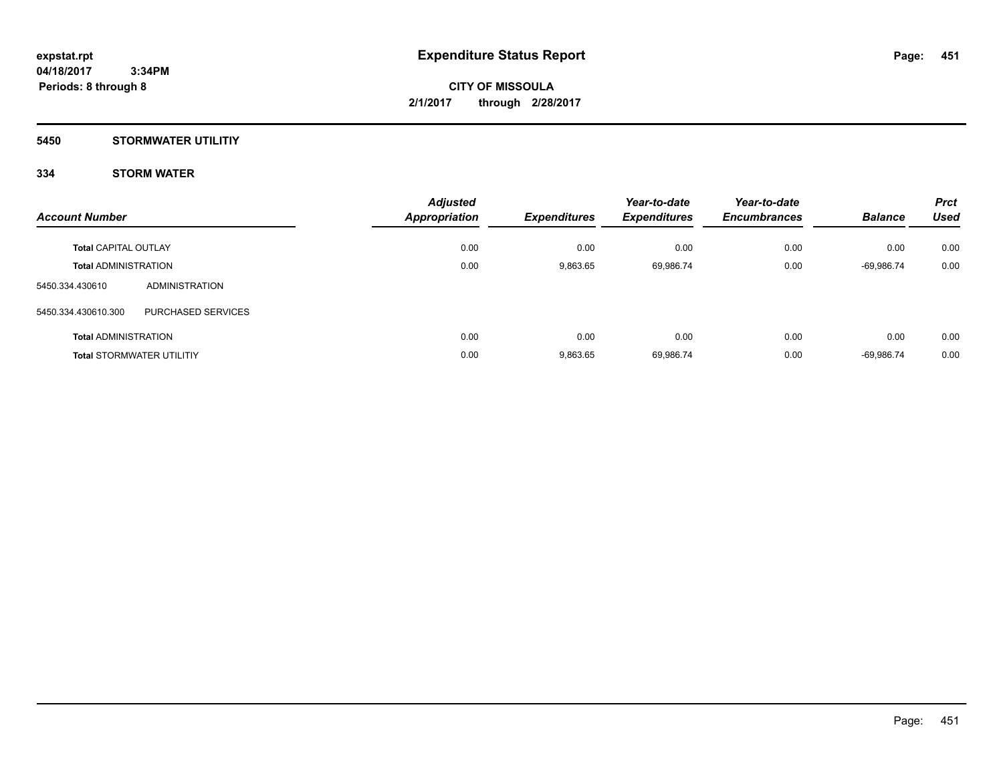### **5450 STORMWATER UTILITIY**

### **334 STORM WATER**

| <b>Account Number</b>            |                    | <b>Adjusted</b><br><b>Appropriation</b> | <b>Expenditures</b> | Year-to-date<br><b>Expenditures</b> | Year-to-date<br><b>Encumbrances</b> | <b>Balance</b> | <b>Prct</b><br>Used |
|----------------------------------|--------------------|-----------------------------------------|---------------------|-------------------------------------|-------------------------------------|----------------|---------------------|
| <b>Total CAPITAL OUTLAY</b>      |                    | 0.00                                    | 0.00                | 0.00                                | 0.00                                | 0.00           | 0.00                |
| <b>Total ADMINISTRATION</b>      |                    | 0.00                                    | 9.863.65            | 69,986.74                           | 0.00                                | -69,986.74     | 0.00                |
| 5450.334.430610                  | ADMINISTRATION     |                                         |                     |                                     |                                     |                |                     |
| 5450.334.430610.300              | PURCHASED SERVICES |                                         |                     |                                     |                                     |                |                     |
| <b>Total ADMINISTRATION</b>      |                    | 0.00                                    | 0.00                | 0.00                                | 0.00                                | 0.00           | 0.00                |
| <b>Total STORMWATER UTILITIY</b> |                    | 0.00                                    | 9.863.65            | 69,986.74                           | 0.00                                | $-69.986.74$   | 0.00                |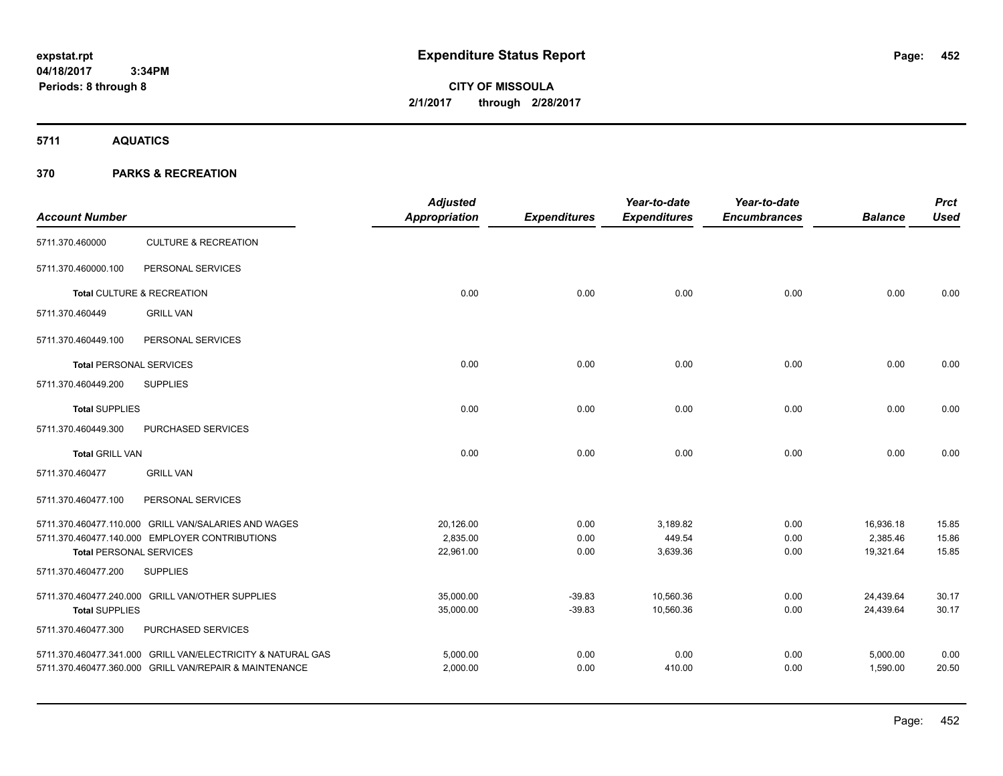# **CITY OF MISSOULA 2/1/2017 through 2/28/2017**

**5711 AQUATICS**

| <b>Account Number</b>          |                                                             | <b>Adjusted</b><br><b>Appropriation</b> | <b>Expenditures</b> | Year-to-date<br><b>Expenditures</b> | Year-to-date<br><b>Encumbrances</b> | <b>Balance</b> | <b>Prct</b><br><b>Used</b> |
|--------------------------------|-------------------------------------------------------------|-----------------------------------------|---------------------|-------------------------------------|-------------------------------------|----------------|----------------------------|
| 5711.370.460000                | <b>CULTURE &amp; RECREATION</b>                             |                                         |                     |                                     |                                     |                |                            |
| 5711.370.460000.100            | PERSONAL SERVICES                                           |                                         |                     |                                     |                                     |                |                            |
|                                | Total CULTURE & RECREATION                                  | 0.00                                    | 0.00                | 0.00                                | 0.00                                | 0.00           | 0.00                       |
| 5711.370.460449                | <b>GRILL VAN</b>                                            |                                         |                     |                                     |                                     |                |                            |
| 5711.370.460449.100            | PERSONAL SERVICES                                           |                                         |                     |                                     |                                     |                |                            |
| <b>Total PERSONAL SERVICES</b> |                                                             | 0.00                                    | 0.00                | 0.00                                | 0.00                                | 0.00           | 0.00                       |
| 5711.370.460449.200            | <b>SUPPLIES</b>                                             |                                         |                     |                                     |                                     |                |                            |
| <b>Total SUPPLIES</b>          |                                                             | 0.00                                    | 0.00                | 0.00                                | 0.00                                | 0.00           | 0.00                       |
| 5711.370.460449.300            | PURCHASED SERVICES                                          |                                         |                     |                                     |                                     |                |                            |
| <b>Total GRILL VAN</b>         |                                                             | 0.00                                    | 0.00                | 0.00                                | 0.00                                | 0.00           | 0.00                       |
| 5711.370.460477                | <b>GRILL VAN</b>                                            |                                         |                     |                                     |                                     |                |                            |
| 5711.370.460477.100            | PERSONAL SERVICES                                           |                                         |                     |                                     |                                     |                |                            |
|                                | 5711.370.460477.110.000 GRILL VAN/SALARIES AND WAGES        | 20,126.00                               | 0.00                | 3,189.82                            | 0.00                                | 16,936.18      | 15.85                      |
|                                | 5711.370.460477.140.000 EMPLOYER CONTRIBUTIONS              | 2,835.00                                | 0.00                | 449.54                              | 0.00                                | 2,385.46       | 15.86                      |
| <b>Total PERSONAL SERVICES</b> |                                                             | 22,961.00                               | 0.00                | 3,639.36                            | 0.00                                | 19,321.64      | 15.85                      |
| 5711.370.460477.200            | <b>SUPPLIES</b>                                             |                                         |                     |                                     |                                     |                |                            |
|                                | 5711.370.460477.240.000 GRILL VAN/OTHER SUPPLIES            | 35,000.00                               | $-39.83$            | 10,560.36                           | 0.00                                | 24,439.64      | 30.17                      |
| <b>Total SUPPLIES</b>          |                                                             | 35,000.00                               | $-39.83$            | 10,560.36                           | 0.00                                | 24,439.64      | 30.17                      |
| 5711.370.460477.300            | PURCHASED SERVICES                                          |                                         |                     |                                     |                                     |                |                            |
|                                | 5711.370.460477.341.000 GRILL VAN/ELECTRICITY & NATURAL GAS | 5,000.00                                | 0.00                | 0.00                                | 0.00                                | 5,000.00       | 0.00                       |
|                                | 5711.370.460477.360.000 GRILL VAN/REPAIR & MAINTENANCE      | 2,000.00                                | 0.00                | 410.00                              | 0.00                                | 1,590.00       | 20.50                      |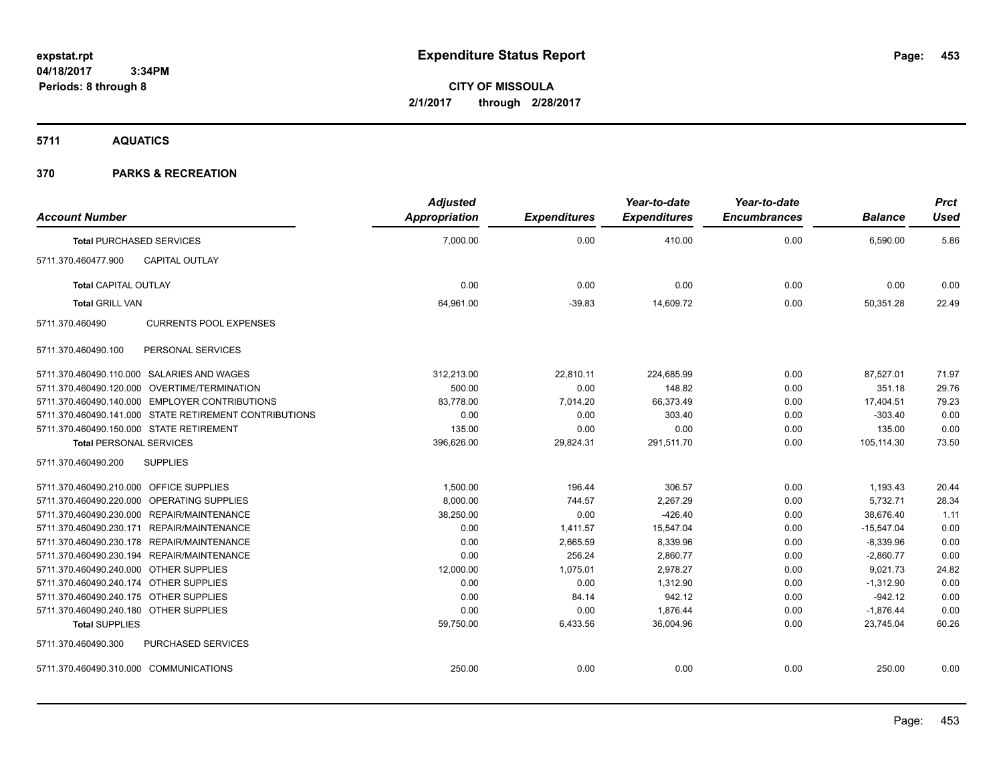**CITY OF MISSOULA 2/1/2017 through 2/28/2017**

**5711 AQUATICS**

| <b>Account Number</b>                                  |                               | <b>Adjusted</b><br>Appropriation | <b>Expenditures</b> | Year-to-date<br><b>Expenditures</b> | Year-to-date<br><b>Encumbrances</b> | <b>Balance</b> | <b>Prct</b><br><b>Used</b> |
|--------------------------------------------------------|-------------------------------|----------------------------------|---------------------|-------------------------------------|-------------------------------------|----------------|----------------------------|
| <b>Total PURCHASED SERVICES</b>                        |                               | 7,000.00                         | 0.00                | 410.00                              | 0.00                                | 6,590.00       | 5.86                       |
| CAPITAL OUTLAY<br>5711.370.460477.900                  |                               |                                  |                     |                                     |                                     |                |                            |
| <b>Total CAPITAL OUTLAY</b>                            |                               | 0.00                             | 0.00                | 0.00                                | 0.00                                | 0.00           | 0.00                       |
| <b>Total GRILL VAN</b>                                 |                               | 64,961.00                        | $-39.83$            | 14,609.72                           | 0.00                                | 50,351.28      | 22.49                      |
| 5711.370.460490                                        | <b>CURRENTS POOL EXPENSES</b> |                                  |                     |                                     |                                     |                |                            |
| 5711.370.460490.100                                    | PERSONAL SERVICES             |                                  |                     |                                     |                                     |                |                            |
| 5711.370.460490.110.000 SALARIES AND WAGES             |                               | 312,213.00                       | 22,810.11           | 224,685.99                          | 0.00                                | 87,527.01      | 71.97                      |
| 5711.370.460490.120.000 OVERTIME/TERMINATION           |                               | 500.00                           | 0.00                | 148.82                              | 0.00                                | 351.18         | 29.76                      |
| 5711.370.460490.140.000 EMPLOYER CONTRIBUTIONS         |                               | 83,778.00                        | 7,014.20            | 66,373.49                           | 0.00                                | 17,404.51      | 79.23                      |
| 5711.370.460490.141.000 STATE RETIREMENT CONTRIBUTIONS |                               | 0.00                             | 0.00                | 303.40                              | 0.00                                | $-303.40$      | 0.00                       |
| 5711.370.460490.150.000 STATE RETIREMENT               |                               | 135.00                           | 0.00                | 0.00                                | 0.00                                | 135.00         | 0.00                       |
| <b>Total PERSONAL SERVICES</b>                         |                               | 396,626.00                       | 29,824.31           | 291,511.70                          | 0.00                                | 105,114.30     | 73.50                      |
| 5711.370.460490.200<br><b>SUPPLIES</b>                 |                               |                                  |                     |                                     |                                     |                |                            |
| 5711.370.460490.210.000 OFFICE SUPPLIES                |                               | 1,500.00                         | 196.44              | 306.57                              | 0.00                                | 1,193.43       | 20.44                      |
| 5711.370.460490.220.000 OPERATING SUPPLIES             |                               | 8,000.00                         | 744.57              | 2,267.29                            | 0.00                                | 5,732.71       | 28.34                      |
| 5711.370.460490.230.000 REPAIR/MAINTENANCE             |                               | 38,250.00                        | 0.00                | $-426.40$                           | 0.00                                | 38.676.40      | 1.11                       |
| 5711.370.460490.230.171 REPAIR/MAINTENANCE             |                               | 0.00                             | 1,411.57            | 15,547.04                           | 0.00                                | $-15,547.04$   | 0.00                       |
| 5711.370.460490.230.178 REPAIR/MAINTENANCE             |                               | 0.00                             | 2,665.59            | 8,339.96                            | 0.00                                | $-8,339.96$    | 0.00                       |
| 5711.370.460490.230.194 REPAIR/MAINTENANCE             |                               | 0.00                             | 256.24              | 2,860.77                            | 0.00                                | $-2,860.77$    | 0.00                       |
| 5711.370.460490.240.000 OTHER SUPPLIES                 |                               | 12,000.00                        | 1,075.01            | 2,978.27                            | 0.00                                | 9,021.73       | 24.82                      |
| 5711.370.460490.240.174 OTHER SUPPLIES                 |                               | 0.00                             | 0.00                | 1.312.90                            | 0.00                                | $-1,312.90$    | 0.00                       |
| 5711.370.460490.240.175 OTHER SUPPLIES                 |                               | 0.00                             | 84.14               | 942.12                              | 0.00                                | $-942.12$      | 0.00                       |
| 5711.370.460490.240.180 OTHER SUPPLIES                 |                               | 0.00                             | 0.00                | 1,876.44                            | 0.00                                | $-1,876.44$    | 0.00                       |
| <b>Total SUPPLIES</b>                                  |                               | 59,750.00                        | 6,433.56            | 36,004.96                           | 0.00                                | 23,745.04      | 60.26                      |
| 5711.370.460490.300                                    | <b>PURCHASED SERVICES</b>     |                                  |                     |                                     |                                     |                |                            |
| 5711.370.460490.310.000 COMMUNICATIONS                 |                               | 250.00                           | 0.00                | 0.00                                | 0.00                                | 250.00         | 0.00                       |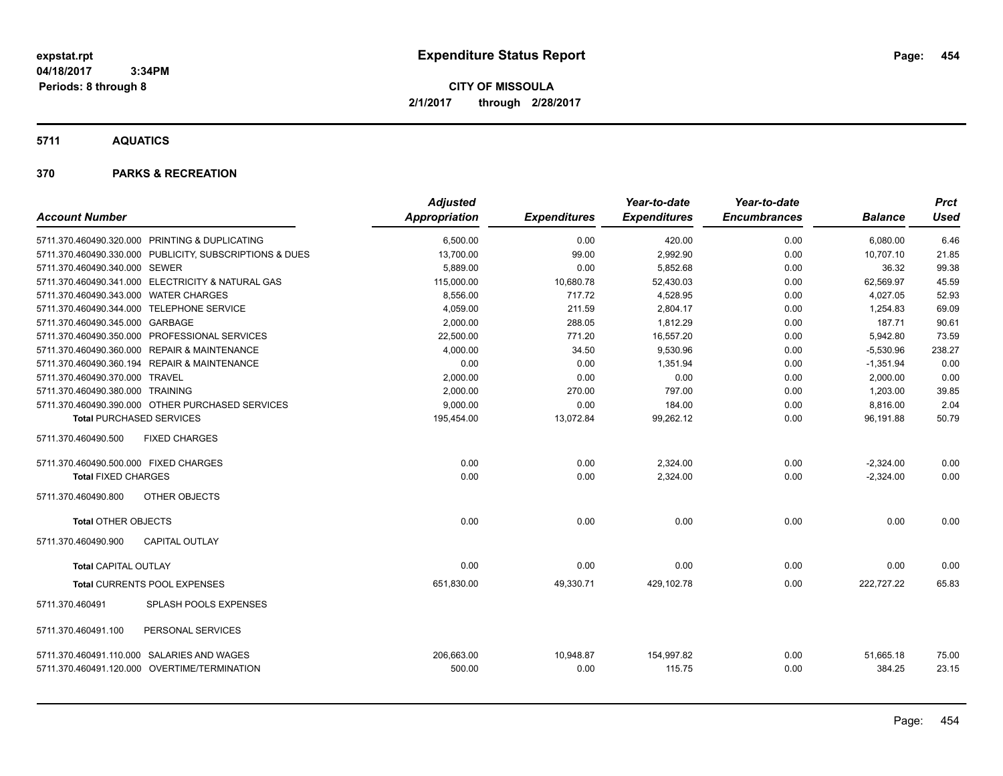**CITY OF MISSOULA 2/1/2017 through 2/28/2017**

**5711 AQUATICS**

|                                            |                                                         | <b>Adjusted</b>      |                     | Year-to-date         | Year-to-date        |                     | <b>Prct</b>    |
|--------------------------------------------|---------------------------------------------------------|----------------------|---------------------|----------------------|---------------------|---------------------|----------------|
| <b>Account Number</b>                      |                                                         | <b>Appropriation</b> | <b>Expenditures</b> | <b>Expenditures</b>  | <b>Encumbrances</b> | <b>Balance</b>      | <b>Used</b>    |
|                                            | 5711.370.460490.320.000 PRINTING & DUPLICATING          | 6,500.00             | 0.00                | 420.00               | 0.00                | 6,080.00            | 6.46           |
|                                            | 5711.370.460490.330.000 PUBLICITY, SUBSCRIPTIONS & DUES | 13,700.00            | 99.00               | 2,992.90             | 0.00                | 10,707.10           | 21.85          |
| 5711.370.460490.340.000 SEWER              |                                                         | 5,889.00             | 0.00                | 5,852.68             | 0.00                | 36.32               | 99.38          |
|                                            | 5711.370.460490.341.000 ELECTRICITY & NATURAL GAS       | 115,000.00           | 10,680.78           | 52,430.03            | 0.00                | 62,569.97           | 45.59          |
| 5711.370.460490.343.000 WATER CHARGES      |                                                         | 8,556.00             | 717.72              | 4,528.95             | 0.00                | 4,027.05            | 52.93          |
| 5711.370.460490.344.000 TELEPHONE SERVICE  |                                                         | 4,059.00             | 211.59              | 2,804.17             | 0.00                | 1,254.83            | 69.09          |
| 5711.370.460490.345.000 GARBAGE            |                                                         | 2.000.00             | 288.05              | 1.812.29             | 0.00                | 187.71              | 90.61          |
|                                            | 5711.370.460490.350.000 PROFESSIONAL SERVICES           | 22,500.00            | 771.20              | 16,557.20            | 0.00                | 5,942.80            | 73.59          |
|                                            | 5711.370.460490.360.000 REPAIR & MAINTENANCE            | 4,000.00             | 34.50               | 9,530.96             | 0.00                | $-5,530.96$         | 238.27         |
|                                            | 5711.370.460490.360.194 REPAIR & MAINTENANCE            | 0.00                 | 0.00                | 1,351.94             | 0.00                | $-1,351.94$         | 0.00           |
| 5711.370.460490.370.000 TRAVEL             |                                                         | 2,000.00             | 0.00                | 0.00                 | 0.00                | 2,000.00            | 0.00           |
| 5711.370.460490.380.000 TRAINING           |                                                         | 2.000.00             | 270.00              | 797.00               | 0.00                | 1,203.00            | 39.85          |
|                                            | 5711.370.460490.390.000 OTHER PURCHASED SERVICES        | 9,000.00             | 0.00                | 184.00               | 0.00                | 8,816.00            | 2.04           |
| <b>Total PURCHASED SERVICES</b>            |                                                         | 195,454.00           | 13,072.84           | 99,262.12            | 0.00                | 96,191.88           | 50.79          |
| 5711.370.460490.500                        | <b>FIXED CHARGES</b>                                    |                      |                     |                      |                     |                     |                |
| 5711.370.460490.500.000 FIXED CHARGES      |                                                         | 0.00                 | 0.00                | 2,324.00             | 0.00                | $-2,324.00$         | 0.00           |
| <b>Total FIXED CHARGES</b>                 |                                                         | 0.00                 | 0.00                | 2,324.00             | 0.00                | $-2,324.00$         | 0.00           |
| 5711.370.460490.800                        | OTHER OBJECTS                                           |                      |                     |                      |                     |                     |                |
| <b>Total OTHER OBJECTS</b>                 |                                                         | 0.00                 | 0.00                | 0.00                 | 0.00                | 0.00                | 0.00           |
| 5711.370.460490.900                        | CAPITAL OUTLAY                                          |                      |                     |                      |                     |                     |                |
| <b>Total CAPITAL OUTLAY</b>                |                                                         | 0.00                 | 0.00                | 0.00                 | 0.00                | 0.00                | 0.00           |
|                                            | Total CURRENTS POOL EXPENSES                            | 651,830.00           | 49,330.71           | 429,102.78           | 0.00                | 222,727.22          | 65.83          |
| 5711.370.460491                            | <b>SPLASH POOLS EXPENSES</b>                            |                      |                     |                      |                     |                     |                |
| 5711.370.460491.100                        | PERSONAL SERVICES                                       |                      |                     |                      |                     |                     |                |
| 5711.370.460491.110.000 SALARIES AND WAGES | 5711.370.460491.120.000 OVERTIME/TERMINATION            | 206,663.00<br>500.00 | 10,948.87<br>0.00   | 154,997.82<br>115.75 | 0.00<br>0.00        | 51,665.18<br>384.25 | 75.00<br>23.15 |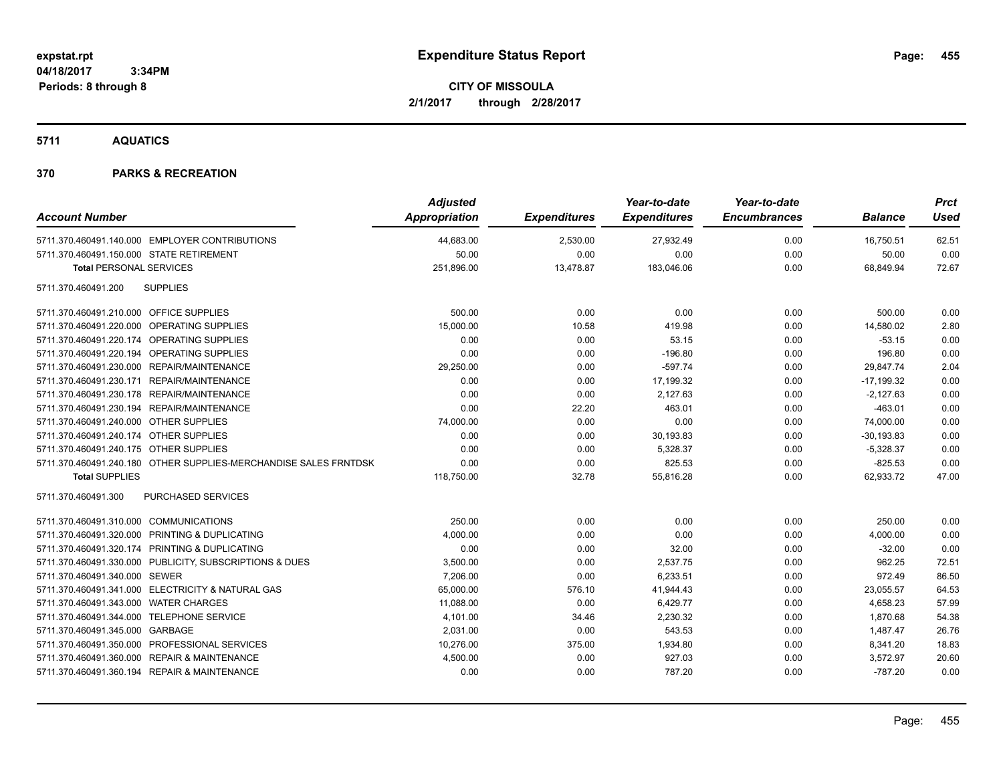**CITY OF MISSOULA 2/1/2017 through 2/28/2017**

**5711 AQUATICS**

| <b>Account Number</b>                                            | <b>Adjusted</b><br>Appropriation | <b>Expenditures</b> | Year-to-date<br><b>Expenditures</b> | Year-to-date<br><b>Encumbrances</b> | <b>Balance</b> | <b>Prct</b><br><b>Used</b> |
|------------------------------------------------------------------|----------------------------------|---------------------|-------------------------------------|-------------------------------------|----------------|----------------------------|
| 5711.370.460491.140.000 EMPLOYER CONTRIBUTIONS                   | 44,683.00                        | 2,530.00            | 27,932.49                           | 0.00                                | 16,750.51      | 62.51                      |
| 5711.370.460491.150.000 STATE RETIREMENT                         | 50.00                            | 0.00                | 0.00                                | 0.00                                | 50.00          | 0.00                       |
| <b>Total PERSONAL SERVICES</b>                                   | 251,896.00                       | 13,478.87           | 183,046.06                          | 0.00                                | 68,849.94      | 72.67                      |
| 5711.370.460491.200<br><b>SUPPLIES</b>                           |                                  |                     |                                     |                                     |                |                            |
| 5711.370.460491.210.000 OFFICE SUPPLIES                          | 500.00                           | 0.00                | 0.00                                | 0.00                                | 500.00         | 0.00                       |
| 5711.370.460491.220.000 OPERATING SUPPLIES                       | 15,000.00                        | 10.58               | 419.98                              | 0.00                                | 14,580.02      | 2.80                       |
| 5711.370.460491.220.174 OPERATING SUPPLIES                       | 0.00                             | 0.00                | 53.15                               | 0.00                                | $-53.15$       | 0.00                       |
| 5711.370.460491.220.194 OPERATING SUPPLIES                       | 0.00                             | 0.00                | $-196.80$                           | 0.00                                | 196.80         | 0.00                       |
| 5711.370.460491.230.000 REPAIR/MAINTENANCE                       | 29,250.00                        | 0.00                | $-597.74$                           | 0.00                                | 29,847.74      | 2.04                       |
| 5711.370.460491.230.171 REPAIR/MAINTENANCE                       | 0.00                             | 0.00                | 17,199.32                           | 0.00                                | $-17,199.32$   | 0.00                       |
| 5711.370.460491.230.178 REPAIR/MAINTENANCE                       | 0.00                             | 0.00                | 2,127.63                            | 0.00                                | $-2,127.63$    | 0.00                       |
| 5711.370.460491.230.194 REPAIR/MAINTENANCE                       | 0.00                             | 22.20               | 463.01                              | 0.00                                | $-463.01$      | 0.00                       |
| 5711.370.460491.240.000 OTHER SUPPLIES                           | 74,000.00                        | 0.00                | 0.00                                | 0.00                                | 74,000.00      | 0.00                       |
| 5711.370.460491.240.174 OTHER SUPPLIES                           | 0.00                             | 0.00                | 30,193.83                           | 0.00                                | $-30, 193.83$  | 0.00                       |
| 5711.370.460491.240.175 OTHER SUPPLIES                           | 0.00                             | 0.00                | 5,328.37                            | 0.00                                | $-5,328.37$    | 0.00                       |
| 5711.370.460491.240.180 OTHER SUPPLIES-MERCHANDISE SALES FRNTDSK | 0.00                             | 0.00                | 825.53                              | 0.00                                | $-825.53$      | 0.00                       |
| <b>Total SUPPLIES</b>                                            | 118,750.00                       | 32.78               | 55,816.28                           | 0.00                                | 62,933.72      | 47.00                      |
| 5711.370.460491.300<br><b>PURCHASED SERVICES</b>                 |                                  |                     |                                     |                                     |                |                            |
| 5711.370.460491.310.000 COMMUNICATIONS                           | 250.00                           | 0.00                | 0.00                                | 0.00                                | 250.00         | 0.00                       |
| 5711.370.460491.320.000 PRINTING & DUPLICATING                   | 4,000.00                         | 0.00                | 0.00                                | 0.00                                | 4,000.00       | 0.00                       |
| 5711.370.460491.320.174 PRINTING & DUPLICATING                   | 0.00                             | 0.00                | 32.00                               | 0.00                                | $-32.00$       | 0.00                       |
| 5711.370.460491.330.000 PUBLICITY, SUBSCRIPTIONS & DUES          | 3,500.00                         | 0.00                | 2,537.75                            | 0.00                                | 962.25         | 72.51                      |
| 5711.370.460491.340.000 SEWER                                    | 7,206.00                         | 0.00                | 6,233.51                            | 0.00                                | 972.49         | 86.50                      |
| 5711.370.460491.341.000 ELECTRICITY & NATURAL GAS                | 65,000.00                        | 576.10              | 41,944.43                           | 0.00                                | 23,055.57      | 64.53                      |
| 5711.370.460491.343.000 WATER CHARGES                            | 11,088.00                        | 0.00                | 6,429.77                            | 0.00                                | 4,658.23       | 57.99                      |
| 5711.370.460491.344.000 TELEPHONE SERVICE                        | 4,101.00                         | 34.46               | 2,230.32                            | 0.00                                | 1,870.68       | 54.38                      |
| 5711.370.460491.345.000 GARBAGE                                  | 2,031.00                         | 0.00                | 543.53                              | 0.00                                | 1,487.47       | 26.76                      |
| 5711.370.460491.350.000 PROFESSIONAL SERVICES                    | 10,276.00                        | 375.00              | 1,934.80                            | 0.00                                | 8,341.20       | 18.83                      |
| 5711.370.460491.360.000 REPAIR & MAINTENANCE                     | 4,500.00                         | 0.00                | 927.03                              | 0.00                                | 3,572.97       | 20.60                      |
| 5711.370.460491.360.194 REPAIR & MAINTENANCE                     | 0.00                             | 0.00                | 787.20                              | 0.00                                | $-787.20$      | 0.00                       |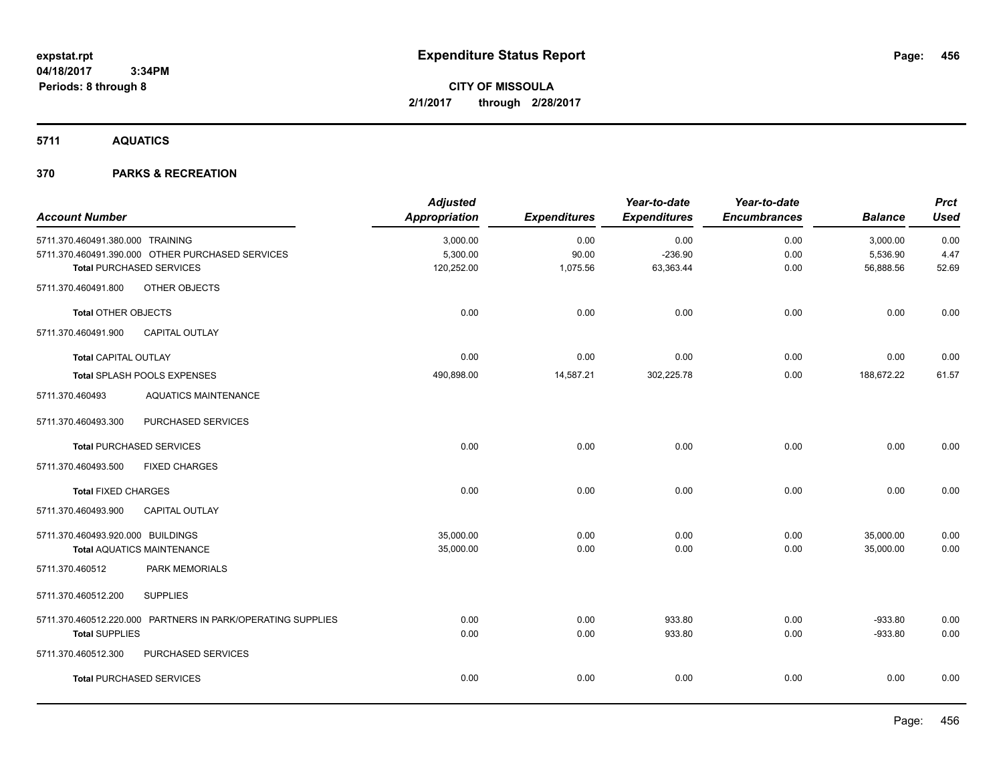**5711 AQUATICS**

| <b>Account Number</b>                                       | <b>Adjusted</b><br>Appropriation | <b>Expenditures</b> | Year-to-date<br><b>Expenditures</b> | Year-to-date<br><b>Encumbrances</b> | <b>Balance</b> | <b>Prct</b><br><b>Used</b> |
|-------------------------------------------------------------|----------------------------------|---------------------|-------------------------------------|-------------------------------------|----------------|----------------------------|
| 5711.370.460491.380.000 TRAINING                            | 3,000.00                         | 0.00                | 0.00                                | 0.00                                | 3,000.00       | 0.00                       |
| 5711.370.460491.390.000 OTHER PURCHASED SERVICES            | 5,300.00                         | 90.00               | $-236.90$                           | 0.00                                | 5,536.90       | 4.47                       |
| <b>Total PURCHASED SERVICES</b>                             | 120,252.00                       | 1,075.56            | 63,363.44                           | 0.00                                | 56,888.56      | 52.69                      |
| 5711.370.460491.800<br>OTHER OBJECTS                        |                                  |                     |                                     |                                     |                |                            |
| <b>Total OTHER OBJECTS</b>                                  | 0.00                             | 0.00                | 0.00                                | 0.00                                | 0.00           | 0.00                       |
| CAPITAL OUTLAY<br>5711.370.460491.900                       |                                  |                     |                                     |                                     |                |                            |
| <b>Total CAPITAL OUTLAY</b>                                 | 0.00                             | 0.00                | 0.00                                | 0.00                                | 0.00           | 0.00                       |
| Total SPLASH POOLS EXPENSES                                 | 490,898.00                       | 14,587.21           | 302,225.78                          | 0.00                                | 188,672.22     | 61.57                      |
| <b>AQUATICS MAINTENANCE</b><br>5711.370.460493              |                                  |                     |                                     |                                     |                |                            |
| PURCHASED SERVICES<br>5711.370.460493.300                   |                                  |                     |                                     |                                     |                |                            |
| <b>Total PURCHASED SERVICES</b>                             | 0.00                             | 0.00                | 0.00                                | 0.00                                | 0.00           | 0.00                       |
| 5711.370.460493.500<br><b>FIXED CHARGES</b>                 |                                  |                     |                                     |                                     |                |                            |
| <b>Total FIXED CHARGES</b>                                  | 0.00                             | 0.00                | 0.00                                | 0.00                                | 0.00           | 0.00                       |
| 5711.370.460493.900<br><b>CAPITAL OUTLAY</b>                |                                  |                     |                                     |                                     |                |                            |
| 5711.370.460493.920.000 BUILDINGS                           | 35,000.00                        | 0.00                | 0.00                                | 0.00                                | 35,000.00      | 0.00                       |
| <b>Total AQUATICS MAINTENANCE</b>                           | 35,000.00                        | 0.00                | 0.00                                | 0.00                                | 35,000.00      | 0.00                       |
| PARK MEMORIALS<br>5711.370.460512                           |                                  |                     |                                     |                                     |                |                            |
| <b>SUPPLIES</b><br>5711.370.460512.200                      |                                  |                     |                                     |                                     |                |                            |
| 5711.370.460512.220.000 PARTNERS IN PARK/OPERATING SUPPLIES | 0.00                             | 0.00                | 933.80                              | 0.00                                | $-933.80$      | 0.00                       |
| <b>Total SUPPLIES</b>                                       | 0.00                             | 0.00                | 933.80                              | 0.00                                | $-933.80$      | 0.00                       |
| 5711.370.460512.300<br>PURCHASED SERVICES                   |                                  |                     |                                     |                                     |                |                            |
| <b>Total PURCHASED SERVICES</b>                             | 0.00                             | 0.00                | 0.00                                | 0.00                                | 0.00           | 0.00                       |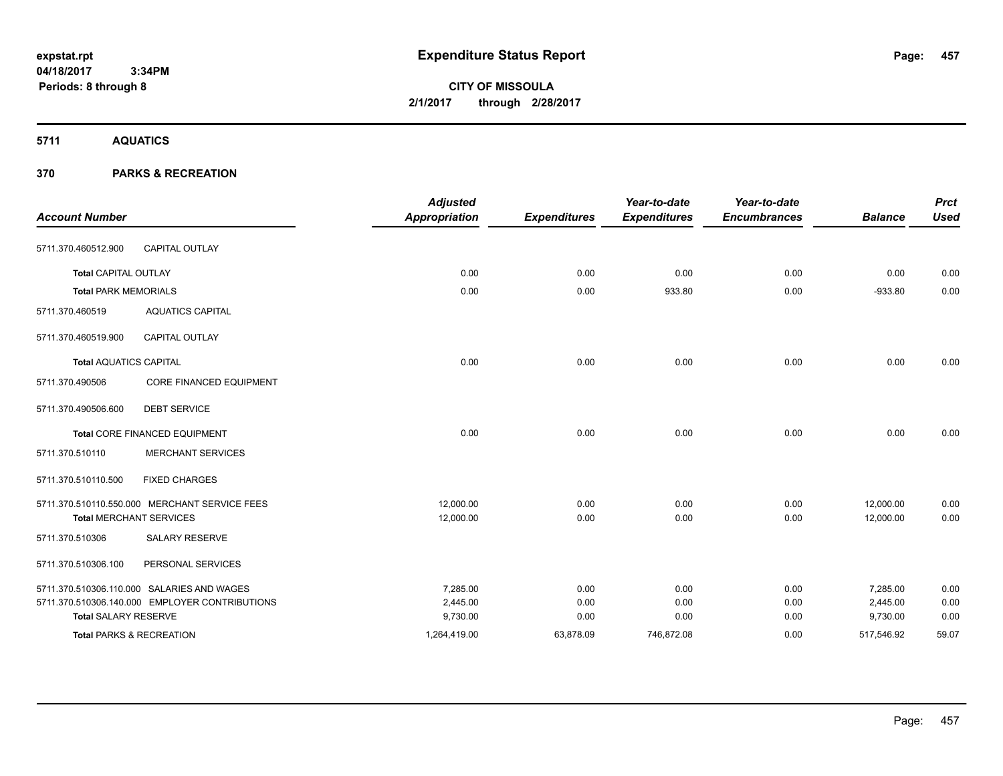**CITY OF MISSOULA 2/1/2017 through 2/28/2017**

**5711 AQUATICS**

| <b>Account Number</b>               |                                                | <b>Adjusted</b><br><b>Appropriation</b> | <b>Expenditures</b> | Year-to-date<br><b>Expenditures</b> | Year-to-date<br><b>Encumbrances</b> | <b>Balance</b> | <b>Prct</b><br><b>Used</b> |
|-------------------------------------|------------------------------------------------|-----------------------------------------|---------------------|-------------------------------------|-------------------------------------|----------------|----------------------------|
| 5711.370.460512.900                 | <b>CAPITAL OUTLAY</b>                          |                                         |                     |                                     |                                     |                |                            |
| <b>Total CAPITAL OUTLAY</b>         |                                                | 0.00                                    | 0.00                | 0.00                                | 0.00                                | 0.00           | 0.00                       |
| <b>Total PARK MEMORIALS</b>         |                                                | 0.00                                    | 0.00                | 933.80                              | 0.00                                | $-933.80$      | 0.00                       |
| 5711.370.460519                     | <b>AQUATICS CAPITAL</b>                        |                                         |                     |                                     |                                     |                |                            |
| 5711.370.460519.900                 | <b>CAPITAL OUTLAY</b>                          |                                         |                     |                                     |                                     |                |                            |
| <b>Total AQUATICS CAPITAL</b>       |                                                | 0.00                                    | 0.00                | 0.00                                | 0.00                                | 0.00           | 0.00                       |
| 5711.370.490506                     | CORE FINANCED EQUIPMENT                        |                                         |                     |                                     |                                     |                |                            |
| 5711.370.490506.600                 | <b>DEBT SERVICE</b>                            |                                         |                     |                                     |                                     |                |                            |
|                                     | <b>Total CORE FINANCED EQUIPMENT</b>           | 0.00                                    | 0.00                | 0.00                                | 0.00                                | 0.00           | 0.00                       |
| 5711.370.510110                     | <b>MERCHANT SERVICES</b>                       |                                         |                     |                                     |                                     |                |                            |
| 5711.370.510110.500                 | <b>FIXED CHARGES</b>                           |                                         |                     |                                     |                                     |                |                            |
|                                     | 5711.370.510110.550.000 MERCHANT SERVICE FEES  | 12,000.00                               | 0.00                | 0.00                                | 0.00                                | 12,000.00      | 0.00                       |
| <b>Total MERCHANT SERVICES</b>      |                                                | 12,000.00                               | 0.00                | 0.00                                | 0.00                                | 12,000.00      | 0.00                       |
| 5711.370.510306                     | <b>SALARY RESERVE</b>                          |                                         |                     |                                     |                                     |                |                            |
| 5711.370.510306.100                 | PERSONAL SERVICES                              |                                         |                     |                                     |                                     |                |                            |
|                                     | 5711.370.510306.110.000 SALARIES AND WAGES     | 7,285.00                                | 0.00                | 0.00                                | 0.00                                | 7,285.00       | 0.00                       |
|                                     | 5711.370.510306.140.000 EMPLOYER CONTRIBUTIONS | 2,445.00                                | 0.00                | 0.00                                | 0.00                                | 2,445.00       | 0.00                       |
| <b>Total SALARY RESERVE</b>         |                                                | 9,730.00                                | 0.00                | 0.00                                | 0.00                                | 9,730.00       | 0.00                       |
| <b>Total PARKS &amp; RECREATION</b> |                                                | 1,264,419.00                            | 63,878.09           | 746,872.08                          | 0.00                                | 517,546.92     | 59.07                      |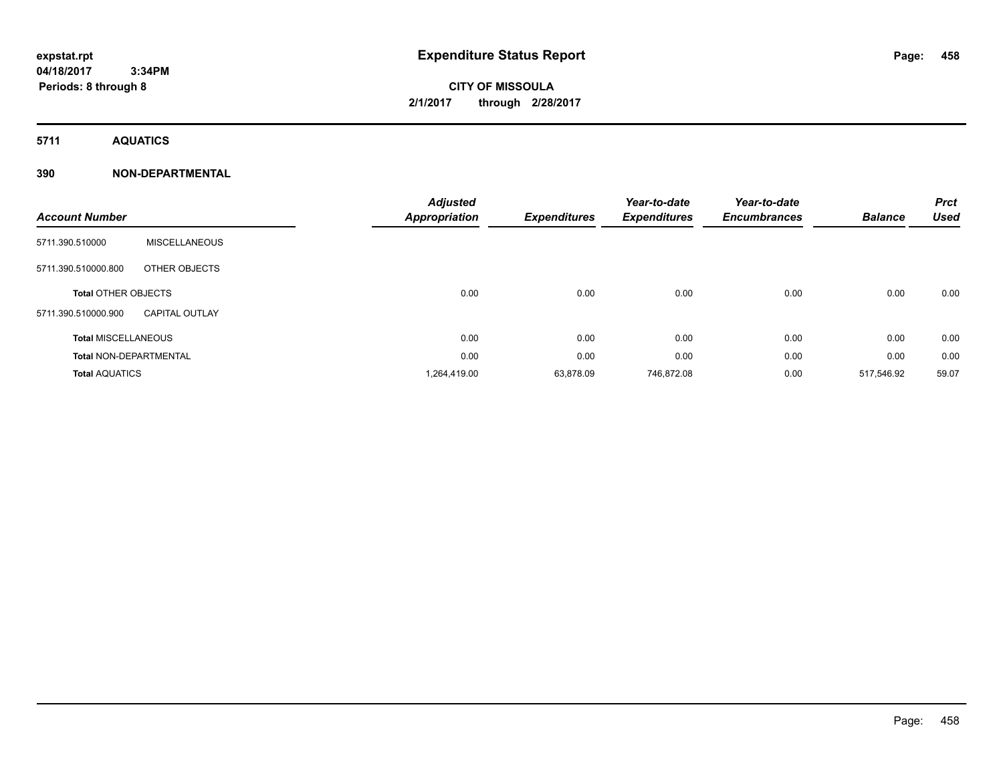# **CITY OF MISSOULA 2/1/2017 through 2/28/2017**

**5711 AQUATICS**

### **390 NON-DEPARTMENTAL**

| <b>Account Number</b>         |                       | <b>Adjusted</b><br>Appropriation | <b>Expenditures</b> | Year-to-date<br><b>Expenditures</b> | Year-to-date<br><b>Encumbrances</b> | <b>Balance</b> | <b>Prct</b><br><b>Used</b> |
|-------------------------------|-----------------------|----------------------------------|---------------------|-------------------------------------|-------------------------------------|----------------|----------------------------|
| 5711.390.510000               | <b>MISCELLANEOUS</b>  |                                  |                     |                                     |                                     |                |                            |
| 5711.390.510000.800           | OTHER OBJECTS         |                                  |                     |                                     |                                     |                |                            |
| <b>Total OTHER OBJECTS</b>    |                       | 0.00                             | 0.00                | 0.00                                | 0.00                                | 0.00           | 0.00                       |
| 5711.390.510000.900           | <b>CAPITAL OUTLAY</b> |                                  |                     |                                     |                                     |                |                            |
| <b>Total MISCELLANEOUS</b>    |                       | 0.00                             | 0.00                | 0.00                                | 0.00                                | 0.00           | 0.00                       |
| <b>Total NON-DEPARTMENTAL</b> |                       | 0.00                             | 0.00                | 0.00                                | 0.00                                | 0.00           | 0.00                       |
| <b>Total AQUATICS</b>         |                       | 1,264,419.00                     | 63,878.09           | 746,872.08                          | 0.00                                | 517,546.92     | 59.07                      |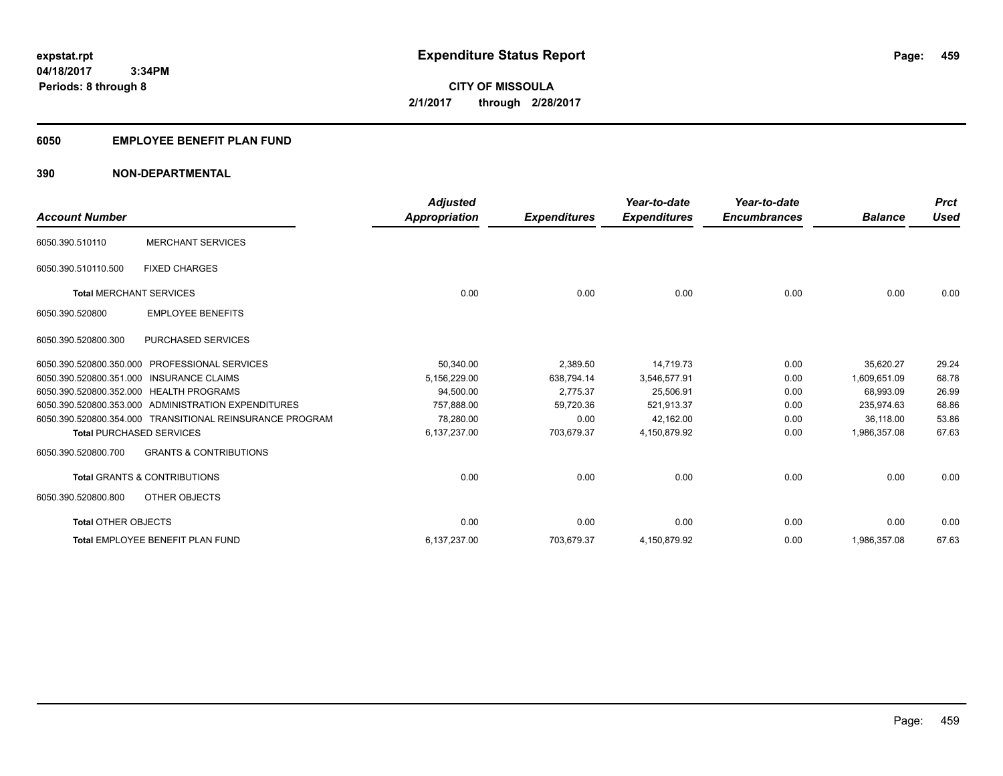**Periods: 8 through 8**

**CITY OF MISSOULA 2/1/2017 through 2/28/2017**

### **6050 EMPLOYEE BENEFIT PLAN FUND**

### **390 NON-DEPARTMENTAL**

| <b>Account Number</b>          |                                                          | <b>Adjusted</b><br>Appropriation | <b>Expenditures</b> | Year-to-date<br><b>Expenditures</b> | Year-to-date<br><b>Encumbrances</b> | <b>Balance</b> | <b>Prct</b><br><b>Used</b> |
|--------------------------------|----------------------------------------------------------|----------------------------------|---------------------|-------------------------------------|-------------------------------------|----------------|----------------------------|
| 6050.390.510110                | <b>MERCHANT SERVICES</b>                                 |                                  |                     |                                     |                                     |                |                            |
| 6050.390.510110.500            | <b>FIXED CHARGES</b>                                     |                                  |                     |                                     |                                     |                |                            |
| <b>Total MERCHANT SERVICES</b> |                                                          | 0.00                             | 0.00                | 0.00                                | 0.00                                | 0.00           | 0.00                       |
| 6050.390.520800                | <b>EMPLOYEE BENEFITS</b>                                 |                                  |                     |                                     |                                     |                |                            |
| 6050.390.520800.300            | <b>PURCHASED SERVICES</b>                                |                                  |                     |                                     |                                     |                |                            |
| 6050.390.520800.350.000        | <b>PROFESSIONAL SERVICES</b>                             | 50,340.00                        | 2,389.50            | 14,719.73                           | 0.00                                | 35,620.27      | 29.24                      |
|                                | 6050.390.520800.351.000 INSURANCE CLAIMS                 | 5,156,229.00                     | 638,794.14          | 3,546,577.91                        | 0.00                                | 1.609.651.09   | 68.78                      |
|                                | 6050.390.520800.352.000 HEALTH PROGRAMS                  | 94,500.00                        | 2,775.37            | 25,506.91                           | 0.00                                | 68,993.09      | 26.99                      |
|                                | 6050.390.520800.353.000 ADMINISTRATION EXPENDITURES      | 757.888.00                       | 59,720.36           | 521,913.37                          | 0.00                                | 235.974.63     | 68.86                      |
|                                | 6050.390.520800.354.000 TRANSITIONAL REINSURANCE PROGRAM | 78,280.00                        | 0.00                | 42,162.00                           | 0.00                                | 36,118.00      | 53.86                      |
|                                | <b>Total PURCHASED SERVICES</b>                          | 6,137,237.00                     | 703,679.37          | 4,150,879.92                        | 0.00                                | 1,986,357.08   | 67.63                      |
| 6050.390.520800.700            | <b>GRANTS &amp; CONTRIBUTIONS</b>                        |                                  |                     |                                     |                                     |                |                            |
|                                | <b>Total GRANTS &amp; CONTRIBUTIONS</b>                  | 0.00                             | 0.00                | 0.00                                | 0.00                                | 0.00           | 0.00                       |
| 6050.390.520800.800            | OTHER OBJECTS                                            |                                  |                     |                                     |                                     |                |                            |
| <b>Total OTHER OBJECTS</b>     |                                                          | 0.00                             | 0.00                | 0.00                                | 0.00                                | 0.00           | 0.00                       |
|                                | <b>Total EMPLOYEE BENEFIT PLAN FUND</b>                  | 6,137,237.00                     | 703,679.37          | 4,150,879.92                        | 0.00                                | 1,986,357.08   | 67.63                      |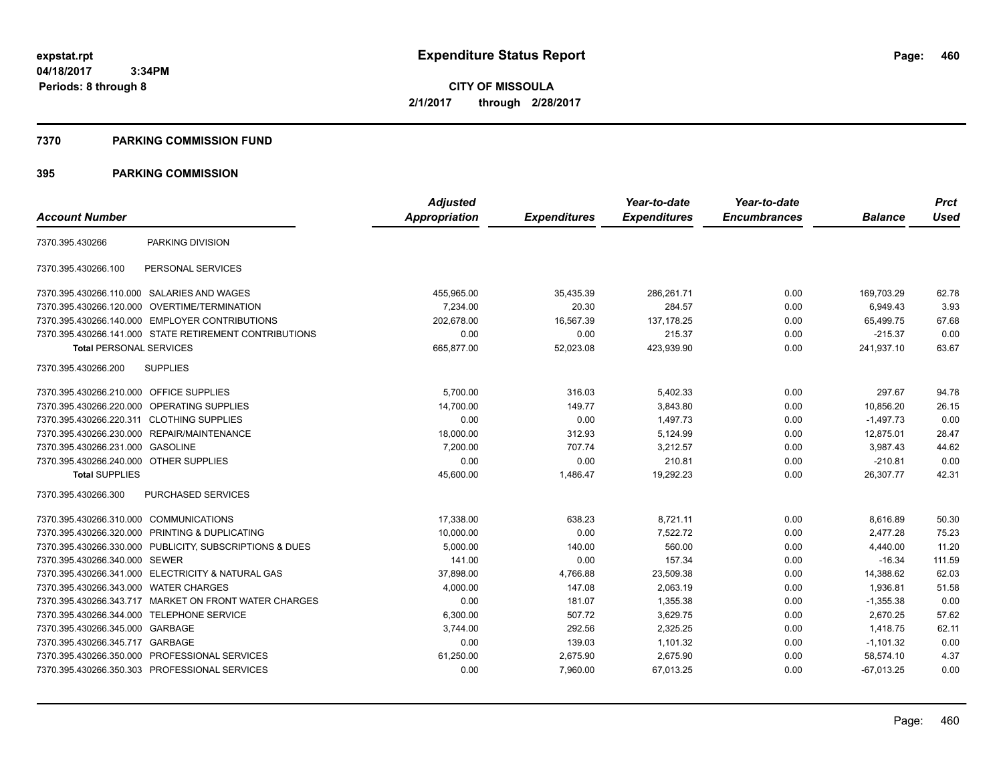**CITY OF MISSOULA 2/1/2017 through 2/28/2017**

### **7370 PARKING COMMISSION FUND**

|                                           |                                                         | <b>Adjusted</b>      |                     | Year-to-date        | Year-to-date        |                | <b>Prct</b> |
|-------------------------------------------|---------------------------------------------------------|----------------------|---------------------|---------------------|---------------------|----------------|-------------|
| <b>Account Number</b>                     |                                                         | <b>Appropriation</b> | <b>Expenditures</b> | <b>Expenditures</b> | <b>Encumbrances</b> | <b>Balance</b> | <b>Used</b> |
| 7370.395.430266                           | PARKING DIVISION                                        |                      |                     |                     |                     |                |             |
| 7370.395.430266.100                       | PERSONAL SERVICES                                       |                      |                     |                     |                     |                |             |
|                                           | 7370.395.430266.110.000 SALARIES AND WAGES              | 455,965.00           | 35,435.39           | 286,261.71          | 0.00                | 169,703.29     | 62.78       |
|                                           | 7370.395.430266.120.000 OVERTIME/TERMINATION            | 7,234.00             | 20.30               | 284.57              | 0.00                | 6,949.43       | 3.93        |
|                                           | 7370.395.430266.140.000 EMPLOYER CONTRIBUTIONS          | 202.678.00           | 16.567.39           | 137.178.25          | 0.00                | 65,499.75      | 67.68       |
|                                           | 7370.395.430266.141.000 STATE RETIREMENT CONTRIBUTIONS  | 0.00                 | 0.00                | 215.37              | 0.00                | $-215.37$      | 0.00        |
| <b>Total PERSONAL SERVICES</b>            |                                                         | 665,877.00           | 52,023.08           | 423,939.90          | 0.00                | 241,937.10     | 63.67       |
| 7370.395.430266.200                       | <b>SUPPLIES</b>                                         |                      |                     |                     |                     |                |             |
| 7370.395.430266.210.000 OFFICE SUPPLIES   |                                                         | 5,700.00             | 316.03              | 5,402.33            | 0.00                | 297.67         | 94.78       |
|                                           | 7370.395.430266.220.000 OPERATING SUPPLIES              | 14,700.00            | 149.77              | 3,843.80            | 0.00                | 10,856.20      | 26.15       |
| 7370.395.430266.220.311 CLOTHING SUPPLIES |                                                         | 0.00                 | 0.00                | 1,497.73            | 0.00                | $-1,497.73$    | 0.00        |
|                                           | 7370.395.430266.230.000 REPAIR/MAINTENANCE              | 18,000.00            | 312.93              | 5,124.99            | 0.00                | 12,875.01      | 28.47       |
| 7370.395.430266.231.000 GASOLINE          |                                                         | 7,200.00             | 707.74              | 3,212.57            | 0.00                | 3,987.43       | 44.62       |
| 7370.395.430266.240.000 OTHER SUPPLIES    |                                                         | 0.00                 | 0.00                | 210.81              | 0.00                | $-210.81$      | 0.00        |
| <b>Total SUPPLIES</b>                     |                                                         | 45,600.00            | 1,486.47            | 19,292.23           | 0.00                | 26,307.77      | 42.31       |
| 7370.395.430266.300                       | <b>PURCHASED SERVICES</b>                               |                      |                     |                     |                     |                |             |
| 7370.395.430266.310.000 COMMUNICATIONS    |                                                         | 17,338.00            | 638.23              | 8,721.11            | 0.00                | 8,616.89       | 50.30       |
|                                           | 7370.395.430266.320.000 PRINTING & DUPLICATING          | 10,000.00            | 0.00                | 7.522.72            | 0.00                | 2.477.28       | 75.23       |
|                                           | 7370.395.430266.330.000 PUBLICITY, SUBSCRIPTIONS & DUES | 5,000.00             | 140.00              | 560.00              | 0.00                | 4,440.00       | 11.20       |
| 7370.395.430266.340.000 SEWER             |                                                         | 141.00               | 0.00                | 157.34              | 0.00                | $-16.34$       | 111.59      |
|                                           | 7370.395.430266.341.000 ELECTRICITY & NATURAL GAS       | 37,898.00            | 4,766.88            | 23,509.38           | 0.00                | 14,388.62      | 62.03       |
| 7370.395.430266.343.000                   | <b>WATER CHARGES</b>                                    | 4,000.00             | 147.08              | 2,063.19            | 0.00                | 1,936.81       | 51.58       |
|                                           | 7370.395.430266.343.717 MARKET ON FRONT WATER CHARGES   | 0.00                 | 181.07              | 1,355.38            | 0.00                | $-1,355.38$    | 0.00        |
| 7370.395.430266.344.000 TELEPHONE SERVICE |                                                         | 6,300.00             | 507.72              | 3,629.75            | 0.00                | 2,670.25       | 57.62       |
| 7370.395.430266.345.000 GARBAGE           |                                                         | 3,744.00             | 292.56              | 2,325.25            | 0.00                | 1,418.75       | 62.11       |
| 7370.395.430266.345.717 GARBAGE           |                                                         | 0.00                 | 139.03              | 1,101.32            | 0.00                | $-1,101.32$    | 0.00        |
|                                           | 7370.395.430266.350.000 PROFESSIONAL SERVICES           | 61,250.00            | 2,675.90            | 2,675.90            | 0.00                | 58,574.10      | 4.37        |
|                                           | 7370.395.430266.350.303 PROFESSIONAL SERVICES           | 0.00                 | 7,960.00            | 67,013.25           | 0.00                | $-67,013.25$   | 0.00        |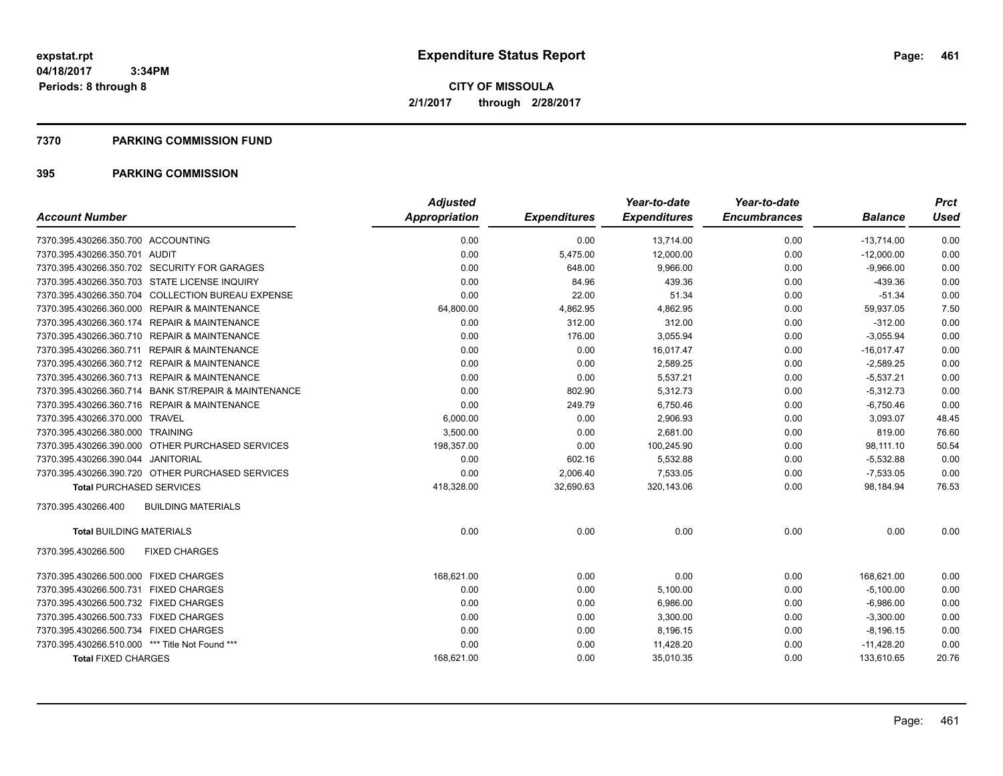### **7370 PARKING COMMISSION FUND**

|                                                      | <b>Adjusted</b> |                     | Year-to-date        | Year-to-date        |                | <b>Prct</b> |
|------------------------------------------------------|-----------------|---------------------|---------------------|---------------------|----------------|-------------|
| <b>Account Number</b>                                | Appropriation   | <b>Expenditures</b> | <b>Expenditures</b> | <b>Encumbrances</b> | <b>Balance</b> | <b>Used</b> |
| 7370.395.430266.350.700 ACCOUNTING                   | 0.00            | 0.00                | 13,714.00           | 0.00                | $-13,714.00$   | 0.00        |
| 7370.395.430266.350.701 AUDIT                        | 0.00            | 5,475.00            | 12,000.00           | 0.00                | $-12,000.00$   | 0.00        |
| 7370.395.430266.350.702 SECURITY FOR GARAGES         | 0.00            | 648.00              | 9.966.00            | 0.00                | $-9,966.00$    | 0.00        |
| 7370.395.430266.350.703 STATE LICENSE INQUIRY        | 0.00            | 84.96               | 439.36              | 0.00                | $-439.36$      | 0.00        |
| 7370.395.430266.350.704 COLLECTION BUREAU EXPENSE    | 0.00            | 22.00               | 51.34               | 0.00                | $-51.34$       | 0.00        |
| 7370.395.430266.360.000 REPAIR & MAINTENANCE         | 64,800.00       | 4,862.95            | 4,862.95            | 0.00                | 59,937.05      | 7.50        |
| 7370.395.430266.360.174 REPAIR & MAINTENANCE         | 0.00            | 312.00              | 312.00              | 0.00                | $-312.00$      | 0.00        |
| 7370.395.430266.360.710 REPAIR & MAINTENANCE         | 0.00            | 176.00              | 3,055.94            | 0.00                | $-3,055.94$    | 0.00        |
| 7370.395.430266.360.711 REPAIR & MAINTENANCE         | 0.00            | 0.00                | 16.017.47           | 0.00                | $-16.017.47$   | 0.00        |
| 7370.395.430266.360.712 REPAIR & MAINTENANCE         | 0.00            | 0.00                | 2,589.25            | 0.00                | $-2,589.25$    | 0.00        |
| 7370.395.430266.360.713 REPAIR & MAINTENANCE         | 0.00            | 0.00                | 5,537.21            | 0.00                | $-5,537.21$    | 0.00        |
| 7370.395.430266.360.714 BANK ST/REPAIR & MAINTENANCE | 0.00            | 802.90              | 5,312.73            | 0.00                | $-5,312.73$    | 0.00        |
| 7370.395.430266.360.716 REPAIR & MAINTENANCE         | 0.00            | 249.79              | 6,750.46            | 0.00                | $-6,750.46$    | 0.00        |
| 7370.395.430266.370.000 TRAVEL                       | 6,000.00        | 0.00                | 2,906.93            | 0.00                | 3,093.07       | 48.45       |
| 7370.395.430266.380.000 TRAINING                     | 3,500.00        | 0.00                | 2,681.00            | 0.00                | 819.00         | 76.60       |
| 7370.395.430266.390.000 OTHER PURCHASED SERVICES     | 198,357.00      | 0.00                | 100,245.90          | 0.00                | 98,111.10      | 50.54       |
| 7370.395.430266.390.044 JANITORIAL                   | 0.00            | 602.16              | 5,532.88            | 0.00                | $-5,532.88$    | 0.00        |
| 7370.395.430266.390.720 OTHER PURCHASED SERVICES     | 0.00            | 2,006.40            | 7,533.05            | 0.00                | $-7,533.05$    | 0.00        |
| <b>Total PURCHASED SERVICES</b>                      | 418,328.00      | 32,690.63           | 320,143.06          | 0.00                | 98,184.94      | 76.53       |
| 7370.395.430266.400<br><b>BUILDING MATERIALS</b>     |                 |                     |                     |                     |                |             |
| <b>Total BUILDING MATERIALS</b>                      | 0.00            | 0.00                | 0.00                | 0.00                | 0.00           | 0.00        |
| 7370.395.430266.500<br><b>FIXED CHARGES</b>          |                 |                     |                     |                     |                |             |
| 7370.395.430266.500.000 FIXED CHARGES                | 168,621.00      | 0.00                | 0.00                | 0.00                | 168,621.00     | 0.00        |
| 7370.395.430266.500.731 FIXED CHARGES                | 0.00            | 0.00                | 5,100.00            | 0.00                | $-5,100.00$    | 0.00        |
| 7370.395.430266.500.732 FIXED CHARGES                | 0.00            | 0.00                | 6,986.00            | 0.00                | $-6,986.00$    | 0.00        |
| 7370.395.430266.500.733 FIXED CHARGES                | 0.00            | 0.00                | 3,300.00            | 0.00                | $-3,300.00$    | 0.00        |
| 7370.395.430266.500.734 FIXED CHARGES                | 0.00            | 0.00                | 8,196.15            | 0.00                | $-8,196.15$    | 0.00        |
| 7370.395.430266.510.000 *** Title Not Found ***      | 0.00            | 0.00                | 11,428.20           | 0.00                | $-11,428.20$   | 0.00        |
| <b>Total FIXED CHARGES</b>                           | 168,621.00      | 0.00                | 35,010.35           | 0.00                | 133,610.65     | 20.76       |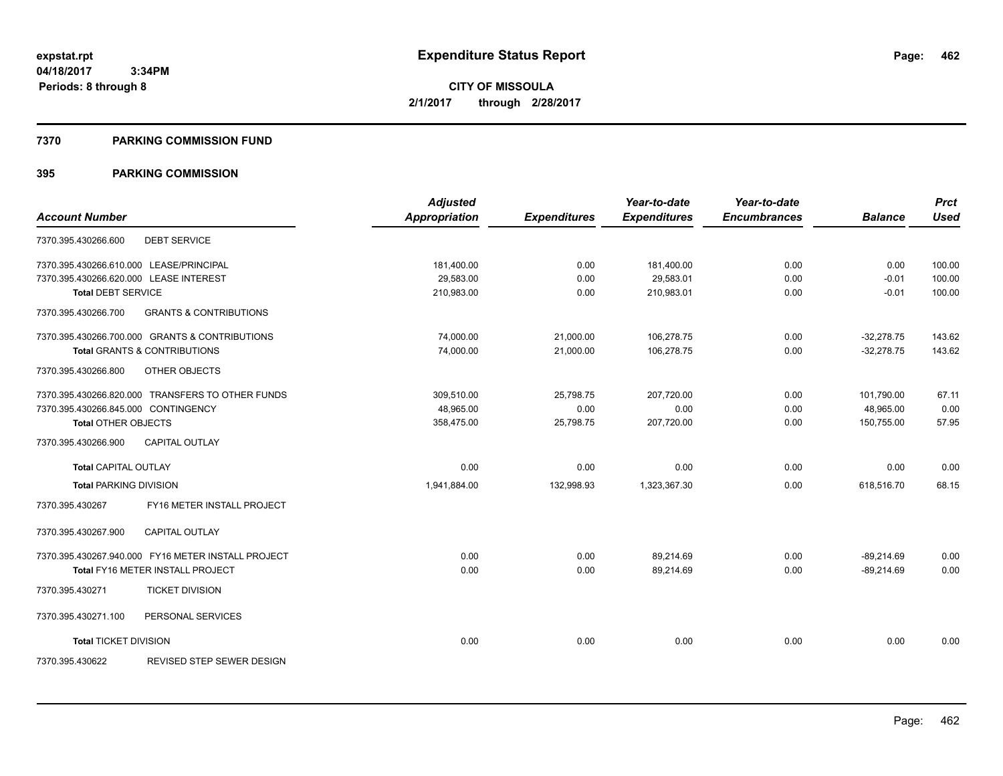### **7370 PARKING COMMISSION FUND**

|                                                          | <b>Adjusted</b>      |                     | Year-to-date        | Year-to-date        |                | <b>Prct</b> |
|----------------------------------------------------------|----------------------|---------------------|---------------------|---------------------|----------------|-------------|
| <b>Account Number</b>                                    | <b>Appropriation</b> | <b>Expenditures</b> | <b>Expenditures</b> | <b>Encumbrances</b> | <b>Balance</b> | <b>Used</b> |
| <b>DEBT SERVICE</b><br>7370.395.430266.600               |                      |                     |                     |                     |                |             |
| 7370.395.430266.610.000 LEASE/PRINCIPAL                  | 181,400.00           | 0.00                | 181,400.00          | 0.00                | 0.00           | 100.00      |
| 7370.395.430266.620.000 LEASE INTEREST                   | 29,583.00            | 0.00                | 29,583.01           | 0.00                | $-0.01$        | 100.00      |
| <b>Total DEBT SERVICE</b>                                | 210,983.00           | 0.00                | 210,983.01          | 0.00                | $-0.01$        | 100.00      |
| 7370.395.430266.700<br><b>GRANTS &amp; CONTRIBUTIONS</b> |                      |                     |                     |                     |                |             |
| 7370.395.430266.700.000 GRANTS & CONTRIBUTIONS           | 74,000.00            | 21,000.00           | 106,278.75          | 0.00                | $-32.278.75$   | 143.62      |
| <b>Total GRANTS &amp; CONTRIBUTIONS</b>                  | 74.000.00            | 21.000.00           | 106.278.75          | 0.00                | $-32.278.75$   | 143.62      |
| 7370.395.430266.800<br>OTHER OBJECTS                     |                      |                     |                     |                     |                |             |
| 7370.395.430266.820.000 TRANSFERS TO OTHER FUNDS         | 309,510.00           | 25,798.75           | 207,720.00          | 0.00                | 101,790.00     | 67.11       |
| 7370.395.430266.845.000 CONTINGENCY                      | 48,965.00            | 0.00                | 0.00                | 0.00                | 48,965.00      | 0.00        |
| <b>Total OTHER OBJECTS</b>                               | 358,475.00           | 25,798.75           | 207,720.00          | 0.00                | 150,755.00     | 57.95       |
| 7370.395.430266.900<br><b>CAPITAL OUTLAY</b>             |                      |                     |                     |                     |                |             |
| <b>Total CAPITAL OUTLAY</b>                              | 0.00                 | 0.00                | 0.00                | 0.00                | 0.00           | 0.00        |
| <b>Total PARKING DIVISION</b>                            | 1,941,884.00         | 132,998.93          | 1,323,367.30        | 0.00                | 618,516.70     | 68.15       |
| FY16 METER INSTALL PROJECT<br>7370.395.430267            |                      |                     |                     |                     |                |             |
| 7370.395.430267.900<br><b>CAPITAL OUTLAY</b>             |                      |                     |                     |                     |                |             |
| 7370.395.430267.940.000 FY16 METER INSTALL PROJECT       | 0.00                 | 0.00                | 89.214.69           | 0.00                | $-89,214.69$   | 0.00        |
| Total FY16 METER INSTALL PROJECT                         | 0.00                 | 0.00                | 89,214.69           | 0.00                | $-89,214.69$   | 0.00        |
| <b>TICKET DIVISION</b><br>7370.395.430271                |                      |                     |                     |                     |                |             |
| 7370.395.430271.100<br>PERSONAL SERVICES                 |                      |                     |                     |                     |                |             |
| <b>Total TICKET DIVISION</b>                             | 0.00                 | 0.00                | 0.00                | 0.00                | 0.00           | 0.00        |
| 7370.395.430622<br>REVISED STEP SEWER DESIGN             |                      |                     |                     |                     |                |             |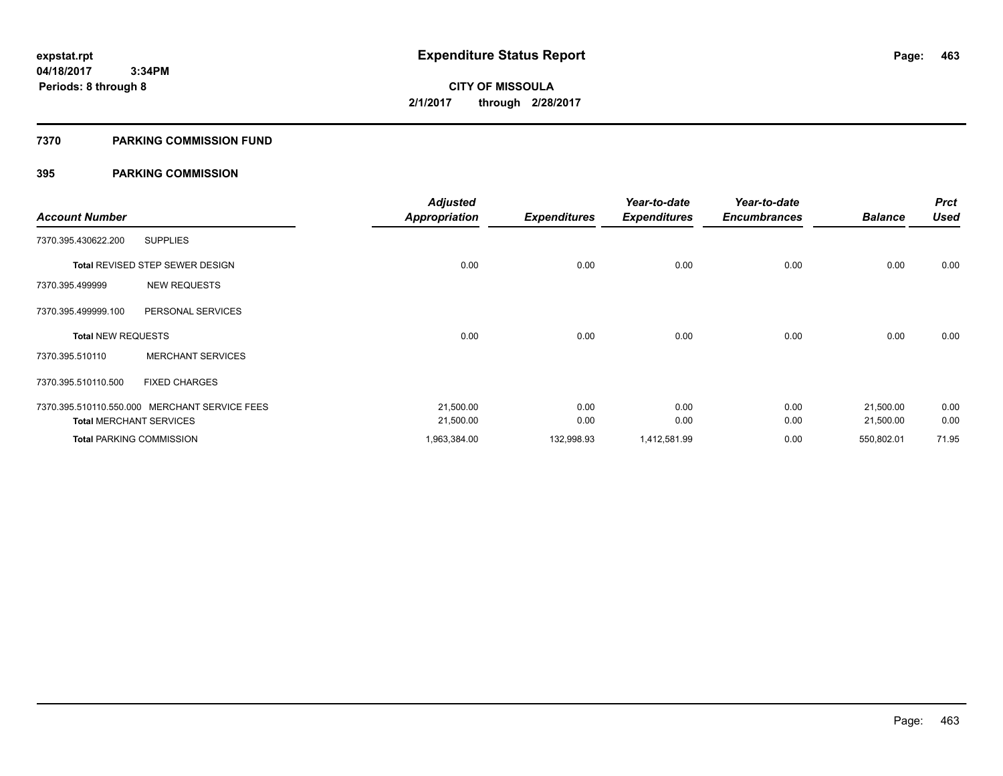### **7370 PARKING COMMISSION FUND**

|                           |                                               | <b>Adjusted</b>      |                     | Year-to-date        | Year-to-date        |                | <b>Prct</b> |
|---------------------------|-----------------------------------------------|----------------------|---------------------|---------------------|---------------------|----------------|-------------|
| <b>Account Number</b>     |                                               | <b>Appropriation</b> | <b>Expenditures</b> | <b>Expenditures</b> | <b>Encumbrances</b> | <b>Balance</b> | <b>Used</b> |
| 7370.395.430622.200       | <b>SUPPLIES</b>                               |                      |                     |                     |                     |                |             |
|                           | <b>Total REVISED STEP SEWER DESIGN</b>        | 0.00                 | 0.00                | 0.00                | 0.00                | 0.00           | 0.00        |
| 7370.395.499999           | <b>NEW REQUESTS</b>                           |                      |                     |                     |                     |                |             |
| 7370.395.499999.100       | PERSONAL SERVICES                             |                      |                     |                     |                     |                |             |
| <b>Total NEW REQUESTS</b> |                                               | 0.00                 | 0.00                | 0.00                | 0.00                | 0.00           | 0.00        |
| 7370.395.510110           | <b>MERCHANT SERVICES</b>                      |                      |                     |                     |                     |                |             |
| 7370.395.510110.500       | <b>FIXED CHARGES</b>                          |                      |                     |                     |                     |                |             |
|                           | 7370.395.510110.550.000 MERCHANT SERVICE FEES | 21,500.00            | 0.00                | 0.00                | 0.00                | 21,500.00      | 0.00        |
|                           | <b>Total MERCHANT SERVICES</b>                | 21,500.00            | 0.00                | 0.00                | 0.00                | 21,500.00      | 0.00        |
|                           | <b>Total PARKING COMMISSION</b>               | 1,963,384.00         | 132,998.93          | 1,412,581.99        | 0.00                | 550,802.01     | 71.95       |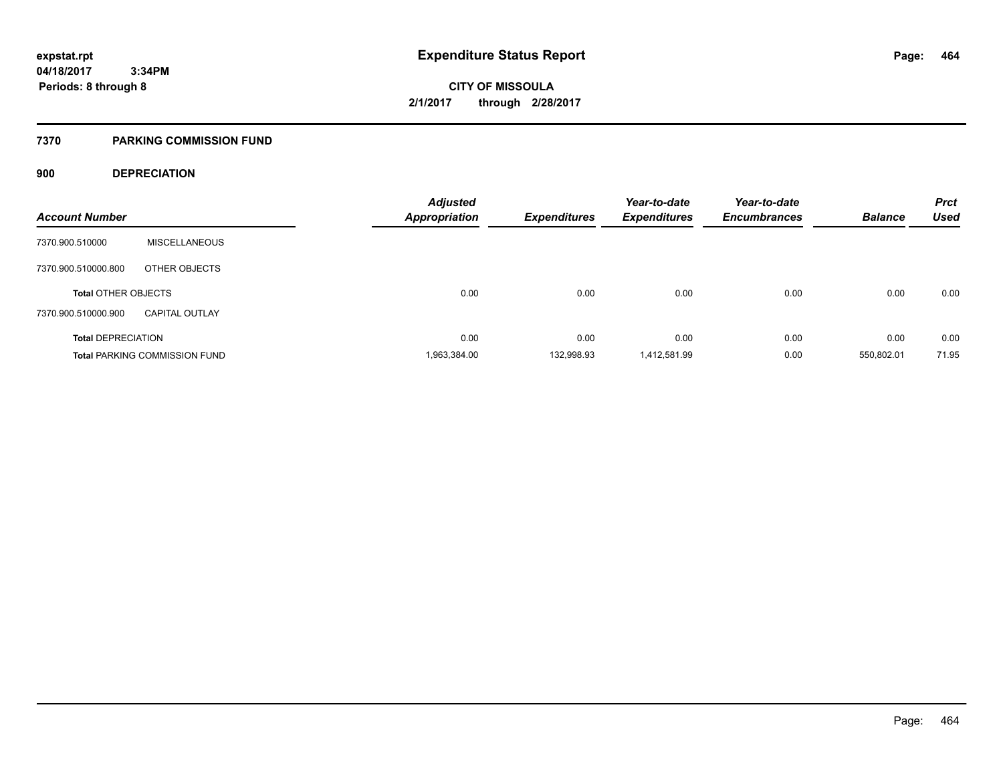### **7370 PARKING COMMISSION FUND**

### **900 DEPRECIATION**

|                            |                                      | <b>Adjusted</b>      |                     | Year-to-date        | Year-to-date        |                | <b>Prct</b> |
|----------------------------|--------------------------------------|----------------------|---------------------|---------------------|---------------------|----------------|-------------|
| <b>Account Number</b>      |                                      | <b>Appropriation</b> | <b>Expenditures</b> | <b>Expenditures</b> | <b>Encumbrances</b> | <b>Balance</b> | <b>Used</b> |
| 7370.900.510000            | <b>MISCELLANEOUS</b>                 |                      |                     |                     |                     |                |             |
| 7370.900.510000.800        | OTHER OBJECTS                        |                      |                     |                     |                     |                |             |
| <b>Total OTHER OBJECTS</b> |                                      | 0.00                 | 0.00                | 0.00                | 0.00                | 0.00           | 0.00        |
| 7370.900.510000.900        | <b>CAPITAL OUTLAY</b>                |                      |                     |                     |                     |                |             |
| <b>Total DEPRECIATION</b>  |                                      | 0.00                 | 0.00                | 0.00                | 0.00                | 0.00           | 0.00        |
|                            | <b>Total PARKING COMMISSION FUND</b> | 1,963,384.00         | 132,998.93          | 1,412,581.99        | 0.00                | 550,802.01     | 71.95       |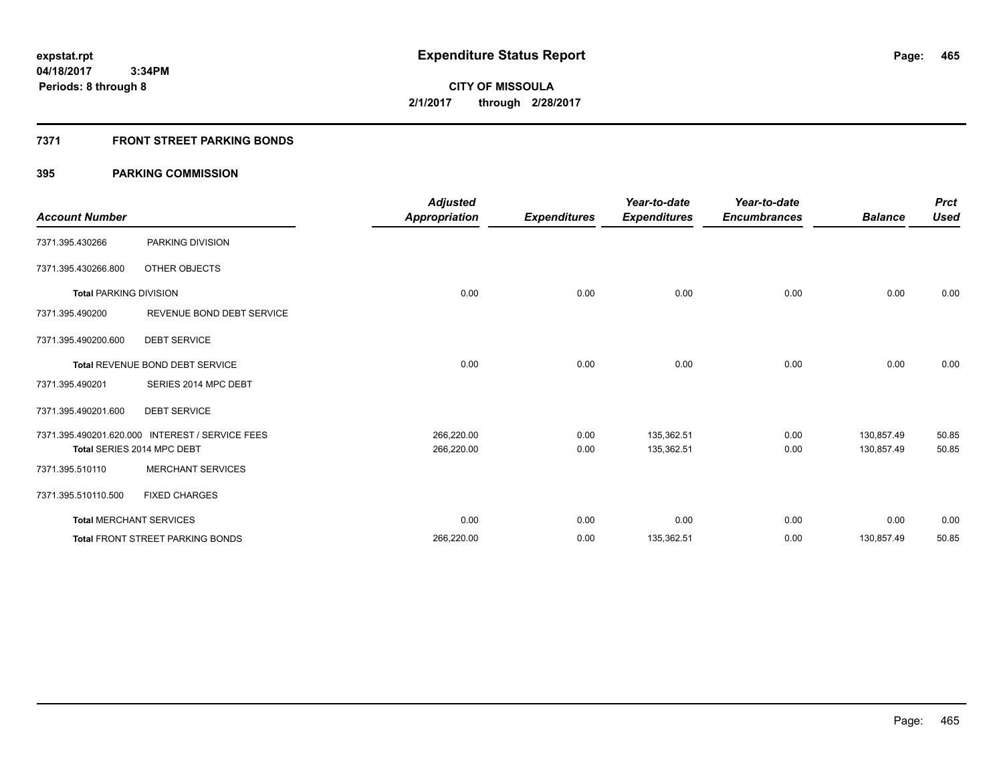### **7371 FRONT STREET PARKING BONDS**

| <b>Account Number</b>         |                                                 | <b>Adjusted</b><br><b>Appropriation</b> | <b>Expenditures</b> | Year-to-date<br><b>Expenditures</b> | Year-to-date<br><b>Encumbrances</b> | <b>Balance</b> | <b>Prct</b><br><b>Used</b> |
|-------------------------------|-------------------------------------------------|-----------------------------------------|---------------------|-------------------------------------|-------------------------------------|----------------|----------------------------|
| 7371.395.430266               | PARKING DIVISION                                |                                         |                     |                                     |                                     |                |                            |
| 7371.395.430266.800           | OTHER OBJECTS                                   |                                         |                     |                                     |                                     |                |                            |
| <b>Total PARKING DIVISION</b> |                                                 | 0.00                                    | 0.00                | 0.00                                | 0.00                                | 0.00           | 0.00                       |
| 7371.395.490200               | REVENUE BOND DEBT SERVICE                       |                                         |                     |                                     |                                     |                |                            |
| 7371.395.490200.600           | <b>DEBT SERVICE</b>                             |                                         |                     |                                     |                                     |                |                            |
|                               | <b>Total REVENUE BOND DEBT SERVICE</b>          | 0.00                                    | 0.00                | 0.00                                | 0.00                                | 0.00           | 0.00                       |
| 7371.395.490201               | SERIES 2014 MPC DEBT                            |                                         |                     |                                     |                                     |                |                            |
| 7371.395.490201.600           | <b>DEBT SERVICE</b>                             |                                         |                     |                                     |                                     |                |                            |
|                               | 7371.395.490201.620.000 INTEREST / SERVICE FEES | 266,220.00                              | 0.00                | 135,362.51                          | 0.00                                | 130.857.49     | 50.85                      |
|                               | Total SERIES 2014 MPC DEBT                      | 266,220.00                              | 0.00                | 135,362.51                          | 0.00                                | 130,857.49     | 50.85                      |
| 7371.395.510110               | <b>MERCHANT SERVICES</b>                        |                                         |                     |                                     |                                     |                |                            |
| 7371.395.510110.500           | <b>FIXED CHARGES</b>                            |                                         |                     |                                     |                                     |                |                            |
|                               | <b>Total MERCHANT SERVICES</b>                  | 0.00                                    | 0.00                | 0.00                                | 0.00                                | 0.00           | 0.00                       |
|                               | <b>Total FRONT STREET PARKING BONDS</b>         | 266,220.00                              | 0.00                | 135,362.51                          | 0.00                                | 130,857.49     | 50.85                      |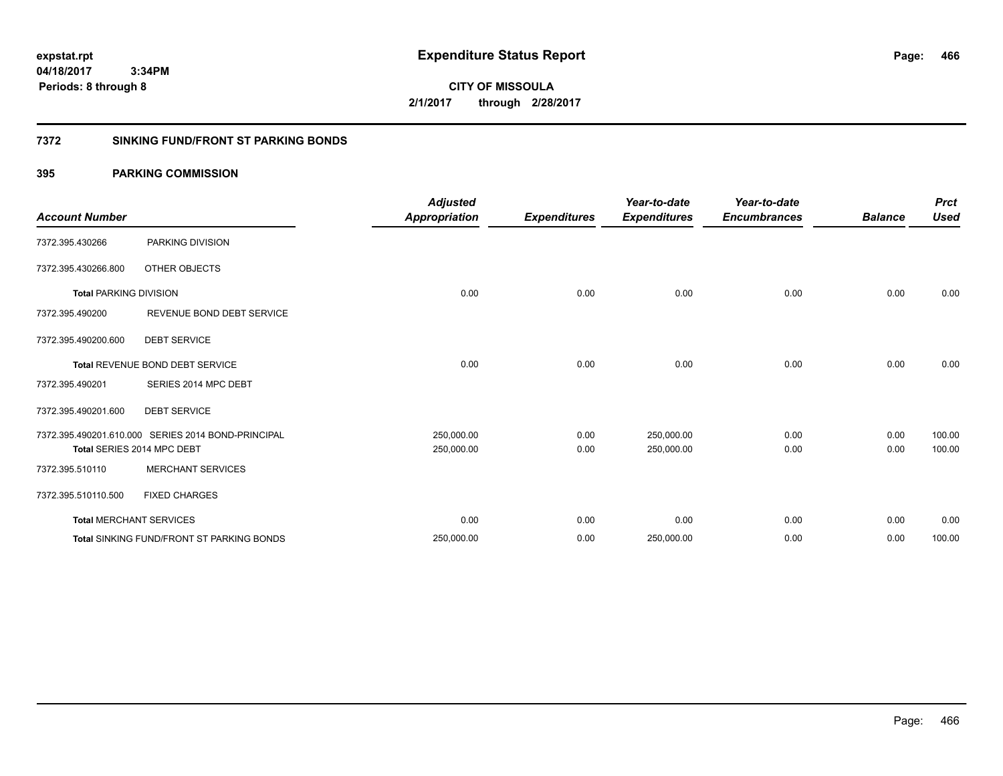**466**

**CITY OF MISSOULA 2/1/2017 through 2/28/2017**

### **7372 SINKING FUND/FRONT ST PARKING BONDS**

|                               |                                                    | <b>Adjusted</b>      |                     | Year-to-date        | Year-to-date        |                | <b>Prct</b> |
|-------------------------------|----------------------------------------------------|----------------------|---------------------|---------------------|---------------------|----------------|-------------|
| <b>Account Number</b>         |                                                    | <b>Appropriation</b> | <b>Expenditures</b> | <b>Expenditures</b> | <b>Encumbrances</b> | <b>Balance</b> | Used        |
| 7372.395.430266               | PARKING DIVISION                                   |                      |                     |                     |                     |                |             |
| 7372.395.430266.800           | OTHER OBJECTS                                      |                      |                     |                     |                     |                |             |
| <b>Total PARKING DIVISION</b> |                                                    | 0.00                 | 0.00                | 0.00                | 0.00                | 0.00           | 0.00        |
| 7372.395.490200               | REVENUE BOND DEBT SERVICE                          |                      |                     |                     |                     |                |             |
| 7372.395.490200.600           | <b>DEBT SERVICE</b>                                |                      |                     |                     |                     |                |             |
|                               | Total REVENUE BOND DEBT SERVICE                    | 0.00                 | 0.00                | 0.00                | 0.00                | 0.00           | 0.00        |
| 7372.395.490201               | SERIES 2014 MPC DEBT                               |                      |                     |                     |                     |                |             |
| 7372.395.490201.600           | <b>DEBT SERVICE</b>                                |                      |                     |                     |                     |                |             |
|                               | 7372.395.490201.610.000 SERIES 2014 BOND-PRINCIPAL | 250,000.00           | 0.00                | 250,000.00          | 0.00                | 0.00           | 100.00      |
|                               | Total SERIES 2014 MPC DEBT                         | 250,000.00           | 0.00                | 250,000.00          | 0.00                | 0.00           | 100.00      |
| 7372.395.510110               | <b>MERCHANT SERVICES</b>                           |                      |                     |                     |                     |                |             |
| 7372.395.510110.500           | <b>FIXED CHARGES</b>                               |                      |                     |                     |                     |                |             |
|                               | <b>Total MERCHANT SERVICES</b>                     | 0.00                 | 0.00                | 0.00                | 0.00                | 0.00           | 0.00        |
|                               | <b>Total SINKING FUND/FRONT ST PARKING BONDS</b>   | 250,000.00           | 0.00                | 250,000.00          | 0.00                | 0.00           | 100.00      |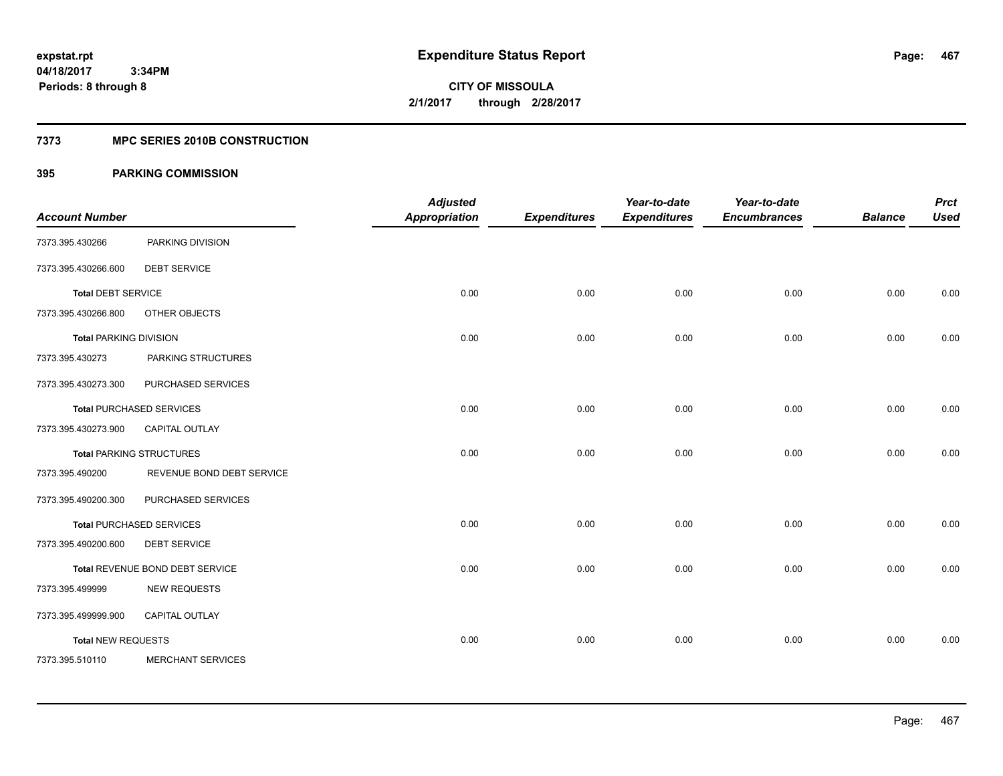**Periods: 8 through 8**

**467**

**CITY OF MISSOULA 2/1/2017 through 2/28/2017**

### **7373 MPC SERIES 2010B CONSTRUCTION**

### **395 PARKING COMMISSION**

 **3:34PM**

| <b>Account Number</b>         |                                 | <b>Adjusted</b><br><b>Appropriation</b> | <b>Expenditures</b> | Year-to-date<br><b>Expenditures</b> | Year-to-date<br><b>Encumbrances</b> | <b>Balance</b> | <b>Prct</b><br><b>Used</b> |
|-------------------------------|---------------------------------|-----------------------------------------|---------------------|-------------------------------------|-------------------------------------|----------------|----------------------------|
| 7373.395.430266               | PARKING DIVISION                |                                         |                     |                                     |                                     |                |                            |
| 7373.395.430266.600           | <b>DEBT SERVICE</b>             |                                         |                     |                                     |                                     |                |                            |
| <b>Total DEBT SERVICE</b>     |                                 | 0.00                                    | 0.00                | 0.00                                | 0.00                                | 0.00           | 0.00                       |
| 7373.395.430266.800           | OTHER OBJECTS                   |                                         |                     |                                     |                                     |                |                            |
| <b>Total PARKING DIVISION</b> |                                 | 0.00                                    | 0.00                | 0.00                                | 0.00                                | 0.00           | 0.00                       |
| 7373.395.430273               | PARKING STRUCTURES              |                                         |                     |                                     |                                     |                |                            |
| 7373.395.430273.300           | PURCHASED SERVICES              |                                         |                     |                                     |                                     |                |                            |
|                               | <b>Total PURCHASED SERVICES</b> | 0.00                                    | 0.00                | 0.00                                | 0.00                                | 0.00           | 0.00                       |
| 7373.395.430273.900           | CAPITAL OUTLAY                  |                                         |                     |                                     |                                     |                |                            |
|                               | <b>Total PARKING STRUCTURES</b> | 0.00                                    | 0.00                | 0.00                                | 0.00                                | 0.00           | 0.00                       |
| 7373.395.490200               | REVENUE BOND DEBT SERVICE       |                                         |                     |                                     |                                     |                |                            |
| 7373.395.490200.300           | PURCHASED SERVICES              |                                         |                     |                                     |                                     |                |                            |
|                               | <b>Total PURCHASED SERVICES</b> | 0.00                                    | 0.00                | 0.00                                | 0.00                                | 0.00           | 0.00                       |
| 7373.395.490200.600           | <b>DEBT SERVICE</b>             |                                         |                     |                                     |                                     |                |                            |
|                               | Total REVENUE BOND DEBT SERVICE | 0.00                                    | 0.00                | 0.00                                | 0.00                                | 0.00           | 0.00                       |
| 7373.395.499999               | <b>NEW REQUESTS</b>             |                                         |                     |                                     |                                     |                |                            |
| 7373.395.499999.900           | CAPITAL OUTLAY                  |                                         |                     |                                     |                                     |                |                            |
| <b>Total NEW REQUESTS</b>     |                                 | 0.00                                    | 0.00                | 0.00                                | 0.00                                | 0.00           | 0.00                       |
| 7373.395.510110               | <b>MERCHANT SERVICES</b>        |                                         |                     |                                     |                                     |                |                            |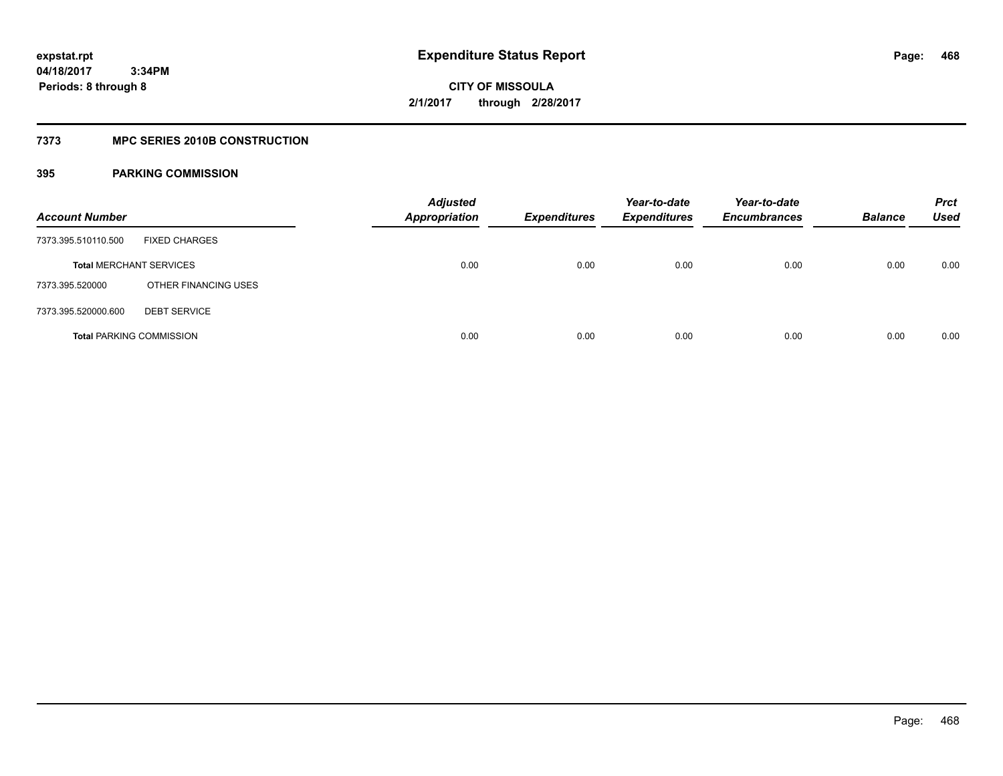### **7373 MPC SERIES 2010B CONSTRUCTION**

| <b>Account Number</b>          |                                 | <b>Adjusted</b><br><b>Appropriation</b> | <b>Expenditures</b> | Year-to-date<br><b>Expenditures</b> | Year-to-date<br><b>Encumbrances</b> | <b>Balance</b> | <b>Prct</b><br>Used |
|--------------------------------|---------------------------------|-----------------------------------------|---------------------|-------------------------------------|-------------------------------------|----------------|---------------------|
| 7373.395.510110.500            | <b>FIXED CHARGES</b>            |                                         |                     |                                     |                                     |                |                     |
| <b>Total MERCHANT SERVICES</b> |                                 | 0.00                                    | 0.00                | 0.00                                | 0.00                                | 0.00           | 0.00                |
| 7373.395.520000                | OTHER FINANCING USES            |                                         |                     |                                     |                                     |                |                     |
| 7373.395.520000.600            | <b>DEBT SERVICE</b>             |                                         |                     |                                     |                                     |                |                     |
|                                | <b>Total PARKING COMMISSION</b> | 0.00                                    | 0.00                | 0.00                                | 0.00                                | 0.00           | 0.00                |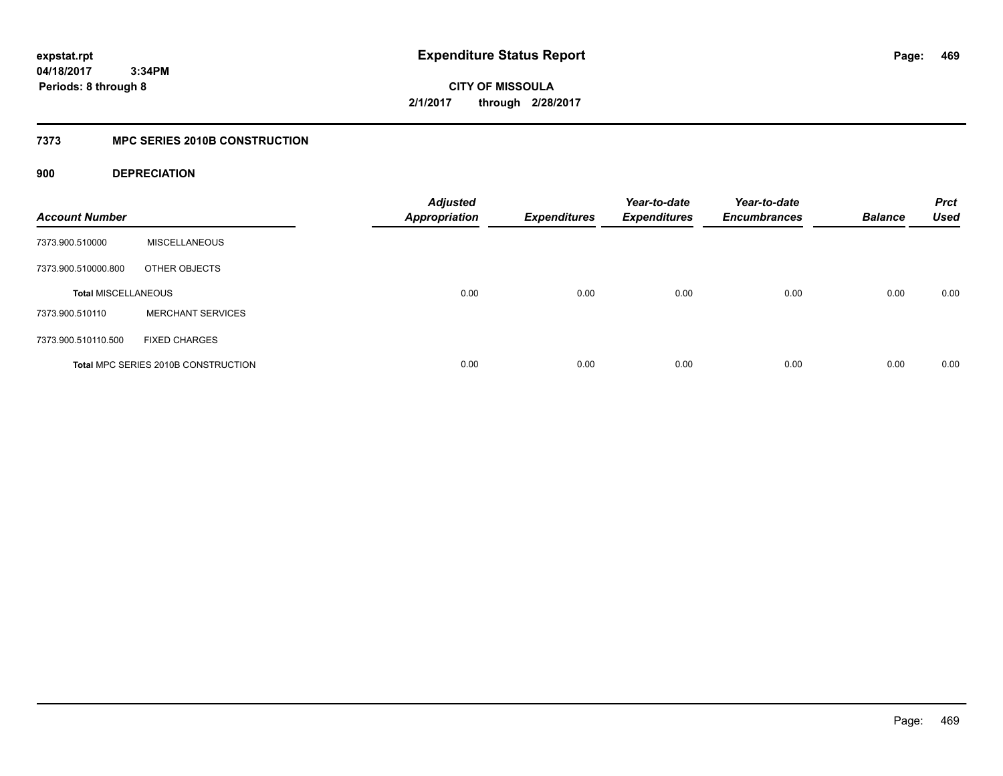**CITY OF MISSOULA 2/1/2017 through 2/28/2017**

### **7373 MPC SERIES 2010B CONSTRUCTION**

### **900 DEPRECIATION**

| <b>Account Number</b>      |                                     | <b>Adjusted</b><br><b>Appropriation</b> | <b>Expenditures</b> | Year-to-date<br><b>Expenditures</b> | Year-to-date<br><b>Encumbrances</b> | <b>Balance</b> | <b>Prct</b><br><b>Used</b> |
|----------------------------|-------------------------------------|-----------------------------------------|---------------------|-------------------------------------|-------------------------------------|----------------|----------------------------|
| 7373.900.510000            | <b>MISCELLANEOUS</b>                |                                         |                     |                                     |                                     |                |                            |
| 7373.900.510000.800        | OTHER OBJECTS                       |                                         |                     |                                     |                                     |                |                            |
| <b>Total MISCELLANEOUS</b> |                                     | 0.00                                    | 0.00                | 0.00                                | 0.00                                | 0.00           | 0.00                       |
| 7373.900.510110            | <b>MERCHANT SERVICES</b>            |                                         |                     |                                     |                                     |                |                            |
| 7373.900.510110.500        | <b>FIXED CHARGES</b>                |                                         |                     |                                     |                                     |                |                            |
|                            | Total MPC SERIES 2010B CONSTRUCTION | 0.00                                    | 0.00                | 0.00                                | 0.00                                | 0.00           | 0.00                       |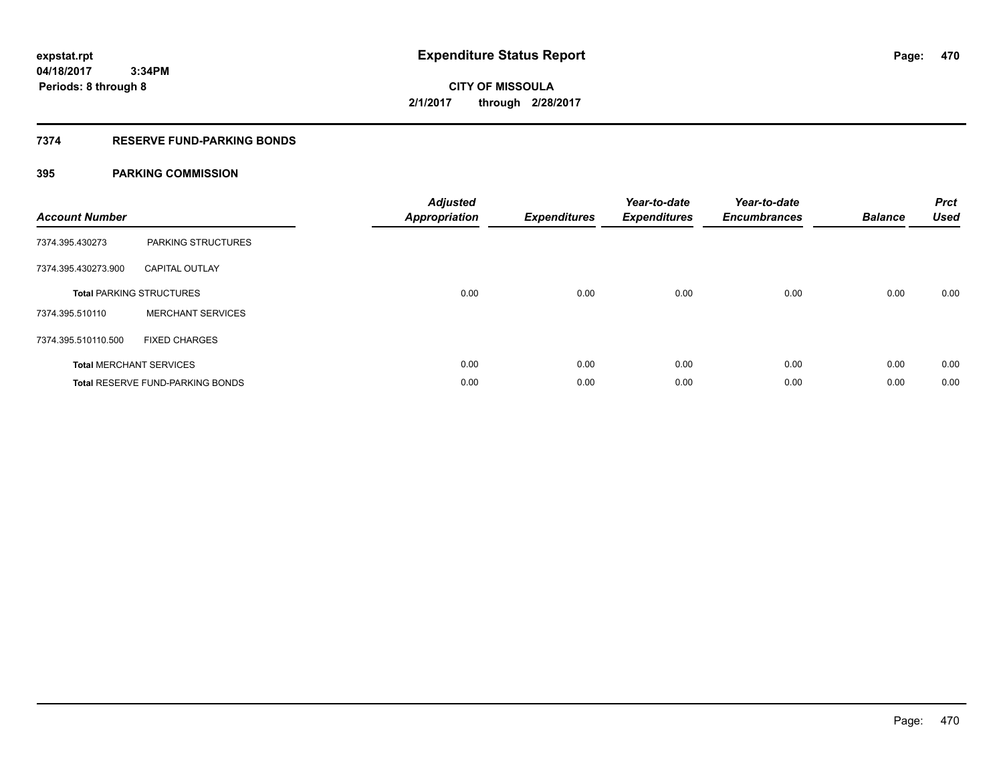## **CITY OF MISSOULA 2/1/2017 through 2/28/2017**

### **7374 RESERVE FUND-PARKING BONDS**

### **395 PARKING COMMISSION**

| <b>Account Number</b> |                                  | <b>Adjusted</b><br>Appropriation | <b>Expenditures</b> | Year-to-date<br><b>Expenditures</b> | Year-to-date<br><b>Encumbrances</b> | <b>Balance</b> | <b>Prct</b><br><b>Used</b> |
|-----------------------|----------------------------------|----------------------------------|---------------------|-------------------------------------|-------------------------------------|----------------|----------------------------|
| 7374.395.430273       | <b>PARKING STRUCTURES</b>        |                                  |                     |                                     |                                     |                |                            |
| 7374.395.430273.900   | <b>CAPITAL OUTLAY</b>            |                                  |                     |                                     |                                     |                |                            |
|                       | <b>Total PARKING STRUCTURES</b>  | 0.00                             | 0.00                | 0.00                                | 0.00                                | 0.00           | 0.00                       |
| 7374.395.510110       | <b>MERCHANT SERVICES</b>         |                                  |                     |                                     |                                     |                |                            |
| 7374.395.510110.500   | <b>FIXED CHARGES</b>             |                                  |                     |                                     |                                     |                |                            |
|                       | <b>Total MERCHANT SERVICES</b>   | 0.00                             | 0.00                | 0.00                                | 0.00                                | 0.00           | 0.00                       |
|                       | Total RESERVE FUND-PARKING BONDS | 0.00                             | 0.00                | 0.00                                | 0.00                                | 0.00           | 0.00                       |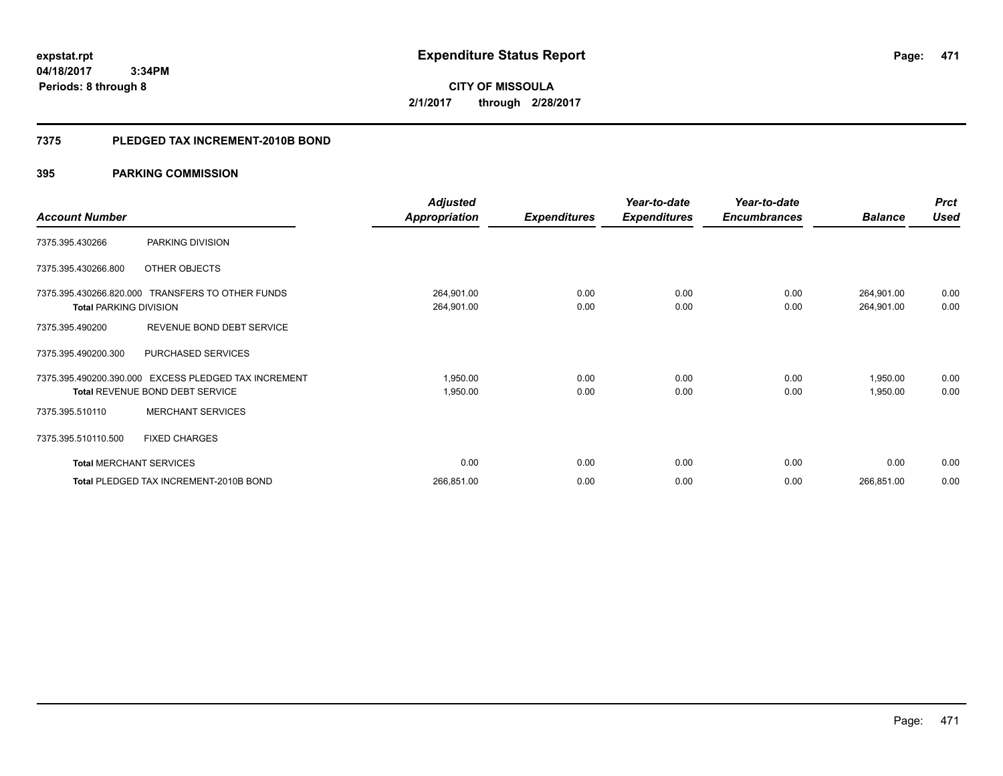**CITY OF MISSOULA 2/1/2017 through 2/28/2017**

### **7375 PLEDGED TAX INCREMENT-2010B BOND**

### **395 PARKING COMMISSION**

|                                |                                                                                                | <b>Adjusted</b>          |                     | Year-to-date        | Year-to-date        |                          | <b>Prct</b>  |
|--------------------------------|------------------------------------------------------------------------------------------------|--------------------------|---------------------|---------------------|---------------------|--------------------------|--------------|
| <b>Account Number</b>          |                                                                                                | <b>Appropriation</b>     | <b>Expenditures</b> | <b>Expenditures</b> | <b>Encumbrances</b> | <b>Balance</b>           | <b>Used</b>  |
| 7375.395.430266                | PARKING DIVISION                                                                               |                          |                     |                     |                     |                          |              |
| 7375.395.430266.800            | OTHER OBJECTS                                                                                  |                          |                     |                     |                     |                          |              |
| <b>Total PARKING DIVISION</b>  | 7375.395.430266.820.000 TRANSFERS TO OTHER FUNDS                                               | 264,901.00<br>264,901.00 | 0.00<br>0.00        | 0.00<br>0.00        | 0.00<br>0.00        | 264,901.00<br>264,901.00 | 0.00<br>0.00 |
| 7375.395.490200                | REVENUE BOND DEBT SERVICE                                                                      |                          |                     |                     |                     |                          |              |
| 7375.395.490200.300            | PURCHASED SERVICES                                                                             |                          |                     |                     |                     |                          |              |
|                                | 7375.395.490200.390.000 EXCESS PLEDGED TAX INCREMENT<br><b>Total REVENUE BOND DEBT SERVICE</b> | 1,950.00<br>1,950.00     | 0.00<br>0.00        | 0.00<br>0.00        | 0.00<br>0.00        | 1,950.00<br>1,950.00     | 0.00<br>0.00 |
| 7375.395.510110                | <b>MERCHANT SERVICES</b>                                                                       |                          |                     |                     |                     |                          |              |
| 7375.395.510110.500            | <b>FIXED CHARGES</b>                                                                           |                          |                     |                     |                     |                          |              |
| <b>Total MERCHANT SERVICES</b> |                                                                                                | 0.00                     | 0.00                | 0.00                | 0.00                | 0.00                     | 0.00         |
|                                | Total PLEDGED TAX INCREMENT-2010B BOND                                                         | 266,851.00               | 0.00                | 0.00                | 0.00                | 266,851.00               | 0.00         |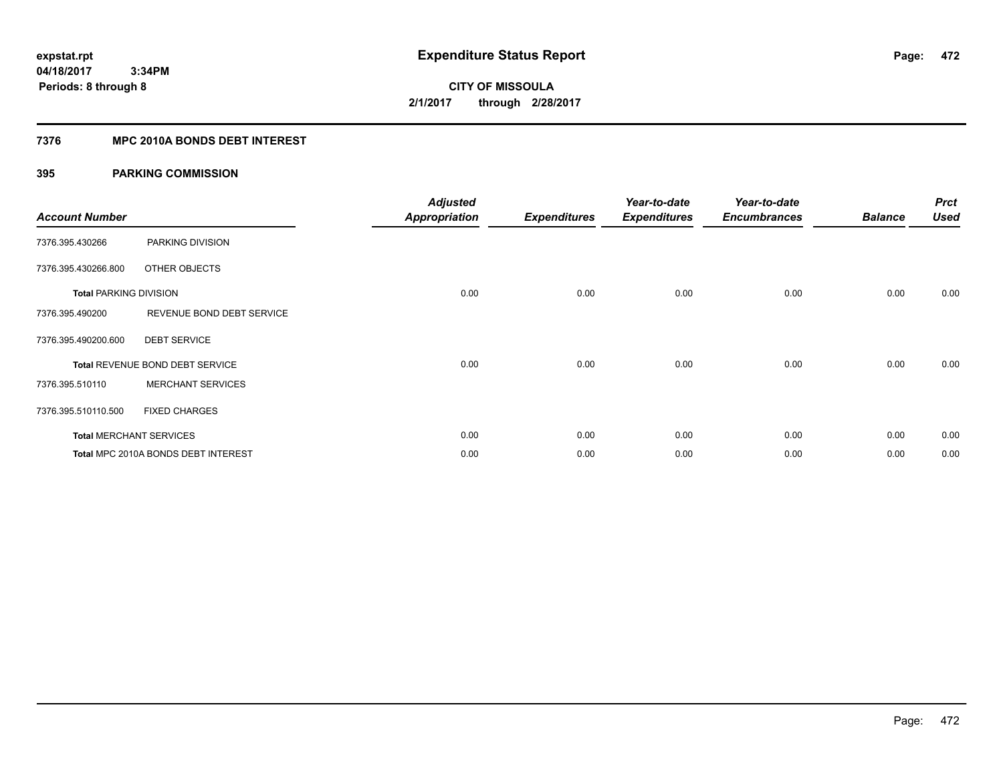**Periods: 8 through 8**

**CITY OF MISSOULA 2/1/2017 through 2/28/2017**

### **7376 MPC 2010A BONDS DEBT INTEREST**

### **395 PARKING COMMISSION**

 **3:34PM**

| <b>Account Number</b>         |                                     | <b>Adjusted</b><br><b>Appropriation</b> | <b>Expenditures</b> | Year-to-date<br><b>Expenditures</b> | Year-to-date<br><b>Encumbrances</b> | <b>Balance</b> | <b>Prct</b><br><b>Used</b> |
|-------------------------------|-------------------------------------|-----------------------------------------|---------------------|-------------------------------------|-------------------------------------|----------------|----------------------------|
| 7376.395.430266               | PARKING DIVISION                    |                                         |                     |                                     |                                     |                |                            |
| 7376.395.430266.800           | OTHER OBJECTS                       |                                         |                     |                                     |                                     |                |                            |
| <b>Total PARKING DIVISION</b> |                                     | 0.00                                    | 0.00                | 0.00                                | 0.00                                | 0.00           | 0.00                       |
| 7376.395.490200               | REVENUE BOND DEBT SERVICE           |                                         |                     |                                     |                                     |                |                            |
| 7376.395.490200.600           | <b>DEBT SERVICE</b>                 |                                         |                     |                                     |                                     |                |                            |
|                               | Total REVENUE BOND DEBT SERVICE     | 0.00                                    | 0.00                | 0.00                                | 0.00                                | 0.00           | 0.00                       |
| 7376.395.510110               | <b>MERCHANT SERVICES</b>            |                                         |                     |                                     |                                     |                |                            |
| 7376.395.510110.500           | <b>FIXED CHARGES</b>                |                                         |                     |                                     |                                     |                |                            |
|                               | <b>Total MERCHANT SERVICES</b>      | 0.00                                    | 0.00                | 0.00                                | 0.00                                | 0.00           | 0.00                       |
|                               | Total MPC 2010A BONDS DEBT INTEREST | 0.00                                    | 0.00                | 0.00                                | 0.00                                | 0.00           | 0.00                       |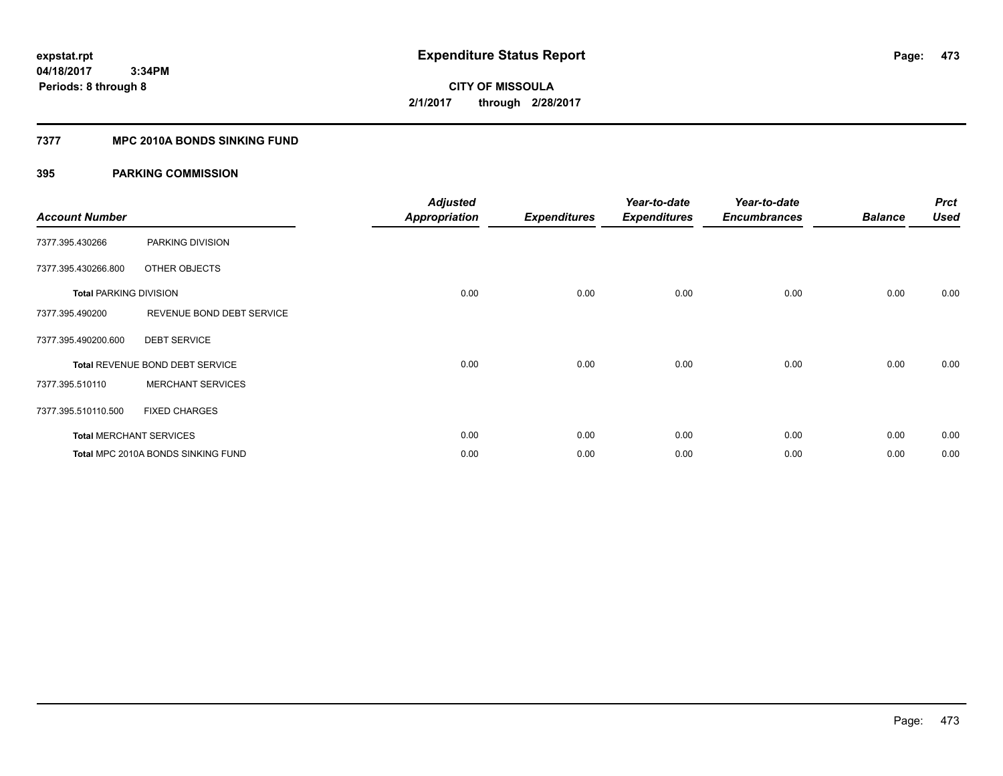**Periods: 8 through 8**

**CITY OF MISSOULA 2/1/2017 through 2/28/2017**

### **7377 MPC 2010A BONDS SINKING FUND**

 **3:34PM**

### **395 PARKING COMMISSION**

| <b>Account Number</b>         |                                    | <b>Adjusted</b><br><b>Appropriation</b> | <b>Expenditures</b> | Year-to-date<br><b>Expenditures</b> | Year-to-date<br><b>Encumbrances</b> | <b>Balance</b> | <b>Prct</b><br><b>Used</b> |
|-------------------------------|------------------------------------|-----------------------------------------|---------------------|-------------------------------------|-------------------------------------|----------------|----------------------------|
| 7377.395.430266               | PARKING DIVISION                   |                                         |                     |                                     |                                     |                |                            |
| 7377.395.430266.800           | OTHER OBJECTS                      |                                         |                     |                                     |                                     |                |                            |
| <b>Total PARKING DIVISION</b> |                                    | 0.00                                    | 0.00                | 0.00                                | 0.00                                | 0.00           | 0.00                       |
| 7377.395.490200               | REVENUE BOND DEBT SERVICE          |                                         |                     |                                     |                                     |                |                            |
| 7377.395.490200.600           | <b>DEBT SERVICE</b>                |                                         |                     |                                     |                                     |                |                            |
|                               | Total REVENUE BOND DEBT SERVICE    | 0.00                                    | 0.00                | 0.00                                | 0.00                                | 0.00           | 0.00                       |
| 7377.395.510110               | <b>MERCHANT SERVICES</b>           |                                         |                     |                                     |                                     |                |                            |
| 7377.395.510110.500           | <b>FIXED CHARGES</b>               |                                         |                     |                                     |                                     |                |                            |
|                               | <b>Total MERCHANT SERVICES</b>     | 0.00                                    | 0.00                | 0.00                                | 0.00                                | 0.00           | 0.00                       |
|                               | Total MPC 2010A BONDS SINKING FUND | 0.00                                    | 0.00                | 0.00                                | 0.00                                | 0.00           | 0.00                       |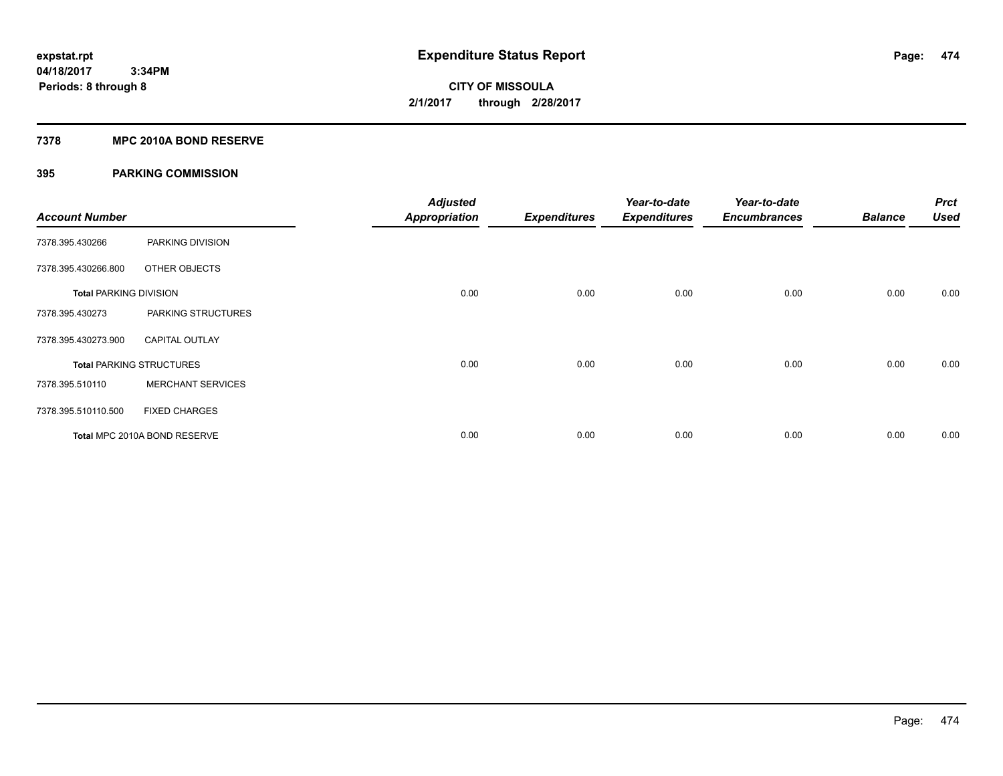## **CITY OF MISSOULA 2/1/2017 through 2/28/2017**

### **7378 MPC 2010A BOND RESERVE**

### **395 PARKING COMMISSION**

| <b>Account Number</b>         |                                 | <b>Adjusted</b><br><b>Appropriation</b> | <b>Expenditures</b> | Year-to-date<br><b>Expenditures</b> | Year-to-date<br><b>Encumbrances</b> | <b>Balance</b> | <b>Prct</b><br><b>Used</b> |
|-------------------------------|---------------------------------|-----------------------------------------|---------------------|-------------------------------------|-------------------------------------|----------------|----------------------------|
| 7378.395.430266               | PARKING DIVISION                |                                         |                     |                                     |                                     |                |                            |
| 7378.395.430266.800           | OTHER OBJECTS                   |                                         |                     |                                     |                                     |                |                            |
| <b>Total PARKING DIVISION</b> |                                 | 0.00                                    | 0.00                | 0.00                                | 0.00                                | 0.00           | 0.00                       |
| 7378.395.430273               | PARKING STRUCTURES              |                                         |                     |                                     |                                     |                |                            |
| 7378.395.430273.900           | <b>CAPITAL OUTLAY</b>           |                                         |                     |                                     |                                     |                |                            |
|                               | <b>Total PARKING STRUCTURES</b> | 0.00                                    | 0.00                | 0.00                                | 0.00                                | 0.00           | 0.00                       |
| 7378.395.510110               | <b>MERCHANT SERVICES</b>        |                                         |                     |                                     |                                     |                |                            |
| 7378.395.510110.500           | <b>FIXED CHARGES</b>            |                                         |                     |                                     |                                     |                |                            |
|                               | Total MPC 2010A BOND RESERVE    | 0.00                                    | 0.00                | 0.00                                | 0.00                                | 0.00           | 0.00                       |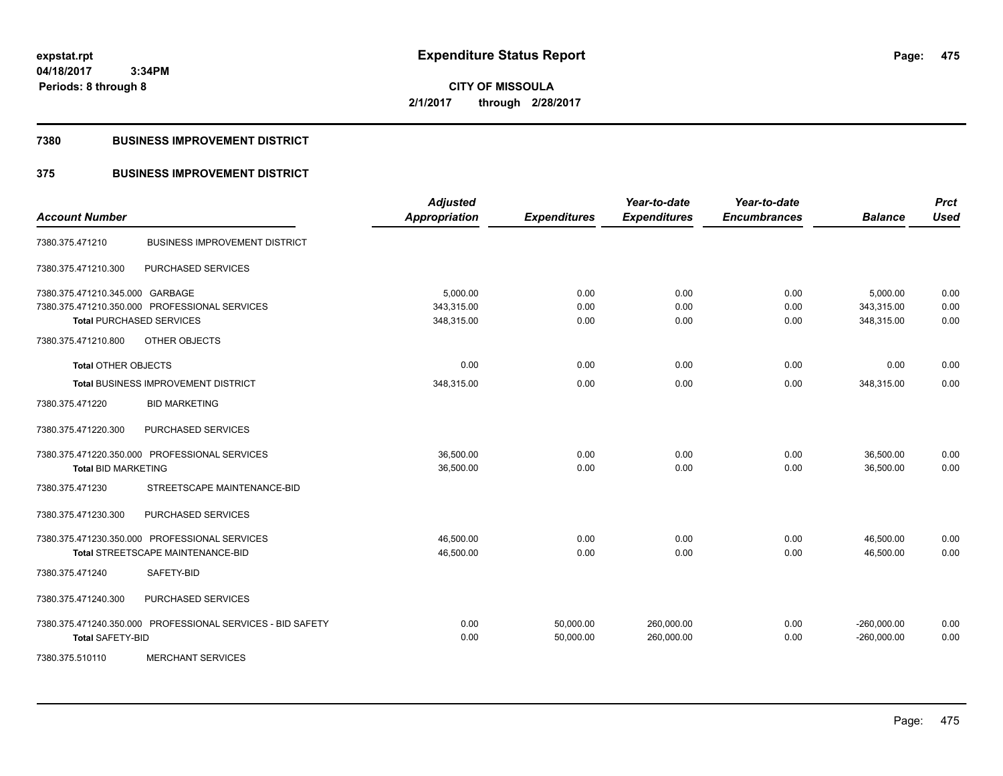**CITY OF MISSOULA 2/1/2017 through 2/28/2017**

### **7380 BUSINESS IMPROVEMENT DISTRICT**

### **375 BUSINESS IMPROVEMENT DISTRICT**

| <b>Account Number</b>                         |                                                            | <b>Adjusted</b><br><b>Appropriation</b> | <b>Expenditures</b>    | Year-to-date<br><b>Expenditures</b> | Year-to-date<br><b>Encumbrances</b> | <b>Balance</b>                 | <b>Prct</b><br><b>Used</b> |
|-----------------------------------------------|------------------------------------------------------------|-----------------------------------------|------------------------|-------------------------------------|-------------------------------------|--------------------------------|----------------------------|
| 7380.375.471210                               | <b>BUSINESS IMPROVEMENT DISTRICT</b>                       |                                         |                        |                                     |                                     |                                |                            |
| 7380.375.471210.300                           | PURCHASED SERVICES                                         |                                         |                        |                                     |                                     |                                |                            |
| 7380.375.471210.345.000 GARBAGE               |                                                            | 5,000.00                                | 0.00                   | 0.00                                | 0.00                                | 5,000.00                       | 0.00                       |
| 7380.375.471210.350.000 PROFESSIONAL SERVICES |                                                            | 343,315.00                              | 0.00                   | 0.00                                | 0.00                                | 343,315.00                     | 0.00                       |
| <b>Total PURCHASED SERVICES</b>               |                                                            | 348,315.00                              | 0.00                   | 0.00                                | 0.00                                | 348,315.00                     | 0.00                       |
| 7380.375.471210.800                           | OTHER OBJECTS                                              |                                         |                        |                                     |                                     |                                |                            |
| <b>Total OTHER OBJECTS</b>                    |                                                            | 0.00                                    | 0.00                   | 0.00                                | 0.00                                | 0.00                           | 0.00                       |
|                                               | Total BUSINESS IMPROVEMENT DISTRICT                        | 348,315.00                              | 0.00                   | 0.00                                | 0.00                                | 348,315.00                     | 0.00                       |
| 7380.375.471220                               | <b>BID MARKETING</b>                                       |                                         |                        |                                     |                                     |                                |                            |
| 7380.375.471220.300                           | PURCHASED SERVICES                                         |                                         |                        |                                     |                                     |                                |                            |
| 7380.375.471220.350.000 PROFESSIONAL SERVICES |                                                            | 36,500.00                               | 0.00                   | 0.00                                | 0.00                                | 36,500.00                      | 0.00                       |
| <b>Total BID MARKETING</b>                    |                                                            | 36,500.00                               | 0.00                   | 0.00                                | 0.00                                | 36,500.00                      | 0.00                       |
| 7380.375.471230                               | STREETSCAPE MAINTENANCE-BID                                |                                         |                        |                                     |                                     |                                |                            |
| 7380.375.471230.300                           | PURCHASED SERVICES                                         |                                         |                        |                                     |                                     |                                |                            |
| 7380.375.471230.350.000 PROFESSIONAL SERVICES |                                                            | 46,500.00                               | 0.00                   | 0.00                                | 0.00                                | 46,500.00                      | 0.00                       |
|                                               | Total STREETSCAPE MAINTENANCE-BID                          | 46,500.00                               | 0.00                   | 0.00                                | 0.00                                | 46,500.00                      | 0.00                       |
| 7380.375.471240                               | SAFETY-BID                                                 |                                         |                        |                                     |                                     |                                |                            |
| 7380.375.471240.300                           | PURCHASED SERVICES                                         |                                         |                        |                                     |                                     |                                |                            |
| <b>Total SAFETY-BID</b>                       | 7380.375.471240.350.000 PROFESSIONAL SERVICES - BID SAFETY | 0.00<br>0.00                            | 50,000.00<br>50,000.00 | 260,000.00<br>260,000.00            | 0.00<br>0.00                        | $-260,000.00$<br>$-260,000.00$ | 0.00<br>0.00               |
| 7380.375.510110                               | <b>MERCHANT SERVICES</b>                                   |                                         |                        |                                     |                                     |                                |                            |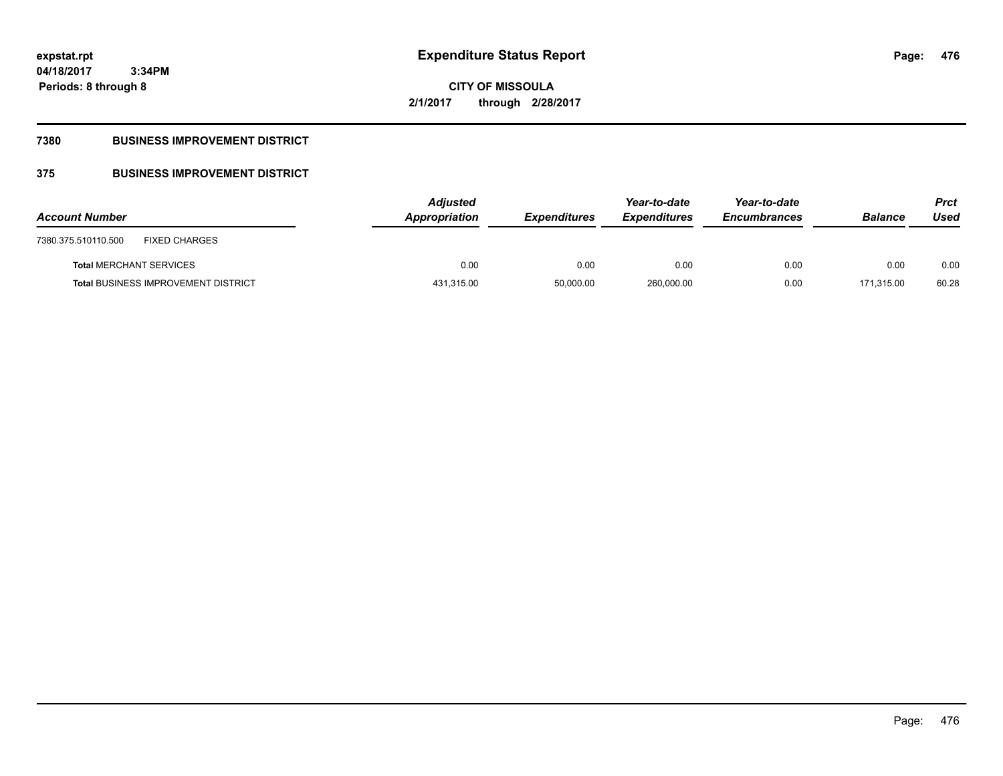**CITY OF MISSOULA 2/1/2017 through 2/28/2017**

### **7380 BUSINESS IMPROVEMENT DISTRICT**

## **375 BUSINESS IMPROVEMENT DISTRICT**

| <b>Account Number</b>                       | <b>Adjusted</b><br>Appropriation | <b>Expenditures</b> | Year-to-date<br><b>Expenditures</b> | Year-to-date<br><b>Encumbrances</b> | <b>Balance</b> | <b>Prct</b><br>Used |
|---------------------------------------------|----------------------------------|---------------------|-------------------------------------|-------------------------------------|----------------|---------------------|
| <b>FIXED CHARGES</b><br>7380.375.510110.500 |                                  |                     |                                     |                                     |                |                     |
| <b>Total MERCHANT SERVICES</b>              | 0.00                             | 0.00                | 0.00                                | 0.00                                | 0.00           | 0.00                |
| <b>Total BUSINESS IMPROVEMENT DISTRICT</b>  | 431,315.00                       | 50,000.00           | 260,000.00                          | 0.00                                | 171.315.00     | 60.28               |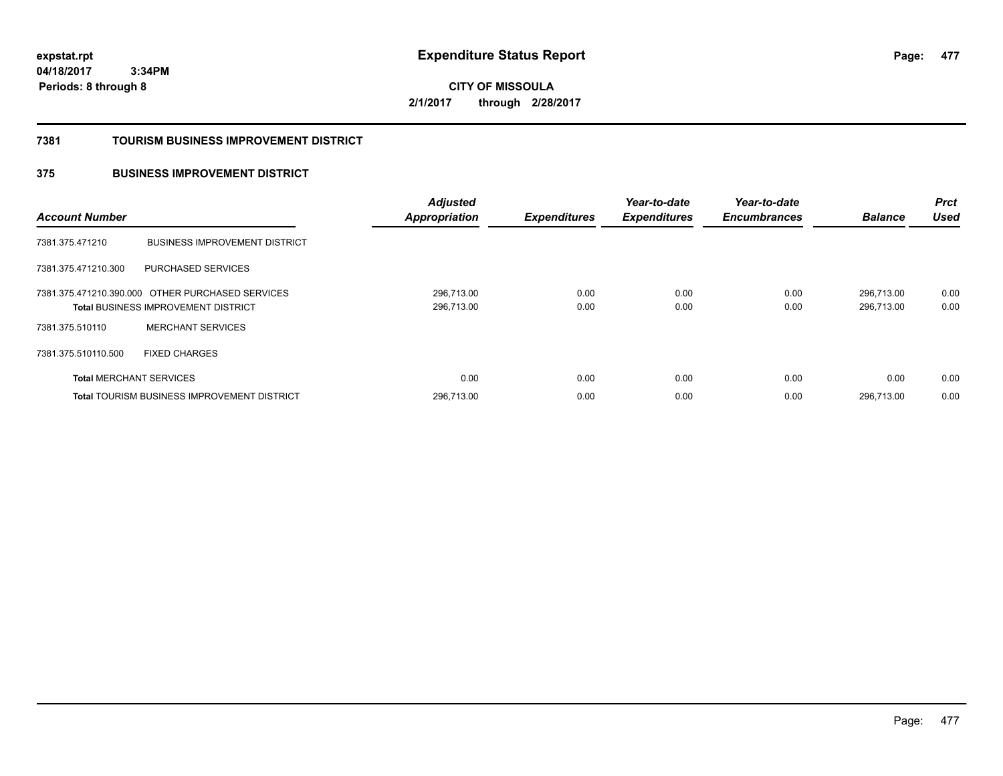**CITY OF MISSOULA 2/1/2017 through 2/28/2017**

### **7381 TOURISM BUSINESS IMPROVEMENT DISTRICT**

### **375 BUSINESS IMPROVEMENT DISTRICT**

| <b>Account Number</b>          |                                                                                                | <b>Adjusted</b><br><b>Appropriation</b> | <b>Expenditures</b> | Year-to-date<br><b>Expenditures</b> | Year-to-date<br><b>Encumbrances</b> | <b>Balance</b>           | <b>Prct</b><br><b>Used</b> |
|--------------------------------|------------------------------------------------------------------------------------------------|-----------------------------------------|---------------------|-------------------------------------|-------------------------------------|--------------------------|----------------------------|
| 7381.375.471210                | <b>BUSINESS IMPROVEMENT DISTRICT</b>                                                           |                                         |                     |                                     |                                     |                          |                            |
| 7381.375.471210.300            | PURCHASED SERVICES                                                                             |                                         |                     |                                     |                                     |                          |                            |
|                                | 7381.375.471210.390.000 OTHER PURCHASED SERVICES<br><b>Total BUSINESS IMPROVEMENT DISTRICT</b> | 296,713.00<br>296,713.00                | 0.00<br>0.00        | 0.00<br>0.00                        | 0.00<br>0.00                        | 296.713.00<br>296.713.00 | 0.00<br>0.00               |
| 7381.375.510110                | <b>MERCHANT SERVICES</b>                                                                       |                                         |                     |                                     |                                     |                          |                            |
| 7381.375.510110.500            | <b>FIXED CHARGES</b>                                                                           |                                         |                     |                                     |                                     |                          |                            |
| <b>Total MERCHANT SERVICES</b> |                                                                                                | 0.00                                    | 0.00                | 0.00                                | 0.00                                | 0.00                     | 0.00                       |
|                                | <b>Total TOURISM BUSINESS IMPROVEMENT DISTRICT</b>                                             | 296,713.00                              | 0.00                | 0.00                                | 0.00                                | 296.713.00               | 0.00                       |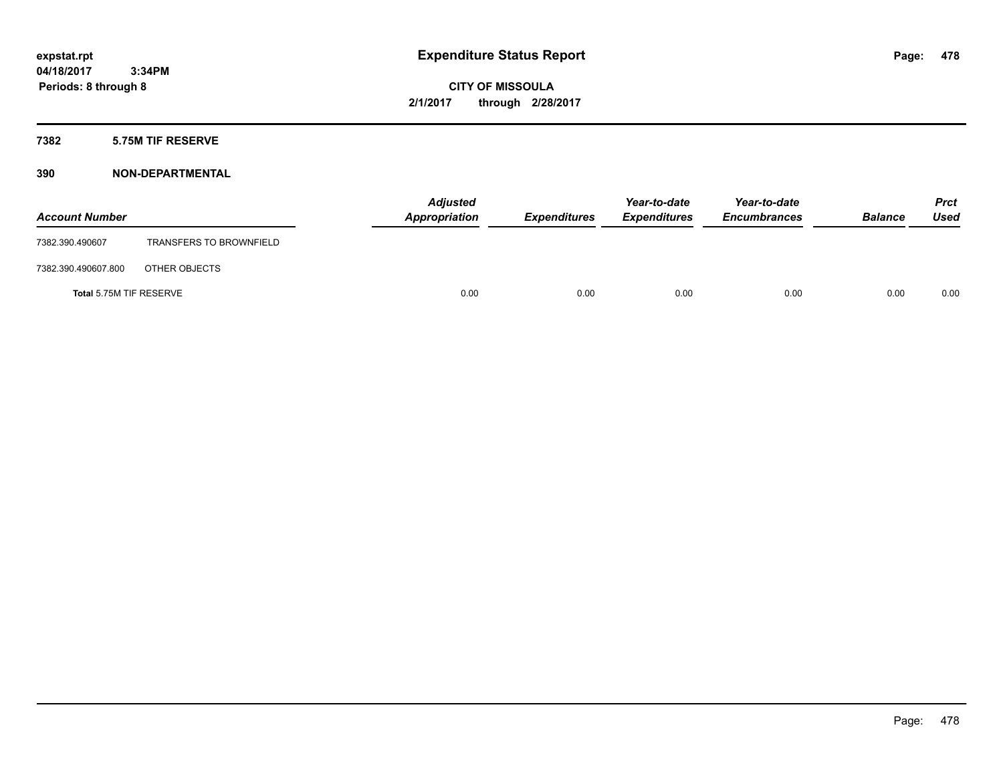**CITY OF MISSOULA 2/1/2017 through 2/28/2017**

### **7382 5.75M TIF RESERVE**

| <b>Account Number</b>   |                                | <b>Adjusted</b><br>Appropriation | <b>Expenditures</b> | Year-to-date<br><b>Expenditures</b> | Year-to-date<br><b>Encumbrances</b> | <b>Balance</b> | Prct<br><b>Used</b> |
|-------------------------|--------------------------------|----------------------------------|---------------------|-------------------------------------|-------------------------------------|----------------|---------------------|
| 7382.390.490607         | <b>TRANSFERS TO BROWNFIELD</b> |                                  |                     |                                     |                                     |                |                     |
| 7382.390.490607.800     | OTHER OBJECTS                  |                                  |                     |                                     |                                     |                |                     |
| Total 5.75M TIF RESERVE |                                | 0.00                             | 0.00                | 0.00                                | 0.00                                | 0.00           | 0.00                |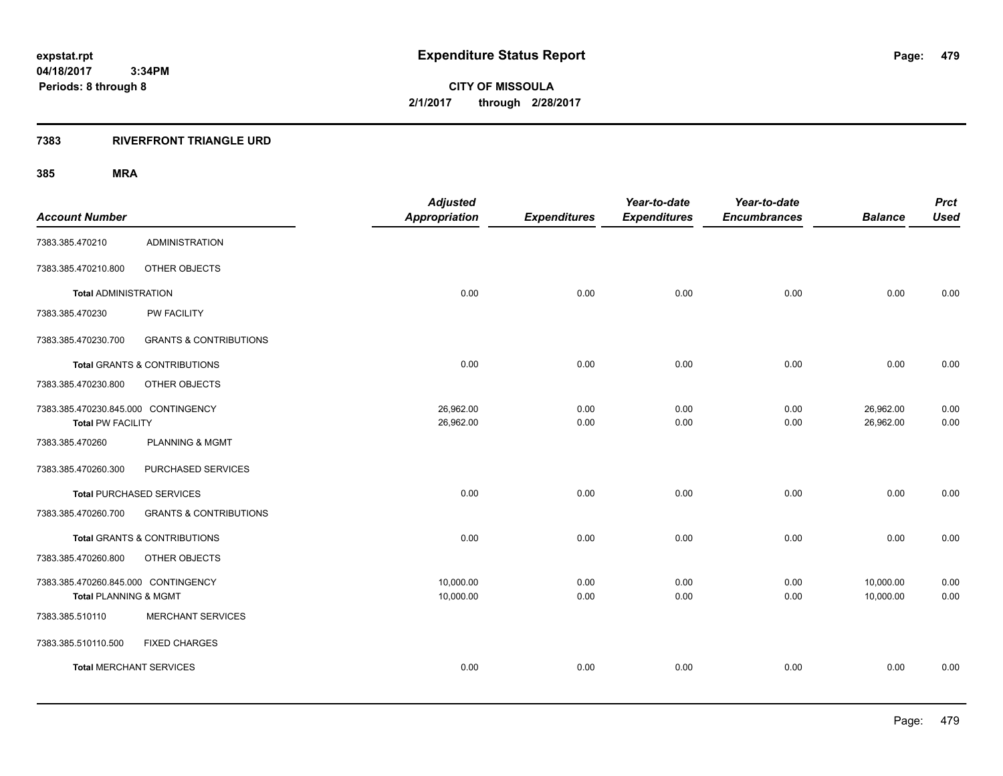**CITY OF MISSOULA 2/1/2017 through 2/28/2017**

### **7383 RIVERFRONT TRIANGLE URD**

| <b>Account Number</b>                                           |                                         | <b>Adjusted</b><br><b>Appropriation</b> | <b>Expenditures</b> | Year-to-date<br><b>Expenditures</b> | Year-to-date<br><b>Encumbrances</b> | <b>Balance</b>         | <b>Prct</b><br><b>Used</b> |
|-----------------------------------------------------------------|-----------------------------------------|-----------------------------------------|---------------------|-------------------------------------|-------------------------------------|------------------------|----------------------------|
| 7383.385.470210                                                 | <b>ADMINISTRATION</b>                   |                                         |                     |                                     |                                     |                        |                            |
| 7383.385.470210.800                                             | OTHER OBJECTS                           |                                         |                     |                                     |                                     |                        |                            |
| <b>Total ADMINISTRATION</b>                                     |                                         | 0.00                                    | 0.00                | 0.00                                | 0.00                                | 0.00                   | 0.00                       |
| 7383.385.470230                                                 | PW FACILITY                             |                                         |                     |                                     |                                     |                        |                            |
| 7383.385.470230.700                                             | <b>GRANTS &amp; CONTRIBUTIONS</b>       |                                         |                     |                                     |                                     |                        |                            |
|                                                                 | <b>Total GRANTS &amp; CONTRIBUTIONS</b> | 0.00                                    | 0.00                | 0.00                                | 0.00                                | 0.00                   | 0.00                       |
| 7383.385.470230.800                                             | OTHER OBJECTS                           |                                         |                     |                                     |                                     |                        |                            |
| 7383.385.470230.845.000 CONTINGENCY<br><b>Total PW FACILITY</b> |                                         | 26,962.00<br>26,962.00                  | 0.00<br>0.00        | 0.00<br>0.00                        | 0.00<br>0.00                        | 26,962.00<br>26,962.00 | 0.00<br>0.00               |
| 7383.385.470260                                                 | <b>PLANNING &amp; MGMT</b>              |                                         |                     |                                     |                                     |                        |                            |
| 7383.385.470260.300                                             | PURCHASED SERVICES                      |                                         |                     |                                     |                                     |                        |                            |
| <b>Total PURCHASED SERVICES</b>                                 |                                         | 0.00                                    | 0.00                | 0.00                                | 0.00                                | 0.00                   | 0.00                       |
| 7383.385.470260.700                                             | <b>GRANTS &amp; CONTRIBUTIONS</b>       |                                         |                     |                                     |                                     |                        |                            |
|                                                                 | <b>Total GRANTS &amp; CONTRIBUTIONS</b> | 0.00                                    | 0.00                | 0.00                                | 0.00                                | 0.00                   | 0.00                       |
| 7383.385.470260.800                                             | OTHER OBJECTS                           |                                         |                     |                                     |                                     |                        |                            |
| 7383.385.470260.845.000 CONTINGENCY<br>Total PLANNING & MGMT    |                                         | 10,000.00<br>10,000.00                  | 0.00<br>0.00        | 0.00<br>0.00                        | 0.00<br>0.00                        | 10,000.00<br>10,000.00 | 0.00<br>0.00               |
| 7383.385.510110                                                 | <b>MERCHANT SERVICES</b>                |                                         |                     |                                     |                                     |                        |                            |
| 7383.385.510110.500                                             | <b>FIXED CHARGES</b>                    |                                         |                     |                                     |                                     |                        |                            |
| <b>Total MERCHANT SERVICES</b>                                  |                                         | 0.00                                    | 0.00                | 0.00                                | 0.00                                | 0.00                   | 0.00                       |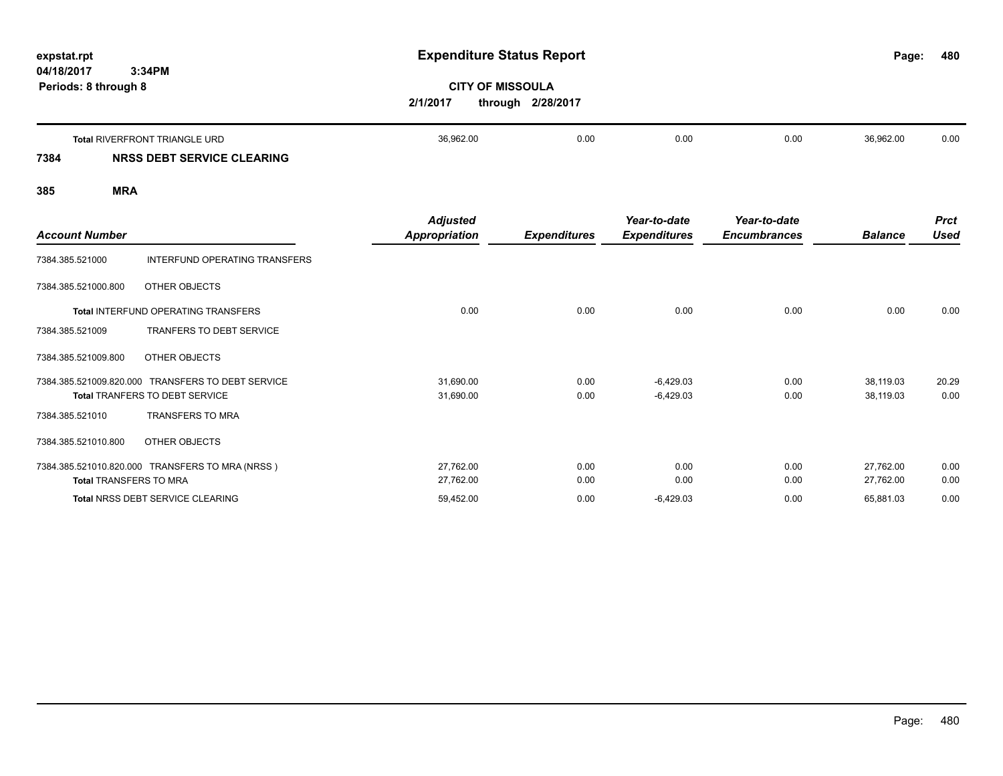# **expstat.rpt Expenditure Status Report**

**480**

**CITY OF MISSOULA 2/1/2017 through 2/28/2017**

|      | Total RIVERFRONT TRIANGLE URD | 36,962.00 | 0.OC | 0.00 | 0.00 | 36,962.00 | 0.00 |
|------|-------------------------------|-----------|------|------|------|-----------|------|
| 7384 | NRSS DEBT SERVICE CLEARING    |           |      |      |      |           |      |

| <b>Account Number</b>         |                                                                                            | <b>Adjusted</b><br>Appropriation | <b>Expenditures</b> | Year-to-date<br><b>Expenditures</b> | Year-to-date<br><b>Encumbrances</b> | <b>Balance</b>         | <b>Prct</b><br><b>Used</b> |
|-------------------------------|--------------------------------------------------------------------------------------------|----------------------------------|---------------------|-------------------------------------|-------------------------------------|------------------------|----------------------------|
| 7384.385.521000               | INTERFUND OPERATING TRANSFERS                                                              |                                  |                     |                                     |                                     |                        |                            |
| 7384.385.521000.800           | OTHER OBJECTS                                                                              |                                  |                     |                                     |                                     |                        |                            |
|                               | Total INTERFUND OPERATING TRANSFERS                                                        | 0.00                             | 0.00                | 0.00                                | 0.00                                | 0.00                   | 0.00                       |
| 7384.385.521009               | <b>TRANFERS TO DEBT SERVICE</b>                                                            |                                  |                     |                                     |                                     |                        |                            |
| 7384.385.521009.800           | OTHER OBJECTS                                                                              |                                  |                     |                                     |                                     |                        |                            |
|                               | 7384.385.521009.820.000 TRANSFERS TO DEBT SERVICE<br><b>Total TRANFERS TO DEBT SERVICE</b> | 31,690.00<br>31,690.00           | 0.00<br>0.00        | $-6,429.03$<br>$-6,429.03$          | 0.00<br>0.00                        | 38,119.03<br>38,119.03 | 20.29<br>0.00              |
| 7384.385.521010               | <b>TRANSFERS TO MRA</b>                                                                    |                                  |                     |                                     |                                     |                        |                            |
| 7384.385.521010.800           | OTHER OBJECTS                                                                              |                                  |                     |                                     |                                     |                        |                            |
| <b>Total TRANSFERS TO MRA</b> | 7384.385.521010.820.000 TRANSFERS TO MRA (NRSS)                                            | 27,762.00<br>27,762.00           | 0.00<br>0.00        | 0.00<br>0.00                        | 0.00<br>0.00                        | 27,762.00<br>27,762.00 | 0.00<br>0.00               |
|                               | <b>Total NRSS DEBT SERVICE CLEARING</b>                                                    | 59,452.00                        | 0.00                | $-6,429.03$                         | 0.00                                | 65,881.03              | 0.00                       |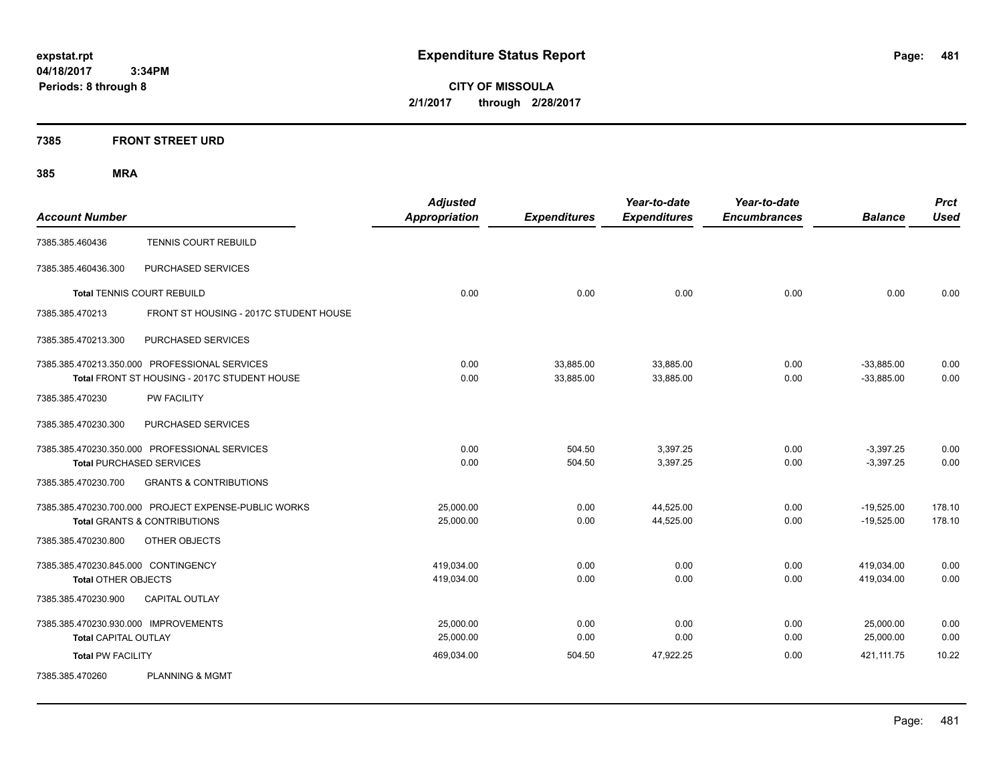**CITY OF MISSOULA 2/1/2017 through 2/28/2017**

### **7385 FRONT STREET URD**

|                                      |                                                      | <b>Adjusted</b>      |                     | Year-to-date        | Year-to-date        |                | <b>Prct</b> |
|--------------------------------------|------------------------------------------------------|----------------------|---------------------|---------------------|---------------------|----------------|-------------|
| <b>Account Number</b>                |                                                      | <b>Appropriation</b> | <b>Expenditures</b> | <b>Expenditures</b> | <b>Encumbrances</b> | <b>Balance</b> | <b>Used</b> |
| 7385.385.460436                      | <b>TENNIS COURT REBUILD</b>                          |                      |                     |                     |                     |                |             |
| 7385.385.460436.300                  | PURCHASED SERVICES                                   |                      |                     |                     |                     |                |             |
|                                      | <b>Total TENNIS COURT REBUILD</b>                    | 0.00                 | 0.00                | 0.00                | 0.00                | 0.00           | 0.00        |
| 7385.385.470213                      | FRONT ST HOUSING - 2017C STUDENT HOUSE               |                      |                     |                     |                     |                |             |
| 7385.385.470213.300                  | PURCHASED SERVICES                                   |                      |                     |                     |                     |                |             |
|                                      | 7385.385.470213.350.000 PROFESSIONAL SERVICES        | 0.00                 | 33.885.00           | 33,885.00           | 0.00                | $-33.885.00$   | 0.00        |
|                                      | Total FRONT ST HOUSING - 2017C STUDENT HOUSE         | 0.00                 | 33,885.00           | 33,885.00           | 0.00                | $-33.885.00$   | 0.00        |
| 7385.385.470230                      | PW FACILITY                                          |                      |                     |                     |                     |                |             |
| 7385.385.470230.300                  | PURCHASED SERVICES                                   |                      |                     |                     |                     |                |             |
|                                      | 7385.385.470230.350.000 PROFESSIONAL SERVICES        | 0.00                 | 504.50              | 3,397.25            | 0.00                | $-3,397.25$    | 0.00        |
|                                      | <b>Total PURCHASED SERVICES</b>                      | 0.00                 | 504.50              | 3,397.25            | 0.00                | $-3,397.25$    | 0.00        |
| 7385.385.470230.700                  | <b>GRANTS &amp; CONTRIBUTIONS</b>                    |                      |                     |                     |                     |                |             |
|                                      | 7385.385.470230.700.000 PROJECT EXPENSE-PUBLIC WORKS | 25,000.00            | 0.00                | 44,525.00           | 0.00                | $-19,525.00$   | 178.10      |
|                                      | <b>Total GRANTS &amp; CONTRIBUTIONS</b>              | 25,000.00            | 0.00                | 44,525.00           | 0.00                | $-19,525.00$   | 178.10      |
| 7385.385.470230.800                  | OTHER OBJECTS                                        |                      |                     |                     |                     |                |             |
| 7385.385.470230.845.000 CONTINGENCY  |                                                      | 419,034.00           | 0.00                | 0.00                | 0.00                | 419,034.00     | 0.00        |
| <b>Total OTHER OBJECTS</b>           |                                                      | 419,034.00           | 0.00                | 0.00                | 0.00                | 419,034.00     | 0.00        |
| 7385.385.470230.900                  | <b>CAPITAL OUTLAY</b>                                |                      |                     |                     |                     |                |             |
| 7385.385.470230.930.000 IMPROVEMENTS |                                                      | 25,000.00            | 0.00                | 0.00                | 0.00                | 25,000.00      | 0.00        |
| <b>Total CAPITAL OUTLAY</b>          |                                                      | 25,000.00            | 0.00                | 0.00                | 0.00                | 25,000.00      | 0.00        |
| <b>Total PW FACILITY</b>             |                                                      | 469,034.00           | 504.50              | 47,922.25           | 0.00                | 421,111.75     | 10.22       |
| 7385.385.470260                      | <b>PLANNING &amp; MGMT</b>                           |                      |                     |                     |                     |                |             |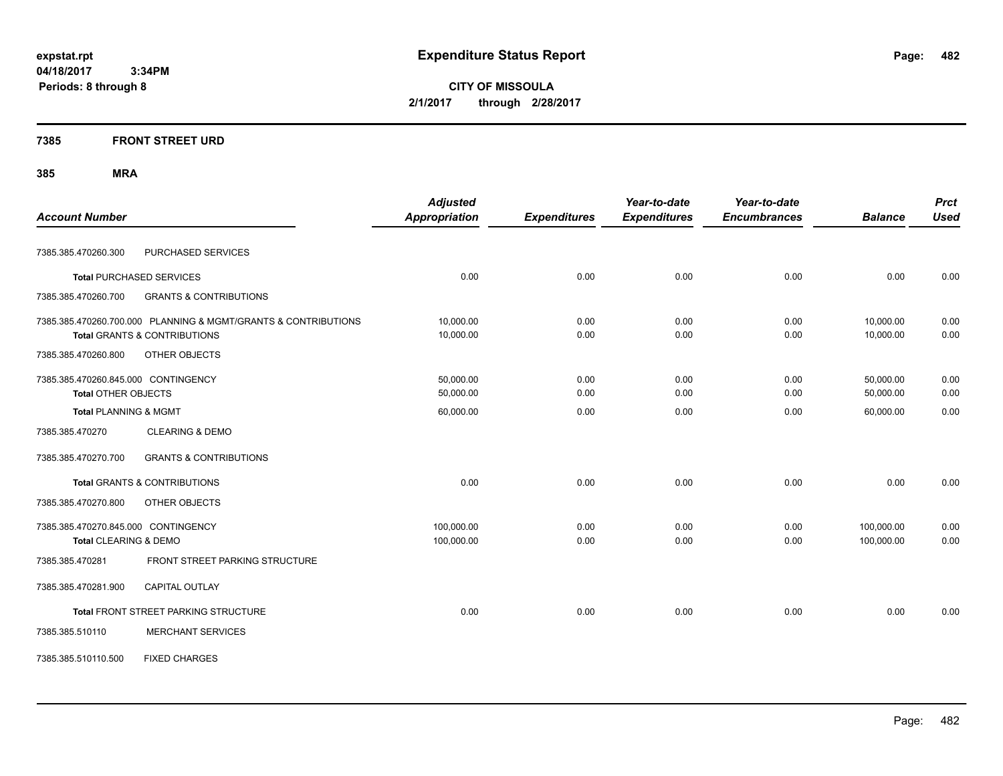**CITY OF MISSOULA 2/1/2017 through 2/28/2017**

### **7385 FRONT STREET URD**

| <b>Account Number</b>               |                                                                | <b>Adjusted</b><br><b>Appropriation</b> | <b>Expenditures</b> | Year-to-date<br><b>Expenditures</b> | Year-to-date<br><b>Encumbrances</b> | <b>Balance</b> | <b>Prct</b><br><b>Used</b> |
|-------------------------------------|----------------------------------------------------------------|-----------------------------------------|---------------------|-------------------------------------|-------------------------------------|----------------|----------------------------|
|                                     |                                                                |                                         |                     |                                     |                                     |                |                            |
| 7385.385.470260.300                 | PURCHASED SERVICES                                             |                                         |                     |                                     |                                     |                |                            |
| <b>Total PURCHASED SERVICES</b>     |                                                                | 0.00                                    | 0.00                | 0.00                                | 0.00                                | 0.00           | 0.00                       |
| 7385.385.470260.700                 | <b>GRANTS &amp; CONTRIBUTIONS</b>                              |                                         |                     |                                     |                                     |                |                            |
|                                     | 7385.385.470260.700.000 PLANNING & MGMT/GRANTS & CONTRIBUTIONS | 10,000.00                               | 0.00                | 0.00                                | 0.00                                | 10,000.00      | 0.00                       |
|                                     | <b>Total GRANTS &amp; CONTRIBUTIONS</b>                        | 10,000.00                               | 0.00                | 0.00                                | 0.00                                | 10,000.00      | 0.00                       |
| 7385.385.470260.800                 | OTHER OBJECTS                                                  |                                         |                     |                                     |                                     |                |                            |
| 7385.385.470260.845.000 CONTINGENCY |                                                                | 50,000.00                               | 0.00                | 0.00                                | 0.00                                | 50,000.00      | 0.00                       |
| <b>Total OTHER OBJECTS</b>          |                                                                | 50,000.00                               | 0.00                | 0.00                                | 0.00                                | 50,000.00      | 0.00                       |
| <b>Total PLANNING &amp; MGMT</b>    |                                                                | 60,000.00                               | 0.00                | 0.00                                | 0.00                                | 60,000.00      | 0.00                       |
| 7385.385.470270                     | <b>CLEARING &amp; DEMO</b>                                     |                                         |                     |                                     |                                     |                |                            |
| 7385.385.470270.700                 | <b>GRANTS &amp; CONTRIBUTIONS</b>                              |                                         |                     |                                     |                                     |                |                            |
|                                     | Total GRANTS & CONTRIBUTIONS                                   | 0.00                                    | 0.00                | 0.00                                | 0.00                                | 0.00           | 0.00                       |
| 7385.385.470270.800                 | OTHER OBJECTS                                                  |                                         |                     |                                     |                                     |                |                            |
| 7385.385.470270.845.000 CONTINGENCY |                                                                | 100,000.00                              | 0.00                | 0.00                                | 0.00                                | 100,000.00     | 0.00                       |
| <b>Total CLEARING &amp; DEMO</b>    |                                                                | 100,000.00                              | 0.00                | 0.00                                | 0.00                                | 100,000.00     | 0.00                       |
| 7385.385.470281                     | FRONT STREET PARKING STRUCTURE                                 |                                         |                     |                                     |                                     |                |                            |
| 7385.385.470281.900                 | CAPITAL OUTLAY                                                 |                                         |                     |                                     |                                     |                |                            |
|                                     | Total FRONT STREET PARKING STRUCTURE                           | 0.00                                    | 0.00                | 0.00                                | 0.00                                | 0.00           | 0.00                       |
| 7385.385.510110                     | <b>MERCHANT SERVICES</b>                                       |                                         |                     |                                     |                                     |                |                            |
| 7385.385.510110.500                 | <b>FIXED CHARGES</b>                                           |                                         |                     |                                     |                                     |                |                            |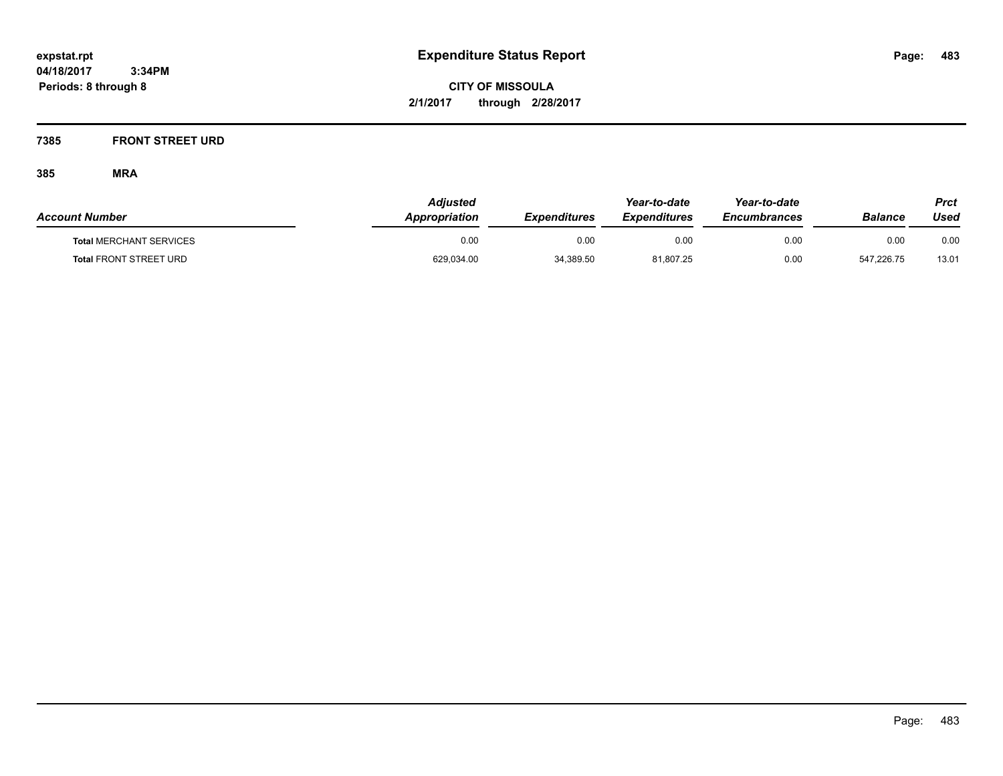**CITY OF MISSOULA 2/1/2017 through 2/28/2017**

### **7385 FRONT STREET URD**

| <b>Account Number</b>          | <b>Adjusted</b><br>Appropriation | <b>Expenditures</b> | Year-to-date<br><b>Expenditures</b> | Year-to-date<br><b>Encumbrances</b> | Balance    | Prct<br>Used |
|--------------------------------|----------------------------------|---------------------|-------------------------------------|-------------------------------------|------------|--------------|
| <b>Total MERCHANT SERVICES</b> | 0.00                             | 0.00                | 0.00                                | 0.00                                | 0.00       | 0.00         |
| <b>Total FRONT STREET URD</b>  | 629,034.00                       | 34,389.50           | 81,807.25                           | 0.00                                | 547.226.75 | 13.01        |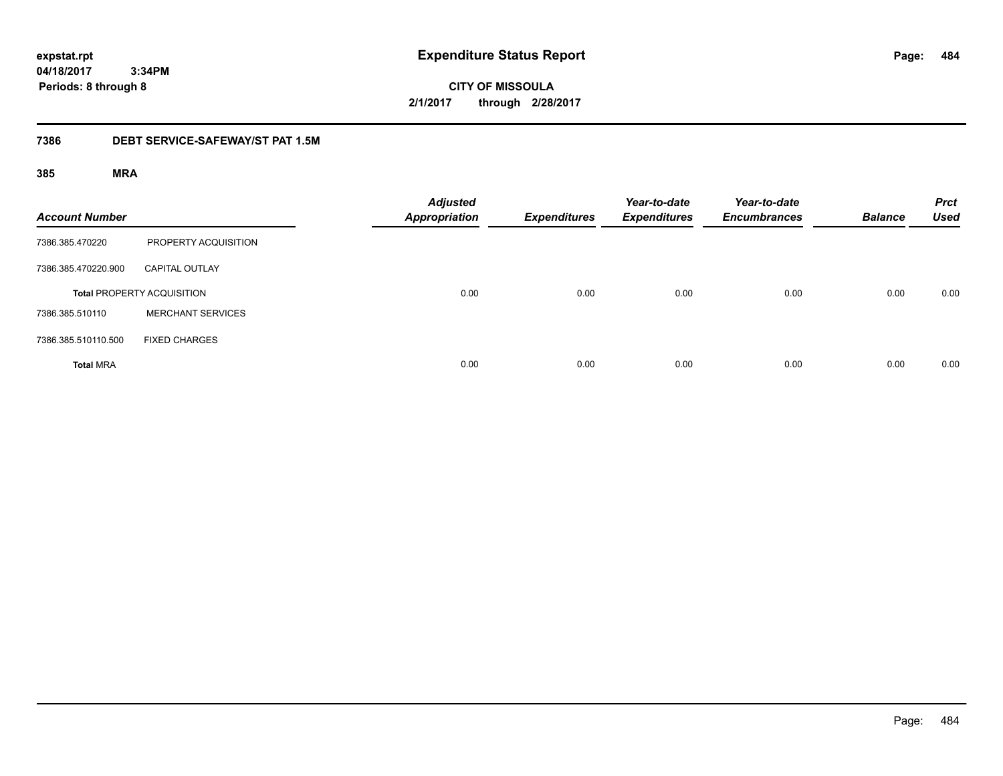**CITY OF MISSOULA 2/1/2017 through 2/28/2017**

### **7386 DEBT SERVICE-SAFEWAY/ST PAT 1.5M**

| <b>Account Number</b> |                                   | <b>Adjusted</b><br><b>Appropriation</b> | <b>Expenditures</b> | Year-to-date<br><b>Expenditures</b> | Year-to-date<br><b>Encumbrances</b> | <b>Balance</b> | <b>Prct</b><br><b>Used</b> |
|-----------------------|-----------------------------------|-----------------------------------------|---------------------|-------------------------------------|-------------------------------------|----------------|----------------------------|
| 7386.385.470220       | PROPERTY ACQUISITION              |                                         |                     |                                     |                                     |                |                            |
| 7386.385.470220.900   | <b>CAPITAL OUTLAY</b>             |                                         |                     |                                     |                                     |                |                            |
|                       | <b>Total PROPERTY ACQUISITION</b> | 0.00                                    | 0.00                | 0.00                                | 0.00                                | 0.00           | 0.00                       |
| 7386.385.510110       | <b>MERCHANT SERVICES</b>          |                                         |                     |                                     |                                     |                |                            |
| 7386.385.510110.500   | <b>FIXED CHARGES</b>              |                                         |                     |                                     |                                     |                |                            |
| <b>Total MRA</b>      |                                   | 0.00                                    | 0.00                | 0.00                                | 0.00                                | 0.00           | 0.00                       |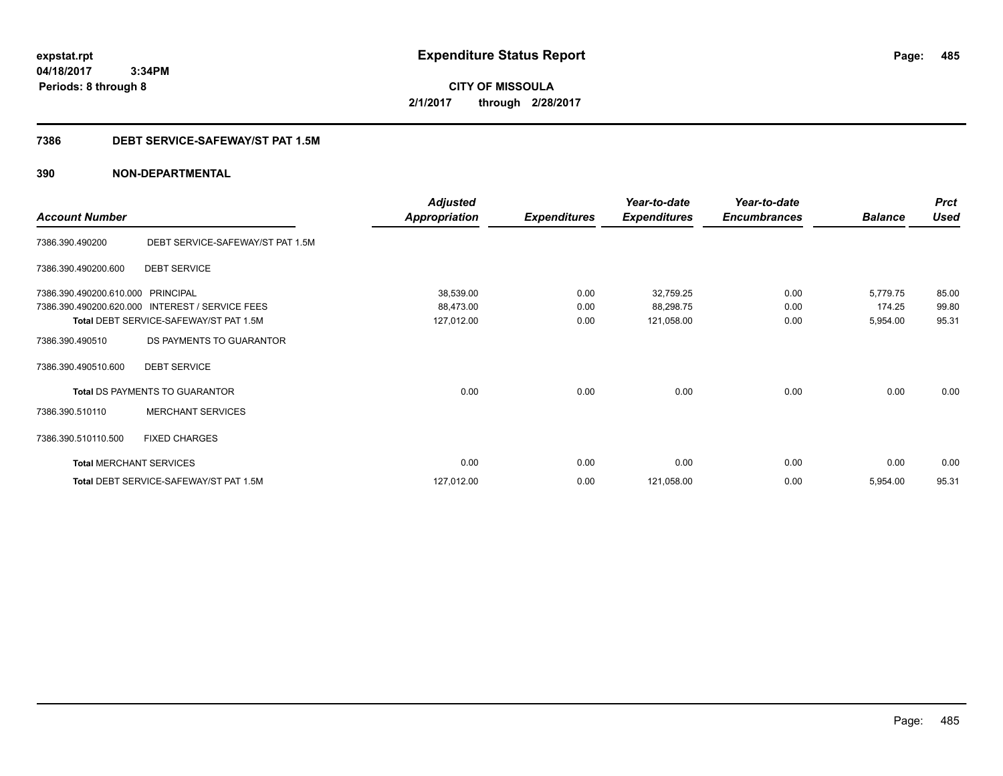**CITY OF MISSOULA 2/1/2017 through 2/28/2017**

### **7386 DEBT SERVICE-SAFEWAY/ST PAT 1.5M**

|                                |                                        | <b>Adjusted</b>      |                     | Year-to-date        | Year-to-date        |                | <b>Prct</b> |
|--------------------------------|----------------------------------------|----------------------|---------------------|---------------------|---------------------|----------------|-------------|
| <b>Account Number</b>          |                                        | <b>Appropriation</b> | <b>Expenditures</b> | <b>Expenditures</b> | <b>Encumbrances</b> | <b>Balance</b> | <b>Used</b> |
| 7386.390.490200                | DEBT SERVICE-SAFEWAY/ST PAT 1.5M       |                      |                     |                     |                     |                |             |
| 7386.390.490200.600            | <b>DEBT SERVICE</b>                    |                      |                     |                     |                     |                |             |
| 7386.390.490200.610.000        | <b>PRINCIPAL</b>                       | 38,539.00            | 0.00                | 32,759.25           | 0.00                | 5,779.75       | 85.00       |
| 7386.390.490200.620.000        | <b>INTEREST / SERVICE FEES</b>         | 88,473.00            | 0.00                | 88,298.75           | 0.00                | 174.25         | 99.80       |
|                                | Total DEBT SERVICE-SAFEWAY/ST PAT 1.5M | 127,012.00           | 0.00                | 121,058.00          | 0.00                | 5,954.00       | 95.31       |
| 7386.390.490510                | DS PAYMENTS TO GUARANTOR               |                      |                     |                     |                     |                |             |
| 7386.390.490510.600            | <b>DEBT SERVICE</b>                    |                      |                     |                     |                     |                |             |
|                                | <b>Total DS PAYMENTS TO GUARANTOR</b>  | 0.00                 | 0.00                | 0.00                | 0.00                | 0.00           | 0.00        |
| 7386.390.510110                | <b>MERCHANT SERVICES</b>               |                      |                     |                     |                     |                |             |
| 7386.390.510110.500            | <b>FIXED CHARGES</b>                   |                      |                     |                     |                     |                |             |
| <b>Total MERCHANT SERVICES</b> |                                        | 0.00                 | 0.00                | 0.00                | 0.00                | 0.00           | 0.00        |
|                                | Total DEBT SERVICE-SAFEWAY/ST PAT 1.5M | 127,012.00           | 0.00                | 121,058.00          | 0.00                | 5,954.00       | 95.31       |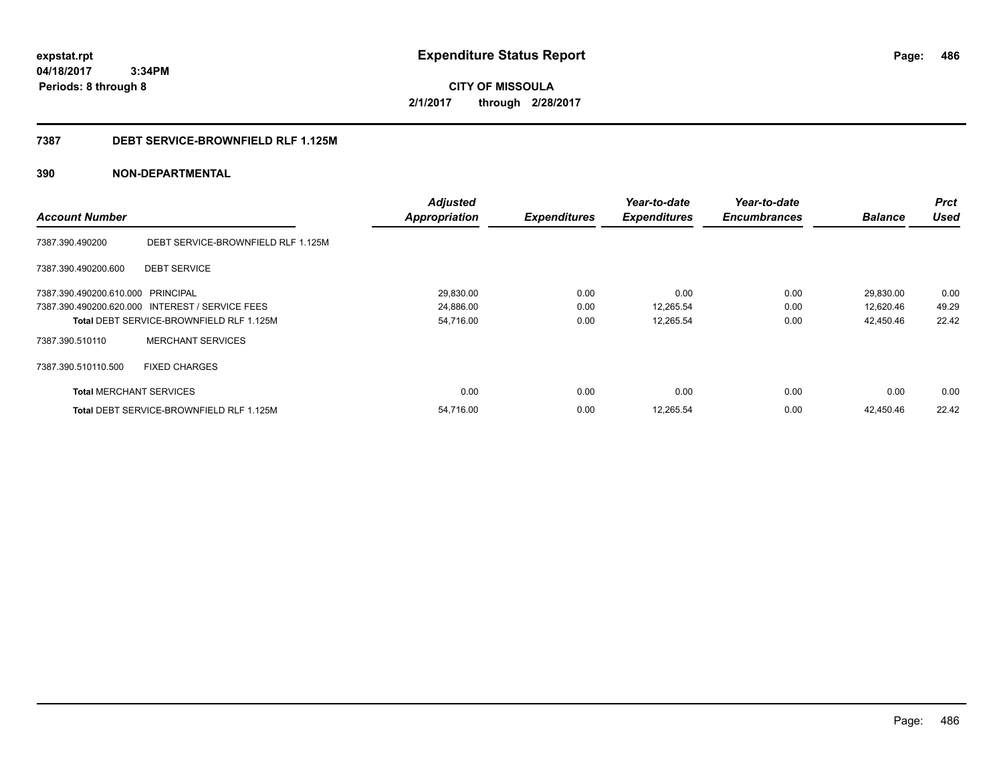**CITY OF MISSOULA 2/1/2017 through 2/28/2017**

### **7387 DEBT SERVICE-BROWNFIELD RLF 1.125M**

|                                   |                                                 | <b>Adjusted</b>      |                     | Year-to-date        | Year-to-date        |                | <b>Prct</b> |
|-----------------------------------|-------------------------------------------------|----------------------|---------------------|---------------------|---------------------|----------------|-------------|
| <b>Account Number</b>             |                                                 | <b>Appropriation</b> | <b>Expenditures</b> | <b>Expenditures</b> | <b>Encumbrances</b> | <b>Balance</b> | <b>Used</b> |
| 7387.390.490200                   | DEBT SERVICE-BROWNFIELD RLF 1.125M              |                      |                     |                     |                     |                |             |
| 7387.390.490200.600               | <b>DEBT SERVICE</b>                             |                      |                     |                     |                     |                |             |
| 7387.390.490200.610.000 PRINCIPAL |                                                 | 29,830.00            | 0.00                | 0.00                | 0.00                | 29,830.00      | 0.00        |
|                                   | 7387.390.490200.620.000 INTEREST / SERVICE FEES | 24,886.00            | 0.00                | 12,265.54           | 0.00                | 12,620.46      | 49.29       |
|                                   | <b>Total DEBT SERVICE-BROWNFIELD RLF 1.125M</b> | 54,716.00            | 0.00                | 12,265.54           | 0.00                | 42,450.46      | 22.42       |
| 7387.390.510110                   | <b>MERCHANT SERVICES</b>                        |                      |                     |                     |                     |                |             |
| 7387.390.510110.500               | <b>FIXED CHARGES</b>                            |                      |                     |                     |                     |                |             |
| <b>Total MERCHANT SERVICES</b>    |                                                 | 0.00                 | 0.00                | 0.00                | 0.00                | 0.00           | 0.00        |
|                                   | <b>Total DEBT SERVICE-BROWNFIELD RLF 1.125M</b> | 54,716.00            | 0.00                | 12,265.54           | 0.00                | 42,450.46      | 22.42       |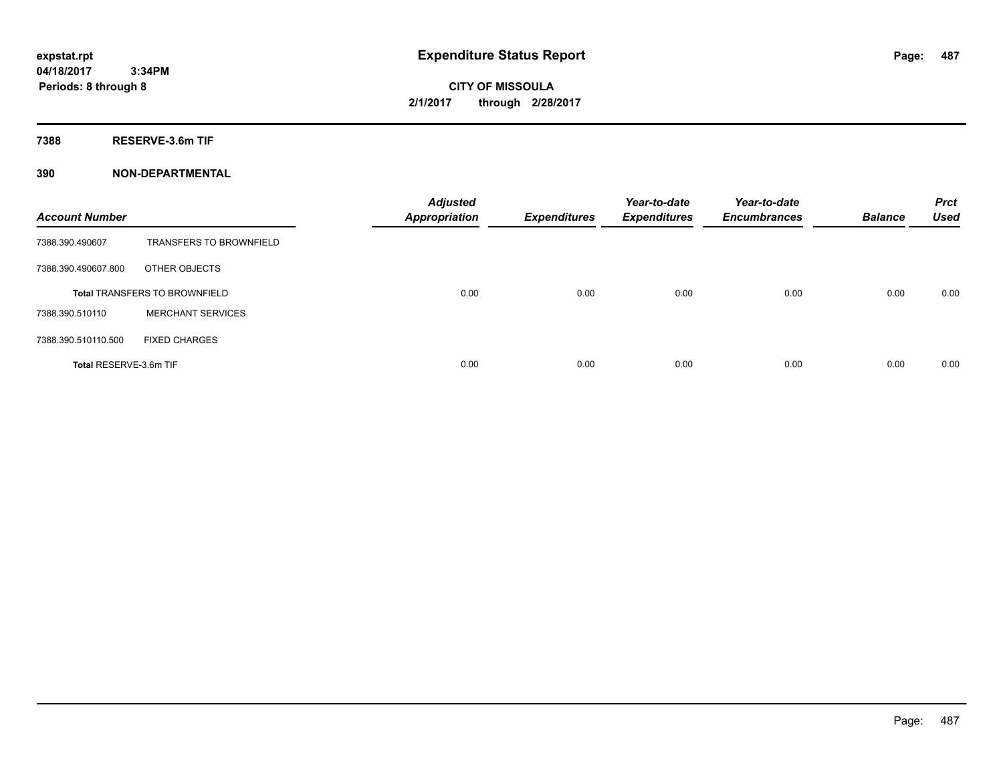**CITY OF MISSOULA 2/1/2017 through 2/28/2017**

**7388 RESERVE-3.6m TIF**

| <b>Account Number</b>  |                                      | <b>Adjusted</b><br><b>Appropriation</b> | <b>Expenditures</b> | Year-to-date<br><b>Expenditures</b> | Year-to-date<br><b>Encumbrances</b> | <b>Balance</b> | <b>Prct</b><br><b>Used</b> |
|------------------------|--------------------------------------|-----------------------------------------|---------------------|-------------------------------------|-------------------------------------|----------------|----------------------------|
| 7388.390.490607        | <b>TRANSFERS TO BROWNFIELD</b>       |                                         |                     |                                     |                                     |                |                            |
| 7388.390.490607.800    | OTHER OBJECTS                        |                                         |                     |                                     |                                     |                |                            |
|                        | <b>Total TRANSFERS TO BROWNFIELD</b> | 0.00                                    | 0.00                | 0.00                                | 0.00                                | 0.00           | 0.00                       |
| 7388.390.510110        | <b>MERCHANT SERVICES</b>             |                                         |                     |                                     |                                     |                |                            |
| 7388.390.510110.500    | <b>FIXED CHARGES</b>                 |                                         |                     |                                     |                                     |                |                            |
| Total RESERVE-3.6m TIF |                                      | 0.00                                    | 0.00                | 0.00                                | 0.00                                | 0.00           | 0.00                       |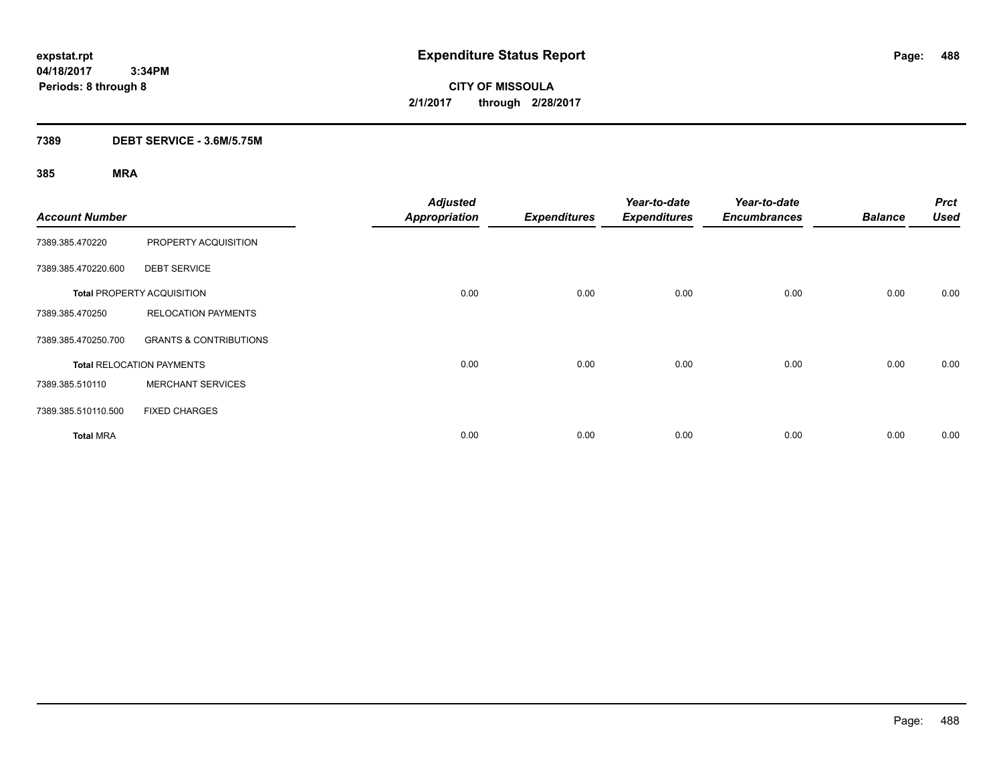**CITY OF MISSOULA 2/1/2017 through 2/28/2017**

### **7389 DEBT SERVICE - 3.6M/5.75M**

| <b>Account Number</b> |                                   | <b>Adjusted</b><br><b>Appropriation</b> | <b>Expenditures</b> | Year-to-date<br><b>Expenditures</b> | Year-to-date<br><b>Encumbrances</b> | <b>Balance</b> | <b>Prct</b><br><b>Used</b> |
|-----------------------|-----------------------------------|-----------------------------------------|---------------------|-------------------------------------|-------------------------------------|----------------|----------------------------|
| 7389.385.470220       | PROPERTY ACQUISITION              |                                         |                     |                                     |                                     |                |                            |
| 7389.385.470220.600   | <b>DEBT SERVICE</b>               |                                         |                     |                                     |                                     |                |                            |
|                       | <b>Total PROPERTY ACQUISITION</b> | 0.00                                    | 0.00                | 0.00                                | 0.00                                | 0.00           | 0.00                       |
| 7389.385.470250       | <b>RELOCATION PAYMENTS</b>        |                                         |                     |                                     |                                     |                |                            |
| 7389.385.470250.700   | <b>GRANTS &amp; CONTRIBUTIONS</b> |                                         |                     |                                     |                                     |                |                            |
|                       | <b>Total RELOCATION PAYMENTS</b>  | 0.00                                    | 0.00                | 0.00                                | 0.00                                | 0.00           | 0.00                       |
| 7389.385.510110       | <b>MERCHANT SERVICES</b>          |                                         |                     |                                     |                                     |                |                            |
| 7389.385.510110.500   | <b>FIXED CHARGES</b>              |                                         |                     |                                     |                                     |                |                            |
| <b>Total MRA</b>      |                                   | 0.00                                    | 0.00                | 0.00                                | 0.00                                | 0.00           | 0.00                       |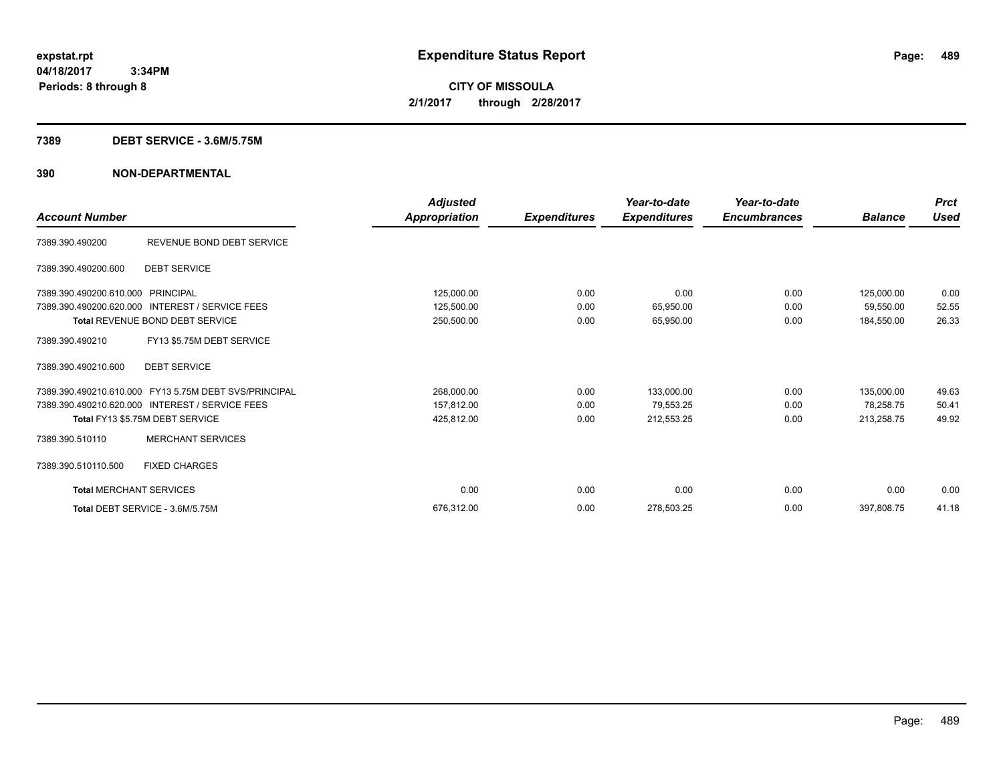**CITY OF MISSOULA 2/1/2017 through 2/28/2017**

### **7389 DEBT SERVICE - 3.6M/5.75M**

| <b>Account Number</b>          |                                                       | <b>Adjusted</b><br>Appropriation | <b>Expenditures</b> | Year-to-date<br><b>Expenditures</b> | Year-to-date<br><b>Encumbrances</b> | <b>Balance</b> | <b>Prct</b><br><b>Used</b> |
|--------------------------------|-------------------------------------------------------|----------------------------------|---------------------|-------------------------------------|-------------------------------------|----------------|----------------------------|
|                                |                                                       |                                  |                     |                                     |                                     |                |                            |
| 7389.390.490200                | REVENUE BOND DEBT SERVICE                             |                                  |                     |                                     |                                     |                |                            |
| 7389.390.490200.600            | <b>DEBT SERVICE</b>                                   |                                  |                     |                                     |                                     |                |                            |
| 7389.390.490200.610.000        | PRINCIPAL                                             | 125,000.00                       | 0.00                | 0.00                                | 0.00                                | 125,000.00     | 0.00                       |
| 7389.390.490200.620.000        | <b>INTEREST / SERVICE FEES</b>                        | 125,500.00                       | 0.00                | 65,950.00                           | 0.00                                | 59,550.00      | 52.55                      |
|                                | Total REVENUE BOND DEBT SERVICE                       | 250,500.00                       | 0.00                | 65,950.00                           | 0.00                                | 184,550.00     | 26.33                      |
| 7389.390.490210                | FY13 \$5.75M DEBT SERVICE                             |                                  |                     |                                     |                                     |                |                            |
| 7389.390.490210.600            | <b>DEBT SERVICE</b>                                   |                                  |                     |                                     |                                     |                |                            |
|                                | 7389.390.490210.610.000 FY13 5.75M DEBT SVS/PRINCIPAL | 268,000.00                       | 0.00                | 133,000.00                          | 0.00                                | 135,000.00     | 49.63                      |
|                                | 7389.390.490210.620.000 INTEREST / SERVICE FEES       | 157,812.00                       | 0.00                | 79,553.25                           | 0.00                                | 78.258.75      | 50.41                      |
|                                | Total FY13 \$5.75M DEBT SERVICE                       | 425,812.00                       | 0.00                | 212,553.25                          | 0.00                                | 213,258.75     | 49.92                      |
| 7389.390.510110                | <b>MERCHANT SERVICES</b>                              |                                  |                     |                                     |                                     |                |                            |
| 7389.390.510110.500            | <b>FIXED CHARGES</b>                                  |                                  |                     |                                     |                                     |                |                            |
| <b>Total MERCHANT SERVICES</b> |                                                       | 0.00                             | 0.00                | 0.00                                | 0.00                                | 0.00           | 0.00                       |
|                                | Total DEBT SERVICE - 3.6M/5.75M                       | 676.312.00                       | 0.00                | 278,503.25                          | 0.00                                | 397,808.75     | 41.18                      |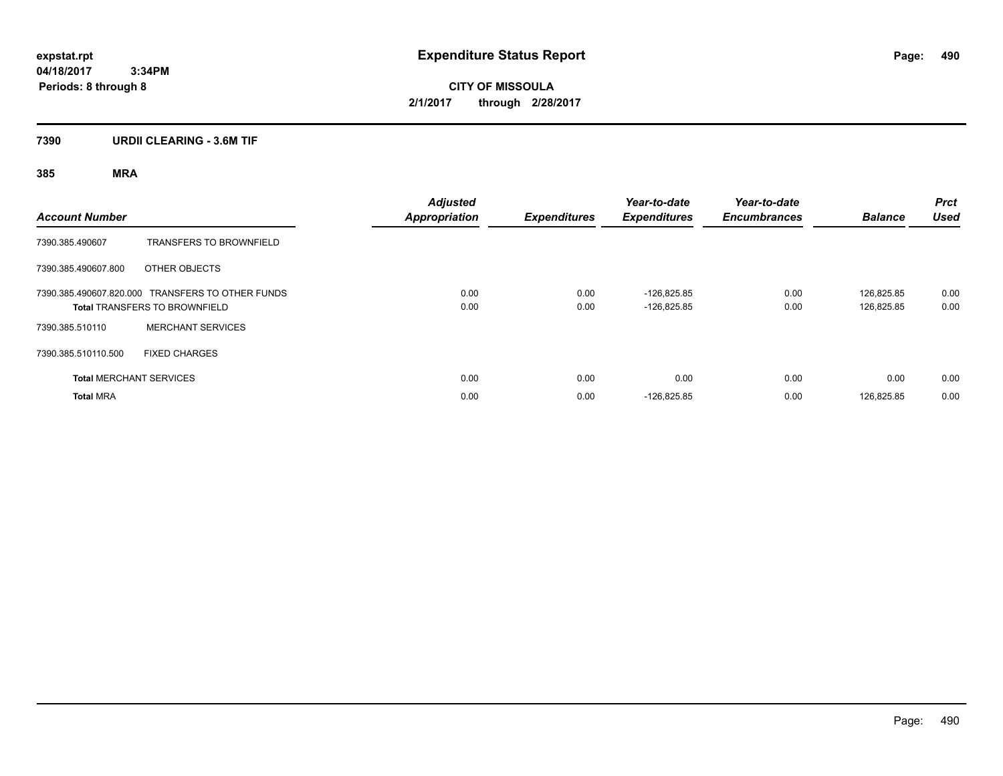**CITY OF MISSOULA 2/1/2017 through 2/28/2017**

### **7390 URDII CLEARING - 3.6M TIF**

| <b>Account Number</b> |                                                                                          | <b>Adjusted</b><br><b>Appropriation</b> | <b>Expenditures</b> | Year-to-date<br><b>Expenditures</b> | Year-to-date<br><b>Encumbrances</b> | <b>Balance</b>           | <b>Prct</b><br><b>Used</b> |
|-----------------------|------------------------------------------------------------------------------------------|-----------------------------------------|---------------------|-------------------------------------|-------------------------------------|--------------------------|----------------------------|
| 7390.385.490607       | <b>TRANSFERS TO BROWNFIELD</b>                                                           |                                         |                     |                                     |                                     |                          |                            |
| 7390.385.490607.800   | OTHER OBJECTS                                                                            |                                         |                     |                                     |                                     |                          |                            |
|                       | 7390.385.490607.820.000 TRANSFERS TO OTHER FUNDS<br><b>Total TRANSFERS TO BROWNFIELD</b> | 0.00<br>0.00                            | 0.00<br>0.00        | $-126.825.85$<br>$-126,825.85$      | 0.00<br>0.00                        | 126.825.85<br>126,825.85 | 0.00<br>0.00               |
| 7390.385.510110       | <b>MERCHANT SERVICES</b>                                                                 |                                         |                     |                                     |                                     |                          |                            |
| 7390.385.510110.500   | <b>FIXED CHARGES</b>                                                                     |                                         |                     |                                     |                                     |                          |                            |
|                       | <b>Total MERCHANT SERVICES</b>                                                           | 0.00                                    | 0.00                | 0.00                                | 0.00                                | 0.00                     | 0.00                       |
| <b>Total MRA</b>      |                                                                                          | 0.00                                    | 0.00                | $-126,825.85$                       | 0.00                                | 126,825.85               | 0.00                       |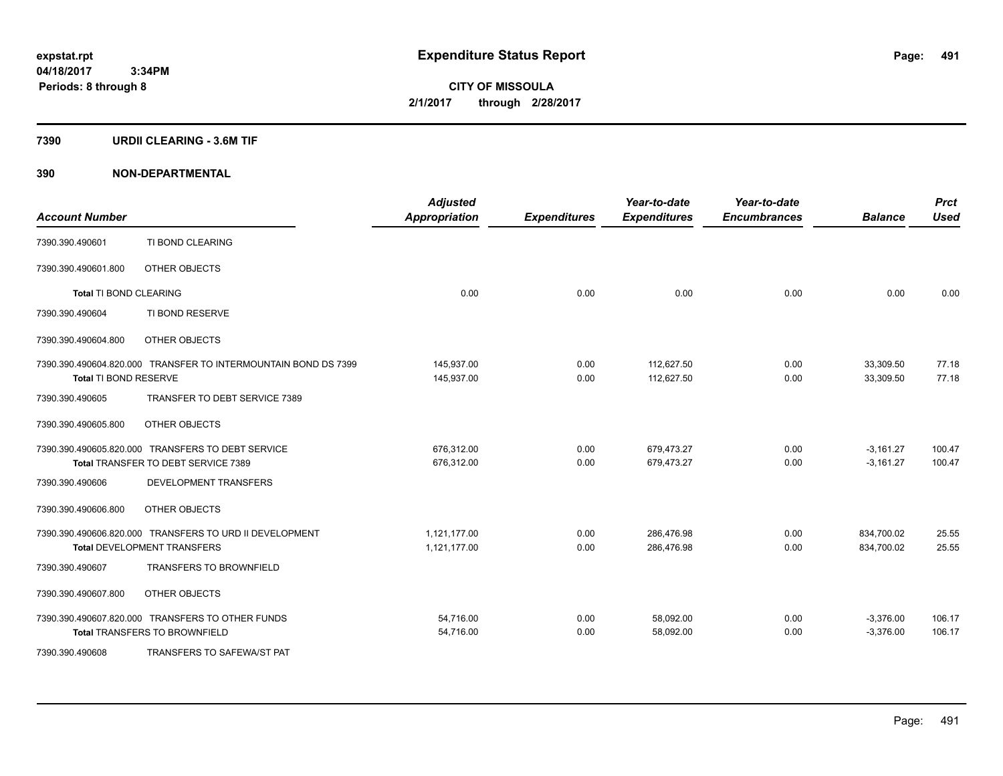**CITY OF MISSOULA 2/1/2017 through 2/28/2017**

### **7390 URDII CLEARING - 3.6M TIF**

| <b>Account Number</b>         |                                                                | <b>Adjusted</b><br><b>Appropriation</b> | <b>Expenditures</b> | Year-to-date<br><b>Expenditures</b> | Year-to-date<br><b>Encumbrances</b> | <b>Balance</b> | <b>Prct</b><br><b>Used</b> |
|-------------------------------|----------------------------------------------------------------|-----------------------------------------|---------------------|-------------------------------------|-------------------------------------|----------------|----------------------------|
| 7390.390.490601               | TI BOND CLEARING                                               |                                         |                     |                                     |                                     |                |                            |
| 7390.390.490601.800           | OTHER OBJECTS                                                  |                                         |                     |                                     |                                     |                |                            |
| <b>Total TI BOND CLEARING</b> |                                                                | 0.00                                    | 0.00                | 0.00                                | 0.00                                | 0.00           | 0.00                       |
| 7390.390.490604               | TI BOND RESERVE                                                |                                         |                     |                                     |                                     |                |                            |
| 7390.390.490604.800           | OTHER OBJECTS                                                  |                                         |                     |                                     |                                     |                |                            |
|                               | 7390.390.490604.820.000 TRANSFER TO INTERMOUNTAIN BOND DS 7399 | 145,937.00                              | 0.00                | 112.627.50                          | 0.00                                | 33,309.50      | 77.18                      |
| Total TI BOND RESERVE         |                                                                | 145,937.00                              | 0.00                | 112,627.50                          | 0.00                                | 33,309.50      | 77.18                      |
| 7390.390.490605               | TRANSFER TO DEBT SERVICE 7389                                  |                                         |                     |                                     |                                     |                |                            |
| 7390.390.490605.800           | OTHER OBJECTS                                                  |                                         |                     |                                     |                                     |                |                            |
|                               | 7390.390.490605.820.000 TRANSFERS TO DEBT SERVICE              | 676,312.00                              | 0.00                | 679,473.27                          | 0.00                                | $-3,161.27$    | 100.47                     |
|                               | Total TRANSFER TO DEBT SERVICE 7389                            | 676,312.00                              | 0.00                | 679,473.27                          | 0.00                                | $-3,161.27$    | 100.47                     |
| 7390.390.490606               | DEVELOPMENT TRANSFERS                                          |                                         |                     |                                     |                                     |                |                            |
| 7390.390.490606.800           | OTHER OBJECTS                                                  |                                         |                     |                                     |                                     |                |                            |
|                               | 7390.390.490606.820.000 TRANSFERS TO URD II DEVELOPMENT        | 1,121,177.00                            | 0.00                | 286,476.98                          | 0.00                                | 834,700.02     | 25.55                      |
|                               | <b>Total DEVELOPMENT TRANSFERS</b>                             | 1,121,177.00                            | 0.00                | 286,476.98                          | 0.00                                | 834,700.02     | 25.55                      |
| 7390.390.490607               | <b>TRANSFERS TO BROWNFIELD</b>                                 |                                         |                     |                                     |                                     |                |                            |
| 7390.390.490607.800           | OTHER OBJECTS                                                  |                                         |                     |                                     |                                     |                |                            |
|                               | 7390.390.490607.820.000 TRANSFERS TO OTHER FUNDS               | 54,716.00                               | 0.00                | 58,092.00                           | 0.00                                | $-3,376.00$    | 106.17                     |
|                               | <b>Total TRANSFERS TO BROWNFIELD</b>                           | 54,716.00                               | 0.00                | 58,092.00                           | 0.00                                | $-3,376.00$    | 106.17                     |
| 7390.390.490608               | TRANSFERS TO SAFEWA/ST PAT                                     |                                         |                     |                                     |                                     |                |                            |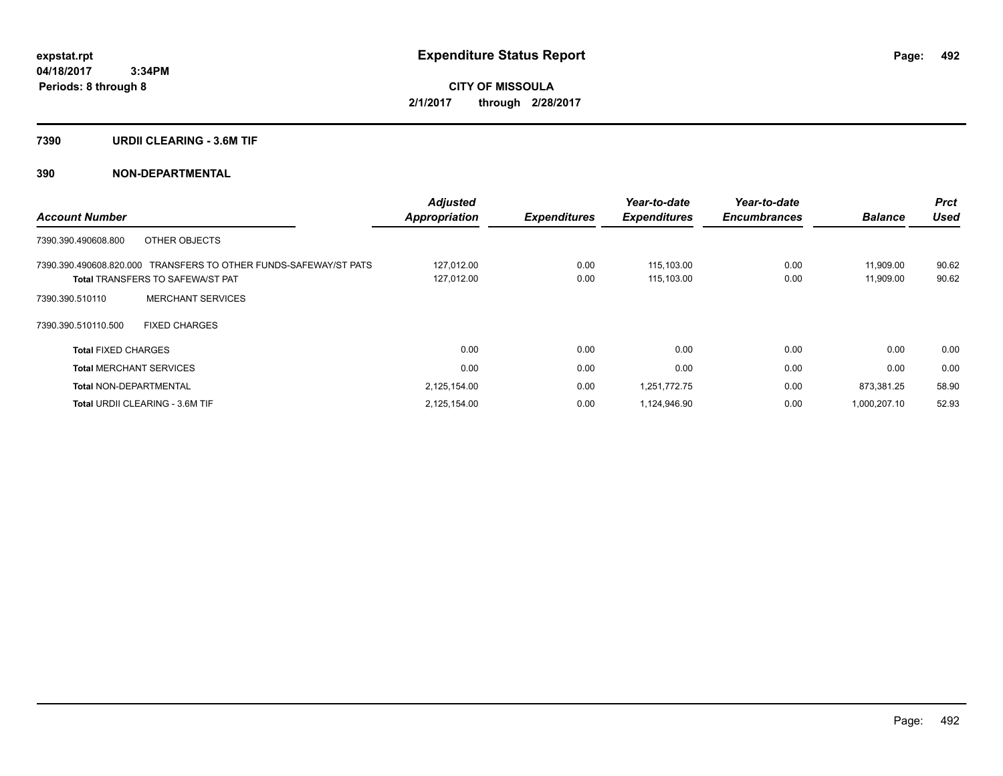**CITY OF MISSOULA 2/1/2017 through 2/28/2017**

### **7390 URDII CLEARING - 3.6M TIF**

|                                                                  | <b>Adjusted</b>      |                     | Year-to-date        | Year-to-date        |                | <b>Prct</b> |
|------------------------------------------------------------------|----------------------|---------------------|---------------------|---------------------|----------------|-------------|
| <b>Account Number</b>                                            | <b>Appropriation</b> | <b>Expenditures</b> | <b>Expenditures</b> | <b>Encumbrances</b> | <b>Balance</b> | <b>Used</b> |
| 7390.390.490608.800<br>OTHER OBJECTS                             |                      |                     |                     |                     |                |             |
| 7390.390.490608.820.000 TRANSFERS TO OTHER FUNDS-SAFEWAY/ST PATS | 127,012.00           | 0.00                | 115,103.00          | 0.00                | 11,909.00      | 90.62       |
| <b>Total TRANSFERS TO SAFEWA/ST PAT</b>                          | 127,012.00           | 0.00                | 115,103.00          | 0.00                | 11,909.00      | 90.62       |
| <b>MERCHANT SERVICES</b><br>7390.390.510110                      |                      |                     |                     |                     |                |             |
| 7390.390.510110.500<br><b>FIXED CHARGES</b>                      |                      |                     |                     |                     |                |             |
| <b>Total FIXED CHARGES</b>                                       | 0.00                 | 0.00                | 0.00                | 0.00                | 0.00           | 0.00        |
| <b>Total MERCHANT SERVICES</b>                                   | 0.00                 | 0.00                | 0.00                | 0.00                | 0.00           | 0.00        |
| <b>Total NON-DEPARTMENTAL</b>                                    | 2,125,154.00         | 0.00                | 1,251,772.75        | 0.00                | 873,381.25     | 58.90       |
| <b>Total URDII CLEARING - 3.6M TIF</b>                           | 2,125,154.00         | 0.00                | 1,124,946.90        | 0.00                | 1.000.207.10   | 52.93       |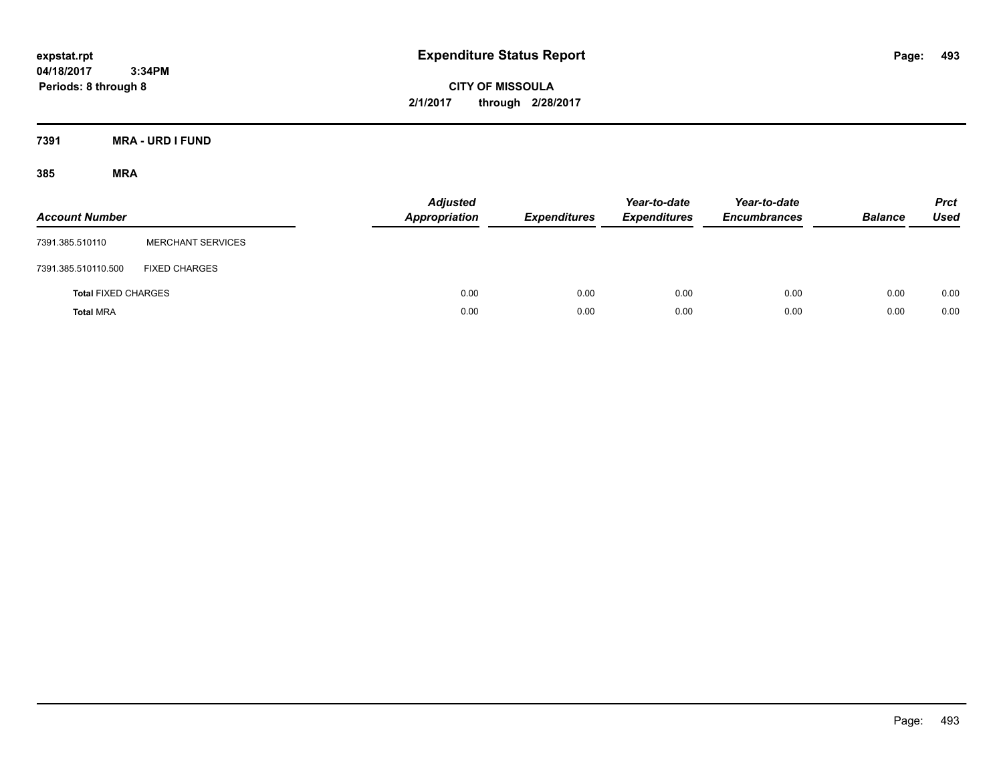**CITY OF MISSOULA 2/1/2017 through 2/28/2017**

**7391 MRA - URD I FUND**

| <b>Account Number</b>      |                          | <b>Adjusted</b><br><b>Appropriation</b> | <b>Expenditures</b> | Year-to-date<br><b>Expenditures</b> | Year-to-date<br><b>Encumbrances</b> | <b>Balance</b> | <b>Prct</b><br>Used |
|----------------------------|--------------------------|-----------------------------------------|---------------------|-------------------------------------|-------------------------------------|----------------|---------------------|
| 7391.385.510110            | <b>MERCHANT SERVICES</b> |                                         |                     |                                     |                                     |                |                     |
| 7391.385.510110.500        | <b>FIXED CHARGES</b>     |                                         |                     |                                     |                                     |                |                     |
| <b>Total FIXED CHARGES</b> |                          | 0.00                                    | 0.00                | 0.00                                | 0.00                                | 0.00           | 0.00                |
| <b>Total MRA</b>           |                          | 0.00                                    | 0.00                | 0.00                                | 0.00                                | 0.00           | 0.00                |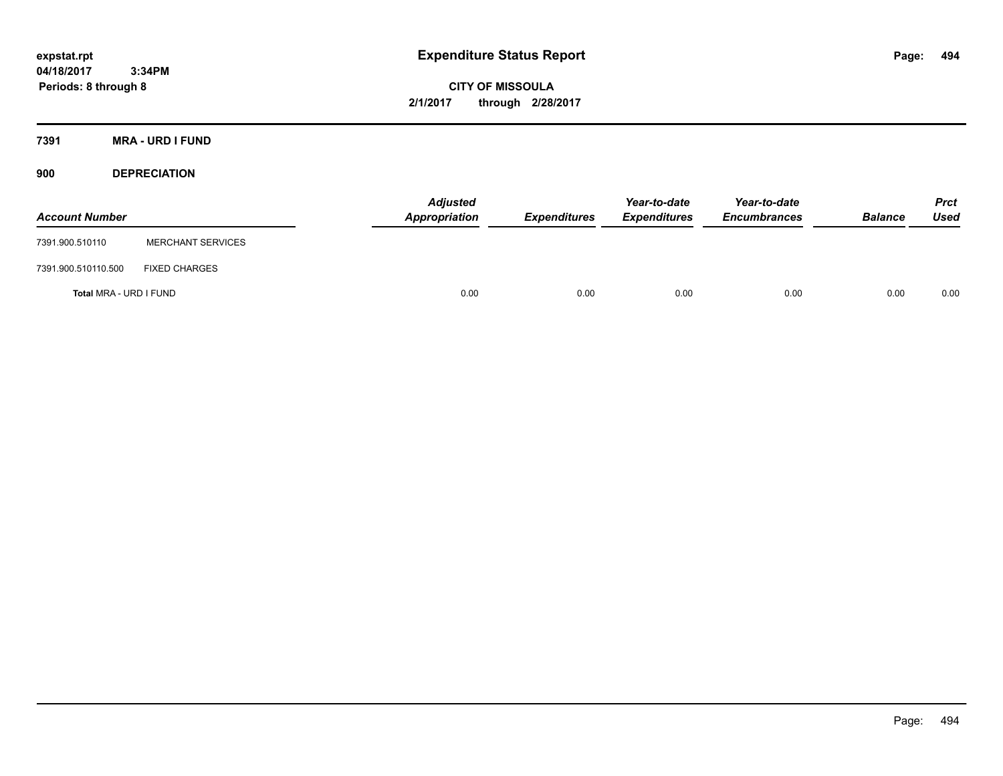**CITY OF MISSOULA 2/1/2017 through 2/28/2017**

**7391 MRA - URD I FUND**

**900 DEPRECIATION**

| <b>Account Number</b>  |                          | Adjusted<br>Appropriation | <b>Expenditures</b> | Year-to-date<br><b>Expenditures</b> | Year-to-date<br><b>Encumbrances</b> | <b>Balance</b> | Prct<br><b>Used</b> |
|------------------------|--------------------------|---------------------------|---------------------|-------------------------------------|-------------------------------------|----------------|---------------------|
| 7391.900.510110        | <b>MERCHANT SERVICES</b> |                           |                     |                                     |                                     |                |                     |
| 7391.900.510110.500    | <b>FIXED CHARGES</b>     |                           |                     |                                     |                                     |                |                     |
| Total MRA - URD I FUND |                          | 0.00                      | 0.00                | 0.00                                | 0.00                                | 0.00           | 0.00                |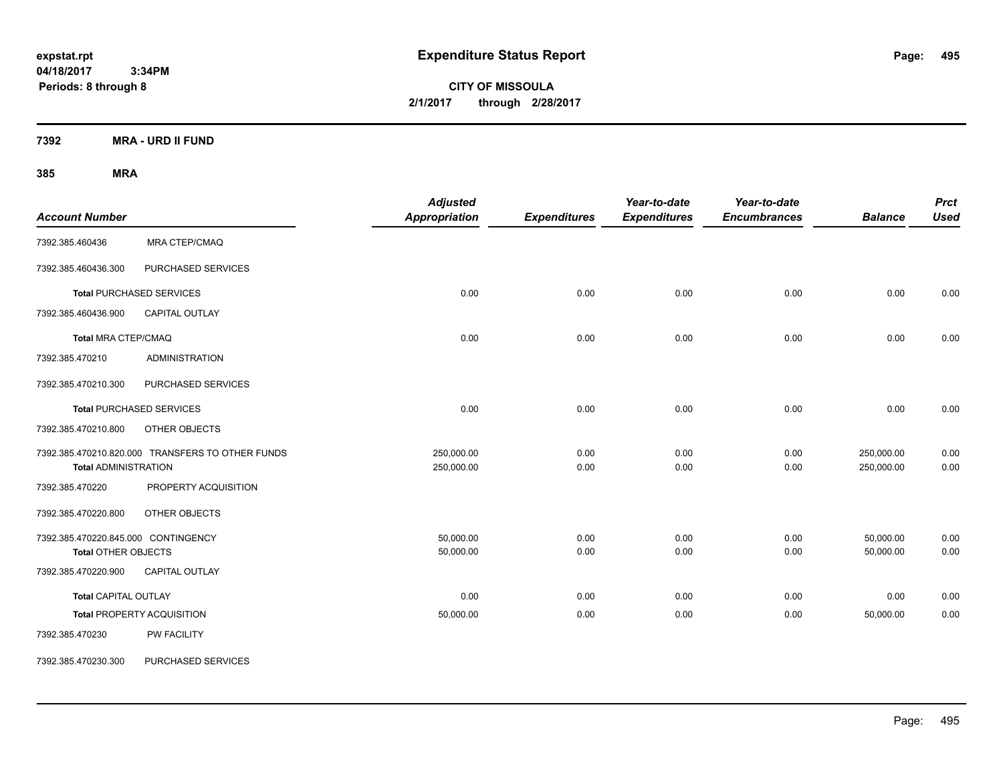**CITY OF MISSOULA 2/1/2017 through 2/28/2017**

**7392 MRA - URD II FUND**

| <b>Account Number</b>                                             |                                                  | <b>Adjusted</b><br><b>Appropriation</b> | <b>Expenditures</b> | Year-to-date<br><b>Expenditures</b> | Year-to-date<br><b>Encumbrances</b> | <b>Balance</b>           | <b>Prct</b><br><b>Used</b> |
|-------------------------------------------------------------------|--------------------------------------------------|-----------------------------------------|---------------------|-------------------------------------|-------------------------------------|--------------------------|----------------------------|
| 7392.385.460436                                                   | MRA CTEP/CMAQ                                    |                                         |                     |                                     |                                     |                          |                            |
| 7392.385.460436.300                                               | PURCHASED SERVICES                               |                                         |                     |                                     |                                     |                          |                            |
|                                                                   | <b>Total PURCHASED SERVICES</b>                  | 0.00                                    | 0.00                | 0.00                                | 0.00                                | 0.00                     | 0.00                       |
| 7392.385.460436.900                                               | CAPITAL OUTLAY                                   |                                         |                     |                                     |                                     |                          |                            |
| <b>Total MRA CTEP/CMAQ</b>                                        |                                                  | 0.00                                    | 0.00                | 0.00                                | 0.00                                | 0.00                     | 0.00                       |
| 7392.385.470210                                                   | <b>ADMINISTRATION</b>                            |                                         |                     |                                     |                                     |                          |                            |
| 7392.385.470210.300                                               | PURCHASED SERVICES                               |                                         |                     |                                     |                                     |                          |                            |
|                                                                   | <b>Total PURCHASED SERVICES</b>                  | 0.00                                    | 0.00                | 0.00                                | 0.00                                | 0.00                     | 0.00                       |
| 7392.385.470210.800                                               | OTHER OBJECTS                                    |                                         |                     |                                     |                                     |                          |                            |
| <b>Total ADMINISTRATION</b>                                       | 7392.385.470210.820.000 TRANSFERS TO OTHER FUNDS | 250,000.00<br>250,000.00                | 0.00<br>0.00        | 0.00<br>0.00                        | 0.00<br>0.00                        | 250,000.00<br>250,000.00 | 0.00<br>0.00               |
| 7392.385.470220                                                   | PROPERTY ACQUISITION                             |                                         |                     |                                     |                                     |                          |                            |
| 7392.385.470220.800                                               | OTHER OBJECTS                                    |                                         |                     |                                     |                                     |                          |                            |
| 7392.385.470220.845.000 CONTINGENCY<br><b>Total OTHER OBJECTS</b> |                                                  | 50,000.00<br>50,000.00                  | 0.00<br>0.00        | 0.00<br>0.00                        | 0.00<br>0.00                        | 50,000.00<br>50,000.00   | 0.00<br>0.00               |
| 7392.385.470220.900                                               | CAPITAL OUTLAY                                   |                                         |                     |                                     |                                     |                          |                            |
| <b>Total CAPITAL OUTLAY</b>                                       |                                                  | 0.00                                    | 0.00                | 0.00                                | 0.00                                | 0.00                     | 0.00                       |
|                                                                   | <b>Total PROPERTY ACQUISITION</b>                | 50,000.00                               | 0.00                | 0.00                                | 0.00                                | 50,000.00                | 0.00                       |
| 7392.385.470230                                                   | <b>PW FACILITY</b>                               |                                         |                     |                                     |                                     |                          |                            |
| 7392.385.470230.300                                               | PURCHASED SERVICES                               |                                         |                     |                                     |                                     |                          |                            |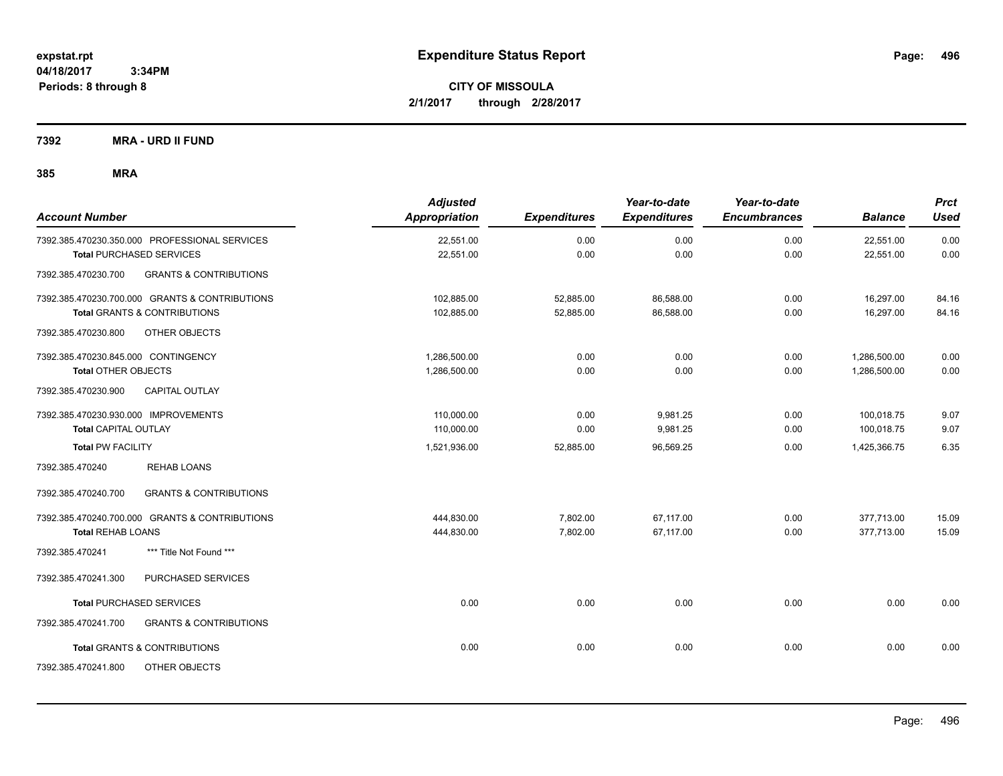**CITY OF MISSOULA 2/1/2017 through 2/28/2017**

**7392 MRA - URD II FUND**

| <b>Account Number</b>                                    | <b>Adjusted</b><br><b>Appropriation</b> | <b>Expenditures</b> | Year-to-date<br><b>Expenditures</b> | Year-to-date<br><b>Encumbrances</b> | <b>Balance</b> | <b>Prct</b><br>Used |
|----------------------------------------------------------|-----------------------------------------|---------------------|-------------------------------------|-------------------------------------|----------------|---------------------|
| 7392.385.470230.350.000 PROFESSIONAL SERVICES            | 22,551.00                               | 0.00                | 0.00                                | 0.00                                | 22,551.00      | 0.00                |
| <b>Total PURCHASED SERVICES</b>                          | 22,551.00                               | 0.00                | 0.00                                | 0.00                                | 22,551.00      | 0.00                |
| <b>GRANTS &amp; CONTRIBUTIONS</b><br>7392.385.470230.700 |                                         |                     |                                     |                                     |                |                     |
| 7392.385.470230.700.000 GRANTS & CONTRIBUTIONS           | 102,885.00                              | 52,885.00           | 86,588.00                           | 0.00                                | 16,297.00      | 84.16               |
| <b>Total GRANTS &amp; CONTRIBUTIONS</b>                  | 102,885.00                              | 52,885.00           | 86,588.00                           | 0.00                                | 16,297.00      | 84.16               |
| 7392.385.470230.800<br>OTHER OBJECTS                     |                                         |                     |                                     |                                     |                |                     |
| 7392.385.470230.845.000 CONTINGENCY                      | 1,286,500.00                            | 0.00                | 0.00                                | 0.00                                | 1,286,500.00   | 0.00                |
| <b>Total OTHER OBJECTS</b>                               | 1,286,500.00                            | 0.00                | 0.00                                | 0.00                                | 1,286,500.00   | 0.00                |
| CAPITAL OUTLAY<br>7392.385.470230.900                    |                                         |                     |                                     |                                     |                |                     |
| 7392.385.470230.930.000 IMPROVEMENTS                     | 110,000.00                              | 0.00                | 9,981.25                            | 0.00                                | 100,018.75     | 9.07                |
| Total CAPITAL OUTLAY                                     | 110,000.00                              | 0.00                | 9,981.25                            | 0.00                                | 100,018.75     | 9.07                |
| <b>Total PW FACILITY</b>                                 | 1,521,936.00                            | 52,885.00           | 96,569.25                           | 0.00                                | 1,425,366.75   | 6.35                |
| <b>REHAB LOANS</b><br>7392.385.470240                    |                                         |                     |                                     |                                     |                |                     |
| <b>GRANTS &amp; CONTRIBUTIONS</b><br>7392.385.470240.700 |                                         |                     |                                     |                                     |                |                     |
| 7392.385.470240.700.000 GRANTS & CONTRIBUTIONS           | 444,830.00                              | 7,802.00            | 67.117.00                           | 0.00                                | 377,713.00     | 15.09               |
| <b>Total REHAB LOANS</b>                                 | 444,830.00                              | 7,802.00            | 67,117.00                           | 0.00                                | 377,713.00     | 15.09               |
| 7392.385.470241<br>*** Title Not Found ***               |                                         |                     |                                     |                                     |                |                     |
| 7392.385.470241.300<br>PURCHASED SERVICES                |                                         |                     |                                     |                                     |                |                     |
| <b>Total PURCHASED SERVICES</b>                          | 0.00                                    | 0.00                | 0.00                                | 0.00                                | 0.00           | 0.00                |
| 7392.385.470241.700<br><b>GRANTS &amp; CONTRIBUTIONS</b> |                                         |                     |                                     |                                     |                |                     |
| <b>Total GRANTS &amp; CONTRIBUTIONS</b>                  | 0.00                                    | 0.00                | 0.00                                | 0.00                                | 0.00           | 0.00                |
| 7392.385.470241.800<br><b>OTHER OBJECTS</b>              |                                         |                     |                                     |                                     |                |                     |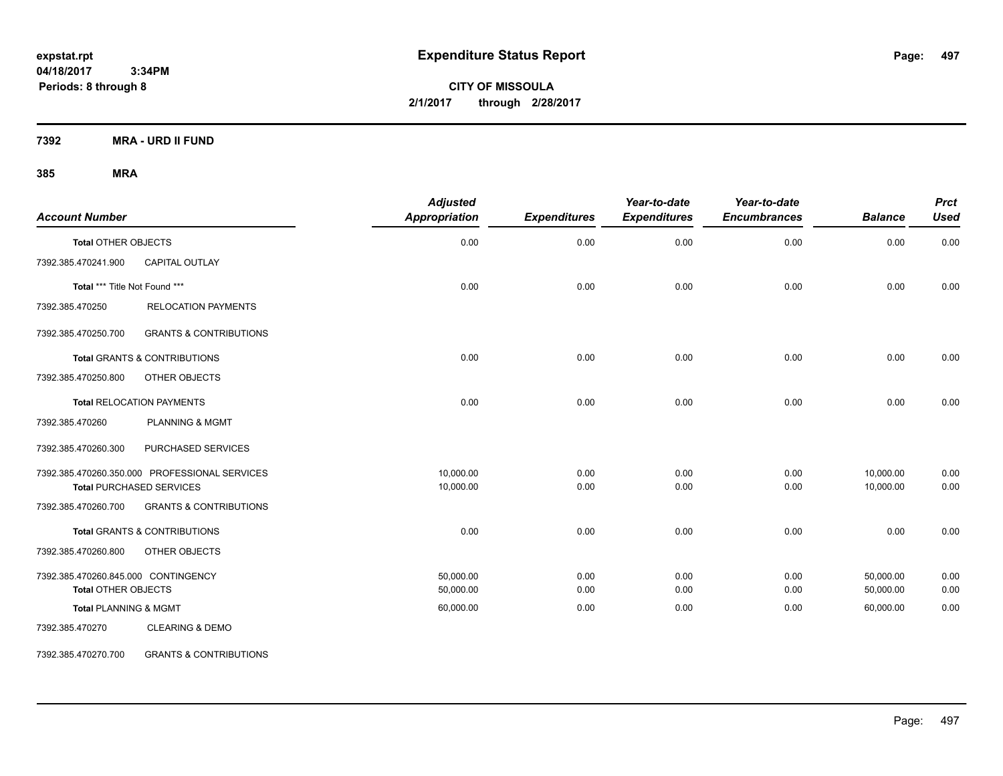**CITY OF MISSOULA 2/1/2017 through 2/28/2017**

**7392 MRA - URD II FUND**

### **385 MRA**

| <b>Account Number</b>               |                                               | <b>Adjusted</b><br>Appropriation | <b>Expenditures</b> | Year-to-date<br><b>Expenditures</b> | Year-to-date<br><b>Encumbrances</b> | <b>Balance</b> | <b>Prct</b><br><b>Used</b> |
|-------------------------------------|-----------------------------------------------|----------------------------------|---------------------|-------------------------------------|-------------------------------------|----------------|----------------------------|
| <b>Total OTHER OBJECTS</b>          |                                               | 0.00                             | 0.00                | 0.00                                | 0.00                                | 0.00           | 0.00                       |
| 7392.385.470241.900                 | CAPITAL OUTLAY                                |                                  |                     |                                     |                                     |                |                            |
| Total *** Title Not Found ***       |                                               | 0.00                             | 0.00                | 0.00                                | 0.00                                | 0.00           | 0.00                       |
| 7392.385.470250                     | <b>RELOCATION PAYMENTS</b>                    |                                  |                     |                                     |                                     |                |                            |
| 7392.385.470250.700                 | <b>GRANTS &amp; CONTRIBUTIONS</b>             |                                  |                     |                                     |                                     |                |                            |
|                                     | <b>Total GRANTS &amp; CONTRIBUTIONS</b>       | 0.00                             | 0.00                | 0.00                                | 0.00                                | 0.00           | 0.00                       |
| 7392.385.470250.800                 | OTHER OBJECTS                                 |                                  |                     |                                     |                                     |                |                            |
|                                     | <b>Total RELOCATION PAYMENTS</b>              | 0.00                             | 0.00                | 0.00                                | 0.00                                | 0.00           | 0.00                       |
| 7392.385.470260                     | <b>PLANNING &amp; MGMT</b>                    |                                  |                     |                                     |                                     |                |                            |
| 7392.385.470260.300                 | PURCHASED SERVICES                            |                                  |                     |                                     |                                     |                |                            |
|                                     | 7392.385.470260.350.000 PROFESSIONAL SERVICES | 10,000.00                        | 0.00                | 0.00                                | 0.00                                | 10,000.00      | 0.00                       |
|                                     | <b>Total PURCHASED SERVICES</b>               | 10,000.00                        | 0.00                | 0.00                                | 0.00                                | 10,000.00      | 0.00                       |
| 7392.385.470260.700                 | <b>GRANTS &amp; CONTRIBUTIONS</b>             |                                  |                     |                                     |                                     |                |                            |
|                                     | Total GRANTS & CONTRIBUTIONS                  | 0.00                             | 0.00                | 0.00                                | 0.00                                | 0.00           | 0.00                       |
| 7392.385.470260.800                 | OTHER OBJECTS                                 |                                  |                     |                                     |                                     |                |                            |
| 7392.385.470260.845.000 CONTINGENCY |                                               | 50.000.00                        | 0.00                | 0.00                                | 0.00                                | 50,000.00      | 0.00                       |
| <b>Total OTHER OBJECTS</b>          |                                               | 50,000.00                        | 0.00                | 0.00                                | 0.00                                | 50,000.00      | 0.00                       |
| <b>Total PLANNING &amp; MGMT</b>    |                                               | 60,000.00                        | 0.00                | 0.00                                | 0.00                                | 60,000.00      | 0.00                       |
| 7392.385.470270                     | <b>CLEARING &amp; DEMO</b>                    |                                  |                     |                                     |                                     |                |                            |

7392.385.470270.700 GRANTS & CONTRIBUTIONS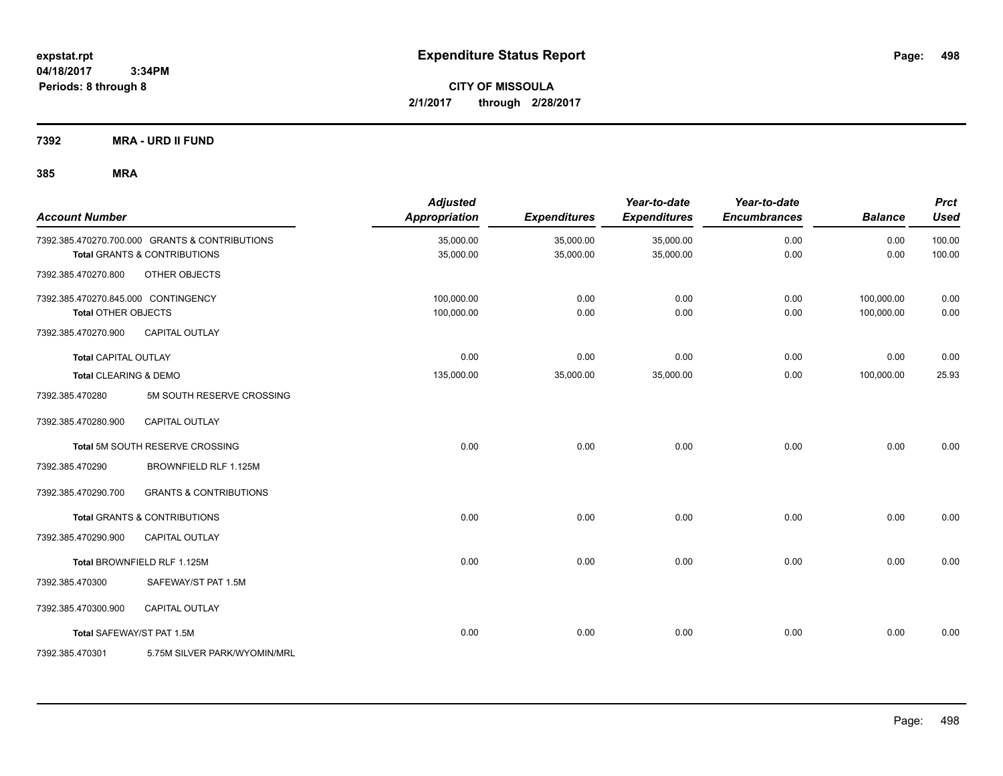**CITY OF MISSOULA 2/1/2017 through 2/28/2017**

**7392 MRA - URD II FUND**

| <b>Account Number</b>                                             |                                                                                           | <b>Adjusted</b><br>Appropriation | <b>Expenditures</b>    | Year-to-date<br><b>Expenditures</b> | Year-to-date<br><b>Encumbrances</b> | <b>Balance</b>           | <b>Prct</b><br><b>Used</b> |
|-------------------------------------------------------------------|-------------------------------------------------------------------------------------------|----------------------------------|------------------------|-------------------------------------|-------------------------------------|--------------------------|----------------------------|
|                                                                   | 7392.385.470270.700.000 GRANTS & CONTRIBUTIONS<br><b>Total GRANTS &amp; CONTRIBUTIONS</b> | 35,000.00<br>35,000.00           | 35,000.00<br>35,000.00 | 35,000.00<br>35,000.00              | 0.00<br>0.00                        | 0.00<br>0.00             | 100.00<br>100.00           |
| 7392.385.470270.800                                               | OTHER OBJECTS                                                                             |                                  |                        |                                     |                                     |                          |                            |
| 7392.385.470270.845.000 CONTINGENCY<br><b>Total OTHER OBJECTS</b> |                                                                                           | 100,000.00<br>100,000.00         | 0.00<br>0.00           | 0.00<br>0.00                        | 0.00<br>0.00                        | 100,000.00<br>100,000.00 | 0.00<br>0.00               |
| 7392.385.470270.900                                               | <b>CAPITAL OUTLAY</b>                                                                     |                                  |                        |                                     |                                     |                          |                            |
| <b>Total CAPITAL OUTLAY</b>                                       |                                                                                           | 0.00                             | 0.00                   | 0.00                                | 0.00                                | 0.00                     | 0.00                       |
| Total CLEARING & DEMO                                             |                                                                                           | 135,000.00                       | 35,000.00              | 35,000.00                           | 0.00                                | 100,000.00               | 25.93                      |
| 7392.385.470280                                                   | 5M SOUTH RESERVE CROSSING                                                                 |                                  |                        |                                     |                                     |                          |                            |
| 7392.385.470280.900                                               | CAPITAL OUTLAY                                                                            |                                  |                        |                                     |                                     |                          |                            |
|                                                                   | Total 5M SOUTH RESERVE CROSSING                                                           | 0.00                             | 0.00                   | 0.00                                | 0.00                                | 0.00                     | 0.00                       |
| 7392.385.470290                                                   | BROWNFIELD RLF 1.125M                                                                     |                                  |                        |                                     |                                     |                          |                            |
| 7392.385.470290.700                                               | <b>GRANTS &amp; CONTRIBUTIONS</b>                                                         |                                  |                        |                                     |                                     |                          |                            |
|                                                                   | <b>Total GRANTS &amp; CONTRIBUTIONS</b>                                                   | 0.00                             | 0.00                   | 0.00                                | 0.00                                | 0.00                     | 0.00                       |
| 7392.385.470290.900                                               | <b>CAPITAL OUTLAY</b>                                                                     |                                  |                        |                                     |                                     |                          |                            |
|                                                                   | Total BROWNFIELD RLF 1.125M                                                               | 0.00                             | 0.00                   | 0.00                                | 0.00                                | 0.00                     | 0.00                       |
| 7392.385.470300                                                   | SAFEWAY/ST PAT 1.5M                                                                       |                                  |                        |                                     |                                     |                          |                            |
| 7392.385.470300.900                                               | <b>CAPITAL OUTLAY</b>                                                                     |                                  |                        |                                     |                                     |                          |                            |
|                                                                   | Total SAFEWAY/ST PAT 1.5M                                                                 | 0.00                             | 0.00                   | 0.00                                | 0.00                                | 0.00                     | 0.00                       |
| 7392.385.470301                                                   | 5.75M SILVER PARK/WYOMIN/MRL                                                              |                                  |                        |                                     |                                     |                          |                            |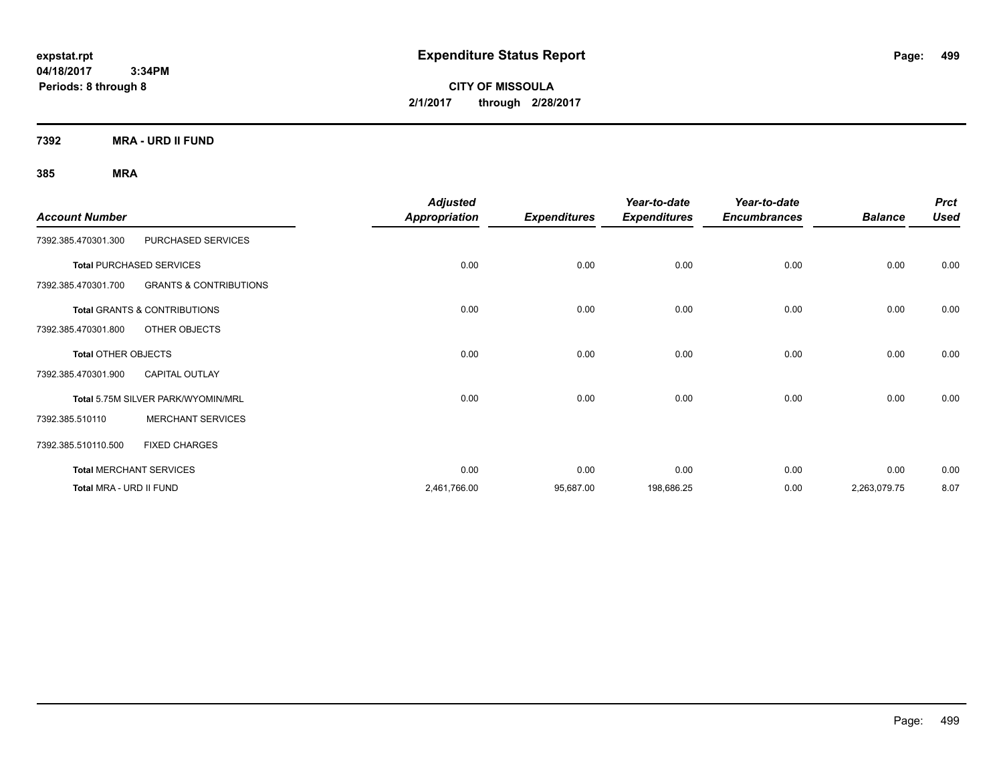**CITY OF MISSOULA 2/1/2017 through 2/28/2017**

**7392 MRA - URD II FUND**

| <b>Account Number</b>      |                                         | <b>Adjusted</b>      |                     | Year-to-date        | Year-to-date<br><b>Encumbrances</b> | <b>Balance</b> | <b>Prct</b><br><b>Used</b> |
|----------------------------|-----------------------------------------|----------------------|---------------------|---------------------|-------------------------------------|----------------|----------------------------|
|                            |                                         | <b>Appropriation</b> | <b>Expenditures</b> | <b>Expenditures</b> |                                     |                |                            |
| 7392.385.470301.300        | PURCHASED SERVICES                      |                      |                     |                     |                                     |                |                            |
|                            | <b>Total PURCHASED SERVICES</b>         | 0.00                 | 0.00                | 0.00                | 0.00                                | 0.00           | 0.00                       |
| 7392.385.470301.700        | <b>GRANTS &amp; CONTRIBUTIONS</b>       |                      |                     |                     |                                     |                |                            |
|                            | <b>Total GRANTS &amp; CONTRIBUTIONS</b> | 0.00                 | 0.00                | 0.00                | 0.00                                | 0.00           | 0.00                       |
| 7392.385.470301.800        | OTHER OBJECTS                           |                      |                     |                     |                                     |                |                            |
| <b>Total OTHER OBJECTS</b> |                                         | 0.00                 | 0.00                | 0.00                | 0.00                                | 0.00           | 0.00                       |
| 7392.385.470301.900        | <b>CAPITAL OUTLAY</b>                   |                      |                     |                     |                                     |                |                            |
|                            | Total 5.75M SILVER PARK/WYOMIN/MRL      | 0.00                 | 0.00                | 0.00                | 0.00                                | 0.00           | 0.00                       |
| 7392.385.510110            | <b>MERCHANT SERVICES</b>                |                      |                     |                     |                                     |                |                            |
| 7392.385.510110.500        | <b>FIXED CHARGES</b>                    |                      |                     |                     |                                     |                |                            |
|                            | <b>Total MERCHANT SERVICES</b>          | 0.00                 | 0.00                | 0.00                | 0.00                                | 0.00           | 0.00                       |
| Total MRA - URD II FUND    |                                         | 2,461,766.00         | 95,687.00           | 198,686.25          | 0.00                                | 2,263,079.75   | 8.07                       |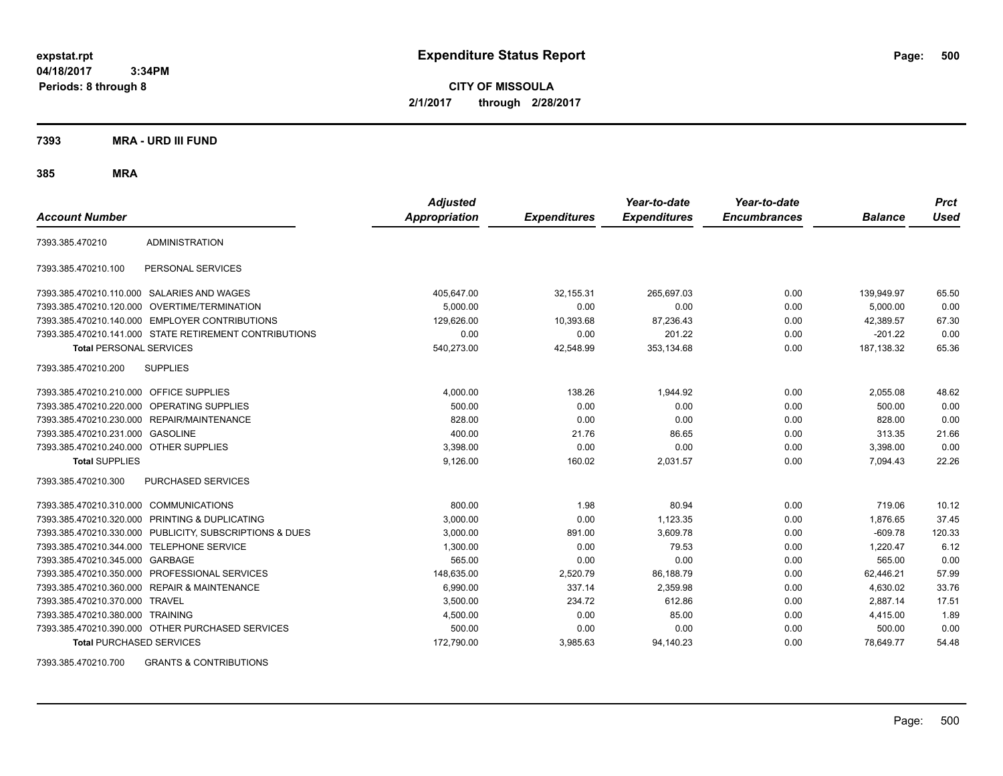**CITY OF MISSOULA 2/1/2017 through 2/28/2017**

**7393 MRA - URD III FUND**

**385 MRA**

| <b>Account Number</b>                   |                                                         | <b>Adjusted</b><br><b>Appropriation</b> | <b>Expenditures</b> | Year-to-date<br><b>Expenditures</b> | Year-to-date<br><b>Encumbrances</b> | <b>Balance</b> | <b>Prct</b><br><b>Used</b> |
|-----------------------------------------|---------------------------------------------------------|-----------------------------------------|---------------------|-------------------------------------|-------------------------------------|----------------|----------------------------|
| 7393.385.470210                         | <b>ADMINISTRATION</b>                                   |                                         |                     |                                     |                                     |                |                            |
| 7393.385.470210.100                     | PERSONAL SERVICES                                       |                                         |                     |                                     |                                     |                |                            |
|                                         | 7393.385.470210.110.000 SALARIES AND WAGES              | 405,647.00                              | 32,155.31           | 265,697.03                          | 0.00                                | 139,949.97     | 65.50                      |
|                                         | 7393.385.470210.120.000 OVERTIME/TERMINATION            | 5.000.00                                | 0.00                | 0.00                                | 0.00                                | 5.000.00       | 0.00                       |
|                                         | 7393.385.470210.140.000 EMPLOYER CONTRIBUTIONS          | 129,626.00                              | 10,393.68           | 87,236.43                           | 0.00                                | 42,389.57      | 67.30                      |
|                                         | 7393.385.470210.141.000 STATE RETIREMENT CONTRIBUTIONS  | 0.00                                    | 0.00                | 201.22                              | 0.00                                | $-201.22$      | 0.00                       |
| <b>Total PERSONAL SERVICES</b>          |                                                         | 540,273.00                              | 42,548.99           | 353,134.68                          | 0.00                                | 187, 138.32    | 65.36                      |
| 7393.385.470210.200                     | <b>SUPPLIES</b>                                         |                                         |                     |                                     |                                     |                |                            |
| 7393.385.470210.210.000 OFFICE SUPPLIES |                                                         | 4,000.00                                | 138.26              | 1,944.92                            | 0.00                                | 2,055.08       | 48.62                      |
|                                         | 7393.385.470210.220.000 OPERATING SUPPLIES              | 500.00                                  | 0.00                | 0.00                                | 0.00                                | 500.00         | 0.00                       |
| 7393.385.470210.230.000                 | REPAIR/MAINTENANCE                                      | 828.00                                  | 0.00                | 0.00                                | 0.00                                | 828.00         | 0.00                       |
| 7393.385.470210.231.000                 | <b>GASOLINE</b>                                         | 400.00                                  | 21.76               | 86.65                               | 0.00                                | 313.35         | 21.66                      |
| 7393.385.470210.240.000 OTHER SUPPLIES  |                                                         | 3,398.00                                | 0.00                | 0.00                                | 0.00                                | 3,398.00       | 0.00                       |
| <b>Total SUPPLIES</b>                   |                                                         | 9,126.00                                | 160.02              | 2,031.57                            | 0.00                                | 7,094.43       | 22.26                      |
| 7393.385.470210.300                     | <b>PURCHASED SERVICES</b>                               |                                         |                     |                                     |                                     |                |                            |
| 7393.385.470210.310.000                 | <b>COMMUNICATIONS</b>                                   | 800.00                                  | 1.98                | 80.94                               | 0.00                                | 719.06         | 10.12                      |
| 7393.385.470210.320.000                 | PRINTING & DUPLICATING                                  | 3,000.00                                | 0.00                | 1,123.35                            | 0.00                                | 1,876.65       | 37.45                      |
|                                         | 7393.385.470210.330.000 PUBLICITY, SUBSCRIPTIONS & DUES | 3,000.00                                | 891.00              | 3,609.78                            | 0.00                                | $-609.78$      | 120.33                     |
| 7393.385.470210.344.000                 | TELEPHONE SERVICE                                       | 1,300.00                                | 0.00                | 79.53                               | 0.00                                | 1.220.47       | 6.12                       |
| 7393.385.470210.345.000 GARBAGE         |                                                         | 565.00                                  | 0.00                | 0.00                                | 0.00                                | 565.00         | 0.00                       |
|                                         | 7393.385.470210.350.000 PROFESSIONAL SERVICES           | 148.635.00                              | 2,520.79            | 86,188.79                           | 0.00                                | 62,446.21      | 57.99                      |
|                                         | 7393.385.470210.360.000 REPAIR & MAINTENANCE            | 6,990.00                                | 337.14              | 2,359.98                            | 0.00                                | 4,630.02       | 33.76                      |
| 7393.385.470210.370.000 TRAVEL          |                                                         | 3,500.00                                | 234.72              | 612.86                              | 0.00                                | 2,887.14       | 17.51                      |
| 7393.385.470210.380.000 TRAINING        |                                                         | 4,500.00                                | 0.00                | 85.00                               | 0.00                                | 4,415.00       | 1.89                       |
|                                         | 7393.385.470210.390.000 OTHER PURCHASED SERVICES        | 500.00                                  | 0.00                | 0.00                                | 0.00                                | 500.00         | 0.00                       |
| <b>Total PURCHASED SERVICES</b>         |                                                         | 172,790.00                              | 3,985.63            | 94,140.23                           | 0.00                                | 78,649.77      | 54.48                      |

7393.385.470210.700 GRANTS & CONTRIBUTIONS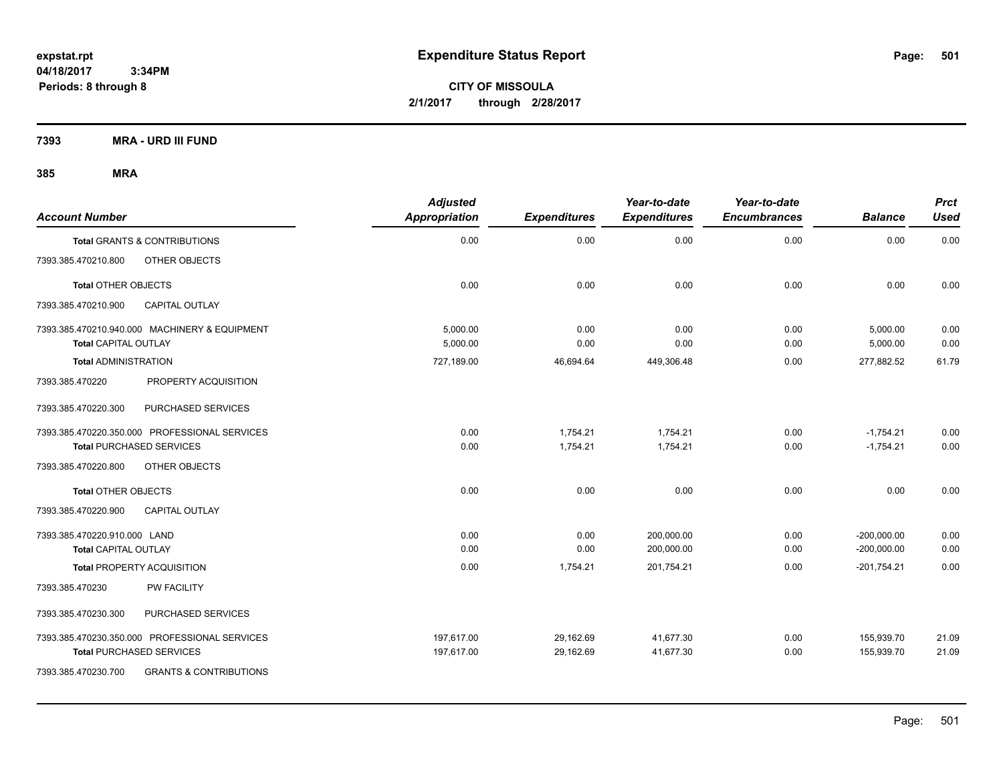**CITY OF MISSOULA 2/1/2017 through 2/28/2017**

**7393 MRA - URD III FUND**

|                              |                                               | <b>Adjusted</b> |                     | Year-to-date        | Year-to-date        |                | <b>Prct</b> |
|------------------------------|-----------------------------------------------|-----------------|---------------------|---------------------|---------------------|----------------|-------------|
| <b>Account Number</b>        |                                               | Appropriation   | <b>Expenditures</b> | <b>Expenditures</b> | <b>Encumbrances</b> | <b>Balance</b> | <b>Used</b> |
|                              | <b>Total GRANTS &amp; CONTRIBUTIONS</b>       | 0.00            | 0.00                | 0.00                | 0.00                | 0.00           | 0.00        |
| 7393.385.470210.800          | OTHER OBJECTS                                 |                 |                     |                     |                     |                |             |
| <b>Total OTHER OBJECTS</b>   |                                               | 0.00            | 0.00                | 0.00                | 0.00                | 0.00           | 0.00        |
| 7393.385.470210.900          | <b>CAPITAL OUTLAY</b>                         |                 |                     |                     |                     |                |             |
|                              | 7393.385.470210.940.000 MACHINERY & EQUIPMENT | 5,000.00        | 0.00                | 0.00                | 0.00                | 5,000.00       | 0.00        |
| <b>Total CAPITAL OUTLAY</b>  |                                               | 5.000.00        | 0.00                | 0.00                | 0.00                | 5,000.00       | 0.00        |
| <b>Total ADMINISTRATION</b>  |                                               | 727,189.00      | 46,694.64           | 449,306.48          | 0.00                | 277,882.52     | 61.79       |
| 7393.385.470220              | PROPERTY ACQUISITION                          |                 |                     |                     |                     |                |             |
| 7393.385.470220.300          | PURCHASED SERVICES                            |                 |                     |                     |                     |                |             |
|                              | 7393.385.470220.350.000 PROFESSIONAL SERVICES | 0.00            | 1,754.21            | 1,754.21            | 0.00                | $-1,754.21$    | 0.00        |
|                              | <b>Total PURCHASED SERVICES</b>               | 0.00            | 1,754.21            | 1,754.21            | 0.00                | $-1,754.21$    | 0.00        |
| 7393.385.470220.800          | OTHER OBJECTS                                 |                 |                     |                     |                     |                |             |
| <b>Total OTHER OBJECTS</b>   |                                               | 0.00            | 0.00                | 0.00                | 0.00                | 0.00           | 0.00        |
| 7393.385.470220.900          | <b>CAPITAL OUTLAY</b>                         |                 |                     |                     |                     |                |             |
| 7393.385.470220.910.000 LAND |                                               | 0.00            | 0.00                | 200,000.00          | 0.00                | $-200,000.00$  | 0.00        |
| Total CAPITAL OUTLAY         |                                               | 0.00            | 0.00                | 200,000.00          | 0.00                | $-200,000.00$  | 0.00        |
|                              | <b>Total PROPERTY ACQUISITION</b>             | 0.00            | 1,754.21            | 201,754.21          | 0.00                | $-201,754.21$  | 0.00        |
| 7393.385.470230              | <b>PW FACILITY</b>                            |                 |                     |                     |                     |                |             |
| 7393.385.470230.300          | PURCHASED SERVICES                            |                 |                     |                     |                     |                |             |
|                              | 7393.385.470230.350.000 PROFESSIONAL SERVICES | 197,617.00      | 29,162.69           | 41,677.30           | 0.00                | 155,939.70     | 21.09       |
|                              | Total PURCHASED SERVICES                      | 197,617.00      | 29,162.69           | 41,677.30           | 0.00                | 155,939.70     | 21.09       |
| 7393.385.470230.700          | <b>GRANTS &amp; CONTRIBUTIONS</b>             |                 |                     |                     |                     |                |             |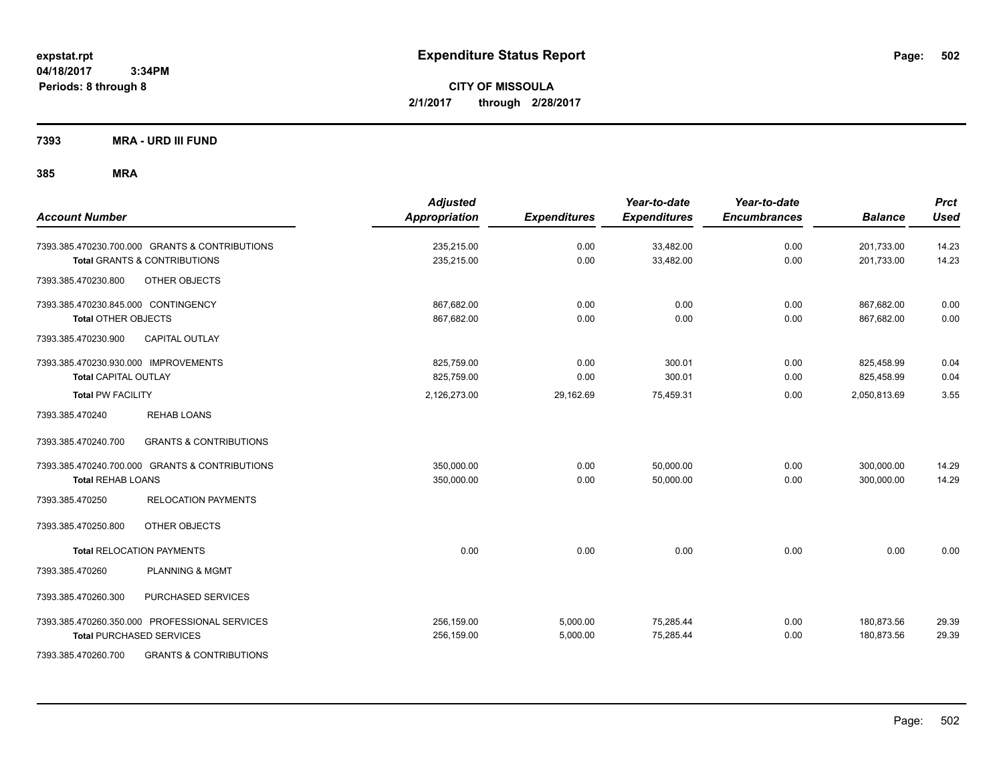**CITY OF MISSOULA 2/1/2017 through 2/28/2017**

**7393 MRA - URD III FUND**

| <b>Account Number</b>                                    | <b>Adjusted</b><br><b>Appropriation</b> | <b>Expenditures</b> | Year-to-date<br><b>Expenditures</b> | Year-to-date<br><b>Encumbrances</b> | <b>Balance</b> | <b>Prct</b><br><b>Used</b> |
|----------------------------------------------------------|-----------------------------------------|---------------------|-------------------------------------|-------------------------------------|----------------|----------------------------|
| 7393.385.470230.700.000 GRANTS & CONTRIBUTIONS           | 235,215.00                              | 0.00                | 33,482.00                           | 0.00                                | 201,733.00     | 14.23                      |
| <b>Total GRANTS &amp; CONTRIBUTIONS</b>                  | 235,215.00                              | 0.00                | 33,482.00                           | 0.00                                | 201,733.00     | 14.23                      |
| 7393.385.470230.800<br>OTHER OBJECTS                     |                                         |                     |                                     |                                     |                |                            |
| 7393.385.470230.845.000 CONTINGENCY                      | 867,682.00                              | 0.00                | 0.00                                | 0.00                                | 867,682.00     | 0.00                       |
| <b>Total OTHER OBJECTS</b>                               | 867,682.00                              | 0.00                | 0.00                                | 0.00                                | 867,682.00     | 0.00                       |
| CAPITAL OUTLAY<br>7393.385.470230.900                    |                                         |                     |                                     |                                     |                |                            |
| 7393.385.470230.930.000 IMPROVEMENTS                     | 825,759.00                              | 0.00                | 300.01                              | 0.00                                | 825,458.99     | 0.04                       |
| <b>Total CAPITAL OUTLAY</b>                              | 825,759.00                              | 0.00                | 300.01                              | 0.00                                | 825,458.99     | 0.04                       |
| <b>Total PW FACILITY</b>                                 | 2,126,273.00                            | 29,162.69           | 75,459.31                           | 0.00                                | 2,050,813.69   | 3.55                       |
| 7393.385.470240<br><b>REHAB LOANS</b>                    |                                         |                     |                                     |                                     |                |                            |
| 7393.385.470240.700<br><b>GRANTS &amp; CONTRIBUTIONS</b> |                                         |                     |                                     |                                     |                |                            |
| 7393.385.470240.700.000 GRANTS & CONTRIBUTIONS           | 350,000.00                              | 0.00                | 50,000.00                           | 0.00                                | 300,000.00     | 14.29                      |
| <b>Total REHAB LOANS</b>                                 | 350,000.00                              | 0.00                | 50,000.00                           | 0.00                                | 300,000.00     | 14.29                      |
| 7393.385.470250<br><b>RELOCATION PAYMENTS</b>            |                                         |                     |                                     |                                     |                |                            |
| OTHER OBJECTS<br>7393.385.470250.800                     |                                         |                     |                                     |                                     |                |                            |
| <b>Total RELOCATION PAYMENTS</b>                         | 0.00                                    | 0.00                | 0.00                                | 0.00                                | 0.00           | 0.00                       |
| PLANNING & MGMT<br>7393.385.470260                       |                                         |                     |                                     |                                     |                |                            |
| PURCHASED SERVICES<br>7393.385.470260.300                |                                         |                     |                                     |                                     |                |                            |
| 7393.385.470260.350.000 PROFESSIONAL SERVICES            | 256,159.00                              | 5,000.00            | 75,285.44                           | 0.00                                | 180,873.56     | 29.39                      |
| <b>Total PURCHASED SERVICES</b>                          | 256,159.00                              | 5,000.00            | 75,285.44                           | 0.00                                | 180,873.56     | 29.39                      |
| 7393.385.470260.700<br><b>GRANTS &amp; CONTRIBUTIONS</b> |                                         |                     |                                     |                                     |                |                            |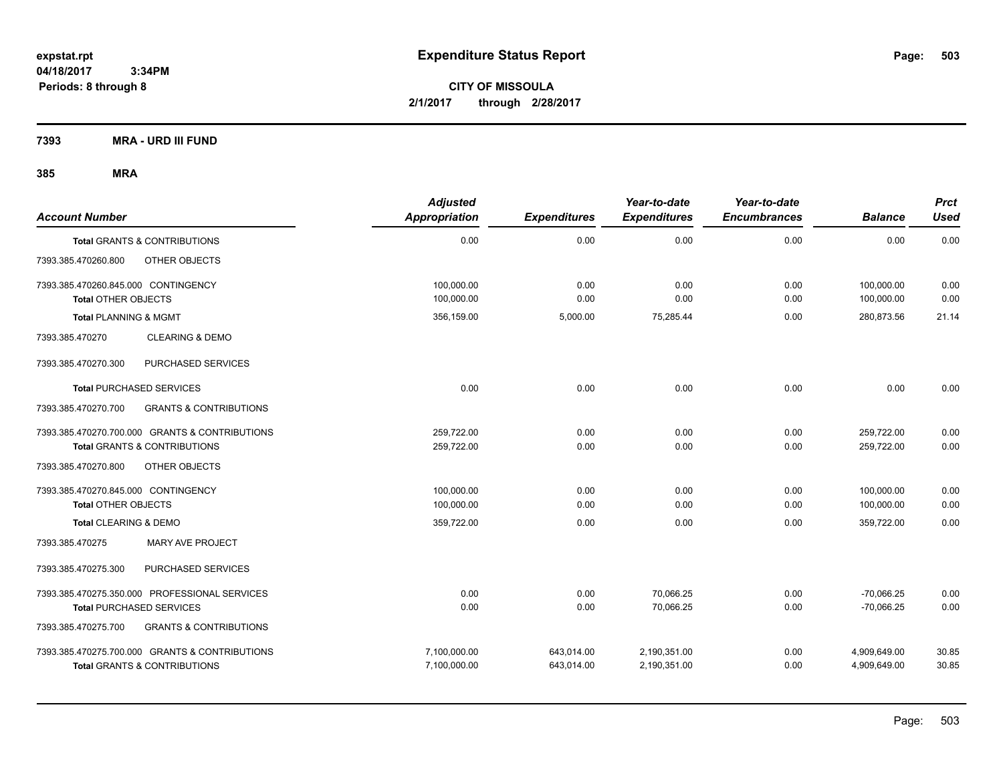**CITY OF MISSOULA 2/1/2017 through 2/28/2017**

**7393 MRA - URD III FUND**

| <b>Account Number</b>                                                                     | <b>Adjusted</b><br>Appropriation | <b>Expenditures</b>      | Year-to-date<br><b>Expenditures</b> | Year-to-date<br><b>Encumbrances</b> | <b>Balance</b>               | <b>Prct</b><br><b>Used</b> |
|-------------------------------------------------------------------------------------------|----------------------------------|--------------------------|-------------------------------------|-------------------------------------|------------------------------|----------------------------|
| <b>Total GRANTS &amp; CONTRIBUTIONS</b>                                                   | 0.00                             | 0.00                     | 0.00                                | 0.00                                | 0.00                         | 0.00                       |
| 7393.385.470260.800<br>OTHER OBJECTS                                                      |                                  |                          |                                     |                                     |                              |                            |
| 7393.385.470260.845.000 CONTINGENCY<br><b>Total OTHER OBJECTS</b>                         | 100.000.00<br>100,000.00         | 0.00<br>0.00             | 0.00<br>0.00                        | 0.00<br>0.00                        | 100.000.00<br>100,000.00     | 0.00<br>0.00               |
| <b>Total PLANNING &amp; MGMT</b>                                                          | 356,159.00                       | 5,000.00                 | 75,285.44                           | 0.00                                | 280,873.56                   | 21.14                      |
| <b>CLEARING &amp; DEMO</b><br>7393.385.470270                                             |                                  |                          |                                     |                                     |                              |                            |
| 7393.385.470270.300<br>PURCHASED SERVICES                                                 |                                  |                          |                                     |                                     |                              |                            |
| <b>Total PURCHASED SERVICES</b>                                                           | 0.00                             | 0.00                     | 0.00                                | 0.00                                | 0.00                         | 0.00                       |
| 7393.385.470270.700<br><b>GRANTS &amp; CONTRIBUTIONS</b>                                  |                                  |                          |                                     |                                     |                              |                            |
| 7393.385.470270.700.000 GRANTS & CONTRIBUTIONS<br><b>Total GRANTS &amp; CONTRIBUTIONS</b> | 259,722.00<br>259,722.00         | 0.00<br>0.00             | 0.00<br>0.00                        | 0.00<br>0.00                        | 259,722.00<br>259,722.00     | 0.00<br>0.00               |
| OTHER OBJECTS<br>7393.385.470270.800                                                      |                                  |                          |                                     |                                     |                              |                            |
| 7393.385.470270.845.000 CONTINGENCY<br><b>Total OTHER OBJECTS</b>                         | 100,000.00<br>100,000.00         | 0.00<br>0.00             | 0.00<br>0.00                        | 0.00<br>0.00                        | 100,000.00<br>100,000.00     | 0.00<br>0.00               |
| Total CLEARING & DEMO                                                                     | 359,722.00                       | 0.00                     | 0.00                                | 0.00                                | 359,722.00                   | 0.00                       |
| MARY AVE PROJECT<br>7393.385.470275                                                       |                                  |                          |                                     |                                     |                              |                            |
| 7393.385.470275.300<br>PURCHASED SERVICES                                                 |                                  |                          |                                     |                                     |                              |                            |
| 7393.385.470275.350.000 PROFESSIONAL SERVICES<br><b>Total PURCHASED SERVICES</b>          | 0.00<br>0.00                     | 0.00<br>0.00             | 70.066.25<br>70,066.25              | 0.00<br>0.00                        | $-70.066.25$<br>$-70,066.25$ | 0.00<br>0.00               |
| <b>GRANTS &amp; CONTRIBUTIONS</b><br>7393.385.470275.700                                  |                                  |                          |                                     |                                     |                              |                            |
| 7393.385.470275.700.000 GRANTS & CONTRIBUTIONS<br>Total GRANTS & CONTRIBUTIONS            | 7,100,000.00<br>7,100,000.00     | 643,014.00<br>643,014.00 | 2,190,351.00<br>2,190,351.00        | 0.00<br>0.00                        | 4,909,649.00<br>4,909,649.00 | 30.85<br>30.85             |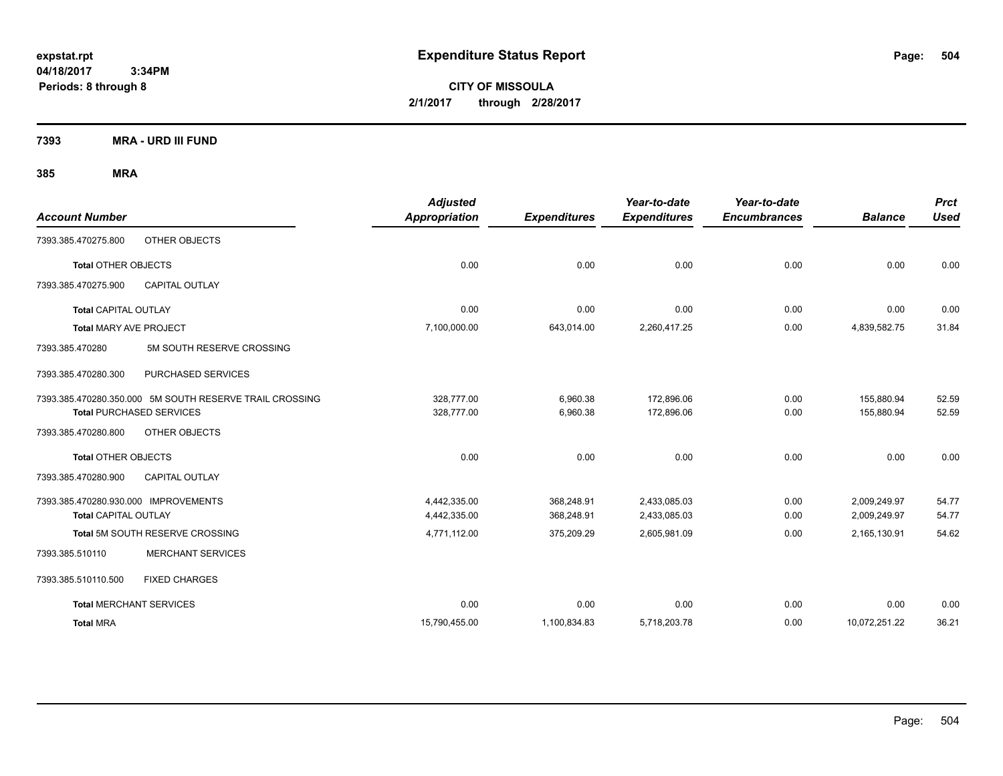**CITY OF MISSOULA 2/1/2017 through 2/28/2017**

**7393 MRA - URD III FUND**

| <b>Account Number</b>                                   | <b>Adjusted</b><br>Appropriation | <b>Expenditures</b> | Year-to-date<br><b>Expenditures</b> | Year-to-date<br><b>Encumbrances</b> | <b>Balance</b> | <b>Prct</b><br><b>Used</b> |
|---------------------------------------------------------|----------------------------------|---------------------|-------------------------------------|-------------------------------------|----------------|----------------------------|
| OTHER OBJECTS<br>7393.385.470275.800                    |                                  |                     |                                     |                                     |                |                            |
| <b>Total OTHER OBJECTS</b>                              | 0.00                             | 0.00                | 0.00                                | 0.00                                | 0.00           | 0.00                       |
| 7393.385.470275.900<br><b>CAPITAL OUTLAY</b>            |                                  |                     |                                     |                                     |                |                            |
| <b>Total CAPITAL OUTLAY</b>                             | 0.00                             | 0.00                | 0.00                                | 0.00                                | 0.00           | 0.00                       |
| <b>Total MARY AVE PROJECT</b>                           | 7,100,000.00                     | 643,014.00          | 2,260,417.25                        | 0.00                                | 4,839,582.75   | 31.84                      |
| 7393.385.470280<br>5M SOUTH RESERVE CROSSING            |                                  |                     |                                     |                                     |                |                            |
| 7393.385.470280.300<br>PURCHASED SERVICES               |                                  |                     |                                     |                                     |                |                            |
| 7393.385.470280.350.000 5M SOUTH RESERVE TRAIL CROSSING | 328,777.00                       | 6,960.38            | 172,896.06                          | 0.00                                | 155,880.94     | 52.59                      |
| <b>Total PURCHASED SERVICES</b>                         | 328,777.00                       | 6,960.38            | 172,896.06                          | 0.00                                | 155,880.94     | 52.59                      |
| 7393.385.470280.800<br>OTHER OBJECTS                    |                                  |                     |                                     |                                     |                |                            |
| <b>Total OTHER OBJECTS</b>                              | 0.00                             | 0.00                | 0.00                                | 0.00                                | 0.00           | 0.00                       |
| CAPITAL OUTLAY<br>7393.385.470280.900                   |                                  |                     |                                     |                                     |                |                            |
| 7393.385.470280.930.000 IMPROVEMENTS                    | 4,442,335.00                     | 368.248.91          | 2,433,085.03                        | 0.00                                | 2,009,249.97   | 54.77                      |
| <b>Total CAPITAL OUTLAY</b>                             | 4,442,335.00                     | 368,248.91          | 2,433,085.03                        | 0.00                                | 2,009,249.97   | 54.77                      |
| Total 5M SOUTH RESERVE CROSSING                         | 4,771,112.00                     | 375,209.29          | 2,605,981.09                        | 0.00                                | 2,165,130.91   | 54.62                      |
| <b>MERCHANT SERVICES</b><br>7393.385.510110             |                                  |                     |                                     |                                     |                |                            |
| <b>FIXED CHARGES</b><br>7393.385.510110.500             |                                  |                     |                                     |                                     |                |                            |
| <b>Total MERCHANT SERVICES</b>                          | 0.00                             | 0.00                | 0.00                                | 0.00                                | 0.00           | 0.00                       |
| <b>Total MRA</b>                                        | 15,790,455.00                    | 1,100,834.83        | 5,718,203.78                        | 0.00                                | 10,072,251.22  | 36.21                      |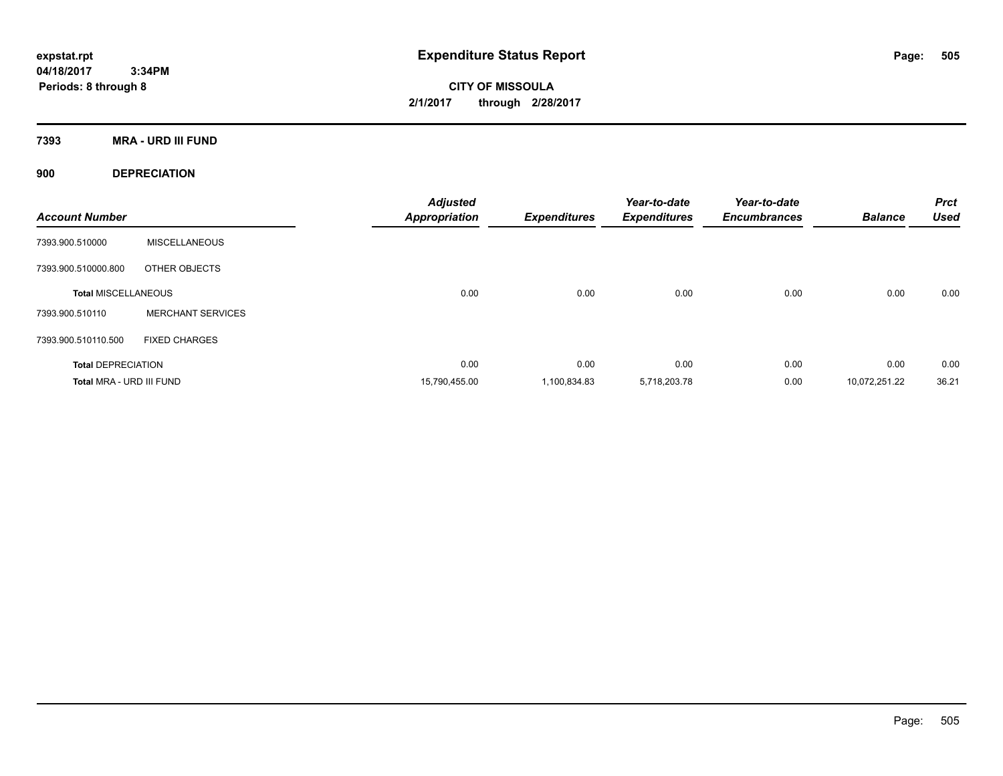**CITY OF MISSOULA 2/1/2017 through 2/28/2017**

**7393 MRA - URD III FUND**

**900 DEPRECIATION**

| <b>Account Number</b>      |                          | <b>Adjusted</b><br><b>Appropriation</b> | <b>Expenditures</b> | Year-to-date<br><b>Expenditures</b> | Year-to-date<br><b>Encumbrances</b> | <b>Balance</b> | <b>Prct</b><br><b>Used</b> |
|----------------------------|--------------------------|-----------------------------------------|---------------------|-------------------------------------|-------------------------------------|----------------|----------------------------|
| 7393.900.510000            | <b>MISCELLANEOUS</b>     |                                         |                     |                                     |                                     |                |                            |
| 7393.900.510000.800        | OTHER OBJECTS            |                                         |                     |                                     |                                     |                |                            |
| <b>Total MISCELLANEOUS</b> |                          | 0.00                                    | 0.00                | 0.00                                | 0.00                                | 0.00           | 0.00                       |
| 7393.900.510110            | <b>MERCHANT SERVICES</b> |                                         |                     |                                     |                                     |                |                            |
| 7393.900.510110.500        | <b>FIXED CHARGES</b>     |                                         |                     |                                     |                                     |                |                            |
| <b>Total DEPRECIATION</b>  |                          | 0.00                                    | 0.00                | 0.00                                | 0.00                                | 0.00           | 0.00                       |
| Total MRA - URD III FUND   |                          | 15,790,455.00                           | 1,100,834.83        | 5,718,203.78                        | 0.00                                | 10,072,251.22  | 36.21                      |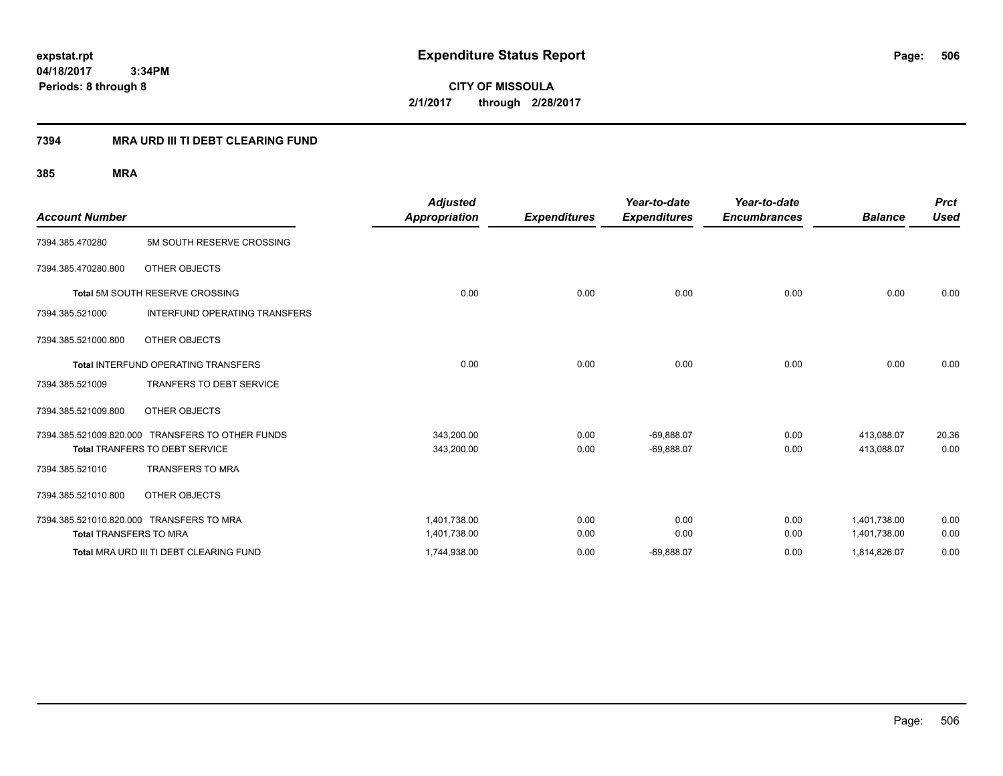**CITY OF MISSOULA 2/1/2017 through 2/28/2017**

### **7394 MRA URD III TI DEBT CLEARING FUND**

|                                          |                                                  | <b>Adjusted</b>      |                     | Year-to-date        | Year-to-date        |                | <b>Prct</b> |
|------------------------------------------|--------------------------------------------------|----------------------|---------------------|---------------------|---------------------|----------------|-------------|
| <b>Account Number</b>                    |                                                  | <b>Appropriation</b> | <b>Expenditures</b> | <b>Expenditures</b> | <b>Encumbrances</b> | <b>Balance</b> | <b>Used</b> |
| 7394.385.470280                          | 5M SOUTH RESERVE CROSSING                        |                      |                     |                     |                     |                |             |
| 7394.385.470280.800                      | OTHER OBJECTS                                    |                      |                     |                     |                     |                |             |
|                                          | Total 5M SOUTH RESERVE CROSSING                  | 0.00                 | 0.00                | 0.00                | 0.00                | 0.00           | 0.00        |
| 7394.385.521000                          | <b>INTERFUND OPERATING TRANSFERS</b>             |                      |                     |                     |                     |                |             |
| 7394.385.521000.800                      | OTHER OBJECTS                                    |                      |                     |                     |                     |                |             |
|                                          | <b>Total INTERFUND OPERATING TRANSFERS</b>       | 0.00                 | 0.00                | 0.00                | 0.00                | 0.00           | 0.00        |
| 7394.385.521009                          | <b>TRANFERS TO DEBT SERVICE</b>                  |                      |                     |                     |                     |                |             |
| 7394.385.521009.800                      | OTHER OBJECTS                                    |                      |                     |                     |                     |                |             |
|                                          | 7394.385.521009.820.000 TRANSFERS TO OTHER FUNDS | 343,200.00           | 0.00                | $-69,888.07$        | 0.00                | 413,088.07     | 20.36       |
|                                          | Total TRANFERS TO DEBT SERVICE                   | 343,200.00           | 0.00                | $-69,888.07$        | 0.00                | 413,088.07     | 0.00        |
| 7394.385.521010                          | <b>TRANSFERS TO MRA</b>                          |                      |                     |                     |                     |                |             |
| 7394.385.521010.800                      | OTHER OBJECTS                                    |                      |                     |                     |                     |                |             |
| 7394.385.521010.820.000 TRANSFERS TO MRA |                                                  | 1,401,738.00         | 0.00                | 0.00                | 0.00                | 1,401,738.00   | 0.00        |
| <b>Total TRANSFERS TO MRA</b>            |                                                  | 1,401,738.00         | 0.00                | 0.00                | 0.00                | 1,401,738.00   | 0.00        |
|                                          | Total MRA URD III TI DEBT CLEARING FUND          | 1,744,938.00         | 0.00                | $-69,888.07$        | 0.00                | 1,814,826.07   | 0.00        |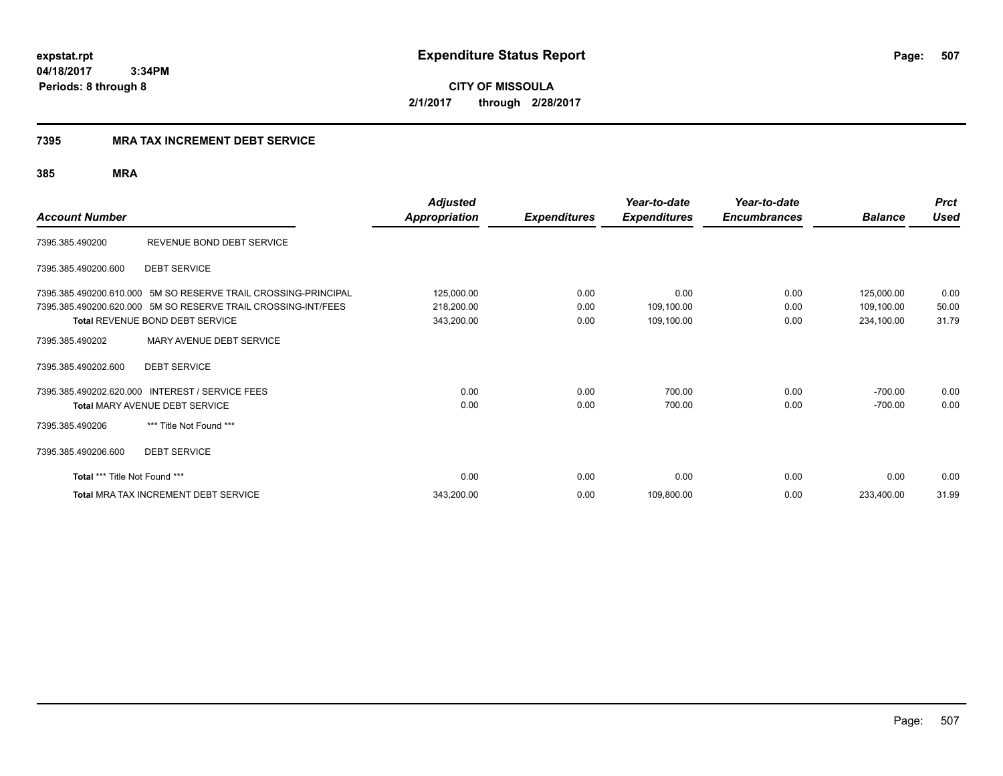**CITY OF MISSOULA 2/1/2017 through 2/28/2017**

### **7395 MRA TAX INCREMENT DEBT SERVICE**

|                               |                                                                | <b>Adjusted</b>      |                     | Year-to-date        | Year-to-date        |                | <b>Prct</b> |
|-------------------------------|----------------------------------------------------------------|----------------------|---------------------|---------------------|---------------------|----------------|-------------|
| <b>Account Number</b>         |                                                                | <b>Appropriation</b> | <b>Expenditures</b> | <b>Expenditures</b> | <b>Encumbrances</b> | <b>Balance</b> | <b>Used</b> |
| 7395.385.490200               | REVENUE BOND DEBT SERVICE                                      |                      |                     |                     |                     |                |             |
| 7395.385.490200.600           | <b>DEBT SERVICE</b>                                            |                      |                     |                     |                     |                |             |
|                               | 7395.385.490200.610.000 5M SO RESERVE TRAIL CROSSING-PRINCIPAL | 125,000.00           | 0.00                | 0.00                | 0.00                | 125,000.00     | 0.00        |
|                               | 7395.385.490200.620.000 5M SO RESERVE TRAIL CROSSING-INT/FEES  | 218,200.00           | 0.00                | 109,100.00          | 0.00                | 109,100.00     | 50.00       |
|                               | Total REVENUE BOND DEBT SERVICE                                | 343,200.00           | 0.00                | 109,100.00          | 0.00                | 234,100.00     | 31.79       |
| 7395.385.490202               | MARY AVENUE DEBT SERVICE                                       |                      |                     |                     |                     |                |             |
| 7395.385.490202.600           | <b>DEBT SERVICE</b>                                            |                      |                     |                     |                     |                |             |
|                               | 7395.385.490202.620.000 INTEREST / SERVICE FEES                | 0.00                 | 0.00                | 700.00              | 0.00                | $-700.00$      | 0.00        |
|                               | Total MARY AVENUE DEBT SERVICE                                 | 0.00                 | 0.00                | 700.00              | 0.00                | $-700.00$      | 0.00        |
| 7395.385.490206               | *** Title Not Found ***                                        |                      |                     |                     |                     |                |             |
| 7395.385.490206.600           | <b>DEBT SERVICE</b>                                            |                      |                     |                     |                     |                |             |
| Total *** Title Not Found *** |                                                                | 0.00                 | 0.00                | 0.00                | 0.00                | 0.00           | 0.00        |
|                               | Total MRA TAX INCREMENT DEBT SERVICE                           | 343,200.00           | 0.00                | 109,800.00          | 0.00                | 233,400.00     | 31.99       |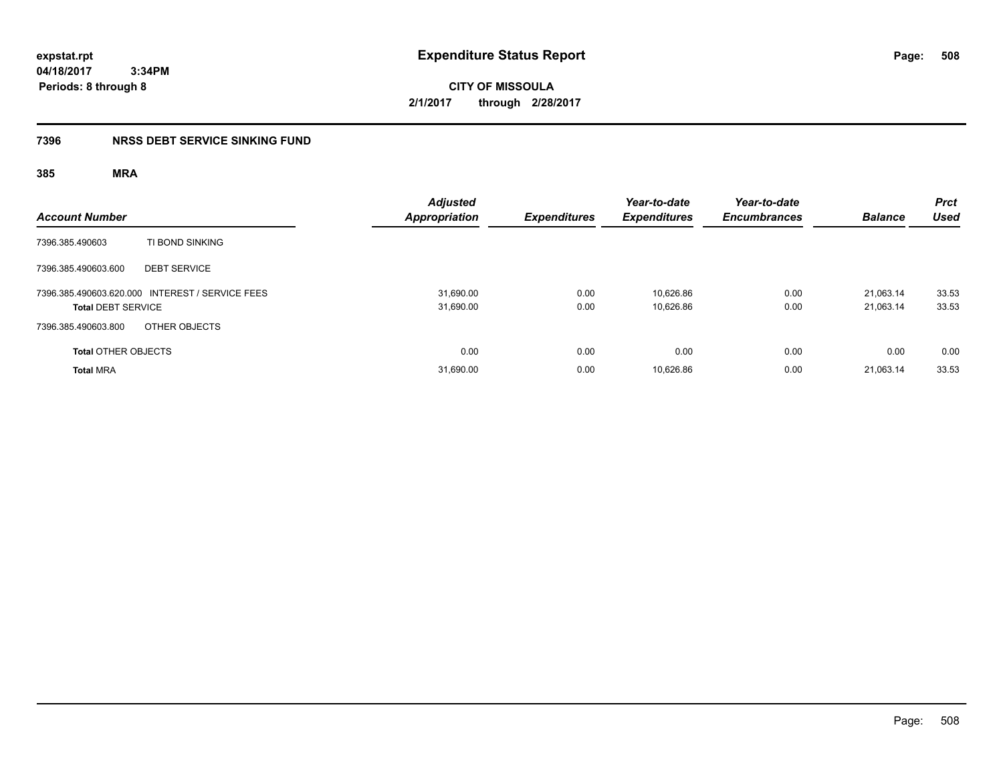**CITY OF MISSOULA 2/1/2017 through 2/28/2017**

### **7396 NRSS DEBT SERVICE SINKING FUND**

| <b>Account Number</b>                                                        | <b>Adjusted</b><br><b>Appropriation</b> | <b>Expenditures</b> | Year-to-date<br><b>Expenditures</b> | Year-to-date<br><b>Encumbrances</b> | <b>Balance</b>         | <b>Prct</b><br><b>Used</b> |
|------------------------------------------------------------------------------|-----------------------------------------|---------------------|-------------------------------------|-------------------------------------|------------------------|----------------------------|
| TI BOND SINKING<br>7396.385.490603                                           |                                         |                     |                                     |                                     |                        |                            |
| 7396.385.490603.600<br><b>DEBT SERVICE</b>                                   |                                         |                     |                                     |                                     |                        |                            |
| 7396.385.490603.620.000 INTEREST / SERVICE FEES<br><b>Total DEBT SERVICE</b> | 31,690.00<br>31,690.00                  | 0.00<br>0.00        | 10,626.86<br>10,626.86              | 0.00<br>0.00                        | 21,063.14<br>21,063.14 | 33.53<br>33.53             |
| 7396.385.490603.800<br>OTHER OBJECTS                                         |                                         |                     |                                     |                                     |                        |                            |
| <b>Total OTHER OBJECTS</b>                                                   | 0.00                                    | 0.00                | 0.00                                | 0.00                                | 0.00                   | 0.00                       |
| <b>Total MRA</b>                                                             | 31,690.00                               | 0.00                | 10,626.86                           | 0.00                                | 21,063.14              | 33.53                      |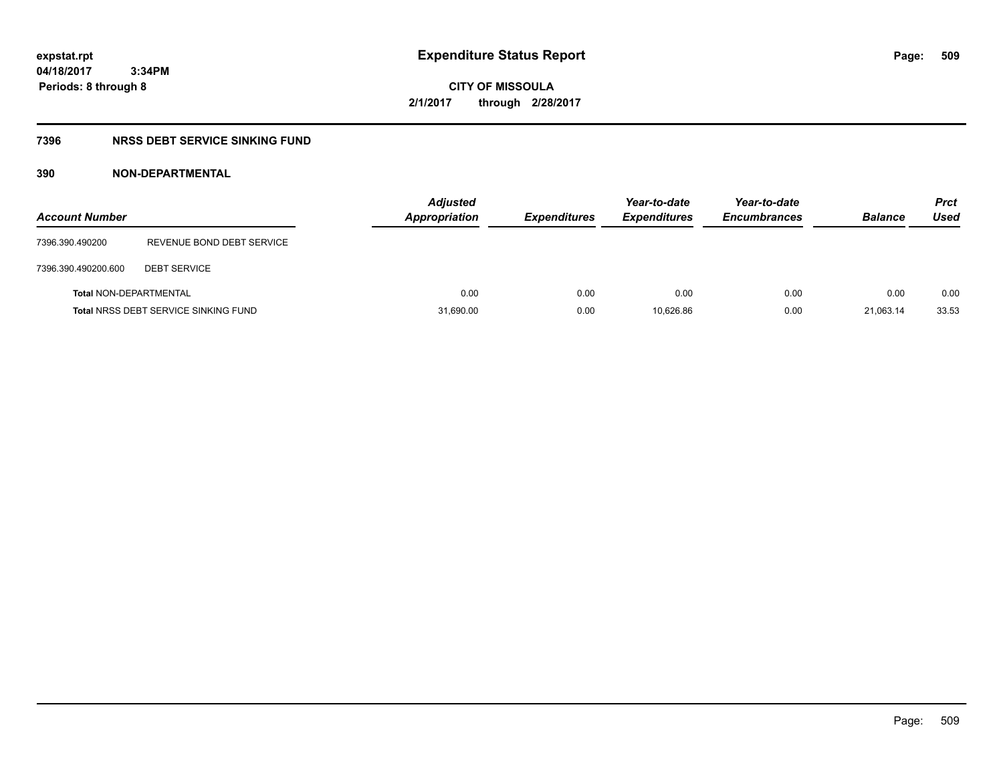**CITY OF MISSOULA 2/1/2017 through 2/28/2017**

### **7396 NRSS DEBT SERVICE SINKING FUND**

### **390 NON-DEPARTMENTAL**

| <b>Account Number</b>         |                                             | <b>Adjusted</b><br><b>Appropriation</b> | <b>Expenditures</b> | Year-to-date<br><b>Expenditures</b> | Year-to-date<br><b>Encumbrances</b> | <b>Balance</b> | <b>Prct</b><br>Used |
|-------------------------------|---------------------------------------------|-----------------------------------------|---------------------|-------------------------------------|-------------------------------------|----------------|---------------------|
| 7396.390.490200               | REVENUE BOND DEBT SERVICE                   |                                         |                     |                                     |                                     |                |                     |
| 7396.390.490200.600           | <b>DEBT SERVICE</b>                         |                                         |                     |                                     |                                     |                |                     |
| <b>Total NON-DEPARTMENTAL</b> |                                             | 0.00                                    | 0.00                | 0.00                                | 0.00                                | 0.00           | 0.00                |
|                               | <b>Total NRSS DEBT SERVICE SINKING FUND</b> | 31,690.00                               | 0.00                | 10.626.86                           | 0.00                                | 21.063.14      | 33.53               |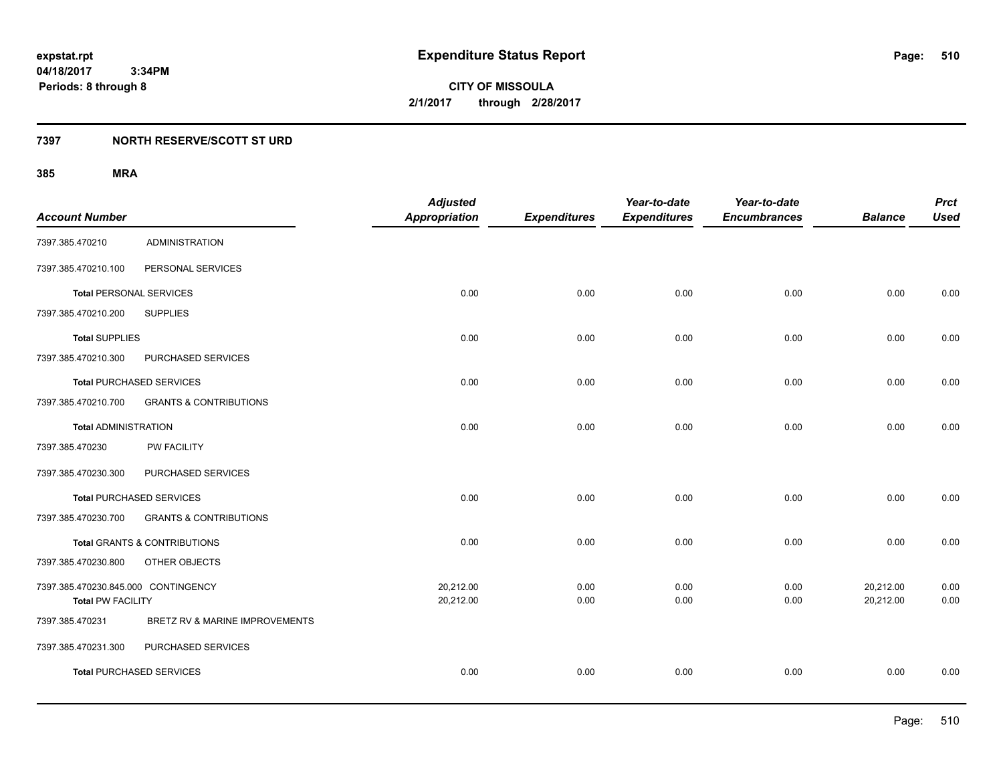**CITY OF MISSOULA 2/1/2017 through 2/28/2017**

### **7397 NORTH RESERVE/SCOTT ST URD**

|                                     |                                         | <b>Adjusted</b>      |                     | Year-to-date        | Year-to-date        |                | <b>Prct</b> |
|-------------------------------------|-----------------------------------------|----------------------|---------------------|---------------------|---------------------|----------------|-------------|
| <b>Account Number</b>               |                                         | <b>Appropriation</b> | <b>Expenditures</b> | <b>Expenditures</b> | <b>Encumbrances</b> | <b>Balance</b> | <b>Used</b> |
| 7397.385.470210                     | <b>ADMINISTRATION</b>                   |                      |                     |                     |                     |                |             |
| 7397.385.470210.100                 | PERSONAL SERVICES                       |                      |                     |                     |                     |                |             |
| <b>Total PERSONAL SERVICES</b>      |                                         | 0.00                 | 0.00                | 0.00                | 0.00                | 0.00           | 0.00        |
| 7397.385.470210.200                 | <b>SUPPLIES</b>                         |                      |                     |                     |                     |                |             |
| <b>Total SUPPLIES</b>               |                                         | 0.00                 | 0.00                | 0.00                | 0.00                | 0.00           | 0.00        |
| 7397.385.470210.300                 | PURCHASED SERVICES                      |                      |                     |                     |                     |                |             |
|                                     | <b>Total PURCHASED SERVICES</b>         | 0.00                 | 0.00                | 0.00                | 0.00                | 0.00           | 0.00        |
| 7397.385.470210.700                 | <b>GRANTS &amp; CONTRIBUTIONS</b>       |                      |                     |                     |                     |                |             |
| <b>Total ADMINISTRATION</b>         |                                         | 0.00                 | 0.00                | 0.00                | 0.00                | 0.00           | 0.00        |
| 7397.385.470230                     | <b>PW FACILITY</b>                      |                      |                     |                     |                     |                |             |
| 7397.385.470230.300                 | PURCHASED SERVICES                      |                      |                     |                     |                     |                |             |
|                                     | <b>Total PURCHASED SERVICES</b>         | 0.00                 | 0.00                | 0.00                | 0.00                | 0.00           | 0.00        |
| 7397.385.470230.700                 | <b>GRANTS &amp; CONTRIBUTIONS</b>       |                      |                     |                     |                     |                |             |
|                                     | <b>Total GRANTS &amp; CONTRIBUTIONS</b> | 0.00                 | 0.00                | 0.00                | 0.00                | 0.00           | 0.00        |
| 7397.385.470230.800                 | OTHER OBJECTS                           |                      |                     |                     |                     |                |             |
| 7397.385.470230.845.000 CONTINGENCY |                                         | 20,212.00            | 0.00                | 0.00                | 0.00                | 20,212.00      | 0.00        |
| <b>Total PW FACILITY</b>            |                                         | 20,212.00            | 0.00                | 0.00                | 0.00                | 20,212.00      | 0.00        |
| 7397.385.470231                     | BRETZ RV & MARINE IMPROVEMENTS          |                      |                     |                     |                     |                |             |
| 7397.385.470231.300                 | PURCHASED SERVICES                      |                      |                     |                     |                     |                |             |
|                                     | <b>Total PURCHASED SERVICES</b>         | 0.00                 | 0.00                | 0.00                | 0.00                | 0.00           | 0.00        |
|                                     |                                         |                      |                     |                     |                     |                |             |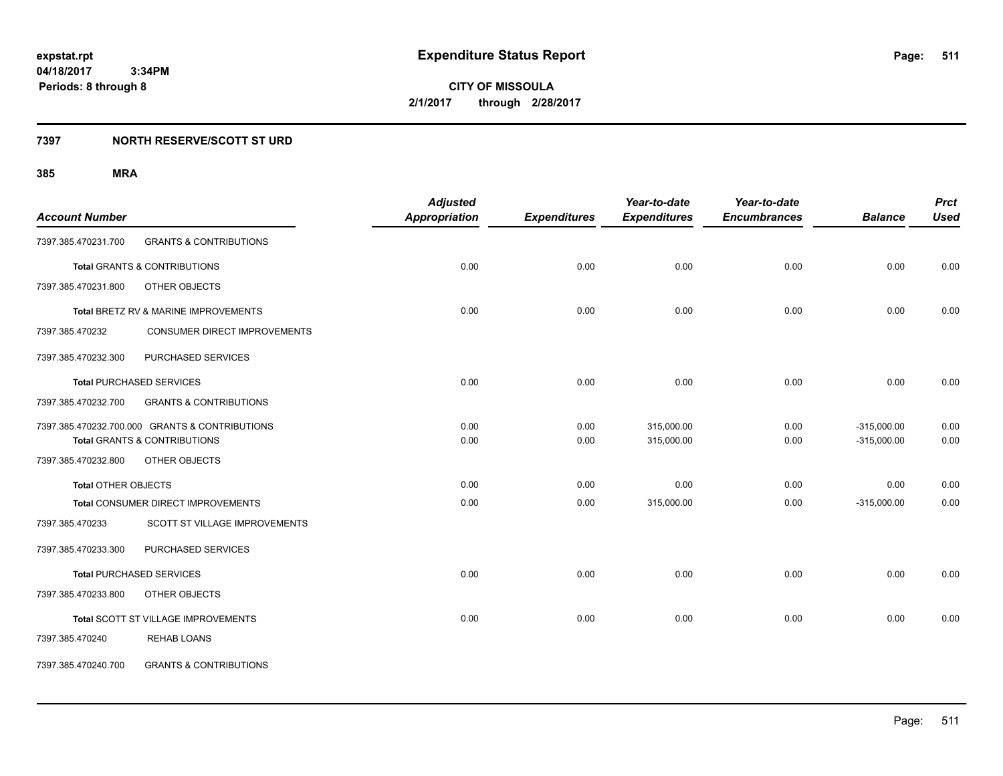**CITY OF MISSOULA 2/1/2017 through 2/28/2017**

### **7397 NORTH RESERVE/SCOTT ST URD**

|                            |                                                | <b>Adjusted</b>      |                     | Year-to-date        | Year-to-date        |                | <b>Prct</b> |
|----------------------------|------------------------------------------------|----------------------|---------------------|---------------------|---------------------|----------------|-------------|
| <b>Account Number</b>      |                                                | <b>Appropriation</b> | <b>Expenditures</b> | <b>Expenditures</b> | <b>Encumbrances</b> | <b>Balance</b> | <b>Used</b> |
| 7397.385.470231.700        | <b>GRANTS &amp; CONTRIBUTIONS</b>              |                      |                     |                     |                     |                |             |
|                            | <b>Total GRANTS &amp; CONTRIBUTIONS</b>        | 0.00                 | 0.00                | 0.00                | 0.00                | 0.00           | 0.00        |
| 7397.385.470231.800        | OTHER OBJECTS                                  |                      |                     |                     |                     |                |             |
|                            | Total BRETZ RV & MARINE IMPROVEMENTS           | 0.00                 | 0.00                | 0.00                | 0.00                | 0.00           | 0.00        |
| 7397.385.470232            | CONSUMER DIRECT IMPROVEMENTS                   |                      |                     |                     |                     |                |             |
| 7397.385.470232.300        | PURCHASED SERVICES                             |                      |                     |                     |                     |                |             |
|                            | <b>Total PURCHASED SERVICES</b>                | 0.00                 | 0.00                | 0.00                | 0.00                | 0.00           | 0.00        |
| 7397.385.470232.700        | <b>GRANTS &amp; CONTRIBUTIONS</b>              |                      |                     |                     |                     |                |             |
|                            | 7397.385.470232.700.000 GRANTS & CONTRIBUTIONS | 0.00                 | 0.00                | 315,000.00          | 0.00                | $-315,000.00$  | 0.00        |
|                            | <b>Total GRANTS &amp; CONTRIBUTIONS</b>        | 0.00                 | 0.00                | 315,000.00          | 0.00                | $-315,000.00$  | 0.00        |
| 7397.385.470232.800        | OTHER OBJECTS                                  |                      |                     |                     |                     |                |             |
| <b>Total OTHER OBJECTS</b> |                                                | 0.00                 | 0.00                | 0.00                | 0.00                | 0.00           | 0.00        |
|                            | Total CONSUMER DIRECT IMPROVEMENTS             | 0.00                 | 0.00                | 315,000.00          | 0.00                | $-315,000.00$  | 0.00        |
| 7397.385.470233            | <b>SCOTT ST VILLAGE IMPROVEMENTS</b>           |                      |                     |                     |                     |                |             |
| 7397.385.470233.300        | PURCHASED SERVICES                             |                      |                     |                     |                     |                |             |
|                            | <b>Total PURCHASED SERVICES</b>                | 0.00                 | 0.00                | 0.00                | 0.00                | 0.00           | 0.00        |
| 7397.385.470233.800        | OTHER OBJECTS                                  |                      |                     |                     |                     |                |             |
|                            | Total SCOTT ST VILLAGE IMPROVEMENTS            | 0.00                 | 0.00                | 0.00                | 0.00                | 0.00           | 0.00        |
| 7397.385.470240            | <b>REHAB LOANS</b>                             |                      |                     |                     |                     |                |             |
| 7397.385.470240.700        | <b>GRANTS &amp; CONTRIBUTIONS</b>              |                      |                     |                     |                     |                |             |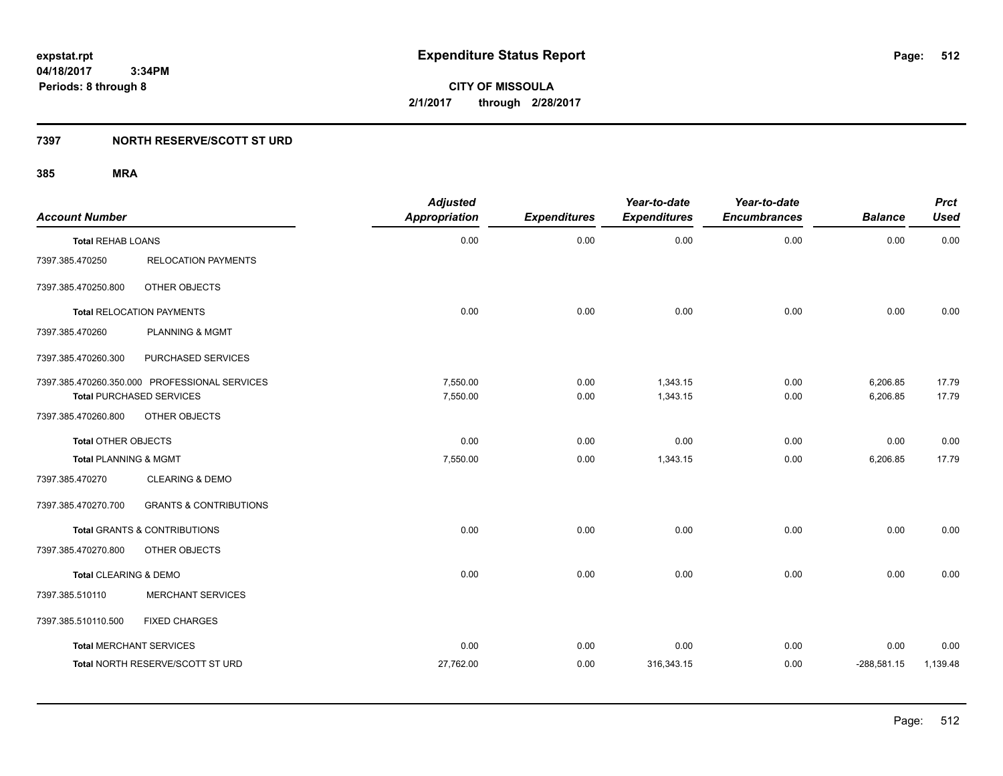**CITY OF MISSOULA 2/1/2017 through 2/28/2017**

### **7397 NORTH RESERVE/SCOTT ST URD**

| <b>Account Number</b>          |                                               | <b>Adjusted</b><br><b>Appropriation</b> | <b>Expenditures</b> | Year-to-date<br><b>Expenditures</b> | Year-to-date<br><b>Encumbrances</b> | <b>Balance</b> | <b>Prct</b><br><b>Used</b> |
|--------------------------------|-----------------------------------------------|-----------------------------------------|---------------------|-------------------------------------|-------------------------------------|----------------|----------------------------|
| <b>Total REHAB LOANS</b>       |                                               | 0.00                                    | 0.00                | 0.00                                | 0.00                                | 0.00           | 0.00                       |
| 7397.385.470250                | <b>RELOCATION PAYMENTS</b>                    |                                         |                     |                                     |                                     |                |                            |
| 7397.385.470250.800            | OTHER OBJECTS                                 |                                         |                     |                                     |                                     |                |                            |
|                                | <b>Total RELOCATION PAYMENTS</b>              | 0.00                                    | 0.00                | 0.00                                | 0.00                                | 0.00           | 0.00                       |
| 7397.385.470260                | <b>PLANNING &amp; MGMT</b>                    |                                         |                     |                                     |                                     |                |                            |
| 7397.385.470260.300            | PURCHASED SERVICES                            |                                         |                     |                                     |                                     |                |                            |
|                                | 7397.385.470260.350.000 PROFESSIONAL SERVICES | 7,550.00                                | 0.00                | 1,343.15                            | 0.00                                | 6,206.85       | 17.79                      |
|                                | <b>Total PURCHASED SERVICES</b>               | 7,550.00                                | 0.00                | 1,343.15                            | 0.00                                | 6,206.85       | 17.79                      |
| 7397.385.470260.800            | OTHER OBJECTS                                 |                                         |                     |                                     |                                     |                |                            |
| <b>Total OTHER OBJECTS</b>     |                                               | 0.00                                    | 0.00                | 0.00                                | 0.00                                | 0.00           | 0.00                       |
| Total PLANNING & MGMT          |                                               | 7,550.00                                | 0.00                | 1,343.15                            | 0.00                                | 6,206.85       | 17.79                      |
| 7397.385.470270                | <b>CLEARING &amp; DEMO</b>                    |                                         |                     |                                     |                                     |                |                            |
| 7397.385.470270.700            | <b>GRANTS &amp; CONTRIBUTIONS</b>             |                                         |                     |                                     |                                     |                |                            |
|                                | <b>Total GRANTS &amp; CONTRIBUTIONS</b>       | 0.00                                    | 0.00                | 0.00                                | 0.00                                | 0.00           | 0.00                       |
| 7397.385.470270.800            | OTHER OBJECTS                                 |                                         |                     |                                     |                                     |                |                            |
| Total CLEARING & DEMO          |                                               | 0.00                                    | 0.00                | 0.00                                | 0.00                                | 0.00           | 0.00                       |
| 7397.385.510110                | <b>MERCHANT SERVICES</b>                      |                                         |                     |                                     |                                     |                |                            |
| 7397.385.510110.500            | <b>FIXED CHARGES</b>                          |                                         |                     |                                     |                                     |                |                            |
| <b>Total MERCHANT SERVICES</b> |                                               | 0.00                                    | 0.00                | 0.00                                | 0.00                                | 0.00           | 0.00                       |
|                                | Total NORTH RESERVE/SCOTT ST URD              | 27,762.00                               | 0.00                | 316,343.15                          | 0.00                                | $-288,581.15$  | 1,139.48                   |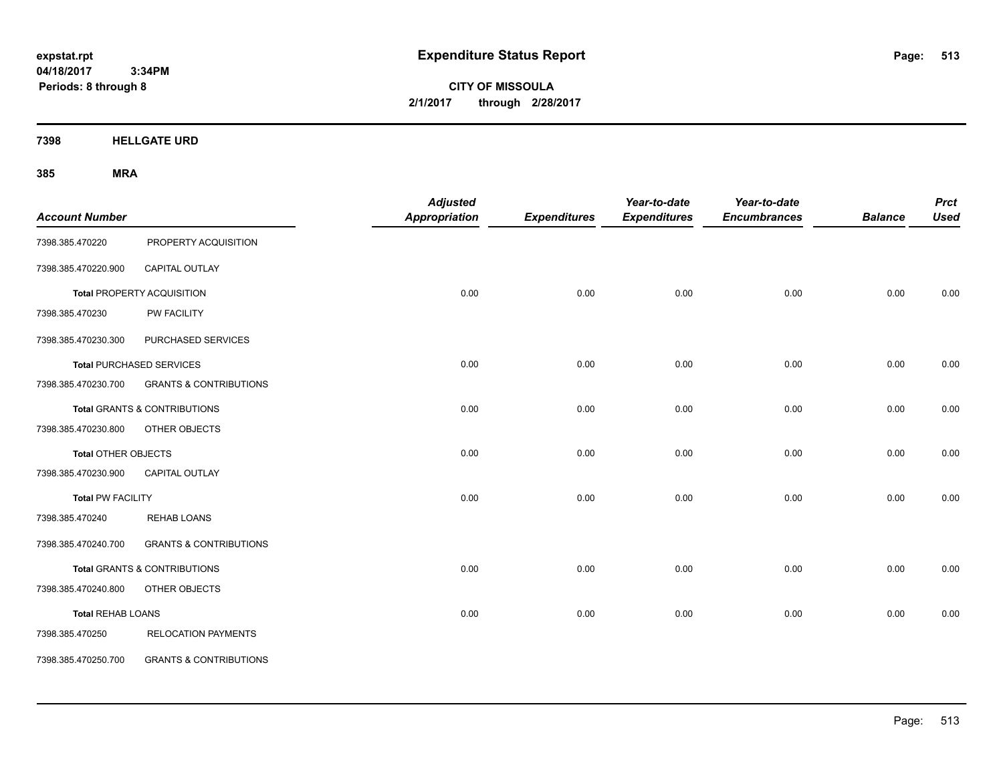**CITY OF MISSOULA 2/1/2017 through 2/28/2017**

**7398 HELLGATE URD**

| <b>Account Number</b>      |                                         | <b>Adjusted</b><br><b>Appropriation</b> | <b>Expenditures</b> | Year-to-date<br><b>Expenditures</b> | Year-to-date<br><b>Encumbrances</b> | <b>Balance</b> | <b>Prct</b><br><b>Used</b> |
|----------------------------|-----------------------------------------|-----------------------------------------|---------------------|-------------------------------------|-------------------------------------|----------------|----------------------------|
| 7398.385.470220            | PROPERTY ACQUISITION                    |                                         |                     |                                     |                                     |                |                            |
| 7398.385.470220.900        | CAPITAL OUTLAY                          |                                         |                     |                                     |                                     |                |                            |
|                            | <b>Total PROPERTY ACQUISITION</b>       | 0.00                                    | 0.00                | 0.00                                | 0.00                                | 0.00           | 0.00                       |
| 7398.385.470230            | PW FACILITY                             |                                         |                     |                                     |                                     |                |                            |
| 7398.385.470230.300        | PURCHASED SERVICES                      |                                         |                     |                                     |                                     |                |                            |
|                            | <b>Total PURCHASED SERVICES</b>         | 0.00                                    | 0.00                | 0.00                                | 0.00                                | 0.00           | 0.00                       |
| 7398.385.470230.700        | <b>GRANTS &amp; CONTRIBUTIONS</b>       |                                         |                     |                                     |                                     |                |                            |
|                            | Total GRANTS & CONTRIBUTIONS            | 0.00                                    | 0.00                | 0.00                                | 0.00                                | 0.00           | 0.00                       |
| 7398.385.470230.800        | OTHER OBJECTS                           |                                         |                     |                                     |                                     |                |                            |
| <b>Total OTHER OBJECTS</b> |                                         | 0.00                                    | 0.00                | 0.00                                | 0.00                                | 0.00           | 0.00                       |
| 7398.385.470230.900        | <b>CAPITAL OUTLAY</b>                   |                                         |                     |                                     |                                     |                |                            |
| <b>Total PW FACILITY</b>   |                                         | 0.00                                    | 0.00                | 0.00                                | 0.00                                | 0.00           | 0.00                       |
| 7398.385.470240            | <b>REHAB LOANS</b>                      |                                         |                     |                                     |                                     |                |                            |
| 7398.385.470240.700        | <b>GRANTS &amp; CONTRIBUTIONS</b>       |                                         |                     |                                     |                                     |                |                            |
|                            | <b>Total GRANTS &amp; CONTRIBUTIONS</b> | 0.00                                    | 0.00                | 0.00                                | 0.00                                | 0.00           | 0.00                       |
| 7398.385.470240.800        | OTHER OBJECTS                           |                                         |                     |                                     |                                     |                |                            |
| <b>Total REHAB LOANS</b>   |                                         | 0.00                                    | 0.00                | 0.00                                | 0.00                                | 0.00           | 0.00                       |
| 7398.385.470250            | <b>RELOCATION PAYMENTS</b>              |                                         |                     |                                     |                                     |                |                            |
| 7398.385.470250.700        | <b>GRANTS &amp; CONTRIBUTIONS</b>       |                                         |                     |                                     |                                     |                |                            |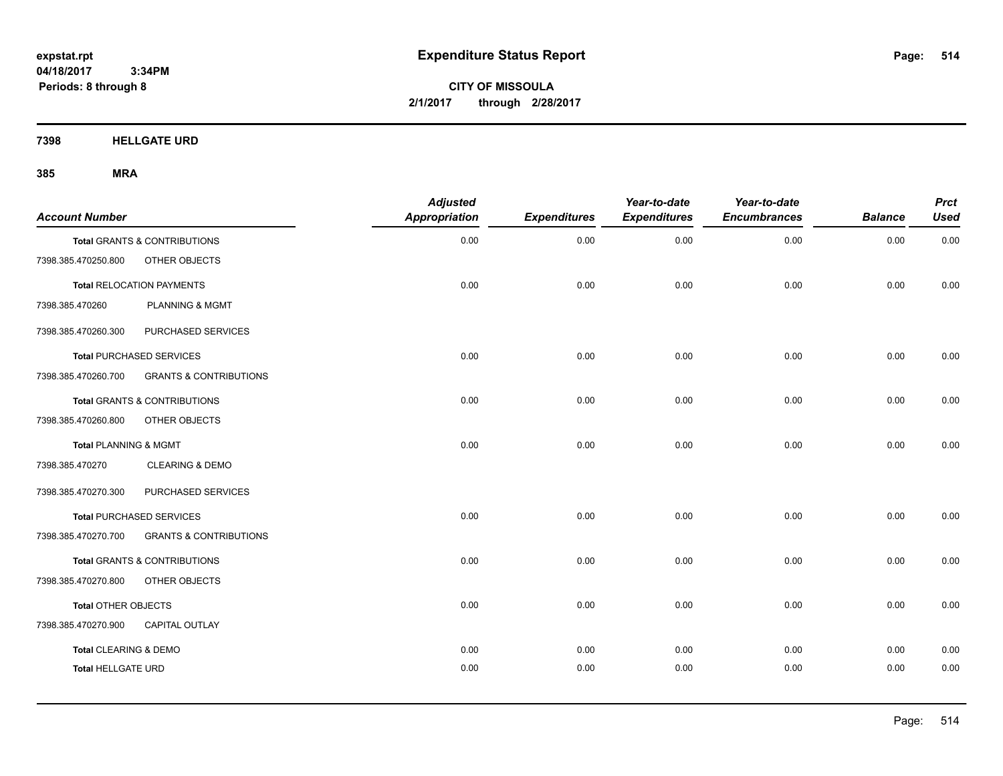**CITY OF MISSOULA 2/1/2017 through 2/28/2017**

**7398 HELLGATE URD**

| <b>Account Number</b>            |                                         | <b>Adjusted</b><br><b>Appropriation</b> | <b>Expenditures</b> | Year-to-date<br><b>Expenditures</b> | Year-to-date<br><b>Encumbrances</b> | <b>Balance</b> | <b>Prct</b><br><b>Used</b> |
|----------------------------------|-----------------------------------------|-----------------------------------------|---------------------|-------------------------------------|-------------------------------------|----------------|----------------------------|
|                                  | Total GRANTS & CONTRIBUTIONS            | 0.00                                    | 0.00                | 0.00                                | 0.00                                | 0.00           | 0.00                       |
| 7398.385.470250.800              | OTHER OBJECTS                           |                                         |                     |                                     |                                     |                |                            |
|                                  | <b>Total RELOCATION PAYMENTS</b>        | 0.00                                    | 0.00                | 0.00                                | 0.00                                | 0.00           | 0.00                       |
| 7398.385.470260                  | <b>PLANNING &amp; MGMT</b>              |                                         |                     |                                     |                                     |                |                            |
| 7398.385.470260.300              | PURCHASED SERVICES                      |                                         |                     |                                     |                                     |                |                            |
|                                  | <b>Total PURCHASED SERVICES</b>         | 0.00                                    | 0.00                | 0.00                                | 0.00                                | 0.00           | 0.00                       |
| 7398.385.470260.700              | <b>GRANTS &amp; CONTRIBUTIONS</b>       |                                         |                     |                                     |                                     |                |                            |
|                                  | <b>Total GRANTS &amp; CONTRIBUTIONS</b> | 0.00                                    | 0.00                | 0.00                                | 0.00                                | 0.00           | 0.00                       |
| 7398.385.470260.800              | OTHER OBJECTS                           |                                         |                     |                                     |                                     |                |                            |
| <b>Total PLANNING &amp; MGMT</b> |                                         | 0.00                                    | 0.00                | 0.00                                | 0.00                                | 0.00           | 0.00                       |
| 7398.385.470270                  | <b>CLEARING &amp; DEMO</b>              |                                         |                     |                                     |                                     |                |                            |
| 7398.385.470270.300              | PURCHASED SERVICES                      |                                         |                     |                                     |                                     |                |                            |
|                                  | <b>Total PURCHASED SERVICES</b>         | 0.00                                    | 0.00                | 0.00                                | 0.00                                | 0.00           | 0.00                       |
| 7398.385.470270.700              | <b>GRANTS &amp; CONTRIBUTIONS</b>       |                                         |                     |                                     |                                     |                |                            |
|                                  | <b>Total GRANTS &amp; CONTRIBUTIONS</b> | 0.00                                    | 0.00                | 0.00                                | 0.00                                | 0.00           | 0.00                       |
| 7398.385.470270.800              | OTHER OBJECTS                           |                                         |                     |                                     |                                     |                |                            |
| Total OTHER OBJECTS              |                                         | 0.00                                    | 0.00                | 0.00                                | 0.00                                | 0.00           | 0.00                       |
| 7398.385.470270.900              | CAPITAL OUTLAY                          |                                         |                     |                                     |                                     |                |                            |
| <b>Total CLEARING &amp; DEMO</b> |                                         | 0.00                                    | 0.00                | 0.00                                | 0.00                                | 0.00           | 0.00                       |
| <b>Total HELLGATE URD</b>        |                                         | 0.00                                    | 0.00                | 0.00                                | 0.00                                | 0.00           | 0.00                       |
|                                  |                                         |                                         |                     |                                     |                                     |                |                            |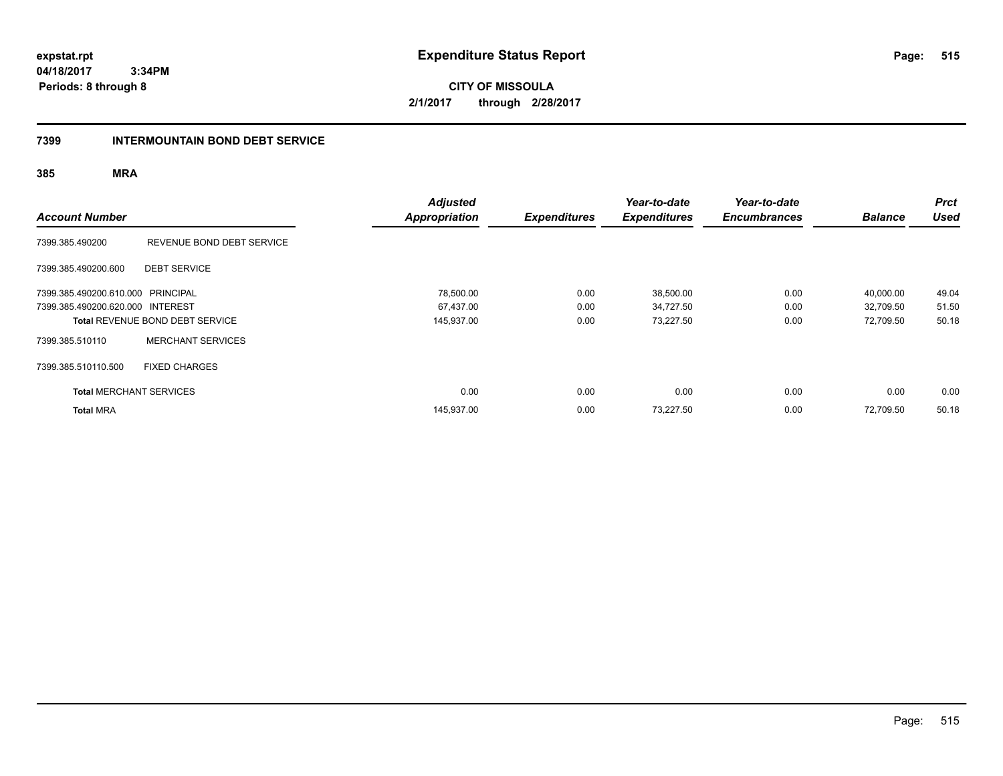**CITY OF MISSOULA 2/1/2017 through 2/28/2017**

#### **7399 INTERMOUNTAIN BOND DEBT SERVICE**

| <b>Account Number</b>             |                                 | <b>Adjusted</b><br>Appropriation | <b>Expenditures</b> | Year-to-date<br><b>Expenditures</b> | Year-to-date<br><b>Encumbrances</b> | <b>Balance</b> | <b>Prct</b><br><b>Used</b> |
|-----------------------------------|---------------------------------|----------------------------------|---------------------|-------------------------------------|-------------------------------------|----------------|----------------------------|
| 7399.385.490200                   | REVENUE BOND DEBT SERVICE       |                                  |                     |                                     |                                     |                |                            |
| 7399.385.490200.600               | <b>DEBT SERVICE</b>             |                                  |                     |                                     |                                     |                |                            |
| 7399.385.490200.610.000 PRINCIPAL |                                 | 78,500.00                        | 0.00                | 38,500.00                           | 0.00                                | 40,000.00      | 49.04                      |
| 7399.385.490200.620.000 INTEREST  |                                 | 67,437.00                        | 0.00                | 34,727.50                           | 0.00                                | 32,709.50      | 51.50                      |
|                                   | Total REVENUE BOND DEBT SERVICE | 145,937.00                       | 0.00                | 73,227.50                           | 0.00                                | 72,709.50      | 50.18                      |
| 7399.385.510110                   | <b>MERCHANT SERVICES</b>        |                                  |                     |                                     |                                     |                |                            |
| 7399.385.510110.500               | <b>FIXED CHARGES</b>            |                                  |                     |                                     |                                     |                |                            |
| <b>Total MERCHANT SERVICES</b>    |                                 | 0.00                             | 0.00                | 0.00                                | 0.00                                | 0.00           | 0.00                       |
| <b>Total MRA</b>                  |                                 | 145,937.00                       | 0.00                | 73.227.50                           | 0.00                                | 72.709.50      | 50.18                      |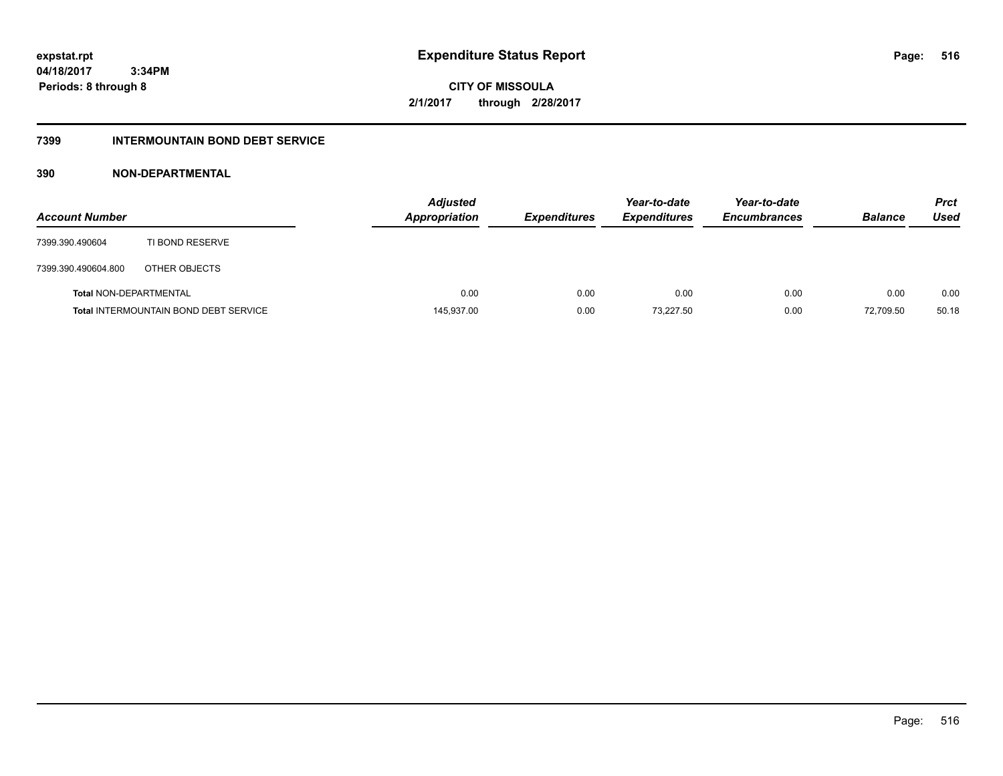**516**

**04/18/2017 3:34PM Periods: 8 through 8**

**CITY OF MISSOULA 2/1/2017 through 2/28/2017**

### **7399 INTERMOUNTAIN BOND DEBT SERVICE**

### **390 NON-DEPARTMENTAL**

| <b>Account Number</b>         |                                              | <b>Adjusted</b><br><b>Appropriation</b> | <b>Expenditures</b> | Year-to-date<br><b>Expenditures</b> | Year-to-date<br><b>Encumbrances</b> | <b>Balance</b> | <b>Prct</b><br>Used |
|-------------------------------|----------------------------------------------|-----------------------------------------|---------------------|-------------------------------------|-------------------------------------|----------------|---------------------|
| 7399.390.490604               | TI BOND RESERVE                              |                                         |                     |                                     |                                     |                |                     |
| 7399.390.490604.800           | OTHER OBJECTS                                |                                         |                     |                                     |                                     |                |                     |
| <b>Total NON-DEPARTMENTAL</b> |                                              | 0.00                                    | 0.00                | 0.00                                | 0.00                                | 0.00           | 0.00                |
|                               | <b>Total INTERMOUNTAIN BOND DEBT SERVICE</b> | 145,937.00                              | 0.00                | 73.227.50                           | 0.00                                | 72,709.50      | 50.18               |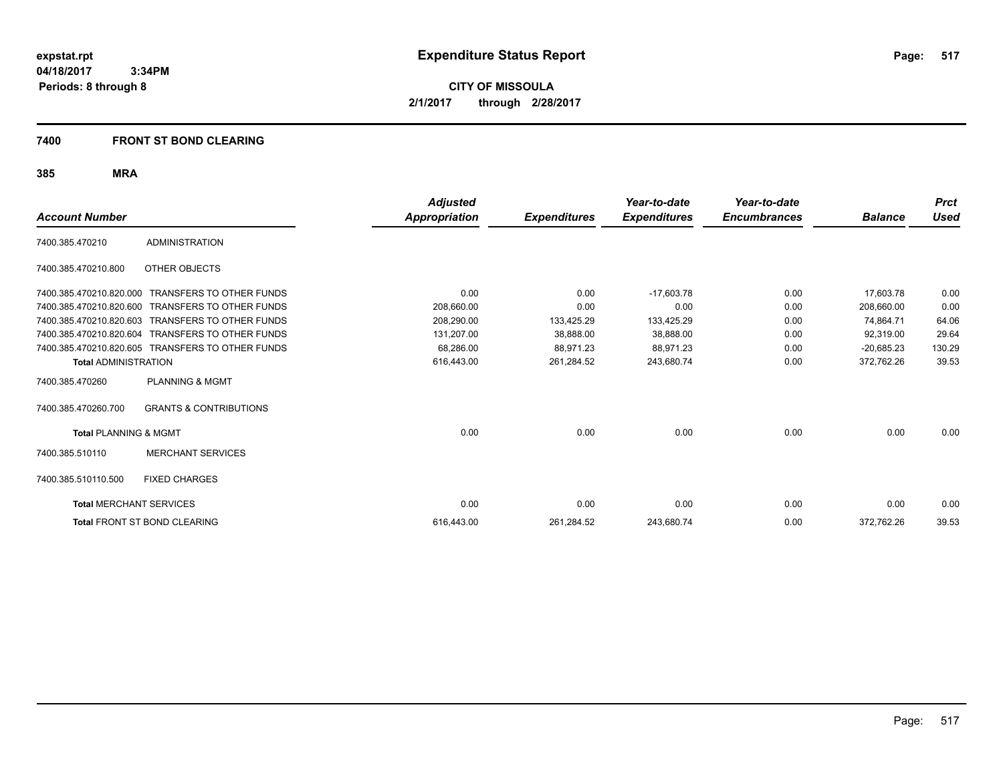**CITY OF MISSOULA 2/1/2017 through 2/28/2017**

### **7400 FRONT ST BOND CLEARING**

| <b>Account Number</b>            |                                   | Adjusted<br><b>Appropriation</b> | <b>Expenditures</b> | Year-to-date<br><b>Expenditures</b> | Year-to-date<br><b>Encumbrances</b> | <b>Balance</b> | <b>Prct</b><br><b>Used</b> |
|----------------------------------|-----------------------------------|----------------------------------|---------------------|-------------------------------------|-------------------------------------|----------------|----------------------------|
| 7400.385.470210                  | <b>ADMINISTRATION</b>             |                                  |                     |                                     |                                     |                |                            |
| 7400.385.470210.800              | OTHER OBJECTS                     |                                  |                     |                                     |                                     |                |                            |
| 7400.385.470210.820.000          | <b>TRANSFERS TO OTHER FUNDS</b>   | 0.00                             | 0.00                | $-17,603.78$                        | 0.00                                | 17,603.78      | 0.00                       |
| 7400.385.470210.820.600          | <b>TRANSFERS TO OTHER FUNDS</b>   | 208,660.00                       | 0.00                | 0.00                                | 0.00                                | 208,660.00     | 0.00                       |
| 7400.385.470210.820.603          | <b>TRANSFERS TO OTHER FUNDS</b>   | 208.290.00                       | 133,425.29          | 133,425.29                          | 0.00                                | 74,864.71      | 64.06                      |
| 7400.385.470210.820.604          | <b>TRANSFERS TO OTHER FUNDS</b>   | 131,207.00                       | 38,888.00           | 38,888.00                           | 0.00                                | 92,319.00      | 29.64                      |
| 7400.385.470210.820.605          | <b>TRANSFERS TO OTHER FUNDS</b>   | 68,286.00                        | 88,971.23           | 88,971.23                           | 0.00                                | $-20,685.23$   | 130.29                     |
| <b>Total ADMINISTRATION</b>      |                                   | 616,443.00                       | 261,284.52          | 243,680.74                          | 0.00                                | 372,762.26     | 39.53                      |
| 7400.385.470260                  | <b>PLANNING &amp; MGMT</b>        |                                  |                     |                                     |                                     |                |                            |
| 7400.385.470260.700              | <b>GRANTS &amp; CONTRIBUTIONS</b> |                                  |                     |                                     |                                     |                |                            |
| <b>Total PLANNING &amp; MGMT</b> |                                   | 0.00                             | 0.00                | 0.00                                | 0.00                                | 0.00           | 0.00                       |
| 7400.385.510110                  | <b>MERCHANT SERVICES</b>          |                                  |                     |                                     |                                     |                |                            |
| 7400.385.510110.500              | <b>FIXED CHARGES</b>              |                                  |                     |                                     |                                     |                |                            |
| <b>Total MERCHANT SERVICES</b>   |                                   | 0.00                             | 0.00                | 0.00                                | 0.00                                | 0.00           | 0.00                       |
|                                  | Total FRONT ST BOND CLEARING      | 616,443.00                       | 261,284.52          | 243,680.74                          | 0.00                                | 372,762.26     | 39.53                      |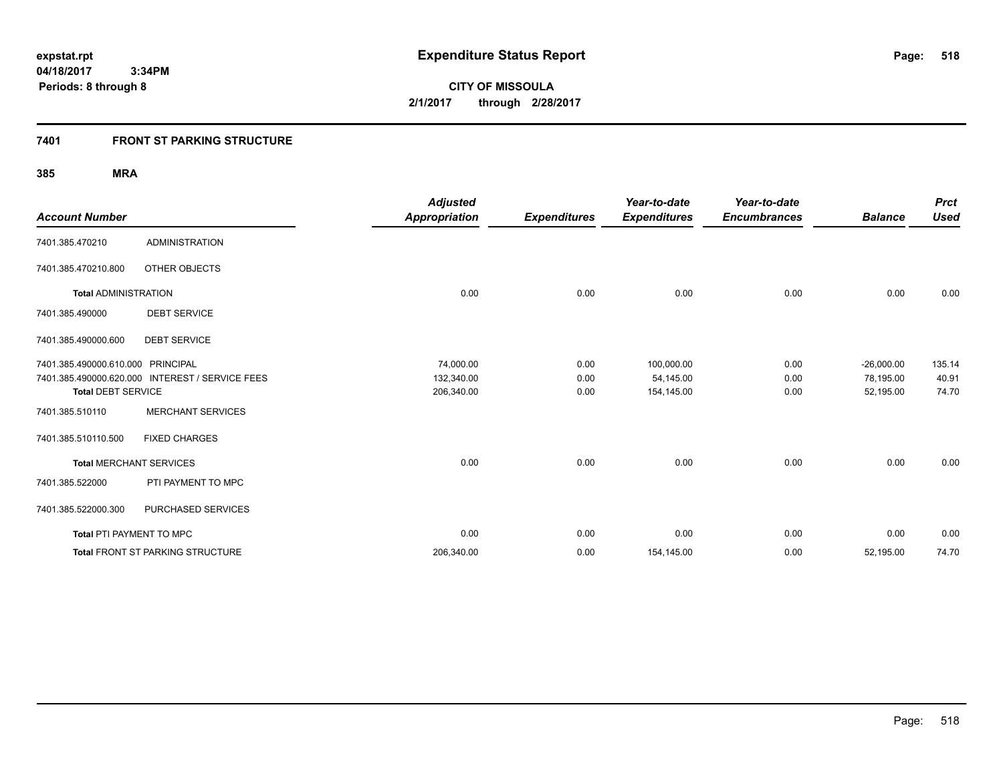### **7401 FRONT ST PARKING STRUCTURE**

| <b>Account Number</b>           |                                                 | <b>Adjusted</b><br><b>Appropriation</b> | <b>Expenditures</b> | Year-to-date<br><b>Expenditures</b> | Year-to-date<br><b>Encumbrances</b> | <b>Balance</b> | <b>Prct</b><br><b>Used</b> |
|---------------------------------|-------------------------------------------------|-----------------------------------------|---------------------|-------------------------------------|-------------------------------------|----------------|----------------------------|
| 7401.385.470210                 | <b>ADMINISTRATION</b>                           |                                         |                     |                                     |                                     |                |                            |
| 7401.385.470210.800             | <b>OTHER OBJECTS</b>                            |                                         |                     |                                     |                                     |                |                            |
| <b>Total ADMINISTRATION</b>     |                                                 | 0.00                                    | 0.00                | 0.00                                | 0.00                                | 0.00           | 0.00                       |
| 7401.385.490000                 | <b>DEBT SERVICE</b>                             |                                         |                     |                                     |                                     |                |                            |
| 7401.385.490000.600             | <b>DEBT SERVICE</b>                             |                                         |                     |                                     |                                     |                |                            |
| 7401.385.490000.610.000         | <b>PRINCIPAL</b>                                | 74,000.00                               | 0.00                | 100,000.00                          | 0.00                                | $-26,000.00$   | 135.14                     |
|                                 | 7401.385.490000.620.000 INTEREST / SERVICE FEES | 132,340.00                              | 0.00                | 54,145.00                           | 0.00                                | 78,195.00      | 40.91                      |
| <b>Total DEBT SERVICE</b>       |                                                 | 206,340.00                              | 0.00                | 154,145.00                          | 0.00                                | 52,195.00      | 74.70                      |
| 7401.385.510110                 | <b>MERCHANT SERVICES</b>                        |                                         |                     |                                     |                                     |                |                            |
| 7401.385.510110.500             | <b>FIXED CHARGES</b>                            |                                         |                     |                                     |                                     |                |                            |
| <b>Total MERCHANT SERVICES</b>  |                                                 | 0.00                                    | 0.00                | 0.00                                | 0.00                                | 0.00           | 0.00                       |
| 7401.385.522000                 | PTI PAYMENT TO MPC                              |                                         |                     |                                     |                                     |                |                            |
| 7401.385.522000.300             | PURCHASED SERVICES                              |                                         |                     |                                     |                                     |                |                            |
| <b>Total PTI PAYMENT TO MPC</b> |                                                 | 0.00                                    | 0.00                | 0.00                                | 0.00                                | 0.00           | 0.00                       |
|                                 | Total FRONT ST PARKING STRUCTURE                | 206,340.00                              | 0.00                | 154,145.00                          | 0.00                                | 52,195.00      | 74.70                      |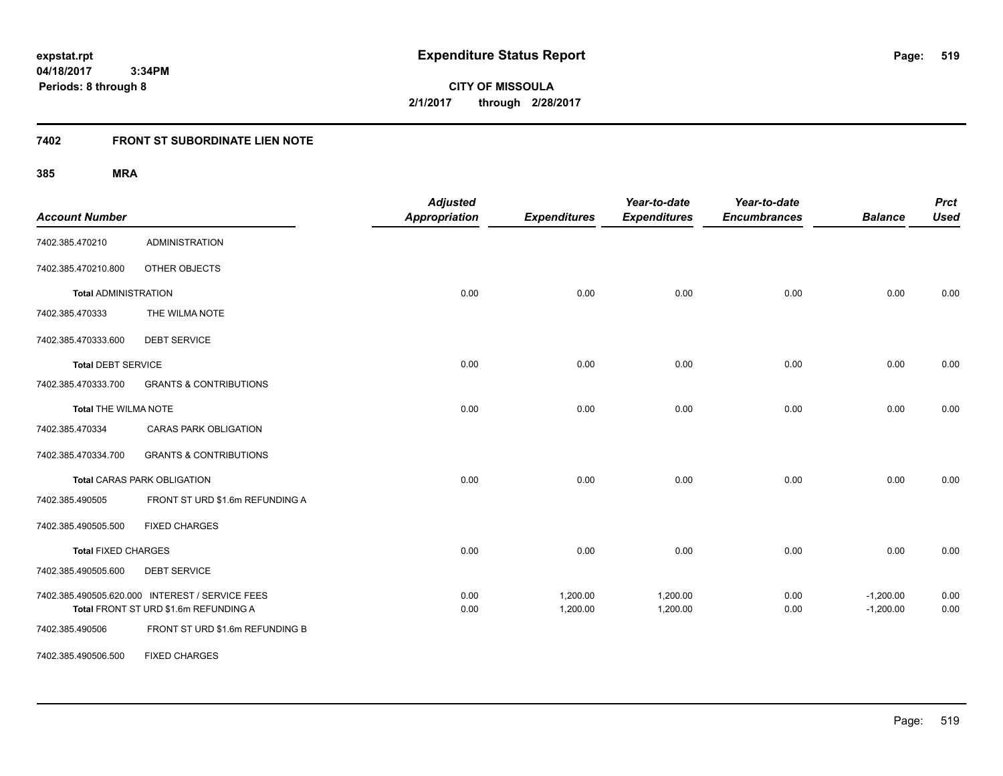**CITY OF MISSOULA 2/1/2017 through 2/28/2017**

# **7402 FRONT ST SUBORDINATE LIEN NOTE**

| <b>Account Number</b>       |                                                                                          | <b>Adjusted</b><br><b>Appropriation</b> | <b>Expenditures</b>  | Year-to-date<br><b>Expenditures</b> | Year-to-date<br><b>Encumbrances</b> | <b>Balance</b>             | <b>Prct</b><br><b>Used</b> |
|-----------------------------|------------------------------------------------------------------------------------------|-----------------------------------------|----------------------|-------------------------------------|-------------------------------------|----------------------------|----------------------------|
| 7402.385.470210             | <b>ADMINISTRATION</b>                                                                    |                                         |                      |                                     |                                     |                            |                            |
| 7402.385.470210.800         | OTHER OBJECTS                                                                            |                                         |                      |                                     |                                     |                            |                            |
| <b>Total ADMINISTRATION</b> |                                                                                          | 0.00                                    | 0.00                 | 0.00                                | 0.00                                | 0.00                       | 0.00                       |
| 7402.385.470333             | THE WILMA NOTE                                                                           |                                         |                      |                                     |                                     |                            |                            |
| 7402.385.470333.600         | <b>DEBT SERVICE</b>                                                                      |                                         |                      |                                     |                                     |                            |                            |
| <b>Total DEBT SERVICE</b>   |                                                                                          | 0.00                                    | 0.00                 | 0.00                                | 0.00                                | 0.00                       | 0.00                       |
| 7402.385.470333.700         | <b>GRANTS &amp; CONTRIBUTIONS</b>                                                        |                                         |                      |                                     |                                     |                            |                            |
| <b>Total THE WILMA NOTE</b> |                                                                                          | 0.00                                    | 0.00                 | 0.00                                | 0.00                                | 0.00                       | 0.00                       |
| 7402.385.470334             | <b>CARAS PARK OBLIGATION</b>                                                             |                                         |                      |                                     |                                     |                            |                            |
| 7402.385.470334.700         | <b>GRANTS &amp; CONTRIBUTIONS</b>                                                        |                                         |                      |                                     |                                     |                            |                            |
|                             | <b>Total CARAS PARK OBLIGATION</b>                                                       | 0.00                                    | 0.00                 | 0.00                                | 0.00                                | 0.00                       | 0.00                       |
| 7402.385.490505             | FRONT ST URD \$1.6m REFUNDING A                                                          |                                         |                      |                                     |                                     |                            |                            |
| 7402.385.490505.500         | <b>FIXED CHARGES</b>                                                                     |                                         |                      |                                     |                                     |                            |                            |
| <b>Total FIXED CHARGES</b>  |                                                                                          | 0.00                                    | 0.00                 | 0.00                                | 0.00                                | 0.00                       | 0.00                       |
| 7402.385.490505.600         | <b>DEBT SERVICE</b>                                                                      |                                         |                      |                                     |                                     |                            |                            |
|                             | 7402.385.490505.620.000 INTEREST / SERVICE FEES<br>Total FRONT ST URD \$1.6m REFUNDING A | 0.00<br>0.00                            | 1,200.00<br>1,200.00 | 1,200.00<br>1,200.00                | 0.00<br>0.00                        | $-1,200.00$<br>$-1,200.00$ | 0.00<br>0.00               |
| 7402.385.490506             | FRONT ST URD \$1.6m REFUNDING B                                                          |                                         |                      |                                     |                                     |                            |                            |
| 7402.385.490506.500         | <b>FIXED CHARGES</b>                                                                     |                                         |                      |                                     |                                     |                            |                            |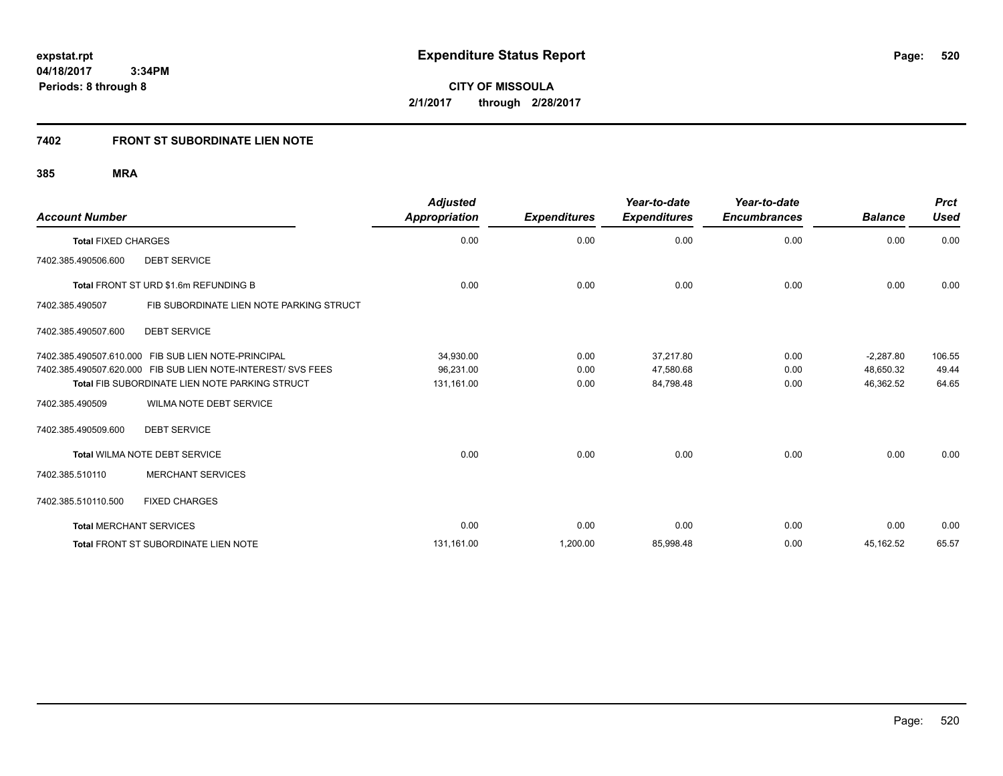# **7402 FRONT ST SUBORDINATE LIEN NOTE**

| <b>Account Number</b>          |                                                              | <b>Adjusted</b><br>Appropriation | <b>Expenditures</b> | Year-to-date<br><b>Expenditures</b> | Year-to-date<br><b>Encumbrances</b> | <b>Balance</b> | <b>Prct</b><br><b>Used</b> |
|--------------------------------|--------------------------------------------------------------|----------------------------------|---------------------|-------------------------------------|-------------------------------------|----------------|----------------------------|
| <b>Total FIXED CHARGES</b>     |                                                              | 0.00                             | 0.00                | 0.00                                | 0.00                                | 0.00           | 0.00                       |
| 7402.385.490506.600            | <b>DEBT SERVICE</b>                                          |                                  |                     |                                     |                                     |                |                            |
|                                | Total FRONT ST URD \$1.6m REFUNDING B                        | 0.00                             | 0.00                | 0.00                                | 0.00                                | 0.00           | 0.00                       |
| 7402.385.490507                | FIB SUBORDINATE LIEN NOTE PARKING STRUCT                     |                                  |                     |                                     |                                     |                |                            |
| 7402.385.490507.600            | <b>DEBT SERVICE</b>                                          |                                  |                     |                                     |                                     |                |                            |
| 7402.385.490507.610.000        | FIB SUB LIEN NOTE-PRINCIPAL                                  | 34,930.00                        | 0.00                | 37,217.80                           | 0.00                                | $-2,287.80$    | 106.55                     |
|                                | 7402.385.490507.620.000 FIB SUB LIEN NOTE-INTEREST/ SVS FEES | 96,231.00                        | 0.00                | 47,580.68                           | 0.00                                | 48.650.32      | 49.44                      |
|                                | <b>Total FIB SUBORDINATE LIEN NOTE PARKING STRUCT</b>        | 131,161.00                       | 0.00                | 84,798.48                           | 0.00                                | 46,362.52      | 64.65                      |
| 7402.385.490509                | <b>WILMA NOTE DEBT SERVICE</b>                               |                                  |                     |                                     |                                     |                |                            |
| 7402.385.490509.600            | <b>DEBT SERVICE</b>                                          |                                  |                     |                                     |                                     |                |                            |
|                                | Total WILMA NOTE DEBT SERVICE                                | 0.00                             | 0.00                | 0.00                                | 0.00                                | 0.00           | 0.00                       |
| 7402.385.510110                | <b>MERCHANT SERVICES</b>                                     |                                  |                     |                                     |                                     |                |                            |
| 7402.385.510110.500            | <b>FIXED CHARGES</b>                                         |                                  |                     |                                     |                                     |                |                            |
| <b>Total MERCHANT SERVICES</b> |                                                              | 0.00                             | 0.00                | 0.00                                | 0.00                                | 0.00           | 0.00                       |
|                                | Total FRONT ST SUBORDINATE LIEN NOTE                         | 131,161.00                       | 1,200.00            | 85,998.48                           | 0.00                                | 45,162.52      | 65.57                      |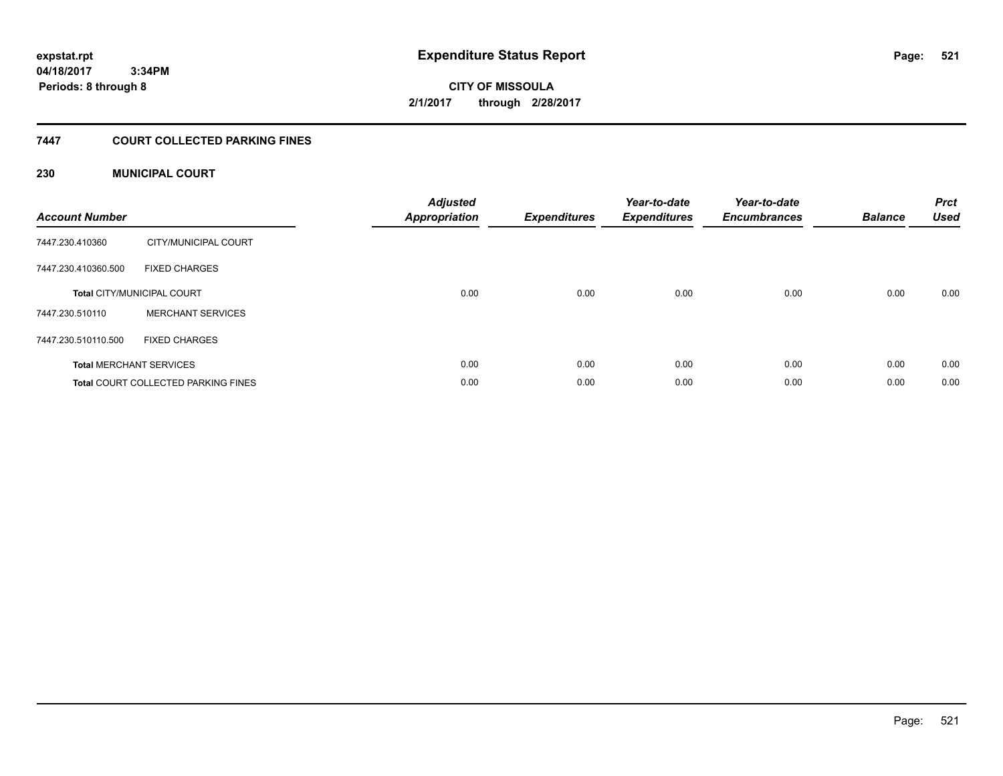**CITY OF MISSOULA 2/1/2017 through 2/28/2017**

### **7447 COURT COLLECTED PARKING FINES**

### **230 MUNICIPAL COURT**

| <b>Account Number</b> |                                            | <b>Adjusted</b><br>Appropriation | <b>Expenditures</b> | Year-to-date<br><b>Expenditures</b> | Year-to-date<br><b>Encumbrances</b> | <b>Balance</b> | <b>Prct</b><br><b>Used</b> |
|-----------------------|--------------------------------------------|----------------------------------|---------------------|-------------------------------------|-------------------------------------|----------------|----------------------------|
| 7447.230.410360       | CITY/MUNICIPAL COURT                       |                                  |                     |                                     |                                     |                |                            |
| 7447.230.410360.500   | <b>FIXED CHARGES</b>                       |                                  |                     |                                     |                                     |                |                            |
|                       | <b>Total CITY/MUNICIPAL COURT</b>          | 0.00                             | 0.00                | 0.00                                | 0.00                                | 0.00           | 0.00                       |
| 7447.230.510110       | <b>MERCHANT SERVICES</b>                   |                                  |                     |                                     |                                     |                |                            |
| 7447.230.510110.500   | <b>FIXED CHARGES</b>                       |                                  |                     |                                     |                                     |                |                            |
|                       | <b>Total MERCHANT SERVICES</b>             | 0.00                             | 0.00                | 0.00                                | 0.00                                | 0.00           | 0.00                       |
|                       | <b>Total COURT COLLECTED PARKING FINES</b> | 0.00                             | 0.00                | 0.00                                | 0.00                                | 0.00           | 0.00                       |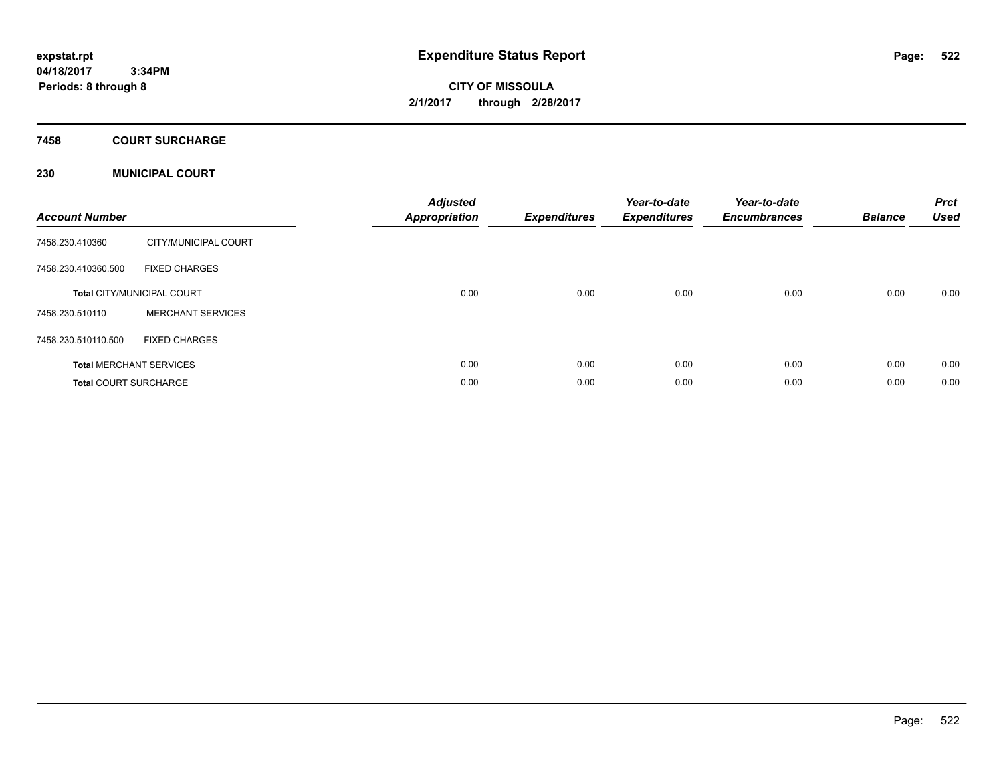**CITY OF MISSOULA 2/1/2017 through 2/28/2017**

# **7458 COURT SURCHARGE**

### **230 MUNICIPAL COURT**

| <b>Account Number</b>        |                                   | <b>Adjusted</b><br><b>Appropriation</b> | <b>Expenditures</b> | Year-to-date<br><b>Expenditures</b> | Year-to-date<br><b>Encumbrances</b> | <b>Balance</b> | <b>Prct</b><br><b>Used</b> |
|------------------------------|-----------------------------------|-----------------------------------------|---------------------|-------------------------------------|-------------------------------------|----------------|----------------------------|
| 7458.230.410360              | CITY/MUNICIPAL COURT              |                                         |                     |                                     |                                     |                |                            |
| 7458.230.410360.500          | <b>FIXED CHARGES</b>              |                                         |                     |                                     |                                     |                |                            |
|                              | <b>Total CITY/MUNICIPAL COURT</b> | 0.00                                    | 0.00                | 0.00                                | 0.00                                | 0.00           | 0.00                       |
| 7458.230.510110              | <b>MERCHANT SERVICES</b>          |                                         |                     |                                     |                                     |                |                            |
| 7458.230.510110.500          | <b>FIXED CHARGES</b>              |                                         |                     |                                     |                                     |                |                            |
|                              | <b>Total MERCHANT SERVICES</b>    | 0.00                                    | 0.00                | 0.00                                | 0.00                                | 0.00           | 0.00                       |
| <b>Total COURT SURCHARGE</b> |                                   | 0.00                                    | 0.00                | 0.00                                | 0.00                                | 0.00           | 0.00                       |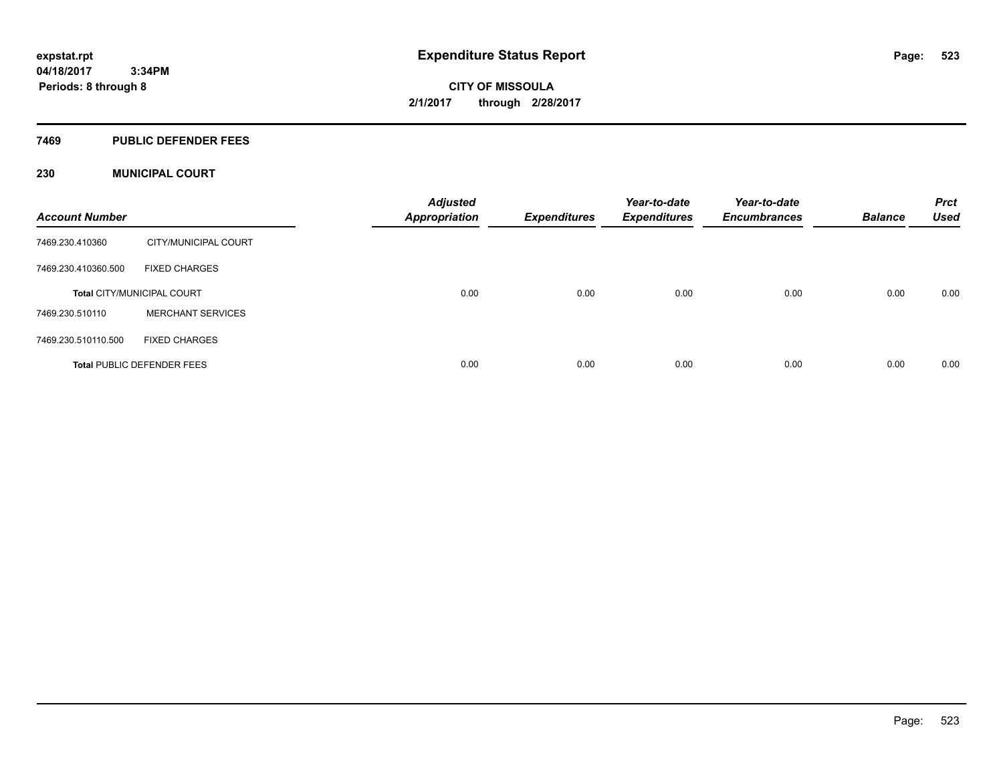#### **7469 PUBLIC DEFENDER FEES**

### **230 MUNICIPAL COURT**

| <b>Account Number</b> |                                   | <b>Adjusted</b><br>Appropriation | <b>Expenditures</b> | Year-to-date<br><b>Expenditures</b> | Year-to-date<br><b>Encumbrances</b> | <b>Balance</b> | <b>Prct</b><br><b>Used</b> |
|-----------------------|-----------------------------------|----------------------------------|---------------------|-------------------------------------|-------------------------------------|----------------|----------------------------|
| 7469.230.410360       | CITY/MUNICIPAL COURT              |                                  |                     |                                     |                                     |                |                            |
| 7469.230.410360.500   | <b>FIXED CHARGES</b>              |                                  |                     |                                     |                                     |                |                            |
|                       | <b>Total CITY/MUNICIPAL COURT</b> | 0.00                             | 0.00                | 0.00                                | 0.00                                | 0.00           | 0.00                       |
| 7469.230.510110       | <b>MERCHANT SERVICES</b>          |                                  |                     |                                     |                                     |                |                            |
| 7469.230.510110.500   | <b>FIXED CHARGES</b>              |                                  |                     |                                     |                                     |                |                            |
|                       | <b>Total PUBLIC DEFENDER FEES</b> | 0.00                             | 0.00                | 0.00                                | 0.00                                | 0.00           | 0.00                       |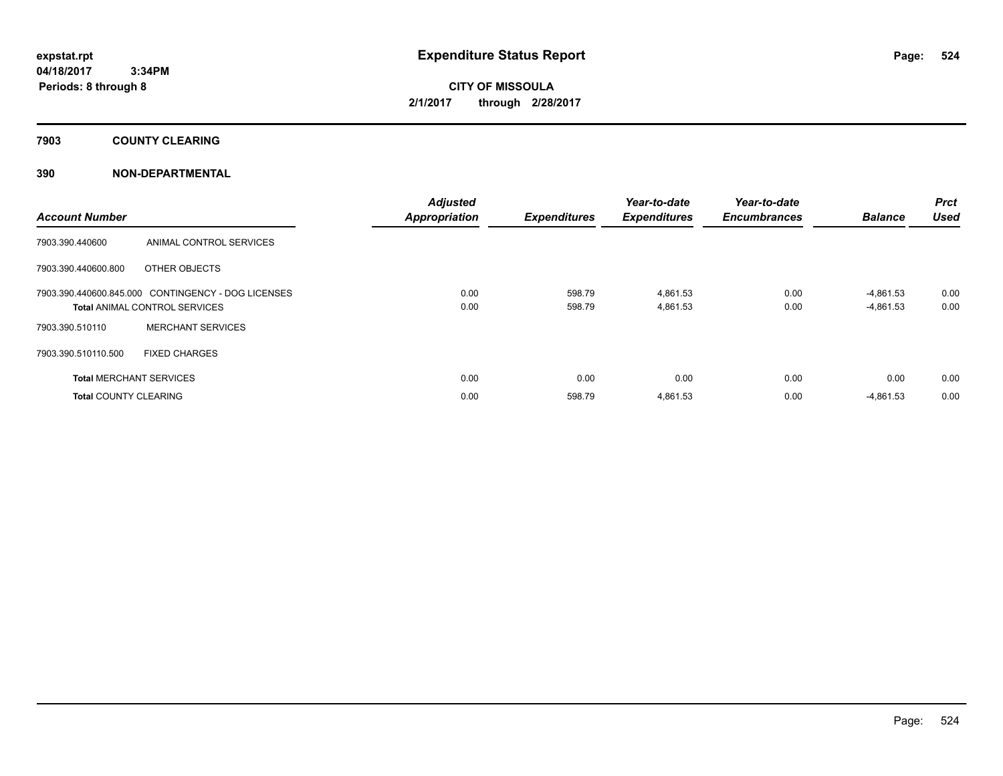**7903 COUNTY CLEARING**

### **390 NON-DEPARTMENTAL**

| <b>Account Number</b>          |                                                                                            | <b>Adjusted</b><br><b>Appropriation</b> | <b>Expenditures</b> | Year-to-date<br><b>Expenditures</b> | Year-to-date<br><b>Encumbrances</b> | <b>Balance</b>             | Prct<br><b>Used</b> |
|--------------------------------|--------------------------------------------------------------------------------------------|-----------------------------------------|---------------------|-------------------------------------|-------------------------------------|----------------------------|---------------------|
| 7903.390.440600                | ANIMAL CONTROL SERVICES                                                                    |                                         |                     |                                     |                                     |                            |                     |
| 7903.390.440600.800            | OTHER OBJECTS                                                                              |                                         |                     |                                     |                                     |                            |                     |
|                                | 7903.390.440600.845.000 CONTINGENCY - DOG LICENSES<br><b>Total ANIMAL CONTROL SERVICES</b> | 0.00<br>0.00                            | 598.79<br>598.79    | 4,861.53<br>4,861.53                | 0.00<br>0.00                        | $-4,861.53$<br>$-4,861.53$ | 0.00<br>0.00        |
| 7903.390.510110                | <b>MERCHANT SERVICES</b>                                                                   |                                         |                     |                                     |                                     |                            |                     |
| 7903.390.510110.500            | <b>FIXED CHARGES</b>                                                                       |                                         |                     |                                     |                                     |                            |                     |
| <b>Total MERCHANT SERVICES</b> |                                                                                            | 0.00                                    | 0.00                | 0.00                                | 0.00                                | 0.00                       | 0.00                |
| <b>Total COUNTY CLEARING</b>   |                                                                                            | 0.00                                    | 598.79              | 4,861.53                            | 0.00                                | $-4,861.53$                | 0.00                |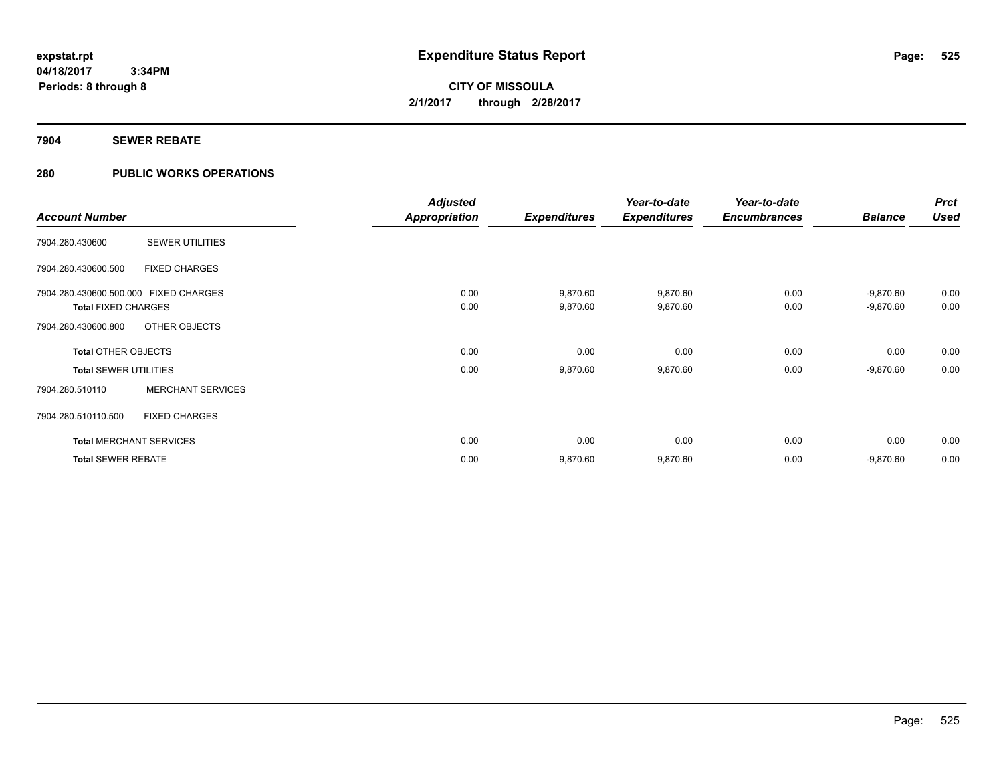### **7904 SEWER REBATE**

### **280 PUBLIC WORKS OPERATIONS**

|                                       |                          | <b>Adjusted</b> |                     | Year-to-date        | Year-to-date        |                | <b>Prct</b> |
|---------------------------------------|--------------------------|-----------------|---------------------|---------------------|---------------------|----------------|-------------|
| <b>Account Number</b>                 |                          | Appropriation   | <b>Expenditures</b> | <b>Expenditures</b> | <b>Encumbrances</b> | <b>Balance</b> | <b>Used</b> |
| 7904.280.430600                       | <b>SEWER UTILITIES</b>   |                 |                     |                     |                     |                |             |
| 7904.280.430600.500                   | <b>FIXED CHARGES</b>     |                 |                     |                     |                     |                |             |
| 7904.280.430600.500.000 FIXED CHARGES |                          | 0.00            | 9,870.60            | 9,870.60            | 0.00                | $-9,870.60$    | 0.00        |
| <b>Total FIXED CHARGES</b>            |                          | 0.00            | 9,870.60            | 9,870.60            | 0.00                | $-9,870.60$    | 0.00        |
| 7904.280.430600.800                   | OTHER OBJECTS            |                 |                     |                     |                     |                |             |
| <b>Total OTHER OBJECTS</b>            |                          | 0.00            | 0.00                | 0.00                | 0.00                | 0.00           | 0.00        |
| <b>Total SEWER UTILITIES</b>          |                          | 0.00            | 9,870.60            | 9,870.60            | 0.00                | $-9,870.60$    | 0.00        |
| 7904.280.510110                       | <b>MERCHANT SERVICES</b> |                 |                     |                     |                     |                |             |
| 7904.280.510110.500                   | <b>FIXED CHARGES</b>     |                 |                     |                     |                     |                |             |
| <b>Total MERCHANT SERVICES</b>        |                          | 0.00            | 0.00                | 0.00                | 0.00                | 0.00           | 0.00        |
| <b>Total SEWER REBATE</b>             |                          | 0.00            | 9,870.60            | 9,870.60            | 0.00                | $-9,870.60$    | 0.00        |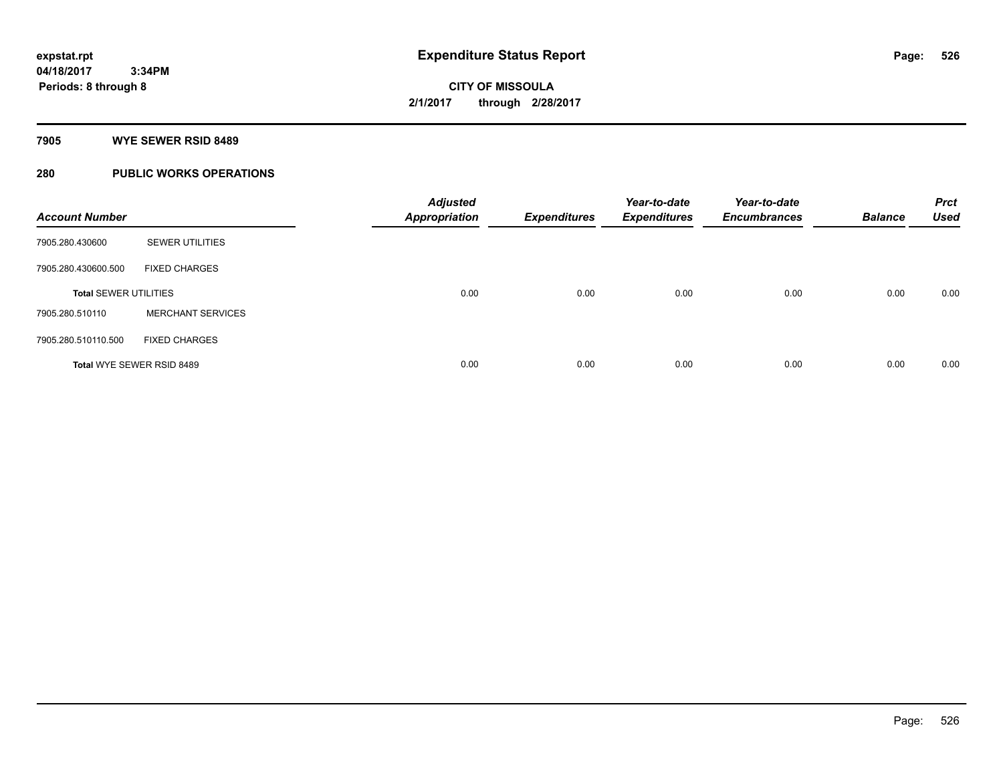#### **7905 WYE SEWER RSID 8489**

### **280 PUBLIC WORKS OPERATIONS**

| <b>Account Number</b>        |                           | <b>Adjusted</b><br><b>Appropriation</b> | <b>Expenditures</b> | Year-to-date<br><b>Expenditures</b> | Year-to-date<br><b>Encumbrances</b> | <b>Balance</b> | <b>Prct</b><br><b>Used</b> |
|------------------------------|---------------------------|-----------------------------------------|---------------------|-------------------------------------|-------------------------------------|----------------|----------------------------|
| 7905.280.430600              | <b>SEWER UTILITIES</b>    |                                         |                     |                                     |                                     |                |                            |
| 7905.280.430600.500          | <b>FIXED CHARGES</b>      |                                         |                     |                                     |                                     |                |                            |
| <b>Total SEWER UTILITIES</b> |                           | 0.00                                    | 0.00                | 0.00                                | 0.00                                | 0.00           | 0.00                       |
| 7905.280.510110              | <b>MERCHANT SERVICES</b>  |                                         |                     |                                     |                                     |                |                            |
| 7905.280.510110.500          | <b>FIXED CHARGES</b>      |                                         |                     |                                     |                                     |                |                            |
|                              | Total WYE SEWER RSID 8489 | 0.00                                    | 0.00                | 0.00                                | 0.00                                | 0.00           | 0.00                       |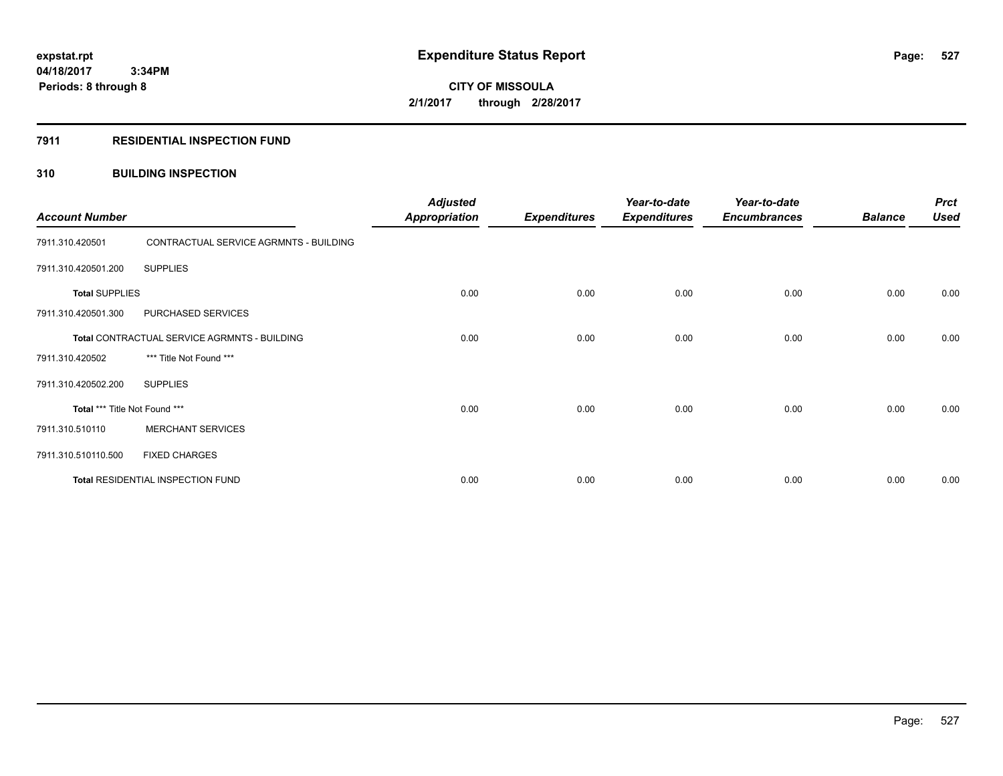### **7911 RESIDENTIAL INSPECTION FUND**

### **310 BUILDING INSPECTION**

| <b>Account Number</b>         |                                              | <b>Adjusted</b><br><b>Appropriation</b> | <b>Expenditures</b> | Year-to-date<br><b>Expenditures</b> | Year-to-date<br><b>Encumbrances</b> | <b>Balance</b> | <b>Prct</b><br><b>Used</b> |
|-------------------------------|----------------------------------------------|-----------------------------------------|---------------------|-------------------------------------|-------------------------------------|----------------|----------------------------|
| 7911.310.420501               | CONTRACTUAL SERVICE AGRMNTS - BUILDING       |                                         |                     |                                     |                                     |                |                            |
| 7911.310.420501.200           | <b>SUPPLIES</b>                              |                                         |                     |                                     |                                     |                |                            |
| <b>Total SUPPLIES</b>         |                                              | 0.00                                    | 0.00                | 0.00                                | 0.00                                | 0.00           | 0.00                       |
| 7911.310.420501.300           | PURCHASED SERVICES                           |                                         |                     |                                     |                                     |                |                            |
|                               | Total CONTRACTUAL SERVICE AGRMNTS - BUILDING | 0.00                                    | 0.00                | 0.00                                | 0.00                                | 0.00           | 0.00                       |
| 7911.310.420502               | *** Title Not Found ***                      |                                         |                     |                                     |                                     |                |                            |
| 7911.310.420502.200           | <b>SUPPLIES</b>                              |                                         |                     |                                     |                                     |                |                            |
| Total *** Title Not Found *** |                                              | 0.00                                    | 0.00                | 0.00                                | 0.00                                | 0.00           | 0.00                       |
| 7911.310.510110               | <b>MERCHANT SERVICES</b>                     |                                         |                     |                                     |                                     |                |                            |
| 7911.310.510110.500           | <b>FIXED CHARGES</b>                         |                                         |                     |                                     |                                     |                |                            |
|                               | Total RESIDENTIAL INSPECTION FUND            | 0.00                                    | 0.00                | 0.00                                | 0.00                                | 0.00           | 0.00                       |